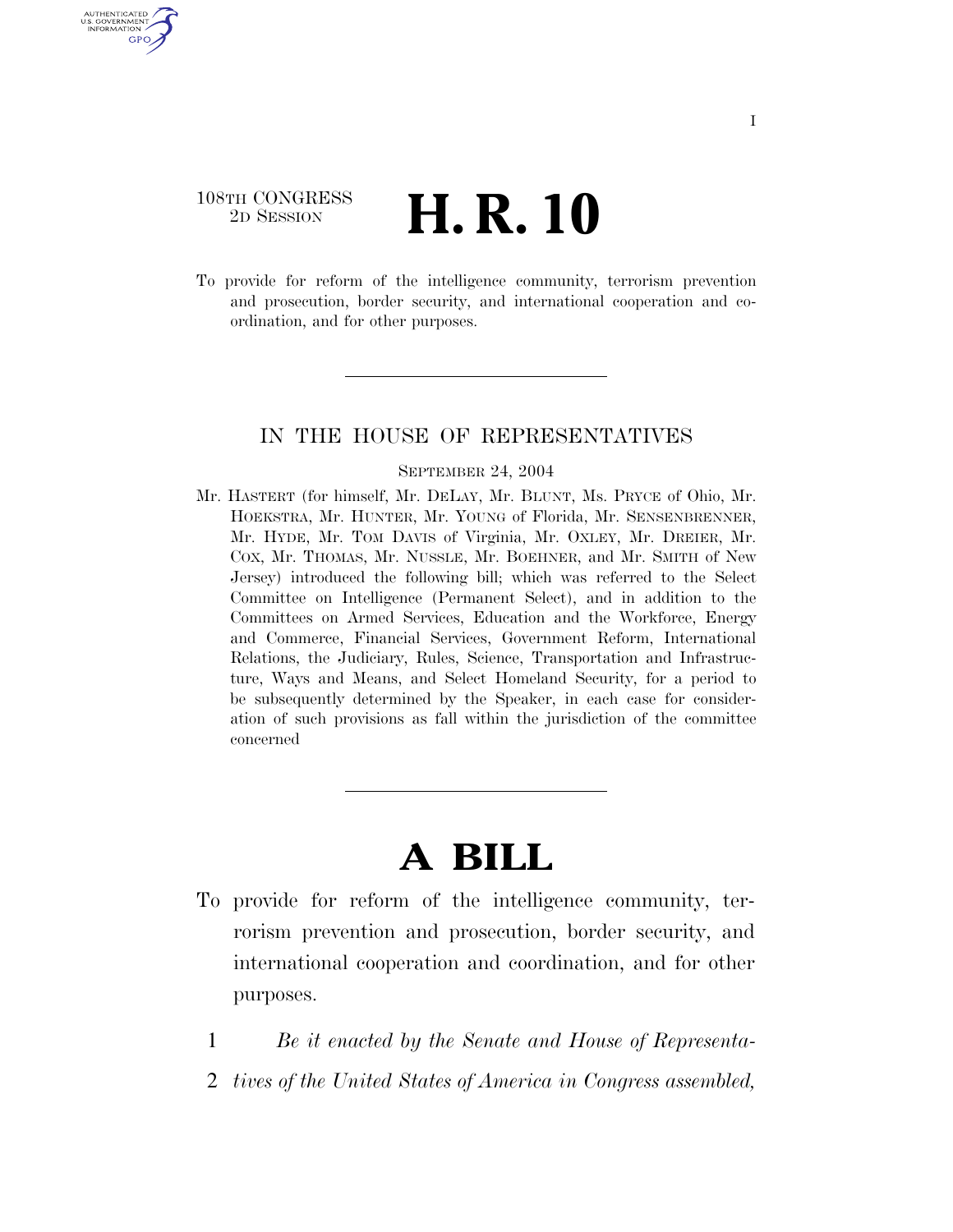# 108TH CONGRESS <sup>TH CONGRESS</sup> **H. R. 10**

U.S. GOVERNMENT GPO

> To provide for reform of the intelligence community, terrorism prevention and prosecution, border security, and international cooperation and coordination, and for other purposes.

# IN THE HOUSE OF REPRESENTATIVES

## SEPTEMBER 24, 2004

Mr. HASTERT (for himself, Mr. DELAY, Mr. BLUNT, Ms. PRYCE of Ohio, Mr. HOEKSTRA, Mr. HUNTER, Mr. YOUNG of Florida, Mr. SENSENBRENNER, Mr. HYDE, Mr. TOM DAVIS of Virginia, Mr. OXLEY, Mr. DREIER, Mr. COX, Mr. THOMAS, Mr. NUSSLE, Mr. BOEHNER, and Mr. SMITH of New Jersey) introduced the following bill; which was referred to the Select Committee on Intelligence (Permanent Select), and in addition to the Committees on Armed Services, Education and the Workforce, Energy and Commerce, Financial Services, Government Reform, International Relations, the Judiciary, Rules, Science, Transportation and Infrastructure, Ways and Means, and Select Homeland Security, for a period to be subsequently determined by the Speaker, in each case for consideration of such provisions as fall within the jurisdiction of the committee concerned

# **A BILL**

- To provide for reform of the intelligence community, terrorism prevention and prosecution, border security, and international cooperation and coordination, and for other purposes.
	- 1 *Be it enacted by the Senate and House of Representa-*
	- 2 *tives of the United States of America in Congress assembled,*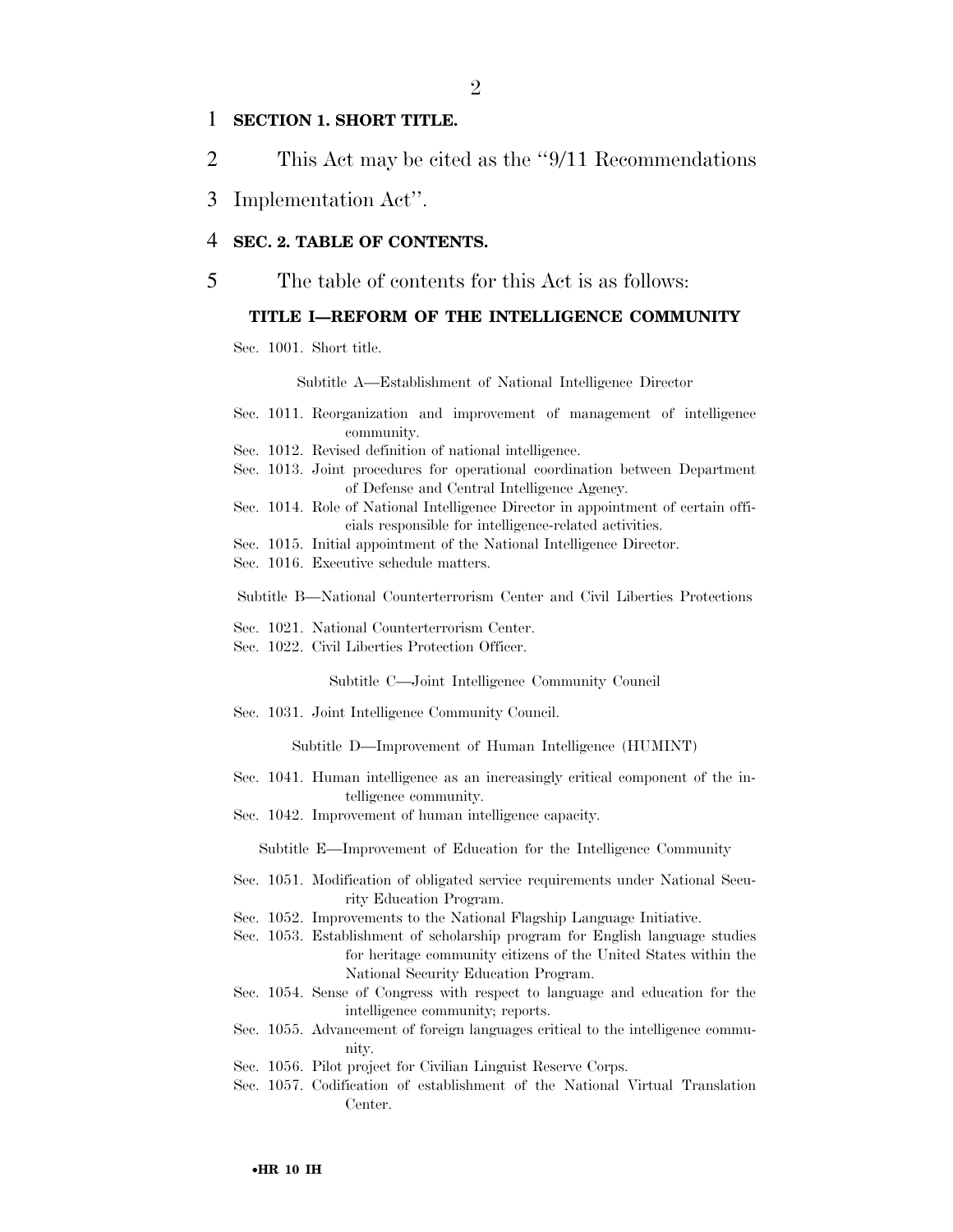# 1 **SECTION 1. SHORT TITLE.**

- 2 This Act may be cited as the ''9/11 Recommendations
- 3 Implementation Act''.

# 4 **SEC. 2. TABLE OF CONTENTS.**

5 The table of contents for this Act is as follows:

# **TITLE I—REFORM OF THE INTELLIGENCE COMMUNITY**

Sec. 1001. Short title.

Subtitle A—Establishment of National Intelligence Director

- Sec. 1011. Reorganization and improvement of management of intelligence community.
- Sec. 1012. Revised definition of national intelligence.
- Sec. 1013. Joint procedures for operational coordination between Department of Defense and Central Intelligence Agency.
- Sec. 1014. Role of National Intelligence Director in appointment of certain officials responsible for intelligence-related activities.
- Sec. 1015. Initial appointment of the National Intelligence Director.
- Sec. 1016. Executive schedule matters.

Subtitle B—National Counterterrorism Center and Civil Liberties Protections

- Sec. 1021. National Counterterrorism Center.
- Sec. 1022. Civil Liberties Protection Officer.

Subtitle C—Joint Intelligence Community Council

Sec. 1031. Joint Intelligence Community Council.

Subtitle D—Improvement of Human Intelligence (HUMINT)

- Sec. 1041. Human intelligence as an increasingly critical component of the intelligence community.
- Sec. 1042. Improvement of human intelligence capacity.

Subtitle E—Improvement of Education for the Intelligence Community

- Sec. 1051. Modification of obligated service requirements under National Security Education Program.
- Sec. 1052. Improvements to the National Flagship Language Initiative.
- Sec. 1053. Establishment of scholarship program for English language studies for heritage community citizens of the United States within the National Security Education Program.
- Sec. 1054. Sense of Congress with respect to language and education for the intelligence community; reports.
- Sec. 1055. Advancement of foreign languages critical to the intelligence community.
- Sec. 1056. Pilot project for Civilian Linguist Reserve Corps.
- Sec. 1057. Codification of establishment of the National Virtual Translation Center.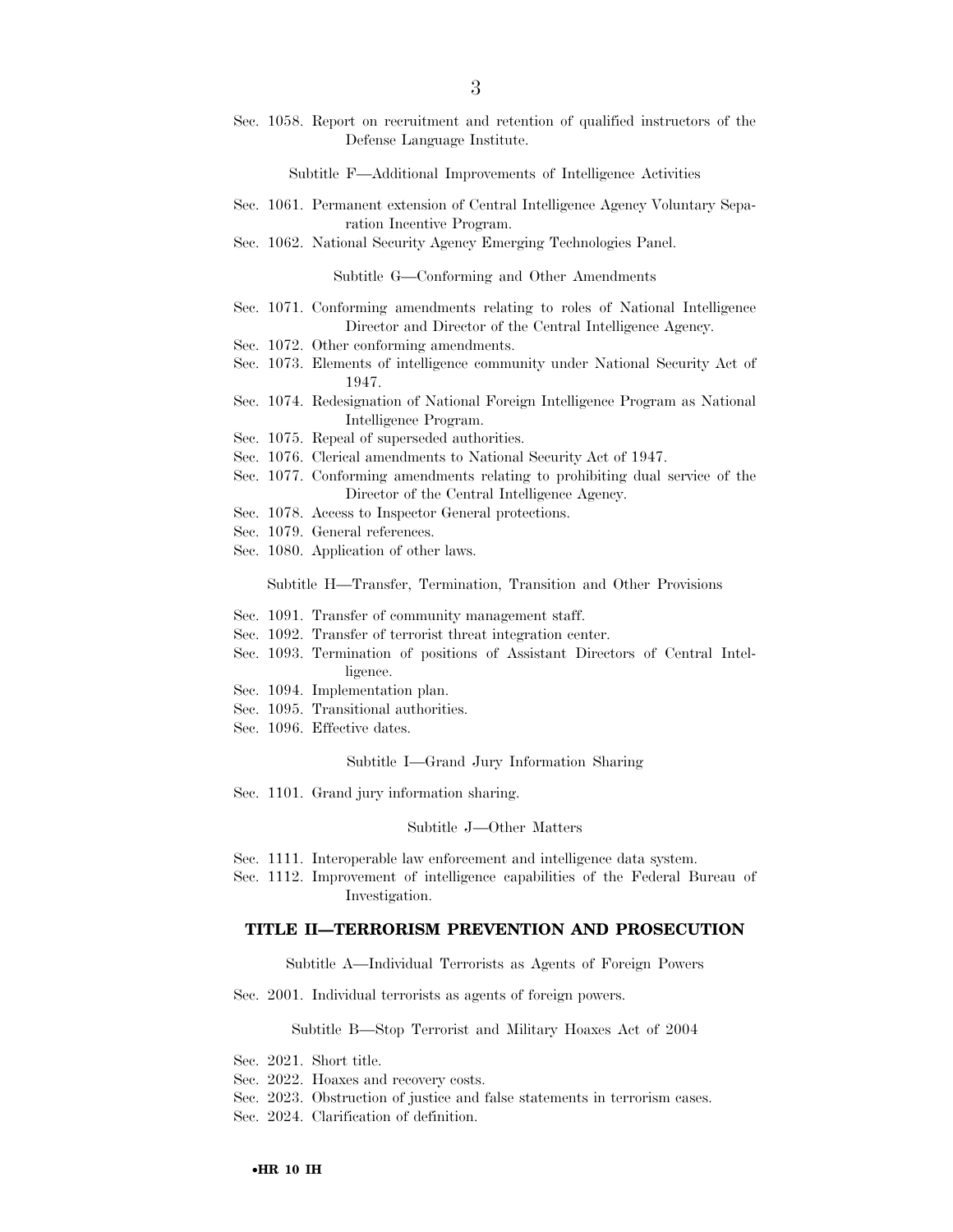Sec. 1058. Report on recruitment and retention of qualified instructors of the Defense Language Institute.

Subtitle F—Additional Improvements of Intelligence Activities

- Sec. 1061. Permanent extension of Central Intelligence Agency Voluntary Separation Incentive Program.
- Sec. 1062. National Security Agency Emerging Technologies Panel.

Subtitle G—Conforming and Other Amendments

- Sec. 1071. Conforming amendments relating to roles of National Intelligence Director and Director of the Central Intelligence Agency.
- Sec. 1072. Other conforming amendments.
- Sec. 1073. Elements of intelligence community under National Security Act of 1947.
- Sec. 1074. Redesignation of National Foreign Intelligence Program as National Intelligence Program.
- Sec. 1075. Repeal of superseded authorities.
- Sec. 1076. Clerical amendments to National Security Act of 1947.
- Sec. 1077. Conforming amendments relating to prohibiting dual service of the Director of the Central Intelligence Agency.
- Sec. 1078. Access to Inspector General protections.
- Sec. 1079. General references.
- Sec. 1080. Application of other laws.

Subtitle H—Transfer, Termination, Transition and Other Provisions

- Sec. 1091. Transfer of community management staff.
- Sec. 1092. Transfer of terrorist threat integration center.
- Sec. 1093. Termination of positions of Assistant Directors of Central Intelligence.
- Sec. 1094. Implementation plan.
- Sec. 1095. Transitional authorities.
- Sec. 1096. Effective dates.

Subtitle I—Grand Jury Information Sharing

Sec. 1101. Grand jury information sharing.

#### Subtitle J—Other Matters

- Sec. 1111. Interoperable law enforcement and intelligence data system.
- Sec. 1112. Improvement of intelligence capabilities of the Federal Bureau of Investigation.

# **TITLE II—TERRORISM PREVENTION AND PROSECUTION**

Subtitle A—Individual Terrorists as Agents of Foreign Powers

Sec. 2001. Individual terrorists as agents of foreign powers.

Subtitle B—Stop Terrorist and Military Hoaxes Act of 2004

- Sec. 2021. Short title.
- Sec. 2022. Hoaxes and recovery costs.
- Sec. 2023. Obstruction of justice and false statements in terrorism cases.

Sec. 2024. Clarification of definition.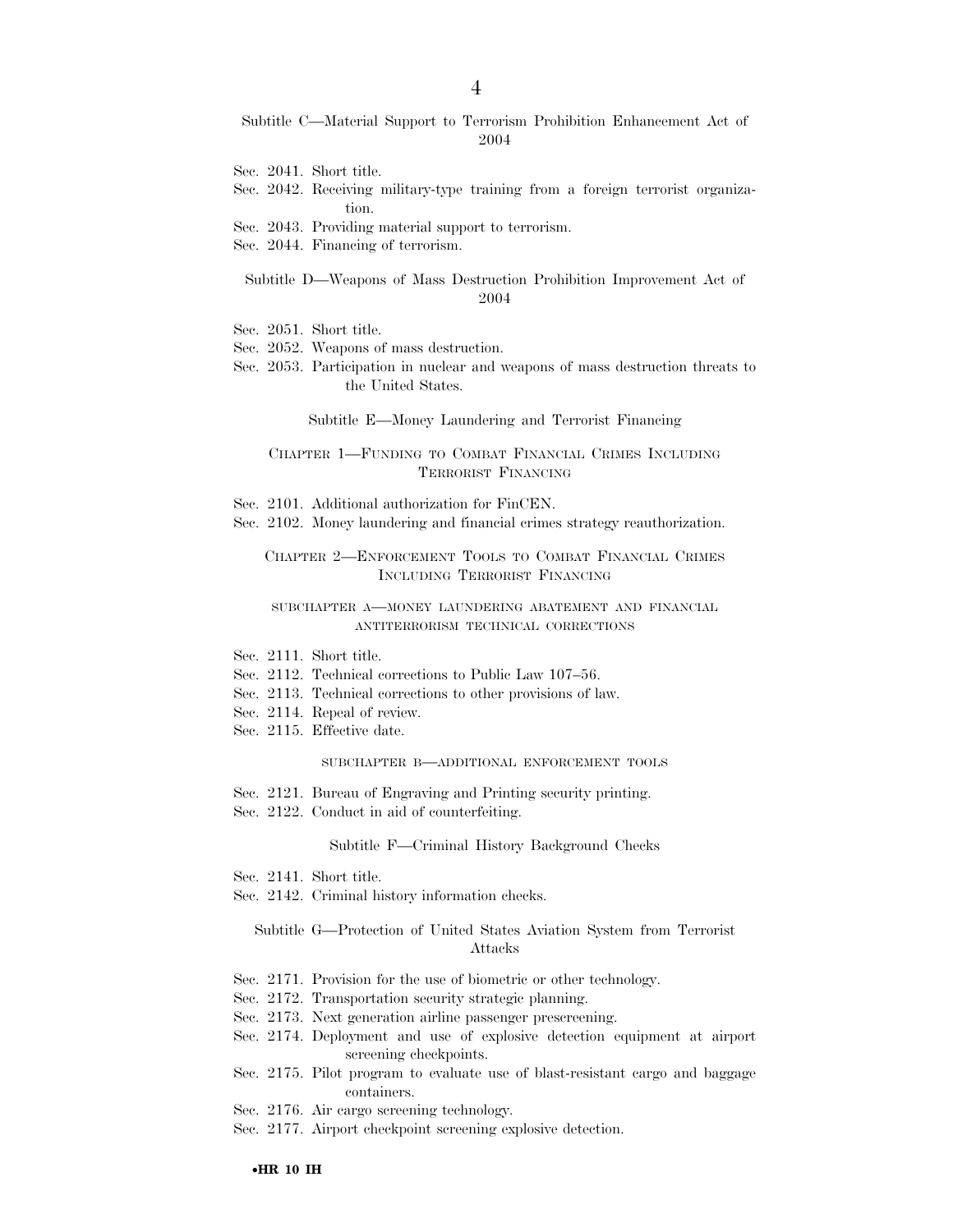Subtitle C—Material Support to Terrorism Prohibition Enhancement Act of 2004

- Sec. 2041. Short title.
- Sec. 2042. Receiving military-type training from a foreign terrorist organization.
- Sec. 2043. Providing material support to terrorism.
- Sec. 2044. Financing of terrorism.
	- Subtitle D—Weapons of Mass Destruction Prohibition Improvement Act of 2004
- Sec. 2051. Short title.
- Sec. 2052. Weapons of mass destruction.
- Sec. 2053. Participation in nuclear and weapons of mass destruction threats to the United States.

#### Subtitle E—Money Laundering and Terrorist Financing

# CHAPTER 1—FUNDING TO COMBAT FINANCIAL CRIMES INCLUDING TERRORIST FINANCING

- Sec. 2101. Additional authorization for FinCEN.
- Sec. 2102. Money laundering and financial crimes strategy reauthorization.

CHAPTER 2—ENFORCEMENT TOOLS TO COMBAT FINANCIAL CRIMES INCLUDING TERRORIST FINANCING

#### SUBCHAPTER A—MONEY LAUNDERING ABATEMENT AND FINANCIAL ANTITERRORISM TECHNICAL CORRECTIONS

- Sec. 2111. Short title.
- Sec. 2112. Technical corrections to Public Law 107–56.
- Sec. 2113. Technical corrections to other provisions of law.
- Sec. 2114. Repeal of review.
- Sec. 2115. Effective date.

#### SUBCHAPTER B—ADDITIONAL ENFORCEMENT TOOLS

- Sec. 2121. Bureau of Engraving and Printing security printing.
- Sec. 2122. Conduct in aid of counterfeiting.

#### Subtitle F—Criminal History Background Checks

- Sec. 2141. Short title.
- Sec. 2142. Criminal history information checks.

# Subtitle G—Protection of United States Aviation System from Terrorist Attacks

- Sec. 2171. Provision for the use of biometric or other technology.
- Sec. 2172. Transportation security strategic planning.
- Sec. 2173. Next generation airline passenger prescreening.
- Sec. 2174. Deployment and use of explosive detection equipment at airport screening checkpoints.
- Sec. 2175. Pilot program to evaluate use of blast-resistant cargo and baggage containers.
- Sec. 2176. Air cargo screening technology.
- Sec. 2177. Airport checkpoint screening explosive detection.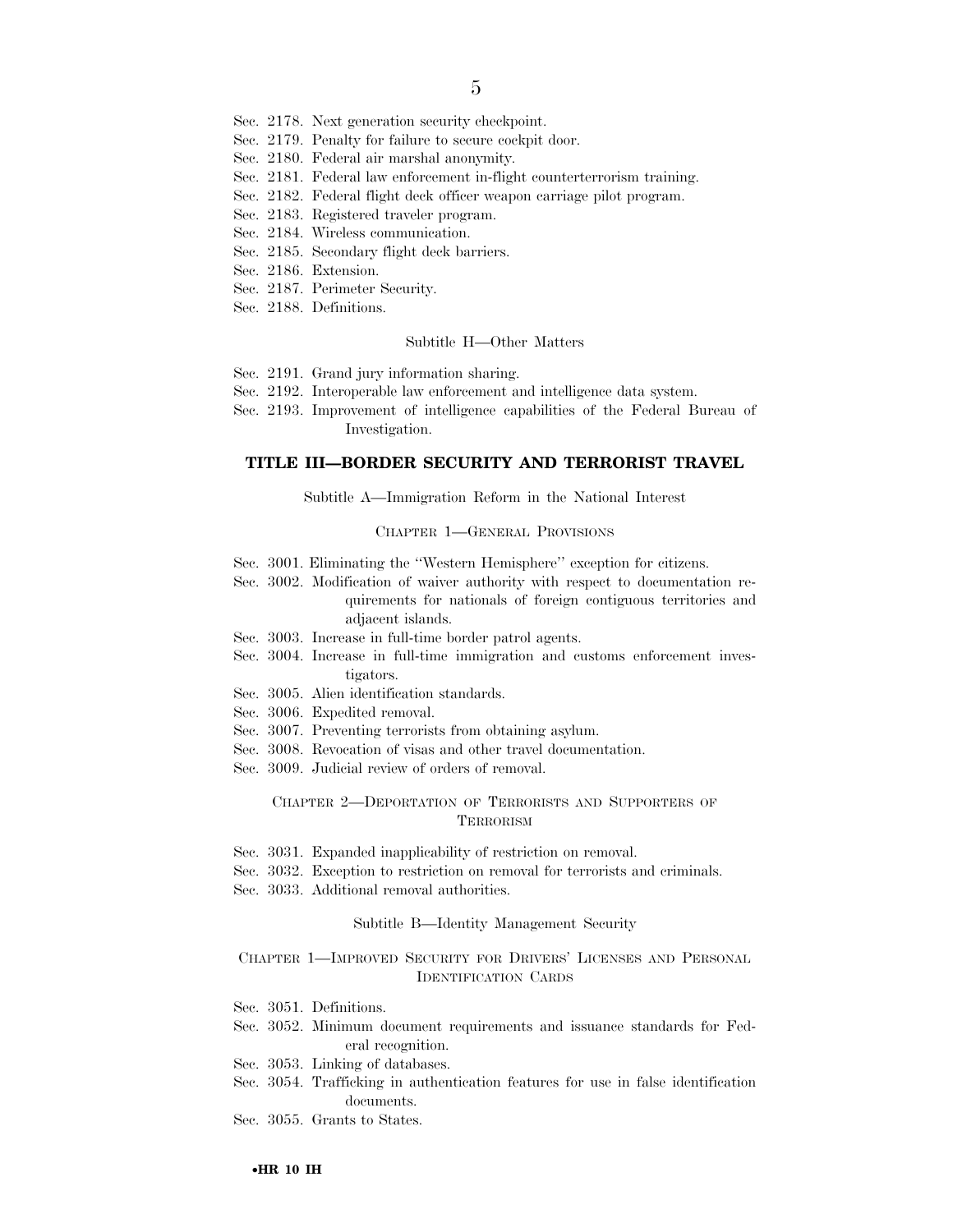- Sec. 2178. Next generation security checkpoint.
- Sec. 2179. Penalty for failure to secure cockpit door.
- Sec. 2180. Federal air marshal anonymity.
- Sec. 2181. Federal law enforcement in-flight counterterrorism training.
- Sec. 2182. Federal flight deck officer weapon carriage pilot program.
- Sec. 2183. Registered traveler program.
- Sec. 2184. Wireless communication.
- Sec. 2185. Secondary flight deck barriers.
- Sec. 2186. Extension.
- Sec. 2187. Perimeter Security.
- Sec. 2188. Definitions.

#### Subtitle H—Other Matters

- Sec. 2191. Grand jury information sharing.
- Sec. 2192. Interoperable law enforcement and intelligence data system.
- Sec. 2193. Improvement of intelligence capabilities of the Federal Bureau of Investigation.

# **TITLE III—BORDER SECURITY AND TERRORIST TRAVEL**

Subtitle A—Immigration Reform in the National Interest

#### CHAPTER 1—GENERAL PROVISIONS

- Sec. 3001. Eliminating the ''Western Hemisphere'' exception for citizens.
- Sec. 3002. Modification of waiver authority with respect to documentation requirements for nationals of foreign contiguous territories and adjacent islands.
- Sec. 3003. Increase in full-time border patrol agents.
- Sec. 3004. Increase in full-time immigration and customs enforcement investigators.
- Sec. 3005. Alien identification standards.
- Sec. 3006. Expedited removal.
- Sec. 3007. Preventing terrorists from obtaining asylum.
- Sec. 3008. Revocation of visas and other travel documentation.
- Sec. 3009. Judicial review of orders of removal.

## CHAPTER 2—DEPORTATION OF TERRORISTS AND SUPPORTERS OF **TERRORISM**

- Sec. 3031. Expanded inapplicability of restriction on removal.
- Sec. 3032. Exception to restriction on removal for terrorists and criminals.
- Sec. 3033. Additional removal authorities.

#### Subtitle B—Identity Management Security

# CHAPTER 1—IMPROVED SECURITY FOR DRIVERS' LICENSES AND PERSONAL IDENTIFICATION CARDS

- Sec. 3051. Definitions.
- Sec. 3052. Minimum document requirements and issuance standards for Federal recognition.
- Sec. 3053. Linking of databases.
- Sec. 3054. Trafficking in authentication features for use in false identification documents.
- Sec. 3055. Grants to States.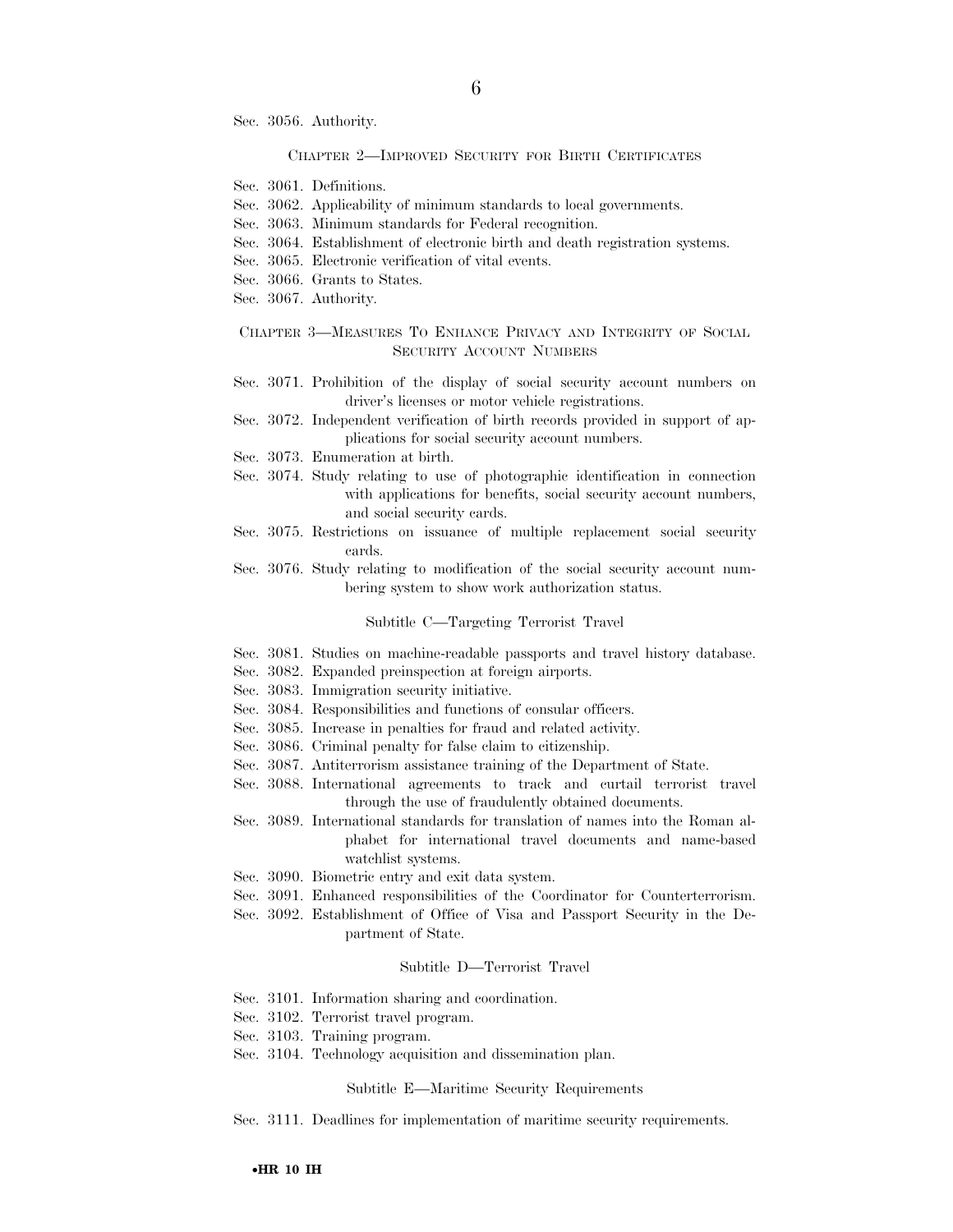Sec. 3056. Authority.

#### CHAPTER 2—IMPROVED SECURITY FOR BIRTH CERTIFICATES

- Sec. 3061. Definitions.
- Sec. 3062. Applicability of minimum standards to local governments.
- Sec. 3063. Minimum standards for Federal recognition.
- Sec. 3064. Establishment of electronic birth and death registration systems.
- Sec. 3065. Electronic verification of vital events.
- Sec. 3066. Grants to States.
- Sec. 3067. Authority.

# CHAPTER 3—MEASURES TO ENHANCE PRIVACY AND INTEGRITY OF SOCIAL SECURITY ACCOUNT NUMBERS

- Sec. 3071. Prohibition of the display of social security account numbers on driver's licenses or motor vehicle registrations.
- Sec. 3072. Independent verification of birth records provided in support of applications for social security account numbers.
- Sec. 3073. Enumeration at birth.
- Sec. 3074. Study relating to use of photographic identification in connection with applications for benefits, social security account numbers, and social security cards.
- Sec. 3075. Restrictions on issuance of multiple replacement social security cards.
- Sec. 3076. Study relating to modification of the social security account numbering system to show work authorization status.

#### Subtitle C—Targeting Terrorist Travel

- Sec. 3081. Studies on machine-readable passports and travel history database.
- Sec. 3082. Expanded preinspection at foreign airports.
- Sec. 3083. Immigration security initiative.
- Sec. 3084. Responsibilities and functions of consular officers.
- Sec. 3085. Increase in penalties for fraud and related activity.
- Sec. 3086. Criminal penalty for false claim to citizenship.
- Sec. 3087. Antiterrorism assistance training of the Department of State.
- Sec. 3088. International agreements to track and curtail terrorist travel through the use of fraudulently obtained documents.
- Sec. 3089. International standards for translation of names into the Roman alphabet for international travel documents and name-based watchlist systems.
- Sec. 3090. Biometric entry and exit data system.
- Sec. 3091. Enhanced responsibilities of the Coordinator for Counterterrorism.
- Sec. 3092. Establishment of Office of Visa and Passport Security in the Department of State.

#### Subtitle D—Terrorist Travel

- Sec. 3101. Information sharing and coordination.
- Sec. 3102. Terrorist travel program.
- Sec. 3103. Training program.
- Sec. 3104. Technology acquisition and dissemination plan.

#### Subtitle E—Maritime Security Requirements

Sec. 3111. Deadlines for implementation of maritime security requirements.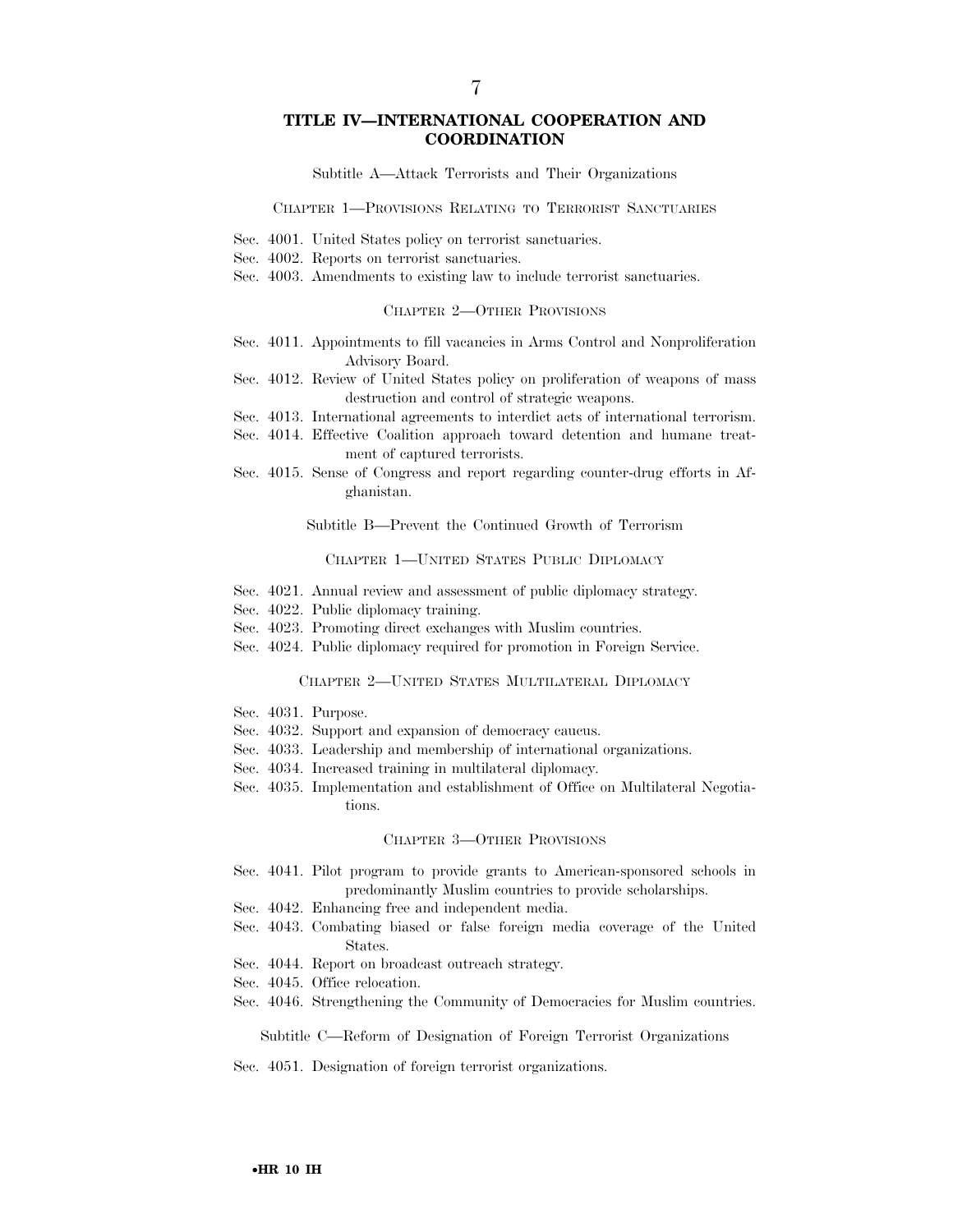# **TITLE IV—INTERNATIONAL COOPERATION AND COORDINATION**

Subtitle A—Attack Terrorists and Their Organizations

#### CHAPTER 1—PROVISIONS RELATING TO TERRORIST SANCTUARIES

- Sec. 4001. United States policy on terrorist sanctuaries.
- Sec. 4002. Reports on terrorist sanctuaries.
- Sec. 4003. Amendments to existing law to include terrorist sanctuaries.

#### CHAPTER 2—OTHER PROVISIONS

- Sec. 4011. Appointments to fill vacancies in Arms Control and Nonproliferation Advisory Board.
- Sec. 4012. Review of United States policy on proliferation of weapons of mass destruction and control of strategic weapons.
- Sec. 4013. International agreements to interdict acts of international terrorism.
- Sec. 4014. Effective Coalition approach toward detention and humane treatment of captured terrorists.
- Sec. 4015. Sense of Congress and report regarding counter-drug efforts in Afghanistan.

Subtitle B—Prevent the Continued Growth of Terrorism

#### CHAPTER 1—UNITED STATES PUBLIC DIPLOMACY

- Sec. 4021. Annual review and assessment of public diplomacy strategy.
- Sec. 4022. Public diplomacy training.
- Sec. 4023. Promoting direct exchanges with Muslim countries.
- Sec. 4024. Public diplomacy required for promotion in Foreign Service.

#### CHAPTER 2—UNITED STATES MULTILATERAL DIPLOMACY

- Sec. 4031. Purpose.
- Sec. 4032. Support and expansion of democracy caucus.
- Sec. 4033. Leadership and membership of international organizations.
- Sec. 4034. Increased training in multilateral diplomacy.
- Sec. 4035. Implementation and establishment of Office on Multilateral Negotiations.

#### CHAPTER 3—OTHER PROVISIONS

- Sec. 4041. Pilot program to provide grants to American-sponsored schools in predominantly Muslim countries to provide scholarships.
- Sec. 4042. Enhancing free and independent media.
- Sec. 4043. Combating biased or false foreign media coverage of the United States.
- Sec. 4044. Report on broadcast outreach strategy.
- Sec. 4045. Office relocation.
- Sec. 4046. Strengthening the Community of Democracies for Muslim countries.

Subtitle C—Reform of Designation of Foreign Terrorist Organizations

Sec. 4051. Designation of foreign terrorist organizations.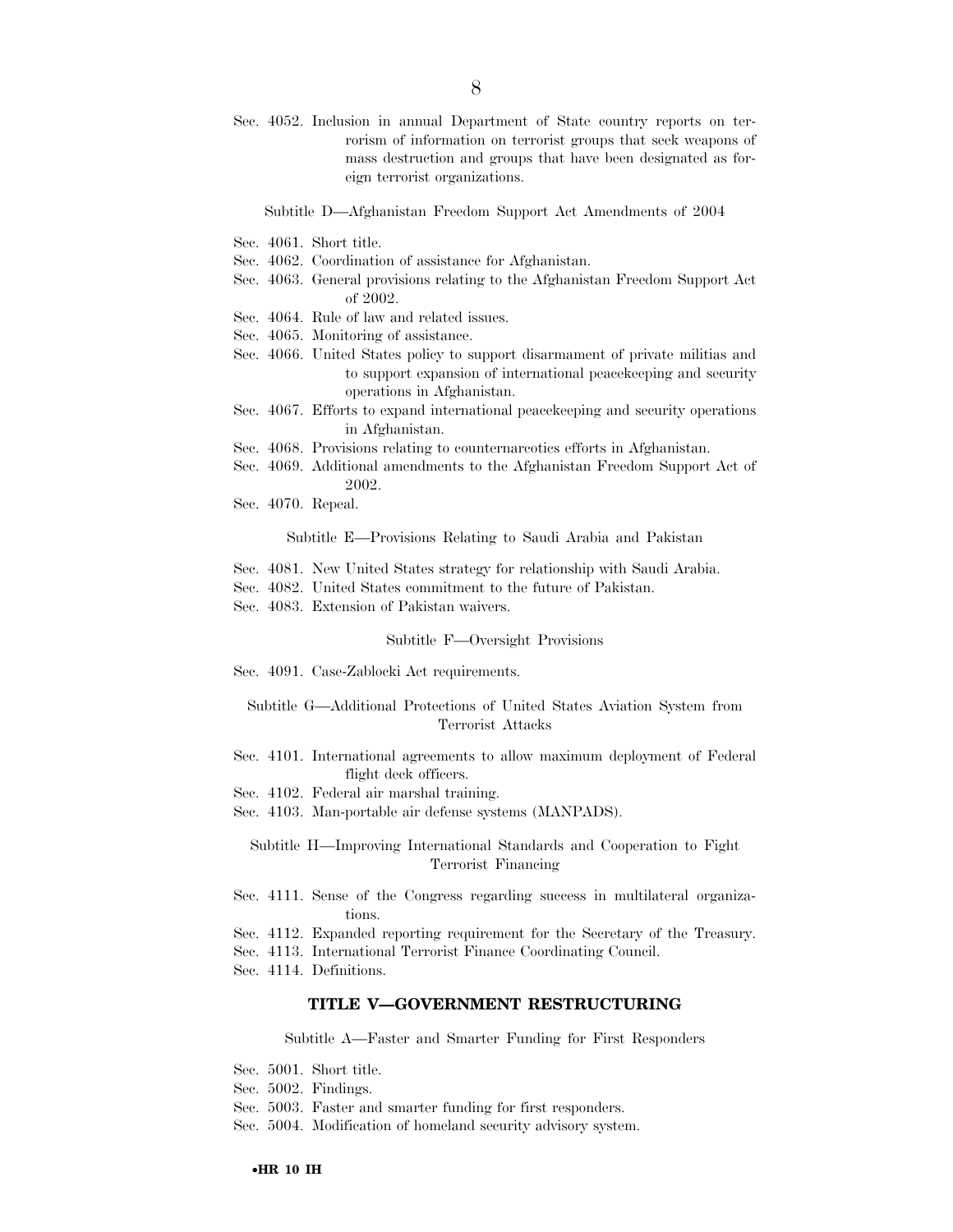Sec. 4052. Inclusion in annual Department of State country reports on terrorism of information on terrorist groups that seek weapons of mass destruction and groups that have been designated as foreign terrorist organizations.

Subtitle D—Afghanistan Freedom Support Act Amendments of 2004

- Sec. 4061. Short title.
- Sec. 4062. Coordination of assistance for Afghanistan.
- Sec. 4063. General provisions relating to the Afghanistan Freedom Support Act of 2002.
- Sec. 4064. Rule of law and related issues.
- Sec. 4065. Monitoring of assistance.
- Sec. 4066. United States policy to support disarmament of private militias and to support expansion of international peacekeeping and security operations in Afghanistan.
- Sec. 4067. Efforts to expand international peacekeeping and security operations in Afghanistan.
- Sec. 4068. Provisions relating to counternarcotics efforts in Afghanistan.
- Sec. 4069. Additional amendments to the Afghanistan Freedom Support Act of 2002.
- Sec. 4070. Repeal.

Subtitle E—Provisions Relating to Saudi Arabia and Pakistan

- Sec. 4081. New United States strategy for relationship with Saudi Arabia.
- Sec. 4082. United States commitment to the future of Pakistan.
- Sec. 4083. Extension of Pakistan waivers.

#### Subtitle F—Oversight Provisions

Sec. 4091. Case-Zablocki Act requirements.

Subtitle G—Additional Protections of United States Aviation System from Terrorist Attacks

- Sec. 4101. International agreements to allow maximum deployment of Federal flight deck officers.
- Sec. 4102. Federal air marshal training.
- Sec. 4103. Man-portable air defense systems (MANPADS).

Subtitle H—Improving International Standards and Cooperation to Fight Terrorist Financing

- Sec. 4111. Sense of the Congress regarding success in multilateral organizations.
- Sec. 4112. Expanded reporting requirement for the Secretary of the Treasury.
- Sec. 4113. International Terrorist Finance Coordinating Council.
- Sec. 4114. Definitions.

#### **TITLE V—GOVERNMENT RESTRUCTURING**

Subtitle A—Faster and Smarter Funding for First Responders

- Sec. 5001. Short title.
- Sec. 5002. Findings.
- Sec. 5003. Faster and smarter funding for first responders.
- Sec. 5004. Modification of homeland security advisory system.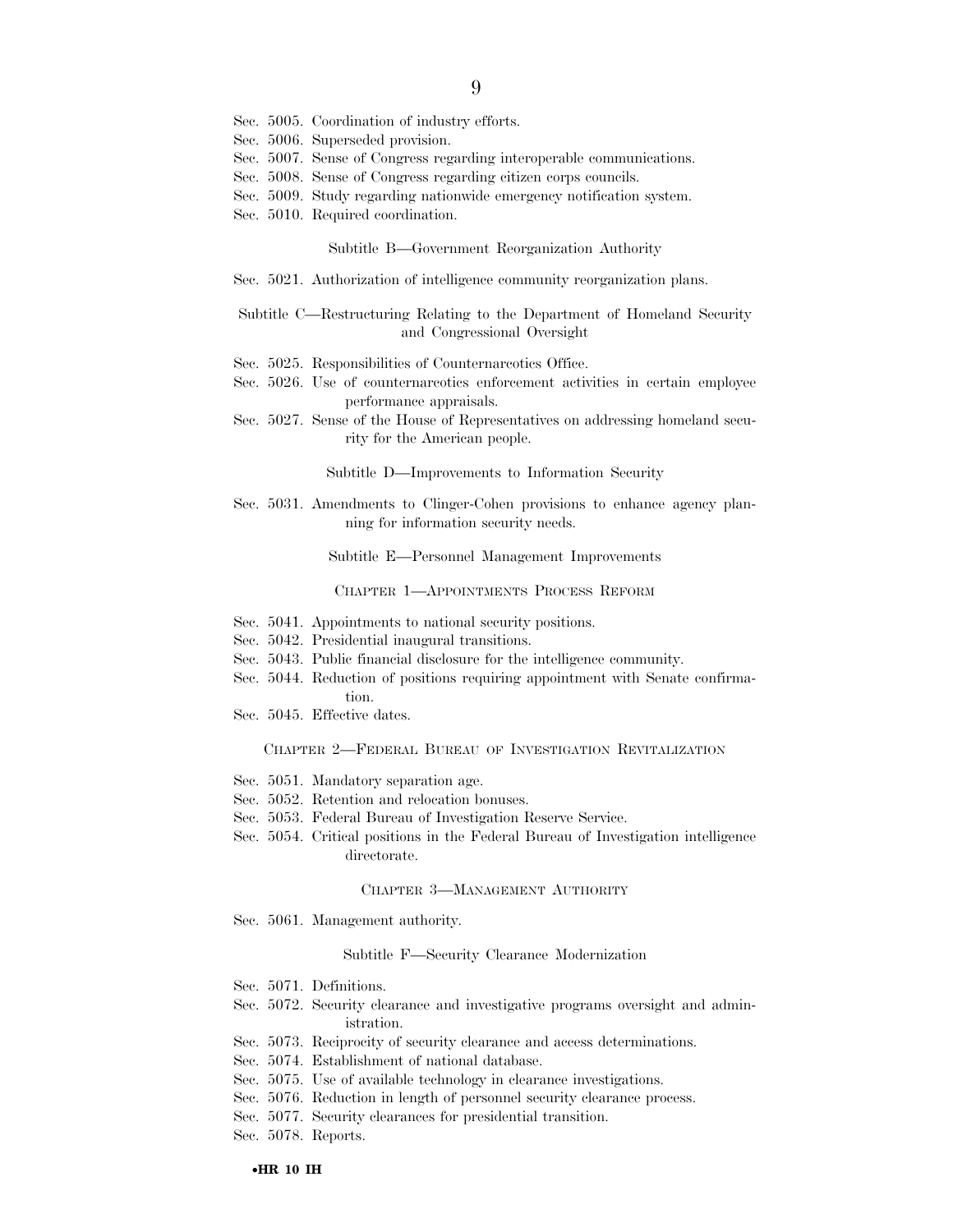- Sec. 5005. Coordination of industry efforts.
- Sec. 5006. Superseded provision.
- Sec. 5007. Sense of Congress regarding interoperable communications.
- Sec. 5008. Sense of Congress regarding citizen corps councils.
- Sec. 5009. Study regarding nationwide emergency notification system.
- Sec. 5010. Required coordination.

Subtitle B—Government Reorganization Authority

Sec. 5021. Authorization of intelligence community reorganization plans.

Subtitle C—Restructuring Relating to the Department of Homeland Security and Congressional Oversight

- Sec. 5025. Responsibilities of Counternarcotics Office.
- Sec. 5026. Use of counternarcotics enforcement activities in certain employee performance appraisals.
- Sec. 5027. Sense of the House of Representatives on addressing homeland security for the American people.

#### Subtitle D—Improvements to Information Security

Sec. 5031. Amendments to Clinger-Cohen provisions to enhance agency planning for information security needs.

Subtitle E—Personnel Management Improvements

CHAPTER 1—APPOINTMENTS PROCESS REFORM

- Sec. 5041. Appointments to national security positions.
- Sec. 5042. Presidential inaugural transitions.
- Sec. 5043. Public financial disclosure for the intelligence community.
- Sec. 5044. Reduction of positions requiring appointment with Senate confirmation.
- Sec. 5045. Effective dates.

#### CHAPTER 2—FEDERAL BUREAU OF INVESTIGATION REVITALIZATION

- Sec. 5051. Mandatory separation age.
- Sec. 5052. Retention and relocation bonuses.
- Sec. 5053. Federal Bureau of Investigation Reserve Service.
- Sec. 5054. Critical positions in the Federal Bureau of Investigation intelligence directorate.

#### CHAPTER 3—MANAGEMENT AUTHORITY

Sec. 5061. Management authority.

#### Subtitle F—Security Clearance Modernization

- Sec. 5071. Definitions.
- Sec. 5072. Security clearance and investigative programs oversight and administration.
- Sec. 5073. Reciprocity of security clearance and access determinations.
- Sec. 5074. Establishment of national database.
- Sec. 5075. Use of available technology in clearance investigations.
- Sec. 5076. Reduction in length of personnel security clearance process.
- Sec. 5077. Security clearances for presidential transition.

Sec. 5078. Reports.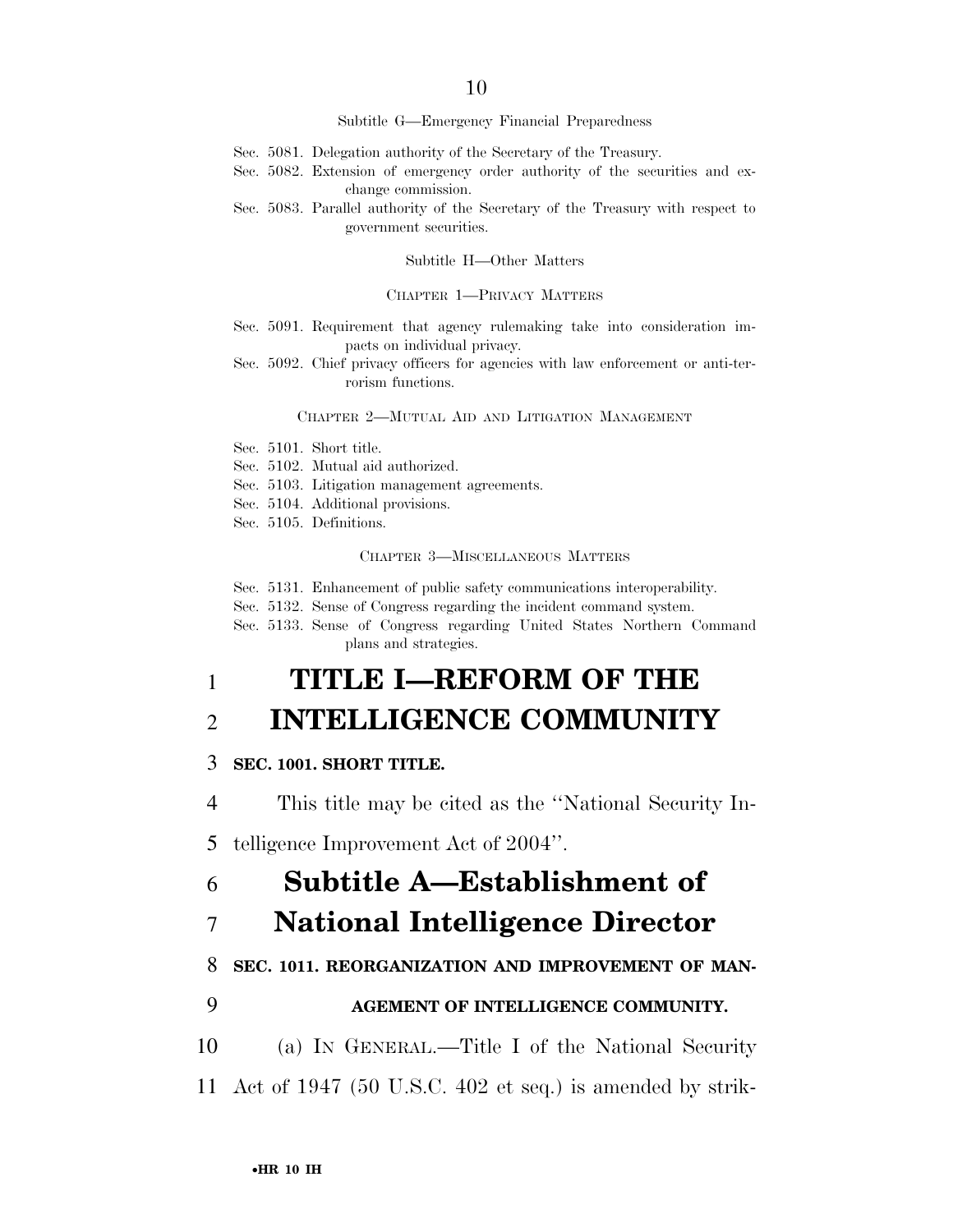#### Subtitle G—Emergency Financial Preparedness

- Sec. 5081. Delegation authority of the Secretary of the Treasury.
- Sec. 5082. Extension of emergency order authority of the securities and exchange commission.
- Sec. 5083. Parallel authority of the Secretary of the Treasury with respect to government securities.

#### Subtitle H—Other Matters

#### CHAPTER 1—PRIVACY MATTERS

- Sec. 5091. Requirement that agency rulemaking take into consideration impacts on individual privacy.
- Sec. 5092. Chief privacy officers for agencies with law enforcement or anti-terrorism functions.

#### CHAPTER 2—MUTUAL AID AND LITIGATION MANAGEMENT

- Sec. 5101. Short title.
- Sec. 5102. Mutual aid authorized.
- Sec. 5103. Litigation management agreements.
- Sec. 5104. Additional provisions.
- Sec. 5105. Definitions.

## CHAPTER 3—MISCELLANEOUS MATTERS

Sec. 5131. Enhancement of public safety communications interoperability.

Sec. 5132. Sense of Congress regarding the incident command system.

Sec. 5133. Sense of Congress regarding United States Northern Command plans and strategies.

# 1 **TITLE I—REFORM OF THE**

# 2 **INTELLIGENCE COMMUNITY**

# 3 **SEC. 1001. SHORT TITLE.**

4 This title may be cited as the ''National Security In-

5 telligence Improvement Act of 2004''.

# 6 **Subtitle A—Establishment of**

# 7 **National Intelligence Director**

# 8 **SEC. 1011. REORGANIZATION AND IMPROVEMENT OF MAN-**

# 9 **AGEMENT OF INTELLIGENCE COMMUNITY.**

- 10 (a) IN GENERAL.—Title I of the National Security
- 11 Act of 1947 (50 U.S.C. 402 et seq.) is amended by strik-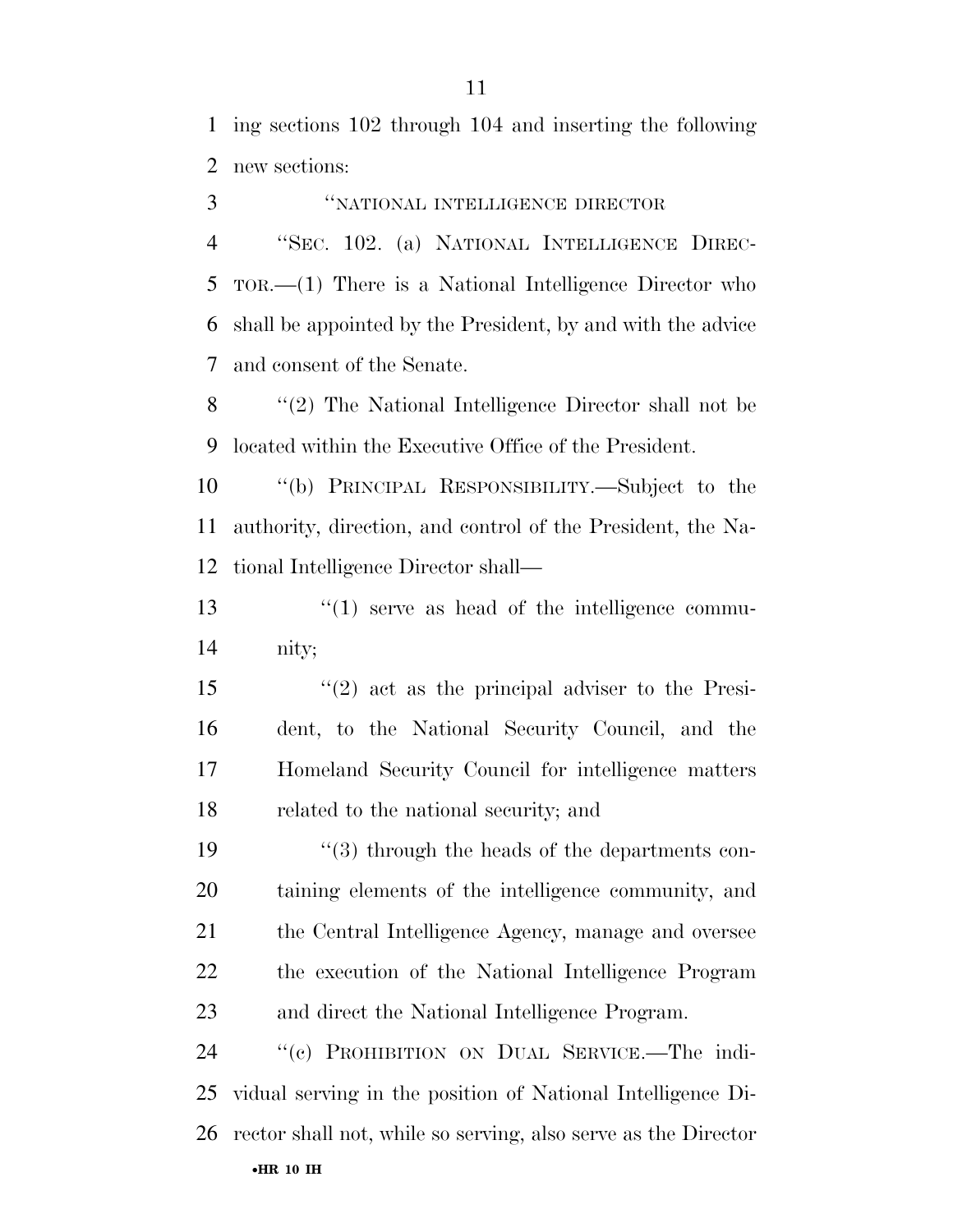ing sections 102 through 104 and inserting the following new sections:

 ''NATIONAL INTELLIGENCE DIRECTOR ''SEC. 102. (a) NATIONAL INTELLIGENCE DIREC- TOR.—(1) There is a National Intelligence Director who shall be appointed by the President, by and with the advice and consent of the Senate. ''(2) The National Intelligence Director shall not be located within the Executive Office of the President. ''(b) PRINCIPAL RESPONSIBILITY.—Subject to the authority, direction, and control of the President, the Na- tional Intelligence Director shall—  $\frac{13}{2}$   $\frac{13}{2}$  serve as head of the intelligence commu- nity; ''(2) act as the principal adviser to the Presi- dent, to the National Security Council, and the Homeland Security Council for intelligence matters related to the national security; and 19 ''(3) through the heads of the departments con- taining elements of the intelligence community, and the Central Intelligence Agency, manage and oversee the execution of the National Intelligence Program and direct the National Intelligence Program. ''(c) PROHIBITION ON DUAL SERVICE.—The indi- vidual serving in the position of National Intelligence Di-rector shall not, while so serving, also serve as the Director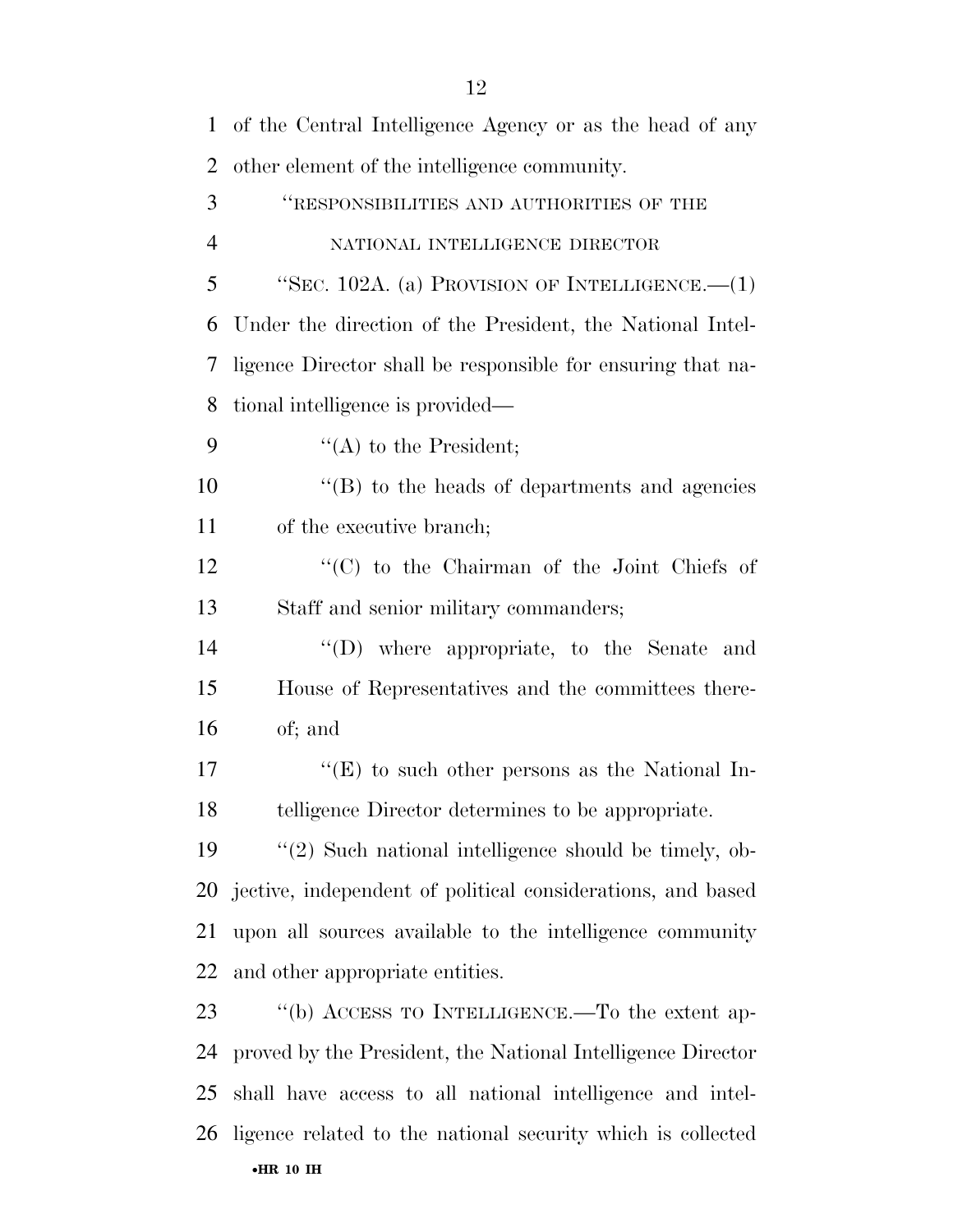| $\mathbf{1}$   | of the Central Intelligence Agency or as the head of any    |
|----------------|-------------------------------------------------------------|
| $\overline{2}$ | other element of the intelligence community.                |
| 3              | "RESPONSIBILITIES AND AUTHORITIES OF THE                    |
| $\overline{4}$ | NATIONAL INTELLIGENCE DIRECTOR                              |
| 5              | "SEC. 102A. (a) PROVISION OF INTELLIGENCE.— $(1)$           |
| 6              | Under the direction of the President, the National Intel-   |
| 7              | ligence Director shall be responsible for ensuring that na- |
| 8              | tional intelligence is provided—                            |
| 9              | $\lq\lq$ to the President;                                  |
| 10             | $\lq$ (B) to the heads of departments and agencies          |
| 11             | of the executive branch;                                    |
| 12             | " $(C)$ to the Chairman of the Joint Chiefs of              |
| 13             | Staff and senior military commanders;                       |
| 14             | "(D) where appropriate, to the Senate and                   |
| 15             | House of Representatives and the committees there-          |
| 16             | of; and                                                     |
| 17             | $\lq\lq$ to such other persons as the National In-          |
| 18             | telligence Director determines to be appropriate.           |
| 19             | $\lq(2)$ Such national intelligence should be timely, ob-   |
| 20             | jective, independent of political considerations, and based |
| 21             | upon all sources available to the intelligence community    |
| 22             | and other appropriate entities.                             |
| 23             | "(b) ACCESS TO INTELLIGENCE.—To the extent ap-              |
| 24             | proved by the President, the National Intelligence Director |
| 25             | shall have access to all national intelligence and intel-   |
| 26             | ligence related to the national security which is collected |
|                | $\bullet$ HR 10 IH                                          |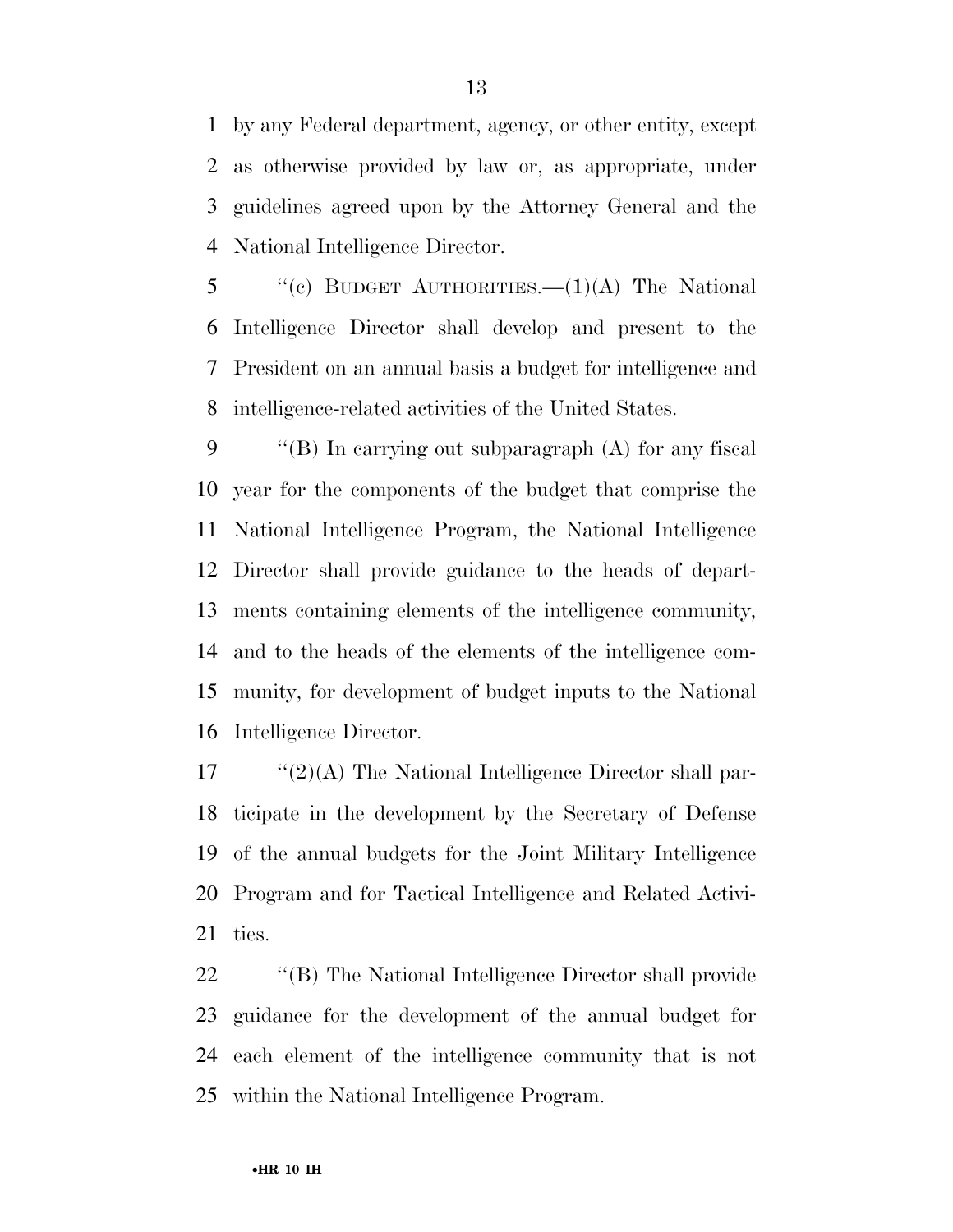by any Federal department, agency, or other entity, except as otherwise provided by law or, as appropriate, under guidelines agreed upon by the Attorney General and the National Intelligence Director.

 "(c) BUDGET AUTHORITIES.  $-(1)(A)$  The National Intelligence Director shall develop and present to the President on an annual basis a budget for intelligence and intelligence-related activities of the United States.

 ''(B) In carrying out subparagraph (A) for any fiscal year for the components of the budget that comprise the National Intelligence Program, the National Intelligence Director shall provide guidance to the heads of depart- ments containing elements of the intelligence community, and to the heads of the elements of the intelligence com- munity, for development of budget inputs to the National Intelligence Director.

 "'(2)(A) The National Intelligence Director shall par- ticipate in the development by the Secretary of Defense of the annual budgets for the Joint Military Intelligence Program and for Tactical Intelligence and Related Activi-ties.

 ''(B) The National Intelligence Director shall provide guidance for the development of the annual budget for each element of the intelligence community that is not within the National Intelligence Program.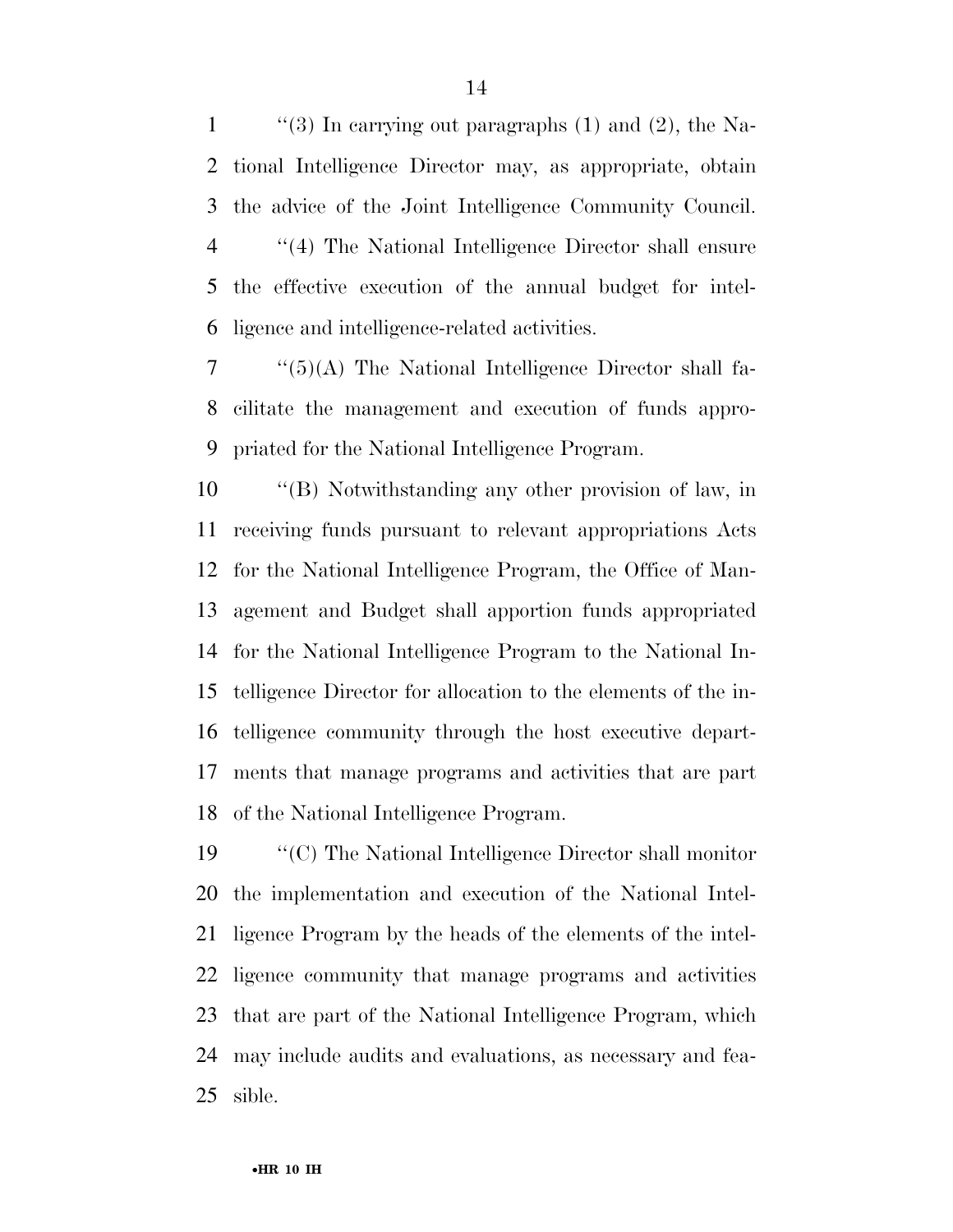$\qquad$  "(3) In carrying out paragraphs (1) and (2), the Na- tional Intelligence Director may, as appropriate, obtain the advice of the Joint Intelligence Community Council. ''(4) The National Intelligence Director shall ensure the effective execution of the annual budget for intel-ligence and intelligence-related activities.

 ''(5)(A) The National Intelligence Director shall fa- cilitate the management and execution of funds appro-priated for the National Intelligence Program.

 ''(B) Notwithstanding any other provision of law, in receiving funds pursuant to relevant appropriations Acts for the National Intelligence Program, the Office of Man- agement and Budget shall apportion funds appropriated for the National Intelligence Program to the National In- telligence Director for allocation to the elements of the in- telligence community through the host executive depart- ments that manage programs and activities that are part of the National Intelligence Program.

 ''(C) The National Intelligence Director shall monitor the implementation and execution of the National Intel- ligence Program by the heads of the elements of the intel- ligence community that manage programs and activities that are part of the National Intelligence Program, which may include audits and evaluations, as necessary and fea-sible.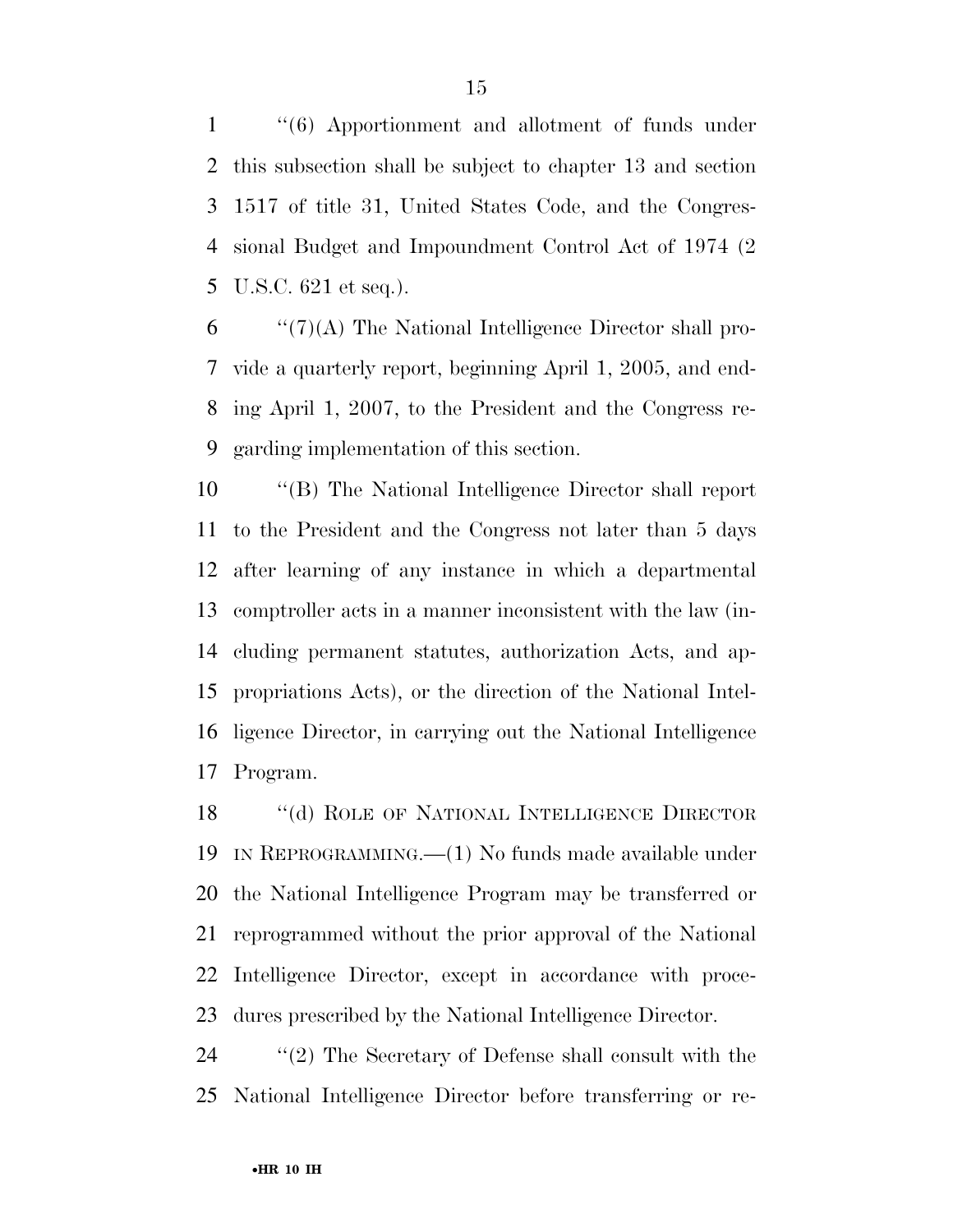''(6) Apportionment and allotment of funds under this subsection shall be subject to chapter 13 and section 1517 of title 31, United States Code, and the Congres- sional Budget and Impoundment Control Act of 1974 (2 U.S.C. 621 et seq.).

 "'(7)(A) The National Intelligence Director shall pro- vide a quarterly report, beginning April 1, 2005, and end- ing April 1, 2007, to the President and the Congress re-garding implementation of this section.

 ''(B) The National Intelligence Director shall report to the President and the Congress not later than 5 days after learning of any instance in which a departmental comptroller acts in a manner inconsistent with the law (in- cluding permanent statutes, authorization Acts, and ap- propriations Acts), or the direction of the National Intel- ligence Director, in carrying out the National Intelligence Program.

18 "(d) ROLE OF NATIONAL INTELLIGENCE DIRECTOR IN REPROGRAMMING.—(1) No funds made available under the National Intelligence Program may be transferred or reprogrammed without the prior approval of the National Intelligence Director, except in accordance with proce-dures prescribed by the National Intelligence Director.

 ''(2) The Secretary of Defense shall consult with the National Intelligence Director before transferring or re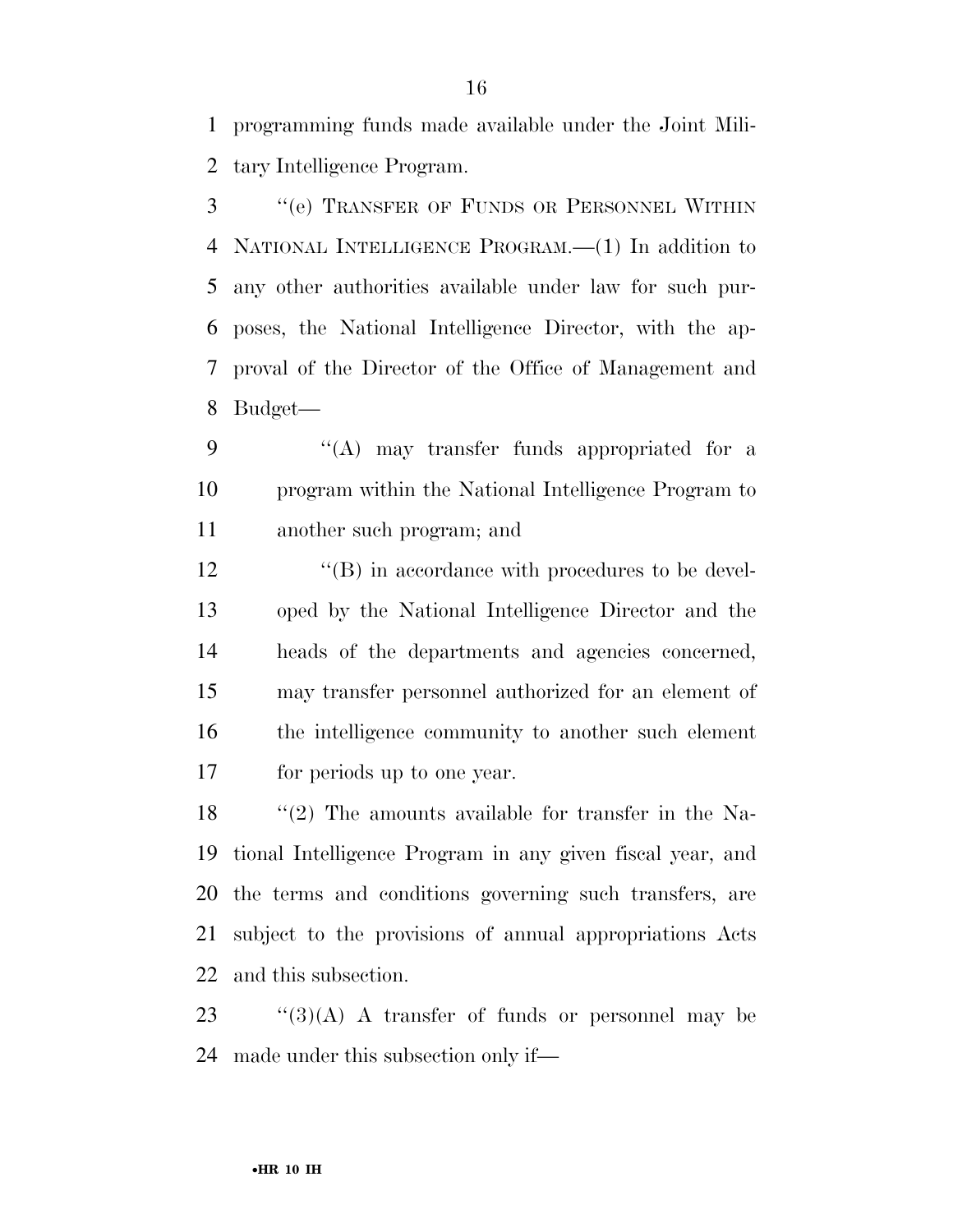programming funds made available under the Joint Mili-tary Intelligence Program.

 ''(e) TRANSFER OF FUNDS OR PERSONNEL WITHIN NATIONAL INTELLIGENCE PROGRAM.—(1) In addition to any other authorities available under law for such pur- poses, the National Intelligence Director, with the ap- proval of the Director of the Office of Management and Budget—

9 "(A) may transfer funds appropriated for a program within the National Intelligence Program to another such program; and

12 ''(B) in accordance with procedures to be devel- oped by the National Intelligence Director and the heads of the departments and agencies concerned, may transfer personnel authorized for an element of the intelligence community to another such element for periods up to one year.

18 ''(2) The amounts available for transfer in the Na- tional Intelligence Program in any given fiscal year, and the terms and conditions governing such transfers, are subject to the provisions of annual appropriations Acts and this subsection.

 ''(3)(A) A transfer of funds or personnel may be made under this subsection only if—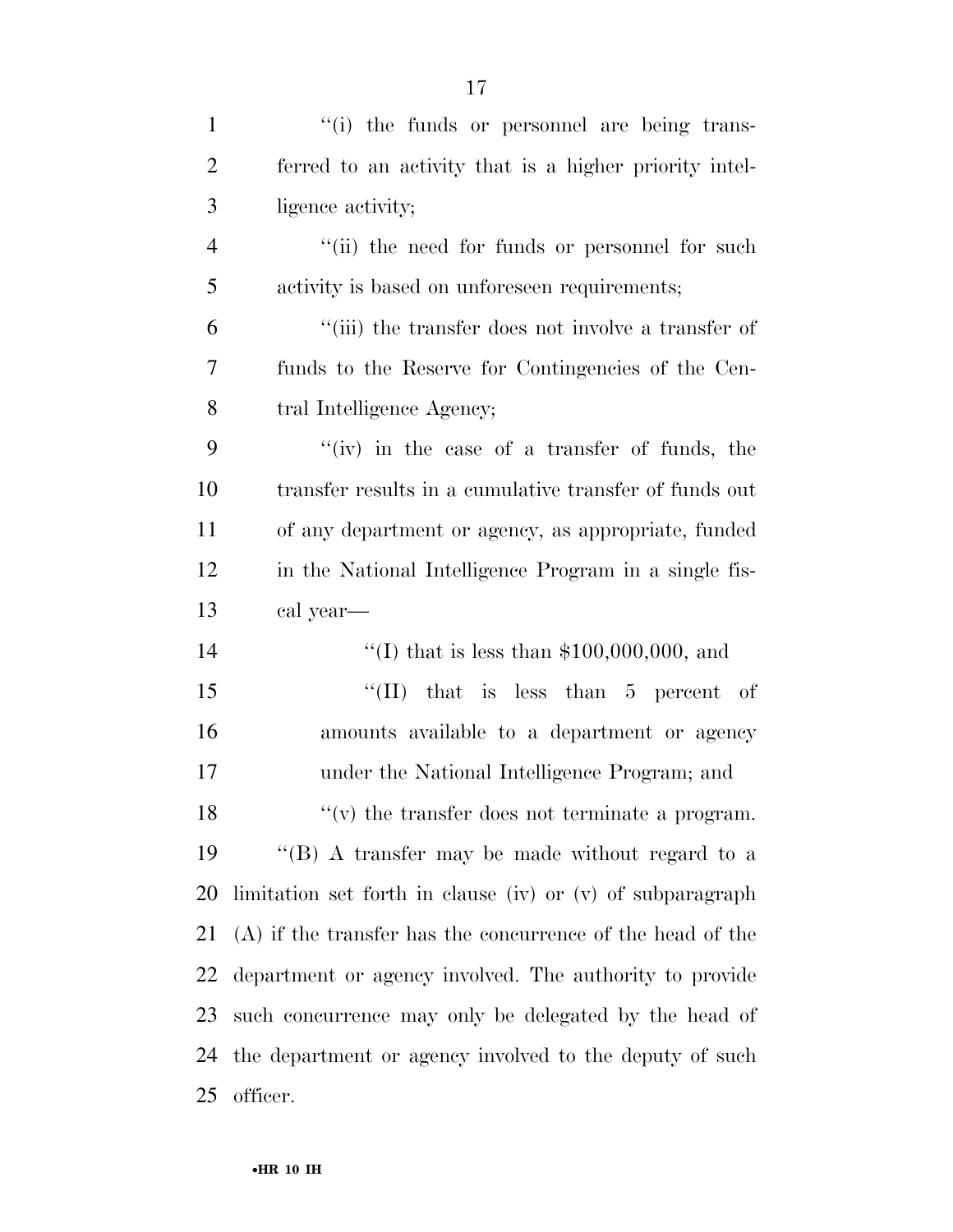| $\mathbf{1}$   | "(i) the funds or personnel are being trans-                 |
|----------------|--------------------------------------------------------------|
| $\overline{2}$ | ferred to an activity that is a higher priority intel-       |
| 3              | ligence activity;                                            |
| $\overline{4}$ | "(ii) the need for funds or personnel for such               |
| 5              | activity is based on unforeseen requirements;                |
| 6              | "(iii) the transfer does not involve a transfer of           |
| 7              | funds to the Reserve for Contingencies of the Cen-           |
| 8              | tral Intelligence Agency;                                    |
| 9              | "(iv) in the case of a transfer of funds, the                |
| 10             | transfer results in a cumulative transfer of funds out       |
| 11             | of any department or agency, as appropriate, funded          |
| 12             | in the National Intelligence Program in a single fis-        |
|                |                                                              |
| 13             | cal year—                                                    |
| 14             | "(I) that is less than $$100,000,000$ , and                  |
| 15             | "(II) that is less than $5$ percent of                       |
| 16             | amounts available to a department or agency                  |
| 17             | under the National Intelligence Program; and                 |
| 18             | $f'(v)$ the transfer does not terminate a program.           |
| 19             | $\lq$ (B) A transfer may be made without regard to a         |
| 20             | limitation set forth in clause (iv) or (v) of subparagraph   |
| 21             | $(A)$ if the transfer has the concurrence of the head of the |
| 22             | department or agency involved. The authority to provide      |
| 23             | such concurrence may only be delegated by the head of        |
| 24             | the department or agency involved to the deputy of such      |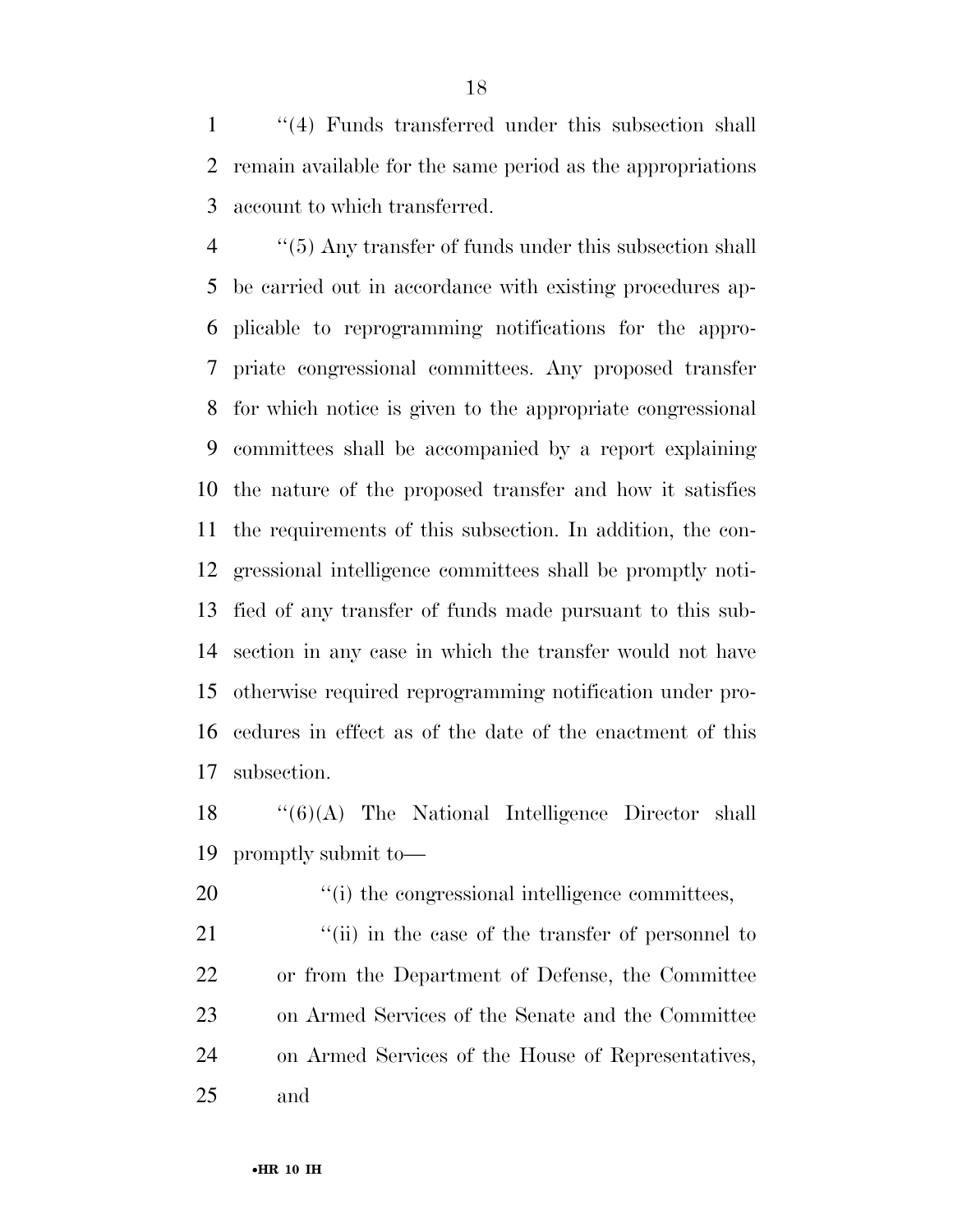''(4) Funds transferred under this subsection shall remain available for the same period as the appropriations account to which transferred.

 ''(5) Any transfer of funds under this subsection shall be carried out in accordance with existing procedures ap- plicable to reprogramming notifications for the appro- priate congressional committees. Any proposed transfer for which notice is given to the appropriate congressional committees shall be accompanied by a report explaining the nature of the proposed transfer and how it satisfies the requirements of this subsection. In addition, the con- gressional intelligence committees shall be promptly noti- fied of any transfer of funds made pursuant to this sub- section in any case in which the transfer would not have otherwise required reprogramming notification under pro- cedures in effect as of the date of the enactment of this subsection.

 ''(6)(A) The National Intelligence Director shall promptly submit to—

20  $\frac{1}{20}$  The congressional intelligence committees,

21 ''(ii) in the case of the transfer of personnel to or from the Department of Defense, the Committee on Armed Services of the Senate and the Committee on Armed Services of the House of Representatives, and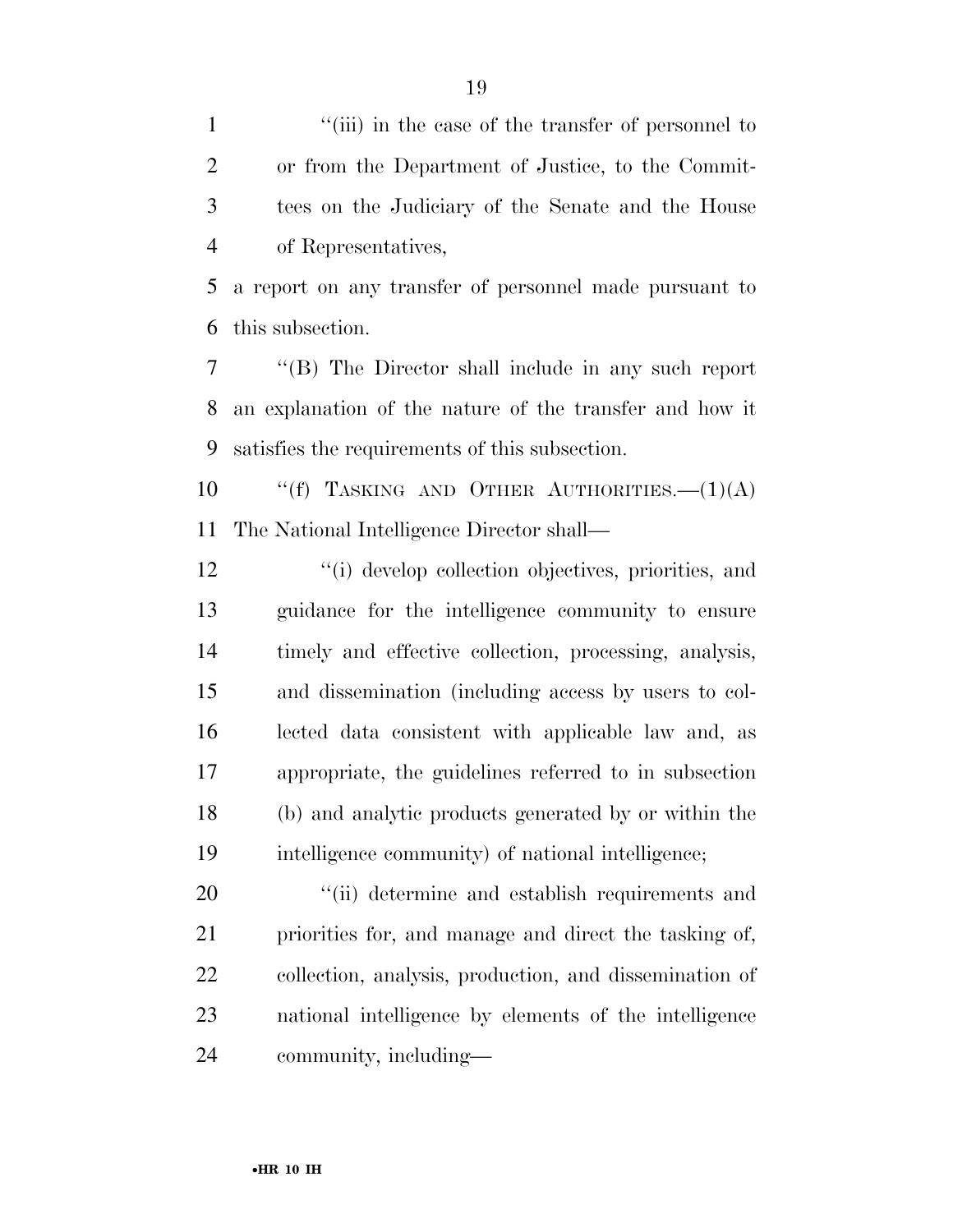1 ''(iii) in the case of the transfer of personnel to or from the Department of Justice, to the Commit- tees on the Judiciary of the Senate and the House of Representatives,

 a report on any transfer of personnel made pursuant to this subsection.

 ''(B) The Director shall include in any such report an explanation of the nature of the transfer and how it satisfies the requirements of this subsection.

10  $\text{``(f)}$  TASKING AND OTHER AUTHORITIES.  $-(1)(A)$ The National Intelligence Director shall—

 ''(i) develop collection objectives, priorities, and guidance for the intelligence community to ensure timely and effective collection, processing, analysis, and dissemination (including access by users to col- lected data consistent with applicable law and, as appropriate, the guidelines referred to in subsection (b) and analytic products generated by or within the intelligence community) of national intelligence;

 $\frac{1}{20}$  (ii) determine and establish requirements and priorities for, and manage and direct the tasking of, collection, analysis, production, and dissemination of national intelligence by elements of the intelligence community, including—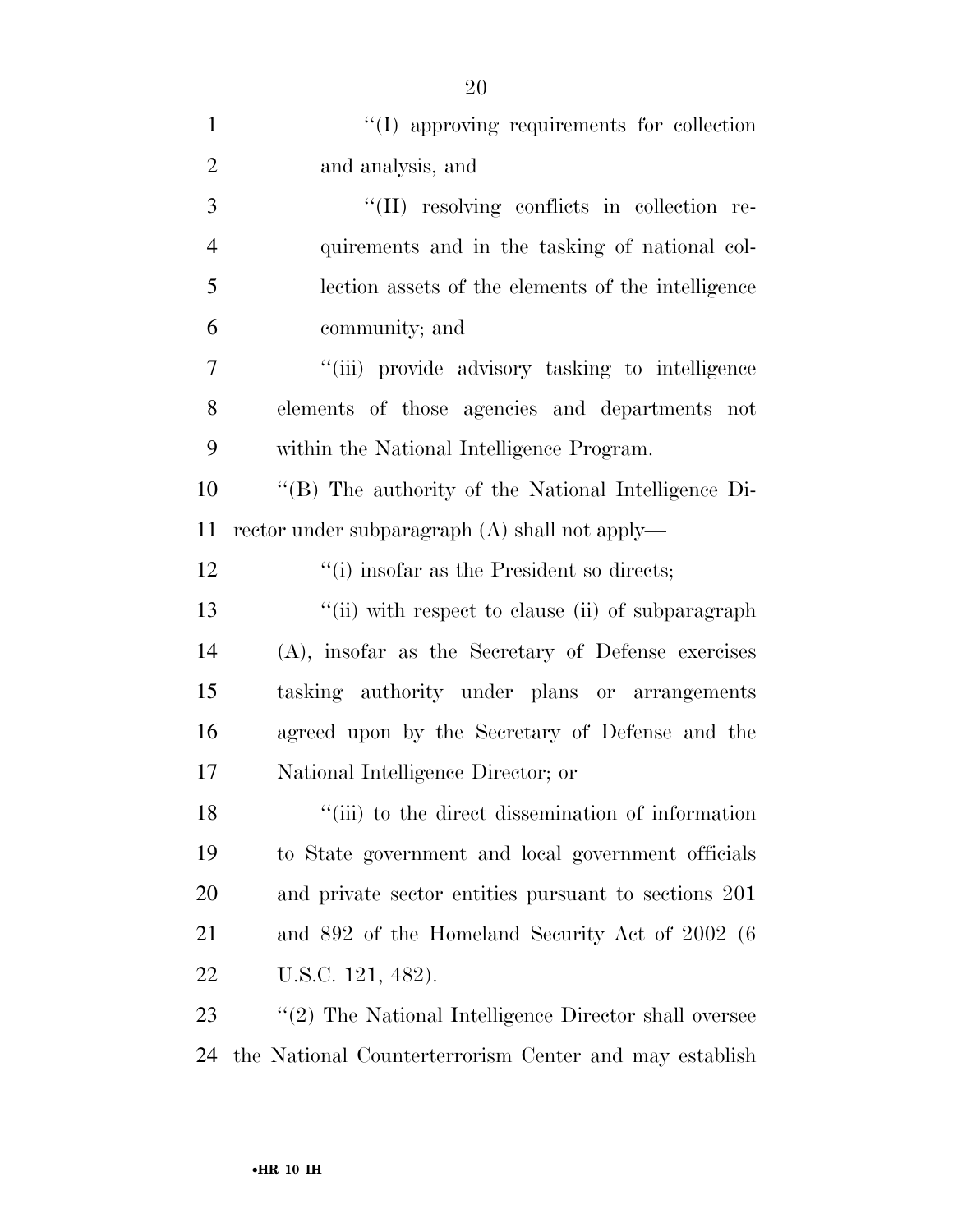| $\mathbf{1}$   | "(I) approving requirements for collection              |
|----------------|---------------------------------------------------------|
| $\overline{2}$ | and analysis, and                                       |
| 3              | "(II) resolving conflicts in collection re-             |
| $\overline{4}$ | quirements and in the tasking of national col-          |
| 5              | lection assets of the elements of the intelligence      |
| 6              | community; and                                          |
| 7              | "(iii) provide advisory tasking to intelligence         |
| 8              | elements of those agencies and departments not          |
| 9              | within the National Intelligence Program.               |
| 10             | "(B) The authority of the National Intelligence Di-     |
| 11             | rector under subparagraph $(A)$ shall not apply—        |
| 12             | "(i) insofar as the President so directs;               |
| 13             | "(ii) with respect to clause (ii) of subparagraph       |
| 14             | (A), insofar as the Secretary of Defense exercises      |
| 15             | tasking authority under plans or arrangements           |
| 16             | agreed upon by the Secretary of Defense and the         |
| 17             | National Intelligence Director; or                      |
| 18             | "(iii) to the direct dissemination of information       |
| 19             | to State government and local government officials      |
| 20             | and private sector entities pursuant to sections 201    |
| 21             | and 892 of the Homeland Security Act of 2002 (6)        |
| 22             | U.S.C. 121, 482).                                       |
| 23             | $"(2)$ The National Intelligence Director shall oversee |
| 24             | the National Counterterrorism Center and may establish  |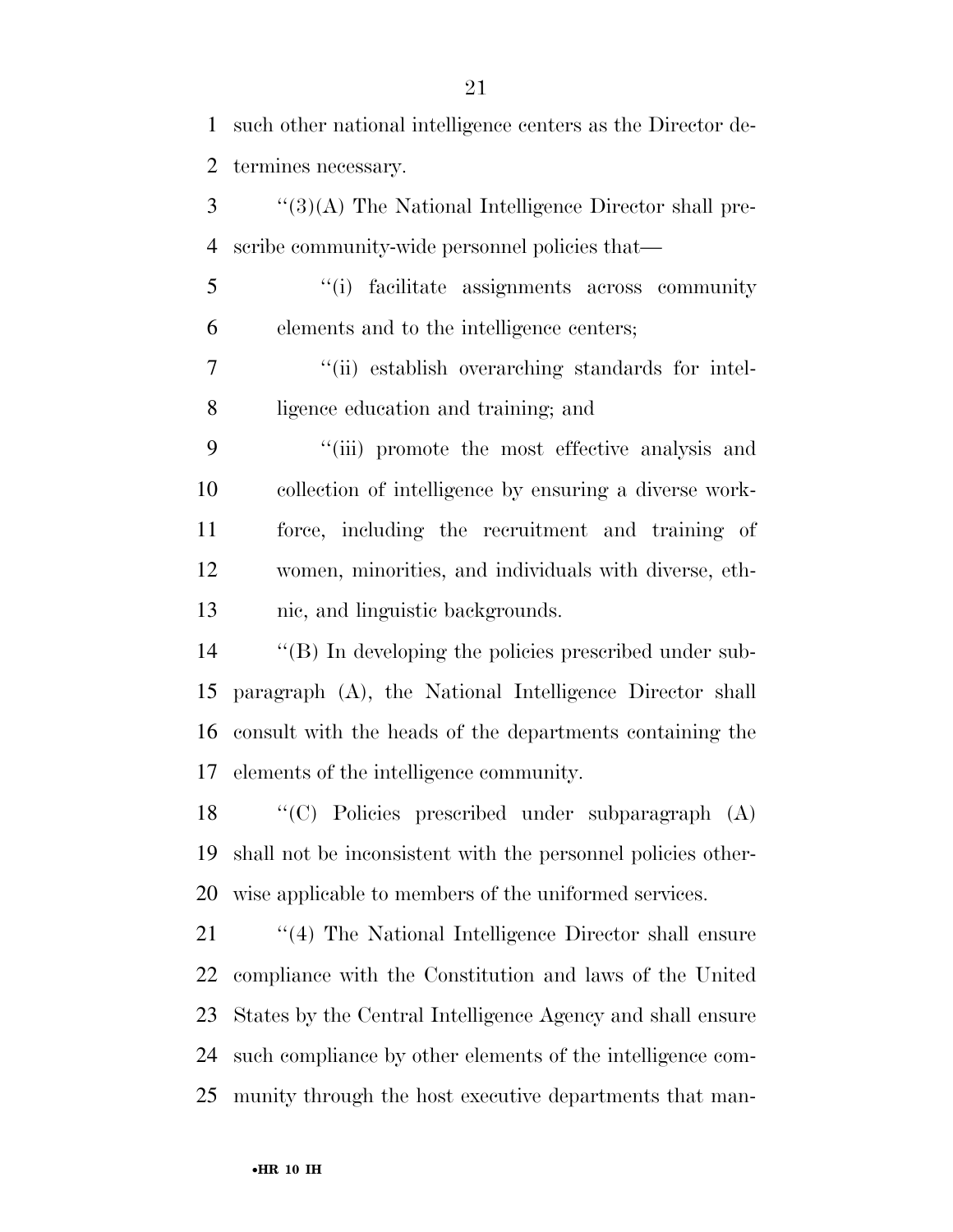such other national intelligence centers as the Director de-termines necessary.

 ''(3)(A) The National Intelligence Director shall pre-scribe community-wide personnel policies that—

 ''(i) facilitate assignments across community elements and to the intelligence centers;

 ''(ii) establish overarching standards for intel-ligence education and training; and

 ''(iii) promote the most effective analysis and collection of intelligence by ensuring a diverse work- force, including the recruitment and training of women, minorities, and individuals with diverse, eth-nic, and linguistic backgrounds.

 ''(B) In developing the policies prescribed under sub- paragraph (A), the National Intelligence Director shall consult with the heads of the departments containing the elements of the intelligence community.

 ''(C) Policies prescribed under subparagraph (A) shall not be inconsistent with the personnel policies other-wise applicable to members of the uniformed services.

21 ''(4) The National Intelligence Director shall ensure compliance with the Constitution and laws of the United States by the Central Intelligence Agency and shall ensure such compliance by other elements of the intelligence com-munity through the host executive departments that man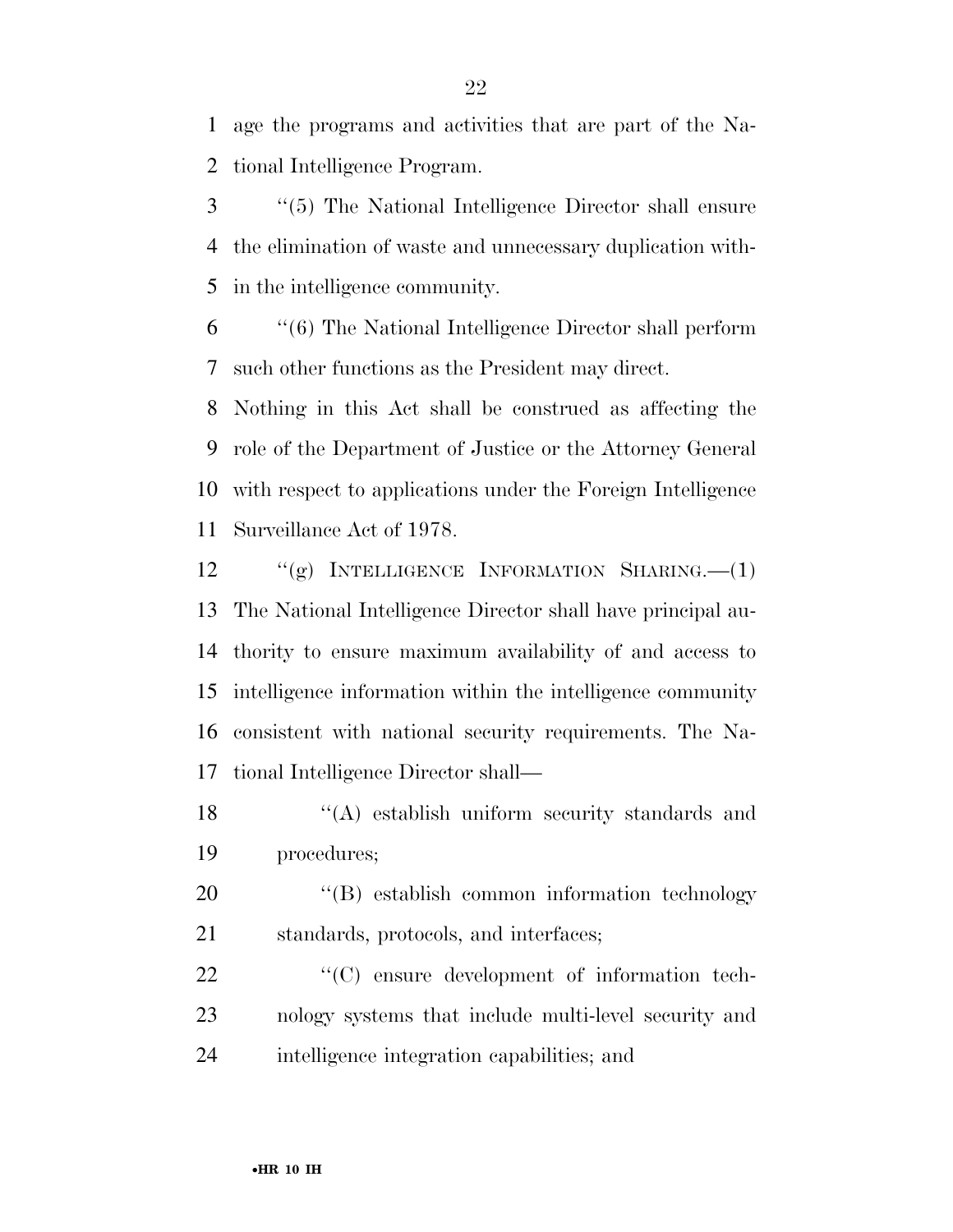age the programs and activities that are part of the Na-tional Intelligence Program.

 ''(5) The National Intelligence Director shall ensure the elimination of waste and unnecessary duplication with-in the intelligence community.

 ''(6) The National Intelligence Director shall perform such other functions as the President may direct.

 Nothing in this Act shall be construed as affecting the role of the Department of Justice or the Attorney General with respect to applications under the Foreign Intelligence Surveillance Act of 1978.

 ''(g) INTELLIGENCE INFORMATION SHARING.—(1) The National Intelligence Director shall have principal au- thority to ensure maximum availability of and access to intelligence information within the intelligence community consistent with national security requirements. The Na-tional Intelligence Director shall—

18 ''(A) establish uniform security standards and procedures;

20 <sup>"</sup>(B) establish common information technology standards, protocols, and interfaces;

22  $\langle ^{\prime}(C) \rangle$  ensure development of information tech- nology systems that include multi-level security and intelligence integration capabilities; and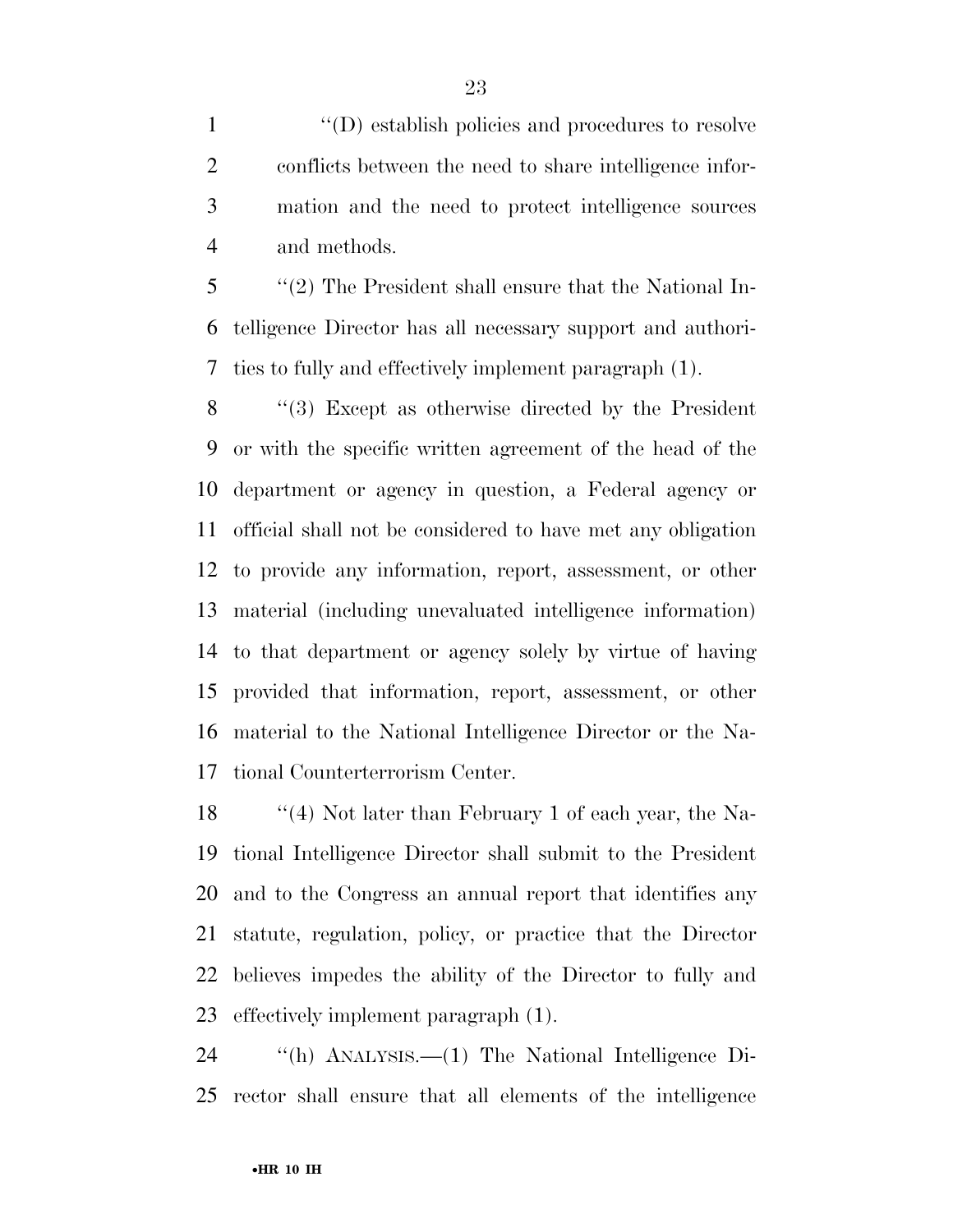$\langle (D) \rangle$  establish policies and procedures to resolve conflicts between the need to share intelligence infor- mation and the need to protect intelligence sources and methods.

 ''(2) The President shall ensure that the National In- telligence Director has all necessary support and authori-ties to fully and effectively implement paragraph (1).

 ''(3) Except as otherwise directed by the President or with the specific written agreement of the head of the department or agency in question, a Federal agency or official shall not be considered to have met any obligation to provide any information, report, assessment, or other material (including unevaluated intelligence information) to that department or agency solely by virtue of having provided that information, report, assessment, or other material to the National Intelligence Director or the Na-tional Counterterrorism Center.

 ''(4) Not later than February 1 of each year, the Na- tional Intelligence Director shall submit to the President and to the Congress an annual report that identifies any statute, regulation, policy, or practice that the Director believes impedes the ability of the Director to fully and effectively implement paragraph (1).

 ''(h) ANALYSIS.—(1) The National Intelligence Di-rector shall ensure that all elements of the intelligence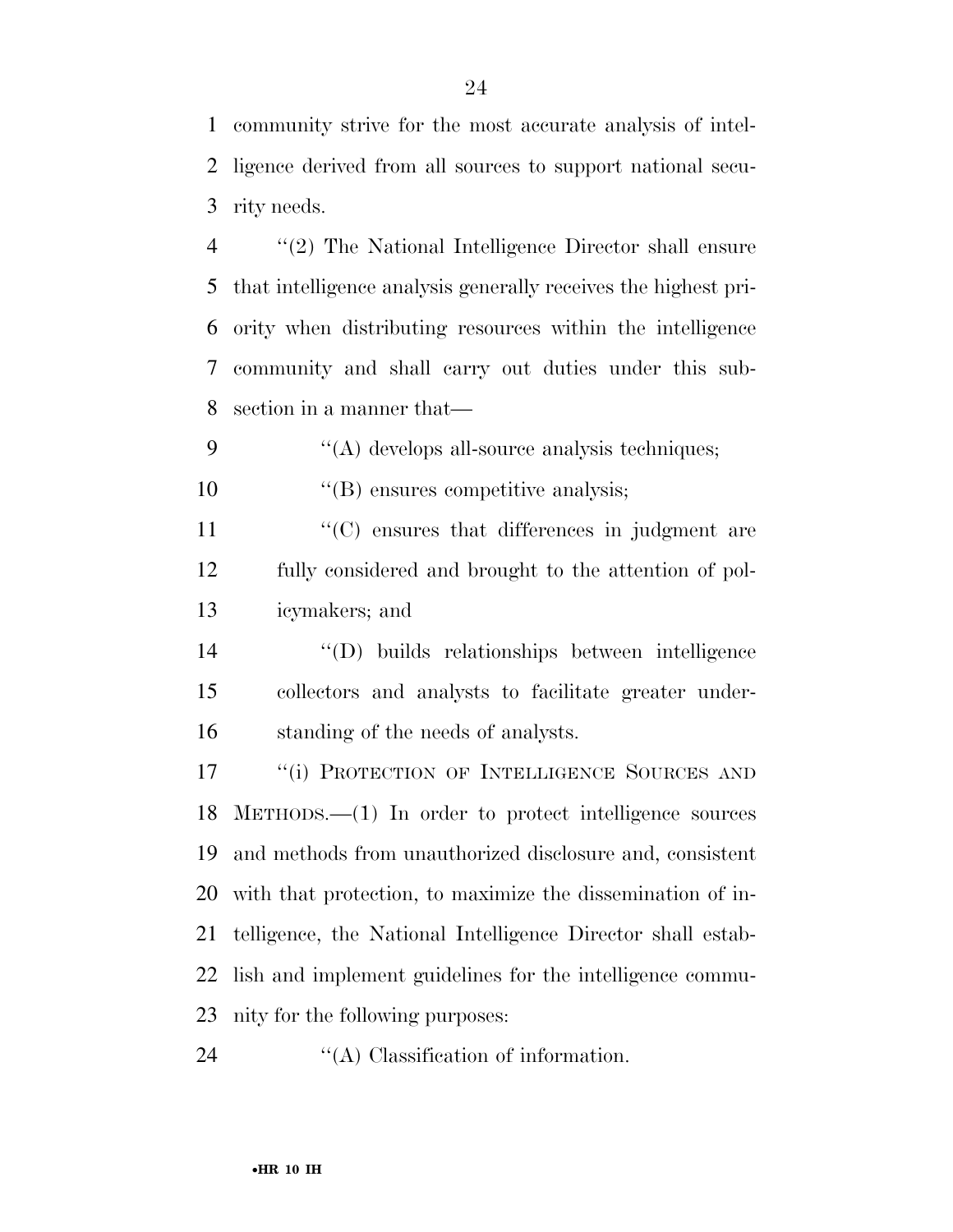community strive for the most accurate analysis of intel- ligence derived from all sources to support national secu-rity needs.

 ''(2) The National Intelligence Director shall ensure that intelligence analysis generally receives the highest pri- ority when distributing resources within the intelligence community and shall carry out duties under this sub-section in a manner that—

''(A) develops all-source analysis techniques;

10  $"$ (B) ensures competitive analysis;

11  $\langle ^{\prime}(C) \rangle$  ensures that differences in judgment are fully considered and brought to the attention of pol-icymakers; and

 ''(D) builds relationships between intelligence collectors and analysts to facilitate greater under-standing of the needs of analysts.

17 "(i) PROTECTION OF INTELLIGENCE SOURCES AND METHODS.—(1) In order to protect intelligence sources and methods from unauthorized disclosure and, consistent with that protection, to maximize the dissemination of in- telligence, the National Intelligence Director shall estab- lish and implement guidelines for the intelligence commu-nity for the following purposes:

24  $\cdot$  (A) Classification of information.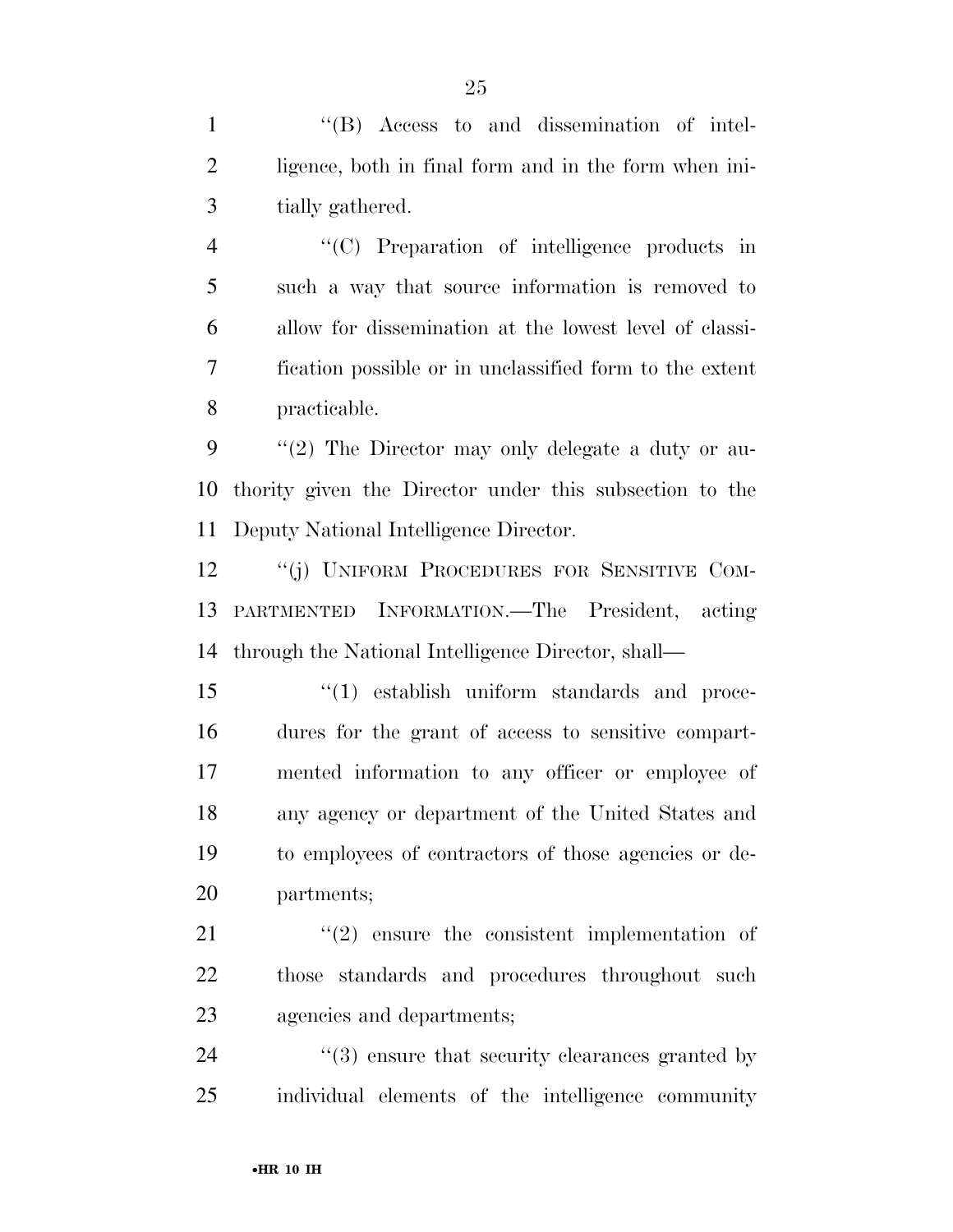''(B) Access to and dissemination of intel- ligence, both in final form and in the form when ini-tially gathered.

 ''(C) Preparation of intelligence products in such a way that source information is removed to allow for dissemination at the lowest level of classi- fication possible or in unclassified form to the extent practicable.

 ''(2) The Director may only delegate a duty or au- thority given the Director under this subsection to the Deputy National Intelligence Director.

12 "(j) UNIFORM PROCEDURES FOR SENSITIVE COM- PARTMENTED INFORMATION.—The President, acting through the National Intelligence Director, shall—

 ''(1) establish uniform standards and proce- dures for the grant of access to sensitive compart- mented information to any officer or employee of any agency or department of the United States and to employees of contractors of those agencies or de-partments;

 $\frac{1}{21}$  ''(2) ensure the consistent implementation of those standards and procedures throughout such agencies and departments;

24 ''(3) ensure that security clearances granted by individual elements of the intelligence community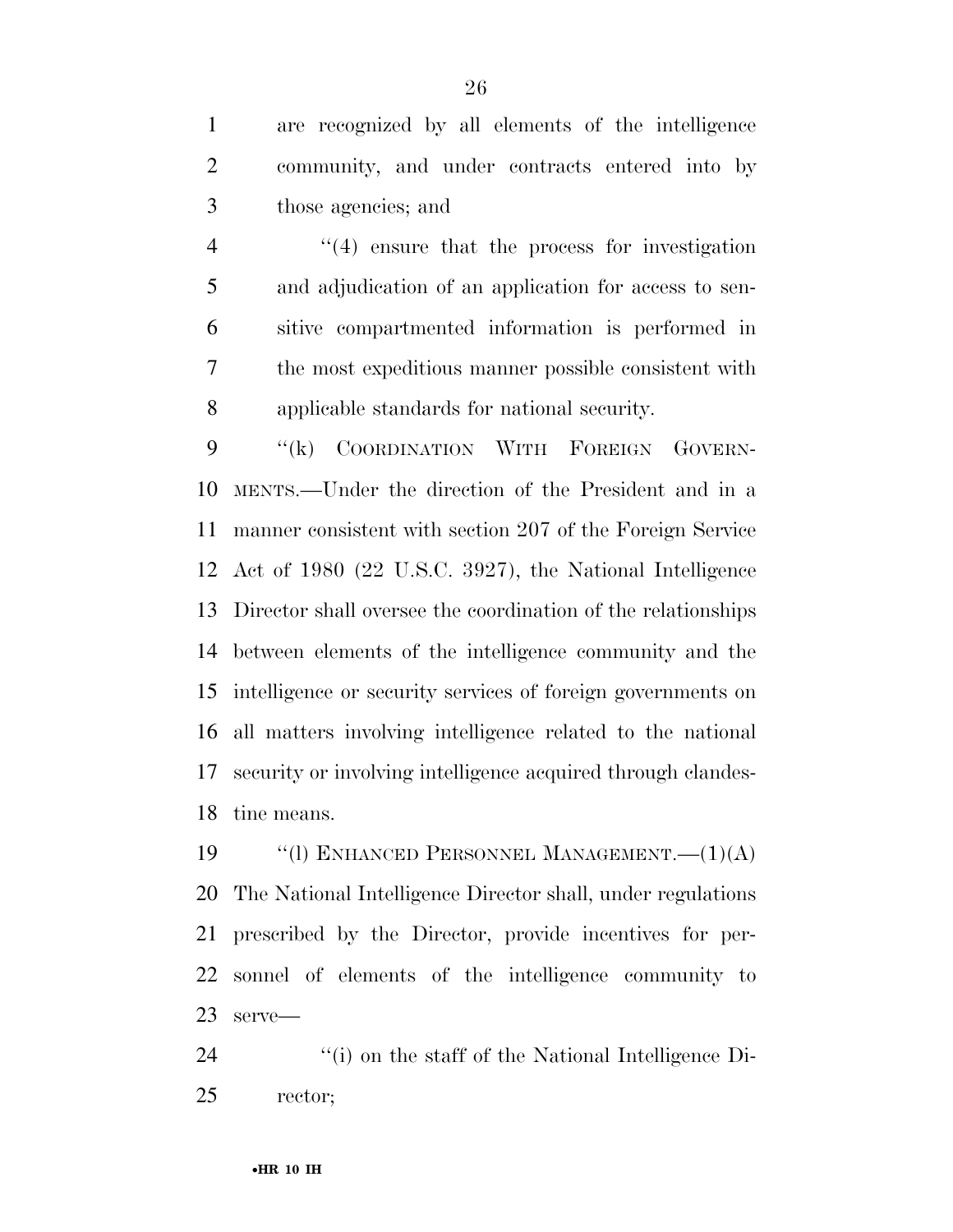are recognized by all elements of the intelligence community, and under contracts entered into by those agencies; and

 ''(4) ensure that the process for investigation and adjudication of an application for access to sen- sitive compartmented information is performed in the most expeditious manner possible consistent with applicable standards for national security.

 ''(k) COORDINATION WITH FOREIGN GOVERN- MENTS.—Under the direction of the President and in a manner consistent with section 207 of the Foreign Service Act of 1980 (22 U.S.C. 3927), the National Intelligence Director shall oversee the coordination of the relationships between elements of the intelligence community and the intelligence or security services of foreign governments on all matters involving intelligence related to the national security or involving intelligence acquired through clandes-tine means.

19 "(1) ENHANCED PERSONNEL MANAGEMENT. - (1)(A) The National Intelligence Director shall, under regulations prescribed by the Director, provide incentives for per- sonnel of elements of the intelligence community to serve—

24 ''(i) on the staff of the National Intelligence Di-rector;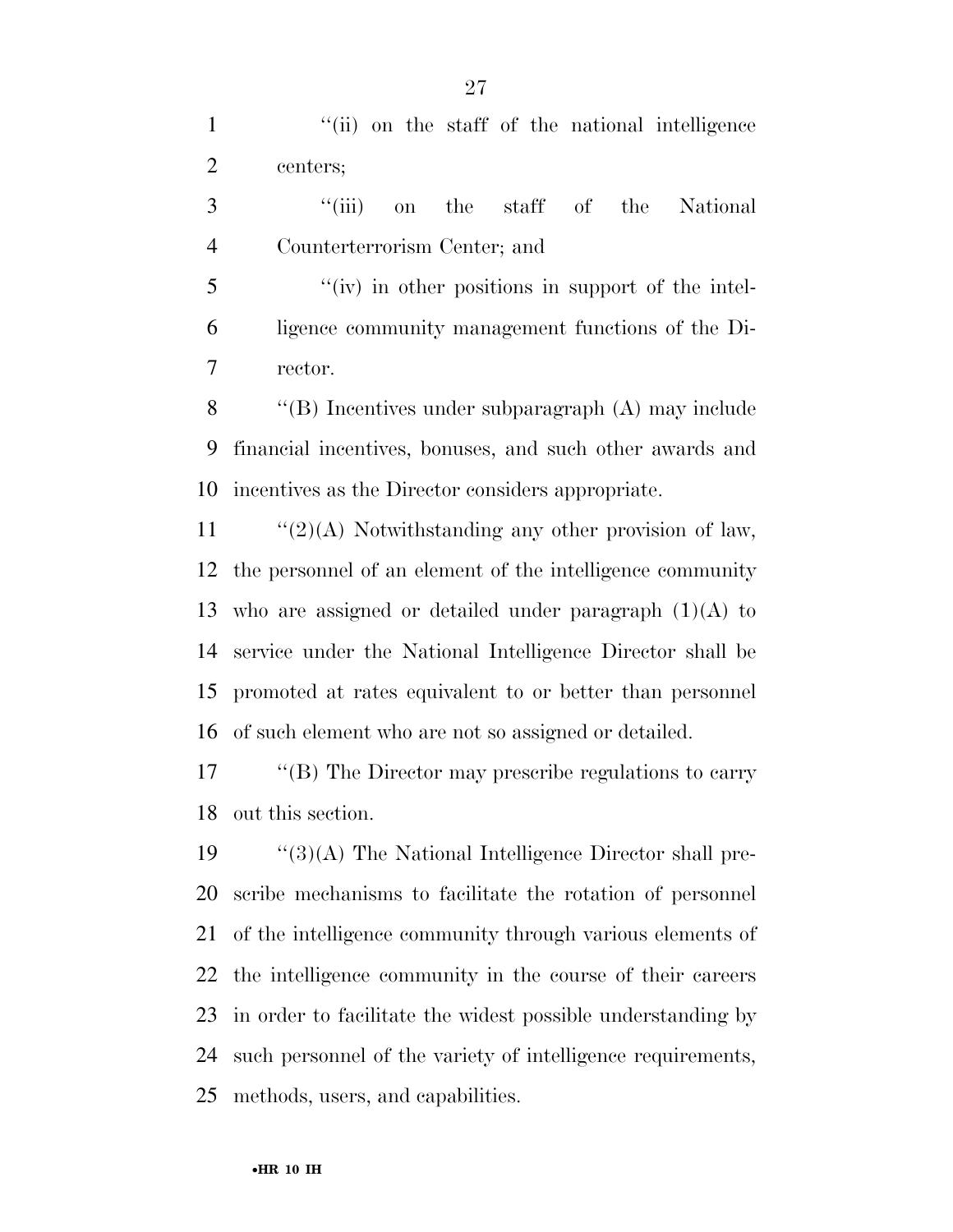1 ''(ii) on the staff of the national intelligence centers;

 ''(iii) on the staff of the National Counterterrorism Center; and

 ''(iv) in other positions in support of the intel- ligence community management functions of the Di-rector.

 ''(B) Incentives under subparagraph (A) may include financial incentives, bonuses, and such other awards and incentives as the Director considers appropriate.

 $\frac{1}{2}(2)$  Notwithstanding any other provision of law, the personnel of an element of the intelligence community 13 who are assigned or detailed under paragraph  $(1)(A)$  to service under the National Intelligence Director shall be promoted at rates equivalent to or better than personnel of such element who are not so assigned or detailed.

 ''(B) The Director may prescribe regulations to carry out this section.

 $\frac{1}{3}(A)$  The National Intelligence Director shall pre- scribe mechanisms to facilitate the rotation of personnel of the intelligence community through various elements of the intelligence community in the course of their careers in order to facilitate the widest possible understanding by such personnel of the variety of intelligence requirements, methods, users, and capabilities.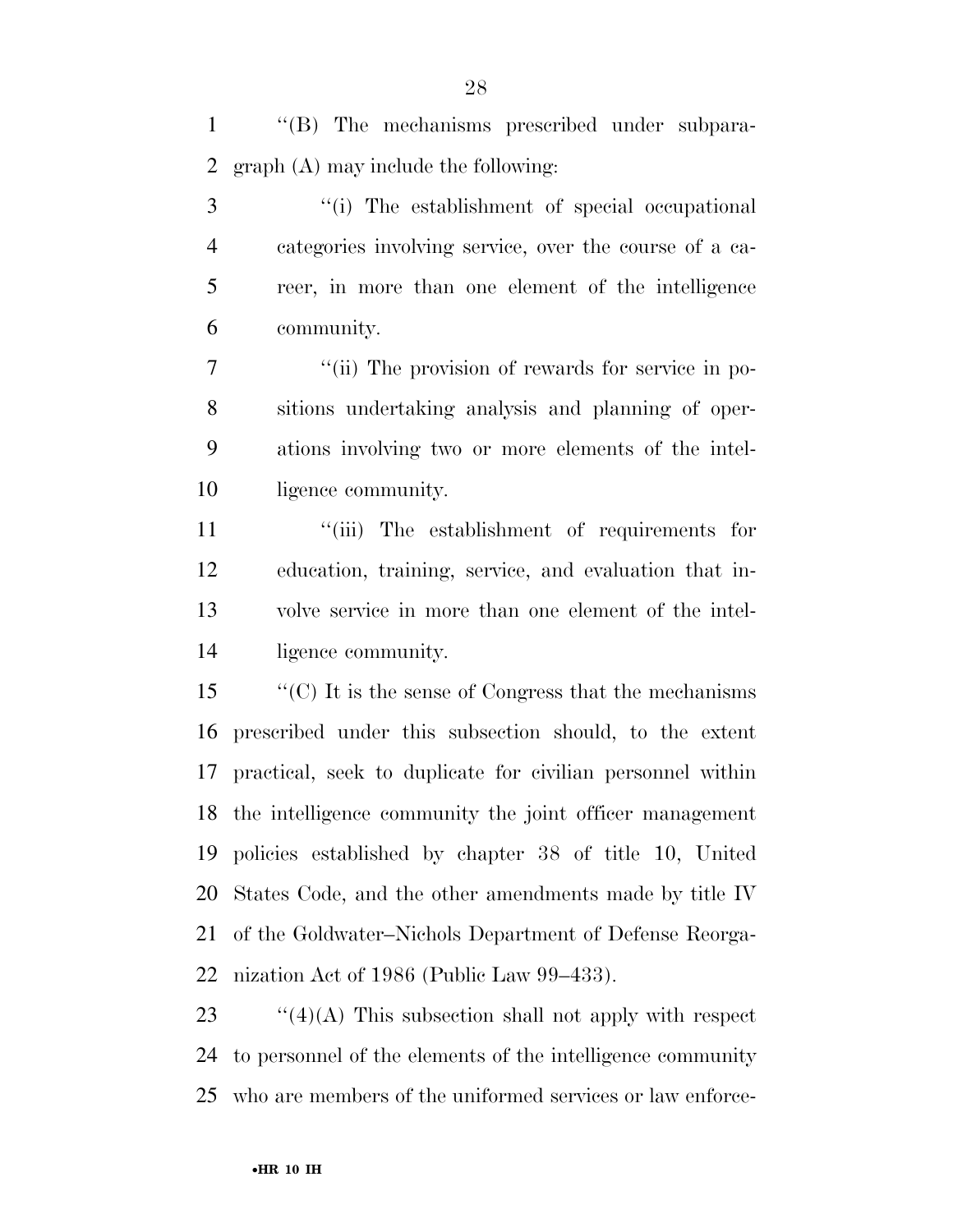''(B) The mechanisms prescribed under subpara-graph (A) may include the following:

 ''(i) The establishment of special occupational categories involving service, over the course of a ca- reer, in more than one element of the intelligence community.

 $\frac{1}{10}$  The provision of rewards for service in po- sitions undertaking analysis and planning of oper- ations involving two or more elements of the intel-ligence community.

 $\frac{1}{\sin}$  The establishment of requirements for education, training, service, and evaluation that in- volve service in more than one element of the intel-ligence community.

 ''(C) It is the sense of Congress that the mechanisms prescribed under this subsection should, to the extent practical, seek to duplicate for civilian personnel within the intelligence community the joint officer management policies established by chapter 38 of title 10, United States Code, and the other amendments made by title IV of the Goldwater–Nichols Department of Defense Reorga-nization Act of 1986 (Public Law 99–433).

23  $\frac{1}{2}$  (4)(A) This subsection shall not apply with respect to personnel of the elements of the intelligence community who are members of the uniformed services or law enforce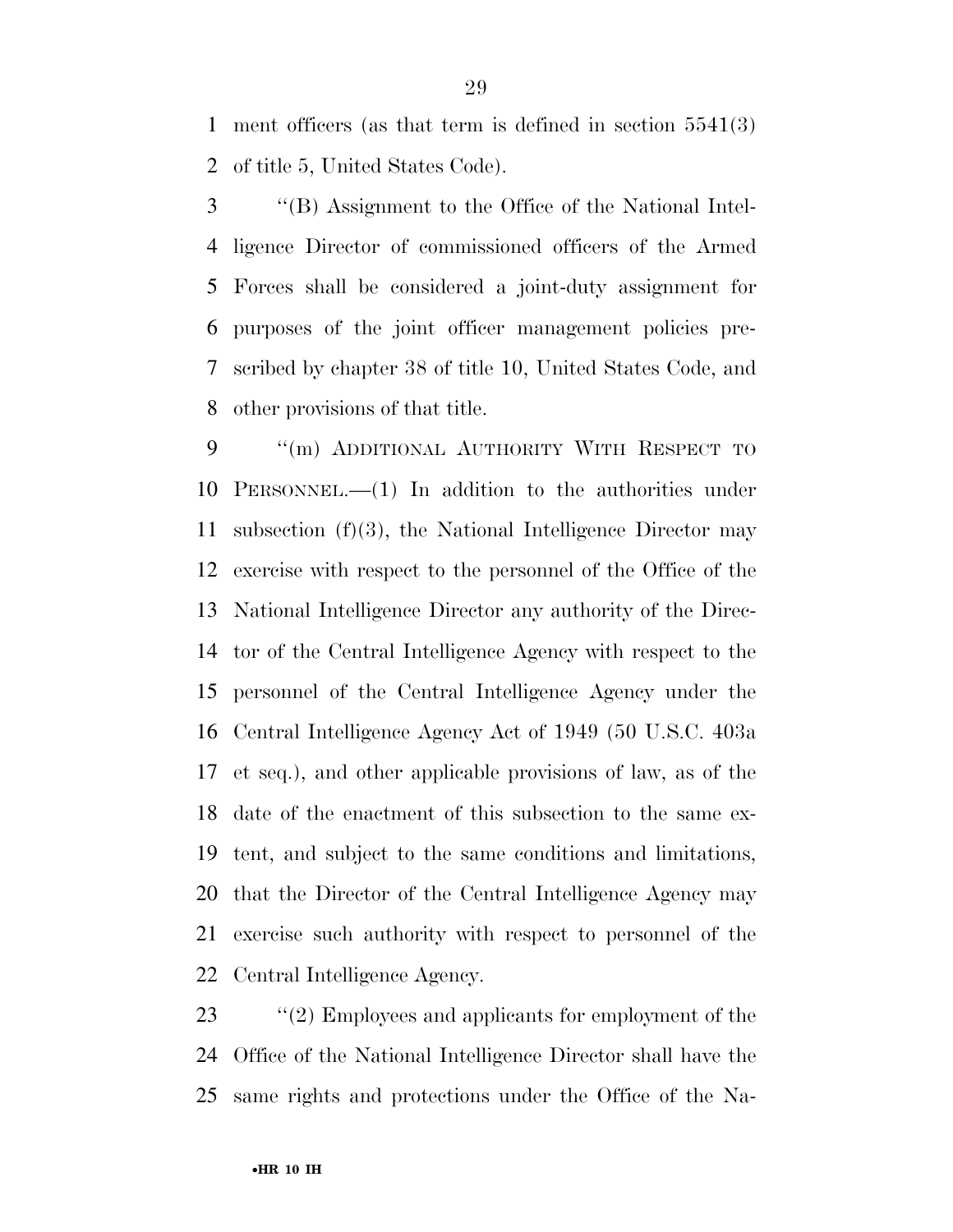ment officers (as that term is defined in section 5541(3) of title 5, United States Code).

 ''(B) Assignment to the Office of the National Intel- ligence Director of commissioned officers of the Armed Forces shall be considered a joint-duty assignment for purposes of the joint officer management policies pre- scribed by chapter 38 of title 10, United States Code, and other provisions of that title.

9 "(m) ADDITIONAL AUTHORITY WITH RESPECT TO PERSONNEL.—(1) In addition to the authorities under subsection (f)(3), the National Intelligence Director may exercise with respect to the personnel of the Office of the National Intelligence Director any authority of the Direc- tor of the Central Intelligence Agency with respect to the personnel of the Central Intelligence Agency under the Central Intelligence Agency Act of 1949 (50 U.S.C. 403a et seq.), and other applicable provisions of law, as of the date of the enactment of this subsection to the same ex- tent, and subject to the same conditions and limitations, that the Director of the Central Intelligence Agency may exercise such authority with respect to personnel of the Central Intelligence Agency.

23 ''(2) Employees and applicants for employment of the Office of the National Intelligence Director shall have the same rights and protections under the Office of the Na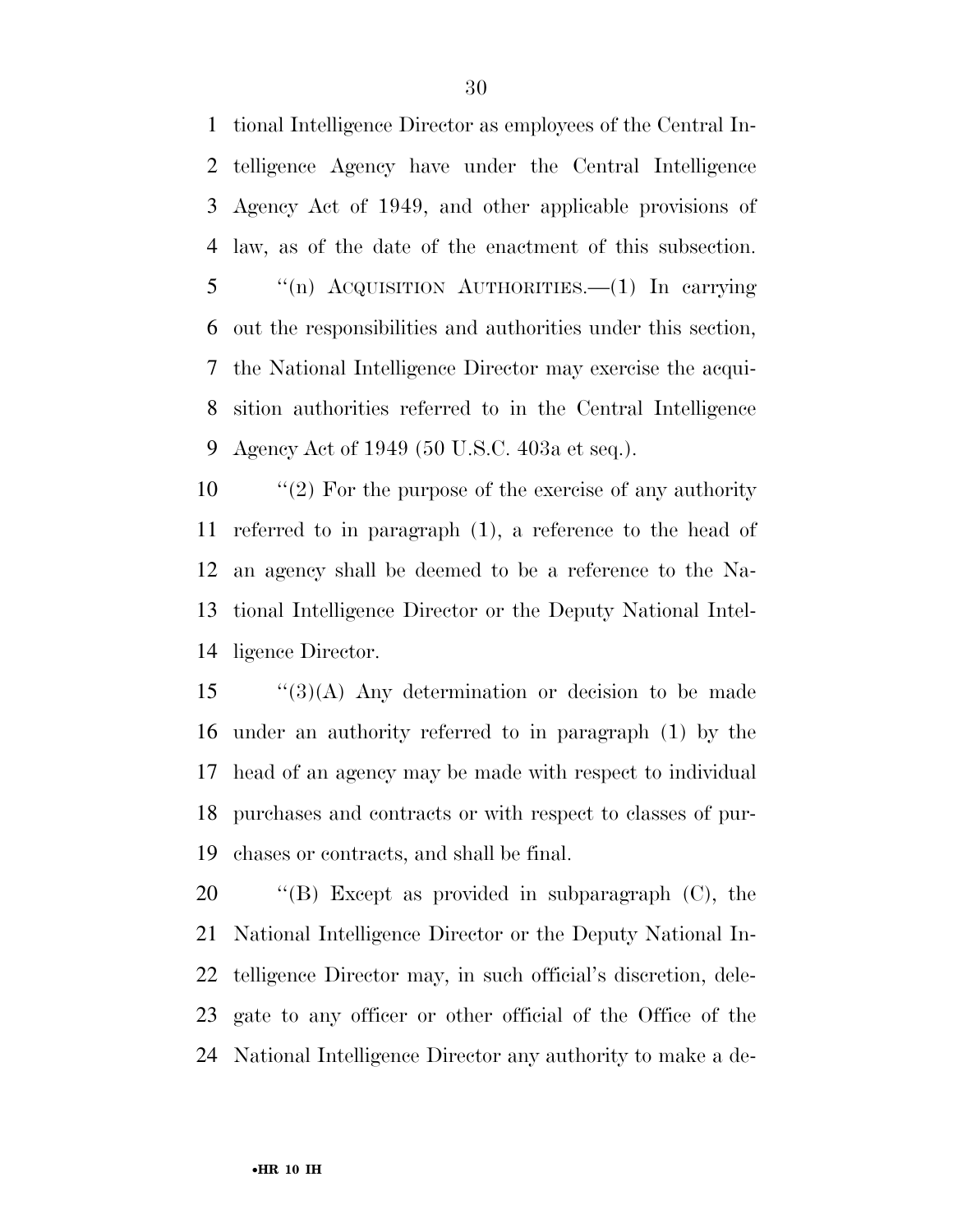tional Intelligence Director as employees of the Central In- telligence Agency have under the Central Intelligence Agency Act of 1949, and other applicable provisions of law, as of the date of the enactment of this subsection. ''(n) ACQUISITION AUTHORITIES.—(1) In carrying out the responsibilities and authorities under this section, the National Intelligence Director may exercise the acqui- sition authorities referred to in the Central Intelligence Agency Act of 1949 (50 U.S.C. 403a et seq.).

 ''(2) For the purpose of the exercise of any authority referred to in paragraph (1), a reference to the head of an agency shall be deemed to be a reference to the Na- tional Intelligence Director or the Deputy National Intel-ligence Director.

 "(3)(A) Any determination or decision to be made under an authority referred to in paragraph (1) by the head of an agency may be made with respect to individual purchases and contracts or with respect to classes of pur-chases or contracts, and shall be final.

 ''(B) Except as provided in subparagraph (C), the National Intelligence Director or the Deputy National In- telligence Director may, in such official's discretion, dele- gate to any officer or other official of the Office of the National Intelligence Director any authority to make a de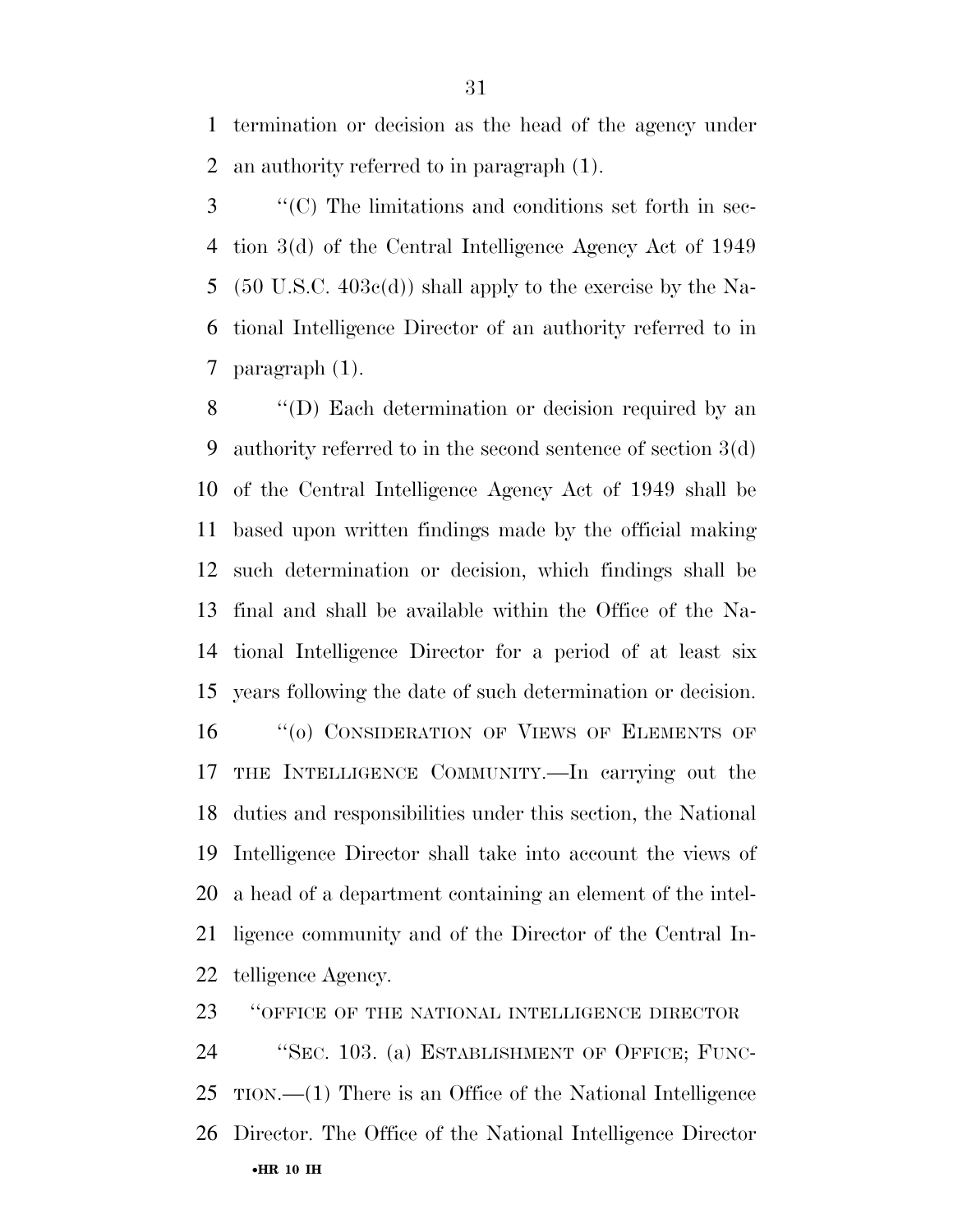termination or decision as the head of the agency under an authority referred to in paragraph (1).

 ''(C) The limitations and conditions set forth in sec- tion 3(d) of the Central Intelligence Agency Act of 1949 (50 U.S.C. 403c(d)) shall apply to the exercise by the Na- tional Intelligence Director of an authority referred to in paragraph (1).

 ''(D) Each determination or decision required by an authority referred to in the second sentence of section 3(d) of the Central Intelligence Agency Act of 1949 shall be based upon written findings made by the official making such determination or decision, which findings shall be final and shall be available within the Office of the Na- tional Intelligence Director for a period of at least six years following the date of such determination or decision. 16 "(o) CONSIDERATION OF VIEWS OF ELEMENTS OF THE INTELLIGENCE COMMUNITY.—In carrying out the duties and responsibilities under this section, the National Intelligence Director shall take into account the views of a head of a department containing an element of the intel- ligence community and of the Director of the Central In-telligence Agency.

**'**'OFFICE OF THE NATIONAL INTELLIGENCE DIRECTOR

•**HR 10 IH**  ''SEC. 103. (a) ESTABLISHMENT OF OFFICE; FUNC- TION.—(1) There is an Office of the National Intelligence Director. The Office of the National Intelligence Director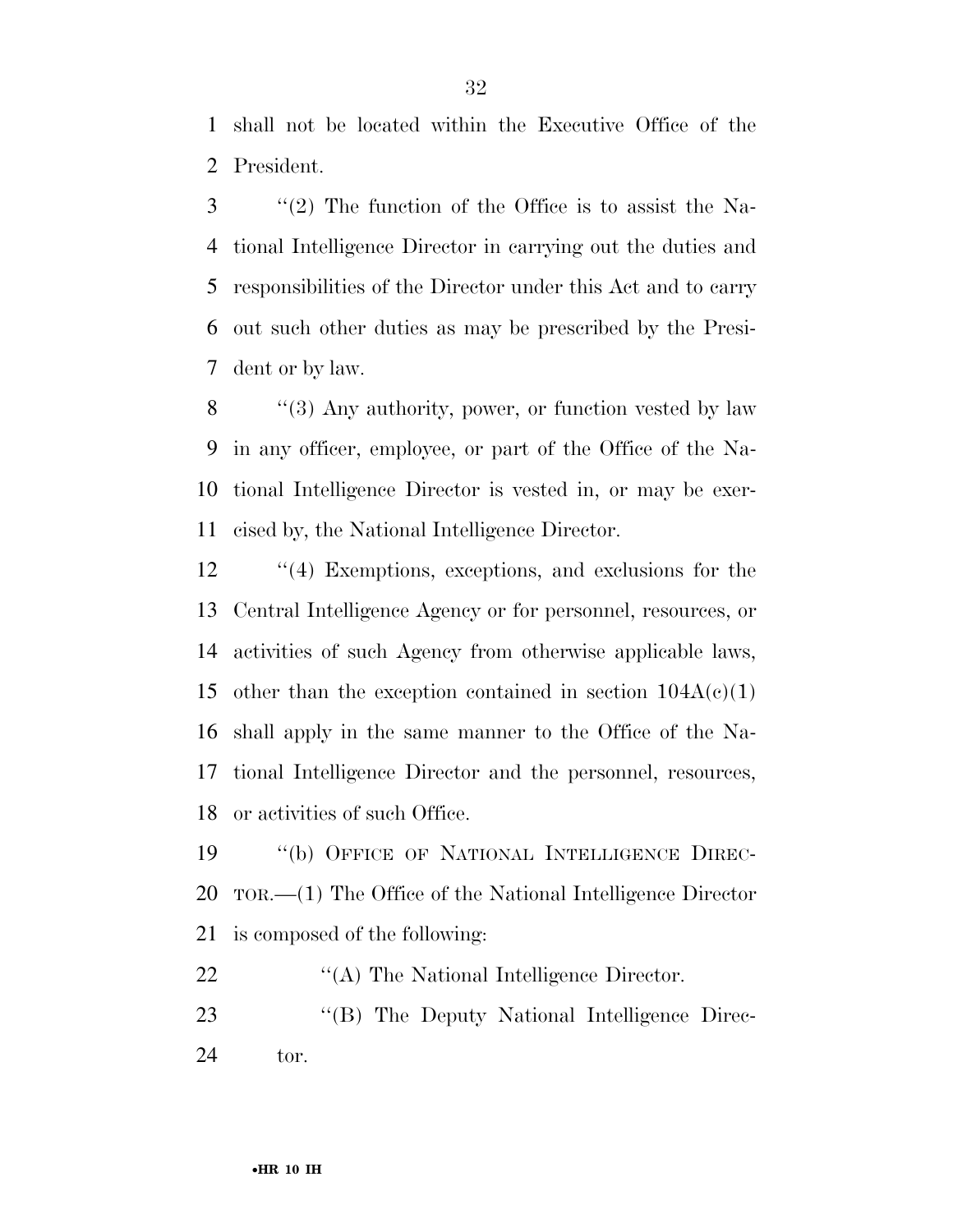shall not be located within the Executive Office of the President.

 ''(2) The function of the Office is to assist the Na- tional Intelligence Director in carrying out the duties and responsibilities of the Director under this Act and to carry out such other duties as may be prescribed by the Presi-dent or by law.

8 "(3) Any authority, power, or function vested by law in any officer, employee, or part of the Office of the Na- tional Intelligence Director is vested in, or may be exer-cised by, the National Intelligence Director.

 ''(4) Exemptions, exceptions, and exclusions for the Central Intelligence Agency or for personnel, resources, or activities of such Agency from otherwise applicable laws, 15 other than the exception contained in section  $104A(c)(1)$  shall apply in the same manner to the Office of the Na- tional Intelligence Director and the personnel, resources, or activities of such Office.

 ''(b) OFFICE OF NATIONAL INTELLIGENCE DIREC- TOR.—(1) The Office of the National Intelligence Director is composed of the following:

22 "(A) The National Intelligence Director.

23 "(B) The Deputy National Intelligence Direc-tor.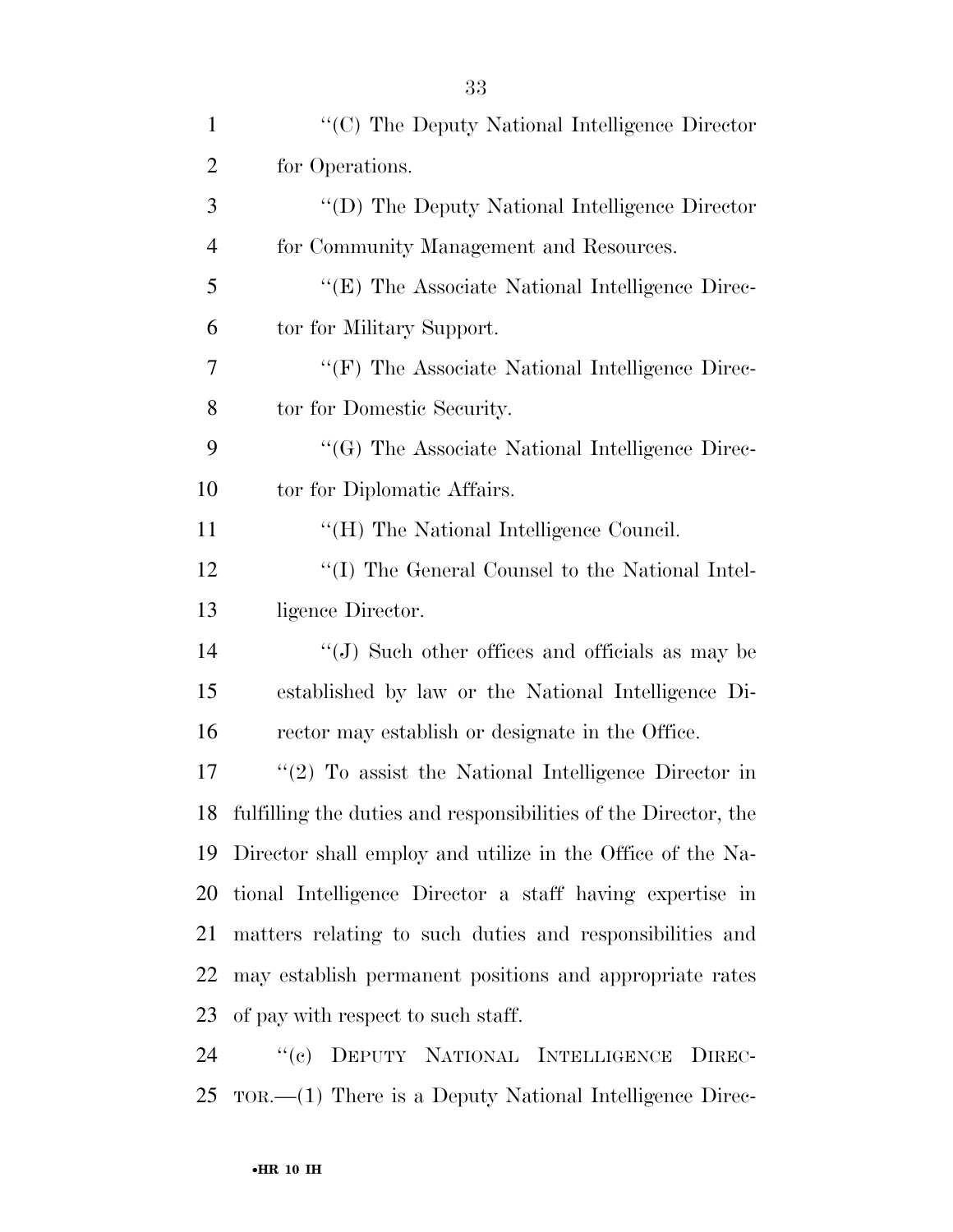| $\mathbf{1}$   | "(C) The Deputy National Intelligence Director                        |
|----------------|-----------------------------------------------------------------------|
| $\overline{2}$ | for Operations.                                                       |
| 3              | "(D) The Deputy National Intelligence Director                        |
| $\overline{4}$ | for Community Management and Resources.                               |
| 5              | "(E) The Associate National Intelligence Direc-                       |
| 6              | tor for Military Support.                                             |
| 7              | "(F) The Associate National Intelligence Direc-                       |
| 8              | tor for Domestic Security.                                            |
| 9              | "(G) The Associate National Intelligence Direc-                       |
| 10             | tor for Diplomatic Affairs.                                           |
| 11             | "(H) The National Intelligence Council.                               |
| 12             | "(I) The General Counsel to the National Intel-                       |
| 13             | ligence Director.                                                     |
| 14             | "(J) Such other offices and officials as may be                       |
| 15             | established by law or the National Intelligence Di-                   |
| 16             | rector may establish or designate in the Office.                      |
| 17             | $f'(2)$ To assist the National Intelligence Director in               |
| 18             | fulfilling the duties and responsibilities of the Director, the       |
| 19             | Director shall employ and utilize in the Office of the Na-            |
| 20             | tional Intelligence Director a staff having expertise in              |
| 21             | matters relating to such duties and responsibilities and              |
| 22             | may establish permanent positions and appropriate rates               |
| 23             | of pay with respect to such staff.                                    |
| 24             | DEPUTY NATIONAL INTELLIGENCE<br>``(e)<br>DIREC-                       |
| 25             | $TOR. \rightarrow (1)$ There is a Deputy National Intelligence Direc- |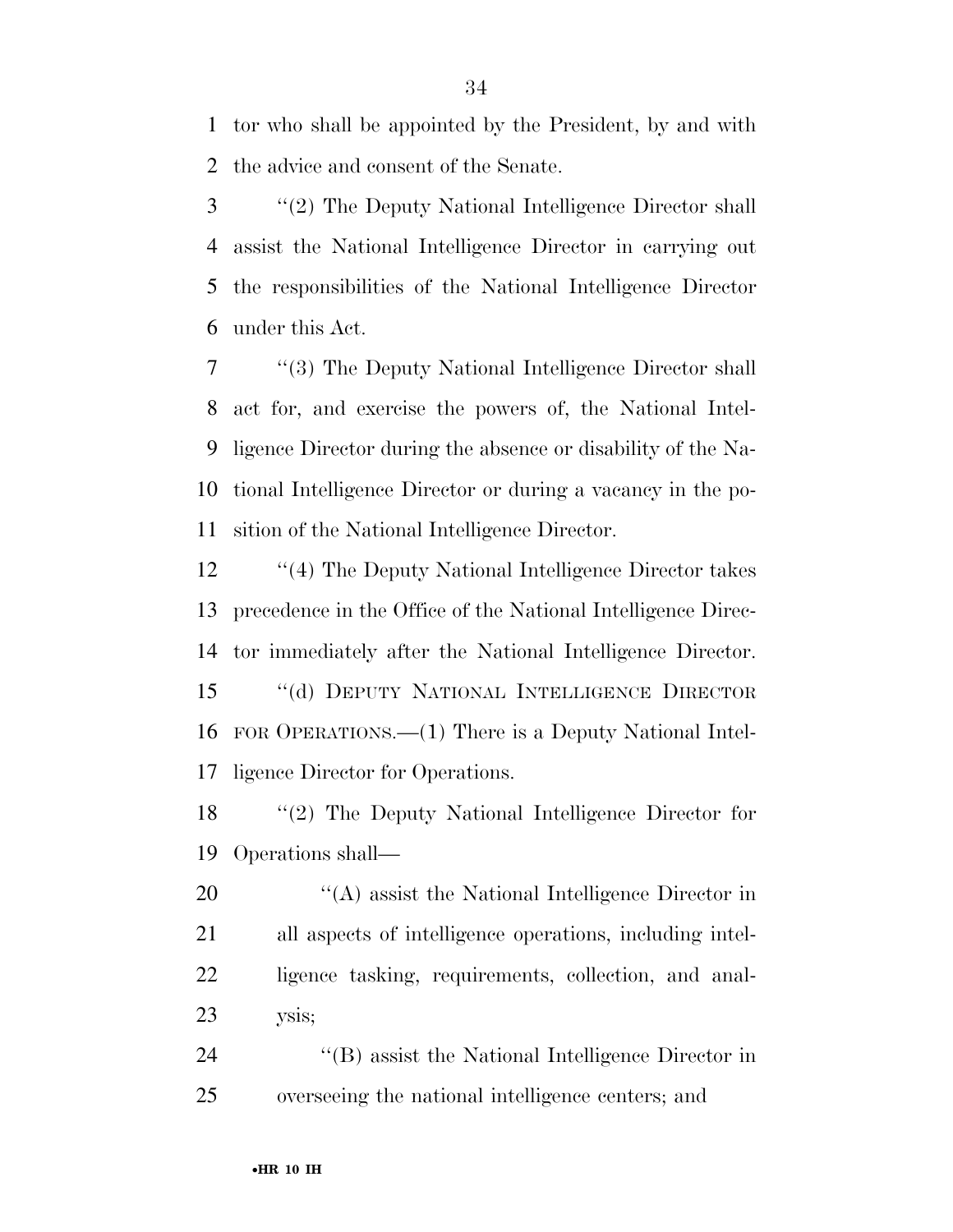tor who shall be appointed by the President, by and with the advice and consent of the Senate.

 ''(2) The Deputy National Intelligence Director shall assist the National Intelligence Director in carrying out the responsibilities of the National Intelligence Director under this Act.

 ''(3) The Deputy National Intelligence Director shall act for, and exercise the powers of, the National Intel- ligence Director during the absence or disability of the Na- tional Intelligence Director or during a vacancy in the po-sition of the National Intelligence Director.

12 ''(4) The Deputy National Intelligence Director takes precedence in the Office of the National Intelligence Direc- tor immediately after the National Intelligence Director. ''(d) DEPUTY NATIONAL INTELLIGENCE DIRECTOR FOR OPERATIONS.—(1) There is a Deputy National Intel-ligence Director for Operations.

 ''(2) The Deputy National Intelligence Director for Operations shall—

 $\langle (A)$  assist the National Intelligence Director in all aspects of intelligence operations, including intel- ligence tasking, requirements, collection, and anal-ysis;

24 ''(B) assist the National Intelligence Director in overseeing the national intelligence centers; and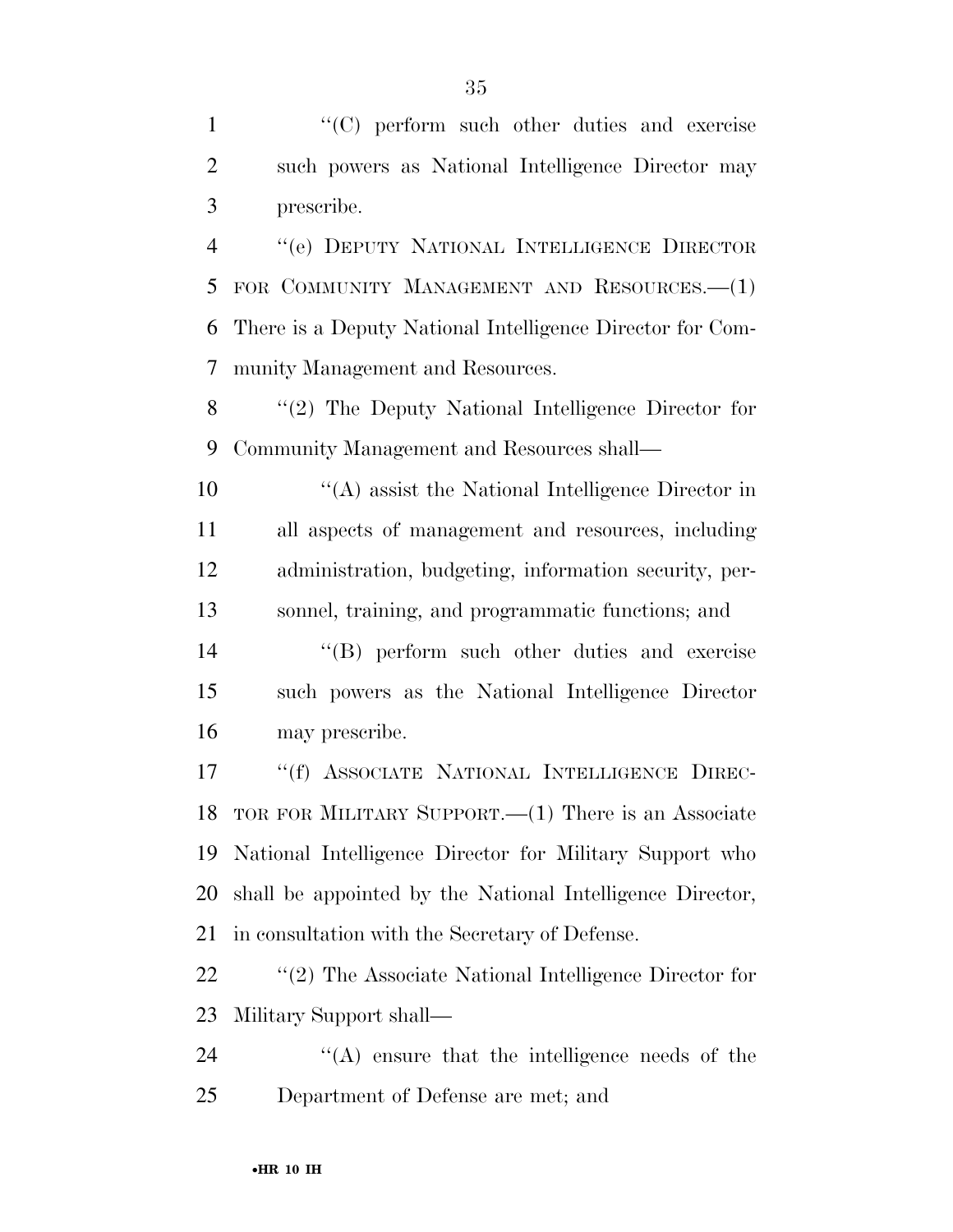1 ''(C) perform such other duties and exercise such powers as National Intelligence Director may prescribe.

 ''(e) DEPUTY NATIONAL INTELLIGENCE DIRECTOR FOR COMMUNITY MANAGEMENT AND RESOURCES.—(1) There is a Deputy National Intelligence Director for Com-munity Management and Resources.

 ''(2) The Deputy National Intelligence Director for Community Management and Resources shall—

 ''(A) assist the National Intelligence Director in all aspects of management and resources, including administration, budgeting, information security, per-sonnel, training, and programmatic functions; and

 ''(B) perform such other duties and exercise such powers as the National Intelligence Director may prescribe.

 ''(f) ASSOCIATE NATIONAL INTELLIGENCE DIREC- TOR FOR MILITARY SUPPORT.—(1) There is an Associate National Intelligence Director for Military Support who shall be appointed by the National Intelligence Director, in consultation with the Secretary of Defense.

22 "'(2) The Associate National Intelligence Director for Military Support shall—

24 ''(A) ensure that the intelligence needs of the Department of Defense are met; and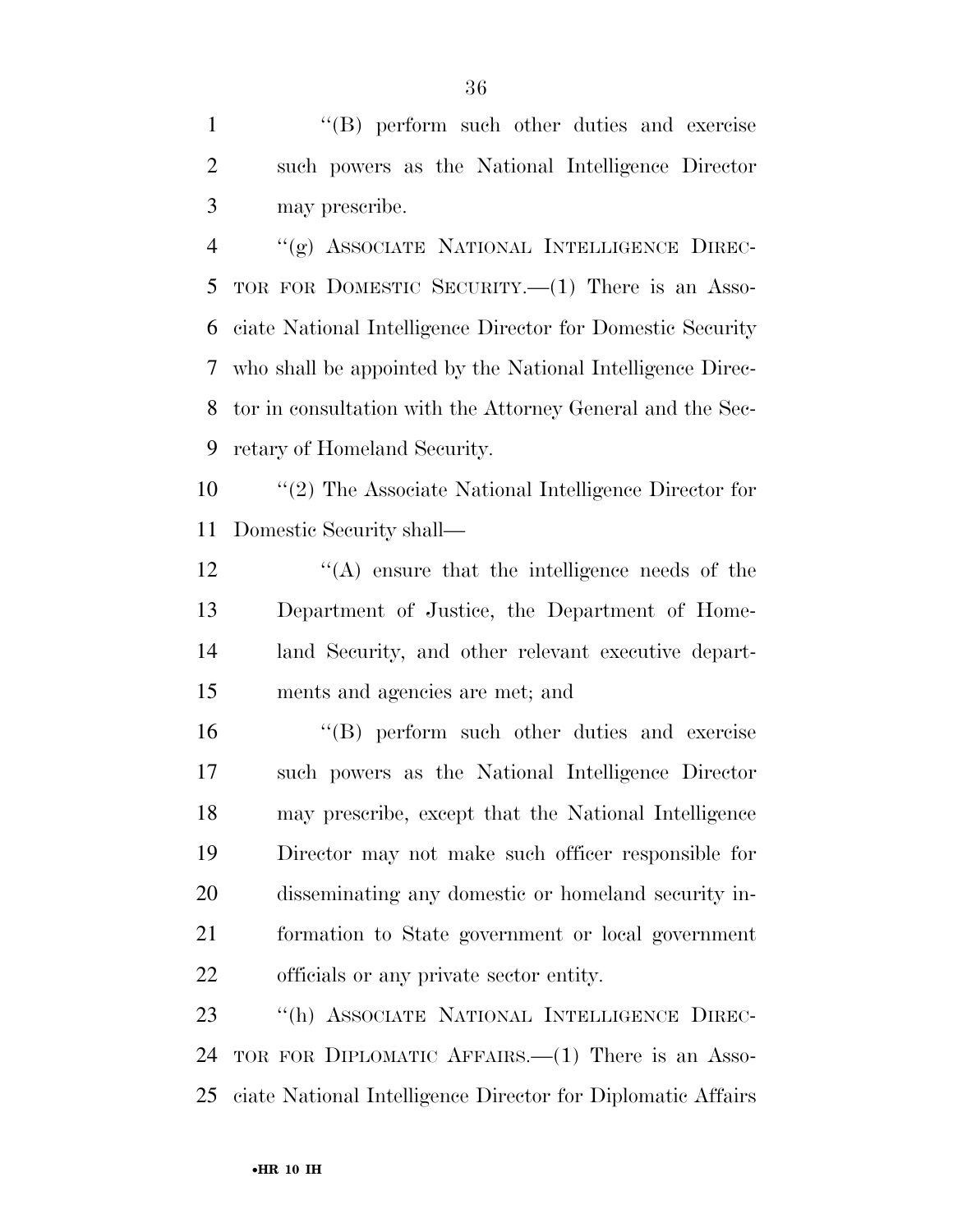1 ''(B) perform such other duties and exercise such powers as the National Intelligence Director may prescribe.

 ''(g) ASSOCIATE NATIONAL INTELLIGENCE DIREC- TOR FOR DOMESTIC SECURITY.—(1) There is an Asso- ciate National Intelligence Director for Domestic Security who shall be appointed by the National Intelligence Direc- tor in consultation with the Attorney General and the Sec-retary of Homeland Security.

 ''(2) The Associate National Intelligence Director for Domestic Security shall—

 $'(\mathbf{A})$  ensure that the intelligence needs of the Department of Justice, the Department of Home- land Security, and other relevant executive depart-ments and agencies are met; and

 ''(B) perform such other duties and exercise such powers as the National Intelligence Director may prescribe, except that the National Intelligence Director may not make such officer responsible for disseminating any domestic or homeland security in- formation to State government or local government officials or any private sector entity.

 ''(h) ASSOCIATE NATIONAL INTELLIGENCE DIREC- TOR FOR DIPLOMATIC AFFAIRS.—(1) There is an Asso-ciate National Intelligence Director for Diplomatic Affairs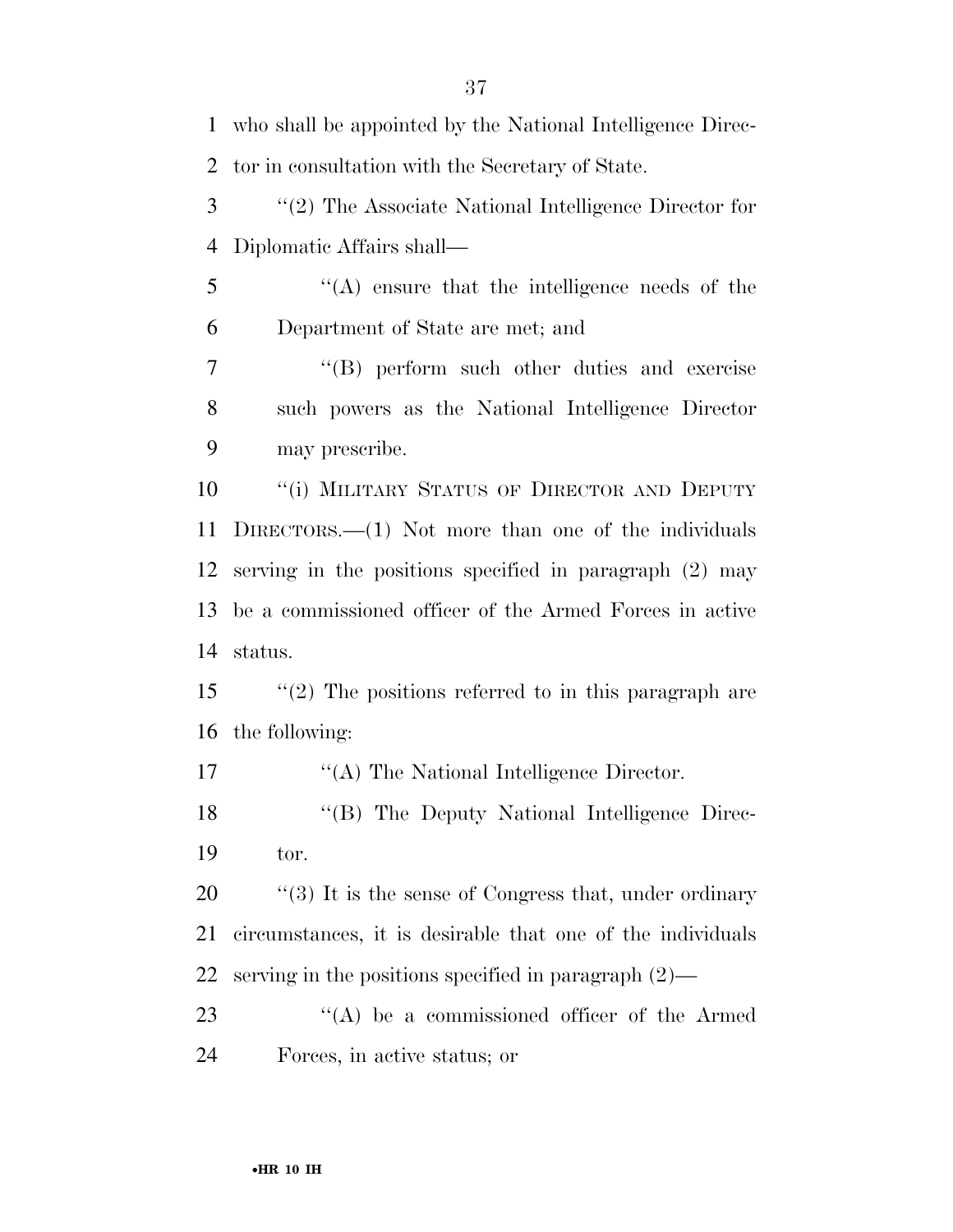who shall be appointed by the National Intelligence Direc- tor in consultation with the Secretary of State. ''(2) The Associate National Intelligence Director for Diplomatic Affairs shall— ''(A) ensure that the intelligence needs of the Department of State are met; and ''(B) perform such other duties and exercise such powers as the National Intelligence Director may prescribe. 10 <sup>"</sup>(i) MILITARY STATUS OF DIRECTOR AND DEPUTY DIRECTORS.—(1) Not more than one of the individuals serving in the positions specified in paragraph (2) may be a commissioned officer of the Armed Forces in active status. ''(2) The positions referred to in this paragraph are the following: 17 "(A) The National Intelligence Director. 18 "(B) The Deputy National Intelligence Direc- tor.  $\frac{1}{20}$  (3) It is the sense of Congress that, under ordinary circumstances, it is desirable that one of the individuals serving in the positions specified in paragraph (2)—  $\langle A \rangle$  be a commissioned officer of the Armed Forces, in active status; or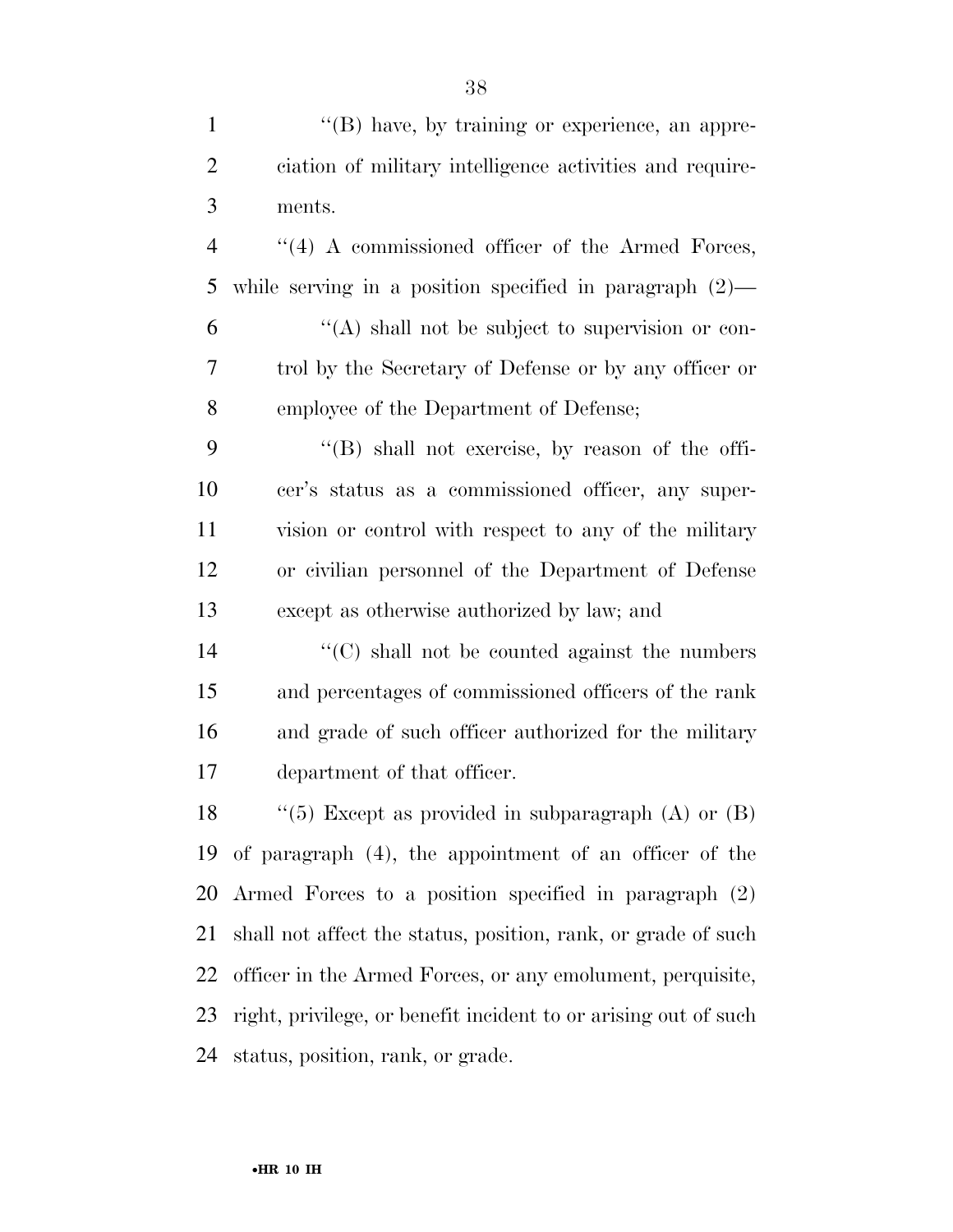$\langle (B) \rangle$  have, by training or experience, an appre- ciation of military intelligence activities and require- ments. ''(4) A commissioned officer of the Armed Forces, while serving in a position specified in paragraph (2)— ''(A) shall not be subject to supervision or con- trol by the Secretary of Defense or by any officer or employee of the Department of Defense; ''(B) shall not exercise, by reason of the offi- cer's status as a commissioned officer, any super- vision or control with respect to any of the military or civilian personnel of the Department of Defense except as otherwise authorized by law; and ''(C) shall not be counted against the numbers and percentages of commissioned officers of the rank and grade of such officer authorized for the military department of that officer.  $\langle$  ''(5) Except as provided in subparagraph (A) or (B) of paragraph (4), the appointment of an officer of the Armed Forces to a position specified in paragraph (2) shall not affect the status, position, rank, or grade of such officer in the Armed Forces, or any emolument, perquisite, right, privilege, or benefit incident to or arising out of such status, position, rank, or grade.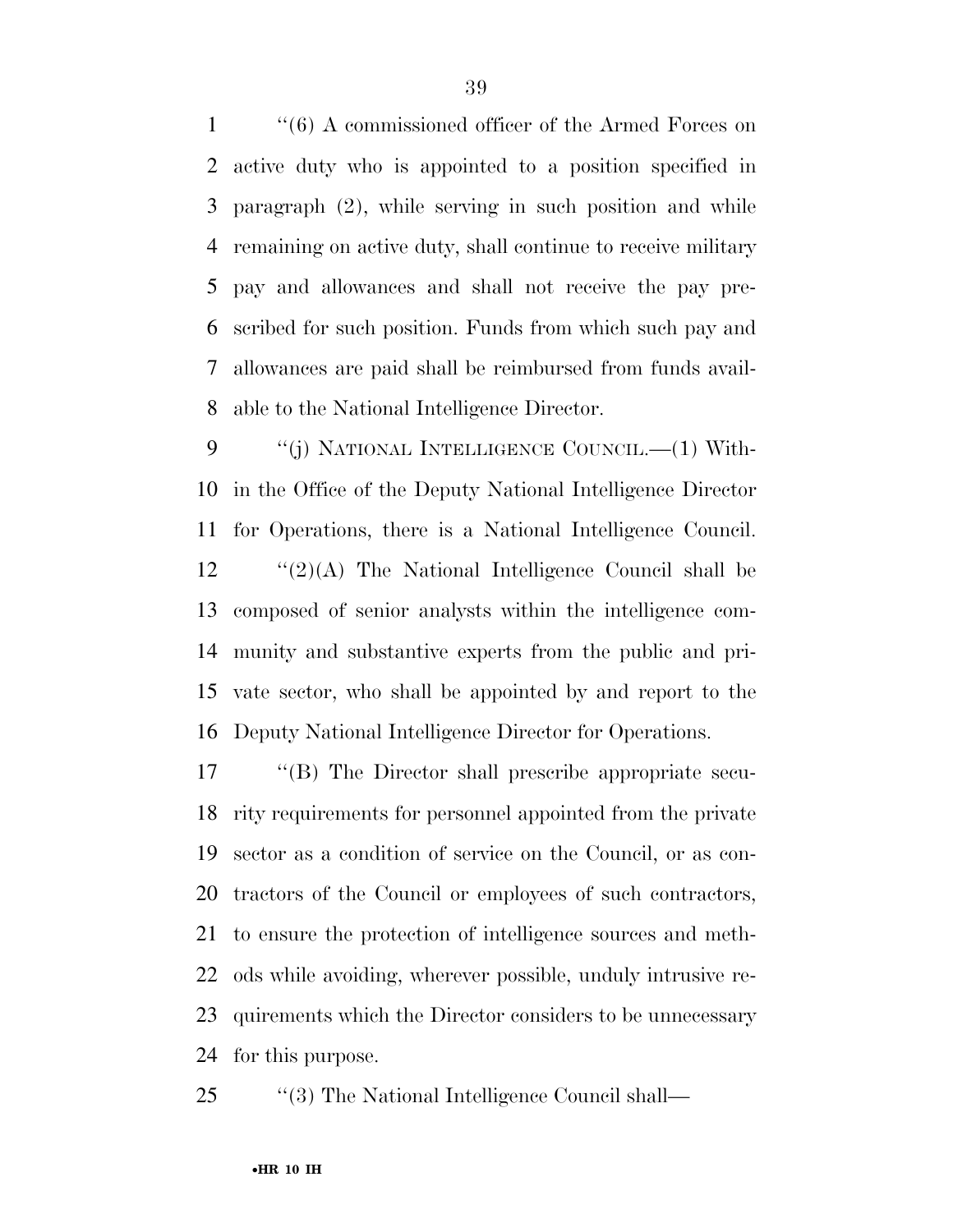''(6) A commissioned officer of the Armed Forces on active duty who is appointed to a position specified in paragraph (2), while serving in such position and while remaining on active duty, shall continue to receive military pay and allowances and shall not receive the pay pre- scribed for such position. Funds from which such pay and allowances are paid shall be reimbursed from funds avail-able to the National Intelligence Director.

9 "(j) NATIONAL INTELLIGENCE COUNCIL.—(1) With- in the Office of the Deputy National Intelligence Director for Operations, there is a National Intelligence Council. "(2)(A) The National Intelligence Council shall be composed of senior analysts within the intelligence com- munity and substantive experts from the public and pri- vate sector, who shall be appointed by and report to the Deputy National Intelligence Director for Operations.

 ''(B) The Director shall prescribe appropriate secu- rity requirements for personnel appointed from the private sector as a condition of service on the Council, or as con- tractors of the Council or employees of such contractors, to ensure the protection of intelligence sources and meth- ods while avoiding, wherever possible, unduly intrusive re- quirements which the Director considers to be unnecessary for this purpose.

25 ''(3) The National Intelligence Council shall—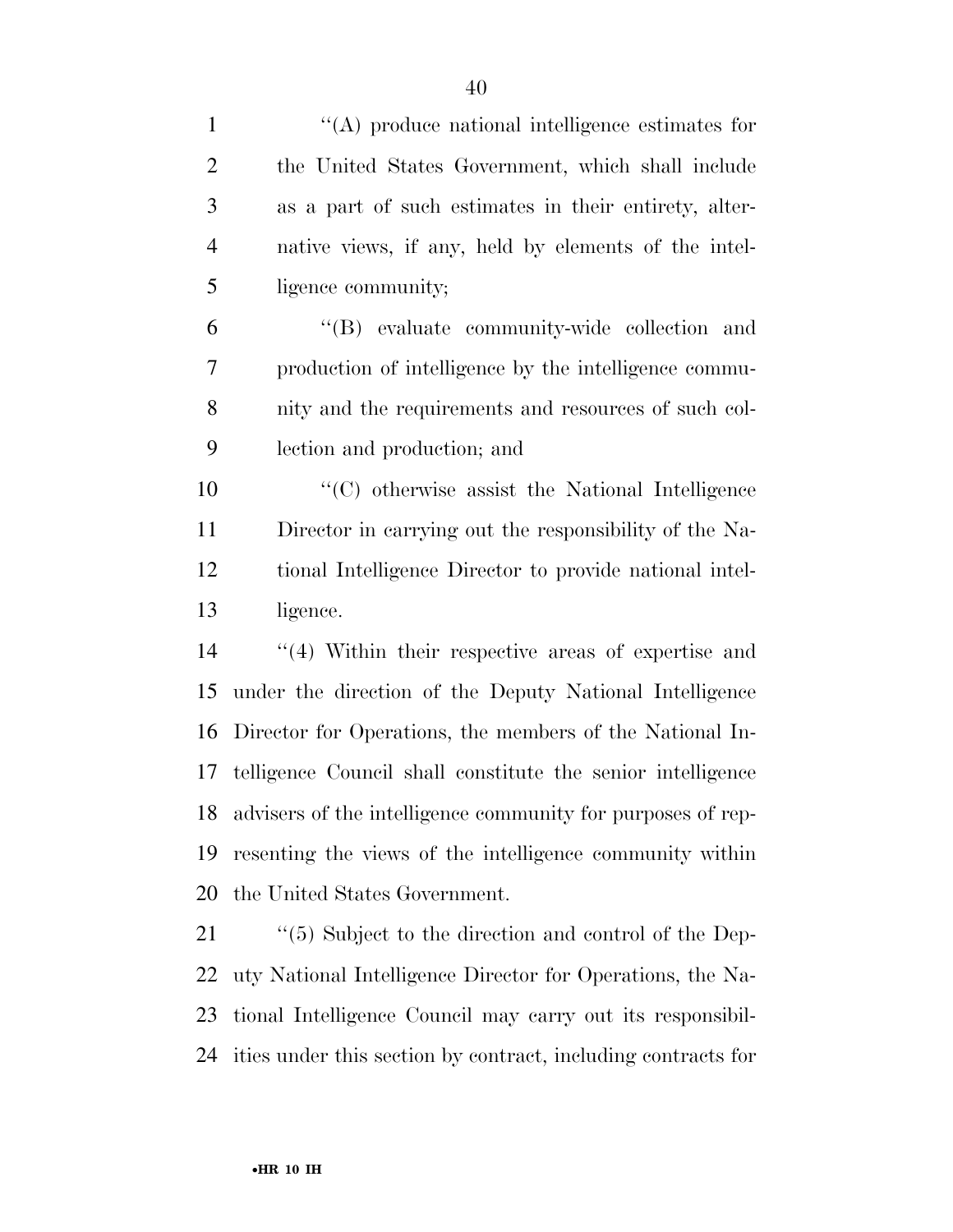| $\mathbf{1}$   | $\lq\lq$ produce national intelligence estimates for          |
|----------------|---------------------------------------------------------------|
| $\overline{2}$ | the United States Government, which shall include             |
| 3              | as a part of such estimates in their entirety, alter-         |
| $\overline{4}$ | native views, if any, held by elements of the intel-          |
| 5              | ligence community;                                            |
| 6              | "(B) evaluate community-wide collection and                   |
| 7              | production of intelligence by the intelligence commu-         |
| 8              | nity and the requirements and resources of such col-          |
| 9              | lection and production; and                                   |
| 10             | "(C) otherwise assist the National Intelligence               |
| 11             | Director in carrying out the responsibility of the Na-        |
| 12             | tional Intelligence Director to provide national intel-       |
| 13             | ligence.                                                      |
| 14             | $\cdot$ (4) Within their respective areas of expertise and    |
| 15             | under the direction of the Deputy National Intelligence       |
| 16             | Director for Operations, the members of the National In-      |
| 17             | telligence Council shall constitute the senior intelligence   |
| 18             | advisers of the intelligence community for purposes of rep-   |
| 19             | resenting the views of the intelligence community within      |
| 20             | the United States Government.                                 |
| 21             | $\cdot$ (5) Subject to the direction and control of the Dep-  |
| 22             | uty National Intelligence Director for Operations, the Na-    |
| 23             | tional Intelligence Council may carry out its responsibil-    |
| 24             | ities under this section by contract, including contracts for |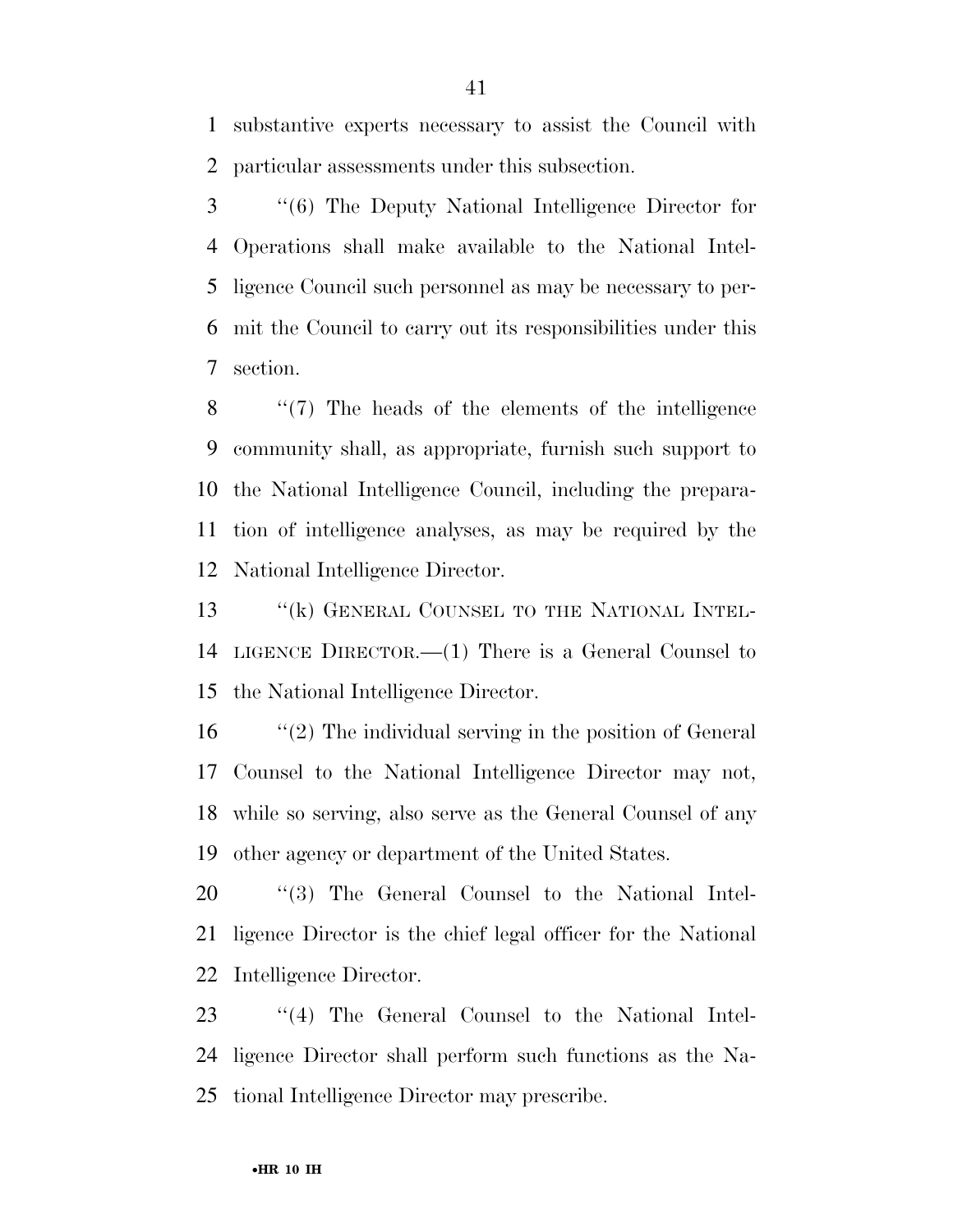substantive experts necessary to assist the Council with particular assessments under this subsection.

 ''(6) The Deputy National Intelligence Director for Operations shall make available to the National Intel- ligence Council such personnel as may be necessary to per- mit the Council to carry out its responsibilities under this section.

 ''(7) The heads of the elements of the intelligence community shall, as appropriate, furnish such support to the National Intelligence Council, including the prepara- tion of intelligence analyses, as may be required by the National Intelligence Director.

13 "(k) GENERAL COUNSEL TO THE NATIONAL INTEL- LIGENCE DIRECTOR.—(1) There is a General Counsel to the National Intelligence Director.

 ''(2) The individual serving in the position of General Counsel to the National Intelligence Director may not, while so serving, also serve as the General Counsel of any other agency or department of the United States.

20  $\text{``(3)}$  The General Counsel to the National Intel- ligence Director is the chief legal officer for the National Intelligence Director.

 ''(4) The General Counsel to the National Intel- ligence Director shall perform such functions as the Na-tional Intelligence Director may prescribe.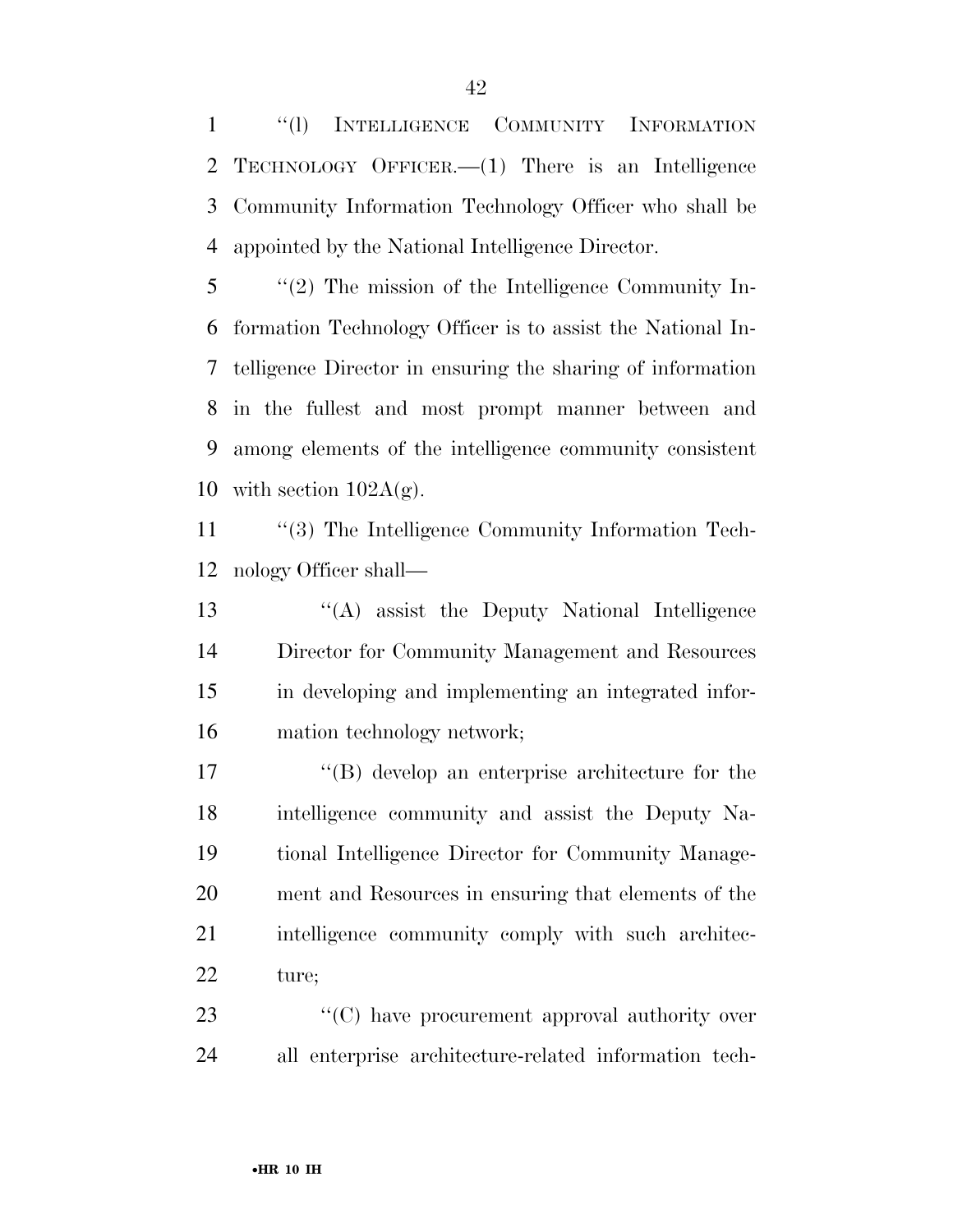''(l) INTELLIGENCE COMMUNITY INFORMATION TECHNOLOGY OFFICER.—(1) There is an Intelligence Community Information Technology Officer who shall be appointed by the National Intelligence Director.

 ''(2) The mission of the Intelligence Community In- formation Technology Officer is to assist the National In- telligence Director in ensuring the sharing of information in the fullest and most prompt manner between and among elements of the intelligence community consistent 10 with section  $102A(g)$ .

11 "(3) The Intelligence Community Information Tech-nology Officer shall—

 ''(A) assist the Deputy National Intelligence Director for Community Management and Resources in developing and implementing an integrated infor-mation technology network;

 ''(B) develop an enterprise architecture for the intelligence community and assist the Deputy Na- tional Intelligence Director for Community Manage- ment and Resources in ensuring that elements of the 21 intelligence community comply with such architec-ture;

23  $\langle ^{\prime}(C) \rangle$  have procurement approval authority over all enterprise architecture-related information tech-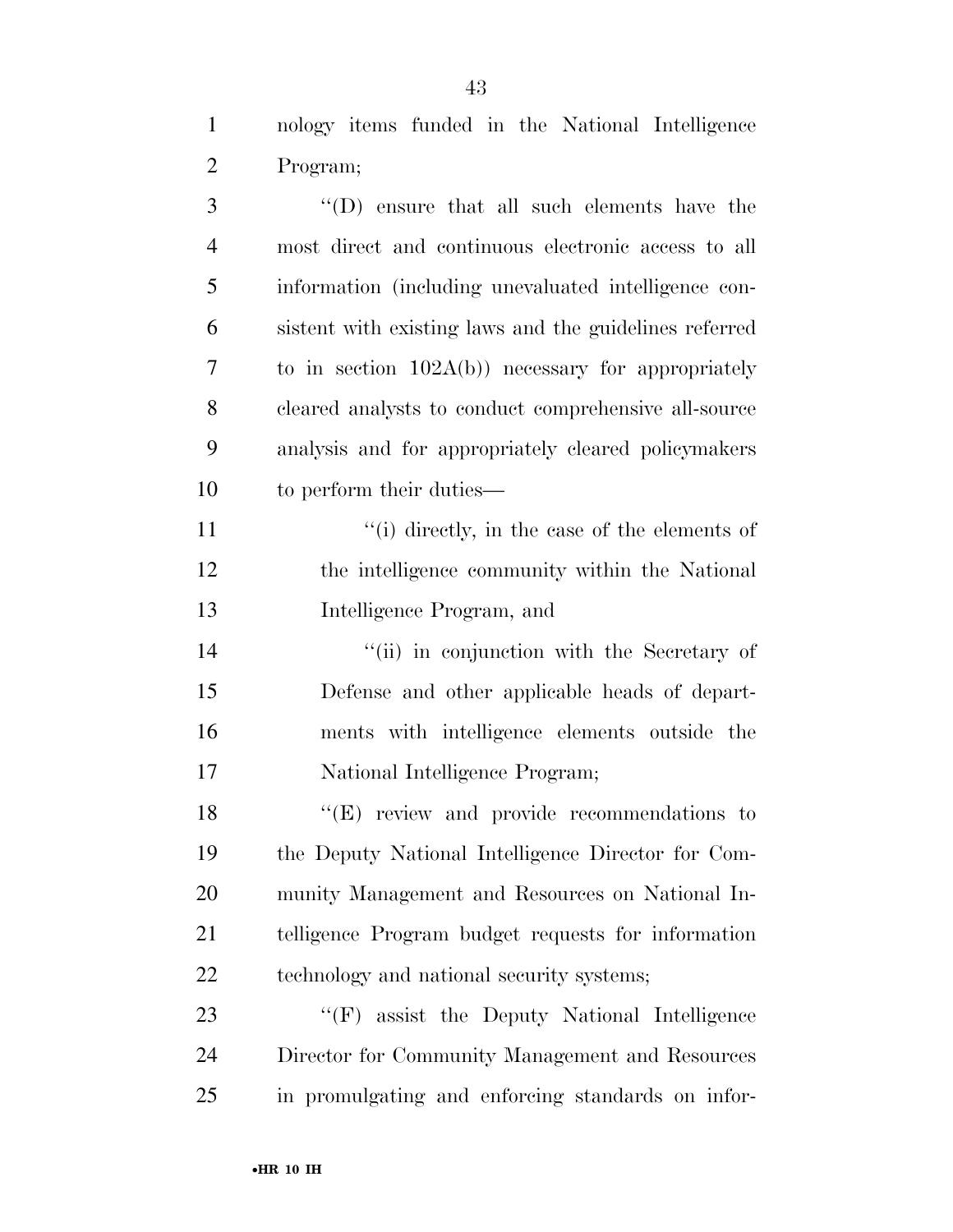nology items funded in the National Intelligence Program;

| 3              | "(D) ensure that all such elements have the            |
|----------------|--------------------------------------------------------|
| $\overline{4}$ | most direct and continuous electronic access to all    |
| 5              | information (including unevaluated intelligence con-   |
| 6              | sistent with existing laws and the guidelines referred |
| 7              | to in section $102A(b)$ necessary for appropriately    |
| 8              | cleared analysts to conduct comprehensive all-source   |
| 9              | analysis and for appropriately cleared policymakers    |
| 10             | to perform their duties—                               |
| 11             | $``(i)$ directly, in the case of the elements of       |
| 12             | the intelligence community within the National         |
| 13             | Intelligence Program, and                              |
| 14             | "(ii) in conjunction with the Secretary of             |
| 15             | Defense and other applicable heads of depart-          |
| 16             | ments with intelligence elements outside the           |
| 17             | National Intelligence Program;                         |
| 18             | $\lq\lq(E)$ review and provide recommendations to      |
| 19             | the Deputy National Intelligence Director for Com-     |
| 20             | munity Management and Resources on National In-        |
| 21             | telligence Program budget requests for information     |
| 22             | technology and national security systems;              |
| 23             | "(F) assist the Deputy National Intelligence           |
| 24             | Director for Community Management and Resources        |
| $25\,$         | in promulgating and enforcing standards on infor-      |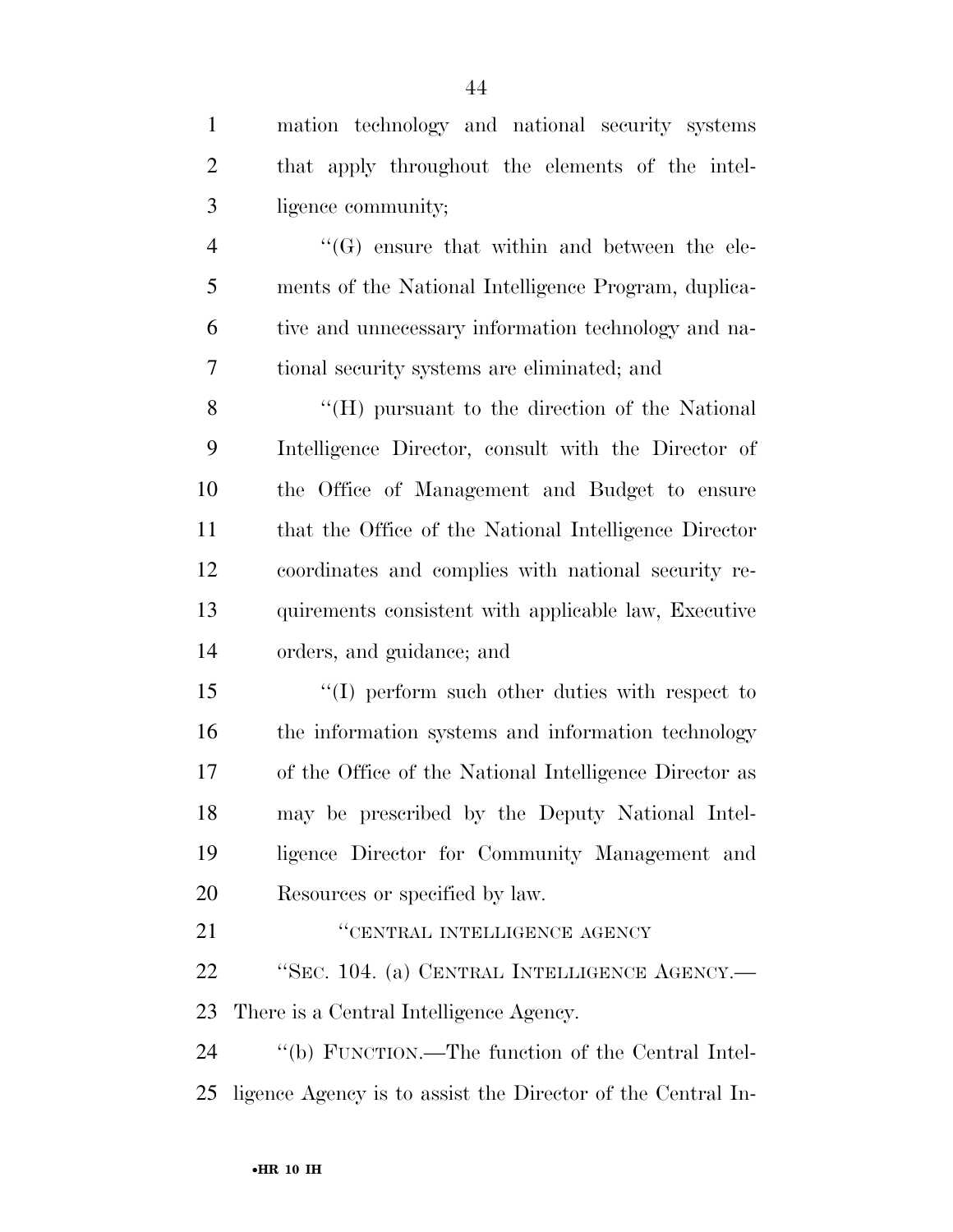| $\mathbf{1}$   | mation technology and national security systems             |
|----------------|-------------------------------------------------------------|
| $\overline{2}$ | that apply throughout the elements of the intel-            |
| 3              | ligence community;                                          |
| $\overline{4}$ | $\lq\lq(G)$ ensure that within and between the ele-         |
| 5              | ments of the National Intelligence Program, duplica-        |
| 6              | tive and unnecessary information technology and na-         |
| 7              | tional security systems are eliminated; and                 |
| 8              | "(H) pursuant to the direction of the National              |
| 9              | Intelligence Director, consult with the Director of         |
| 10             | the Office of Management and Budget to ensure               |
| 11             | that the Office of the National Intelligence Director       |
| 12             | coordinates and complies with national security re-         |
| 13             | quirements consistent with applicable law, Executive        |
| 14             | orders, and guidance; and                                   |
| 15             | $\lq(1)$ perform such other duties with respect to          |
| 16             | the information systems and information technology          |
| 17             | of the Office of the National Intelligence Director as      |
| 18             | may be prescribed by the Deputy National Intel-             |
| 19             | ligence Director for Community Management and               |
| 20             | Resources or specified by law.                              |
| 21             | "CENTRAL INTELLIGENCE AGENCY                                |
| 22             | "SEC. 104. (a) CENTRAL INTELLIGENCE AGENCY.-                |
| 23             | There is a Central Intelligence Agency.                     |
| 24             | "(b) FUNCTION.—The function of the Central Intel-           |
| 25             | ligence Agency is to assist the Director of the Central In- |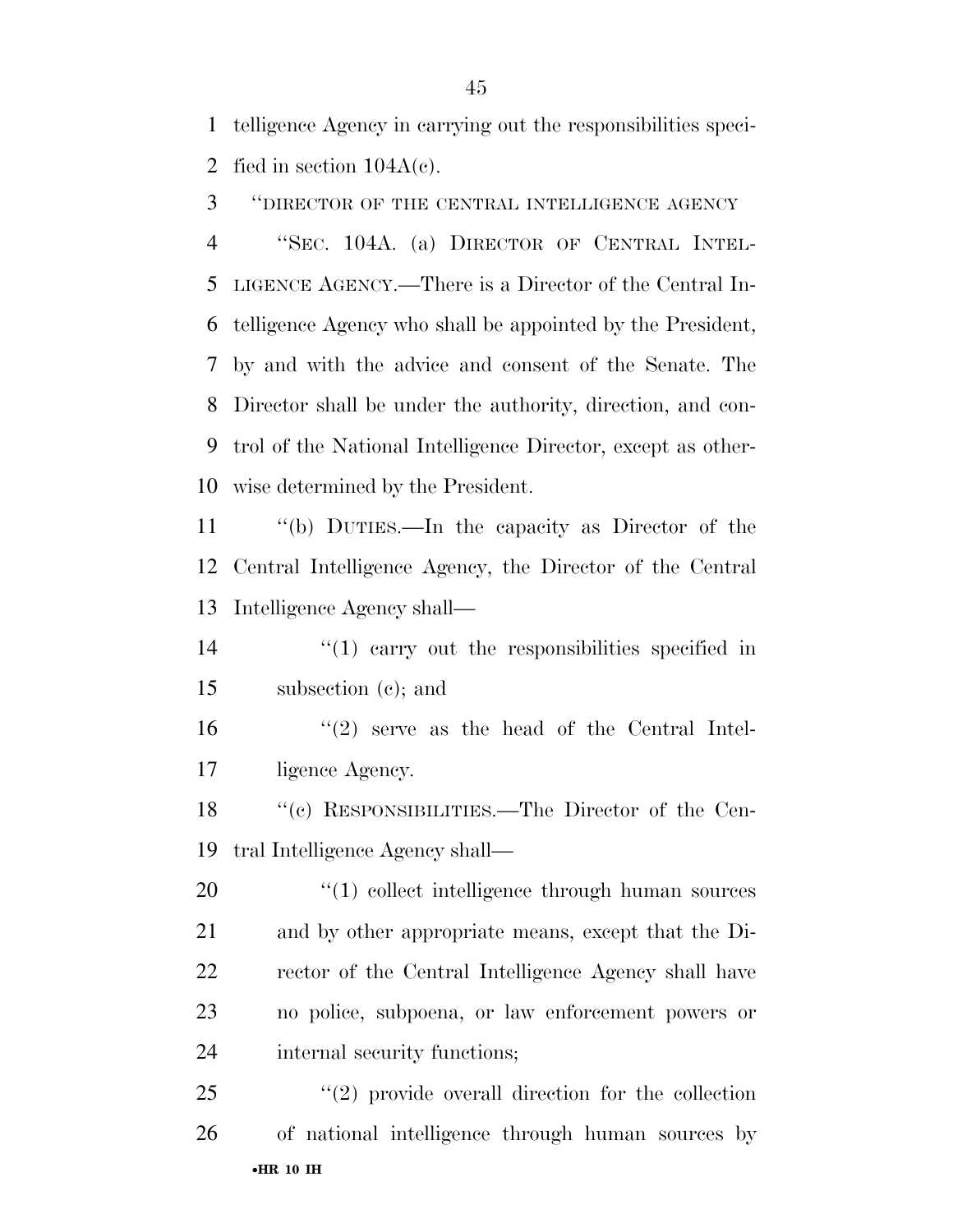telligence Agency in carrying out the responsibilities speci-2 fied in section  $104A(c)$ .

''DIRECTOR OF THE CENTRAL INTELLIGENCE AGENCY

 ''SEC. 104A. (a) DIRECTOR OF CENTRAL INTEL- LIGENCE AGENCY.—There is a Director of the Central In- telligence Agency who shall be appointed by the President, by and with the advice and consent of the Senate. The Director shall be under the authority, direction, and con- trol of the National Intelligence Director, except as other-wise determined by the President.

 ''(b) DUTIES.—In the capacity as Director of the Central Intelligence Agency, the Director of the Central Intelligence Agency shall—

14  $\frac{1}{2}$  (1) carry out the responsibilities specified in subsection (c); and

16 ''(2) serve as the head of the Central Intel-ligence Agency.

 ''(c) RESPONSIBILITIES.—The Director of the Cen-tral Intelligence Agency shall—

 $\frac{1}{20}$  (1) collect intelligence through human sources and by other appropriate means, except that the Di- rector of the Central Intelligence Agency shall have no police, subpoena, or law enforcement powers or internal security functions;

•**HR 10 IH**   $(2)$  provide overall direction for the collection of national intelligence through human sources by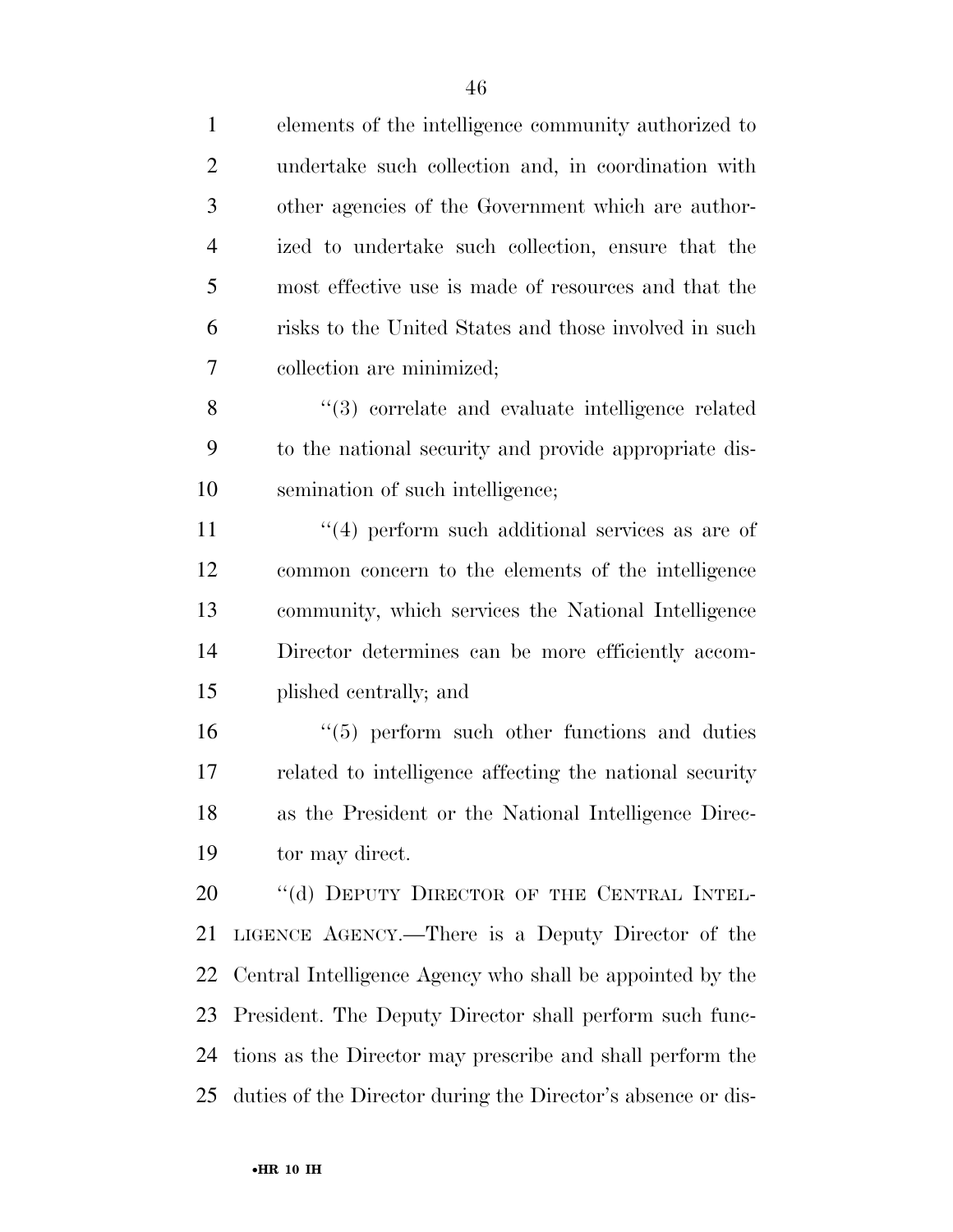| $\mathbf{1}$   | elements of the intelligence community authorized to             |
|----------------|------------------------------------------------------------------|
| $\overline{2}$ | undertake such collection and, in coordination with              |
| 3              | other agencies of the Government which are author-               |
| $\overline{4}$ | ized to undertake such collection, ensure that the               |
| 5              | most effective use is made of resources and that the             |
| 6              | risks to the United States and those involved in such            |
| 7              | collection are minimized;                                        |
| 8              | $\cdot\cdot\cdot(3)$ correlate and evaluate intelligence related |
| 9              | to the national security and provide appropriate dis-            |
| 10             | semination of such intelligence;                                 |
| 11             | $\cdot$ (4) perform such additional services as are of           |
| 12             | common concern to the elements of the intelligence               |
| 13             | community, which services the National Intelligence              |
| 14             | Director determines can be more efficiently accom-               |
| 15             | plished centrally; and                                           |
| 16             | $\cdot\cdot$ (5) perform such other functions and duties         |
| 17             | related to intelligence affecting the national security          |
| 18             | as the President or the National Intelligence Direc-             |
| 19             | tor may direct.                                                  |
| 20             | "(d) DEPUTY DIRECTOR OF THE CENTRAL INTEL-                       |
| 21             | LIGENCE AGENCY.—There is a Deputy Director of the                |
| 22             | Central Intelligence Agency who shall be appointed by the        |
| 23             | President. The Deputy Director shall perform such func-          |
| 24             | tions as the Director may prescribe and shall perform the        |
| 25             | duties of the Director during the Director's absence or dis-     |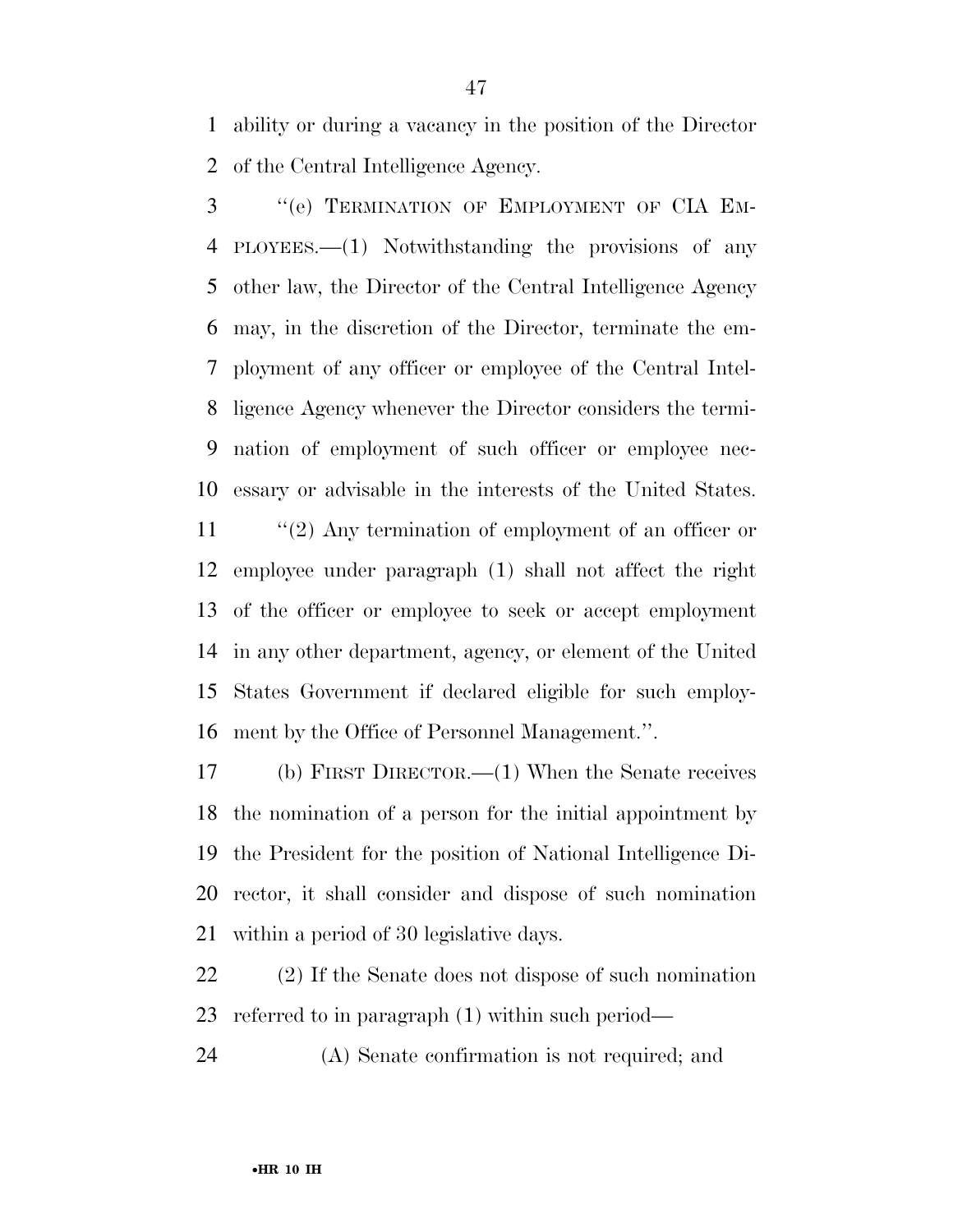ability or during a vacancy in the position of the Director of the Central Intelligence Agency.

3 "(e) TERMINATION OF EMPLOYMENT OF CIA EM- PLOYEES.—(1) Notwithstanding the provisions of any other law, the Director of the Central Intelligence Agency may, in the discretion of the Director, terminate the em- ployment of any officer or employee of the Central Intel- ligence Agency whenever the Director considers the termi- nation of employment of such officer or employee nec-essary or advisable in the interests of the United States.

11 ''(2) Any termination of employment of an officer or employee under paragraph (1) shall not affect the right of the officer or employee to seek or accept employment in any other department, agency, or element of the United States Government if declared eligible for such employ-ment by the Office of Personnel Management.''.

 (b) FIRST DIRECTOR.—(1) When the Senate receives the nomination of a person for the initial appointment by the President for the position of National Intelligence Di- rector, it shall consider and dispose of such nomination within a period of 30 legislative days.

 (2) If the Senate does not dispose of such nomination referred to in paragraph (1) within such period—

(A) Senate confirmation is not required; and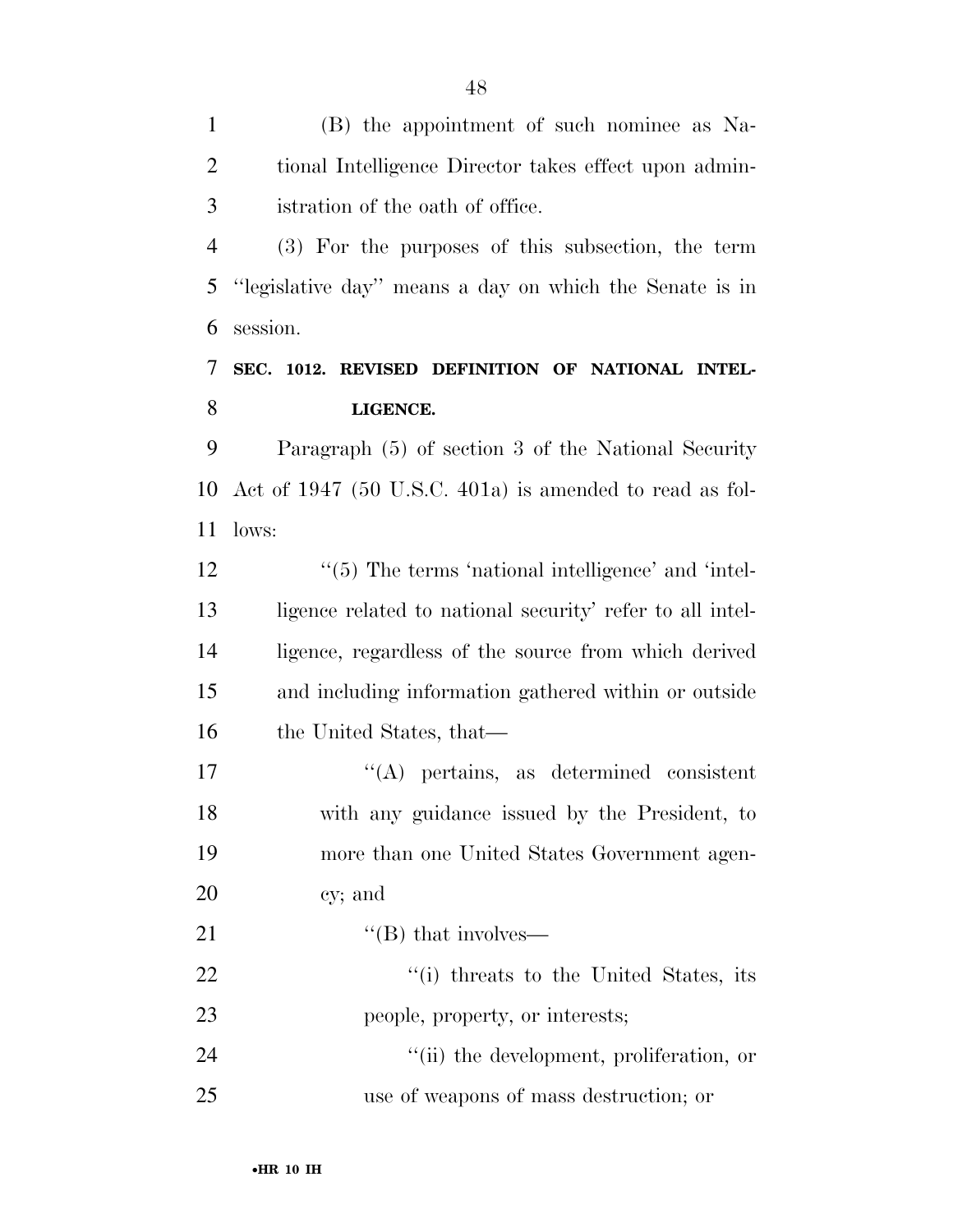(B) the appointment of such nominee as Na- tional Intelligence Director takes effect upon admin-istration of the oath of office.

 (3) For the purposes of this subsection, the term ''legislative day'' means a day on which the Senate is in session.

### **SEC. 1012. REVISED DEFINITION OF NATIONAL INTEL-LIGENCE.**

 Paragraph (5) of section 3 of the National Security Act of 1947 (50 U.S.C. 401a) is amended to read as fol-lows:

 $\frac{1}{5}$  The terms 'national intelligence' and 'intel- ligence related to national security' refer to all intel- ligence, regardless of the source from which derived and including information gathered within or outside the United States, that—

 ''(A) pertains, as determined consistent with any guidance issued by the President, to more than one United States Government agen-cy; and

21  $"$ (B) that involves—

22  $\frac{1}{1}$  threats to the United States, its people, property, or interests;

24  $\qquad \qquad \text{(ii) the development, proliferation, or}$ use of weapons of mass destruction; or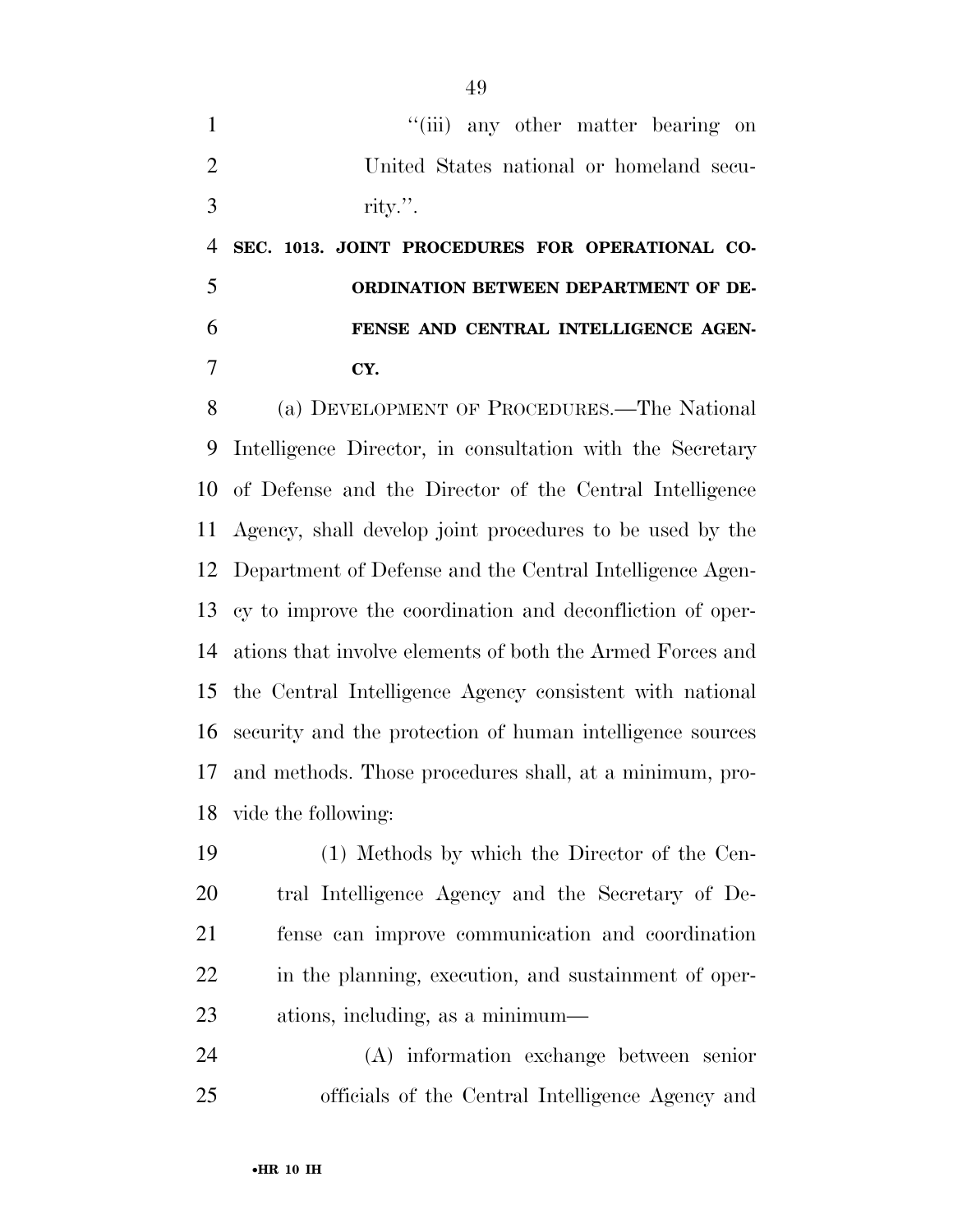1 ''(iii) any other matter bearing on United States national or homeland secu-rity.''.

 **SEC. 1013. JOINT PROCEDURES FOR OPERATIONAL CO- ORDINATION BETWEEN DEPARTMENT OF DE- FENSE AND CENTRAL INTELLIGENCE AGEN-CY.** 

 (a) DEVELOPMENT OF PROCEDURES.—The National Intelligence Director, in consultation with the Secretary of Defense and the Director of the Central Intelligence Agency, shall develop joint procedures to be used by the Department of Defense and the Central Intelligence Agen- cy to improve the coordination and deconfliction of oper- ations that involve elements of both the Armed Forces and the Central Intelligence Agency consistent with national security and the protection of human intelligence sources and methods. Those procedures shall, at a minimum, pro-vide the following:

 (1) Methods by which the Director of the Cen- tral Intelligence Agency and the Secretary of De- fense can improve communication and coordination in the planning, execution, and sustainment of oper-ations, including, as a minimum—

 (A) information exchange between senior officials of the Central Intelligence Agency and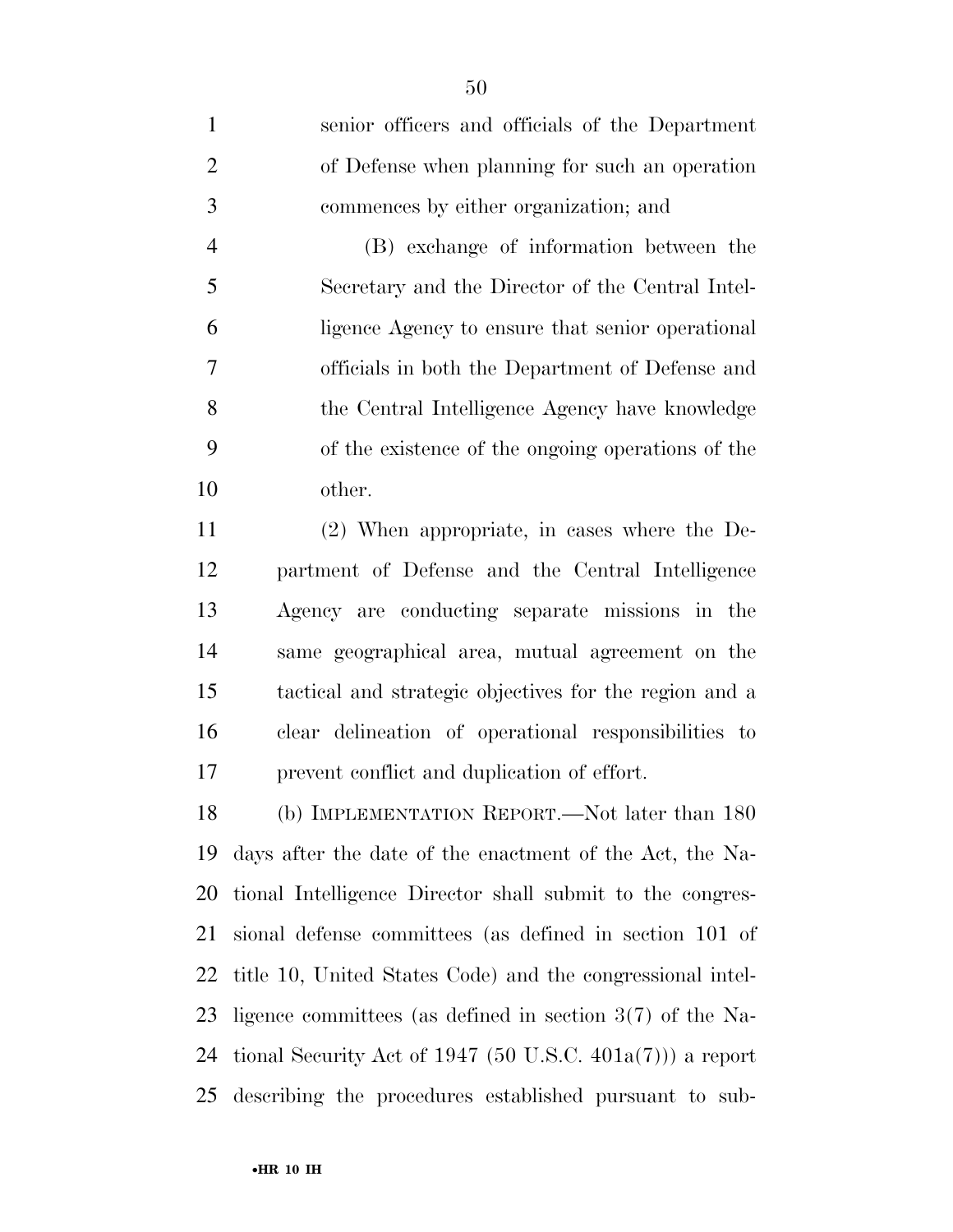senior officers and officials of the Department of Defense when planning for such an operation commences by either organization; and

 (B) exchange of information between the Secretary and the Director of the Central Intel- ligence Agency to ensure that senior operational officials in both the Department of Defense and the Central Intelligence Agency have knowledge of the existence of the ongoing operations of the other.

 (2) When appropriate, in cases where the De- partment of Defense and the Central Intelligence Agency are conducting separate missions in the same geographical area, mutual agreement on the tactical and strategic objectives for the region and a clear delineation of operational responsibilities to prevent conflict and duplication of effort.

 (b) IMPLEMENTATION REPORT.—Not later than 180 days after the date of the enactment of the Act, the Na- tional Intelligence Director shall submit to the congres- sional defense committees (as defined in section 101 of title 10, United States Code) and the congressional intel- ligence committees (as defined in section 3(7) of the Na-24 tional Security Act of 1947  $(50 \text{ U.S.C. } 401a(7))$  a report describing the procedures established pursuant to sub-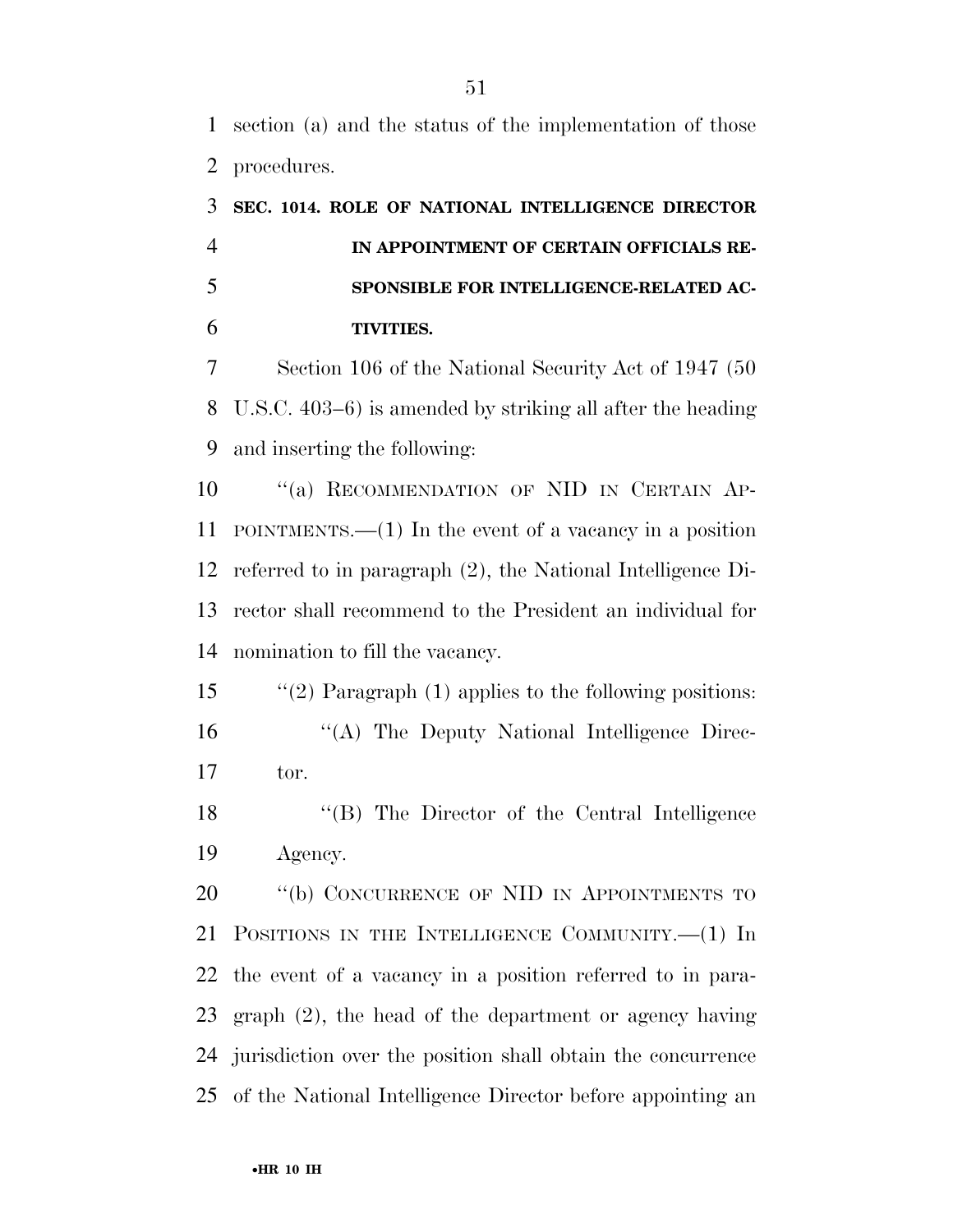section (a) and the status of the implementation of those procedures.

| 3              | SEC. 1014. ROLE OF NATIONAL INTELLIGENCE DIRECTOR              |
|----------------|----------------------------------------------------------------|
| $\overline{4}$ | IN APPOINTMENT OF CERTAIN OFFICIALS RE-                        |
| 5              | SPONSIBLE FOR INTELLIGENCE-RELATED AC-                         |
| 6              | <b>TIVITIES.</b>                                               |
| 7              | Section 106 of the National Security Act of 1947 (50)          |
| 8              | U.S.C. $403-6$ ) is amended by striking all after the heading  |
| 9              | and inserting the following:                                   |
| 10             | "(a) RECOMMENDATION OF NID IN CERTAIN AP-                      |
| 11             | POINTMENTS.— $(1)$ In the event of a vacancy in a position     |
| 12             | referred to in paragraph $(2)$ , the National Intelligence Di- |
| 13             | rector shall recommend to the President an individual for      |
| 14             | nomination to fill the vacancy.                                |
| 15             | "(2) Paragraph $(1)$ applies to the following positions:       |
| 16             | "(A) The Deputy National Intelligence Direc-                   |
| 17             | tor.                                                           |
| 18             | "(B) The Director of the Central Intelligence                  |

Agency.

20 "(b) CONCURRENCE OF NID IN APPOINTMENTS TO POSITIONS IN THE INTELLIGENCE COMMUNITY.—(1) In the event of a vacancy in a position referred to in para- graph (2), the head of the department or agency having jurisdiction over the position shall obtain the concurrence of the National Intelligence Director before appointing an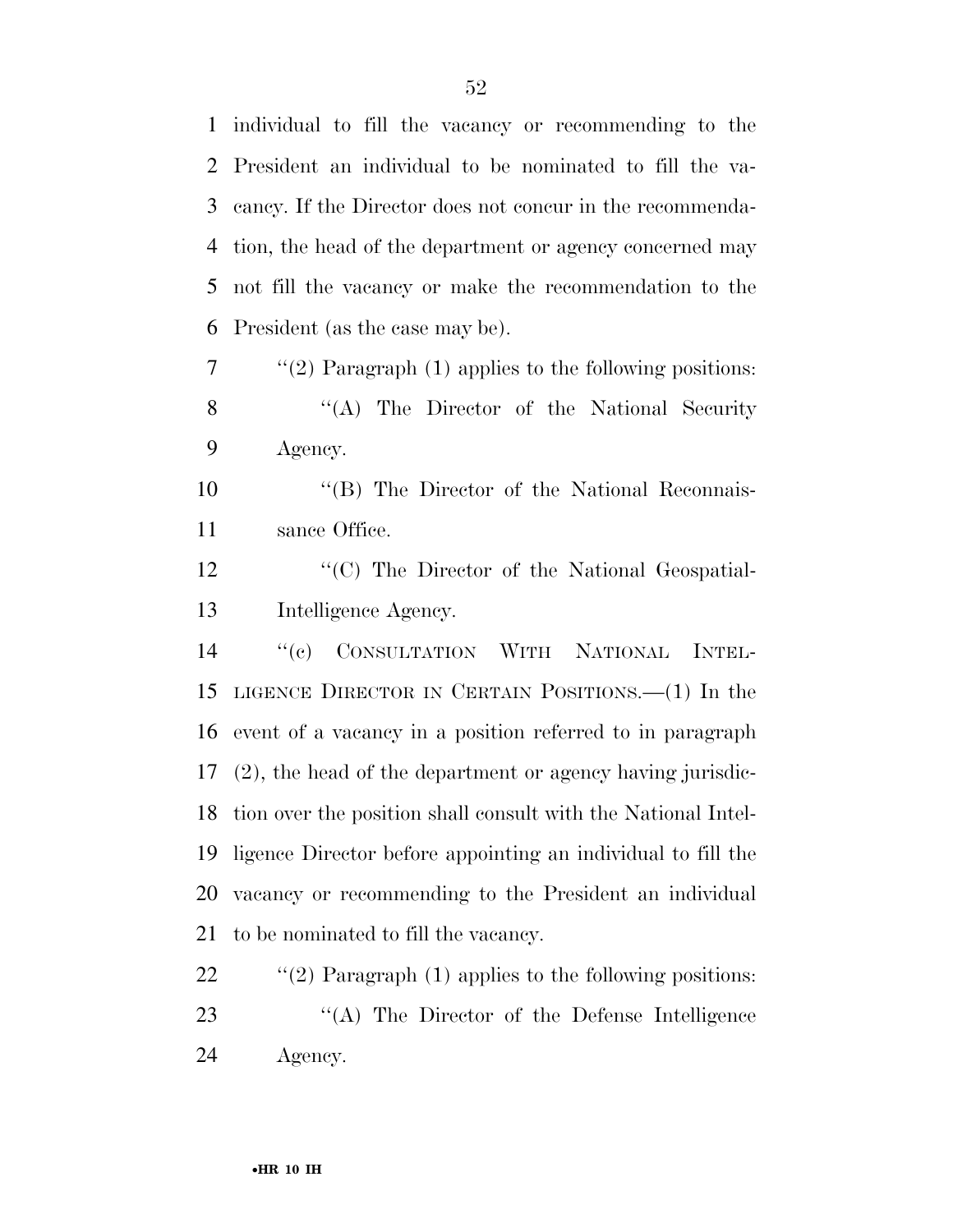individual to fill the vacancy or recommending to the President an individual to be nominated to fill the va- cancy. If the Director does not concur in the recommenda- tion, the head of the department or agency concerned may not fill the vacancy or make the recommendation to the President (as the case may be).

 $7 \cdot \text{``(2)}$  Paragraph (1) applies to the following positions: 8 "(A) The Director of the National Security Agency.

10 "(B) The Director of the National Reconnais-sance Office.

12 "(C) The Director of the National Geospatial-Intelligence Agency.

 ''(c) CONSULTATION WITH NATIONAL INTEL- LIGENCE DIRECTOR IN CERTAIN POSITIONS.—(1) In the event of a vacancy in a position referred to in paragraph (2), the head of the department or agency having jurisdic- tion over the position shall consult with the National Intel- ligence Director before appointing an individual to fill the vacancy or recommending to the President an individual to be nominated to fill the vacancy.

22  $\frac{1}{2}$  (2) Paragraph (1) applies to the following positions: 23 "(A) The Director of the Defense Intelligence Agency.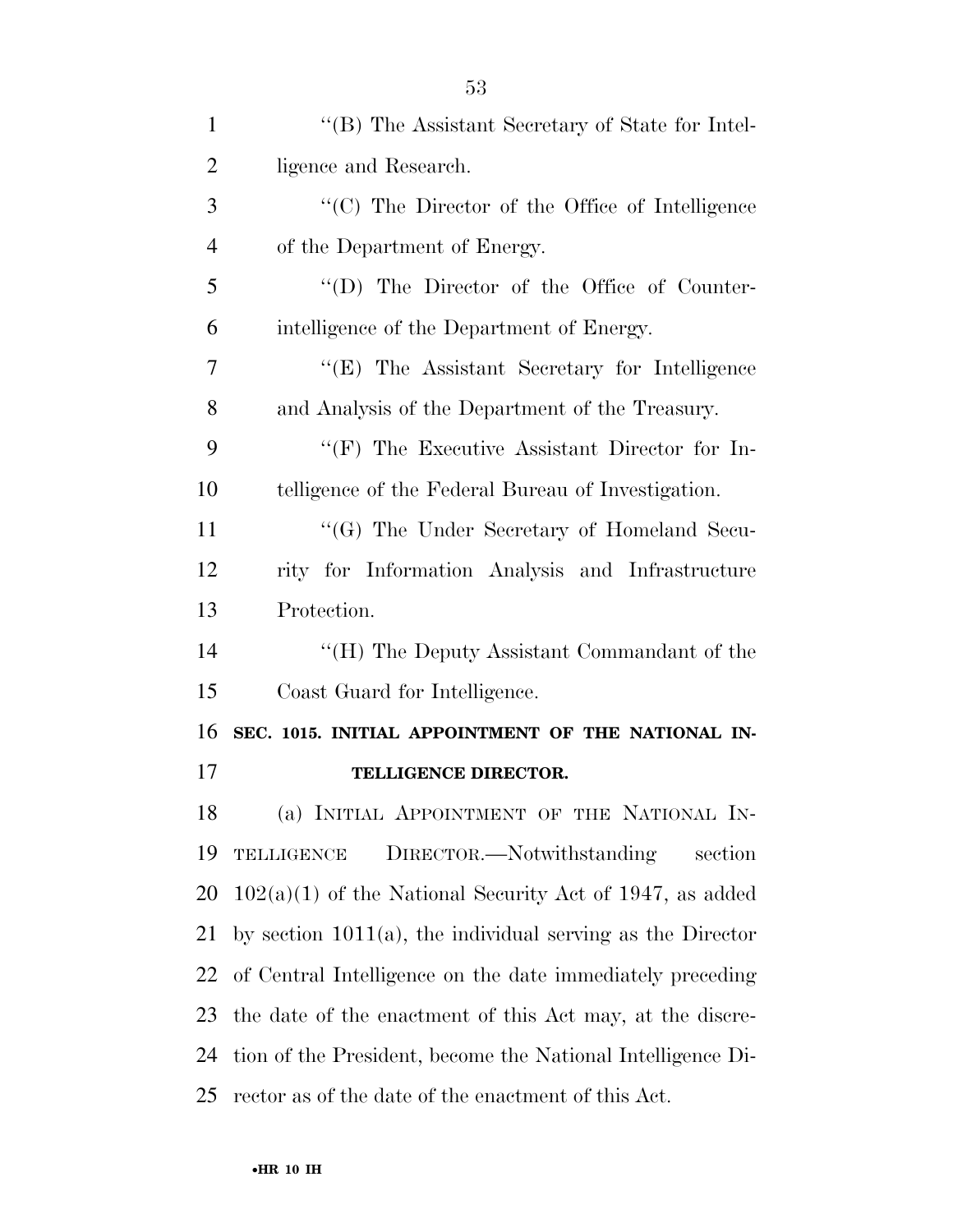| $\mathbf{1}$   | "(B) The Assistant Secretary of State for Intel-              |
|----------------|---------------------------------------------------------------|
| $\overline{2}$ | ligence and Research.                                         |
| 3              | "(C) The Director of the Office of Intelligence               |
| $\overline{4}$ | of the Department of Energy.                                  |
| 5              | "(D) The Director of the Office of Counter-                   |
| 6              | intelligence of the Department of Energy.                     |
| 7              | "(E) The Assistant Secretary for Intelligence                 |
| 8              | and Analysis of the Department of the Treasury.               |
| 9              | "(F) The Executive Assistant Director for In-                 |
| 10             | telligence of the Federal Bureau of Investigation.            |
| 11             | "(G) The Under Secretary of Homeland Secu-                    |
| 12             | rity for Information Analysis and Infrastructure              |
| 13             | Protection.                                                   |
| 14             | "(H) The Deputy Assistant Commandant of the                   |
| 15             | Coast Guard for Intelligence.                                 |
| 16             | SEC. 1015. INITIAL APPOINTMENT OF THE NATIONAL IN-            |
| 17             | TELLIGENCE DIRECTOR.                                          |
| 18             | (a) INITIAL APPOINTMENT OF THE NATIONAL IN-                   |
| 19             | DIRECTOR.—Notwithstanding<br>TELLIGENCE<br>section            |
| 20             | $102(a)(1)$ of the National Security Act of 1947, as added    |
| 21             | by section $1011(a)$ , the individual serving as the Director |
| 22             | of Central Intelligence on the date immediately preceding     |
| 23             | the date of the enactment of this Act may, at the discre-     |
| 24             | tion of the President, become the National Intelligence Di-   |
| 25             | rector as of the date of the enactment of this Act.           |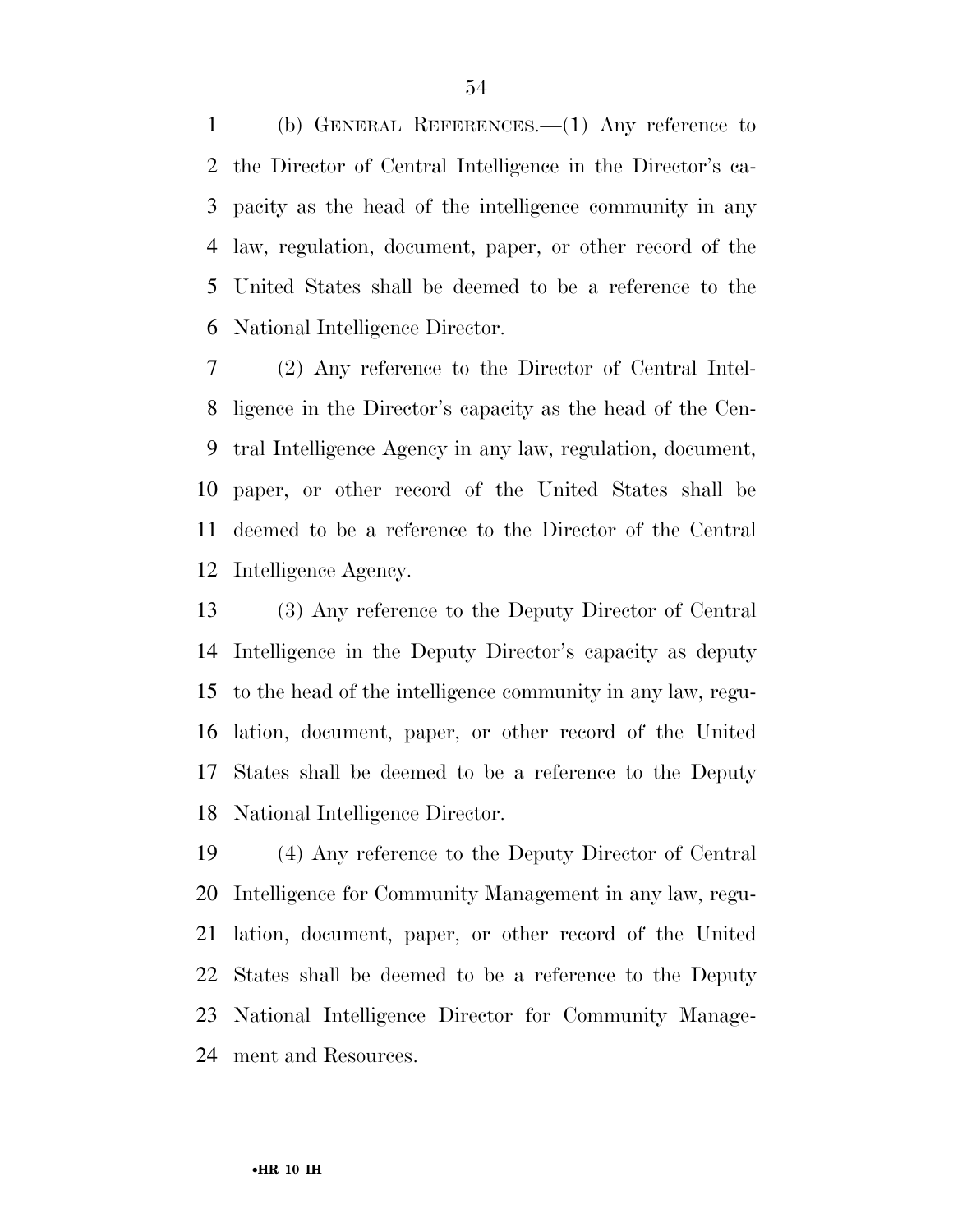(b) GENERAL REFERENCES.—(1) Any reference to the Director of Central Intelligence in the Director's ca- pacity as the head of the intelligence community in any law, regulation, document, paper, or other record of the United States shall be deemed to be a reference to the National Intelligence Director.

 (2) Any reference to the Director of Central Intel- ligence in the Director's capacity as the head of the Cen- tral Intelligence Agency in any law, regulation, document, paper, or other record of the United States shall be deemed to be a reference to the Director of the Central Intelligence Agency.

 (3) Any reference to the Deputy Director of Central Intelligence in the Deputy Director's capacity as deputy to the head of the intelligence community in any law, regu- lation, document, paper, or other record of the United States shall be deemed to be a reference to the Deputy National Intelligence Director.

 (4) Any reference to the Deputy Director of Central Intelligence for Community Management in any law, regu- lation, document, paper, or other record of the United States shall be deemed to be a reference to the Deputy National Intelligence Director for Community Manage-ment and Resources.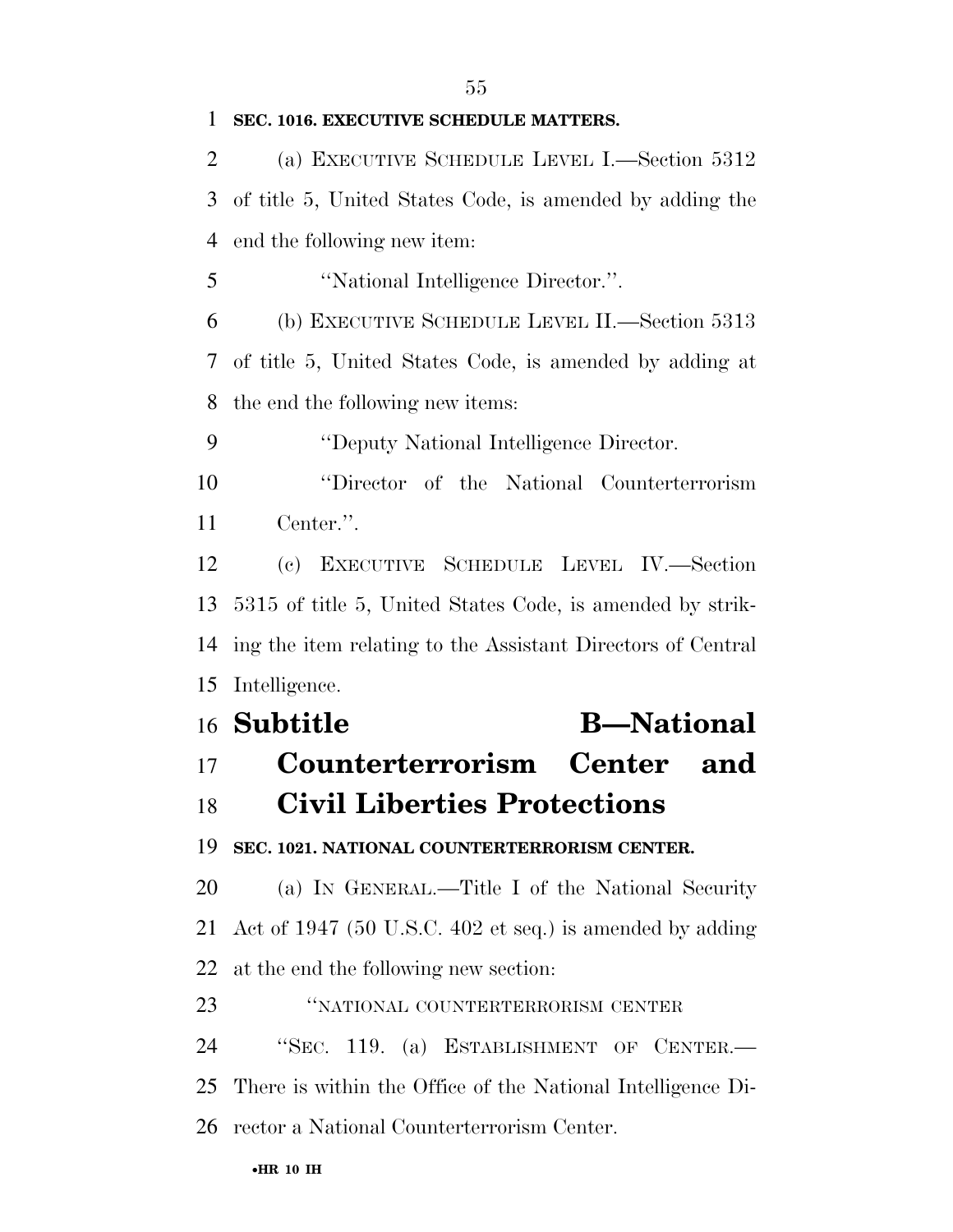#### **SEC. 1016. EXECUTIVE SCHEDULE MATTERS.**

 (a) EXECUTIVE SCHEDULE LEVEL I.—Section 5312 of title 5, United States Code, is amended by adding the end the following new item:

''National Intelligence Director.''.

 (b) EXECUTIVE SCHEDULE LEVEL II.—Section 5313 of title 5, United States Code, is amended by adding at the end the following new items:

''Deputy National Intelligence Director.

 ''Director of the National Counterterrorism Center.''.

 (c) EXECUTIVE SCHEDULE LEVEL IV.—Section 5315 of title 5, United States Code, is amended by strik- ing the item relating to the Assistant Directors of Central Intelligence.

# **Subtitle B—National Counterterrorism Center and Civil Liberties Protections SEC. 1021. NATIONAL COUNTERTERRORISM CENTER.**

 (a) IN GENERAL.—Title I of the National Security Act of 1947 (50 U.S.C. 402 et seq.) is amended by adding at the end the following new section:

''NATIONAL COUNTERTERRORISM CENTER

''SEC. 119. (a) ESTABLISHMENT OF CENTER.—

There is within the Office of the National Intelligence Di-

rector a National Counterterrorism Center.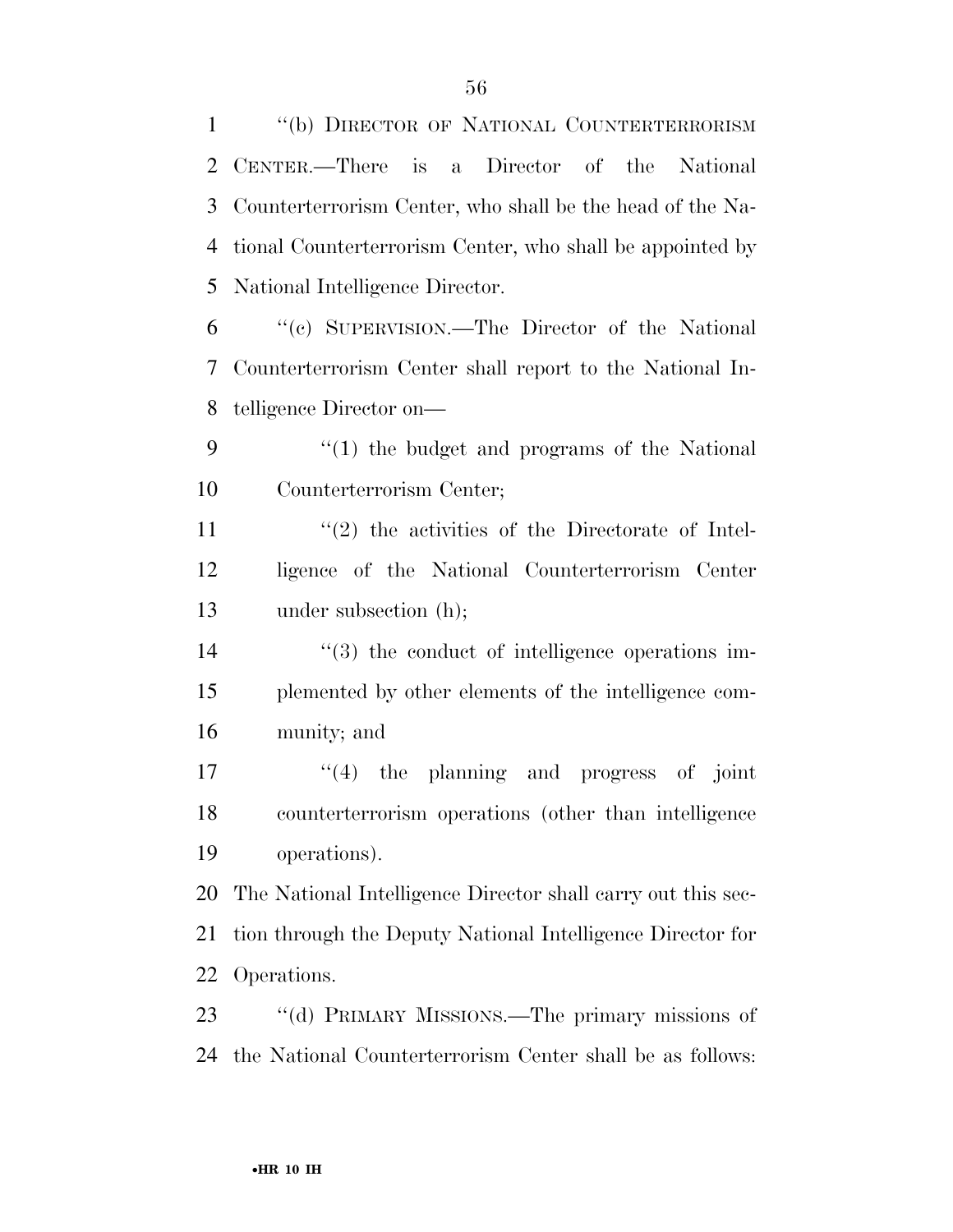| $\mathbf{1}$ | "(b) DIRECTOR OF NATIONAL COUNTERTERRORISM                   |
|--------------|--------------------------------------------------------------|
| 2            | CENTER.—There is a Director of the National                  |
| 3            | Counterterrorism Center, who shall be the head of the Na-    |
| 4            | tional Counterterrorism Center, who shall be appointed by    |
| 5            | National Intelligence Director.                              |
| 6            | "(c) SUPERVISION.—The Director of the National               |
| 7            | Counterterrorism Center shall report to the National In-     |
| 8            | telligence Director on-                                      |
| 9            | $\lq(1)$ the budget and programs of the National             |
| 10           | Counterterrorism Center;                                     |
| 11           | $\lq(2)$ the activities of the Directorate of Intel-         |
| 12           | ligence of the National Counterterrorism Center              |
| 13           | under subsection (h);                                        |
| 14           | $\lq(3)$ the conduct of intelligence operations im-          |
| 15           | plemented by other elements of the intelligence com-         |
| 16           | munity; and                                                  |
| 17           | $\lq(4)$ the planning and progress of joint                  |
| 18           | counterterrorism operations (other than intelligence         |
| 19           | operations).                                                 |
| 20           | The National Intelligence Director shall carry out this sec- |
| 21           | tion through the Deputy National Intelligence Director for   |
| 22           | Operations.                                                  |
| 23           | "(d) PRIMARY MISSIONS.—The primary missions of               |
| 24           | the National Counterterrorism Center shall be as follows:    |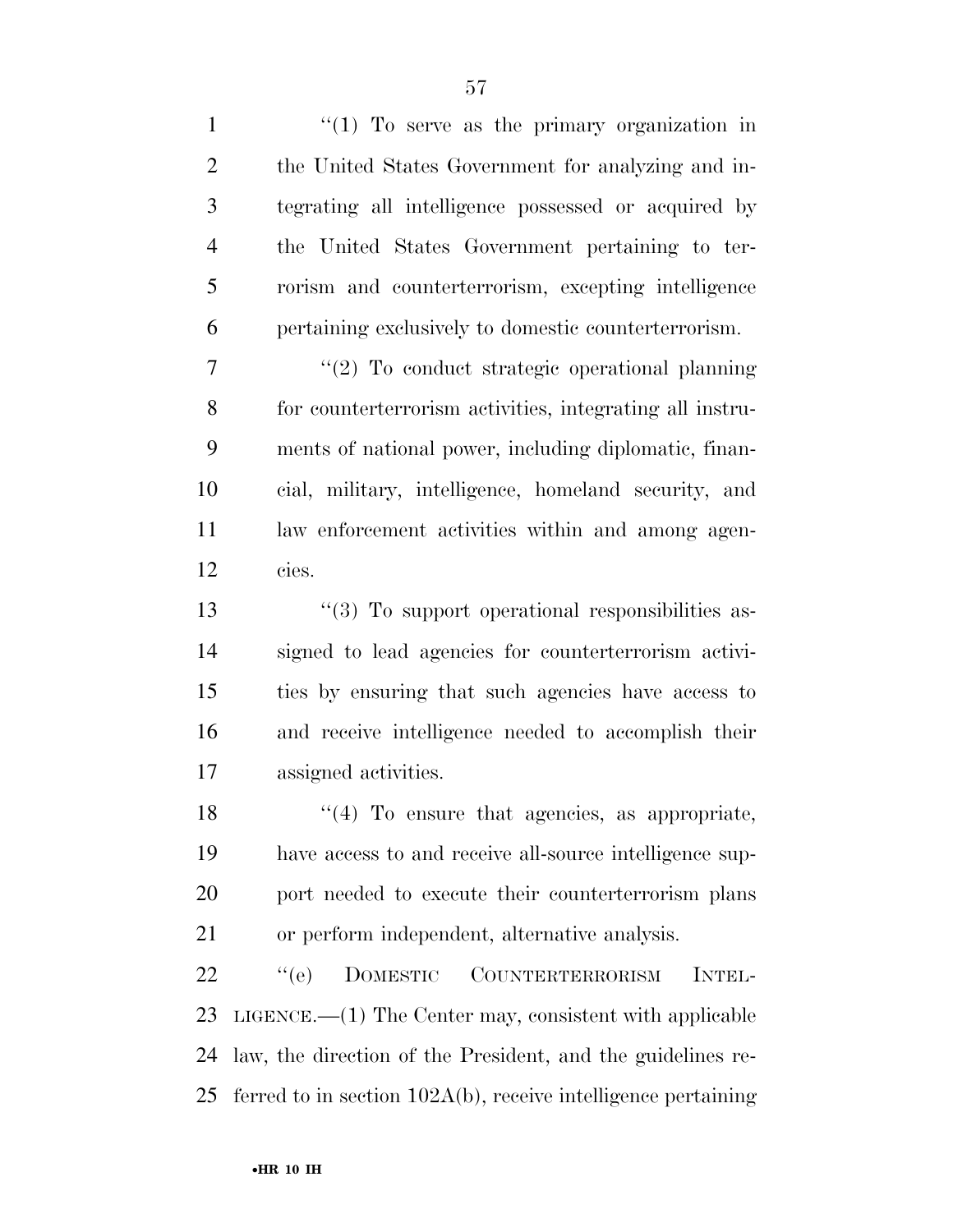$\frac{1}{1}$  ''(1) To serve as the primary organization in the United States Government for analyzing and in- tegrating all intelligence possessed or acquired by the United States Government pertaining to ter- rorism and counterterrorism, excepting intelligence pertaining exclusively to domestic counterterrorism.  $\frac{1}{2}$  To conduct strategic operational planning for counterterrorism activities, integrating all instru- ments of national power, including diplomatic, finan- cial, military, intelligence, homeland security, and law enforcement activities within and among agen- cies. 13 ''(3) To support operational responsibilities as- signed to lead agencies for counterterrorism activi- ties by ensuring that such agencies have access to and receive intelligence needed to accomplish their assigned activities.  $\frac{18}{18}$  ''(4) To ensure that agencies, as appropriate, have access to and receive all-source intelligence sup- port needed to execute their counterterrorism plans or perform independent, alternative analysis. ''(e) DOMESTIC COUNTERTERRORISM INTEL- LIGENCE.—(1) The Center may, consistent with applicable law, the direction of the President, and the guidelines re-ferred to in section 102A(b), receive intelligence pertaining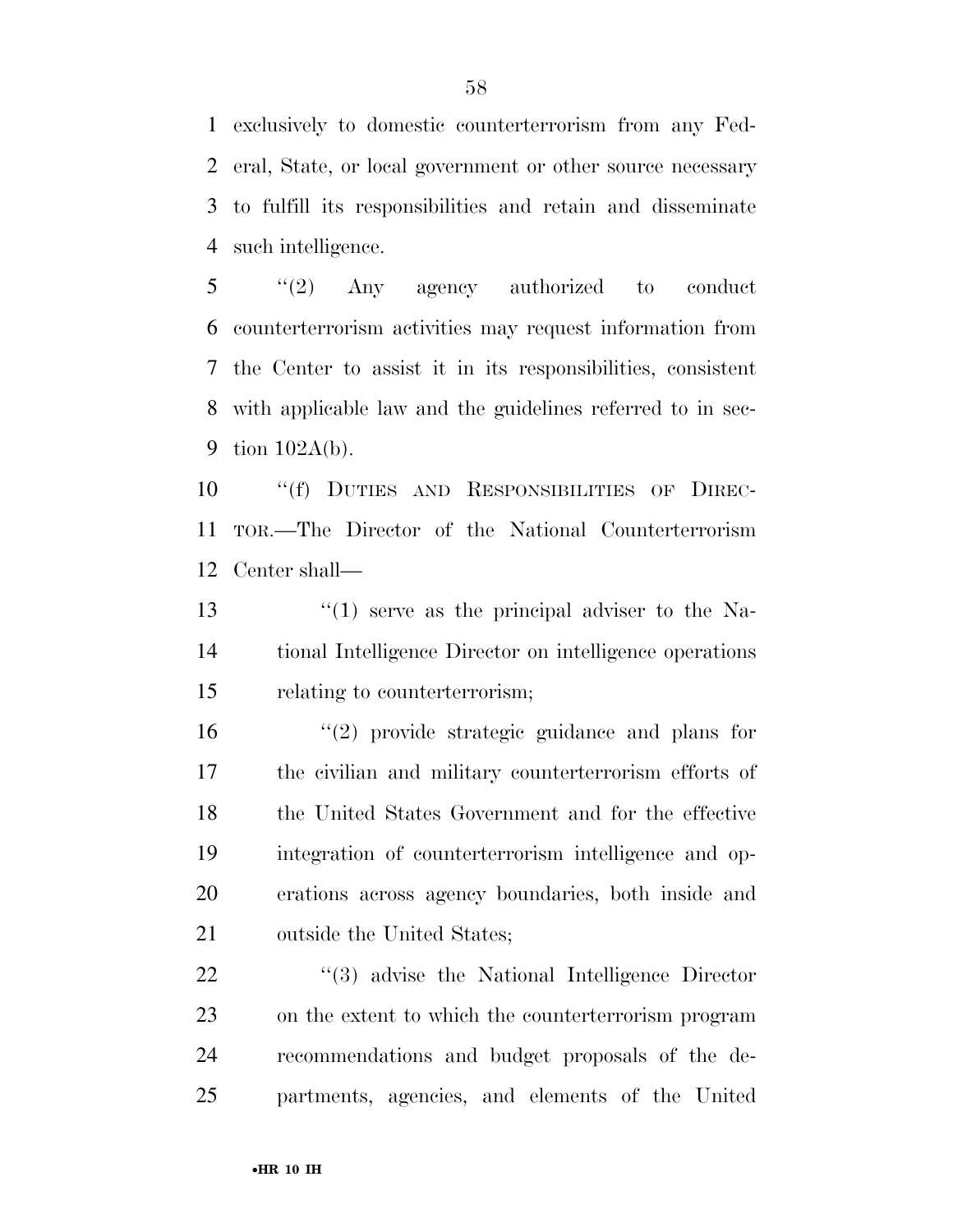exclusively to domestic counterterrorism from any Fed- eral, State, or local government or other source necessary to fulfill its responsibilities and retain and disseminate such intelligence.

 ''(2) Any agency authorized to conduct counterterrorism activities may request information from the Center to assist it in its responsibilities, consistent with applicable law and the guidelines referred to in sec-tion 102A(b).

 ''(f) DUTIES AND RESPONSIBILITIES OF DIREC- TOR.—The Director of the National Counterterrorism Center shall—

13 ''(1) serve as the principal adviser to the Na- tional Intelligence Director on intelligence operations relating to counterterrorism;

 ''(2) provide strategic guidance and plans for the civilian and military counterterrorism efforts of the United States Government and for the effective integration of counterterrorism intelligence and op- erations across agency boundaries, both inside and outside the United States;

22 "(3) advise the National Intelligence Director on the extent to which the counterterrorism program recommendations and budget proposals of the de-partments, agencies, and elements of the United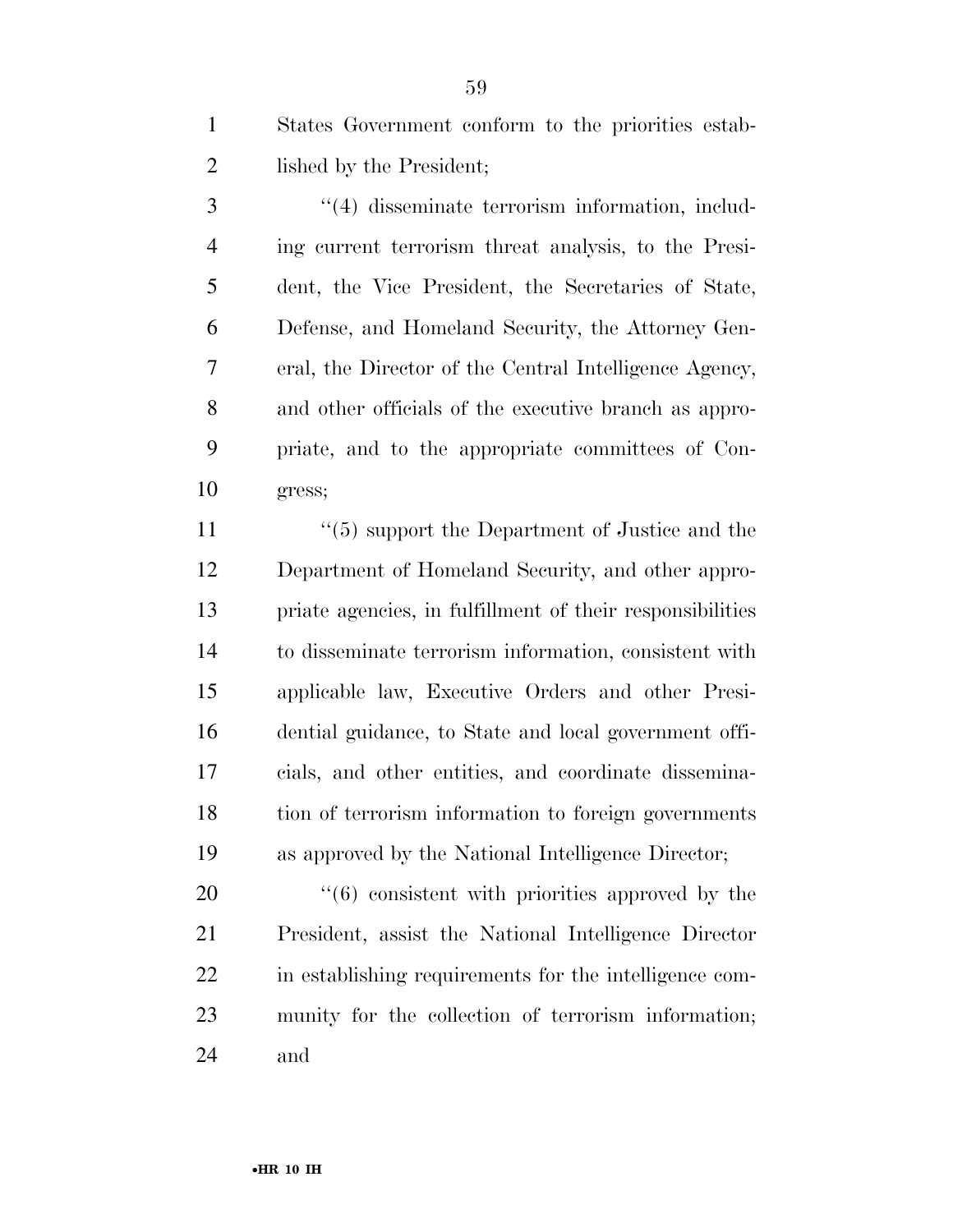States Government conform to the priorities estab-2 lished by the President;

3 (4) disseminate terrorism information, includ- ing current terrorism threat analysis, to the Presi- dent, the Vice President, the Secretaries of State, Defense, and Homeland Security, the Attorney Gen- eral, the Director of the Central Intelligence Agency, and other officials of the executive branch as appro- priate, and to the appropriate committees of Con-gress;

 ''(5) support the Department of Justice and the Department of Homeland Security, and other appro- priate agencies, in fulfillment of their responsibilities to disseminate terrorism information, consistent with applicable law, Executive Orders and other Presi- dential guidance, to State and local government offi- cials, and other entities, and coordinate dissemina- tion of terrorism information to foreign governments as approved by the National Intelligence Director;

 $\frac{4}{6}$  consistent with priorities approved by the President, assist the National Intelligence Director in establishing requirements for the intelligence com- munity for the collection of terrorism information; and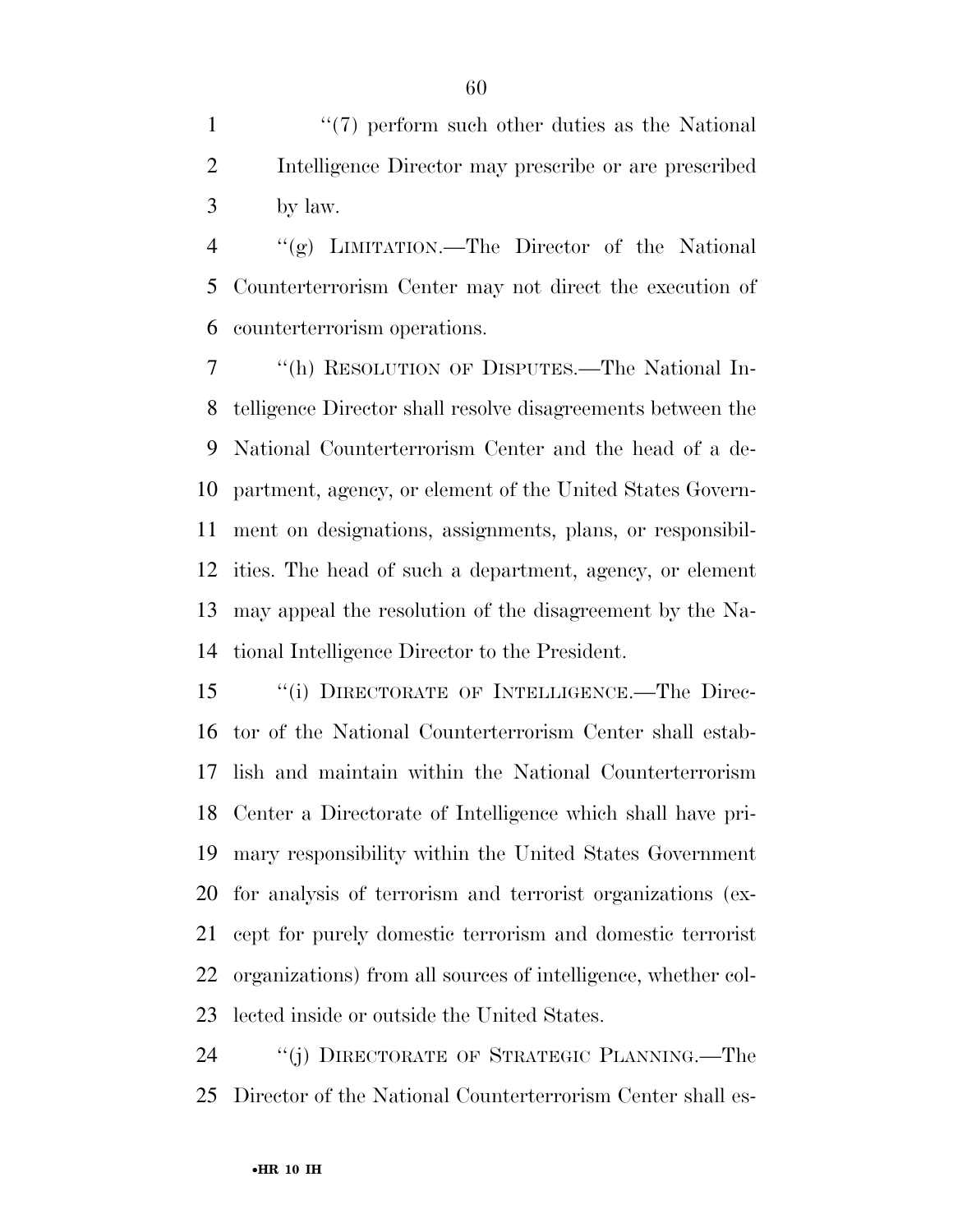1 ''(7) perform such other duties as the National Intelligence Director may prescribe or are prescribed by law.

 ''(g) LIMITATION.—The Director of the National Counterterrorism Center may not direct the execution of counterterrorism operations.

 ''(h) RESOLUTION OF DISPUTES.—The National In- telligence Director shall resolve disagreements between the National Counterterrorism Center and the head of a de- partment, agency, or element of the United States Govern- ment on designations, assignments, plans, or responsibil- ities. The head of such a department, agency, or element may appeal the resolution of the disagreement by the Na-tional Intelligence Director to the President.

 ''(i) DIRECTORATE OF INTELLIGENCE.—The Direc- tor of the National Counterterrorism Center shall estab- lish and maintain within the National Counterterrorism Center a Directorate of Intelligence which shall have pri- mary responsibility within the United States Government for analysis of terrorism and terrorist organizations (ex- cept for purely domestic terrorism and domestic terrorist organizations) from all sources of intelligence, whether col-lected inside or outside the United States.

24 "(j) DIRECTORATE OF STRATEGIC PLANNING.—The Director of the National Counterterrorism Center shall es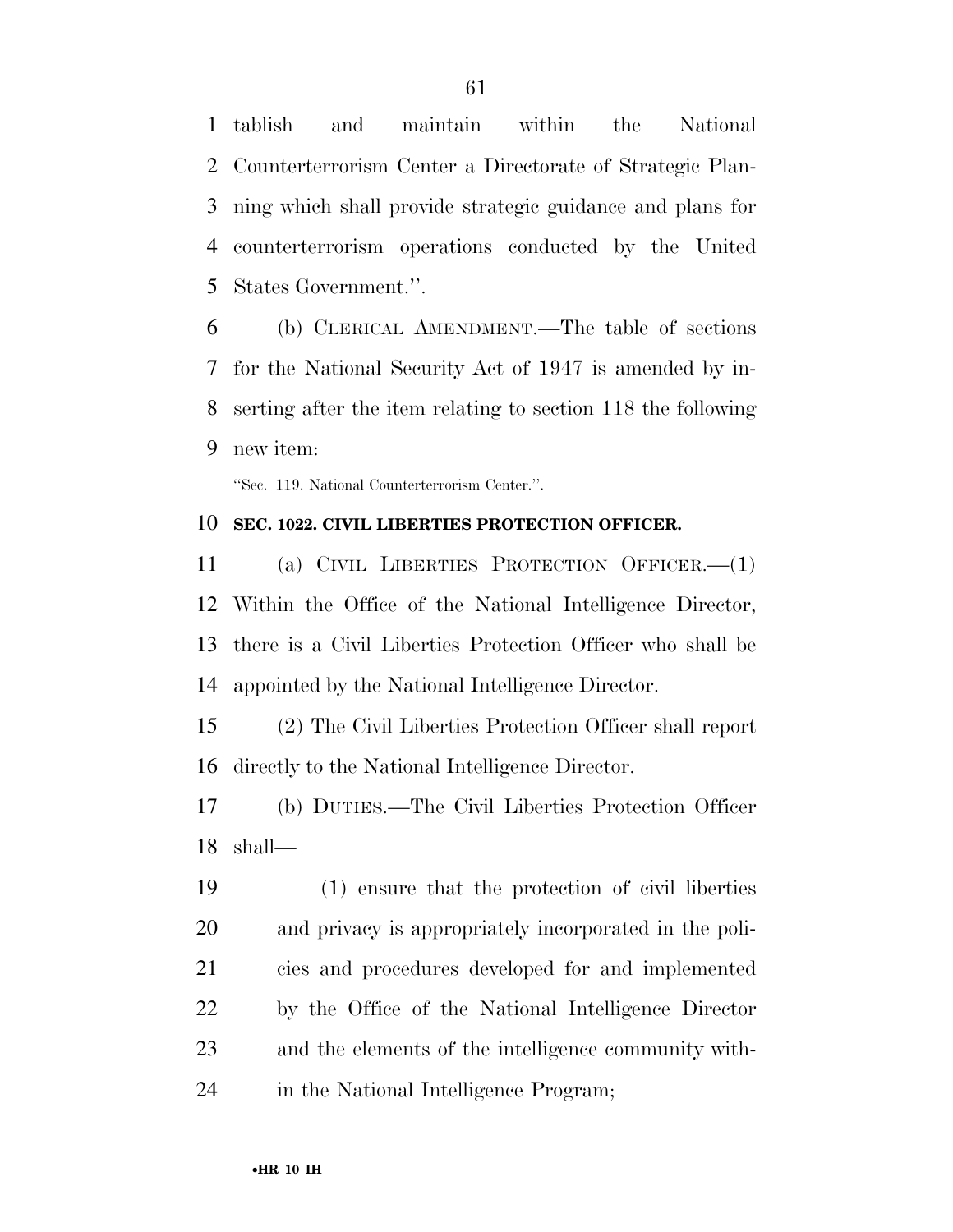tablish and maintain within the National Counterterrorism Center a Directorate of Strategic Plan- ning which shall provide strategic guidance and plans for counterterrorism operations conducted by the United States Government.''.

 (b) CLERICAL AMENDMENT.—The table of sections for the National Security Act of 1947 is amended by in- serting after the item relating to section 118 the following new item:

''Sec. 119. National Counterterrorism Center.''.

#### **SEC. 1022. CIVIL LIBERTIES PROTECTION OFFICER.**

 (a) CIVIL LIBERTIES PROTECTION OFFICER.—(1) Within the Office of the National Intelligence Director, there is a Civil Liberties Protection Officer who shall be appointed by the National Intelligence Director.

 (2) The Civil Liberties Protection Officer shall report directly to the National Intelligence Director.

 (b) DUTIES.—The Civil Liberties Protection Officer shall—

 (1) ensure that the protection of civil liberties and privacy is appropriately incorporated in the poli- cies and procedures developed for and implemented by the Office of the National Intelligence Director and the elements of the intelligence community with-in the National Intelligence Program;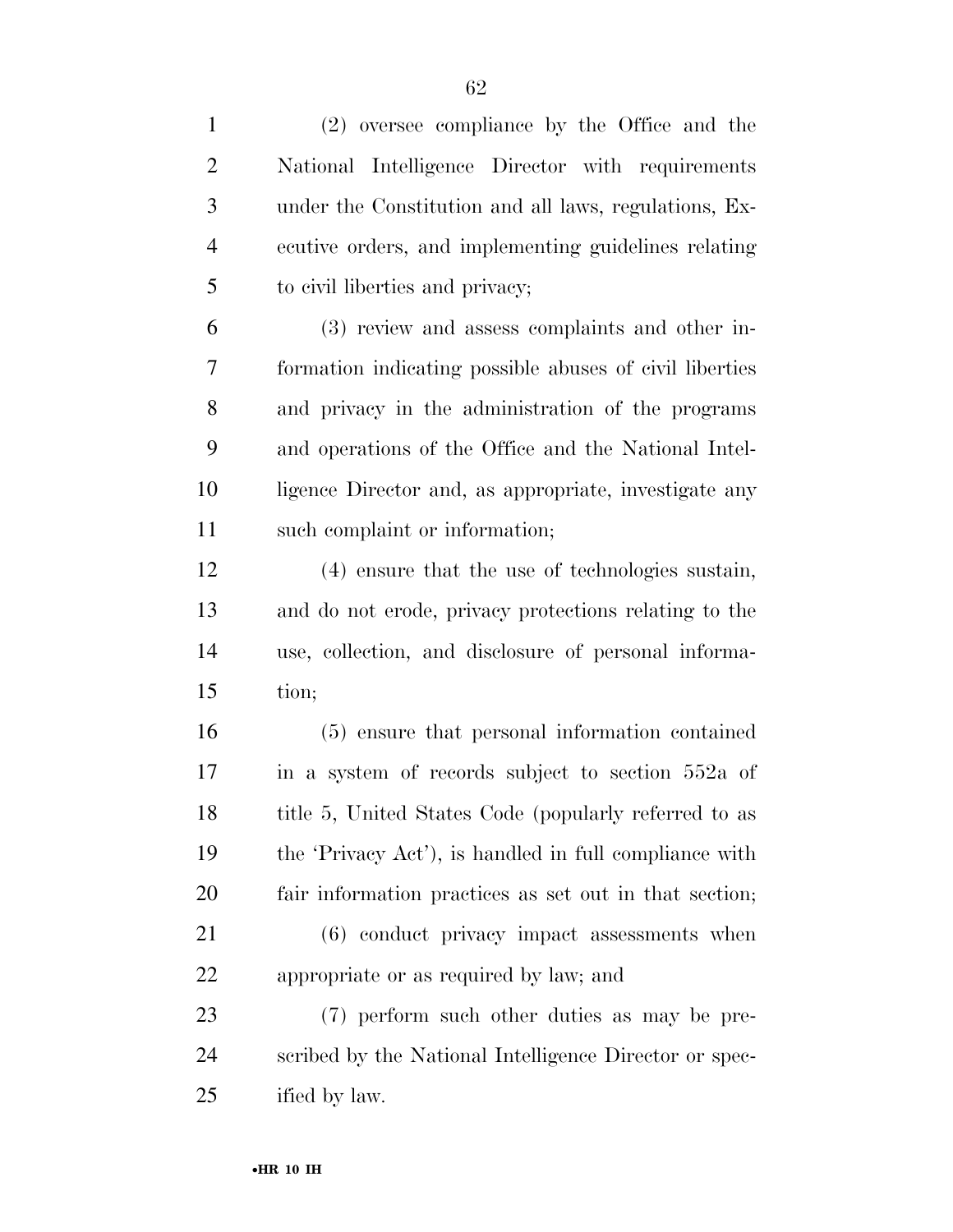| $\mathbf{1}$   | (2) oversee compliance by the Office and the            |
|----------------|---------------------------------------------------------|
| $\overline{2}$ | National Intelligence Director with requirements        |
| 3              | under the Constitution and all laws, regulations, Ex-   |
| $\overline{4}$ | ecutive orders, and implementing guidelines relating    |
| 5              | to civil liberties and privacy;                         |
| 6              | (3) review and assess complaints and other in-          |
| 7              | formation indicating possible abuses of civil liberties |
| 8              | and privacy in the administration of the programs       |
| 9              | and operations of the Office and the National Intel-    |
| 10             | ligence Director and, as appropriate, investigate any   |
| 11             | such complaint or information;                          |
| 12             | (4) ensure that the use of technologies sustain,        |
| 13             | and do not erode, privacy protections relating to the   |
| 14             | use, collection, and disclosure of personal informa-    |
| 15             | tion;                                                   |
| 16             | (5) ensure that personal information contained          |
| 17             | in a system of records subject to section 552a of       |
| 18             | title 5, United States Code (popularly referred to as   |
| 19             | the 'Privacy Act'), is handled in full compliance with  |
| 20             | fair information practices as set out in that section;  |
| 21             | $(6)$ conduct privacy impact assessments when           |
| 22             | appropriate or as required by law; and                  |
| 23             | (7) perform such other duties as may be pre-            |
| 24             | scribed by the National Intelligence Director or spec-  |
| 25             | ified by law.                                           |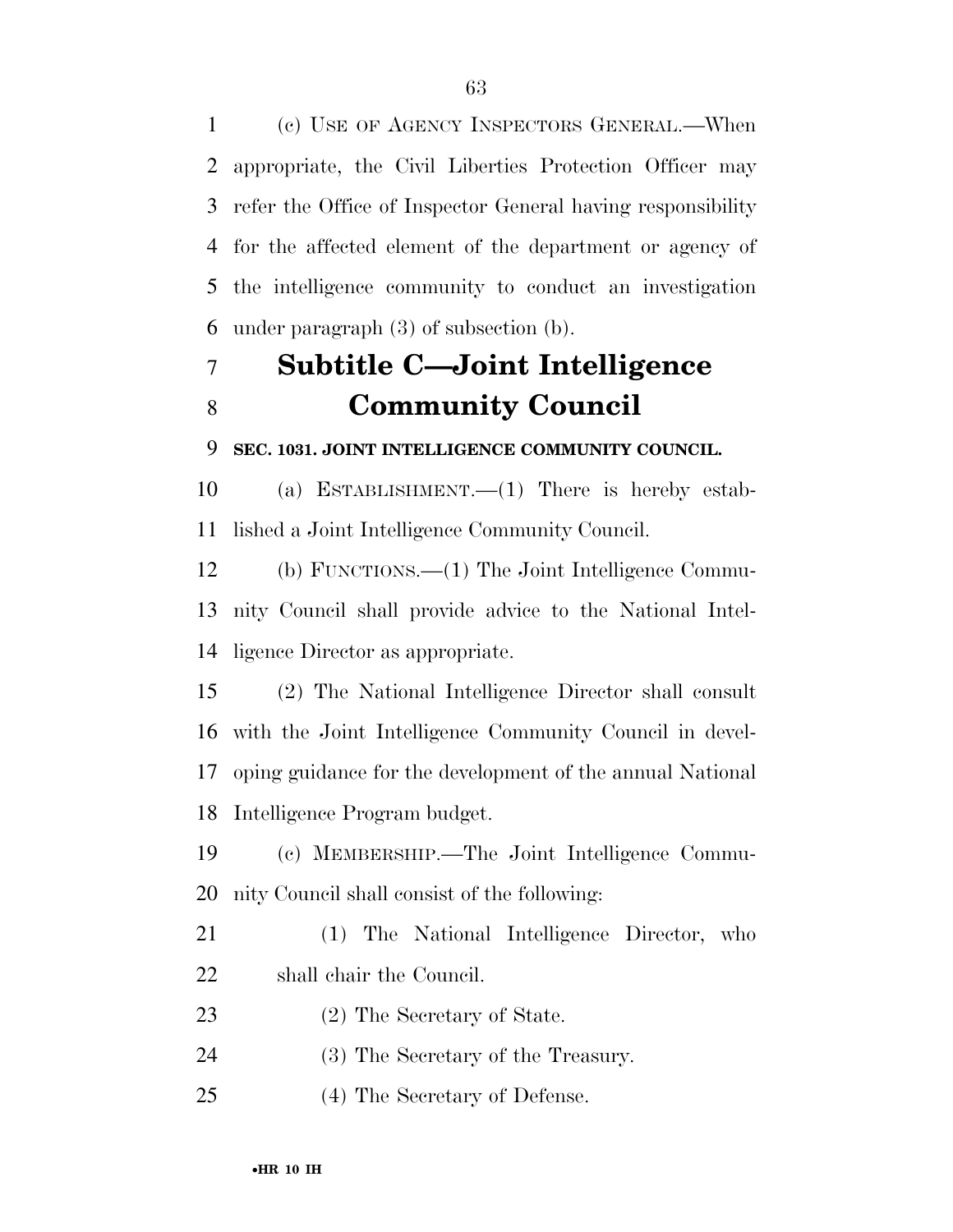(c) USE OF AGENCY INSPECTORS GENERAL.—When appropriate, the Civil Liberties Protection Officer may refer the Office of Inspector General having responsibility for the affected element of the department or agency of the intelligence community to conduct an investigation under paragraph (3) of subsection (b).

# **Subtitle C—Joint Intelligence Community Council**

#### **SEC. 1031. JOINT INTELLIGENCE COMMUNITY COUNCIL.**

 (a) ESTABLISHMENT.—(1) There is hereby estab-lished a Joint Intelligence Community Council.

 (b) FUNCTIONS.—(1) The Joint Intelligence Commu- nity Council shall provide advice to the National Intel-ligence Director as appropriate.

 (2) The National Intelligence Director shall consult with the Joint Intelligence Community Council in devel- oping guidance for the development of the annual National Intelligence Program budget.

 (c) MEMBERSHIP.—The Joint Intelligence Commu-nity Council shall consist of the following:

- (1) The National Intelligence Director, who shall chair the Council.
- (2) The Secretary of State.
- (3) The Secretary of the Treasury.
- (4) The Secretary of Defense.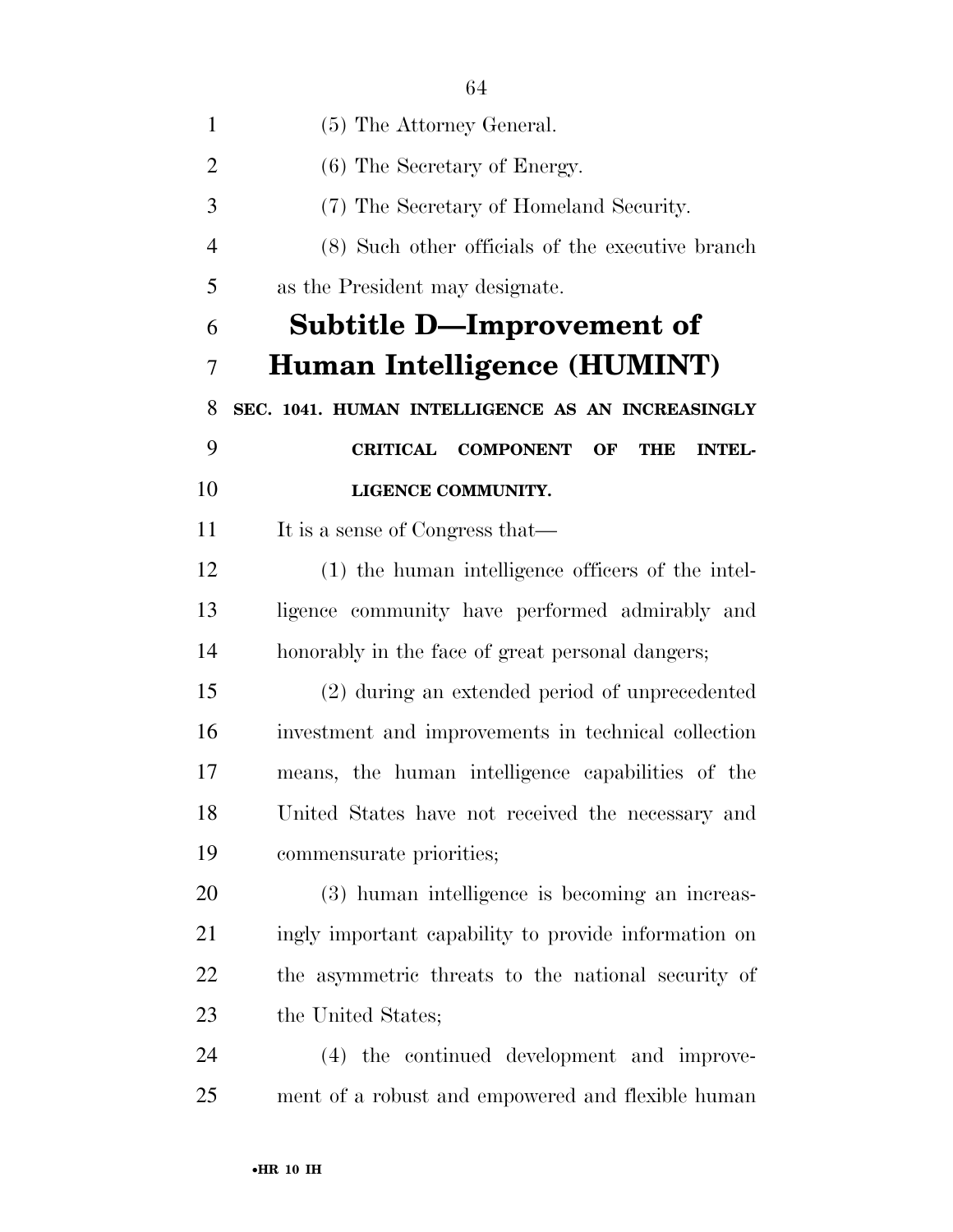| $\mathbf{1}$   | (5) The Attorney General.                                                |
|----------------|--------------------------------------------------------------------------|
| $\overline{2}$ | (6) The Secretary of Energy.                                             |
| 3              | (7) The Secretary of Homeland Security.                                  |
| $\overline{4}$ | (8) Such other officials of the executive branch                         |
| 5              | as the President may designate.                                          |
| 6              | <b>Subtitle D-Improvement of</b>                                         |
| 7              | Human Intelligence (HUMINT)                                              |
| 8              | SEC. 1041. HUMAN INTELLIGENCE AS AN INCREASINGLY                         |
| 9              | <b>COMPONENT</b><br><b>CRITICAL</b><br>OF<br><b>THE</b><br><b>INTEL-</b> |
| 10             | LIGENCE COMMUNITY.                                                       |
| 11             | It is a sense of Congress that—                                          |
| 12             | (1) the human intelligence officers of the intel-                        |
| 13             | ligence community have performed admirably and                           |
| 14             | honorably in the face of great personal dangers;                         |
| 15             | (2) during an extended period of unprecedented                           |
| 16             | investment and improvements in technical collection                      |
| 17             | means, the human intelligence capabilities of the                        |
| 18             | United States have not received the necessary and                        |
| 19             | commensurate priorities;                                                 |
| 20             | (3) human intelligence is becoming an increas-                           |
| 21             | ingly important capability to provide information on                     |
| 22             | the asymmetric threats to the national security of                       |
| 23             | the United States;                                                       |
| 24             | (4) the continued development and improve-                               |
| 25             | ment of a robust and empowered and flexible human                        |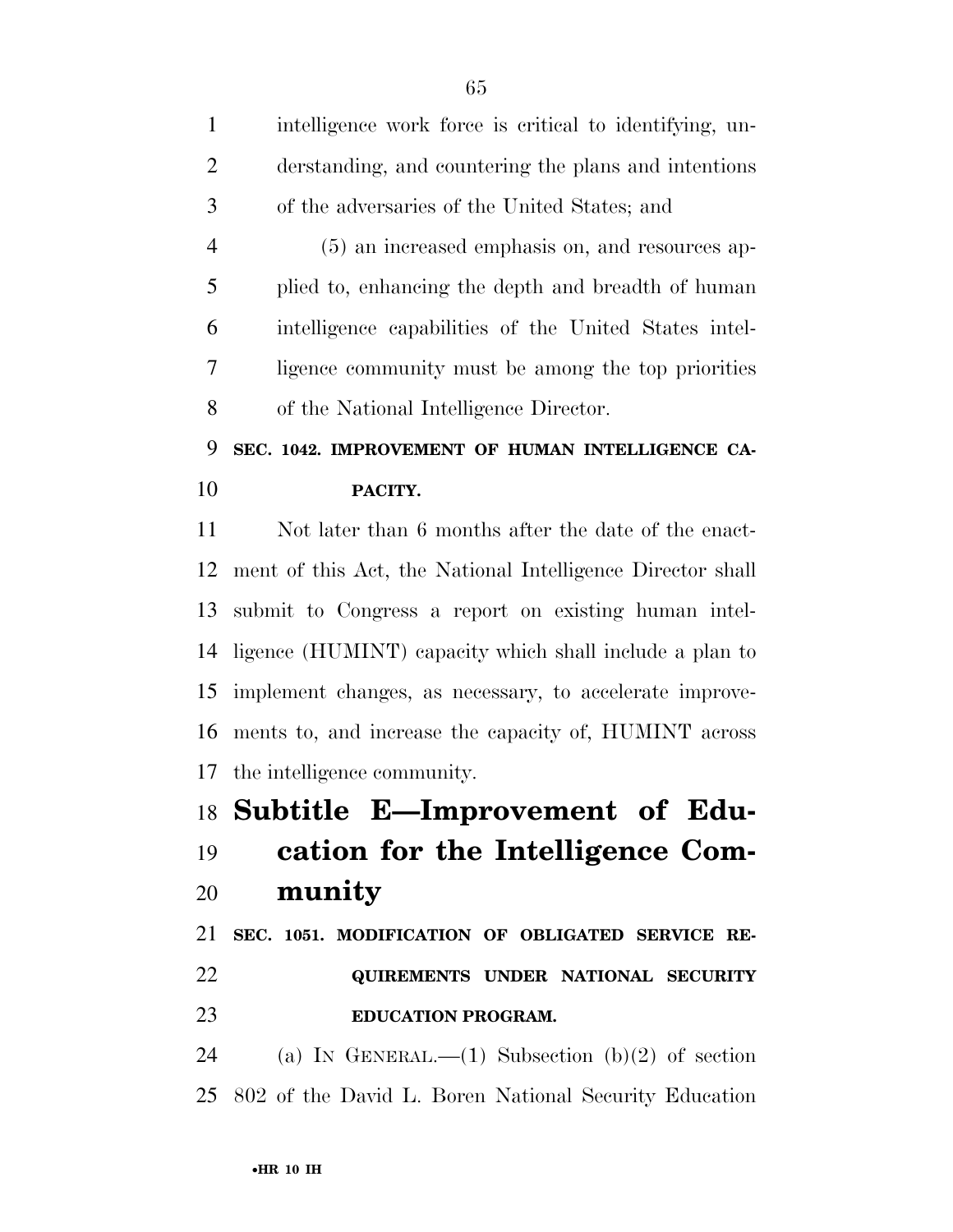| $\mathbf{1}$   | intelligence work force is critical to identifying, un-    |
|----------------|------------------------------------------------------------|
| $\overline{2}$ | derstanding, and countering the plans and intentions       |
| 3              | of the adversaries of the United States; and               |
| $\overline{4}$ | (5) an increased emphasis on, and resources ap-            |
| 5              | plied to, enhancing the depth and breadth of human         |
| 6              | intelligence capabilities of the United States intel-      |
| 7              | ligence community must be among the top priorities         |
| 8              | of the National Intelligence Director.                     |
| 9              | SEC. 1042. IMPROVEMENT OF HUMAN INTELLIGENCE CA-           |
| 10             | PACITY.                                                    |
| 11             | Not later than 6 months after the date of the enact-       |
| 12             | ment of this Act, the National Intelligence Director shall |
| 13             | submit to Congress a report on existing human intel-       |
| 14             | ligence (HUMINT) capacity which shall include a plan to    |
| 15             | implement changes, as necessary, to accelerate improve-    |
| 16             | ments to, and increase the capacity of, HUMINT across      |
| 17             | the intelligence community.                                |
|                | 18 Subtitle E-Improvement of Edu-                          |
| 19             | cation for the Intelligence Com-                           |
| 20             | munity                                                     |
| 21             | SEC. 1051. MODIFICATION OF OBLIGATED SERVICE RE-           |
| 22             | QUIREMENTS UNDER NATIONAL SECURITY                         |
| 23             | <b>EDUCATION PROGRAM.</b>                                  |
| 24             | (a) IN GENERAL.—(1) Subsection (b)(2) of section           |
| 25             | 802 of the David L. Boren National Security Education      |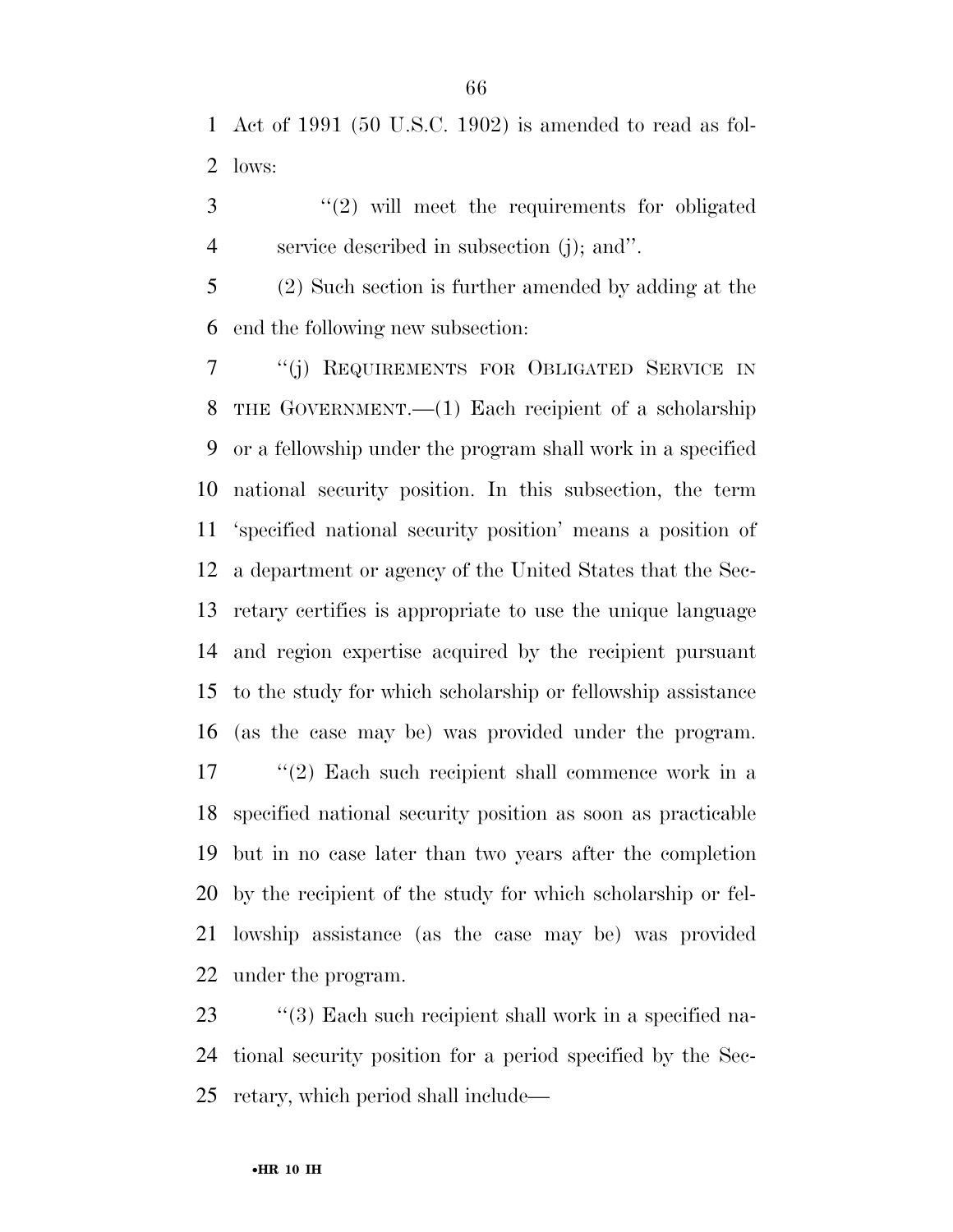Act of 1991 (50 U.S.C. 1902) is amended to read as fol-lows:

 ''(2) will meet the requirements for obligated service described in subsection (j); and''.

 (2) Such section is further amended by adding at the end the following new subsection:

 ''(j) REQUIREMENTS FOR OBLIGATED SERVICE IN THE GOVERNMENT.—(1) Each recipient of a scholarship or a fellowship under the program shall work in a specified national security position. In this subsection, the term 'specified national security position' means a position of a department or agency of the United States that the Sec- retary certifies is appropriate to use the unique language and region expertise acquired by the recipient pursuant to the study for which scholarship or fellowship assistance (as the case may be) was provided under the program.

17 ''(2) Each such recipient shall commence work in a specified national security position as soon as practicable but in no case later than two years after the completion by the recipient of the study for which scholarship or fel- lowship assistance (as the case may be) was provided under the program.

23 ''(3) Each such recipient shall work in a specified na- tional security position for a period specified by the Sec-retary, which period shall include—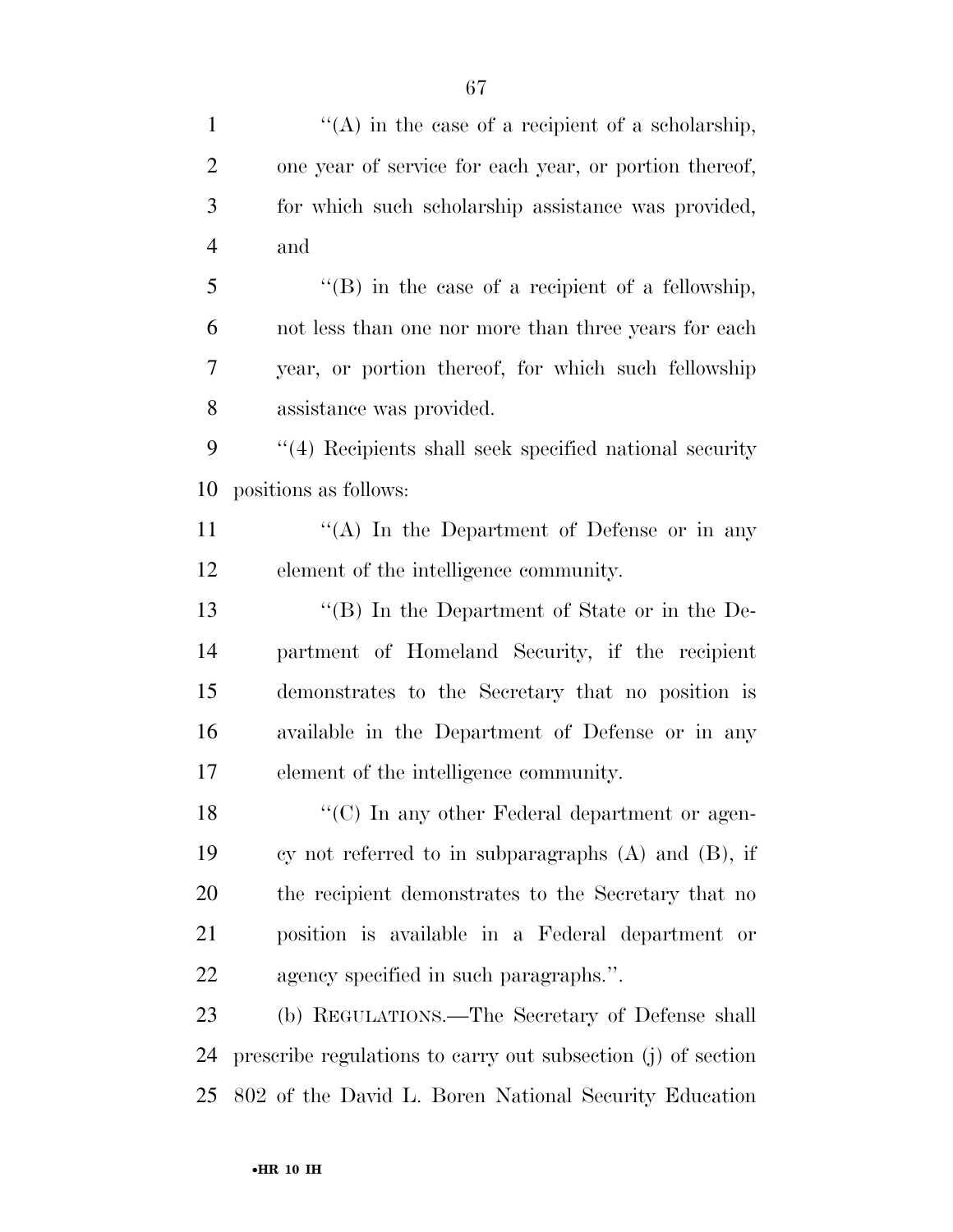| $\mathbf{1}$   | "(A) in the case of a recipient of a scholarship,            |
|----------------|--------------------------------------------------------------|
| $\overline{2}$ | one year of service for each year, or portion thereof,       |
| 3              | for which such scholarship assistance was provided,          |
| $\overline{4}$ | and                                                          |
| 5              | " $(B)$ in the case of a recipient of a fellowship,          |
| 6              | not less than one nor more than three years for each         |
| 7              | year, or portion thereof, for which such fellowship          |
| 8              | assistance was provided.                                     |
| 9              | "(4) Recipients shall seek specified national security       |
| 10             | positions as follows:                                        |
| 11             | "(A) In the Department of Defense or in any                  |
| 12             | element of the intelligence community.                       |
| 13             | "(B) In the Department of State or in the De-                |
| 14             | partment of Homeland Security, if the recipient              |
| 15             | demonstrates to the Secretary that no position is            |
| 16             | available in the Department of Defense or in any             |
| 17             | element of the intelligence community.                       |
| 18             | "(C) In any other Federal department or agen-                |
| 19             | cy not referred to in subparagraphs $(A)$ and $(B)$ , if     |
| 20             | the recipient demonstrates to the Secretary that no          |
| 21             | position is available in a Federal department or             |
| 22             | agency specified in such paragraphs.".                       |
| 23             | (b) REGULATIONS.—The Secretary of Defense shall              |
| 24             | prescribe regulations to carry out subsection (j) of section |
| 25             | 802 of the David L. Boren National Security Education        |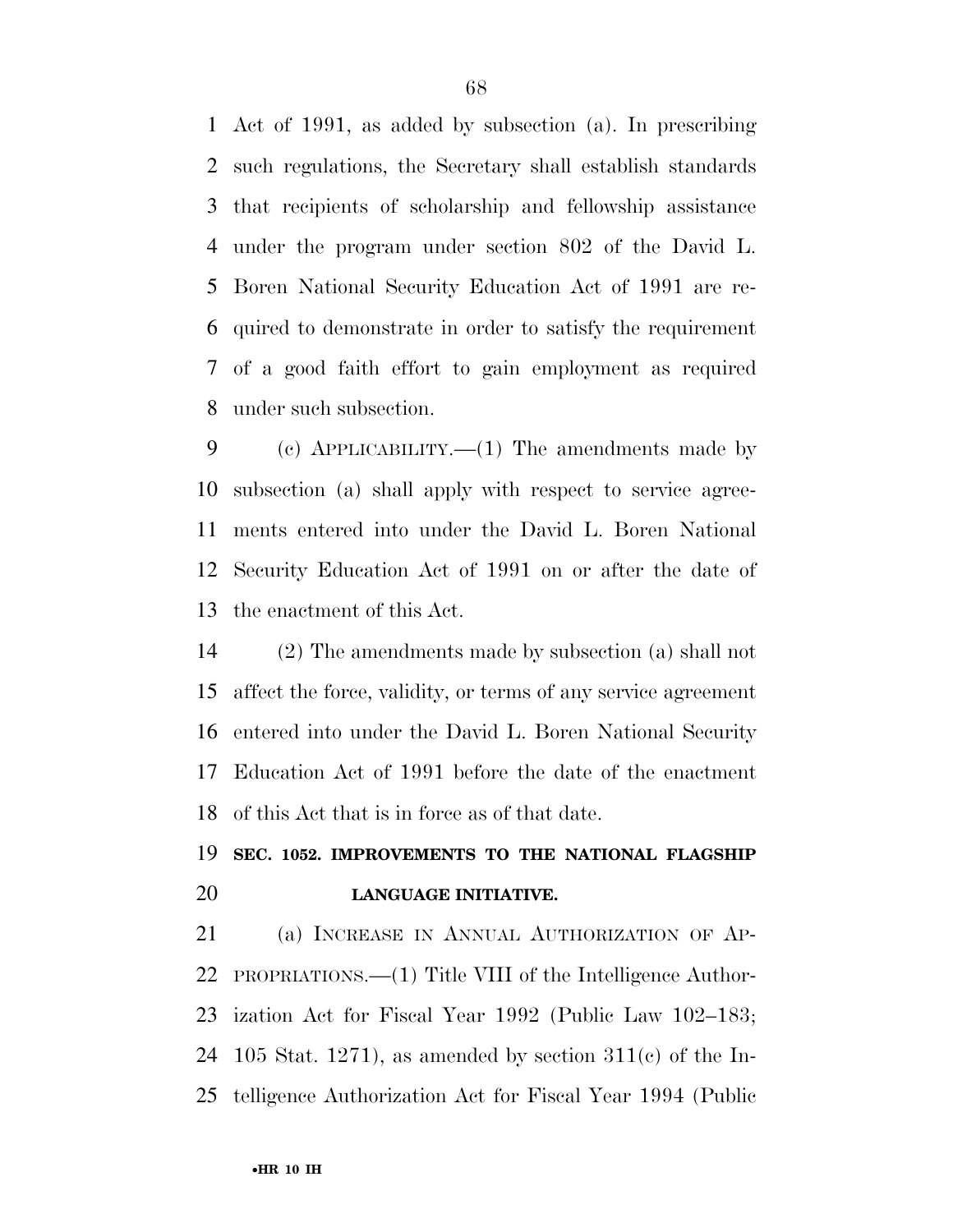Act of 1991, as added by subsection (a). In prescribing such regulations, the Secretary shall establish standards that recipients of scholarship and fellowship assistance under the program under section 802 of the David L. Boren National Security Education Act of 1991 are re- quired to demonstrate in order to satisfy the requirement of a good faith effort to gain employment as required under such subsection.

 (c) APPLICABILITY.—(1) The amendments made by subsection (a) shall apply with respect to service agree- ments entered into under the David L. Boren National Security Education Act of 1991 on or after the date of the enactment of this Act.

 (2) The amendments made by subsection (a) shall not affect the force, validity, or terms of any service agreement entered into under the David L. Boren National Security Education Act of 1991 before the date of the enactment of this Act that is in force as of that date.

## **SEC. 1052. IMPROVEMENTS TO THE NATIONAL FLAGSHIP LANGUAGE INITIATIVE.**

 (a) INCREASE IN ANNUAL AUTHORIZATION OF AP- PROPRIATIONS.—(1) Title VIII of the Intelligence Author- ization Act for Fiscal Year 1992 (Public Law 102–183; 24 105 Stat. 1271), as amended by section  $311(c)$  of the In-telligence Authorization Act for Fiscal Year 1994 (Public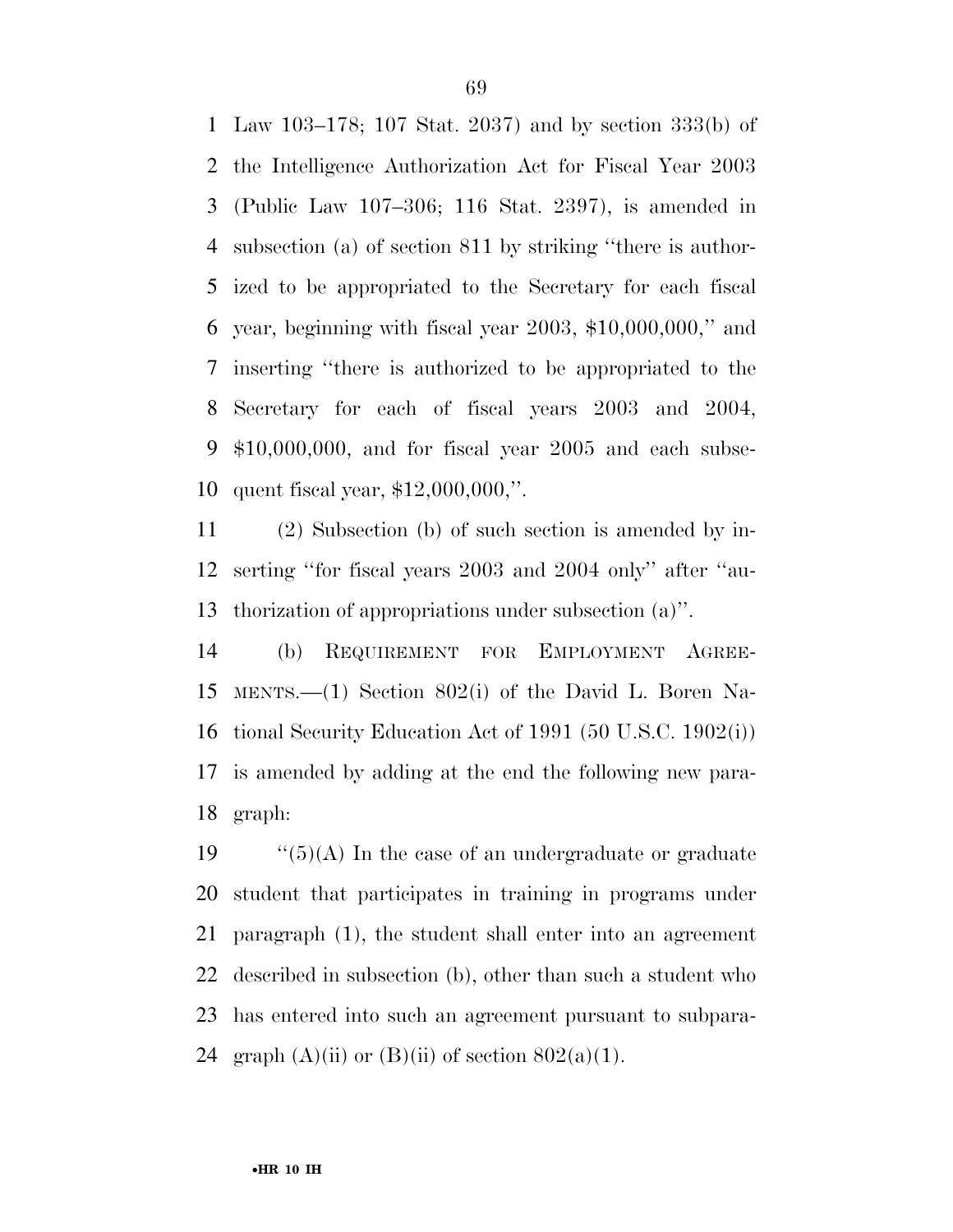Law 103–178; 107 Stat. 2037) and by section 333(b) of the Intelligence Authorization Act for Fiscal Year 2003 (Public Law 107–306; 116 Stat. 2397), is amended in subsection (a) of section 811 by striking ''there is author- ized to be appropriated to the Secretary for each fiscal year, beginning with fiscal year 2003, \$10,000,000,'' and inserting ''there is authorized to be appropriated to the Secretary for each of fiscal years 2003 and 2004, \$10,000,000, and for fiscal year 2005 and each subse-quent fiscal year, \$12,000,000,''.

 (2) Subsection (b) of such section is amended by in- serting ''for fiscal years 2003 and 2004 only'' after ''au-thorization of appropriations under subsection (a)''.

 (b) REQUIREMENT FOR EMPLOYMENT AGREE- MENTS.—(1) Section 802(i) of the David L. Boren Na- tional Security Education Act of 1991 (50 U.S.C. 1902(i)) is amended by adding at the end the following new para-graph:

 $\frac{1}{5}(A)$  In the case of an undergraduate or graduate student that participates in training in programs under paragraph (1), the student shall enter into an agreement described in subsection (b), other than such a student who has entered into such an agreement pursuant to subpara-24 graph  $(A)(ii)$  or  $(B)(ii)$  of section  $802(a)(1)$ .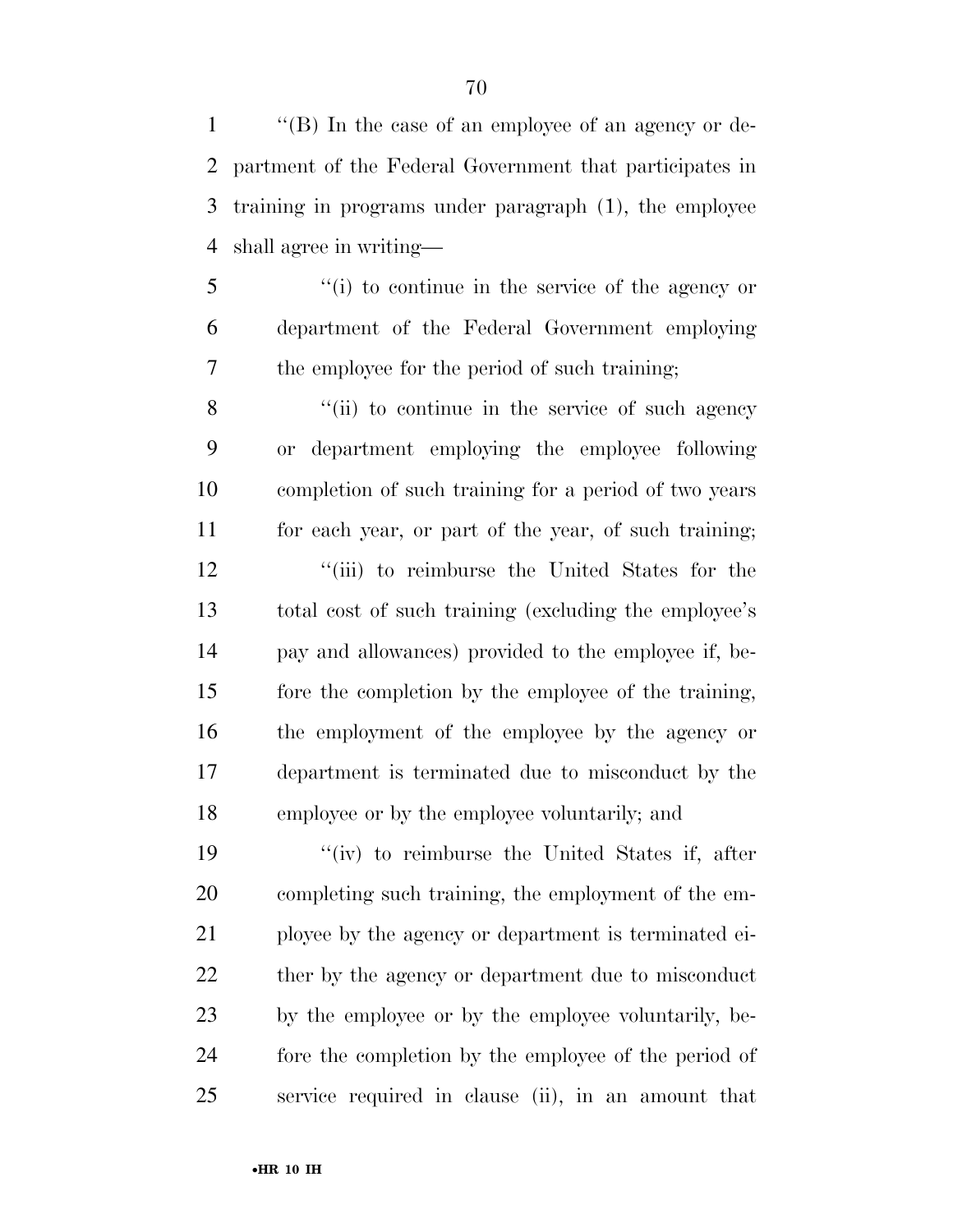''(B) In the case of an employee of an agency or de- partment of the Federal Government that participates in training in programs under paragraph (1), the employee shall agree in writing—

 ''(i) to continue in the service of the agency or department of the Federal Government employing the employee for the period of such training;

8 ''(ii) to continue in the service of such agency or department employing the employee following completion of such training for a period of two years for each year, or part of the year, of such training; 12 ''(iii) to reimburse the United States for the total cost of such training (excluding the employee's pay and allowances) provided to the employee if, be- fore the completion by the employee of the training, the employment of the employee by the agency or department is terminated due to misconduct by the employee or by the employee voluntarily; and

 ''(iv) to reimburse the United States if, after completing such training, the employment of the em- ployee by the agency or department is terminated ei-22 ther by the agency or department due to misconduct by the employee or by the employee voluntarily, be- fore the completion by the employee of the period of service required in clause (ii), in an amount that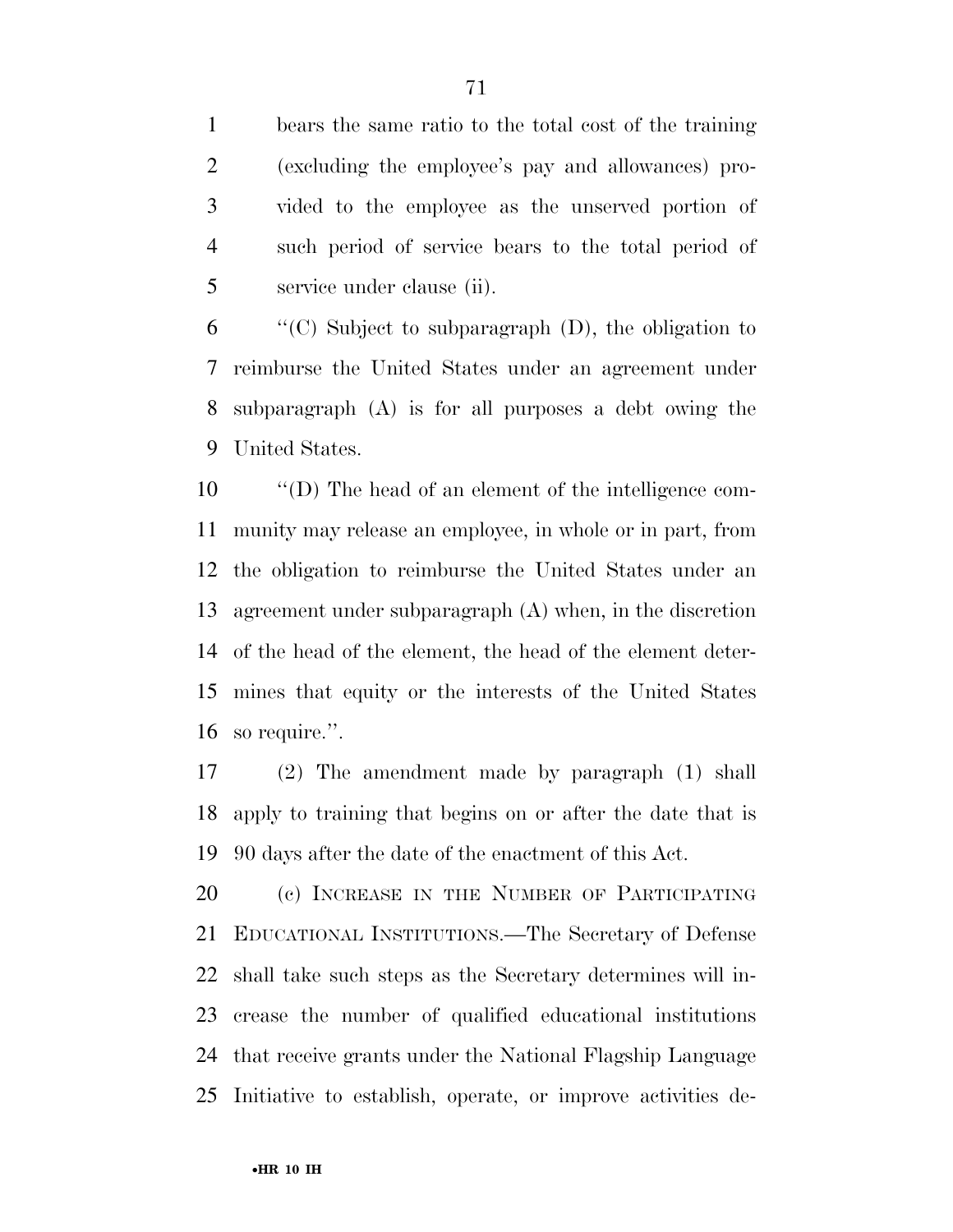bears the same ratio to the total cost of the training (excluding the employee's pay and allowances) pro- vided to the employee as the unserved portion of such period of service bears to the total period of service under clause (ii).

 "'(C) Subject to subparagraph (D), the obligation to reimburse the United States under an agreement under subparagraph (A) is for all purposes a debt owing the United States.

 ''(D) The head of an element of the intelligence com- munity may release an employee, in whole or in part, from the obligation to reimburse the United States under an agreement under subparagraph (A) when, in the discretion of the head of the element, the head of the element deter- mines that equity or the interests of the United States so require.''.

 (2) The amendment made by paragraph (1) shall apply to training that begins on or after the date that is 90 days after the date of the enactment of this Act.

 (c) INCREASE IN THE NUMBER OF PARTICIPATING EDUCATIONAL INSTITUTIONS.—The Secretary of Defense shall take such steps as the Secretary determines will in- crease the number of qualified educational institutions that receive grants under the National Flagship Language Initiative to establish, operate, or improve activities de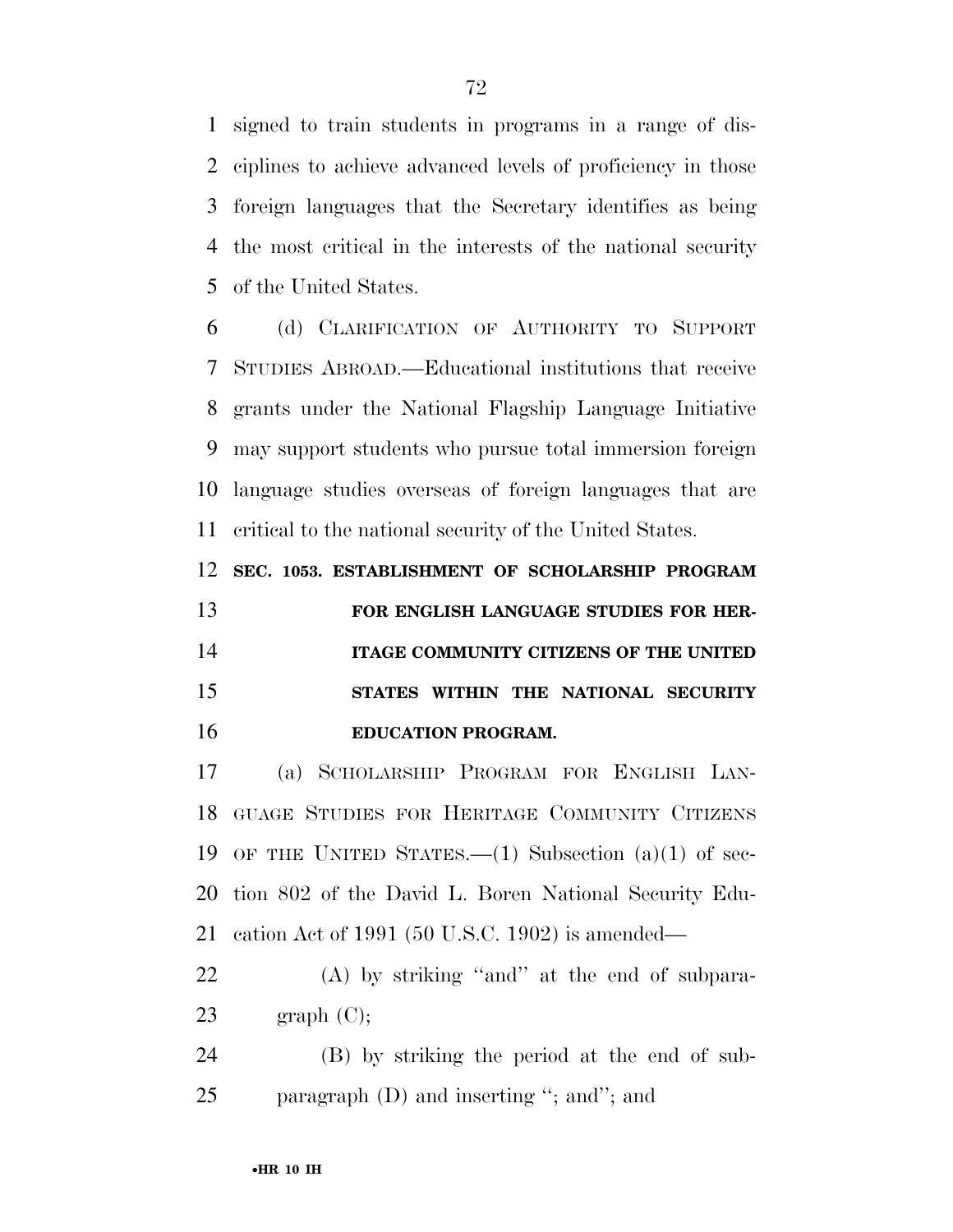signed to train students in programs in a range of dis- ciplines to achieve advanced levels of proficiency in those foreign languages that the Secretary identifies as being the most critical in the interests of the national security of the United States.

 (d) CLARIFICATION OF AUTHORITY TO SUPPORT STUDIES ABROAD.—Educational institutions that receive grants under the National Flagship Language Initiative may support students who pursue total immersion foreign language studies overseas of foreign languages that are critical to the national security of the United States.

**SEC. 1053. ESTABLISHMENT OF SCHOLARSHIP PROGRAM** 

 **FOR ENGLISH LANGUAGE STUDIES FOR HER- ITAGE COMMUNITY CITIZENS OF THE UNITED STATES WITHIN THE NATIONAL SECURITY EDUCATION PROGRAM.** 

 (a) SCHOLARSHIP PROGRAM FOR ENGLISH LAN- GUAGE STUDIES FOR HERITAGE COMMUNITY CITIZENS OF THE UNITED STATES.—(1) Subsection (a)(1) of sec- tion 802 of the David L. Boren National Security Edu-cation Act of 1991 (50 U.S.C. 1902) is amended—

 (A) by striking ''and'' at the end of subpara-23 graph  $(C)$ ;

 (B) by striking the period at the end of sub-25 paragraph (D) and inserting "; and"; and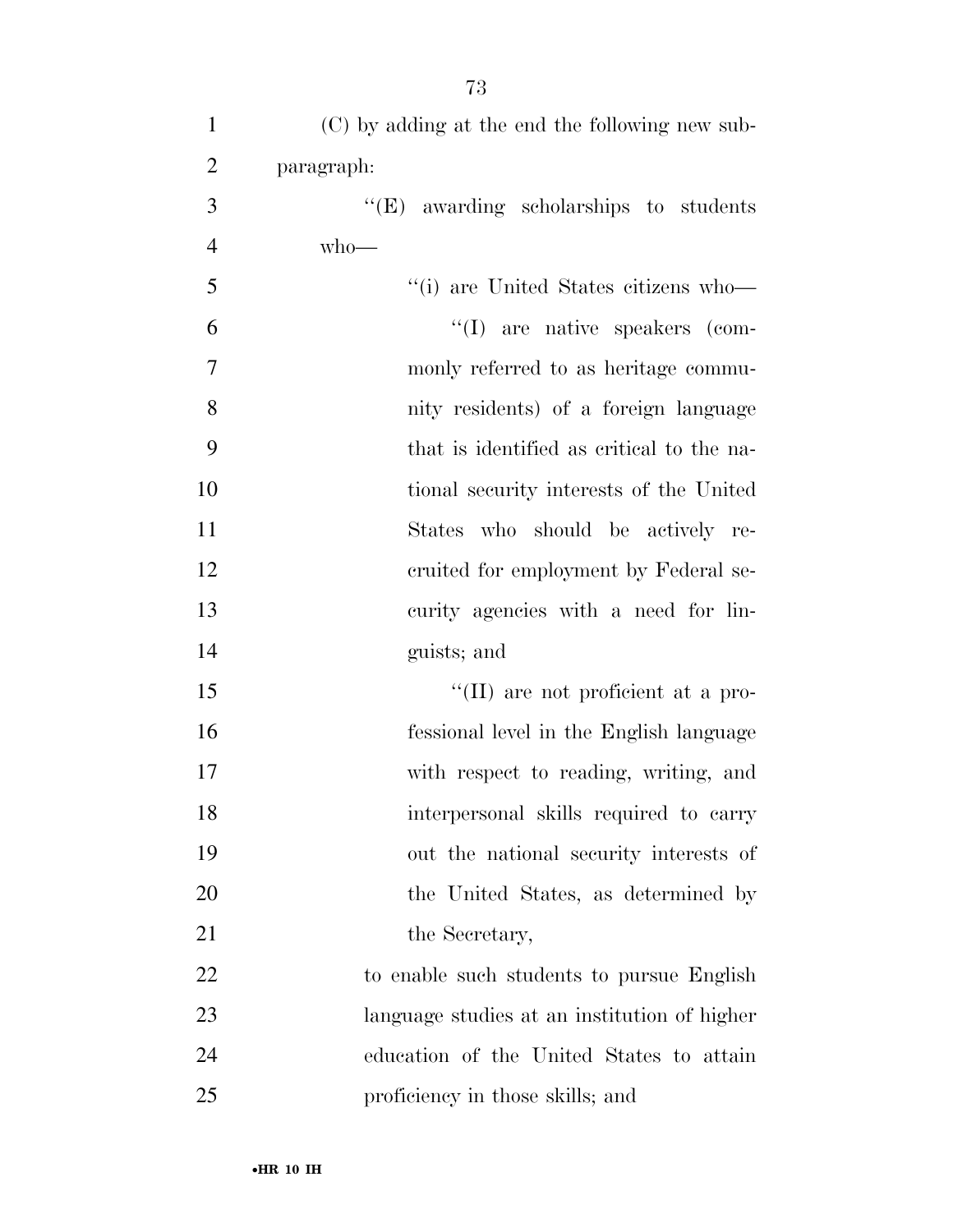| $\mathbf{1}$   | (C) by adding at the end the following new sub- |
|----------------|-------------------------------------------------|
| $\overline{2}$ | paragraph:                                      |
| 3              | $\lq\lq(E)$ awarding scholarships to students   |
| $\overline{4}$ | $who$ —                                         |
| 5              | "(i) are United States citizens who-            |
| 6              | $\lq\lq$ (I) are native speakers (com-          |
| $\overline{7}$ | monly referred to as heritage commu-            |
| 8              | nity residents) of a foreign language           |
| 9              | that is identified as critical to the na-       |
| 10             | tional security interests of the United         |
| 11             | States who should be actively re-               |
| 12             | cruited for employment by Federal se-           |
| 13             | curity agencies with a need for lin-            |
| 14             | guists; and                                     |
| 15             | "(II) are not proficient at a pro-              |
| 16             | fessional level in the English language         |
| 17             | with respect to reading, writing, and           |
| 18             | interpersonal skills required to carry          |
| 19             | out the national security interests of          |
| 20             | the United States, as determined by             |
| 21             | the Secretary,                                  |
| 22             | to enable such students to pursue English       |
| 23             | language studies at an institution of higher    |
| 24             | education of the United States to attain        |
| 25             | proficiency in those skills; and                |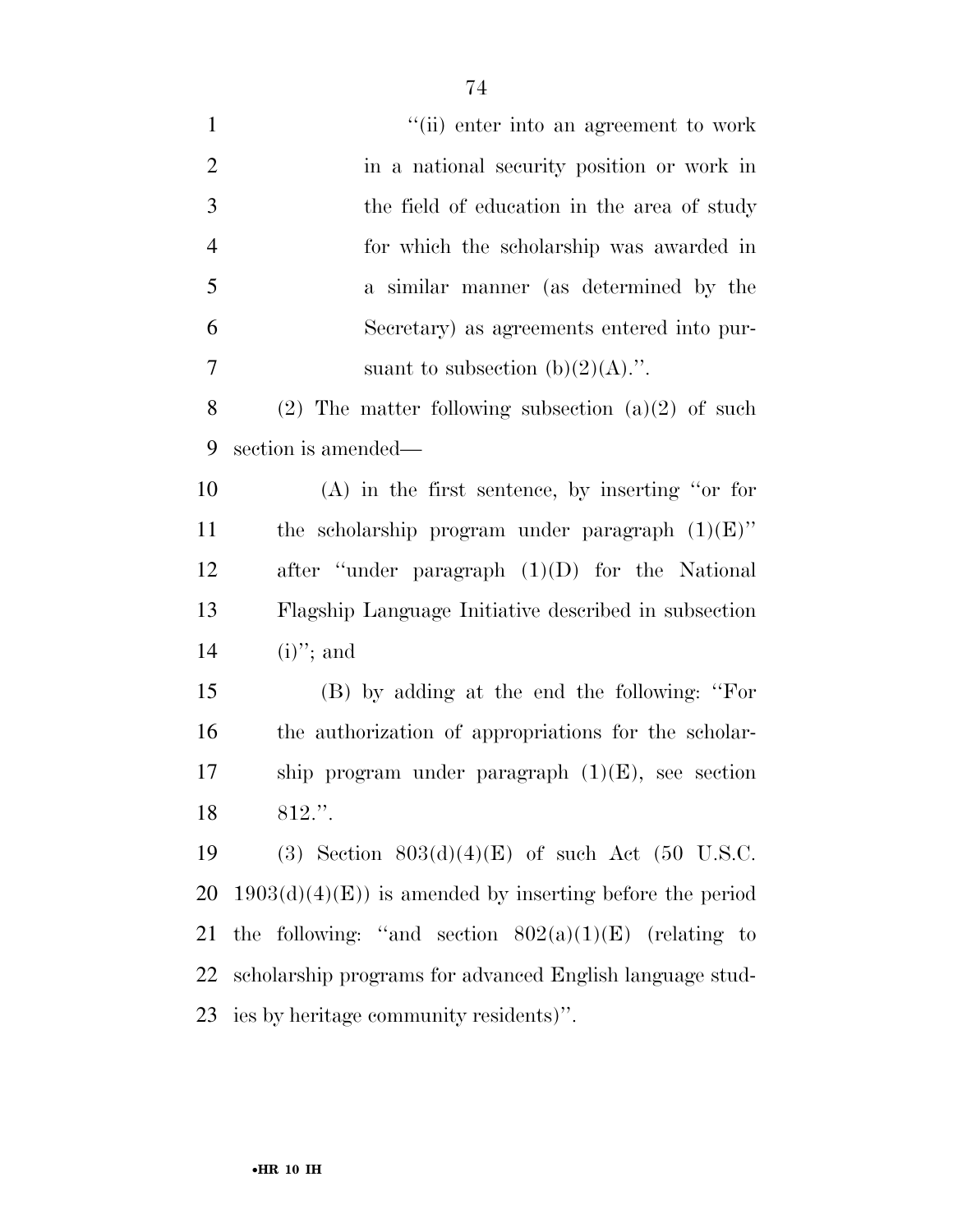1 ''(ii) enter into an agreement to work in a national security position or work in the field of education in the area of study for which the scholarship was awarded in a similar manner (as determined by the Secretary) as agreements entered into pur-7 suant to subsection  $(b)(2)(A)$ .". 8 (2) The matter following subsection  $(a)(2)$  of such section is amended—

 (A) in the first sentence, by inserting ''or for 11 the scholarship program under paragraph  $(1)(E)$ " after ''under paragraph (1)(D) for the National Flagship Language Initiative described in subsection 14 (i)"; and

 (B) by adding at the end the following: ''For the authorization of appropriations for the scholar- ship program under paragraph (1)(E), see section 812.''.

19 (3) Section  $803(d)(4)(E)$  of such Act (50 U.S.C. 20 1903(d)(4)(E)) is amended by inserting before the period 21 the following: "and section  $802(a)(1)(E)$  (relating to scholarship programs for advanced English language stud-ies by heritage community residents)''.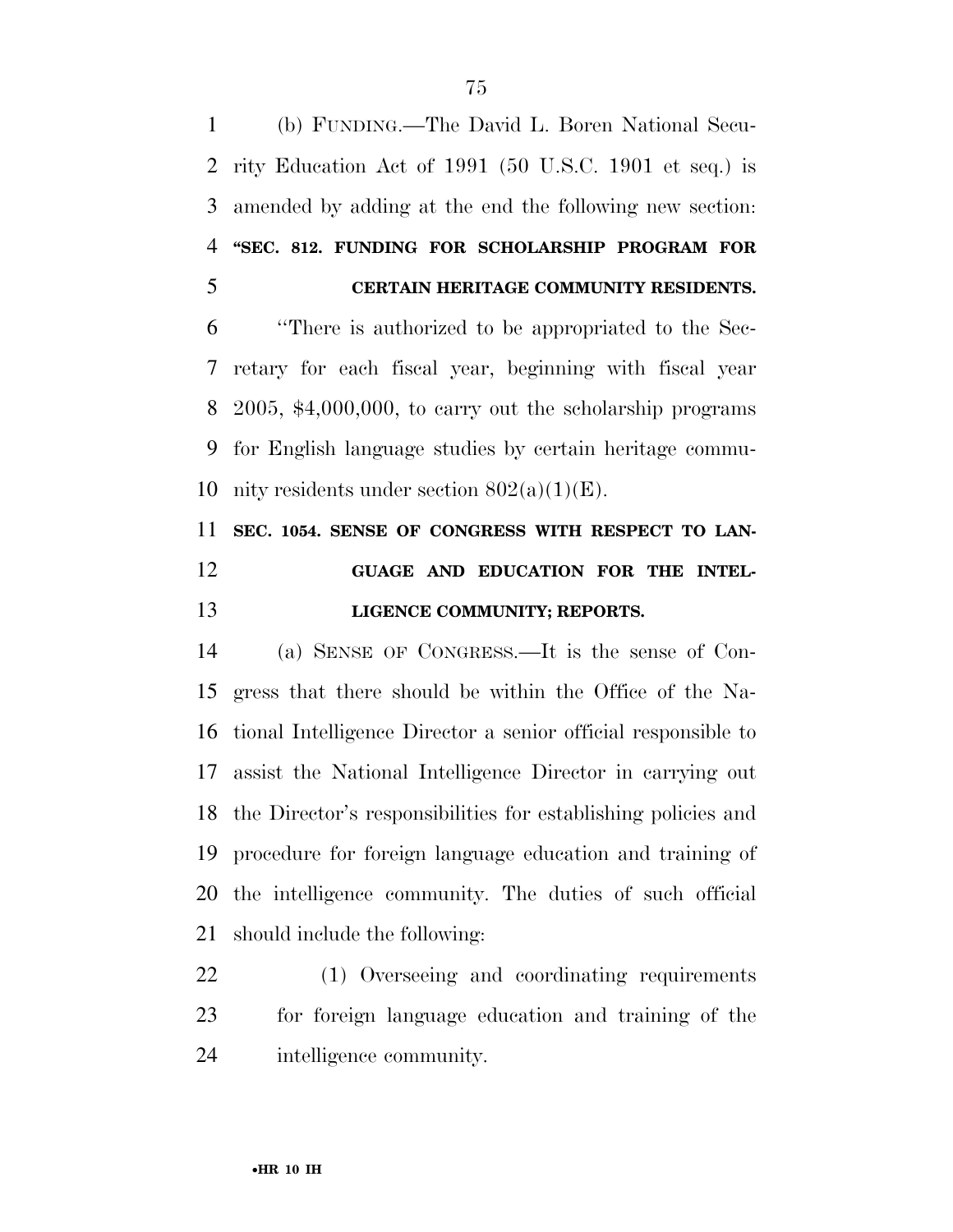(b) FUNDING.—The David L. Boren National Secu- rity Education Act of 1991 (50 U.S.C. 1901 et seq.) is amended by adding at the end the following new section: **''SEC. 812. FUNDING FOR SCHOLARSHIP PROGRAM FOR CERTAIN HERITAGE COMMUNITY RESIDENTS.** 

 ''There is authorized to be appropriated to the Sec- retary for each fiscal year, beginning with fiscal year 2005, \$4,000,000, to carry out the scholarship programs for English language studies by certain heritage commu-10 nity residents under section  $802(a)(1)(E)$ .

## **SEC. 1054. SENSE OF CONGRESS WITH RESPECT TO LAN- GUAGE AND EDUCATION FOR THE INTEL-LIGENCE COMMUNITY; REPORTS.**

 (a) SENSE OF CONGRESS.—It is the sense of Con- gress that there should be within the Office of the Na- tional Intelligence Director a senior official responsible to assist the National Intelligence Director in carrying out the Director's responsibilities for establishing policies and procedure for foreign language education and training of the intelligence community. The duties of such official should include the following:

 (1) Overseeing and coordinating requirements for foreign language education and training of the intelligence community.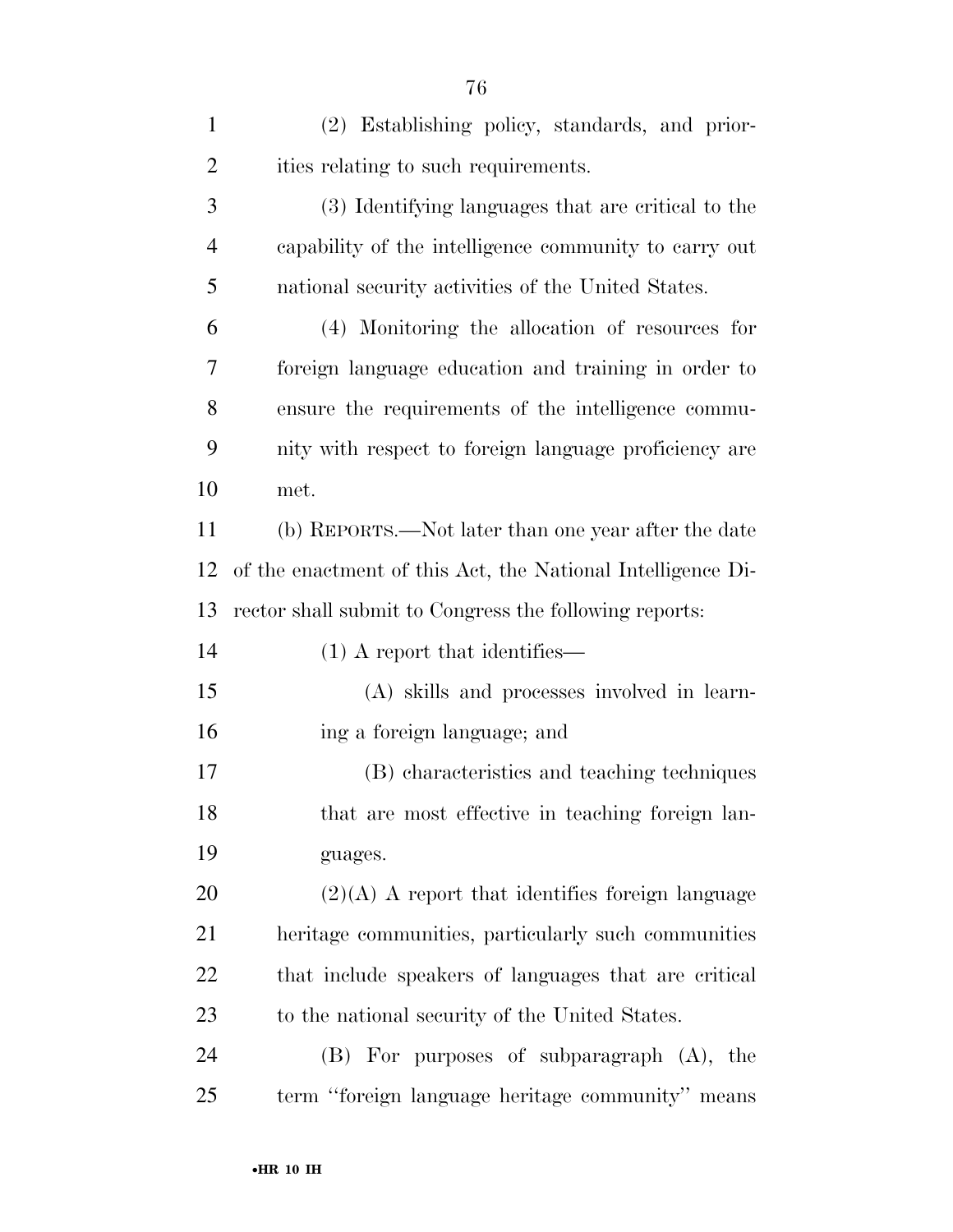| $\mathbf{1}$   | (2) Establishing policy, standards, and prior-              |
|----------------|-------------------------------------------------------------|
| $\overline{2}$ | ities relating to such requirements.                        |
| 3              | (3) Identifying languages that are critical to the          |
| $\overline{4}$ | capability of the intelligence community to carry out       |
| 5              | national security activities of the United States.          |
| 6              | (4) Monitoring the allocation of resources for              |
| 7              | foreign language education and training in order to         |
| 8              | ensure the requirements of the intelligence commu-          |
| 9              | nity with respect to foreign language proficiency are       |
| 10             | met.                                                        |
| 11             | (b) REPORTS.—Not later than one year after the date         |
| 12             | of the enactment of this Act, the National Intelligence Di- |
| 13             | rector shall submit to Congress the following reports:      |
| 14             | $(1)$ A report that identifies—                             |
| 15             | (A) skills and processes involved in learn-                 |
| 16             | ing a foreign language; and                                 |
| 17             | (B) characteristics and teaching techniques                 |
| 18             | that are most effective in teaching foreign lan-            |
| 19             | guages.                                                     |
| 20             | $(2)(A)$ A report that identifies foreign language          |
| 21             | heritage communities, particularly such communities         |
| 22             | that include speakers of languages that are critical        |
| 23             | to the national security of the United States.              |
| 24             | (B) For purposes of subparagraph (A), the                   |
| 25             | term "foreign language heritage community" means            |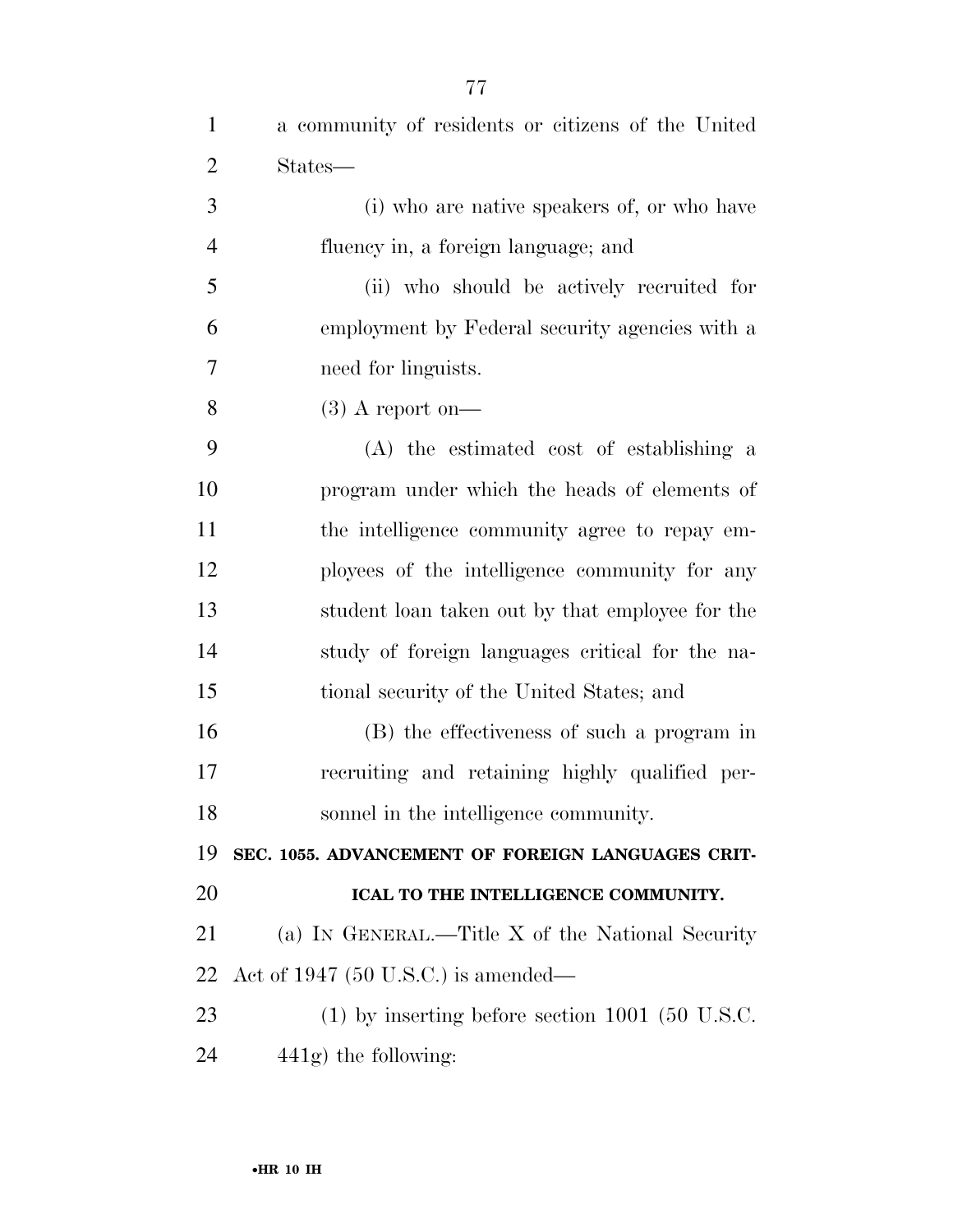| $\mathbf{1}$   | a community of residents or citizens of the United |
|----------------|----------------------------------------------------|
| $\overline{2}$ | States—                                            |
| 3              | (i) who are native speakers of, or who have        |
| $\overline{4}$ | fluency in, a foreign language; and                |
| 5              | (ii) who should be actively recruited for          |
| 6              | employment by Federal security agencies with a     |
| 7              | need for linguists.                                |
| 8              | $(3)$ A report on-                                 |
| 9              | (A) the estimated cost of establishing a           |
| 10             | program under which the heads of elements of       |
| 11             | the intelligence community agree to repay em-      |
| 12             | ployees of the intelligence community for any      |
| 13             | student loan taken out by that employee for the    |
| 14             | study of foreign languages critical for the na-    |
| 15             | tional security of the United States; and          |
| 16             | (B) the effectiveness of such a program in         |
| 17             | recruiting and retaining highly qualified per-     |
| 18             | sonnel in the intelligence community.              |
| 19             | SEC. 1055. ADVANCEMENT OF FOREIGN LANGUAGES CRIT-  |
| 20             | ICAL TO THE INTELLIGENCE COMMUNITY.                |
| 21             | (a) IN GENERAL.—Title X of the National Security   |
| 22             | Act of 1947 $(50 \text{ U.S.C.})$ is amended—      |
| 23             | $(1)$ by inserting before section 1001 (50 U.S.C.  |
| 24             | $441g$ ) the following:                            |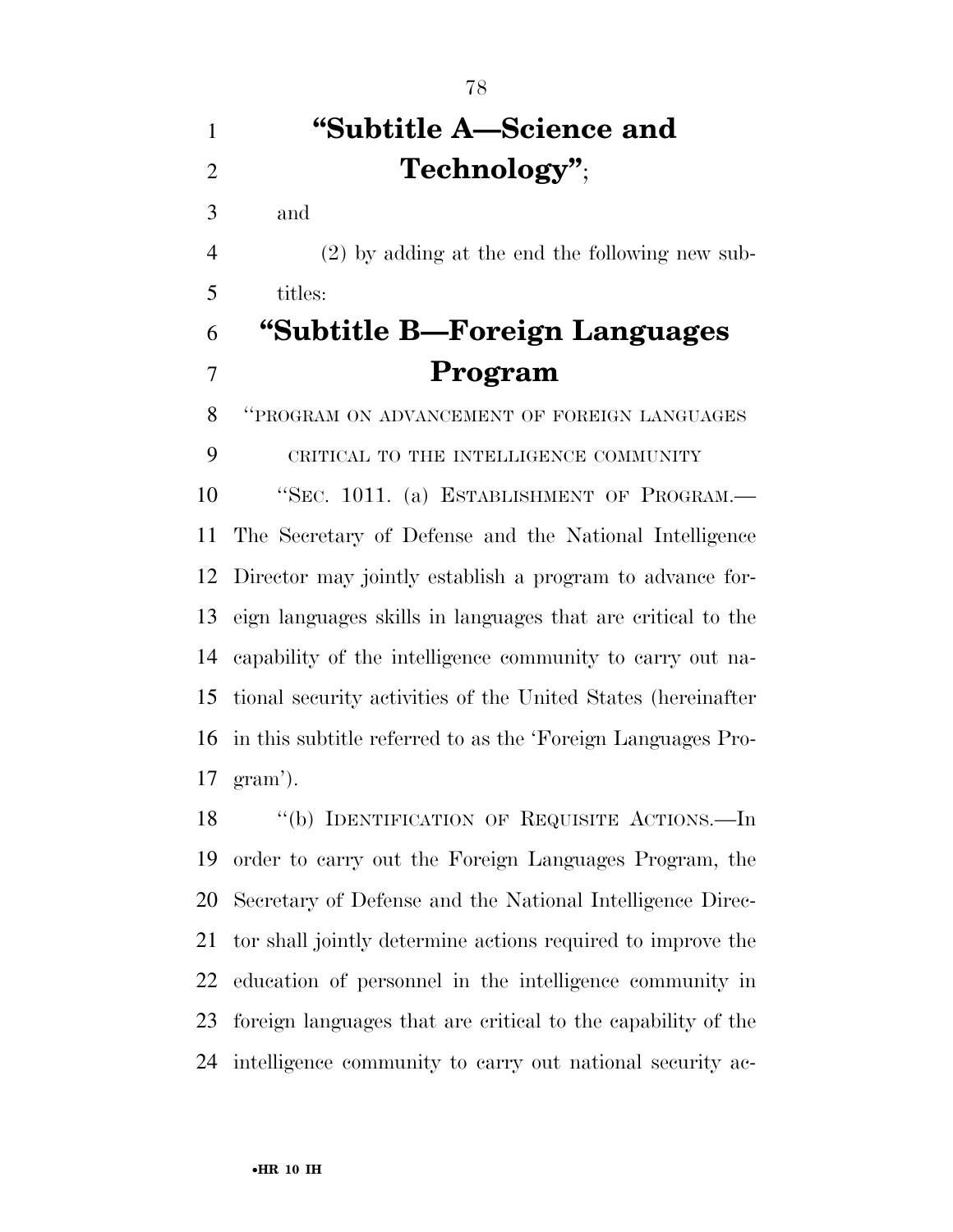# **''Subtitle A—Science and Technology''** ;

and

 (2) by adding at the end the following new sub-titles:

# **''Subtitle B—Foreign Languages Program**

''PROGRAM ON ADVANCEMENT OF FOREIGN LANGUAGES

CRITICAL TO THE INTELLIGENCE COMMUNITY

 ''SEC. 1011. (a) ESTABLISHMENT OF PROGRAM.— The Secretary of Defense and the National Intelligence Director may jointly establish a program to advance for- eign languages skills in languages that are critical to the capability of the intelligence community to carry out na- tional security activities of the United States (hereinafter in this subtitle referred to as the 'Foreign Languages Pro-gram').

18 "(b) IDENTIFICATION OF REQUISITE ACTIONS.—In order to carry out the Foreign Languages Program, the Secretary of Defense and the National Intelligence Direc- tor shall jointly determine actions required to improve the education of personnel in the intelligence community in foreign languages that are critical to the capability of the intelligence community to carry out national security ac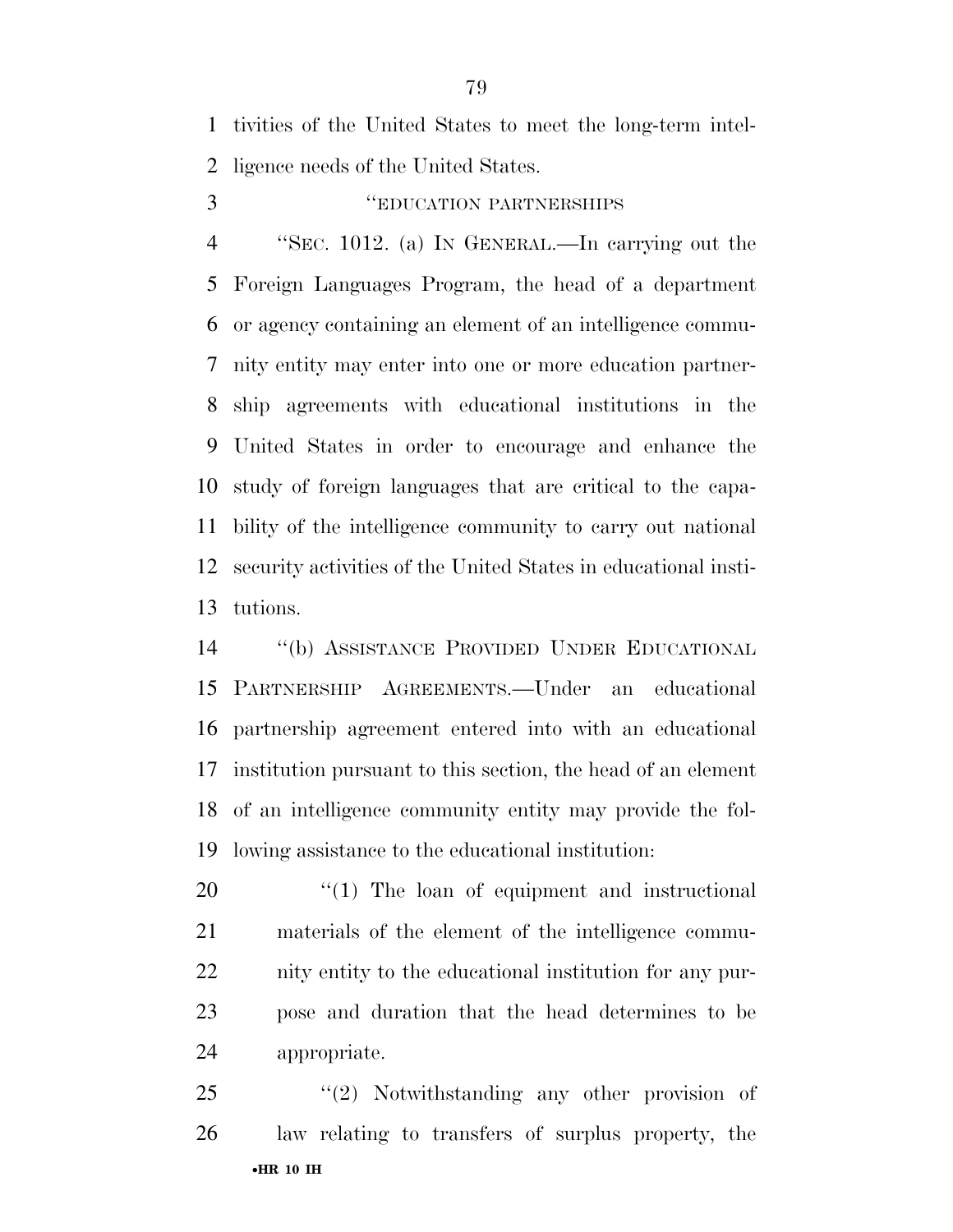tivities of the United States to meet the long-term intel-ligence needs of the United States.

#### ''EDUCATION PARTNERSHIPS

 ''SEC. 1012. (a) IN GENERAL.—In carrying out the Foreign Languages Program, the head of a department or agency containing an element of an intelligence commu- nity entity may enter into one or more education partner- ship agreements with educational institutions in the United States in order to encourage and enhance the study of foreign languages that are critical to the capa- bility of the intelligence community to carry out national security activities of the United States in educational insti-tutions.

 ''(b) ASSISTANCE PROVIDED UNDER EDUCATIONAL PARTNERSHIP AGREEMENTS.—Under an educational partnership agreement entered into with an educational institution pursuant to this section, the head of an element of an intelligence community entity may provide the fol-lowing assistance to the educational institution:

 $\frac{1}{20}$  The loan of equipment and instructional materials of the element of the intelligence commu- nity entity to the educational institution for any pur- pose and duration that the head determines to be appropriate.

•**HR 10 IH**  25 "(2) Notwithstanding any other provision of law relating to transfers of surplus property, the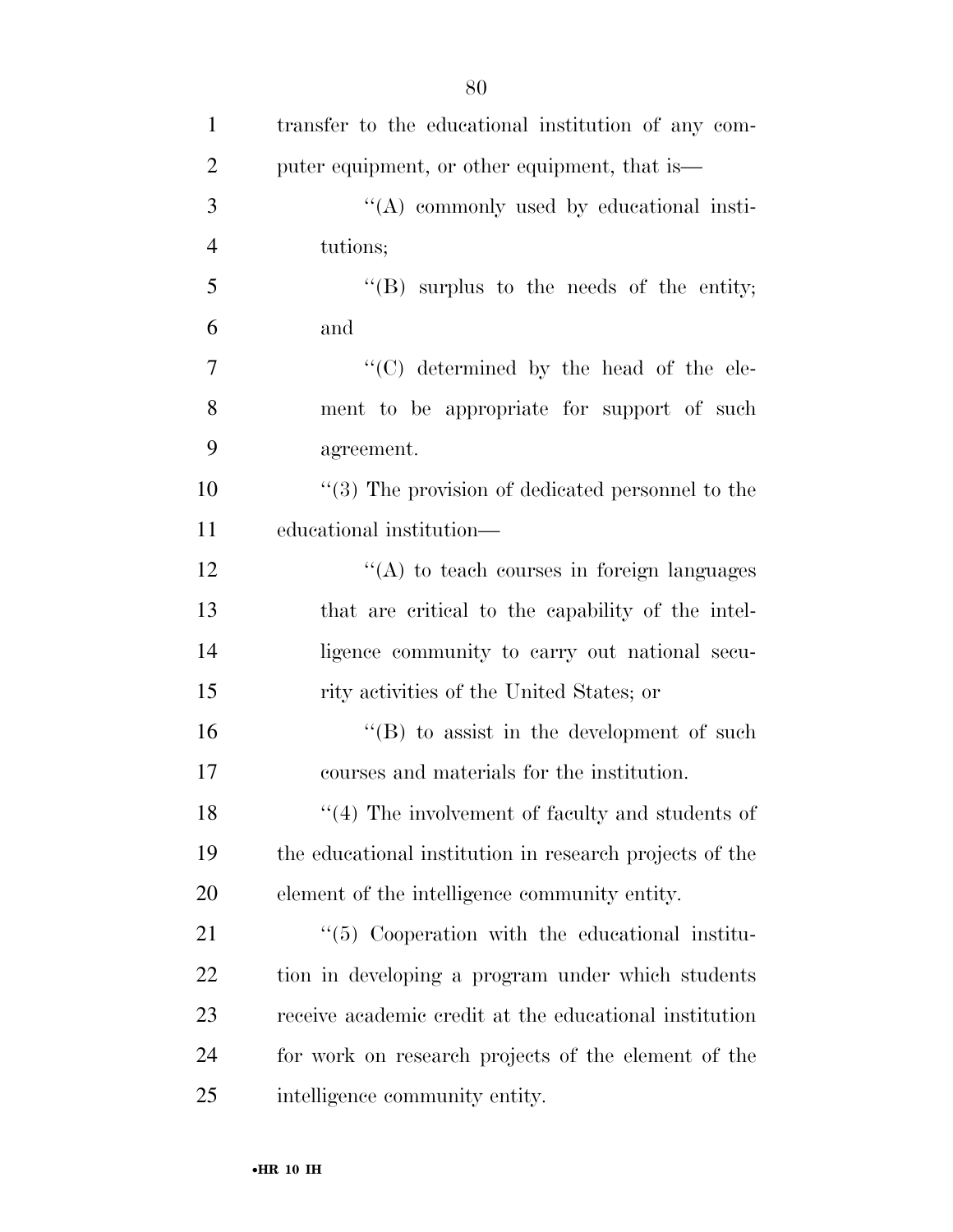| $\mathbf{1}$   | transfer to the educational institution of any com-     |
|----------------|---------------------------------------------------------|
| $\overline{2}$ | puter equipment, or other equipment, that is—           |
| 3              | $\lq\lq$ commonly used by educational insti-            |
| $\overline{4}$ | tutions;                                                |
| 5              | $\lq\lq$ surplus to the needs of the entity;            |
| 6              | and                                                     |
| $\tau$         | "(C) determined by the head of the ele-                 |
| 8              | ment to be appropriate for support of such              |
| 9              | agreement.                                              |
| 10             | $(3)$ The provision of dedicated personnel to the       |
| 11             | educational institution—                                |
| 12             | $\lq\lq$ to teach courses in foreign languages          |
| 13             | that are critical to the capability of the intel-       |
| 14             | ligence community to carry out national secu-           |
| 15             | rity activities of the United States; or                |
| 16             | $\lq\lq (B)$ to assist in the development of such       |
| 17             | courses and materials for the institution.              |
| 18             | $"$ (4) The involvement of faculty and students of      |
| 19             | the educational institution in research projects of the |
| 20             | element of the intelligence community entity.           |
| 21             | $\lq(5)$ Cooperation with the educational institu-      |
| 22             | tion in developing a program under which students       |
| 23             | receive a cademic credit at the educational institution |
| 24             | for work on research projects of the element of the     |
| 25             | intelligence community entity.                          |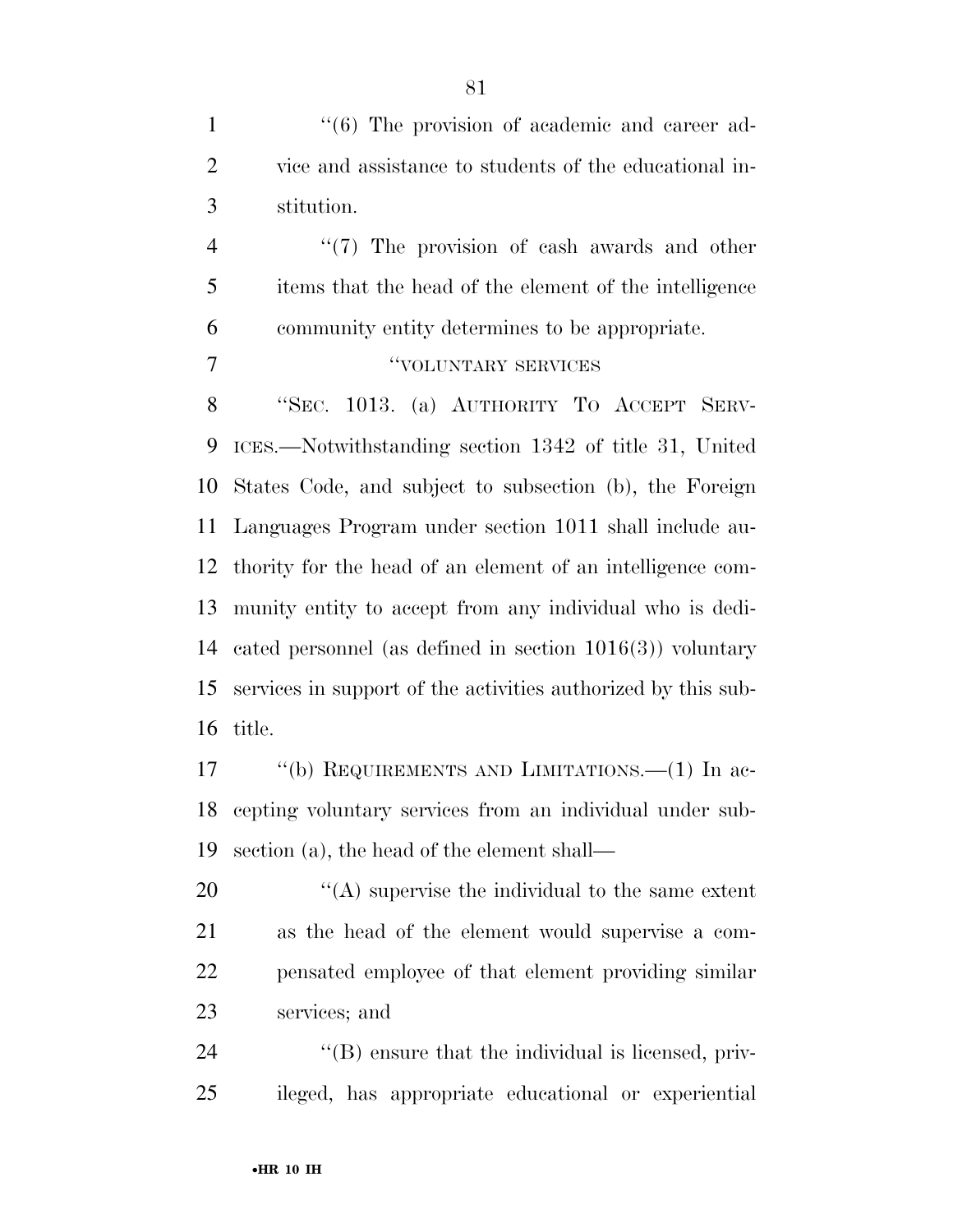1 ''(6) The provision of academic and career ad- vice and assistance to students of the educational in-stitution.

4 ''(7) The provision of cash awards and other items that the head of the element of the intelligence community entity determines to be appropriate.

**THE COLUNTARY SERVICES** 

 ''SEC. 1013. (a) AUTHORITY TO ACCEPT SERV- ICES.—Notwithstanding section 1342 of title 31, United States Code, and subject to subsection (b), the Foreign Languages Program under section 1011 shall include au- thority for the head of an element of an intelligence com- munity entity to accept from any individual who is dedi- cated personnel (as defined in section 1016(3)) voluntary services in support of the activities authorized by this sub-title.

17 "(b) REQUIREMENTS AND LIMITATIONS.—(1) In ac- cepting voluntary services from an individual under sub-section (a), the head of the element shall—

 $\langle \rangle$  (A) supervise the individual to the same extent as the head of the element would supervise a com- pensated employee of that element providing similar services; and

24  $\langle$  (B) ensure that the individual is licensed, priv-ileged, has appropriate educational or experiential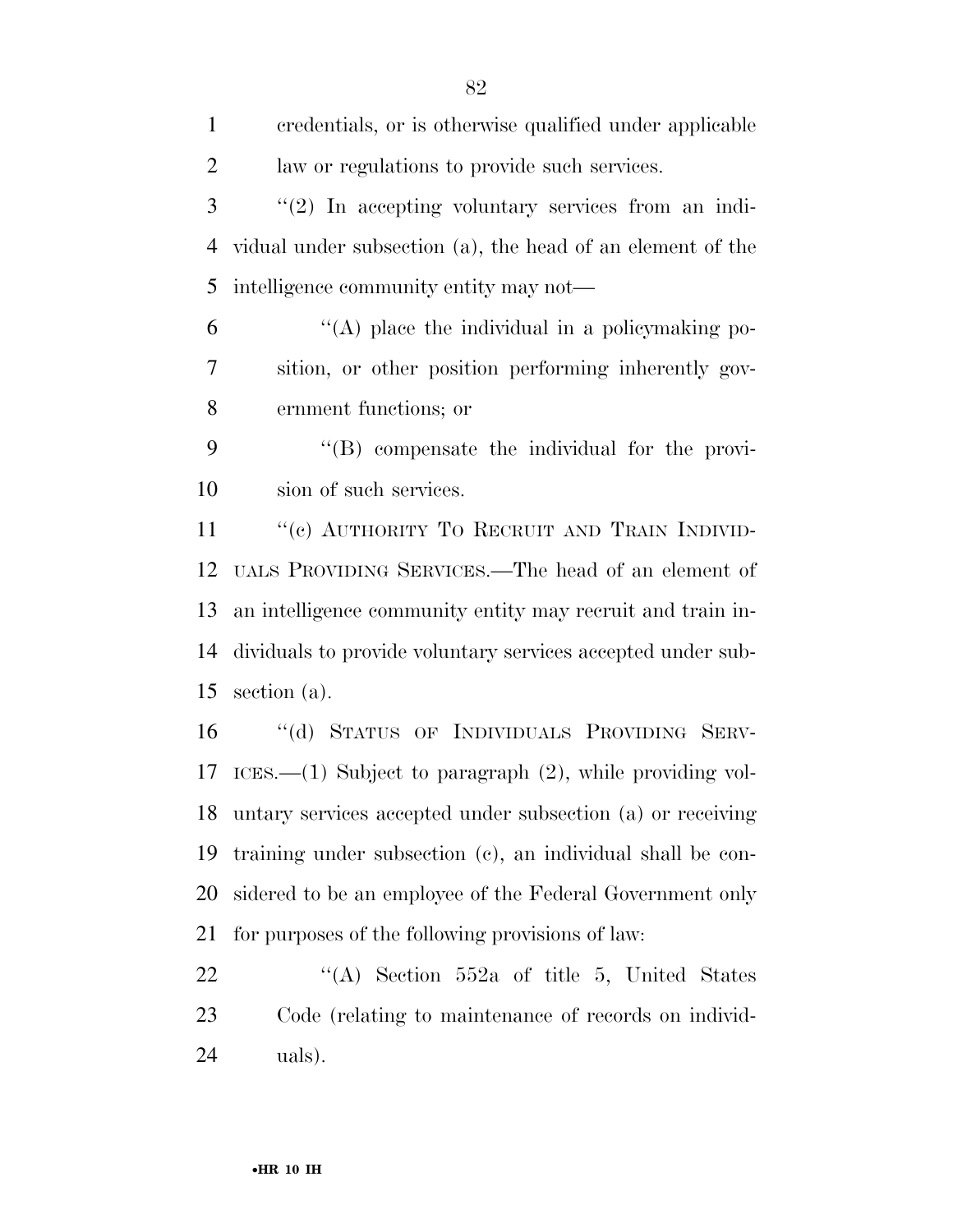| $\mathbf{1}$   | credentials, or is otherwise qualified under applicable     |
|----------------|-------------------------------------------------------------|
| $\overline{2}$ | law or regulations to provide such services.                |
| 3              | $\lq(2)$ In accepting voluntary services from an indi-      |
| $\overline{4}$ | vidual under subsection (a), the head of an element of the  |
| 5              | intelligence community entity may not—                      |
| 6              | $\lq\lq$ place the individual in a policy making po-        |
| 7              | sition, or other position performing inherently gov-        |
| 8              | ernment functions; or                                       |
| 9              | $\lq\lq$ compensate the individual for the provi-           |
| 10             | sion of such services.                                      |
| 11             | "(c) AUTHORITY TO RECRUIT AND TRAIN INDIVID-                |
| 12             | UALS PROVIDING SERVICES.—The head of an element of          |
| 13             | an intelligence community entity may recruit and train in-  |
| 14             | dividuals to provide voluntary services accepted under sub- |
| 15             | section (a).                                                |
| 16             | "(d) STATUS OF INDIVIDUALS PROVIDING SERV-                  |
| 17             | ICES.—(1) Subject to paragraph $(2)$ , while providing vol- |
| 18             | untary services accepted under subsection (a) or receiving  |
| 19             | training under subsection (c), an individual shall be con-  |
| 20             | sidered to be an employee of the Federal Government only    |
| 21             | for purposes of the following provisions of law:            |
| 22             | "(A) Section $552a$ of title 5, United States               |
| 23             | Code (relating to maintenance of records on individ-        |
|                |                                                             |

uals).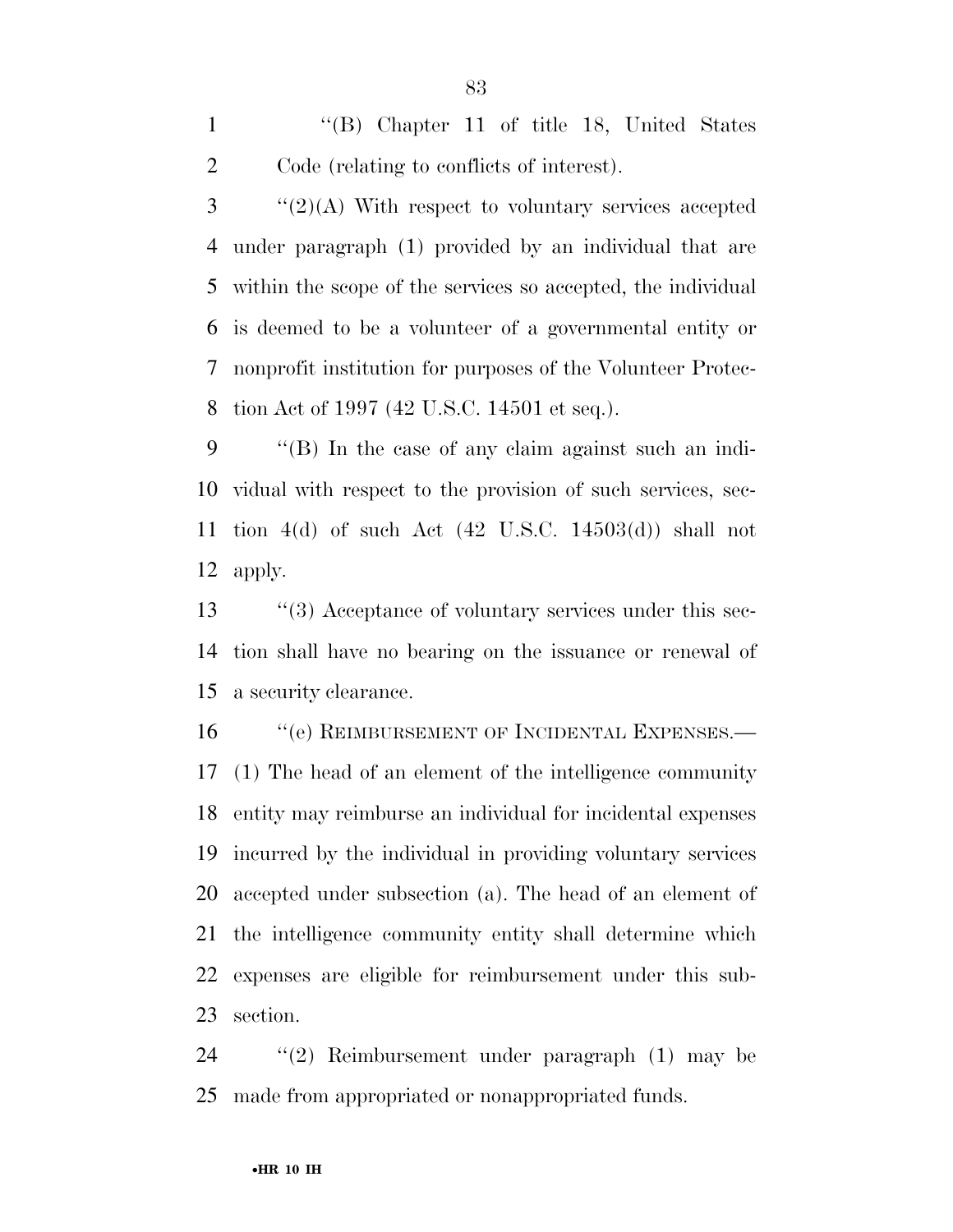''(B) Chapter 11 of title 18, United States Code (relating to conflicts of interest).

 ''(2)(A) With respect to voluntary services accepted under paragraph (1) provided by an individual that are within the scope of the services so accepted, the individual is deemed to be a volunteer of a governmental entity or nonprofit institution for purposes of the Volunteer Protec-tion Act of 1997 (42 U.S.C. 14501 et seq.).

 ''(B) In the case of any claim against such an indi- vidual with respect to the provision of such services, sec- tion 4(d) of such Act (42 U.S.C. 14503(d)) shall not apply.

13 ''(3) Acceptance of voluntary services under this sec- tion shall have no bearing on the issuance or renewal of a security clearance.

16 "(e) REIMBURSEMENT OF INCIDENTAL EXPENSES.— (1) The head of an element of the intelligence community entity may reimburse an individual for incidental expenses incurred by the individual in providing voluntary services accepted under subsection (a). The head of an element of the intelligence community entity shall determine which expenses are eligible for reimbursement under this sub-section.

 ''(2) Reimbursement under paragraph (1) may be made from appropriated or nonappropriated funds.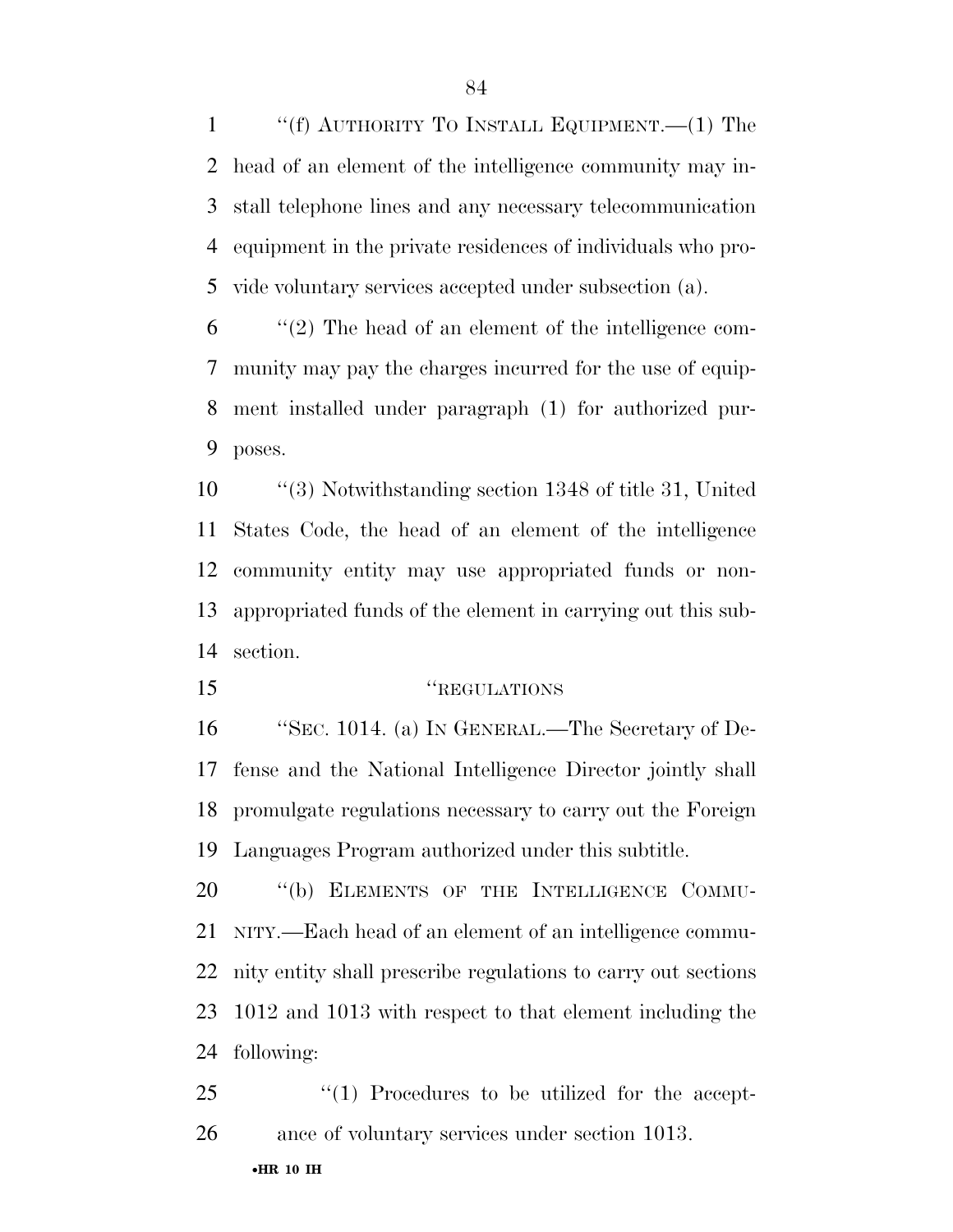''(f) AUTHORITY TO INSTALL EQUIPMENT.—(1) The head of an element of the intelligence community may in- stall telephone lines and any necessary telecommunication equipment in the private residences of individuals who pro-vide voluntary services accepted under subsection (a).

 ''(2) The head of an element of the intelligence com- munity may pay the charges incurred for the use of equip- ment installed under paragraph (1) for authorized pur-poses.

 ''(3) Notwithstanding section 1348 of title 31, United States Code, the head of an element of the intelligence community entity may use appropriated funds or non- appropriated funds of the element in carrying out this sub-section.

''REGULATIONS

 ''SEC. 1014. (a) IN GENERAL.—The Secretary of De- fense and the National Intelligence Director jointly shall promulgate regulations necessary to carry out the Foreign Languages Program authorized under this subtitle.

20 "(b) ELEMENTS OF THE INTELLIGENCE COMMU- NITY.—Each head of an element of an intelligence commu- nity entity shall prescribe regulations to carry out sections 1012 and 1013 with respect to that element including the following:

25  $\frac{1}{25}$  (1) Procedures to be utilized for the accept-ance of voluntary services under section 1013.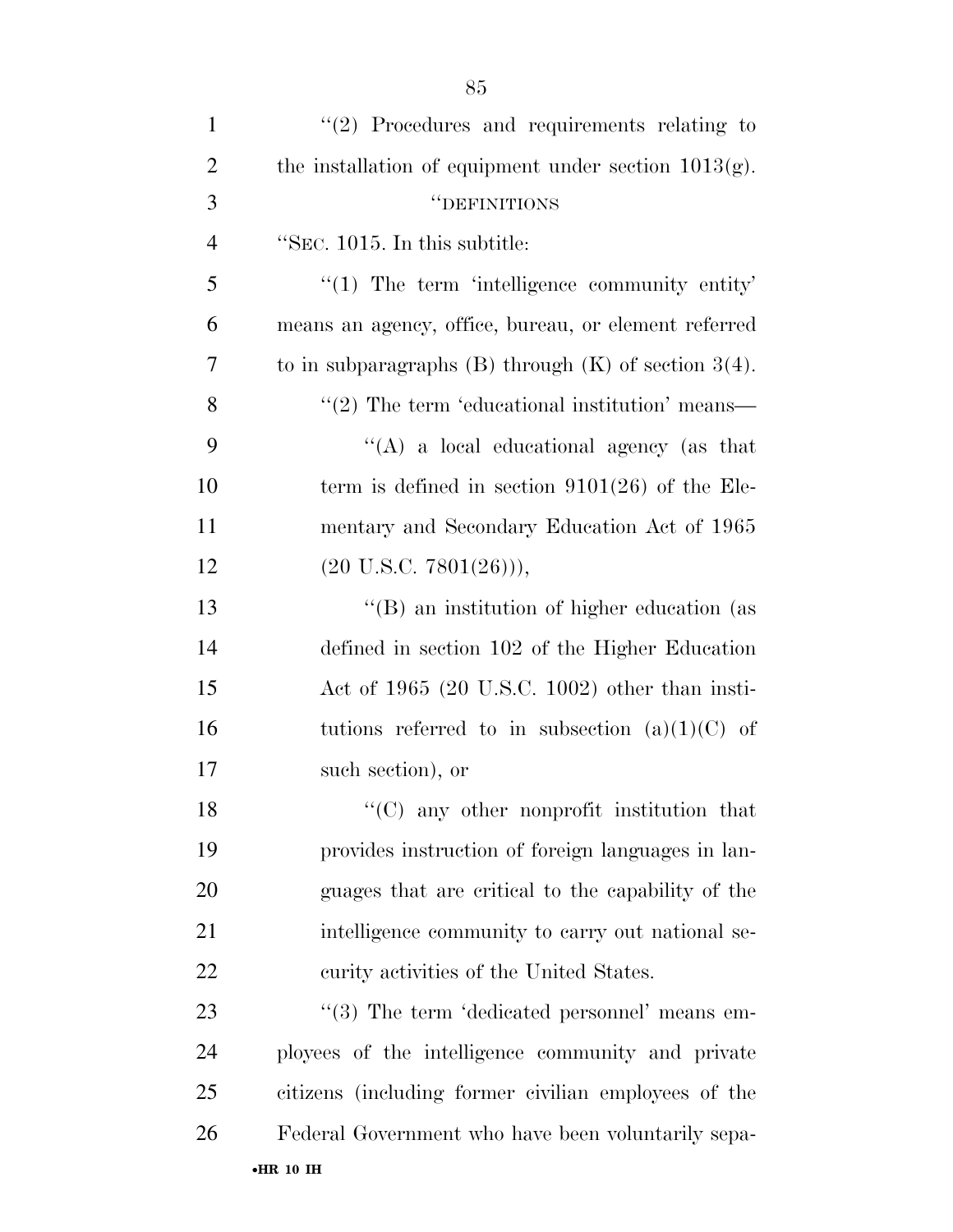| $\mathbf{1}$   | $\lq(2)$ Procedures and requirements relating to               |
|----------------|----------------------------------------------------------------|
| $\overline{2}$ | the installation of equipment under section $1013(g)$ .        |
| 3              | "DEFINITIONS                                                   |
| $\overline{4}$ | "SEC. 1015. In this subtitle:                                  |
| 5              | $\lq(1)$ The term 'intelligence community entity'              |
| 6              | means an agency, office, bureau, or element referred           |
| 7              | to in subparagraphs $(B)$ through $(K)$ of section 3(4).       |
| 8              | $\cdot\cdot\cdot(2)$ The term 'educational institution' means— |
| 9              | "(A) a local educational agency (as that                       |
| 10             | term is defined in section $9101(26)$ of the Ele-              |
| 11             | mentary and Secondary Education Act of 1965                    |
| 12             | $(20 \text{ U.S.C. } 7801(26))),$                              |
| 13             | "(B) an institution of higher education (as                    |
| 14             | defined in section 102 of the Higher Education                 |
| 15             | Act of $1965$ (20 U.S.C. 1002) other than insti-               |
| 16             | tutions referred to in subsection $(a)(1)(C)$ of               |
| 17             | such section), or                                              |
| 18             | $\lq\lq$ (C) any other nonprofit institution that              |
| 19             | provides instruction of foreign languages in lan-              |
| 20             | guages that are critical to the capability of the              |
| 21             | intelligence community to carry out national se-               |
| 22             | curity activities of the United States.                        |
| 23             | $\lq(3)$ The term 'dedicated personnel' means em-              |
| 24             | ployees of the intelligence community and private              |
| 25             | citizens (including former civilian employees of the           |
| 26             | Federal Government who have been voluntarily sepa-             |
|                | $\bullet$ HR 10 IH                                             |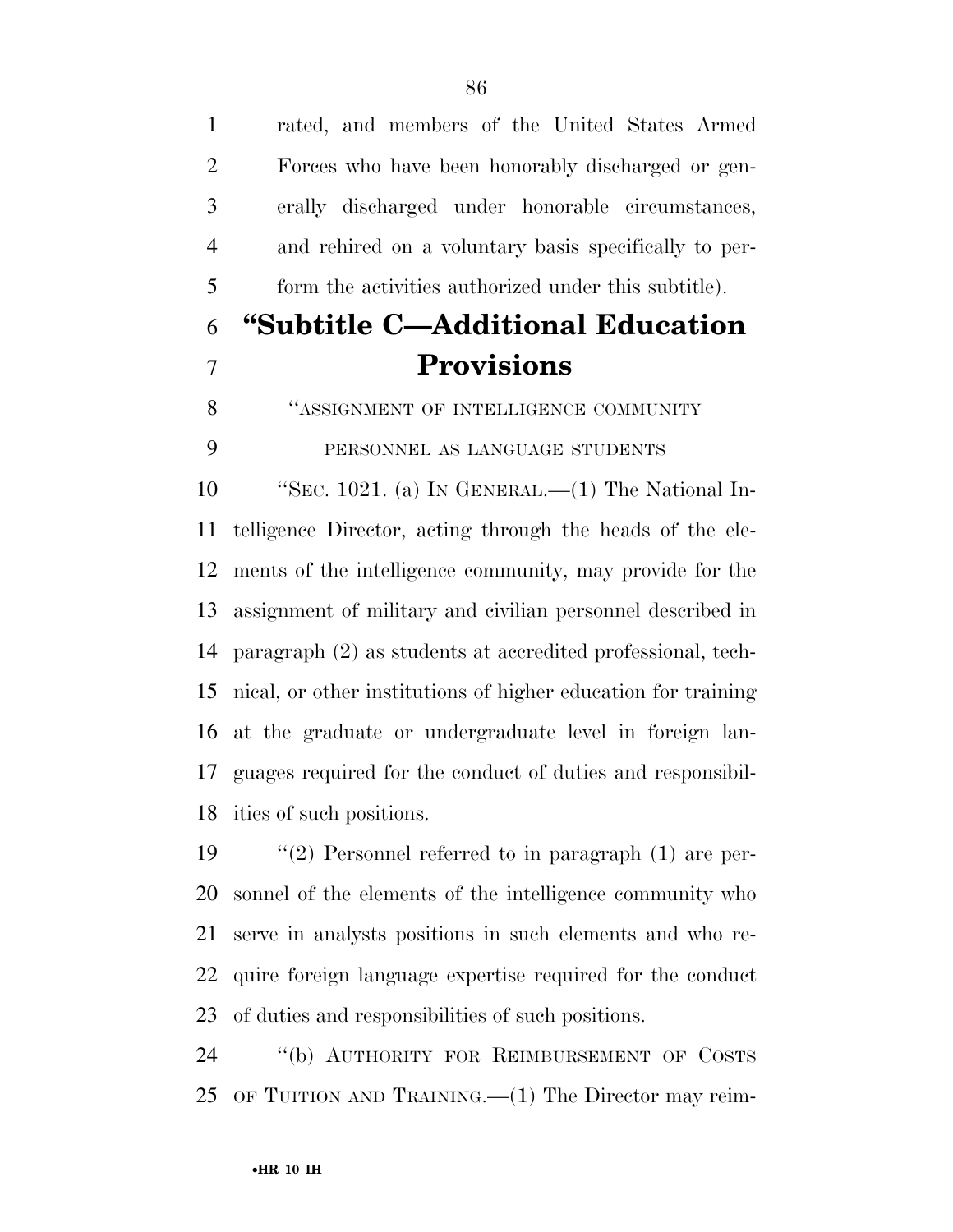rated, and members of the United States Armed Forces who have been honorably discharged or gen- erally discharged under honorable circumstances, and rehired on a voluntary basis specifically to per- form the activities authorized under this subtitle). **''Subtitle C—Additional Education Provisions "ASSIGNMENT OF INTELLIGENCE COMMUNITY**  PERSONNEL AS LANGUAGE STUDENTS ''SEC. 1021. (a) IN GENERAL.—(1) The National In- telligence Director, acting through the heads of the ele- ments of the intelligence community, may provide for the assignment of military and civilian personnel described in paragraph (2) as students at accredited professional, tech- nical, or other institutions of higher education for training at the graduate or undergraduate level in foreign lan- guages required for the conduct of duties and responsibil- ities of such positions. ''(2) Personnel referred to in paragraph (1) are per- sonnel of the elements of the intelligence community who serve in analysts positions in such elements and who re-quire foreign language expertise required for the conduct

 ''(b) AUTHORITY FOR REIMBURSEMENT OF COSTS OF TUITION AND TRAINING.—(1) The Director may reim-

of duties and responsibilities of such positions.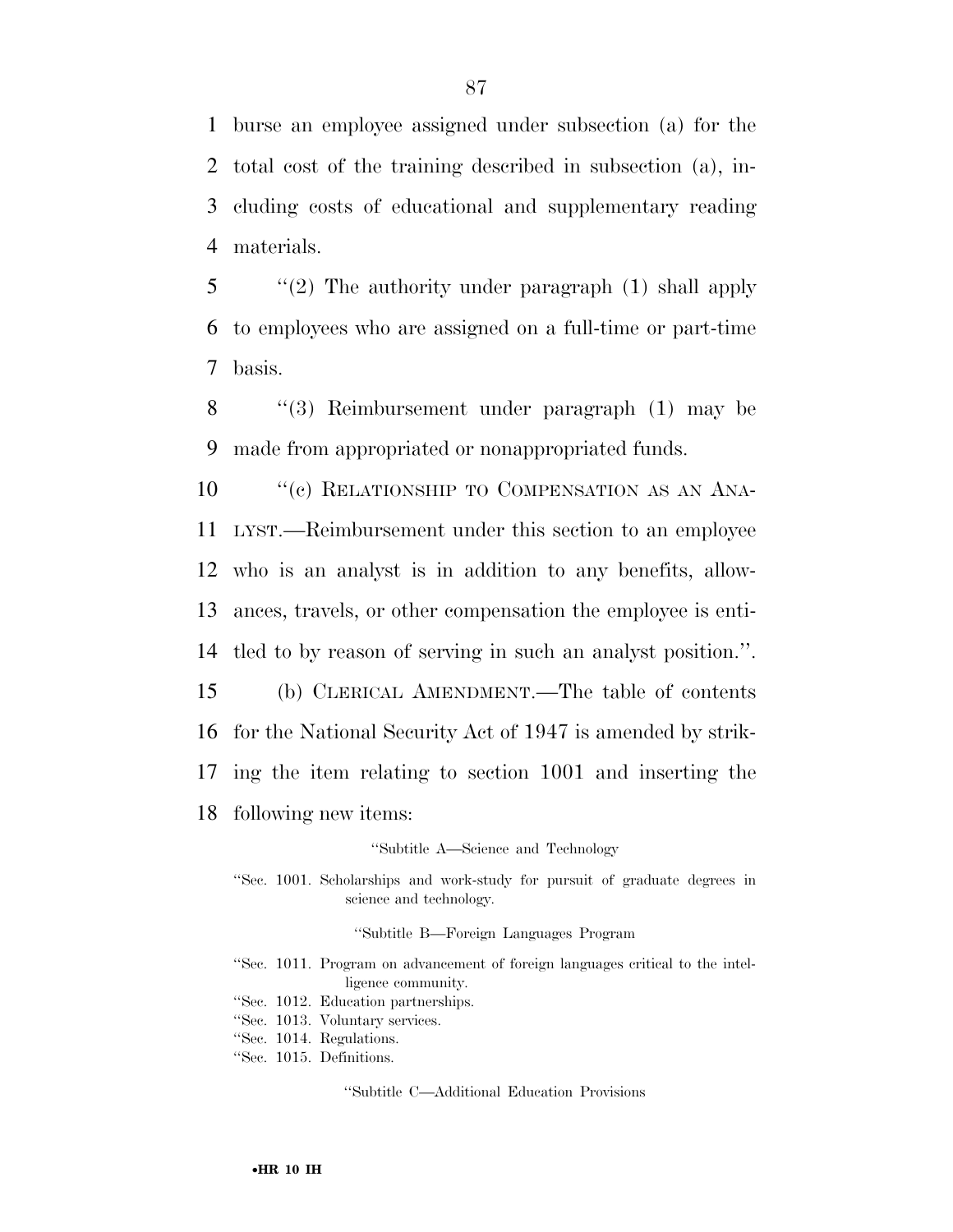burse an employee assigned under subsection (a) for the total cost of the training described in subsection (a), in- cluding costs of educational and supplementary reading materials.

5 ''(2) The authority under paragraph (1) shall apply 6 to employees who are assigned on a full-time or part-time 7 basis.

8 ''(3) Reimbursement under paragraph (1) may be 9 made from appropriated or nonappropriated funds.

10 <sup>"</sup>(c) RELATIONSHIP TO COMPENSATION AS AN ANA- LYST.—Reimbursement under this section to an employee who is an analyst is in addition to any benefits, allow- ances, travels, or other compensation the employee is enti- tled to by reason of serving in such an analyst position.''. (b) CLERICAL AMENDMENT.—The table of contents

16 for the National Security Act of 1947 is amended by strik-

17 ing the item relating to section 1001 and inserting the

18 following new items:

''Subtitle A—Science and Technology

''Sec. 1001. Scholarships and work-study for pursuit of graduate degrees in science and technology.

''Subtitle B—Foreign Languages Program

- ''Sec. 1011. Program on advancement of foreign languages critical to the intelligence community.
- ''Sec. 1012. Education partnerships.
- ''Sec. 1013. Voluntary services.
- ''Sec. 1014. Regulations.
- ''Sec. 1015. Definitions.

''Subtitle C—Additional Education Provisions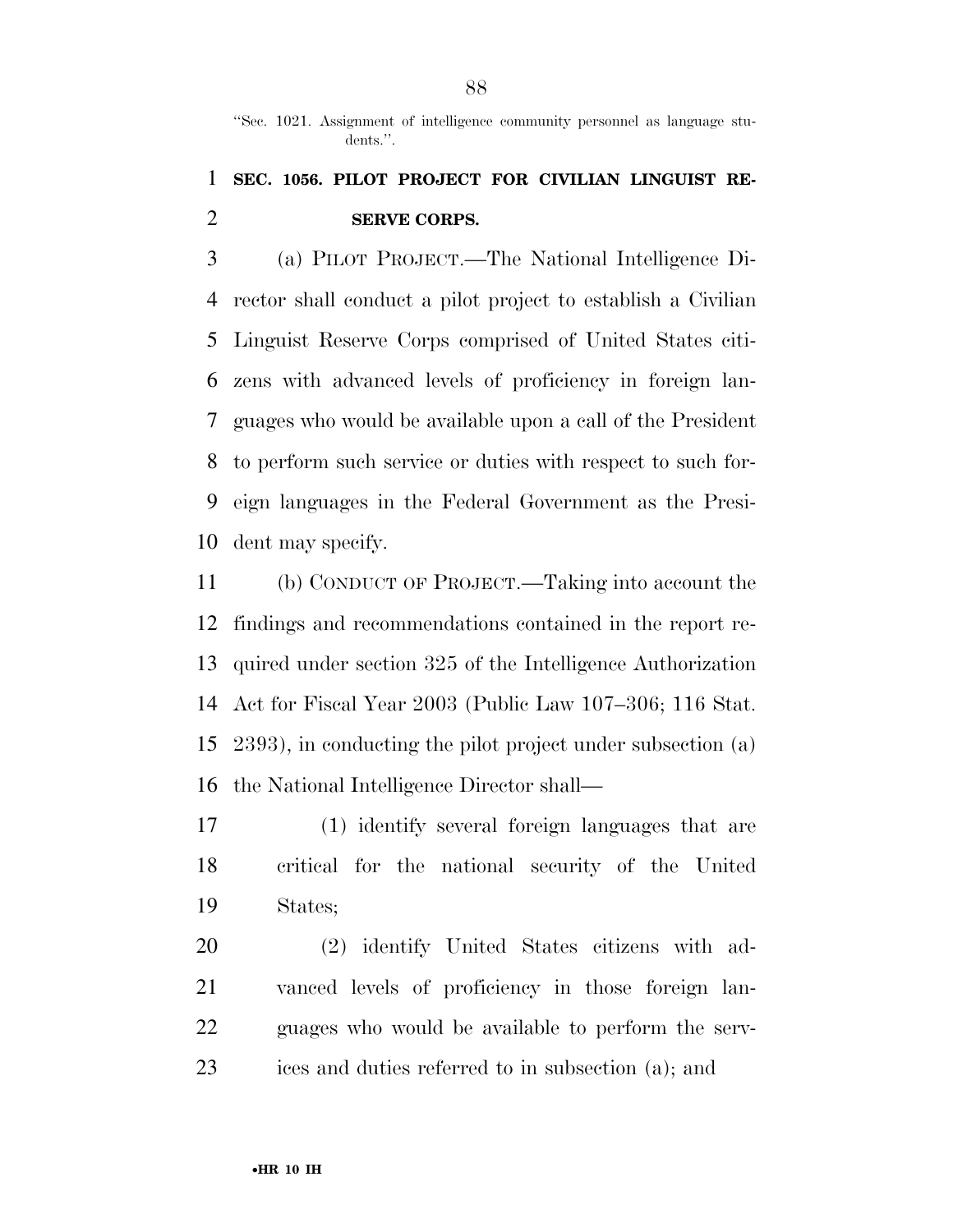''Sec. 1021. Assignment of intelligence community personnel as language students.''.

### **SEC. 1056. PILOT PROJECT FOR CIVILIAN LINGUIST RE-SERVE CORPS.**

 (a) PILOT PROJECT.—The National Intelligence Di- rector shall conduct a pilot project to establish a Civilian Linguist Reserve Corps comprised of United States citi- zens with advanced levels of proficiency in foreign lan- guages who would be available upon a call of the President to perform such service or duties with respect to such for- eign languages in the Federal Government as the Presi-dent may specify.

 (b) CONDUCT OF PROJECT.—Taking into account the findings and recommendations contained in the report re- quired under section 325 of the Intelligence Authorization Act for Fiscal Year 2003 (Public Law 107–306; 116 Stat. 2393), in conducting the pilot project under subsection (a) the National Intelligence Director shall—

 (1) identify several foreign languages that are critical for the national security of the United States;

 (2) identify United States citizens with ad- vanced levels of proficiency in those foreign lan- guages who would be available to perform the serv-ices and duties referred to in subsection (a); and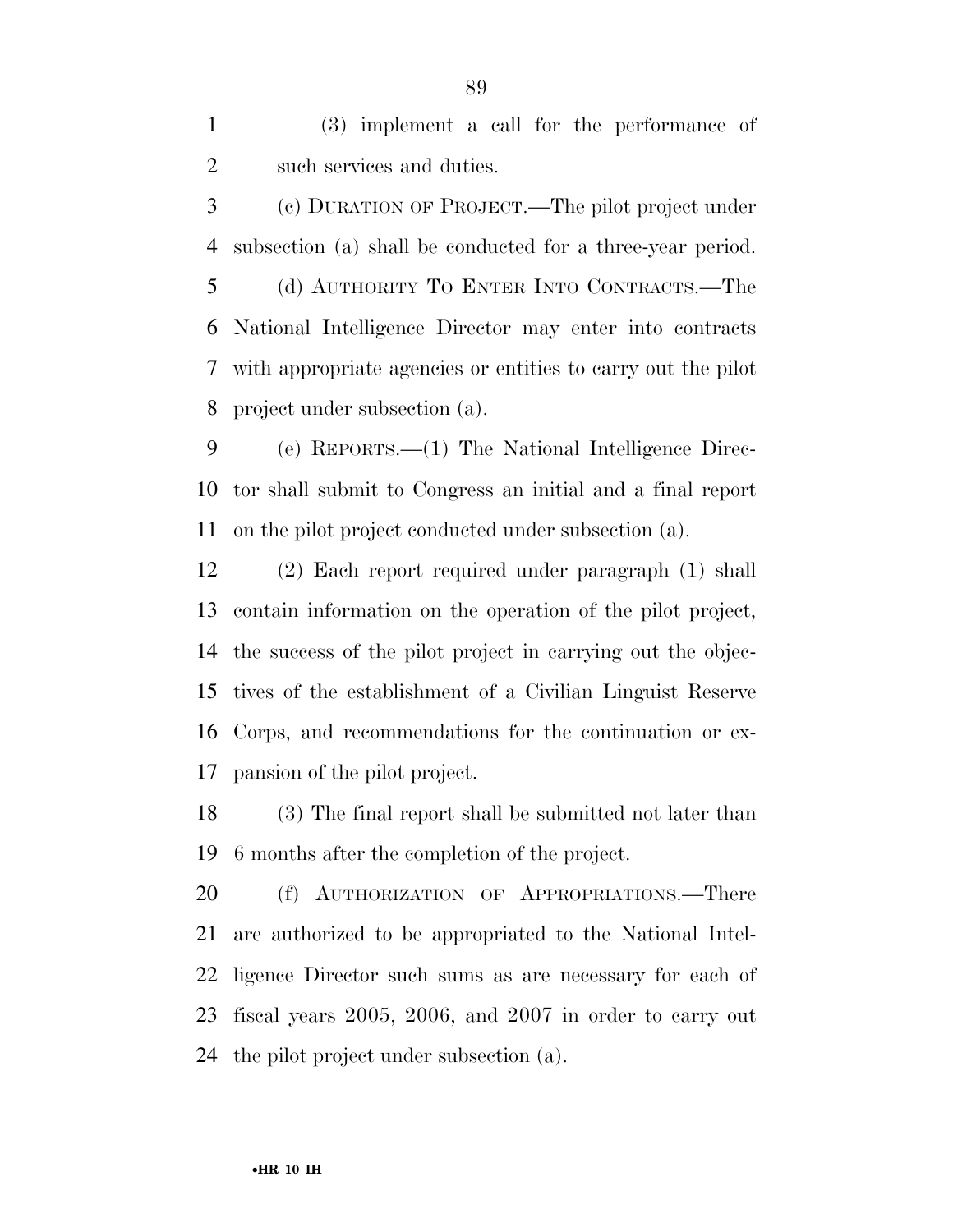(3) implement a call for the performance of such services and duties.

 (c) DURATION OF PROJECT.—The pilot project under subsection (a) shall be conducted for a three-year period. (d) AUTHORITY TO ENTER INTO CONTRACTS.—The National Intelligence Director may enter into contracts with appropriate agencies or entities to carry out the pilot project under subsection (a).

 (e) REPORTS.—(1) The National Intelligence Direc- tor shall submit to Congress an initial and a final report on the pilot project conducted under subsection (a).

 (2) Each report required under paragraph (1) shall contain information on the operation of the pilot project, the success of the pilot project in carrying out the objec- tives of the establishment of a Civilian Linguist Reserve Corps, and recommendations for the continuation or ex-pansion of the pilot project.

 (3) The final report shall be submitted not later than 6 months after the completion of the project.

 (f) AUTHORIZATION OF APPROPRIATIONS.—There are authorized to be appropriated to the National Intel- ligence Director such sums as are necessary for each of fiscal years 2005, 2006, and 2007 in order to carry out the pilot project under subsection (a).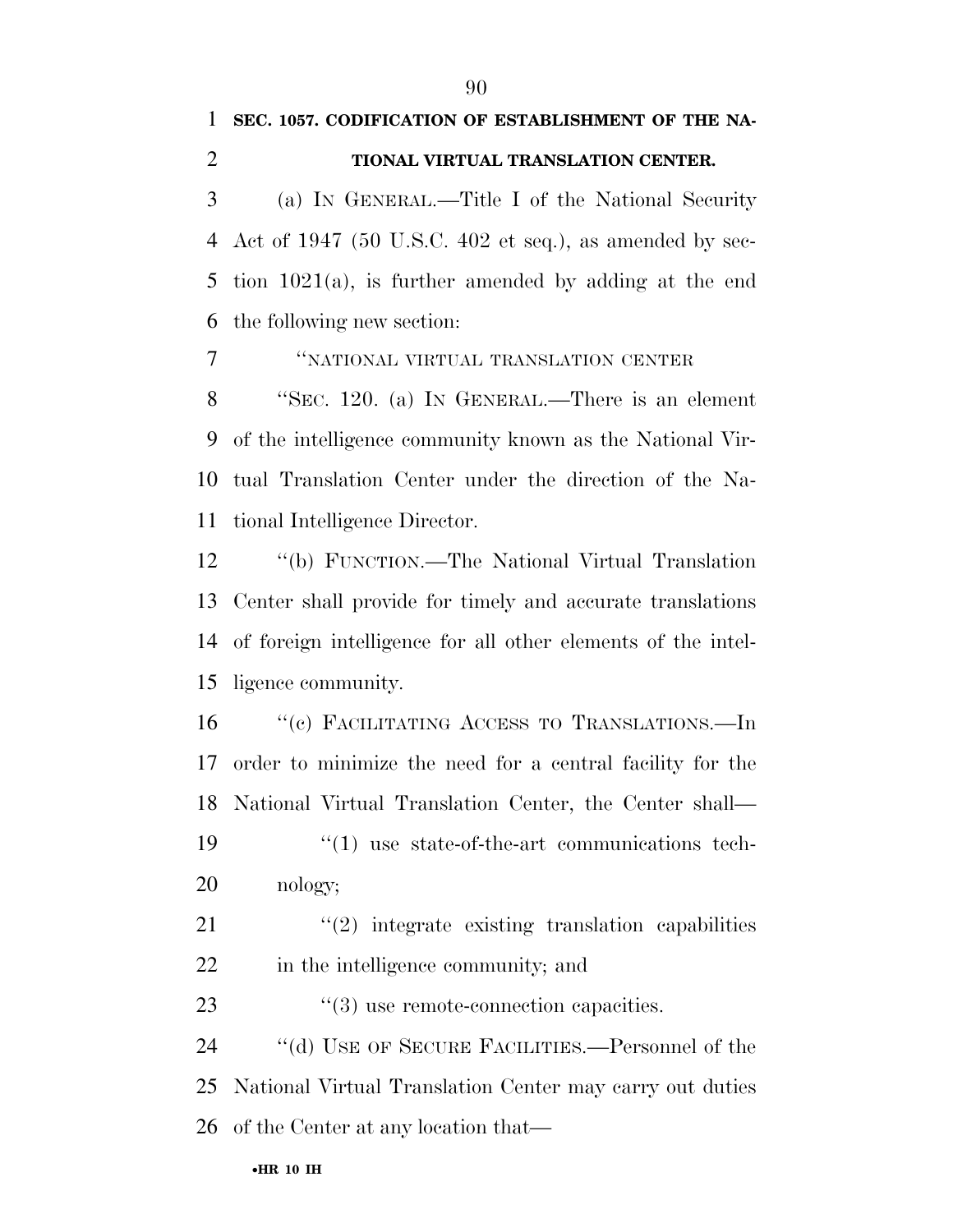**SEC. 1057. CODIFICATION OF ESTABLISHMENT OF THE NA-**

# **TIONAL VIRTUAL TRANSLATION CENTER.**  (a) IN GENERAL.—Title I of the National Security Act of 1947 (50 U.S.C. 402 et seq.), as amended by sec- tion 1021(a), is further amended by adding at the end the following new section: ''NATIONAL VIRTUAL TRANSLATION CENTER ''SEC. 120. (a) IN GENERAL.—There is an element of the intelligence community known as the National Vir- tual Translation Center under the direction of the Na- tional Intelligence Director. ''(b) FUNCTION.—The National Virtual Translation Center shall provide for timely and accurate translations of foreign intelligence for all other elements of the intel- ligence community. 16 "(c) FACILITATING ACCESS TO TRANSLATIONS.—In order to minimize the need for a central facility for the National Virtual Translation Center, the Center shall— ''(1) use state-of-the-art communications tech-nology;

  $\qquad$   $\qquad$   $\qquad$   $\qquad$   $\qquad$   $\qquad$   $\qquad$   $\qquad$   $\qquad$   $\qquad$   $\qquad$   $\qquad$   $\qquad$   $\qquad$   $\qquad$   $\qquad$   $\qquad$   $\qquad$   $\qquad$   $\qquad$   $\qquad$   $\qquad$   $\qquad$   $\qquad$   $\qquad$   $\qquad$   $\qquad$   $\qquad$   $\qquad$   $\qquad$   $\qquad$   $\qquad$   $\qquad$   $\qquad$   $\qquad$   $\qquad$  in the intelligence community; and

23 ''(3) use remote-connection capacities.

 ''(d) USE OF SECURE FACILITIES.—Personnel of the National Virtual Translation Center may carry out duties of the Center at any location that—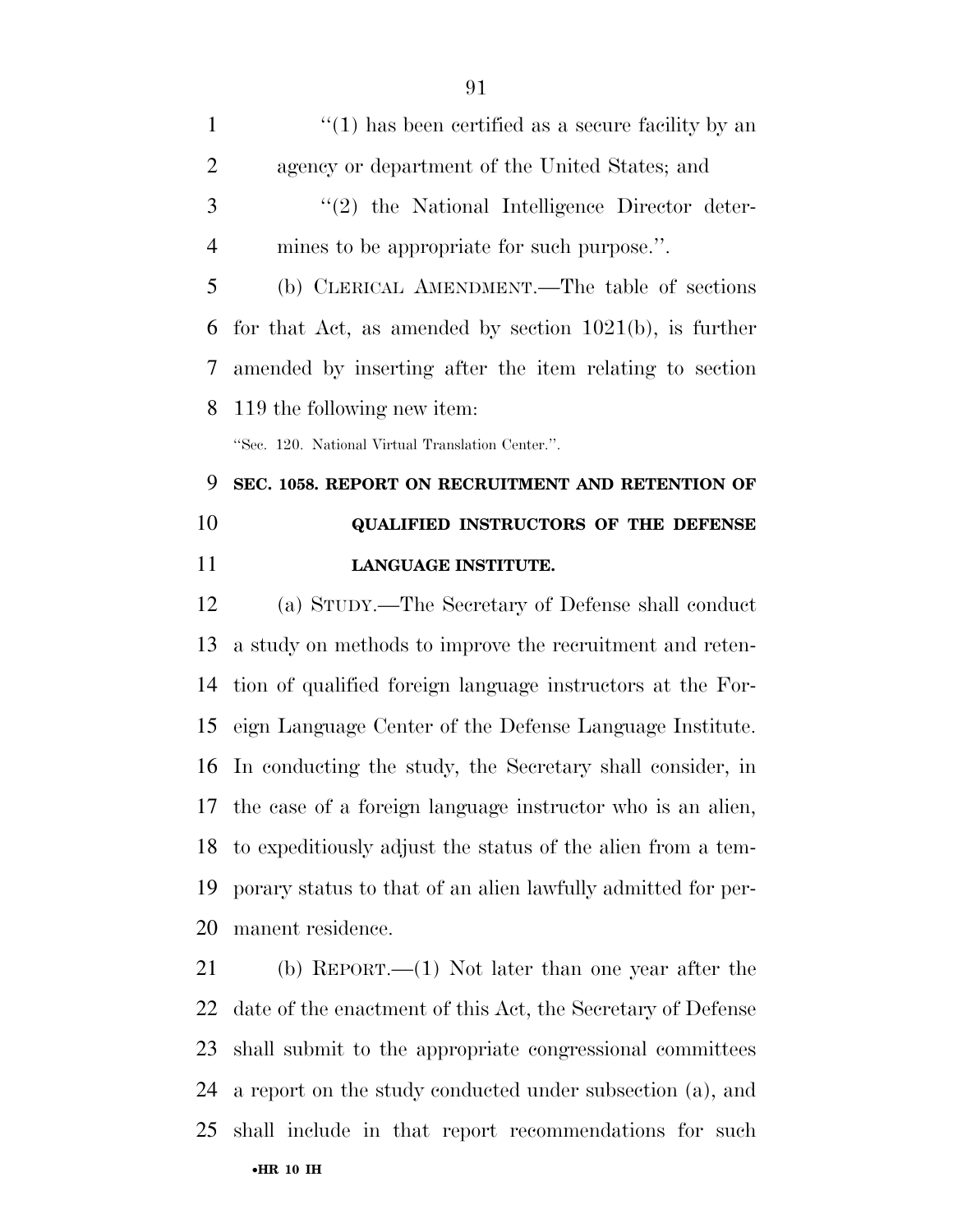| $\mathbf{1}$   | $\lq(1)$ has been certified as a secure facility by an     |
|----------------|------------------------------------------------------------|
| 2              | agency or department of the United States; and             |
| 3              | $\lq(2)$ the National Intelligence Director deter-         |
| $\overline{4}$ | mines to be appropriate for such purpose.".                |
| 5              | (b) CLERICAL AMENDMENT.—The table of sections              |
| 6              | for that Act, as amended by section $1021(b)$ , is further |
| 7              | amended by inserting after the item relating to section    |
| 8              | 119 the following new item:                                |
|                | "Sec. 120. National Virtual Translation Center.".          |
| 9              | SEC. 1058. REPORT ON RECRUITMENT AND RETENTION OF          |
| 10             | <b>QUALIFIED INSTRUCTORS OF THE DEFENSE</b>                |
| 11             | LANGUAGE INSTITUTE.                                        |
| 12             | (a) STIIDV — The Secretary of Defense shall conduct        |

 (a) STUDY.—The Secretary of Defense shall conduct a study on methods to improve the recruitment and reten- tion of qualified foreign language instructors at the For- eign Language Center of the Defense Language Institute. In conducting the study, the Secretary shall consider, in the case of a foreign language instructor who is an alien, to expeditiously adjust the status of the alien from a tem- porary status to that of an alien lawfully admitted for per-manent residence.

•**HR 10 IH**  (b) REPORT.—(1) Not later than one year after the date of the enactment of this Act, the Secretary of Defense shall submit to the appropriate congressional committees a report on the study conducted under subsection (a), and shall include in that report recommendations for such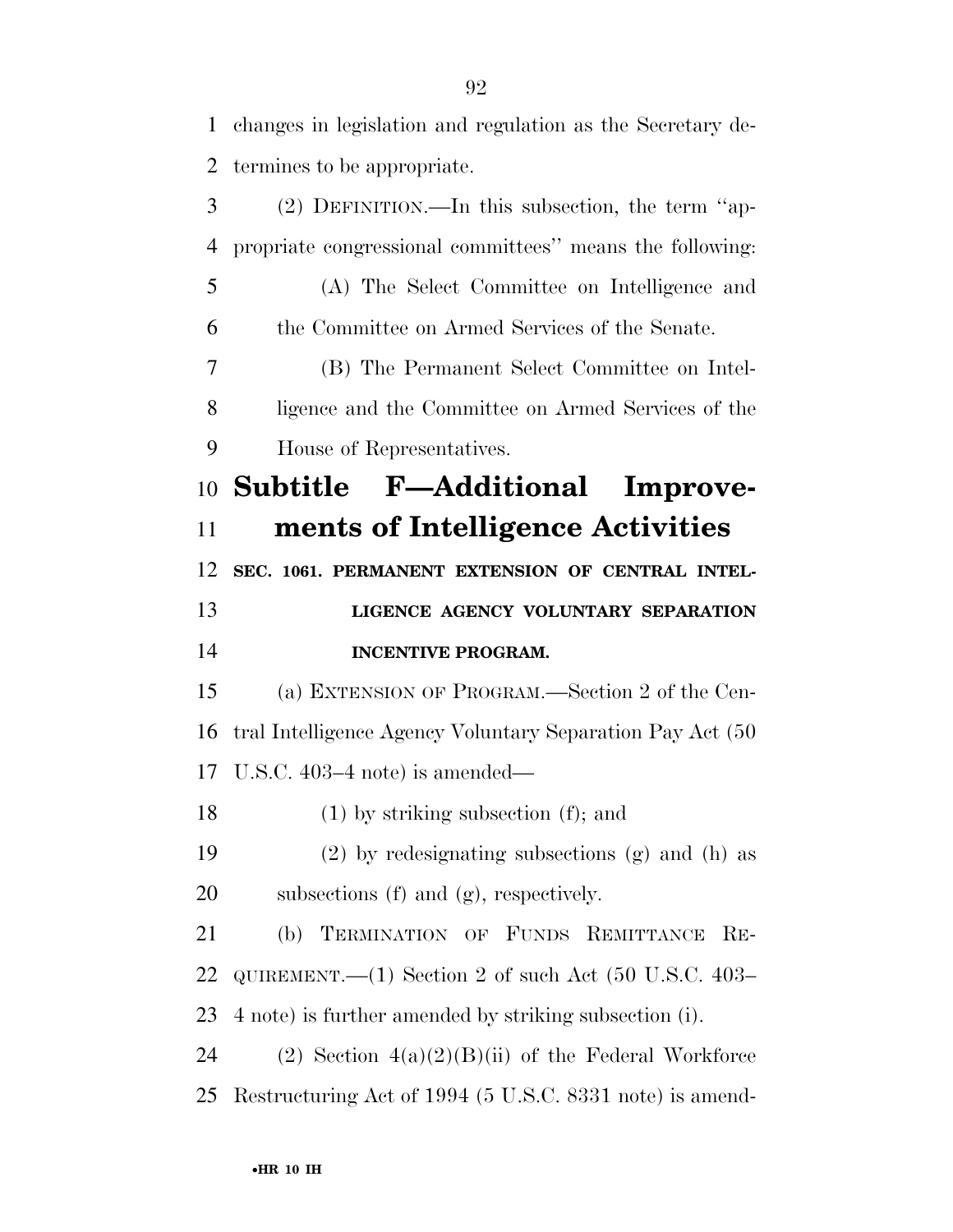changes in legislation and regulation as the Secretary de-termines to be appropriate.

 (2) DEFINITION.—In this subsection, the term ''ap- propriate congressional committees'' means the following: (A) The Select Committee on Intelligence and the Committee on Armed Services of the Senate. (B) The Permanent Select Committee on Intel- ligence and the Committee on Armed Services of the House of Representatives. **Subtitle F—Additional Improve- ments of Intelligence Activities SEC. 1061. PERMANENT EXTENSION OF CENTRAL INTEL- LIGENCE AGENCY VOLUNTARY SEPARATION INCENTIVE PROGRAM.**  (a) EXTENSION OF PROGRAM.—Section 2 of the Cen- tral Intelligence Agency Voluntary Separation Pay Act (50 U.S.C. 403–4 note) is amended— (1) by striking subsection (f); and (2) by redesignating subsections (g) and (h) as subsections (f) and (g), respectively. (b) TERMINATION OF FUNDS REMITTANCE RE- QUIREMENT.—(1) Section 2 of such Act (50 U.S.C. 403– 4 note) is further amended by striking subsection (i). 24 (2) Section  $4(a)(2)(B)(ii)$  of the Federal Workforce Restructuring Act of 1994 (5 U.S.C. 8331 note) is amend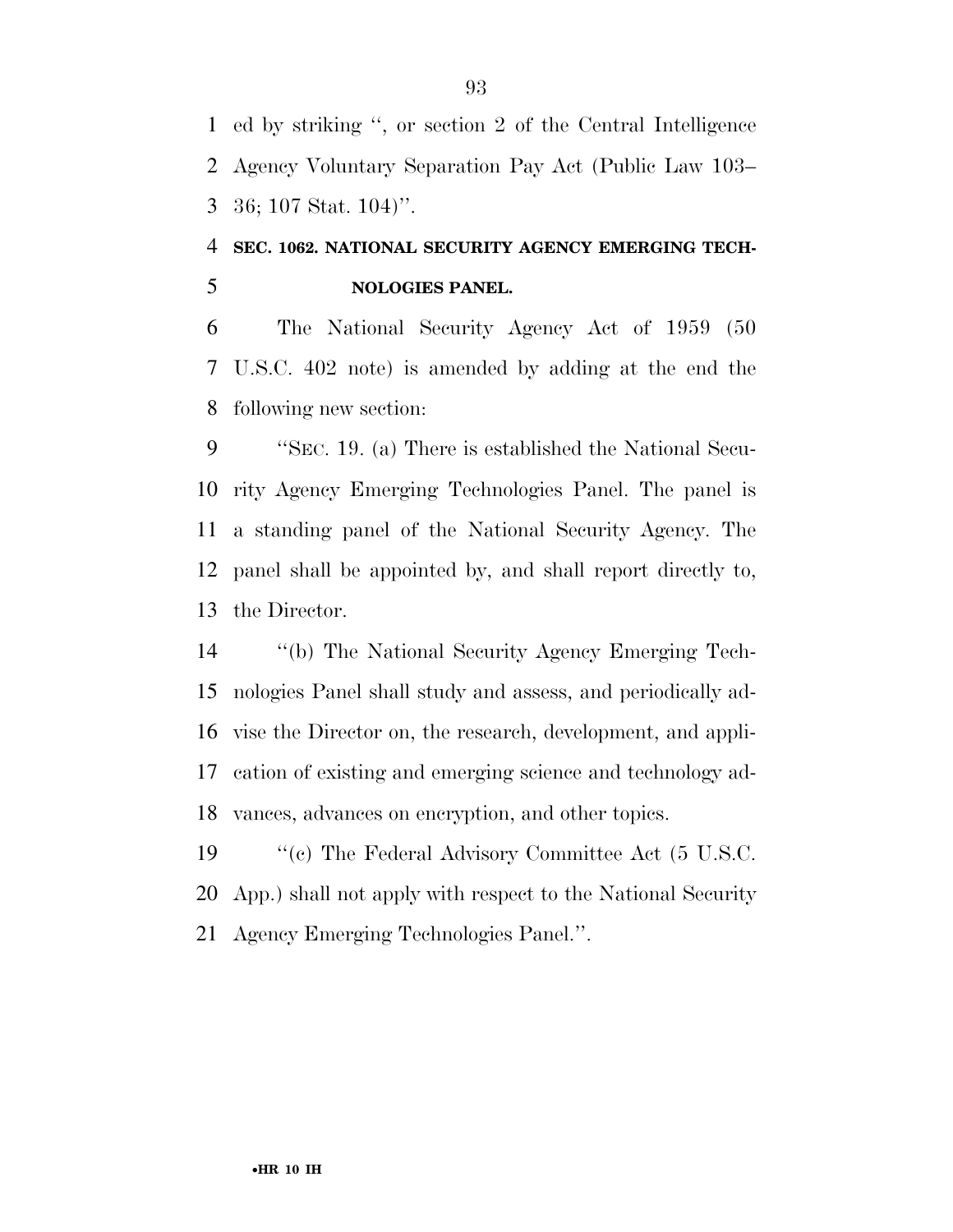ed by striking '', or section 2 of the Central Intelligence Agency Voluntary Separation Pay Act (Public Law 103– 36; 107 Stat. 104)''.

### **SEC. 1062. NATIONAL SECURITY AGENCY EMERGING TECH-NOLOGIES PANEL.**

 The National Security Agency Act of 1959 (50 U.S.C. 402 note) is amended by adding at the end the following new section:

 ''SEC. 19. (a) There is established the National Secu- rity Agency Emerging Technologies Panel. The panel is a standing panel of the National Security Agency. The panel shall be appointed by, and shall report directly to, the Director.

 ''(b) The National Security Agency Emerging Tech- nologies Panel shall study and assess, and periodically ad- vise the Director on, the research, development, and appli- cation of existing and emerging science and technology ad-vances, advances on encryption, and other topics.

19 ''(c) The Federal Advisory Committee Act (5 U.S.C. App.) shall not apply with respect to the National Security Agency Emerging Technologies Panel.''.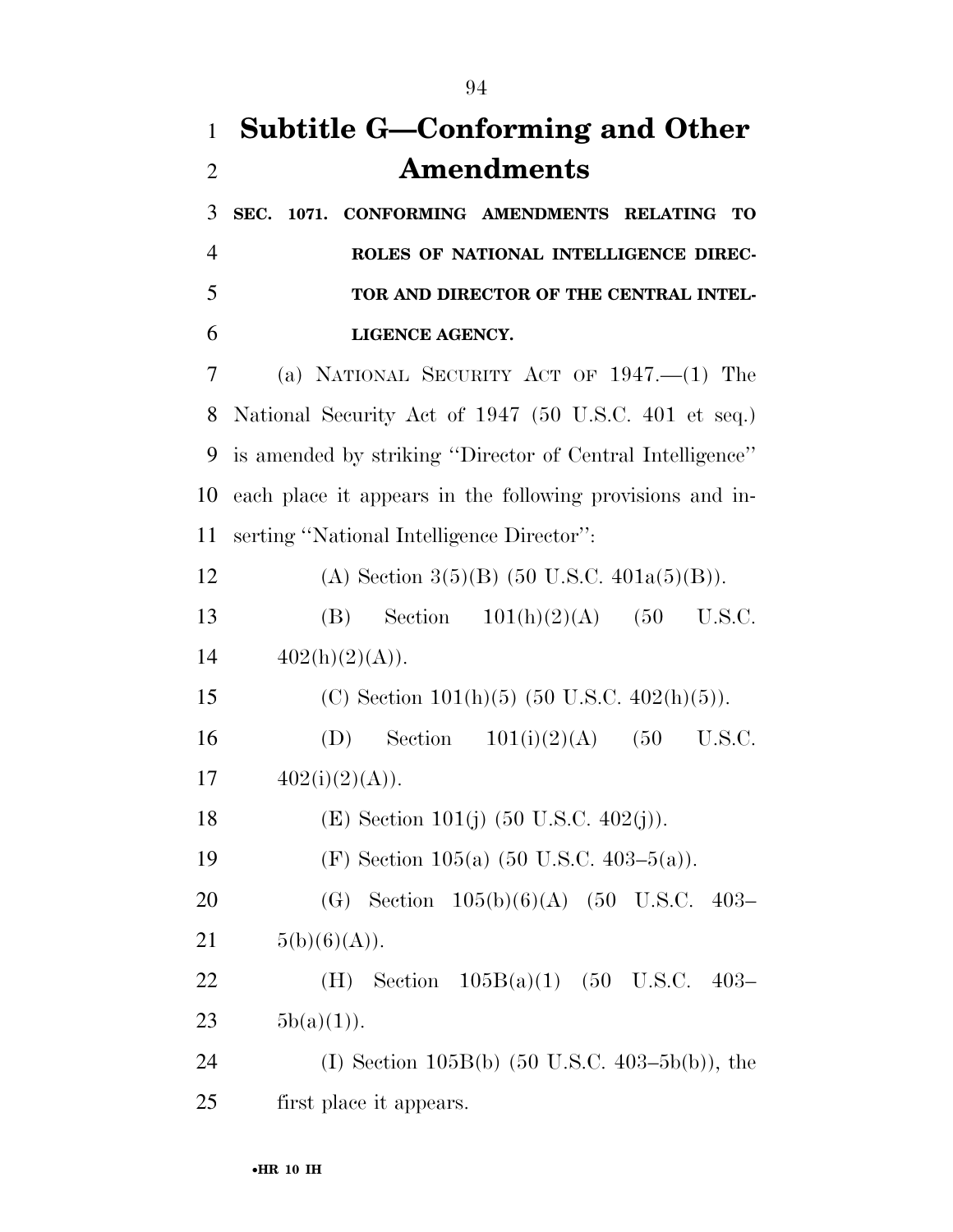# **Subtitle G—Conforming and Other Amendments**

 **SEC. 1071. CONFORMING AMENDMENTS RELATING TO ROLES OF NATIONAL INTELLIGENCE DIREC- TOR AND DIRECTOR OF THE CENTRAL INTEL-LIGENCE AGENCY.** 

 (a) NATIONAL SECURITY ACT OF 1947.—(1) The National Security Act of 1947 (50 U.S.C. 401 et seq.) is amended by striking ''Director of Central Intelligence'' each place it appears in the following provisions and in-serting ''National Intelligence Director'':

12 (A) Section  $3(5)(B)$  (50 U.S.C.  $401a(5)(B)$ ).

 (B) Section 101(h)(2)(A) (50 U.S.C. 14  $402(h)(2)(A)$ .

(C) Section 101(h)(5) (50 U.S.C. 402(h)(5)).

16 (D) Section  $101(i)(2)(A)$  (50 U.S.C. 17  $402(i)(2)(A)$ .

18 (E) Section 101(j)  $(50 \text{ U.S.C. } 402(j))$ .

19 (F) Section 105(a) (50 U.S.C. 403–5(a)).

 (G) Section 105(b)(6)(A) (50 U.S.C. 403– 21  $5(b)(6)(A)$ .

 (H) Section 105B(a)(1) (50 U.S.C. 403– 23  $5b(a)(1)$ .

 (I) Section 105B(b) (50 U.S.C. 403–5b(b)), the first place it appears.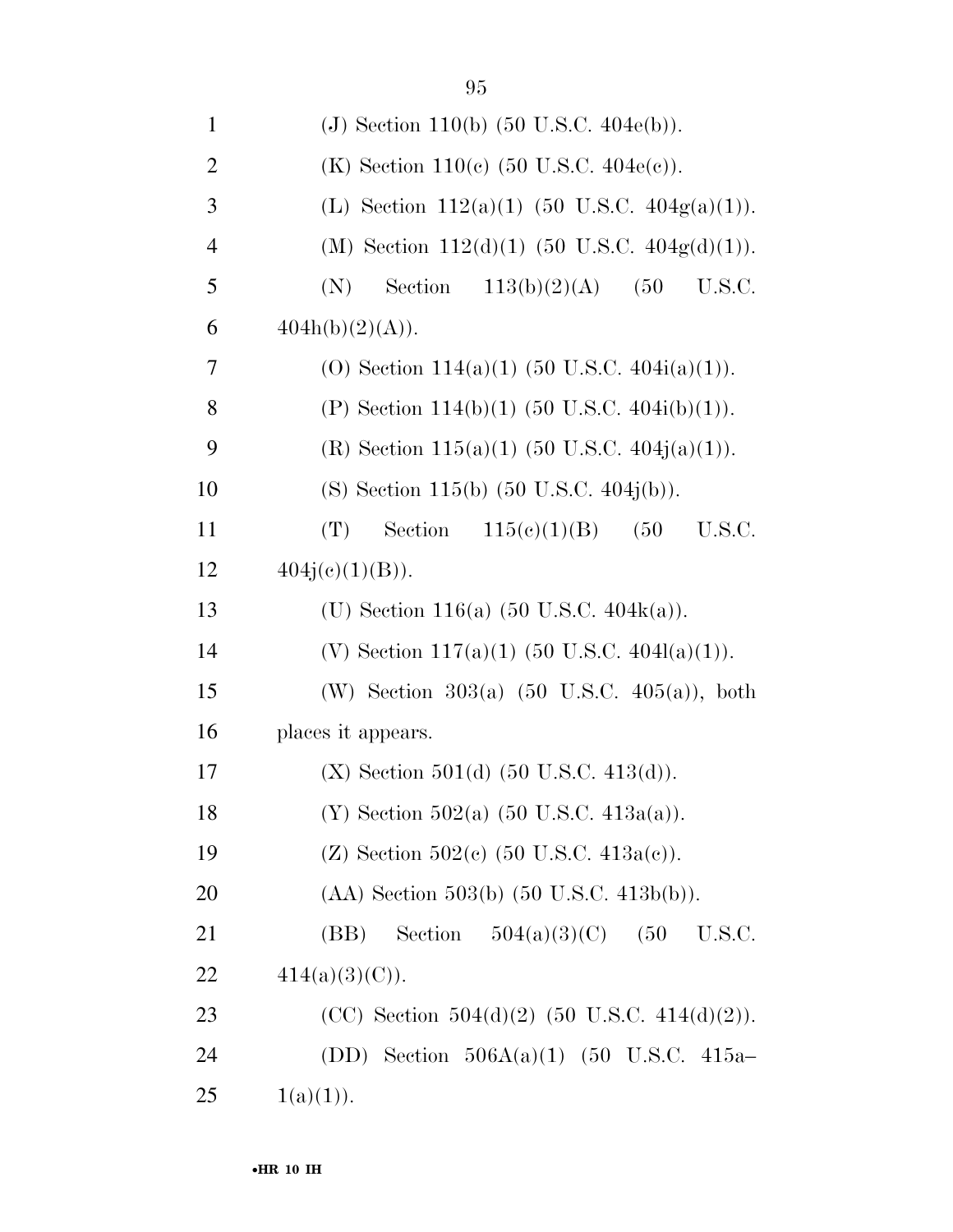| $\mathbf{1}$   | (J) Section 110(b) $(50 \text{ U.S.C. } 404e(b))$ .        |
|----------------|------------------------------------------------------------|
| $\overline{2}$ | (K) Section 110(c) $(50 \text{ U.S.C. } 404e(c))$ .        |
| 3              | (L) Section 112(a)(1) (50 U.S.C. $404g(a)(1)$ ).           |
| $\overline{4}$ | (M) Section 112(d)(1) (50 U.S.C. $404g(d)(1)$ ).           |
| 5              | Section<br>113(b)(2)(A)<br>(50)<br>U.S.C.<br>(N)           |
| 6              | 404h(b)(2)(A)).                                            |
| 7              | (0) Section 114(a)(1) (50 U.S.C. 404i(a)(1)).              |
| 8              | (P) Section 114(b)(1) (50 U.S.C. 404i(b)(1)).              |
| 9              | (R) Section 115(a)(1) (50 U.S.C. 404j(a)(1)).              |
| 10             | (S) Section 115(b) $(50 \text{ U.S.C. } 404j(b))$ .        |
| 11             | Section $115(e)(1)(B)$<br>(50)<br>(T)<br>U.S.C.            |
| 12             | $404j(e)(1)(B)$ .                                          |
| 13             | (U) Section 116(a) $(50 \text{ U.S.C. } 404\text{k(a)})$ . |
| 14             | (V) Section 117(a)(1) (50 U.S.C. 404l(a)(1)).              |
| 15             | (W) Section 303(a) $(50 \text{ U.S.C. } 405(a))$ , both    |
| 16             | places it appears.                                         |
| 17             | $(X)$ Section 501(d) (50 U.S.C. 413(d)).                   |
| 18             | (Y) Section 502(a) $(50 \text{ U.S.C. } 413a(a))$ .        |
| 19             | (Z) Section 502(c) $(50 \text{ U.S.C. } 413a(c))$ .        |
| 20             | $(AA)$ Section 503(b) $(50 \text{ U.S.C. } 413b(b))$ .     |
| 21             | (BB) Section $504(a)(3)(C)$ (50<br>U.S.C.                  |
| 22             | $414(a)(3)(C)$ .                                           |
| 23             | (CC) Section 504(d)(2) (50 U.S.C. 414(d)(2)).              |
| 24             | (DD) Section $506A(a)(1)$ (50 U.S.C. 415a-                 |
| 25             | 1(a)(1)).                                                  |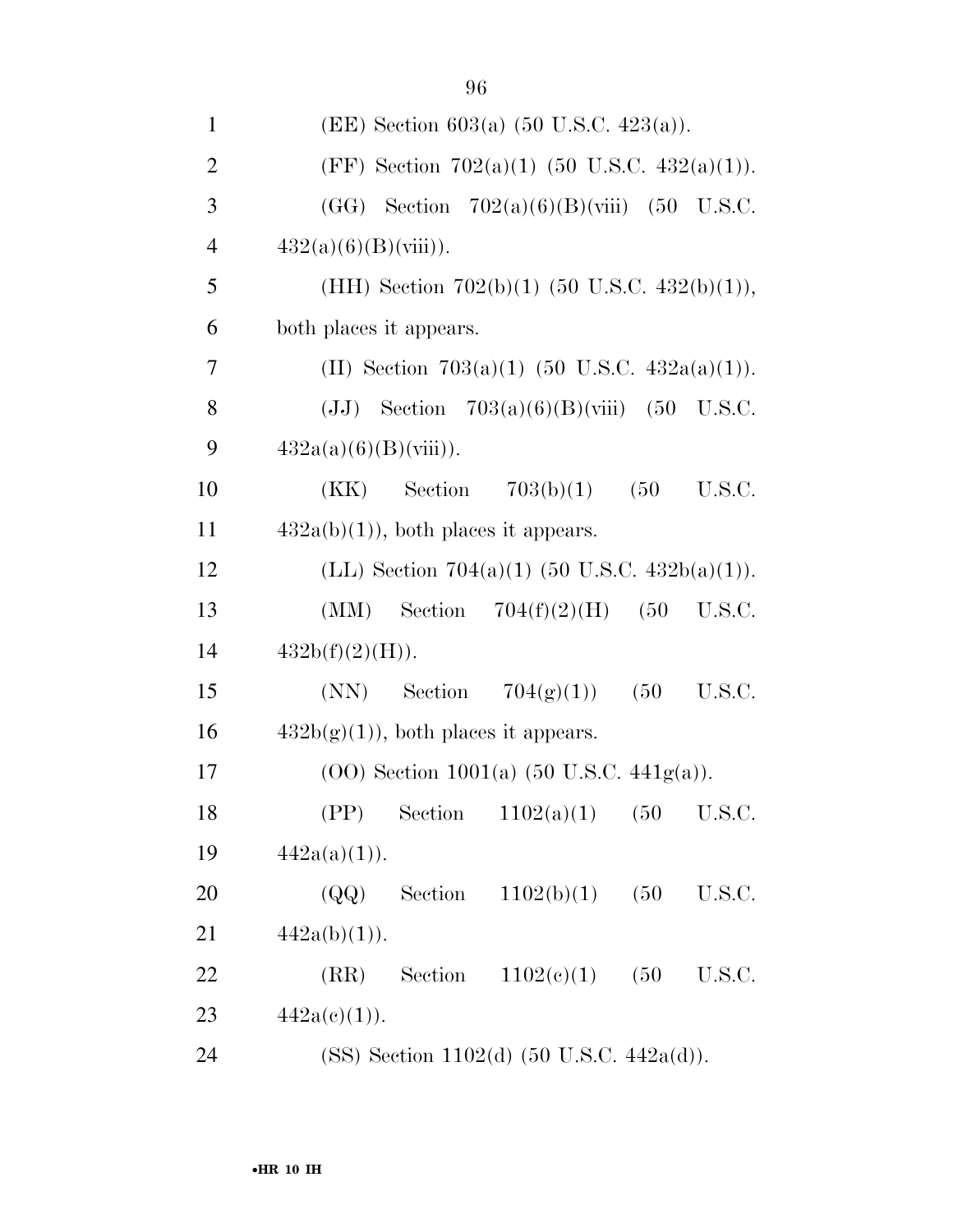|                | $\sum_{i=1}^n$                                          |
|----------------|---------------------------------------------------------|
| $\mathbf{2}$   | (FF) Section 702(a)(1) (50 U.S.C. 432(a)(1)).           |
| 3              | $(GG)$ Section 702(a)(6)(B)(viii) (50 U.S.C.            |
| $\overline{4}$ | $432(a)(6)(B)(viii)$ .                                  |
| 5              | (HH) Section 702(b)(1) (50 U.S.C. 432(b)(1)),           |
| 6              | both places it appears.                                 |
| 7              | (II) Section 703(a)(1) (50 U.S.C. 432a(a)(1)).          |
| 8              | (JJ) Section $703(a)(6)(B)(viii)$ (50 U.S.C.            |
| 9              | $432a(a)(6)(B)(viii)$ .                                 |
| 10             | Section $703(b)(1)$ $(50)$<br>(KK)<br>U.S.C.            |
| 11             | $432a(b)(1)$ , both places it appears.                  |
| 12             | (LL) Section 704(a)(1) (50 U.S.C. 432b(a)(1)).          |
| 13             | $(MM)$ Section $704(f)(2)(H)$<br>(50<br>U.S.C.          |
| 14             | $432b(f)(2)(H)$ .                                       |
| 15             | (50)<br>U.S.C.<br>$(NN)$ Section $704(g)(1)$            |
| 16             | $432b(g)(1)$ , both places it appears.                  |
| 17             | $(00)$ Section 1001(a) $(50 \text{ U.S.C. } 441g(a))$ . |
| 18             | Section<br>1102(a)(1)<br>(50<br>(PP)<br>U.S.C.          |
| 19             | $442a(a)(1)$ .                                          |
| 20             | Section<br>(QQ)<br>1102(b)(1)<br>(50)<br>U.S.C.         |
| 21             | $442a(b)(1)$ .                                          |
| 22             | Section<br>(RR)<br>1102(e)(1)<br>(50)<br>U.S.C.         |
| 23             | $442a(c)(1)$ .                                          |
| 24             | (SS) Section 1102(d) $(50 \text{ U.S.C. } 442a(d))$ .   |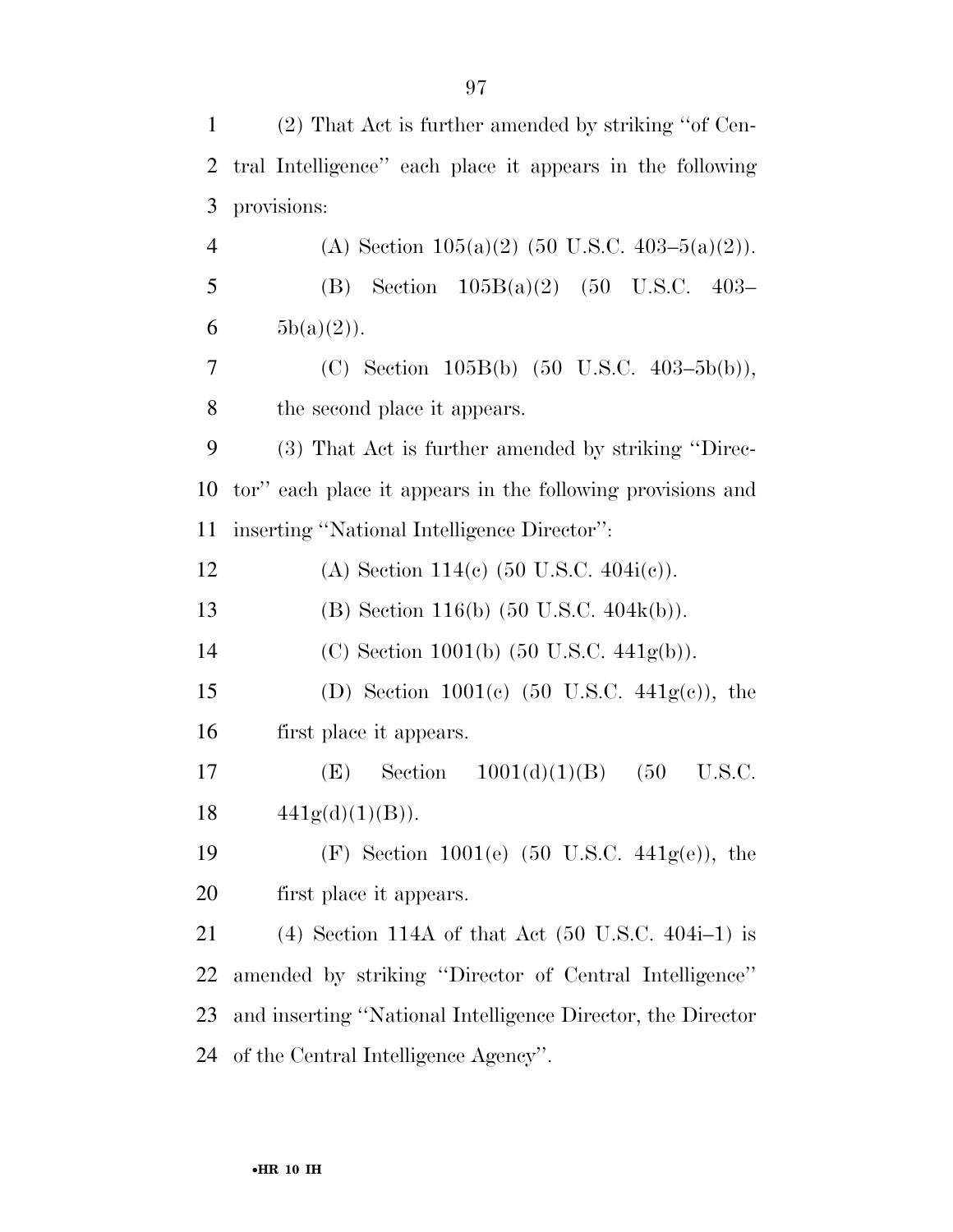| $\mathbf{1}$   | (2) That Act is further amended by striking "of Cen-                 |
|----------------|----------------------------------------------------------------------|
| 2              | tral Intelligence" each place it appears in the following            |
| 3              | provisions:                                                          |
| $\overline{4}$ | (A) Section $105(a)(2)$ (50 U.S.C. 403-5(a)(2)).                     |
| 5              | (B) Section $105B(a)(2)$ (50 U.S.C. 403-                             |
| 6              | $5b(a)(2)$ .                                                         |
| 7              | (C) Section 105B(b) $(50 \text{ U.S.C. } 403-5b(b)),$                |
| 8              | the second place it appears.                                         |
| 9              | (3) That Act is further amended by striking "Direc-                  |
| 10             | tor" each place it appears in the following provisions and           |
| 11             | inserting "National Intelligence Director":                          |
| 12             | (A) Section 114(c) $(50 \text{ U.S.C. } 404i(c))$ .                  |
| 13             | (B) Section 116(b) $(50 \text{ U.S.C. } 404\text{k(b)})$ .           |
| 14             | (C) Section 1001(b) $(50 \text{ U.S.C. } 441\text{g(b)})$ .          |
| 15             | (D) Section 1001(c) $(50 \text{ U.S.C. } 441g(c))$ , the             |
| 16             | first place it appears.                                              |
| 17             | Section $1001(d)(1)(B)$<br>(50)<br>U.S.C.<br>(E)                     |
| 18             | 441g(d)(1)(B)).                                                      |
| 19             | (F) Section 1001(e) $(50 \text{ U.S.C. } 441g(e))$ , the             |
| 20             | first place it appears.                                              |
| 21             | (4) Section 114A of that Act $(50 \text{ U.S.C. } 404\text{i}-1)$ is |
| 22             | amended by striking "Director of Central Intelligence"               |
| 23             | and inserting "National Intelligence Director, the Director          |
| 24             | of the Central Intelligence Agency".                                 |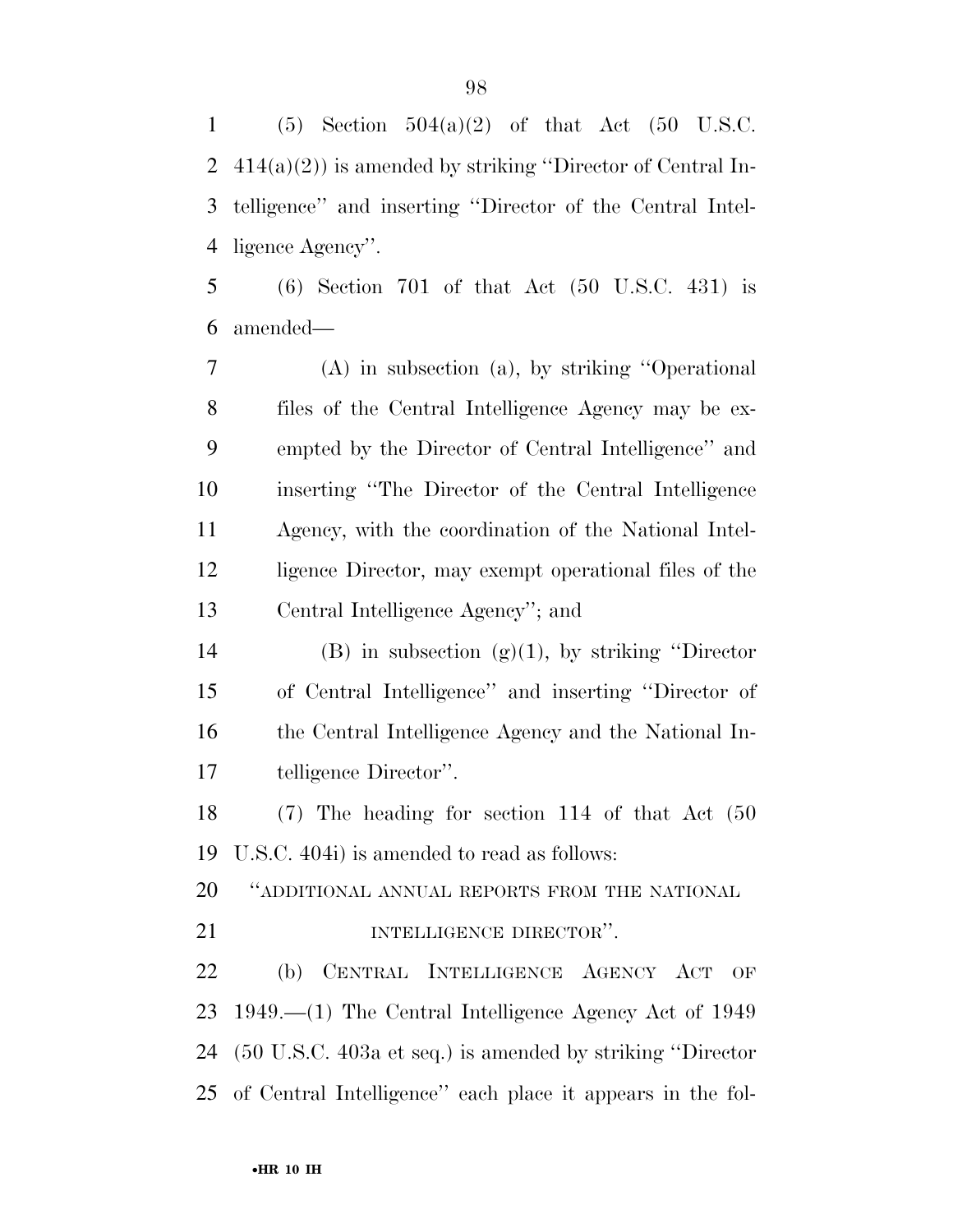(5) Section 504(a)(2) of that Act (50 U.S.C. 414(a)(2)) is amended by striking ''Director of Central In- telligence'' and inserting ''Director of the Central Intel-ligence Agency''.

 (6) Section 701 of that Act (50 U.S.C. 431) is amended—

 (A) in subsection (a), by striking ''Operational files of the Central Intelligence Agency may be ex- empted by the Director of Central Intelligence'' and inserting ''The Director of the Central Intelligence Agency, with the coordination of the National Intel- ligence Director, may exempt operational files of the Central Intelligence Agency''; and

14 (B) in subsection  $(g)(1)$ , by striking "Director of Central Intelligence'' and inserting ''Director of the Central Intelligence Agency and the National In-telligence Director''.

 (7) The heading for section 114 of that Act (50 U.S.C. 404i) is amended to read as follows:

''ADDITIONAL ANNUAL REPORTS FROM THE NATIONAL

**INTELLIGENCE DIRECTOR''.** 

 (b) CENTRAL INTELLIGENCE AGENCY ACT OF 1949.—(1) The Central Intelligence Agency Act of 1949 (50 U.S.C. 403a et seq.) is amended by striking ''Director of Central Intelligence'' each place it appears in the fol-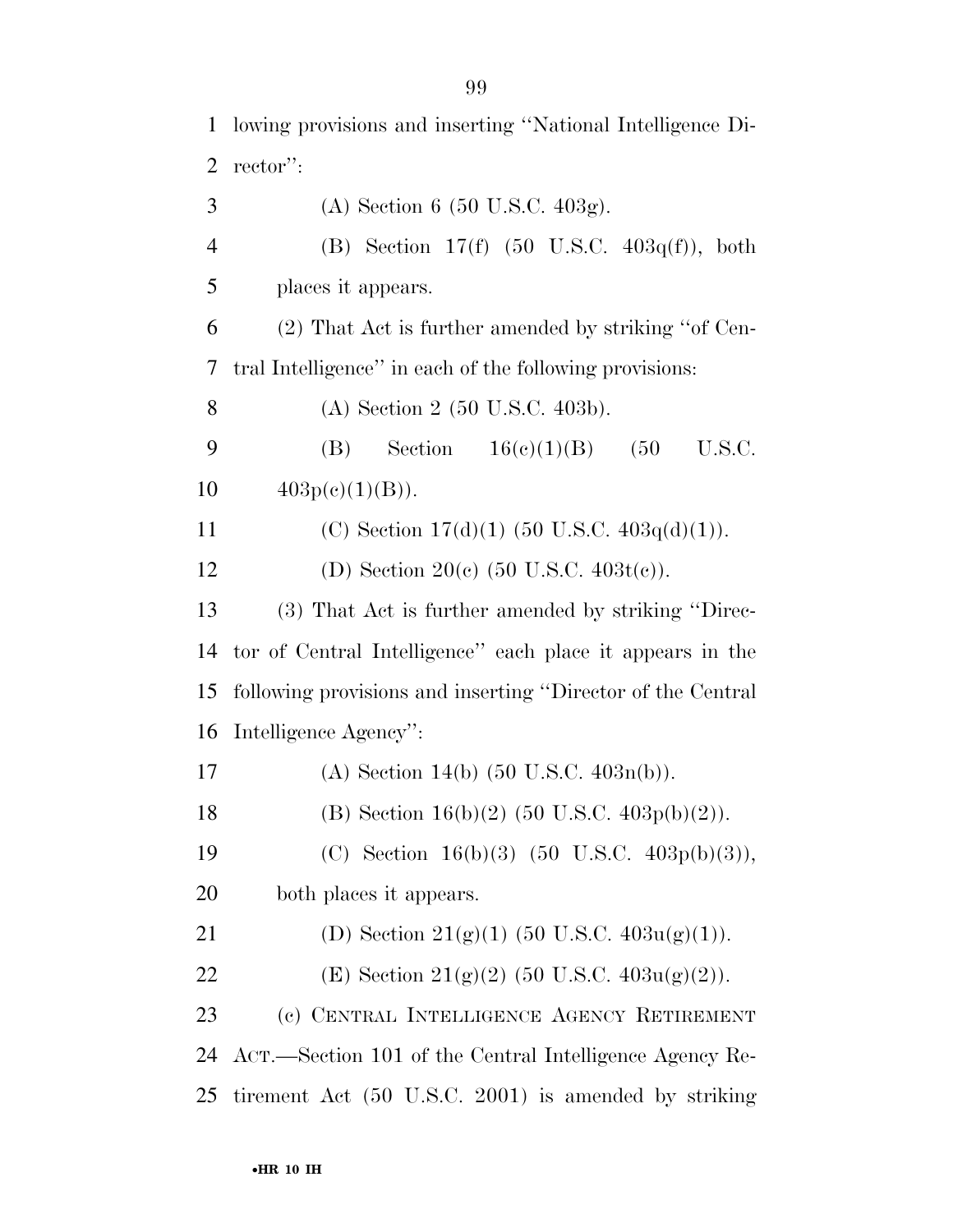| $\mathbf{1}$             | lowing provisions and inserting "National Intelligence Di-  |
|--------------------------|-------------------------------------------------------------|
| $\overline{2}$           | rector":                                                    |
| 3                        | (A) Section 6 (50 U.S.C. 403g).                             |
| $\overline{4}$           | (B) Section 17(f) $(50 \text{ U.S.C. } 403q(f))$ , both     |
| 5                        | places it appears.                                          |
| 6                        | (2) That Act is further amended by striking "of Cen-        |
| $\overline{\mathcal{L}}$ | tral Intelligence" in each of the following provisions:     |
| 8                        | (A) Section 2 (50 U.S.C. 403b).                             |
| 9                        | Section $16(e)(1)(B)$ (50<br>U.S.C.<br>(B)                  |
| 10                       | $403p(e)(1)(B)$ .                                           |
| 11                       | (C) Section $17(d)(1)$ (50 U.S.C. $403q(d)(1)$ ).           |
| 12                       | (D) Section 20(c) $(50 \text{ U.S.C. } 403t(c))$ .          |
| 13                       | (3) That Act is further amended by striking "Direc-         |
| 14                       | tor of Central Intelligence" each place it appears in the   |
| 15                       | following provisions and inserting "Director of the Central |
| 16                       | Intelligence Agency":                                       |
| 17                       | (A) Section 14(b) $(50 \text{ U.S.C. } 403n(b))$ .          |
| 18                       | (B) Section 16(b)(2) (50 U.S.C. 403p(b)(2)).                |
| 19                       | (C) Section 16(b)(3) (50 U.S.C. 403p(b)(3)),                |
| 20                       | both places it appears.                                     |
| 21                       | (D) Section 21(g)(1) (50 U.S.C. $403u(g)(1)$ ).             |
| 22                       | (E) Section 21(g)(2) (50 U.S.C. $403u(g)(2)$ ).             |
| 23                       | (c) CENTRAL INTELLIGENCE AGENCY RETIREMENT                  |
| 24                       | ACT.—Section 101 of the Central Intelligence Agency Re-     |
| 25                       | tirement Act (50 U.S.C. 2001) is amended by striking        |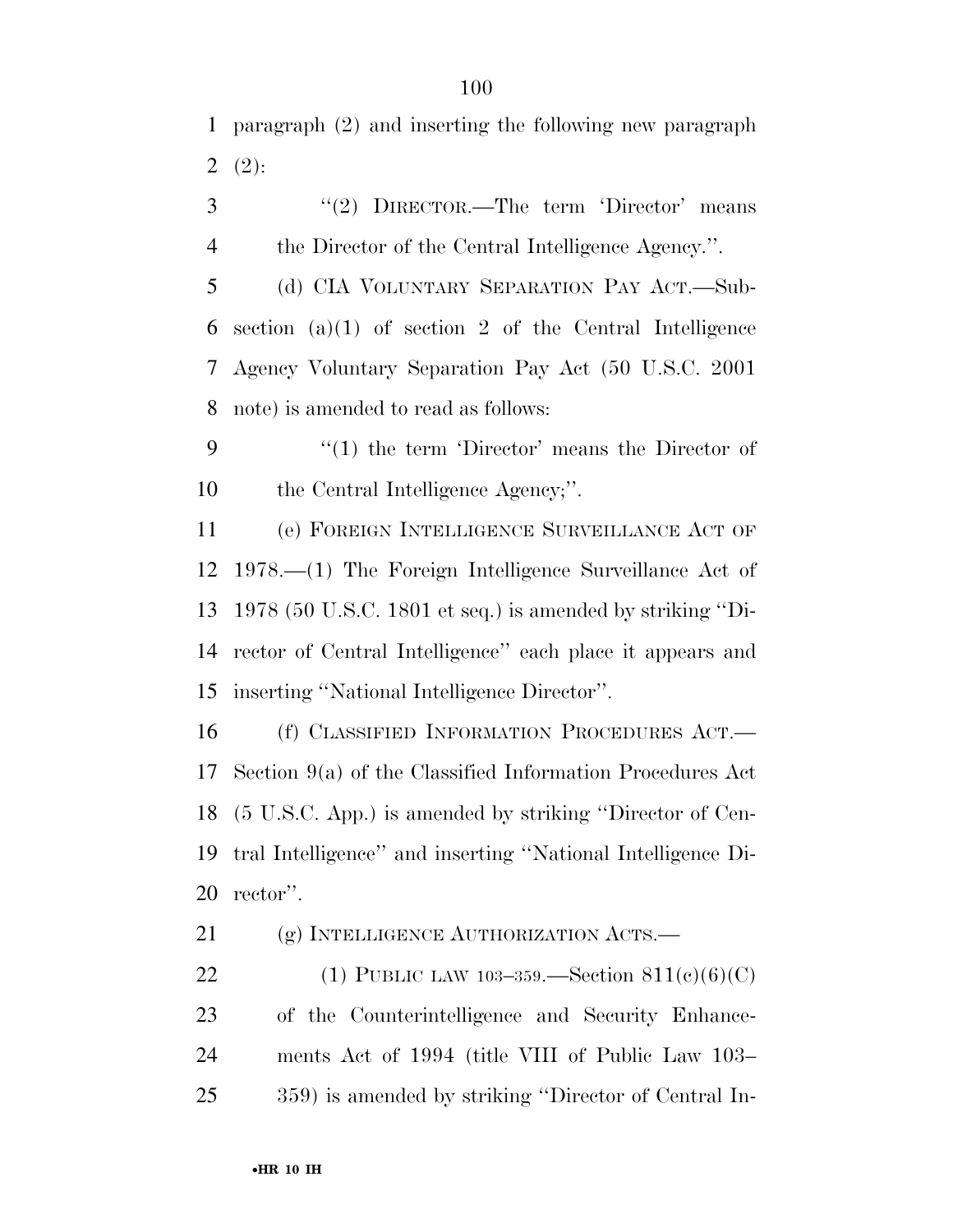paragraph (2) and inserting the following new paragraph  $2(2)$ :

3 "(2) DIRECTOR.—The term 'Director' means the Director of the Central Intelligence Agency.''.

 (d) CIA VOLUNTARY SEPARATION PAY ACT.—Sub-6 section  $(a)(1)$  of section 2 of the Central Intelligence Agency Voluntary Separation Pay Act (50 U.S.C. 2001 note) is amended to read as follows:

9 "(1) the term 'Director' means the Director of 10 the Central Intelligence Agency;".

 (e) FOREIGN INTELLIGENCE SURVEILLANCE ACT OF 1978.—(1) The Foreign Intelligence Surveillance Act of 1978 (50 U.S.C. 1801 et seq.) is amended by striking ''Di- rector of Central Intelligence'' each place it appears and inserting ''National Intelligence Director''.

 (f) CLASSIFIED INFORMATION PROCEDURES ACT.— Section 9(a) of the Classified Information Procedures Act (5 U.S.C. App.) is amended by striking ''Director of Cen- tral Intelligence'' and inserting ''National Intelligence Di-rector''.

21 (g) INTELLIGENCE AUTHORIZATION ACTS.—

22 (1) PUBLIC LAW 103-359. Section  $811(c)(6)(C)$  of the Counterintelligence and Security Enhance- ments Act of 1994 (title VIII of Public Law 103– 359) is amended by striking ''Director of Central In-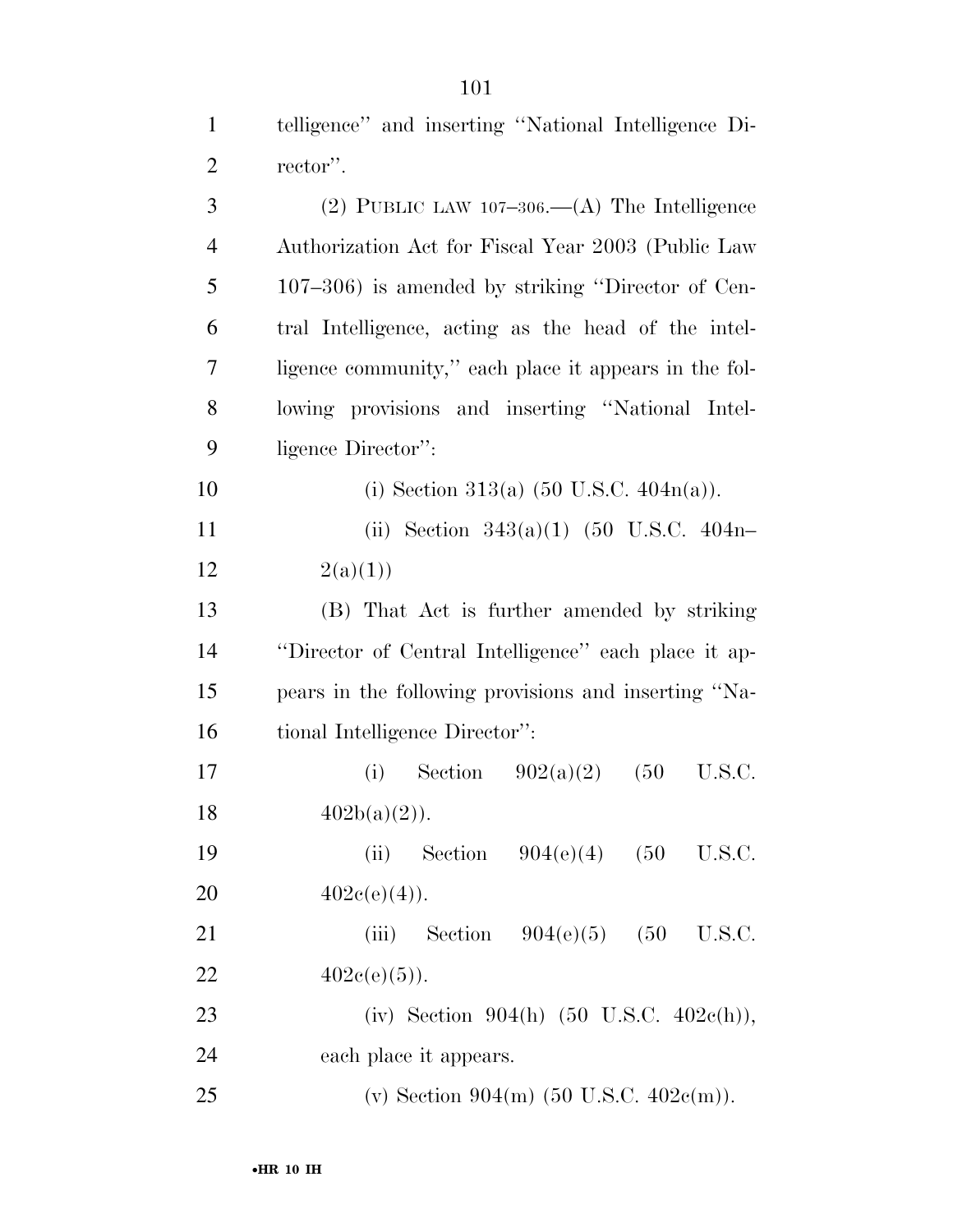| $\mathbf{1}$   | telligence" and inserting "National Intelligence Di-  |
|----------------|-------------------------------------------------------|
| $\overline{2}$ | rector".                                              |
| 3              | (2) PUBLIC LAW $107-306.$ (A) The Intelligence        |
| $\overline{4}$ | Authorization Act for Fiscal Year 2003 (Public Law    |
| 5              | $107-306$ ) is amended by striking "Director of Cen-  |
| 6              | tral Intelligence, acting as the head of the intel-   |
| 7              | ligence community," each place it appears in the fol- |
| 8              | lowing provisions and inserting "National Intel-      |
| 9              | ligence Director":                                    |
| 10             | (i) Section 313(a) $(50 \text{ U.S.C. } 404n(a))$ .   |
| 11             | (ii) Section $343(a)(1)$ (50 U.S.C. 404n-             |
| 12             | 2(a)(1))                                              |
| 13             | (B) That Act is further amended by striking           |
| 14             | "Director of Central Intelligence" each place it ap-  |
| 15             | pears in the following provisions and inserting "Na-  |
| 16             | tional Intelligence Director":                        |
| 17             | Section $902(a)(2)$<br>(i)<br>(50)<br>U.S.C.          |
| 18             | $402b(a)(2)$ .                                        |
| 19             | Section $904(e)(4)$ (50<br>(ii)<br>U.S.C.             |
| 20             | $402e(e)(4)$ .                                        |
| 21             | (iii) Section $904(e)(5)$ (50<br>U.S.C.               |
| 22             | $402e(e)(5)$ ).                                       |
| 23             | (iv) Section 904(h) $(50 \text{ U.S.C. } 402c(h)),$   |
| 24             | each place it appears.                                |
| 25             | (v) Section 904(m) (50 U.S.C. 402 $c(m)$ ).           |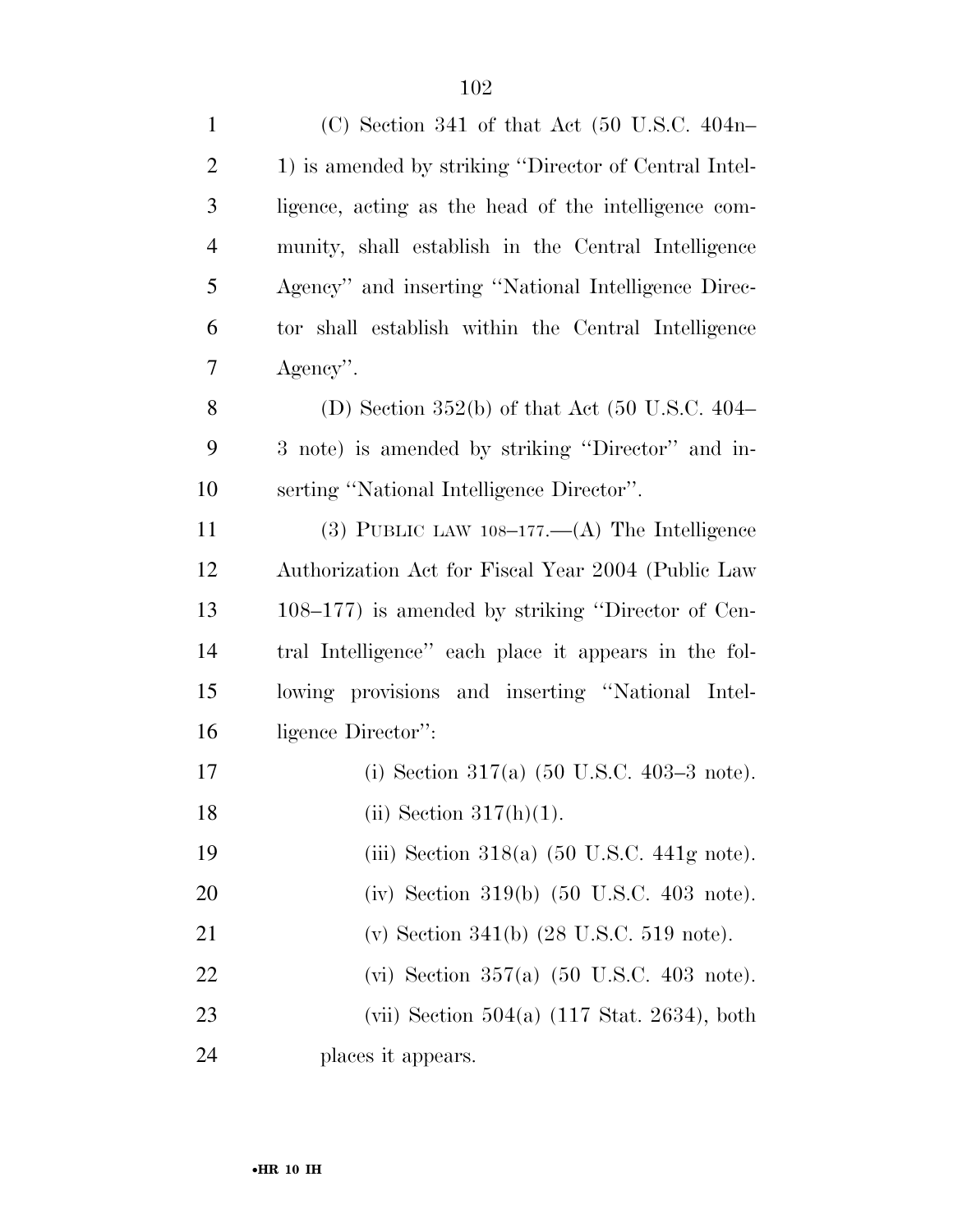| $\mathbf{1}$   | (C) Section 341 of that Act (50 U.S.C. 404n-                   |
|----------------|----------------------------------------------------------------|
| $\overline{2}$ | 1) is amended by striking "Director of Central Intel-          |
| 3              | ligence, acting as the head of the intelligence com-           |
| $\overline{4}$ | munity, shall establish in the Central Intelligence            |
| 5              | Agency" and inserting "National Intelligence Direc-            |
| 6              | tor shall establish within the Central Intelligence            |
| 7              | Agency".                                                       |
| 8              | (D) Section 352(b) of that Act $(50 \text{ U.S.C. } 404-$      |
| 9              | 3 note) is amended by striking "Director" and in-              |
| 10             | serting "National Intelligence Director".                      |
| 11             | (3) PUBLIC LAW $108-177-$ (A) The Intelligence                 |
| 12             | Authorization Act for Fiscal Year 2004 (Public Law             |
| 13             | 108–177) is amended by striking "Director of Cen-              |
| 14             | tral Intelligence" each place it appears in the fol-           |
| 15             | lowing provisions and inserting "National Intel-               |
| 16             | ligence Director":                                             |
| 17             | (i) Section 317(a) $(50 \text{ U.S.C. } 403-3 \text{ note}).$  |
| 18             | (ii) Section $317(h)(1)$ .                                     |
| 19             | (iii) Section 318(a) $(50 \text{ U.S.C. } 441 \text{g note}).$ |
| 20             | (iv) Section 319(b) $(50 \text{ U.S.C. } 403 \text{ note}).$   |
| 21             | (v) Section 341(b) $(28 \text{ U.S.C. } 519 \text{ note}).$    |
| 22             | (vi) Section 357(a) $(50 \text{ U.S.C. } 403 \text{ note}).$   |
| 23             | (vii) Section $504(a)$ (117 Stat. 2634), both                  |
| 24             | places it appears.                                             |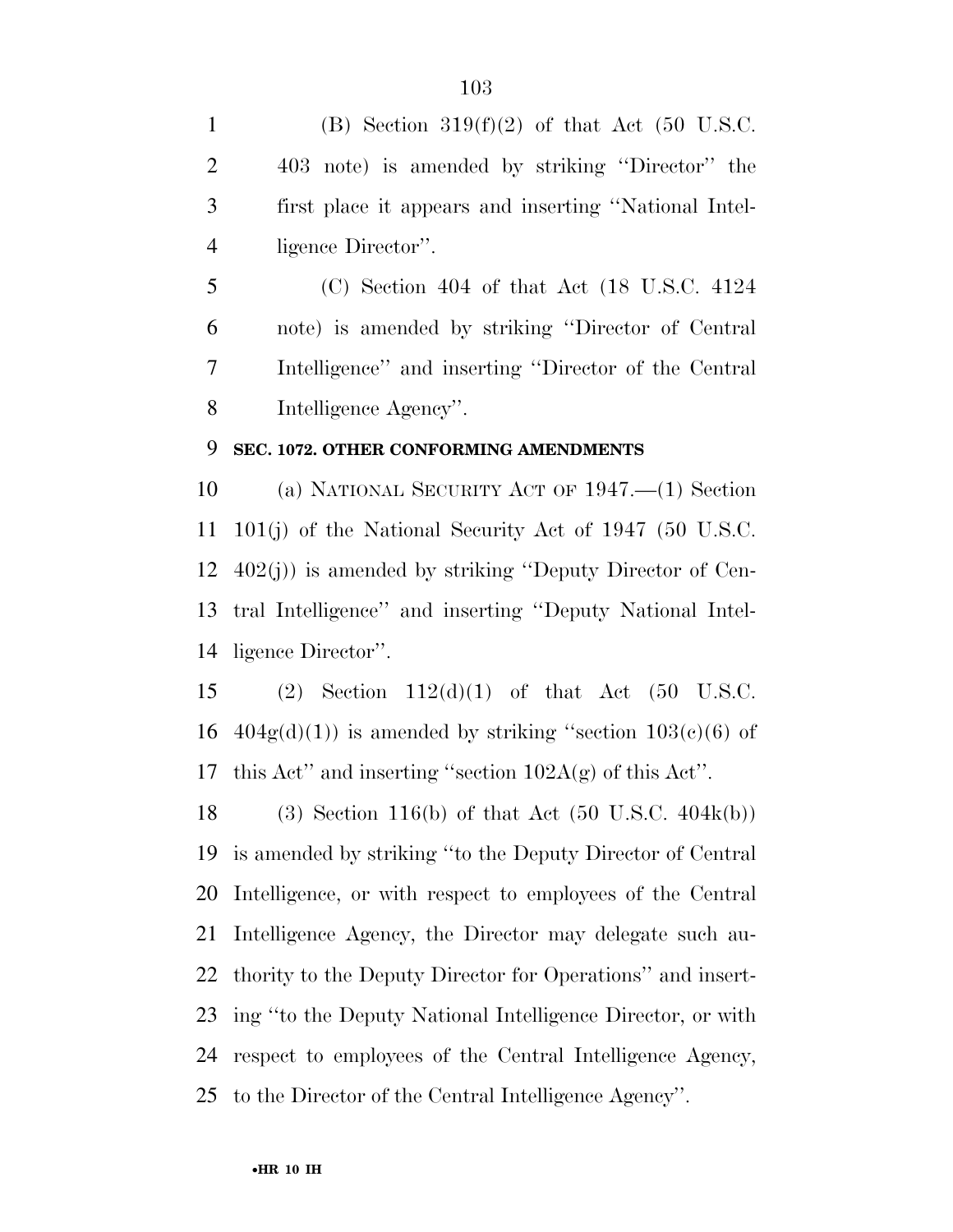1 (B) Section  $319(f)(2)$  of that Act (50 U.S.C. 403 note) is amended by striking ''Director'' the first place it appears and inserting ''National Intel-ligence Director''.

 (C) Section 404 of that Act (18 U.S.C. 4124 note) is amended by striking ''Director of Central Intelligence'' and inserting ''Director of the Central Intelligence Agency''.

#### **SEC. 1072. OTHER CONFORMING AMENDMENTS**

 (a) NATIONAL SECURITY ACT OF 1947.—(1) Section 101(j) of the National Security Act of 1947 (50 U.S.C. 402(j)) is amended by striking ''Deputy Director of Cen- tral Intelligence'' and inserting ''Deputy National Intel-ligence Director''.

 (2) Section 112(d)(1) of that Act (50 U.S.C. 16  $404g(d)(1)$  is amended by striking "section  $103(e)(6)$  of this Act'' and inserting ''section 102A(g) of this Act''.

 (3) Section 116(b) of that Act (50 U.S.C. 404k(b)) is amended by striking ''to the Deputy Director of Central Intelligence, or with respect to employees of the Central Intelligence Agency, the Director may delegate such au- thority to the Deputy Director for Operations'' and insert- ing ''to the Deputy National Intelligence Director, or with respect to employees of the Central Intelligence Agency, to the Director of the Central Intelligence Agency''.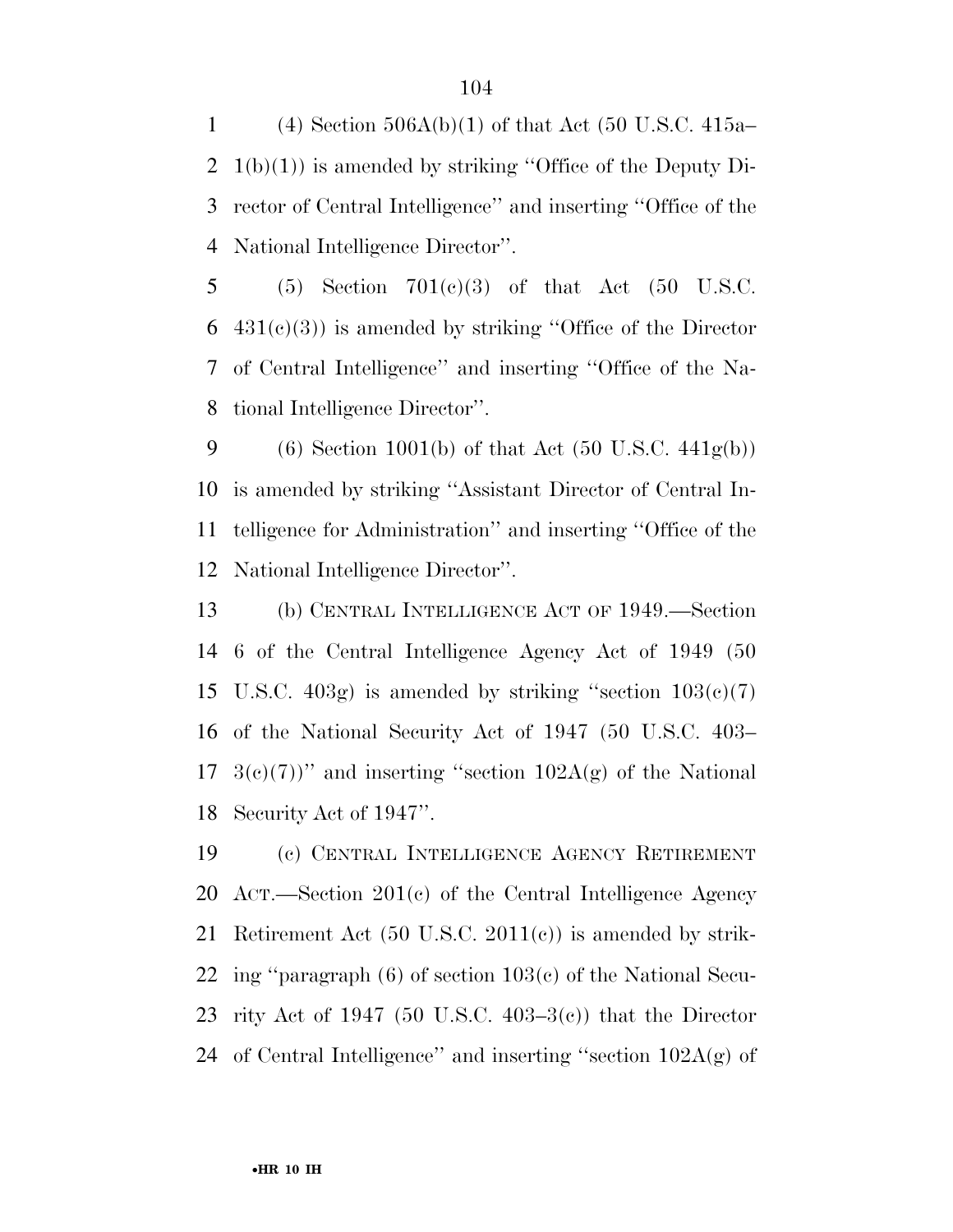1 (4) Section  $506A(b)(1)$  of that Act (50 U.S.C. 415a– 1(b)(1)) is amended by striking ''Office of the Deputy Di- rector of Central Intelligence'' and inserting ''Office of the National Intelligence Director''.

5 (5) Section  $701(c)(3)$  of that Act (50 U.S.C.  $6\quad 431(c)(3)$  is amended by striking "Office of the Director" of Central Intelligence'' and inserting ''Office of the Na-tional Intelligence Director''.

9 (6) Section 1001(b) of that Act  $(50 \text{ U.S.C. } 441\text{g(b)})$  is amended by striking ''Assistant Director of Central In- telligence for Administration'' and inserting ''Office of the National Intelligence Director''.

 (b) CENTRAL INTELLIGENCE ACT OF 1949.—Section 6 of the Central Intelligence Agency Act of 1949 (50 15 U.S.C. 403g) is amended by striking "section  $103(c)(7)$  of the National Security Act of 1947 (50 U.S.C. 403–  $3(e)(7)$ " and inserting "section  $102A(g)$  of the National Security Act of 1947''.

 (c) CENTRAL INTELLIGENCE AGENCY RETIREMENT ACT.—Section 201(c) of the Central Intelligence Agency Retirement Act (50 U.S.C. 2011(c)) is amended by strik- ing ''paragraph (6) of section 103(c) of the National Secu-23 rity Act of 1947 (50 U.S.C. 403–3 $(e)$ ) that the Director 24 of Central Intelligence" and inserting "section  $102A(g)$  of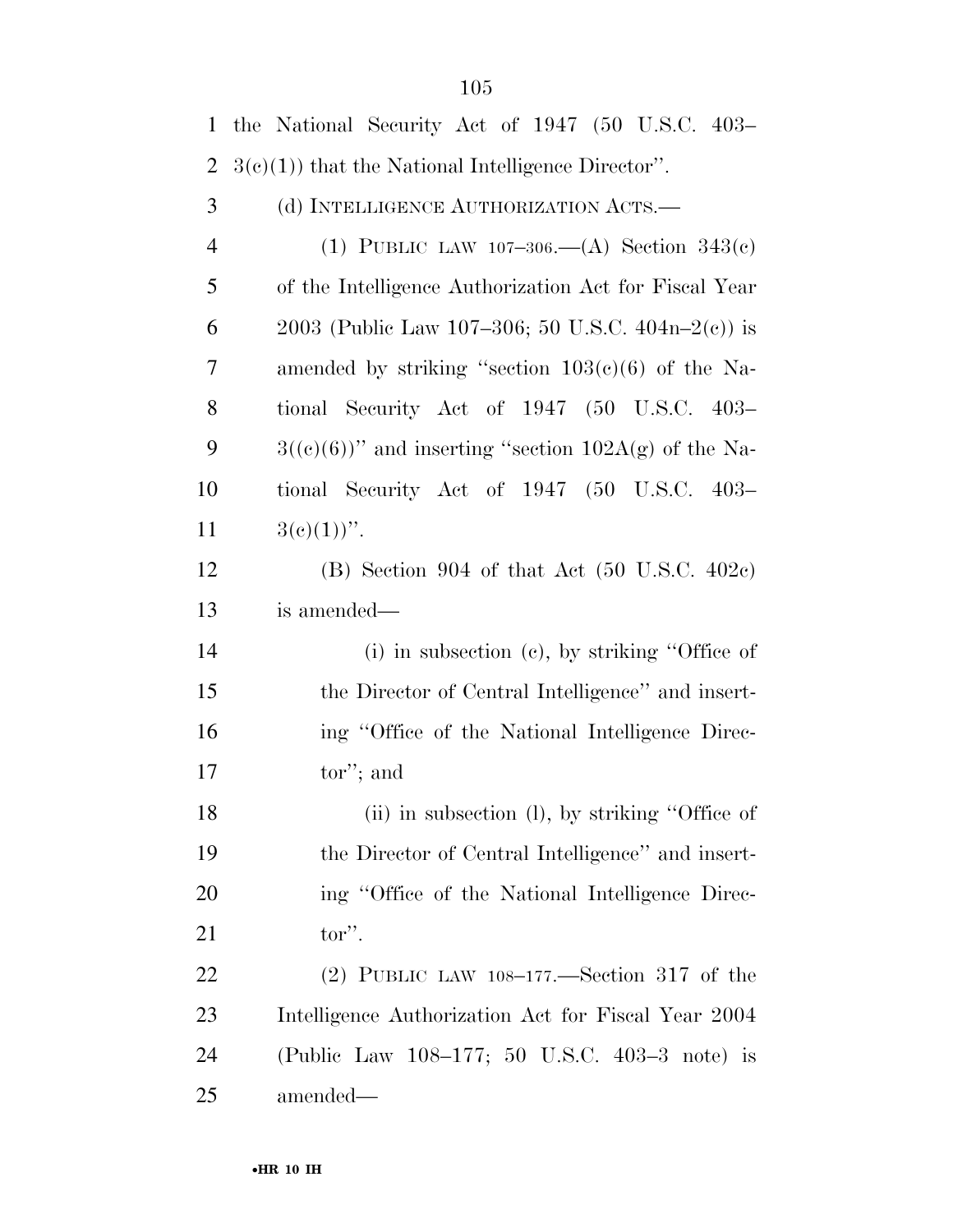| $\mathbf{1}$   | the National Security Act of 1947 (50 U.S.C. 403-         |
|----------------|-----------------------------------------------------------|
| $\overline{2}$ | $3(c)(1)$ that the National Intelligence Director".       |
| 3              | (d) INTELLIGENCE AUTHORIZATION ACTS.—                     |
| $\overline{4}$ | (1) PUBLIC LAW 107-306.—(A) Section $343(c)$              |
| 5              | of the Intelligence Authorization Act for Fiscal Year     |
| 6              | 2003 (Public Law 107-306; 50 U.S.C. 404n-2(c)) is         |
| 7              | amended by striking "section $103(c)(6)$ of the Na-       |
| 8              | tional Security Act of 1947 (50 U.S.C. 403–               |
| 9              | $3((e)(6))$ " and inserting "section 102A(g) of the Na-   |
| 10             | tional Security Act of 1947 (50 U.S.C. 403–               |
| 11             | $3(e)(1))$ ".                                             |
| 12             | $(B)$ Section 904 of that Act $(50 \text{ U.S.C. } 402c)$ |
| 13             | is amended—                                               |
| 14             | $(i)$ in subsection $(e)$ , by striking "Office of        |
| 15             | the Director of Central Intelligence" and insert-         |
| 16             | ing "Office of the National Intelligence Direc-           |
| 17             | tor''; and                                                |
| 18             | (ii) in subsection (l), by striking "Office of            |
| 19             | the Director of Central Intelligence" and insert-         |
| 20             | ing "Office of the National Intelligence Direc-           |
| 21             | tor".                                                     |
| <u>22</u>      | $(2)$ PUBLIC LAW 108-177.—Section 317 of the              |
| 23             | Intelligence Authorization Act for Fiscal Year 2004       |
| 24             | (Public Law 108-177; 50 U.S.C. 403-3 note) is             |
| 25             | amended—                                                  |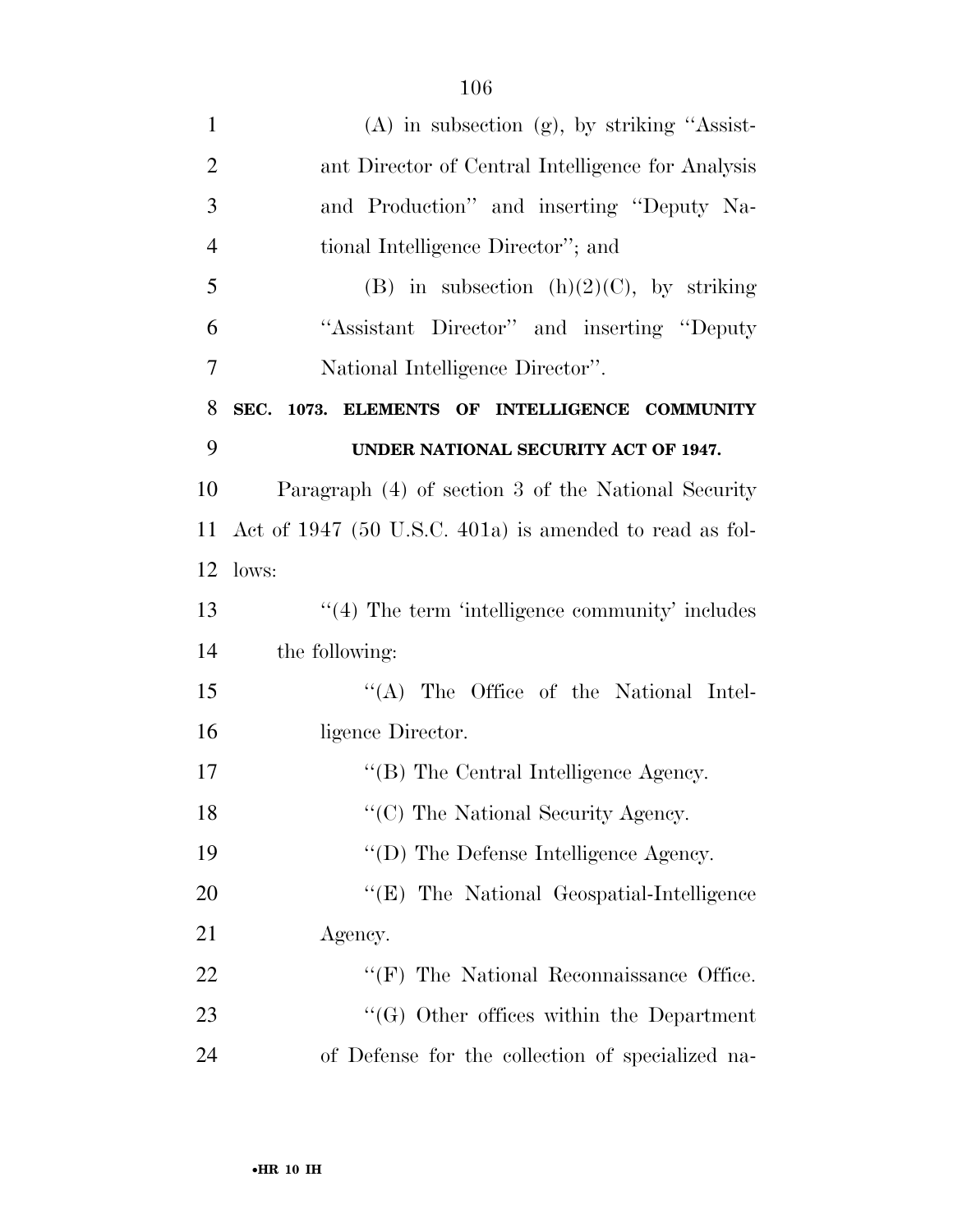| $(A)$ in subsection $(g)$ , by striking "Assist-        |
|---------------------------------------------------------|
|                                                         |
| ant Director of Central Intelligence for Analysis       |
| and Production" and inserting "Deputy Na-               |
| tional Intelligence Director"; and                      |
| (B) in subsection $(h)(2)(C)$ , by striking             |
| "Assistant Director" and inserting "Deputy              |
| National Intelligence Director".                        |
| SEC. 1073. ELEMENTS OF INTELLIGENCE COMMUNITY           |
| UNDER NATIONAL SECURITY ACT OF 1947.                    |
| Paragraph (4) of section 3 of the National Security     |
| Act of 1947 (50 U.S.C. 401a) is amended to read as fol- |
| lows:                                                   |
| $\cdot$ (4) The term 'intelligence community' includes  |
| the following:                                          |
| "(A) The Office of the National Intel-                  |
| ligence Director.                                       |
| "(B) The Central Intelligence Agency.                   |
| "(C) The National Security Agency.                      |
| "(D) The Defense Intelligence Agency.                   |
| "(E) The National Geospatial-Intelligence               |
| Agency.                                                 |
| $``$ (F) The National Reconnaissance Office.            |
| $\lq\lq (G)$ Other offices within the Department        |
| of Defense for the collection of specialized na-        |
|                                                         |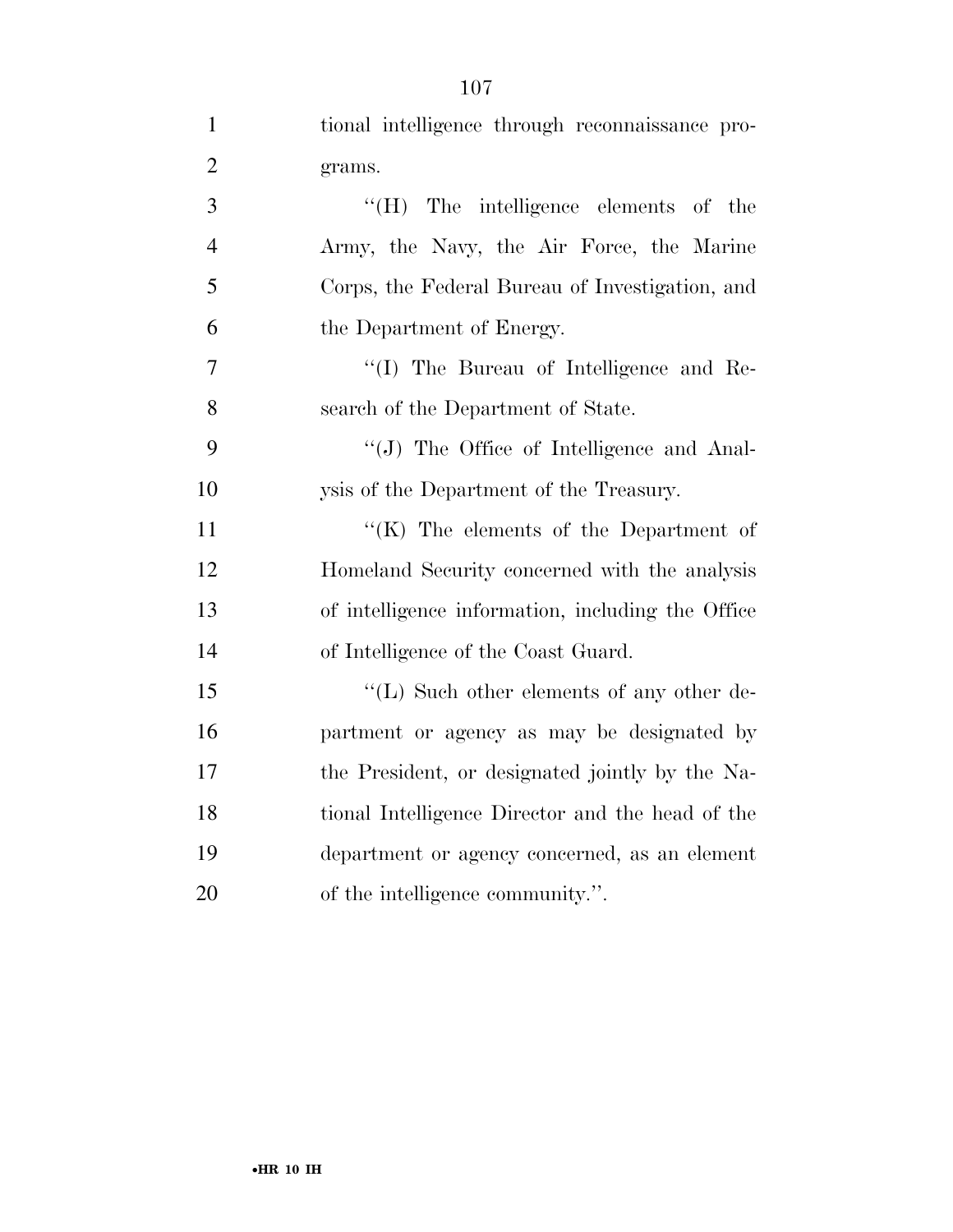| $\mathbf{1}$   | tional intelligence through reconnaissance pro-   |
|----------------|---------------------------------------------------|
| $\overline{2}$ | grams.                                            |
| 3              | "(H) The intelligence elements of the             |
| $\overline{4}$ | Army, the Navy, the Air Force, the Marine         |
| 5              | Corps, the Federal Bureau of Investigation, and   |
| 6              | the Department of Energy.                         |
| $\tau$         | "(I) The Bureau of Intelligence and Re-           |
| 8              | search of the Department of State.                |
| 9              | "(J) The Office of Intelligence and Anal-         |
| 10             | ysis of the Department of the Treasury.           |
| 11             | " $(K)$ The elements of the Department of         |
| 12             | Homeland Security concerned with the analysis     |
| 13             | of intelligence information, including the Office |
| 14             | of Intelligence of the Coast Guard.               |
| 15             | $\lq\lq$ . Such other elements of any other de-   |
| 16             | partment or agency as may be designated by        |
| 17             | the President, or designated jointly by the Na-   |
| 18             | tional Intelligence Director and the head of the  |
| 19             | department or agency concerned, as an element     |
| 20             | of the intelligence community.".                  |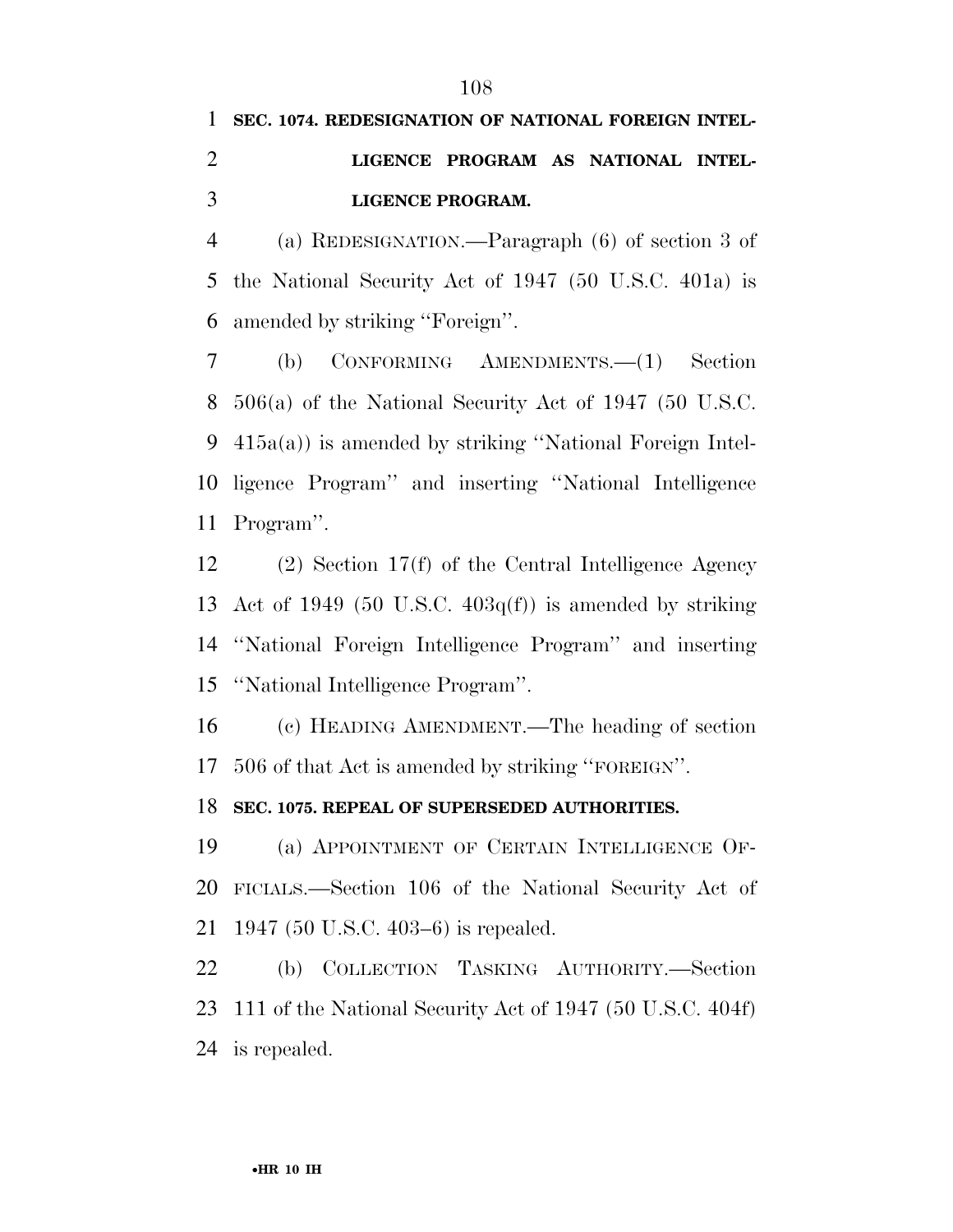## **SEC. 1074. REDESIGNATION OF NATIONAL FOREIGN INTEL- LIGENCE PROGRAM AS NATIONAL INTEL-LIGENCE PROGRAM.**

 (a) REDESIGNATION.—Paragraph (6) of section 3 of the National Security Act of 1947 (50 U.S.C. 401a) is amended by striking ''Foreign''.

 (b) CONFORMING AMENDMENTS.—(1) Section 506(a) of the National Security Act of 1947 (50 U.S.C. 415a(a)) is amended by striking ''National Foreign Intel- ligence Program'' and inserting ''National Intelligence Program''.

 (2) Section 17(f) of the Central Intelligence Agency 13 Act of 1949 (50 U.S.C.  $403q(f)$ ) is amended by striking ''National Foreign Intelligence Program'' and inserting ''National Intelligence Program''.

 (c) HEADING AMENDMENT.—The heading of section 506 of that Act is amended by striking ''FOREIGN''.

**SEC. 1075. REPEAL OF SUPERSEDED AUTHORITIES.** 

 (a) APPOINTMENT OF CERTAIN INTELLIGENCE OF- FICIALS.—Section 106 of the National Security Act of 1947 (50 U.S.C. 403–6) is repealed.

 (b) COLLECTION TASKING AUTHORITY.—Section 111 of the National Security Act of 1947 (50 U.S.C. 404f) is repealed.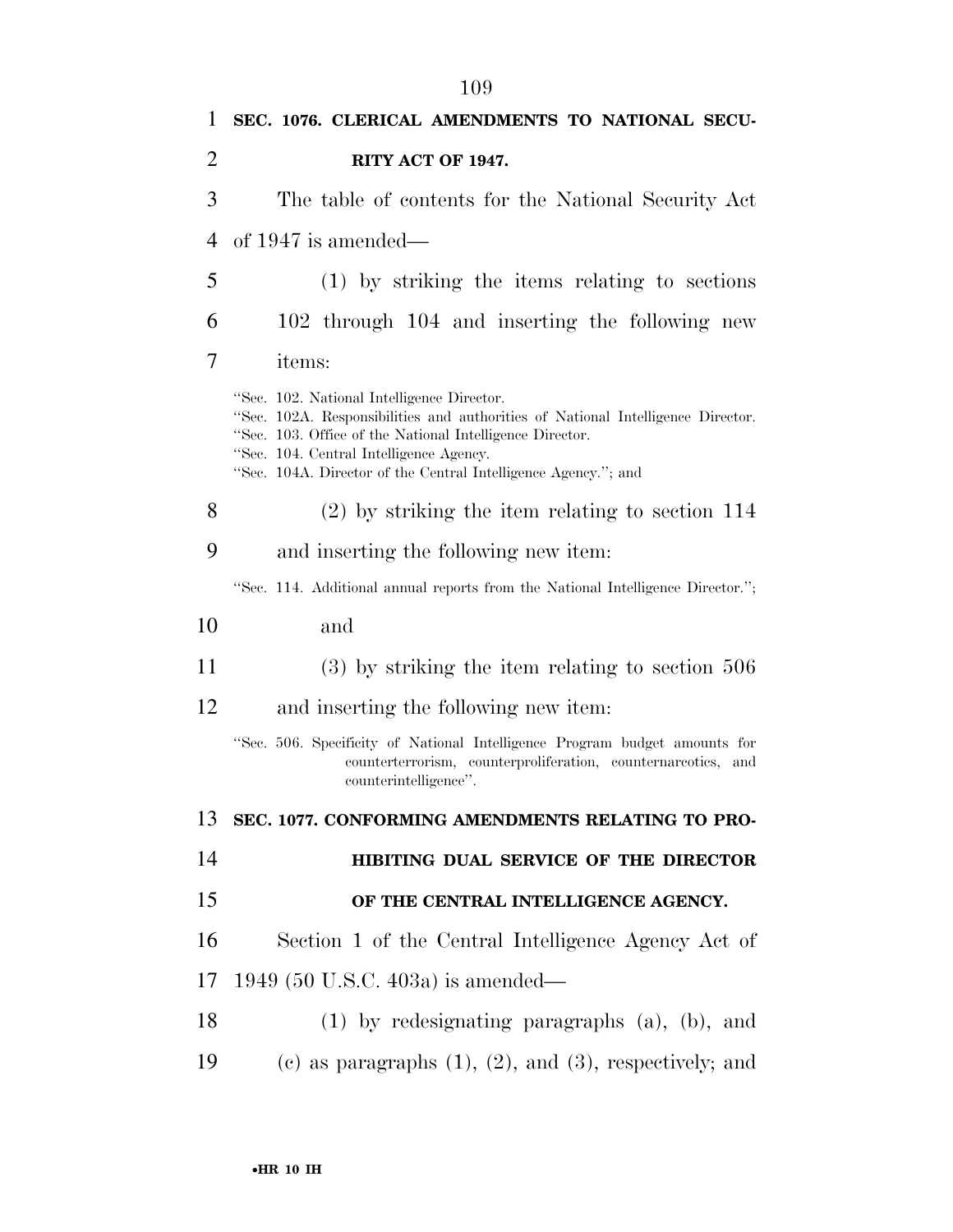| 1              | SEC. 1076. CLERICAL AMENDMENTS TO NATIONAL SECU-                                                                                                                                                                                                                                                       |
|----------------|--------------------------------------------------------------------------------------------------------------------------------------------------------------------------------------------------------------------------------------------------------------------------------------------------------|
| $\overline{2}$ | RITY ACT OF 1947.                                                                                                                                                                                                                                                                                      |
| 3              | The table of contents for the National Security Act                                                                                                                                                                                                                                                    |
| 4              | of $1947$ is amended—                                                                                                                                                                                                                                                                                  |
| 5              | $(1)$ by striking the items relating to sections                                                                                                                                                                                                                                                       |
| 6              | 102 through 104 and inserting the following new                                                                                                                                                                                                                                                        |
| 7              | items:                                                                                                                                                                                                                                                                                                 |
|                | "Sec. 102. National Intelligence Director.<br>"Sec. 102A. Responsibilities and authorities of National Intelligence Director.<br>"Sec. 103. Office of the National Intelligence Director.<br>"Sec. 104. Central Intelligence Agency.<br>"Sec. 104A. Director of the Central Intelligence Agency."; and |
| 8              | $(2)$ by striking the item relating to section 114                                                                                                                                                                                                                                                     |
| 9              | and inserting the following new item:                                                                                                                                                                                                                                                                  |
|                | "Sec. 114. Additional annual reports from the National Intelligence Director.";                                                                                                                                                                                                                        |
| 10             | and                                                                                                                                                                                                                                                                                                    |
| 11             | $(3)$ by striking the item relating to section 506                                                                                                                                                                                                                                                     |
| 12             | and inserting the following new item:                                                                                                                                                                                                                                                                  |
|                | "Sec. 506. Specificity of National Intelligence Program budget amounts for<br>counterterrorism, counterproliferation, counternarcotics, and<br>counterintelligence".                                                                                                                                   |
| 13             | SEC. 1077. CONFORMING AMENDMENTS RELATING TO PRO-                                                                                                                                                                                                                                                      |
| 14             | HIBITING DUAL SERVICE OF THE DIRECTOR                                                                                                                                                                                                                                                                  |
| 15             | OF THE CENTRAL INTELLIGENCE AGENCY.                                                                                                                                                                                                                                                                    |
| 16             | Section 1 of the Central Intelligence Agency Act of                                                                                                                                                                                                                                                    |
| 17             | 1949 (50 U.S.C. 403a) is amended—                                                                                                                                                                                                                                                                      |
| 18             | $(1)$ by redesignating paragraphs $(a)$ , $(b)$ , and                                                                                                                                                                                                                                                  |
| 19             | (c) as paragraphs $(1)$ , $(2)$ , and $(3)$ , respectively; and                                                                                                                                                                                                                                        |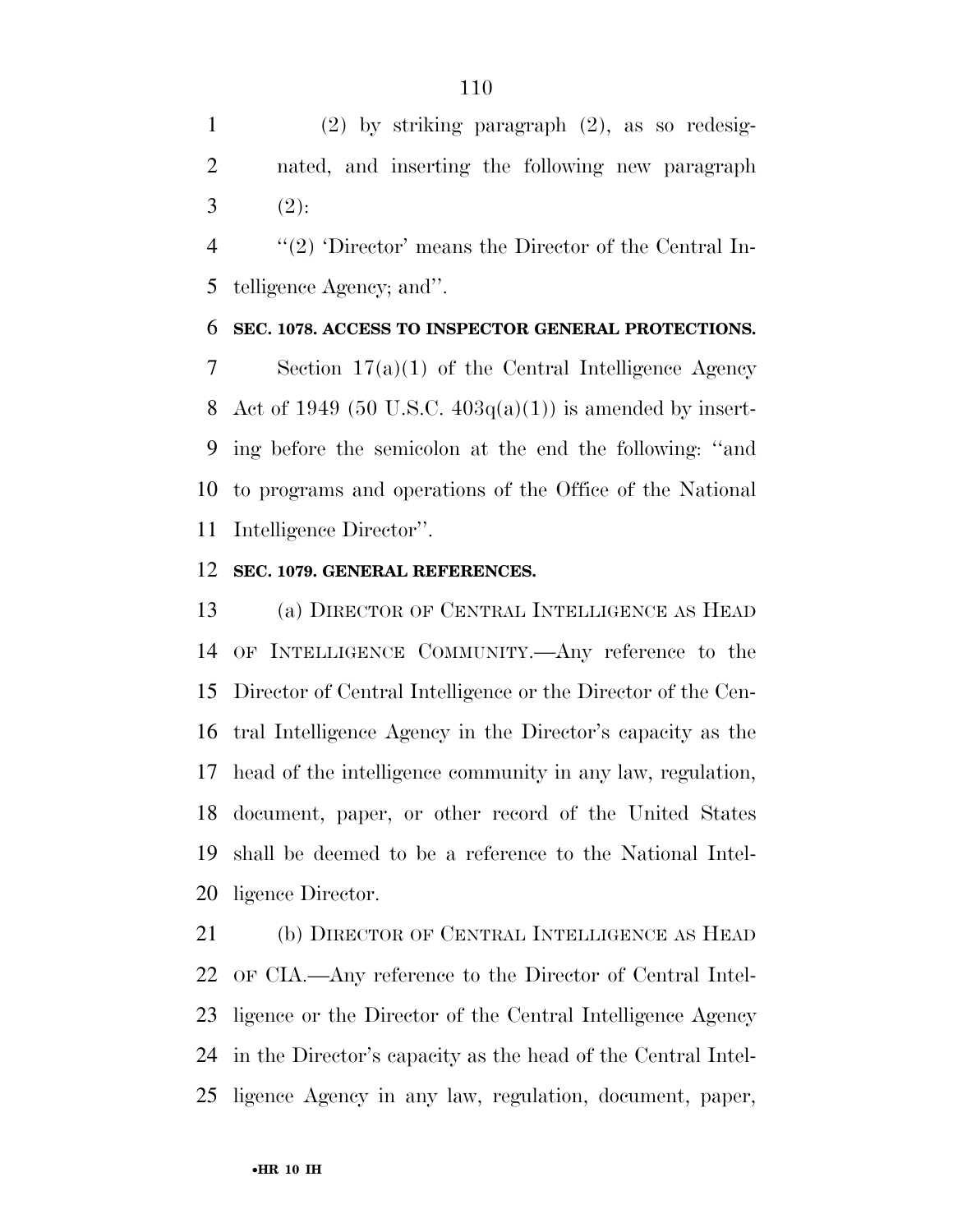(2) by striking paragraph (2), as so redesig- nated, and inserting the following new paragraph 3  $(2)$ :

 ''(2) 'Director' means the Director of the Central In-telligence Agency; and''.

### **SEC. 1078. ACCESS TO INSPECTOR GENERAL PROTECTIONS.**

 Section 17(a)(1) of the Central Intelligence Agency 8 Act of 1949 (50 U.S.C.  $403q(a)(1)$ ) is amended by insert- ing before the semicolon at the end the following: ''and to programs and operations of the Office of the National Intelligence Director''.

### **SEC. 1079. GENERAL REFERENCES.**

 (a) DIRECTOR OF CENTRAL INTELLIGENCE AS HEAD OF INTELLIGENCE COMMUNITY.—Any reference to the Director of Central Intelligence or the Director of the Cen- tral Intelligence Agency in the Director's capacity as the head of the intelligence community in any law, regulation, document, paper, or other record of the United States shall be deemed to be a reference to the National Intel-ligence Director.

 (b) DIRECTOR OF CENTRAL INTELLIGENCE AS HEAD OF CIA.—Any reference to the Director of Central Intel- ligence or the Director of the Central Intelligence Agency in the Director's capacity as the head of the Central Intel-ligence Agency in any law, regulation, document, paper,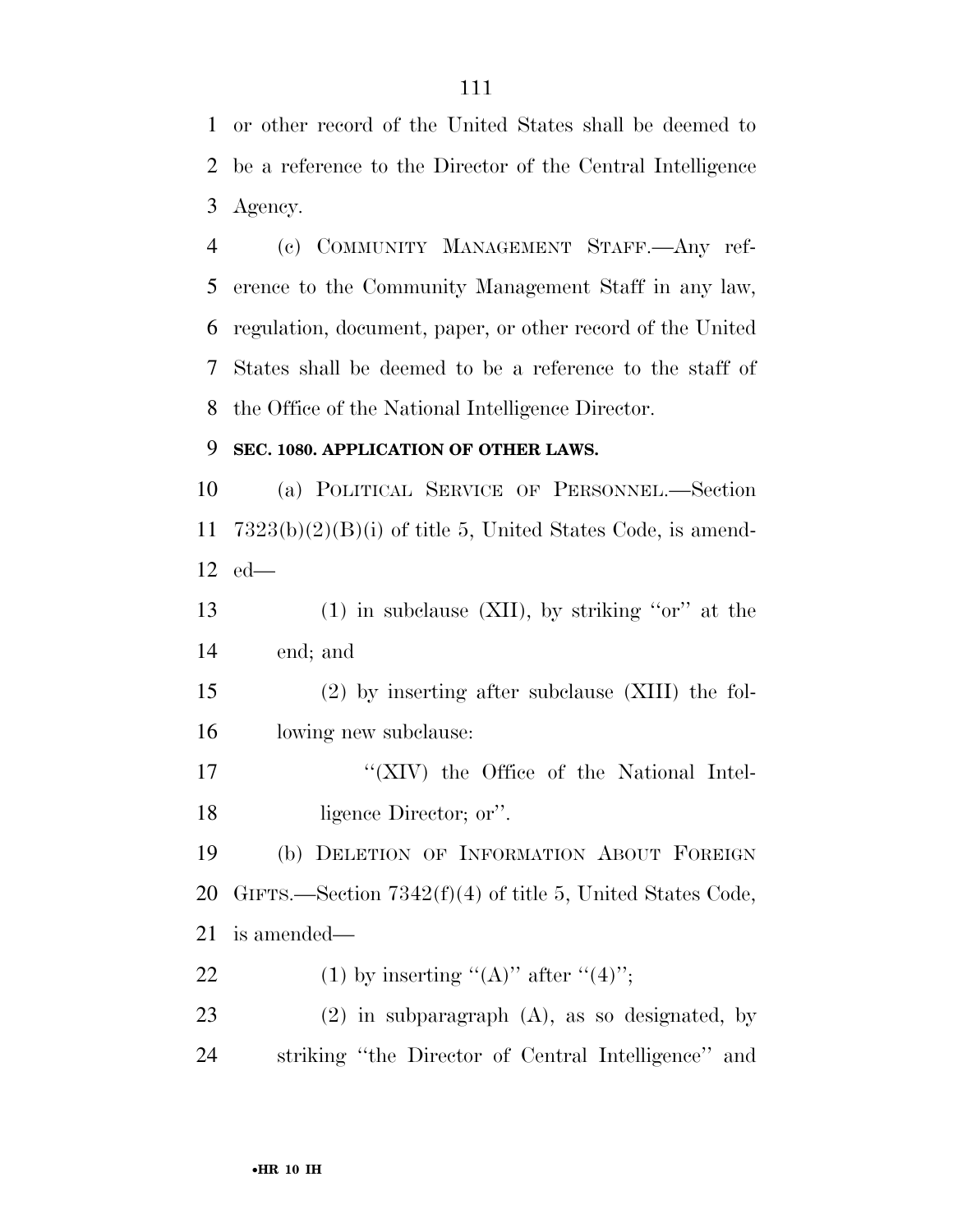or other record of the United States shall be deemed to be a reference to the Director of the Central Intelligence Agency.

 (c) COMMUNITY MANAGEMENT STAFF.—Any ref- erence to the Community Management Staff in any law, regulation, document, paper, or other record of the United States shall be deemed to be a reference to the staff of the Office of the National Intelligence Director.

### **SEC. 1080. APPLICATION OF OTHER LAWS.**

 (a) POLITICAL SERVICE OF PERSONNEL.—Section 7323(b)(2)(B)(i) of title 5, United States Code, is amend-ed—

 (1) in subclause (XII), by striking ''or'' at the end; and

 (2) by inserting after subclause (XIII) the fol-lowing new subclause:

17 "'(XIV) the Office of the National Intel-ligence Director; or''.

 (b) DELETION OF INFORMATION ABOUT FOREIGN GIFTS.—Section 7342(f)(4) of title 5, United States Code, is amended—

22 (1) by inserting " $(A)$ " after " $(4)$ ";

 (2) in subparagraph (A), as so designated, by striking ''the Director of Central Intelligence'' and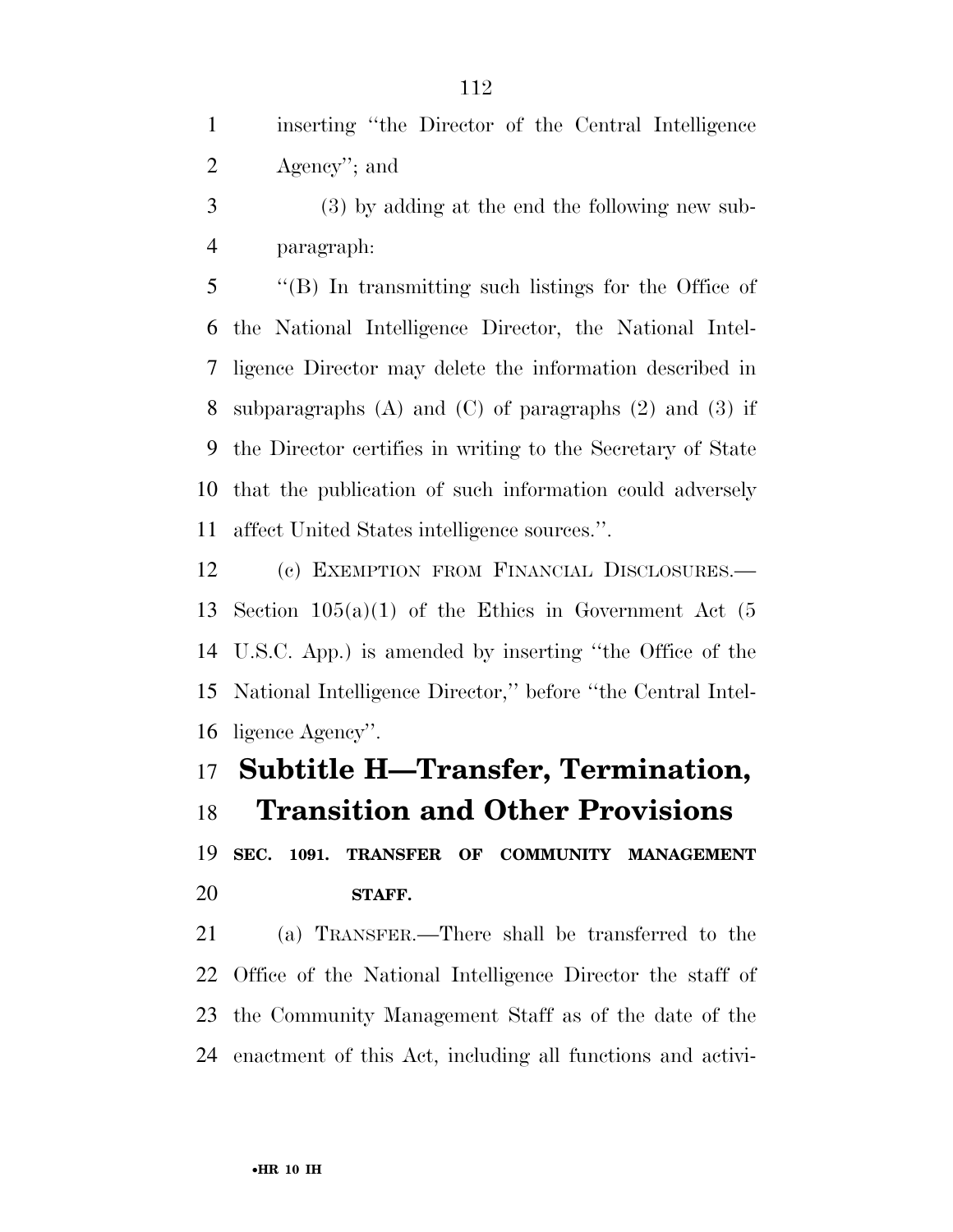inserting ''the Director of the Central Intelligence Agency''; and

 (3) by adding at the end the following new sub-paragraph:

 ''(B) In transmitting such listings for the Office of the National Intelligence Director, the National Intel- ligence Director may delete the information described in subparagraphs (A) and (C) of paragraphs (2) and (3) if the Director certifies in writing to the Secretary of State that the publication of such information could adversely affect United States intelligence sources.''.

 (c) EXEMPTION FROM FINANCIAL DISCLOSURES.— Section 105(a)(1) of the Ethics in Government Act (5 U.S.C. App.) is amended by inserting ''the Office of the National Intelligence Director,'' before ''the Central Intel-ligence Agency''.

# **Subtitle H—Transfer, Termination,**

**Transition and Other Provisions** 

 **SEC. 1091. TRANSFER OF COMMUNITY MANAGEMENT STAFF.** 

 (a) TRANSFER.—There shall be transferred to the Office of the National Intelligence Director the staff of the Community Management Staff as of the date of the enactment of this Act, including all functions and activi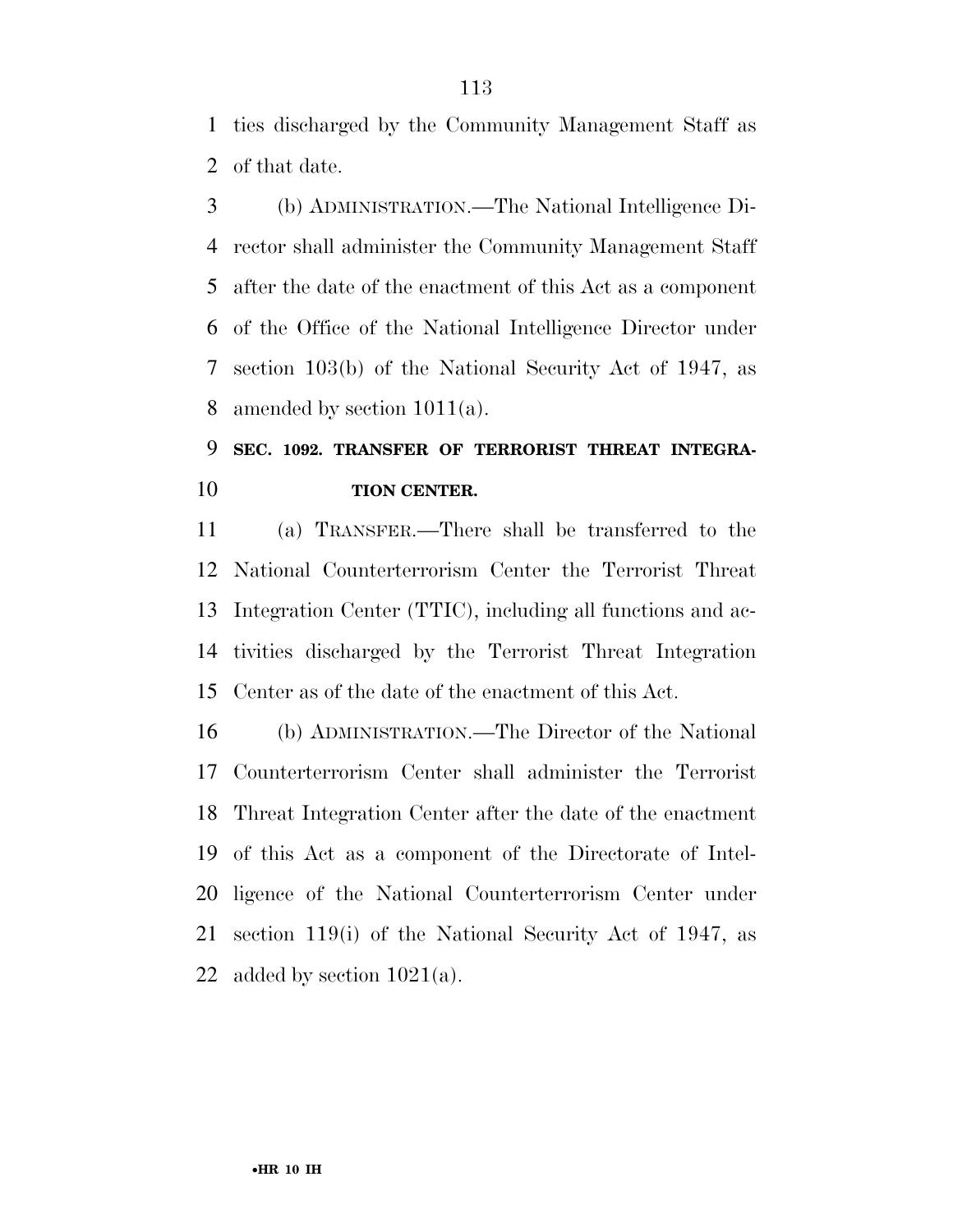ties discharged by the Community Management Staff as of that date.

 (b) ADMINISTRATION.—The National Intelligence Di- rector shall administer the Community Management Staff after the date of the enactment of this Act as a component of the Office of the National Intelligence Director under section 103(b) of the National Security Act of 1947, as amended by section 1011(a).

## **SEC. 1092. TRANSFER OF TERRORIST THREAT INTEGRA-TION CENTER.**

 (a) TRANSFER.—There shall be transferred to the National Counterterrorism Center the Terrorist Threat Integration Center (TTIC), including all functions and ac- tivities discharged by the Terrorist Threat Integration Center as of the date of the enactment of this Act.

 (b) ADMINISTRATION.—The Director of the National Counterterrorism Center shall administer the Terrorist Threat Integration Center after the date of the enactment of this Act as a component of the Directorate of Intel- ligence of the National Counterterrorism Center under section 119(i) of the National Security Act of 1947, as 22 added by section  $1021(a)$ .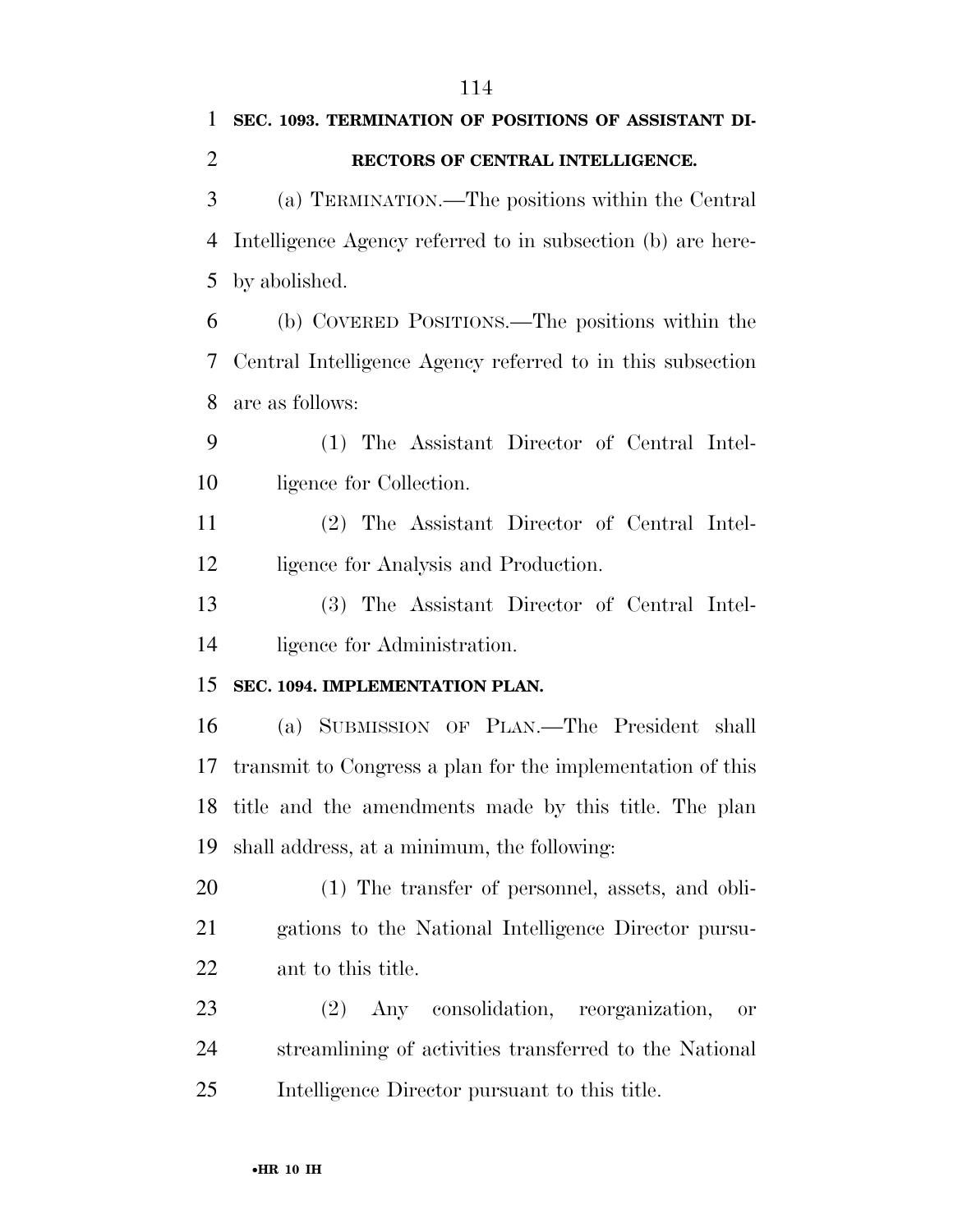| $\mathbf{1}$   | SEC. 1093. TERMINATION OF POSITIONS OF ASSISTANT DI-        |
|----------------|-------------------------------------------------------------|
| $\overline{2}$ | RECTORS OF CENTRAL INTELLIGENCE.                            |
| 3              | (a) TERMINATION.—The positions within the Central           |
| 4              | Intelligence Agency referred to in subsection (b) are here- |
| 5              | by abolished.                                               |
| 6              | (b) COVERED POSITIONS.—The positions within the             |
| 7              | Central Intelligence Agency referred to in this subsection  |
| 8              | are as follows:                                             |
| 9              | (1) The Assistant Director of Central Intel-                |
| 10             | ligence for Collection.                                     |
| 11             | (2) The Assistant Director of Central Intel-                |
| 12             | ligence for Analysis and Production.                        |
| 13             | (3) The Assistant Director of Central Intel-                |
| 14             | ligence for Administration.                                 |
| 15             | SEC. 1094. IMPLEMENTATION PLAN.                             |
| 16             | (a) SUBMISSION OF PLAN.—The President shall                 |
| 17             | transmit to Congress a plan for the implementation of this  |
| 18             | title and the amendments made by this title. The plan       |
| 19             | shall address, at a minimum, the following:                 |
| 20             | (1) The transfer of personnel, assets, and obli-            |
| 21             | gations to the National Intelligence Director pursu-        |
| 22             | ant to this title.                                          |
| 23             | Any consolidation, reorganization,<br>(2)<br><b>or</b>      |
| 24             | streamlining of activities transferred to the National      |
| 25             | Intelligence Director pursuant to this title.               |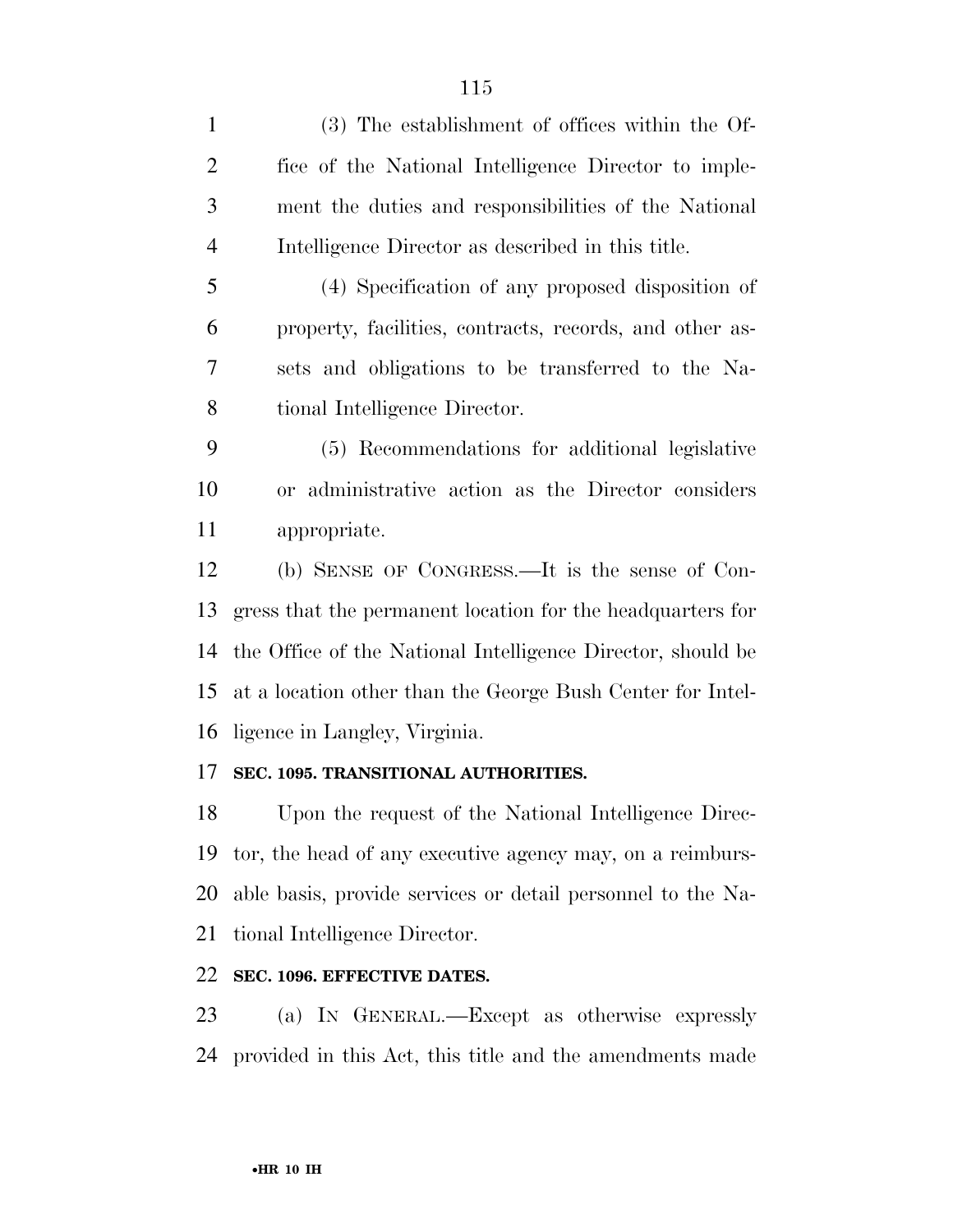| $\mathbf{1}$   | (3) The establishment of offices within the Of-             |
|----------------|-------------------------------------------------------------|
| $\overline{2}$ | fice of the National Intelligence Director to imple-        |
| 3              | ment the duties and responsibilities of the National        |
| $\overline{4}$ | Intelligence Director as described in this title.           |
| 5              | (4) Specification of any proposed disposition of            |
| 6              | property, facilities, contracts, records, and other as-     |
| 7              | sets and obligations to be transferred to the Na-           |
| 8              | tional Intelligence Director.                               |
| 9              | (5) Recommendations for additional legislative              |
| 10             | or administrative action as the Director considers          |
| 11             | appropriate.                                                |
| 12             | (b) SENSE OF CONGRESS.—It is the sense of Con-              |
| 13             | gress that the permanent location for the headquarters for  |
| 14             | the Office of the National Intelligence Director, should be |
| 15             | at a location other than the George Bush Center for Intel-  |
| 16             | ligence in Langley, Virginia.                               |
| 17             | SEC. 1095. TRANSITIONAL AUTHORITIES.                        |
| 18             | Upon the request of the National Intelligence Direc-        |
| 19             | tor, the head of any executive agency may, on a reimburs-   |
| 20             | able basis, provide services or detail personnel to the Na- |
| 21             | tional Intelligence Director.                               |
| 22             | SEC. 1096. EFFECTIVE DATES.                                 |

 (a) IN GENERAL.—Except as otherwise expressly provided in this Act, this title and the amendments made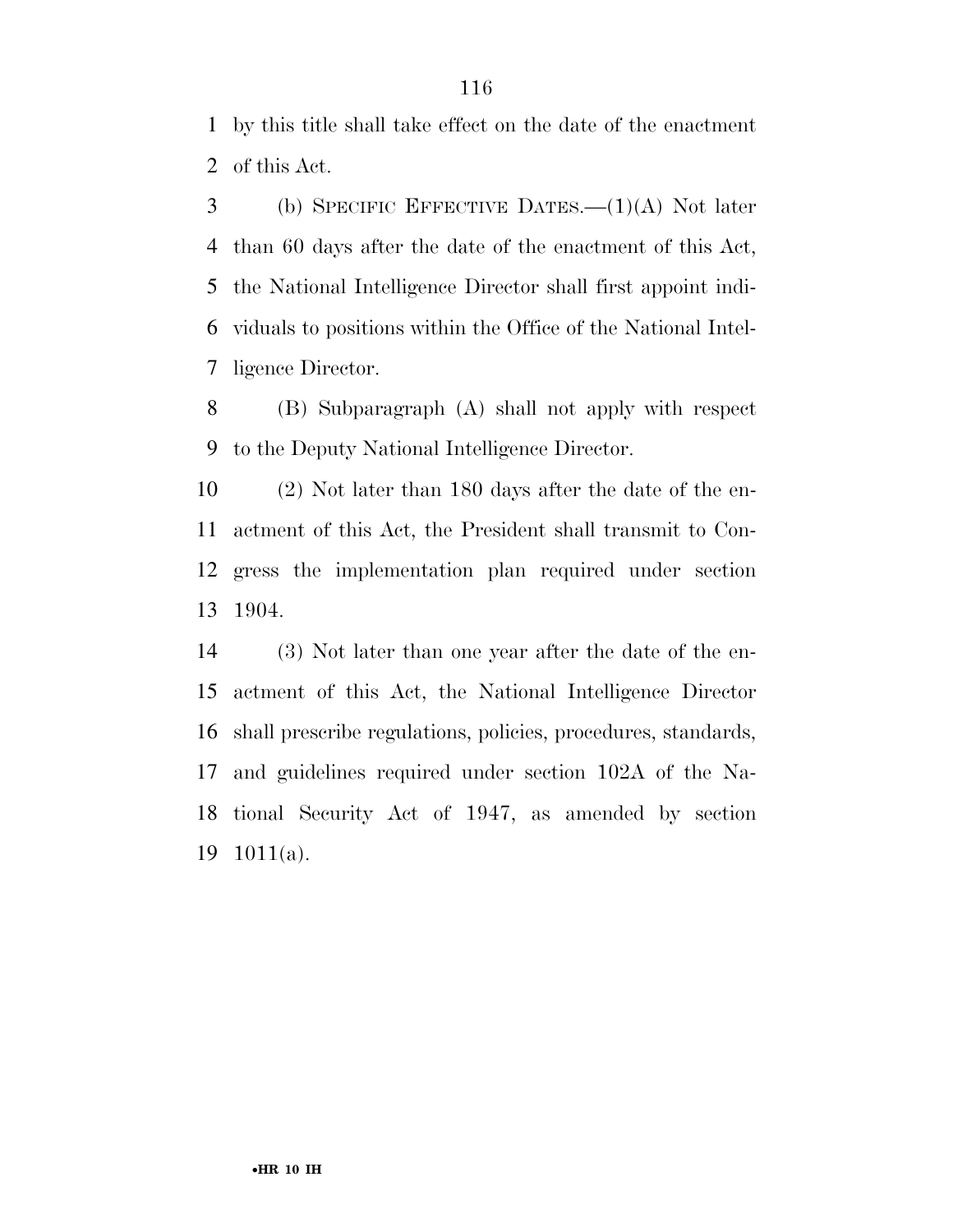by this title shall take effect on the date of the enactment of this Act.

 (b) SPECIFIC EFFECTIVE DATES.—(1)(A) Not later than 60 days after the date of the enactment of this Act, the National Intelligence Director shall first appoint indi- viduals to positions within the Office of the National Intel-ligence Director.

 (B) Subparagraph (A) shall not apply with respect to the Deputy National Intelligence Director.

 (2) Not later than 180 days after the date of the en- actment of this Act, the President shall transmit to Con- gress the implementation plan required under section 1904.

 (3) Not later than one year after the date of the en- actment of this Act, the National Intelligence Director shall prescribe regulations, policies, procedures, standards, and guidelines required under section 102A of the Na- tional Security Act of 1947, as amended by section 1011(a).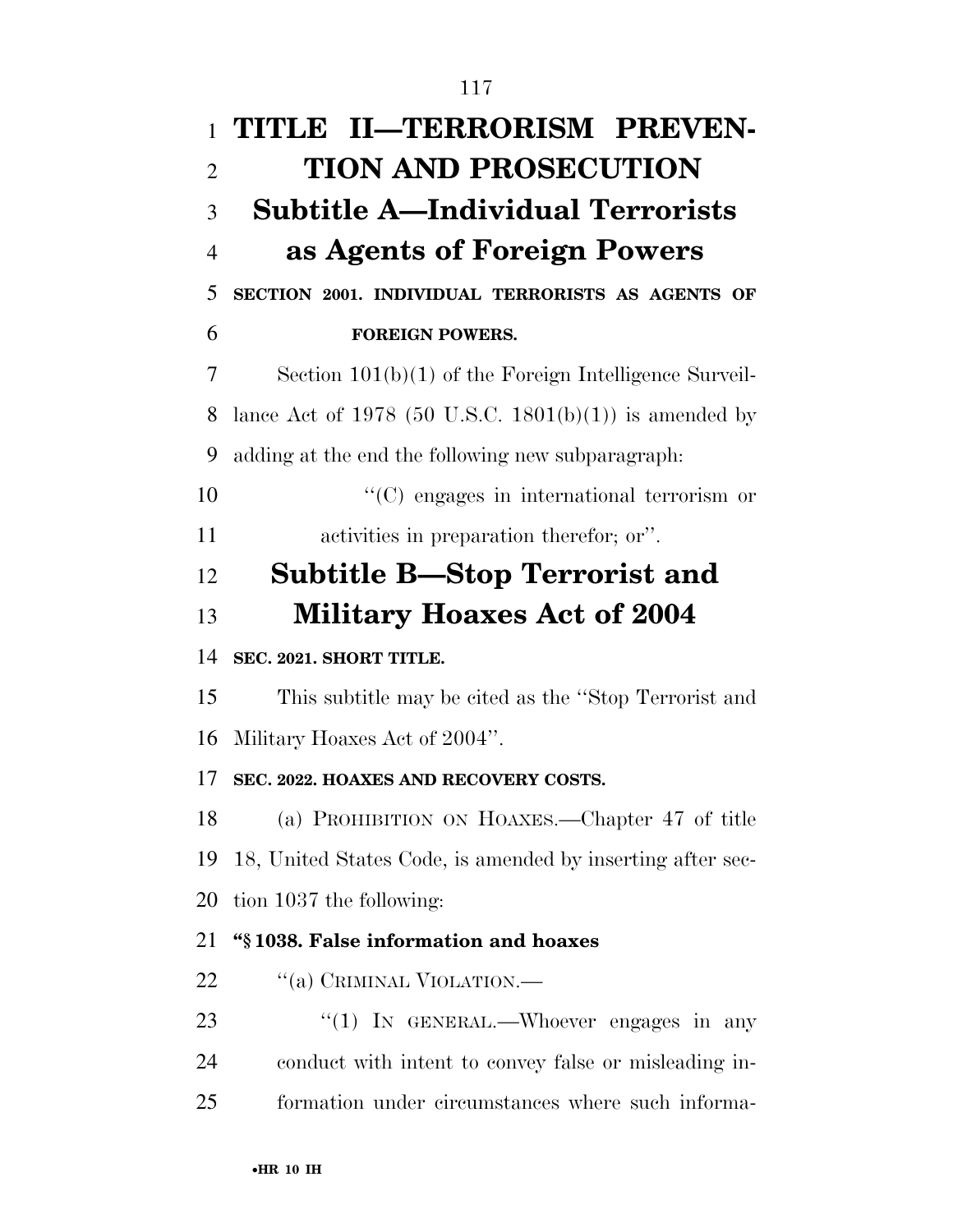| $\mathbf{1}$   | TITLE II—TERRORISM PREVEN-                                 |
|----------------|------------------------------------------------------------|
| $\overline{2}$ | <b>TION AND PROSECUTION</b>                                |
| 3              | <b>Subtitle A—Individual Terrorists</b>                    |
| $\overline{4}$ | as Agents of Foreign Powers                                |
| 5              | SECTION 2001. INDIVIDUAL TERRORISTS AS AGENTS OF           |
| 6              | <b>FOREIGN POWERS.</b>                                     |
| 7              | Section $101(b)(1)$ of the Foreign Intelligence Surveil-   |
| 8              | lance Act of 1978 (50 U.S.C. 1801(b)(1)) is amended by     |
| 9              | adding at the end the following new subparagraph:          |
| 10             | "(C) engages in international terrorism or                 |
| 11             | activities in preparation therefor; or".                   |
| 12             | <b>Subtitle B—Stop Terrorist and</b>                       |
| 13             | <b>Military Hoaxes Act of 2004</b>                         |
| 14             | SEC. 2021. SHORT TITLE.                                    |
| 15             | This subtitle may be cited as the "Stop Terrorist and      |
| 16             | Military Hoaxes Act of 2004".                              |
| 17             | SEC. 2022. HOAXES AND RECOVERY COSTS.                      |
| 18             | (a) PROHIBITION ON HOAXES.—Chapter 47 of title             |
| 19             | 18, United States Code, is amended by inserting after sec- |
| 20             | tion 1037 the following:                                   |
| 21             | "§1038. False information and hoaxes                       |
| 22             | "(a) CRIMINAL VIOLATION.—                                  |
| 23             | "(1) IN GENERAL.—Whoever engages in any                    |
| 24             | conduct with intent to convey false or misleading in-      |
| 25             | formation under circumstances where such informa-          |
|                |                                                            |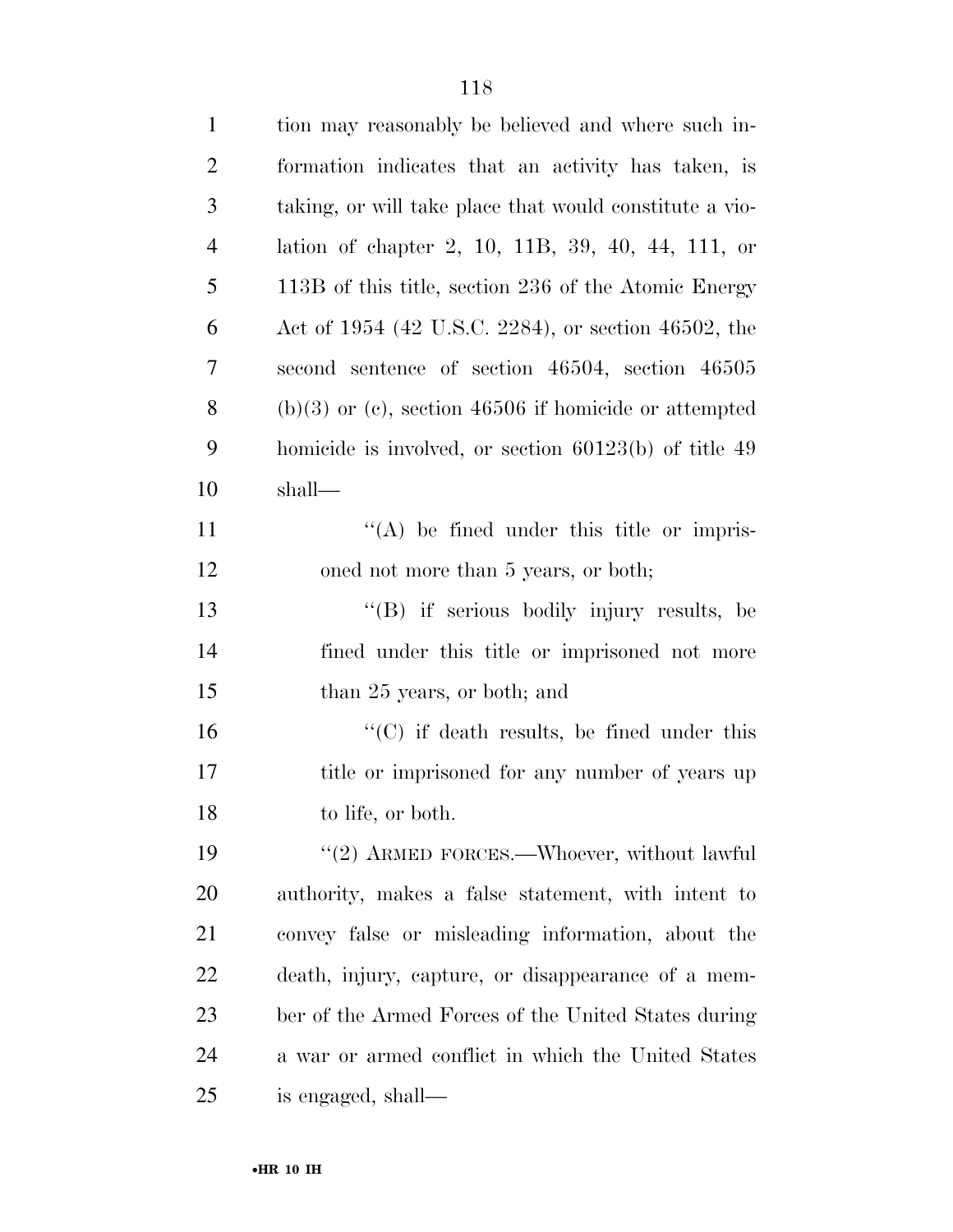| $\mathbf{1}$   | tion may reasonably be believed and where such in-      |
|----------------|---------------------------------------------------------|
| $\overline{2}$ | formation indicates that an activity has taken, is      |
| 3              | taking, or will take place that would constitute a vio- |
| $\overline{4}$ | lation of chapter 2, 10, 11B, 39, 40, 44, 111, or       |
| 5              | 113B of this title, section 236 of the Atomic Energy    |
| 6              | Act of 1954 (42 U.S.C. 2284), or section 46502, the     |
| 7              | second sentence of section 46504, section 46505         |
| 8              | $(b)(3)$ or (c), section 46506 if homicide or attempted |
| 9              | homicide is involved, or section $60123(b)$ of title 49 |
| 10             | shall—                                                  |
| 11             | $\lq\lq$ be fined under this title or impris-           |
| 12             | oned not more than 5 years, or both;                    |
| 13             | "(B) if serious bodily injury results, be               |
| 14             | fined under this title or imprisoned not more           |
| 15             | than 25 years, or both; and                             |
| 16             | $\lq\lq$ (C) if death results, be fined under this      |
| 17             | title or imprisoned for any number of years up          |
| 18             | to life, or both.                                       |
| 19             | $\lq(2)$ ARMED FORCES.—Whoever, without lawful          |
| 20             | authority, makes a false statement, with intent to      |
| 21             | convey false or misleading information, about the       |
| 22             | death, injury, capture, or disappearance of a mem-      |
| 23             | ber of the Armed Forces of the United States during     |
| 24             | a war or armed conflict in which the United States      |
| 25             | is engaged, shall—                                      |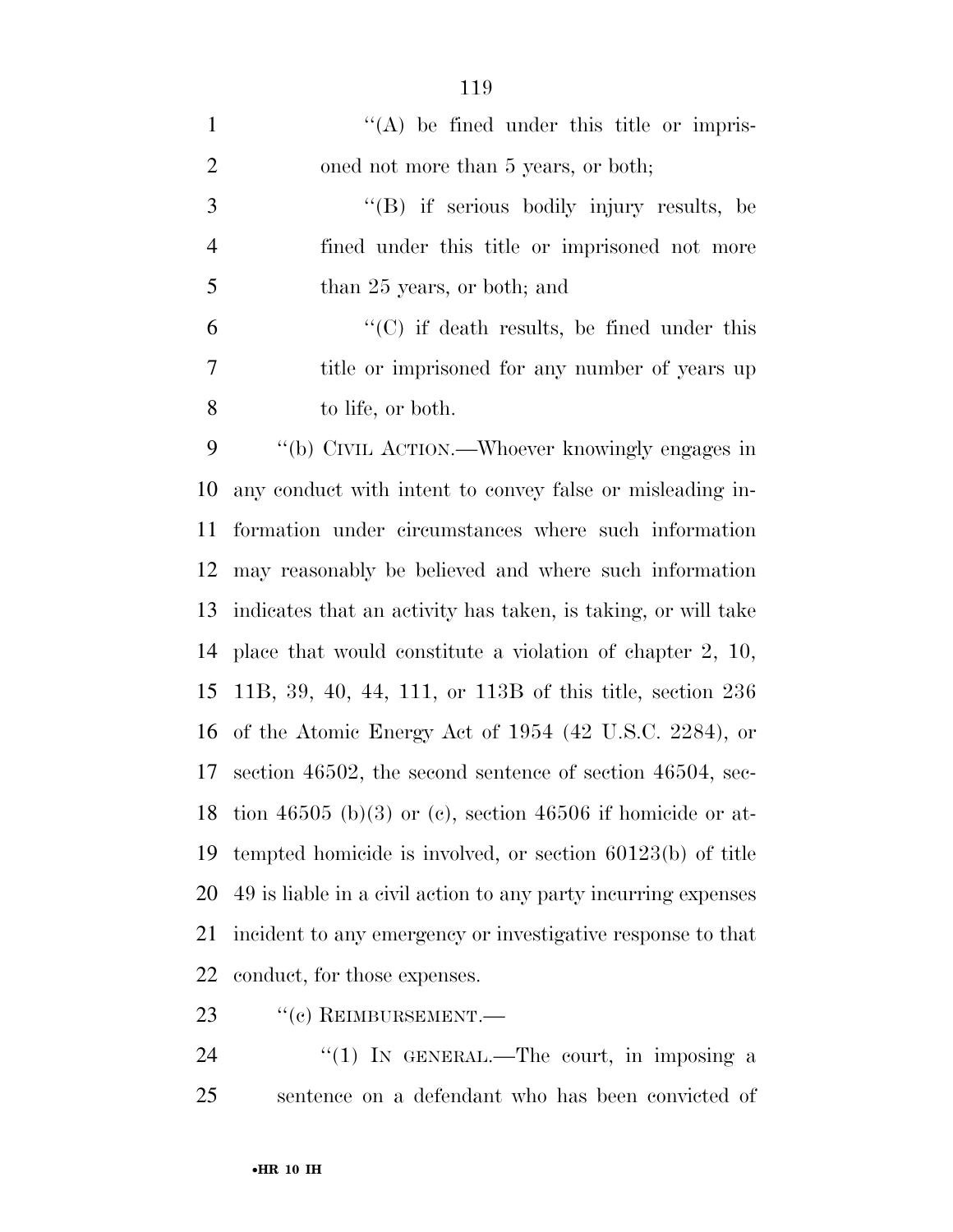| $\mathbf{1}$   | $\lq\lq$ be fined under this title or impris-                  |
|----------------|----------------------------------------------------------------|
| $\overline{2}$ | oned not more than 5 years, or both;                           |
| 3              | "(B) if serious bodily injury results, be                      |
| $\overline{4}$ | fined under this title or imprisoned not more                  |
| 5              | than 25 years, or both; and                                    |
| 6              | $\cdot$ (C) if death results, be fined under this              |
| 7              | title or imprisoned for any number of years up                 |
| 8              | to life, or both.                                              |
| 9              | "(b) CIVIL ACTION.—Whoever knowingly engages in                |
| 10             | any conduct with intent to convey false or misleading in-      |
| 11             | formation under circumstances where such information           |
| 12             | may reasonably be believed and where such information          |
| 13             | indicates that an activity has taken, is taking, or will take  |
| 14             | place that would constitute a violation of chapter $2, 10,$    |
| 15             | 11B, 39, 40, 44, 111, or 113B of this title, section $236$     |
|                | 16 of the Atomic Energy Act of 1954 (42 U.S.C. 2284), or       |
| 17             | section 46502, the second sentence of section 46504, sec-      |
| 18             | tion 46505 (b)(3) or (c), section 46506 if homicide or at-     |
| 19             | tempted homicide is involved, or section $60123(b)$ of title   |
| 20             | 49 is liable in a civil action to any party incurring expenses |
| 21             | incident to any emergency or investigative response to that    |
| 22             | conduct, for those expenses.                                   |
|                |                                                                |

23 "(c) REIMBURSEMENT.

24 ''(1) IN GENERAL.—The court, in imposing a sentence on a defendant who has been convicted of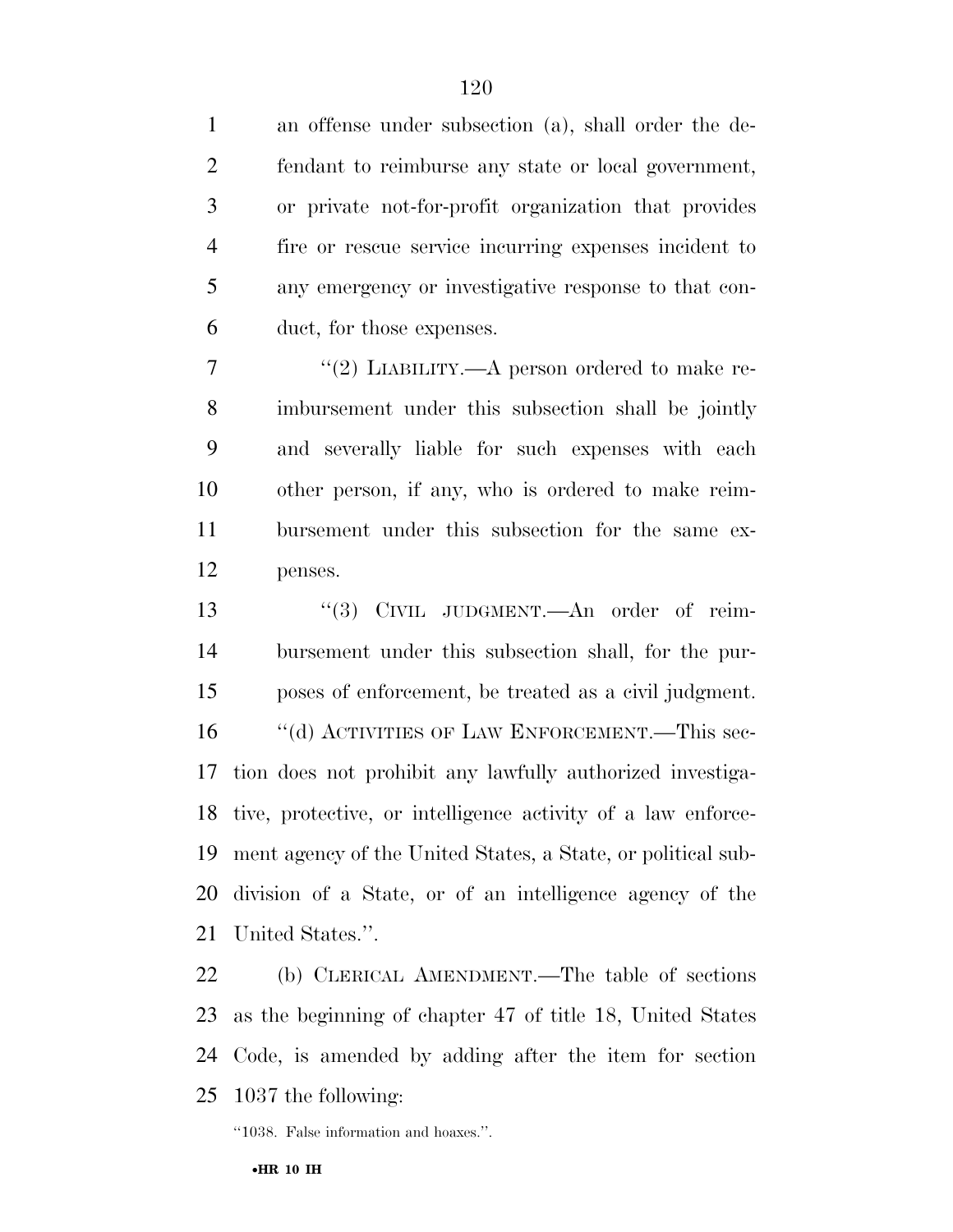an offense under subsection (a), shall order the de- fendant to reimburse any state or local government, or private not-for-profit organization that provides fire or rescue service incurring expenses incident to any emergency or investigative response to that con- duct, for those expenses.  $\frac{1}{2}$  ''(2) LIABILITY.—A person ordered to make re- imbursement under this subsection shall be jointly and severally liable for such expenses with each other person, if any, who is ordered to make reim- bursement under this subsection for the same ex- penses. 13 "(3) CIVIL JUDGMENT.—An order of reim- bursement under this subsection shall, for the pur- poses of enforcement, be treated as a civil judgment. 16 "(d) ACTIVITIES OF LAW ENFORCEMENT.—This sec- tion does not prohibit any lawfully authorized investiga- tive, protective, or intelligence activity of a law enforce- ment agency of the United States, a State, or political sub- division of a State, or of an intelligence agency of the United States.''.

 (b) CLERICAL AMENDMENT.—The table of sections as the beginning of chapter 47 of title 18, United States Code, is amended by adding after the item for section 1037 the following:

''1038. False information and hoaxes.''.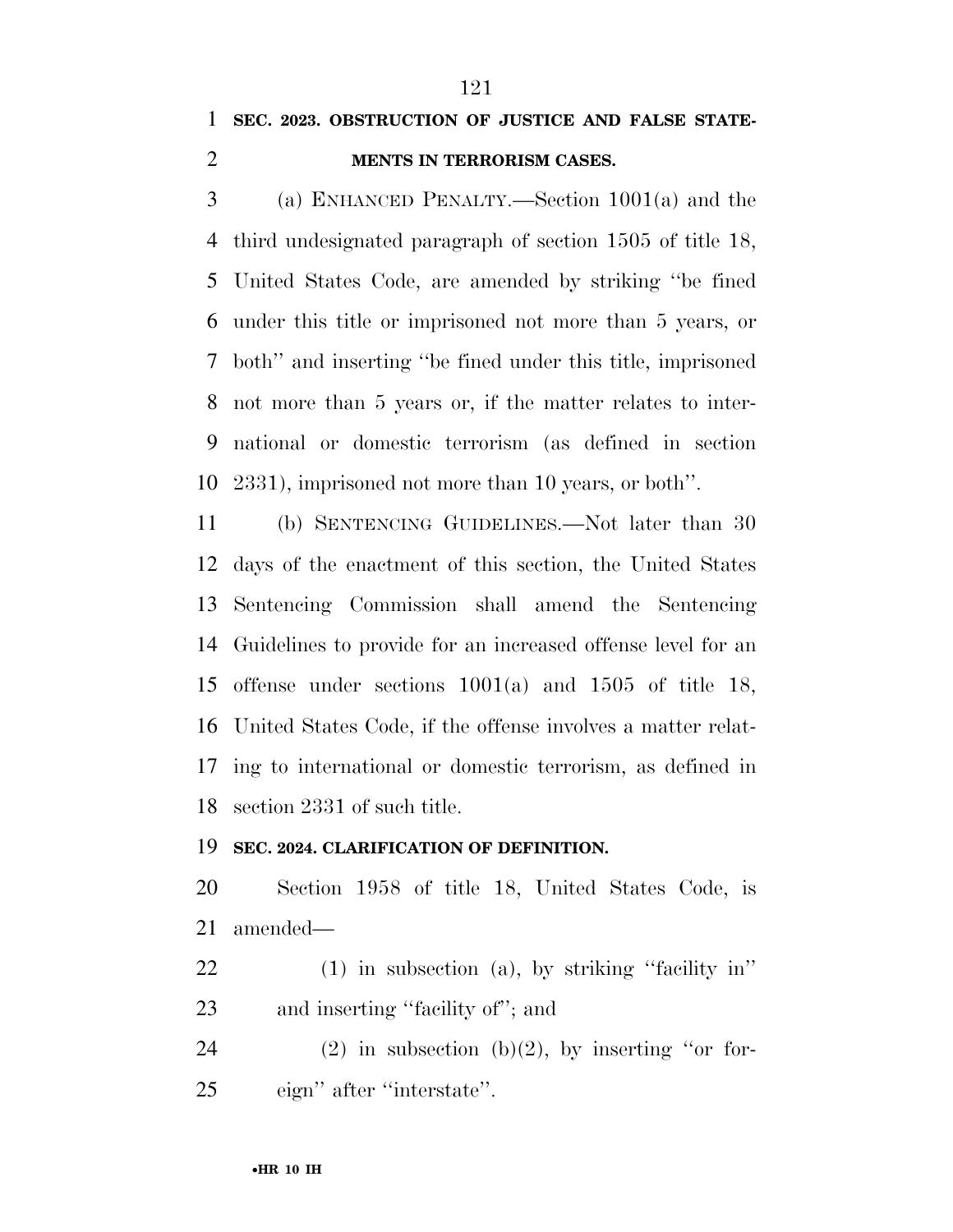### **SEC. 2023. OBSTRUCTION OF JUSTICE AND FALSE STATE-MENTS IN TERRORISM CASES.**

 (a) ENHANCED PENALTY.—Section 1001(a) and the third undesignated paragraph of section 1505 of title 18, United States Code, are amended by striking ''be fined under this title or imprisoned not more than 5 years, or both'' and inserting ''be fined under this title, imprisoned not more than 5 years or, if the matter relates to inter- national or domestic terrorism (as defined in section 2331), imprisoned not more than 10 years, or both''.

 (b) SENTENCING GUIDELINES.—Not later than 30 days of the enactment of this section, the United States Sentencing Commission shall amend the Sentencing Guidelines to provide for an increased offense level for an offense under sections 1001(a) and 1505 of title 18, United States Code, if the offense involves a matter relat- ing to international or domestic terrorism, as defined in section 2331 of such title.

### **SEC. 2024. CLARIFICATION OF DEFINITION.**

 Section 1958 of title 18, United States Code, is amended—

 (1) in subsection (a), by striking ''facility in'' 23 and inserting "facility of"; and

24 (2) in subsection  $(b)(2)$ , by inserting "or for-eign'' after ''interstate''.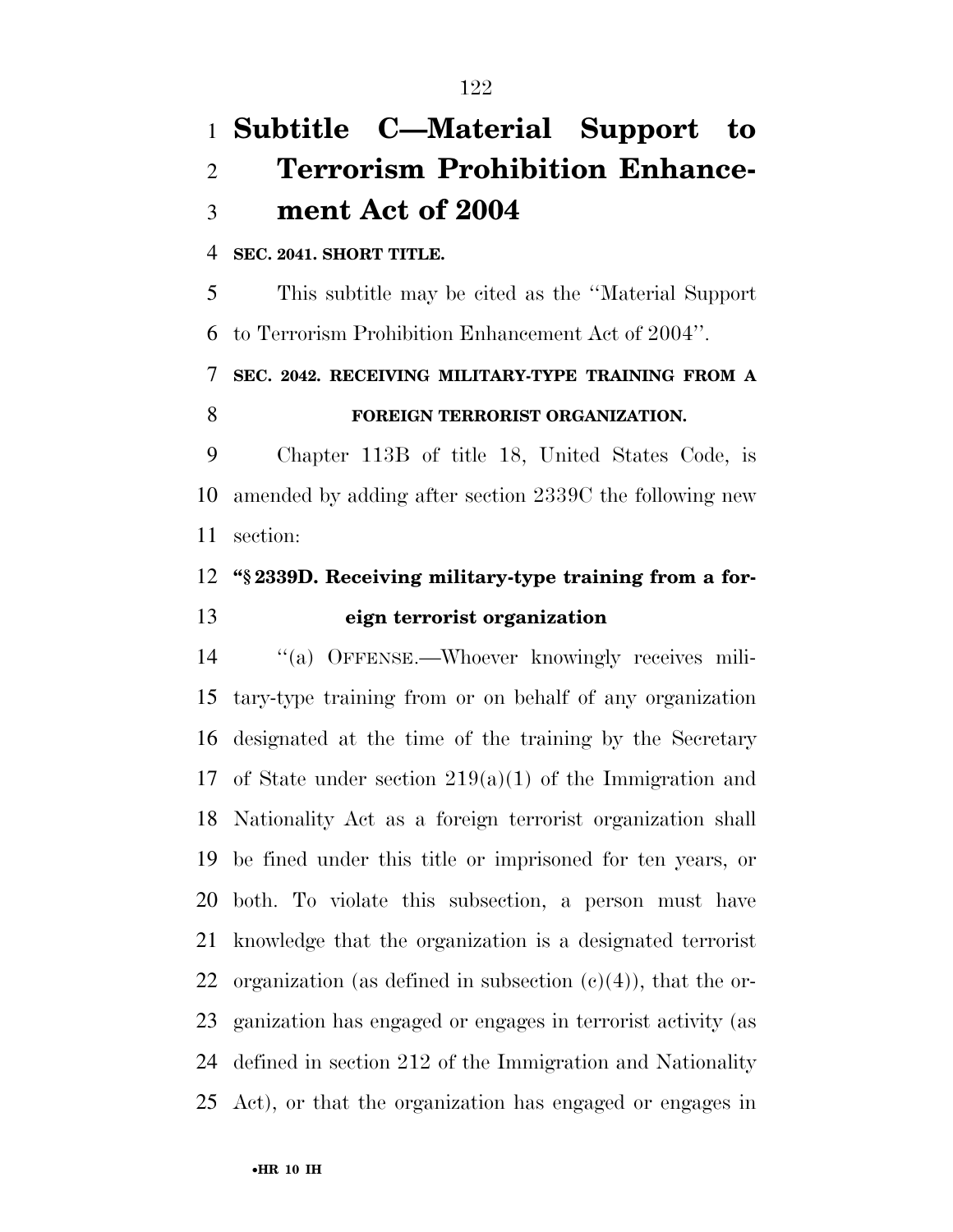# **Subtitle C—Material Support to Terrorism Prohibition Enhance-ment Act of 2004**

### **SEC. 2041. SHORT TITLE.**

 This subtitle may be cited as the ''Material Support to Terrorism Prohibition Enhancement Act of 2004''.

# **SEC. 2042. RECEIVING MILITARY-TYPE TRAINING FROM A FOREIGN TERRORIST ORGANIZATION.**

 Chapter 113B of title 18, United States Code, is amended by adding after section 2339C the following new section:

# **''§ 2339D. Receiving military-type training from a for-eign terrorist organization**

14 "(a) OFFENSE.—Whoever knowingly receives mili- tary-type training from or on behalf of any organization designated at the time of the training by the Secretary 17 of State under section  $219(a)(1)$  of the Immigration and Nationality Act as a foreign terrorist organization shall be fined under this title or imprisoned for ten years, or both. To violate this subsection, a person must have knowledge that the organization is a designated terrorist 22 organization (as defined in subsection  $(c)(4)$ ), that the or- ganization has engaged or engages in terrorist activity (as defined in section 212 of the Immigration and Nationality Act), or that the organization has engaged or engages in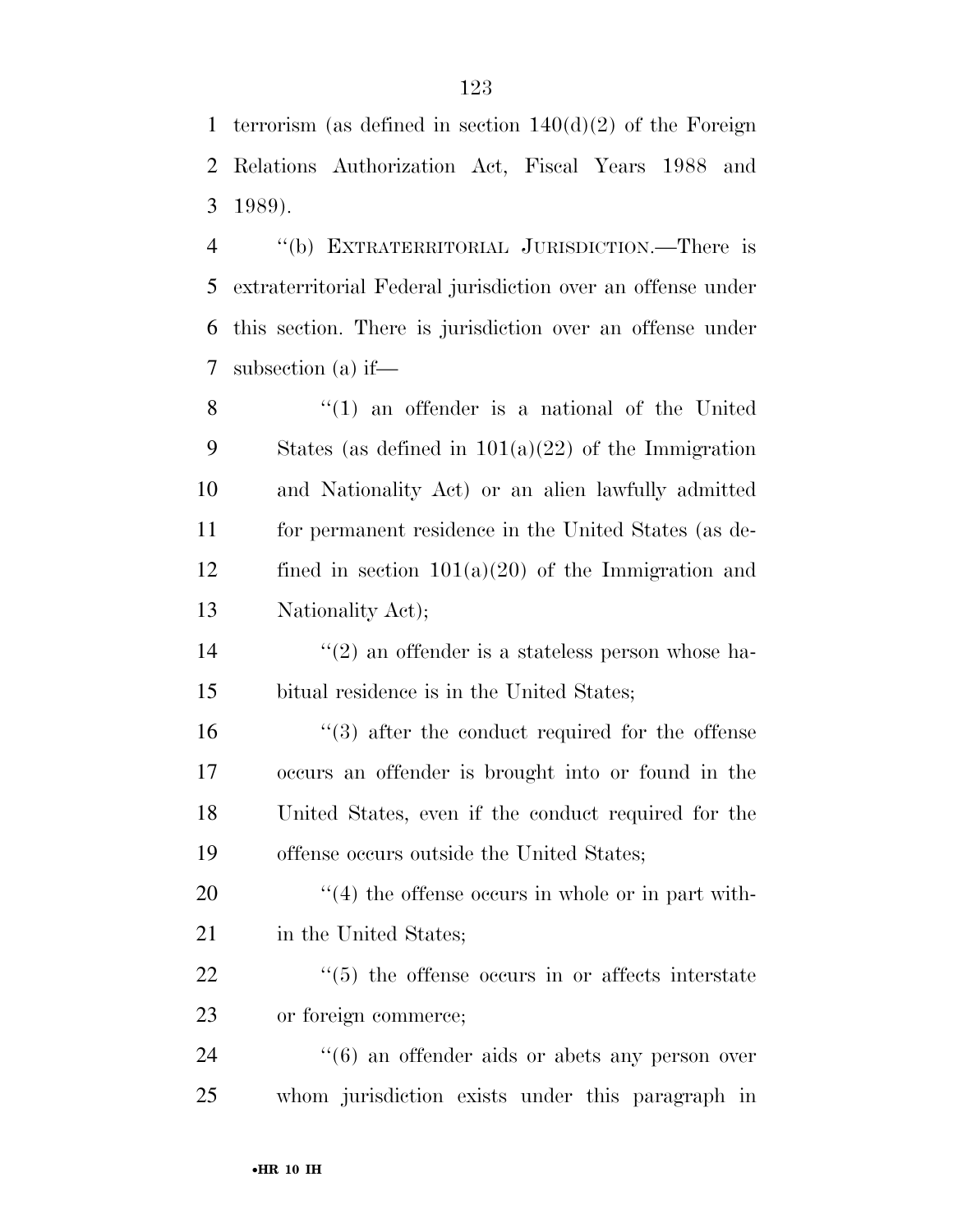terrorism (as defined in section 140(d)(2) of the Foreign Relations Authorization Act, Fiscal Years 1988 and 1989).

 ''(b) EXTRATERRITORIAL JURISDICTION.—There is extraterritorial Federal jurisdiction over an offense under this section. There is jurisdiction over an offense under subsection (a) if—

8 ''(1) an offender is a national of the United States (as defined in 101(a)(22) of the Immigration and Nationality Act) or an alien lawfully admitted for permanent residence in the United States (as de- fined in section 101(a)(20) of the Immigration and Nationality Act);

14  $\frac{1}{2}$  an offender is a stateless person whose ha-bitual residence is in the United States;

16 ''(3) after the conduct required for the offense occurs an offender is brought into or found in the United States, even if the conduct required for the offense occurs outside the United States;

 ''(4) the offense occurs in whole or in part with-21 in the United States;

22  $\frac{1}{2}$  (5) the offense occurs in or affects interstate or foreign commerce;

24  $(6)$  an offender aids or abets any person over whom jurisdiction exists under this paragraph in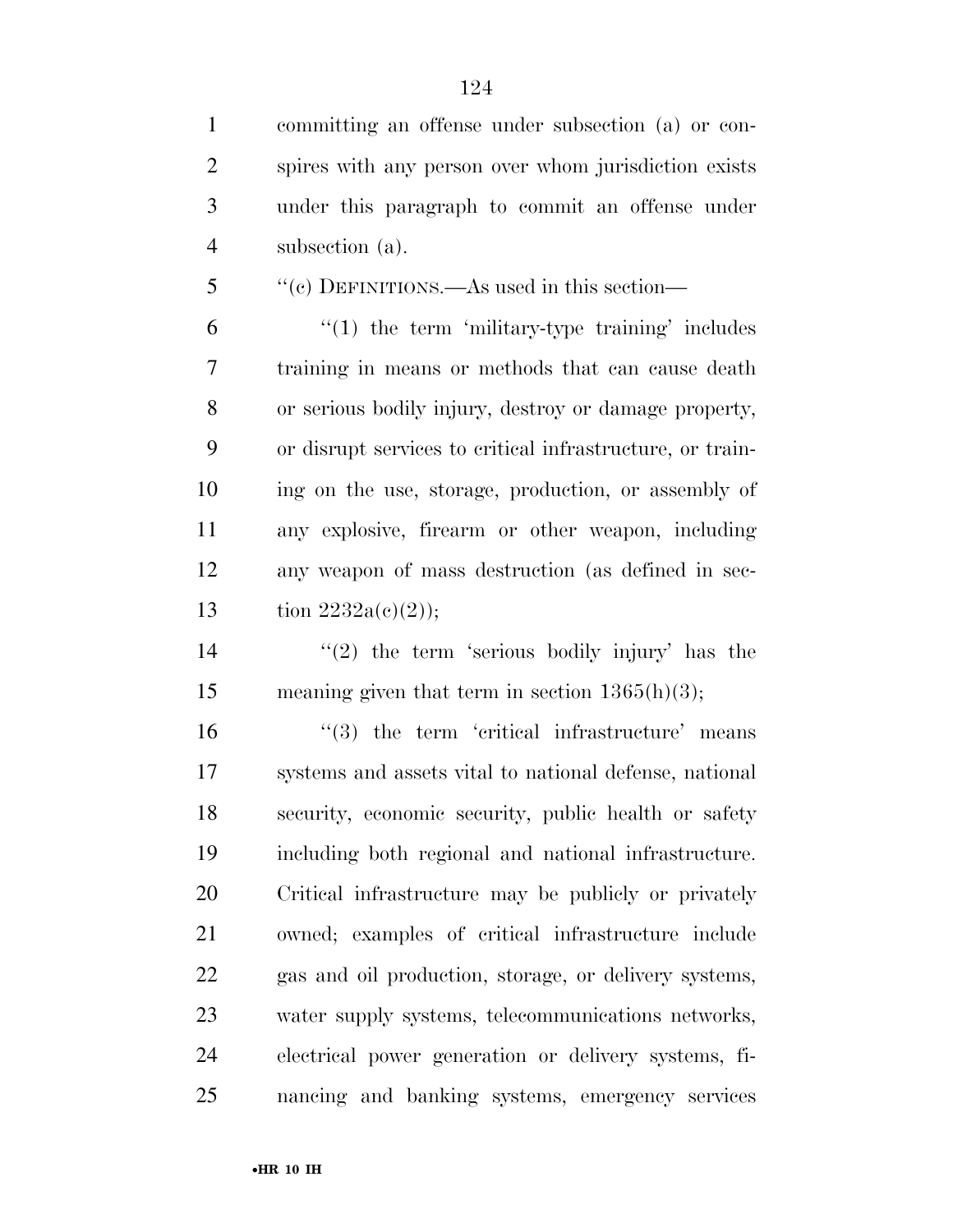committing an offense under subsection (a) or con- spires with any person over whom jurisdiction exists under this paragraph to commit an offense under subsection (a).

''(c) DEFINITIONS.—As used in this section—

 "(1) the term 'military-type training' includes training in means or methods that can cause death or serious bodily injury, destroy or damage property, or disrupt services to critical infrastructure, or train- ing on the use, storage, production, or assembly of any explosive, firearm or other weapon, including any weapon of mass destruction (as defined in sec-13 tion  $2232a(c)(2)$ ;

14  $(2)$  the term 'serious bodily injury' has the 15 meaning given that term in section  $1365(h)(3)$ ;

 "(3) the term 'critical infrastructure' means systems and assets vital to national defense, national security, economic security, public health or safety including both regional and national infrastructure. Critical infrastructure may be publicly or privately owned; examples of critical infrastructure include gas and oil production, storage, or delivery systems, water supply systems, telecommunications networks, electrical power generation or delivery systems, fi-nancing and banking systems, emergency services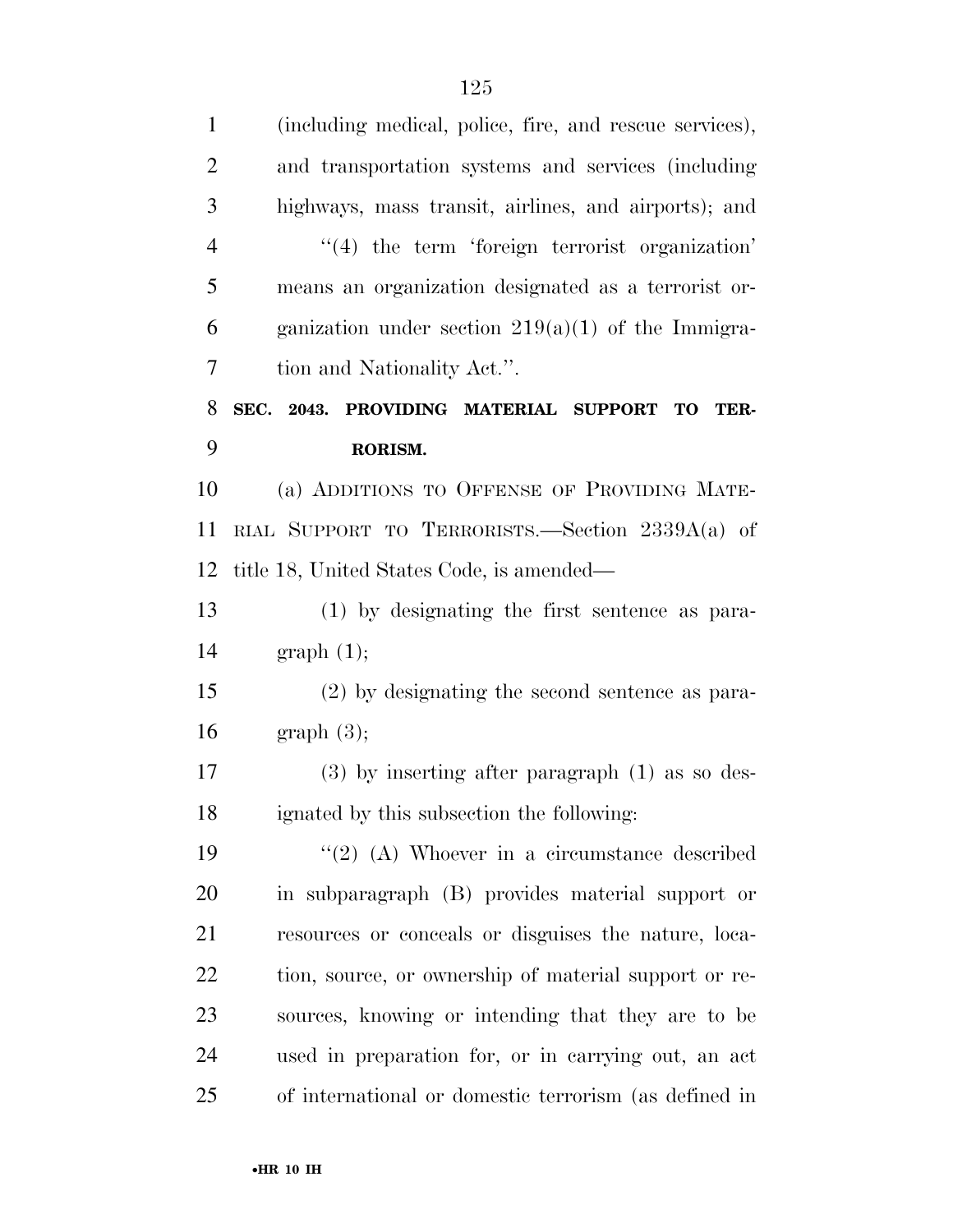| $\mathbf{1}$   | (including medical, police, fire, and rescue services),    |
|----------------|------------------------------------------------------------|
| $\overline{2}$ | and transportation systems and services (including         |
| 3              | highways, mass transit, airlines, and airports); and       |
| $\overline{4}$ | $\lq(4)$ the term 'foreign terrorist organization'         |
| 5              | means an organization designated as a terrorist or-        |
| 6              | ganization under section $219(a)(1)$ of the Immigra-       |
| 7              | tion and Nationality Act.".                                |
| 8              | SEC. 2043. PROVIDING MATERIAL SUPPORT<br><b>TO</b><br>TER- |
| 9              | RORISM.                                                    |
| 10             | (a) ADDITIONS TO OFFENSE OF PROVIDING MATE-                |
| 11             | RIAL SUPPORT TO TERRORISTS.—Section $2339A(a)$ of          |
| 12             | title 18, United States Code, is amended—                  |
| 13             | (1) by designating the first sentence as para-             |
| 14             | graph(1);                                                  |
| 15             | (2) by designating the second sentence as para-            |
| 16             | graph(3);                                                  |
| 17             | $(3)$ by inserting after paragraph $(1)$ as so des-        |
| 18             | ignated by this subsection the following:                  |
| 19             | $\lq(2)$ (A) Whoever in a circumstance described           |
| 20             | in subparagraph (B) provides material support or           |
| 21             | resources or conceals or disguises the nature, loca-       |
| 22             | tion, source, or ownership of material support or re-      |
| 23             | sources, knowing or intending that they are to be          |
| 24             | used in preparation for, or in carrying out, an act        |
| 25             | of international or domestic terrorism (as defined in      |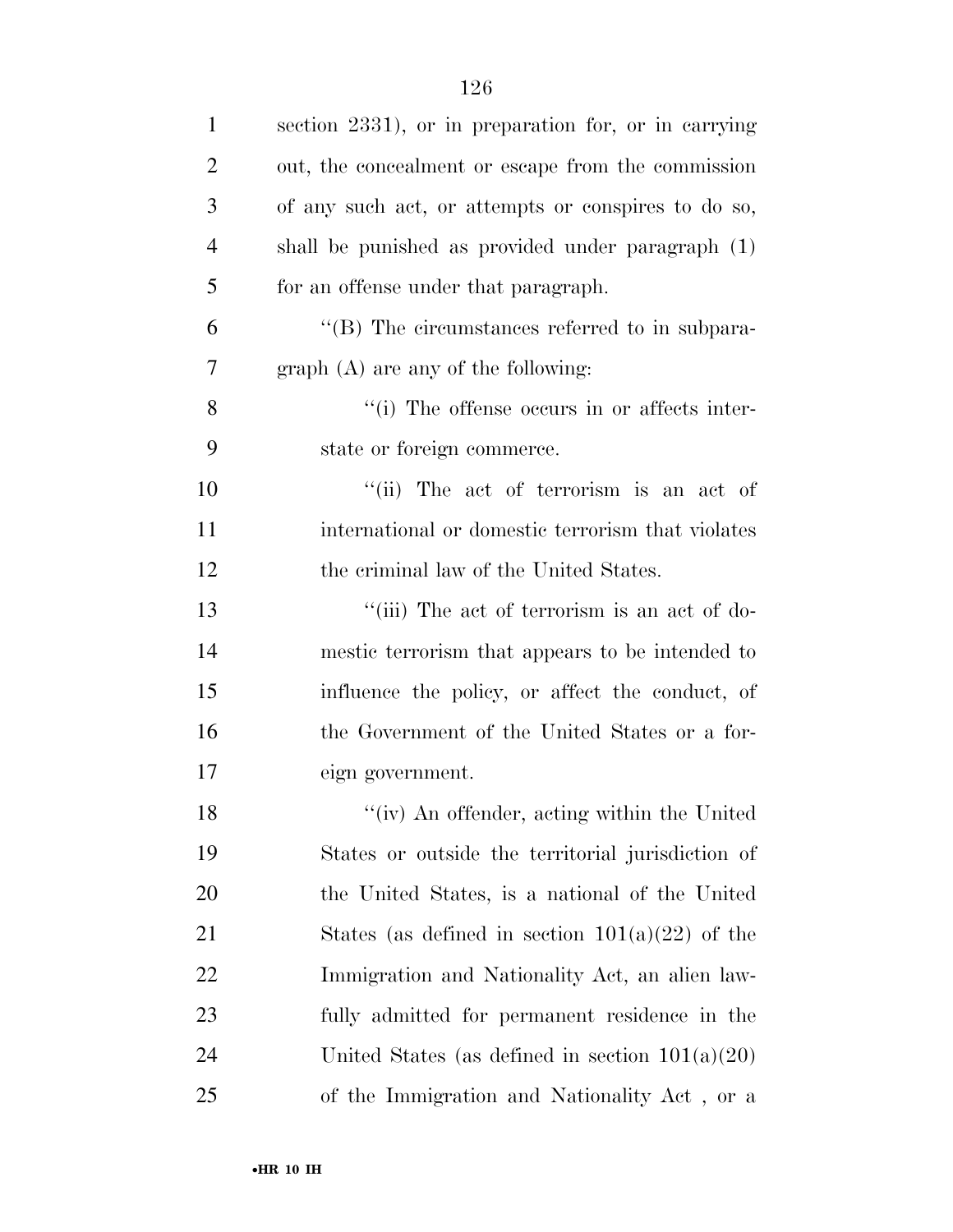| $\mathbf{1}$   | section 2331), or in preparation for, or in carrying |
|----------------|------------------------------------------------------|
| $\overline{2}$ | out, the concealment or escape from the commission   |
| 3              | of any such act, or attempts or conspires to do so,  |
| 4              | shall be punished as provided under paragraph (1)    |
| 5              | for an offense under that paragraph.                 |
| 6              | "(B) The circumstances referred to in subpara-       |
| 7              | $graph(A)$ are any of the following:                 |
| 8              | "(i) The offense occurs in or affects inter-         |
| 9              | state or foreign commerce.                           |
| 10             | "(ii) The act of terrorism is an act of              |
| 11             | international or domestic terrorism that violates    |
| 12             | the criminal law of the United States.               |
| 13             | "(iii) The act of terrorism is an act of do-         |
| 14             | mestic terrorism that appears to be intended to      |
| 15             | influence the policy, or affect the conduct, of      |
| 16             | the Government of the United States or a for-        |
| 17             | eign government.                                     |
| 18             | "(iv) An offender, acting within the United          |
| 19             | States or outside the territorial jurisdiction of    |
| 20             | the United States, is a national of the United       |
| 21             | States (as defined in section $101(a)(22)$ of the    |
| 22             | Immigration and Nationality Act, an alien law-       |
| 23             | fully admitted for permanent residence in the        |
| 24             | United States (as defined in section $101(a)(20)$ )  |
| 25             | of the Immigration and Nationality Act, or a         |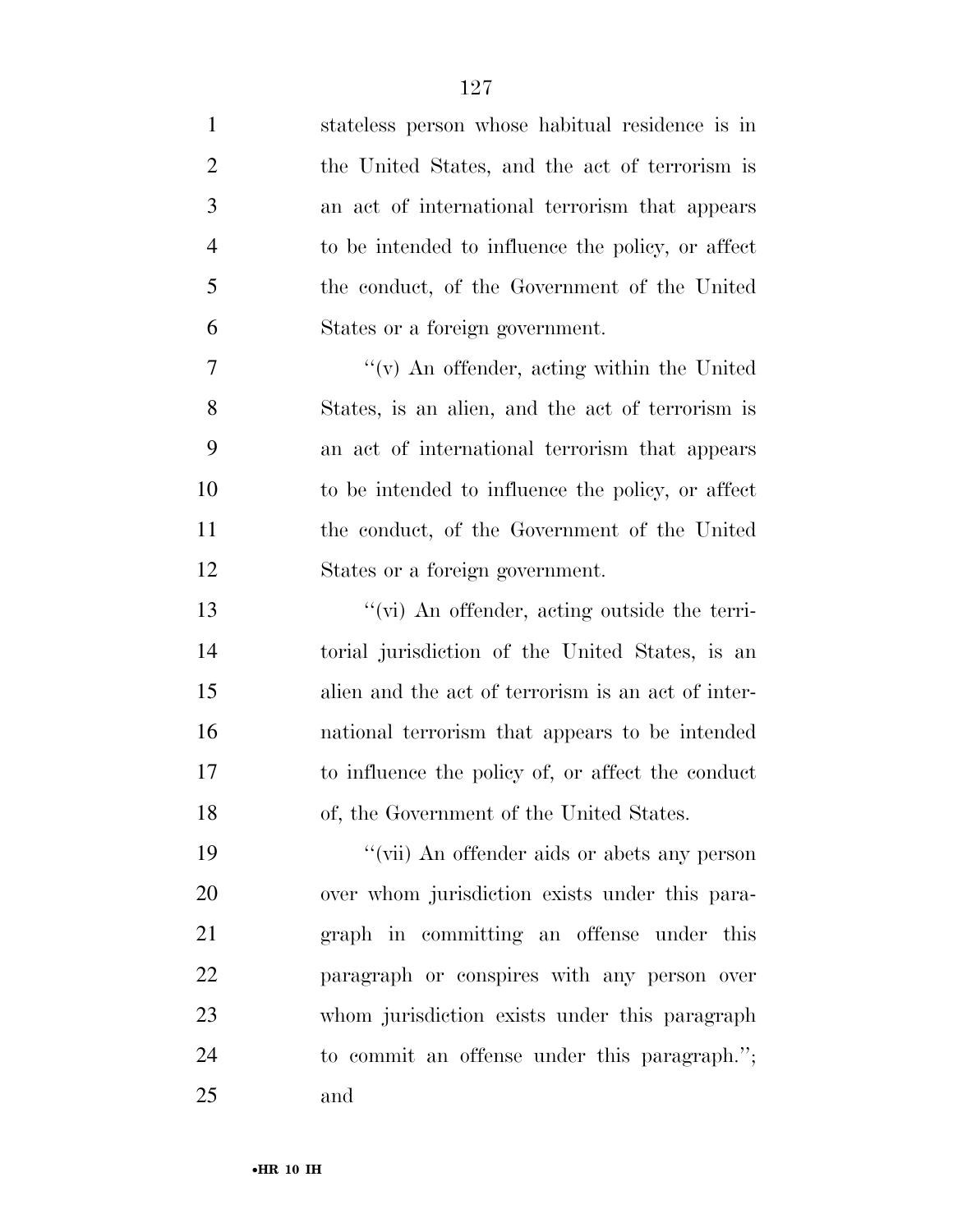stateless person whose habitual residence is in the United States, and the act of terrorism is an act of international terrorism that appears to be intended to influence the policy, or affect the conduct, of the Government of the United States or a foreign government. ''(v) An offender, acting within the United States, is an alien, and the act of terrorism is an act of international terrorism that appears to be intended to influence the policy, or affect the conduct, of the Government of the United States or a foreign government. ''(vi) An offender, acting outside the terri- torial jurisdiction of the United States, is an alien and the act of terrorism is an act of inter- national terrorism that appears to be intended to influence the policy of, or affect the conduct of, the Government of the United States. 19 ''(vii) An offender aids or abets any person over whom jurisdiction exists under this para- graph in committing an offense under this paragraph or conspires with any person over whom jurisdiction exists under this paragraph to commit an offense under this paragraph.''; and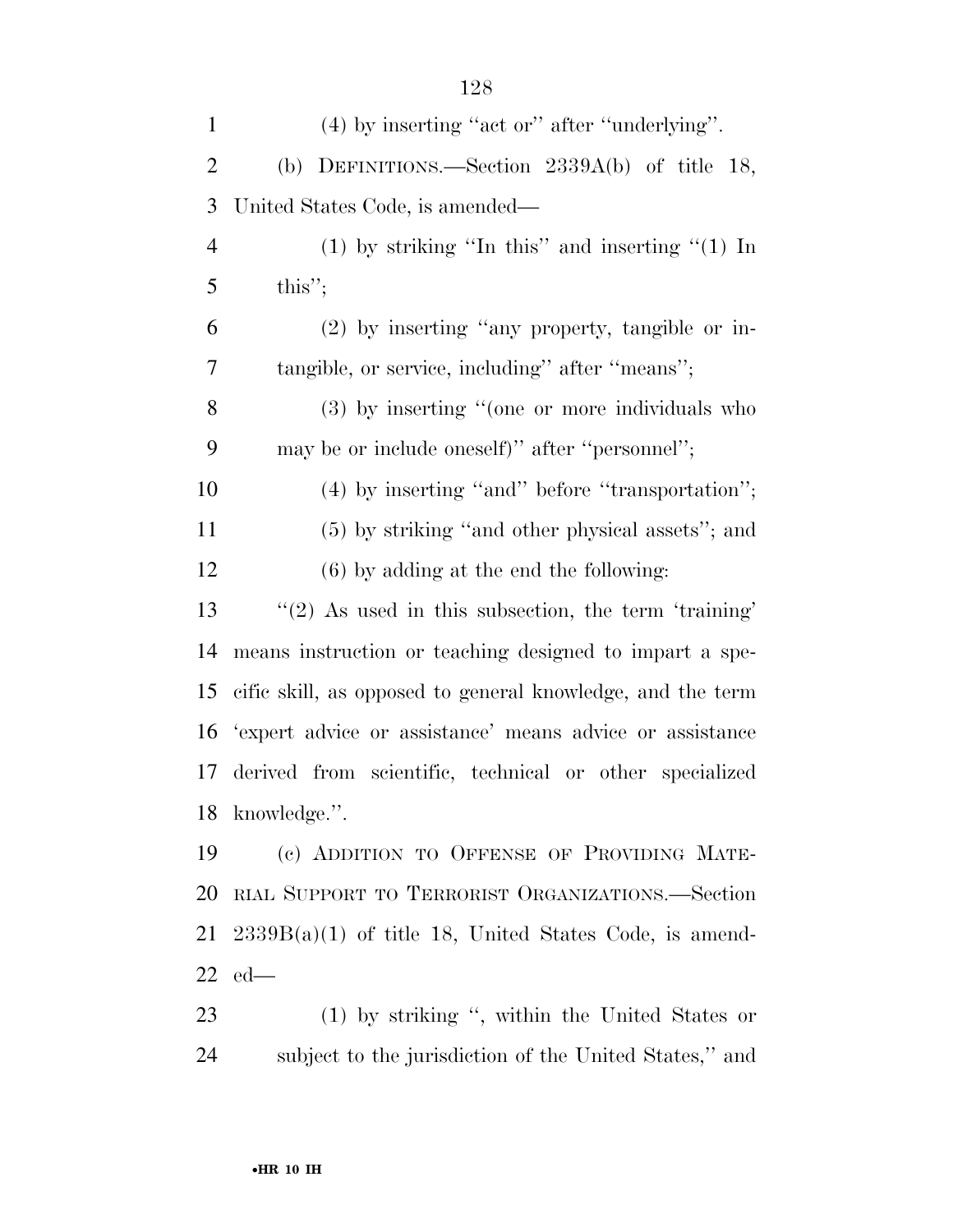(4) by inserting ''act or'' after ''underlying''. (b) DEFINITIONS.—Section 2339A(b) of title 18, United States Code, is amended— (1) by striking ''In this'' and inserting ''(1) In this"; (2) by inserting ''any property, tangible or in- tangible, or service, including'' after ''means''; (3) by inserting ''(one or more individuals who may be or include oneself)'' after ''personnel''; 10 (4) by inserting "and" before "transportation"; (5) by striking ''and other physical assets''; and (6) by adding at the end the following: ''(2) As used in this subsection, the term 'training' means instruction or teaching designed to impart a spe- cific skill, as opposed to general knowledge, and the term 'expert advice or assistance' means advice or assistance derived from scientific, technical or other specialized knowledge.''. (c) ADDITION TO OFFENSE OF PROVIDING MATE- RIAL SUPPORT TO TERRORIST ORGANIZATIONS.—Section  $21\quad 2339B(a)(1)$  of title 18, United States Code, is amend-ed—

 (1) by striking '', within the United States or subject to the jurisdiction of the United States,'' and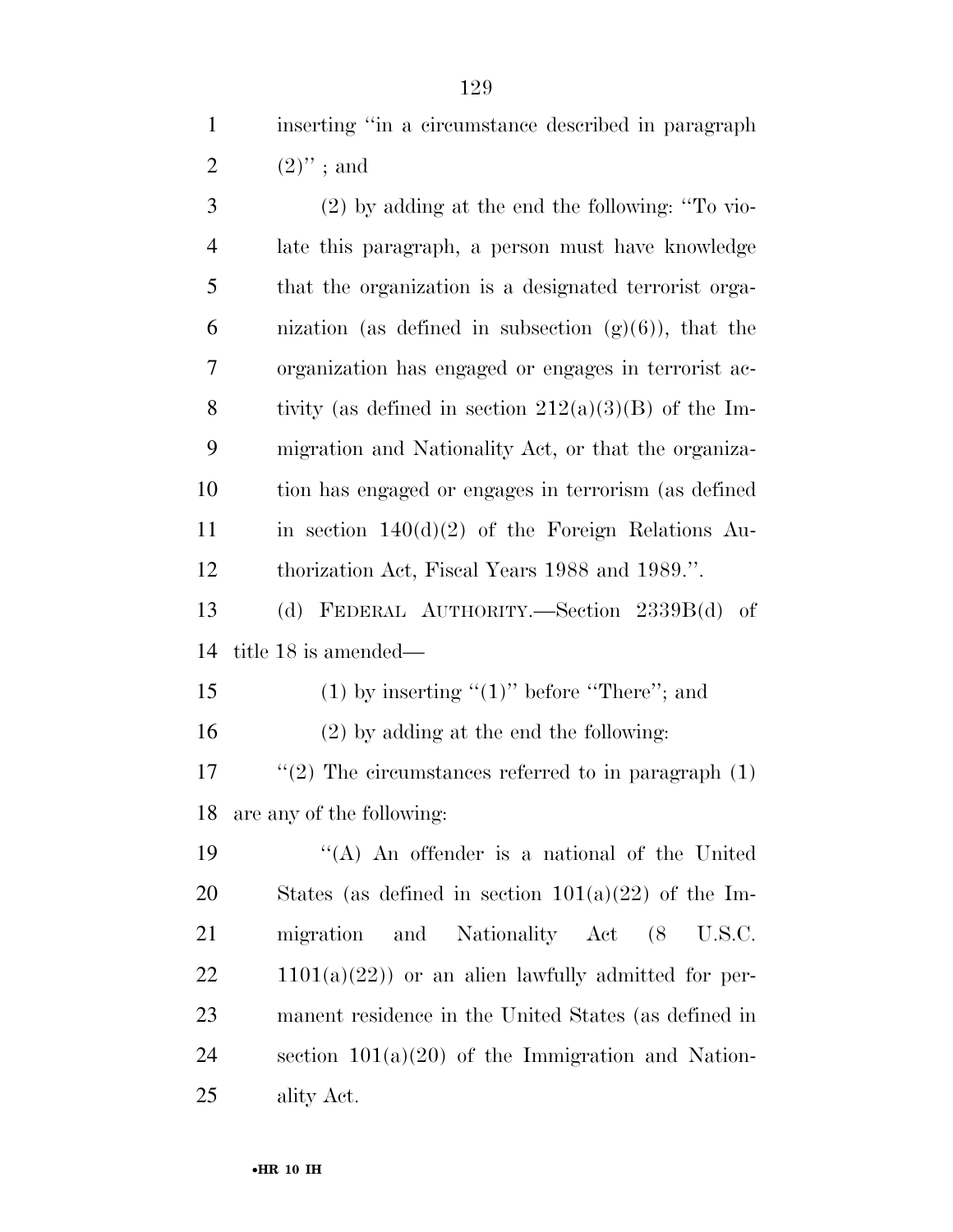inserting ''in a circumstance described in paragraph 2  $(2)$ "; and

 (2) by adding at the end the following: ''To vio- late this paragraph, a person must have knowledge that the organization is a designated terrorist orga-6 nization (as defined in subsection  $(g)(6)$ ), that the organization has engaged or engages in terrorist ac-8 tivity (as defined in section  $212(a)(3)(B)$  of the Im- migration and Nationality Act, or that the organiza- tion has engaged or engages in terrorism (as defined 11 in section  $140(d)(2)$  of the Foreign Relations Au- thorization Act, Fiscal Years 1988 and 1989.''. (d) FEDERAL AUTHORITY.—Section 2339B(d) of

title 18 is amended—

15 (1) by inserting " $(1)$ " before "There"; and

(2) by adding at the end the following:

17  $\frac{1}{2}$  The circumstances referred to in paragraph (1) are any of the following:

 ''(A) An offender is a national of the United 20 States (as defined in section  $101(a)(22)$  of the Im- migration and Nationality Act (8 U.S.C.  $22 \t1101(a)(22)$  or an alien lawfully admitted for per- manent residence in the United States (as defined in 24 section  $101(a)(20)$  of the Immigration and Nation-ality Act.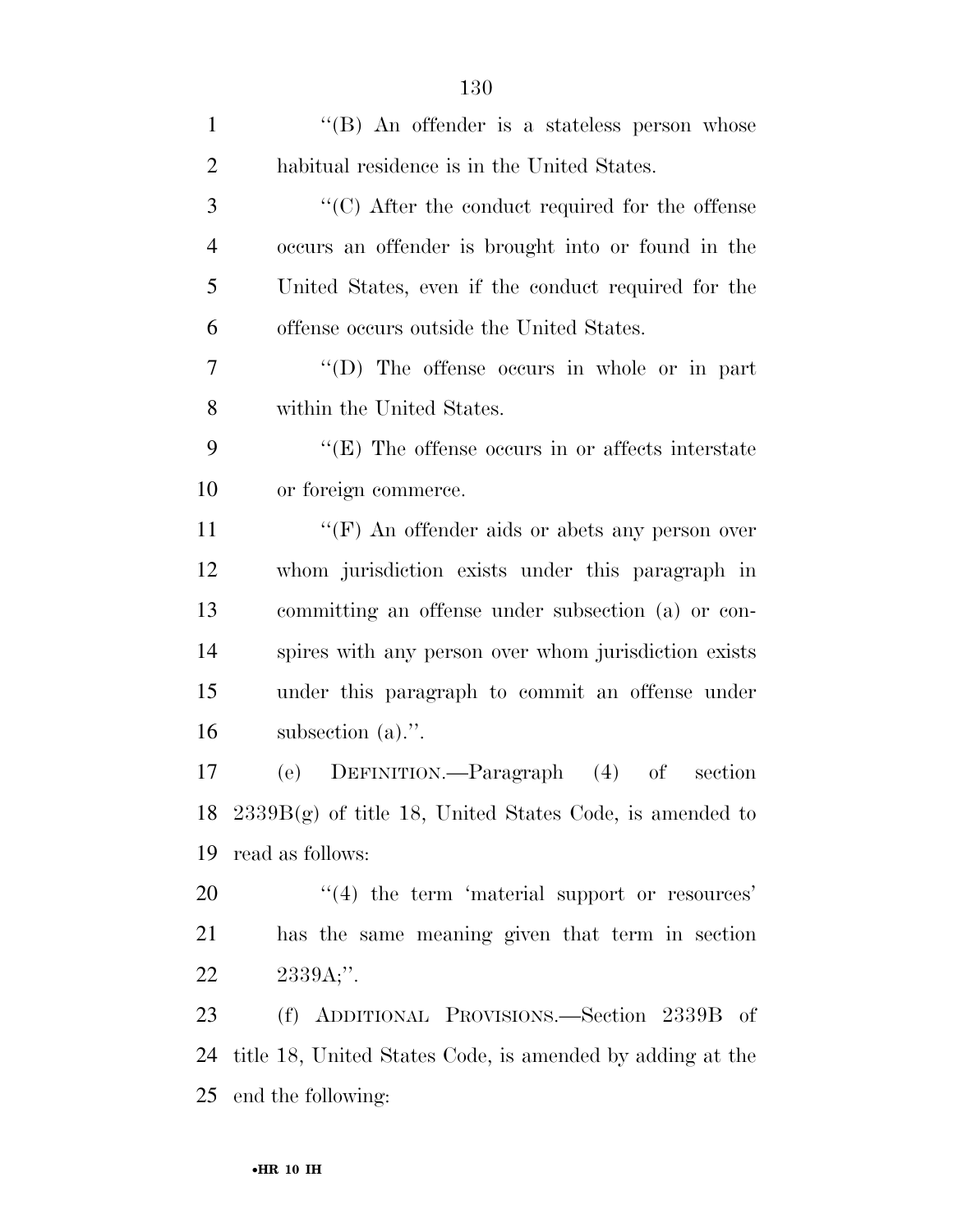| $\mathbf{1}$   | "(B) An offender is a stateless person whose                 |
|----------------|--------------------------------------------------------------|
| $\overline{2}$ | habitual residence is in the United States.                  |
| 3              | $\cdot$ (C) After the conduct required for the offense       |
| $\overline{4}$ | occurs an offender is brought into or found in the           |
| 5              | United States, even if the conduct required for the          |
| 6              | offense occurs outside the United States.                    |
| 7              | "(D) The offense occurs in whole or in part                  |
| 8              | within the United States.                                    |
| 9              | $\lq\lq(E)$ The offense occurs in or affects interstate      |
| 10             | or foreign commerce.                                         |
| 11             | "(F) An offender aids or abets any person over               |
| 12             | whom jurisdiction exists under this paragraph in             |
| 13             | committing an offense under subsection (a) or con-           |
| 14             | spires with any person over whom jurisdiction exists         |
| 15             | under this paragraph to commit an offense under              |
| 16             | subsection $(a)$ .".                                         |
| 17             | (e) DEFINITION.—Paragraph (4)<br>section<br>$\sigma f$       |
|                | 18 $2339B(g)$ of title 18, United States Code, is amended to |
| 19             | read as follows:                                             |
| 20             | $\cdot$ (4) the term 'material support or resources'         |
| 21             | has the same meaning given that term in section              |
| 22             | $2339A;$ ".                                                  |
| 23             | (f) ADDITIONAL PROVISIONS.—Section 2339B of                  |
| 24             | title 18, United States Code, is amended by adding at the    |
| 25             | end the following:                                           |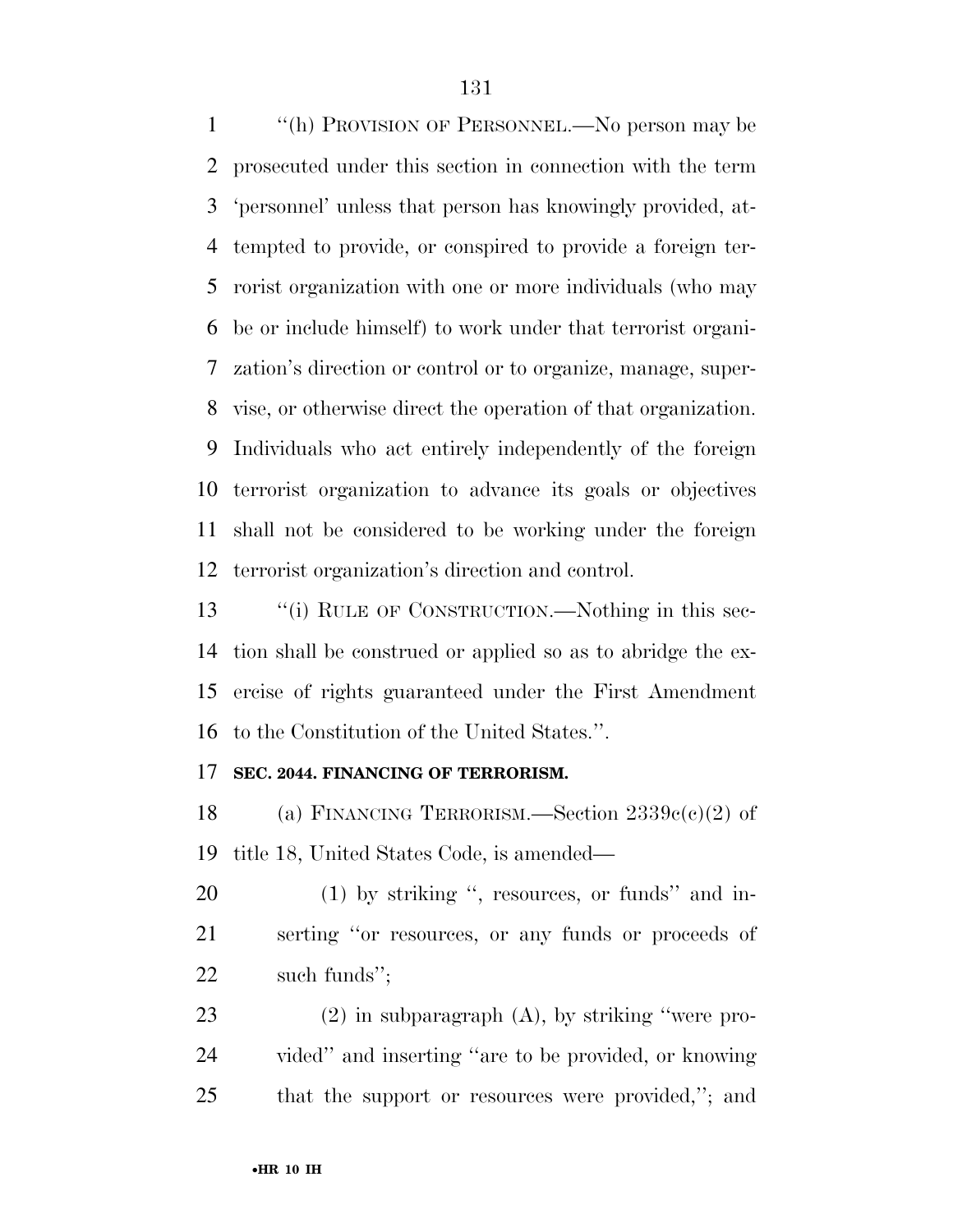''(h) PROVISION OF PERSONNEL.—No person may be prosecuted under this section in connection with the term 'personnel' unless that person has knowingly provided, at- tempted to provide, or conspired to provide a foreign ter- rorist organization with one or more individuals (who may be or include himself) to work under that terrorist organi- zation's direction or control or to organize, manage, super- vise, or otherwise direct the operation of that organization. Individuals who act entirely independently of the foreign terrorist organization to advance its goals or objectives shall not be considered to be working under the foreign terrorist organization's direction and control.

13 ""(i) RULE OF CONSTRUCTION.—Nothing in this sec- tion shall be construed or applied so as to abridge the ex- ercise of rights guaranteed under the First Amendment to the Constitution of the United States.''.

### **SEC. 2044. FINANCING OF TERRORISM.**

18 (a) FINANCING TERRORISM.—Section  $2339c(c)(2)$  of title 18, United States Code, is amended—

20 (1) by striking ", resources, or funds" and in- serting ''or resources, or any funds or proceeds of such funds'';

 (2) in subparagraph (A), by striking ''were pro- vided'' and inserting ''are to be provided, or knowing that the support or resources were provided,''; and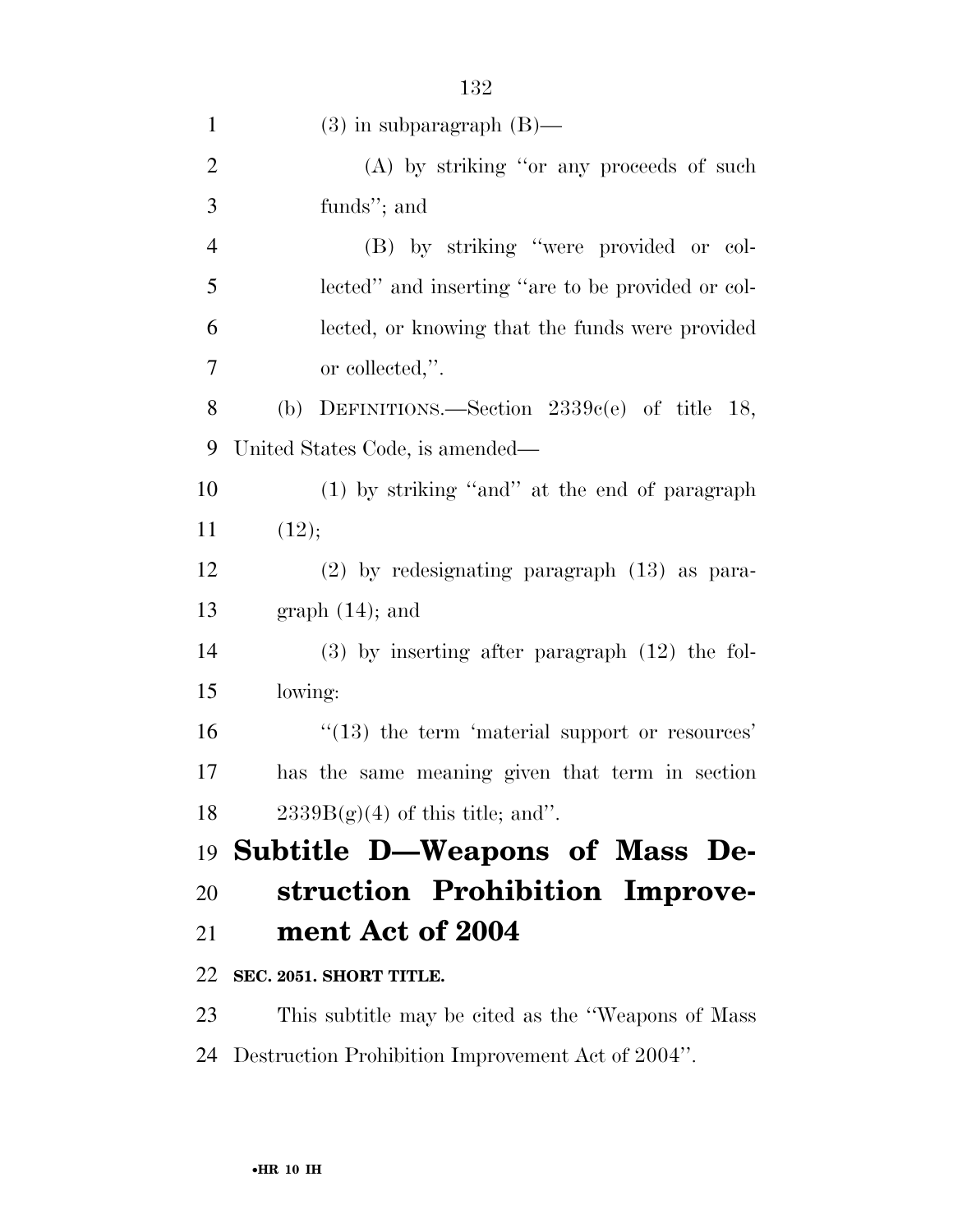| $\mathbf{1}$   | $(3)$ in subparagraph $(B)$ —                       |
|----------------|-----------------------------------------------------|
| $\overline{2}$ | (A) by striking "or any proceeds of such            |
| 3              | funds"; and                                         |
| $\overline{4}$ | (B) by striking "were provided or col-              |
| 5              | lected" and inserting "are to be provided or col-   |
| 6              | lected, or knowing that the funds were provided     |
| 7              | or collected,".                                     |
| 8              | (b) DEFINITIONS.—Section $2339c(e)$ of title 18,    |
| 9              | United States Code, is amended—                     |
| 10             | (1) by striking "and" at the end of paragraph       |
| 11             | (12);                                               |
| 12             | $(2)$ by redesignating paragraph $(13)$ as para-    |
| 13             | $graph (14)$ ; and                                  |
| 14             | $(3)$ by inserting after paragraph $(12)$ the fol-  |
| 15             | lowing:                                             |
| 16             | $"$ (13) the term 'material support or resources'   |
| 17             | has the same meaning given that term in section     |
| 18             | $2339B(g)(4)$ of this title; and".                  |
|                | 19 Subtitle D—Weapons of Mass De-                   |
| 20             | struction Prohibition Improve-                      |
| 21             | ment Act of 2004                                    |
| 22             | SEC. 2051. SHORT TITLE.                             |
| 23             | This subtitle may be cited as the "Weapons of Mass" |
| 24             | Destruction Prohibition Improvement Act of 2004".   |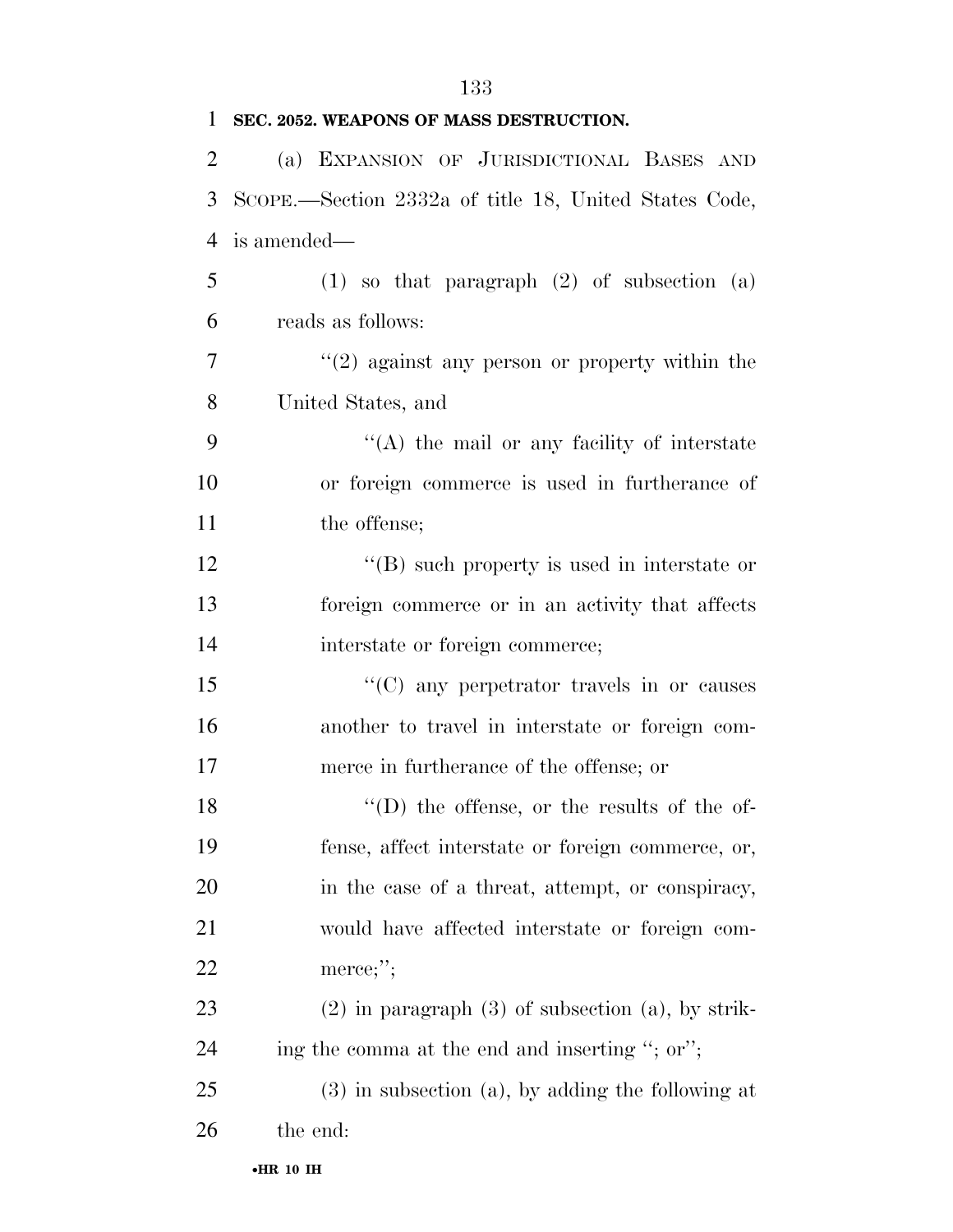| 1              | SEC. 2052. WEAPONS OF MASS DESTRUCTION.               |
|----------------|-------------------------------------------------------|
| $\overline{2}$ | (a) EXPANSION OF JURISDICTIONAL BASES AND             |
| 3              | SCOPE.—Section 2332a of title 18, United States Code, |
| 4              | is amended—                                           |
| 5              | $(1)$ so that paragraph $(2)$ of subsection $(a)$     |
| 6              | reads as follows:                                     |
| 7              | $f'(2)$ against any person or property within the     |
| 8              | United States, and                                    |
| 9              | $\lq\lq$ the mail or any facility of interstate       |
| 10             | or foreign commerce is used in furtherance of         |
| 11             | the offense;                                          |
| 12             | $\lq\lq (B)$ such property is used in interstate or   |
| 13             | foreign commerce or in an activity that affects       |
| 14             | interstate or foreign commerce;                       |
| 15             | $\lq\lq$ (C) any perpetrator travels in or causes     |
| 16             | another to travel in interstate or foreign com-       |
| 17             | merce in furtherance of the offense; or               |
| 18             | $\lq\lq$ the offense, or the results of the of-       |
| 19             | fense, affect interstate or foreign commerce, or,     |
| 20             | in the case of a threat, attempt, or conspiracy,      |
| 21             | would have affected interstate or foreign com-        |

 (2) in paragraph (3) of subsection (a), by strik-24 ing the comma at the end and inserting "; or";

 (3) in subsection (a), by adding the following at the end:

merce;'';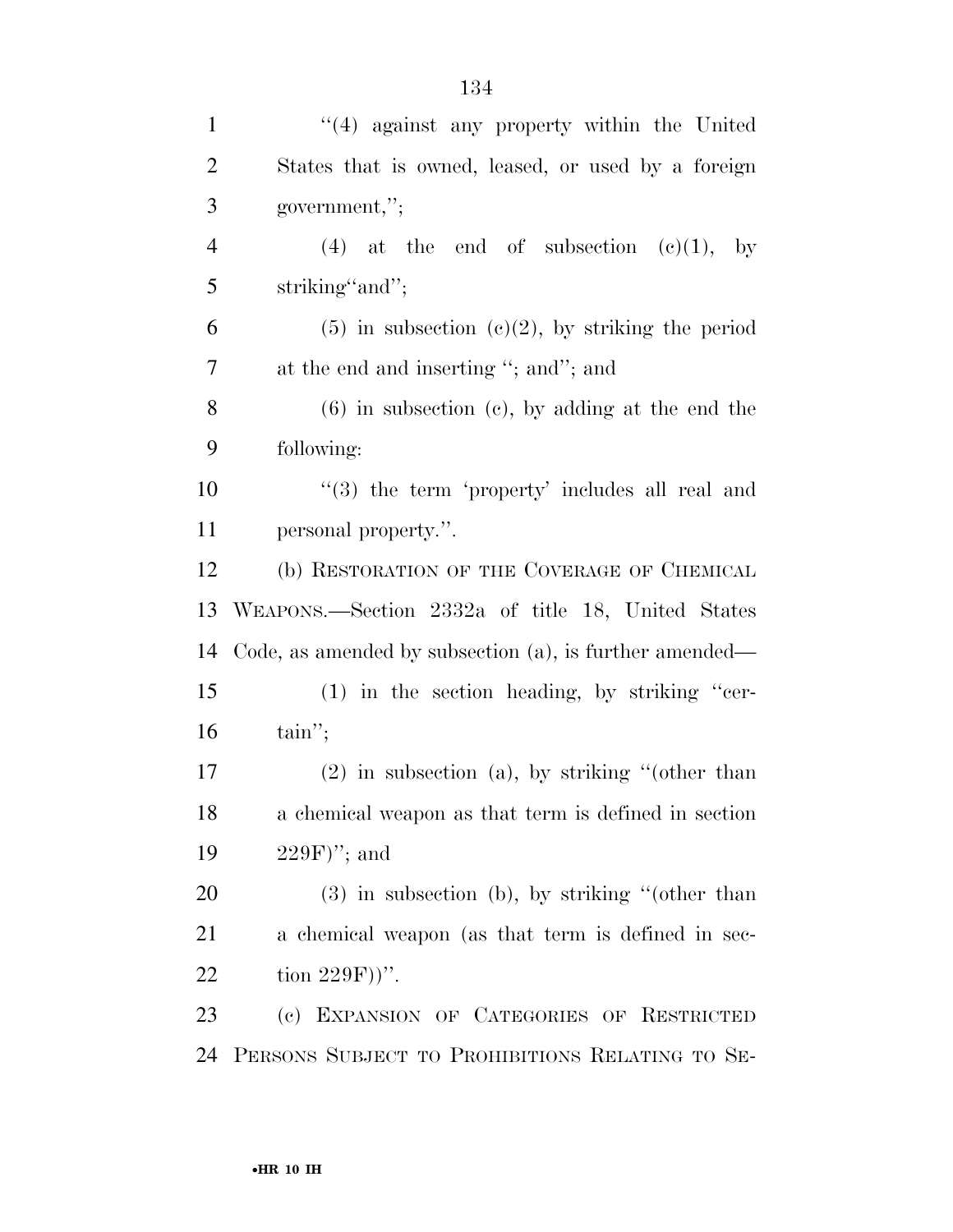| $\mathbf{1}$   | $"(4)$ against any property within the United                  |
|----------------|----------------------------------------------------------------|
| $\overline{2}$ | States that is owned, leased, or used by a foreign             |
| 3              | government,";                                                  |
| $\overline{4}$ | (4) at the end of subsection $(e)(1)$ , by                     |
| 5              | striking" and";                                                |
| 6              | $(5)$ in subsection $(c)(2)$ , by striking the period          |
| 7              | at the end and inserting "; and"; and                          |
| 8              | $(6)$ in subsection $(e)$ , by adding at the end the           |
| 9              | following:                                                     |
| 10             | $\cdot\cdot\cdot(3)$ the term 'property' includes all real and |
| 11             | personal property.".                                           |
| 12             | (b) RESTORATION OF THE COVERAGE OF CHEMICAL                    |
|                |                                                                |
| 13             | WEAPONS.—Section 2332a of title 18, United States              |
| 14             | Code, as amended by subsection $(a)$ , is further amended—     |
| 15             | $(1)$ in the section heading, by striking "cer-                |
| 16             | $\tanh$ ";                                                     |
| 17             | $(2)$ in subsection (a), by striking "(other than              |
| 18             | a chemical weapon as that term is defined in section           |
| 19             | $229F$ "; and                                                  |
| 20             | $(3)$ in subsection (b), by striking "(other than              |
| 21             | a chemical weapon (as that term is defined in sec-             |
| 22             | tion $229F)$ ".                                                |
| 23             | (c) EXPANSION OF CATEGORIES OF RESTRICTED                      |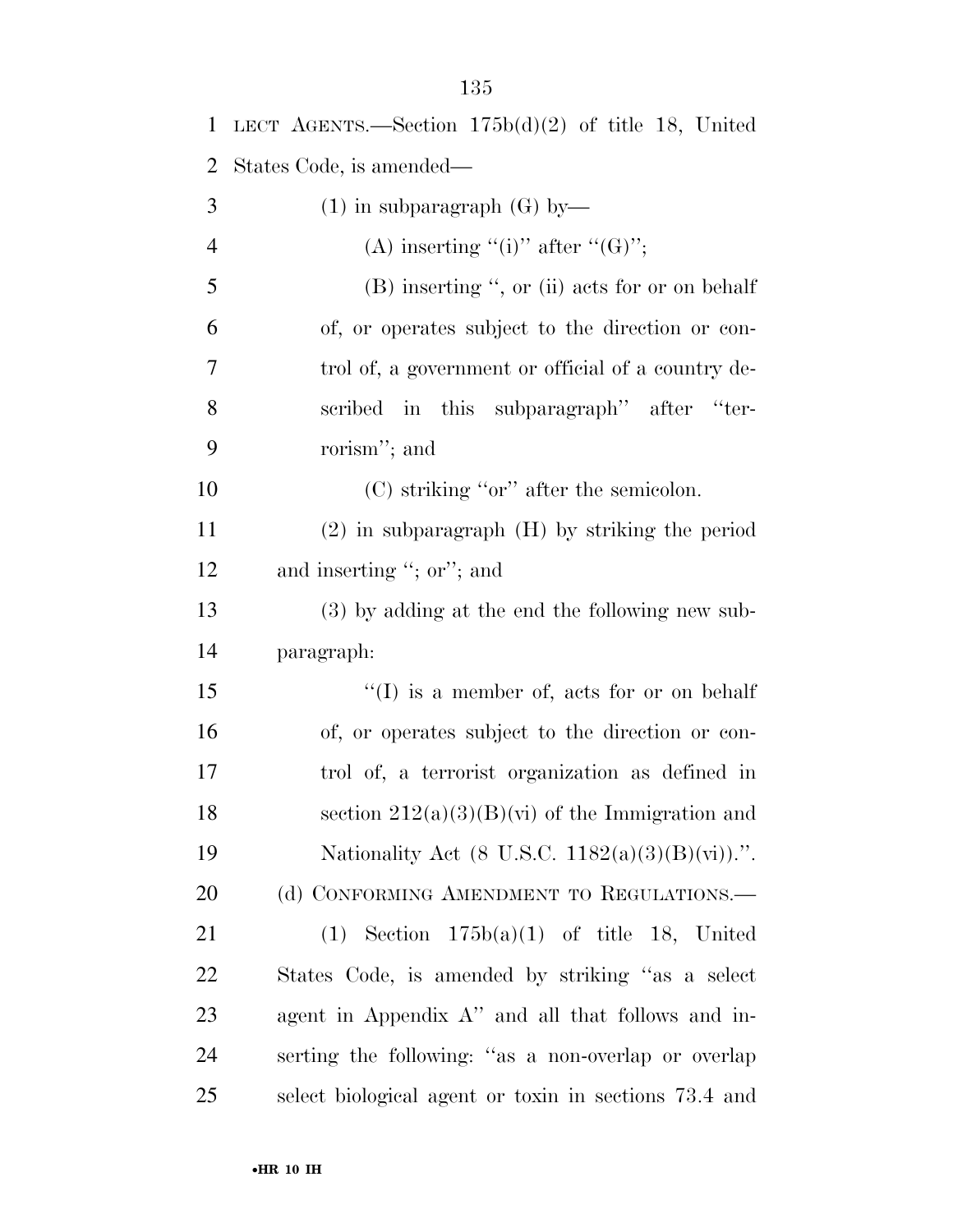| $\mathbf{1}$ | LECT AGENTS.—Section $175b(d)(2)$ of title 18, United |
|--------------|-------------------------------------------------------|
| 2            | States Code, is amended—                              |
| 3            | $(1)$ in subparagraph $(G)$ by—                       |
| 4            | (A) inserting "(i)" after " $(G)$ ";                  |
| 5            | $(B)$ inserting ", or (ii) acts for or on behalf      |
| 6            | of, or operates subject to the direction or con-      |
| 7            | trol of, a government or official of a country de-    |
| 8            | scribed in this subparagraph" after "ter-             |
| 9            | rorism"; and                                          |
| 10           | $(C)$ striking "or" after the semicolon.              |
| 11           | $(2)$ in subparagraph $(H)$ by striking the period    |
| 12           | and inserting "; or"; and                             |
| 13           | $(3)$ by adding at the end the following new sub-     |
| 14           | paragraph:                                            |
| 15           | "(I) is a member of, acts for or on behalf            |
| 16           | of, or operates subject to the direction or con-      |
| 17           | trol of, a terrorist organization as defined in       |
| 18           | section $212(a)(3)(B)(vi)$ of the Immigration and     |
| 19           | Nationality Act (8 U.S.C. $1182(a)(3)(B)(vi)$ ).".    |
| 20           | (d) CONFORMING AMENDMENT TO REGULATIONS.—             |
| 21           | $(1)$ Section $175b(a)(1)$ of title 18, United        |
| <u>22</u>    | States Code, is amended by striking "as a select"     |
| 23           | agent in Appendix A" and all that follows and in-     |
| 24           | serting the following: "as a non-overlap or overlap   |
| 25           | select biological agent or toxin in sections 73.4 and |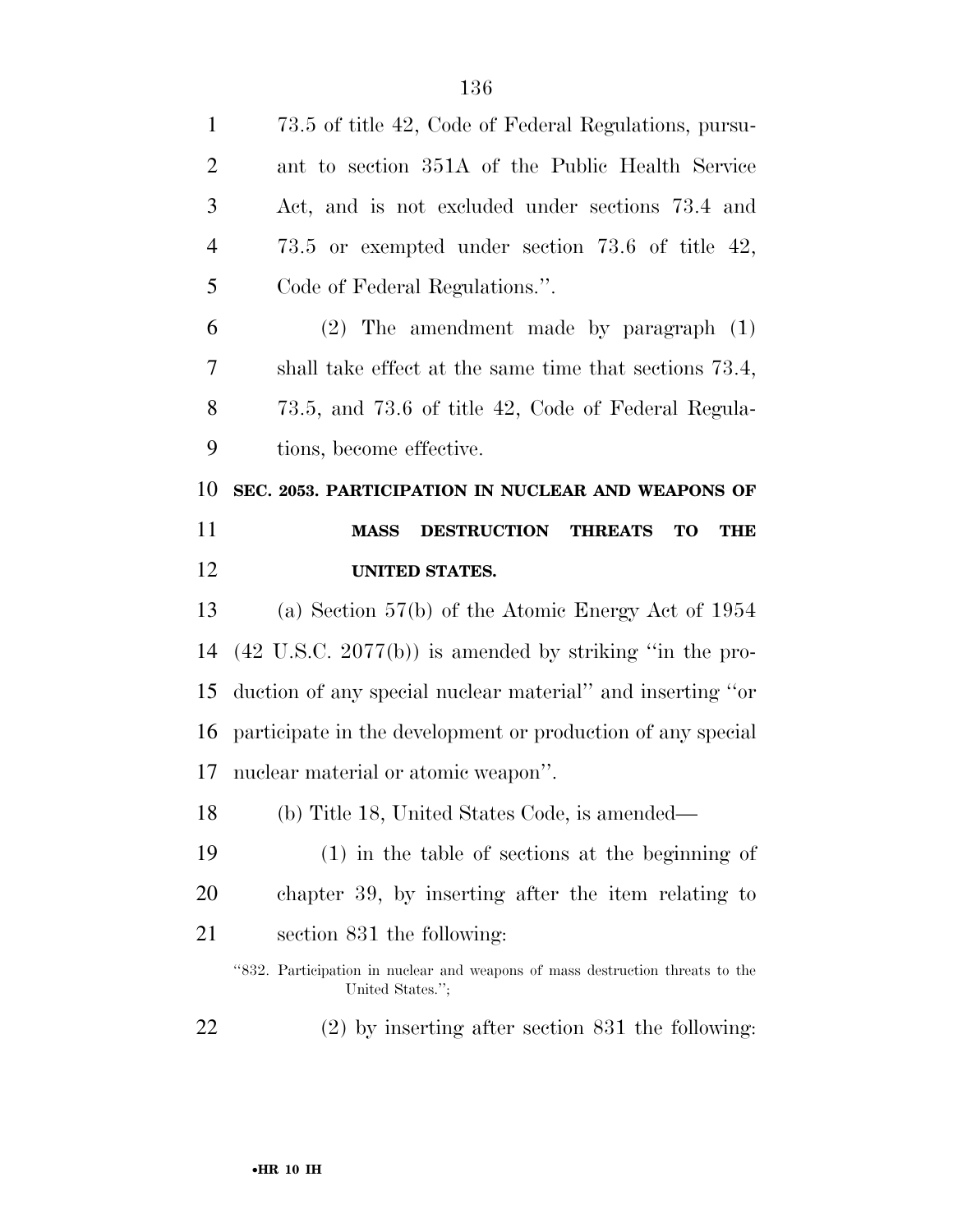| $\mathbf{1}$   | 73.5 of title 42, Code of Federal Regulations, pursu-                                             |
|----------------|---------------------------------------------------------------------------------------------------|
| $\overline{2}$ | ant to section 351A of the Public Health Service                                                  |
| 3              | Act, and is not excluded under sections 73.4 and                                                  |
| $\overline{4}$ | 73.5 or exempted under section 73.6 of title $42$ ,                                               |
| 5              | Code of Federal Regulations.".                                                                    |
| 6              | $(2)$ The amendment made by paragraph $(1)$                                                       |
| 7              | shall take effect at the same time that sections 73.4,                                            |
| 8              | 73.5, and 73.6 of title 42, Code of Federal Regula-                                               |
| 9              | tions, become effective.                                                                          |
| 10             | SEC. 2053. PARTICIPATION IN NUCLEAR AND WEAPONS OF                                                |
| 11             | DESTRUCTION THREATS<br><b>TO</b><br><b>MASS</b><br><b>THE</b>                                     |
|                | <b>UNITED STATES.</b>                                                                             |
| 12             |                                                                                                   |
| 13             | (a) Section $57(b)$ of the Atomic Energy Act of 1954                                              |
| 14             | $(42 \text{ U.S.C. } 2077(b))$ is amended by striking "in the pro-                                |
| 15             | duction of any special nuclear material" and inserting "or                                        |
| 16             | participate in the development or production of any special                                       |
|                | nuclear material or atomic weapon".                                                               |
| 17<br>18       | (b) Title 18, United States Code, is amended—                                                     |
| 19             | $(1)$ in the table of sections at the beginning of                                                |
| 20             | chapter 39, by inserting after the item relating to                                               |
| 21             | section 831 the following:                                                                        |
|                | "832. Participation in nuclear and weapons of mass destruction threats to the<br>United States."; |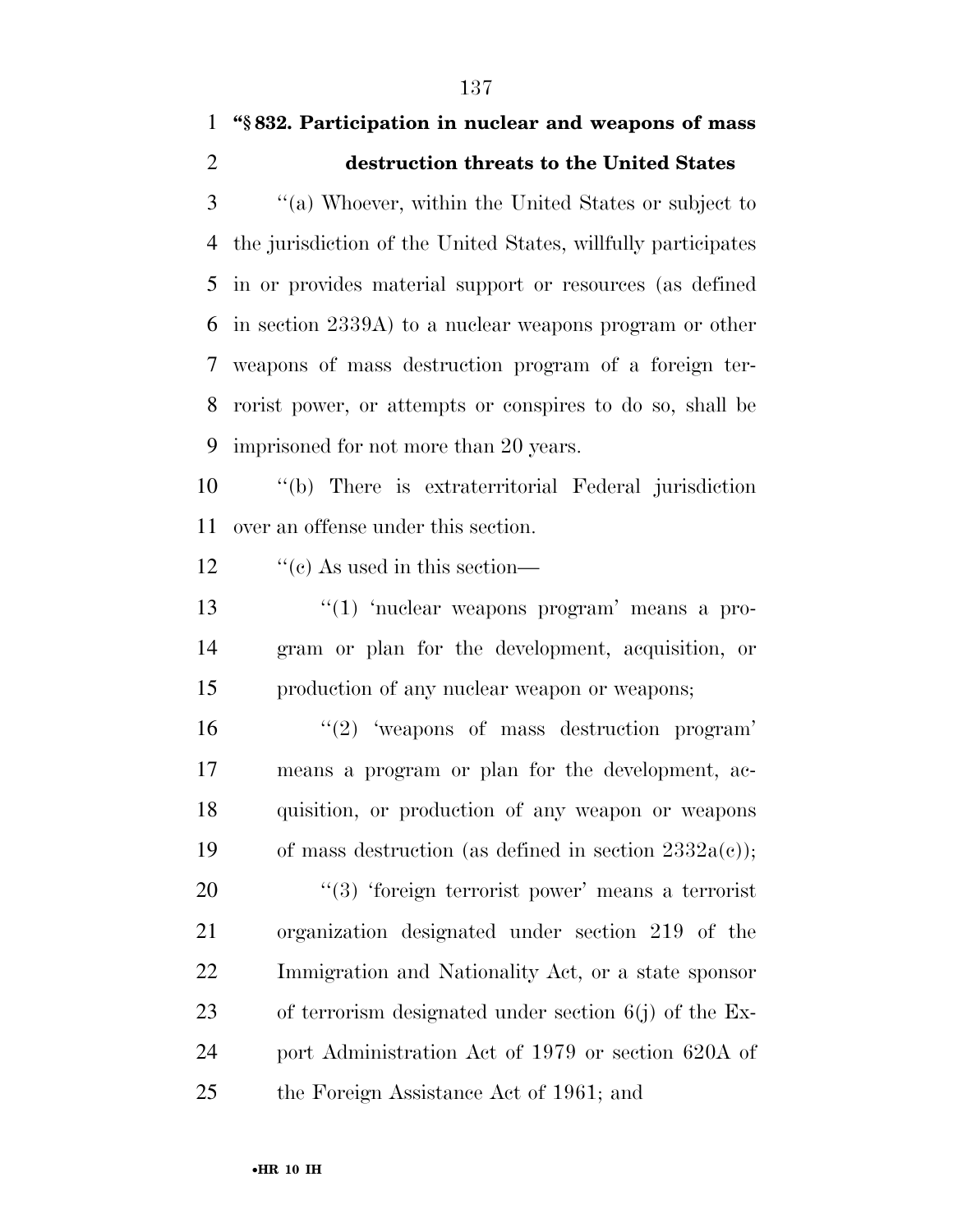## **''§ 832. Participation in nuclear and weapons of mass destruction threats to the United States**

 ''(a) Whoever, within the United States or subject to the jurisdiction of the United States, willfully participates in or provides material support or resources (as defined in section 2339A) to a nuclear weapons program or other weapons of mass destruction program of a foreign ter- rorist power, or attempts or conspires to do so, shall be imprisoned for not more than 20 years.

 ''(b) There is extraterritorial Federal jurisdiction over an offense under this section.

12  $\frac{1}{2}$  (c) As used in this section—

13  $\frac{1}{2}$   $\frac{1}{2}$  'nuclear weapons program' means a pro- gram or plan for the development, acquisition, or production of any nuclear weapon or weapons;

 $\frac{16}{2}$  'weapons of mass destruction program' means a program or plan for the development, ac- quisition, or production of any weapon or weapons 19 of mass destruction (as defined in section  $2332a(c)$ );

 $\frac{1}{2}$   $(3)$  'foreign terrorist power' means a terrorist organization designated under section 219 of the Immigration and Nationality Act, or a state sponsor of terrorism designated under section 6(j) of the Ex- port Administration Act of 1979 or section 620A of the Foreign Assistance Act of 1961; and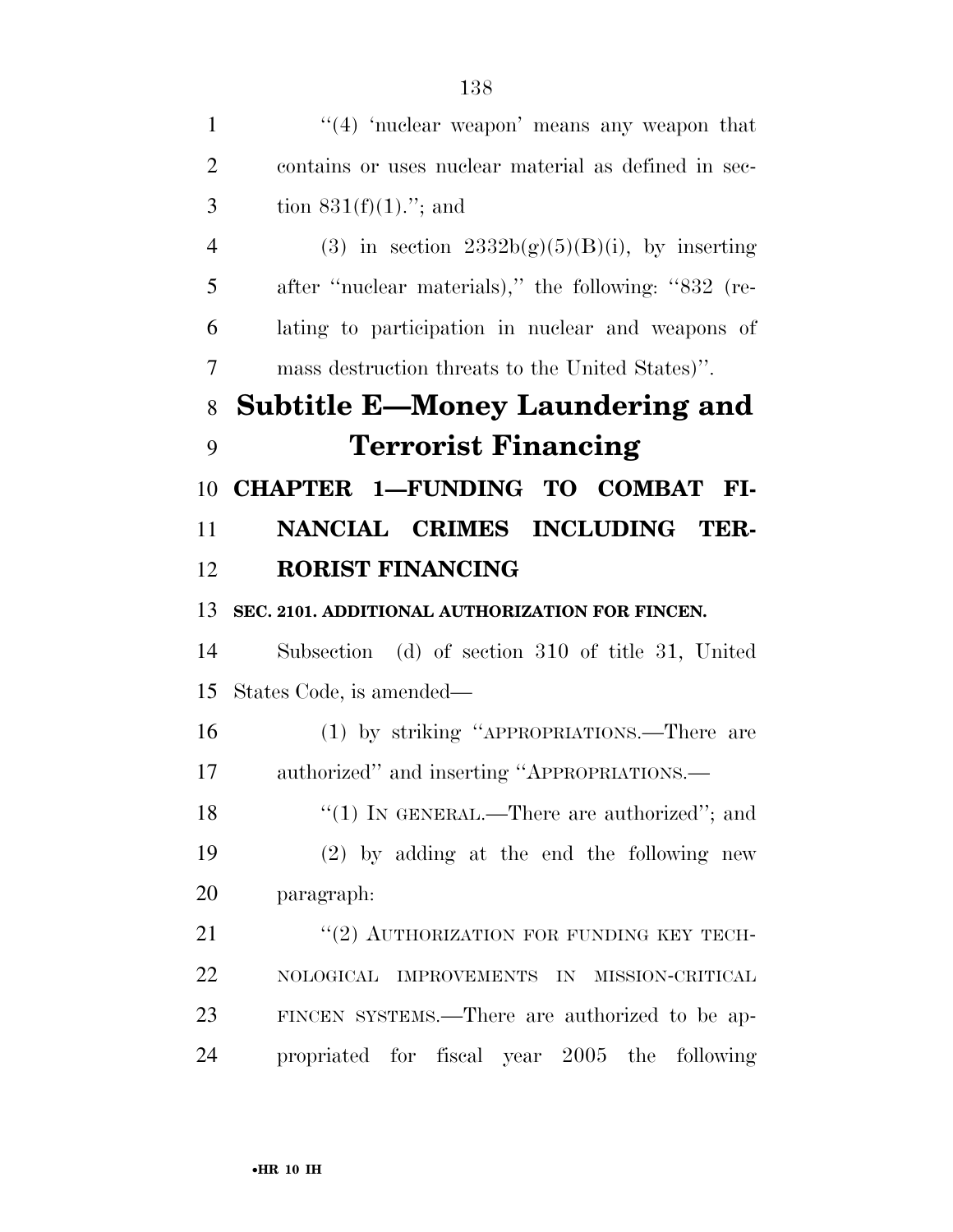$\frac{4}{4}$  'nuclear weapon' means any weapon that contains or uses nuclear material as defined in sec-3 tion  $831(f)(1)$ ."; and 4 (3) in section  $2332b(g)(5)(B)(i)$ , by inserting 5 after "nuclear materials)," the following: "832 (re- lating to participation in nuclear and weapons of mass destruction threats to the United States)''. **Subtitle E—Money Laundering and Terrorist Financing CHAPTER 1—FUNDING TO COMBAT FI- NANCIAL CRIMES INCLUDING TER- RORIST FINANCING SEC. 2101. ADDITIONAL AUTHORIZATION FOR FINCEN.**  Subsection (d) of section 310 of title 31, United States Code, is amended— (1) by striking ''APPROPRIATIONS.—There are authorized'' and inserting ''APPROPRIATIONS.— 18 "(1) IN GENERAL.—There are authorized"; and (2) by adding at the end the following new paragraph: 21 "(2) AUTHORIZATION FOR FUNDING KEY TECH- NOLOGICAL IMPROVEMENTS IN MISSION-CRITICAL FINCEN SYSTEMS.—There are authorized to be ap-propriated for fiscal year 2005 the following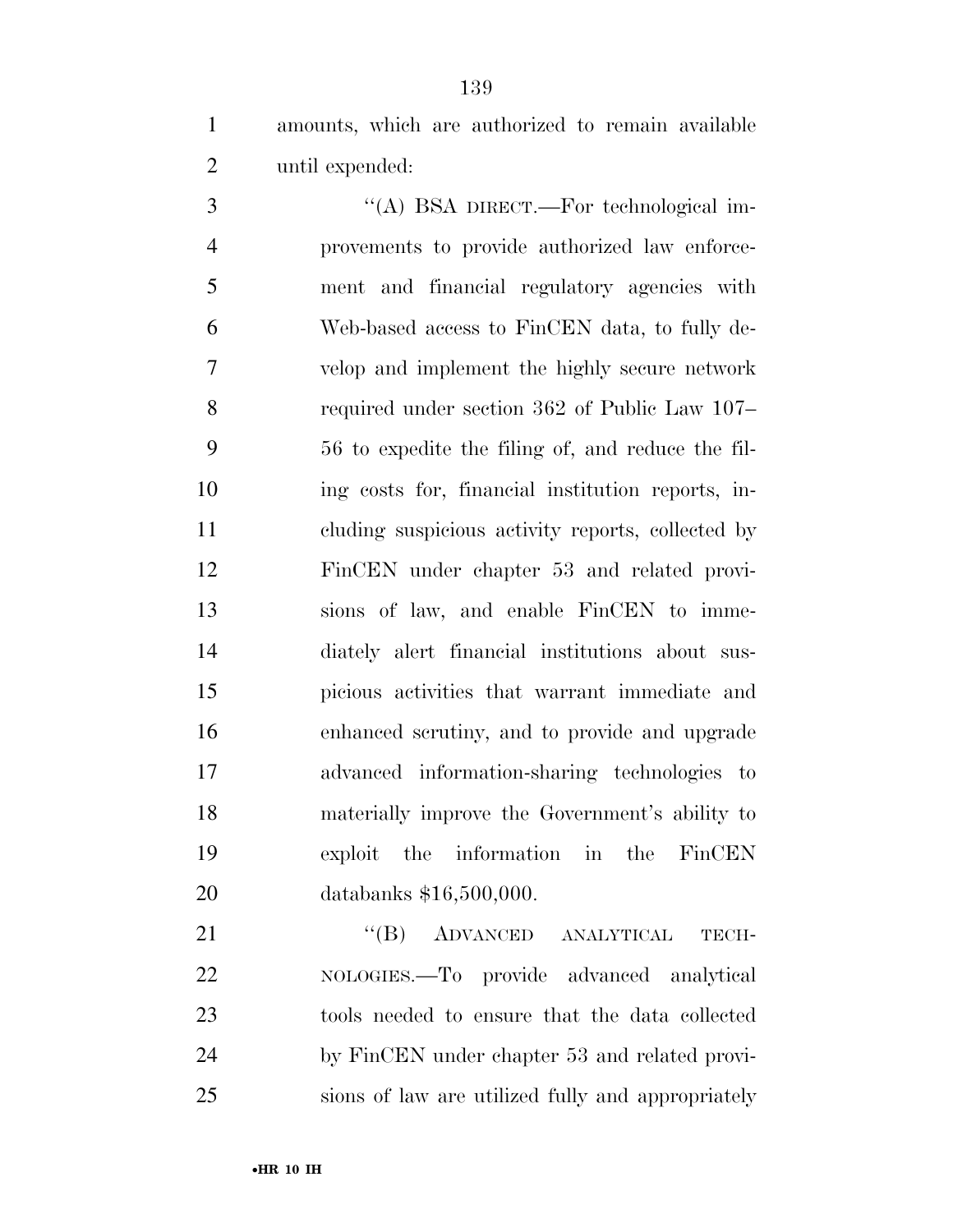amounts, which are authorized to remain available until expended:

3 "(A) BSA DIRECT.—For technological im- provements to provide authorized law enforce- ment and financial regulatory agencies with Web-based access to FinCEN data, to fully de- velop and implement the highly secure network required under section 362 of Public Law 107– 56 to expedite the filing of, and reduce the fil- ing costs for, financial institution reports, in- cluding suspicious activity reports, collected by FinCEN under chapter 53 and related provi- sions of law, and enable FinCEN to imme- diately alert financial institutions about sus- picious activities that warrant immediate and enhanced scrutiny, and to provide and upgrade advanced information-sharing technologies to materially improve the Government's ability to exploit the information in the FinCEN databanks \$16,500,000.

21 "(B) ADVANCED ANALYTICAL TECH- NOLOGIES.—To provide advanced analytical tools needed to ensure that the data collected by FinCEN under chapter 53 and related provi-sions of law are utilized fully and appropriately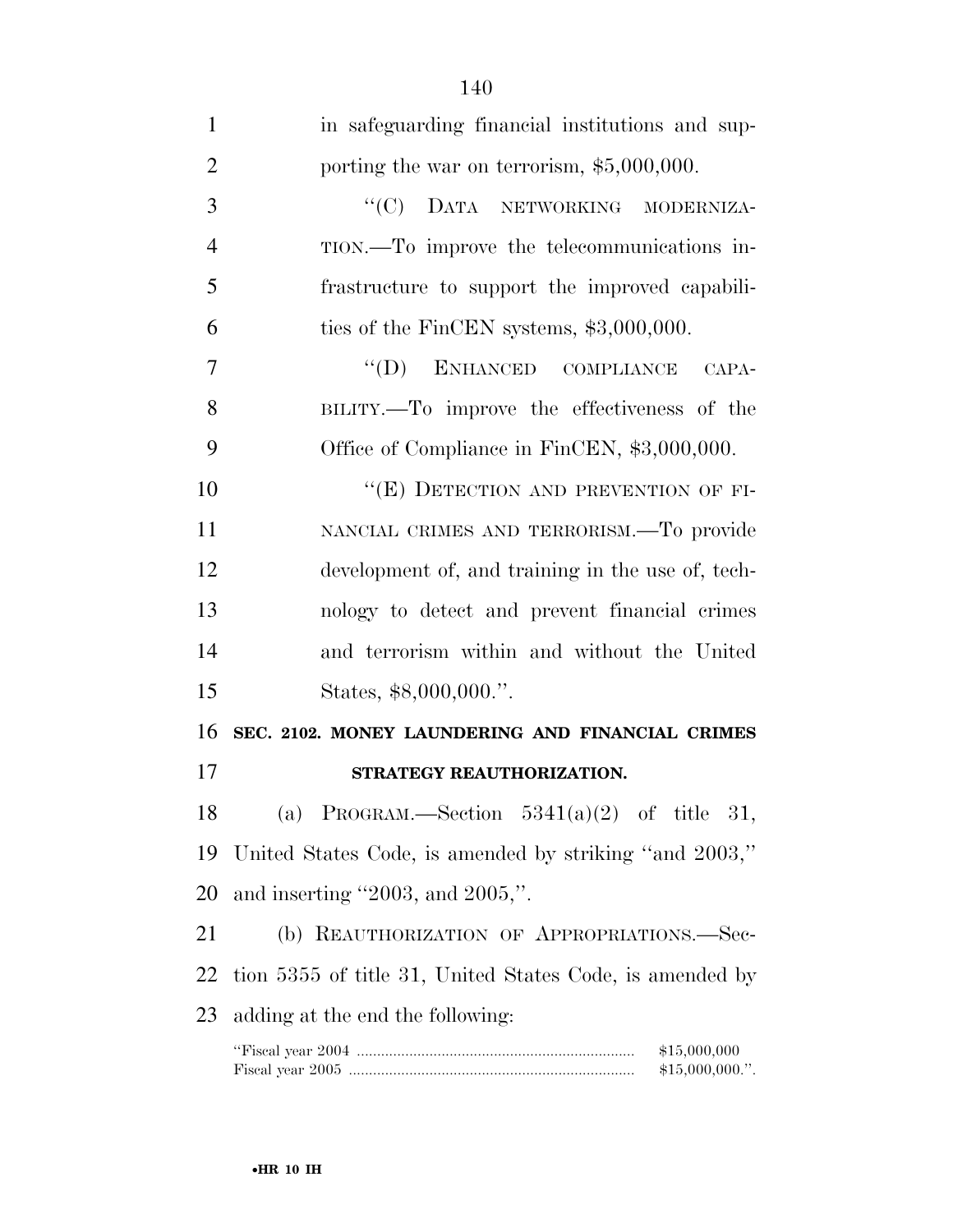| $\mathbf{1}$   | in safeguarding financial institutions and sup-          |
|----------------|----------------------------------------------------------|
| $\overline{2}$ | porting the war on terrorism, \$5,000,000.               |
| 3              | "(C) DATA NETWORKING MODERNIZA-                          |
| $\overline{4}$ | TION.—To improve the telecommunications in-              |
| 5              | frastructure to support the improved capabili-           |
| 6              | ties of the FinCEN systems, $$3,000,000$ .               |
| 7              | "(D) ENHANCED COMPLIANCE CAPA-                           |
| 8              | BILITY.—To improve the effectiveness of the              |
| 9              | Office of Compliance in FinCEN, \$3,000,000.             |
| 10             | "(E) DETECTION AND PREVENTION OF FI-                     |
| 11             | NANCIAL CRIMES AND TERRORISM.—To provide                 |
| 12             | development of, and training in the use of, tech-        |
| 13             | nology to detect and prevent financial crimes            |
| 14             | and terrorism within and without the United              |
| 15             | States, \$8,000,000."                                    |
| 16             | SEC. 2102. MONEY LAUNDERING AND FINANCIAL CRIMES         |
| 17             | STRATEGY REAUTHORIZATION.                                |
| 18             | (a) PROGRAM.—Section $5341(a)(2)$ of title 31,           |
| 19             | United States Code, is amended by striking "and 2003,"   |
| 20             | and inserting $"2003$ , and $2005,"$ .                   |
| 21             | (b) REAUTHORIZATION OF APPROPRIATIONS.-Sec-              |
| 22             | tion 5355 of title 31, United States Code, is amended by |
| 23             | adding at the end the following:                         |
|                |                                                          |

Fiscal year 2005 ....................................................................... \$15,000,000.''.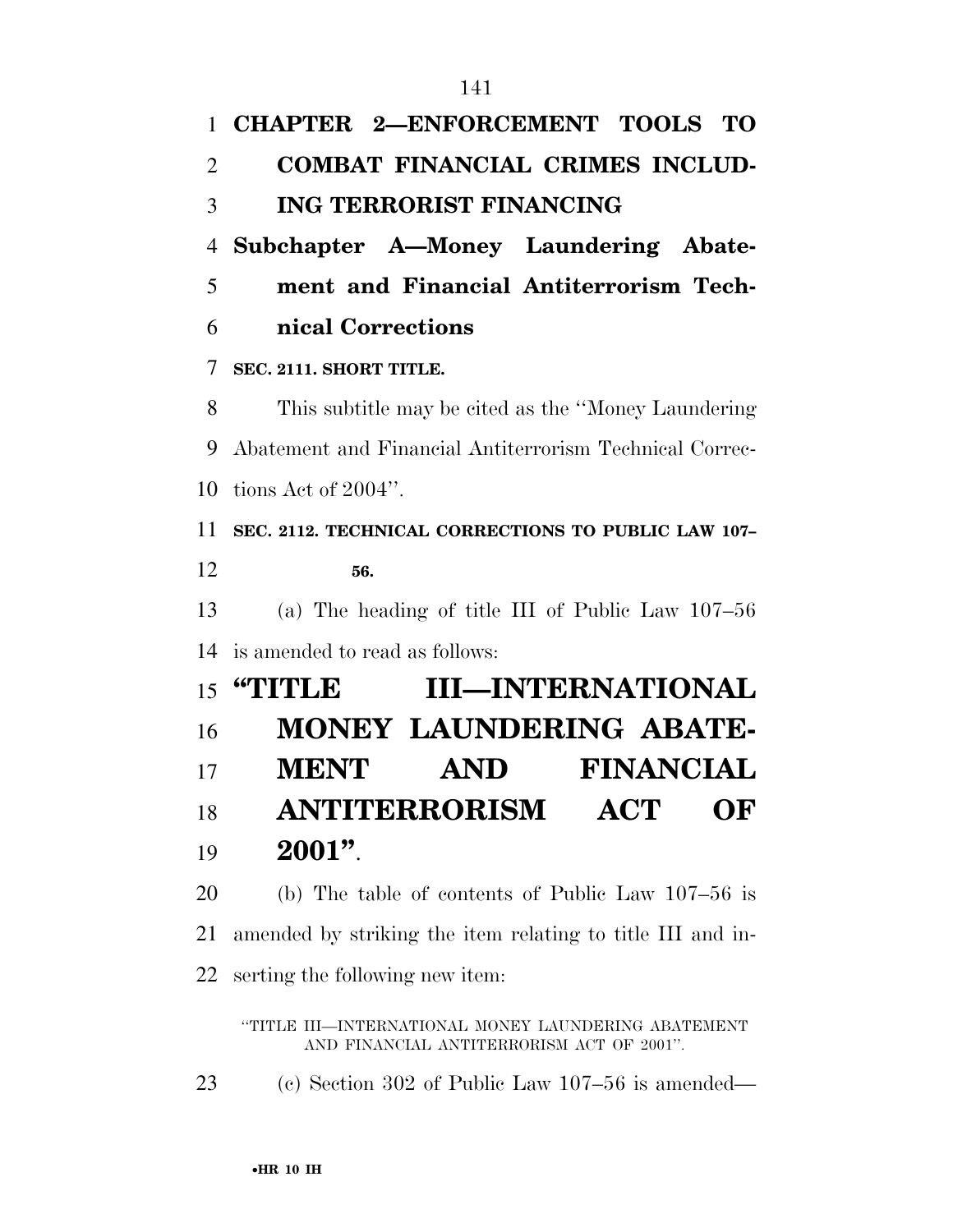| 1  | CHAPTER 2-ENFORCEMENT TOOLS TO                             |
|----|------------------------------------------------------------|
| 2  | <b>COMBAT FINANCIAL CRIMES INCLUD-</b>                     |
| 3  | <b>ING TERRORIST FINANCING</b>                             |
| 4  | Subchapter A-Money Laundering Abate-                       |
| 5  | ment and Financial Antiterrorism Tech-                     |
| 6  | nical Corrections                                          |
| 7  | SEC. 2111. SHORT TITLE.                                    |
| 8  | This subtitle may be cited as the "Money Laundering"       |
| 9  | Abatement and Financial Antiterrorism Technical Correc-    |
| 10 | tions Act of $2004$ ".                                     |
| 11 | SEC. 2112. TECHNICAL CORRECTIONS TO PUBLIC LAW 107-        |
| 12 | 56.                                                        |
| 13 | (a) The heading of title III of Public Law $107-56$        |
| 14 | is amended to read as follows:                             |
| 15 | <b>III-INTERNATIONAL</b><br>"TITLE                         |
| 16 | <b>MONEY LAUNDERING ABATE-</b>                             |
| 17 | <b>FINANCIAL</b><br><b>MENT</b><br>AND                     |
| 18 | <b>ANTITERRORISM</b><br><b>ACT</b><br>OF                   |
| 19 | $2001"$ .                                                  |
| 20 | (b) The table of contents of Public Law $107-56$ is        |
| 21 | amended by striking the item relating to title III and in- |
| 22 | serting the following new item:                            |

''TITLE III—INTERNATIONAL MONEY LAUNDERING ABATEMENT AND FINANCIAL ANTITERRORISM ACT OF 2001''.

(c) Section 302 of Public Law 107–56 is amended—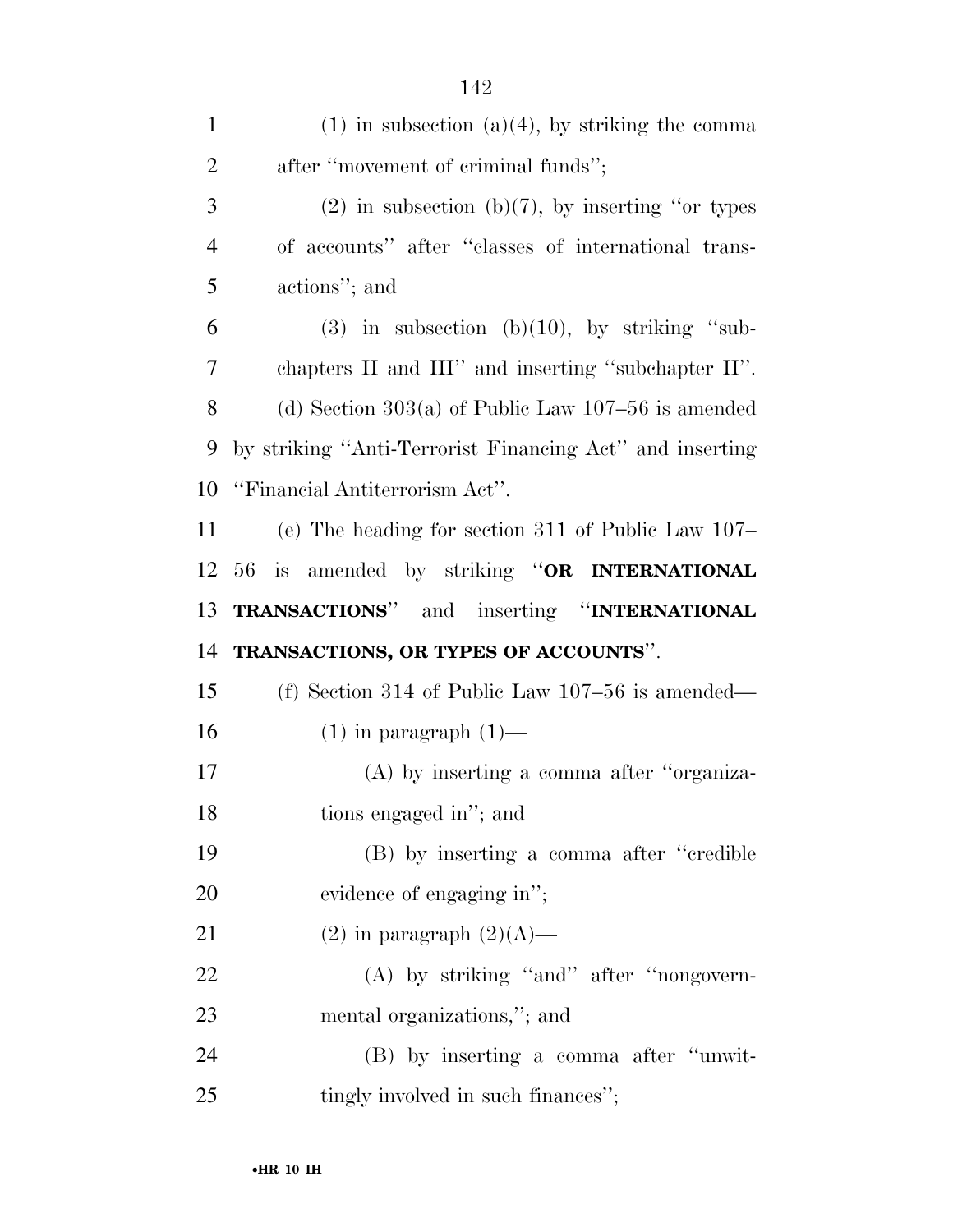| $\mathbf{1}$   | $(1)$ in subsection $(a)(4)$ , by striking the comma     |
|----------------|----------------------------------------------------------|
| $\overline{2}$ | after "movement of criminal funds";                      |
| 3              | $(2)$ in subsection (b)(7), by inserting "or types       |
| $\overline{4}$ | of accounts" after "classes of international trans-      |
| 5              | actions"; and                                            |
| 6              | $(3)$ in subsection $(b)(10)$ , by striking "sub-        |
| 7              | chapters II and III" and inserting "subchapter II".      |
| 8              | (d) Section $303(a)$ of Public Law $107-56$ is amended   |
| 9              | by striking "Anti-Terrorist Financing Act" and inserting |
| 10             | "Financial Antiterrorism Act".                           |
| 11             | (e) The heading for section 311 of Public Law $107-$     |
| 12             | 56 is amended by striking "OR INTERNATIONAL              |
| 13             | TRANSACTIONS" and inserting "INTERNATIONAL               |
| 14             | TRANSACTIONS, OR TYPES OF ACCOUNTS".                     |
|                |                                                          |
| 15             | (f) Section 314 of Public Law $107-56$ is amended—       |
| 16             | $(1)$ in paragraph $(1)$ —                               |
| 17             | $(A)$ by inserting a comma after "organiza-              |
| 18             | tions engaged in"; and                                   |
| 19             | (B) by inserting a comma after "credible"                |
| 20             | evidence of engaging in";                                |
| 21             | $(2)$ in paragraph $(2)(A)$ —                            |
| 22             | (A) by striking "and" after "nongovern-                  |
| 23             | mental organizations,"; and                              |
| 24             | (B) by inserting a comma after "unwit-                   |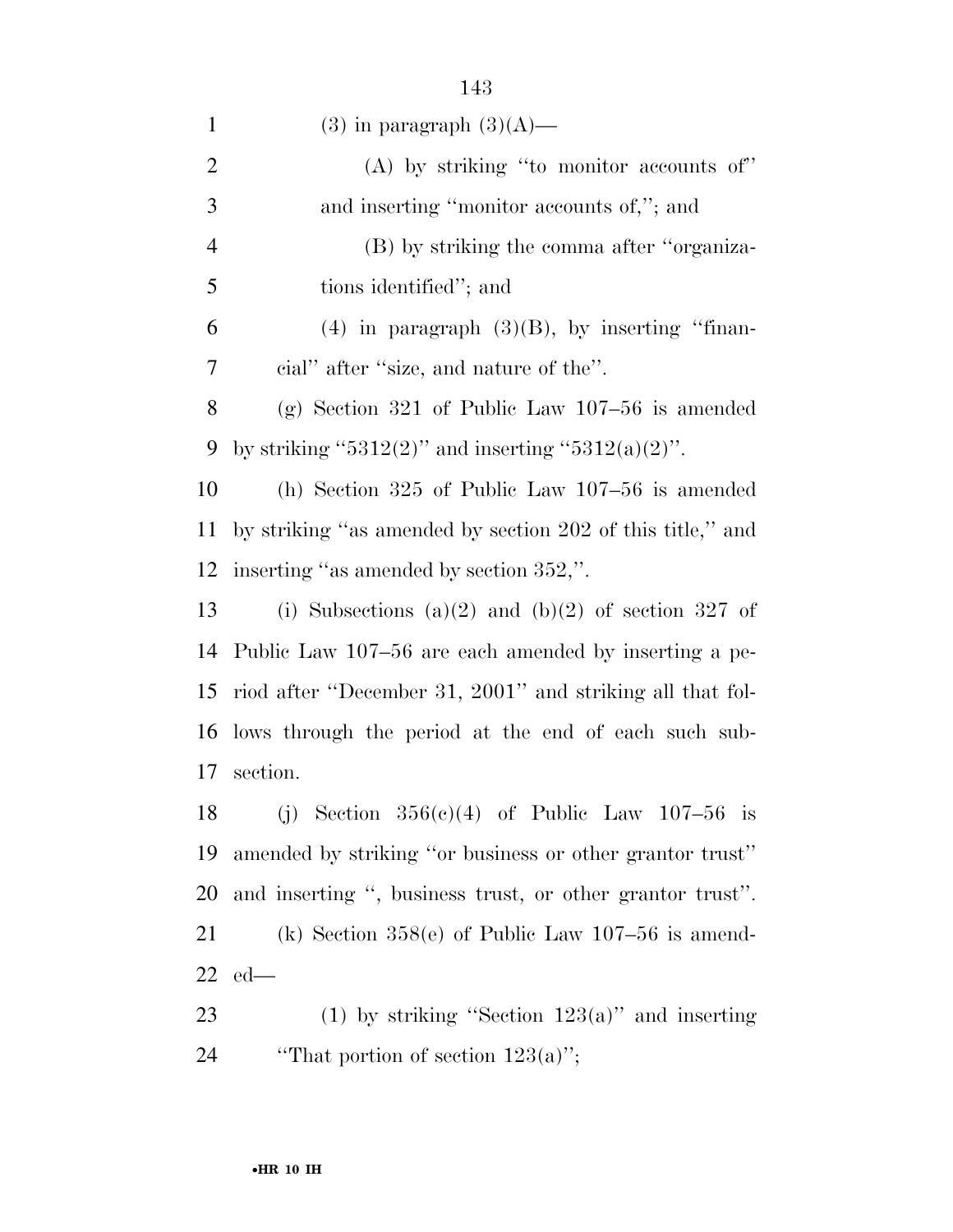1 (3) in paragraph  $(3)(A)$ — (A) by striking ''to monitor accounts of'' and inserting ''monitor accounts of,''; and (B) by striking the comma after ''organiza- tions identified''; and 6 (4) in paragraph  $(3)(B)$ , by inserting "finan- cial'' after ''size, and nature of the''. (g) Section 321 of Public Law 107–56 is amended 9 by striking "5312(2)" and inserting "5312(a)(2)". (h) Section 325 of Public Law 107–56 is amended by striking ''as amended by section 202 of this title,'' and inserting ''as amended by section 352,''. 13 (i) Subsections (a)(2) and (b)(2) of section 327 of Public Law 107–56 are each amended by inserting a pe- riod after ''December 31, 2001'' and striking all that fol- lows through the period at the end of each such sub- section. 18 (i) Section  $356(e)(4)$  of Public Law 107–56 is amended by striking ''or business or other grantor trust'' and inserting '', business trust, or other grantor trust''. (k) Section 358(e) of Public Law 107–56 is amend- ed— 23 (1) by striking "Section  $123(a)$ " and inserting

24  $\qquad$  "That portion of section 123(a)";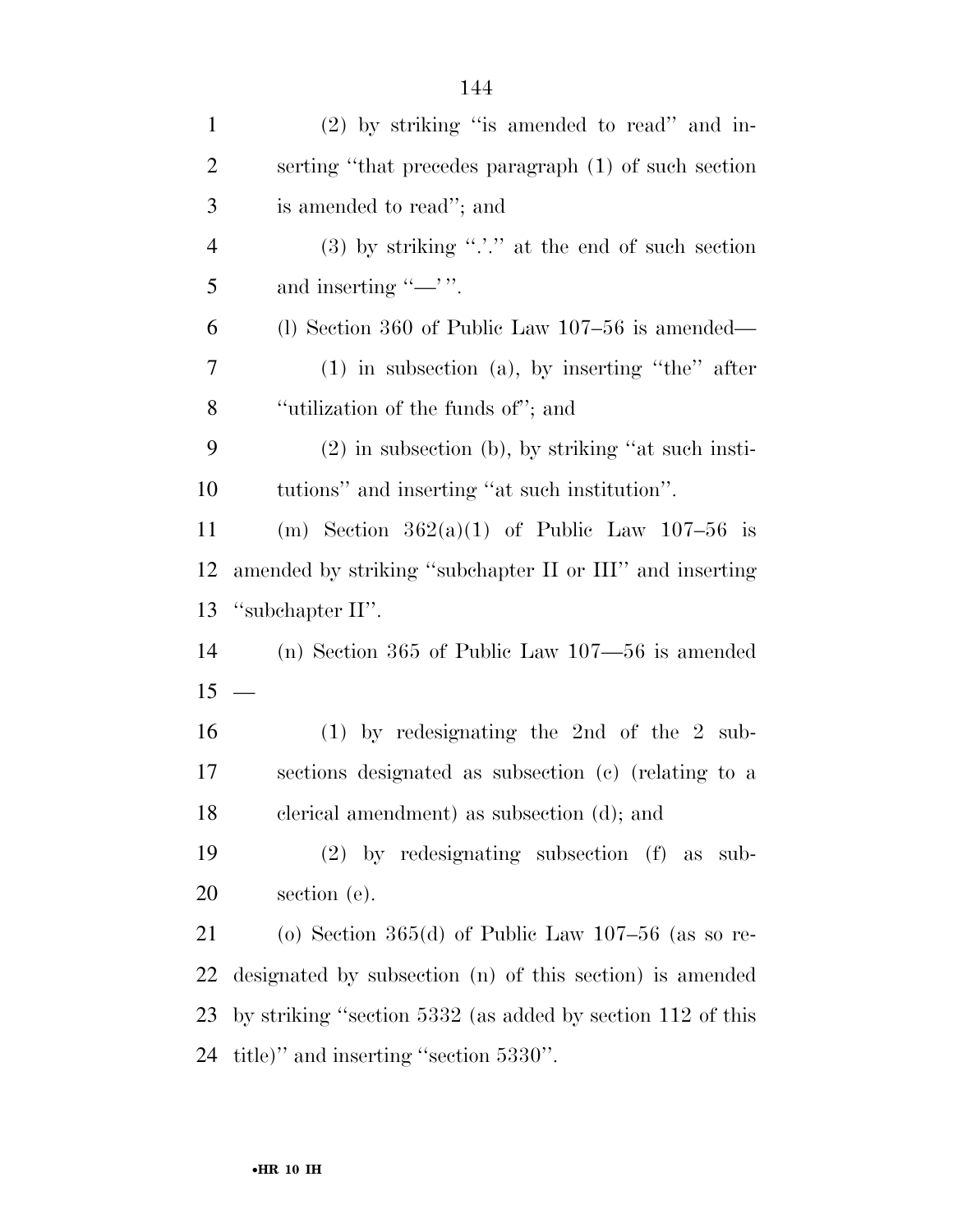| $\mathbf{1}$   | $(2)$ by striking "is amended to read" and in-              |
|----------------|-------------------------------------------------------------|
| $\overline{2}$ | serting "that precedes paragraph (1) of such section        |
| 3              | is amended to read"; and                                    |
| $\overline{4}$ | (3) by striking " $\therefore$ " at the end of such section |
| 5              | and inserting " $\rightarrow$ ".                            |
| 6              | (1) Section 360 of Public Law $107-56$ is amended—          |
| 7              | $(1)$ in subsection $(a)$ , by inserting "the" after        |
| 8              | "utilization of the funds of"; and                          |
| 9              | $(2)$ in subsection (b), by striking "at such insti-        |
| 10             | tutions" and inserting "at such institution".               |
| 11             | (m) Section $362(a)(1)$ of Public Law $107-56$ is           |
| 12             | amended by striking "subchapter II or III" and inserting    |
| 13             | "subchapter II".                                            |
| 14             | (n) Section 365 of Public Law $107 - 56$ is amended         |
| 15             | $\frac{1}{1}$                                               |
| 16             | $(1)$ by redesignating the 2nd of the 2 sub-                |
| 17             | sections designated as subsection (c) (relating to a        |
| 18             | elerical amendment) as subsection (d); and                  |
| 19             | $(2)$ by redesignating subsection $(f)$ as<br>sub-          |
| 20             | section (e).                                                |
| 21             | (o) Section $365(d)$ of Public Law $107-56$ (as so re-      |
| 22             | designated by subsection (n) of this section) is amended    |
| 23             | by striking "section 5332 (as added by section 112 of this  |
| 24             | title)" and inserting "section 5330".                       |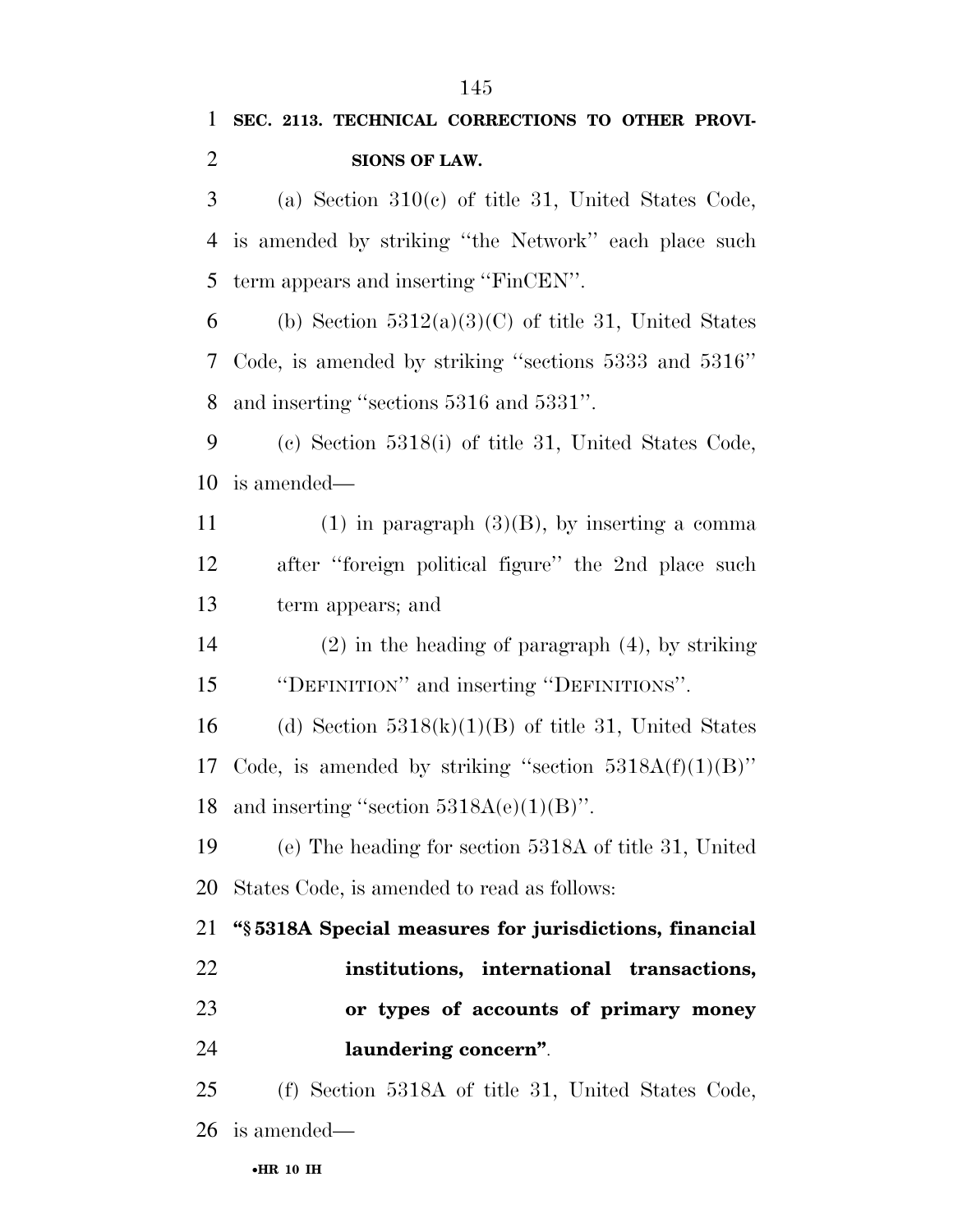## **SEC. 2113. TECHNICAL CORRECTIONS TO OTHER PROVI-SIONS OF LAW.**

 (a) Section 310(c) of title 31, United States Code, is amended by striking ''the Network'' each place such term appears and inserting ''FinCEN''.

6 (b) Section  $5312(a)(3)(C)$  of title 31, United States Code, is amended by striking ''sections 5333 and 5316'' and inserting ''sections 5316 and 5331''.

 (c) Section 5318(i) of title 31, United States Code, is amended—

11 (1) in paragraph  $(3)(B)$ , by inserting a comma after ''foreign political figure'' the 2nd place such term appears; and

 (2) in the heading of paragraph (4), by striking ''DEFINITION'' and inserting ''DEFINITIONS''.

16 (d) Section  $5318(k)(1)(B)$  of title 31, United States 17 Code, is amended by striking "section  $5318A(f)(1)(B)$ " 18 and inserting "section  $5318A(e)(1)(B)$ ".

 (e) The heading for section 5318A of title 31, United States Code, is amended to read as follows:

 **''§ 5318A Special measures for jurisdictions, financial institutions, international transactions, or types of accounts of primary money laundering concern''**.

 (f) Section 5318A of title 31, United States Code, is amended—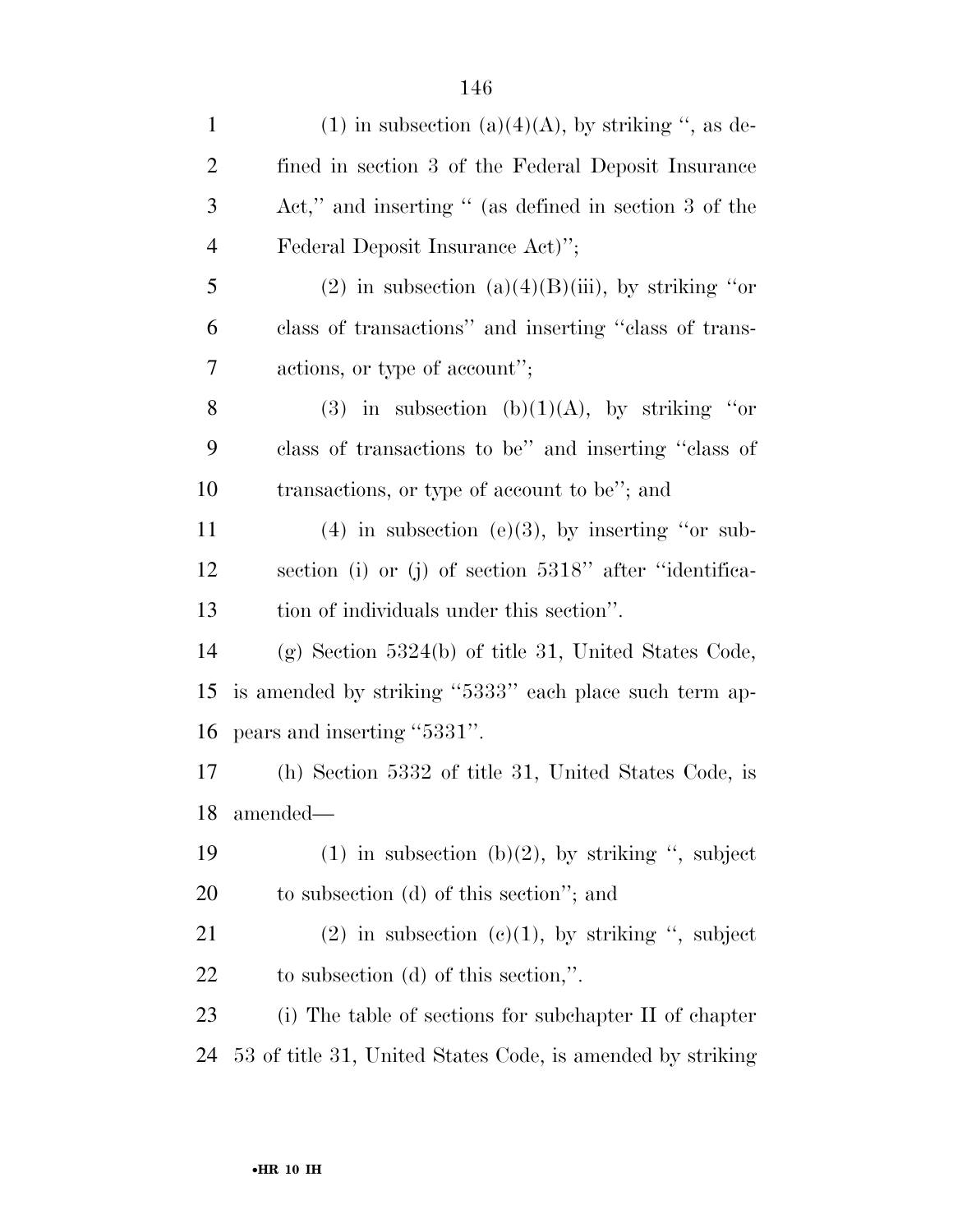| $(1)$ in subsection $(a)(4)(A)$ , by striking ", as de- |
|---------------------------------------------------------|
| fined in section 3 of the Federal Deposit Insurance     |
| Act," and inserting " (as defined in section 3 of the   |
| Federal Deposit Insurance Act)";                        |
| (2) in subsection (a)(4)(B)(iii), by striking "or       |
| class of transactions" and inserting "class of trans-   |
| actions, or type of account";                           |
| (3) in subsection (b)(1)(A), by striking "or            |
| class of transactions to be" and inserting "class of    |
| transactions, or type of account to be"; and            |
| $(4)$ in subsection (e)(3), by inserting "or sub-       |
| section (i) or (j) of section 5318" after "identifica-  |
| tion of individuals under this section".                |
| $(g)$ Section 5324(b) of title 31, United States Code,  |
| is amended by striking "5333" each place such term ap-  |
| pears and inserting "5331".                             |
| (h) Section 5332 of title 31, United States Code, is    |
| amended-                                                |
| $(1)$ in subsection $(b)(2)$ , by striking ", subject   |
| to subsection (d) of this section"; and                 |
| (2) in subsection (c)(1), by striking ", subject        |
| to subsection $(d)$ of this section,".                  |
| (i) The table of sections for subchapter II of chapter  |
|                                                         |
|                                                         |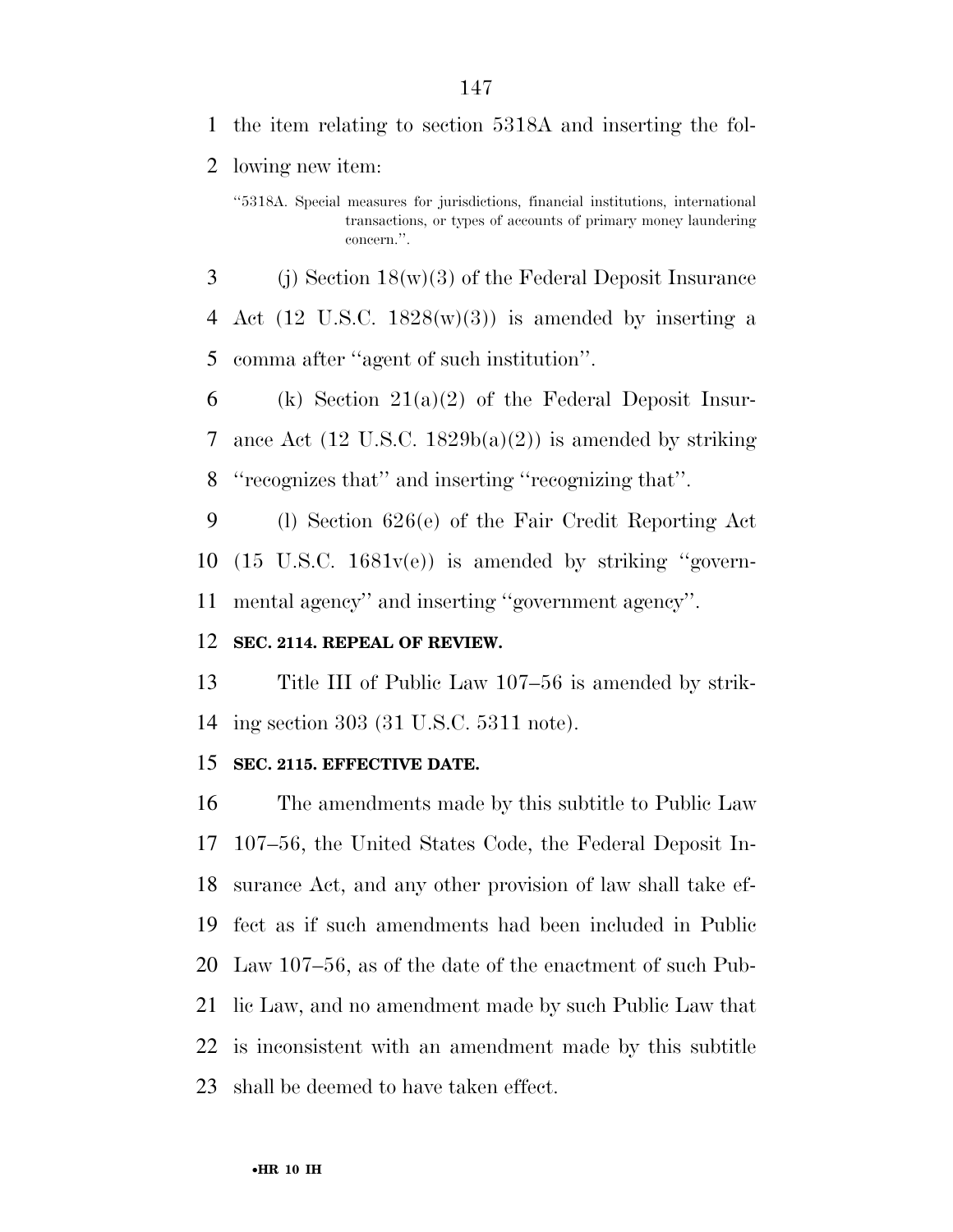lowing new item:

 (i) Section  $18(w)(3)$  of the Federal Deposit Insurance 4 Act (12 U.S.C.  $1828(w)(3)$ ) is amended by inserting a comma after ''agent of such institution''.

6 (k) Section  $21(a)(2)$  of the Federal Deposit Insur-7 ance Act  $(12 \text{ U.S.C. } 1829b(a)(2))$  is amended by striking ''recognizes that'' and inserting ''recognizing that''.

 (l) Section 626(e) of the Fair Credit Reporting Act (15 U.S.C. 1681v(e)) is amended by striking ''govern-mental agency'' and inserting ''government agency''.

### **SEC. 2114. REPEAL OF REVIEW.**

 Title III of Public Law 107–56 is amended by strik-ing section 303 (31 U.S.C. 5311 note).

#### **SEC. 2115. EFFECTIVE DATE.**

 The amendments made by this subtitle to Public Law 107–56, the United States Code, the Federal Deposit In- surance Act, and any other provision of law shall take ef- fect as if such amendments had been included in Public Law 107–56, as of the date of the enactment of such Pub- lic Law, and no amendment made by such Public Law that is inconsistent with an amendment made by this subtitle shall be deemed to have taken effect.

<sup>&#</sup>x27;'5318A. Special measures for jurisdictions, financial institutions, international transactions, or types of accounts of primary money laundering concern.''.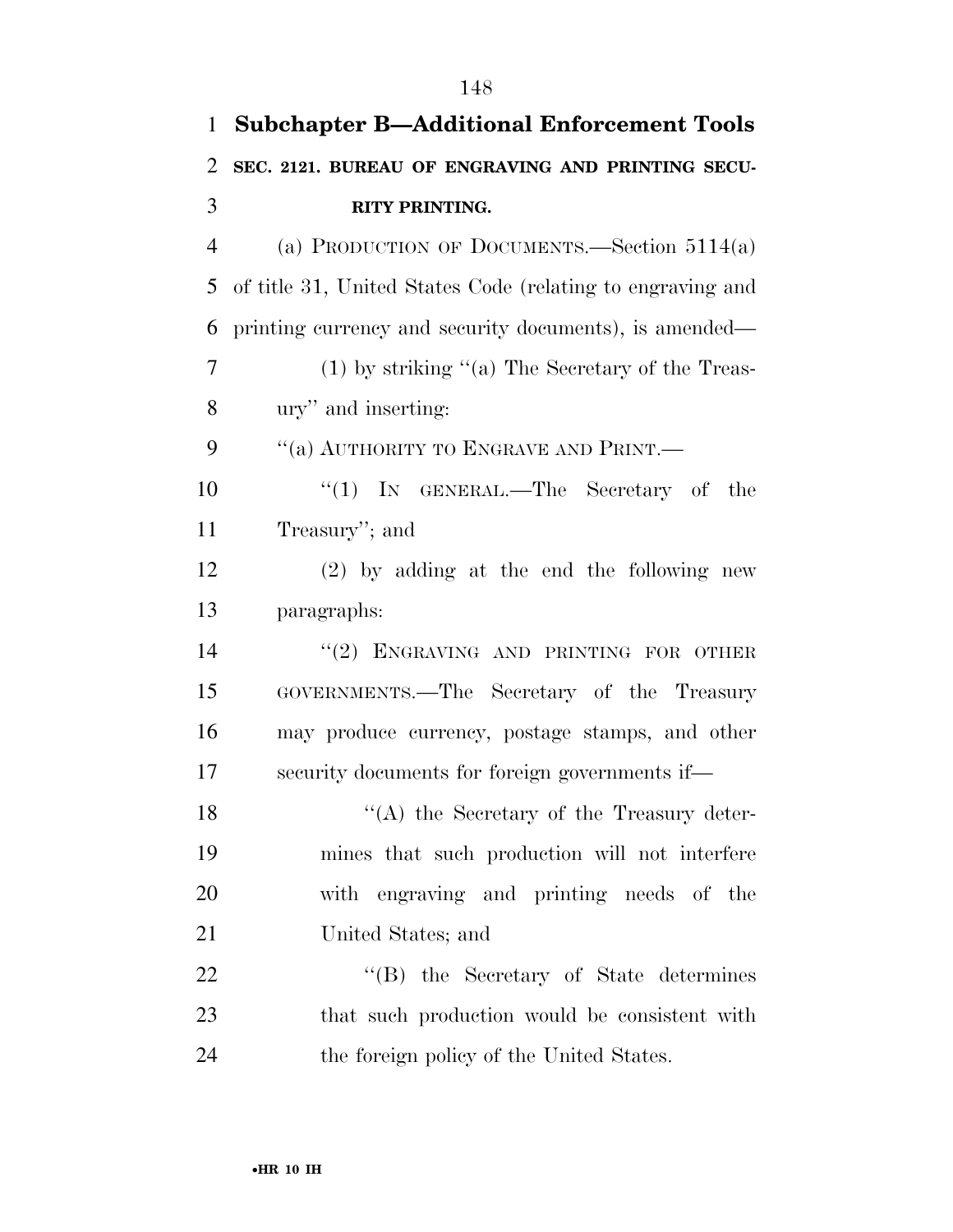| $\mathbf{1}$ | <b>Subchapter B-Additional Enforcement Tools</b>           |
|--------------|------------------------------------------------------------|
| 2            | SEC. 2121. BUREAU OF ENGRAVING AND PRINTING SECU-          |
| 3            | <b>RITY PRINTING.</b>                                      |
| 4            | (a) PRODUCTION OF DOCUMENTS.—Section $5114(a)$             |
| 5            | of title 31, United States Code (relating to engraving and |
| 6            | printing currency and security documents), is amended—     |
| 7            | $(1)$ by striking "(a) The Secretary of the Treas-         |
| 8            | ury" and inserting:                                        |
| 9            | "(a) AUTHORITY TO ENGRAVE AND PRINT.—                      |
| 10           | "(1) IN GENERAL.—The Secretary of the                      |
| 11           | Treasury"; and                                             |
| 12           | $(2)$ by adding at the end the following new               |
| 13           | paragraphs:                                                |
| 14           | "(2) ENGRAVING AND PRINTING FOR OTHER                      |
| 15           | GOVERNMENTS.—The Secretary of the Treasury                 |
| 16           | may produce currency, postage stamps, and other            |
| 17           | security documents for foreign governments if—             |
| 18           | "(A) the Secretary of the Treasury deter-                  |
| 19           | mines that such production will not interfere              |
| 20           | with engraving and printing needs of the                   |
| 21           | United States; and                                         |
| 22           | "(B) the Secretary of State determines                     |
| 23           | that such production would be consistent with              |
| 24           | the foreign policy of the United States.                   |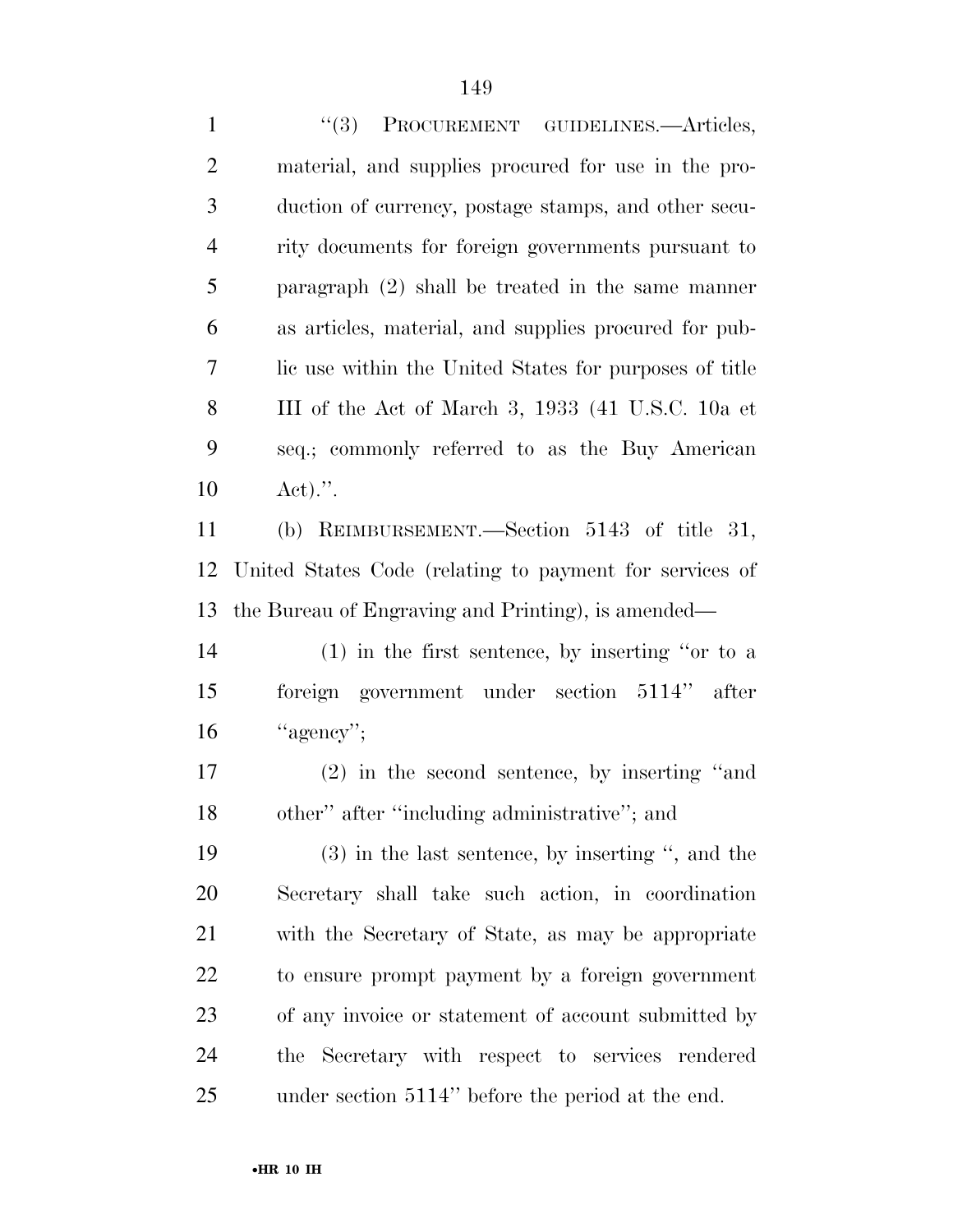''(3) PROCUREMENT GUIDELINES.—Articles, material, and supplies procured for use in the pro- duction of currency, postage stamps, and other secu- rity documents for foreign governments pursuant to paragraph (2) shall be treated in the same manner as articles, material, and supplies procured for pub- lic use within the United States for purposes of title III of the Act of March 3, 1933 (41 U.S.C. 10a et seq.; commonly referred to as the Buy American Act).''. (b) REIMBURSEMENT.—Section 5143 of title 31, United States Code (relating to payment for services of the Bureau of Engraving and Printing), is amended— (1) in the first sentence, by inserting ''or to a foreign government under section 5114'' after "agency": (2) in the second sentence, by inserting ''and other'' after ''including administrative''; and (3) in the last sentence, by inserting '', and the Secretary shall take such action, in coordination with the Secretary of State, as may be appropriate to ensure prompt payment by a foreign government of any invoice or statement of account submitted by the Secretary with respect to services rendered under section 5114'' before the period at the end.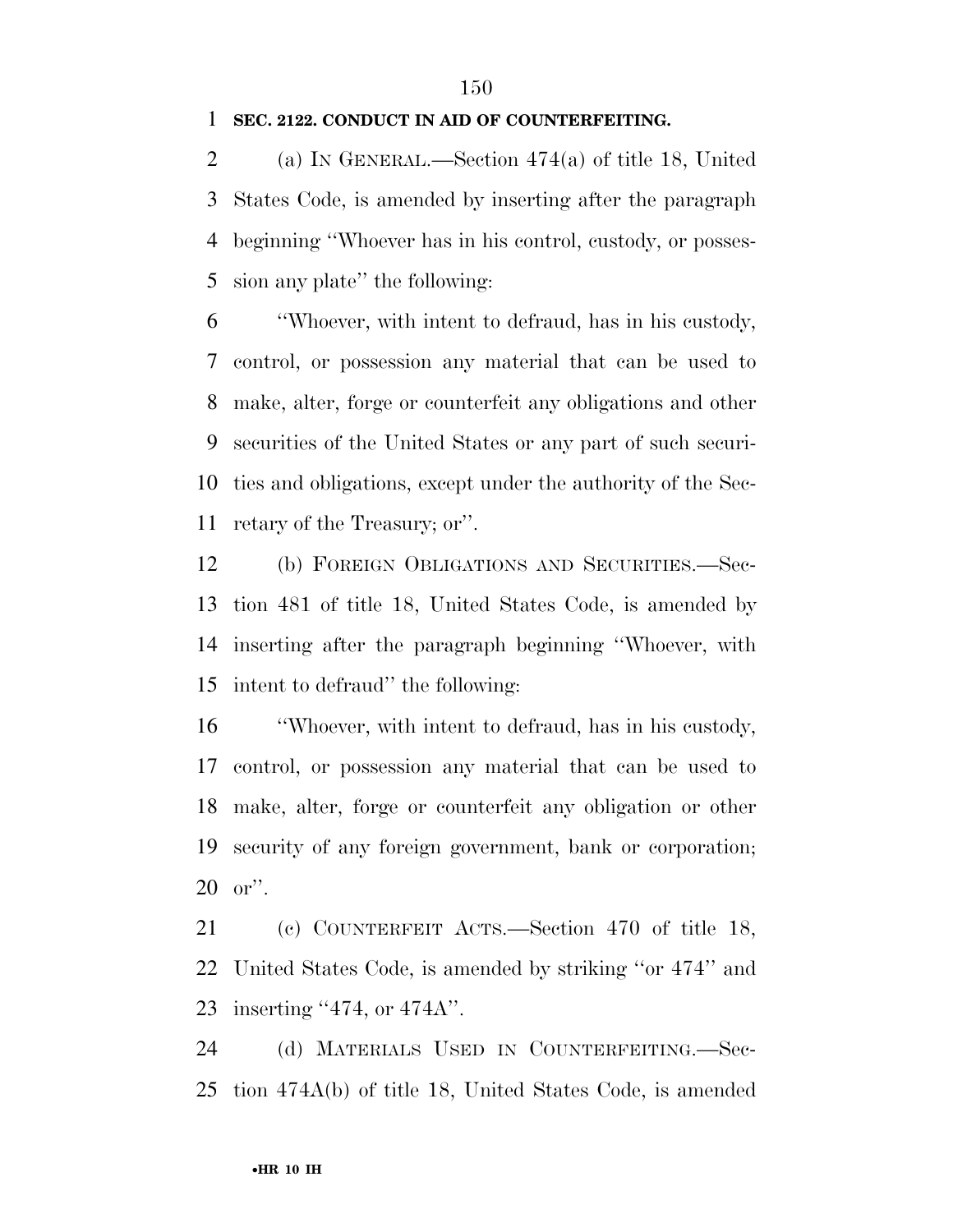### **SEC. 2122. CONDUCT IN AID OF COUNTERFEITING.**

 (a) IN GENERAL.—Section 474(a) of title 18, United States Code, is amended by inserting after the paragraph beginning ''Whoever has in his control, custody, or posses-sion any plate'' the following:

 ''Whoever, with intent to defraud, has in his custody, control, or possession any material that can be used to make, alter, forge or counterfeit any obligations and other securities of the United States or any part of such securi- ties and obligations, except under the authority of the Sec-retary of the Treasury; or''.

 (b) FOREIGN OBLIGATIONS AND SECURITIES.—Sec- tion 481 of title 18, United States Code, is amended by inserting after the paragraph beginning ''Whoever, with intent to defraud'' the following:

 ''Whoever, with intent to defraud, has in his custody, control, or possession any material that can be used to make, alter, forge or counterfeit any obligation or other security of any foreign government, bank or corporation; or''.

 (c) COUNTERFEIT ACTS.—Section 470 of title 18, United States Code, is amended by striking ''or 474'' and inserting ''474, or 474A''.

 (d) MATERIALS USED IN COUNTERFEITING.—Sec-tion 474A(b) of title 18, United States Code, is amended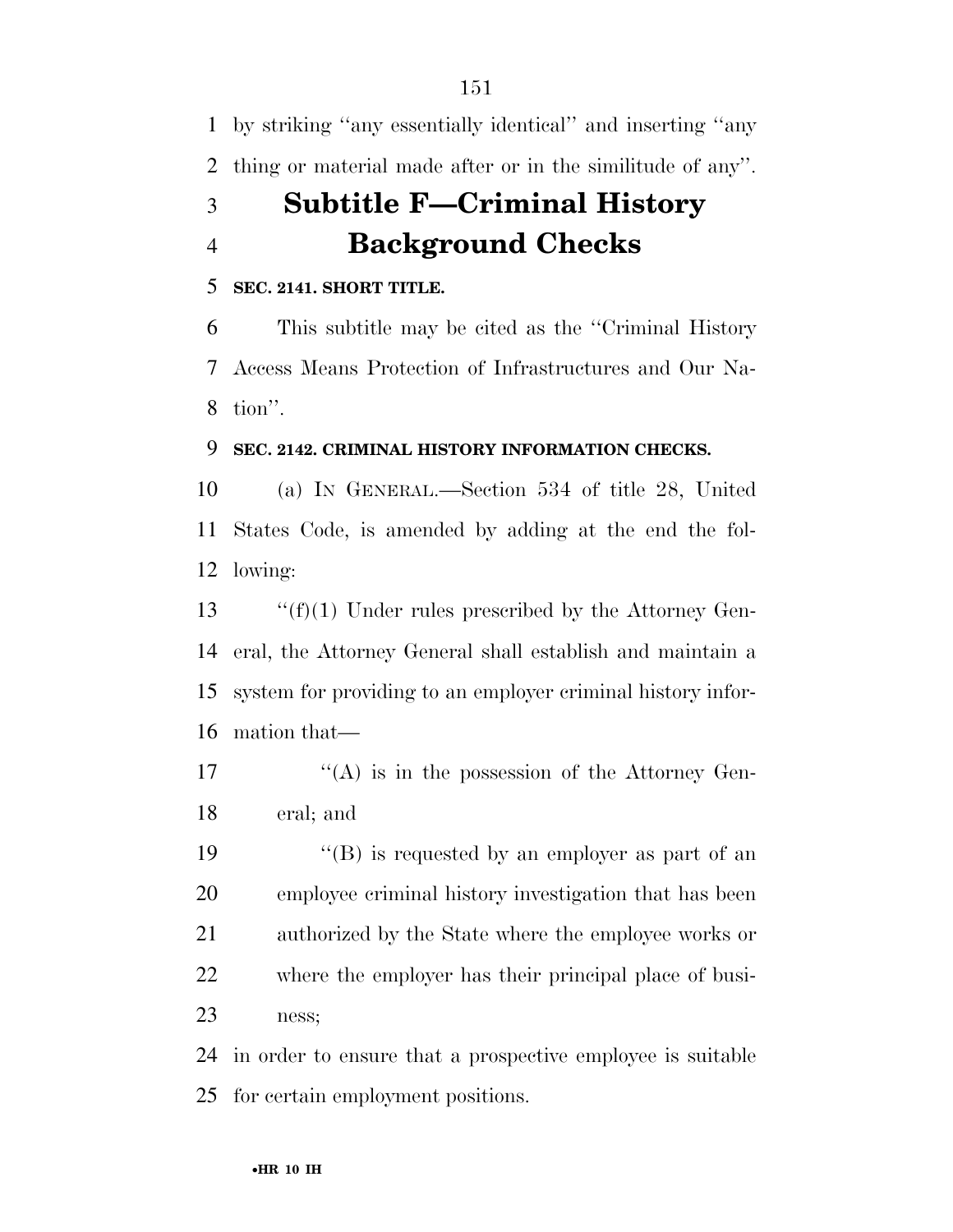by striking ''any essentially identical'' and inserting ''any thing or material made after or in the similitude of any''.

# **Subtitle F—Criminal History Background Checks**

### **SEC. 2141. SHORT TITLE.**

 This subtitle may be cited as the ''Criminal History Access Means Protection of Infrastructures and Our Na-tion''.

### **SEC. 2142. CRIMINAL HISTORY INFORMATION CHECKS.**

 (a) IN GENERAL.—Section 534 of title 28, United States Code, is amended by adding at the end the fol-lowing:

 $\cdot$  "(f)(1) Under rules prescribed by the Attorney Gen- eral, the Attorney General shall establish and maintain a system for providing to an employer criminal history infor-mation that—

17  $\langle (A)$  is in the possession of the Attorney Gen-eral; and

 $\langle G \rangle$  is requested by an employer as part of an employee criminal history investigation that has been authorized by the State where the employee works or where the employer has their principal place of busi-ness;

 in order to ensure that a prospective employee is suitable for certain employment positions.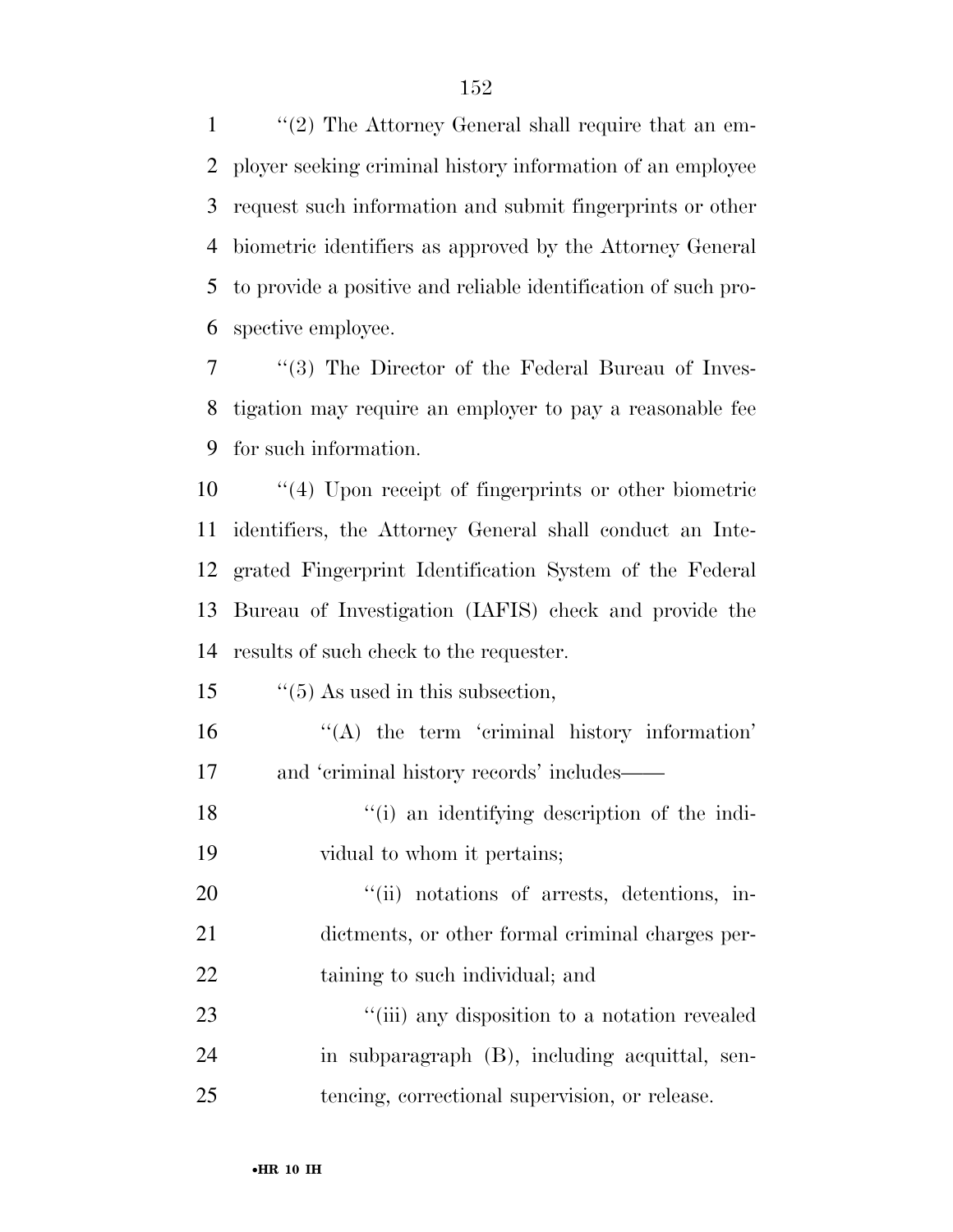''(2) The Attorney General shall require that an em- ployer seeking criminal history information of an employee request such information and submit fingerprints or other biometric identifiers as approved by the Attorney General to provide a positive and reliable identification of such pro-spective employee.

 ''(3) The Director of the Federal Bureau of Inves- tigation may require an employer to pay a reasonable fee for such information.

 ''(4) Upon receipt of fingerprints or other biometric identifiers, the Attorney General shall conduct an Inte- grated Fingerprint Identification System of the Federal Bureau of Investigation (IAFIS) check and provide the results of such check to the requester.

15  $\frac{15}{5}$   $\frac{15}{5}$  As used in this subsection,

 ''(A) the term 'criminal history information' and 'criminal history records' includes——

18 ''(i) an identifying description of the indi-vidual to whom it pertains;

20  $"$  (ii) notations of arrests, detentions, in- dictments, or other formal criminal charges per-22 taining to such individual; and

23 ''(iii) any disposition to a notation revealed in subparagraph (B), including acquittal, sen-tencing, correctional supervision, or release.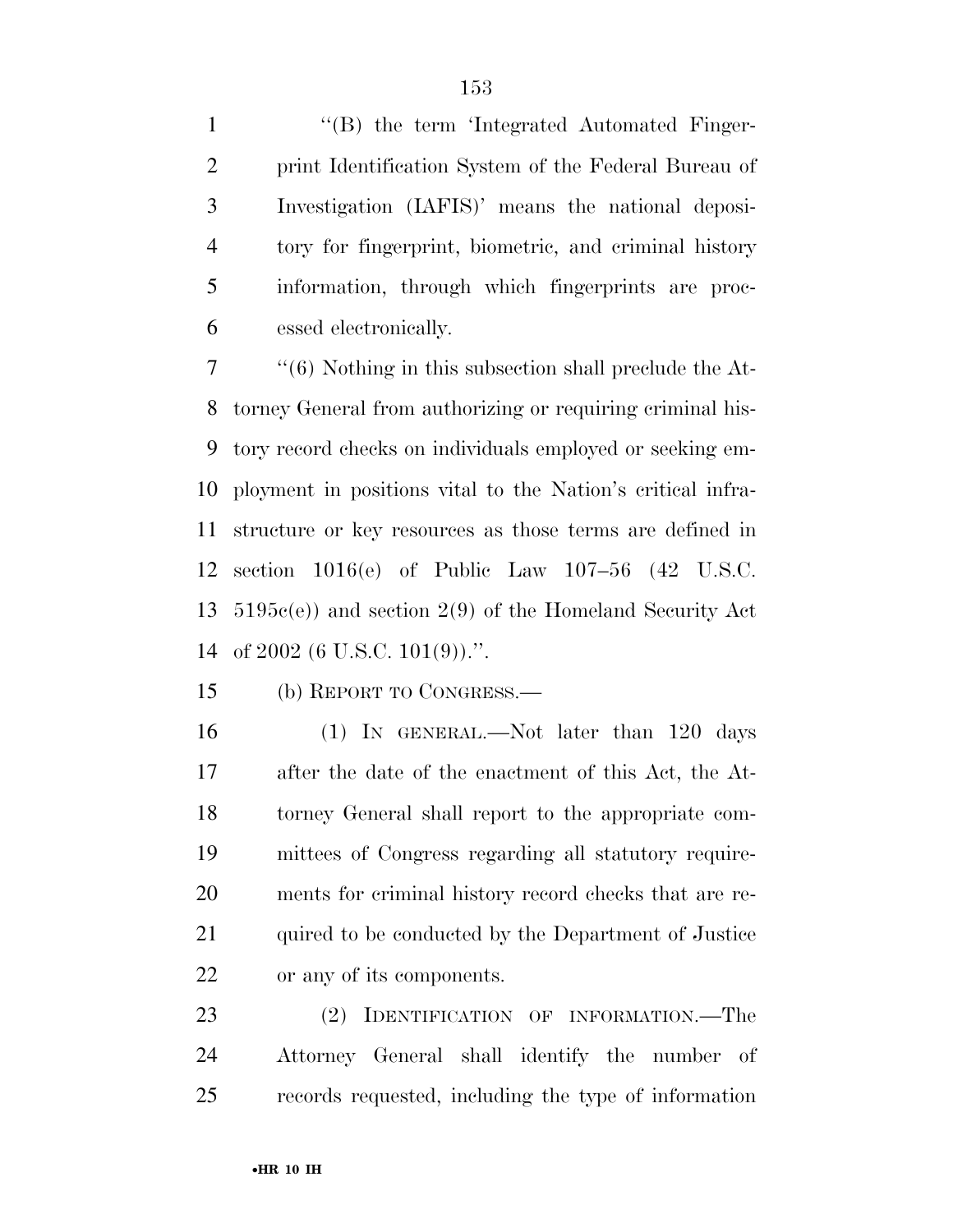1 "(B) the term 'Integrated Automated Finger- print Identification System of the Federal Bureau of Investigation (IAFIS)' means the national deposi- tory for fingerprint, biometric, and criminal history information, through which fingerprints are proc-essed electronically.

 ''(6) Nothing in this subsection shall preclude the At- torney General from authorizing or requiring criminal his- tory record checks on individuals employed or seeking em- ployment in positions vital to the Nation's critical infra- structure or key resources as those terms are defined in section 1016(e) of Public Law 107–56 (42 U.S.C. 5195c(e)) and section 2(9) of the Homeland Security Act of 2002 (6 U.S.C. 101(9)).''.

(b) REPORT TO CONGRESS.—

 (1) IN GENERAL.—Not later than 120 days after the date of the enactment of this Act, the At- torney General shall report to the appropriate com- mittees of Congress regarding all statutory require- ments for criminal history record checks that are re-21 quired to be conducted by the Department of Justice or any of its components.

 (2) IDENTIFICATION OF INFORMATION.—The Attorney General shall identify the number of records requested, including the type of information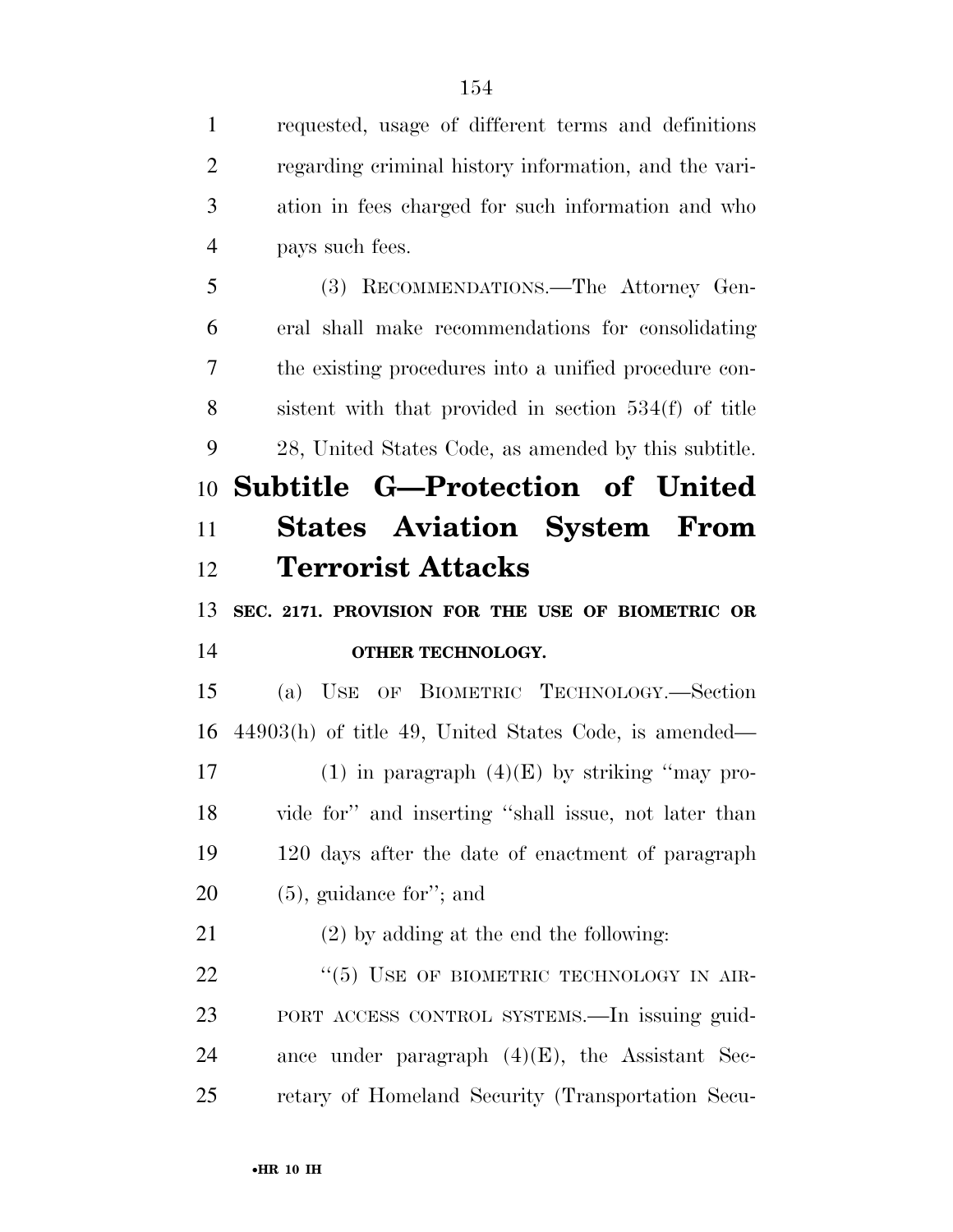requested, usage of different terms and definitions regarding criminal history information, and the vari- ation in fees charged for such information and who pays such fees. (3) RECOMMENDATIONS.—The Attorney Gen- eral shall make recommendations for consolidating the existing procedures into a unified procedure con- sistent with that provided in section 534(f) of title 28, United States Code, as amended by this subtitle. **Subtitle G—Protection of United States Aviation System From Terrorist Attacks SEC. 2171. PROVISION FOR THE USE OF BIOMETRIC OR OTHER TECHNOLOGY.**  (a) USE OF BIOMETRIC TECHNOLOGY.—Section 44903(h) of title 49, United States Code, is amended— 17 (1) in paragraph  $(4)(E)$  by striking "may pro- vide for'' and inserting ''shall issue, not later than 120 days after the date of enactment of paragraph (5), guidance for''; and (2) by adding at the end the following: 22 "(5) USE OF BIOMETRIC TECHNOLOGY IN AIR- PORT ACCESS CONTROL SYSTEMS.—In issuing guid-24 ance under paragraph  $(4)(E)$ , the Assistant Sec-retary of Homeland Security (Transportation Secu-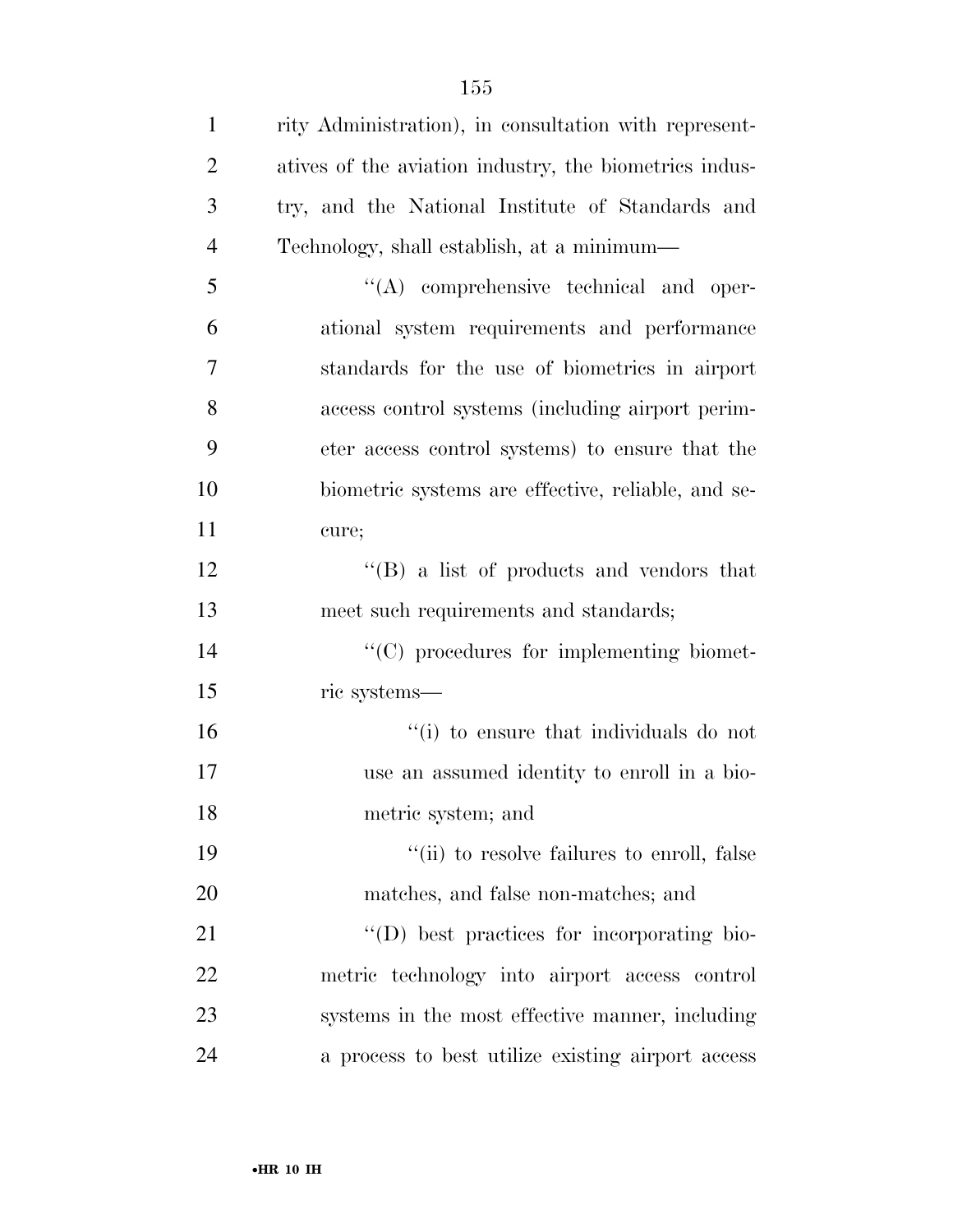| $\mathbf{1}$   | rity Administration), in consultation with represent-  |
|----------------|--------------------------------------------------------|
| $\overline{2}$ | atives of the aviation industry, the biometrics indus- |
| 3              | try, and the National Institute of Standards and       |
| $\overline{4}$ | Technology, shall establish, at a minimum—             |
| 5              | $\lq\lq$ comprehensive technical and oper-             |
| 6              | ational system requirements and performance            |
| 7              | standards for the use of biometrics in airport         |
| 8              | access control systems (including airport perim-       |
| 9              | eter access control systems) to ensure that the        |
| 10             | biometric systems are effective, reliable, and se-     |
| 11             | cure;                                                  |
| 12             | $\lq\lq (B)$ a list of products and vendors that       |
| 13             | meet such requirements and standards;                  |
| 14             | "(C) procedures for implementing biomet-               |
| 15             | ric systems—                                           |
| 16             | "(i) to ensure that individuals do not                 |
| 17             | use an assumed identity to enroll in a bio-            |
| 18             | metric system; and                                     |
| 19             | "(ii) to resolve failures to enroll, false             |
| 20             | matches, and false non-matches; and                    |
| 21             | $\lq\lq$ best practices for incorporating bio-         |
| 22             | metric technology into airport access control          |
| 23             | systems in the most effective manner, including        |
| 24             | a process to best utilize existing airport access      |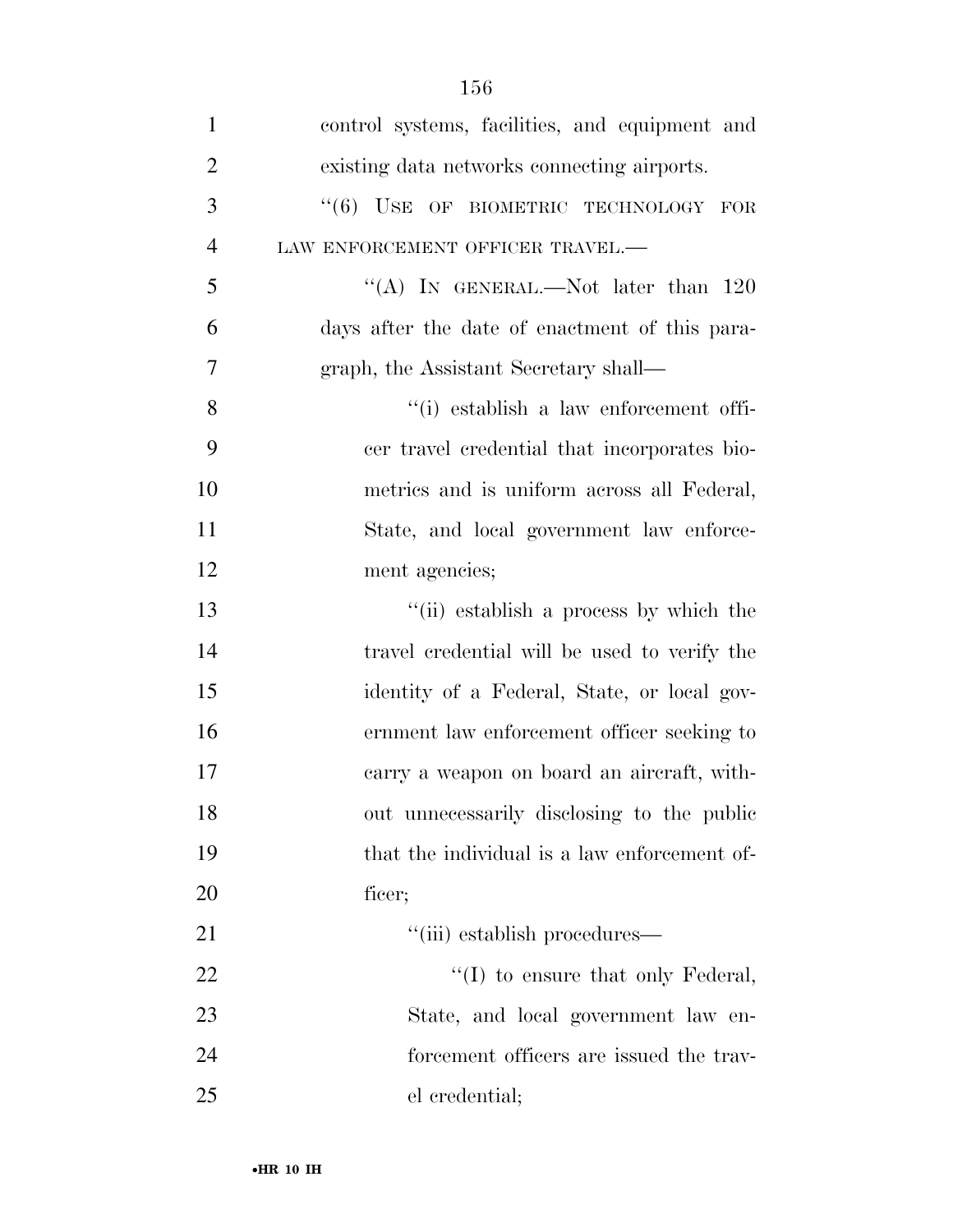| $\mathbf{1}$   | control systems, facilities, and equipment and |
|----------------|------------------------------------------------|
| $\overline{2}$ | existing data networks connecting airports.    |
| 3              | $``(6)$ USE OF BIOMETRIC TECHNOLOGY FOR        |
| $\overline{4}$ | LAW ENFORCEMENT OFFICER TRAVEL.-               |
| 5              | "(A) IN GENERAL.—Not later than $120$          |
| 6              | days after the date of enactment of this para- |
| 7              | graph, the Assistant Secretary shall—          |
| 8              | "(i) establish a law enforcement offi-         |
| 9              | cer travel credential that incorporates bio-   |
| 10             | metrics and is uniform across all Federal,     |
| 11             | State, and local government law enforce-       |
| 12             | ment agencies;                                 |
| 13             | "(ii) establish a process by which the         |
| 14             | travel credential will be used to verify the   |
| 15             | identity of a Federal, State, or local gov-    |
| 16             | ernment law enforcement officer seeking to     |
| 17             | carry a weapon on board an aircraft, with-     |
| 18             | out unnecessarily disclosing to the public     |
| 19             | that the individual is a law enforcement of-   |
| 20             | ficer;                                         |
| 21             | "(iii) establish procedures—                   |
| 22             | $\lq\lq$ (I) to ensure that only Federal,      |
| 23             | State, and local government law en-            |
| 24             | forcement officers are issued the trav-        |
| 25             | el credential;                                 |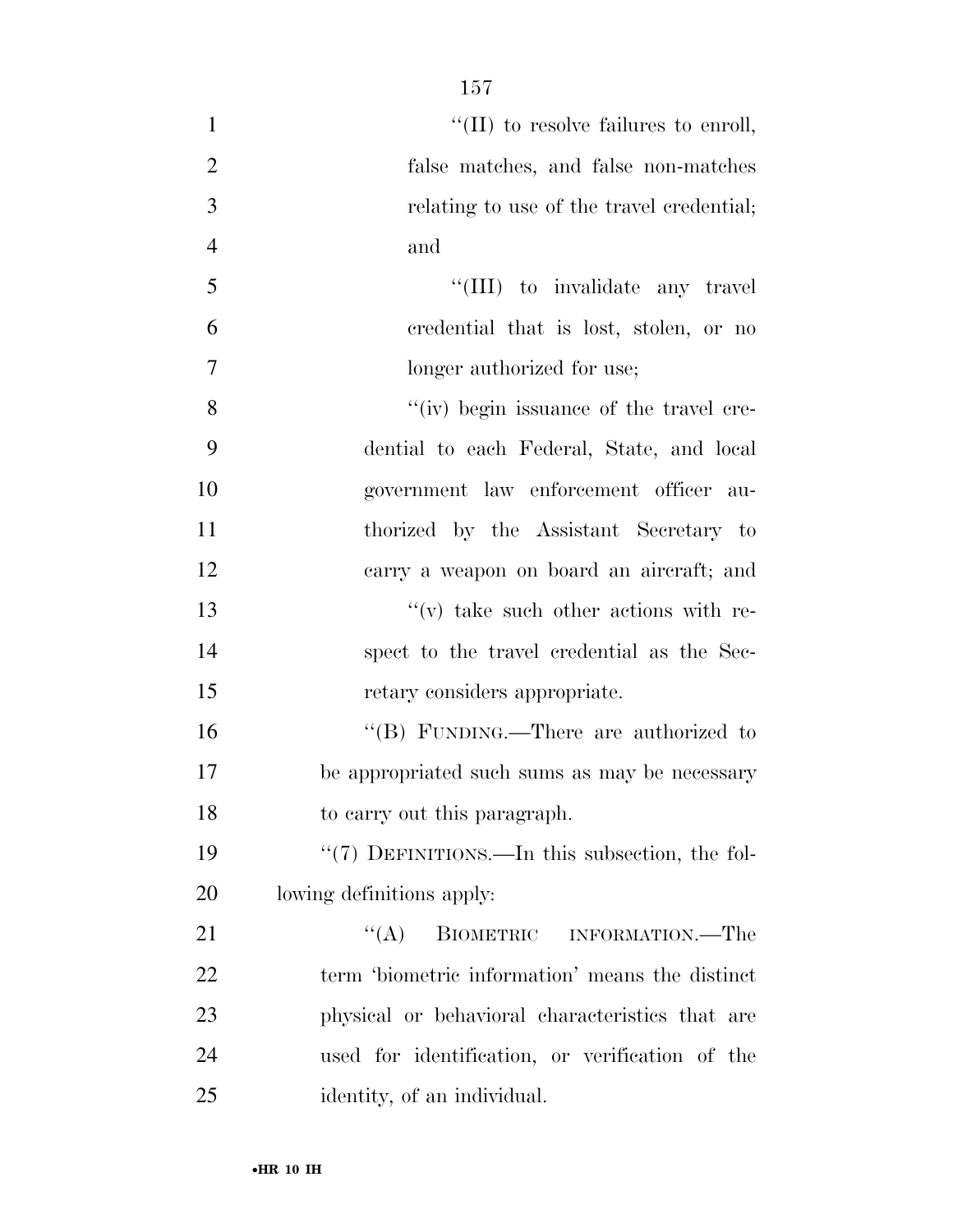$\text{``(II)}$  to resolve failures to enroll, false matches, and false non-matches relating to use of the travel credential; and  $\frac{1}{11}$  to invalidate any travel credential that is lost, stolen, or no longer authorized for use; 8 ''(iv) begin issuance of the travel cre- dential to each Federal, State, and local government law enforcement officer au- thorized by the Assistant Secretary to carry a weapon on board an aircraft; and ''(v) take such other actions with re- spect to the travel credential as the Sec- retary considers appropriate. ''(B) FUNDING.—There are authorized to be appropriated such sums as may be necessary to carry out this paragraph. ''(7) DEFINITIONS.—In this subsection, the fol- lowing definitions apply: 21 "(A) BIOMETRIC INFORMATION.—The term 'biometric information' means the distinct physical or behavioral characteristics that are

used for identification, or verification of the

identity, of an individual.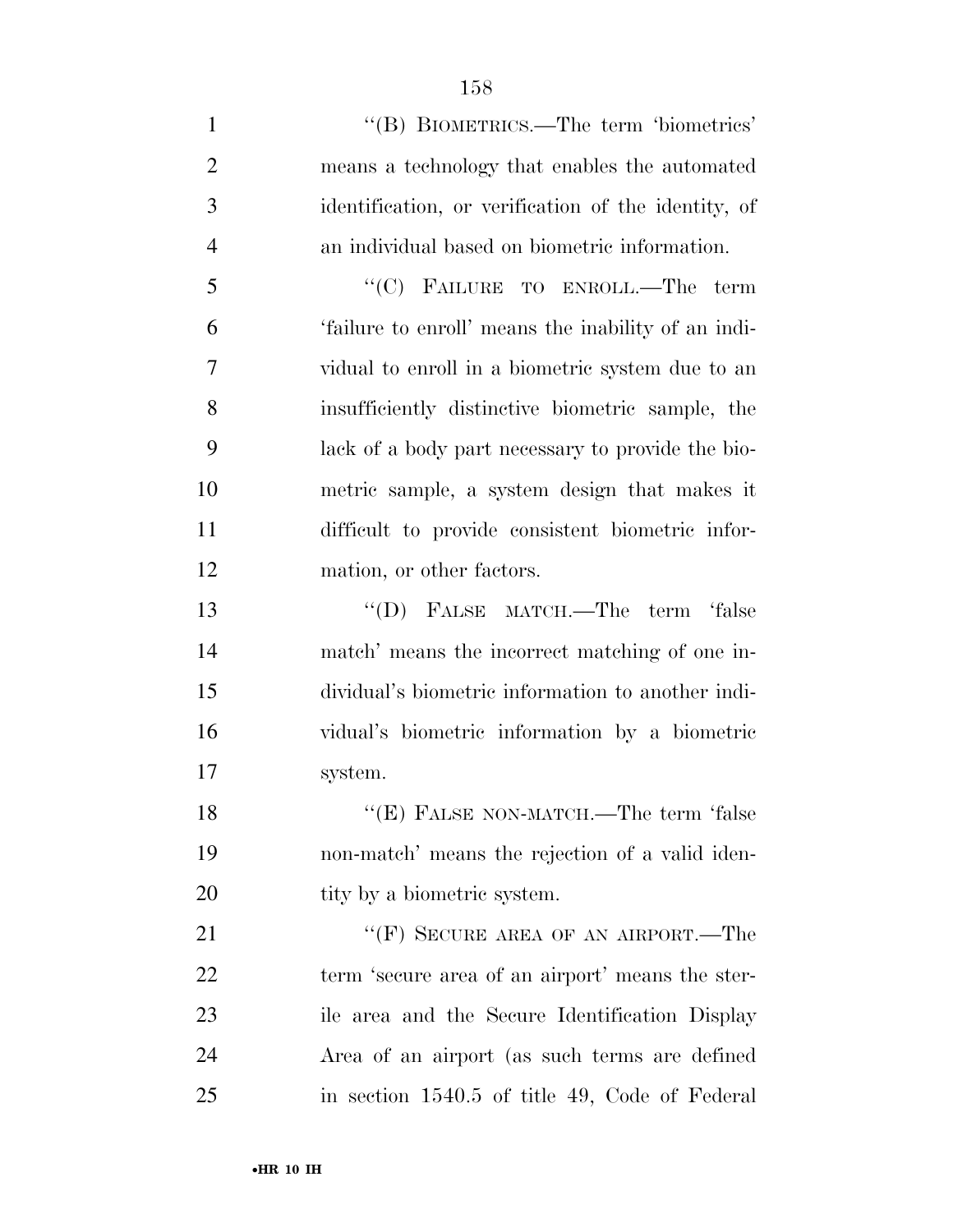1 ''(B) BIOMETRICS.—The term 'biometrics' means a technology that enables the automated identification, or verification of the identity, of an individual based on biometric information. ''(C) FAILURE TO ENROLL.—The term 'failure to enroll' means the inability of an indi- vidual to enroll in a biometric system due to an insufficiently distinctive biometric sample, the lack of a body part necessary to provide the bio- metric sample, a system design that makes it difficult to provide consistent biometric infor- mation, or other factors. 13 "(D) FALSE MATCH.—The term 'false match' means the incorrect matching of one in- dividual's biometric information to another indi- vidual's biometric information by a biometric system. 18 "(E) FALSE NON-MATCH.—The term 'false non-match' means the rejection of a valid iden-20 tity by a biometric system. 21 "'(F) SECURE AREA OF AN AIRPORT.—The term 'secure area of an airport' means the ster- ile area and the Secure Identification Display Area of an airport (as such terms are defined in section 1540.5 of title 49, Code of Federal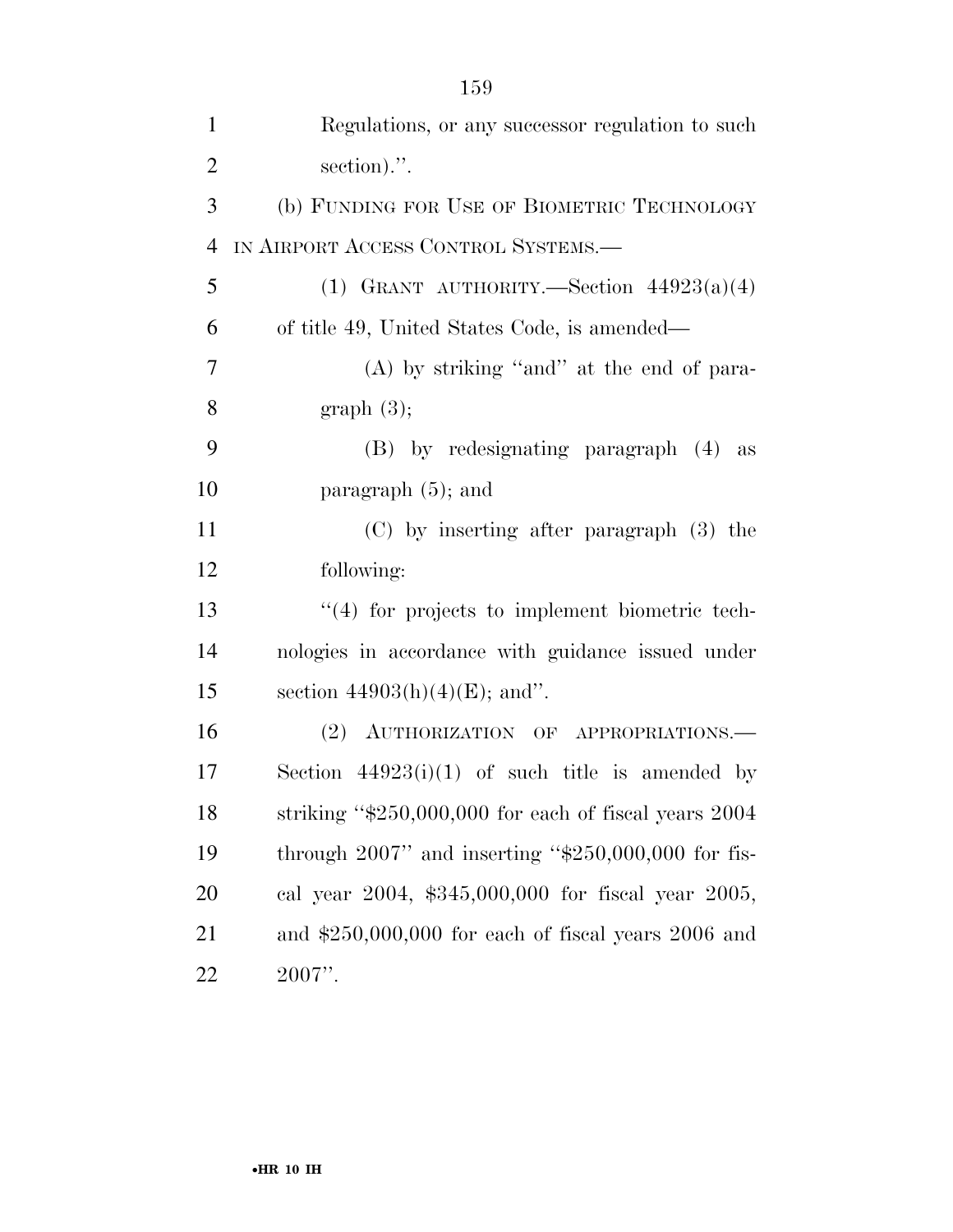| $\mathbf{1}$   | Regulations, or any successor regulation to such          |
|----------------|-----------------------------------------------------------|
| $\overline{2}$ | section).".                                               |
| 3              | (b) FUNDING FOR USE OF BIOMETRIC TECHNOLOGY               |
| $\overline{4}$ | IN AIRPORT ACCESS CONTROL SYSTEMS.-                       |
| 5              | (1) GRANT AUTHORITY. Section $44923(a)(4)$                |
| 6              | of title 49, United States Code, is amended—              |
| 7              | $(A)$ by striking "and" at the end of para-               |
| 8              | graph(3);                                                 |
| 9              | (B) by redesignating paragraph (4) as                     |
| 10             | paragraph $(5)$ ; and                                     |
| 11             | $(C)$ by inserting after paragraph $(3)$ the              |
| 12             | following:                                                |
| 13             | $\lq(4)$ for projects to implement biometric tech-        |
| 14             | nologies in accordance with guidance issued under         |
| 15             | section $44903(h)(4)(E)$ ; and".                          |
| 16             | (2) AUTHORIZATION OF APPROPRIATIONS.                      |
| 17             | Section $44923(i)(1)$ of such title is amended by         |
| 18             | striking " $$250,000,000$ for each of fiscal years $2004$ |
| 19             | through $2007$ " and inserting " $$250,000,000$ for fis-  |
| 20             | cal year 2004, \$345,000,000 for fiscal year 2005,        |
| 21             | and $$250,000,000$ for each of fiscal years $2006$ and    |
| 22             | $2007$ ".                                                 |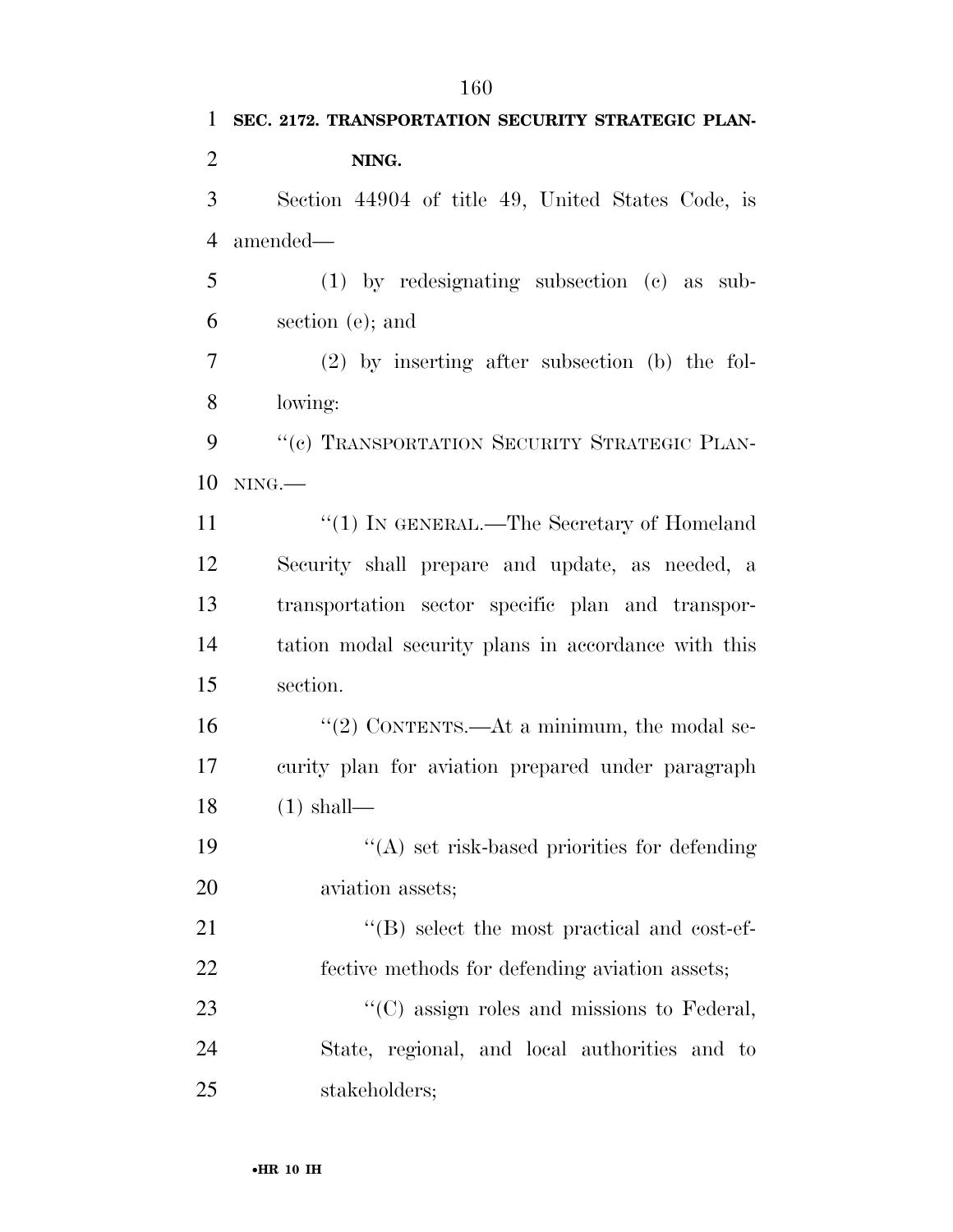**SEC. 2172. TRANSPORTATION SECURITY STRATEGIC PLAN- NING.**  Section 44904 of title 49, United States Code, is amended— (1) by redesignating subsection (c) as sub- section (e); and (2) by inserting after subsection (b) the fol- lowing: 9 "(c) TRANSPORTATION SECURITY STRATEGIC PLAN- NING.— 11 "(1) IN GENERAL.—The Secretary of Homeland Security shall prepare and update, as needed, a transportation sector specific plan and transpor- tation modal security plans in accordance with this section. 16 "(2) CONTENTS.—At a minimum, the modal se- curity plan for aviation prepared under paragraph (1) shall— 19 ''(A) set risk-based priorities for defending aviation assets; 21 ''(B) select the most practical and cost-ef- fective methods for defending aviation assets; 23 "'(C) assign roles and missions to Federal, State, regional, and local authorities and to stakeholders;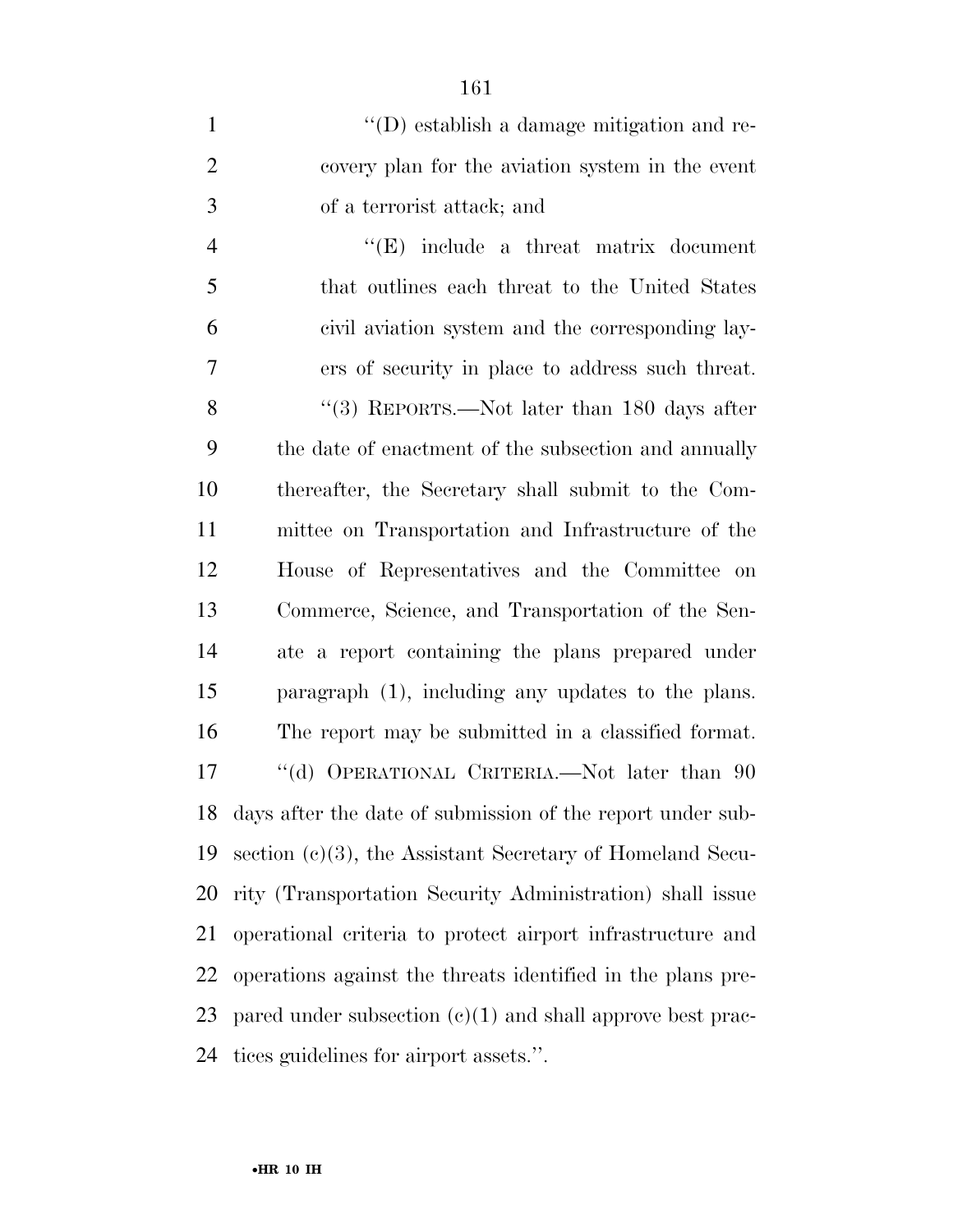| $\mathbf{1}$   | $\lq\lq$ establish a damage mitigation and re-               |
|----------------|--------------------------------------------------------------|
| $\overline{2}$ | covery plan for the aviation system in the event             |
| 3              | of a terrorist attack; and                                   |
| $\overline{4}$ | $\lq\lq(E)$ include a threat matrix document                 |
| 5              | that outlines each threat to the United States               |
| 6              | civil aviation system and the corresponding lay-             |
| 7              | ers of security in place to address such threat.             |
| 8              | "(3) REPORTS.—Not later than $180$ days after                |
| 9              | the date of enactment of the subsection and annually         |
| 10             | thereafter, the Secretary shall submit to the Com-           |
| 11             | mittee on Transportation and Infrastructure of the           |
| 12             | House of Representatives and the Committee on                |
| 13             | Commerce, Science, and Transportation of the Sen-            |
| 14             | ate a report containing the plans prepared under             |
| 15             | paragraph $(1)$ , including any updates to the plans.        |
| 16             | The report may be submitted in a classified format.          |
| 17             | "(d) OPERATIONAL CRITERIA.—Not later than 90                 |
| 18             | days after the date of submission of the report under sub-   |
| 19             | section $(c)(3)$ , the Assistant Secretary of Homeland Secu- |
| 20             | rity (Transportation Security Administration) shall issue    |
| 21             | operational criteria to protect airport infrastructure and   |
| 22             | operations against the threats identified in the plans pre-  |
| 23             | pared under subsection $(e)(1)$ and shall approve best prac- |
| 24             | tices guidelines for airport assets.".                       |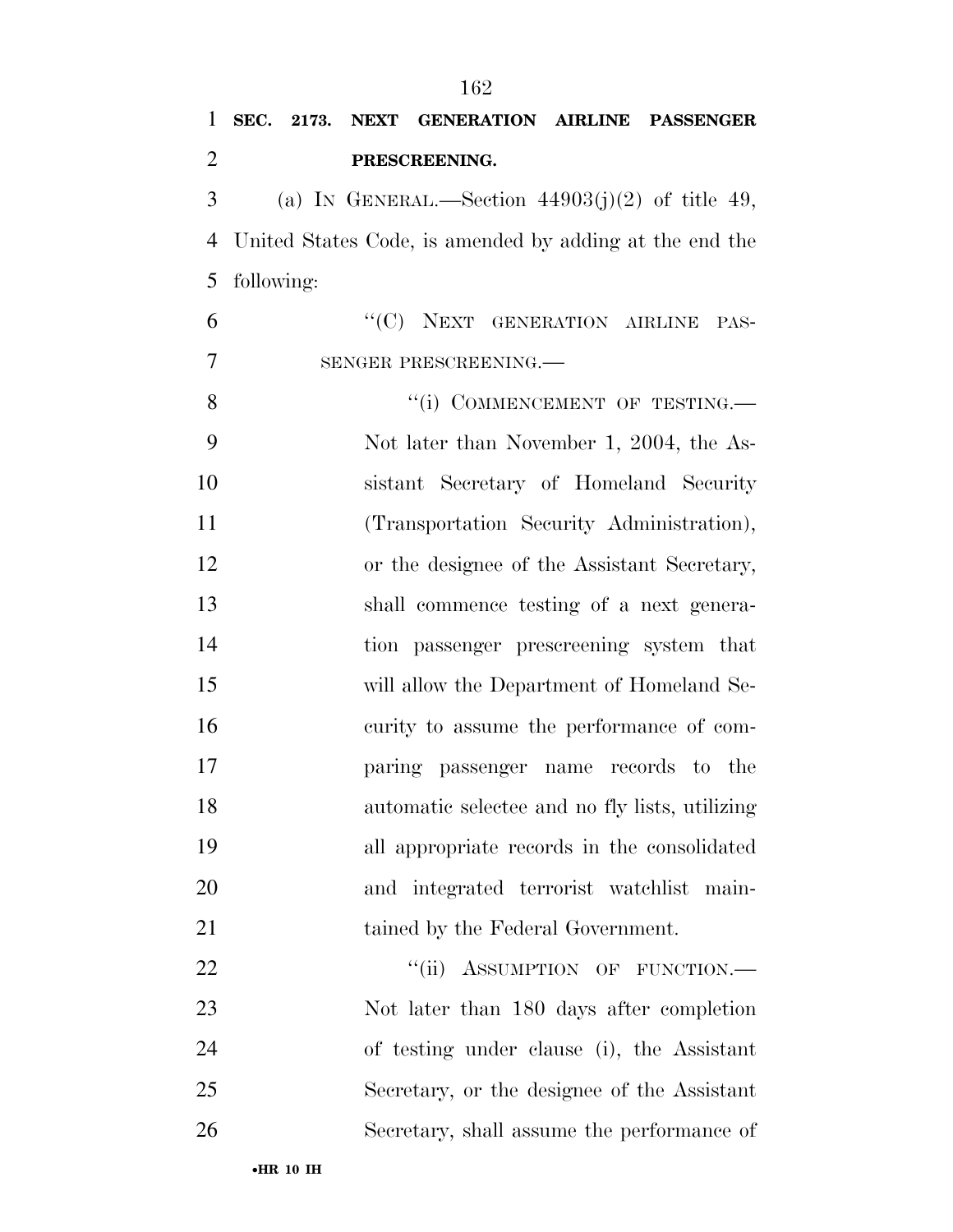| $\mathbf{1}$   |            |  | SEC. 2173. NEXT GENERATION AIRLINE PASSENGER            |      |
|----------------|------------|--|---------------------------------------------------------|------|
| $\overline{2}$ |            |  | PRESCREENING.                                           |      |
| 3              |            |  | (a) IN GENERAL.—Section $44903(j)(2)$ of title 49,      |      |
| $\overline{4}$ |            |  | United States Code, is amended by adding at the end the |      |
| 5              | following: |  |                                                         |      |
| 6              |            |  | "(C) NEXT GENERATION AIRLINE                            | PAS- |
| 7              |            |  | SENGER PRESCREENING.                                    |      |
| 8              |            |  | "(i) COMMENCEMENT OF TESTING.—                          |      |
| 9              |            |  | Not later than November 1, 2004, the As-                |      |
| 10             |            |  | sistant Secretary of Homeland Security                  |      |
| 11             |            |  | (Transportation Security Administration),               |      |
| 12             |            |  | or the designee of the Assistant Secretary,             |      |
| 13             |            |  | shall commence testing of a next genera-                |      |
| 14             |            |  | tion passenger prescreening system that                 |      |
| 15             |            |  | will allow the Department of Homeland Se-               |      |
| 16             |            |  | curity to assume the performance of com-                |      |
| 17             |            |  | paring passenger name records to the                    |      |
| 18             |            |  | automatic selectee and no fly lists, utilizing          |      |
| 19             |            |  | all appropriate records in the consolidated             |      |
| 20             |            |  | and integrated terrorist watchlist main-                |      |
| 21             |            |  | tained by the Federal Government.                       |      |
| 22             |            |  | "(ii) ASSUMPTION OF FUNCTION.-                          |      |
| 23             |            |  | Not later than 180 days after completion                |      |
| 24             |            |  | of testing under clause (i), the Assistant              |      |
| 25             |            |  | Secretary, or the designee of the Assistant             |      |
| 26             |            |  | Secretary, shall assume the performance of              |      |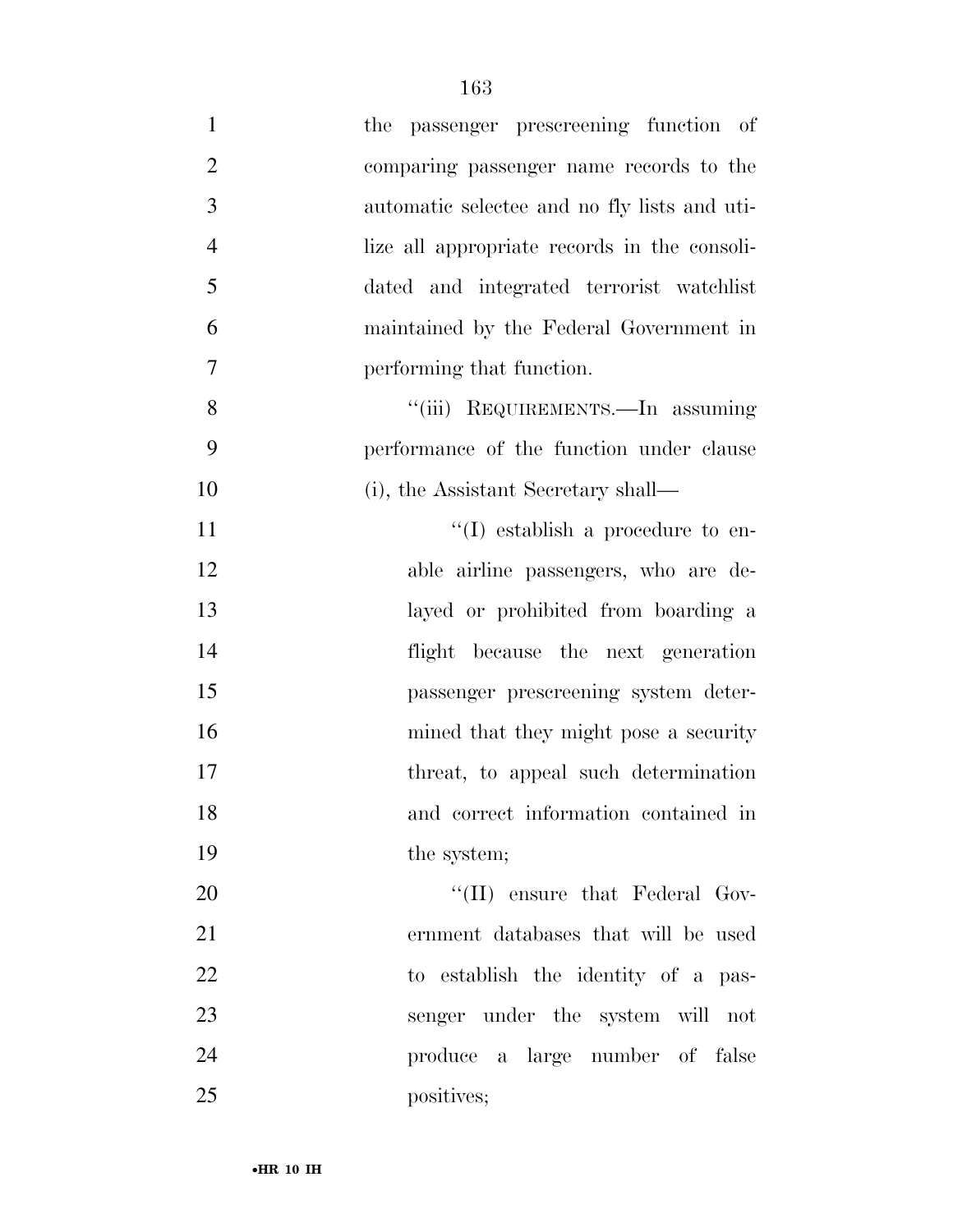| $\mathbf{1}$   | the passenger prescreening function of       |
|----------------|----------------------------------------------|
| $\overline{2}$ | comparing passenger name records to the      |
| $\mathfrak{Z}$ | automatic selectee and no fly lists and uti- |
| $\overline{4}$ | lize all appropriate records in the consoli- |
| 5              | dated and integrated terrorist watchlist     |
| 6              | maintained by the Federal Government in      |
| 7              | performing that function.                    |
| 8              | "(iii) REQUIREMENTS.—In assuming             |
| 9              | performance of the function under clause     |
| 10             | (i), the Assistant Secretary shall—          |
| 11             | $\lq\lq$ establish a procedure to en-        |
| 12             | able airline passengers, who are de-         |
| 13             | layed or prohibited from boarding a          |
| 14             | flight because the next generation           |
| 15             | passenger prescreening system deter-         |
| 16             | mined that they might pose a security        |
| 17             | threat, to appeal such determination         |
| 18             | and correct information contained in         |
| 19             | the system;                                  |
| 20             | $\lq\lq$ (II) ensure that Federal Gov-       |
| 21             | ernment databases that will be used          |
| 22             | to establish the identity of a pas-          |
| 23             | senger under the system will not             |
| 24             | produce a large number of false              |
| 25             | positives;                                   |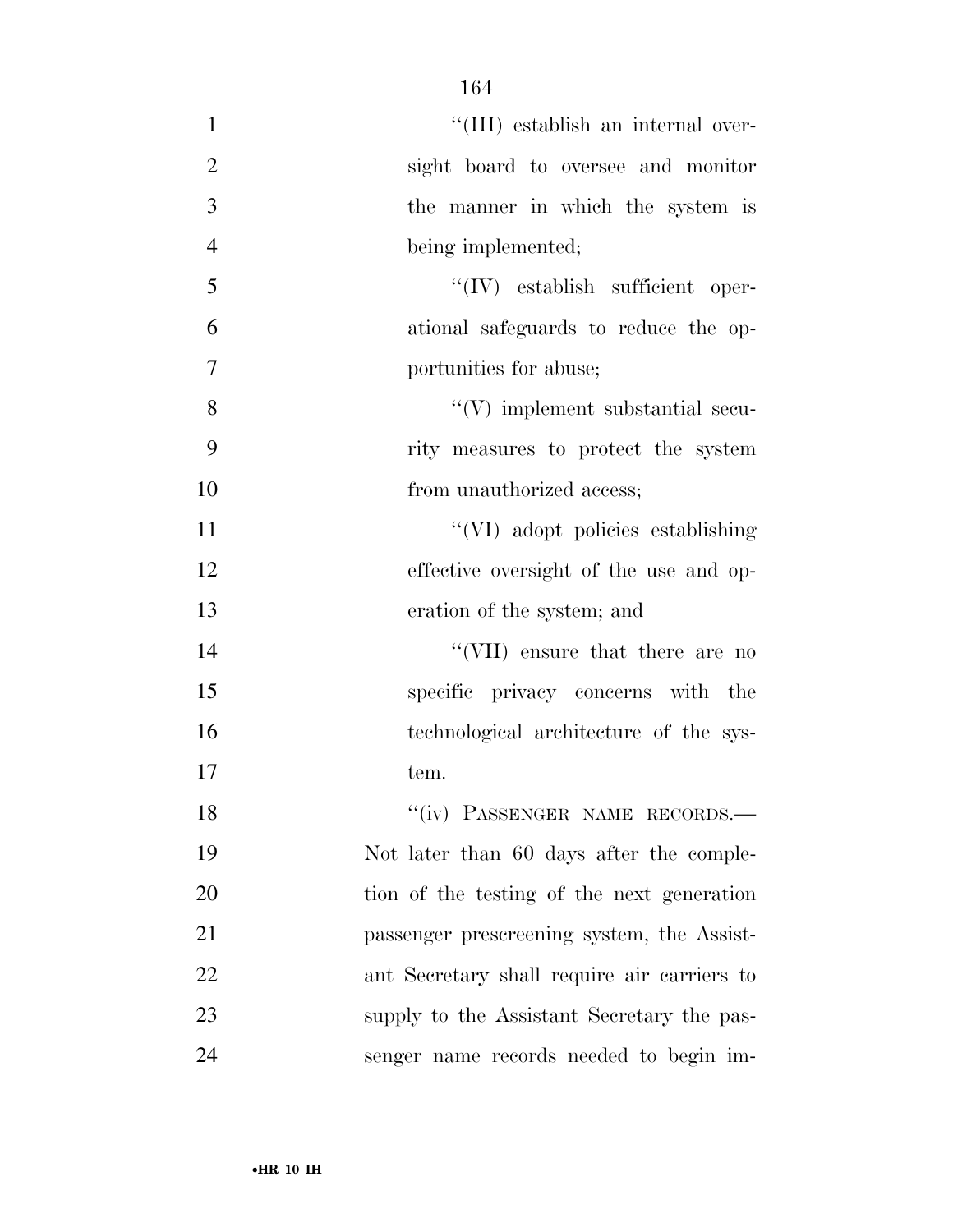| $\mathbf{1}$   | "(III) establish an internal over-          |
|----------------|---------------------------------------------|
| $\overline{2}$ | sight board to oversee and monitor          |
| 3              | the manner in which the system is           |
| $\overline{4}$ | being implemented;                          |
| 5              | $``(IV)$ establish sufficient oper-         |
| 6              | ational safeguards to reduce the op-        |
| $\overline{7}$ | portunities for abuse;                      |
| 8              | $\lq\lq(V)$ implement substantial secu-     |
| 9              | rity measures to protect the system         |
| 10             | from unauthorized access;                   |
| 11             | "(VI) adopt policies establishing           |
| 12             | effective oversight of the use and op-      |
| 13             | eration of the system; and                  |
| 14             | "(VII) ensure that there are no             |
| 15             | specific privacy concerns with the          |
| 16             | technological architecture of the sys-      |
| 17             | tem.                                        |
| 18             | "(iv) PASSENGER NAME RECORDS.-              |
| 19             | Not later than 60 days after the comple-    |
| 20             | tion of the testing of the next generation  |
| 21             | passenger prescreening system, the Assist-  |
| 22             | ant Secretary shall require air carriers to |
| 23             | supply to the Assistant Secretary the pas-  |
| 24             | senger name records needed to begin im-     |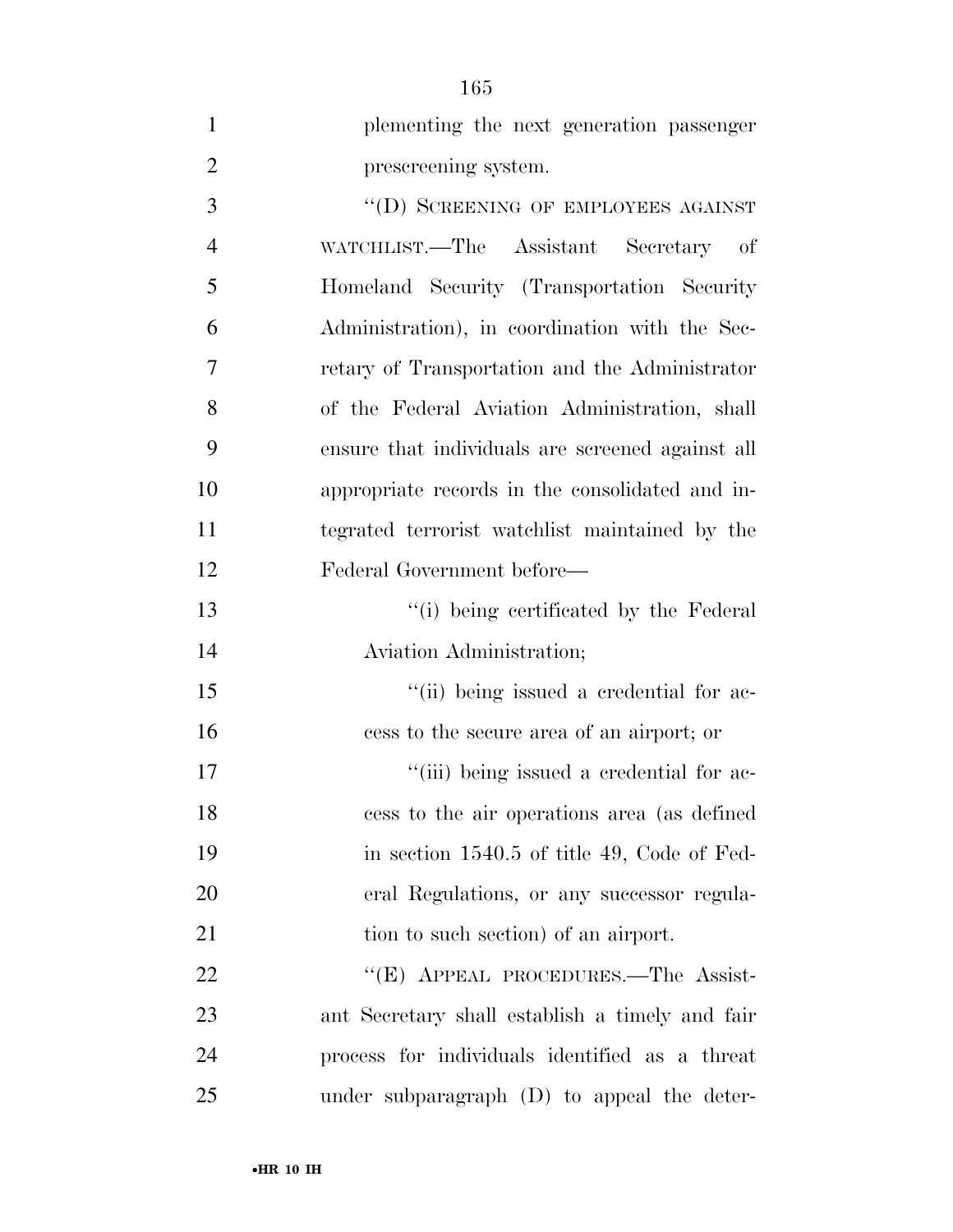| $\mathbf{1}$   | plementing the next generation passenger         |
|----------------|--------------------------------------------------|
| $\overline{2}$ | prescreening system.                             |
| 3              | "(D) SCREENING OF EMPLOYEES AGAINST              |
| $\overline{4}$ | WATCHLIST.—The Assistant Secretary of            |
| 5              | Homeland Security (Transportation Security       |
| 6              | Administration), in coordination with the Sec-   |
| 7              | retary of Transportation and the Administrator   |
| 8              | of the Federal Aviation Administration, shall    |
| 9              | ensure that individuals are screened against all |
| 10             | appropriate records in the consolidated and in-  |
| 11             | tegrated terrorist watchlist maintained by the   |
| 12             | Federal Government before—                       |
| 13             | "(i) being certificated by the Federal           |
| 14             | Aviation Administration;                         |
| 15             | "(ii) being issued a credential for ac-          |
| 16             | cess to the secure area of an airport; or        |
| 17             | "(iii) being issued a credential for ac-         |
| 18             | cess to the air operations area (as defined      |
| 19             | in section 1540.5 of title 49, Code of Fed-      |
| 20             | eral Regulations, or any successor regula-       |
| 21             | tion to such section) of an airport.             |
| 22             | "(E) APPEAL PROCEDURES.—The Assist-              |
| 23             | ant Secretary shall establish a timely and fair  |
| 24             | process for individuals identified as a threat   |
| 25             | under subparagraph (D) to appeal the deter-      |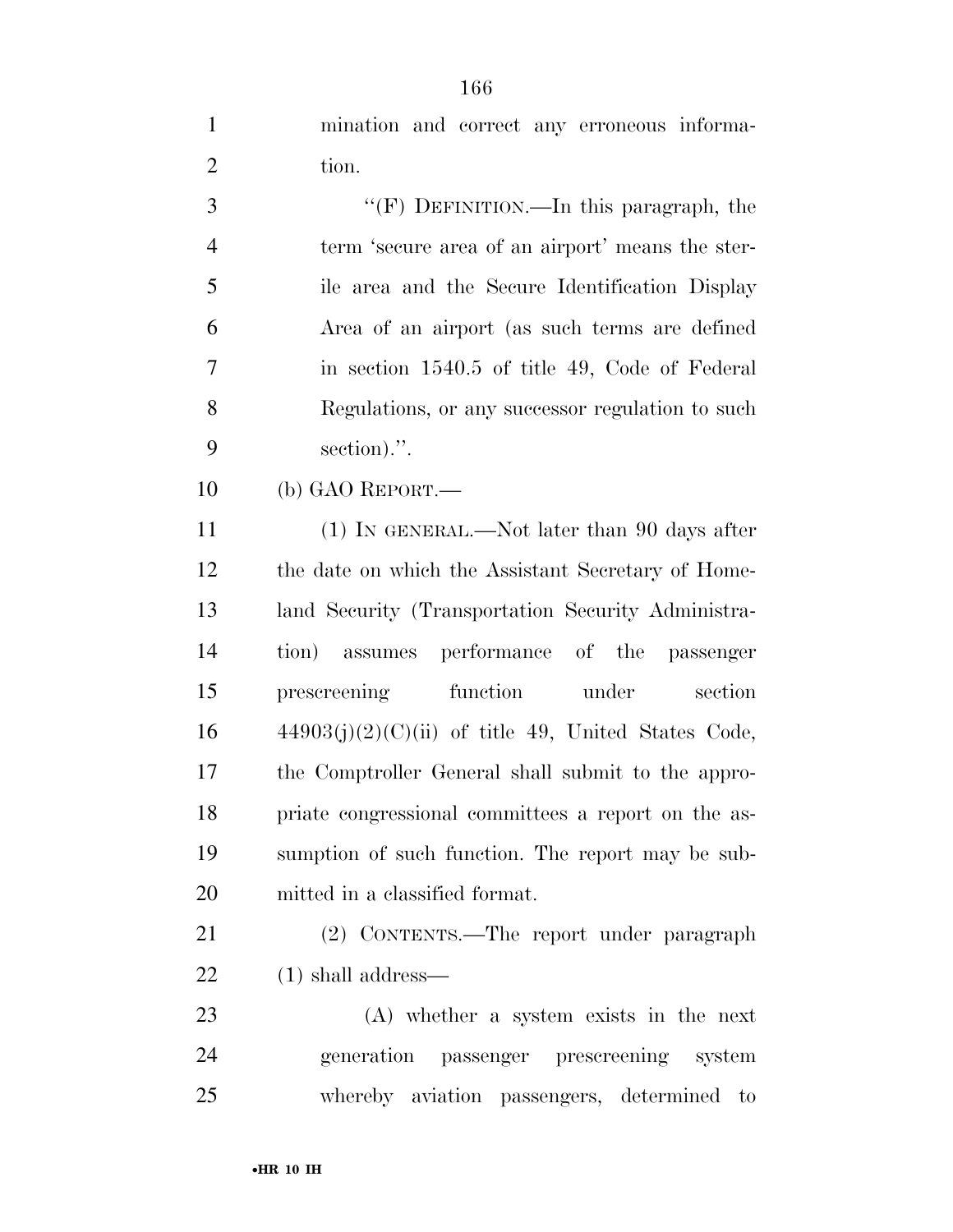mination and correct any erroneous informa-2 tion.

 ''(F) DEFINITION.—In this paragraph, the term 'secure area of an airport' means the ster- ile area and the Secure Identification Display Area of an airport (as such terms are defined in section 1540.5 of title 49, Code of Federal Regulations, or any successor regulation to such section).''.

(b) GAO REPORT.—

 (1) IN GENERAL.—Not later than 90 days after the date on which the Assistant Secretary of Home- land Security (Transportation Security Administra- tion) assumes performance of the passenger prescreening function under section  $44903(j)(2)(C)(ii)$  of title 49, United States Code, the Comptroller General shall submit to the appro- priate congressional committees a report on the as- sumption of such function. The report may be sub-mitted in a classified format.

 (2) CONTENTS.—The report under paragraph (1) shall address—

 (A) whether a system exists in the next generation passenger prescreening system whereby aviation passengers, determined to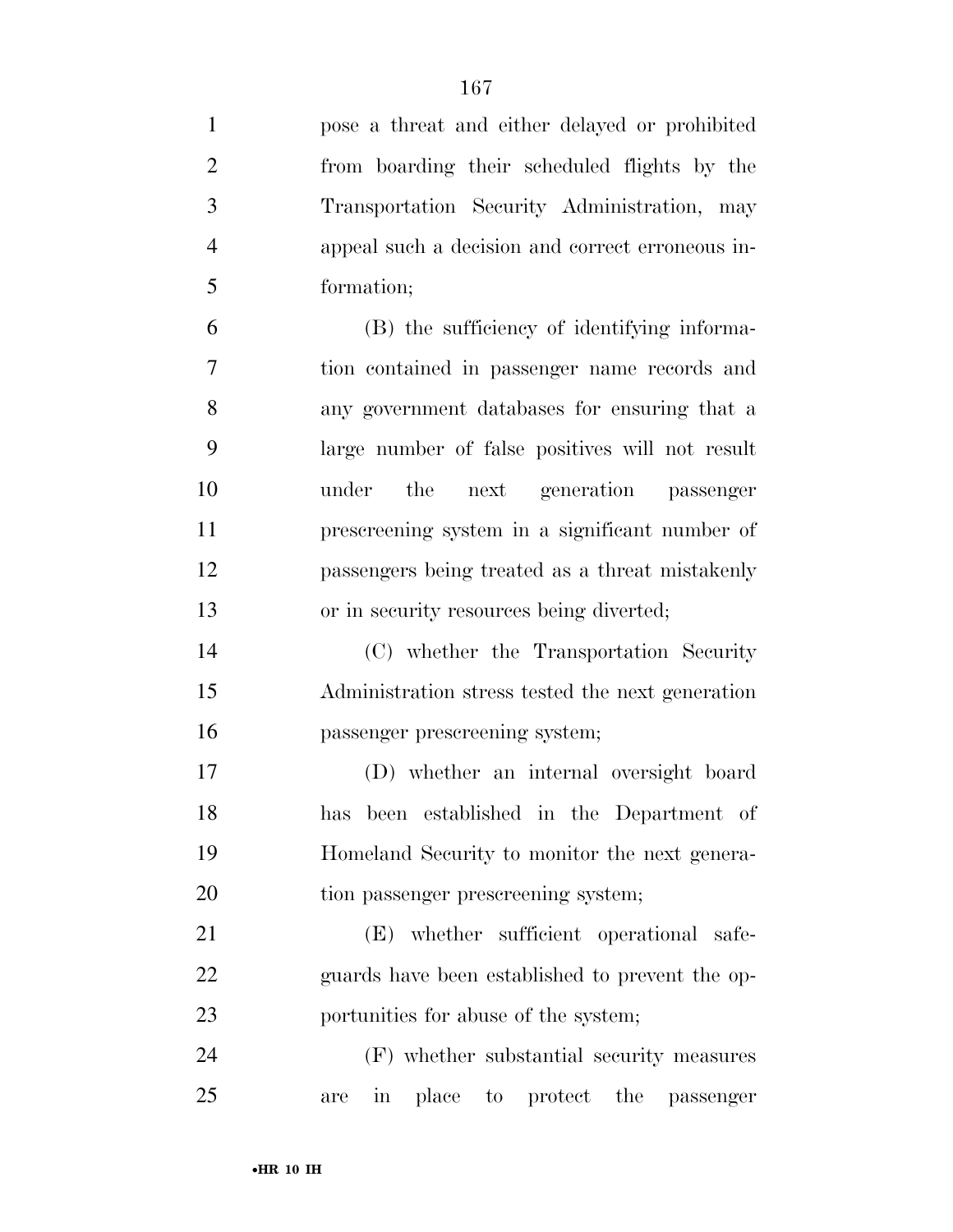| $\mathbf{1}$   | pose a threat and either delayed or prohibited                 |
|----------------|----------------------------------------------------------------|
| $\overline{2}$ | from boarding their scheduled flights by the                   |
| 3              | Transportation Security Administration, may                    |
| $\overline{4}$ | appeal such a decision and correct erroneous in-               |
| 5              | formation;                                                     |
| 6              | (B) the sufficiency of identifying informa-                    |
| 7              | tion contained in passenger name records and                   |
| 8              | any government databases for ensuring that a                   |
| 9              | large number of false positives will not result                |
| 10             | the<br>next generation passenger<br>under                      |
| 11             | prescreening system in a significant number of                 |
| 12             | passengers being treated as a threat mistakenly                |
| 13             | or in security resources being diverted;                       |
| 14             | (C) whether the Transportation Security                        |
| 15             | Administration stress tested the next generation               |
| 16             | passenger prescreening system;                                 |
| 17             | (D) whether an internal oversight board                        |
| 18             | has been established in the Department of                      |
| 19             | Homeland Security to monitor the next genera-                  |
| 20             | tion passenger prescreening system;                            |
| 21             | whether sufficient operational safe-<br>(E)                    |
| 22             | guards have been established to prevent the op-                |
| 23             | portunities for abuse of the system;                           |
| 24             | (F) whether substantial security measures                      |
| 25             | in<br>place<br>the<br>protect<br>$\rm{to}$<br>passenger<br>are |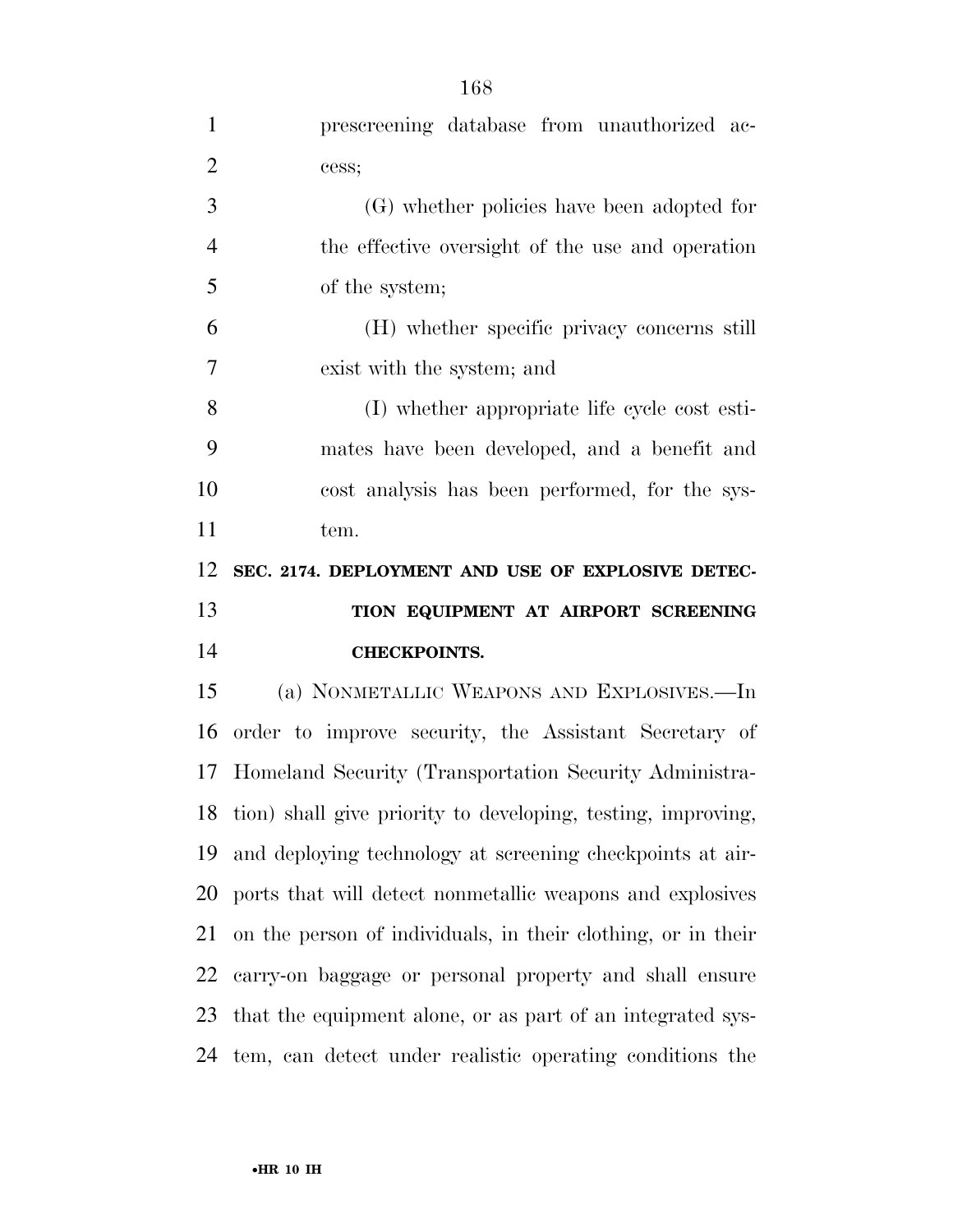| $\mathbf{1}$   | prescreening database from unauthorized ac-                  |
|----------------|--------------------------------------------------------------|
| $\overline{2}$ | cess;                                                        |
| 3              | (G) whether policies have been adopted for                   |
| $\overline{4}$ | the effective oversight of the use and operation             |
| 5              | of the system;                                               |
| 6              | (H) whether specific privacy concerns still                  |
| 7              | exist with the system; and                                   |
| 8              | (I) whether appropriate life cycle cost esti-                |
| 9              | mates have been developed, and a benefit and                 |
| 10             | cost analysis has been performed, for the sys-               |
| 11             | tem.                                                         |
| 12             | SEC. 2174. DEPLOYMENT AND USE OF EXPLOSIVE DETEC-            |
|                |                                                              |
| 13             | TION EQUIPMENT AT AIRPORT SCREENING                          |
| 14             | <b>CHECKPOINTS.</b>                                          |
| 15             | (a) NONMETALLIC WEAPONS AND EXPLOSIVES.—In                   |
| 16             | order to improve security, the Assistant Secretary of        |
| 17             | Homeland Security (Transportation Security Administra-       |
| 18             | tion) shall give priority to developing, testing, improving, |
| 19             | and deploying technology at screening checkpoints at air-    |
| 20             | ports that will detect nonmetallic weapons and explosives    |
| 21             | on the person of individuals, in their clothing, or in their |
| 22             | carry-on baggage or personal property and shall ensure       |
| 23             | that the equipment alone, or as part of an integrated sys-   |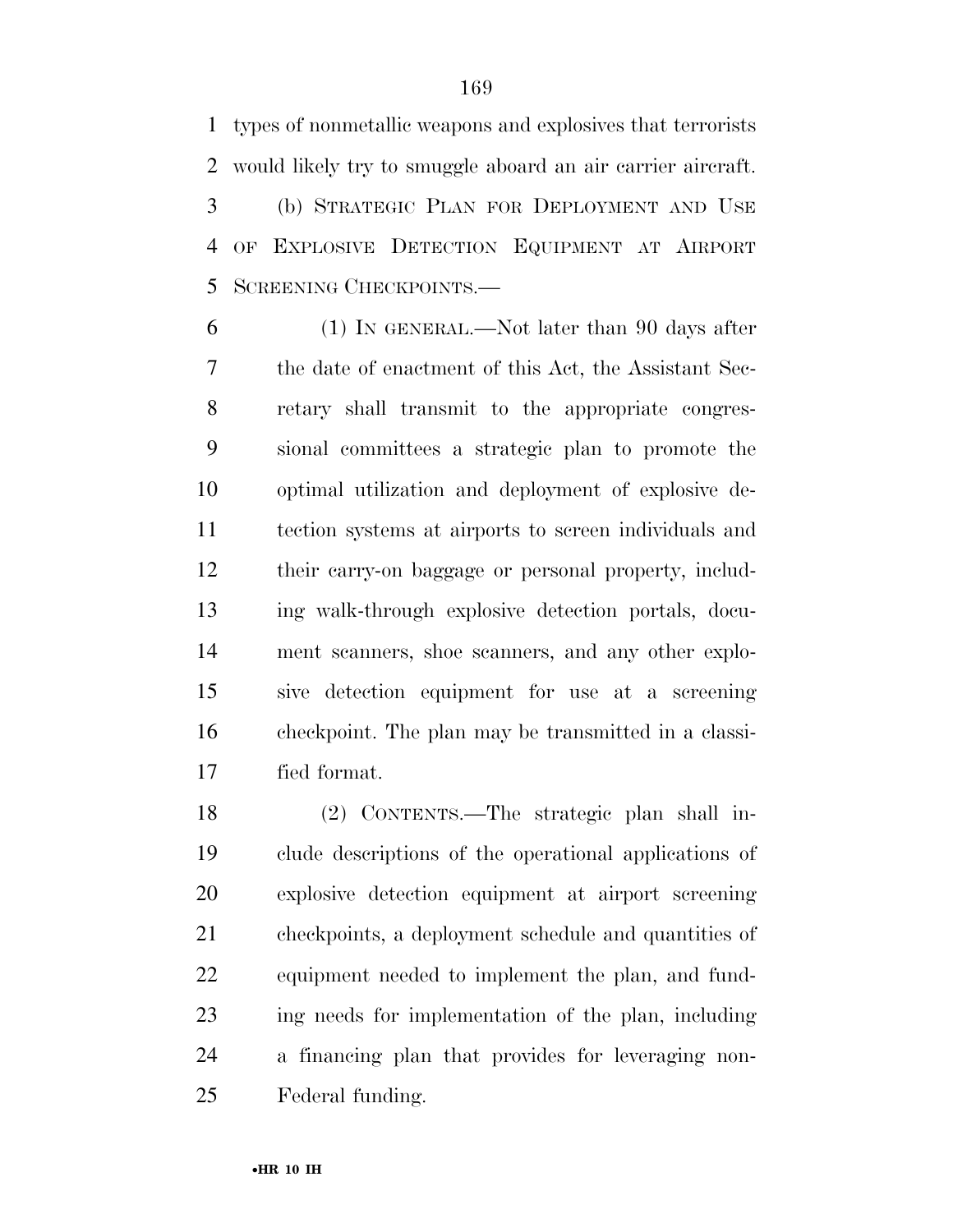types of nonmetallic weapons and explosives that terrorists would likely try to smuggle aboard an air carrier aircraft. (b) STRATEGIC PLAN FOR DEPLOYMENT AND USE OF EXPLOSIVE DETECTION EQUIPMENT AT AIRPORT SCREENING CHECKPOINTS.—

 (1) IN GENERAL.—Not later than 90 days after the date of enactment of this Act, the Assistant Sec- retary shall transmit to the appropriate congres- sional committees a strategic plan to promote the optimal utilization and deployment of explosive de- tection systems at airports to screen individuals and their carry-on baggage or personal property, includ- ing walk-through explosive detection portals, docu- ment scanners, shoe scanners, and any other explo- sive detection equipment for use at a screening checkpoint. The plan may be transmitted in a classi-fied format.

 (2) CONTENTS.—The strategic plan shall in- clude descriptions of the operational applications of explosive detection equipment at airport screening checkpoints, a deployment schedule and quantities of equipment needed to implement the plan, and fund- ing needs for implementation of the plan, including a financing plan that provides for leveraging non-Federal funding.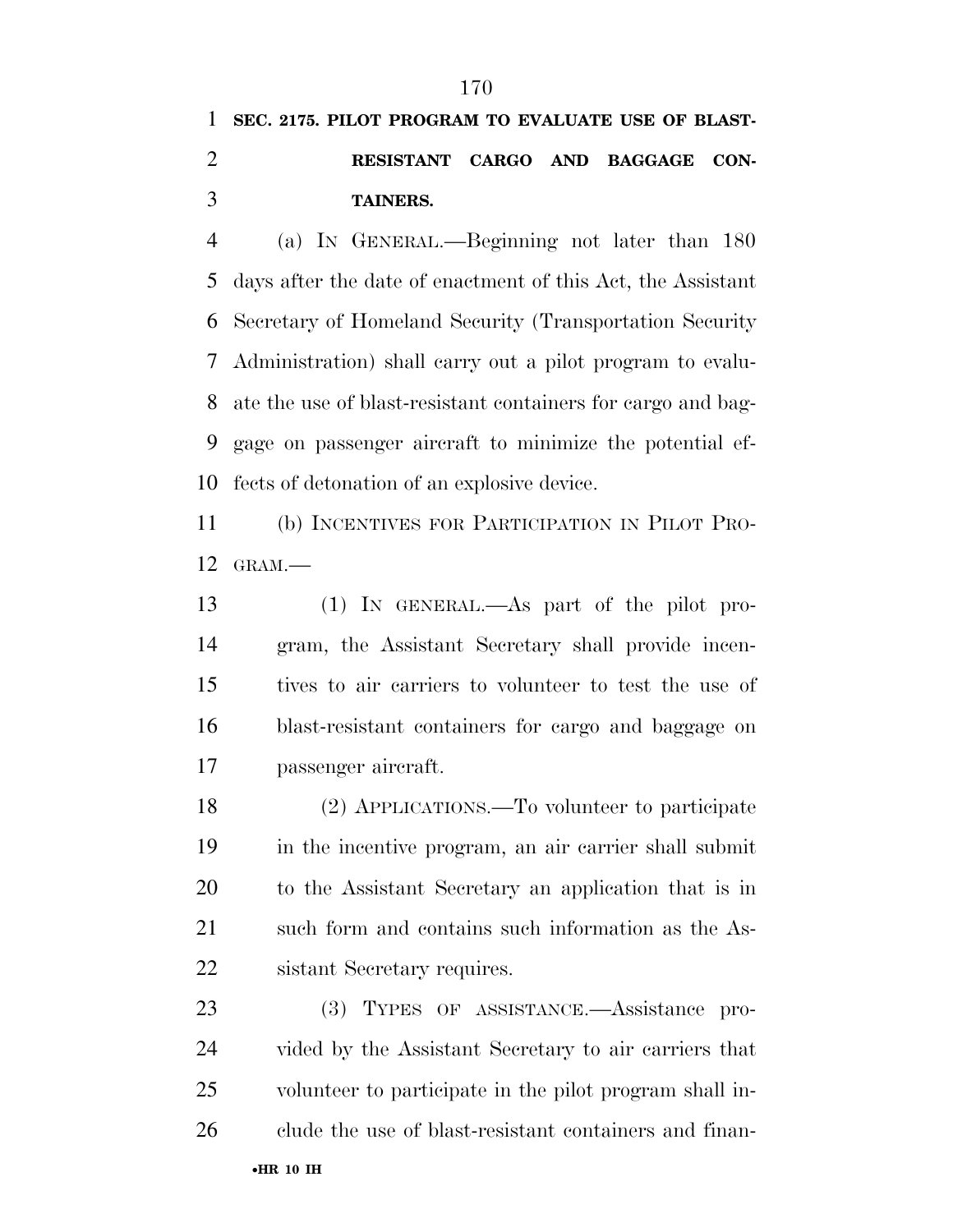## **SEC. 2175. PILOT PROGRAM TO EVALUATE USE OF BLAST- RESISTANT CARGO AND BAGGAGE CON-TAINERS.**

 (a) IN GENERAL.—Beginning not later than 180 days after the date of enactment of this Act, the Assistant Secretary of Homeland Security (Transportation Security Administration) shall carry out a pilot program to evalu- ate the use of blast-resistant containers for cargo and bag- gage on passenger aircraft to minimize the potential ef-fects of detonation of an explosive device.

 (b) INCENTIVES FOR PARTICIPATION IN PILOT PRO-GRAM.—

 (1) IN GENERAL.—As part of the pilot pro- gram, the Assistant Secretary shall provide incen- tives to air carriers to volunteer to test the use of blast-resistant containers for cargo and baggage on passenger aircraft.

 (2) APPLICATIONS.—To volunteer to participate in the incentive program, an air carrier shall submit to the Assistant Secretary an application that is in such form and contains such information as the As-sistant Secretary requires.

 (3) TYPES OF ASSISTANCE.—Assistance pro- vided by the Assistant Secretary to air carriers that volunteer to participate in the pilot program shall in-clude the use of blast-resistant containers and finan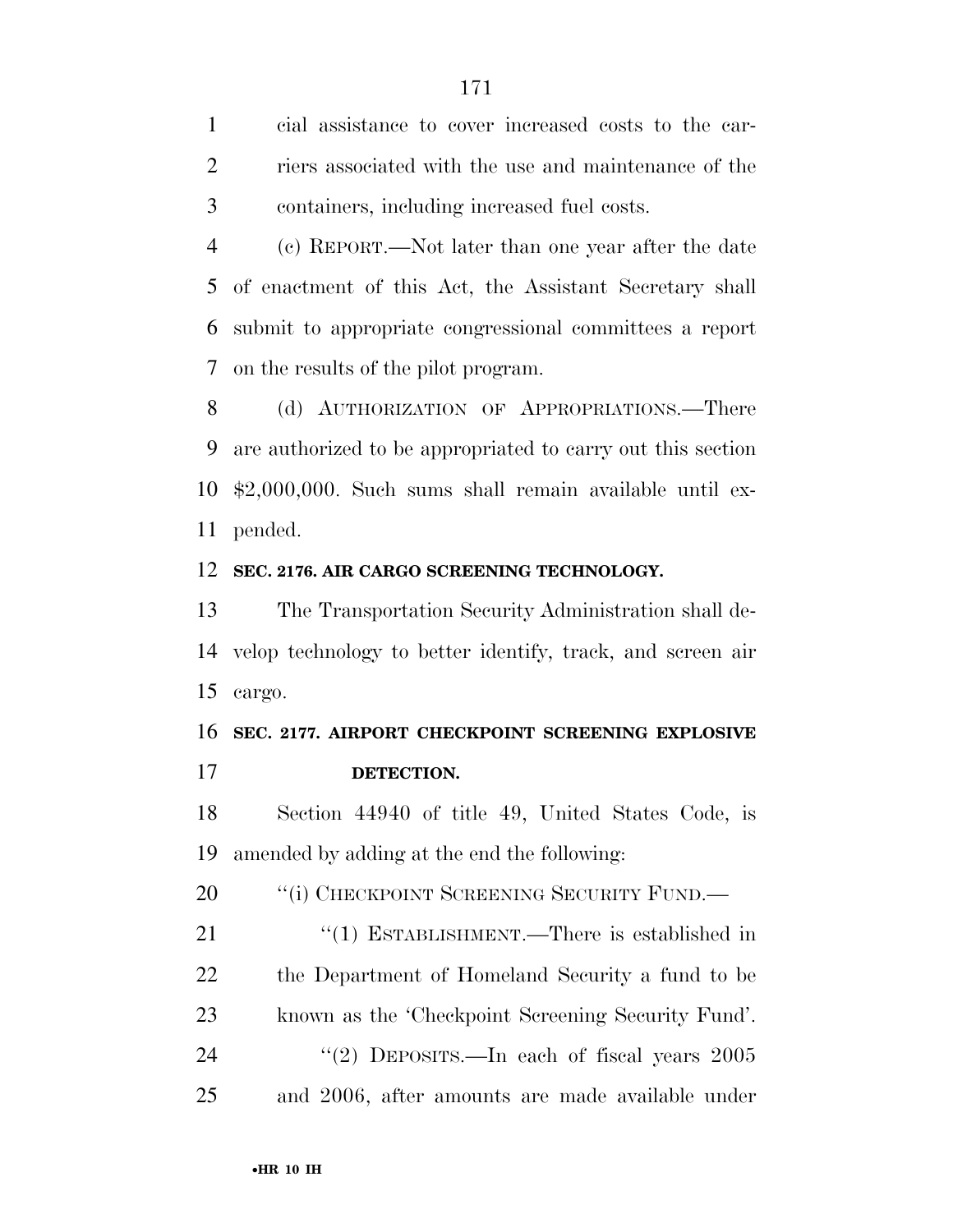cial assistance to cover increased costs to the car- riers associated with the use and maintenance of the containers, including increased fuel costs.

 (c) REPORT.—Not later than one year after the date of enactment of this Act, the Assistant Secretary shall submit to appropriate congressional committees a report on the results of the pilot program.

8 (d) AUTHORIZATION OF APPROPRIATIONS.—There are authorized to be appropriated to carry out this section \$2,000,000. Such sums shall remain available until ex-pended.

#### **SEC. 2176. AIR CARGO SCREENING TECHNOLOGY.**

 The Transportation Security Administration shall de- velop technology to better identify, track, and screen air cargo.

### **SEC. 2177. AIRPORT CHECKPOINT SCREENING EXPLOSIVE DETECTION.**

 Section 44940 of title 49, United States Code, is amended by adding at the end the following:

20 "(i) CHECKPOINT SCREENING SECURITY FUND.—

21 "(1) ESTABLISHMENT.—There is established in the Department of Homeland Security a fund to be known as the 'Checkpoint Screening Security Fund'. 24 "(2) DEPOSITS.—In each of fiscal years 2005 and 2006, after amounts are made available under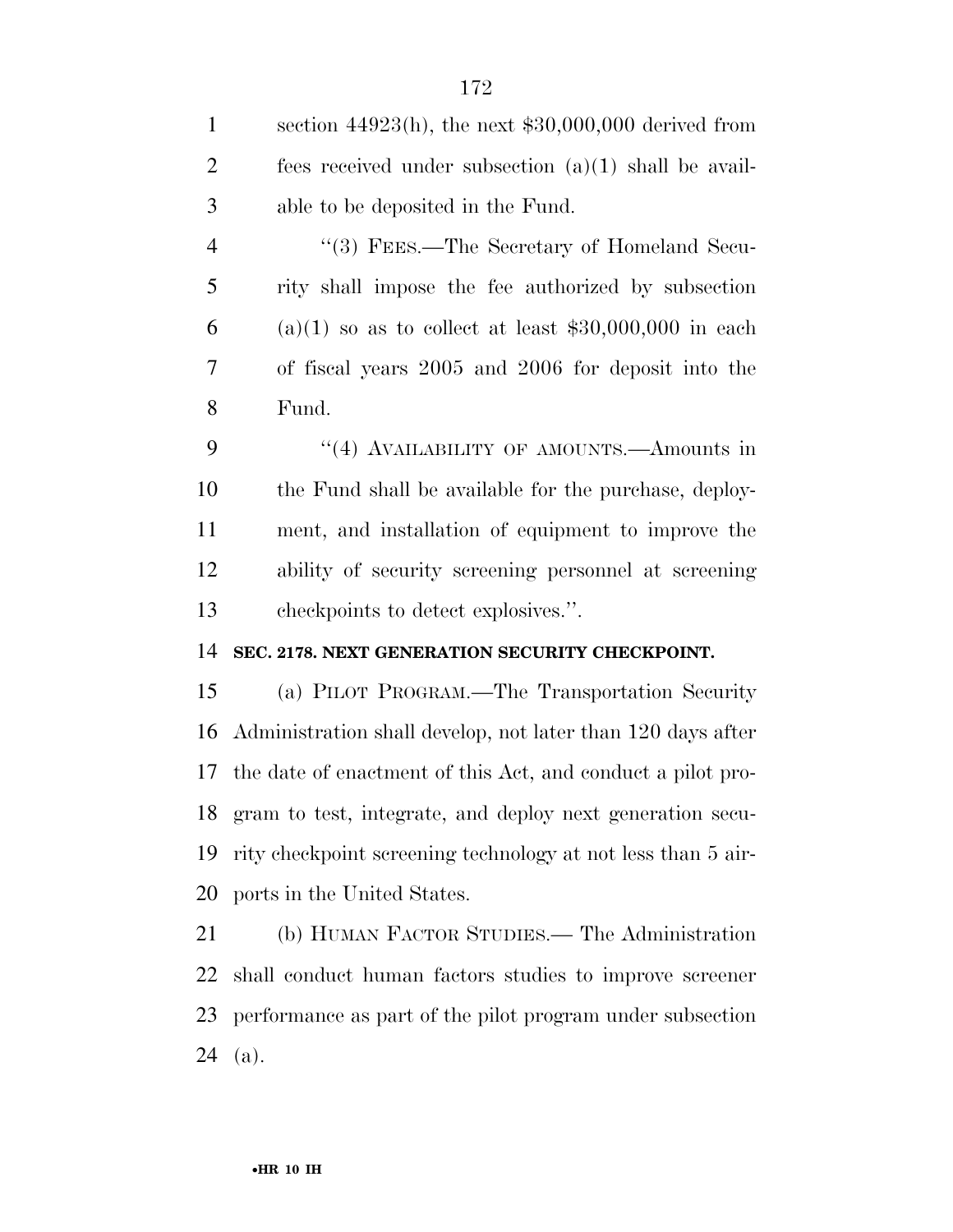section 44923(h), the next \$30,000,000 derived from fees received under subsection (a)(1) shall be avail-able to be deposited in the Fund.

4 "(3) FEES.—The Secretary of Homeland Secu- rity shall impose the fee authorized by subsection 6 (a)(1) so as to collect at least  $$30,000,000$  in each of fiscal years 2005 and 2006 for deposit into the Fund.

9 "(4) AVAILABILITY OF AMOUNTS.—Amounts in the Fund shall be available for the purchase, deploy- ment, and installation of equipment to improve the ability of security screening personnel at screening checkpoints to detect explosives.''.

### **SEC. 2178. NEXT GENERATION SECURITY CHECKPOINT.**

 (a) PILOT PROGRAM.—The Transportation Security Administration shall develop, not later than 120 days after the date of enactment of this Act, and conduct a pilot pro- gram to test, integrate, and deploy next generation secu- rity checkpoint screening technology at not less than 5 air-ports in the United States.

 (b) HUMAN FACTOR STUDIES.— The Administration shall conduct human factors studies to improve screener performance as part of the pilot program under subsection (a).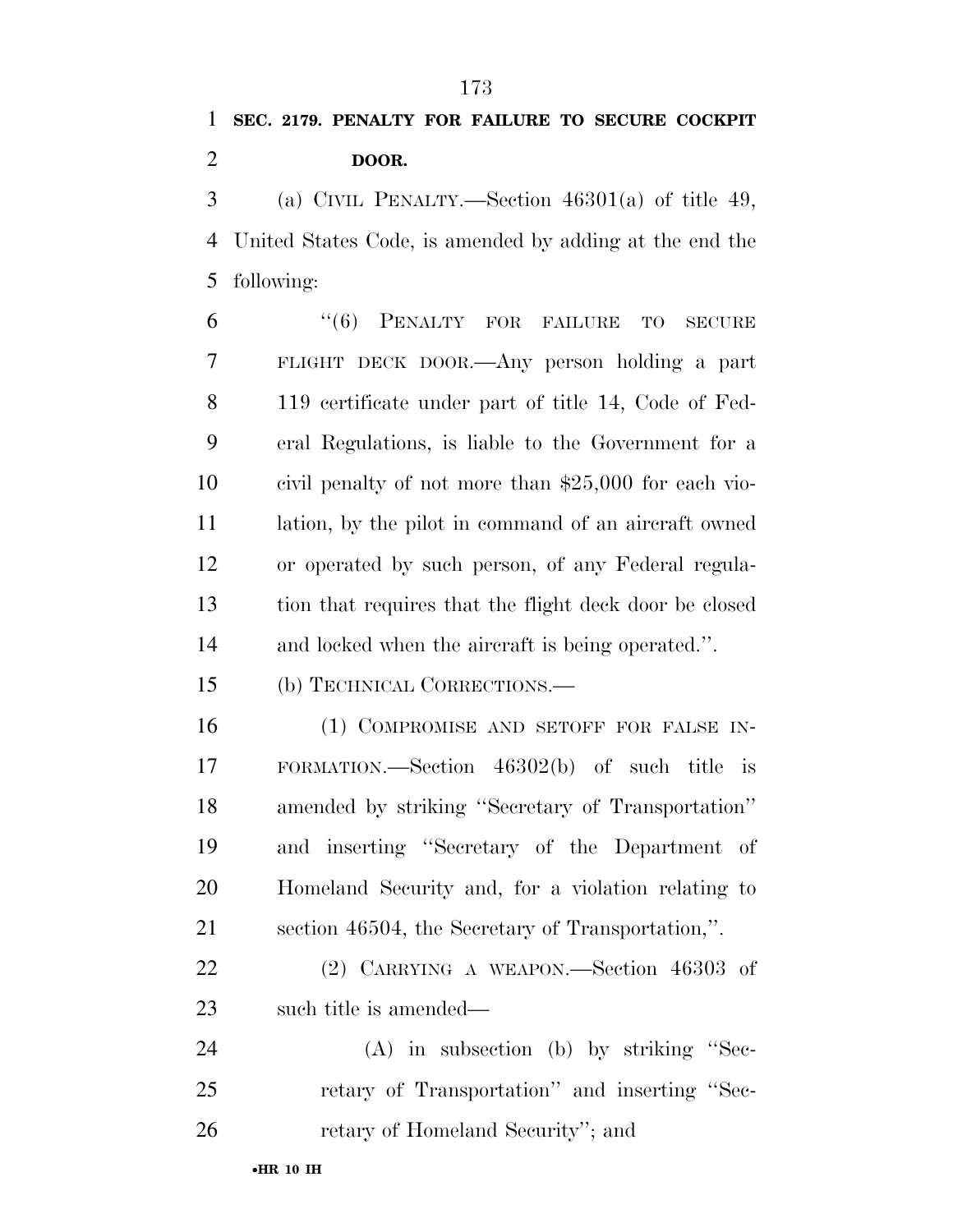## **SEC. 2179. PENALTY FOR FAILURE TO SECURE COCKPIT DOOR.**

 (a) CIVIL PENALTY.—Section 46301(a) of title 49, United States Code, is amended by adding at the end the following:

 ''(6) PENALTY FOR FAILURE TO SECURE FLIGHT DECK DOOR.—Any person holding a part 119 certificate under part of title 14, Code of Fed- eral Regulations, is liable to the Government for a civil penalty of not more than \$25,000 for each vio- lation, by the pilot in command of an aircraft owned or operated by such person, of any Federal regula- tion that requires that the flight deck door be closed and locked when the aircraft is being operated.''.

(b) TECHNICAL CORRECTIONS.—

16 (1) COMPROMISE AND SETOFF FOR FALSE IN- FORMATION.—Section 46302(b) of such title is amended by striking ''Secretary of Transportation'' and inserting ''Secretary of the Department of Homeland Security and, for a violation relating to section 46504, the Secretary of Transportation,''.

 (2) CARRYING A WEAPON.—Section 46303 of 23 such title is amended—

 (A) in subsection (b) by striking ''Sec- retary of Transportation'' and inserting ''Sec-retary of Homeland Security''; and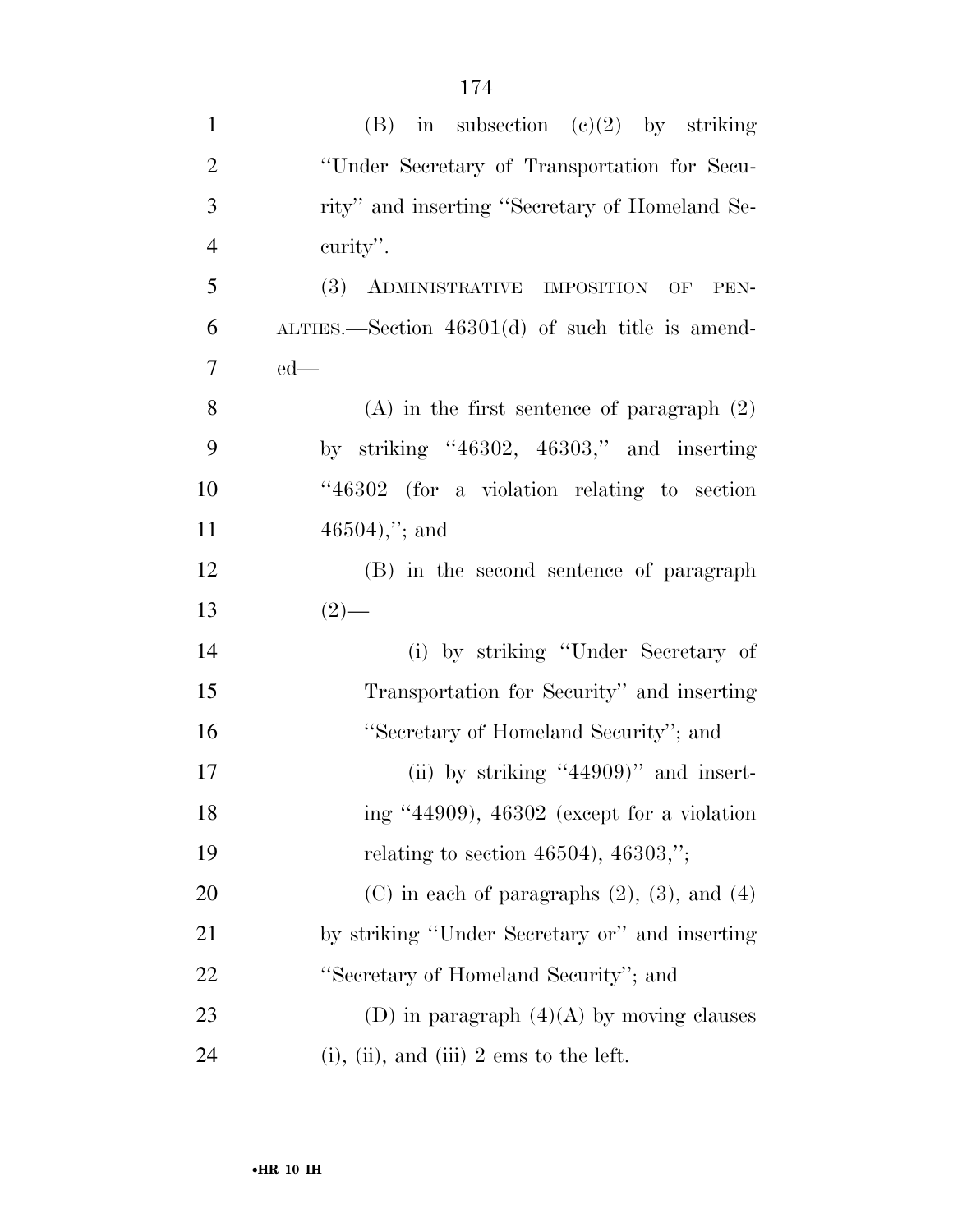| $\mathbf{1}$   | (B) in subsection $(c)(2)$ by striking                |
|----------------|-------------------------------------------------------|
| $\overline{2}$ | "Under Secretary of Transportation for Secu-          |
| 3              | rity" and inserting "Secretary of Homeland Se-        |
| $\overline{4}$ | curity".                                              |
| 5              | (3) ADMINISTRATIVE IMPOSITION OF PEN-                 |
| 6              | $\mu$ THES.—Section 46301(d) of such title is amend-  |
| 7              | $ed$ —                                                |
| 8              | $(A)$ in the first sentence of paragraph $(2)$        |
| 9              | by striking "46302, 46303," and inserting             |
| 10             | "46302 (for a violation relating to section           |
| 11             | $46504,$ "; and                                       |
| 12             | (B) in the second sentence of paragraph               |
| 13             | $(2)$ —                                               |
| 14             | (i) by striking "Under Secretary of                   |
| 15             | Transportation for Security" and inserting            |
| 16             | "Secretary of Homeland Security"; and                 |
| 17             | (ii) by striking "44909)" and insert-                 |
| 18             | ing "44909), 46302 (except for a violation            |
| 19             | relating to section 46504), 46303,";                  |
| 20             | $(C)$ in each of paragraphs $(2)$ , $(3)$ , and $(4)$ |
| 21             | by striking "Under Secretary or" and inserting        |
| 22             | "Secretary of Homeland Security"; and                 |
| 23             | (D) in paragraph $(4)(A)$ by moving clauses           |
| 24             | $(i)$ , $(ii)$ , and $(iii)$ 2 ems to the left.       |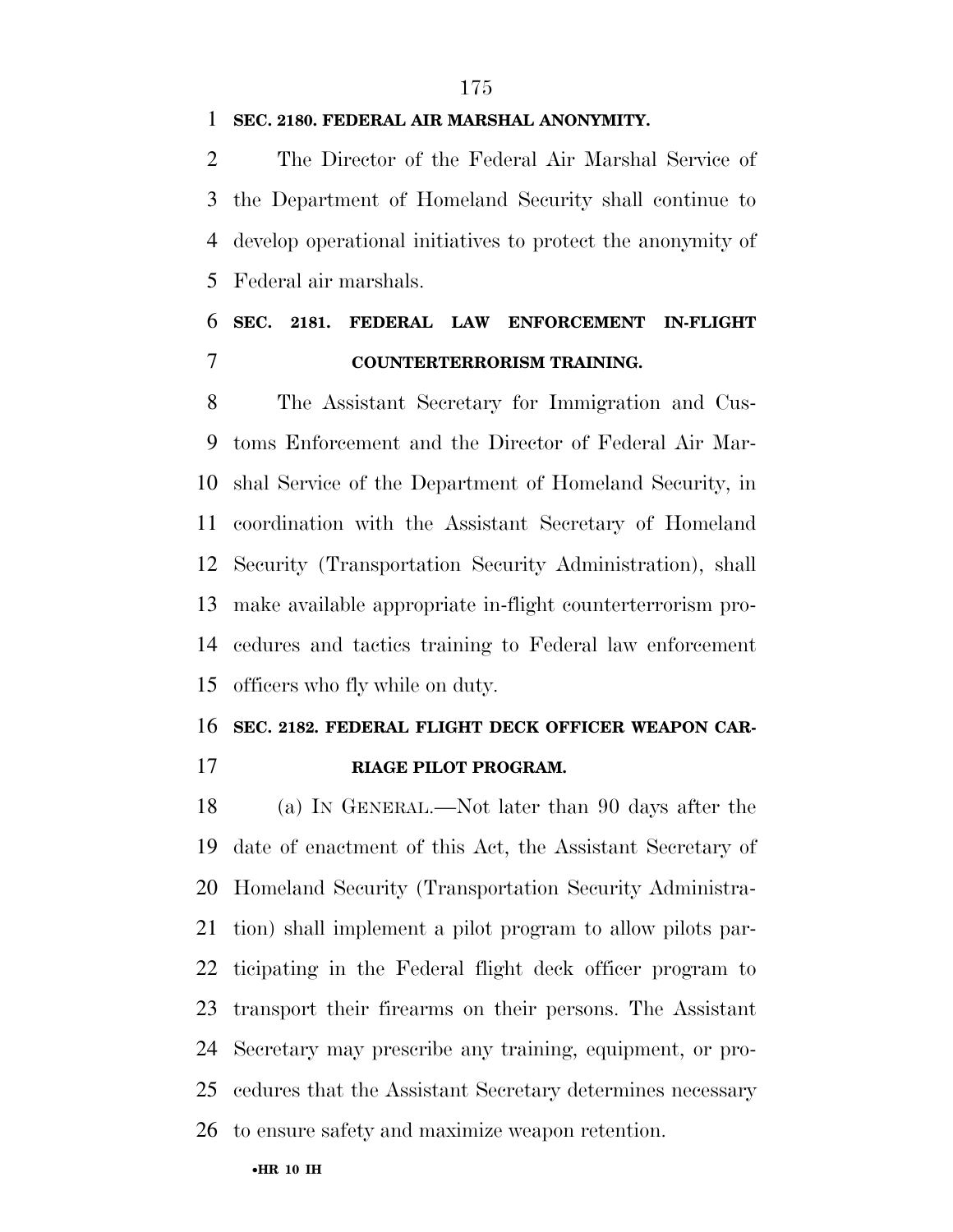### **SEC. 2180. FEDERAL AIR MARSHAL ANONYMITY.**

 The Director of the Federal Air Marshal Service of the Department of Homeland Security shall continue to develop operational initiatives to protect the anonymity of Federal air marshals.

### **SEC. 2181. FEDERAL LAW ENFORCEMENT IN-FLIGHT COUNTERTERRORISM TRAINING.**

 The Assistant Secretary for Immigration and Cus- toms Enforcement and the Director of Federal Air Mar- shal Service of the Department of Homeland Security, in coordination with the Assistant Secretary of Homeland Security (Transportation Security Administration), shall make available appropriate in-flight counterterrorism pro- cedures and tactics training to Federal law enforcement officers who fly while on duty.

### **SEC. 2182. FEDERAL FLIGHT DECK OFFICER WEAPON CAR-RIAGE PILOT PROGRAM.**

 (a) IN GENERAL.—Not later than 90 days after the date of enactment of this Act, the Assistant Secretary of Homeland Security (Transportation Security Administra- tion) shall implement a pilot program to allow pilots par- ticipating in the Federal flight deck officer program to transport their firearms on their persons. The Assistant Secretary may prescribe any training, equipment, or pro- cedures that the Assistant Secretary determines necessary to ensure safety and maximize weapon retention.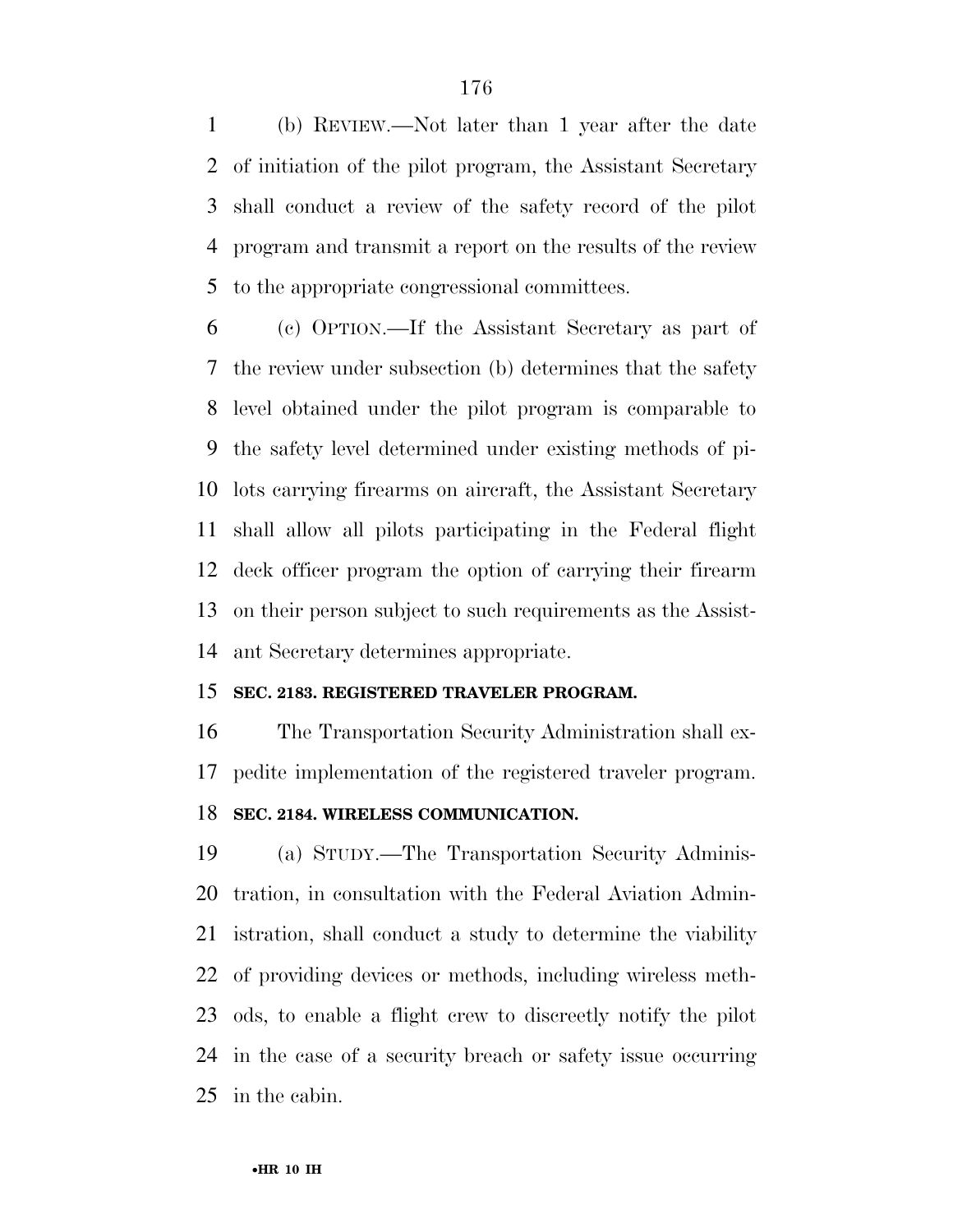(b) REVIEW.—Not later than 1 year after the date of initiation of the pilot program, the Assistant Secretary shall conduct a review of the safety record of the pilot program and transmit a report on the results of the review to the appropriate congressional committees.

 (c) OPTION.—If the Assistant Secretary as part of the review under subsection (b) determines that the safety level obtained under the pilot program is comparable to the safety level determined under existing methods of pi- lots carrying firearms on aircraft, the Assistant Secretary shall allow all pilots participating in the Federal flight deck officer program the option of carrying their firearm on their person subject to such requirements as the Assist-ant Secretary determines appropriate.

### **SEC. 2183. REGISTERED TRAVELER PROGRAM.**

 The Transportation Security Administration shall ex-pedite implementation of the registered traveler program.

### **SEC. 2184. WIRELESS COMMUNICATION.**

 (a) STUDY.—The Transportation Security Adminis- tration, in consultation with the Federal Aviation Admin- istration, shall conduct a study to determine the viability of providing devices or methods, including wireless meth- ods, to enable a flight crew to discreetly notify the pilot in the case of a security breach or safety issue occurring in the cabin.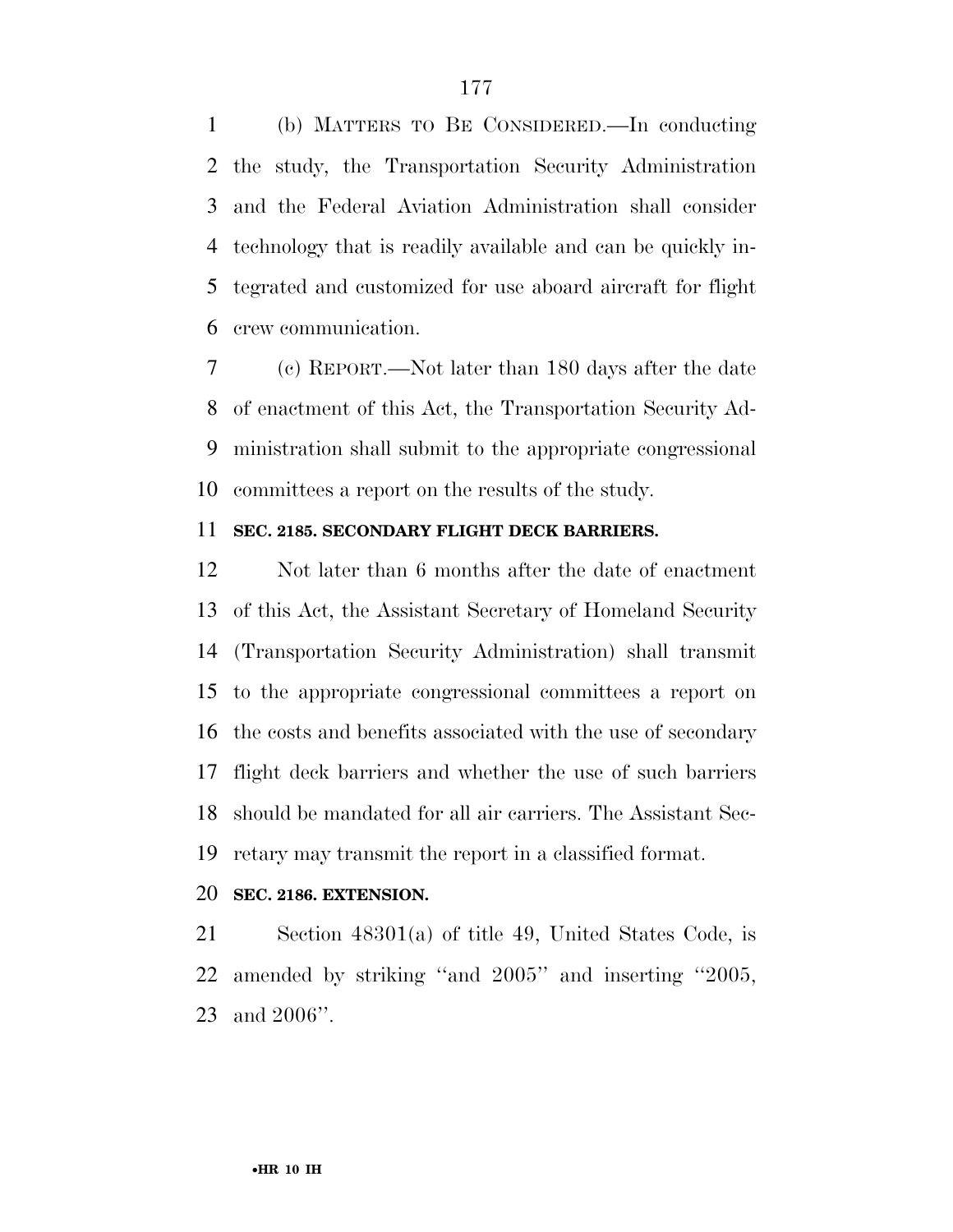(b) MATTERS TO BE CONSIDERED.—In conducting the study, the Transportation Security Administration and the Federal Aviation Administration shall consider technology that is readily available and can be quickly in- tegrated and customized for use aboard aircraft for flight crew communication.

 (c) REPORT.—Not later than 180 days after the date of enactment of this Act, the Transportation Security Ad- ministration shall submit to the appropriate congressional committees a report on the results of the study.

### **SEC. 2185. SECONDARY FLIGHT DECK BARRIERS.**

 Not later than 6 months after the date of enactment of this Act, the Assistant Secretary of Homeland Security (Transportation Security Administration) shall transmit to the appropriate congressional committees a report on the costs and benefits associated with the use of secondary flight deck barriers and whether the use of such barriers should be mandated for all air carriers. The Assistant Sec-retary may transmit the report in a classified format.

### **SEC. 2186. EXTENSION.**

 Section 48301(a) of title 49, United States Code, is amended by striking ''and 2005'' and inserting ''2005, and 2006''.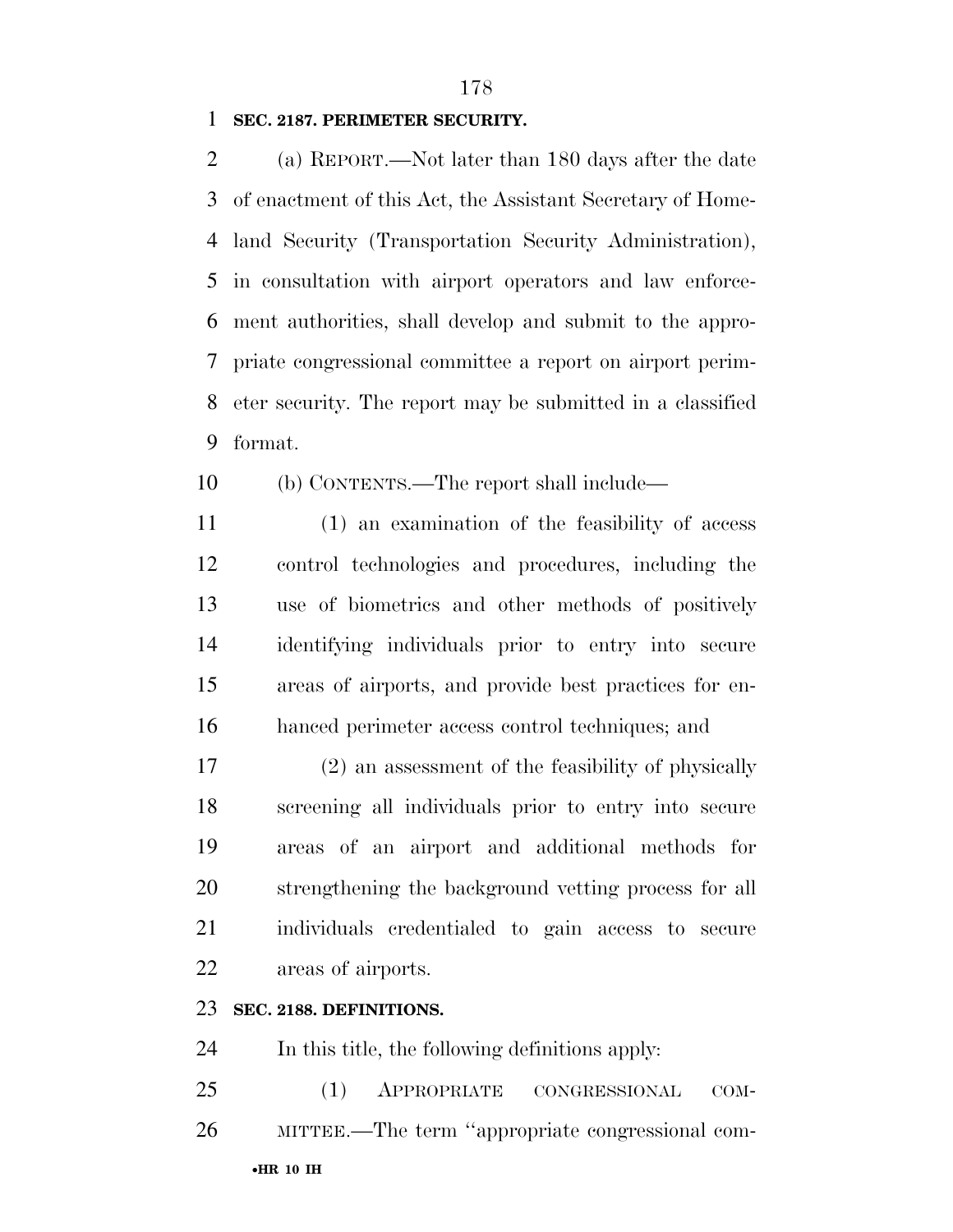### **SEC. 2187. PERIMETER SECURITY.**

 (a) REPORT.—Not later than 180 days after the date of enactment of this Act, the Assistant Secretary of Home- land Security (Transportation Security Administration), in consultation with airport operators and law enforce- ment authorities, shall develop and submit to the appro- priate congressional committee a report on airport perim- eter security. The report may be submitted in a classified format.

- (b) CONTENTS.—The report shall include—
- (1) an examination of the feasibility of access control technologies and procedures, including the use of biometrics and other methods of positively identifying individuals prior to entry into secure areas of airports, and provide best practices for en-hanced perimeter access control techniques; and

 (2) an assessment of the feasibility of physically screening all individuals prior to entry into secure areas of an airport and additional methods for strengthening the background vetting process for all individuals credentialed to gain access to secure areas of airports.

### **SEC. 2188. DEFINITIONS.**

In this title, the following definitions apply:

•**HR 10 IH**  (1) APPROPRIATE CONGRESSIONAL COM-MITTEE.—The term ''appropriate congressional com-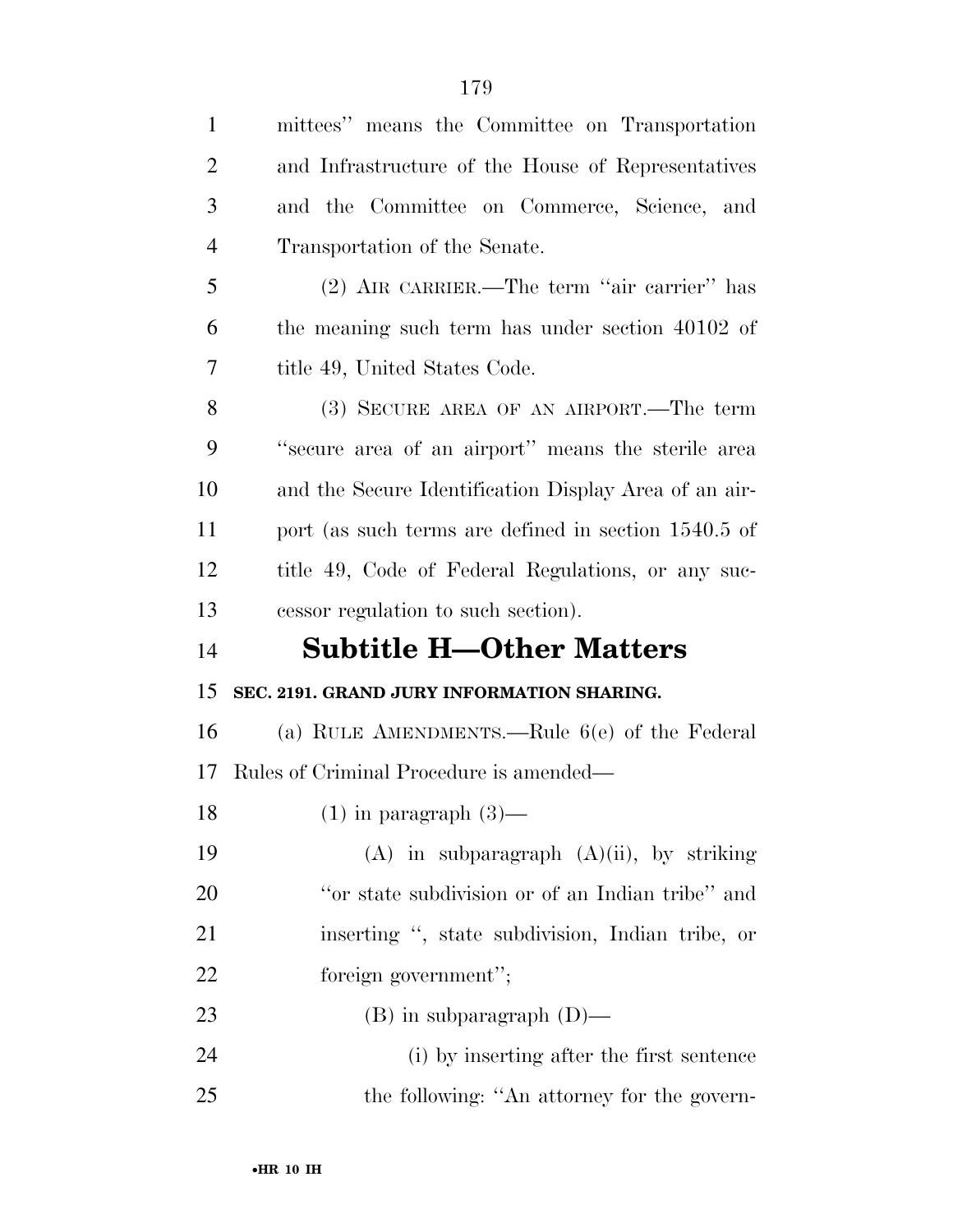| $\mathbf{1}$   | mittees" means the Committee on Transportation        |
|----------------|-------------------------------------------------------|
| $\overline{2}$ | and Infrastructure of the House of Representatives    |
| 3              | and the Committee on Commerce, Science, and           |
| $\overline{4}$ | Transportation of the Senate.                         |
| 5              | (2) AIR CARRIER.—The term "air carrier" has           |
| 6              | the meaning such term has under section 40102 of      |
| 7              | title 49, United States Code.                         |
| 8              | (3) SECURE AREA OF AN AIRPORT.—The term               |
| 9              | "secure area of an airport" means the sterile area    |
| 10             | and the Secure Identification Display Area of an air- |
| 11             | port (as such terms are defined in section 1540.5 of  |
| 12             | title 49, Code of Federal Regulations, or any suc-    |
|                |                                                       |
| 13             | cessor regulation to such section).                   |
| 14             | <b>Subtitle H-Other Matters</b>                       |
| 15             | SEC. 2191. GRAND JURY INFORMATION SHARING.            |
| 16             | (a) RULE AMENDMENTS.—Rule $6(e)$ of the Federal       |
| 17             | Rules of Criminal Procedure is amended—               |
| 18             | $(1)$ in paragraph $(3)$ —                            |
| 19             | $(A)$ in subparagraph $(A)(ii)$ , by striking         |
| <b>20</b>      | "or state subdivision or of an Indian tribe" and      |
| 21             | inserting ", state subdivision, Indian tribe, or      |
| 22             | foreign government";                                  |
| 23             | $(B)$ in subparagraph $(D)$ —                         |
| 24             | (i) by inserting after the first sentence             |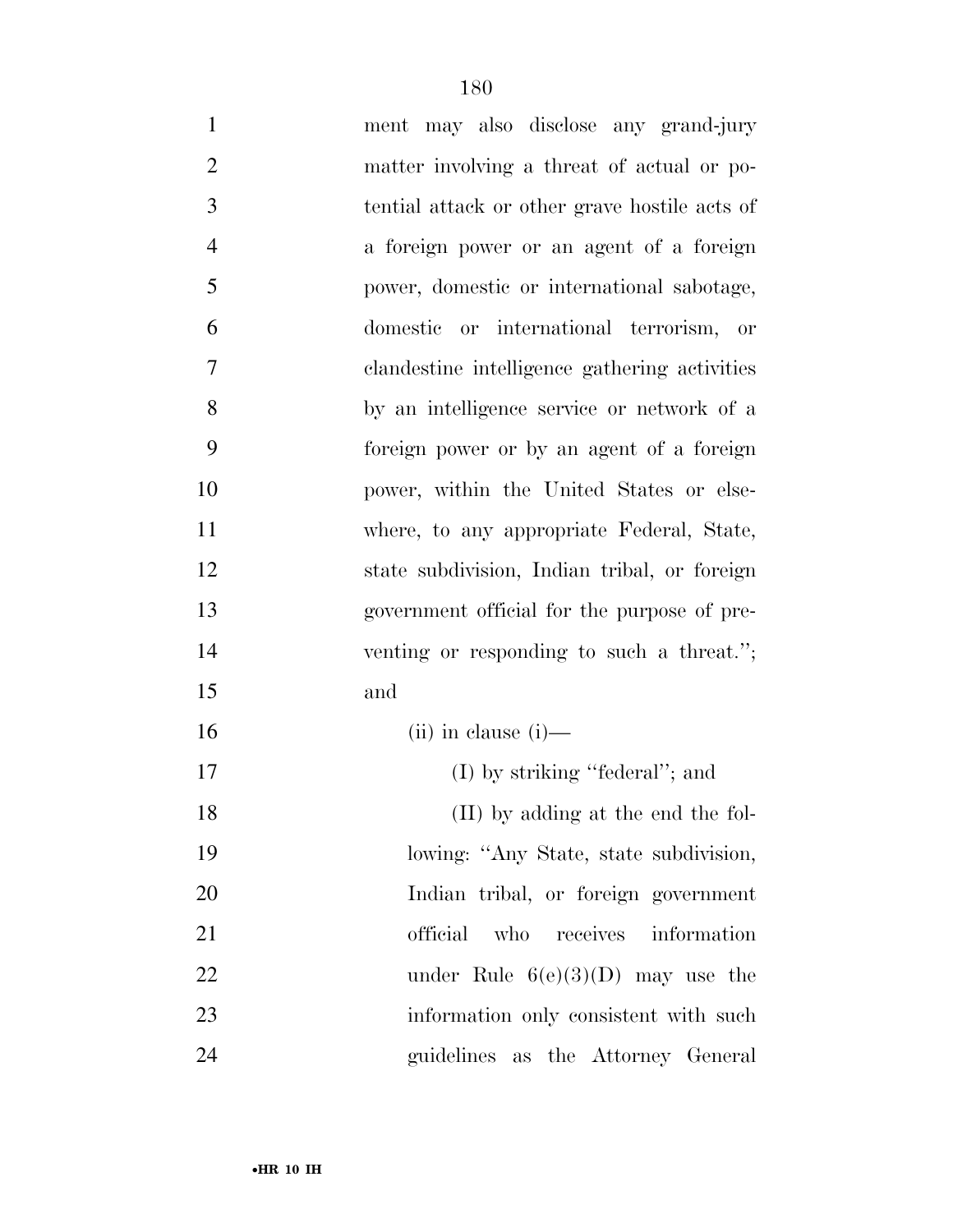ment may also disclose any grand-jury matter involving a threat of actual or po- tential attack or other grave hostile acts of a foreign power or an agent of a foreign power, domestic or international sabotage, domestic or international terrorism, or clandestine intelligence gathering activities by an intelligence service or network of a foreign power or by an agent of a foreign power, within the United States or else- where, to any appropriate Federal, State, state subdivision, Indian tribal, or foreign government official for the purpose of pre- venting or responding to such a threat.''; and (ii) in clause (i)— 17 (I) by striking "federal"; and 18 (II) by adding at the end the fol-lowing: ''Any State, state subdivision,

Indian tribal, or foreign government

official who receives information

22 under Rule  $6(e)(3)(D)$  may use the

23 information only consistent with such  $\frac{1}{2}$ 

guidelines as the Attorney General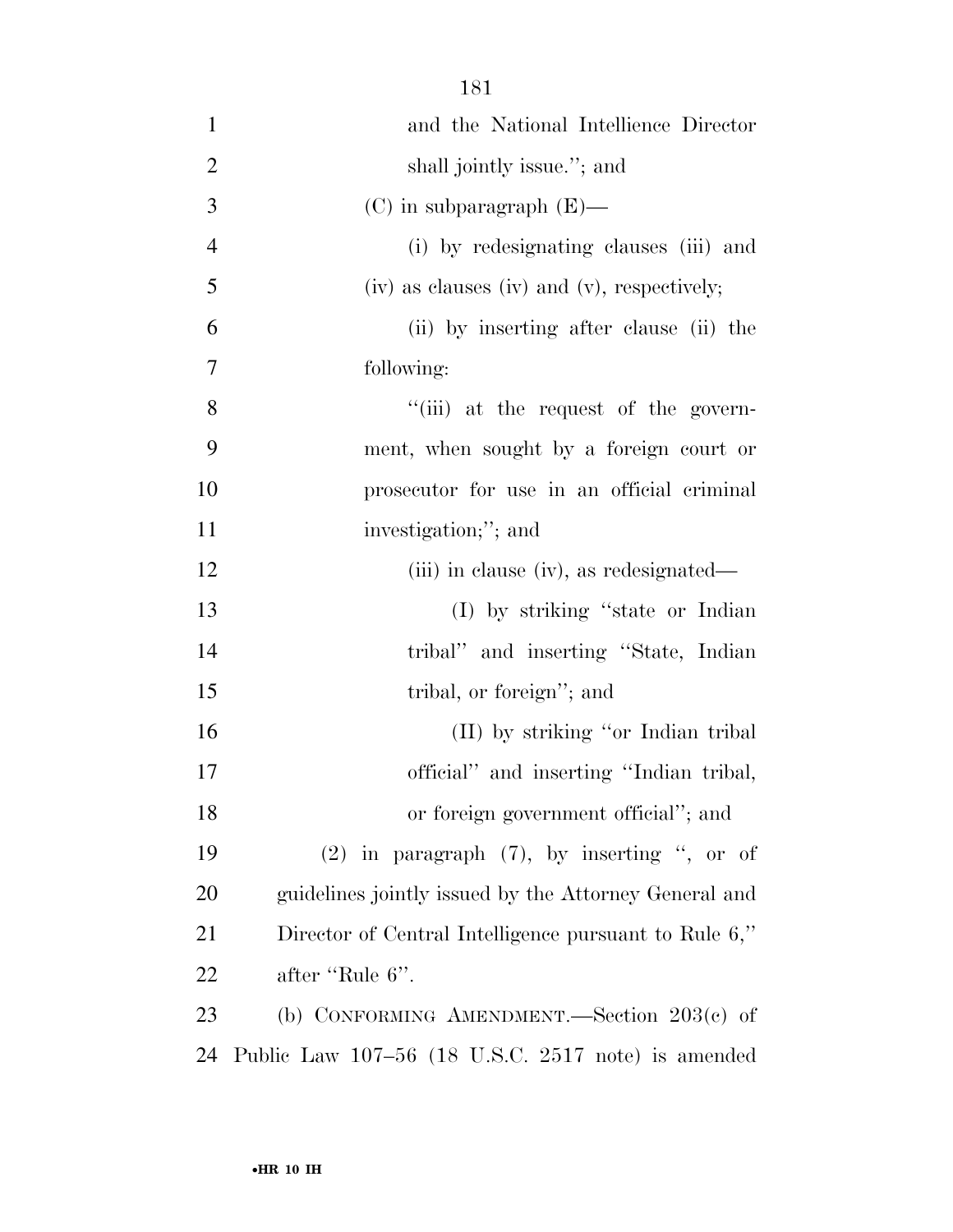| $\mathbf{1}$   | and the National Intellience Director                 |
|----------------|-------------------------------------------------------|
| $\overline{c}$ | shall jointly issue."; and                            |
| 3              | $(C)$ in subparagraph $(E)$ —                         |
| $\overline{4}$ | (i) by redesignating clauses (iii) and                |
| 5              | $(iv)$ as clauses $(iv)$ and $(v)$ , respectively;    |
| 6              | (ii) by inserting after clause (ii) the               |
| $\overline{7}$ | following:                                            |
| 8              | "(iii) at the request of the govern-                  |
| 9              | ment, when sought by a foreign court or               |
| 10             | prosecutor for use in an official criminal            |
| 11             | investigation;"; and                                  |
| 12             | (iii) in clause (iv), as redesignated—                |
| 13             | (I) by striking "state or Indian                      |
| 14             | tribal" and inserting "State, Indian                  |
| 15             | tribal, or foreign"; and                              |
| 16             | (II) by striking "or Indian tribal                    |
| 17             | official" and inserting "Indian tribal,               |
| 18             | or foreign government official"; and                  |
| 19             | $(2)$ in paragraph $(7)$ , by inserting ", or of      |
| 20             | guidelines jointly issued by the Attorney General and |
| 21             | Director of Central Intelligence pursuant to Rule 6," |
| 22             | after "Rule 6".                                       |
| 23             | (b) CONFORMING AMENDMENT.—Section $203(c)$ of         |
| 24             | Public Law 107-56 (18 U.S.C. 2517 note) is amended    |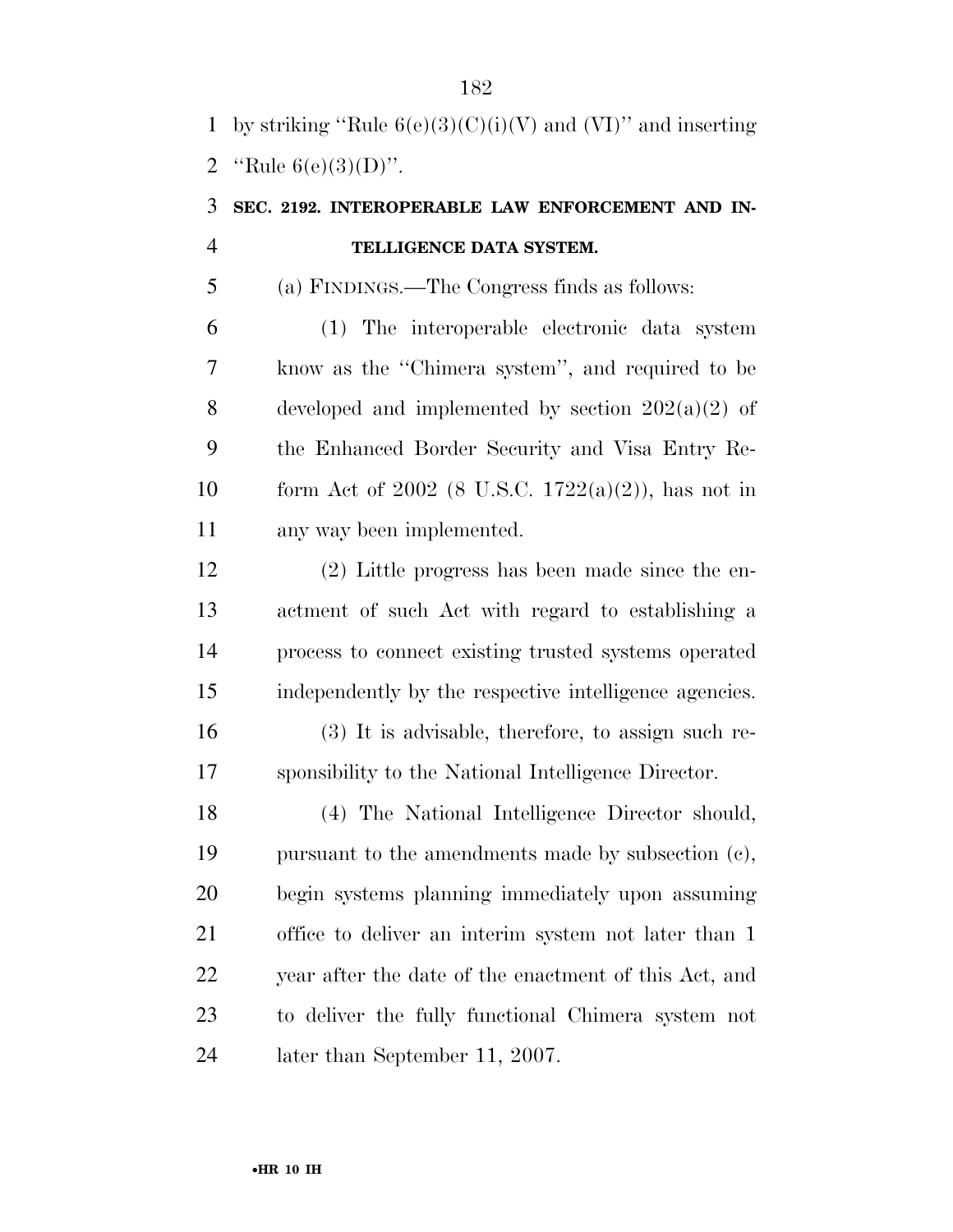1 by striking "Rule  $6(e)(3)(C)(i)(V)$  and  $(VI)$ " and inserting 2 "Rule  $6(e)(3)(D)$ ".

### **SEC. 2192. INTEROPERABLE LAW ENFORCEMENT AND IN-TELLIGENCE DATA SYSTEM.**

(a) FINDINGS.—The Congress finds as follows:

 (1) The interoperable electronic data system know as the ''Chimera system'', and required to be 8 developed and implemented by section  $202(a)(2)$  of the Enhanced Border Security and Visa Entry Re-10 form Act of 2002 (8 U.S.C. 1722(a)(2)), has not in any way been implemented.

 (2) Little progress has been made since the en- actment of such Act with regard to establishing a process to connect existing trusted systems operated independently by the respective intelligence agencies.

 (3) It is advisable, therefore, to assign such re-sponsibility to the National Intelligence Director.

 (4) The National Intelligence Director should, pursuant to the amendments made by subsection (c), begin systems planning immediately upon assuming office to deliver an interim system not later than 1 year after the date of the enactment of this Act, and to deliver the fully functional Chimera system not later than September 11, 2007.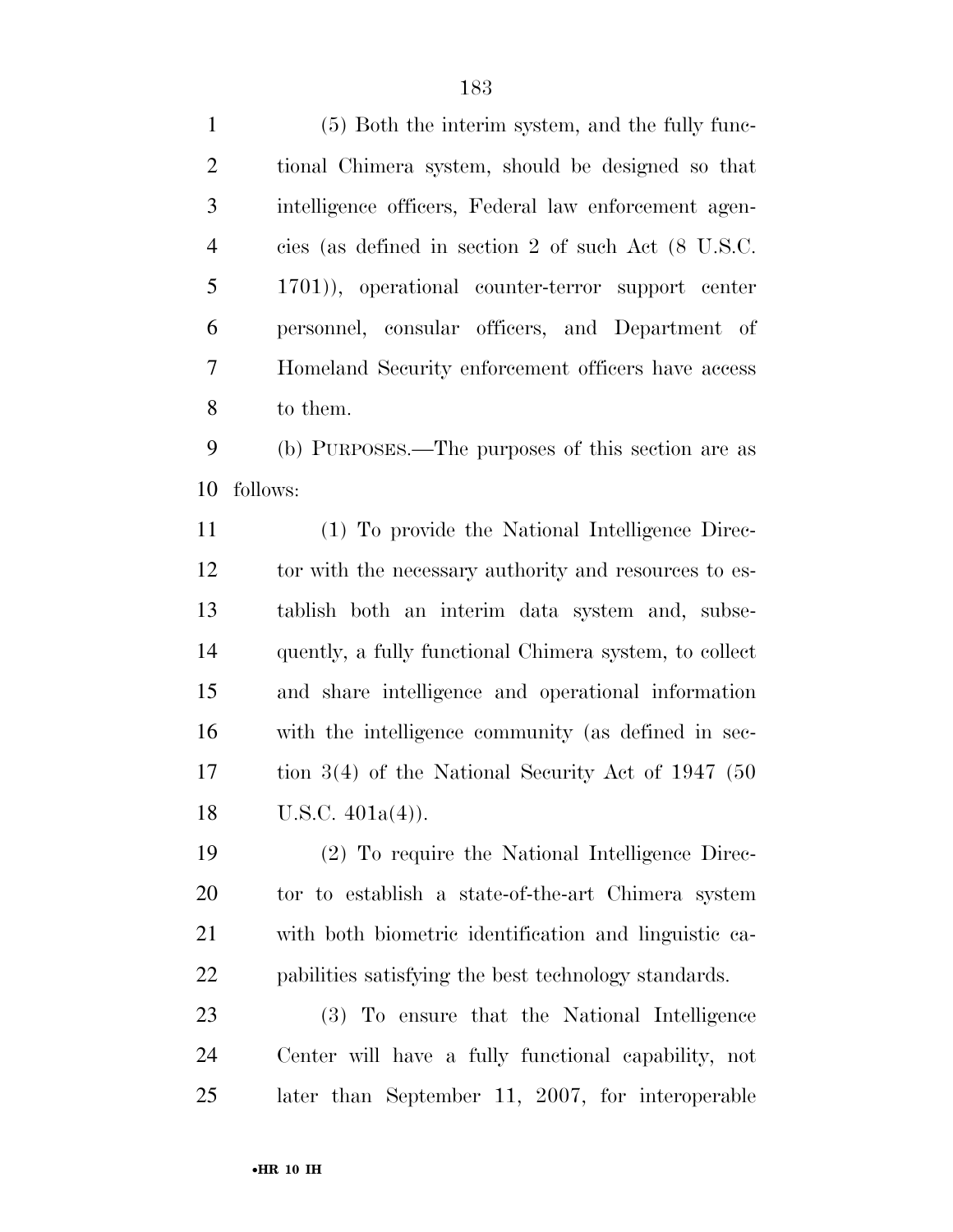| $\mathbf{1}$   | (5) Both the interim system, and the fully func-       |
|----------------|--------------------------------------------------------|
| $\overline{2}$ | tional Chimera system, should be designed so that      |
| 3              | intelligence officers, Federal law enforcement agen-   |
| $\overline{4}$ | cies (as defined in section 2 of such Act (8 U.S.C.    |
| 5              | 1701)), operational counter-terror support center      |
| 6              | personnel, consular officers, and Department of        |
| 7              | Homeland Security enforcement officers have access     |
| 8              | to them.                                               |
| 9              | (b) PURPOSES.—The purposes of this section are as      |
| 10             | follows:                                               |
| 11             | (1) To provide the National Intelligence Direc-        |
| 12             | tor with the necessary authority and resources to es-  |
| 13             | tablish both an interim data system and, subse-        |
| 14             | quently, a fully functional Chimera system, to collect |
| 15             | and share intelligence and operational information     |
| 16             | with the intelligence community (as defined in sec-    |
| 17             | tion $3(4)$ of the National Security Act of 1947 (50)  |
| 18             | U.S.C. $401a(4)$ ).                                    |
| 19             | (2) To require the National Intelligence Direc-        |
| 20             | tor to establish a state-of-the-art Chimera system     |
| 21             | with both biometric identification and linguistic ca-  |
| 22             | pabilities satisfying the best technology standards.   |
| 23             | (3) To ensure that the National Intelligence           |
| 24             | Center will have a fully functional capability, not    |
| 25             | later than September 11, 2007, for interoperable       |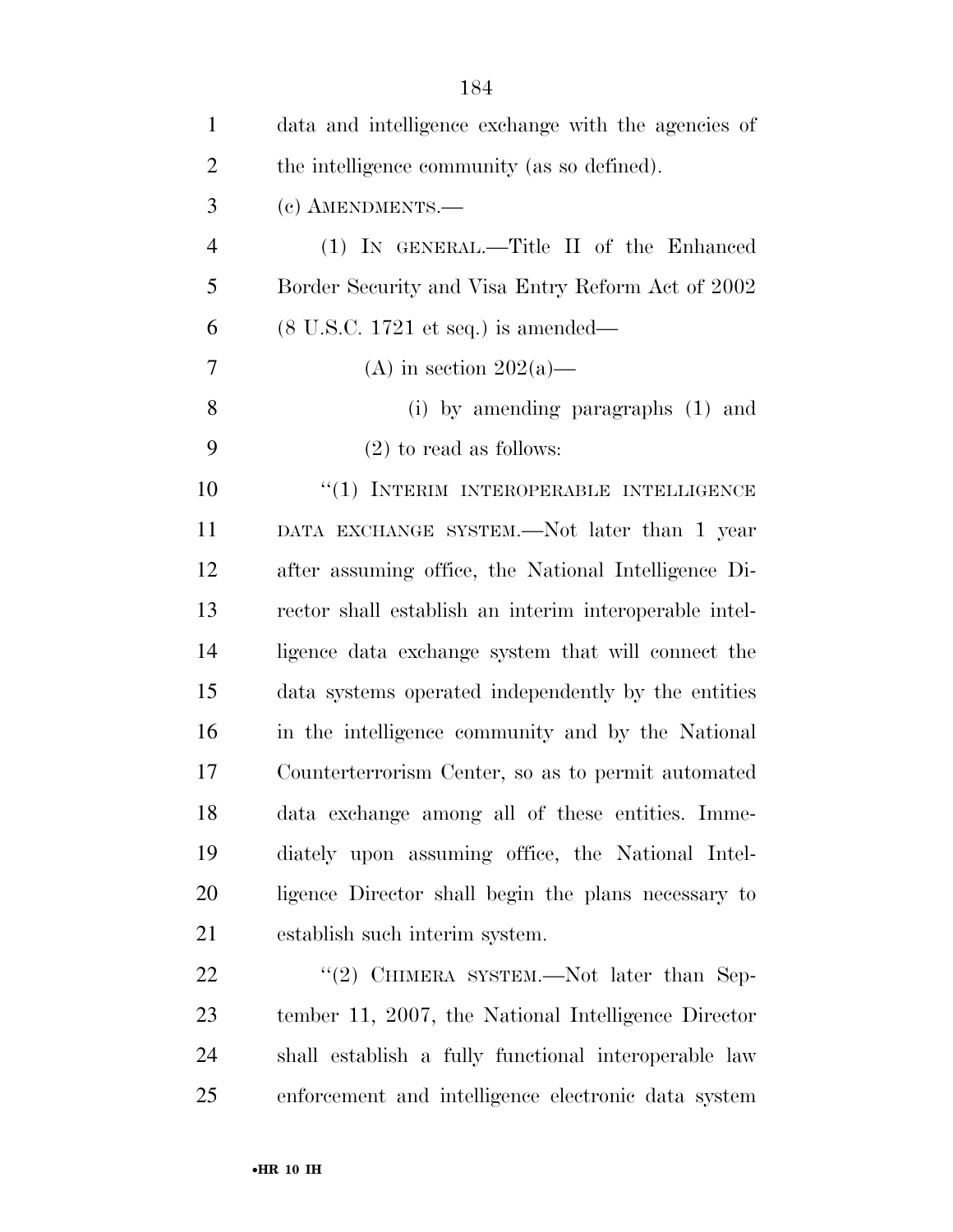| $\mathbf{1}$   | data and intelligence exchange with the agencies of    |
|----------------|--------------------------------------------------------|
| $\overline{2}$ | the intelligence community (as so defined).            |
| 3              | (c) AMENDMENTS.-                                       |
| $\overline{4}$ | (1) IN GENERAL.—Title II of the Enhanced               |
| 5              | Border Security and Visa Entry Reform Act of 2002      |
| 6              | $(8 \text{ U.S.C. } 1721 \text{ et seq.})$ is amended— |
| 7              | (A) in section $202(a)$ —                              |
| 8              | (i) by amending paragraphs $(1)$ and                   |
| 9              | $(2)$ to read as follows:                              |
| 10             | "(1) INTERIM INTEROPERABLE INTELLIGENCE                |
| 11             | DATA EXCHANGE SYSTEM.—Not later than 1 year            |
| 12             | after assuming office, the National Intelligence Di-   |
| 13             | rector shall establish an interim interoperable intel- |
| 14             | ligence data exchange system that will connect the     |
| 15             | data systems operated independently by the entities    |
| 16             | in the intelligence community and by the National      |
| 17             | Counterterrorism Center, so as to permit automated     |
| 18             | data exchange among all of these entities. Imme-       |
| 19             | diately upon assuming office, the National Intel-      |
| 20             | ligence Director shall begin the plans necessary to    |
| 21             | establish such interim system.                         |
| 22             | "(2) CHIMERA SYSTEM.—Not later than Sep-               |
| 23             | tember 11, 2007, the National Intelligence Director    |
| 24             | shall establish a fully functional interoperable law   |
| 25             | enforcement and intelligence electronic data system    |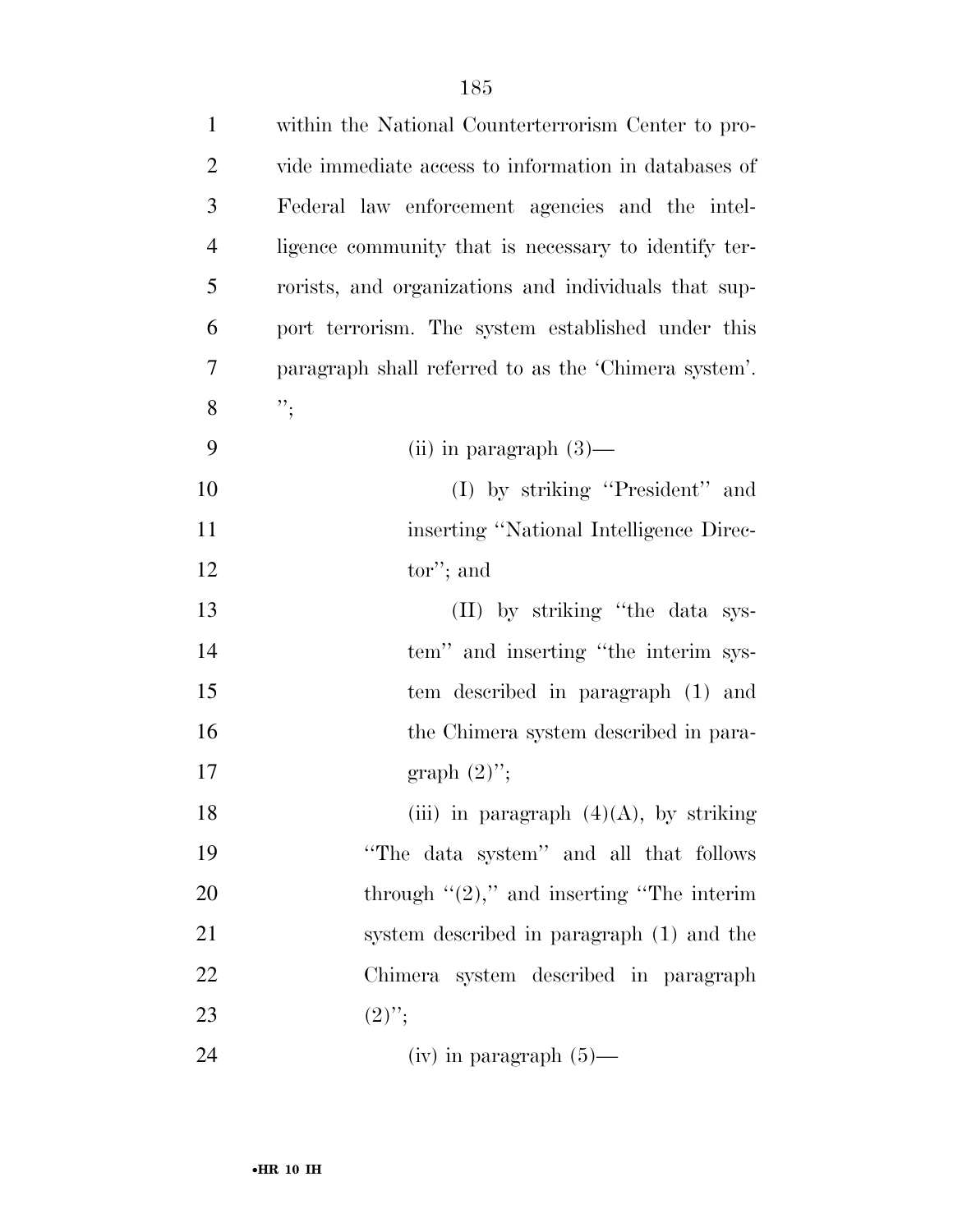| $\mathbf{1}$   | within the National Counterterrorism Center to pro-  |
|----------------|------------------------------------------------------|
| $\overline{2}$ | vide immediate access to information in databases of |
| 3              | Federal law enforcement agencies and the intel-      |
| $\overline{4}$ | ligence community that is necessary to identify ter- |
| 5              | rorists, and organizations and individuals that sup- |
| 6              | port terrorism. The system established under this    |
| 7              | paragraph shall referred to as the 'Chimera system'. |
| 8              | $"\,$                                                |
| 9              | (ii) in paragraph $(3)$ —                            |
| 10             | (I) by striking "President" and                      |
| 11             | inserting "National Intelligence Direc-              |
| 12             | tor"; and                                            |
| 13             | (II) by striking "the data sys-                      |
| 14             | tem" and inserting "the interim sys-                 |
| 15             | tem described in paragraph (1) and                   |
| 16             | the Chimera system described in para-                |
| 17             | graph $(2)$ ";                                       |
| 18             | (iii) in paragraph $(4)(A)$ , by striking            |
| 19             | "The data system" and all that follows               |
| 20             | through $\lq(2)$ ," and inserting "The interim       |
| 21             | system described in paragraph (1) and the            |
| 22             | Chimera system described in paragraph                |
| 23             | $(2)$ ";                                             |
| 24             | $(iv)$ in paragraph $(5)$ —                          |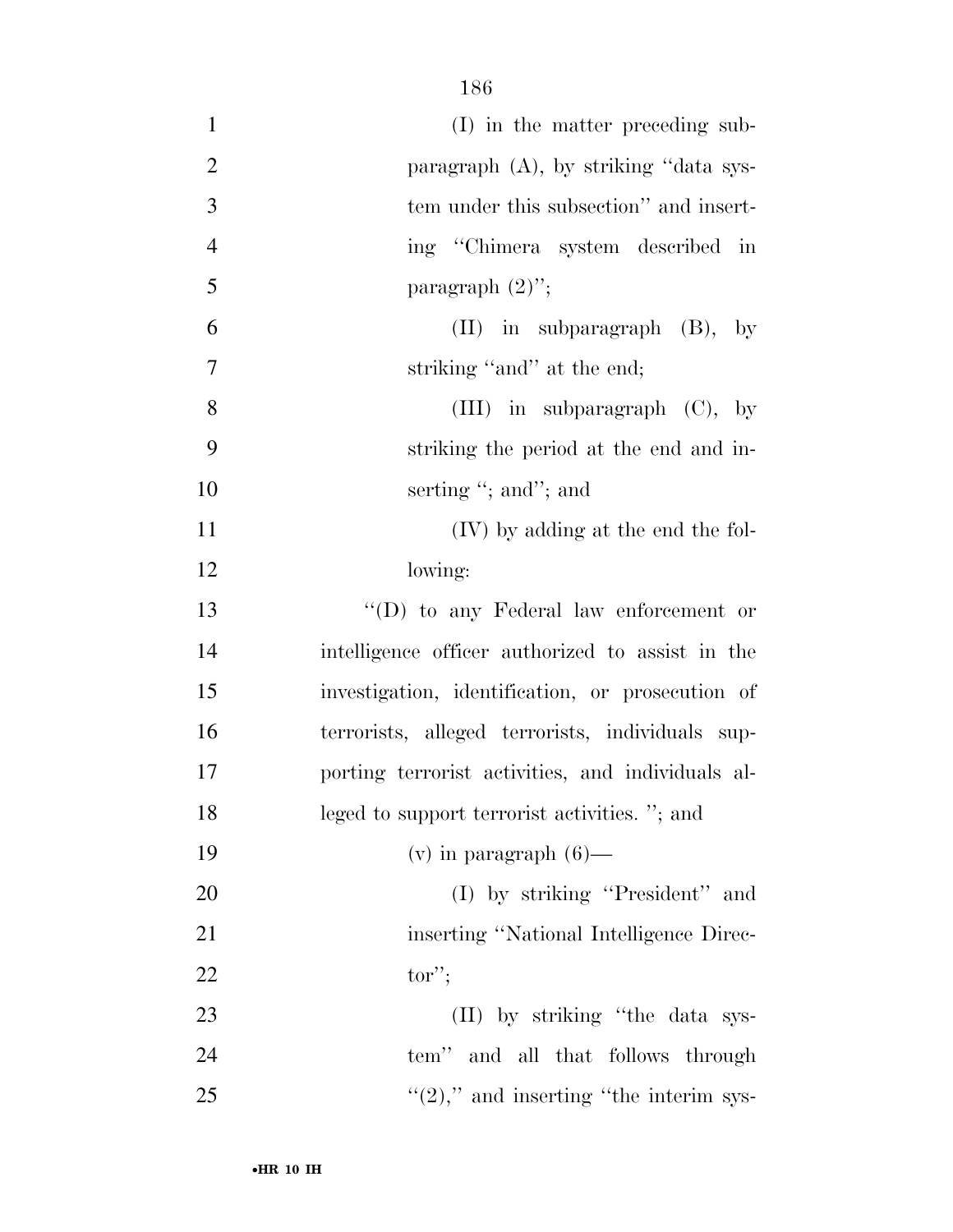| $\mathbf{1}$   | (I) in the matter preceding sub-                  |
|----------------|---------------------------------------------------|
| $\overline{2}$ | paragraph (A), by striking "data sys-             |
| 3              | tem under this subsection" and insert-            |
| $\overline{4}$ | ing "Chimera system described in                  |
| 5              | paragraph $(2)$ ";                                |
| 6              | $(II)$ in subparagraph $(B)$ , by                 |
| $\overline{7}$ | striking "and" at the end;                        |
| 8              | (III) in subparagraph $(C)$ , by                  |
| 9              | striking the period at the end and in-            |
| 10             | serting "; and"; and                              |
| 11             | (IV) by adding at the end the fol-                |
| 12             | lowing:                                           |
| 13             | "(D) to any Federal law enforcement or            |
| 14             | intelligence officer authorized to assist in the  |
| 15             | investigation, identification, or prosecution of  |
| 16             | terrorists, alleged terrorists, individuals sup-  |
| 17             | porting terrorist activities, and individuals al- |
| 18             | leged to support terrorist activities. "; and     |
| 19             | $(v)$ in paragraph $(6)$ —                        |
| 20             | $(I)$ by striking "President" and                 |
| 21             | inserting "National Intelligence Direc-           |
| 22             | $tor$ ";                                          |
| 23             | (II) by striking "the data sys-                   |
| 24             | tem" and all that follows through                 |
| 25             | $\lq(2)$ ," and inserting "the interim sys-       |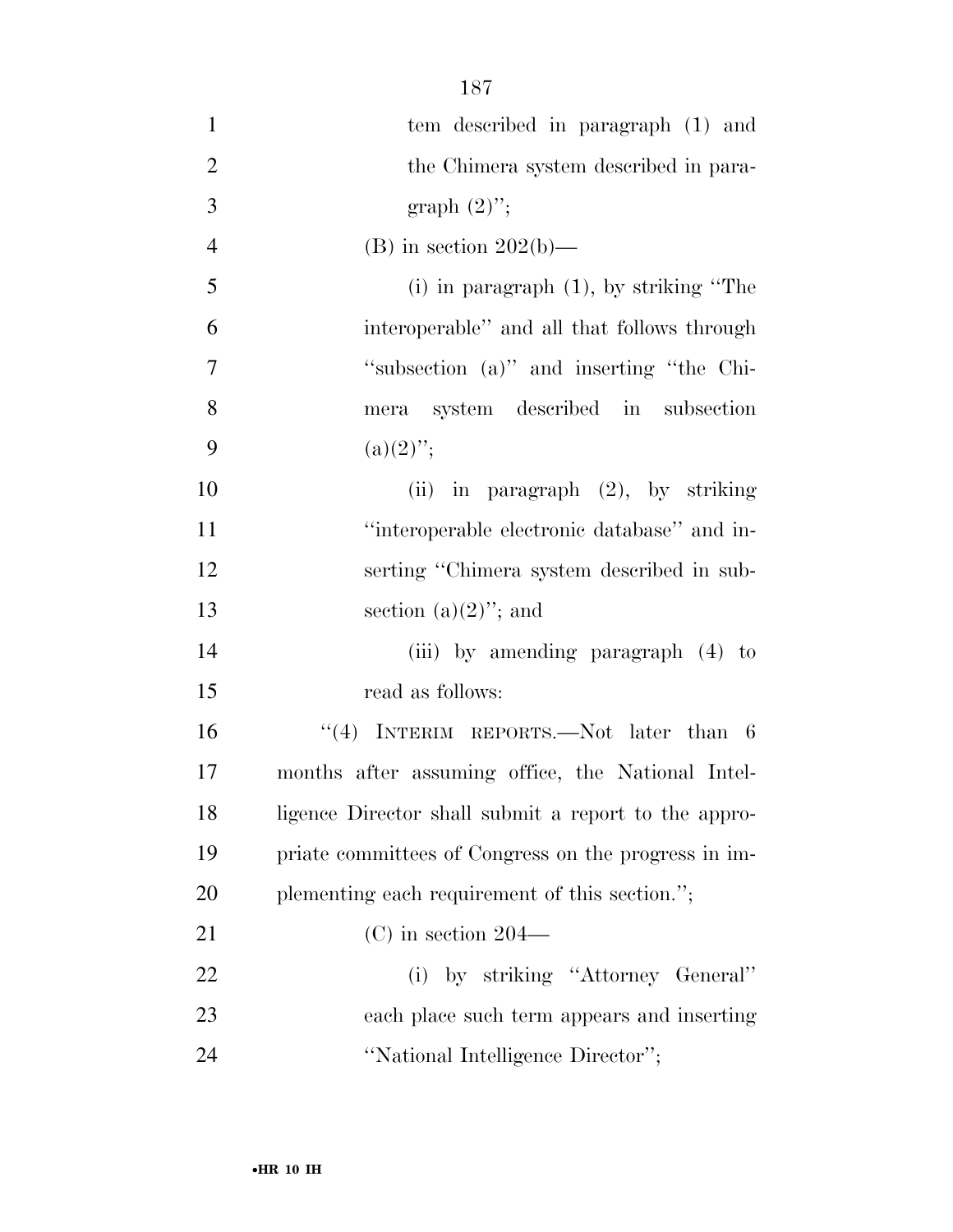| $\mathbf{1}$   | tem described in paragraph (1) and                   |
|----------------|------------------------------------------------------|
| $\overline{2}$ | the Chimera system described in para-                |
| 3              | graph $(2)$ ";                                       |
| $\overline{4}$ | (B) in section $202(b)$ —                            |
| 5              | $(i)$ in paragraph $(1)$ , by striking "The          |
| 6              | interoperable" and all that follows through          |
| $\tau$         | "subsection (a)" and inserting "the Chi-             |
| 8              | mera system described in subsection                  |
| 9              | $(a)(2)$ ";                                          |
| 10             | (ii) in paragraph $(2)$ , by striking                |
| 11             | "interoperable electronic database" and in-          |
| 12             | serting "Chimera system described in sub-            |
| 13             | section $(a)(2)$ "; and                              |
| 14             | (iii) by amending paragraph (4) to                   |
| 15             | read as follows:                                     |
| 16             | "(4) INTERIM REPORTS.—Not later than $6$             |
| 17             | months after assuming office, the National Intel-    |
| 18             | ligence Director shall submit a report to the appro- |
| 19             | priate committees of Congress on the progress in im- |
| 20             | plementing each requirement of this section.";       |
| 21             | $(C)$ in section 204—                                |
| 22             | (i) by striking "Attorney General"                   |
| 23             | each place such term appears and inserting           |
| 24             | "National Intelligence Director";                    |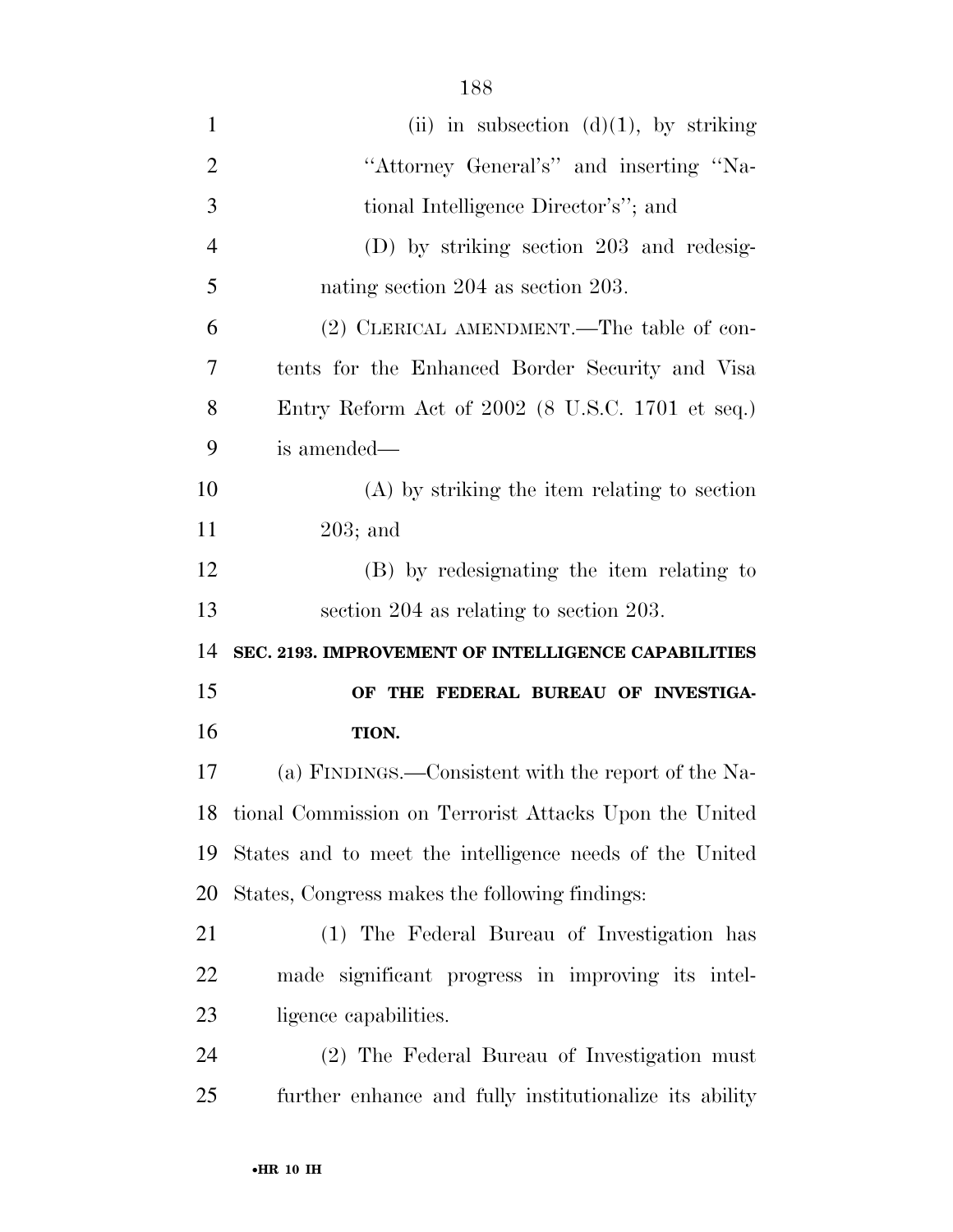| 1              | (ii) in subsection $(d)(1)$ , by striking               |
|----------------|---------------------------------------------------------|
| $\overline{2}$ | "Attorney General's" and inserting "Na-                 |
| 3              | tional Intelligence Director's"; and                    |
| $\overline{4}$ | (D) by striking section 203 and redesig-                |
| 5              | nating section 204 as section 203.                      |
| 6              | (2) CLERICAL AMENDMENT.—The table of con-               |
| 7              | tents for the Enhanced Border Security and Visa         |
| 8              | Entry Reform Act of $2002$ (8 U.S.C. 1701 et seq.)      |
| 9              | is amended—                                             |
| 10             | $(A)$ by striking the item relating to section          |
| 11             | $203;$ and                                              |
| 12             | (B) by redesignating the item relating to               |
| 13             | section 204 as relating to section 203.                 |
| 14             | SEC. 2193. IMPROVEMENT OF INTELLIGENCE CAPABILITIES     |
| 15             | OF THE FEDERAL BUREAU OF INVESTIGA-                     |
| 16             | TION.                                                   |
| 17             | (a) FINDINGS.—Consistent with the report of the Na-     |
| 18             | tional Commission on Terrorist Attacks Upon the United  |
| 19             | States and to meet the intelligence needs of the United |
| 20             | States, Congress makes the following findings:          |
| 21             | (1) The Federal Bureau of Investigation has             |
| 22             | made significant progress in improving its intel-       |
| 23             | ligence capabilities.                                   |
| 24             | (2) The Federal Bureau of Investigation must            |
| 25             | further enhance and fully institutionalize its ability  |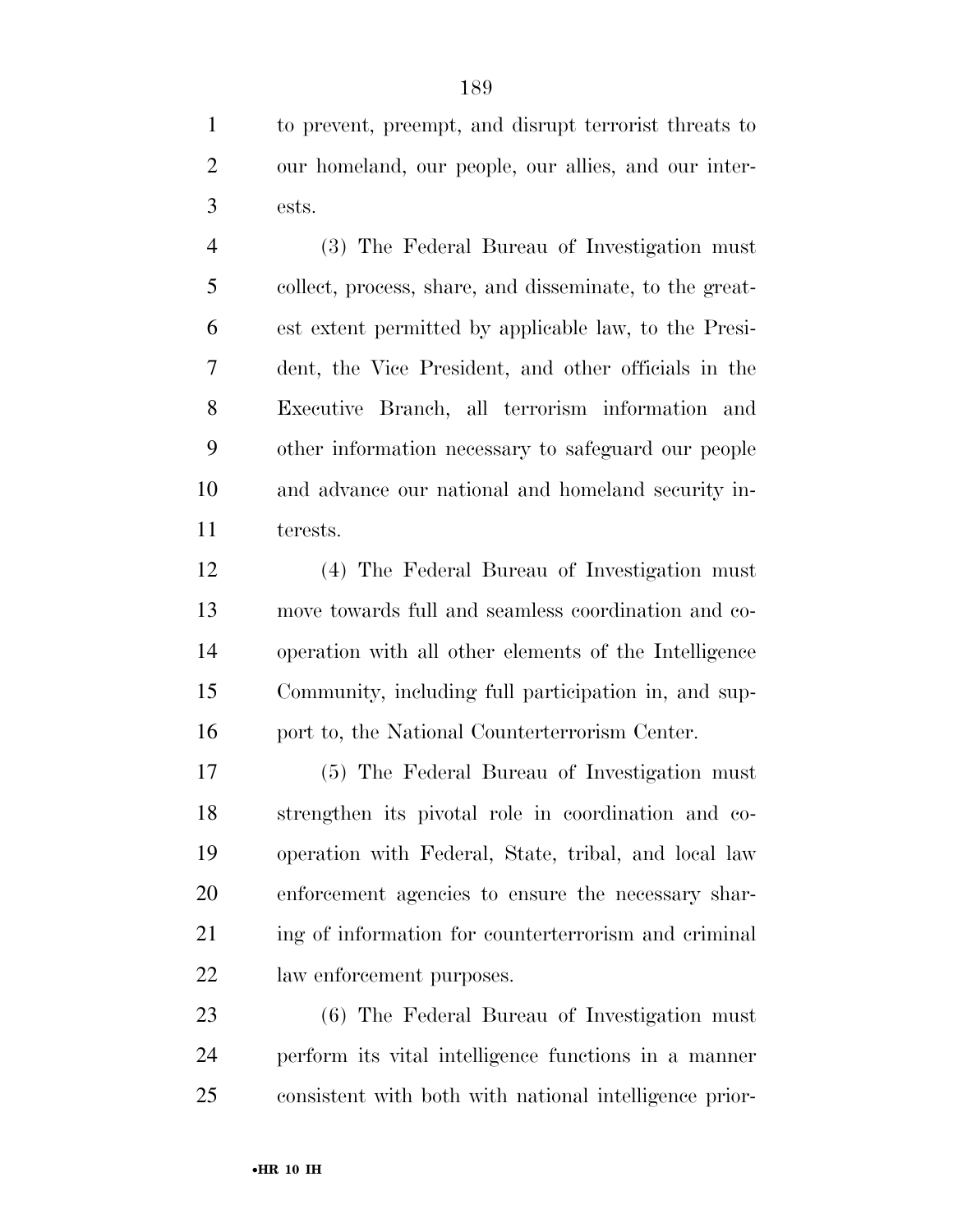to prevent, preempt, and disrupt terrorist threats to our homeland, our people, our allies, and our inter-ests.

 (3) The Federal Bureau of Investigation must collect, process, share, and disseminate, to the great- est extent permitted by applicable law, to the Presi- dent, the Vice President, and other officials in the Executive Branch, all terrorism information and other information necessary to safeguard our people and advance our national and homeland security in-terests.

 (4) The Federal Bureau of Investigation must move towards full and seamless coordination and co- operation with all other elements of the Intelligence Community, including full participation in, and sup-16 port to, the National Counterterrorism Center.

 (5) The Federal Bureau of Investigation must strengthen its pivotal role in coordination and co- operation with Federal, State, tribal, and local law enforcement agencies to ensure the necessary shar-21 ing of information for counterterrorism and criminal law enforcement purposes.

 (6) The Federal Bureau of Investigation must perform its vital intelligence functions in a manner consistent with both with national intelligence prior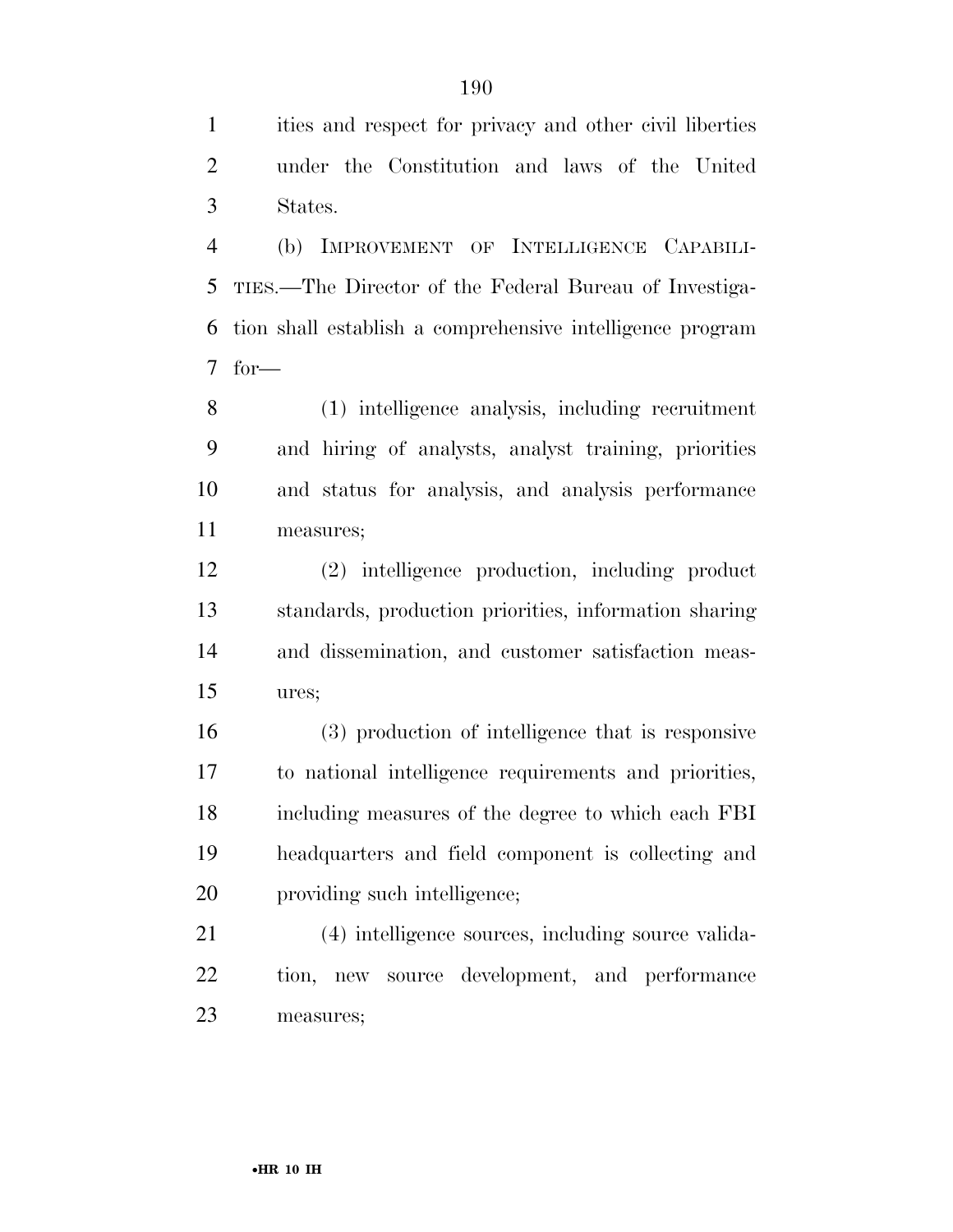ities and respect for privacy and other civil liberties under the Constitution and laws of the United States.

 (b) IMPROVEMENT OF INTELLIGENCE CAPABILI- TIES.—The Director of the Federal Bureau of Investiga- tion shall establish a comprehensive intelligence program for—

 (1) intelligence analysis, including recruitment and hiring of analysts, analyst training, priorities and status for analysis, and analysis performance measures;

 (2) intelligence production, including product standards, production priorities, information sharing and dissemination, and customer satisfaction meas-ures;

 (3) production of intelligence that is responsive to national intelligence requirements and priorities, including measures of the degree to which each FBI headquarters and field component is collecting and providing such intelligence;

 (4) intelligence sources, including source valida- tion, new source development, and performance measures;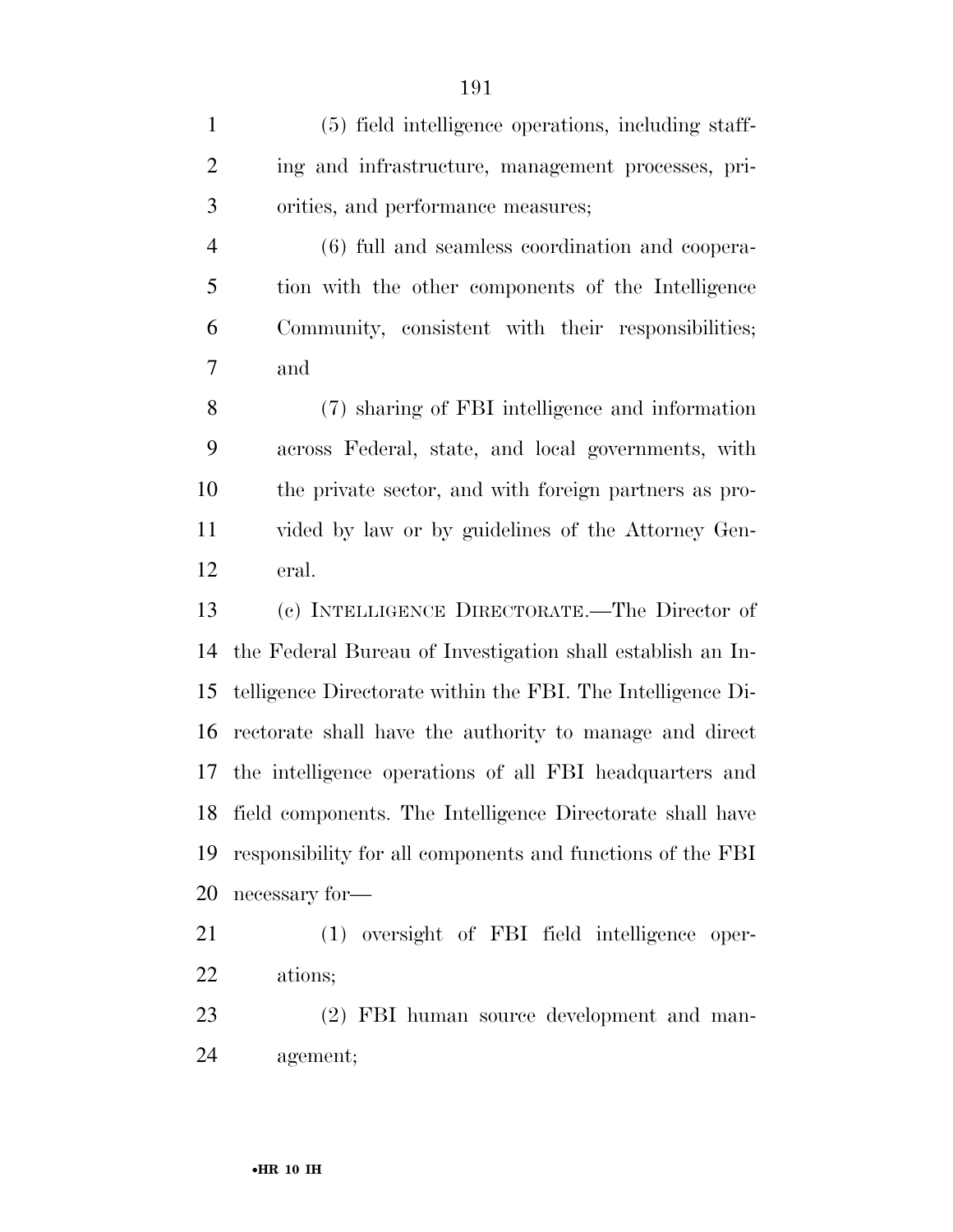(5) field intelligence operations, including staff- ing and infrastructure, management processes, pri- orities, and performance measures; (6) full and seamless coordination and coopera- tion with the other components of the Intelligence Community, consistent with their responsibilities; and (7) sharing of FBI intelligence and information across Federal, state, and local governments, with the private sector, and with foreign partners as pro- vided by law or by guidelines of the Attorney Gen- eral. (c) INTELLIGENCE DIRECTORATE.—The Director of the Federal Bureau of Investigation shall establish an In- telligence Directorate within the FBI. The Intelligence Di- rectorate shall have the authority to manage and direct the intelligence operations of all FBI headquarters and field components. The Intelligence Directorate shall have responsibility for all components and functions of the FBI necessary for— (1) oversight of FBI field intelligence oper- ations; 23 (2) FBI human source development and man-agement;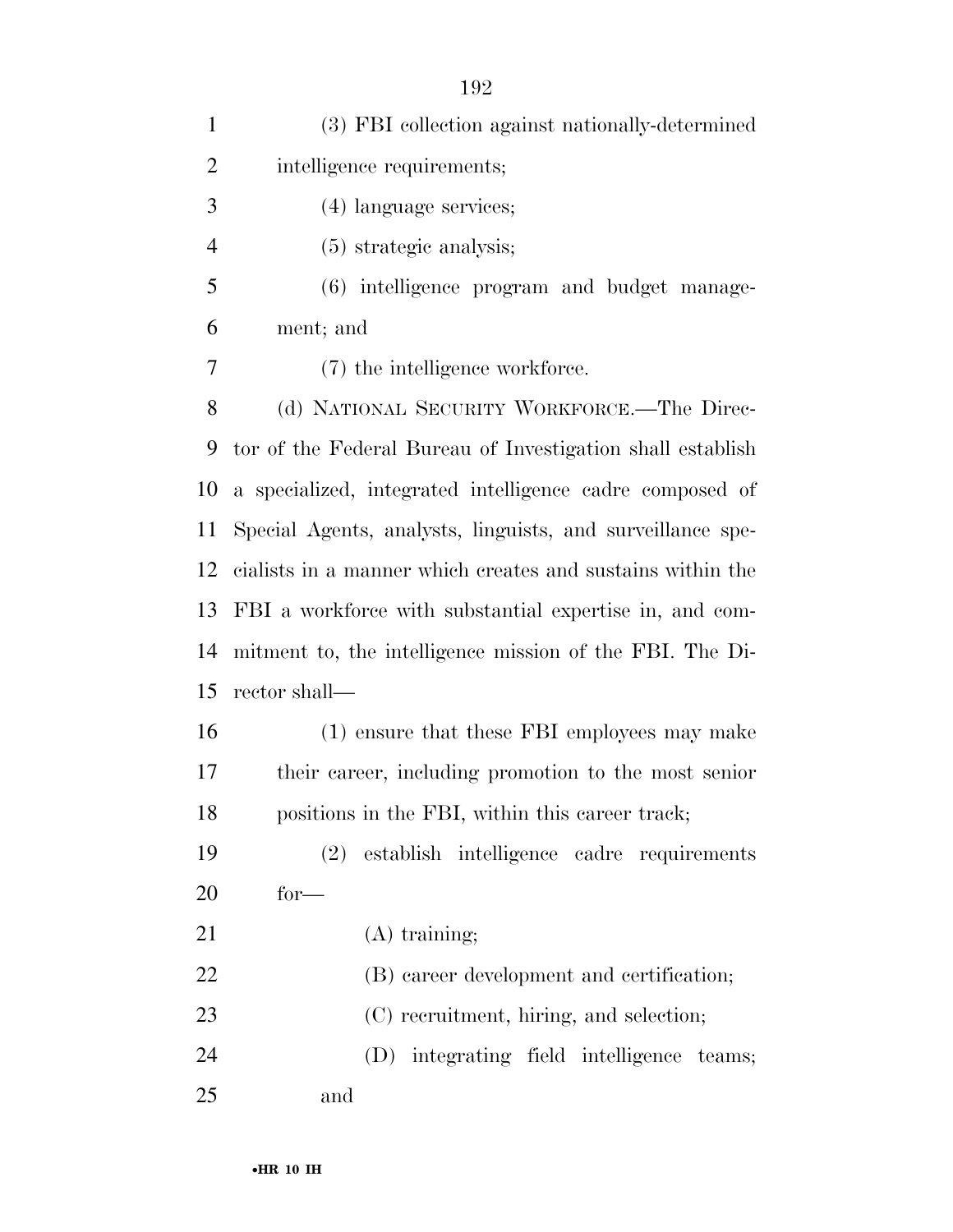| $\mathbf{1}$   | (3) FBI collection against nationally-determined           |
|----------------|------------------------------------------------------------|
| $\overline{2}$ | intelligence requirements;                                 |
| 3              | (4) language services;                                     |
| $\overline{4}$ | $(5)$ strategic analysis;                                  |
| 5              | (6) intelligence program and budget manage-                |
| 6              | ment; and                                                  |
| 7              | (7) the intelligence workforce.                            |
| 8              | (d) NATIONAL SECURITY WORKFORCE.-The Direc-                |
| 9              | tor of the Federal Bureau of Investigation shall establish |
| 10             | a specialized, integrated intelligence cadre composed of   |
| 11             | Special Agents, analysts, linguists, and surveillance spe- |
| 12             | cialists in a manner which creates and sustains within the |
| 13             | FBI a workforce with substantial expertise in, and com-    |
| 14             | mitment to, the intelligence mission of the FBI. The Di-   |
| 15             | rector shall—                                              |
| 16             | (1) ensure that these FBI employees may make               |
| 17             | their career, including promotion to the most senior       |
| 18             | positions in the FBI, within this career track;            |
| 19             | establish intelligence cadre requirements<br>(2)           |
| 20             | $for-$                                                     |
| 21             | $(A)$ training;                                            |
| 22             | (B) career development and certification;                  |
| 23             | (C) recruitment, hiring, and selection;                    |
| 24             | (D) integrating field intelligence teams;                  |
| 25             | and                                                        |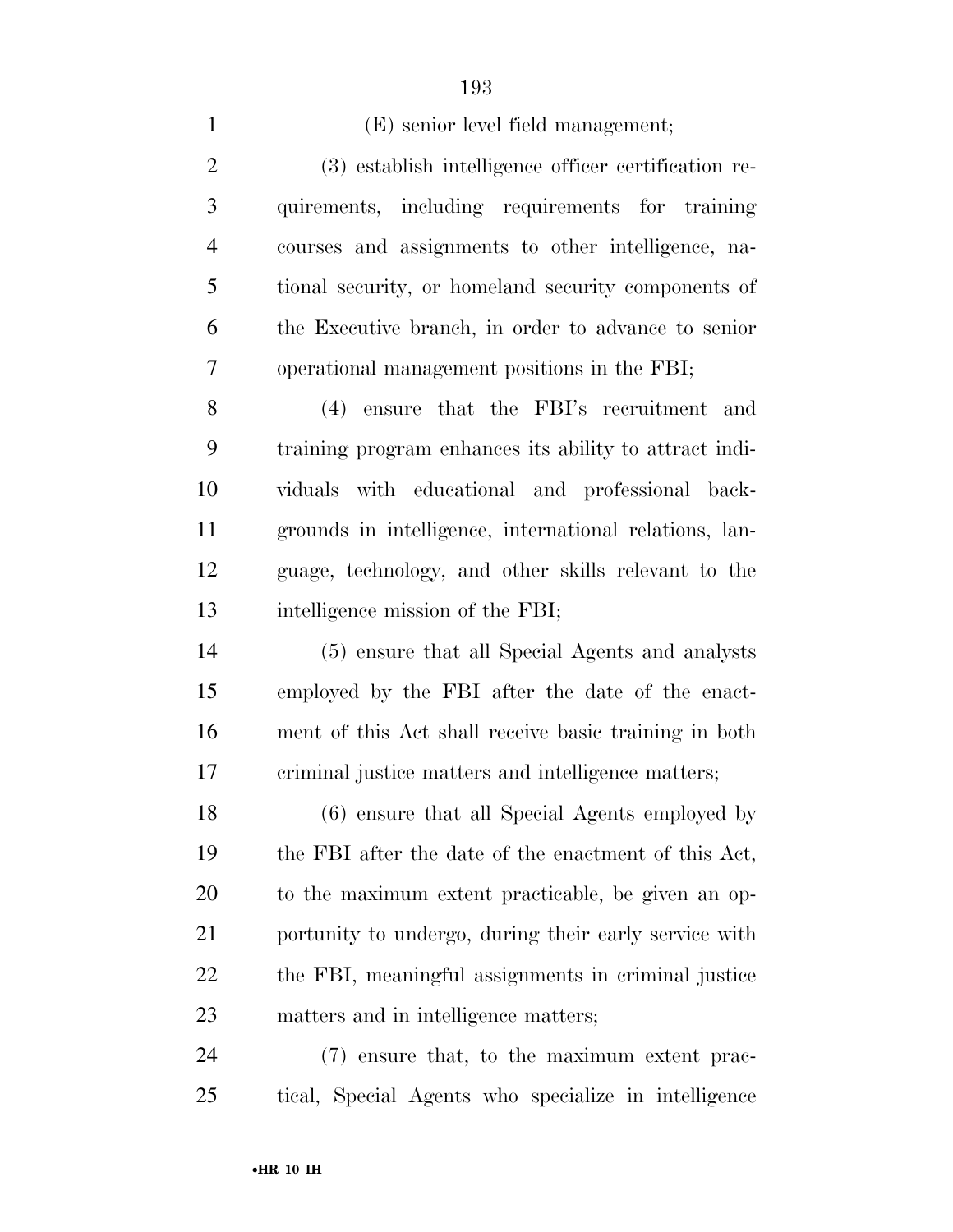| $\mathbf{1}$   | (E) senior level field management;                     |
|----------------|--------------------------------------------------------|
| $\overline{2}$ | (3) establish intelligence officer certification re-   |
| 3              | quirements, including requirements for training        |
| $\overline{4}$ | courses and assignments to other intelligence, na-     |
| 5              | tional security, or homeland security components of    |
| 6              | the Executive branch, in order to advance to senior    |
| 7              | operational management positions in the FBI;           |
| 8              | (4) ensure that the FBI's recruitment and              |
| 9              | training program enhances its ability to attract indi- |
| 10             | viduals with educational and professional back-        |
| 11             | grounds in intelligence, international relations, lan- |
| 12             | guage, technology, and other skills relevant to the    |
| 13             | intelligence mission of the FBI;                       |
| 14             | (5) ensure that all Special Agents and analysts        |
| 15             | employed by the FBI after the date of the enact-       |
| 16             | ment of this Act shall receive basic training in both  |
| 17             | criminal justice matters and intelligence matters;     |
| 18             | (6) ensure that all Special Agents employed by         |
| 19             | the FBI after the date of the enactment of this Act,   |
| 20             | to the maximum extent practicable, be given an op-     |
| 21             | portunity to undergo, during their early service with  |
| 22             | the FBI, meaningful assignments in criminal justice    |
| 23             | matters and in intelligence matters;                   |
| 24             | (7) ensure that, to the maximum extent prac-           |
| 25             | tical, Special Agents who specialize in intelligence   |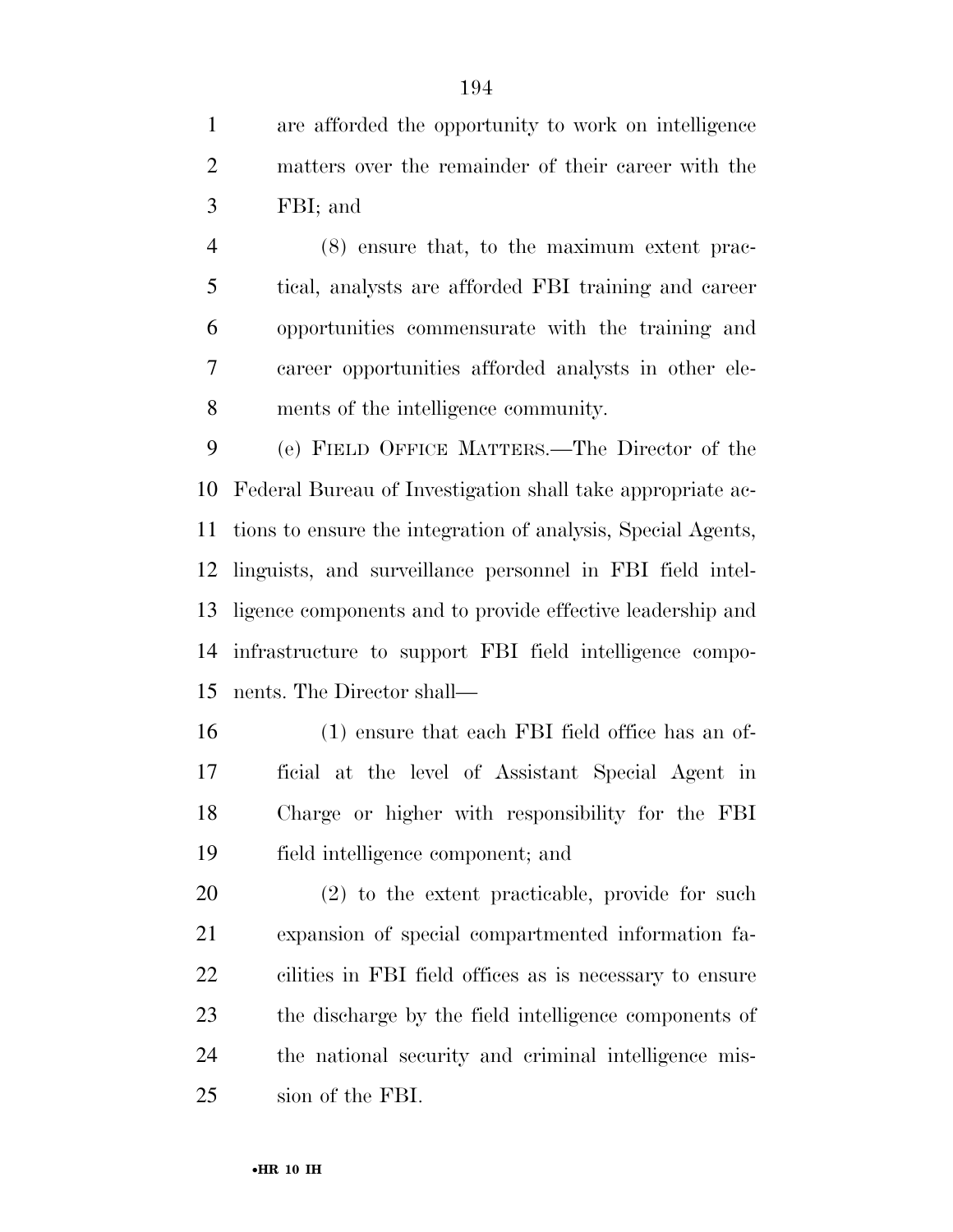are afforded the opportunity to work on intelligence matters over the remainder of their career with the FBI; and

 (8) ensure that, to the maximum extent prac- tical, analysts are afforded FBI training and career opportunities commensurate with the training and career opportunities afforded analysts in other ele-ments of the intelligence community.

 (e) FIELD OFFICE MATTERS.—The Director of the Federal Bureau of Investigation shall take appropriate ac- tions to ensure the integration of analysis, Special Agents, linguists, and surveillance personnel in FBI field intel- ligence components and to provide effective leadership and infrastructure to support FBI field intelligence compo-nents. The Director shall—

 (1) ensure that each FBI field office has an of- ficial at the level of Assistant Special Agent in Charge or higher with responsibility for the FBI field intelligence component; and

 (2) to the extent practicable, provide for such expansion of special compartmented information fa- cilities in FBI field offices as is necessary to ensure the discharge by the field intelligence components of the national security and criminal intelligence mis-sion of the FBI.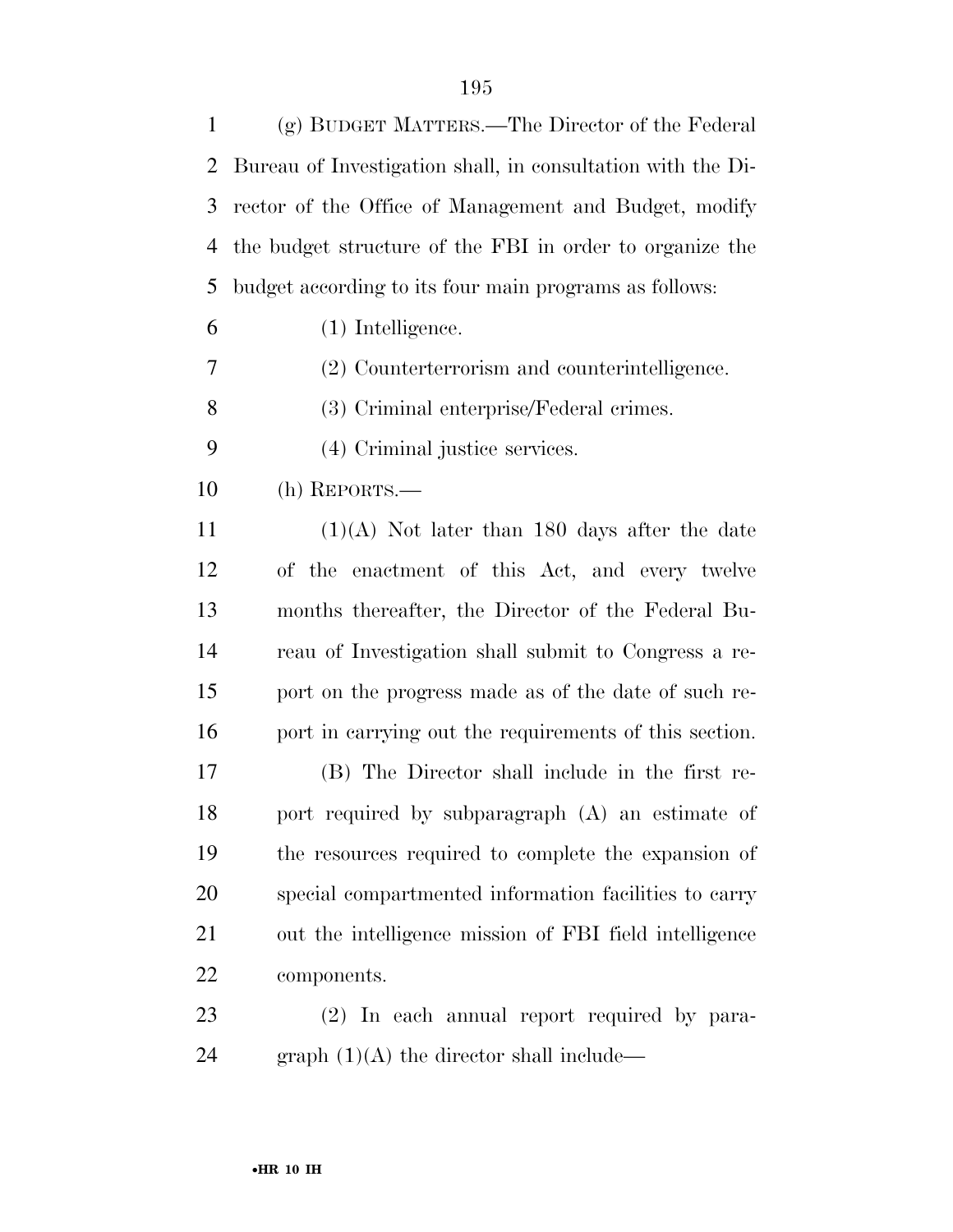| $\mathbf{1}$ | (g) BUDGET MATTERS.—The Director of the Federal             |
|--------------|-------------------------------------------------------------|
| 2            | Bureau of Investigation shall, in consultation with the Di- |
| 3            | rector of the Office of Management and Budget, modify       |
| 4            | the budget structure of the FBI in order to organize the    |
| 5            | budget according to its four main programs as follows:      |
| 6            | (1) Intelligence.                                           |
| 7            | (2) Counterterrorism and counterintelligence.               |
| 8            | (3) Criminal enterprise/Federal crimes.                     |
| 9            | (4) Criminal justice services.                              |
| 10           | (h) REPORTS.—                                               |
| 11           | $(1)(A)$ Not later than 180 days after the date             |
| 12           | of the enactment of this Act, and every twelve              |
| 13           | months thereafter, the Director of the Federal Bu-          |
| 14           | reau of Investigation shall submit to Congress a re-        |
| 15           | port on the progress made as of the date of such re-        |
| 16           | port in carrying out the requirements of this section.      |
| 17           | (B) The Director shall include in the first re-             |
| 18           | port required by subparagraph (A) an estimate of            |
| 19           | the resources required to complete the expansion of         |
| 20           | special compartmented information facilities to carry       |
| 21           | out the intelligence mission of FBI field intelligence      |
| <u>22</u>    | components.                                                 |
| 23           | (2) In each annual report required by para-                 |
| 24           | graph $(1)(A)$ the director shall include—                  |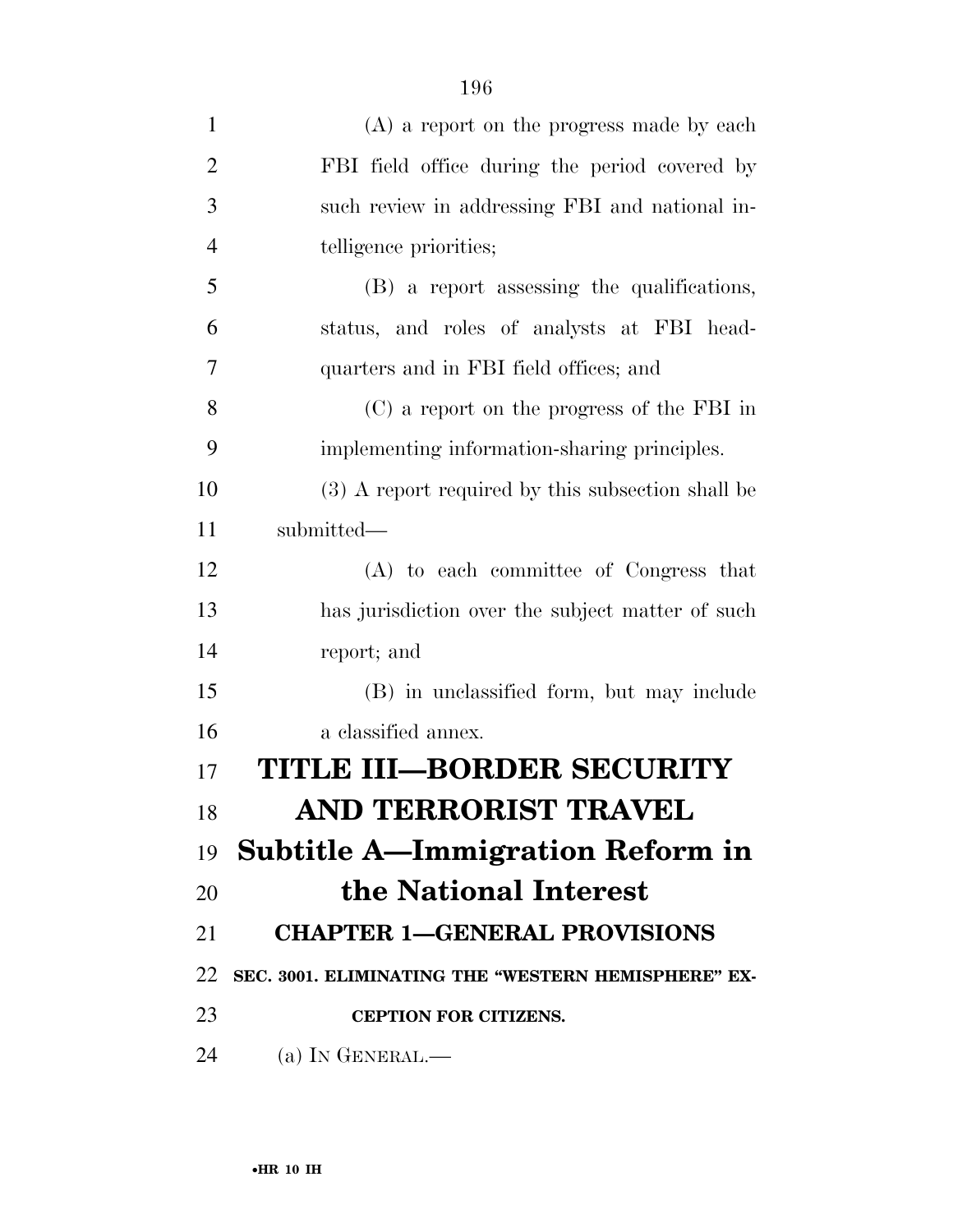| $\mathbf{1}$   | (A) a report on the progress made by each           |
|----------------|-----------------------------------------------------|
| $\overline{2}$ | FBI field office during the period covered by       |
| 3              | such review in addressing FBI and national in-      |
| $\overline{4}$ | telligence priorities;                              |
| 5              | (B) a report assessing the qualifications,          |
| 6              | status, and roles of analysts at FBI head-          |
| 7              | quarters and in FBI field offices; and              |
| 8              | (C) a report on the progress of the FBI in          |
| 9              | implementing information-sharing principles.        |
| 10             | (3) A report required by this subsection shall be   |
| 11             | submitted-                                          |
| 12             | (A) to each committee of Congress that              |
| 13             | has jurisdiction over the subject matter of such    |
| 14             | report; and                                         |
| 15             | (B) in unclassified form, but may include           |
| 16             | a classified annex.                                 |
| 17             | TITLE III–BORDER SECURITY                           |
| 18             | AND TERRORIST TRAVEL                                |
|                | 19 <b>Subtitle A—Immigration Reform in</b>          |
| 20             | the National Interest                               |
| 21             | <b>CHAPTER 1-GENERAL PROVISIONS</b>                 |
| 22             | SEC. 3001. ELIMINATING THE "WESTERN HEMISPHERE" EX- |
| 23             | <b>CEPTION FOR CITIZENS.</b>                        |
| 24             | (a) IN GENERAL.—                                    |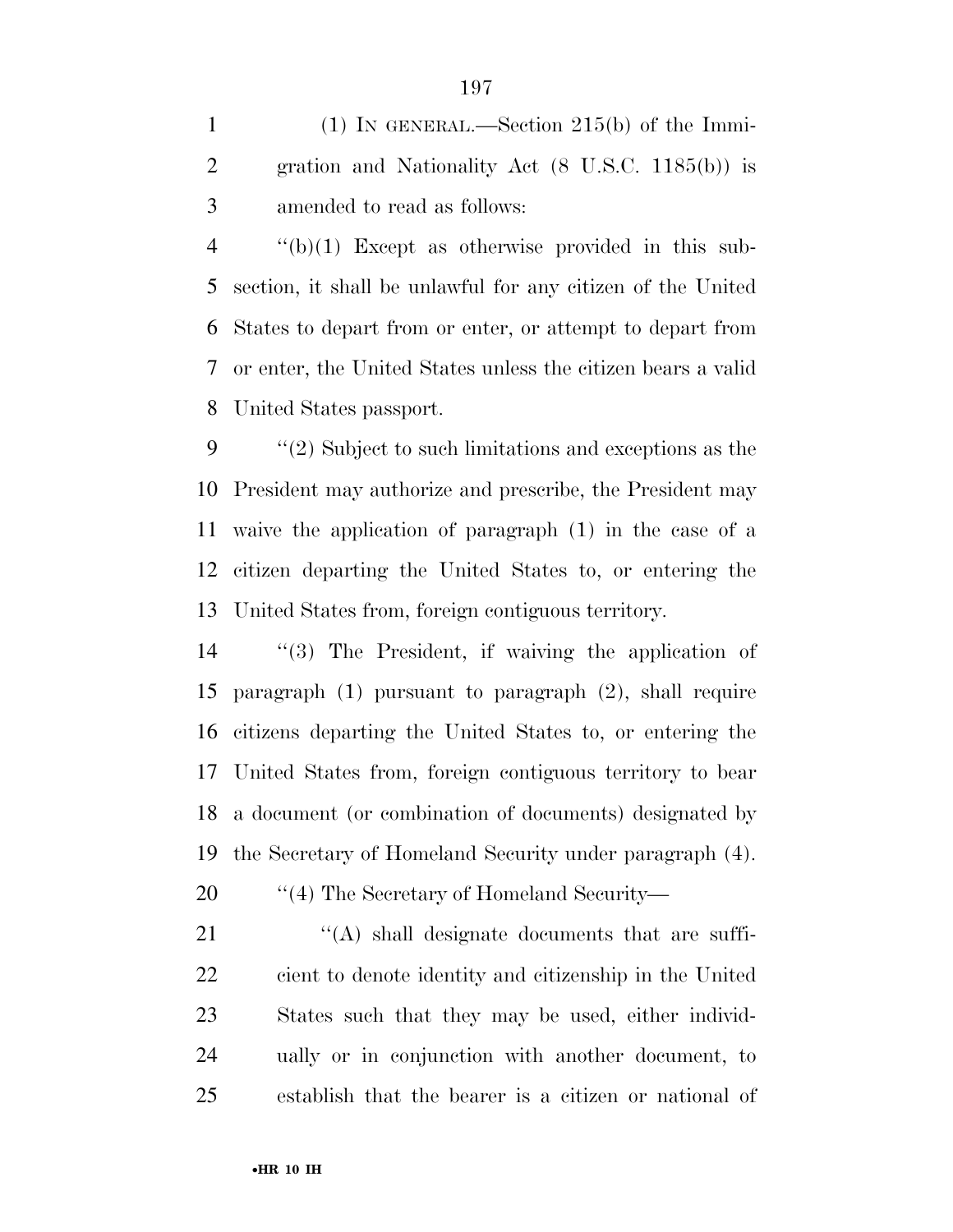(1) IN GENERAL.—Section 215(b) of the Immi- gration and Nationality Act (8 U.S.C. 1185(b)) is amended to read as follows:

 $\frac{4}{2}$  ''(b)(1) Except as otherwise provided in this sub- section, it shall be unlawful for any citizen of the United States to depart from or enter, or attempt to depart from or enter, the United States unless the citizen bears a valid United States passport.

 ''(2) Subject to such limitations and exceptions as the President may authorize and prescribe, the President may waive the application of paragraph (1) in the case of a citizen departing the United States to, or entering the United States from, foreign contiguous territory.

 ''(3) The President, if waiving the application of paragraph (1) pursuant to paragraph (2), shall require citizens departing the United States to, or entering the United States from, foreign contiguous territory to bear a document (or combination of documents) designated by the Secretary of Homeland Security under paragraph (4).

20  $\frac{1}{4}$  The Secretary of Homeland Security—

 $\langle A \rangle$  shall designate documents that are suffi- cient to denote identity and citizenship in the United States such that they may be used, either individ- ually or in conjunction with another document, to establish that the bearer is a citizen or national of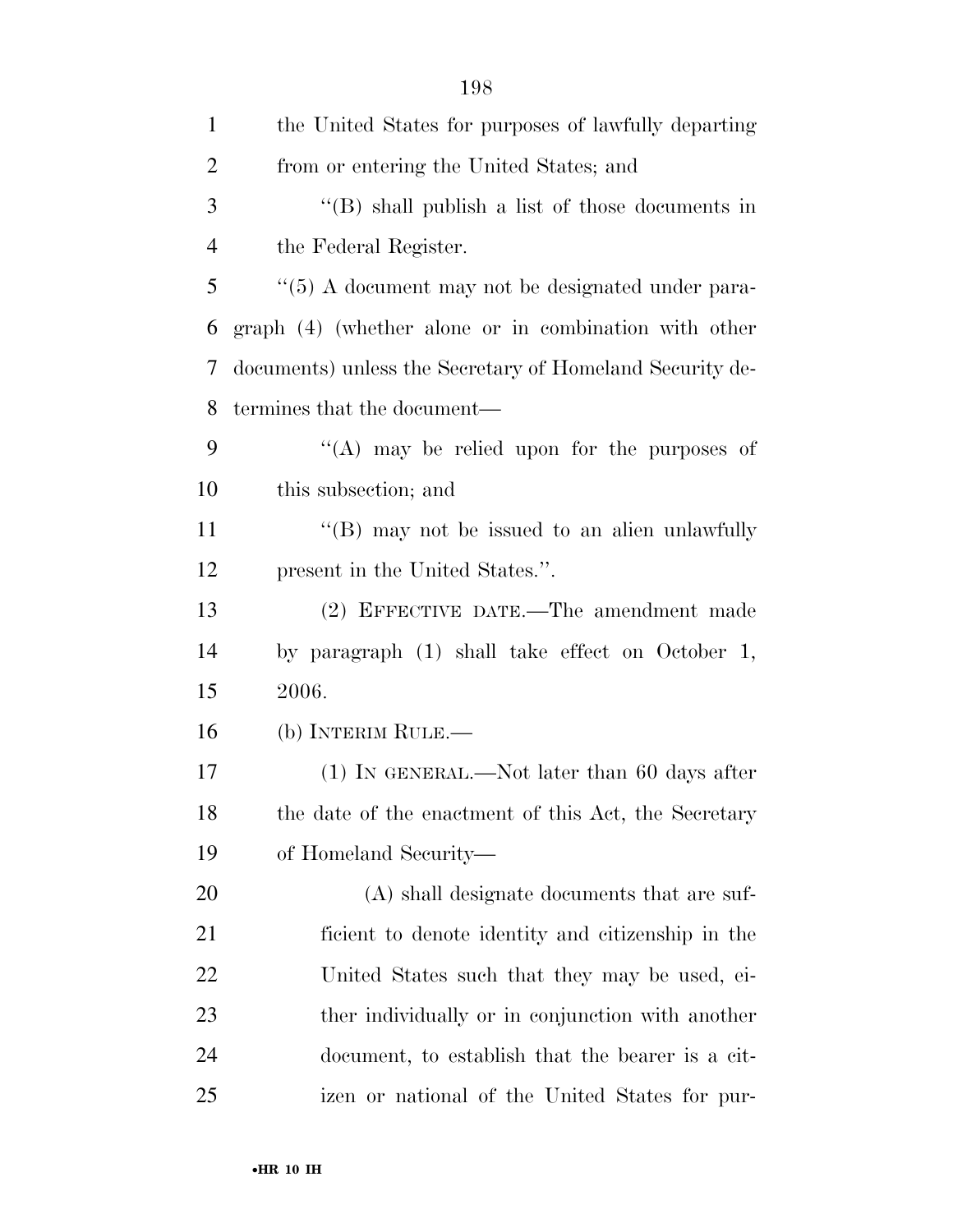| $\mathbf{1}$   | the United States for purposes of lawfully departing          |
|----------------|---------------------------------------------------------------|
| $\overline{2}$ | from or entering the United States; and                       |
| 3              | $\lq$ (B) shall publish a list of those documents in          |
| $\overline{4}$ | the Federal Register.                                         |
| 5              | $\cdot\cdot$ (5) A document may not be designated under para- |
| 6              | graph (4) (whether alone or in combination with other         |
| 7              | documents) unless the Secretary of Homeland Security de-      |
| 8              | termines that the document—                                   |
| 9              | "(A) may be relied upon for the purposes of                   |
| 10             | this subsection; and                                          |
| 11             | $\cdot$ (B) may not be issued to an alien unlawfully          |
| 12             | present in the United States.".                               |
| 13             | (2) EFFECTIVE DATE.—The amendment made                        |
| 14             | by paragraph (1) shall take effect on October 1,              |
| 15             | 2006.                                                         |
| 16             | (b) INTERIM RULE.—                                            |
| 17             | $(1)$ In GENERAL.—Not later than 60 days after                |
| 18             | the date of the enactment of this Act, the Secretary          |
| 19             | of Homeland Security—                                         |
| 20             | (A) shall designate documents that are suf-                   |
| 21             | ficient to denote identity and citizenship in the             |
| 22             | United States such that they may be used, ei-                 |
| 23             | ther individually or in conjunction with another              |
| 24             | document, to establish that the bearer is a cit-              |
| 25             | izen or national of the United States for pur-                |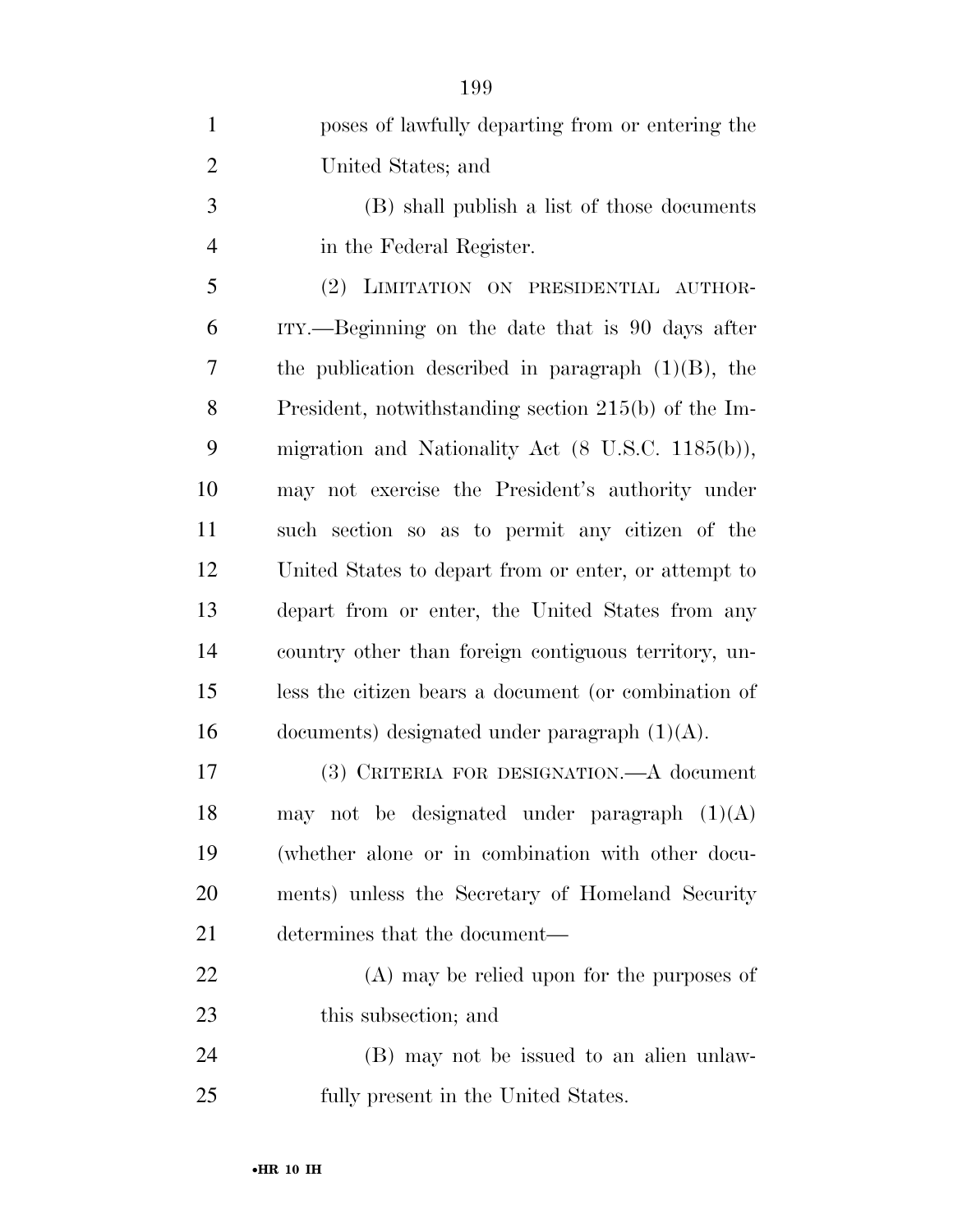| $\mathbf{1}$   | poses of lawfully departing from or entering the             |
|----------------|--------------------------------------------------------------|
| $\overline{2}$ | United States; and                                           |
| 3              | (B) shall publish a list of those documents                  |
| 4              | in the Federal Register.                                     |
| 5              | (2) LIMITATION ON PRESIDENTIAL AUTHOR-                       |
| 6              | ITY.—Beginning on the date that is 90 days after             |
| 7              | the publication described in paragraph $(1)(B)$ , the        |
| 8              | President, notwithstanding section $215(b)$ of the Im-       |
| 9              | migration and Nationality Act $(8 \text{ U.S.C. } 1185(b)),$ |
| 10             | may not exercise the President's authority under             |
| 11             | such section so as to permit any citizen of the              |
| 12             | United States to depart from or enter, or attempt to         |
| 13             | depart from or enter, the United States from any             |
| 14             | country other than foreign contiguous territory, un-         |
| 15             | less the citizen bears a document (or combination of         |
| 16             | documents) designated under paragraph $(1)(A)$ .             |
| 17             | (3) CRITERIA FOR DESIGNATION.—A document                     |
| 18             | may not be designated under paragraph $(1)(A)$               |
| 19             | (whether alone or in combination with other docu-            |
| 20             | ments) unless the Secretary of Homeland Security             |
| 21             | determines that the document—                                |
| 22             | $(A)$ may be relied upon for the purposes of                 |
| 23             | this subsection; and                                         |
| 24             | (B) may not be issued to an alien unlaw-                     |
| 25             | fully present in the United States.                          |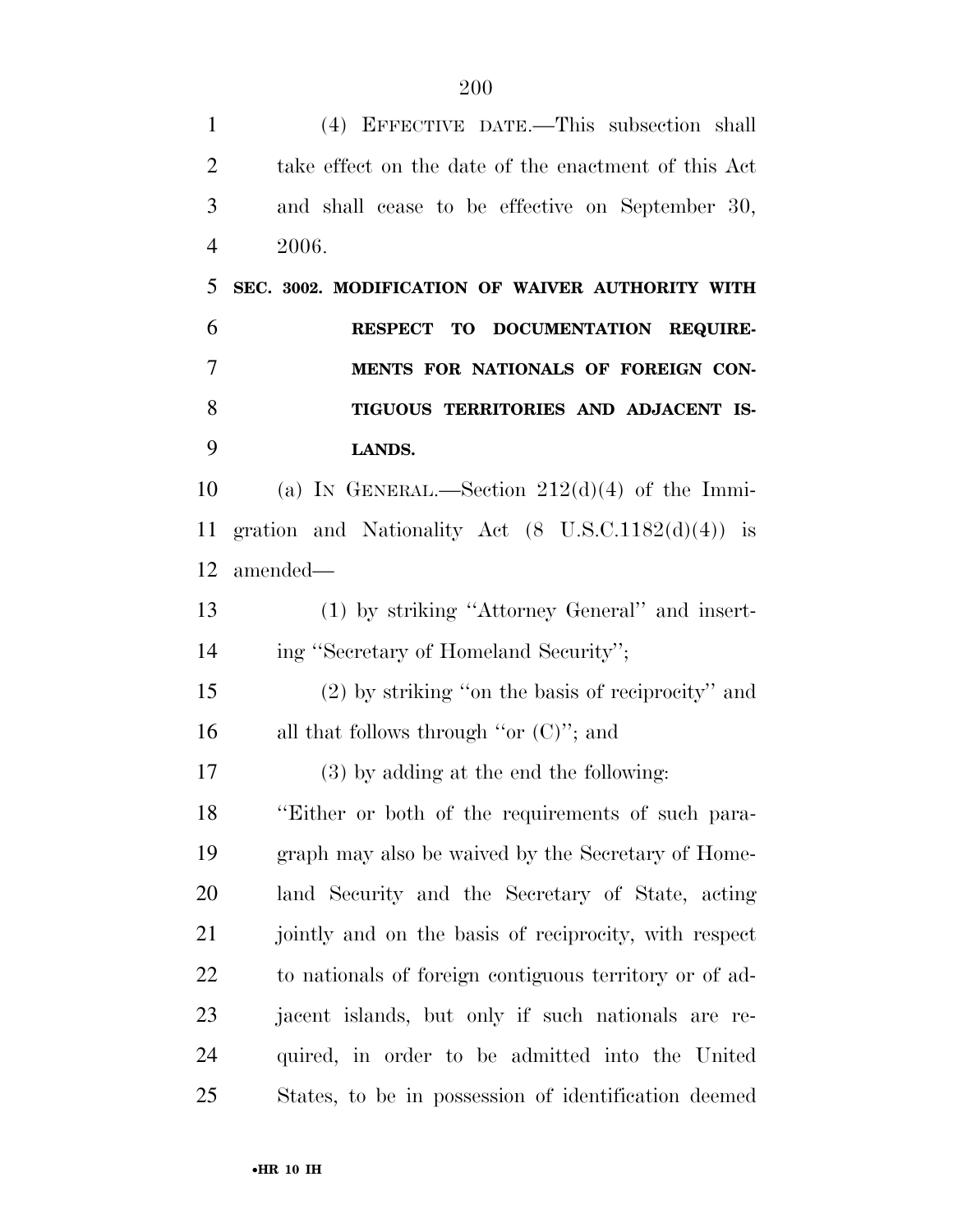| $\mathbf{1}$   | (4) EFFECTIVE DATE.—This subsection shall                     |
|----------------|---------------------------------------------------------------|
| $\overline{2}$ | take effect on the date of the enactment of this Act          |
| 3              | and shall cease to be effective on September 30,              |
| 4              | 2006.                                                         |
| 5              | SEC. 3002. MODIFICATION OF WAIVER AUTHORITY WITH              |
| 6              | RESPECT TO DOCUMENTATION REQUIRE-                             |
| 7              | MENTS FOR NATIONALS OF FOREIGN CON-                           |
| 8              | TIGUOUS TERRITORIES AND ADJACENT IS-                          |
| 9              | LANDS.                                                        |
| 10             | (a) IN GENERAL.—Section $212(d)(4)$ of the Immi-              |
| 11             | gration and Nationality Act $(8 \text{ U.S.C.1182}(d)(4))$ is |
| 12             | amended—                                                      |
| 13             | (1) by striking "Attorney General" and insert-                |
| 14             | ing "Secretary of Homeland Security";                         |
| 15             | (2) by striking "on the basis of reciprocity" and             |
| 16             | all that follows through "or $(C)$ "; and                     |
| 17             | $(3)$ by adding at the end the following:                     |
| 18             | "Either or both of the requirements of such para-             |
| 19             | graph may also be waived by the Secretary of Home-            |
| 20             | land Security and the Secretary of State, acting              |
| 21             | jointly and on the basis of reciprocity, with respect         |
| 22             | to nationals of foreign contiguous territory or of ad-        |
| 23             | jacent islands, but only if such nationals are re-            |
| 24             | quired, in order to be admitted into the United               |
| 25             | States, to be in possession of identification deemed          |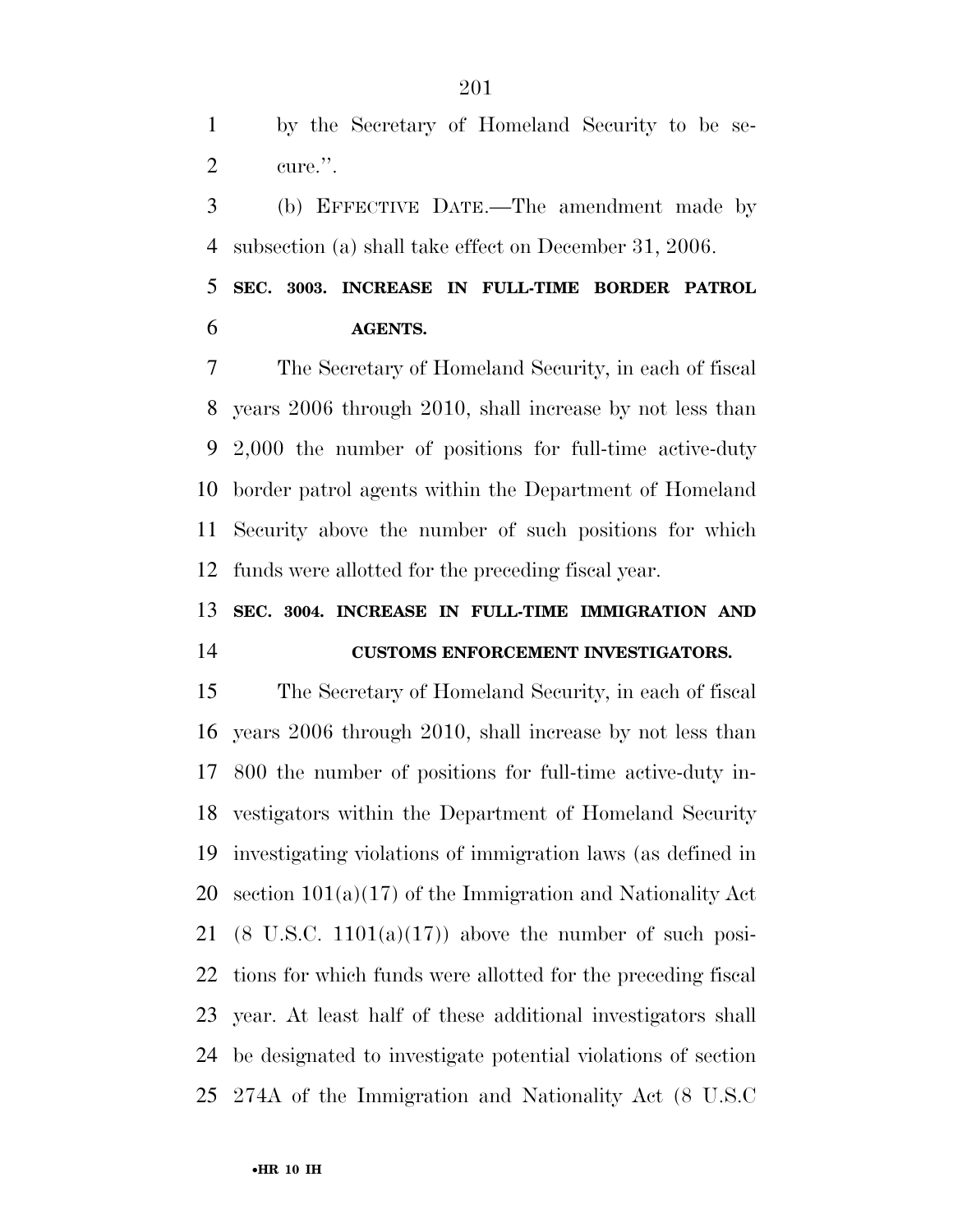by the Secretary of Homeland Security to be se-cure.''.

 (b) EFFECTIVE DATE.—The amendment made by subsection (a) shall take effect on December 31, 2006.

 **SEC. 3003. INCREASE IN FULL-TIME BORDER PATROL AGENTS.** 

 The Secretary of Homeland Security, in each of fiscal years 2006 through 2010, shall increase by not less than 2,000 the number of positions for full-time active-duty border patrol agents within the Department of Homeland Security above the number of such positions for which funds were allotted for the preceding fiscal year.

## **SEC. 3004. INCREASE IN FULL-TIME IMMIGRATION AND CUSTOMS ENFORCEMENT INVESTIGATORS.**

 The Secretary of Homeland Security, in each of fiscal years 2006 through 2010, shall increase by not less than 800 the number of positions for full-time active-duty in- vestigators within the Department of Homeland Security investigating violations of immigration laws (as defined in section 101(a)(17) of the Immigration and Nationality Act 21 (8 U.S.C.  $1101(a)(17)$ ) above the number of such posi- tions for which funds were allotted for the preceding fiscal year. At least half of these additional investigators shall be designated to investigate potential violations of section 274A of the Immigration and Nationality Act (8 U.S.C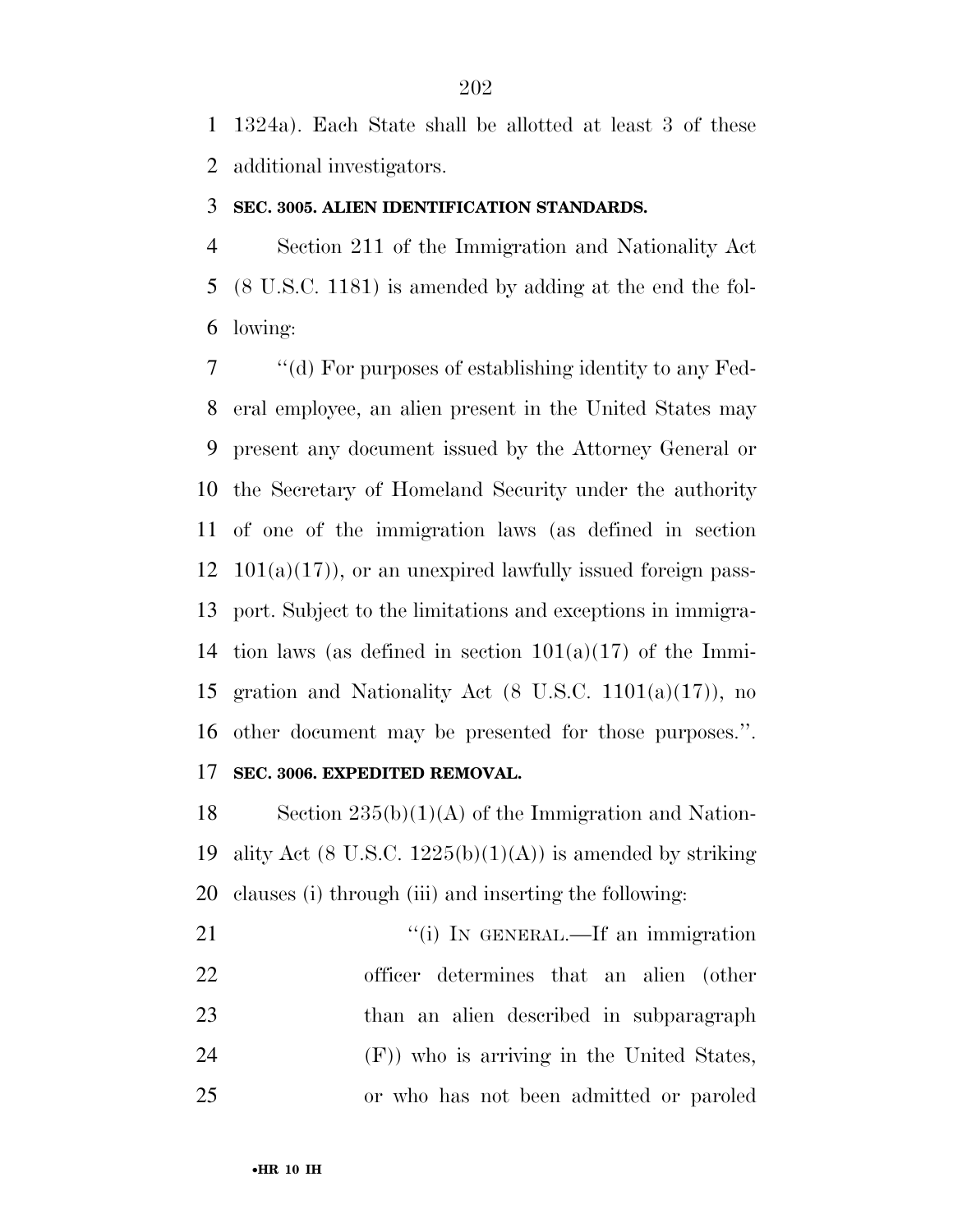1324a). Each State shall be allotted at least 3 of these additional investigators.

#### **SEC. 3005. ALIEN IDENTIFICATION STANDARDS.**

 Section 211 of the Immigration and Nationality Act (8 U.S.C. 1181) is amended by adding at the end the fol-lowing:

 ''(d) For purposes of establishing identity to any Fed- eral employee, an alien present in the United States may present any document issued by the Attorney General or the Secretary of Homeland Security under the authority of one of the immigration laws (as defined in section  $12 \quad 101(a)(17)$ , or an unexpired lawfully issued foreign pass- port. Subject to the limitations and exceptions in immigra-14 tion laws (as defined in section  $101(a)(17)$  of the Immi- gration and Nationality Act (8 U.S.C. 1101(a)(17)), no other document may be presented for those purposes.''. **SEC. 3006. EXPEDITED REMOVAL.** 

18 Section  $235(b)(1)(A)$  of the Immigration and Nation-19 ality Act (8 U.S.C.  $1225(b)(1)(A)$ ) is amended by striking clauses (i) through (iii) and inserting the following:

21 ""(i) IN GENERAL.—If an immigration officer determines that an alien (other than an alien described in subparagraph (F)) who is arriving in the United States, or who has not been admitted or paroled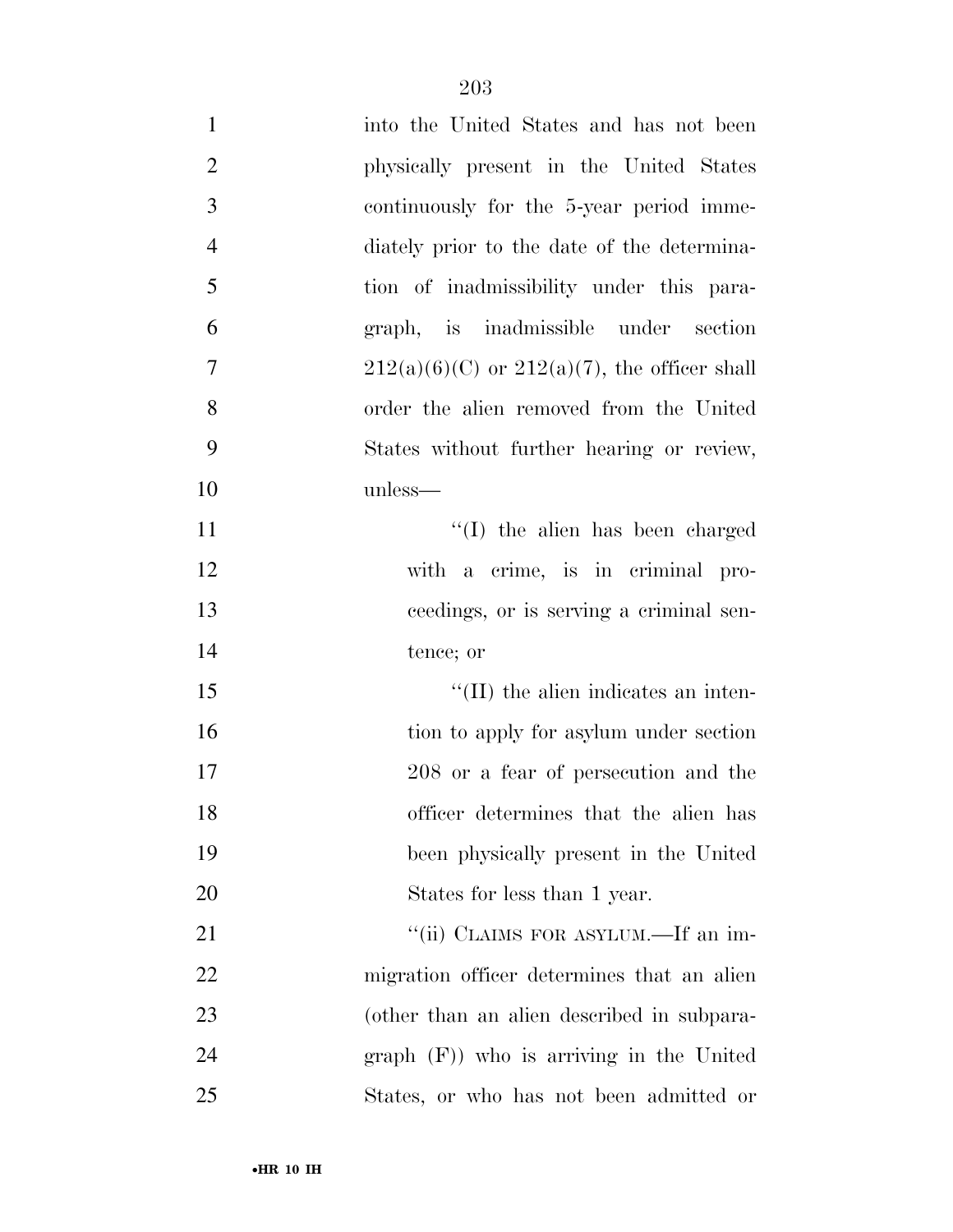| $\mathbf{1}$   | into the United States and has not been           |
|----------------|---------------------------------------------------|
| $\overline{2}$ | physically present in the United States           |
| 3              | continuously for the 5-year period imme-          |
| $\overline{4}$ | diately prior to the date of the determina-       |
| 5              | tion of inadmissibility under this para-          |
| 6              | graph, is inadmissible under section              |
| $\overline{7}$ | $212(a)(6)(C)$ or $212(a)(7)$ , the officer shall |
| 8              | order the alien removed from the United           |
| 9              | States without further hearing or review,         |
| 10             | unless—                                           |
| 11             | $\lq\lq$ (I) the alien has been charged           |
| 12             | with a crime, is in criminal pro-                 |
| 13             | ceedings, or is serving a criminal sen-           |
| 14             | tence; or                                         |
| 15             | $\lq\lq$ (II) the alien indicates an inten-       |
| 16             | tion to apply for asylum under section            |
| 17             | 208 or a fear of persecution and the              |
| 18             | officer determines that the alien has             |
| 19             | been physically present in the United             |
| 20             | States for less than 1 year.                      |
| 21             | "(ii) CLAIMS FOR ASYLUM.—If an im-                |
| 22             | migration officer determines that an alien        |
| 23             | (other than an alien described in subpara-        |
| 24             | $graph$ (F)) who is arriving in the United        |
| 25             | States, or who has not been admitted or           |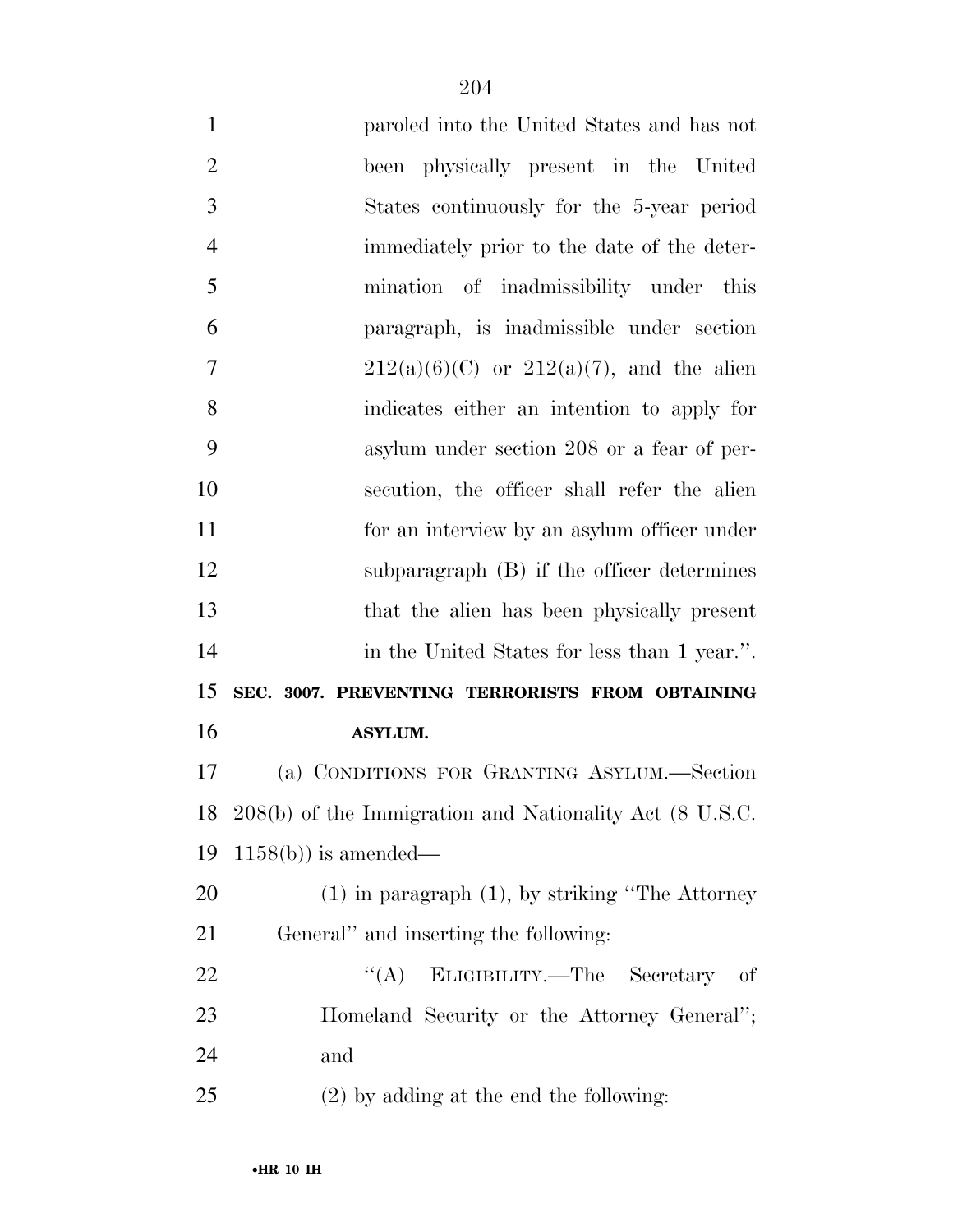| $\mathbf{1}$   | paroled into the United States and has not              |
|----------------|---------------------------------------------------------|
| $\overline{2}$ | been physically present in the United                   |
| 3              | States continuously for the 5-year period               |
| $\overline{4}$ | immediately prior to the date of the deter-             |
| 5              | mination of inadmissibility under this                  |
| 6              | paragraph, is inadmissible under section                |
| $\overline{7}$ | $212(a)(6)(C)$ or $212(a)(7)$ , and the alien           |
| 8              | indicates either an intention to apply for              |
| 9              | asylum under section 208 or a fear of per-              |
| 10             | secution, the officer shall refer the alien             |
| 11             | for an interview by an asylum officer under             |
| 12             | subparagraph (B) if the officer determines              |
| 13             | that the alien has been physically present              |
| 14             | in the United States for less than 1 year.".            |
| 15             | SEC. 3007. PREVENTING TERRORISTS FROM OBTAINING         |
| 16             | <b>ASYLUM.</b>                                          |
| 17             | (a) CONDITIONS FOR GRANTING ASYLUM.—Section             |
| 18             | 208(b) of the Immigration and Nationality Act (8 U.S.C. |
| 19             | $1158(b)$ ) is amended—                                 |
| 20             | $(1)$ in paragraph $(1)$ , by striking "The Attorney"   |
| 21             | General" and inserting the following:                   |
| 22             | ``(A)<br>ELIGIBILITY.—The Secretary of                  |
| 23             | Homeland Security or the Attorney General";             |
| 24             | and                                                     |
| 25             | $(2)$ by adding at the end the following:               |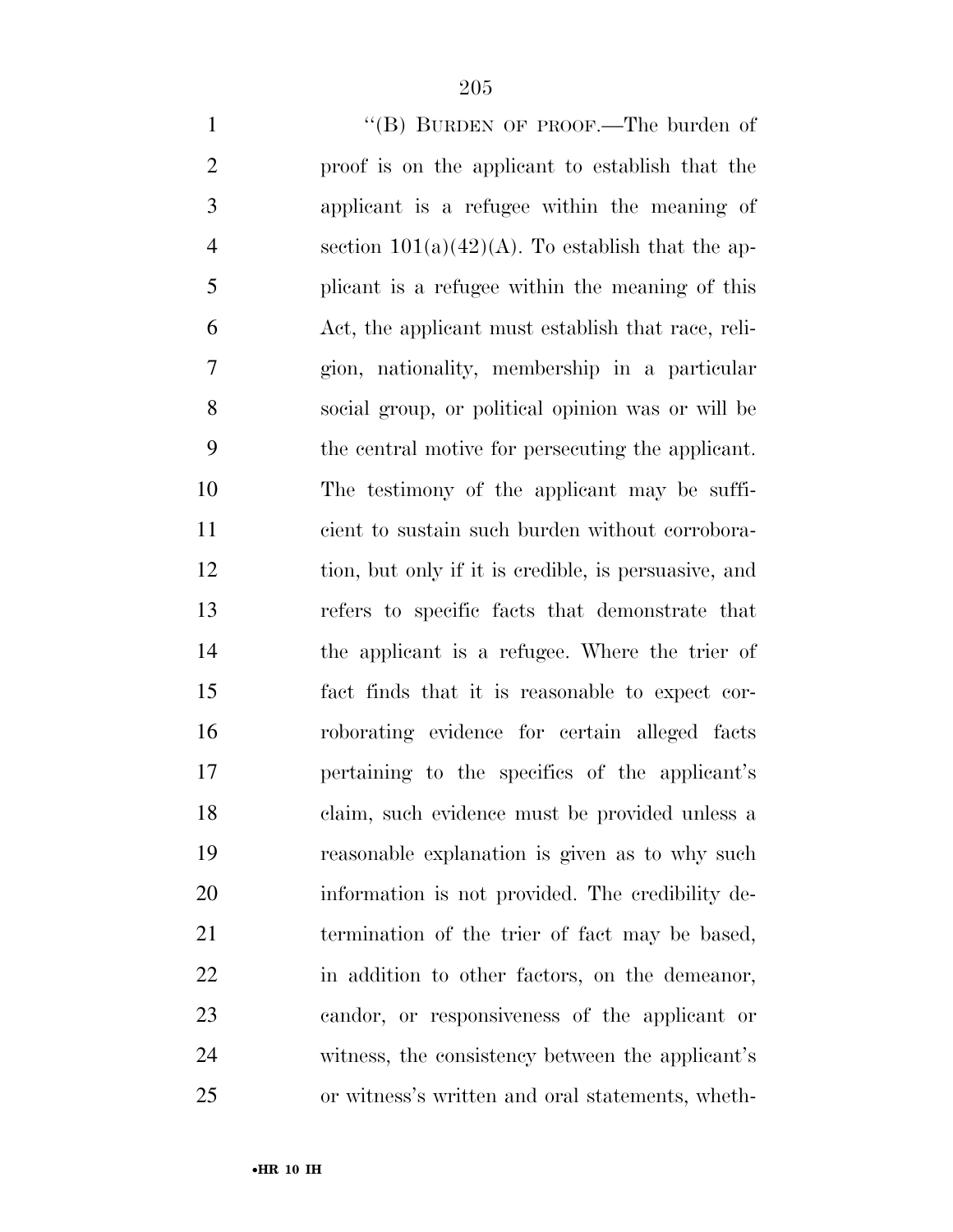| $\mathbf{1}$   | "(B) BURDEN OF PROOF.—The burden of                  |
|----------------|------------------------------------------------------|
| $\mathfrak{2}$ | proof is on the applicant to establish that the      |
| 3              | applicant is a refugee within the meaning of         |
| $\overline{4}$ | section $101(a)(42)(A)$ . To establish that the ap-  |
| 5              | plicant is a refugee within the meaning of this      |
| 6              | Act, the applicant must establish that race, reli-   |
| 7              | gion, nationality, membership in a particular        |
| 8              | social group, or political opinion was or will be    |
| 9              | the central motive for persecuting the applicant.    |
| 10             | The testimony of the applicant may be suffi-         |
| 11             | cient to sustain such burden without corrobora-      |
| 12             | tion, but only if it is credible, is persuasive, and |
| 13             | refers to specific facts that demonstrate that       |
| 14             | the applicant is a refugee. Where the trier of       |
| 15             | fact finds that it is reasonable to expect cor-      |
| 16             | roborating evidence for certain alleged facts        |
| 17             | pertaining to the specifics of the applicant's       |
| 18             | claim, such evidence must be provided unless a       |
| 19             | reasonable explanation is given as to why such       |
| 20             | information is not provided. The credibility de-     |
| 21             | termination of the trier of fact may be based,       |
| 22             | in addition to other factors, on the demeanor,       |
| 23             | candor, or responsiveness of the applicant or        |
| 24             | witness, the consistency between the applicant's     |
| 25             | or witness's written and oral statements, wheth-     |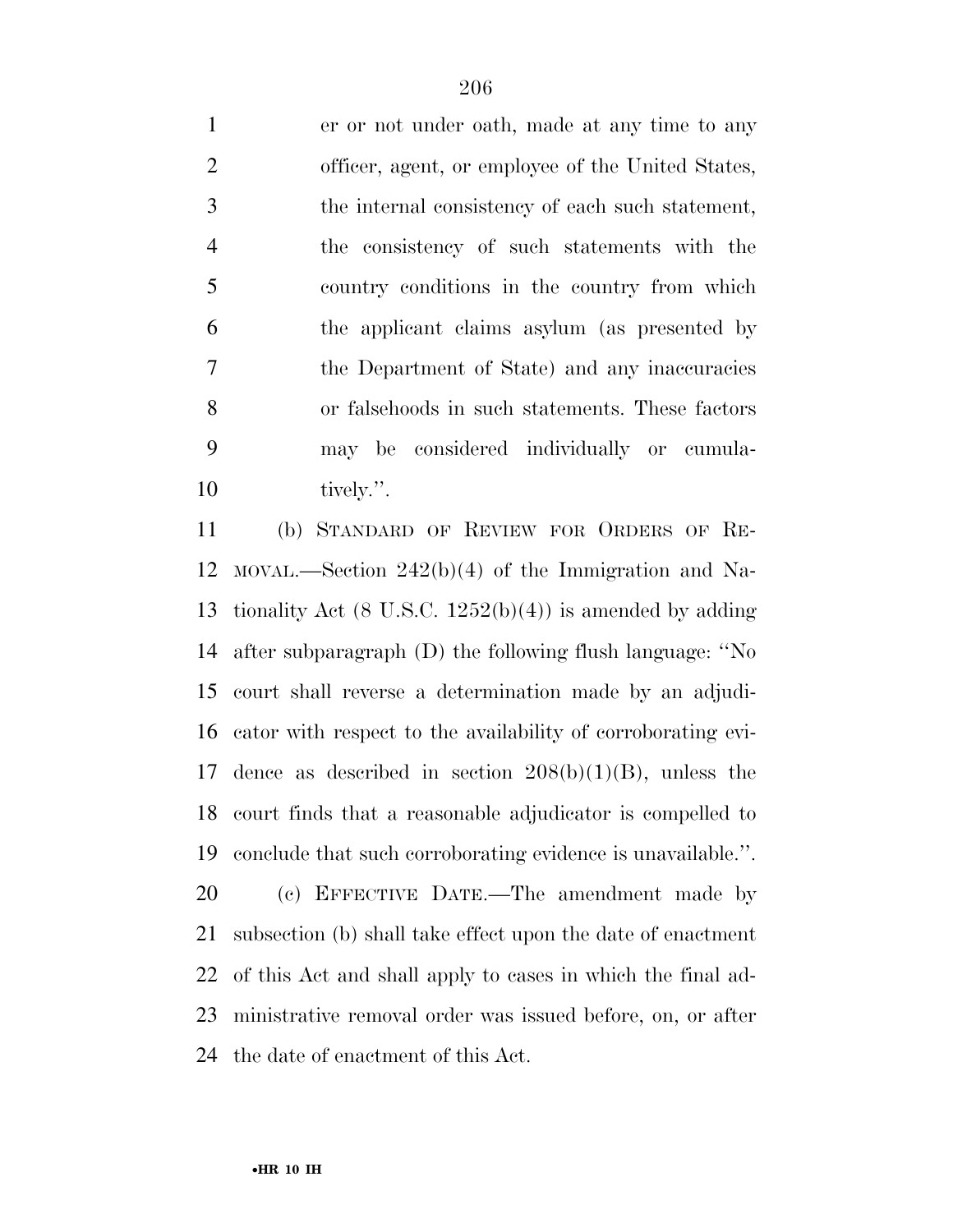er or not under oath, made at any time to any officer, agent, or employee of the United States, the internal consistency of each such statement, the consistency of such statements with the country conditions in the country from which the applicant claims asylum (as presented by the Department of State) and any inaccuracies or falsehoods in such statements. These factors may be considered individually or cumula-10 tively.".

 (b) STANDARD OF REVIEW FOR ORDERS OF RE- MOVAL.—Section 242(b)(4) of the Immigration and Na- tionality Act (8 U.S.C. 1252(b)(4)) is amended by adding after subparagraph (D) the following flush language: ''No court shall reverse a determination made by an adjudi- cator with respect to the availability of corroborating evi-17 dence as described in section  $208(b)(1)(B)$ , unless the court finds that a reasonable adjudicator is compelled to conclude that such corroborating evidence is unavailable.''.

 (c) EFFECTIVE DATE.—The amendment made by subsection (b) shall take effect upon the date of enactment of this Act and shall apply to cases in which the final ad- ministrative removal order was issued before, on, or after the date of enactment of this Act.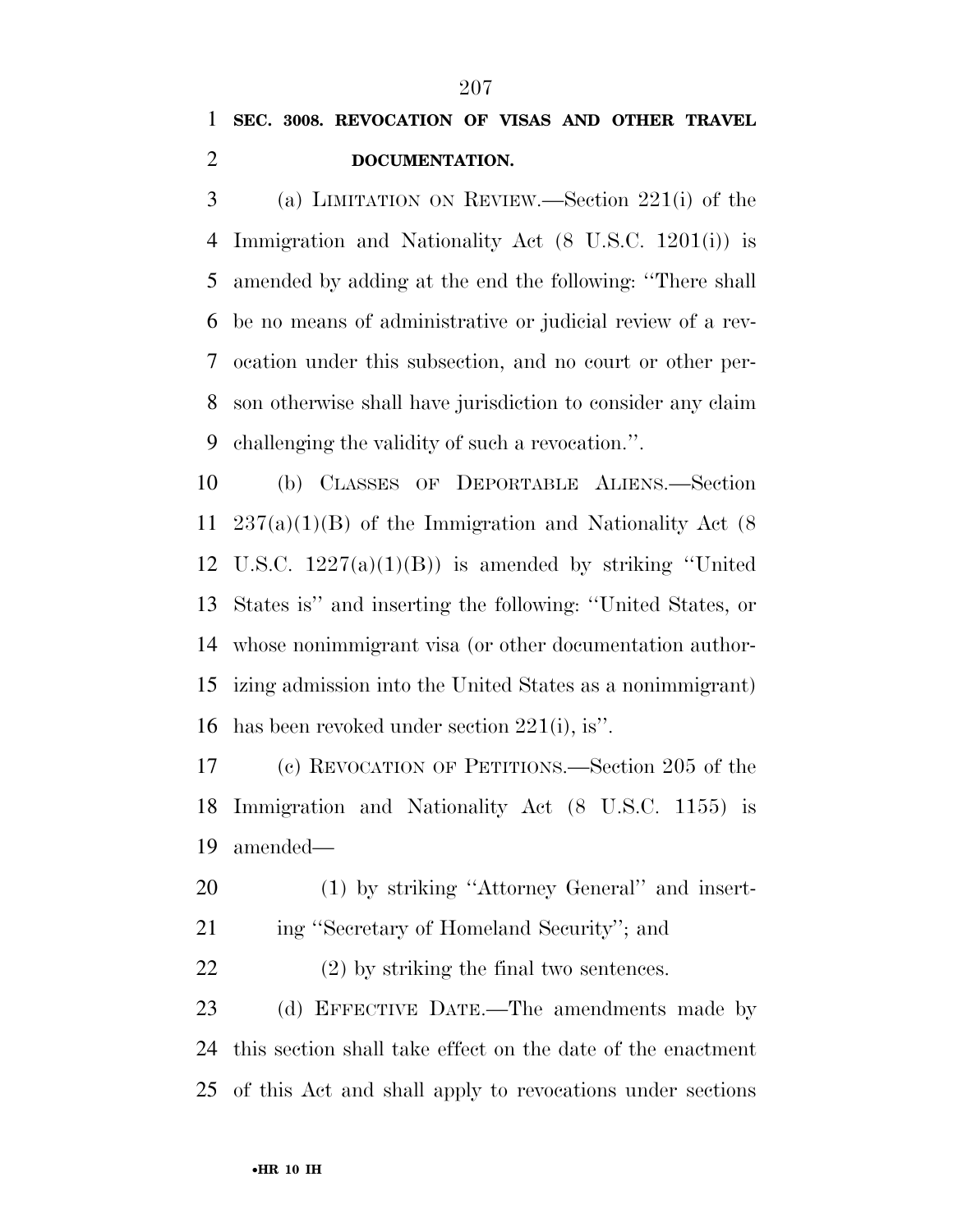## **SEC. 3008. REVOCATION OF VISAS AND OTHER TRAVEL DOCUMENTATION.**

 (a) LIMITATION ON REVIEW.—Section 221(i) of the Immigration and Nationality Act (8 U.S.C. 1201(i)) is amended by adding at the end the following: ''There shall be no means of administrative or judicial review of a rev- ocation under this subsection, and no court or other per- son otherwise shall have jurisdiction to consider any claim challenging the validity of such a revocation.''.

 (b) CLASSES OF DEPORTABLE ALIENS.—Section 237(a)(1)(B) of the Immigration and Nationality Act (8 U.S.C. 1227(a)(1)(B)) is amended by striking ''United States is'' and inserting the following: ''United States, or whose nonimmigrant visa (or other documentation author- izing admission into the United States as a nonimmigrant) has been revoked under section 221(i), is''.

 (c) REVOCATION OF PETITIONS.—Section 205 of the Immigration and Nationality Act (8 U.S.C. 1155) is amended—

 (1) by striking ''Attorney General'' and insert-ing ''Secretary of Homeland Security''; and

(2) by striking the final two sentences.

 (d) EFFECTIVE DATE.—The amendments made by this section shall take effect on the date of the enactment of this Act and shall apply to revocations under sections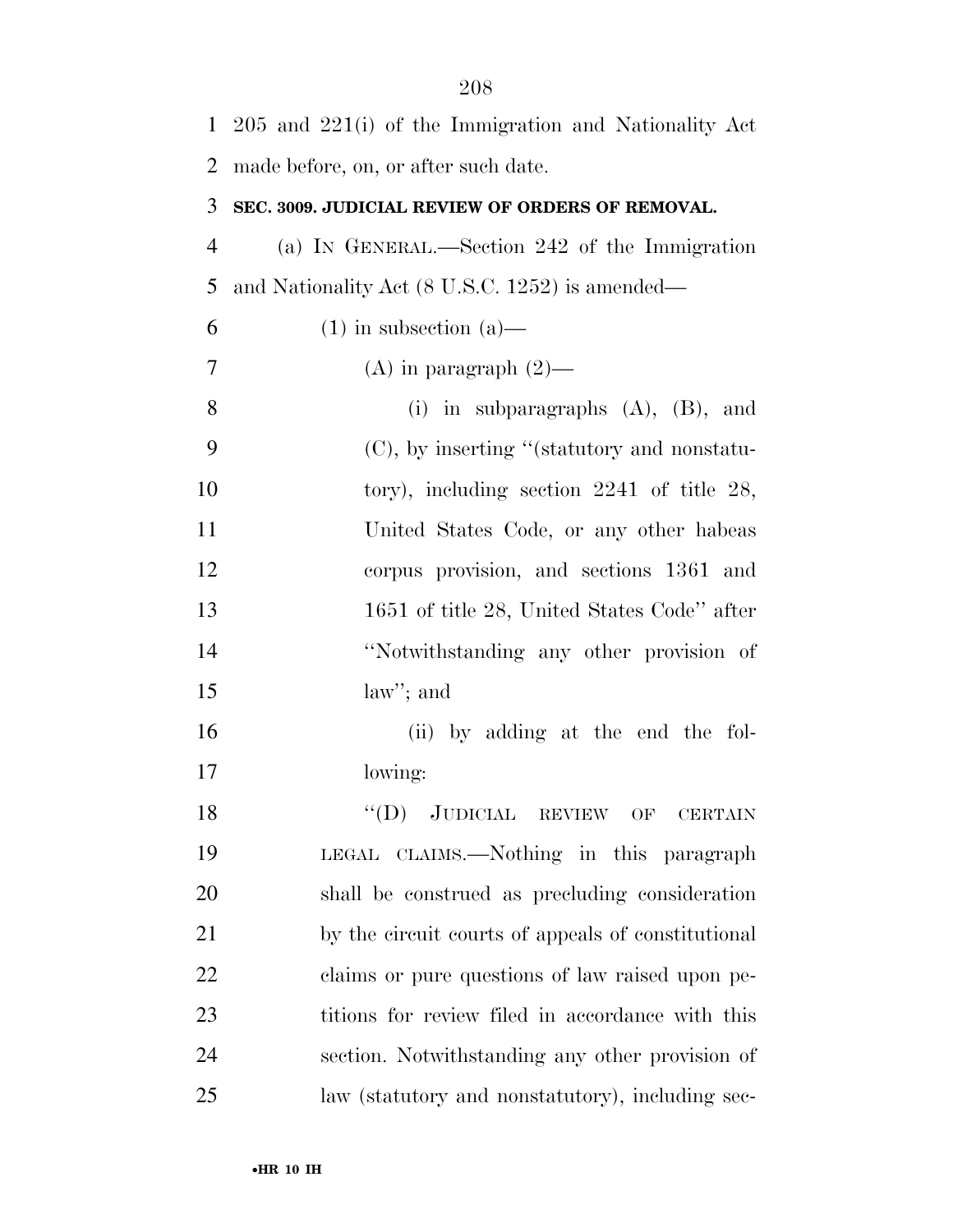| $\mathbf{1}$   | $205$ and $221(i)$ of the Immigration and Nationality Act |
|----------------|-----------------------------------------------------------|
| 2              | made before, on, or after such date.                      |
| 3              | SEC. 3009. JUDICIAL REVIEW OF ORDERS OF REMOVAL.          |
| $\overline{4}$ | (a) IN GENERAL.—Section 242 of the Immigration            |
| 5              | and Nationality Act (8 U.S.C. 1252) is amended—           |
| 6              | $(1)$ in subsection $(a)$ —                               |
| 7              | (A) in paragraph $(2)$ —                                  |
| 8              | (i) in subparagraphs $(A)$ , $(B)$ , and                  |
| 9              | (C), by inserting "(statutory and nonstatu-               |
| 10             | tory), including section $2241$ of title $28$ ,           |
| 11             | United States Code, or any other habeas                   |
| 12             | corpus provision, and sections 1361 and                   |
| 13             | 1651 of title 28, United States Code" after               |
| 14             | "Notwithstanding any other provision of                   |
| 15             | $law$ "; and                                              |
| 16             | (ii) by adding at the end the fol-                        |
| 17             | lowing:                                                   |
| 18             | "(D) JUDICIAL REVIEW OF CERTAIN                           |
| 19             | LEGAL CLAIMS.—Nothing in this paragraph                   |
| 20             | shall be construed as precluding consideration            |
| 21             | by the circuit courts of appeals of constitutional        |
| 22             | claims or pure questions of law raised upon pe-           |
| 23             | titions for review filed in accordance with this          |
| 24             | section. Notwithstanding any other provision of           |
| 25             | law (statutory and nonstatutory), including sec-          |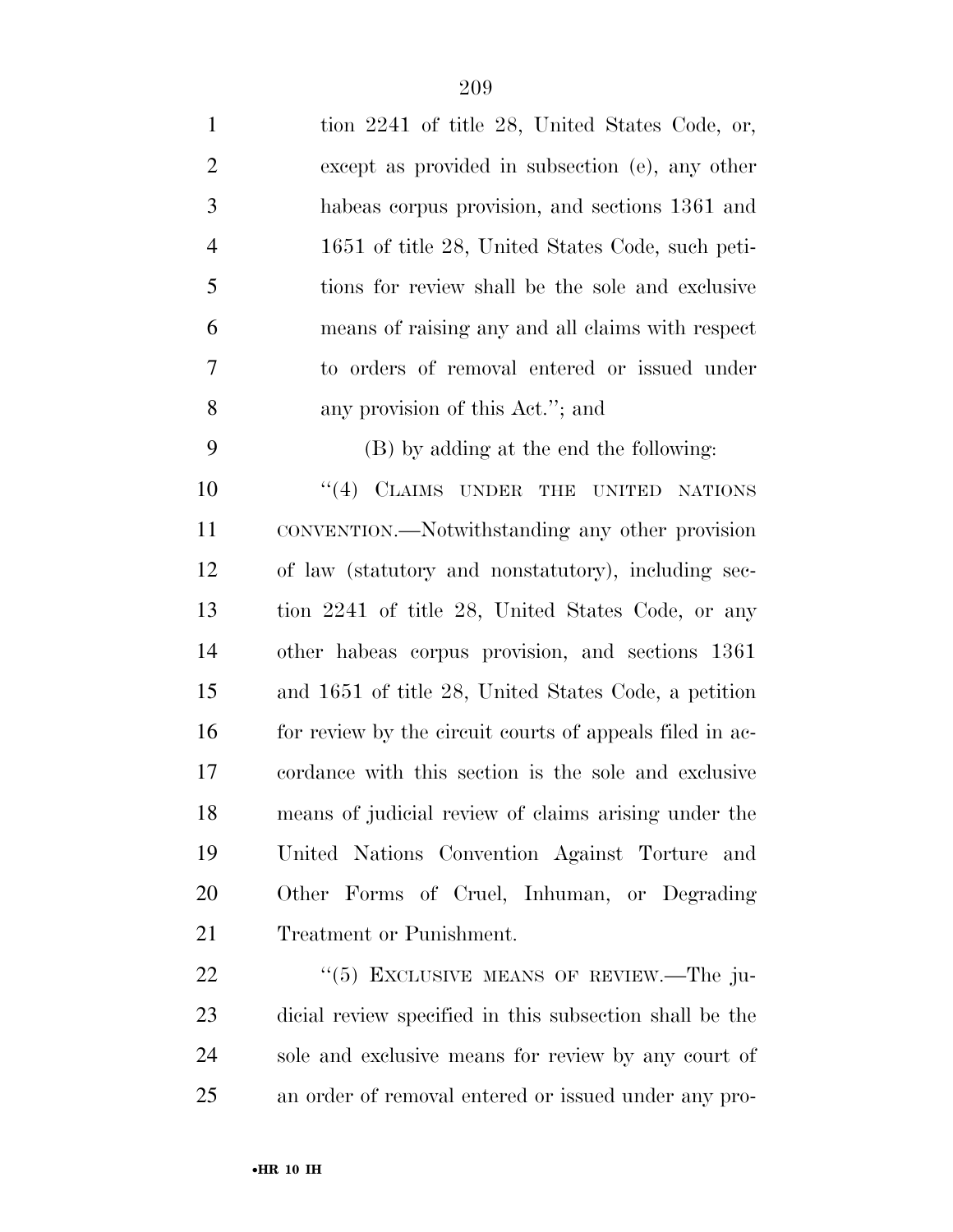| $\mathbf{1}$   | tion 2241 of title 28, United States Code, or,           |
|----------------|----------------------------------------------------------|
| $\overline{2}$ | except as provided in subsection (e), any other          |
| 3              | habeas corpus provision, and sections 1361 and           |
| $\overline{4}$ | 1651 of title 28, United States Code, such peti-         |
| 5              | tions for review shall be the sole and exclusive         |
| 6              | means of raising any and all claims with respect         |
| 7              | to orders of removal entered or issued under             |
| 8              | any provision of this Act."; and                         |
| 9              | (B) by adding at the end the following:                  |
| 10             | "(4) CLAIMS UNDER THE UNITED NATIONS                     |
| 11             | CONVENTION.—Notwithstanding any other provision          |
| 12             | of law (statutory and nonstatutory), including sec-      |
| 13             | tion 2241 of title 28, United States Code, or any        |
| 14             | other habeas corpus provision, and sections 1361         |
| 15             | and 1651 of title 28, United States Code, a petition     |
| 16             | for review by the circuit courts of appeals filed in ac- |
| 17             | cordance with this section is the sole and exclusive     |
| 18             | means of judicial review of claims arising under the     |
| 19             | United Nations Convention Against Torture and            |
| 20             | Other Forms of Cruel, Inhuman, or Degrading              |
| 21             | Treatment or Punishment.                                 |
| 22             | " $(5)$ EXCLUSIVE MEANS OF REVIEW.—The ju-               |

 dicial review specified in this subsection shall be the sole and exclusive means for review by any court of an order of removal entered or issued under any pro-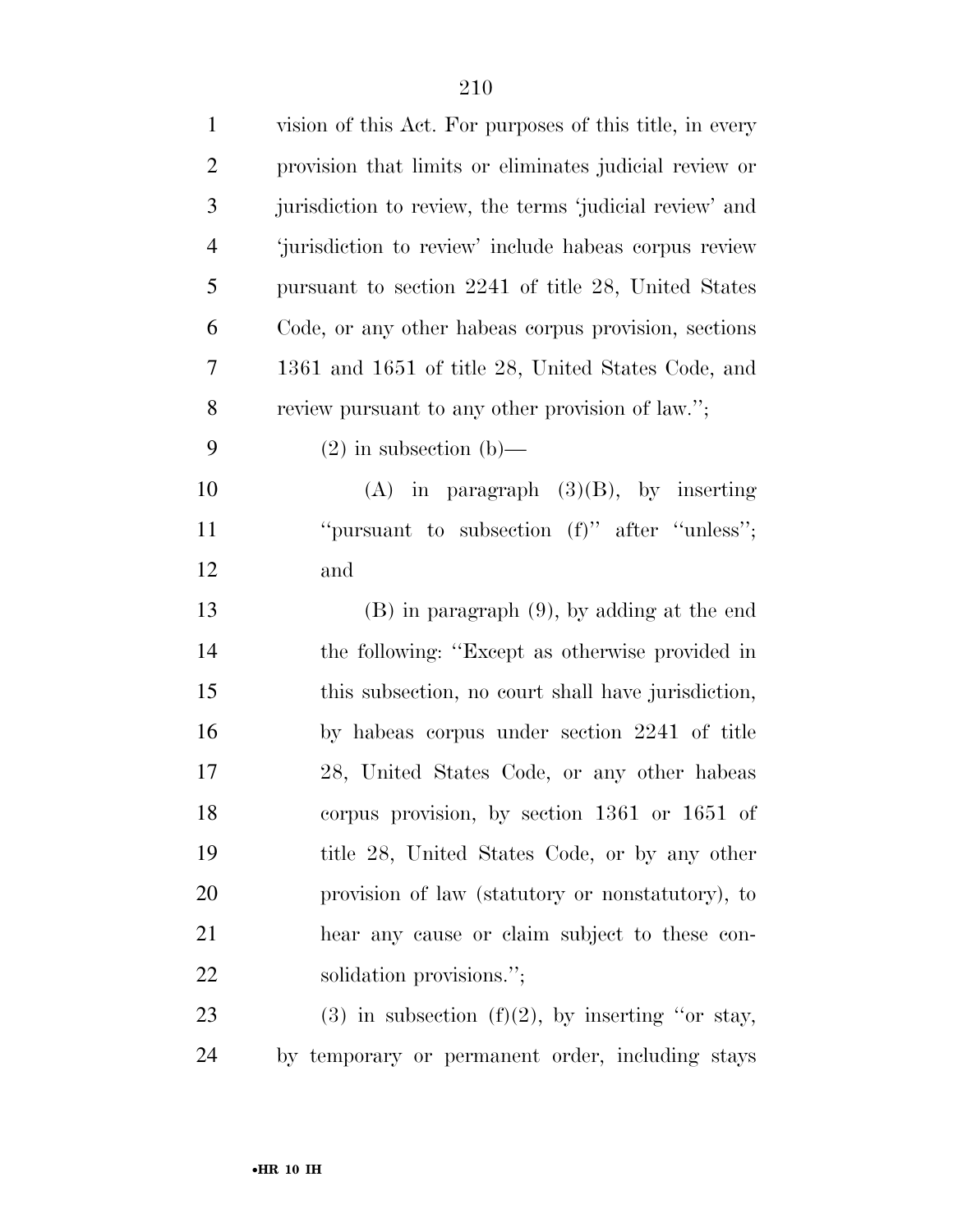| $\mathbf{1}$   | vision of this Act. For purposes of this title, in every |
|----------------|----------------------------------------------------------|
| $\overline{2}$ | provision that limits or eliminates judicial review or   |
| 3              | jurisdiction to review, the terms 'judicial review' and  |
| $\overline{4}$ | 'jurisdiction to review' include habeas corpus review    |
| 5              | pursuant to section 2241 of title 28, United States      |
| 6              | Code, or any other habeas corpus provision, sections     |
| 7              | 1361 and 1651 of title 28, United States Code, and       |
| 8              | review pursuant to any other provision of law.";         |
| 9              | $(2)$ in subsection $(b)$ —                              |
| 10             | $(A)$ in paragraph $(3)(B)$ , by inserting               |
| 11             | "pursuant to subsection $(f)$ " after "unless";          |
| 12             | and                                                      |
| 13             | $(B)$ in paragraph $(9)$ , by adding at the end          |
| 14             | the following: "Except as otherwise provided in          |
| 15             | this subsection, no court shall have jurisdiction,       |
| 16             | by habeas corpus under section 2241 of title             |
| 17             | 28, United States Code, or any other habeas              |
| 18             | corpus provision, by section 1361 or 1651 of             |
| 19             | title 28, United States Code, or by any other            |
| 20             | provision of law (statutory or nonstatutory), to         |
| 21             | hear any cause or claim subject to these con-            |
| 22             | solidation provisions.";                                 |
| 23             | $(3)$ in subsection $(f)(2)$ , by inserting "or stay,    |
| 24             | by temporary or permanent order, including stays         |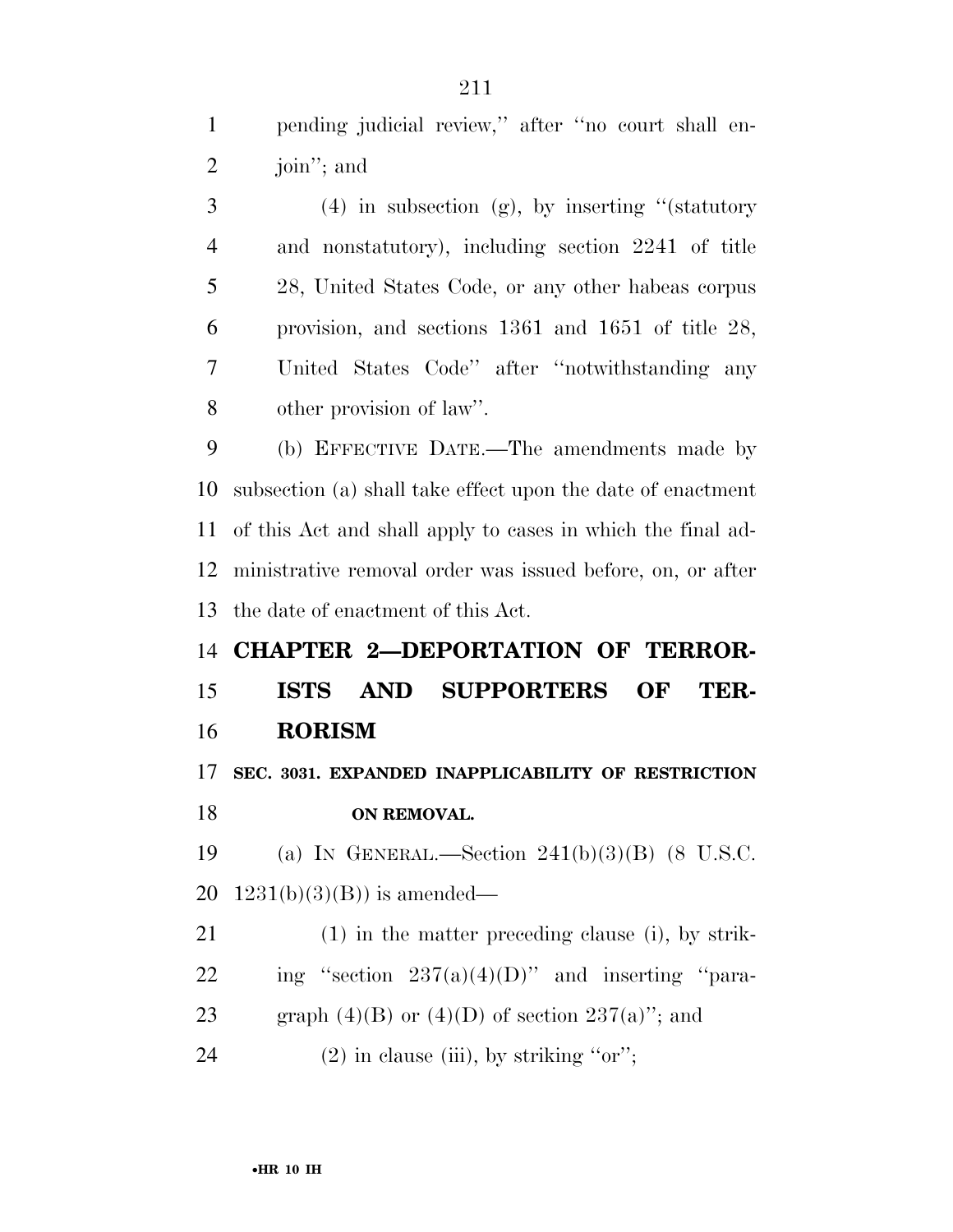pending judicial review,'' after ''no court shall en-join''; and

 $3 \t(4)$  in subsection (g), by inserting "(statutory and nonstatutory), including section 2241 of title 28, United States Code, or any other habeas corpus provision, and sections 1361 and 1651 of title 28, United States Code'' after ''notwithstanding any other provision of law''.

 (b) EFFECTIVE DATE.—The amendments made by subsection (a) shall take effect upon the date of enactment of this Act and shall apply to cases in which the final ad- ministrative removal order was issued before, on, or after the date of enactment of this Act.

# **CHAPTER 2—DEPORTATION OF TERROR- ISTS AND SUPPORTERS OF TER-RORISM**

 **SEC. 3031. EXPANDED INAPPLICABILITY OF RESTRICTION ON REMOVAL.** 

 (a) IN GENERAL.—Section 241(b)(3)(B) (8 U.S.C. 20  $1231(b)(3)(B)$  is amended—

 (1) in the matter preceding clause (i), by strik-22 ing "section  $237(a)(4)(D)$ " and inserting "para-23 graph  $(4)(B)$  or  $(4)(D)$  of section  $237(a)$ "; and

24 (2) in clause (iii), by striking "or";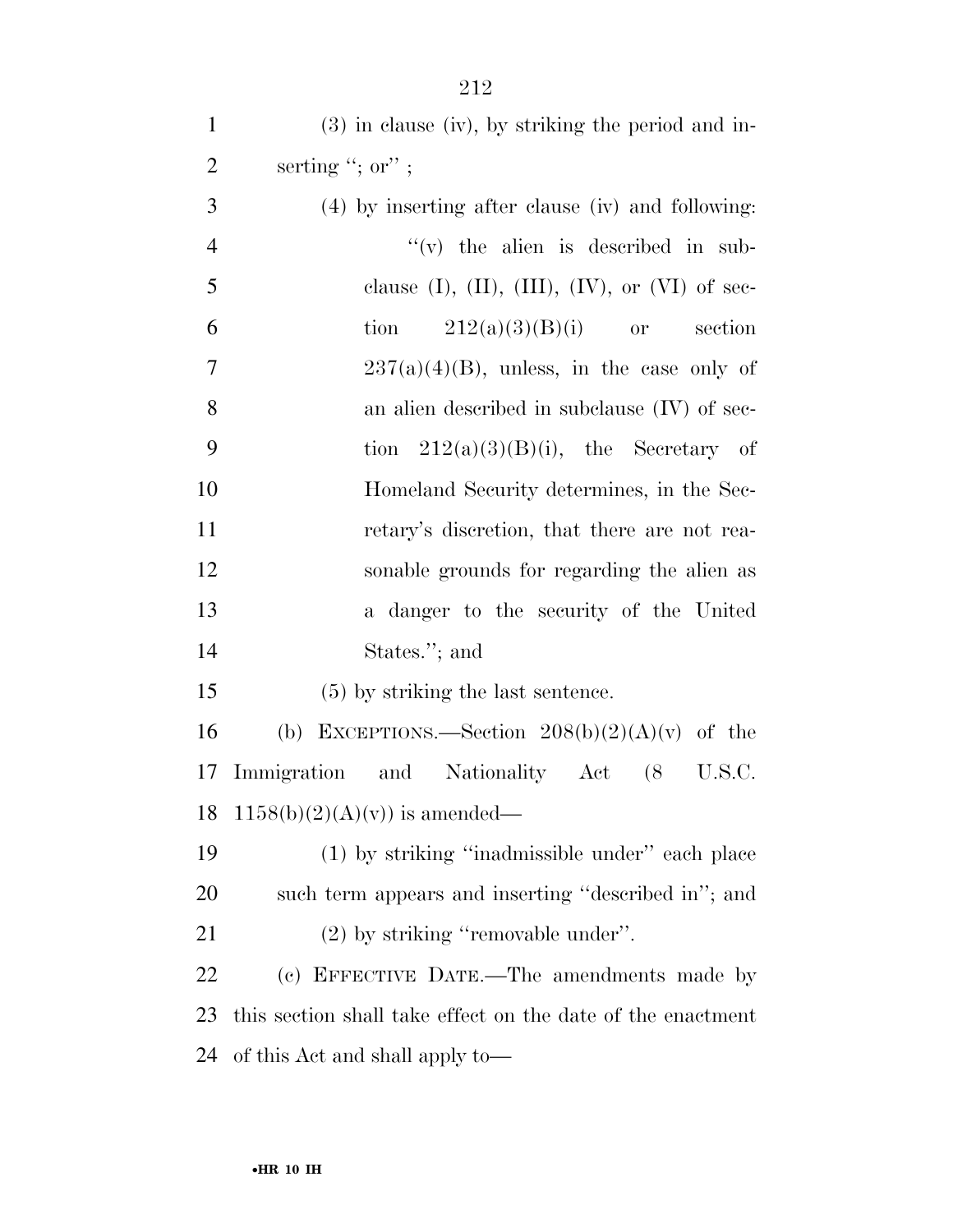| $\mathbf{1}$   | $(3)$ in clause (iv), by striking the period and in-         |
|----------------|--------------------------------------------------------------|
| $\overline{2}$ | serting "; or" ;                                             |
| 3              | (4) by inserting after clause (iv) and following:            |
| $\overline{4}$ | $f'(v)$ the alien is described in sub-                       |
| 5              | clause $(I)$ , $(II)$ , $(III)$ , $(IV)$ , or $(VI)$ of sec- |
| 6              | $212(a)(3)(B)(i)$ or<br>tion<br>section                      |
| $\tau$         | $237(a)(4)(B)$ , unless, in the case only of                 |
| 8              | an alien described in subclause (IV) of sec-                 |
| 9              | tion $212(a)(3)(B)(i)$ , the Secretary of                    |
| 10             | Homeland Security determines, in the Sec-                    |
| 11             | retary's discretion, that there are not rea-                 |
| 12             | sonable grounds for regarding the alien as                   |
| 13             | a danger to the security of the United                       |
| 14             | States."; and                                                |
| 15             | $(5)$ by striking the last sentence.                         |
| 16             | EXCEPTIONS.—Section $208(b)(2)(A)(v)$ of the<br>(b)          |
| 17             | Immigration and Nationality Act<br>$(8$ U.S.C.               |
|                | 18 1158(b)(2)(A)(v)) is amended—                             |
| 19             | (1) by striking "inadmissible under" each place              |
| <b>20</b>      | such term appears and inserting "described in"; and          |
| 21             | $(2)$ by striking "removable under".                         |
| 22             | (c) EFFECTIVE DATE.—The amendments made by                   |
| 23             | this section shall take effect on the date of the enactment  |
| 24             | of this Act and shall apply to-                              |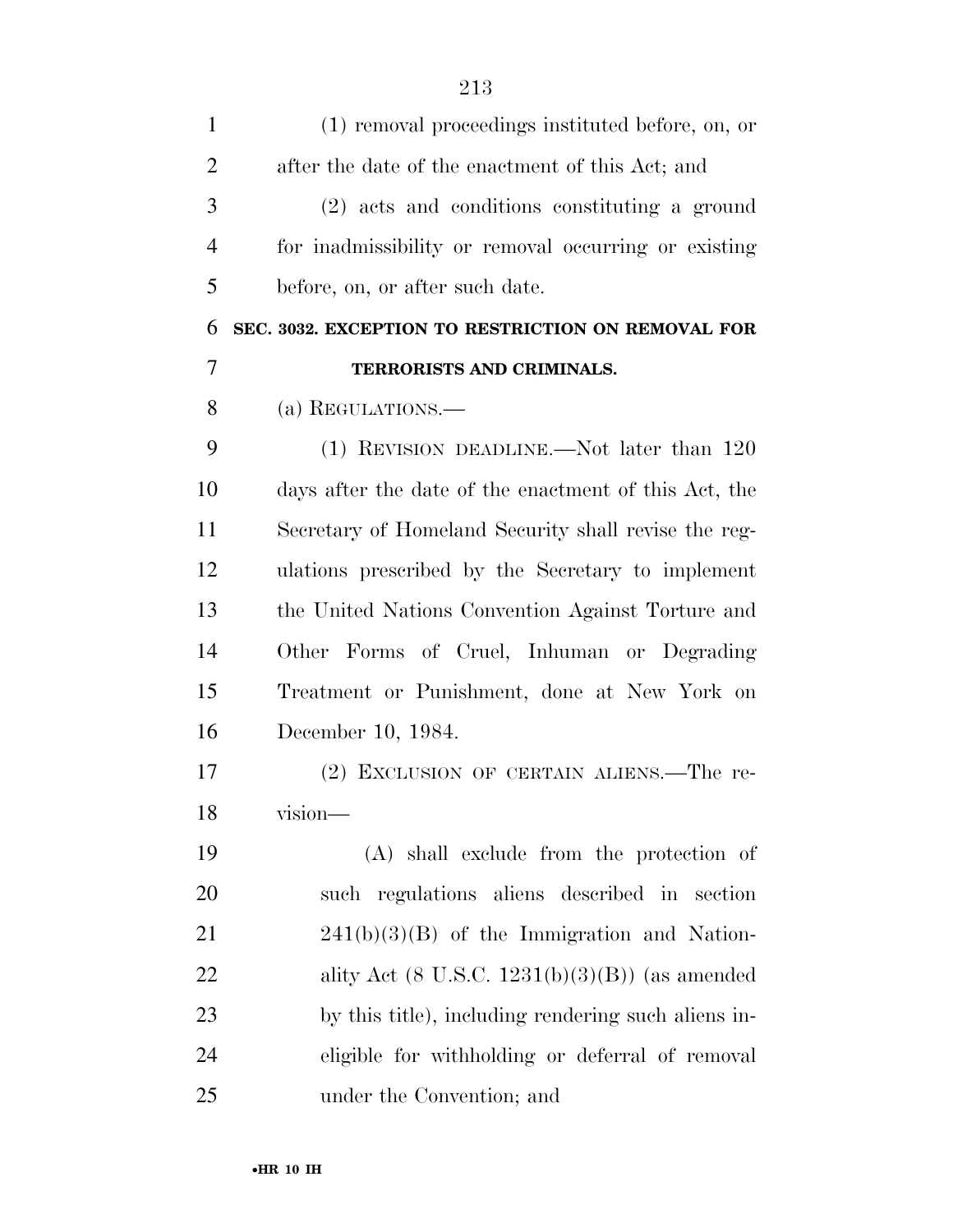| $\mathbf{1}$   | (1) removal proceedings instituted before, on, or     |
|----------------|-------------------------------------------------------|
| $\overline{2}$ | after the date of the enactment of this Act; and      |
| 3              | (2) acts and conditions constituting a ground         |
| $\overline{4}$ | for inadmissibility or removal occurring or existing  |
| 5              | before, on, or after such date.                       |
| 6              | SEC. 3032. EXCEPTION TO RESTRICTION ON REMOVAL FOR    |
| 7              | TERRORISTS AND CRIMINALS.                             |
| 8              | (a) REGULATIONS.—                                     |
| 9              | $(1)$ REVISION DEADLINE.—Not later than 120           |
| 10             | days after the date of the enactment of this Act, the |
| 11             | Secretary of Homeland Security shall revise the reg-  |
| 12             | ulations prescribed by the Secretary to implement     |
| 13             | the United Nations Convention Against Torture and     |
| 14             | Other Forms of Cruel, Inhuman or Degrading            |
| 15             | Treatment or Punishment, done at New York on          |
| 16             | December 10, 1984.                                    |
| 17             | (2) EXCLUSION OF CERTAIN ALIENS.—The re-              |
| 18             | vision—                                               |
| 19             | (A) shall exclude from the protection of              |
| 20             | such regulations aliens described in section          |
| 21             | $241(b)(3)(B)$ of the Immigration and Nation-         |
| 22             | ality Act $(8$ U.S.C. $1231(b)(3)(B))$ (as amended    |
| 23             | by this title), including rendering such aliens in-   |
| 24             | eligible for withholding or deferral of removal       |
| 25             | under the Convention; and                             |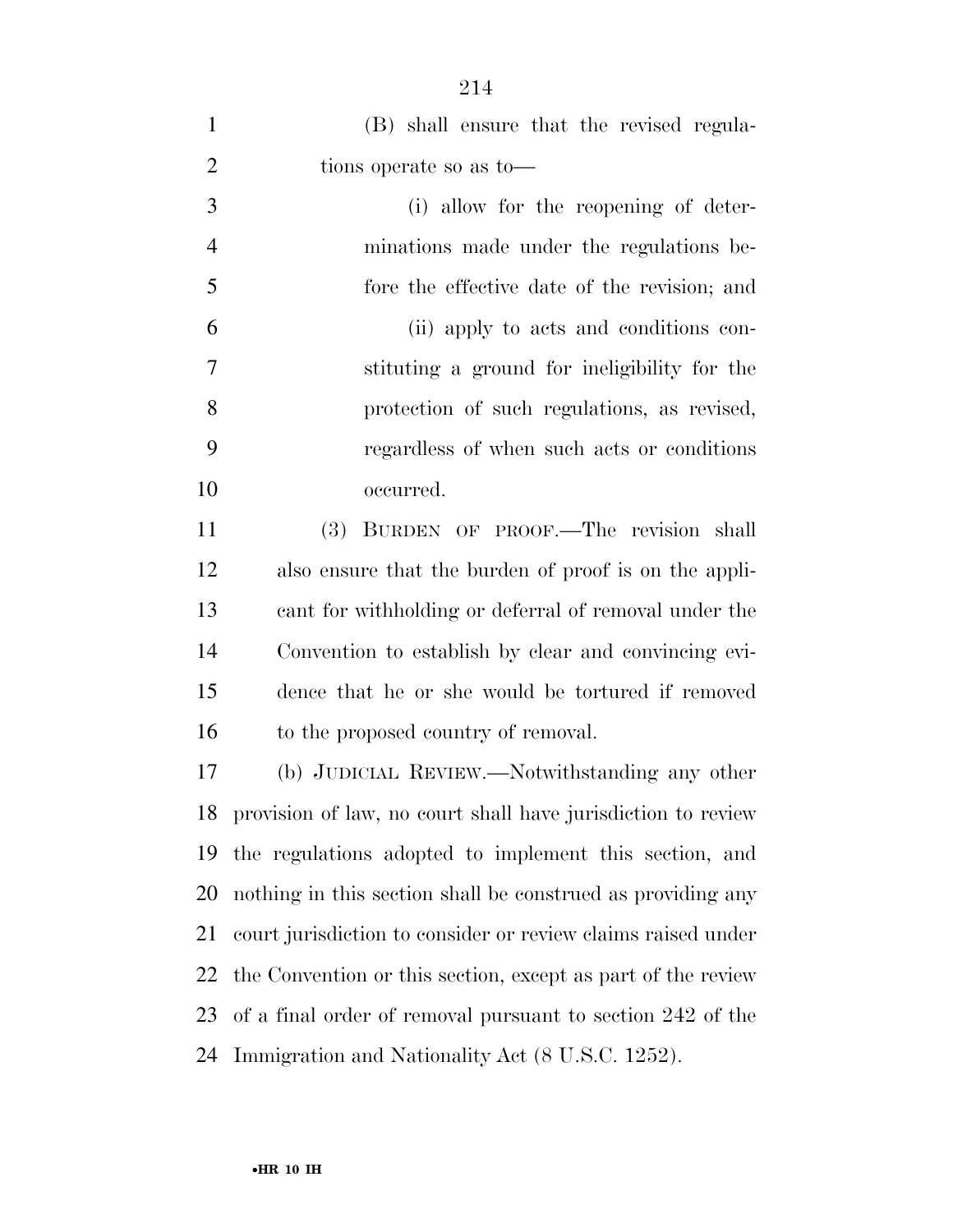| $\mathbf{1}$   | (B) shall ensure that the revised regula-                    |
|----------------|--------------------------------------------------------------|
| $\overline{2}$ | tions operate so as to-                                      |
| 3              | (i) allow for the reopening of deter-                        |
| $\overline{4}$ | minations made under the regulations be-                     |
| 5              | fore the effective date of the revision; and                 |
| 6              | (ii) apply to acts and conditions con-                       |
| 7              | stituting a ground for ineligibility for the                 |
| 8              | protection of such regulations, as revised,                  |
| 9              | regardless of when such acts or conditions                   |
| 10             | occurred.                                                    |
| 11             | BURDEN OF PROOF.—The revision shall<br>(3)                   |
| 12             | also ensure that the burden of proof is on the appli-        |
| 13             | cant for withholding or deferral of removal under the        |
| 14             | Convention to establish by clear and convincing evi-         |
| 15             | dence that he or she would be tortured if removed            |
| 16             | to the proposed country of removal.                          |
| 17             | (b) JUDICIAL REVIEW.—Notwithstanding any other               |
| 18             | provision of law, no court shall have jurisdiction to review |
| 19             | the regulations adopted to implement this section, and       |
| 20             | nothing in this section shall be construed as providing any  |
| 21             | court jurisdiction to consider or review claims raised under |
| 22             | the Convention or this section, except as part of the review |
| 23             | of a final order of removal pursuant to section 242 of the   |
| 24             | Immigration and Nationality Act (8 U.S.C. 1252).             |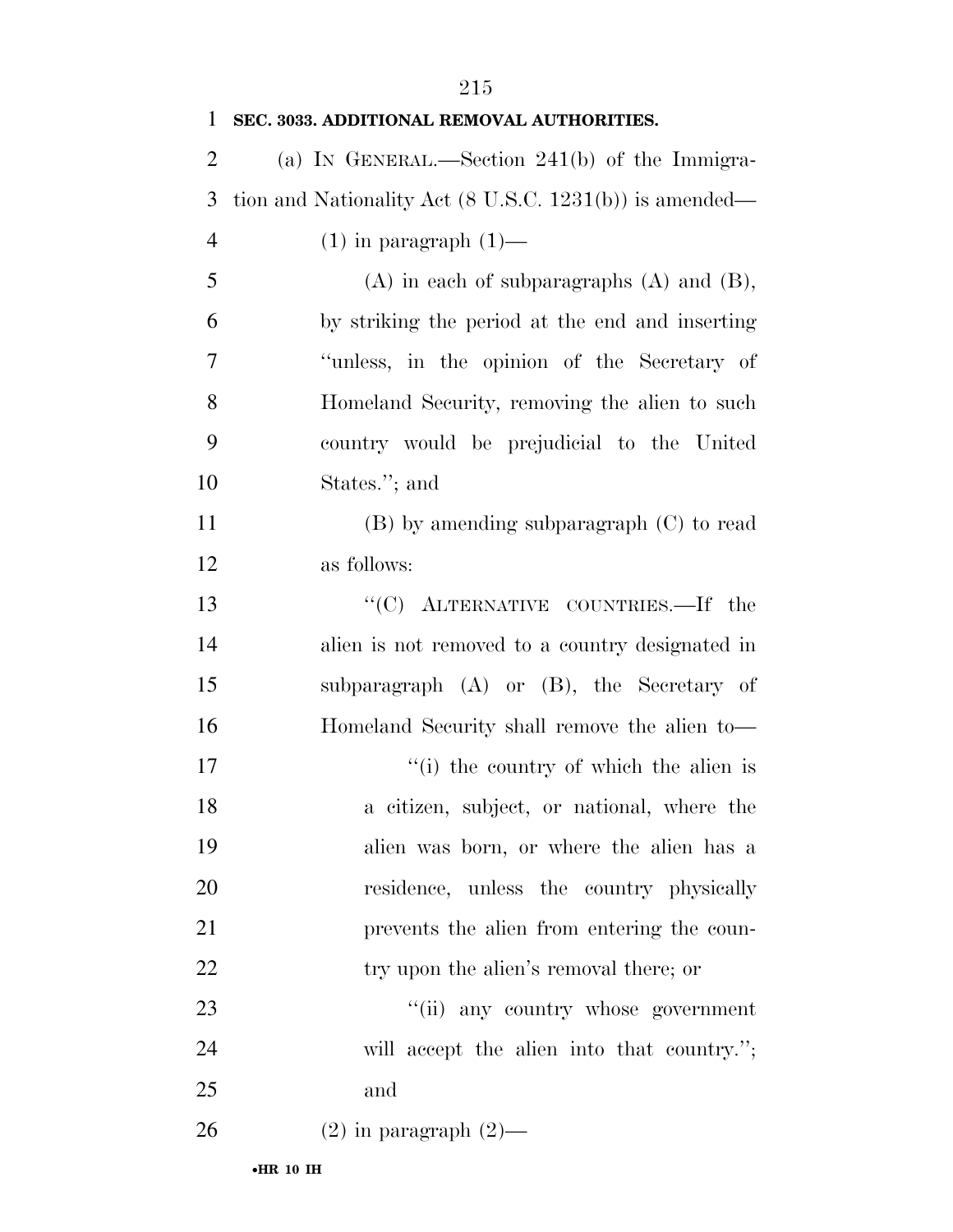| $\mathbf{1}$   | SEC. 3033. ADDITIONAL REMOVAL AUTHORITIES.                         |
|----------------|--------------------------------------------------------------------|
| $\overline{2}$ | (a) IN GENERAL.—Section 241(b) of the Immigra-                     |
| 3              | tion and Nationality Act $(8 \text{ U.S.C. } 1231(b))$ is amended— |
| $\overline{4}$ | $(1)$ in paragraph $(1)$ —                                         |
| 5              | $(A)$ in each of subparagraphs $(A)$ and $(B)$ ,                   |
| 6              | by striking the period at the end and inserting                    |
| 7              | "unless, in the opinion of the Secretary of                        |
| 8              | Homeland Security, removing the alien to such                      |
| 9              | country would be prejudicial to the United                         |
| 10             | States."; and                                                      |
| 11             | $(B)$ by amending subparagraph $(C)$ to read                       |
| 12             | as follows:                                                        |
| 13             | "(C) ALTERNATIVE COUNTRIES.—If the                                 |
| 14             | alien is not removed to a country designated in                    |
| 15             | subparagraph $(A)$ or $(B)$ , the Secretary of                     |
| 16             | Homeland Security shall remove the alien to-                       |
| 17             | "(i) the country of which the alien is                             |
| 18             | a citizen, subject, or national, where the                         |
| 19             | alien was born, or where the alien has a                           |
| 20             | residence, unless the country physically                           |
| 21             | prevents the alien from entering the coun-                         |
| 22             | try upon the alien's removal there; or                             |
| 23             | "(ii) any country whose government                                 |
| 24             | will accept the alien into that country.";                         |
| 25             | and                                                                |
| 26             | $(2)$ in paragraph $(2)$ —                                         |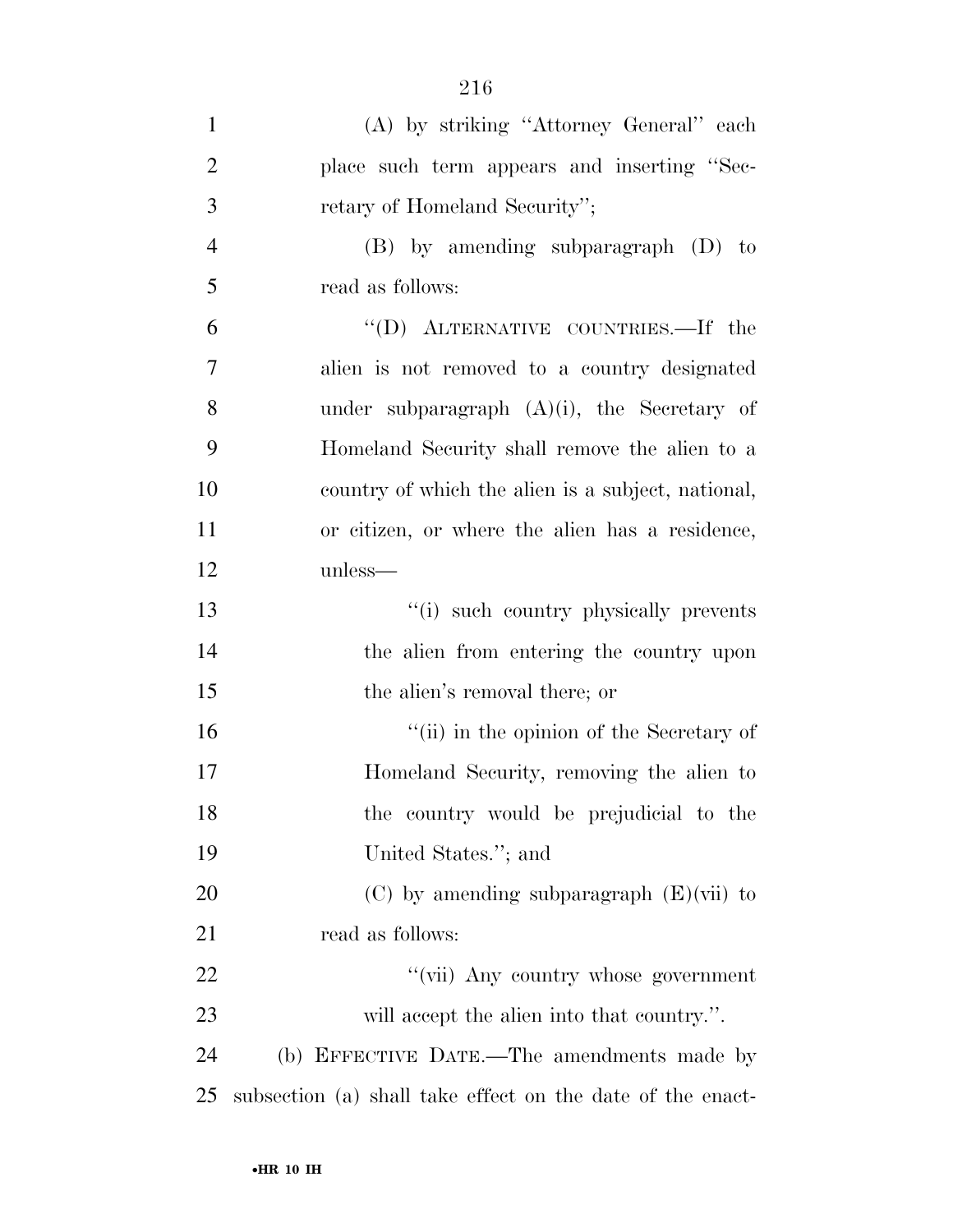| $\mathbf{1}$   | (A) by striking "Attorney General" each                    |
|----------------|------------------------------------------------------------|
| $\overline{2}$ | place such term appears and inserting "Sec-                |
| 3              | retary of Homeland Security";                              |
| 4              | $(B)$ by amending subparagraph $(D)$ to                    |
| 5              | read as follows:                                           |
| 6              | "(D) ALTERNATIVE COUNTRIES.—If the                         |
| $\overline{7}$ | alien is not removed to a country designated               |
| 8              | under subparagraph $(A)(i)$ , the Secretary of             |
| 9              | Homeland Security shall remove the alien to a              |
| 10             | country of which the alien is a subject, national,         |
| 11             | or citizen, or where the alien has a residence,            |
| 12             | unless—                                                    |
| 13             | "(i) such country physically prevents                      |
| 14             | the alien from entering the country upon                   |
| 15             | the alien's removal there; or                              |
| 16             | "(ii) in the opinion of the Secretary of                   |
| 17             | Homeland Security, removing the alien to                   |
| 18             | the country would be prejudicial to the                    |
| 19             | United States."; and                                       |
| 20             | $(C)$ by amending subparagraph $(E)(\n\tiii)$ to           |
| 21             | read as follows:                                           |
| 22             | "(vii) Any country whose government                        |
| 23             | will accept the alien into that country.".                 |
| 24             | (b) EFFECTIVE DATE.—The amendments made by                 |
| 25             | subsection (a) shall take effect on the date of the enact- |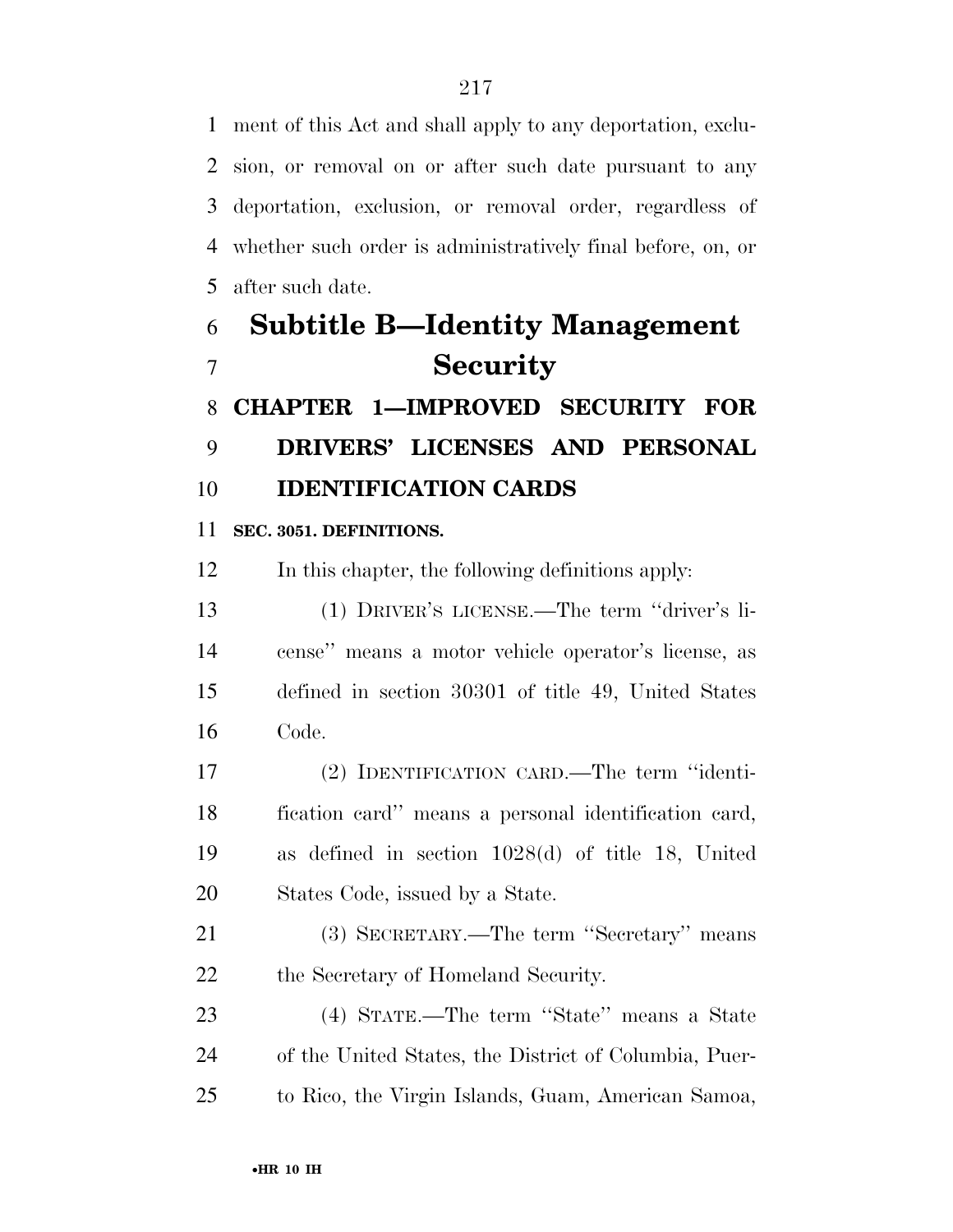ment of this Act and shall apply to any deportation, exclu- sion, or removal on or after such date pursuant to any deportation, exclusion, or removal order, regardless of whether such order is administratively final before, on, or after such date.

# **Subtitle B—Identity Management Security CHAPTER 1—IMPROVED SECURITY FOR**

**DRIVERS' LICENSES AND PERSONAL** 

### **IDENTIFICATION CARDS**

### **SEC. 3051. DEFINITIONS.**

In this chapter, the following definitions apply:

 (1) DRIVER'S LICENSE.—The term ''driver's li- cense'' means a motor vehicle operator's license, as defined in section 30301 of title 49, United States Code.

 (2) IDENTIFICATION CARD.—The term ''identi- fication card'' means a personal identification card, as defined in section 1028(d) of title 18, United States Code, issued by a State.

 (3) SECRETARY.—The term ''Secretary'' means 22 the Secretary of Homeland Security.

 (4) STATE.—The term ''State'' means a State of the United States, the District of Columbia, Puer-to Rico, the Virgin Islands, Guam, American Samoa,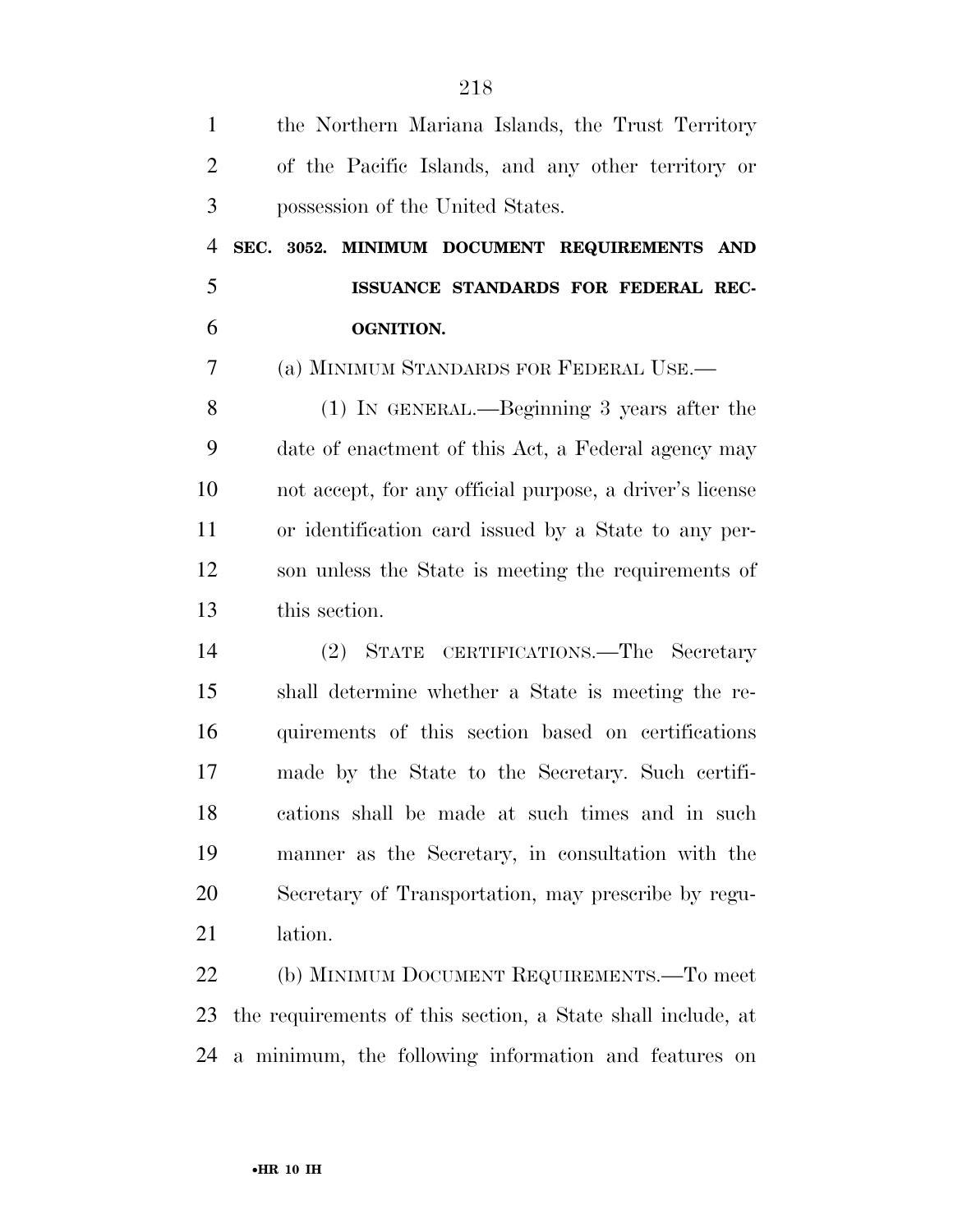| $\mathbf{1}$   | the Northern Mariana Islands, the Trust Territory           |
|----------------|-------------------------------------------------------------|
| $\overline{2}$ | of the Pacific Islands, and any other territory or          |
| 3              | possession of the United States.                            |
| $\overline{4}$ | SEC. 3052. MINIMUM DOCUMENT REQUIREMENTS AND                |
| 5              | ISSUANCE STANDARDS FOR FEDERAL REC-                         |
| 6              | <b>OGNITION.</b>                                            |
| 7              | (a) MINIMUM STANDARDS FOR FEDERAL USE.—                     |
| 8              | $(1)$ In GENERAL.—Beginning 3 years after the               |
| 9              | date of enactment of this Act, a Federal agency may         |
| 10             | not accept, for any official purpose, a driver's license    |
| 11             | or identification card issued by a State to any per-        |
| 12             | son unless the State is meeting the requirements of         |
| 13             | this section.                                               |
| 14             | CERTIFICATIONS.—The Secretary<br>$(2)$ STATE                |
| 15             | shall determine whether a State is meeting the re-          |
| 16             | quirements of this section based on certifications          |
| 17             | made by the State to the Secretary. Such certifi-           |
| 18             | cations shall be made at such times and in such             |
| 19             | manner as the Secretary, in consultation with the           |
| 20             | Secretary of Transportation, may prescribe by regu-         |
| 21             | lation.                                                     |
| 22             | (b) MINIMUM DOCUMENT REQUIREMENTS.—To meet                  |
| 23             | the requirements of this section, a State shall include, at |
| 24             | a minimum, the following information and features on        |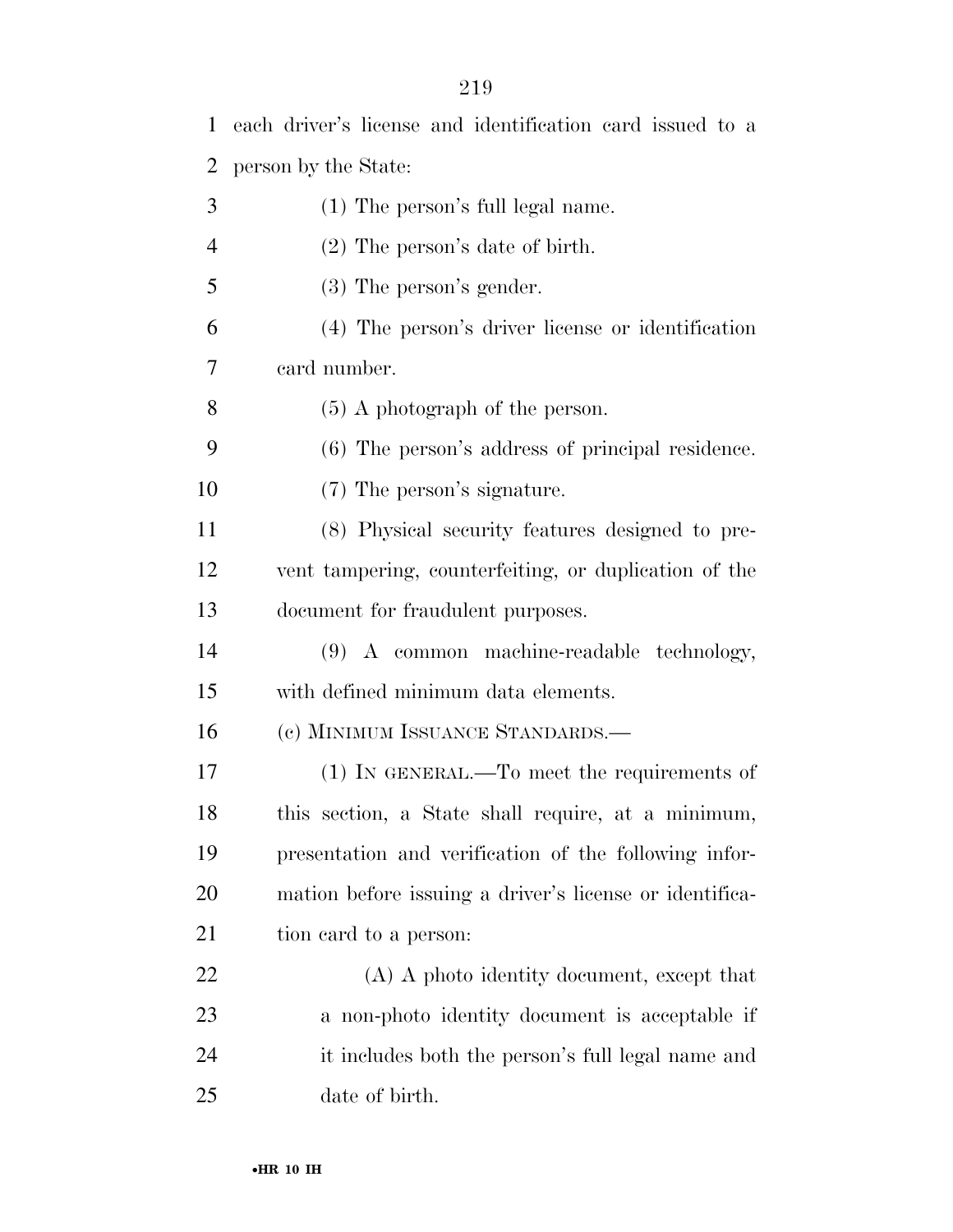| $\mathbf{1}$   | each driver's license and identification card issued to a |
|----------------|-----------------------------------------------------------|
| $\overline{2}$ | person by the State:                                      |
| 3              | (1) The person's full legal name.                         |
| $\overline{4}$ | $(2)$ The person's date of birth.                         |
| 5              | $(3)$ The person's gender.                                |
| 6              | (4) The person's driver license or identification         |
| 7              | card number.                                              |
| 8              | $(5)$ A photograph of the person.                         |
| 9              | (6) The person's address of principal residence.          |
| 10             | (7) The person's signature.                               |
| 11             | (8) Physical security features designed to pre-           |
| 12             | vent tampering, counterfeiting, or duplication of the     |
| 13             | document for fraudulent purposes.                         |
| 14             | (9) A common machine-readable technology,                 |
| 15             | with defined minimum data elements.                       |
| 16             | (c) MINIMUM ISSUANCE STANDARDS.-                          |
| 17             | (1) IN GENERAL.—To meet the requirements of               |
| 18             | this section, a State shall require, at a minimum,        |
| 19             | presentation and verification of the following infor-     |
| 20             | mation before issuing a driver's license or identifica-   |
| 21             | tion card to a person:                                    |
| 22             | (A) A photo identity document, except that                |
| 23             | a non-photo identity document is acceptable if            |
| 24             | it includes both the person's full legal name and         |
| 25             | date of birth.                                            |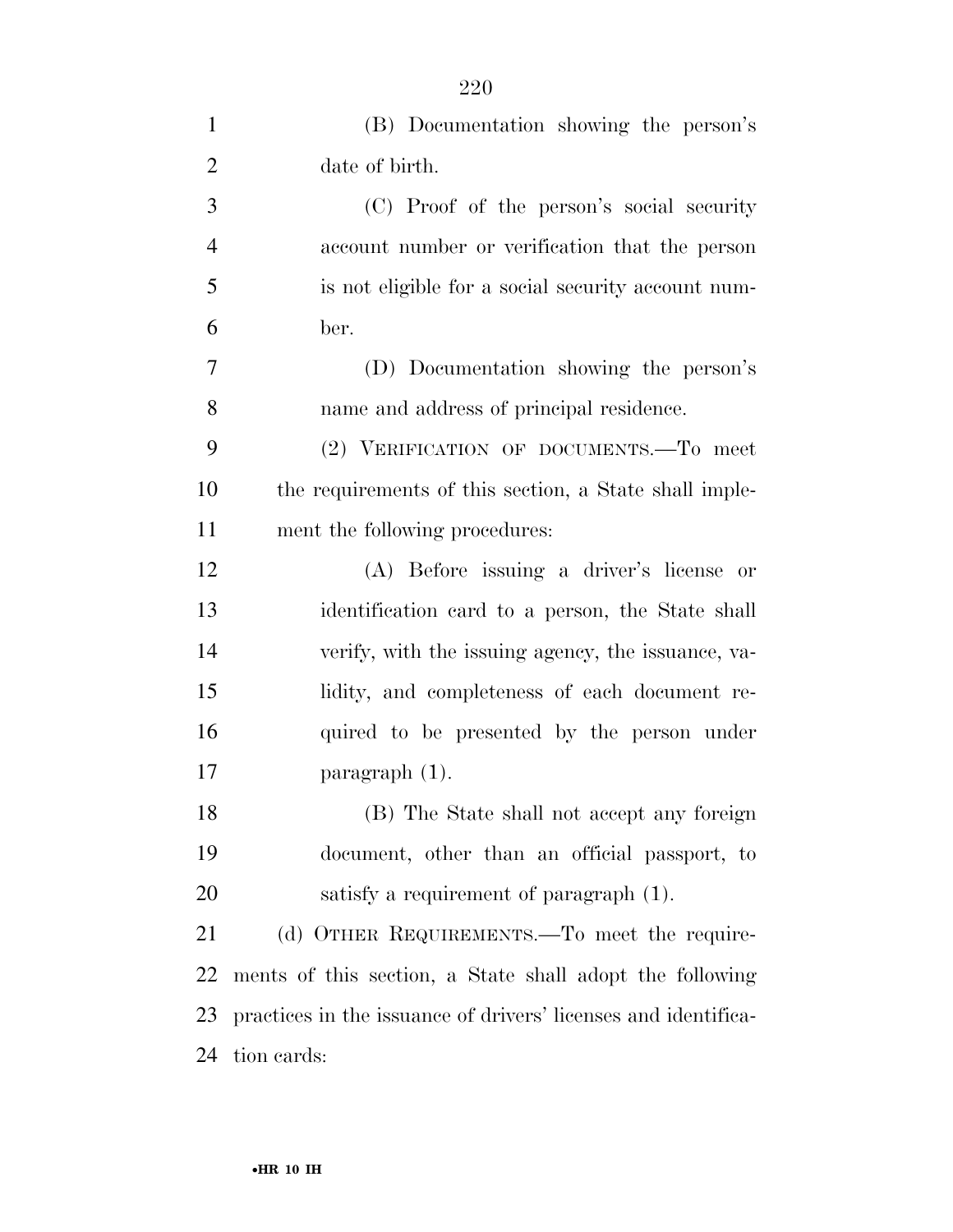| $\mathbf{1}$   | (B) Documentation showing the person's                         |
|----------------|----------------------------------------------------------------|
| $\overline{2}$ | date of birth.                                                 |
| 3              | (C) Proof of the person's social security                      |
| $\overline{4}$ | account number or verification that the person                 |
| 5              | is not eligible for a social security account num-             |
| 6              | ber.                                                           |
| 7              | (D) Documentation showing the person's                         |
| 8              | name and address of principal residence.                       |
| 9              | (2) VERIFICATION OF DOCUMENTS.-To meet                         |
| 10             | the requirements of this section, a State shall imple-         |
| 11             | ment the following procedures:                                 |
| 12             | (A) Before issuing a driver's license or                       |
| 13             | identification card to a person, the State shall               |
| 14             | verify, with the issuing agency, the issuance, va-             |
| 15             | lidity, and completeness of each document re-                  |
| 16             | quired to be presented by the person under                     |
| 17             | paragraph $(1)$ .                                              |
| 18             | (B) The State shall not accept any foreign                     |
| 19             | document, other than an official passport, to                  |
| 20             | satisfy a requirement of paragraph (1).                        |
| 21             | (d) OTHER REQUIREMENTS.—To meet the require-                   |
| 22             | ments of this section, a State shall adopt the following       |
| 23             | practices in the issuance of drivers' licenses and identifica- |
| 24             | tion cards:                                                    |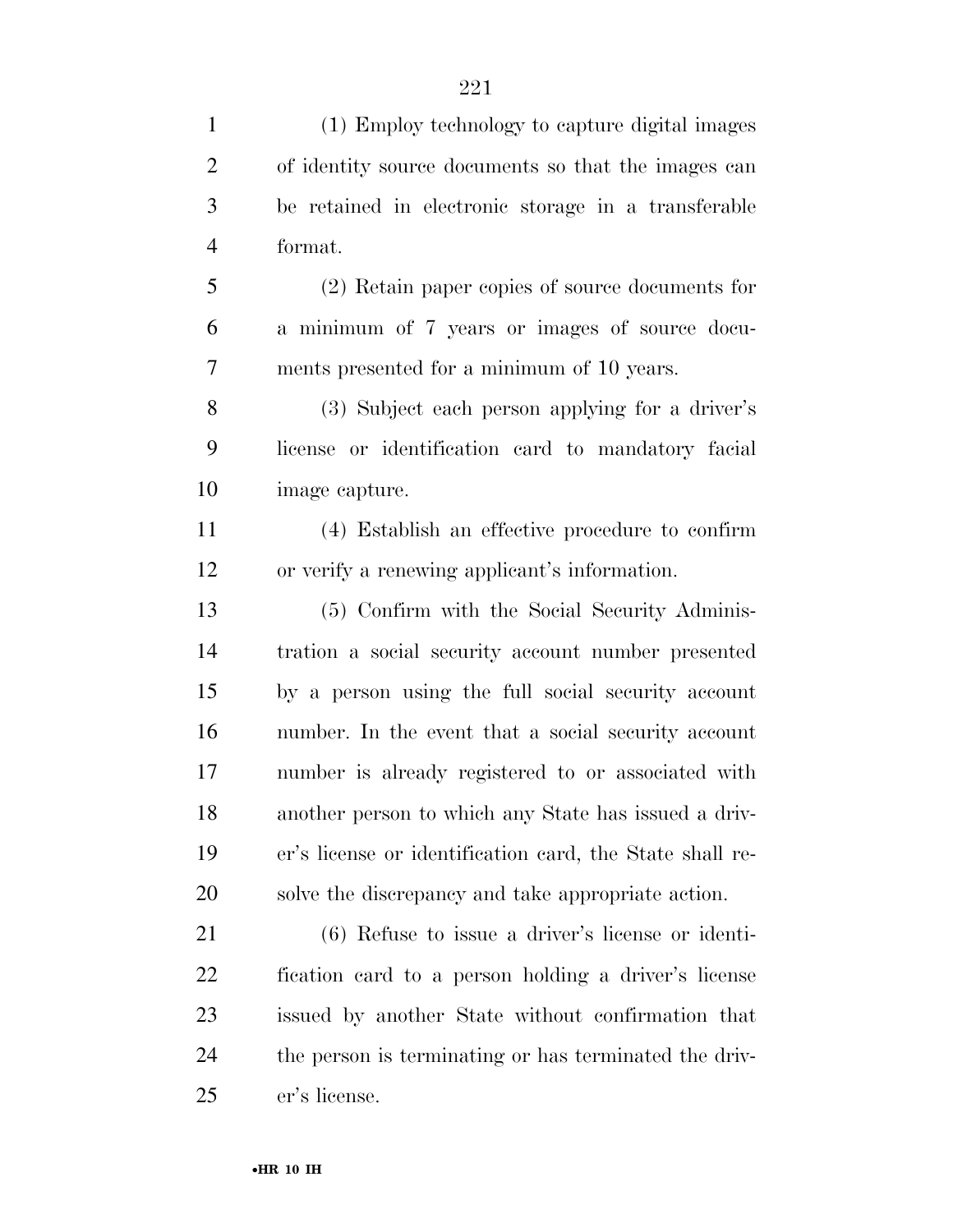(1) Employ technology to capture digital images of identity source documents so that the images can be retained in electronic storage in a transferable format.

 (2) Retain paper copies of source documents for a minimum of 7 years or images of source docu-ments presented for a minimum of 10 years.

 (3) Subject each person applying for a driver's license or identification card to mandatory facial image capture.

 (4) Establish an effective procedure to confirm or verify a renewing applicant's information.

 (5) Confirm with the Social Security Adminis- tration a social security account number presented by a person using the full social security account number. In the event that a social security account number is already registered to or associated with another person to which any State has issued a driv- er's license or identification card, the State shall re-solve the discrepancy and take appropriate action.

 (6) Refuse to issue a driver's license or identi- fication card to a person holding a driver's license issued by another State without confirmation that the person is terminating or has terminated the driv-er's license.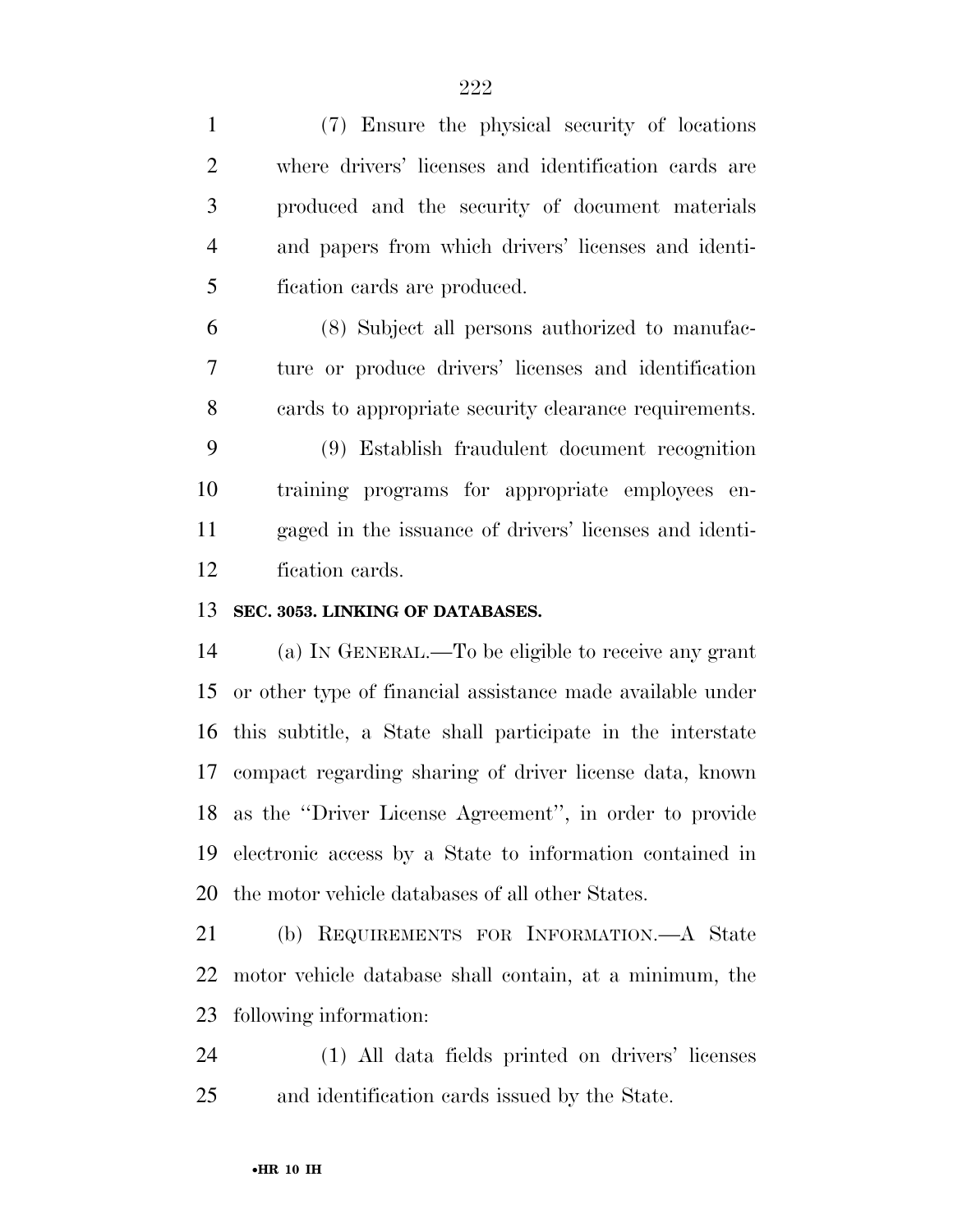(7) Ensure the physical security of locations where drivers' licenses and identification cards are produced and the security of document materials and papers from which drivers' licenses and identi- fication cards are produced. (8) Subject all persons authorized to manufac- ture or produce drivers' licenses and identification cards to appropriate security clearance requirements. (9) Establish fraudulent document recognition training programs for appropriate employees en- gaged in the issuance of drivers' licenses and identi- fication cards. **SEC. 3053. LINKING OF DATABASES.**  (a) IN GENERAL.—To be eligible to receive any grant or other type of financial assistance made available under this subtitle, a State shall participate in the interstate compact regarding sharing of driver license data, known as the ''Driver License Agreement'', in order to provide electronic access by a State to information contained in

the motor vehicle databases of all other States.

 (b) REQUIREMENTS FOR INFORMATION.—A State motor vehicle database shall contain, at a minimum, the following information:

 (1) All data fields printed on drivers' licenses and identification cards issued by the State.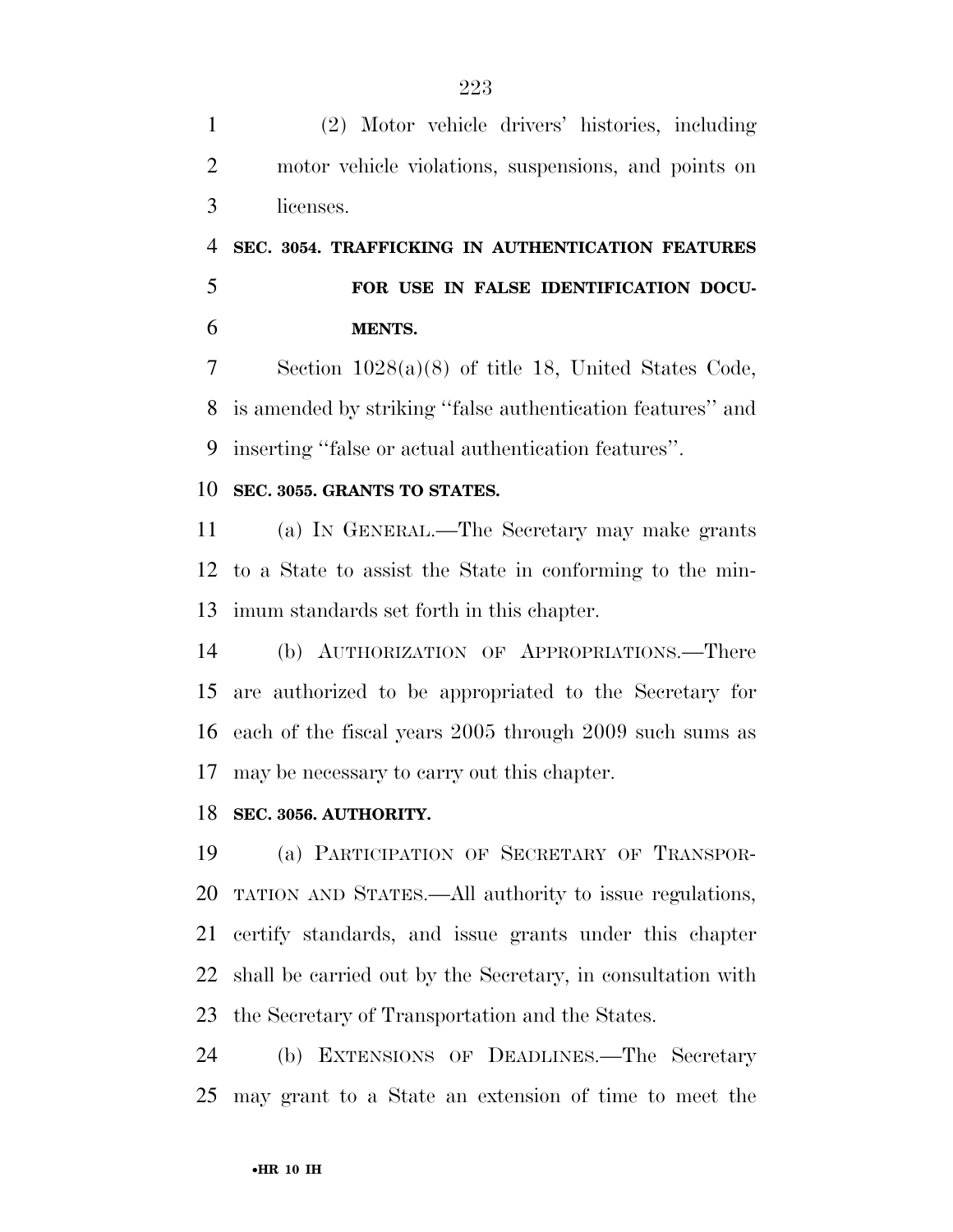(2) Motor vehicle drivers' histories, including motor vehicle violations, suspensions, and points on licenses.

# **SEC. 3054. TRAFFICKING IN AUTHENTICATION FEATURES FOR USE IN FALSE IDENTIFICATION DOCU-MENTS.**

 Section 1028(a)(8) of title 18, United States Code, is amended by striking ''false authentication features'' and inserting ''false or actual authentication features''.

### **SEC. 3055. GRANTS TO STATES.**

 (a) IN GENERAL.—The Secretary may make grants to a State to assist the State in conforming to the min-imum standards set forth in this chapter.

 (b) AUTHORIZATION OF APPROPRIATIONS.—There are authorized to be appropriated to the Secretary for each of the fiscal years 2005 through 2009 such sums as may be necessary to carry out this chapter.

### **SEC. 3056. AUTHORITY.**

 (a) PARTICIPATION OF SECRETARY OF TRANSPOR- TATION AND STATES.—All authority to issue regulations, certify standards, and issue grants under this chapter shall be carried out by the Secretary, in consultation with the Secretary of Transportation and the States.

 (b) EXTENSIONS OF DEADLINES.—The Secretary may grant to a State an extension of time to meet the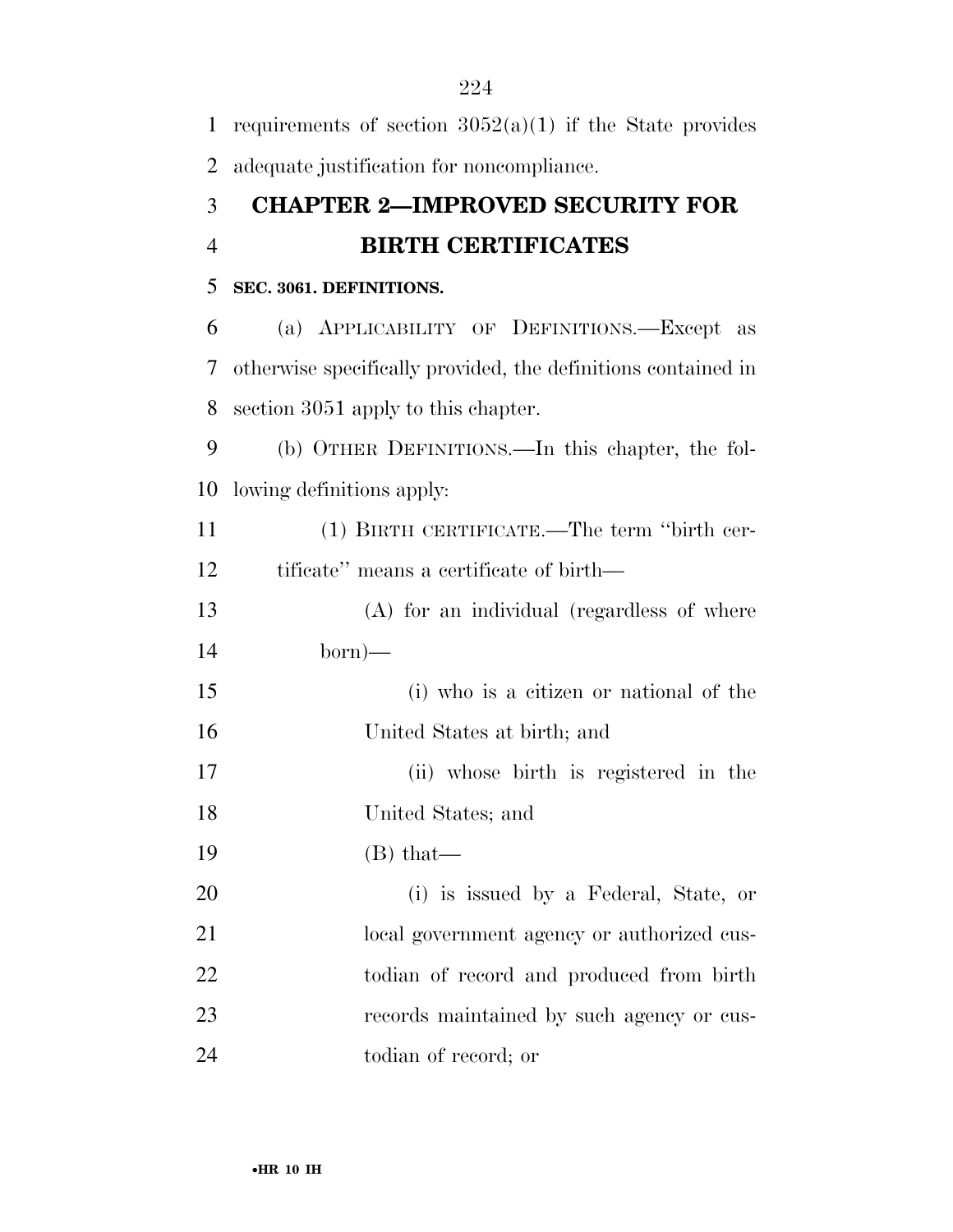| $\mathbf{1}$   | requirements of section $3052(a)(1)$ if the State provides    |
|----------------|---------------------------------------------------------------|
| 2              | adequate justification for noncompliance.                     |
| 3              | <b>CHAPTER 2-IMPROVED SECURITY FOR</b>                        |
| $\overline{4}$ | <b>BIRTH CERTIFICATES</b>                                     |
| 5              | SEC. 3061. DEFINITIONS.                                       |
| 6              | (a) APPLICABILITY OF DEFINITIONS.—Except as                   |
| 7              | otherwise specifically provided, the definitions contained in |
| 8              | section 3051 apply to this chapter.                           |
| 9              | (b) OTHER DEFINITIONS.—In this chapter, the fol-              |
| 10             | lowing definitions apply:                                     |
| 11             | (1) BIRTH CERTIFICATE.—The term "birth cer-                   |
| 12             | tificate" means a certificate of birth—                       |
| 13             | (A) for an individual (regardless of where                    |
| 14             | $born)$ —                                                     |
| 15             | (i) who is a citizen or national of the                       |
| 16             | United States at birth; and                                   |
| 17             | (ii) whose birth is registered in the                         |
| 18             | United States; and                                            |
| 19             | $(B)$ that—                                                   |
| 20             | (i) is issued by a Federal, State, or                         |
| 21             | local government agency or authorized cus-                    |
| 22             | todian of record and produced from birth                      |
| 23             | records maintained by such agency or cus-                     |
| 24             | todian of record; or                                          |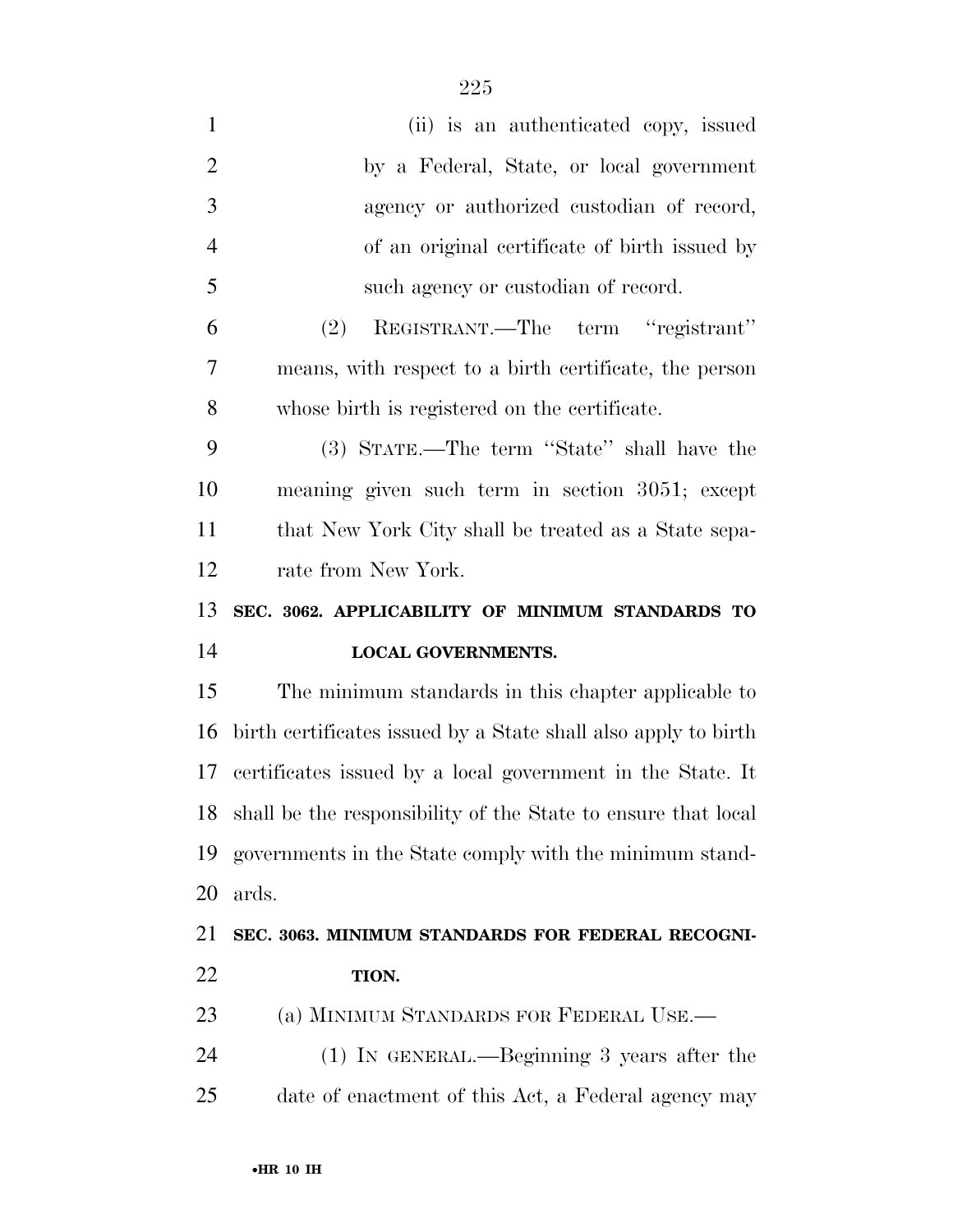| $\mathbf{1}$   | (ii) is an authenticated copy, issued                          |
|----------------|----------------------------------------------------------------|
| $\overline{2}$ | by a Federal, State, or local government                       |
| 3              | agency or authorized custodian of record,                      |
| $\overline{4}$ | of an original certificate of birth issued by                  |
| 5              | such agency or custodian of record.                            |
| 6              | REGISTRANT.—The term "registrant"<br>(2)                       |
| 7              | means, with respect to a birth certificate, the person         |
| 8              | whose birth is registered on the certificate.                  |
| 9              | (3) STATE.—The term "State" shall have the                     |
| 10             | meaning given such term in section 3051; except                |
| 11             | that New York City shall be treated as a State sepa-           |
| 12             | rate from New York.                                            |
|                |                                                                |
| 13             | SEC. 3062. APPLICABILITY OF MINIMUM STANDARDS TO               |
| 14             | <b>LOCAL GOVERNMENTS.</b>                                      |
| 15             | The minimum standards in this chapter applicable to            |
| 16             | birth certificates issued by a State shall also apply to birth |
| 17             | certificates issued by a local government in the State. It     |
| 18             | shall be the responsibility of the State to ensure that local  |
| 19             | governments in the State comply with the minimum stand-        |
| 20             | ards.                                                          |
| 21             | SEC. 3063. MINIMUM STANDARDS FOR FEDERAL RECOGNI-              |
| 22             | TION.                                                          |
| 23             | (a) MINIMUM STANDARDS FOR FEDERAL USE.—                        |
| 24             | $(1)$ In GENERAL.—Beginning 3 years after the                  |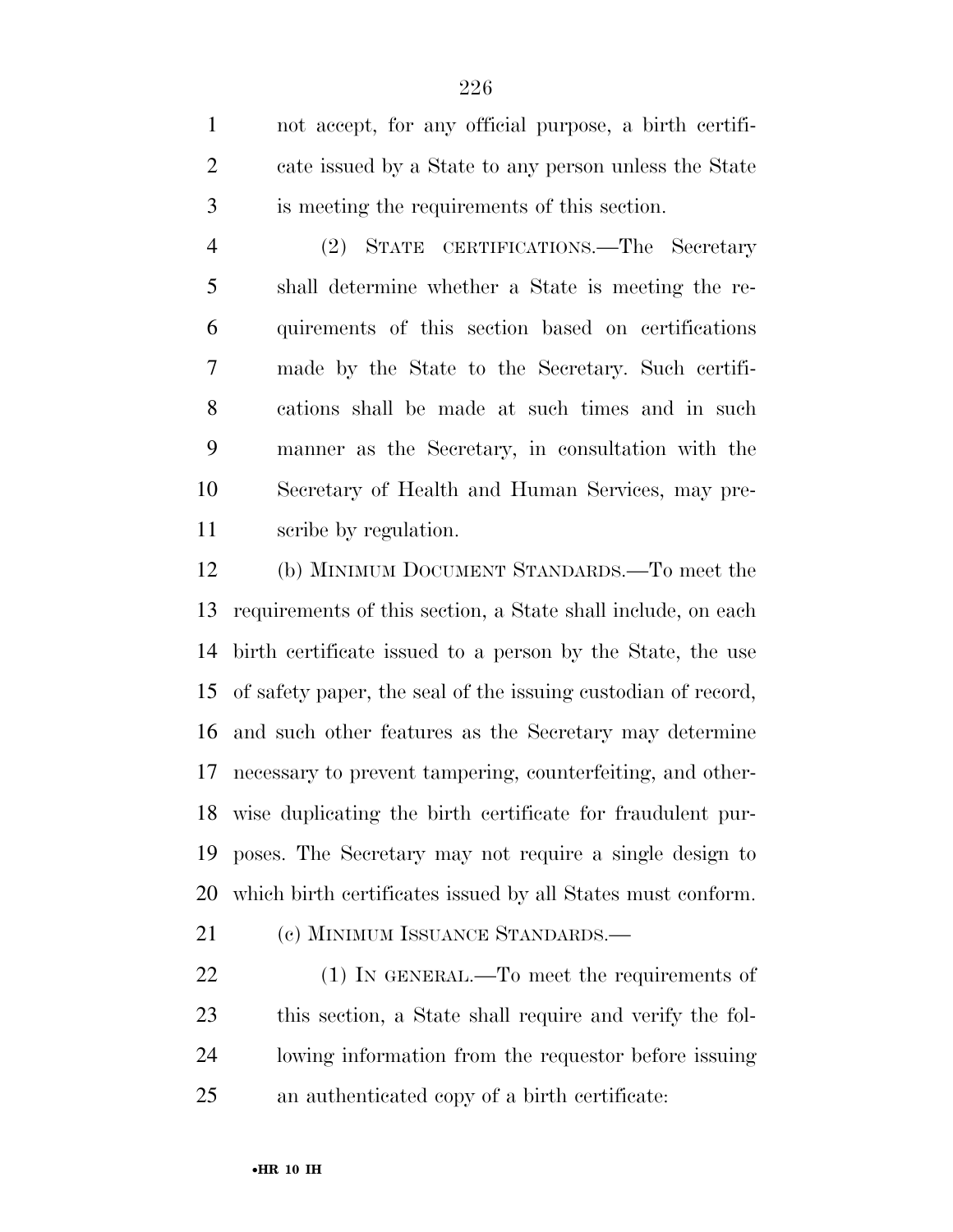not accept, for any official purpose, a birth certifi- cate issued by a State to any person unless the State is meeting the requirements of this section.

 (2) STATE CERTIFICATIONS.—The Secretary shall determine whether a State is meeting the re- quirements of this section based on certifications made by the State to the Secretary. Such certifi- cations shall be made at such times and in such manner as the Secretary, in consultation with the Secretary of Health and Human Services, may pre-scribe by regulation.

 (b) MINIMUM DOCUMENT STANDARDS.—To meet the requirements of this section, a State shall include, on each birth certificate issued to a person by the State, the use of safety paper, the seal of the issuing custodian of record, and such other features as the Secretary may determine necessary to prevent tampering, counterfeiting, and other- wise duplicating the birth certificate for fraudulent pur- poses. The Secretary may not require a single design to which birth certificates issued by all States must conform.

21 (c) MINIMUM ISSUANCE STANDARDS.—

22 (1) IN GENERAL.—To meet the requirements of this section, a State shall require and verify the fol- lowing information from the requestor before issuing an authenticated copy of a birth certificate: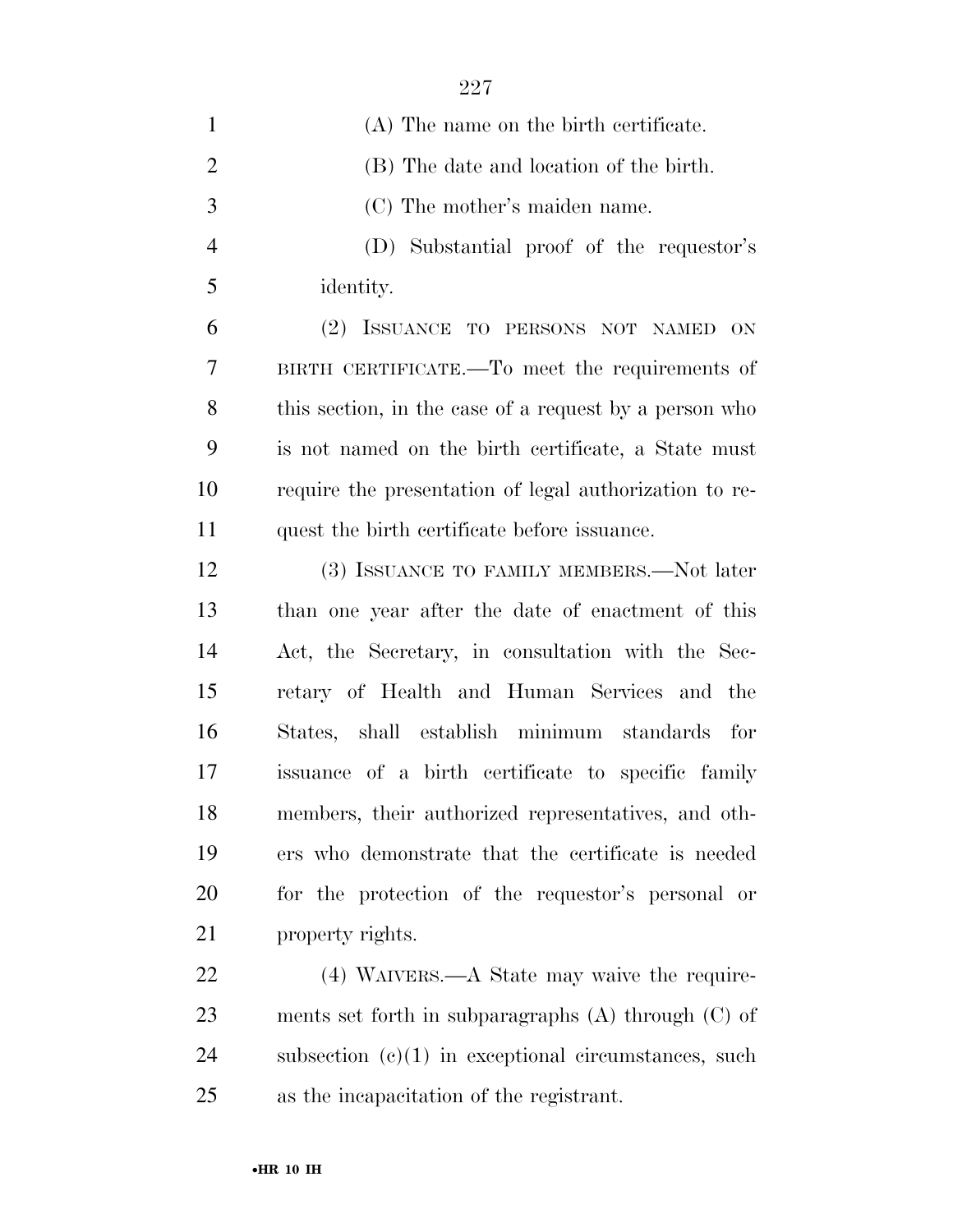| $\mathbf{1}$   | (A) The name on the birth certificate.                  |
|----------------|---------------------------------------------------------|
| $\overline{2}$ | (B) The date and location of the birth.                 |
| 3              | (C) The mother's maiden name.                           |
| $\overline{4}$ | (D) Substantial proof of the requestor's                |
| 5              | identity.                                               |
| 6              | (2) ISSUANCE TO PERSONS NOT NAMED ON                    |
| 7              | BIRTH CERTIFICATE.—To meet the requirements of          |
| 8              | this section, in the case of a request by a person who  |
| 9              | is not named on the birth certificate, a State must     |
| 10             | require the presentation of legal authorization to re-  |
| 11             | quest the birth certificate before issuance.            |
| 12             | (3) ISSUANCE TO FAMILY MEMBERS.—Not later               |
| 13             | than one year after the date of enactment of this       |
| 14             | Act, the Secretary, in consultation with the Sec-       |
| 15             | retary of Health and Human Services and the             |
| 16             | States, shall establish minimum standards for           |
| 17             | issuance of a birth certificate to specific family      |
| 18             | members, their authorized representatives, and oth-     |
| 19             | ers who demonstrate that the certificate is needed      |
| 20             | for the protection of the requestor's personal or       |
| 21             | property rights.                                        |
| 22             | (4) WAIVERS.—A State may waive the require-             |
| 23             | ments set forth in subparagraphs $(A)$ through $(C)$ of |
| 24             | subsection $(c)(1)$ in exceptional circumstances, such  |

as the incapacitation of the registrant.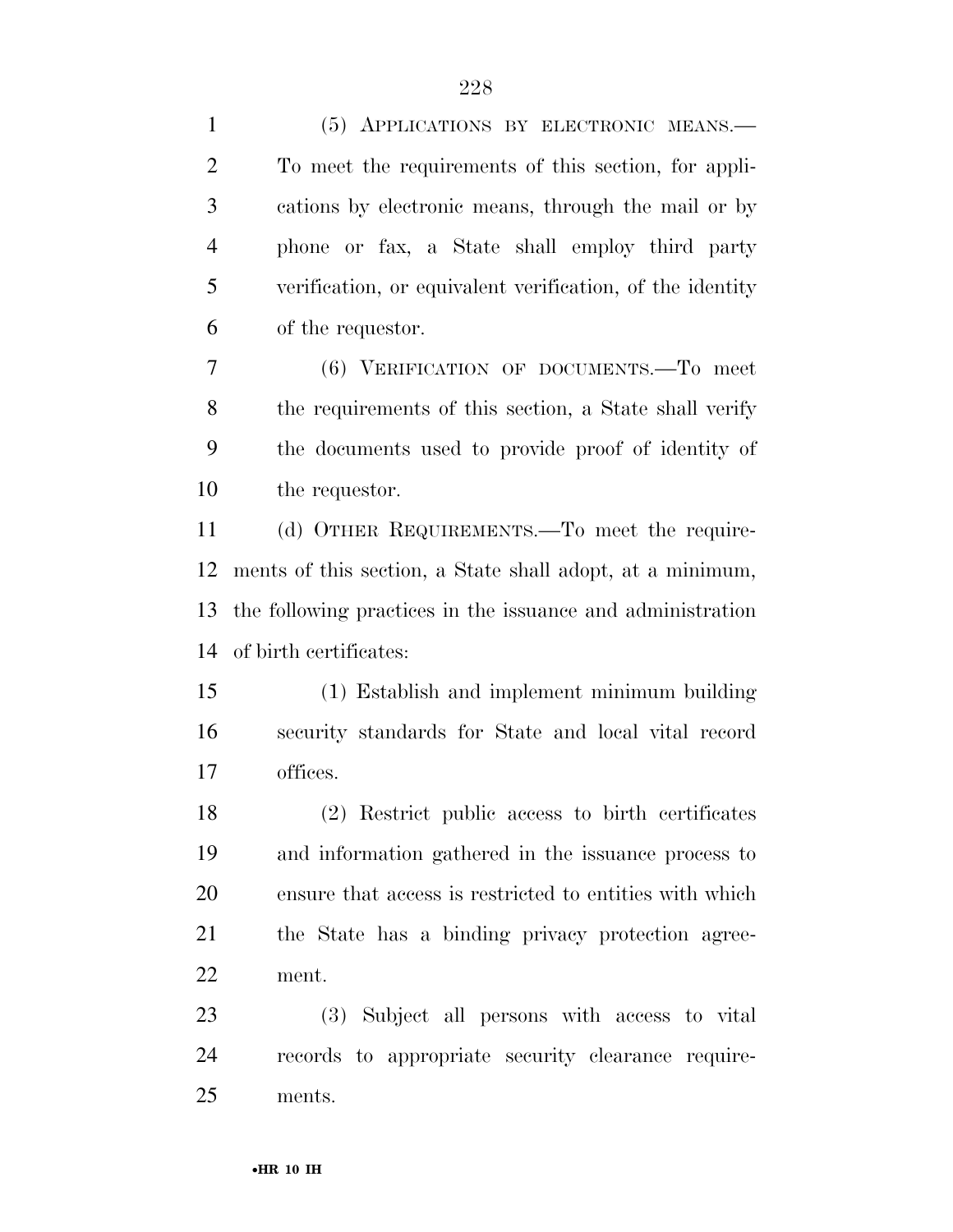| $\mathbf{1}$   | (5) APPLICATIONS BY ELECTRONIC MEANS.                      |
|----------------|------------------------------------------------------------|
| $\overline{2}$ | To meet the requirements of this section, for appli-       |
| 3              | cations by electronic means, through the mail or by        |
| $\overline{4}$ | phone or fax, a State shall employ third party             |
| 5              | verification, or equivalent verification, of the identity  |
| 6              | of the requestor.                                          |
| 7              | (6) VERIFICATION OF DOCUMENTS. To meet                     |
| 8              | the requirements of this section, a State shall verify     |
| 9              | the documents used to provide proof of identity of         |
| 10             | the requestor.                                             |
| 11             | (d) OTHER REQUIREMENTS.—To meet the require-               |
| 12             | ments of this section, a State shall adopt, at a minimum,  |
| 13             | the following practices in the issuance and administration |
| 14             | of birth certificates:                                     |
| 15             | (1) Establish and implement minimum building               |
| 16             | security standards for State and local vital record        |
| 17             | offices.                                                   |
| 18             | (2) Restrict public access to birth certificates           |
| 19             | and information gathered in the issuance process to        |
| 20             | ensure that access is restricted to entities with which    |
| 21             | the State has a binding privacy protection agree-          |
| 22             | ment.                                                      |
| 23             | (3) Subject all persons with access to vital               |
| 24             | records to appropriate security clearance require-         |
| 25             | ments.                                                     |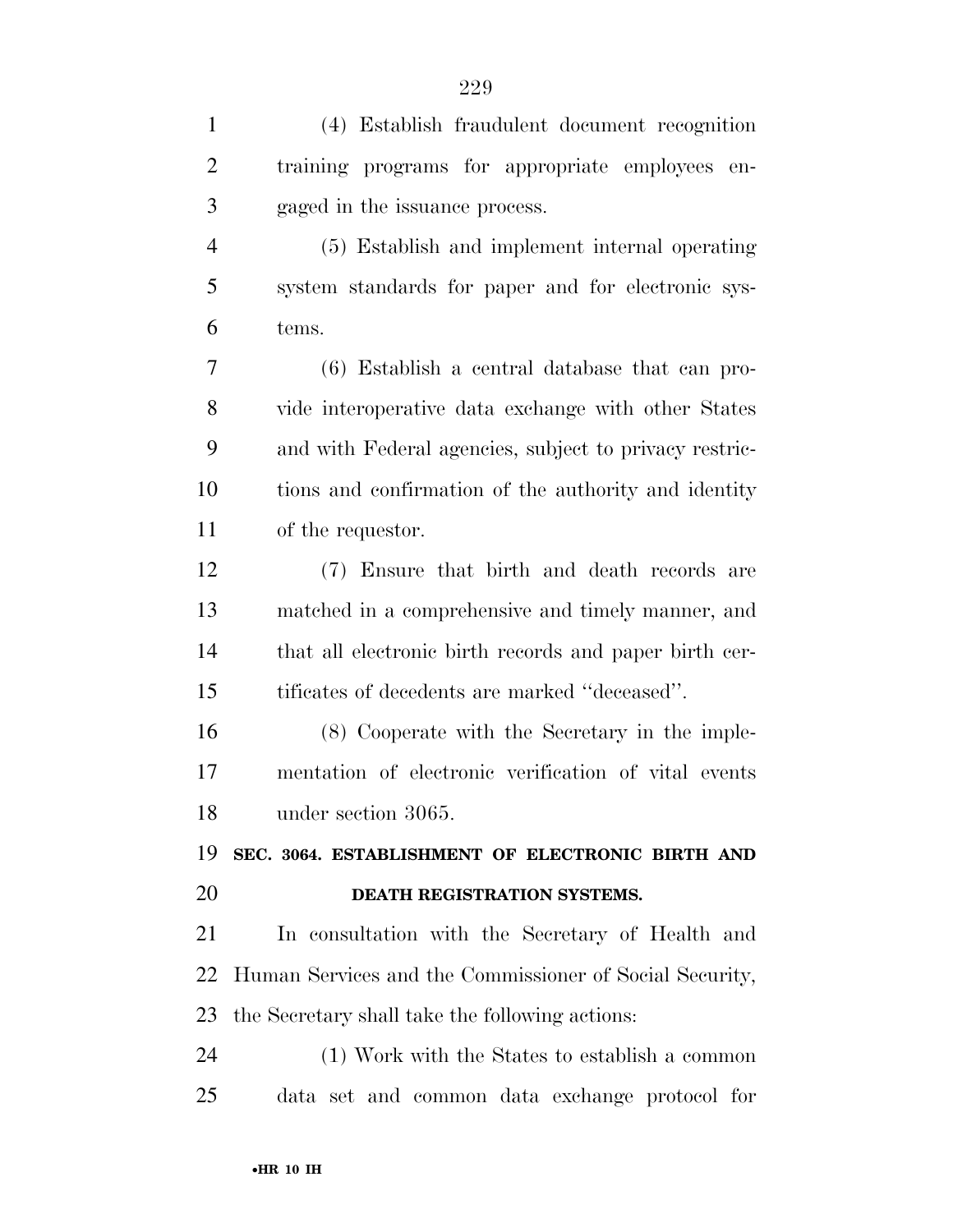| $\mathbf{1}$   | (4) Establish fraudulent document recognition           |
|----------------|---------------------------------------------------------|
| $\overline{2}$ | training programs for appropriate employees<br>en-      |
| 3              | gaged in the issuance process.                          |
| $\overline{4}$ | (5) Establish and implement internal operating          |
| 5              | system standards for paper and for electronic sys-      |
| 6              | tems.                                                   |
| 7              | $(6)$ Establish a central database that can pro-        |
| 8              | vide interoperative data exchange with other States     |
| 9              | and with Federal agencies, subject to privacy restric-  |
| 10             | tions and confirmation of the authority and identity    |
| 11             | of the requestor.                                       |
| 12             | (7) Ensure that birth and death records are             |
| 13             | matched in a comprehensive and timely manner, and       |
| 14             | that all electronic birth records and paper birth cer-  |
| 15             | tificates of decedents are marked "deceased".           |
| 16             | (8) Cooperate with the Secretary in the imple-          |
| 17             | mentation of electronic verification of vital events    |
| 18             | under section 3065.                                     |
| 19             | SEC. 3064. ESTABLISHMENT OF ELECTRONIC BIRTH AND        |
| 20             | DEATH REGISTRATION SYSTEMS.                             |
| 21             | In consultation with the Secretary of Health and        |
| 22             | Human Services and the Commissioner of Social Security, |
| 23             | the Secretary shall take the following actions:         |
| 24             | (1) Work with the States to establish a common          |
| 25             | data set and common data exchange protocol for          |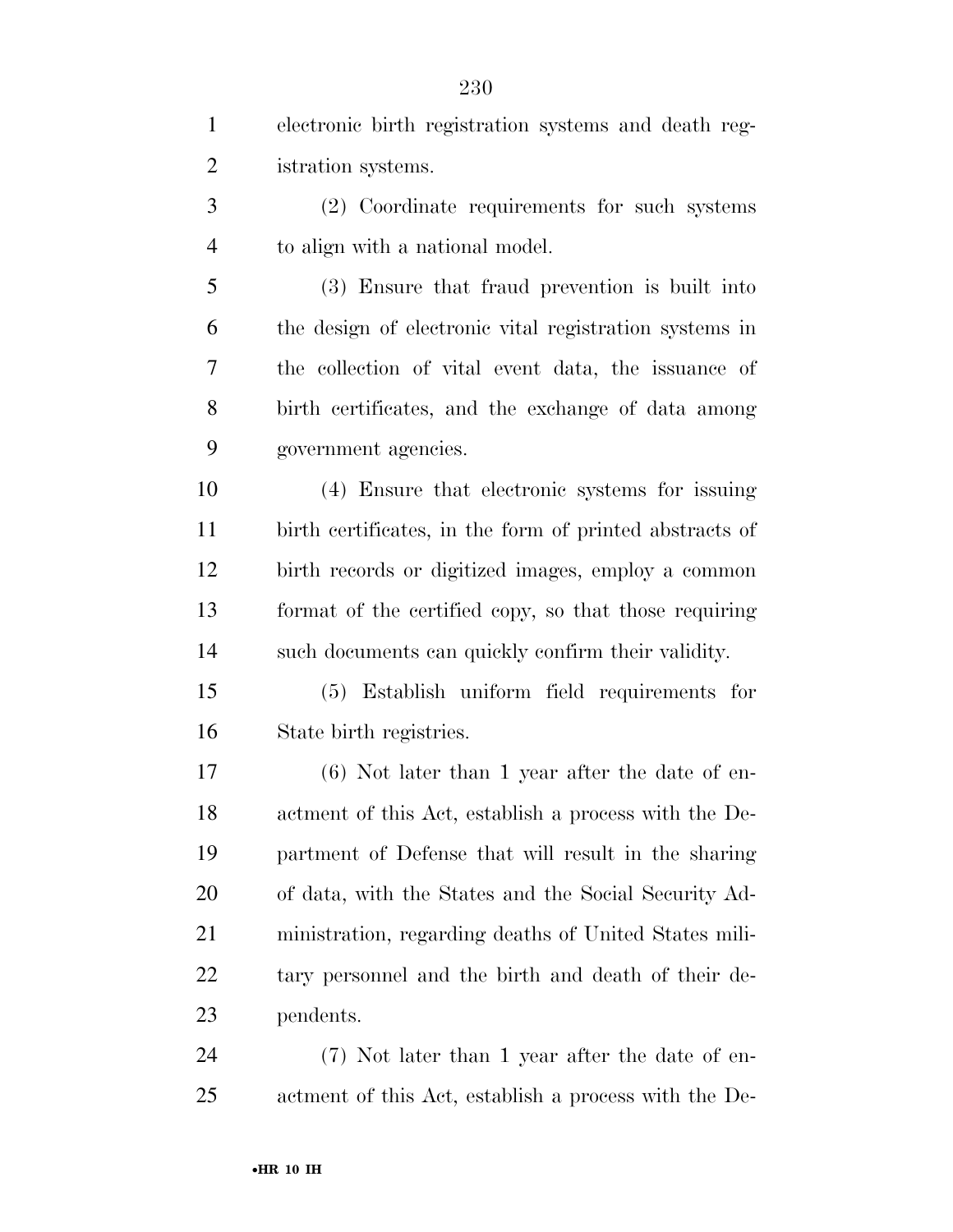| $\mathbf{1}$   | electronic birth registration systems and death reg-    |
|----------------|---------------------------------------------------------|
| $\overline{c}$ | istration systems.                                      |
| 3              | (2) Coordinate requirements for such systems            |
| $\overline{4}$ | to align with a national model.                         |
| 5              | (3) Ensure that fraud prevention is built into          |
| 6              | the design of electronic vital registration systems in  |
| 7              | the collection of vital event data, the issuance of     |
| 8              | birth certificates, and the exchange of data among      |
| 9              | government agencies.                                    |
| 10             | (4) Ensure that electronic systems for issuing          |
| 11             | birth certificates, in the form of printed abstracts of |
| 12             | birth records or digitized images, employ a common      |
| 13             | format of the certified copy, so that those requiring   |
| 14             | such documents can quickly confirm their validity.      |
| 15             | (5) Establish uniform field requirements for            |
| 16             | State birth registries.                                 |
| 17             | $(6)$ Not later than 1 year after the date of en-       |
| 18             | actment of this Act, establish a process with the De-   |
| 19             | partment of Defense that will result in the sharing     |
| <b>20</b>      | of data, with the States and the Social Security Ad-    |
| 21             | ministration, regarding deaths of United States mili-   |
| 22             | tary personnel and the birth and death of their de-     |
| 23             | pendents.                                               |
| 24             | (7) Not later than 1 year after the date of en-         |
| 25             | actment of this Act, establish a process with the De-   |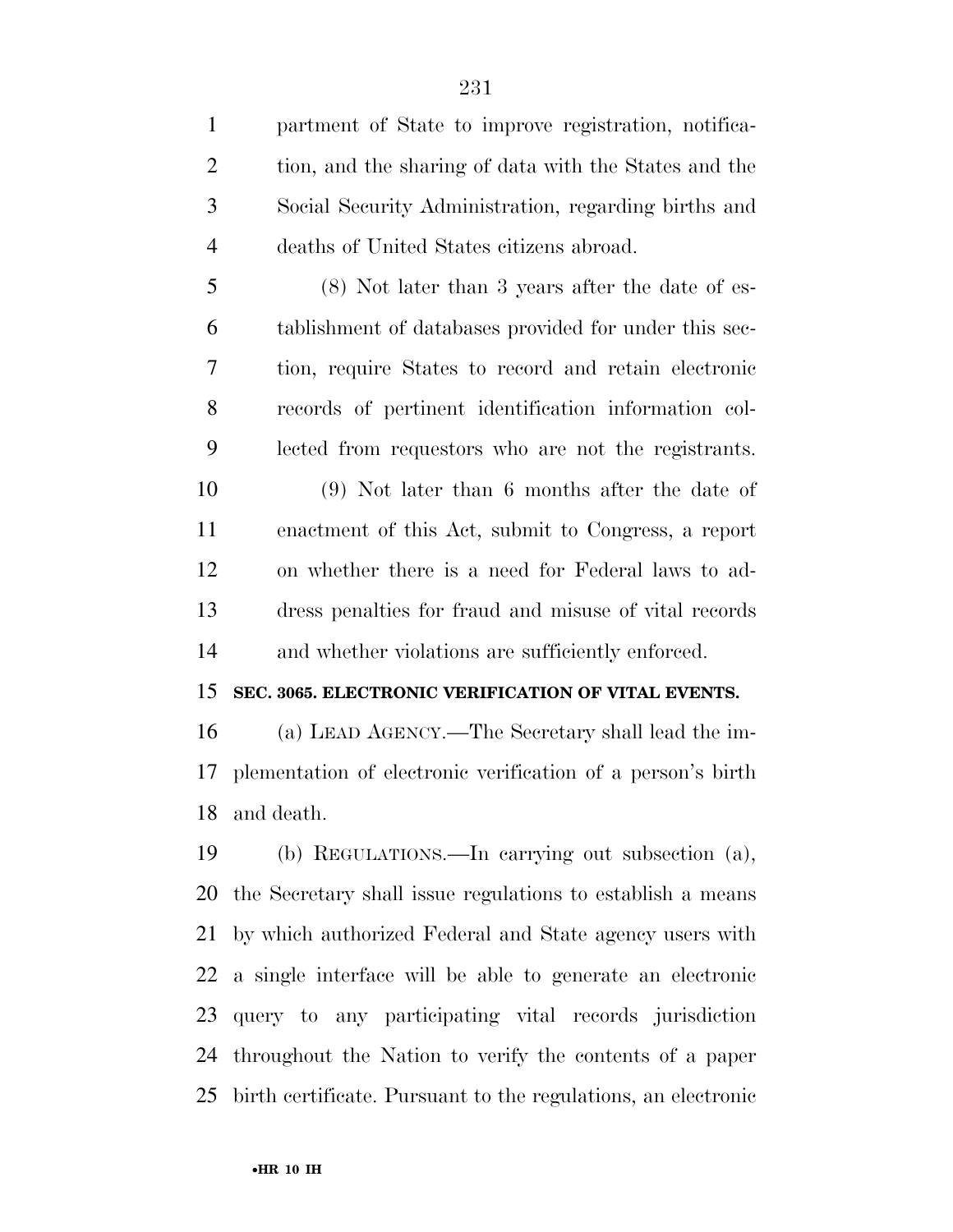partment of State to improve registration, notifica-2 tion, and the sharing of data with the States and the Social Security Administration, regarding births and deaths of United States citizens abroad. (8) Not later than 3 years after the date of es- tablishment of databases provided for under this sec- tion, require States to record and retain electronic records of pertinent identification information col- lected from requestors who are not the registrants. (9) Not later than 6 months after the date of enactment of this Act, submit to Congress, a report on whether there is a need for Federal laws to ad- dress penalties for fraud and misuse of vital records and whether violations are sufficiently enforced. **SEC. 3065. ELECTRONIC VERIFICATION OF VITAL EVENTS.**  (a) LEAD AGENCY.—The Secretary shall lead the im- plementation of electronic verification of a person's birth and death. (b) REGULATIONS.—In carrying out subsection (a), the Secretary shall issue regulations to establish a means by which authorized Federal and State agency users with a single interface will be able to generate an electronic query to any participating vital records jurisdiction throughout the Nation to verify the contents of a paper birth certificate. Pursuant to the regulations, an electronic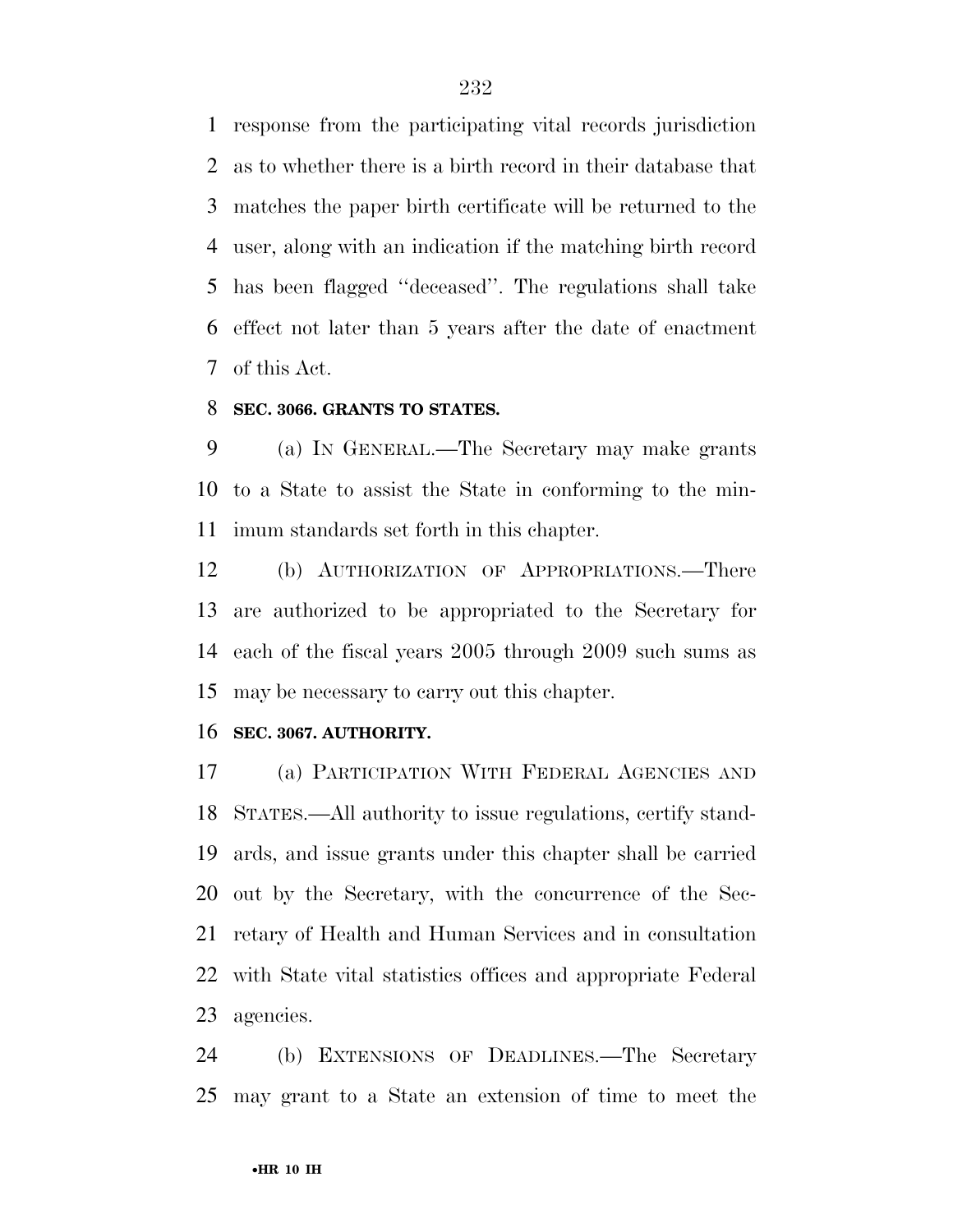response from the participating vital records jurisdiction as to whether there is a birth record in their database that matches the paper birth certificate will be returned to the user, along with an indication if the matching birth record has been flagged ''deceased''. The regulations shall take effect not later than 5 years after the date of enactment of this Act.

#### **SEC. 3066. GRANTS TO STATES.**

 (a) IN GENERAL.—The Secretary may make grants to a State to assist the State in conforming to the min-imum standards set forth in this chapter.

 (b) AUTHORIZATION OF APPROPRIATIONS.—There are authorized to be appropriated to the Secretary for each of the fiscal years 2005 through 2009 such sums as may be necessary to carry out this chapter.

#### **SEC. 3067. AUTHORITY.**

 (a) PARTICIPATION WITH FEDERAL AGENCIES AND STATES.—All authority to issue regulations, certify stand- ards, and issue grants under this chapter shall be carried out by the Secretary, with the concurrence of the Sec- retary of Health and Human Services and in consultation with State vital statistics offices and appropriate Federal agencies.

 (b) EXTENSIONS OF DEADLINES.—The Secretary may grant to a State an extension of time to meet the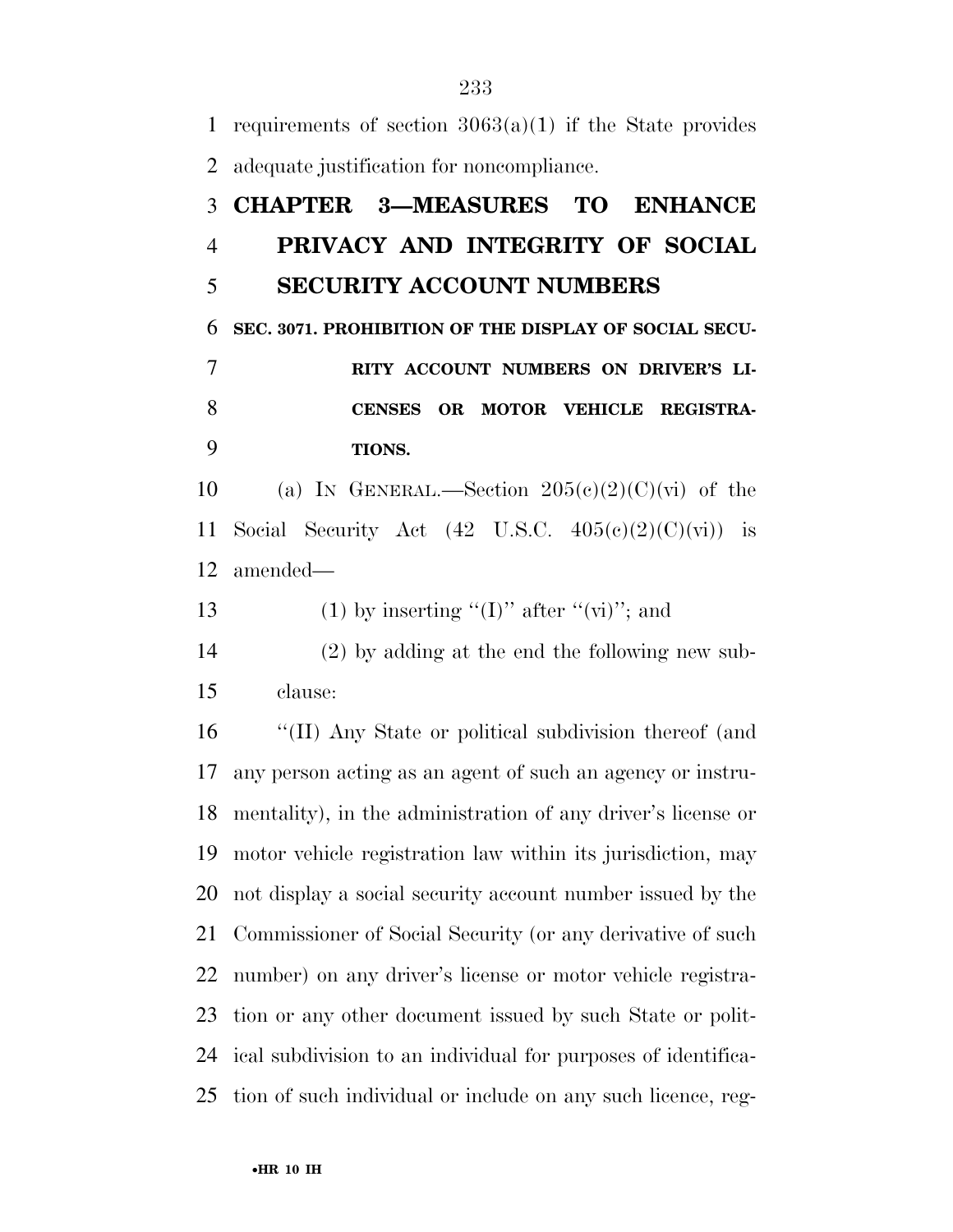1 requirements of section  $3063(a)(1)$  if the State provides adequate justification for noncompliance. **CHAPTER 3—MEASURES TO ENHANCE PRIVACY AND INTEGRITY OF SOCIAL SECURITY ACCOUNT NUMBERS SEC. 3071. PROHIBITION OF THE DISPLAY OF SOCIAL SECU- RITY ACCOUNT NUMBERS ON DRIVER'S LI- CENSES OR MOTOR VEHICLE REGISTRA- TIONS.**  10 (a) IN GENERAL.—Section  $205(e)(2)(C)(vi)$  of the 11 Social Security Act  $(42 \text{ U.S.C. } 405(c)(2)(C)(vi))$  is amended— 13 (1) by inserting " $(I)$ " after " $(vi)$ "; and (2) by adding at the end the following new sub- clause: ''(II) Any State or political subdivision thereof (and any person acting as an agent of such an agency or instru- mentality), in the administration of any driver's license or motor vehicle registration law within its jurisdiction, may not display a social security account number issued by the Commissioner of Social Security (or any derivative of such number) on any driver's license or motor vehicle registra- tion or any other document issued by such State or polit- ical subdivision to an individual for purposes of identifica-tion of such individual or include on any such licence, reg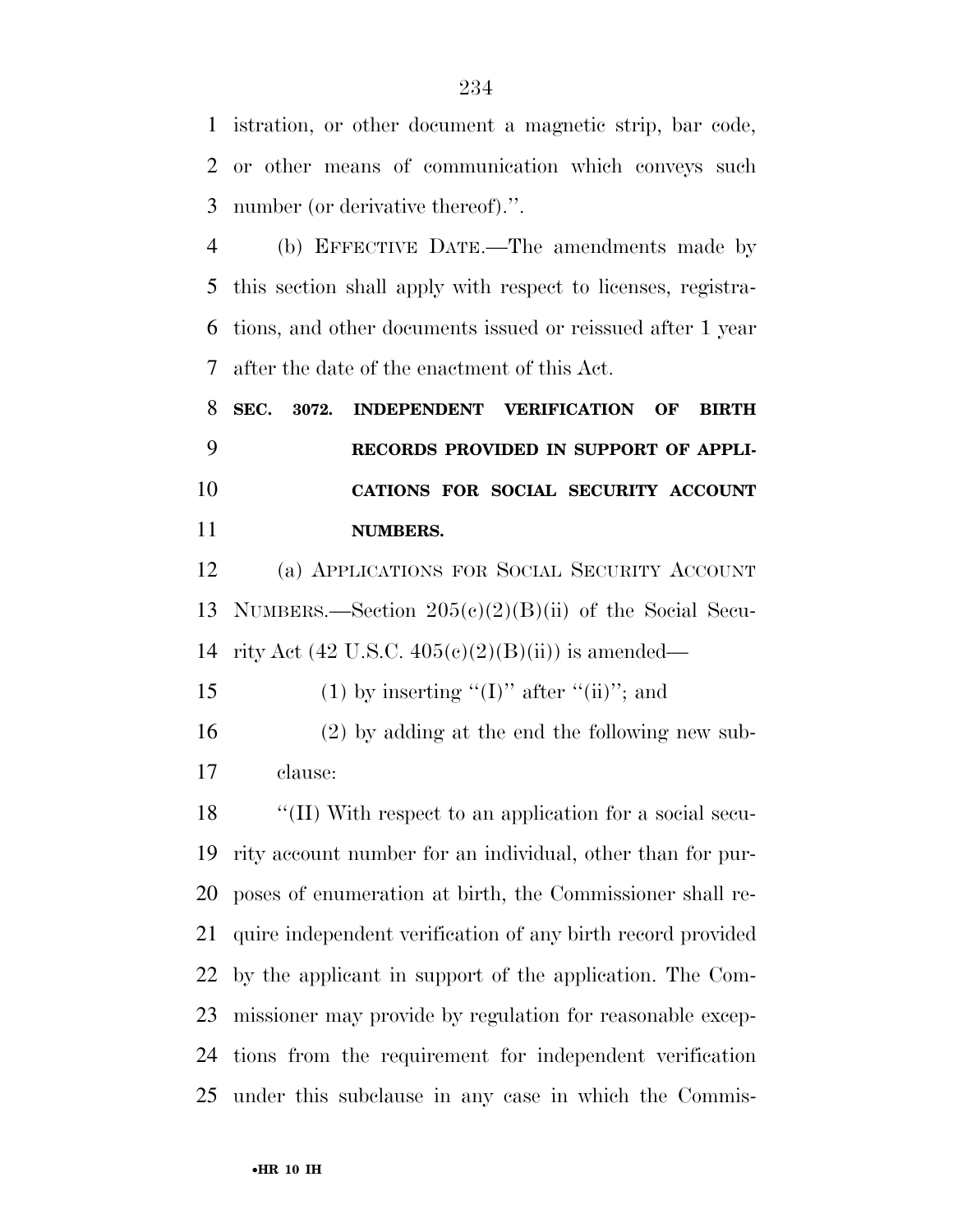istration, or other document a magnetic strip, bar code, or other means of communication which conveys such number (or derivative thereof).''.

 (b) EFFECTIVE DATE.—The amendments made by this section shall apply with respect to licenses, registra- tions, and other documents issued or reissued after 1 year after the date of the enactment of this Act.

 **SEC. 3072. INDEPENDENT VERIFICATION OF BIRTH RECORDS PROVIDED IN SUPPORT OF APPLI- CATIONS FOR SOCIAL SECURITY ACCOUNT NUMBERS.** 

 (a) APPLICATIONS FOR SOCIAL SECURITY ACCOUNT NUMBERS.—Section 205(c)(2)(B)(ii) of the Social Secu-14 rity Act (42 U.S.C.  $405(e)(2)(B(ii))$  is amended—

15 (1) by inserting "(I)" after "(ii)"; and

 (2) by adding at the end the following new sub-clause:

 ''(II) With respect to an application for a social secu- rity account number for an individual, other than for pur- poses of enumeration at birth, the Commissioner shall re- quire independent verification of any birth record provided by the applicant in support of the application. The Com- missioner may provide by regulation for reasonable excep- tions from the requirement for independent verification under this subclause in any case in which the Commis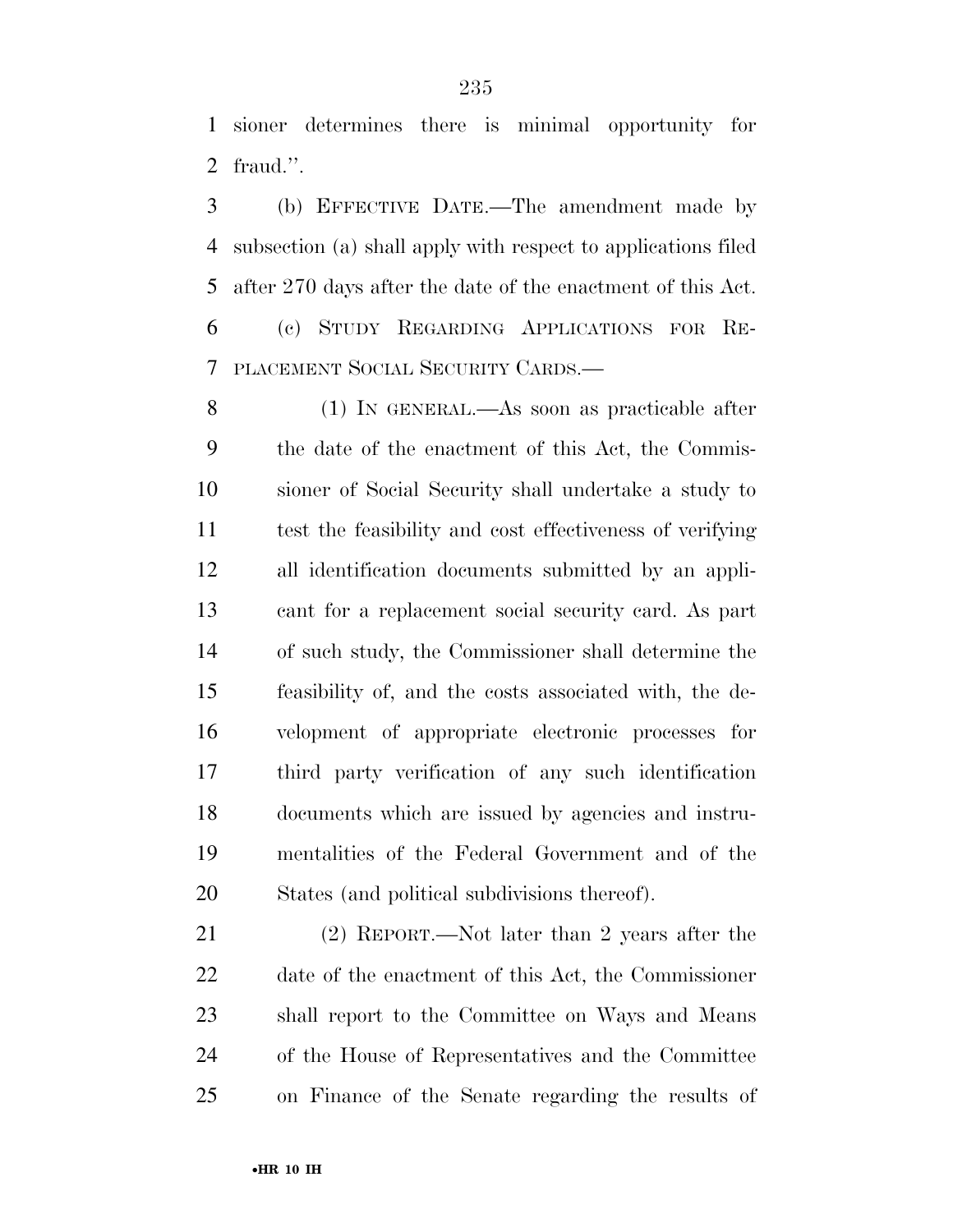sioner determines there is minimal opportunity for fraud.''.

 (b) EFFECTIVE DATE.—The amendment made by subsection (a) shall apply with respect to applications filed after 270 days after the date of the enactment of this Act.

 (c) STUDY REGARDING APPLICATIONS FOR RE-PLACEMENT SOCIAL SECURITY CARDS.—

 (1) IN GENERAL.—As soon as practicable after the date of the enactment of this Act, the Commis- sioner of Social Security shall undertake a study to test the feasibility and cost effectiveness of verifying all identification documents submitted by an appli- cant for a replacement social security card. As part of such study, the Commissioner shall determine the feasibility of, and the costs associated with, the de- velopment of appropriate electronic processes for third party verification of any such identification documents which are issued by agencies and instru- mentalities of the Federal Government and of the States (and political subdivisions thereof).

 (2) REPORT.—Not later than 2 years after the date of the enactment of this Act, the Commissioner shall report to the Committee on Ways and Means of the House of Representatives and the Committee on Finance of the Senate regarding the results of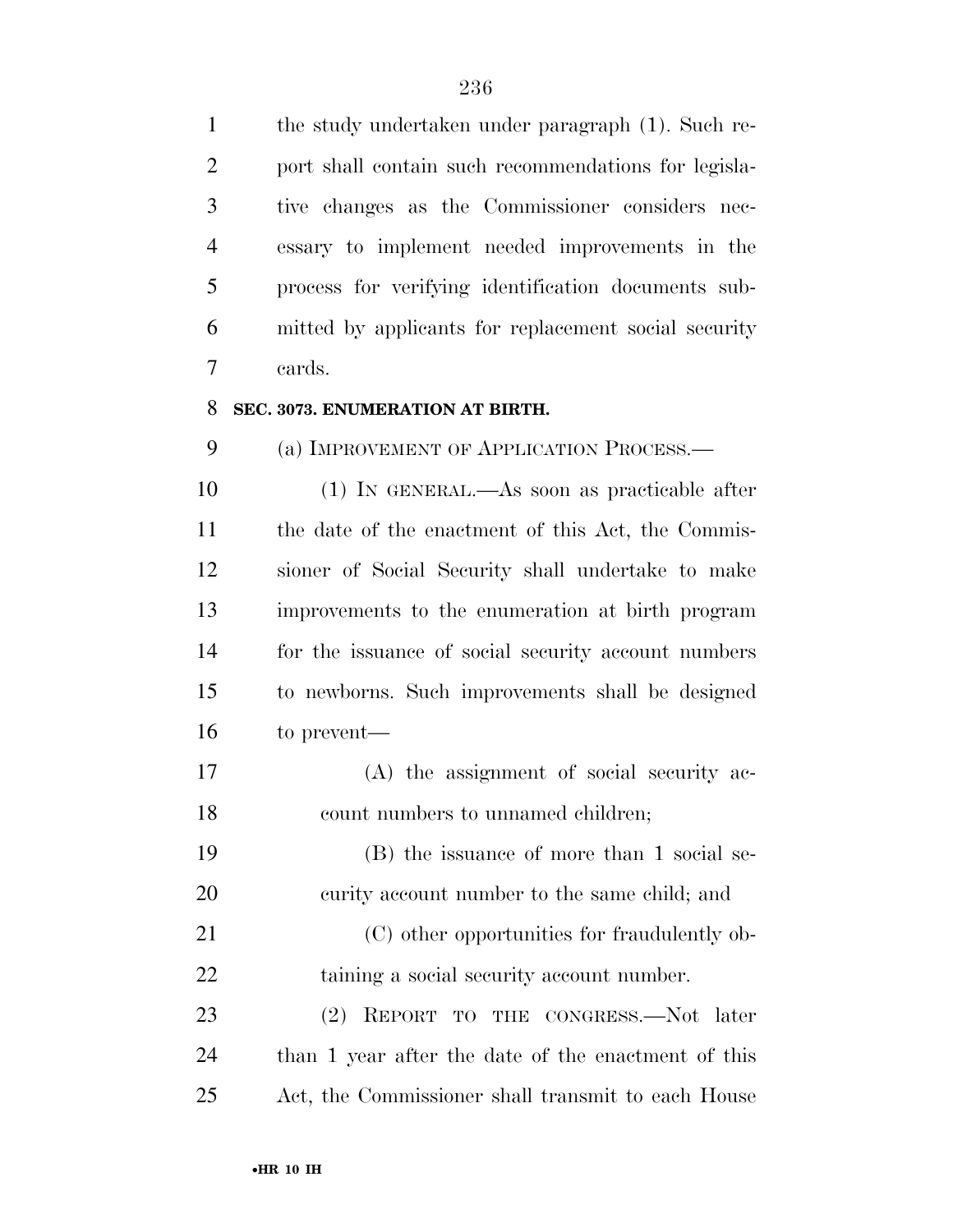| $\mathbf{1}$   | the study undertaken under paragraph (1). Such re-   |
|----------------|------------------------------------------------------|
| $\overline{2}$ | port shall contain such recommendations for legisla- |
| 3              | tive changes as the Commissioner considers nec-      |
| $\overline{4}$ | essary to implement needed improvements in the       |
| 5              | process for verifying identification documents sub-  |
| 6              | mitted by applicants for replacement social security |
| 7              | cards.                                               |
| 8              | SEC. 3073. ENUMERATION AT BIRTH.                     |
| 9              | (a) IMPROVEMENT OF APPLICATION PROCESS.—             |
| 10             | $(1)$ In GENERAL.—As soon as practicable after       |
| 11             | the date of the enactment of this Act, the Commis-   |
| 12             | sioner of Social Security shall undertake to make    |
| 13             | improvements to the enumeration at birth program     |
| 14             | for the issuance of social security account numbers  |
| 15             | to newborns. Such improvements shall be designed     |
| 16             | to prevent—                                          |
| 17             | (A) the assignment of social security ac-            |
| 18             | count numbers to unnamed children;                   |
| 19             | (B) the issuance of more than 1 social se-           |
| 20             | curity account number to the same child; and         |
| 21             | (C) other opportunities for fraudulently ob-         |
| 22             | taining a social security account number.            |
| 23             | REPORT TO THE CONGRESS.-Not later<br>(2)             |
| 24             | than 1 year after the date of the enactment of this  |
| 25             | Act, the Commissioner shall transmit to each House   |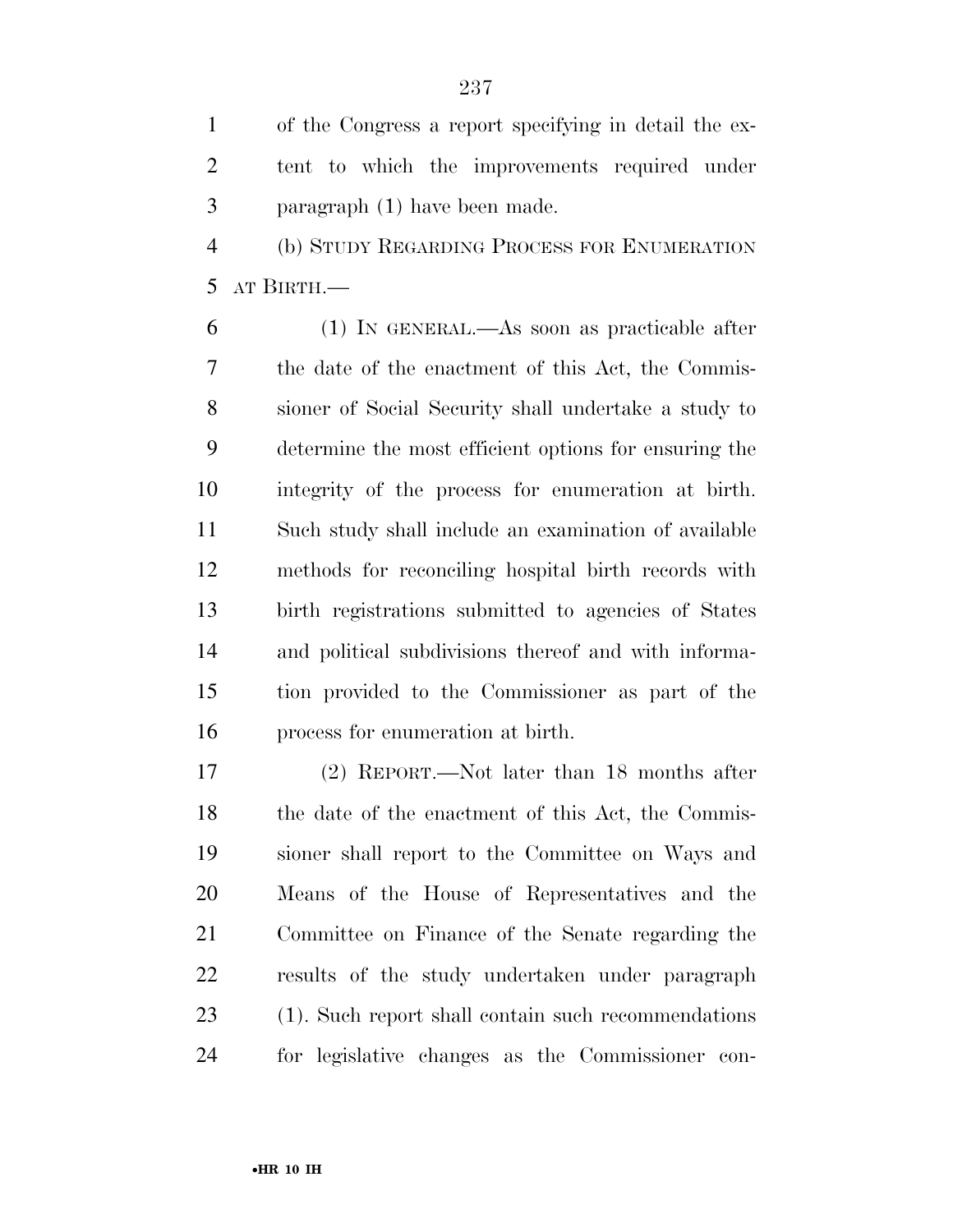of the Congress a report specifying in detail the ex- tent to which the improvements required under paragraph (1) have been made.

 (b) STUDY REGARDING PROCESS FOR ENUMERATION AT BIRTH.—

 (1) IN GENERAL.—As soon as practicable after the date of the enactment of this Act, the Commis- sioner of Social Security shall undertake a study to determine the most efficient options for ensuring the integrity of the process for enumeration at birth. Such study shall include an examination of available methods for reconciling hospital birth records with birth registrations submitted to agencies of States and political subdivisions thereof and with informa- tion provided to the Commissioner as part of the process for enumeration at birth.

 (2) REPORT.—Not later than 18 months after 18 the date of the enactment of this Act, the Commis- sioner shall report to the Committee on Ways and Means of the House of Representatives and the Committee on Finance of the Senate regarding the results of the study undertaken under paragraph (1). Such report shall contain such recommendations for legislative changes as the Commissioner con-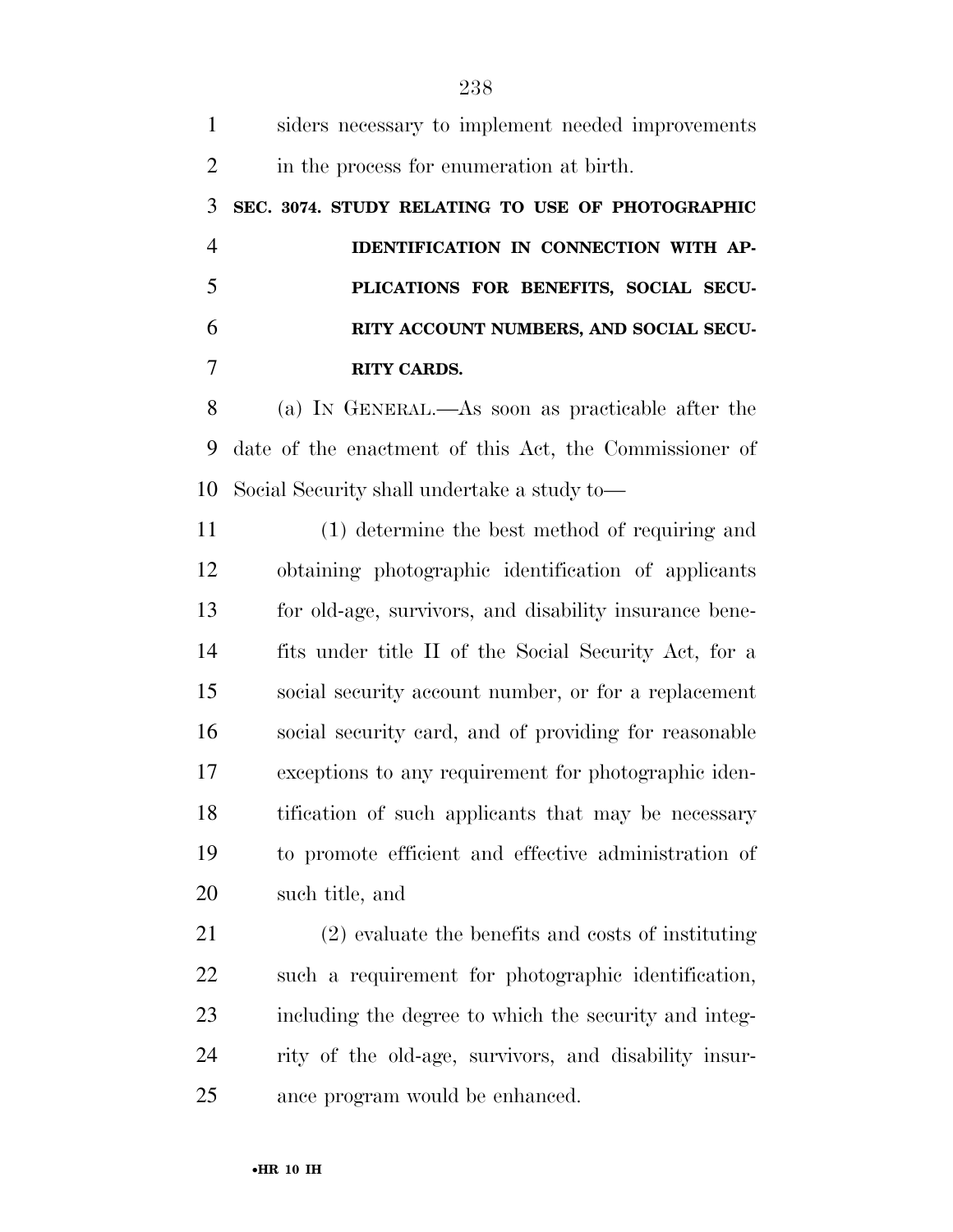siders necessary to implement needed improvements 2 in the process for enumeration at birth. **SEC. 3074. STUDY RELATING TO USE OF PHOTOGRAPHIC IDENTIFICATION IN CONNECTION WITH AP- PLICATIONS FOR BENEFITS, SOCIAL SECU- RITY ACCOUNT NUMBERS, AND SOCIAL SECU- RITY CARDS.**  (a) IN GENERAL.—As soon as practicable after the date of the enactment of this Act, the Commissioner of Social Security shall undertake a study to— (1) determine the best method of requiring and obtaining photographic identification of applicants for old-age, survivors, and disability insurance bene- fits under title II of the Social Security Act, for a social security account number, or for a replacement social security card, and of providing for reasonable exceptions to any requirement for photographic iden- tification of such applicants that may be necessary to promote efficient and effective administration of such title, and (2) evaluate the benefits and costs of instituting such a requirement for photographic identification,

 including the degree to which the security and integ- rity of the old-age, survivors, and disability insur-ance program would be enhanced.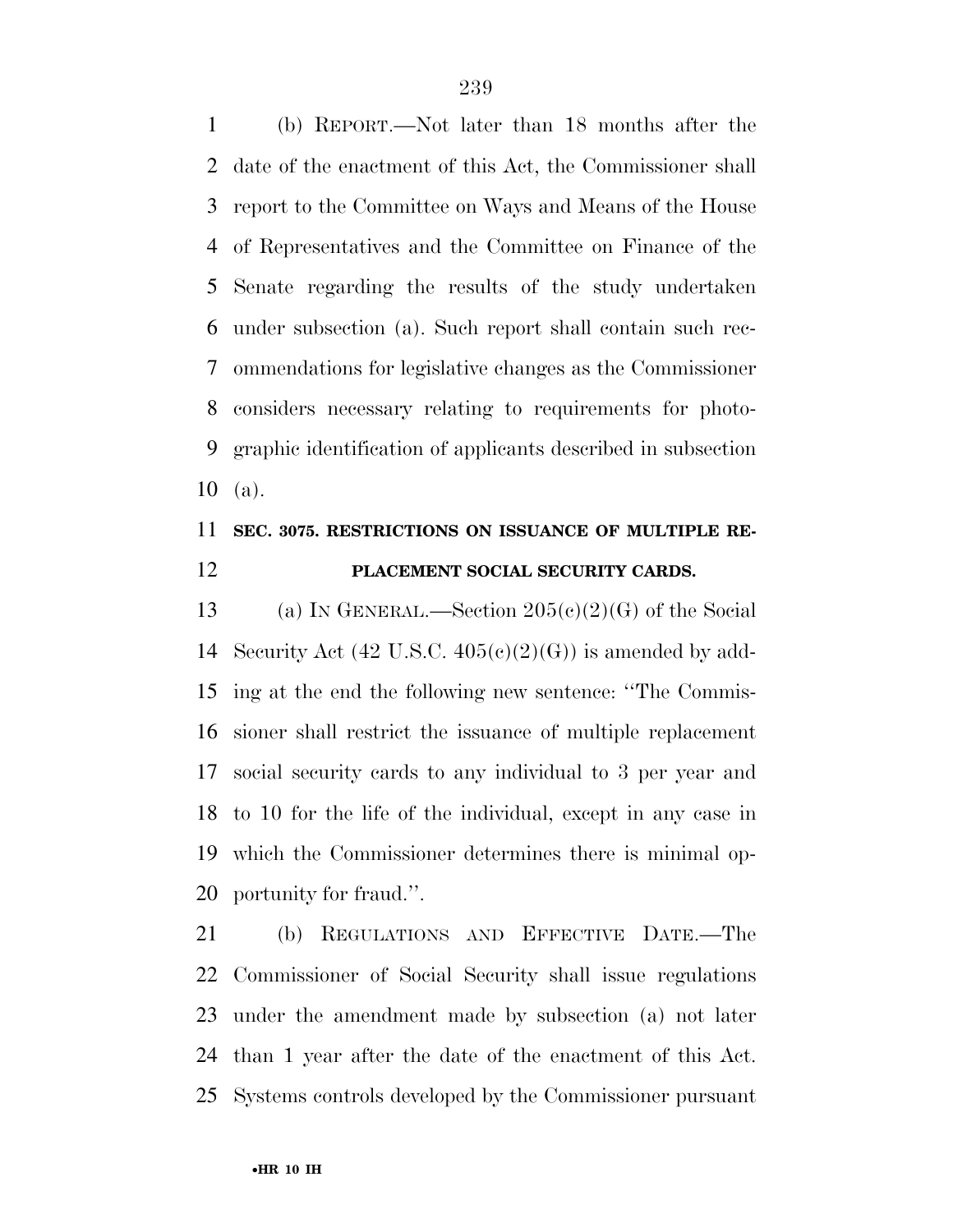(b) REPORT.—Not later than 18 months after the date of the enactment of this Act, the Commissioner shall report to the Committee on Ways and Means of the House of Representatives and the Committee on Finance of the Senate regarding the results of the study undertaken under subsection (a). Such report shall contain such rec- ommendations for legislative changes as the Commissioner considers necessary relating to requirements for photo- graphic identification of applicants described in subsection (a).

## **SEC. 3075. RESTRICTIONS ON ISSUANCE OF MULTIPLE RE-PLACEMENT SOCIAL SECURITY CARDS.**

13 (a) IN GENERAL.—Section  $205(c)(2)(G)$  of the Social 14 Security Act  $(42 \text{ U.S.C. } 405 \text{ (c)}(2) \text{ (G)})$  is amended by add- ing at the end the following new sentence: ''The Commis- sioner shall restrict the issuance of multiple replacement social security cards to any individual to 3 per year and to 10 for the life of the individual, except in any case in which the Commissioner determines there is minimal op-portunity for fraud.''.

 (b) REGULATIONS AND EFFECTIVE DATE.—The Commissioner of Social Security shall issue regulations under the amendment made by subsection (a) not later than 1 year after the date of the enactment of this Act. Systems controls developed by the Commissioner pursuant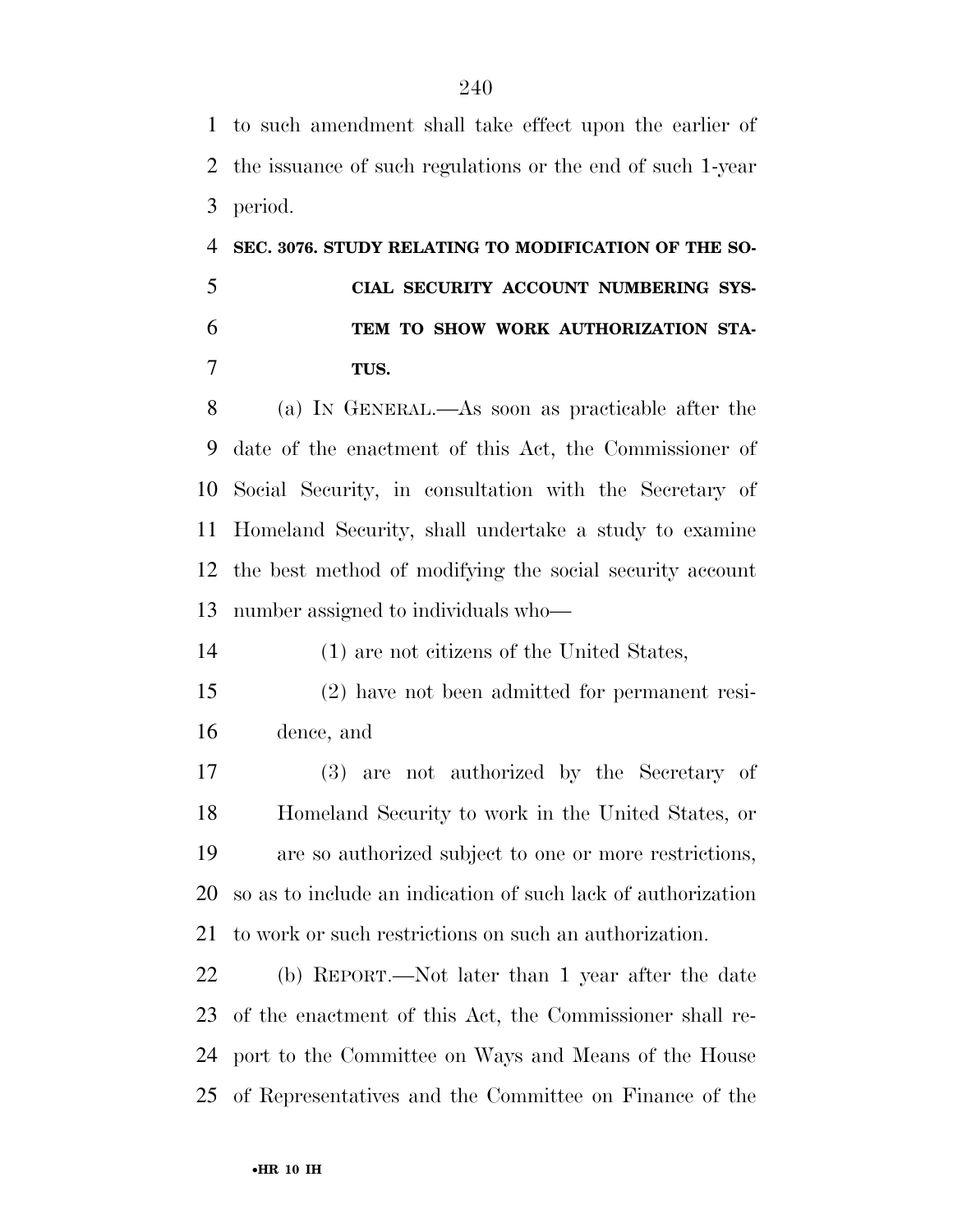to such amendment shall take effect upon the earlier of the issuance of such regulations or the end of such 1-year period.

# **SEC. 3076. STUDY RELATING TO MODIFICATION OF THE SO- CIAL SECURITY ACCOUNT NUMBERING SYS- TEM TO SHOW WORK AUTHORIZATION STA-TUS.**

 (a) IN GENERAL.—As soon as practicable after the date of the enactment of this Act, the Commissioner of Social Security, in consultation with the Secretary of Homeland Security, shall undertake a study to examine the best method of modifying the social security account number assigned to individuals who—

(1) are not citizens of the United States,

 (2) have not been admitted for permanent resi-dence, and

 (3) are not authorized by the Secretary of Homeland Security to work in the United States, or are so authorized subject to one or more restrictions, so as to include an indication of such lack of authorization to work or such restrictions on such an authorization.

 (b) REPORT.—Not later than 1 year after the date of the enactment of this Act, the Commissioner shall re- port to the Committee on Ways and Means of the House of Representatives and the Committee on Finance of the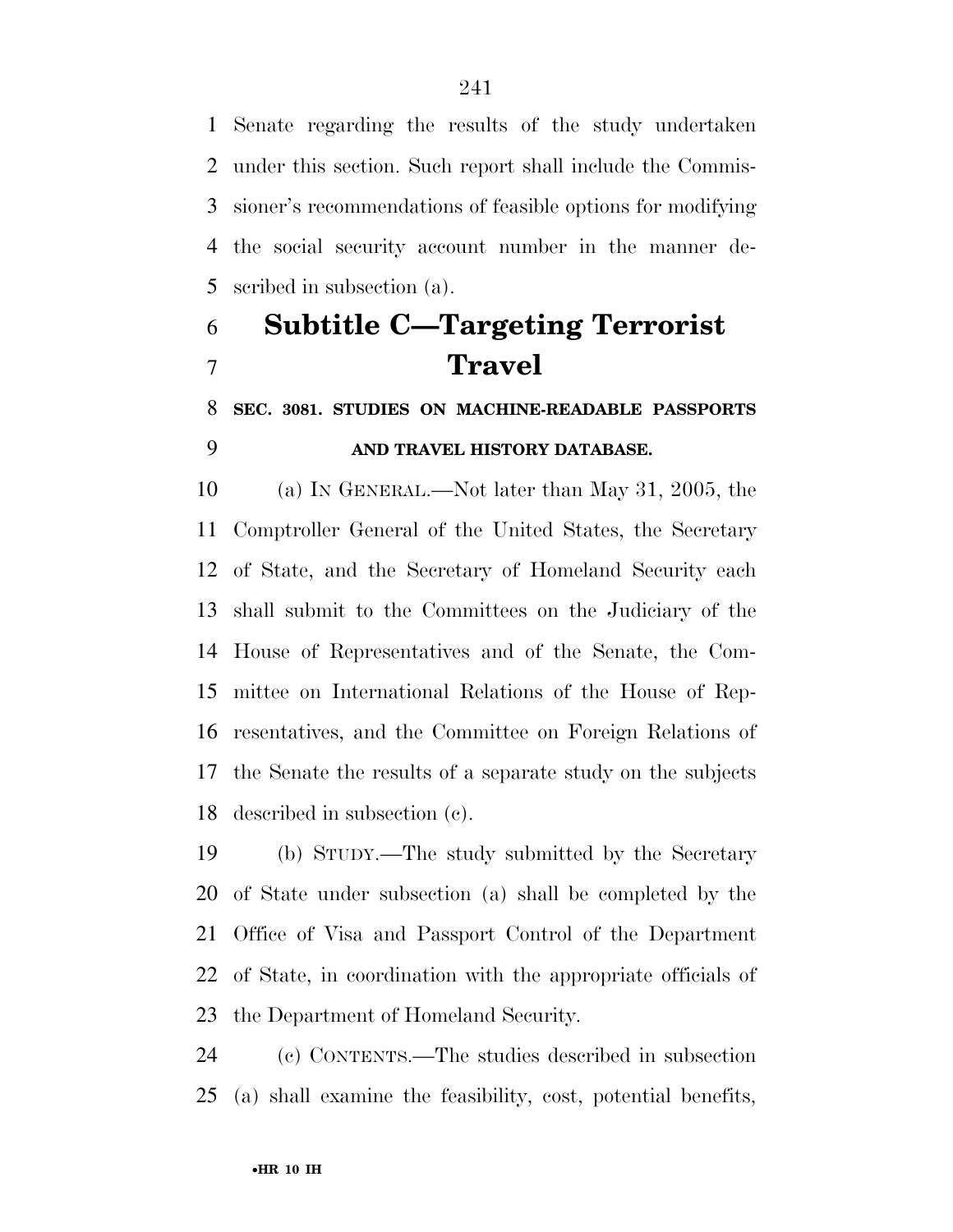Senate regarding the results of the study undertaken under this section. Such report shall include the Commis- sioner's recommendations of feasible options for modifying the social security account number in the manner de-scribed in subsection (a).

# **Subtitle C—Targeting Terrorist Travel**

## **SEC. 3081. STUDIES ON MACHINE-READABLE PASSPORTS AND TRAVEL HISTORY DATABASE.**

 (a) IN GENERAL.—Not later than May 31, 2005, the Comptroller General of the United States, the Secretary of State, and the Secretary of Homeland Security each shall submit to the Committees on the Judiciary of the House of Representatives and of the Senate, the Com- mittee on International Relations of the House of Rep- resentatives, and the Committee on Foreign Relations of the Senate the results of a separate study on the subjects described in subsection (c).

 (b) STUDY.—The study submitted by the Secretary of State under subsection (a) shall be completed by the Office of Visa and Passport Control of the Department of State, in coordination with the appropriate officials of the Department of Homeland Security.

 (c) CONTENTS.—The studies described in subsection (a) shall examine the feasibility, cost, potential benefits,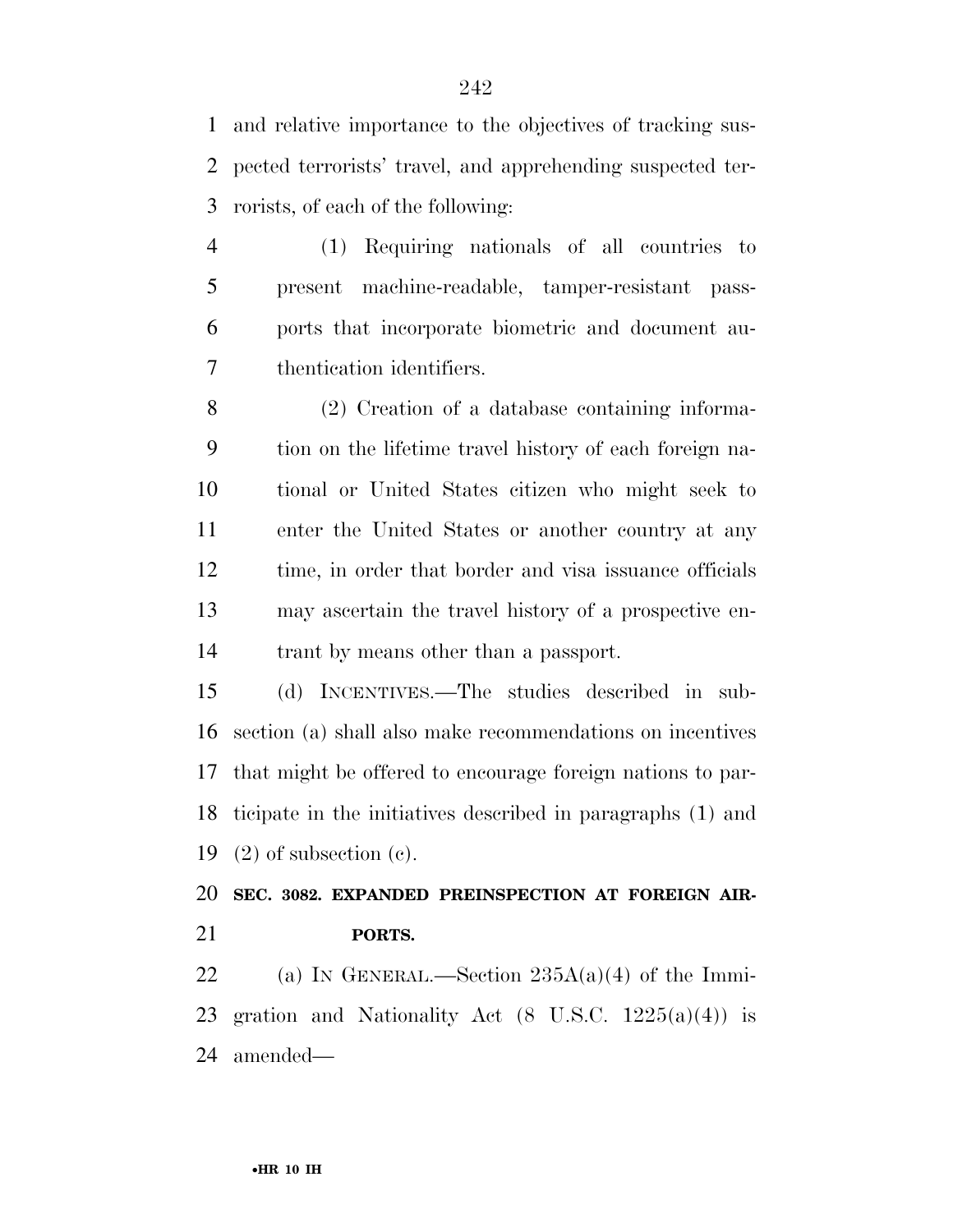and relative importance to the objectives of tracking sus- pected terrorists' travel, and apprehending suspected ter-rorists, of each of the following:

 (1) Requiring nationals of all countries to present machine-readable, tamper-resistant pass- ports that incorporate biometric and document au-thentication identifiers.

 (2) Creation of a database containing informa- tion on the lifetime travel history of each foreign na- tional or United States citizen who might seek to enter the United States or another country at any time, in order that border and visa issuance officials may ascertain the travel history of a prospective en-trant by means other than a passport.

 (d) INCENTIVES.—The studies described in sub- section (a) shall also make recommendations on incentives that might be offered to encourage foreign nations to par- ticipate in the initiatives described in paragraphs (1) and (2) of subsection (c).

 **SEC. 3082. EXPANDED PREINSPECTION AT FOREIGN AIR-PORTS.** 

22 (a) IN GENERAL.—Section  $235A(a)(4)$  of the Immi-23 gration and Nationality Act  $(8 \text{ U.S.C. } 1225(a)(4))$  is amended—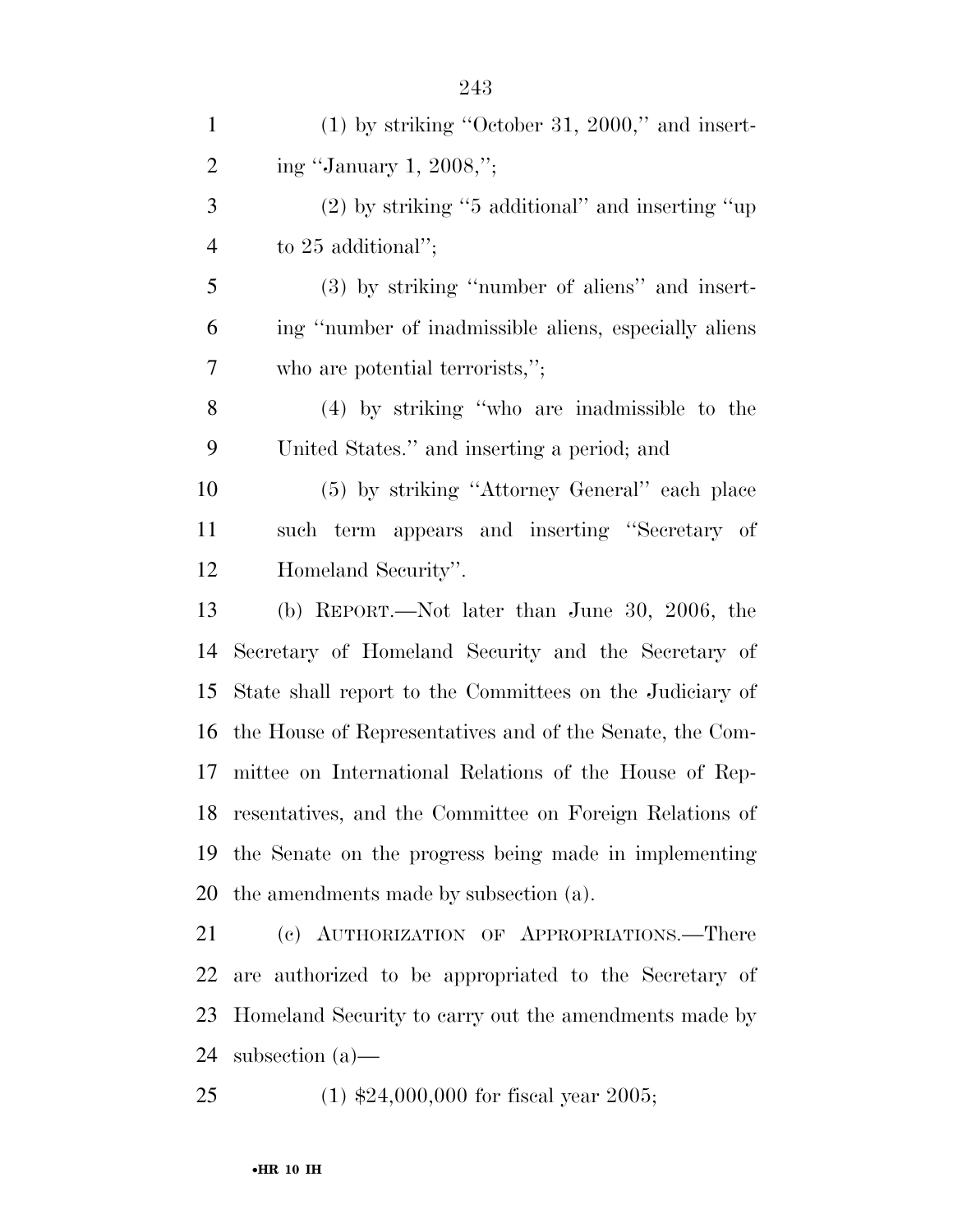| $\mathbf{1}$   | $(1)$ by striking "October 31, 2000," and insert-          |
|----------------|------------------------------------------------------------|
| $\overline{2}$ | ing "January 1, 2008,";                                    |
| 3              | $(2)$ by striking "5 additional" and inserting "up         |
| $\overline{4}$ | to $25$ additional";                                       |
| 5              | (3) by striking "number of aliens" and insert-             |
| 6              | ing "number of inadmissible aliens, especially aliens      |
| 7              | who are potential terrorists,";                            |
| 8              | $(4)$ by striking "who are inadmissible to the             |
| 9              | United States." and inserting a period; and                |
| 10             | (5) by striking "Attorney General" each place              |
| 11             | such term appears and inserting "Secretary of              |
| 12             | Homeland Security".                                        |
| 13             | (b) REPORT.—Not later than June 30, 2006, the              |
| 14             | Secretary of Homeland Security and the Secretary of        |
| 15             | State shall report to the Committees on the Judiciary of   |
| 16             | the House of Representatives and of the Senate, the Com-   |
| 17             | mittee on International Relations of the House of Rep-     |
|                | 18 resentatives, and the Committee on Foreign Relations of |
| 19             | the Senate on the progress being made in implementing      |
| 20             | the amendments made by subsection (a).                     |
| 21             | (c) AUTHORIZATION OF APPROPRIATIONS.—There                 |
| 22             | are authorized to be appropriated to the Secretary of      |
| 23             | Homeland Security to carry out the amendments made by      |
| 24             | subsection $(a)$ —                                         |

(1) \$24,000,000 for fiscal year 2005;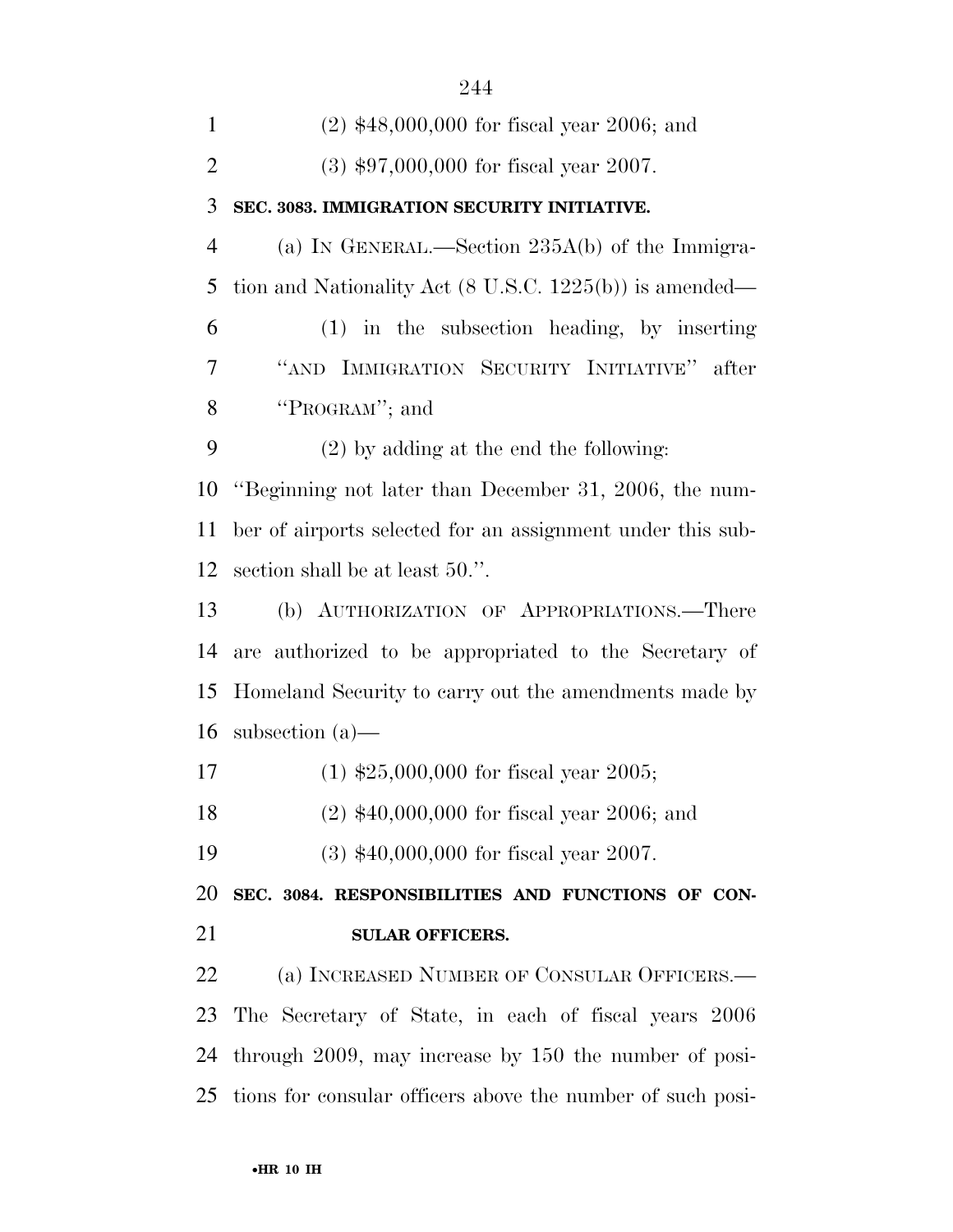| $(2)$ \$48,000,000 for fiscal year 2006; and                       |
|--------------------------------------------------------------------|
| $(3)$ \$97,000,000 for fiscal year 2007.                           |
| SEC. 3083. IMMIGRATION SECURITY INITIATIVE.                        |
| (a) IN GENERAL.—Section $235A(b)$ of the Immigra-                  |
| tion and Nationality Act $(8 \text{ U.S.C. } 1225(b))$ is amended— |
| $(1)$ in the subsection heading, by inserting                      |
| "AND IMMIGRATION SECURITY INITIATIVE" after                        |
| "PROGRAM"; and                                                     |
| $(2)$ by adding at the end the following:                          |
| "Beginning not later than December 31, 2006, the num-              |
| ber of airports selected for an assignment under this sub-         |
| section shall be at least 50.".                                    |
| (b) AUTHORIZATION OF APPROPRIATIONS.—There                         |
|                                                                    |
| are authorized to be appropriated to the Secretary of              |
| Homeland Security to carry out the amendments made by              |
| subsection $(a)$ —                                                 |
| $(1)$ \$25,000,000 for fiscal year 2005;                           |
| $(2)$ \$40,000,000 for fiscal year 2006; and                       |
| $(3)$ \$40,000,000 for fiscal year 2007.                           |
| SEC. 3084. RESPONSIBILITIES AND FUNCTIONS OF CON-                  |
| <b>SULAR OFFICERS.</b>                                             |
| (a) INCREASED NUMBER OF CONSULAR OFFICERS.—                        |
| The Secretary of State, in each of fiscal years 2006               |
| through 2009, may increase by 150 the number of posi-              |
|                                                                    |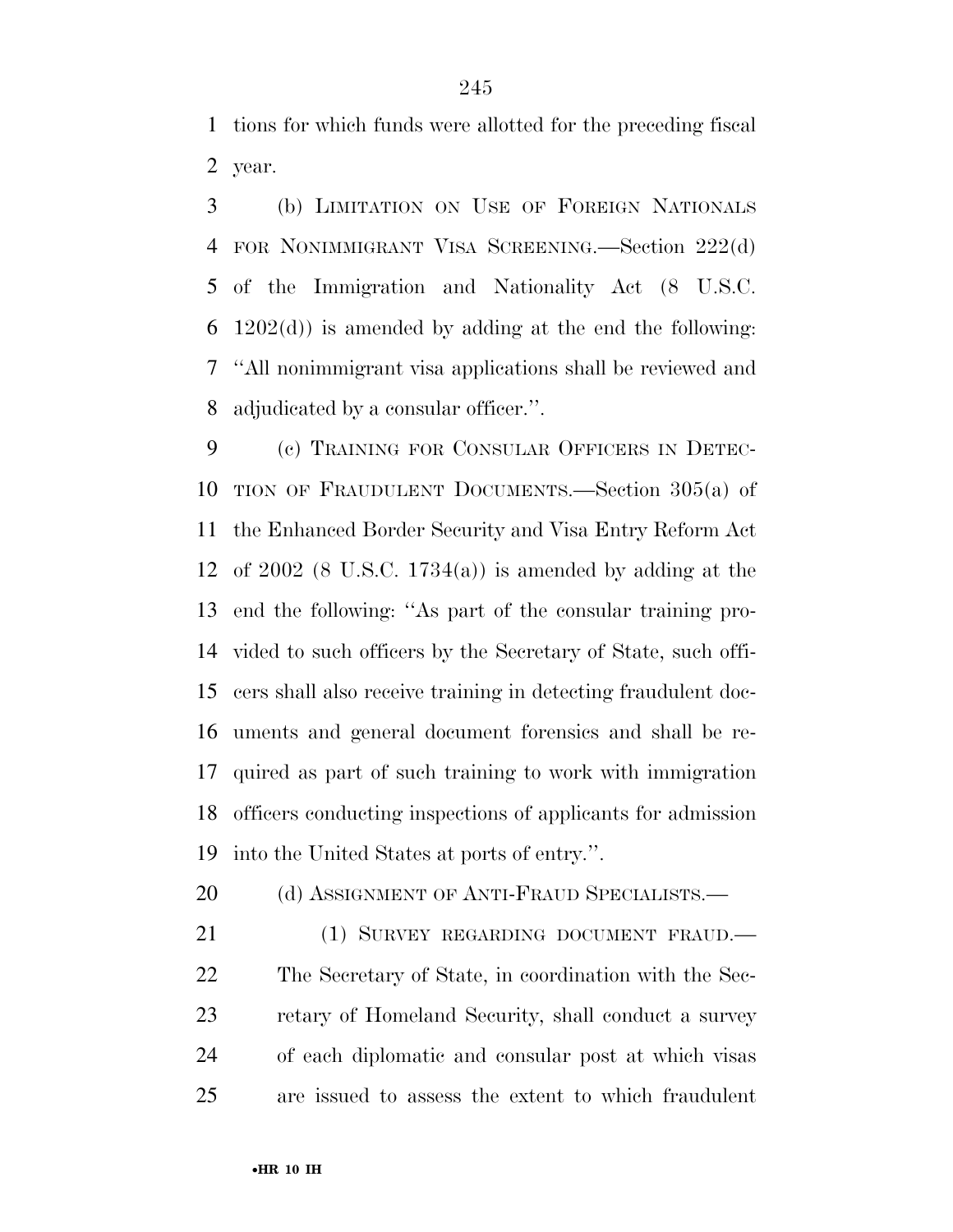tions for which funds were allotted for the preceding fiscal year.

 (b) LIMITATION ON USE OF FOREIGN NATIONALS FOR NONIMMIGRANT VISA SCREENING.—Section 222(d) of the Immigration and Nationality Act (8 U.S.C. 6 1202 $(d)$ ) is amended by adding at the end the following: ''All nonimmigrant visa applications shall be reviewed and adjudicated by a consular officer.''.

 (c) TRAINING FOR CONSULAR OFFICERS IN DETEC- TION OF FRAUDULENT DOCUMENTS.—Section 305(a) of the Enhanced Border Security and Visa Entry Reform Act of 2002 (8 U.S.C. 1734(a)) is amended by adding at the end the following: ''As part of the consular training pro- vided to such officers by the Secretary of State, such offi- cers shall also receive training in detecting fraudulent doc- uments and general document forensics and shall be re- quired as part of such training to work with immigration officers conducting inspections of applicants for admission into the United States at ports of entry.''.

20 (d) ASSIGNMENT OF ANTI-FRAUD SPECIALISTS.—

21 (1) SURVEY REGARDING DOCUMENT FRAUD. The Secretary of State, in coordination with the Sec- retary of Homeland Security, shall conduct a survey of each diplomatic and consular post at which visas are issued to assess the extent to which fraudulent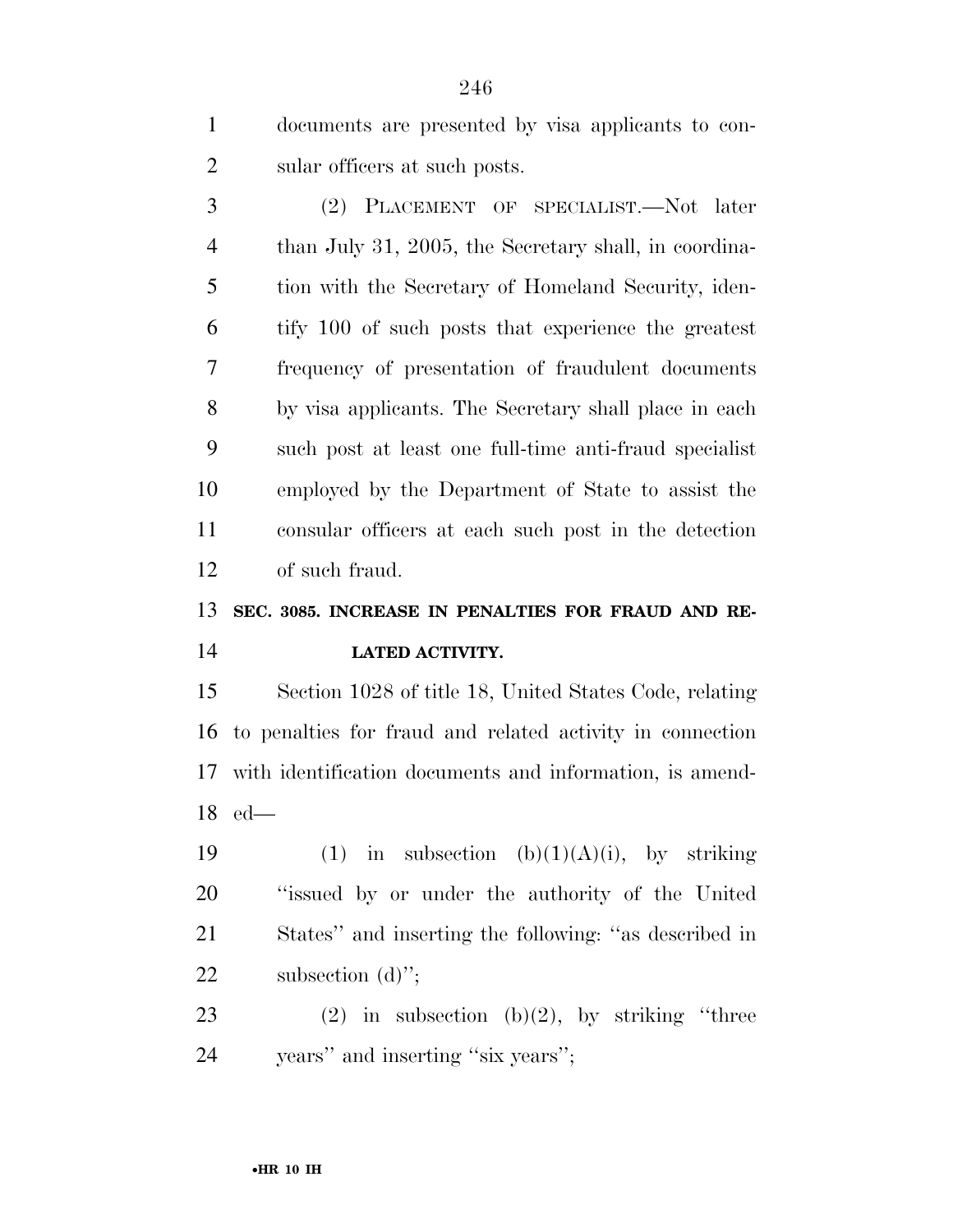documents are presented by visa applicants to con-sular officers at such posts.

 (2) PLACEMENT OF SPECIALIST.—Not later than July 31, 2005, the Secretary shall, in coordina- tion with the Secretary of Homeland Security, iden- tify 100 of such posts that experience the greatest frequency of presentation of fraudulent documents by visa applicants. The Secretary shall place in each such post at least one full-time anti-fraud specialist employed by the Department of State to assist the consular officers at each such post in the detection of such fraud.

## **SEC. 3085. INCREASE IN PENALTIES FOR FRAUD AND RE-LATED ACTIVITY.**

 Section 1028 of title 18, United States Code, relating to penalties for fraud and related activity in connection with identification documents and information, is amend-ed—

19 (1) in subsection  $(b)(1)(A)(i)$ , by striking ''issued by or under the authority of the United States'' and inserting the following: ''as described in 22 subsection (d)";

23 (2) in subsection  $(b)(2)$ , by striking "three years'' and inserting ''six years'';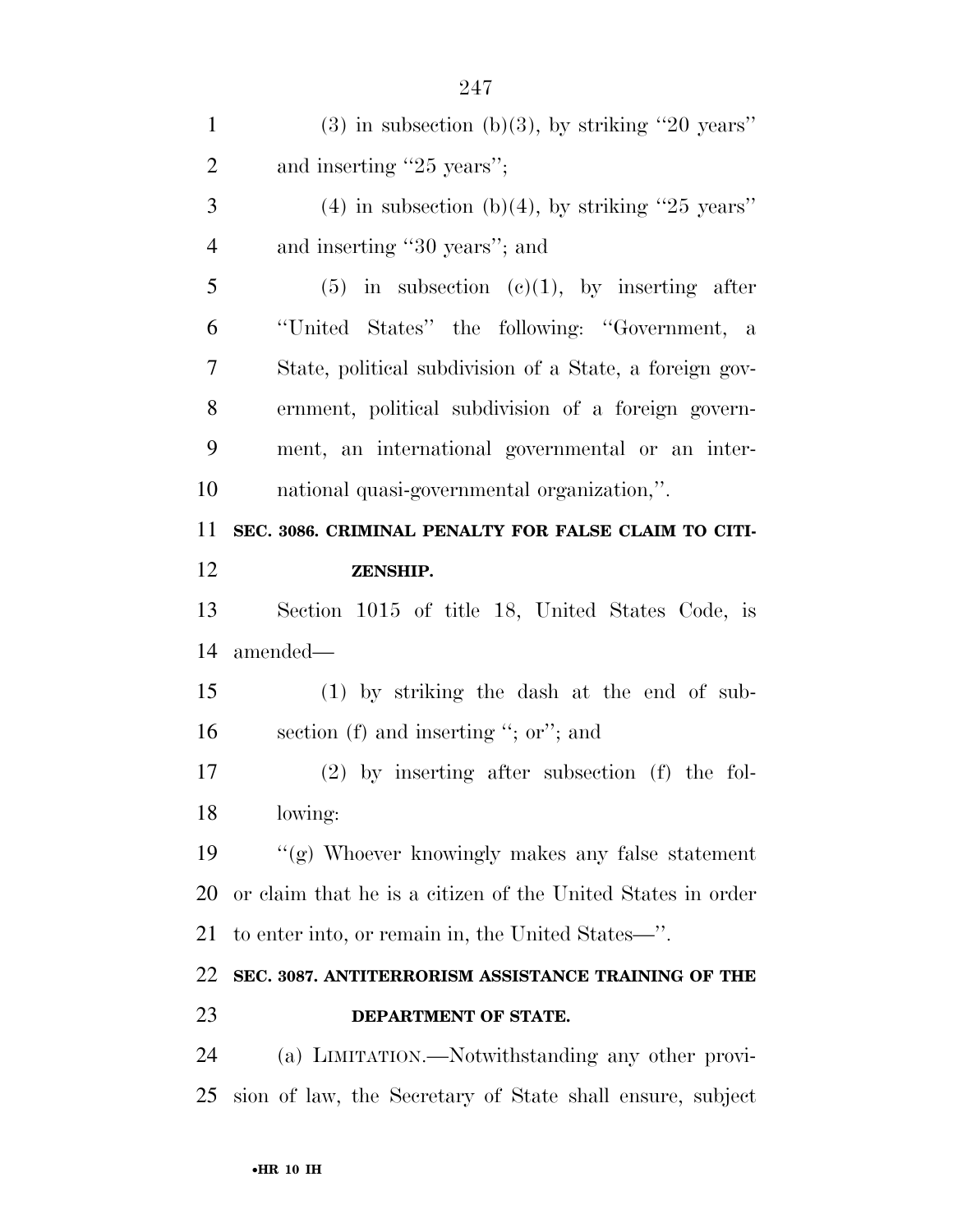| $\mathbf{1}$   | $(3)$ in subsection $(b)(3)$ , by striking "20 years"       |
|----------------|-------------------------------------------------------------|
| $\overline{2}$ | and inserting "25 years";                                   |
| 3              | $(4)$ in subsection (b)(4), by striking "25 years"          |
| $\overline{4}$ | and inserting "30 years"; and                               |
| 5              | $(5)$ in subsection $(e)(1)$ , by inserting after           |
| 6              | "United States" the following: "Government, a               |
| 7              | State, political subdivision of a State, a foreign gov-     |
| 8              | ernment, political subdivision of a foreign govern-         |
| 9              | ment, an international governmental or an inter-            |
| 10             | national quasi-governmental organization,".                 |
| 11             | SEC. 3086. CRIMINAL PENALTY FOR FALSE CLAIM TO CITI-        |
| 12             | ZENSHIP.                                                    |
| 13             | Section 1015 of title 18, United States Code, is            |
| 14             | amended—                                                    |
| 15             | $(1)$ by striking the dash at the end of sub-               |
| 16             | section $(f)$ and inserting "; or"; and                     |
| 17             | $(2)$ by inserting after subsection $(f)$ the fol-          |
| 18             | lowing:                                                     |
| 19             | "(g) Whoever knowingly makes any false statement            |
| 20             | or claim that he is a citizen of the United States in order |
| 21             | to enter into, or remain in, the United States—".           |
| 22             | SEC. 3087. ANTITERRORISM ASSISTANCE TRAINING OF THE         |
| 23             | DEPARTMENT OF STATE.                                        |
| 24             | (a) LIMITATION.—Notwithstanding any other provi-            |
| 25             | sion of law, the Secretary of State shall ensure, subject   |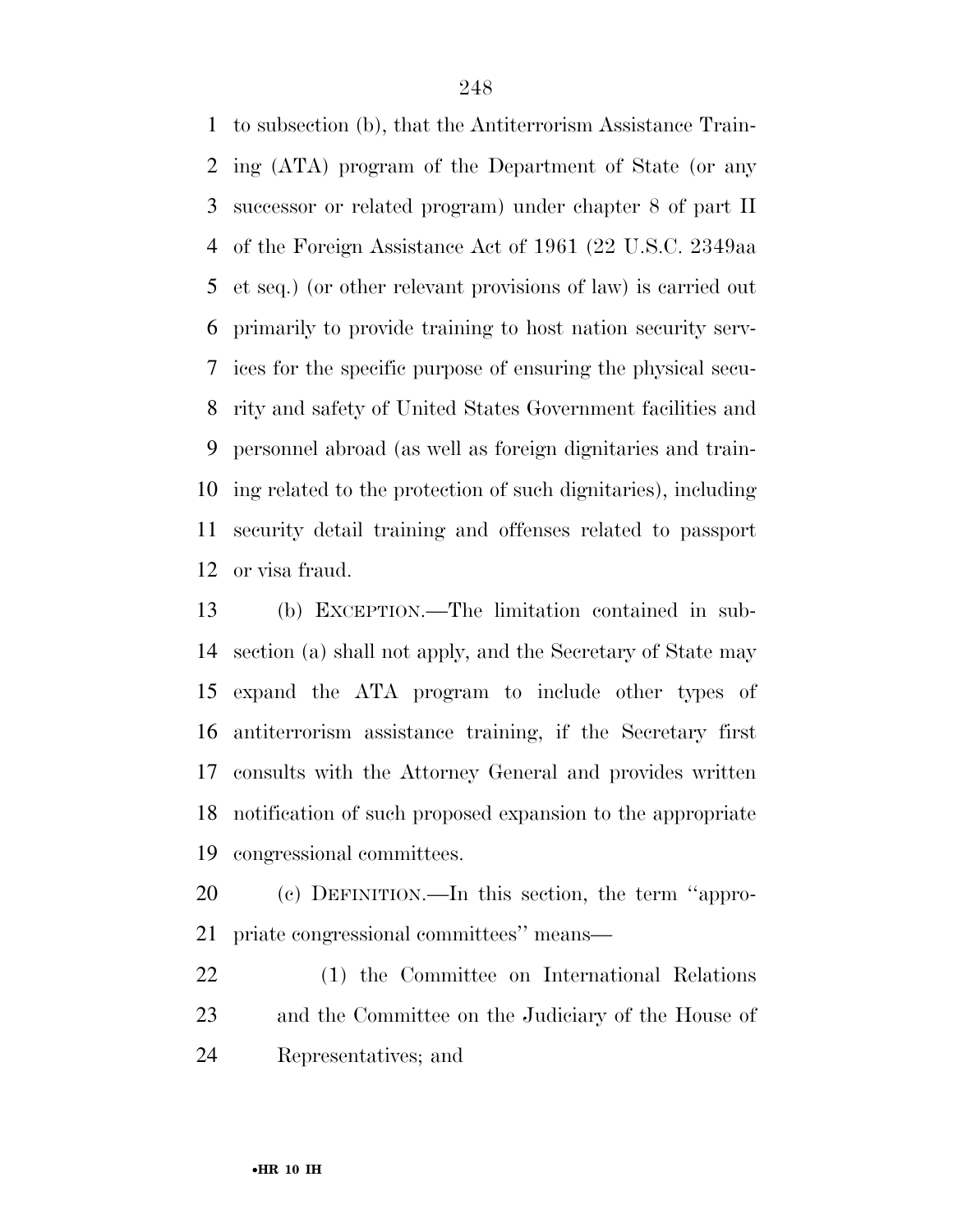to subsection (b), that the Antiterrorism Assistance Train- ing (ATA) program of the Department of State (or any successor or related program) under chapter 8 of part II of the Foreign Assistance Act of 1961 (22 U.S.C. 2349aa et seq.) (or other relevant provisions of law) is carried out primarily to provide training to host nation security serv- ices for the specific purpose of ensuring the physical secu- rity and safety of United States Government facilities and personnel abroad (as well as foreign dignitaries and train- ing related to the protection of such dignitaries), including security detail training and offenses related to passport or visa fraud.

 (b) EXCEPTION.—The limitation contained in sub- section (a) shall not apply, and the Secretary of State may expand the ATA program to include other types of antiterrorism assistance training, if the Secretary first consults with the Attorney General and provides written notification of such proposed expansion to the appropriate congressional committees.

 (c) DEFINITION.—In this section, the term ''appro-priate congressional committees'' means—

 (1) the Committee on International Relations and the Committee on the Judiciary of the House of Representatives; and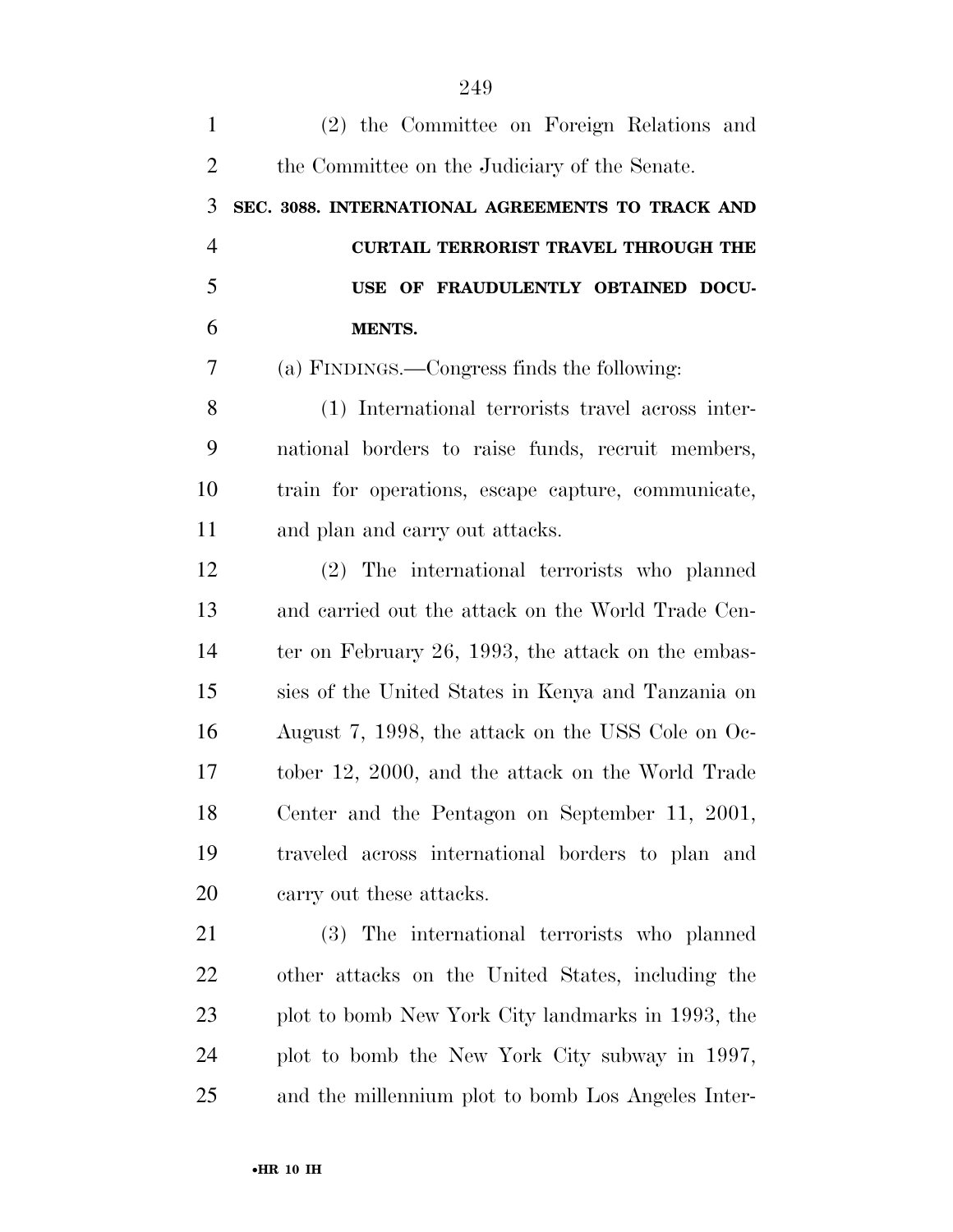| $\mathbf{1}$   | (2) the Committee on Foreign Relations and         |
|----------------|----------------------------------------------------|
| $\overline{2}$ | the Committee on the Judiciary of the Senate.      |
| 3              | SEC. 3088. INTERNATIONAL AGREEMENTS TO TRACK AND   |
| $\overline{4}$ | <b>CURTAIL TERRORIST TRAVEL THROUGH THE</b>        |
| 5              | USE OF FRAUDULENTLY OBTAINED DOCU-                 |
| 6              | <b>MENTS.</b>                                      |
| 7              | (a) FINDINGS.—Congress finds the following:        |
| 8              | (1) International terrorists travel across inter-  |
| 9              | national borders to raise funds, recruit members,  |
| 10             | train for operations, escape capture, communicate, |
| 11             | and plan and carry out attacks.                    |
| 12             | (2) The international terrorists who planned       |
| 13             | and carried out the attack on the World Trade Cen- |
| 14             | ter on February 26, 1993, the attack on the embas- |
| 15             | sies of the United States in Kenya and Tanzania on |
| 16             | August 7, 1998, the attack on the USS Cole on Oc-  |
| 17             | tober 12, 2000, and the attack on the World Trade  |
| 18             | Center and the Pentagon on September 11, 2001,     |
| 19             | traveled across international borders to plan and  |
| 20             | carry out these attacks.                           |
| 21             | (3) The international terrorists who planned       |
| 22             | other attacks on the United States, including the  |
| 23             | plot to bomb New York City landmarks in 1993, the  |
| 24             | plot to bomb the New York City subway in 1997,     |
| 25             | and the millennium plot to bomb Los Angeles Inter- |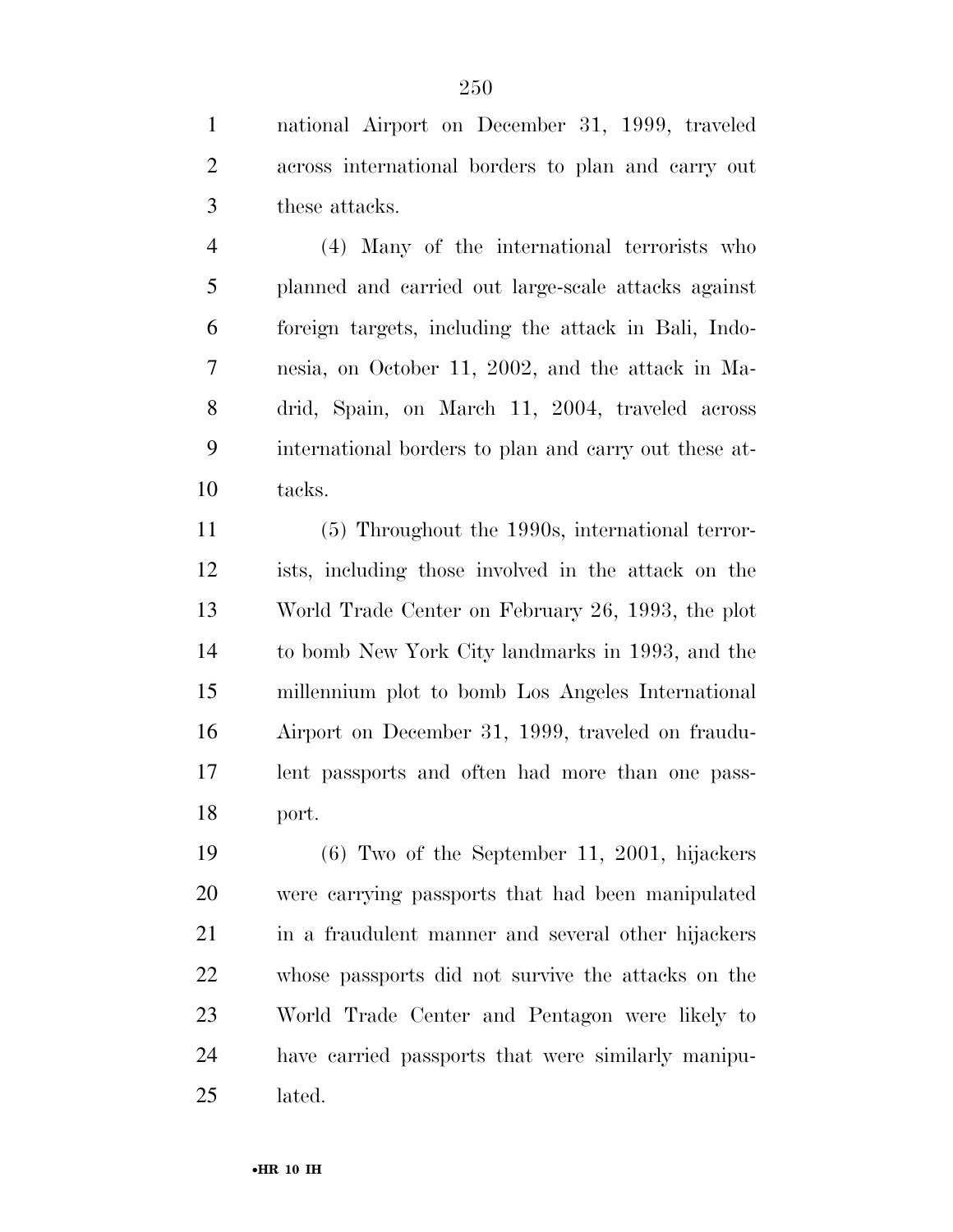national Airport on December 31, 1999, traveled across international borders to plan and carry out these attacks.

 (4) Many of the international terrorists who planned and carried out large-scale attacks against foreign targets, including the attack in Bali, Indo- nesia, on October 11, 2002, and the attack in Ma- drid, Spain, on March 11, 2004, traveled across international borders to plan and carry out these at-tacks.

 (5) Throughout the 1990s, international terror- ists, including those involved in the attack on the World Trade Center on February 26, 1993, the plot to bomb New York City landmarks in 1993, and the millennium plot to bomb Los Angeles International Airport on December 31, 1999, traveled on fraudu- lent passports and often had more than one pass-port.

 (6) Two of the September 11, 2001, hijackers were carrying passports that had been manipulated 21 in a fraudulent manner and several other hijackers whose passports did not survive the attacks on the World Trade Center and Pentagon were likely to have carried passports that were similarly manipu-lated.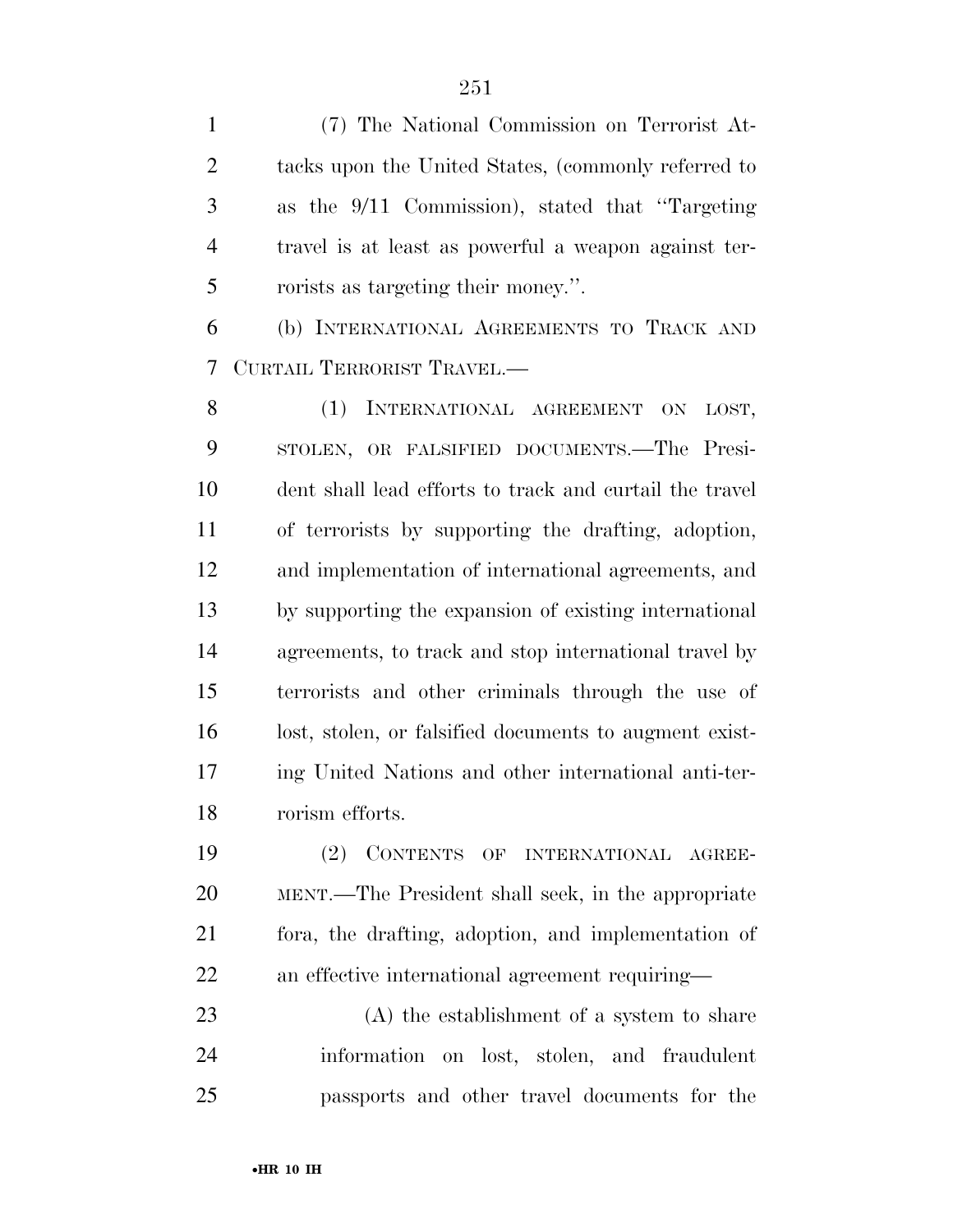(7) The National Commission on Terrorist At- tacks upon the United States, (commonly referred to as the 9/11 Commission), stated that ''Targeting travel is at least as powerful a weapon against ter-rorists as targeting their money.''.

 (b) INTERNATIONAL AGREEMENTS TO TRACK AND CURTAIL TERRORIST TRAVEL.—

8 (1) INTERNATIONAL AGREEMENT ON LOST, STOLEN, OR FALSIFIED DOCUMENTS.—The Presi- dent shall lead efforts to track and curtail the travel of terrorists by supporting the drafting, adoption, and implementation of international agreements, and by supporting the expansion of existing international agreements, to track and stop international travel by terrorists and other criminals through the use of lost, stolen, or falsified documents to augment exist- ing United Nations and other international anti-ter-rorism efforts.

 (2) CONTENTS OF INTERNATIONAL AGREE- MENT.—The President shall seek, in the appropriate fora, the drafting, adoption, and implementation of an effective international agreement requiring—

 (A) the establishment of a system to share information on lost, stolen, and fraudulent passports and other travel documents for the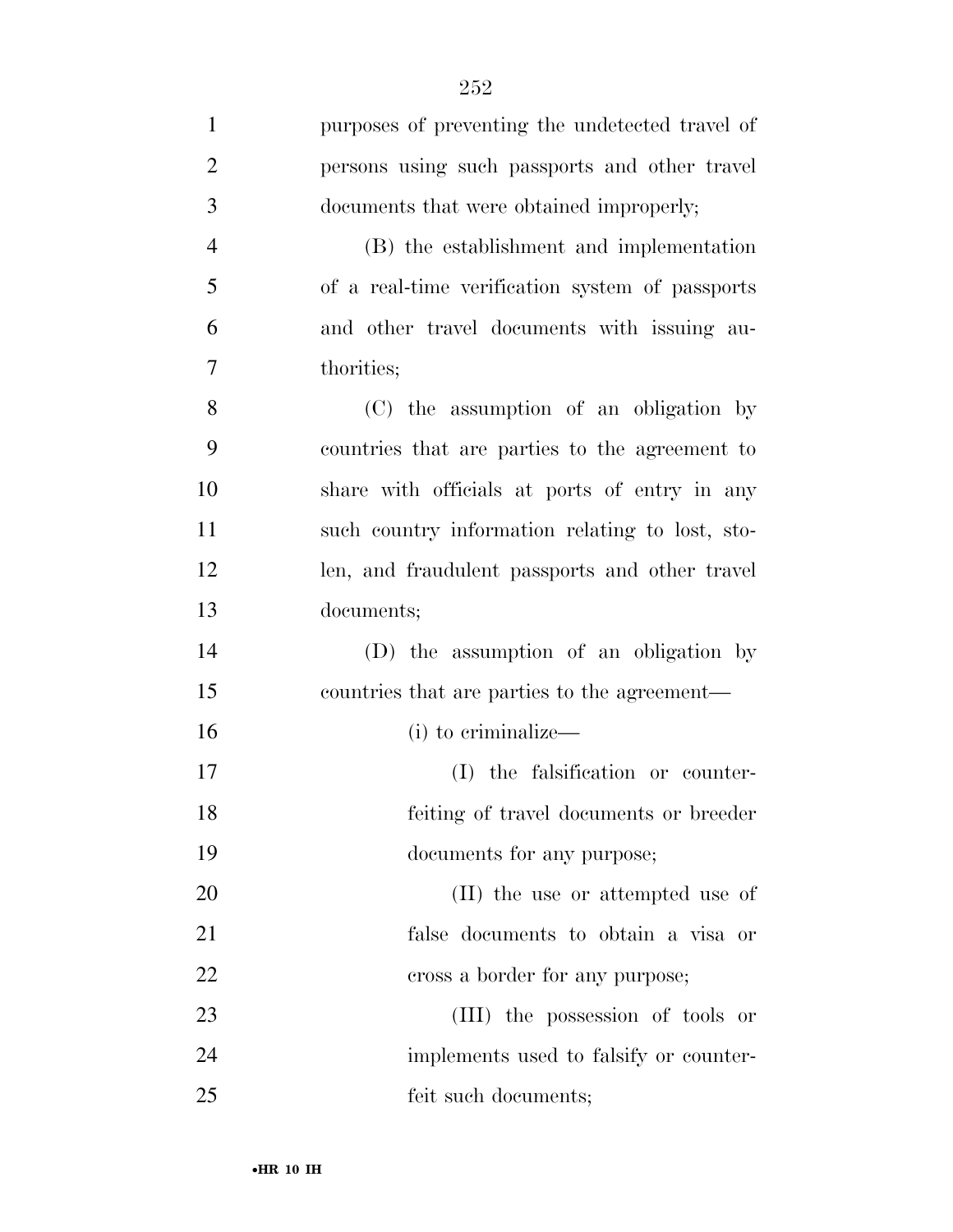| $\mathbf{1}$   | purposes of preventing the undetected travel of |
|----------------|-------------------------------------------------|
| $\overline{2}$ | persons using such passports and other travel   |
| 3              | documents that were obtained improperly;        |
| $\overline{4}$ | (B) the establishment and implementation        |
| 5              | of a real-time verification system of passports |
| 6              | and other travel documents with issuing au-     |
| 7              | thorities;                                      |
| 8              | (C) the assumption of an obligation by          |
| 9              | countries that are parties to the agreement to  |
| 10             | share with officials at ports of entry in any   |
| 11             | such country information relating to lost, sto- |
| 12             | len, and fraudulent passports and other travel  |
| 13             | documents;                                      |
| 14             | (D) the assumption of an obligation by          |
| 15             | countries that are parties to the agreement—    |
| 16             | (i) to criminalize—                             |
| 17             | (I) the falsification or counter-               |
| 18             | feiting of travel documents or breeder          |
| 19             | documents for any purpose;                      |
| 20             | (II) the use or attempted use of                |
| 21             | false documents to obtain a visa or             |
| 22             | cross a border for any purpose;                 |
| 23             | (III) the possession of tools or                |
| 24             | implements used to falsify or counter-          |
| 25             | feit such documents;                            |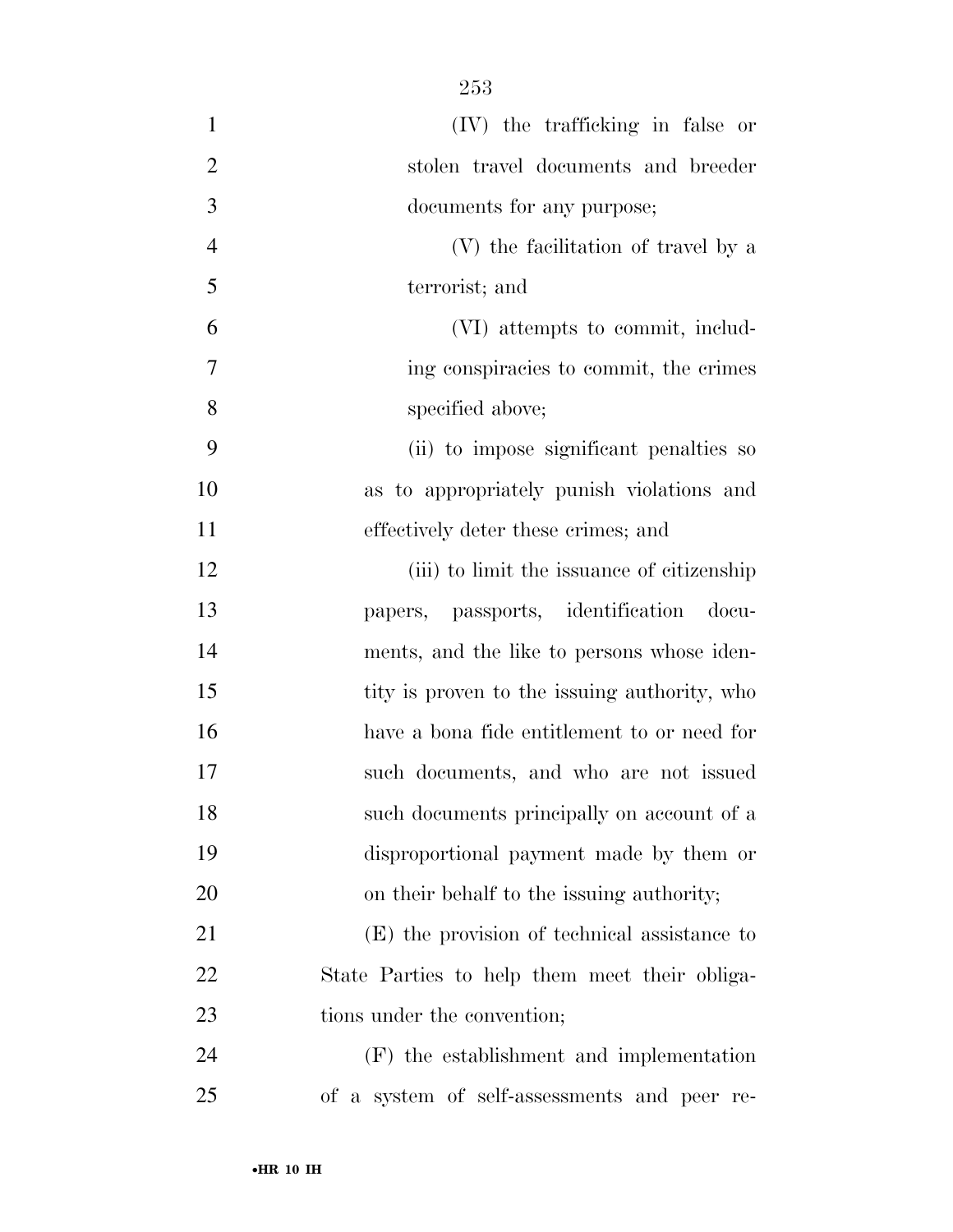| $\mathbf{1}$   | (IV) the trafficking in false or              |
|----------------|-----------------------------------------------|
| $\overline{2}$ | stolen travel documents and breeder           |
| 3              | documents for any purpose;                    |
| $\overline{4}$ | (V) the facilitation of travel by a           |
| 5              | terrorist; and                                |
| 6              | (VI) attempts to commit, includ-              |
| 7              | ing conspiracies to commit, the crimes        |
| 8              | specified above;                              |
| 9              | (ii) to impose significant penalties so       |
| 10             | as to appropriately punish violations and     |
| 11             | effectively deter these crimes; and           |
| 12             | (iii) to limit the issuance of citizenship    |
| 13             | papers, passports, identification docu-       |
| 14             | ments, and the like to persons whose iden-    |
| 15             | tity is proven to the issuing authority, who  |
| 16             | have a bona fide entitlement to or need for   |
| 17             | such documents, and who are not issued        |
| 18             | such documents principally on account of a    |
| 19             | disproportional payment made by them or       |
| 20             | on their behalf to the issuing authority;     |
| 21             | (E) the provision of technical assistance to  |
| 22             | State Parties to help them meet their obliga- |
| 23             | tions under the convention;                   |
| 24             | (F) the establishment and implementation      |
| 25             | of a system of self-assessments and peer re-  |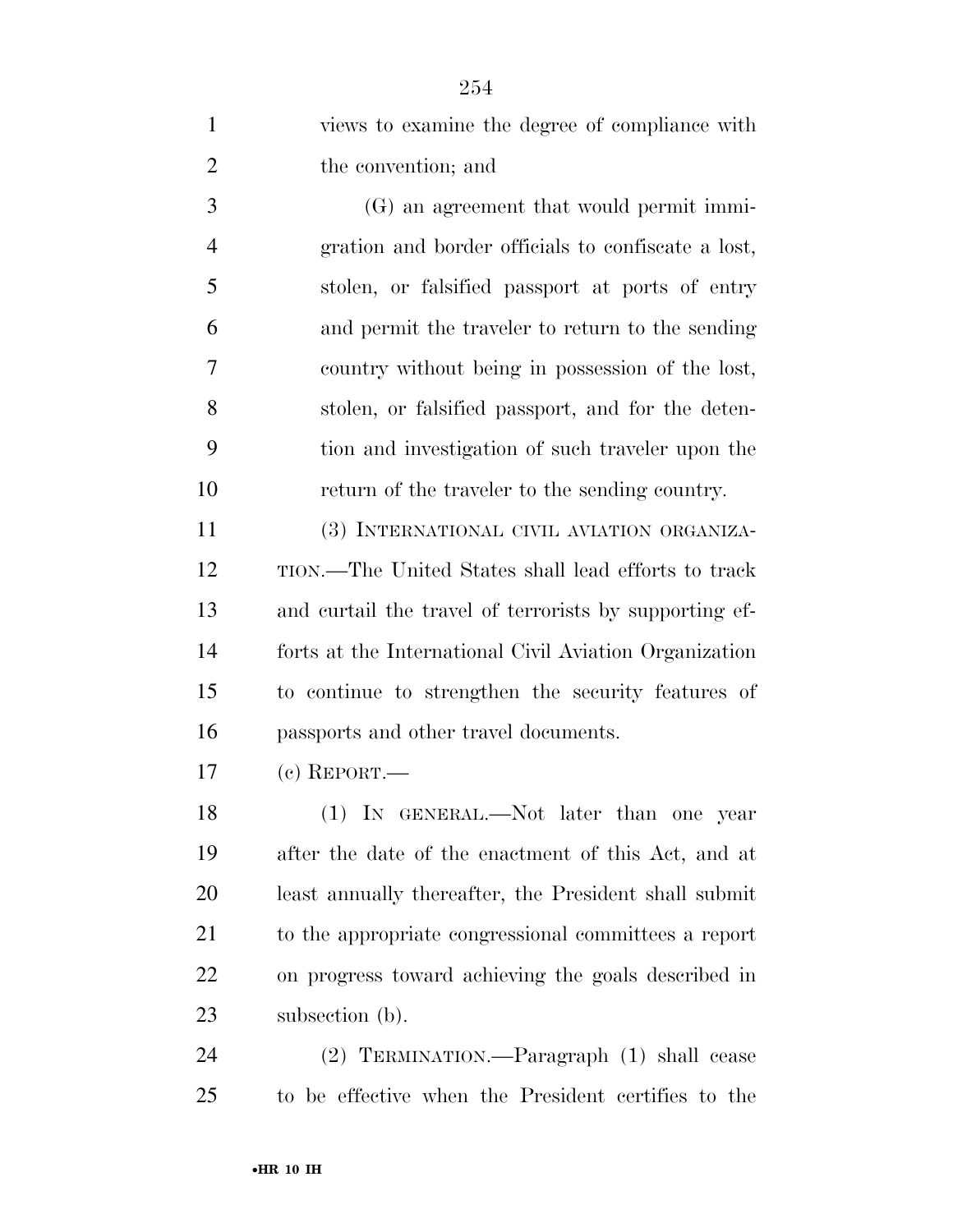| $\mathbf{1}$   | views to examine the degree of compliance with         |
|----------------|--------------------------------------------------------|
| $\overline{2}$ | the convention; and                                    |
| 3              | (G) an agreement that would permit immi-               |
| $\overline{4}$ | gration and border officials to confiscate a lost,     |
| 5              | stolen, or falsified passport at ports of entry        |
| 6              | and permit the traveler to return to the sending       |
| 7              | country without being in possession of the lost,       |
| 8              | stolen, or falsified passport, and for the deten-      |
| 9              | tion and investigation of such traveler upon the       |
| 10             | return of the traveler to the sending country.         |
| 11             | (3) INTERNATIONAL CIVIL AVIATION ORGANIZA-             |
| 12             | TION.—The United States shall lead efforts to track    |
| 13             | and curtail the travel of terrorists by supporting ef- |
| 14             | forts at the International Civil Aviation Organization |
| 15             | to continue to strengthen the security features of     |
| 16             | passports and other travel documents.                  |
| 17             | $(c)$ REPORT.—                                         |
| 18             | (1) IN GENERAL.—Not later than one year                |
| 19             | after the date of the enactment of this Act, and at    |
| 20             | least annually thereafter, the President shall submit  |
| 21             | to the appropriate congressional committees a report   |
| <u>22</u>      | on progress toward achieving the goals described in    |
| 23             | subsection (b).                                        |
| 24             | (2) TERMINATION.—Paragraph (1) shall cease             |
| 25             | to be effective when the President certifies to the    |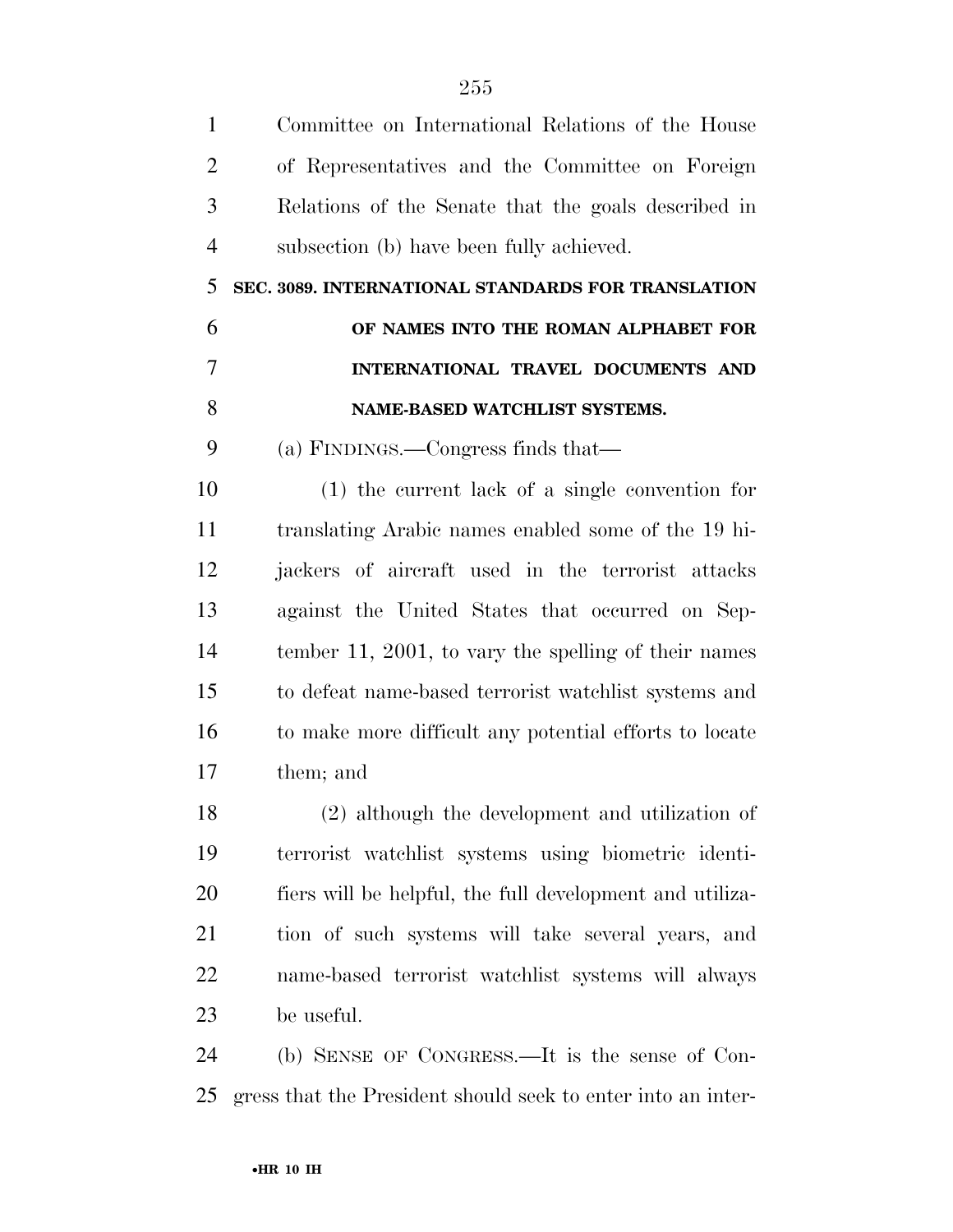| $\mathbf{1}$   | Committee on International Relations of the House            |
|----------------|--------------------------------------------------------------|
| $\overline{2}$ | of Representatives and the Committee on Foreign              |
| 3              | Relations of the Senate that the goals described in          |
| $\overline{4}$ | subsection (b) have been fully achieved.                     |
| 5              | SEC. 3089. INTERNATIONAL STANDARDS FOR TRANSLATION           |
| 6              | OF NAMES INTO THE ROMAN ALPHABET FOR                         |
| $\overline{7}$ | INTERNATIONAL TRAVEL DOCUMENTS AND                           |
| 8              | NAME-BASED WATCHLIST SYSTEMS.                                |
| 9              | (a) FINDINGS.—Congress finds that—                           |
| 10             | $(1)$ the current lack of a single convention for            |
| 11             | translating Arabic names enabled some of the 19 hi-          |
| 12             | jackers of aircraft used in the terrorist attacks            |
| 13             | against the United States that occurred on Sep-              |
| 14             | tember 11, 2001, to vary the spelling of their names         |
| 15             | to defeat name-based terrorist watchlist systems and         |
| 16             | to make more difficult any potential efforts to locate       |
| 17             | them; and                                                    |
| 18             | (2) although the development and utilization of              |
| 19             | terrorist watchlist systems using biometric identi-          |
| 20             | fiers will be helpful, the full development and utiliza-     |
| 21             | tion of such systems will take several years, and            |
| 22             | name-based terrorist watchlist systems will always           |
| 23             | be useful.                                                   |
| 24             | (b) SENSE OF CONGRESS.—It is the sense of Con-               |
| 25             | gress that the President should seek to enter into an inter- |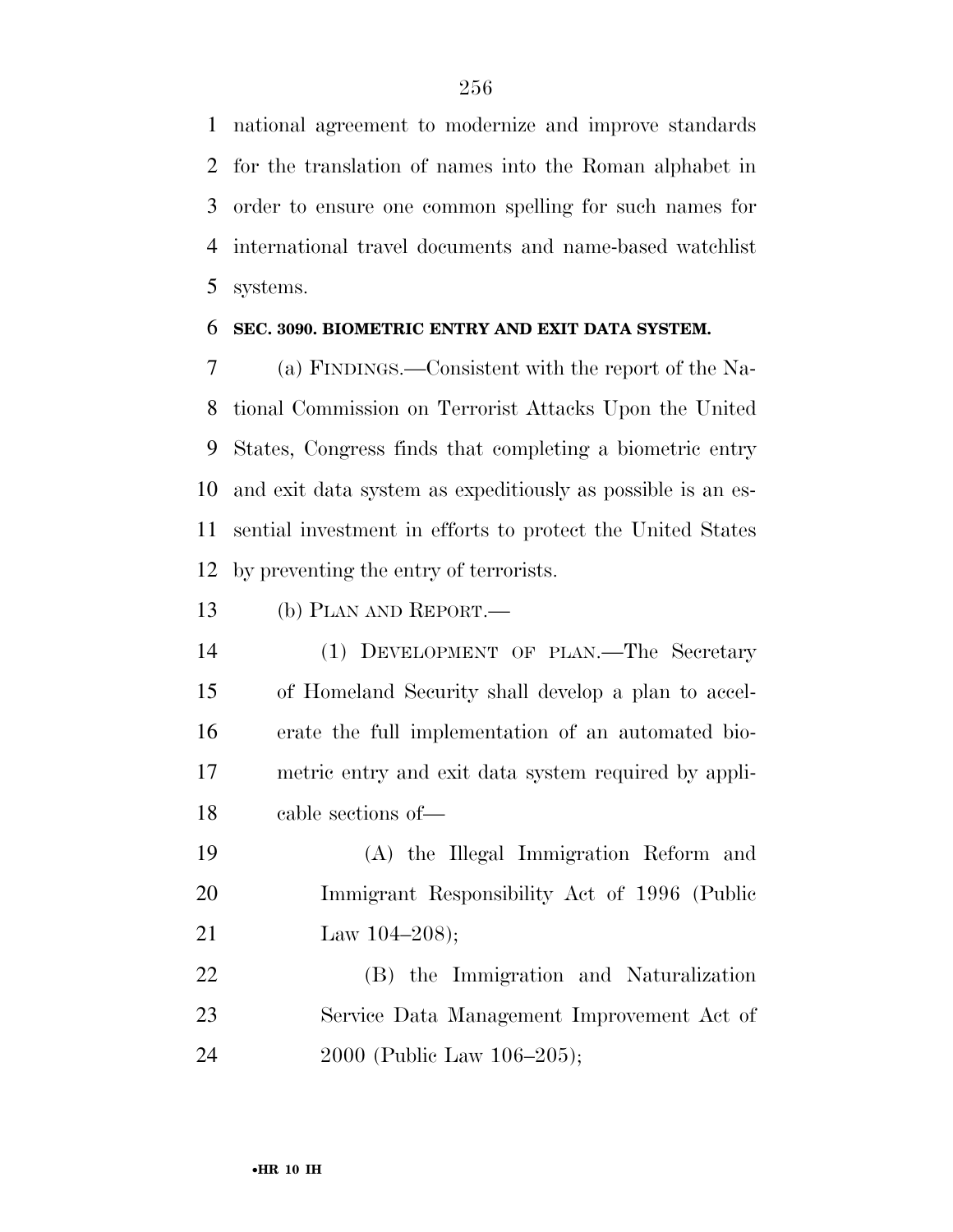national agreement to modernize and improve standards for the translation of names into the Roman alphabet in order to ensure one common spelling for such names for international travel documents and name-based watchlist systems.

#### **SEC. 3090. BIOMETRIC ENTRY AND EXIT DATA SYSTEM.**

 (a) FINDINGS.—Consistent with the report of the Na- tional Commission on Terrorist Attacks Upon the United States, Congress finds that completing a biometric entry and exit data system as expeditiously as possible is an es- sential investment in efforts to protect the United States by preventing the entry of terrorists.

(b) PLAN AND REPORT.—

 (1) DEVELOPMENT OF PLAN.—The Secretary of Homeland Security shall develop a plan to accel- erate the full implementation of an automated bio- metric entry and exit data system required by appli-cable sections of—

 (A) the Illegal Immigration Reform and Immigrant Responsibility Act of 1996 (Public 21 Law 104–208);

 (B) the Immigration and Naturalization Service Data Management Improvement Act of 2000 (Public Law 106–205);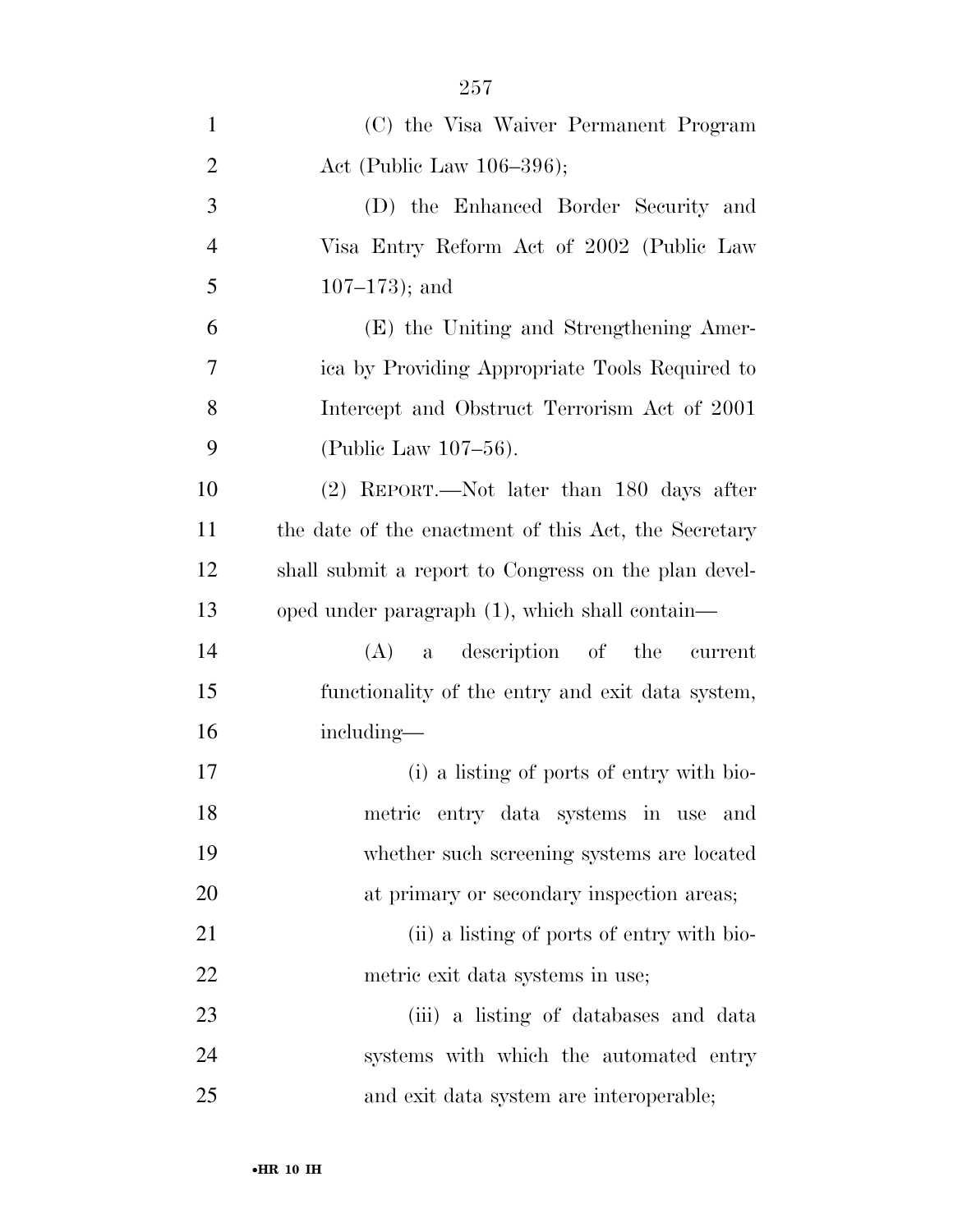| $\mathbf{1}$   | (C) the Visa Waiver Permanent Program                |
|----------------|------------------------------------------------------|
| $\overline{2}$ | Act (Public Law $106-396$ );                         |
| 3              | (D) the Enhanced Border Security and                 |
| $\overline{4}$ | Visa Entry Reform Act of 2002 (Public Law            |
| 5              | $107 - 173$ ; and                                    |
| 6              | (E) the Uniting and Strengthening Amer-              |
| 7              | ica by Providing Appropriate Tools Required to       |
| 8              | Intercept and Obstruct Terrorism Act of 2001         |
| 9              | (Public Law 107-56).                                 |
| 10             | (2) REPORT.—Not later than 180 days after            |
| 11             | the date of the enactment of this Act, the Secretary |
| 12             | shall submit a report to Congress on the plan devel- |
| 13             | oped under paragraph (1), which shall contain—       |
| 14             | a description of the current<br>(A)                  |
| 15             | functionality of the entry and exit data system,     |
| 16             | including—                                           |
| 17             | (i) a listing of ports of entry with bio-            |
| 18             | metric entry data systems in use<br>and              |
| 19             | whether such screening systems are located           |
| 20             | at primary or secondary inspection areas;            |
| 21             | (ii) a listing of ports of entry with bio-           |
| 22             | metric exit data systems in use;                     |
| 23             | (iii) a listing of databases and data                |
| 24             | systems with which the automated entry               |
| 25             | and exit data system are interoperable;              |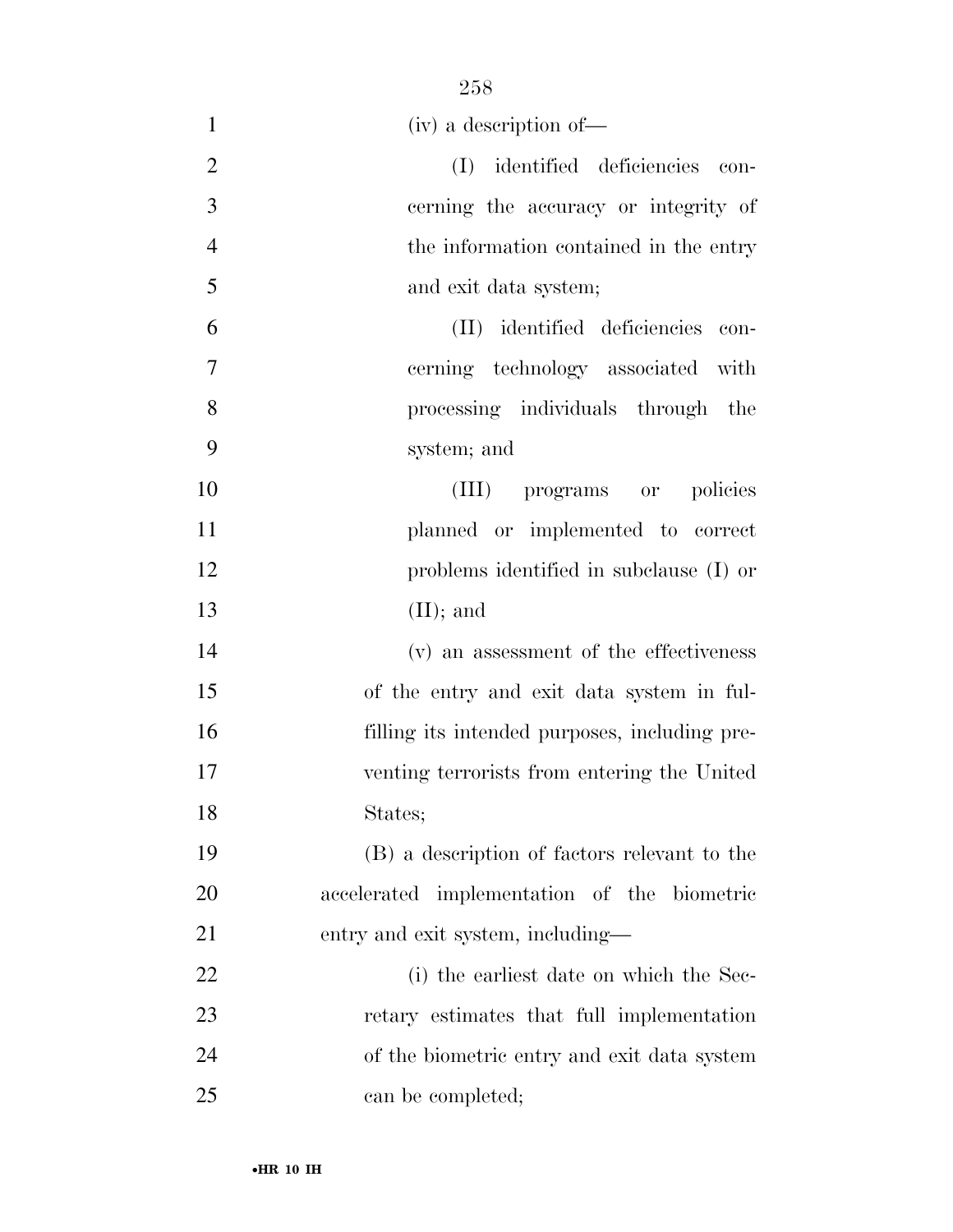| $\mathbf{1}$   | (iv) a description of-                        |
|----------------|-----------------------------------------------|
| $\overline{2}$ | (I) identified deficiencies con-              |
| 3              | cerning the accuracy or integrity of          |
| $\overline{4}$ | the information contained in the entry        |
| 5              | and exit data system;                         |
| 6              | (II) identified deficiencies con-             |
| $\overline{7}$ | cerning technology associated with            |
| 8              | processing individuals through the            |
| 9              | system; and                                   |
| 10             | (III) programs or policies                    |
| 11             | planned or implemented to correct             |
| 12             | problems identified in subclause (I) or       |
| 13             | $(II);$ and                                   |
| 14             | (v) an assessment of the effectiveness        |
| 15             | of the entry and exit data system in ful-     |
| 16             | filling its intended purposes, including pre- |
| 17             | venting terrorists from entering the United   |
| 18             | States;                                       |
| 19             | (B) a description of factors relevant to the  |
| 20             | accelerated implementation of the biometric   |
| 21             | entry and exit system, including—             |
| 22             | (i) the earliest date on which the Sec-       |
| 23             | retary estimates that full implementation     |
| 24             | of the biometric entry and exit data system   |
| 25             | can be completed;                             |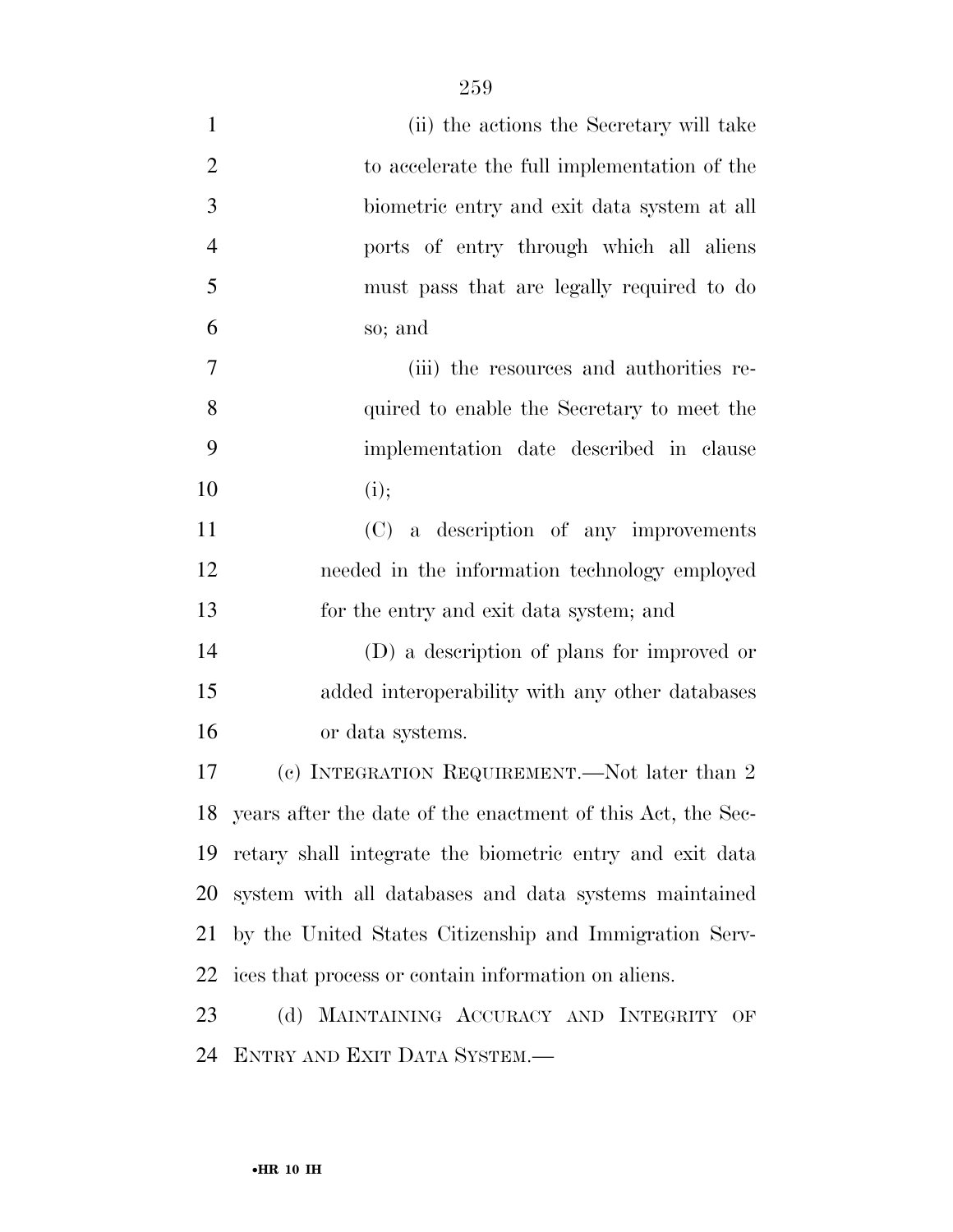| $\mathbf{1}$   | (ii) the actions the Secretary will take                       |
|----------------|----------------------------------------------------------------|
| $\overline{2}$ | to accelerate the full implementation of the                   |
| 3              | biometric entry and exit data system at all                    |
| $\overline{4}$ | ports of entry through which all aliens                        |
| 5              | must pass that are legally required to do                      |
| 6              | so; and                                                        |
| 7              | (iii) the resources and authorities re-                        |
| 8              | quired to enable the Secretary to meet the                     |
| 9              | implementation date described in clause                        |
| 10             | (i);                                                           |
| 11             | (C) a description of any improvements                          |
| 12             | needed in the information technology employed                  |
| 13             | for the entry and exit data system; and                        |
| 14             | (D) a description of plans for improved or                     |
| 15             | added interoperability with any other databases                |
| 16             | or data systems.                                               |
| 17             | (c) INTEGRATION REQUIREMENT.—Not later than 2                  |
|                | 18 years after the date of the enactment of this Act, the Sec- |
| 19             | retary shall integrate the biometric entry and exit data       |
| 20             | system with all databases and data systems maintained          |
| 21             | by the United States Citizenship and Immigration Serv-         |
| 22             | ices that process or contain information on aliens.            |
| 23             | (d) MAINTAINING ACCURACY AND INTEGRITY OF                      |
| 24             | ENTRY AND EXIT DATA SYSTEM.-                                   |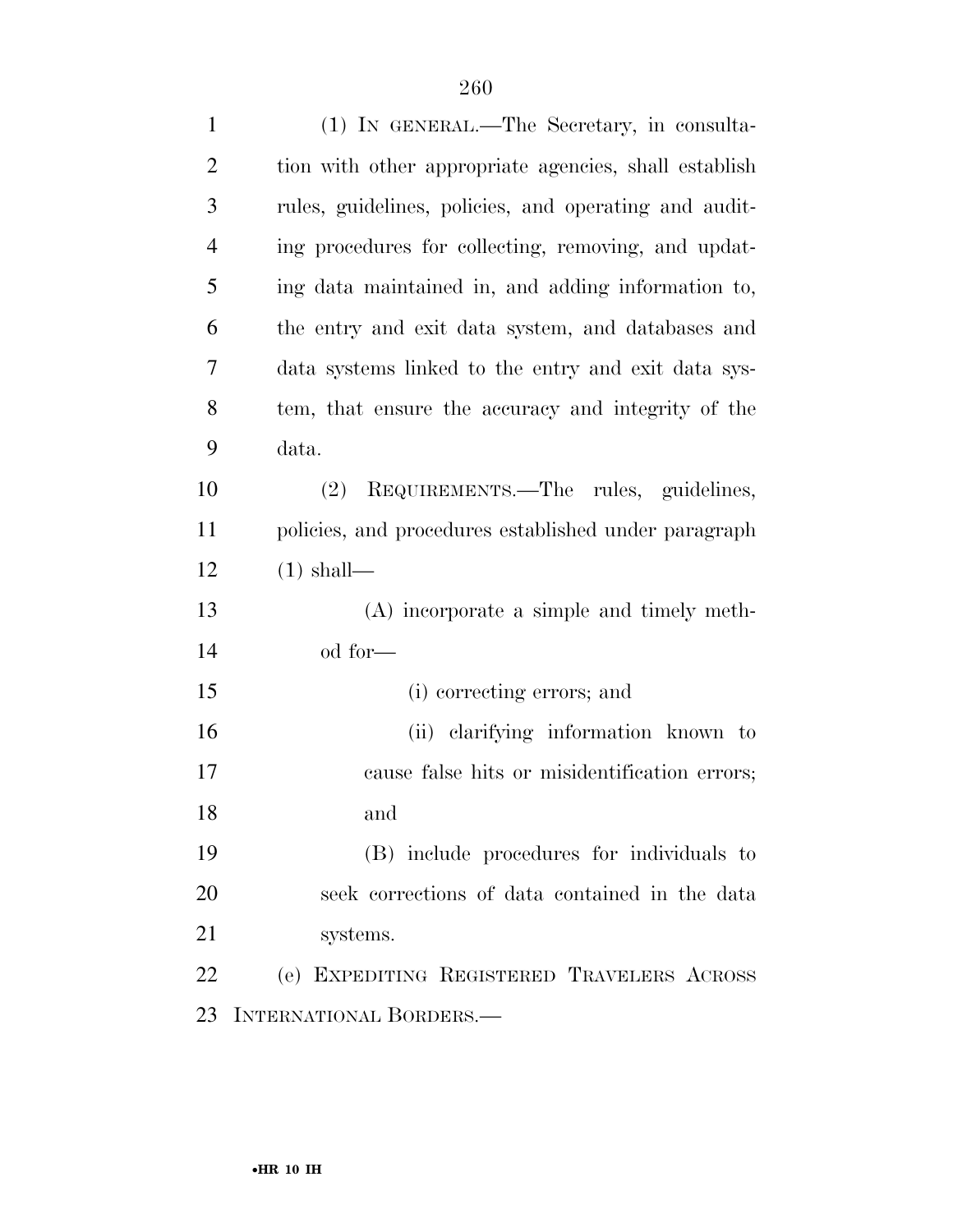| $\mathbf{1}$   | (1) IN GENERAL.—The Secretary, in consulta-           |
|----------------|-------------------------------------------------------|
| $\overline{2}$ | tion with other appropriate agencies, shall establish |
| 3              | rules, guidelines, policies, and operating and audit- |
| $\overline{4}$ | ing procedures for collecting, removing, and updat-   |
| 5              | ing data maintained in, and adding information to,    |
| 6              | the entry and exit data system, and databases and     |
| 7              | data systems linked to the entry and exit data sys-   |
| 8              | tem, that ensure the accuracy and integrity of the    |
| 9              | data.                                                 |
| 10             | REQUIREMENTS.—The rules, guidelines,<br>(2)           |
| 11             | policies, and procedures established under paragraph  |
| 12             | $(1)$ shall—                                          |
| 13             | (A) incorporate a simple and timely meth-             |
| 14             | od for—                                               |
| 15             | (i) correcting errors; and                            |
| 16             | (ii) clarifying information known to                  |
| 17             | cause false hits or misidentification errors;         |
| 18             | and                                                   |
| 19             | (B) include procedures for individuals to             |
| 20             | seek corrections of data contained in the data        |
| 21             | systems.                                              |
| 22             | (e) EXPEDITING REGISTERED TRAVELERS ACROSS            |
| 23             | INTERNATIONAL BORDERS.                                |
|                |                                                       |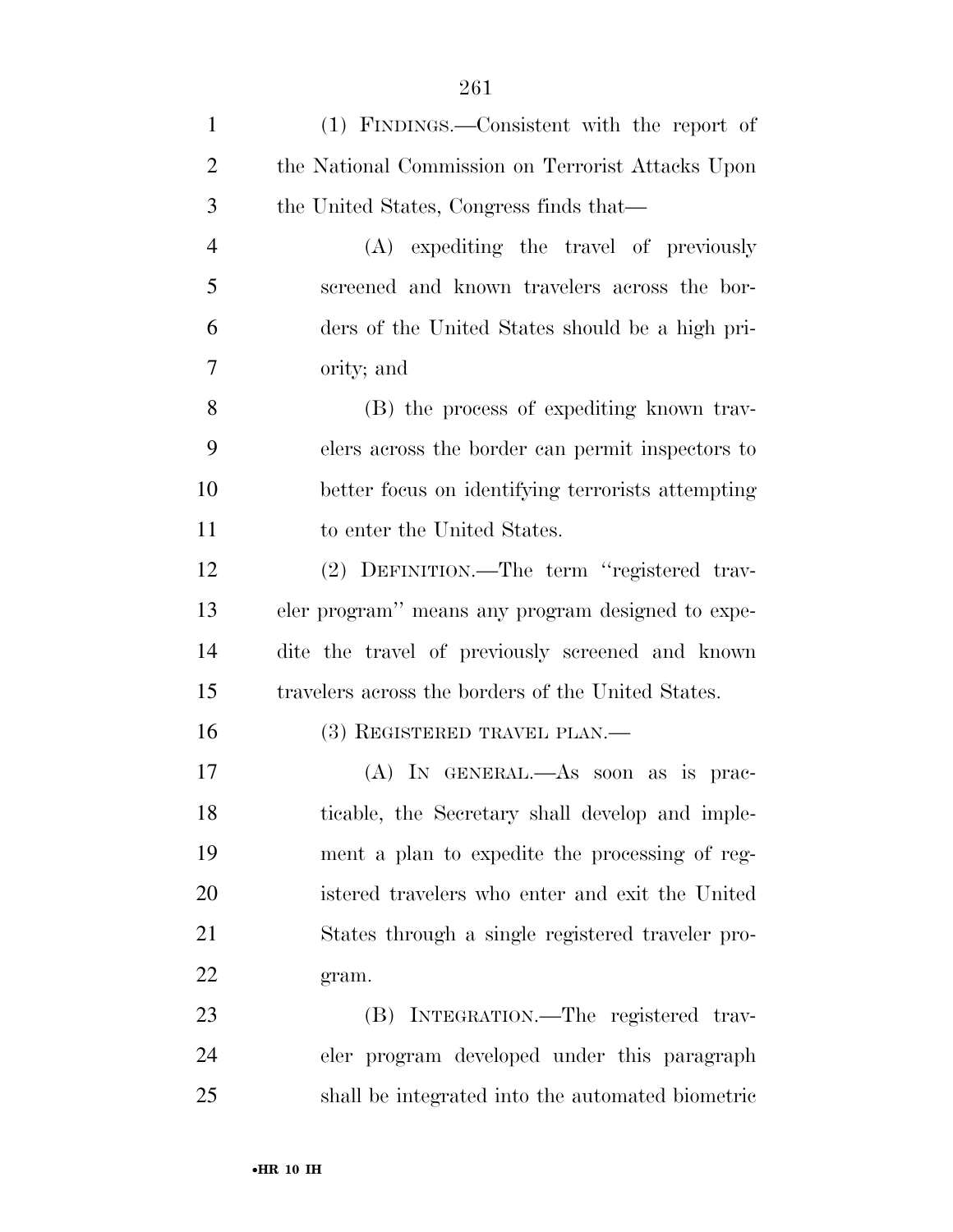| $\mathbf{1}$   | (1) FINDINGS.—Consistent with the report of        |
|----------------|----------------------------------------------------|
| $\overline{2}$ | the National Commission on Terrorist Attacks Upon  |
| 3              | the United States, Congress finds that—            |
| $\overline{4}$ | (A) expediting the travel of previously            |
| 5              | screened and known travelers across the bor-       |
| 6              | ders of the United States should be a high pri-    |
| 7              | ority; and                                         |
| 8              | (B) the process of expediting known trav-          |
| 9              | elers across the border can permit inspectors to   |
| 10             | better focus on identifying terrorists attempting  |
| 11             | to enter the United States.                        |
| 12             | (2) DEFINITION.—The term "registered trav-         |
| 13             | eler program" means any program designed to expe-  |
| 14             | dite the travel of previously screened and known   |
| 15             | travelers across the borders of the United States. |
| 16             | $(3)$ REGISTERED TRAVEL PLAN.—                     |
| 17             | $(A)$ In GENERAL.—As soon as is prac-              |
| 18             | ticable, the Secretary shall develop and imple-    |
| 19             | ment a plan to expedite the processing of reg-     |
| 20             | istered travelers who enter and exit the United    |
| 21             | States through a single registered traveler pro-   |
| 22             | gram.                                              |
| 23             | (B) INTEGRATION.—The registered trav-              |
| 24             | eler program developed under this paragraph        |
| 25             | shall be integrated into the automated biometric   |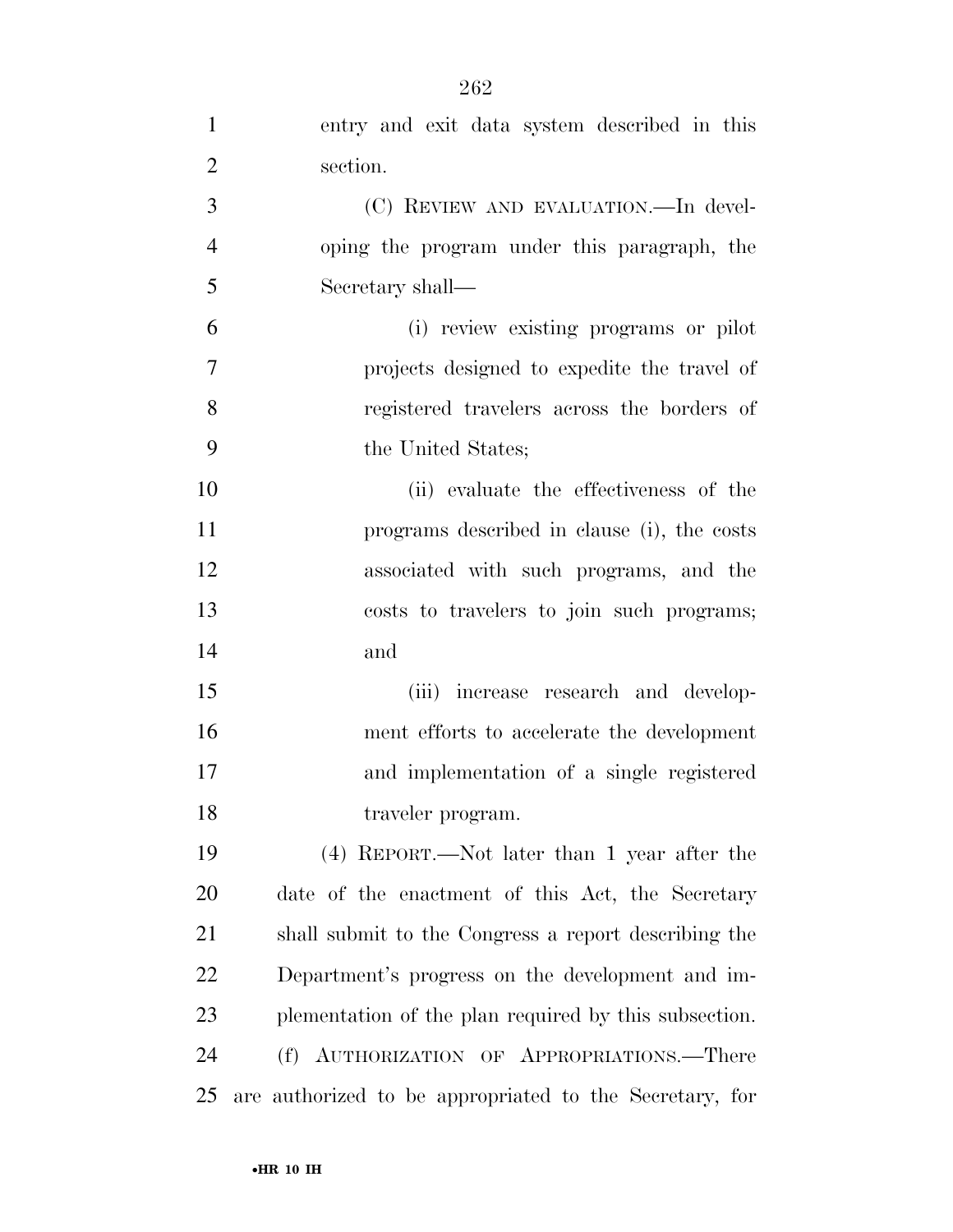| $\mathbf{1}$   | entry and exit data system described in this            |
|----------------|---------------------------------------------------------|
| $\overline{2}$ | section.                                                |
| 3              | (C) REVIEW AND EVALUATION.—In devel-                    |
| $\overline{4}$ | oping the program under this paragraph, the             |
| 5              | Secretary shall—                                        |
| 6              | (i) review existing programs or pilot                   |
| 7              | projects designed to expedite the travel of             |
| 8              | registered travelers across the borders of              |
| 9              | the United States;                                      |
| 10             | (ii) evaluate the effectiveness of the                  |
| 11             | programs described in clause (i), the costs             |
| 12             | associated with such programs, and the                  |
| 13             | costs to travelers to join such programs;               |
| 14             | and                                                     |
| 15             | (iii) increase research and develop-                    |
| 16             | ment efforts to accelerate the development              |
| 17             | and implementation of a single registered               |
| 18             | traveler program.                                       |
| 19             | (4) REPORT.—Not later than 1 year after the             |
| 20             | date of the enactment of this Act, the Secretary        |
| 21             | shall submit to the Congress a report describing the    |
| 22             | Department's progress on the development and im-        |
| 23             | plementation of the plan required by this subsection.   |
| 24             | (f) AUTHORIZATION OF APPROPRIATIONS.—There              |
| 25             | are authorized to be appropriated to the Secretary, for |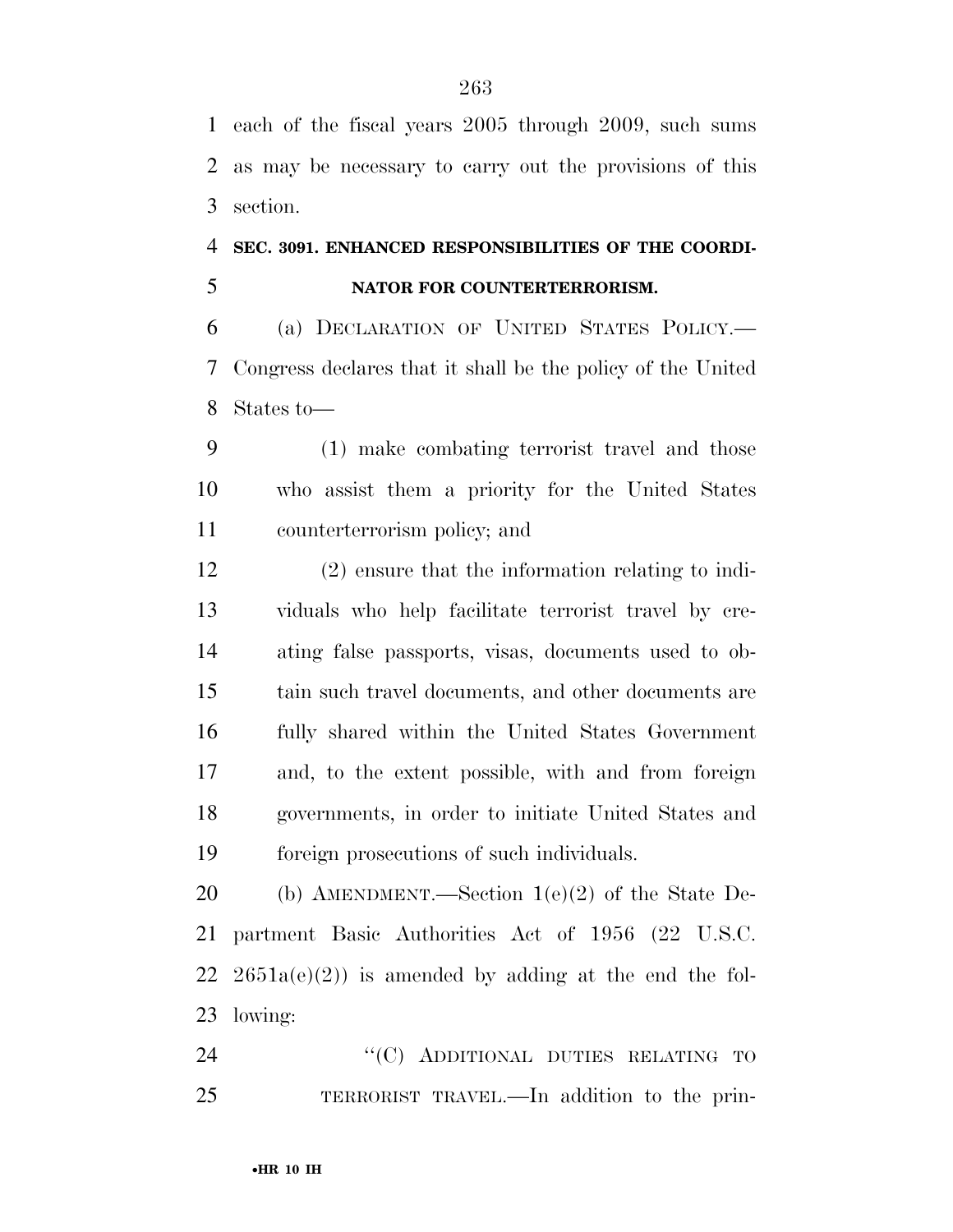each of the fiscal years 2005 through 2009, such sums as may be necessary to carry out the provisions of this section.

### **SEC. 3091. ENHANCED RESPONSIBILITIES OF THE COORDI-NATOR FOR COUNTERTERRORISM.**

 (a) DECLARATION OF UNITED STATES POLICY.— Congress declares that it shall be the policy of the United States to—

 (1) make combating terrorist travel and those who assist them a priority for the United States counterterrorism policy; and

 (2) ensure that the information relating to indi- viduals who help facilitate terrorist travel by cre- ating false passports, visas, documents used to ob- tain such travel documents, and other documents are fully shared within the United States Government and, to the extent possible, with and from foreign governments, in order to initiate United States and foreign prosecutions of such individuals.

 (b) AMENDMENT.—Section 1(e)(2) of the State De- partment Basic Authorities Act of 1956 (22 U.S.C.  $2651a(e)(2)$  is amended by adding at the end the fol-lowing:

24 "(C) ADDITIONAL DUTIES RELATING TO TERRORIST TRAVEL.—In addition to the prin-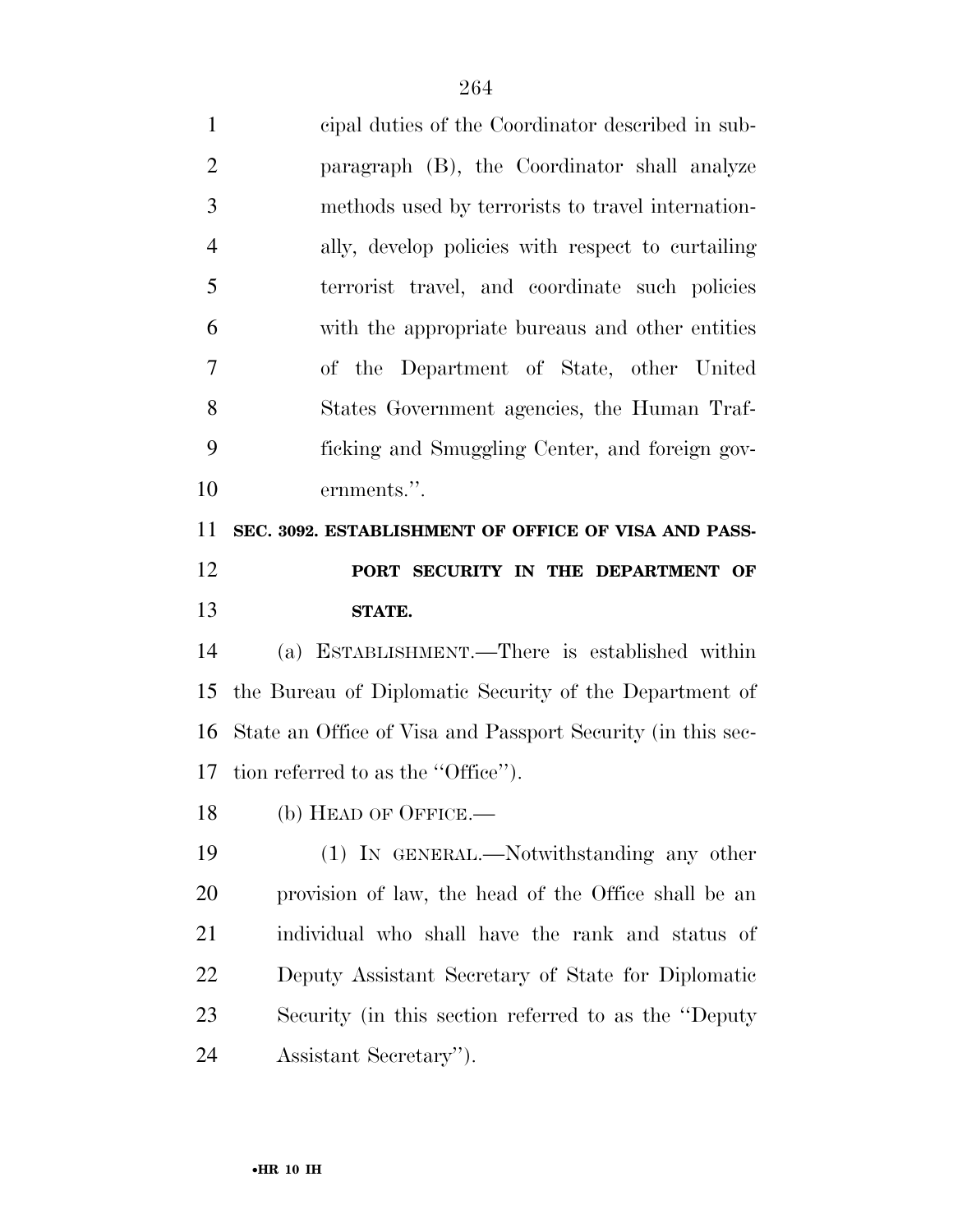| $\mathbf{1}$   | cipal duties of the Coordinator described in sub-           |
|----------------|-------------------------------------------------------------|
| $\overline{2}$ | paragraph (B), the Coordinator shall analyze                |
| 3              | methods used by terrorists to travel internation-           |
| $\overline{4}$ | ally, develop policies with respect to curtailing           |
| 5              | terrorist travel, and coordinate such policies              |
| 6              | with the appropriate bureaus and other entities             |
| 7              | of the Department of State, other United                    |
| 8              | States Government agencies, the Human Traf-                 |
| 9              | ficking and Smuggling Center, and foreign gov-              |
| 10             | ernments.".                                                 |
| 11             | SEC. 3092. ESTABLISHMENT OF OFFICE OF VISA AND PASS-        |
| 12             | PORT SECURITY IN THE DEPARTMENT OF                          |
|                |                                                             |
| 13             | STATE.                                                      |
| 14             | (a) ESTABLISHMENT.—There is established within              |
|                | the Bureau of Diplomatic Security of the Department of      |
| 15<br>16       | State an Office of Visa and Passport Security (in this sec- |
|                | tion referred to as the "Office".                           |
| 17<br>18       | (b) HEAD OF OFFICE.—                                        |
|                | (1) IN GENERAL.—Notwithstanding any other                   |
| 19<br>20       | provision of law, the head of the Office shall be an        |
| 21             | individual who shall have the rank and status of            |
| 22             | Deputy Assistant Secretary of State for Diplomatic          |
| 23             | Security (in this section referred to as the "Deputy"       |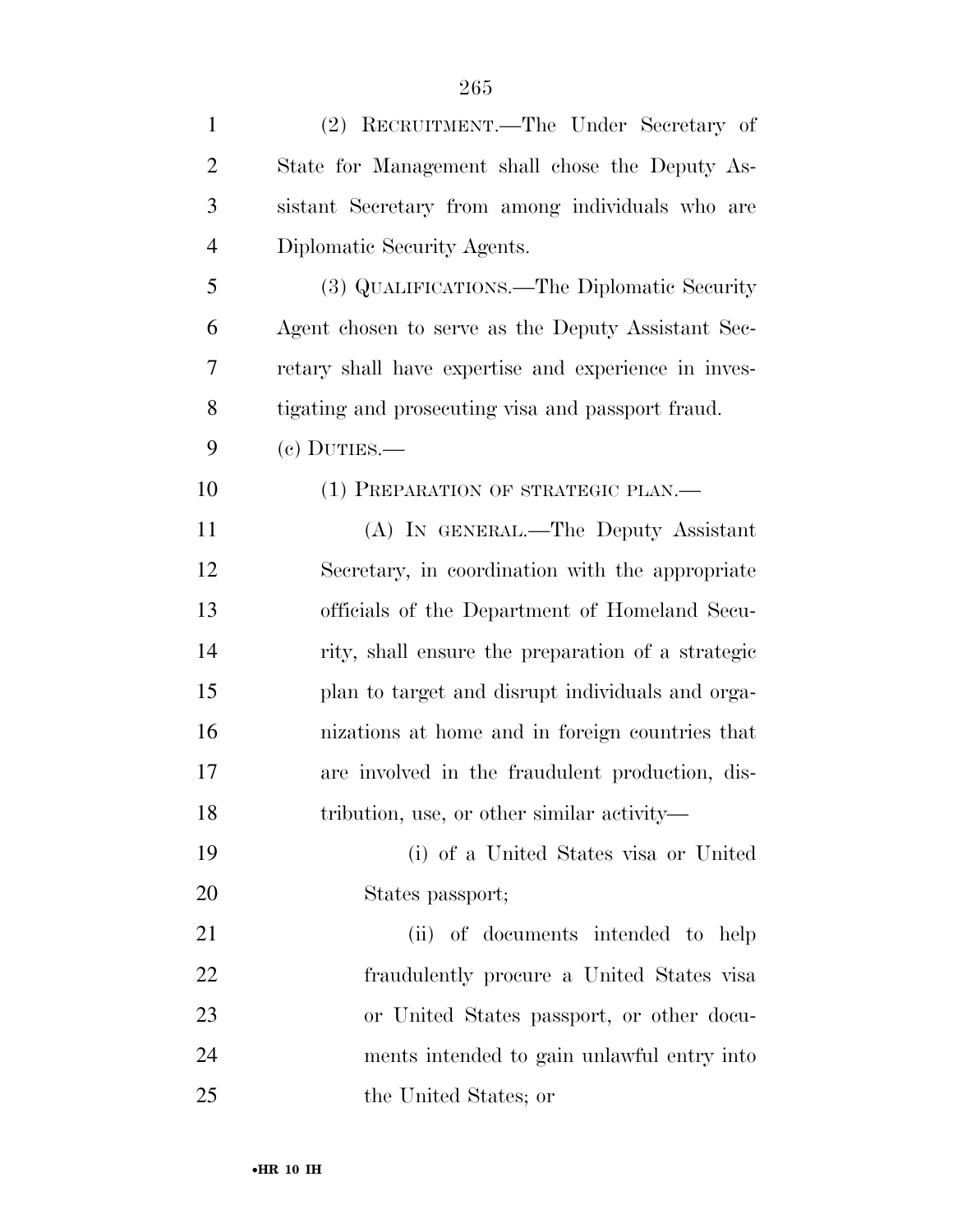| $\mathbf{1}$   | (2) RECRUITMENT.—The Under Secretary of              |
|----------------|------------------------------------------------------|
| $\overline{2}$ | State for Management shall chose the Deputy As-      |
| 3              | sistant Secretary from among individuals who are     |
| $\overline{4}$ | Diplomatic Security Agents.                          |
| 5              | (3) QUALIFICATIONS.—The Diplomatic Security          |
| 6              | Agent chosen to serve as the Deputy Assistant Sec-   |
| 7              | retary shall have expertise and experience in inves- |
| 8              | tigating and prosecuting visa and passport fraud.    |
| 9              | $(e)$ DUTIES.—                                       |
| 10             | (1) PREPARATION OF STRATEGIC PLAN.—                  |
| 11             | (A) IN GENERAL.—The Deputy Assistant                 |
| 12             | Secretary, in coordination with the appropriate      |
| 13             | officials of the Department of Homeland Secu-        |
| 14             | rity, shall ensure the preparation of a strategic    |
| 15             | plan to target and disrupt individuals and orga-     |
| 16             | nizations at home and in foreign countries that      |
| 17             | are involved in the fraudulent production, dis-      |
| 18             | tribution, use, or other similar activity—           |
| 19             | (i) of a United States visa or United                |
| 20             | States passport;                                     |
| 21             | (ii) of documents intended to help                   |
| 22             | fraudulently procure a United States visa            |
| 23             | or United States passport, or other docu-            |
| 24             | ments intended to gain unlawful entry into           |
| 25             | the United States; or                                |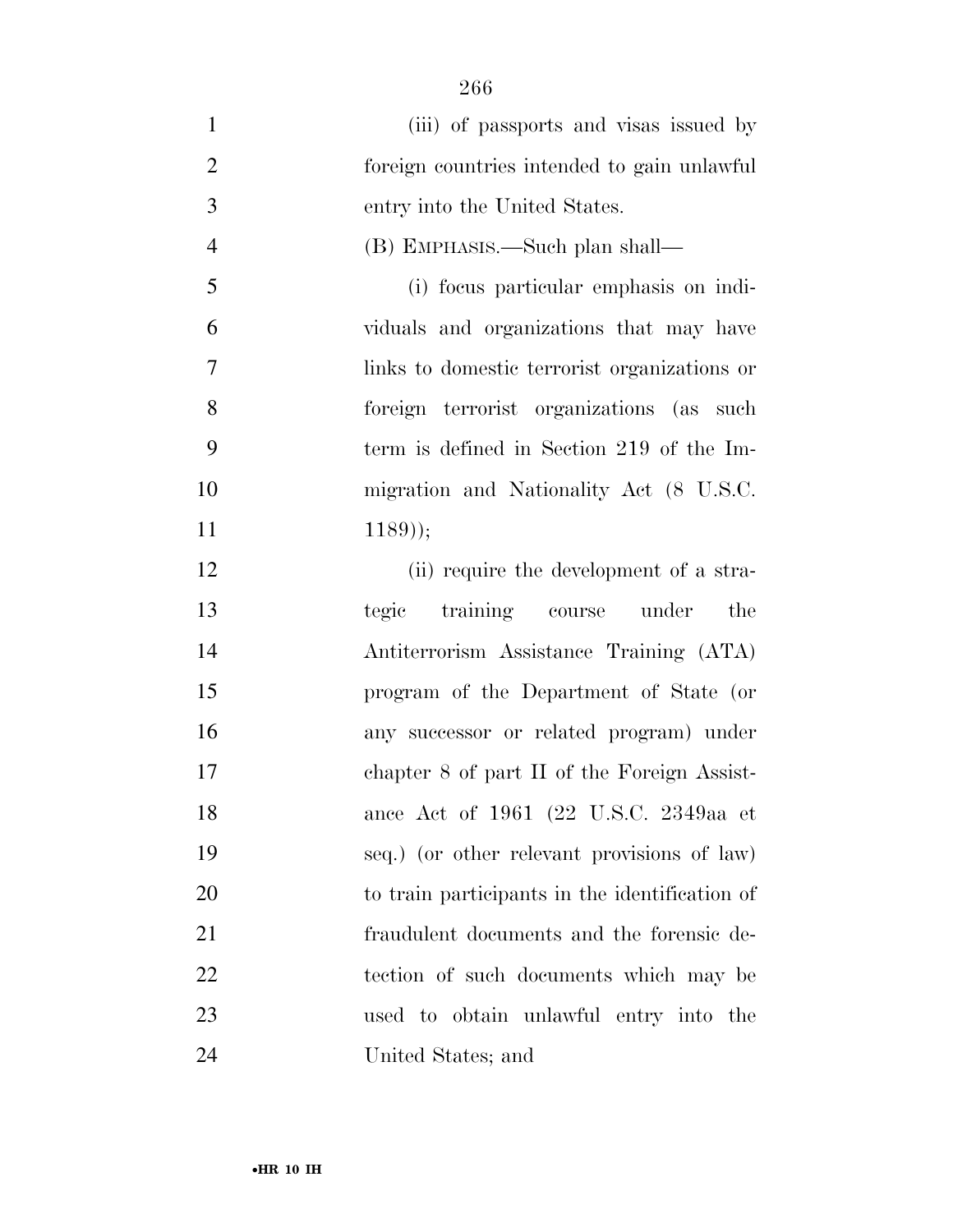| $\mathbf{1}$   | (iii) of passports and visas issued by         |
|----------------|------------------------------------------------|
| $\overline{2}$ | foreign countries intended to gain unlawful    |
| 3              | entry into the United States.                  |
| $\overline{4}$ | (B) EMPHASIS.—Such plan shall—                 |
| 5              | (i) focus particular emphasis on indi-         |
| 6              | viduals and organizations that may have        |
| $\tau$         | links to domestic terrorist organizations or   |
| 8              | foreign terrorist organizations (as such       |
| 9              | term is defined in Section 219 of the Im-      |
| 10             | migration and Nationality Act (8 U.S.C.        |
| 11             | $(1189)$ ;                                     |
| 12             | (ii) require the development of a stra-        |
| 13             | training course under<br>tegic<br>the          |
| 14             | Antiterrorism Assistance Training (ATA)        |
| 15             | program of the Department of State (or         |
| 16             | any successor or related program) under        |
| 17             | chapter 8 of part II of the Foreign Assist-    |
| 18             | ance Act of 1961 (22 U.S.C. 2349aa et          |
| 19             | seq.) (or other relevant provisions of law)    |
| <b>20</b>      | to train participants in the identification of |
| 21             | fraudulent documents and the forensic de-      |
| 22             | tection of such documents which may be         |
| 23             | used to obtain unlawful entry into the         |
| 24             | United States; and                             |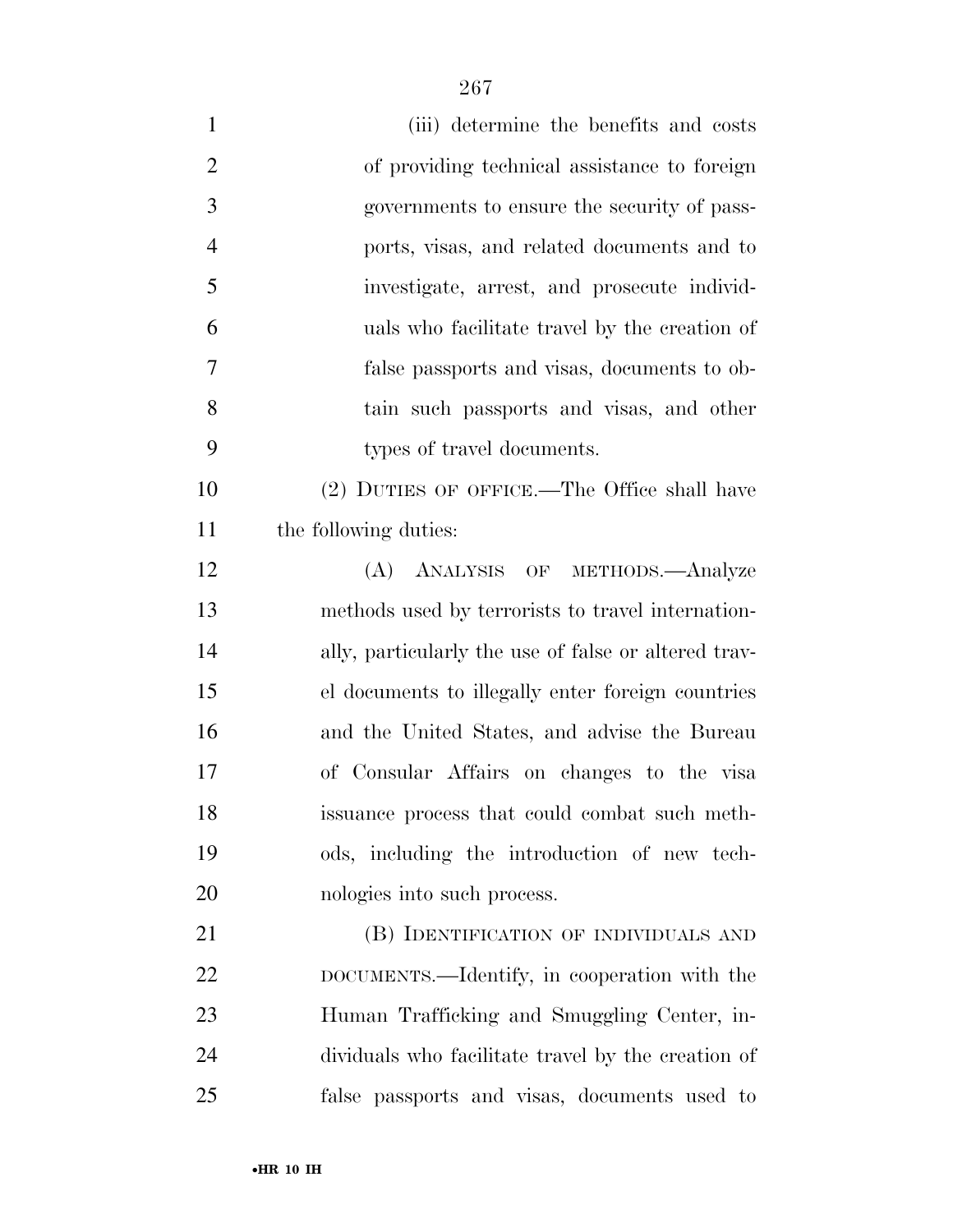| $\mathbf{1}$   | (iii) determine the benefits and costs               |
|----------------|------------------------------------------------------|
| $\overline{2}$ | of providing technical assistance to foreign         |
| 3              | governments to ensure the security of pass-          |
| $\overline{4}$ | ports, visas, and related documents and to           |
| 5              | investigate, arrest, and prosecute individ-          |
| 6              | uals who facilitate travel by the creation of        |
| $\overline{7}$ | false passports and visas, documents to ob-          |
| 8              | tain such passports and visas, and other             |
| 9              | types of travel documents.                           |
| 10             | (2) DUTIES OF OFFICE.—The Office shall have          |
| 11             | the following duties:                                |
| 12             | (A) ANALYSIS OF METHODS.—Analyze                     |
| 13             | methods used by terrorists to travel internation-    |
| 14             | ally, particularly the use of false or altered trav- |
| 15             | el documents to illegally enter foreign countries    |
| 16             | and the United States, and advise the Bureau         |
| 17             | of Consular Affairs on changes to the visa           |
| 18             | issuance process that could combat such meth-        |
| 19             | ods, including the introduction of new tech-         |
| 20             | nologies into such process.                          |
| 21             | (B) IDENTIFICATION OF INDIVIDUALS AND                |
| 22             | DOCUMENTS.—Identify, in cooperation with the         |
| 23             | Human Trafficking and Smuggling Center, in-          |
| 24             | dividuals who facilitate travel by the creation of   |
| 25             | false passports and visas, documents used to         |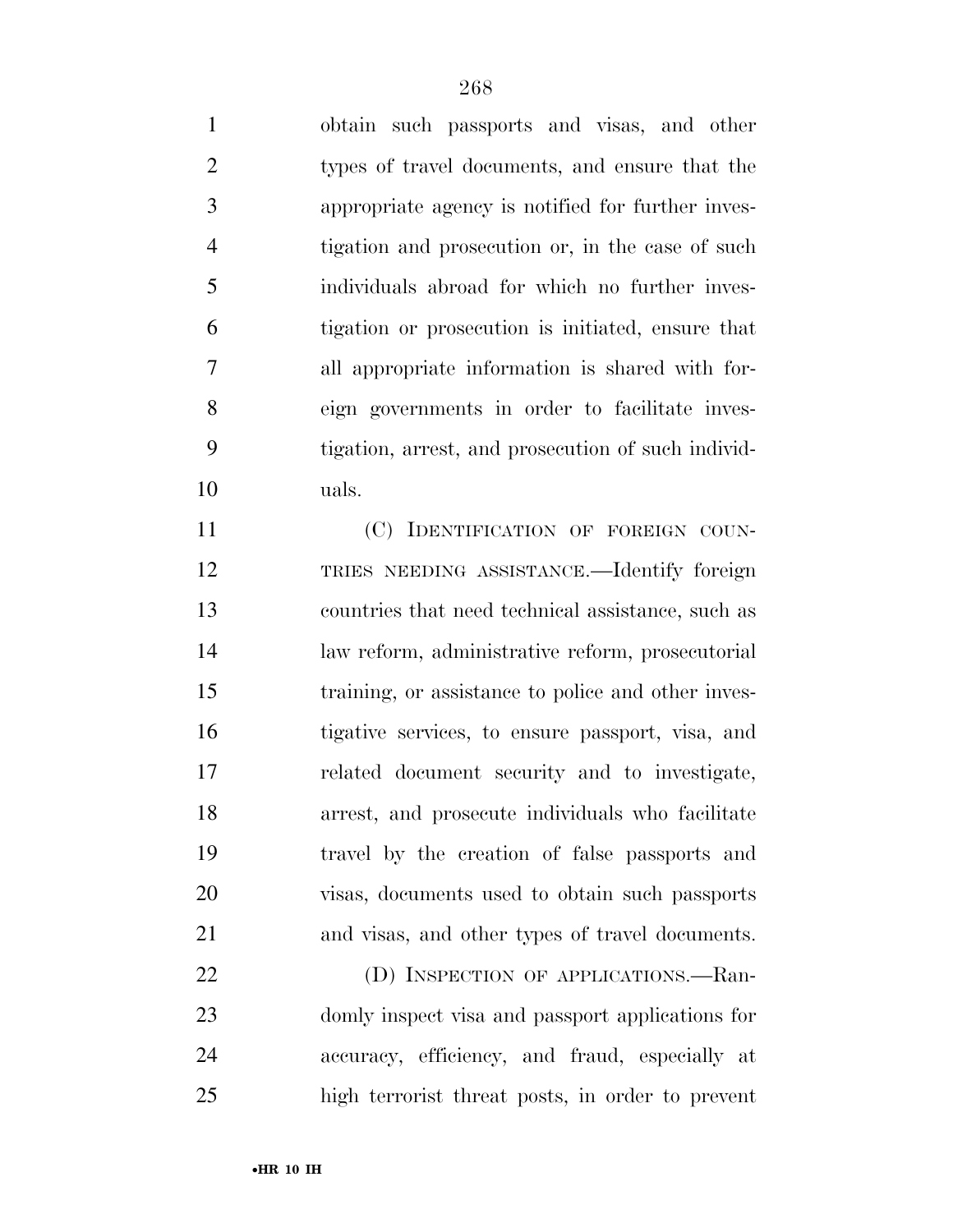obtain such passports and visas, and other types of travel documents, and ensure that the appropriate agency is notified for further inves- tigation and prosecution or, in the case of such individuals abroad for which no further inves- tigation or prosecution is initiated, ensure that all appropriate information is shared with for- eign governments in order to facilitate inves- tigation, arrest, and prosecution of such individ-uals.

 (C) IDENTIFICATION OF FOREIGN COUN- TRIES NEEDING ASSISTANCE.—Identify foreign countries that need technical assistance, such as law reform, administrative reform, prosecutorial training, or assistance to police and other inves- tigative services, to ensure passport, visa, and related document security and to investigate, arrest, and prosecute individuals who facilitate travel by the creation of false passports and visas, documents used to obtain such passports and visas, and other types of travel documents.

22 (D) INSPECTION OF APPLICATIONS.—Ran- domly inspect visa and passport applications for accuracy, efficiency, and fraud, especially at high terrorist threat posts, in order to prevent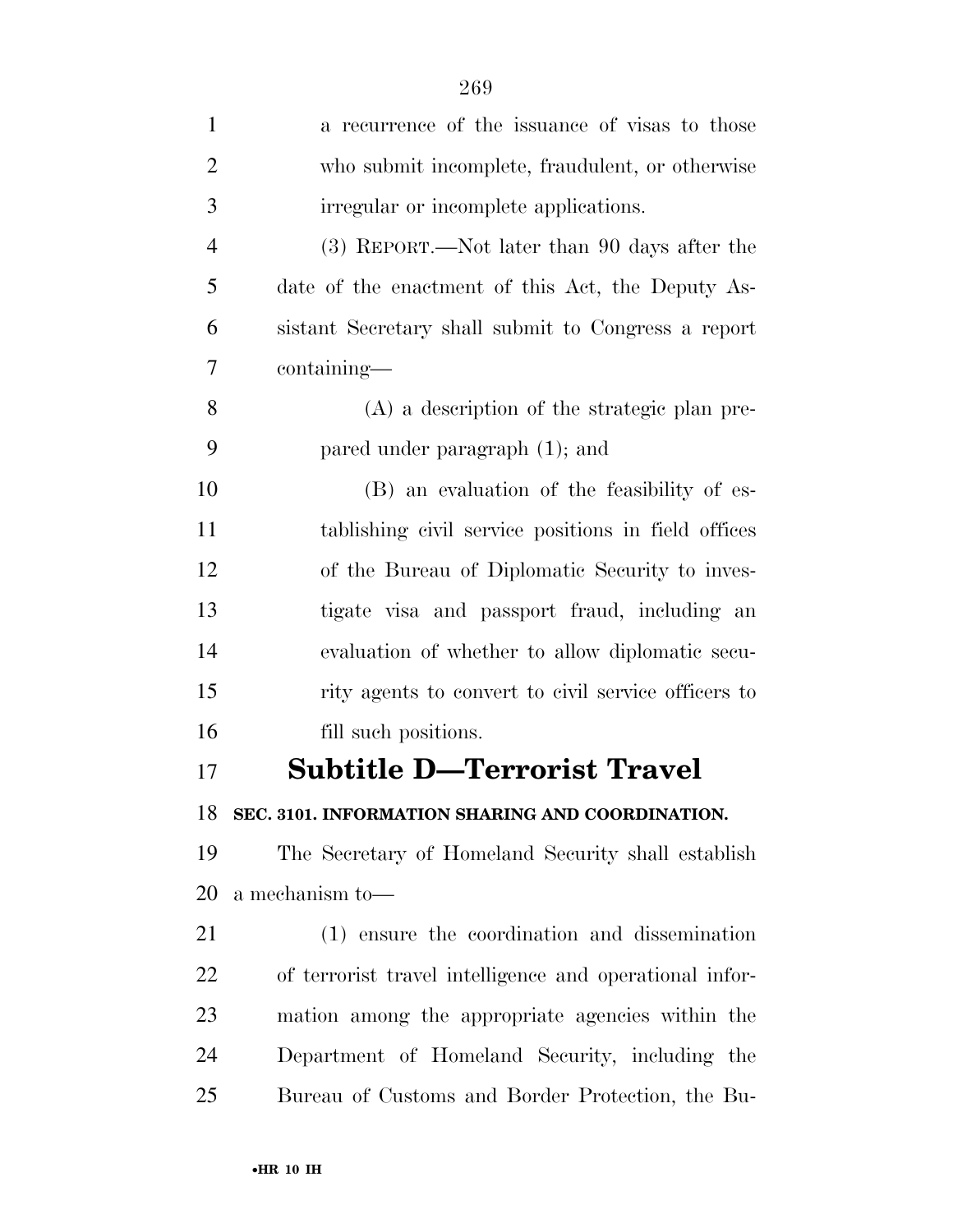| $\mathbf{1}$   | a recurrence of the issuance of visas to those          |
|----------------|---------------------------------------------------------|
| $\overline{2}$ | who submit incomplete, fraudulent, or otherwise         |
| 3              | irregular or incomplete applications.                   |
| $\overline{4}$ | (3) REPORT.—Not later than 90 days after the            |
| 5              | date of the enactment of this Act, the Deputy As-       |
| 6              | sistant Secretary shall submit to Congress a report     |
| $\overline{7}$ | containing—                                             |
| 8              | (A) a description of the strategic plan pre-            |
| 9              | pared under paragraph (1); and                          |
| 10             | (B) an evaluation of the feasibility of es-             |
| 11             | tablishing civil service positions in field offices     |
| 12             | of the Bureau of Diplomatic Security to inves-          |
| 13             | tigate visa and passport fraud, including an            |
| 14             | evaluation of whether to allow diplomatic secu-         |
| 15             | rity agents to convert to civil service officers to     |
| 16             | fill such positions.                                    |
| 17             | <b>Subtitle D-Terrorist Travel</b>                      |
| 18             | SEC. 3101. INFORMATION SHARING AND COORDINATION.        |
| 19             | The Secretary of Homeland Security shall establish      |
| 20             | a mechanism to-                                         |
| 21             | (1) ensure the coordination and dissemination           |
| 22             | of terrorist travel intelligence and operational infor- |
| 23             | mation among the appropriate agencies within the        |
| 24             | Department of Homeland Security, including the          |
| 25             | Bureau of Customs and Border Protection, the Bu-        |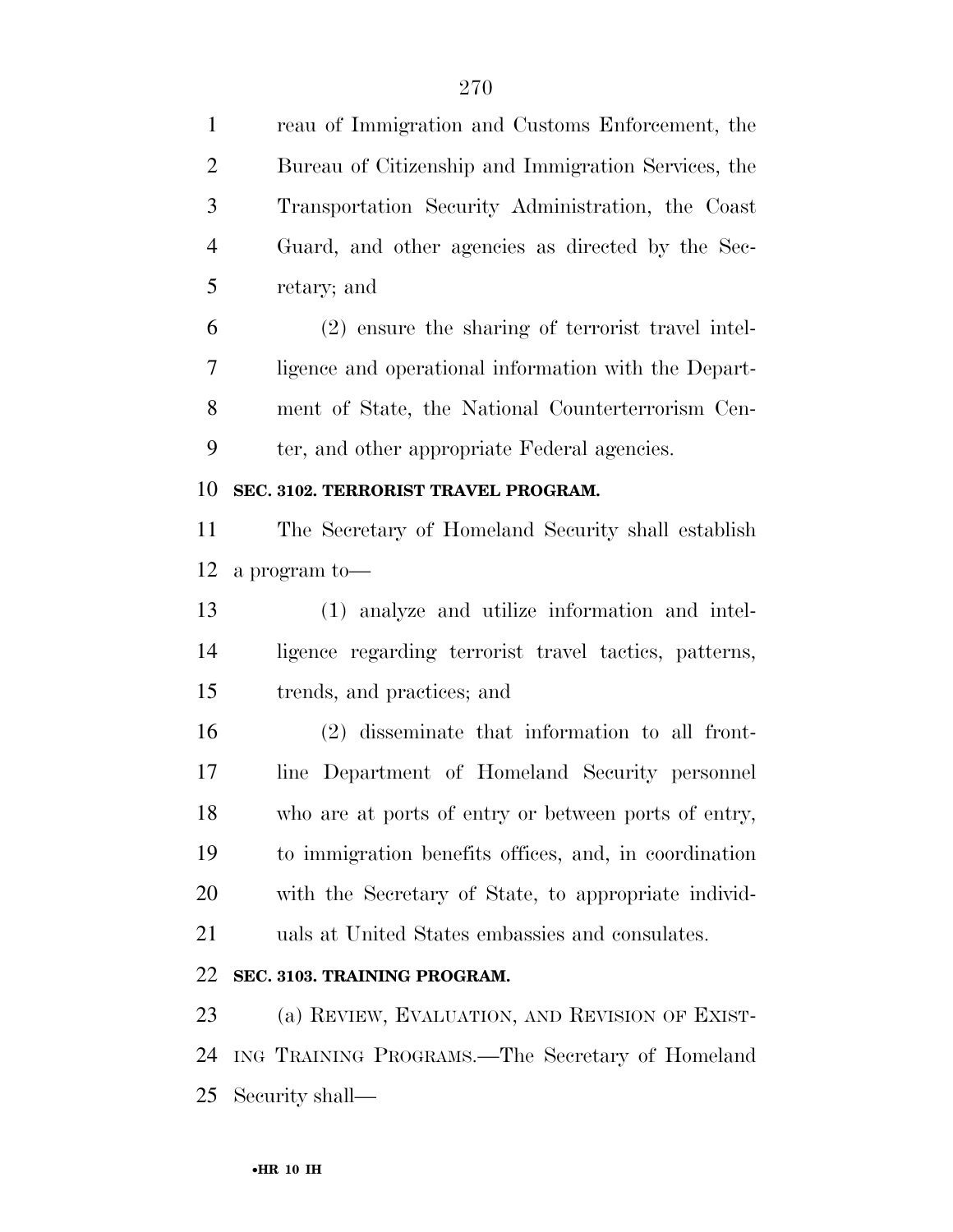reau of Immigration and Customs Enforcement, the Bureau of Citizenship and Immigration Services, the Transportation Security Administration, the Coast Guard, and other agencies as directed by the Sec- retary; and (2) ensure the sharing of terrorist travel intel- ligence and operational information with the Depart- ment of State, the National Counterterrorism Cen- ter, and other appropriate Federal agencies. **SEC. 3102. TERRORIST TRAVEL PROGRAM.**  The Secretary of Homeland Security shall establish a program to— (1) analyze and utilize information and intel- ligence regarding terrorist travel tactics, patterns, trends, and practices; and (2) disseminate that information to all front- line Department of Homeland Security personnel who are at ports of entry or between ports of entry, to immigration benefits offices, and, in coordination with the Secretary of State, to appropriate individ- uals at United States embassies and consulates. **SEC. 3103. TRAINING PROGRAM.**  (a) REVIEW, EVALUATION, AND REVISION OF EXIST- ING TRAINING PROGRAMS.—The Secretary of Homeland Security shall—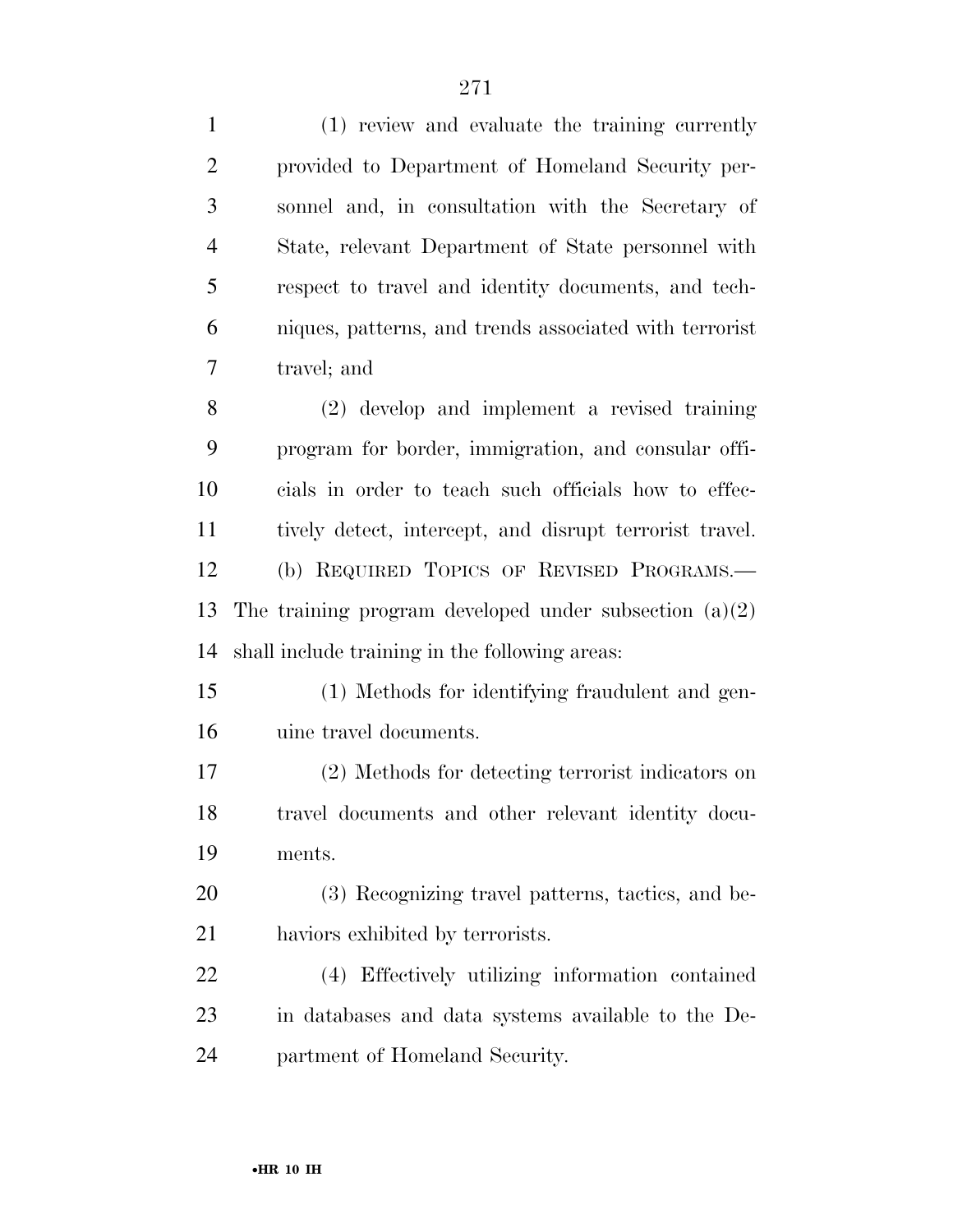| $\mathbf{1}$   | (1) review and evaluate the training currently           |
|----------------|----------------------------------------------------------|
| $\overline{2}$ | provided to Department of Homeland Security per-         |
| 3              | sonnel and, in consultation with the Secretary of        |
| $\overline{4}$ | State, relevant Department of State personnel with       |
| 5              | respect to travel and identity documents, and tech-      |
| 6              | niques, patterns, and trends associated with terrorist   |
| 7              | travel; and                                              |
| 8              | (2) develop and implement a revised training             |
| 9              | program for border, immigration, and consular offi-      |
| 10             | cials in order to teach such officials how to effec-     |
| 11             | tively detect, intercept, and disrupt terrorist travel.  |
| 12             | (b) REQUIRED TOPICS OF REVISED PROGRAMS.-                |
| 13             | The training program developed under subsection $(a)(2)$ |
| 14             | shall include training in the following areas:           |
| 15             | (1) Methods for identifying fraudulent and gen-          |
| 16             | uine travel documents.                                   |
| 17             | (2) Methods for detecting terrorist indicators on        |
| 18             | travel documents and other relevant identity docu-       |
| 19             | ments.                                                   |
| 20             | (3) Recognizing travel patterns, tactics, and be-        |
| 21             | haviors exhibited by terrorists.                         |
| 22             | (4) Effectively utilizing information contained          |
| 23             | in databases and data systems available to the De-       |
| 24             | partment of Homeland Security.                           |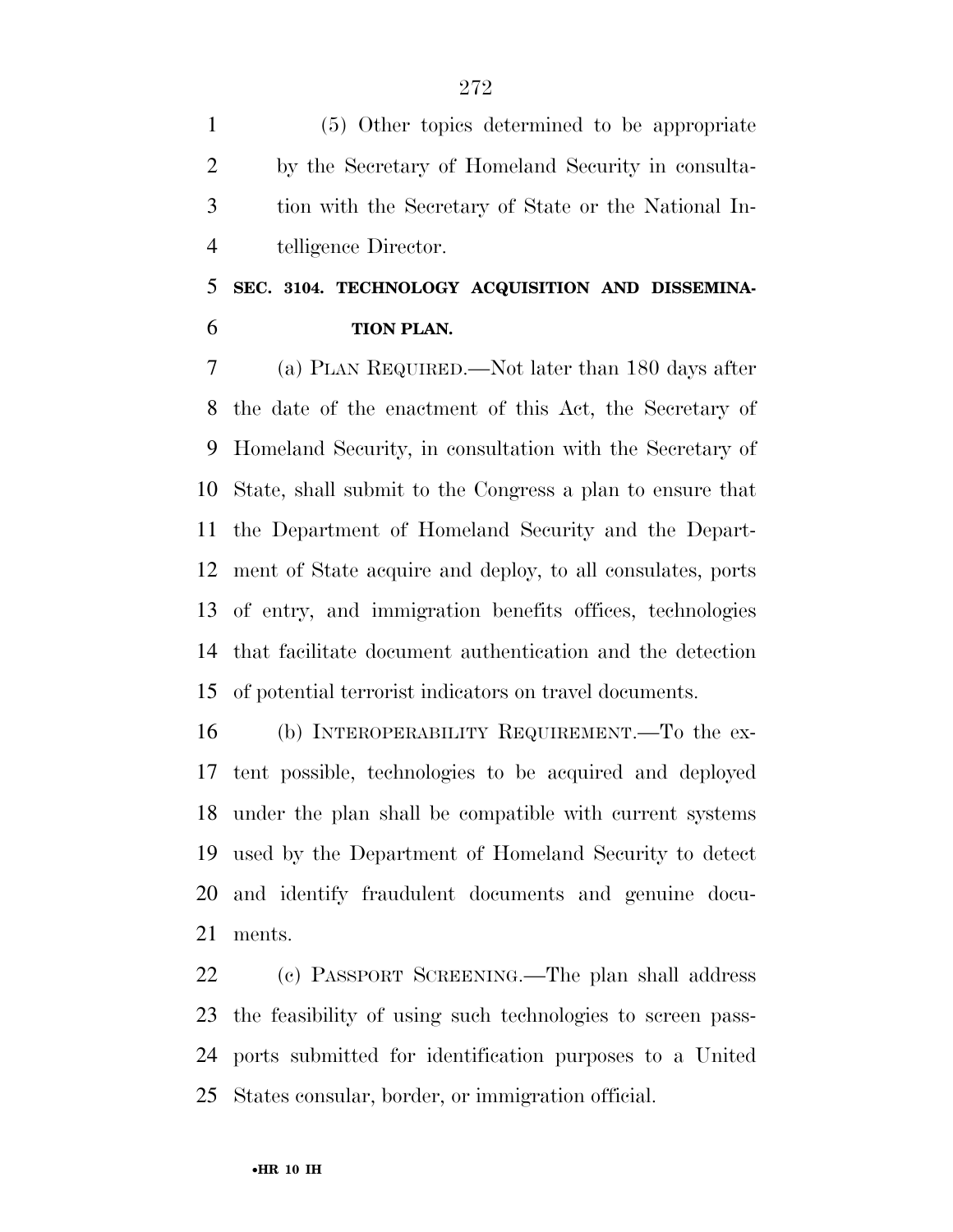(5) Other topics determined to be appropriate by the Secretary of Homeland Security in consulta- tion with the Secretary of State or the National In-telligence Director.

### **SEC. 3104. TECHNOLOGY ACQUISITION AND DISSEMINA-TION PLAN.**

 (a) PLAN REQUIRED.—Not later than 180 days after the date of the enactment of this Act, the Secretary of Homeland Security, in consultation with the Secretary of State, shall submit to the Congress a plan to ensure that the Department of Homeland Security and the Depart- ment of State acquire and deploy, to all consulates, ports of entry, and immigration benefits offices, technologies that facilitate document authentication and the detection of potential terrorist indicators on travel documents.

 (b) INTEROPERABILITY REQUIREMENT.—To the ex- tent possible, technologies to be acquired and deployed under the plan shall be compatible with current systems used by the Department of Homeland Security to detect and identify fraudulent documents and genuine docu-ments.

 (c) PASSPORT SCREENING.—The plan shall address the feasibility of using such technologies to screen pass- ports submitted for identification purposes to a United States consular, border, or immigration official.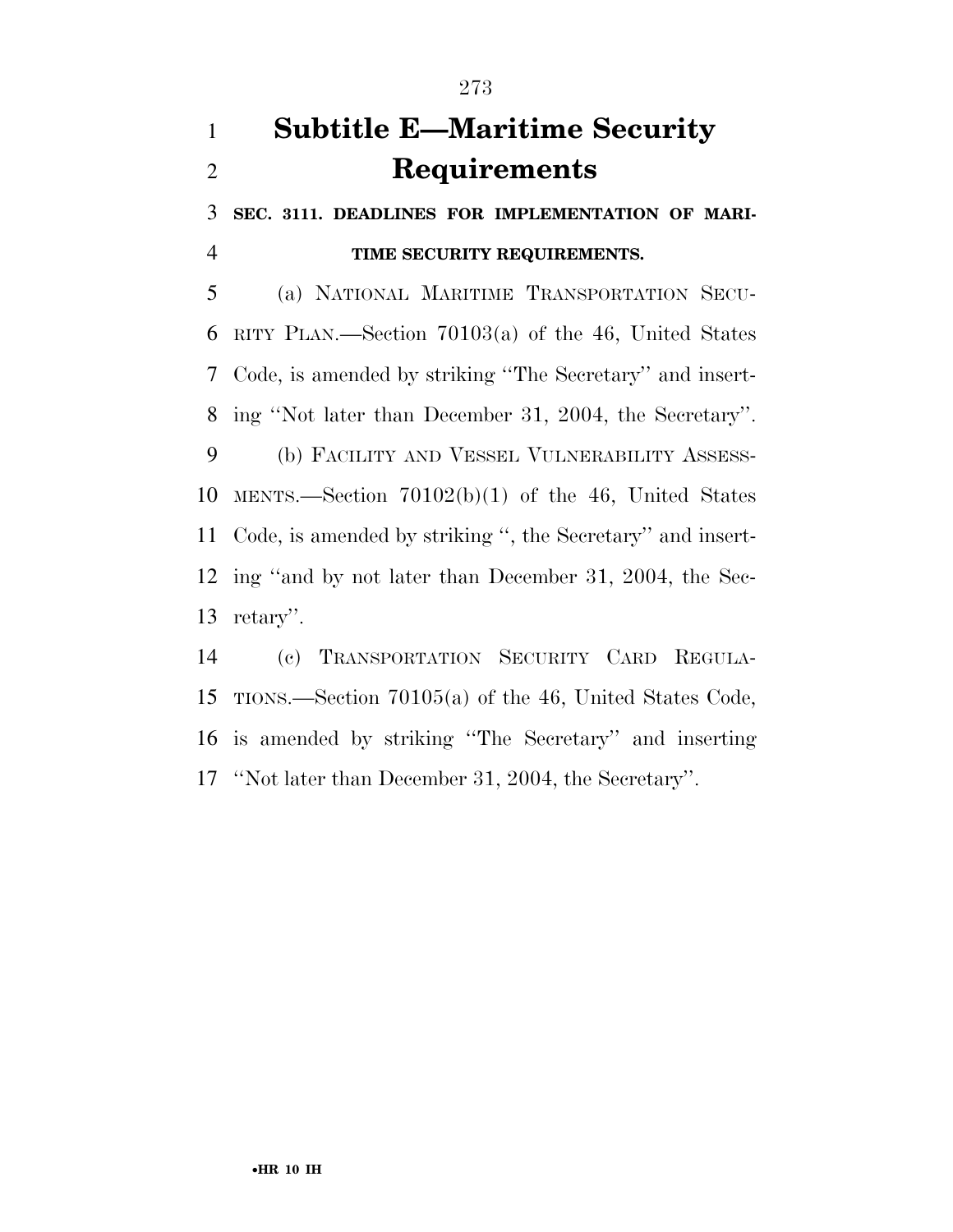# **Subtitle E—Maritime Security Requirements**

 **SEC. 3111. DEADLINES FOR IMPLEMENTATION OF MARI-TIME SECURITY REQUIREMENTS.** 

 (a) NATIONAL MARITIME TRANSPORTATION SECU- RITY PLAN.—Section 70103(a) of the 46, United States Code, is amended by striking ''The Secretary'' and insert- ing ''Not later than December 31, 2004, the Secretary''. (b) FACILITY AND VESSEL VULNERABILITY ASSESS- MENTS.—Section 70102(b)(1) of the 46, United States Code, is amended by striking '', the Secretary'' and insert- ing ''and by not later than December 31, 2004, the Sec-retary''.

 (c) TRANSPORTATION SECURITY CARD REGULA- TIONS.—Section 70105(a) of the 46, United States Code, is amended by striking ''The Secretary'' and inserting ''Not later than December 31, 2004, the Secretary''.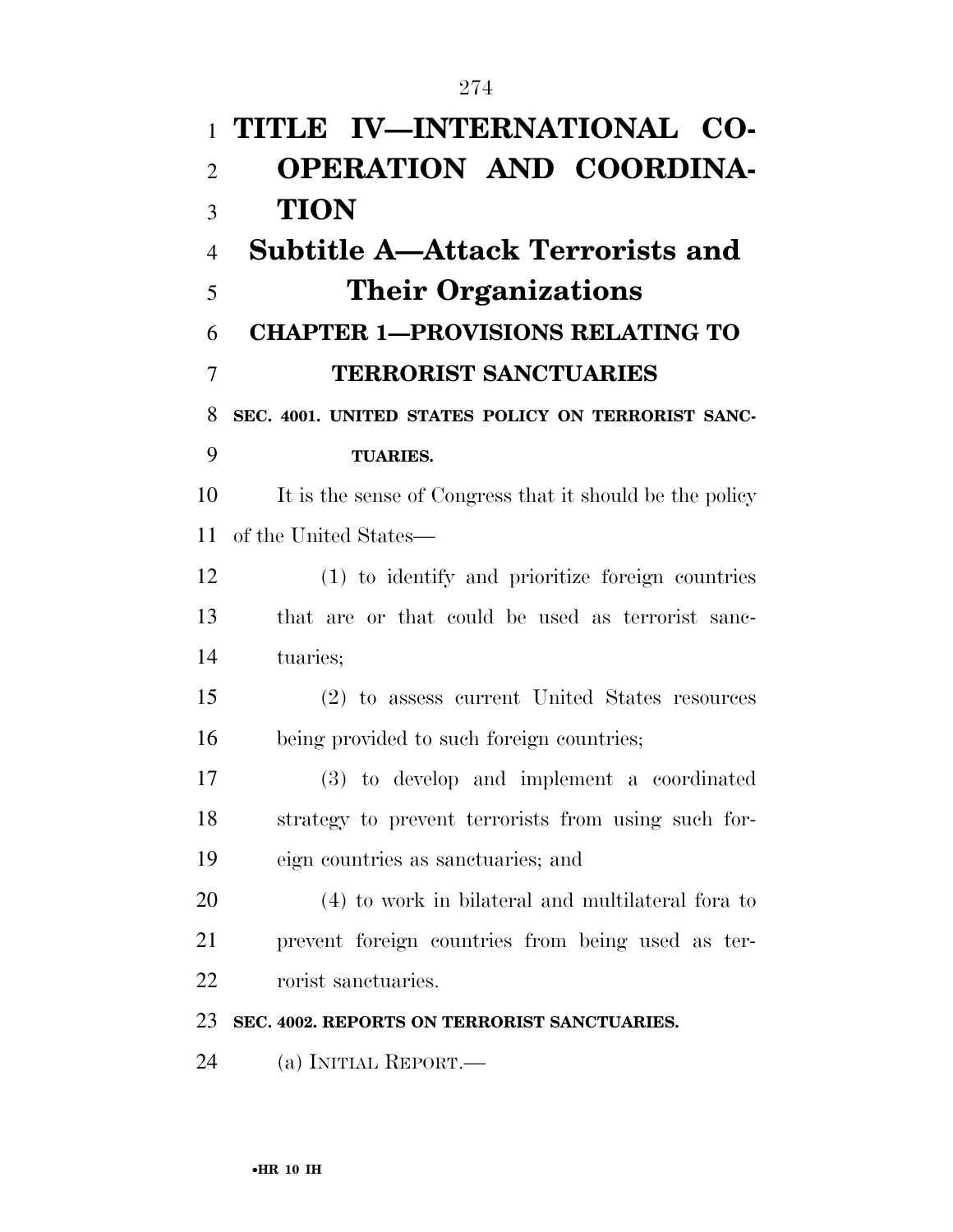| $\mathbf{1}$   | TITLE IV-INTERNATIONAL CO-                               |
|----------------|----------------------------------------------------------|
| $\overline{2}$ | <b>OPERATION AND COORDINA-</b>                           |
| 3              | <b>TION</b>                                              |
| $\overline{4}$ | <b>Subtitle A—Attack Terrorists and</b>                  |
| 5              | <b>Their Organizations</b>                               |
| 6              | <b>CHAPTER 1-PROVISIONS RELATING TO</b>                  |
| 7              | <b>TERRORIST SANCTUARIES</b>                             |
| 8              | SEC. 4001. UNITED STATES POLICY ON TERRORIST SANC-       |
| 9              | <b>TUARIES.</b>                                          |
| 10             | It is the sense of Congress that it should be the policy |
| 11             | of the United States—                                    |
| 12             | (1) to identify and prioritize foreign countries         |
| 13             | that are or that could be used as terrorist sanc-        |
| 14             | tuaries;                                                 |
| 15             | (2) to assess current United States resources            |
| 16             | being provided to such foreign countries;                |
| 17             | (3) to develop and implement a coordinated               |
| 18             | strategy to prevent terrorists from using such for-      |
| 19             | eign countries as sanctuaries; and                       |
| 20             | (4) to work in bilateral and multilateral fora to        |
| 21             | prevent foreign countries from being used as ter-        |
| 22             | rorist sanctuaries.                                      |
| 23             | SEC. 4002. REPORTS ON TERRORIST SANCTUARIES.             |
| 24             | (a) INITIAL REPORT.—                                     |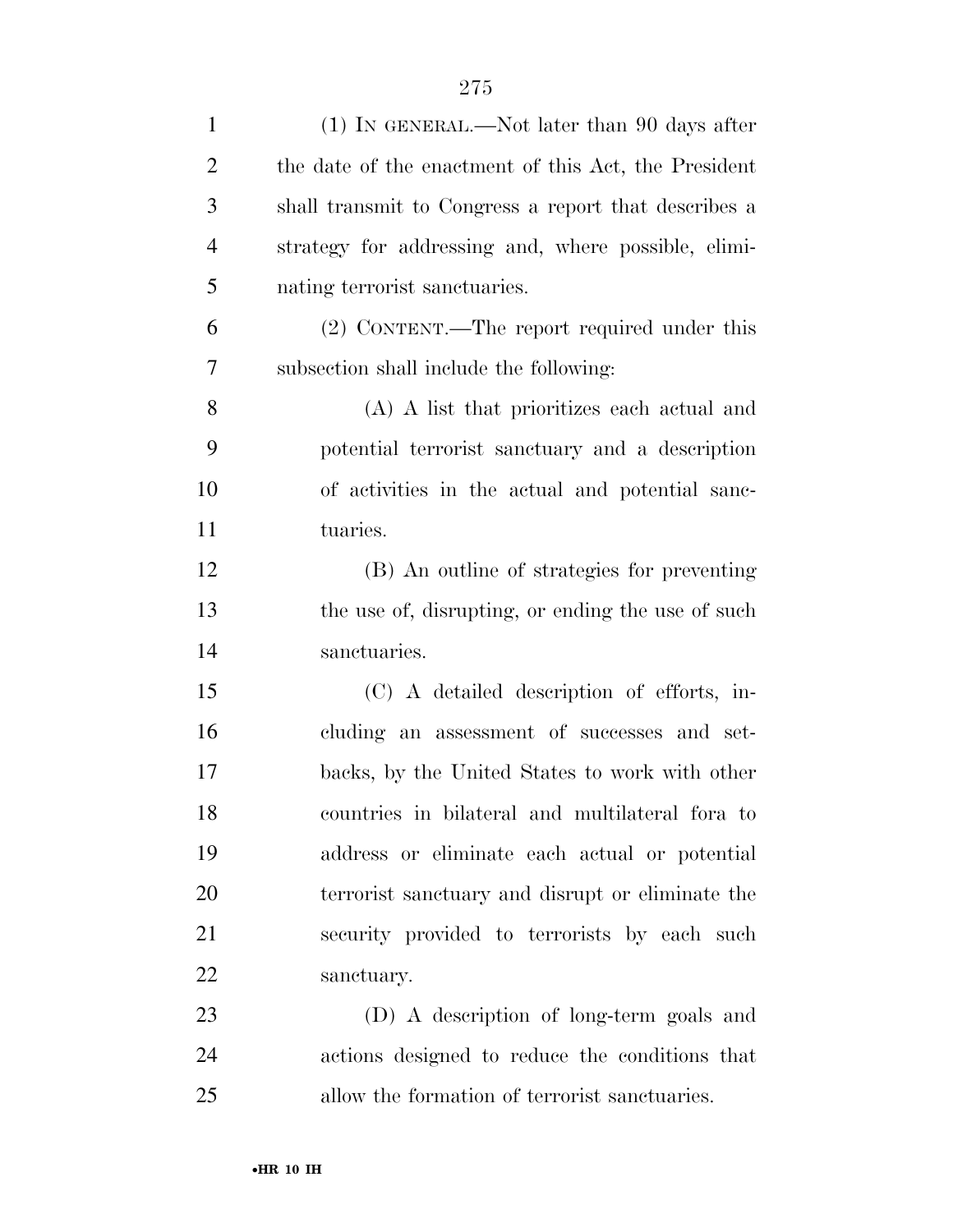| $\mathbf{1}$   | $(1)$ In GENERAL.—Not later than 90 days after       |
|----------------|------------------------------------------------------|
| $\overline{2}$ | the date of the enactment of this Act, the President |
| 3              | shall transmit to Congress a report that describes a |
| $\overline{4}$ | strategy for addressing and, where possible, elimi-  |
| 5              | nating terrorist sanctuaries.                        |
| 6              | (2) CONTENT.—The report required under this          |
| 7              | subsection shall include the following:              |
| 8              | (A) A list that prioritizes each actual and          |
| 9              | potential terrorist sanctuary and a description      |
| 10             | of activities in the actual and potential sanc-      |
| 11             | tuaries.                                             |
| 12             | (B) An outline of strategies for preventing          |
| 13             | the use of, disrupting, or ending the use of such    |
| 14             | sanctuaries.                                         |
| 15             | (C) A detailed description of efforts, in-           |
| 16             | cluding an assessment of successes and set-          |
| 17             | backs, by the United States to work with other       |
| 18             | countries in bilateral and multilateral for ato      |
| 19             | address or eliminate each actual or potential        |
| 20             | terrorist sanctuary and disrupt or eliminate the     |
| 21             | security provided to terrorists by each such         |
| 22             | sanctuary.                                           |
| 23             | (D) A description of long-term goals and             |
| 24             | actions designed to reduce the conditions that       |
| 25             | allow the formation of terrorist sanctuaries.        |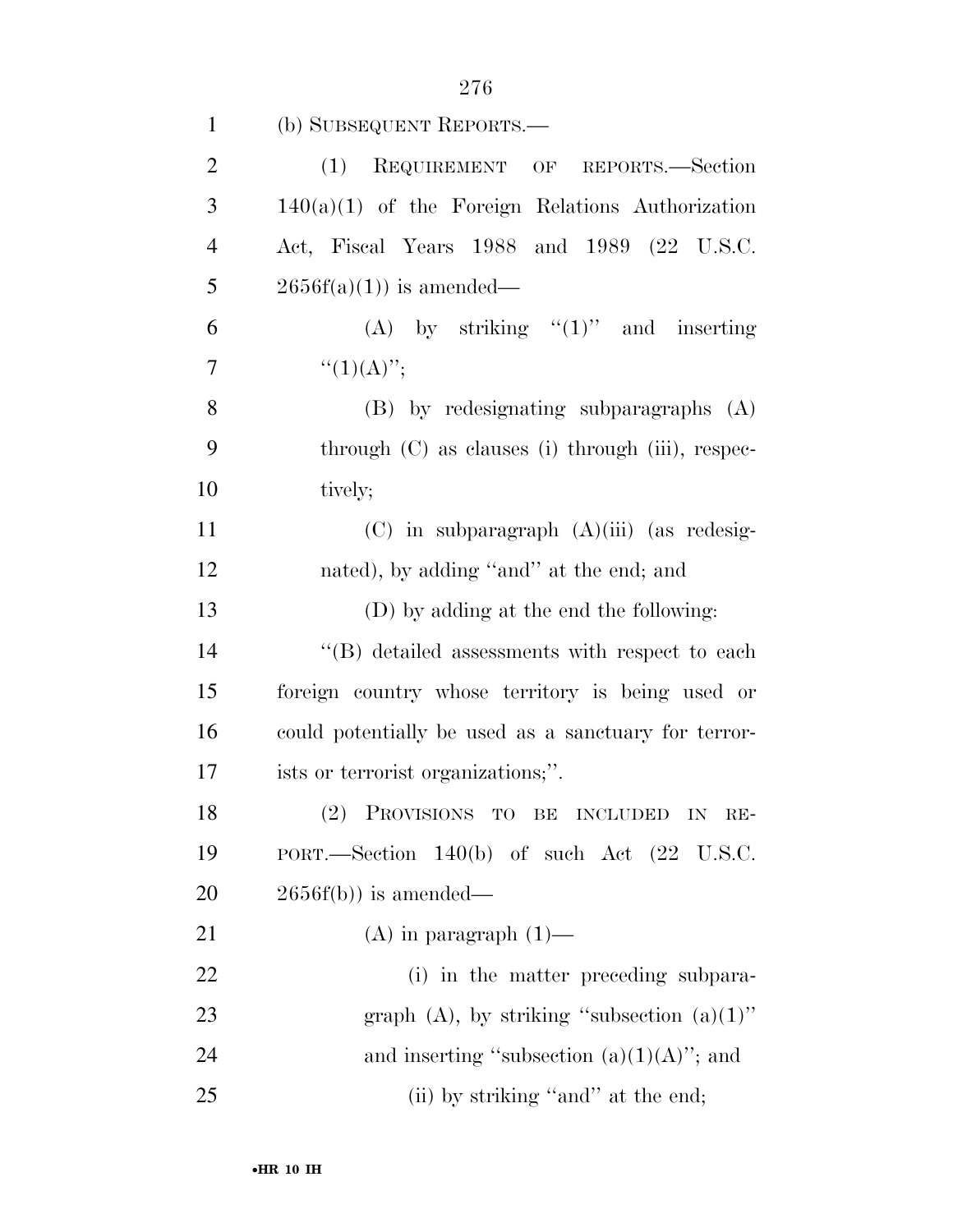| $\mathbf{1}$   | (b) SUBSEQUENT REPORTS.—                                 |
|----------------|----------------------------------------------------------|
| $\overline{2}$ | REQUIREMENT OF REPORTS.-Section<br>(1)                   |
| 3              | $140(a)(1)$ of the Foreign Relations Authorization       |
| $\overline{4}$ | Act, Fiscal Years 1988 and 1989 (22 U.S.C.               |
| 5              | $2656f(a)(1)$ is amended—                                |
| 6              | (A) by striking $"(1)"$ and inserting                    |
| $\overline{7}$ | $``(1)(A)''$ ;                                           |
| 8              | $(B)$ by redesignating subparagraphs $(A)$               |
| 9              | through (C) as clauses (i) through (iii), respec-        |
| 10             | tively;                                                  |
| 11             | $(C)$ in subparagraph $(A)(iii)$ (as redesig-            |
| 12             | nated), by adding "and" at the end; and                  |
| 13             | (D) by adding at the end the following:                  |
| 14             | "(B) detailed assessments with respect to each           |
| 15             | foreign country whose territory is being used or         |
| 16             | could potentially be used as a sanctuary for terror-     |
| 17             | ists or terrorist organizations;".                       |
| 18             | (2) PROVISIONS TO BE INCLUDED IN RE-                     |
| 19             | PORT.—Section $140(b)$ of such Act $(22 \text{ U.S.C.})$ |
| 20             | $2656f(b)$ ) is amended—                                 |
| 21             | $(A)$ in paragraph $(1)$ —                               |
| 22             | (i) in the matter preceding subpara-                     |
| 23             | graph (A), by striking "subsection $(a)(1)$ "            |
| 24             | and inserting "subsection $(a)(1)(A)$ "; and             |
| 25             | (ii) by striking "and" at the end;                       |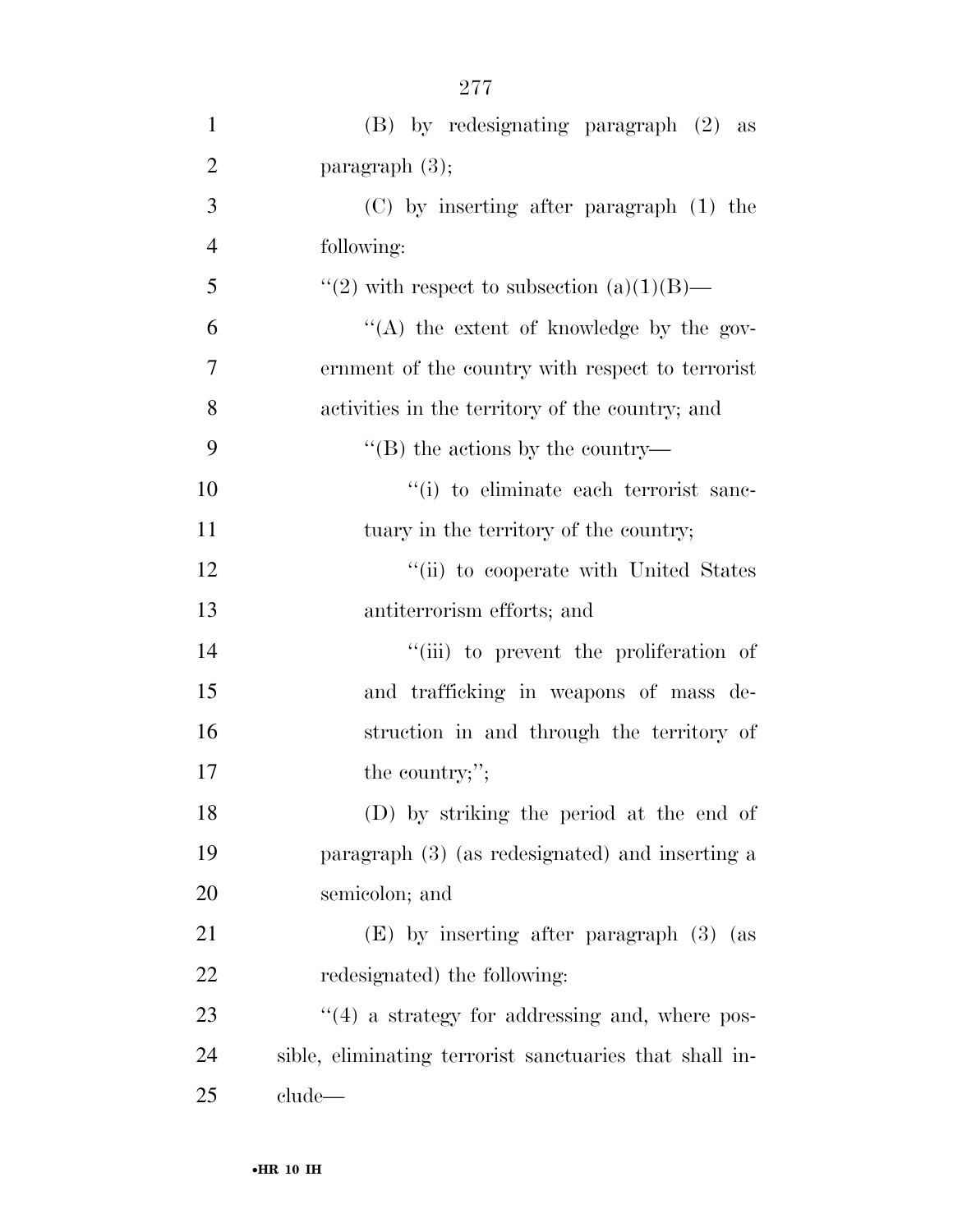| $\mathbf{1}$   | $(B)$ by redesignating paragraph $(2)$ as               |
|----------------|---------------------------------------------------------|
| $\overline{2}$ | paragraph $(3)$ ;                                       |
| 3              | $(C)$ by inserting after paragraph $(1)$ the            |
| $\overline{4}$ | following:                                              |
| 5              | "(2) with respect to subsection $(a)(1)(B)$ —           |
| 6              | "(A) the extent of knowledge by the gov-                |
| $\overline{7}$ | ernment of the country with respect to terrorist        |
| 8              | activities in the territory of the country; and         |
| 9              | $\lq\lq$ (B) the actions by the country—                |
| 10             | "(i) to eliminate each terrorist sanc-                  |
| 11             | tuary in the territory of the country;                  |
| 12             | "(ii) to cooperate with United States                   |
| 13             | antiterrorism efforts; and                              |
| 14             | "(iii) to prevent the proliferation of                  |
| 15             | and trafficking in weapons of mass de-                  |
| 16             | struction in and through the territory of               |
| 17             | the country;";                                          |
| 18             | (D) by striking the period at the end of                |
| 19             | paragraph (3) (as redesignated) and inserting a         |
| 20             | semicolon; and                                          |
| 21             | (E) by inserting after paragraph (3) (as                |
| 22             | redesignated) the following:                            |
| 23             | $\cdot$ (4) a strategy for addressing and, where pos-   |
| 24             | sible, eliminating terrorist sanctuaries that shall in- |
| 25             | clude                                                   |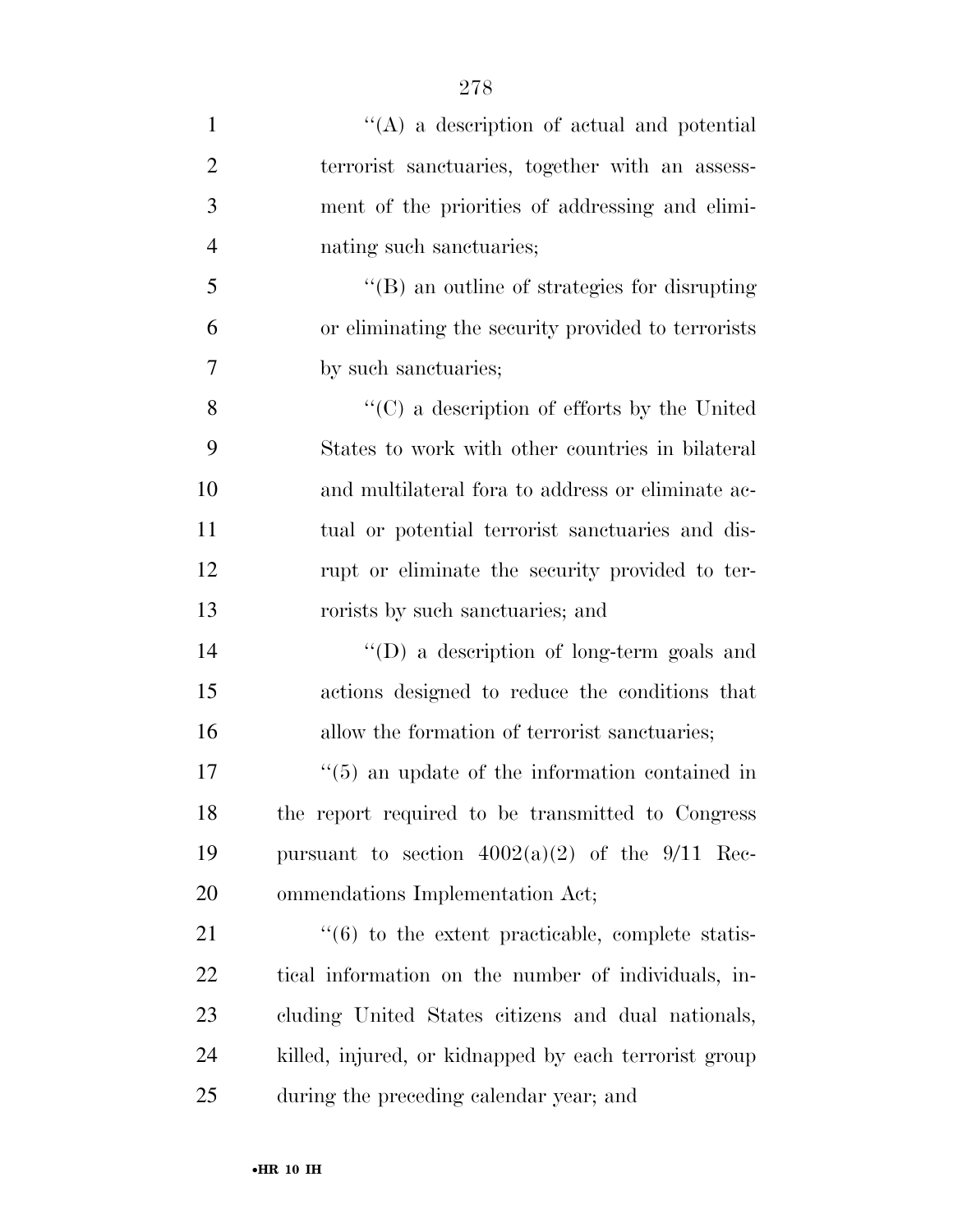| $\mathbf{1}$   | $\lq\lq$ a description of actual and potential                   |
|----------------|------------------------------------------------------------------|
| $\overline{2}$ | terrorist sanctuaries, together with an assess-                  |
| 3              | ment of the priorities of addressing and elimi-                  |
| $\overline{4}$ | nating such sanctuaries;                                         |
| 5              | "(B) an outline of strategies for disrupting                     |
| 6              | or eliminating the security provided to terrorists               |
| 7              | by such sanctuaries;                                             |
| 8              | $\lq\lq$ (C) a description of efforts by the United              |
| 9              | States to work with other countries in bilateral                 |
| 10             | and multilateral for ato address or eliminate ac-                |
| 11             | tual or potential terrorist sanctuaries and dis-                 |
| 12             | rupt or eliminate the security provided to ter-                  |
| 13             | rorists by such sanctuaries; and                                 |
| 14             | "(D) a description of long-term goals and                        |
| 15             | actions designed to reduce the conditions that                   |
| 16             | allow the formation of terrorist sanctuaries;                    |
| 17             | $\cdot\cdot$ (5) an update of the information contained in       |
| 18             | the report required to be transmitted to Congress                |
| 19             | pursuant to section $4002(a)(2)$ of the 9/11 Rec-                |
| 20             | ommendations Implementation Act;                                 |
| 21             | $\cdot\cdot\cdot(6)$ to the extent practicable, complete statis- |
| 22             | tical information on the number of individuals, in-              |
| 23             | cluding United States citizens and dual nationals,               |
| 24             | killed, injured, or kidnapped by each terrorist group            |
| 25             | during the preceding calendar year; and                          |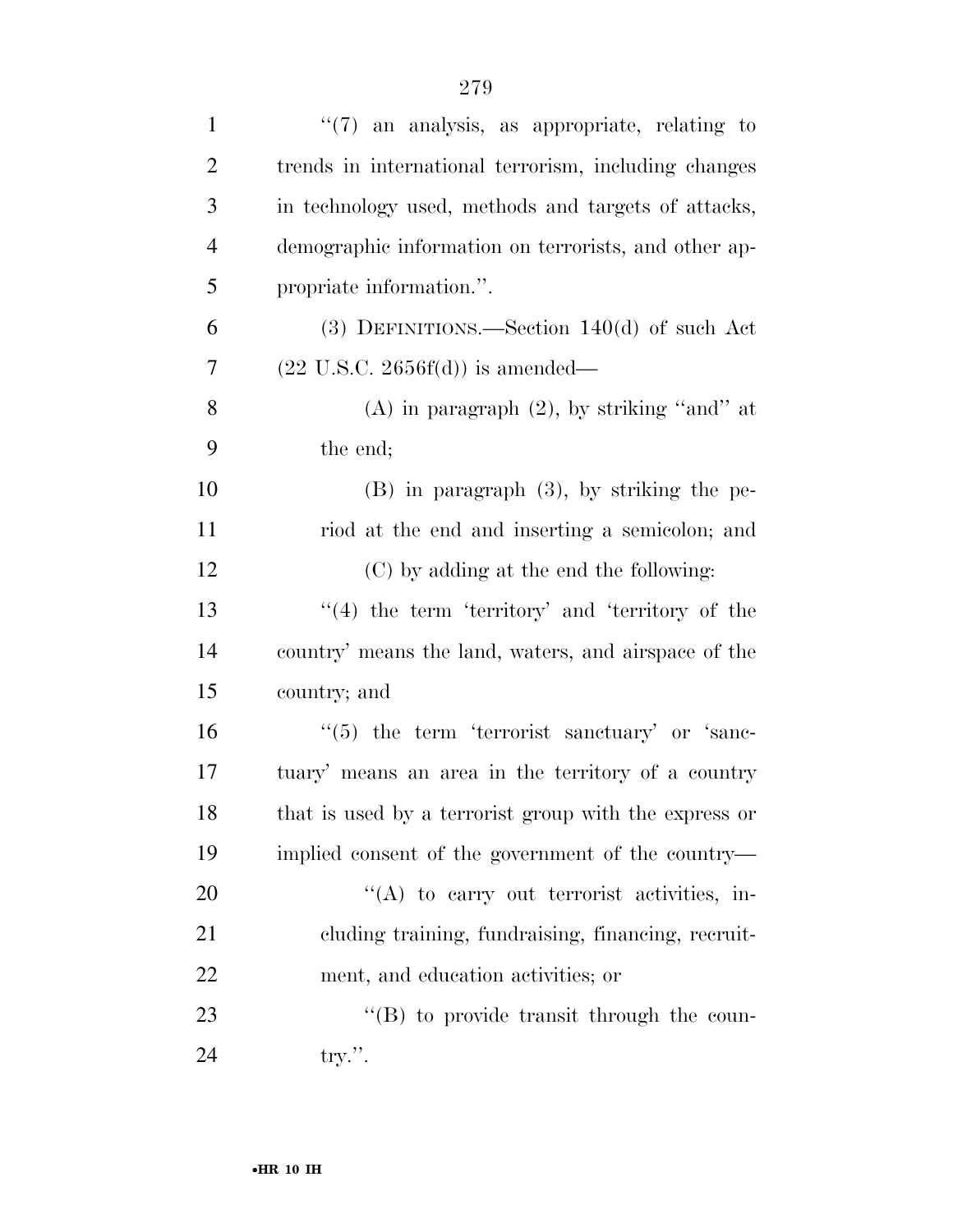| $\mathbf{1}$   | $\lq(7)$ an analysis, as appropriate, relating to     |
|----------------|-------------------------------------------------------|
| $\overline{c}$ | trends in international terrorism, including changes  |
| 3              | in technology used, methods and targets of attacks,   |
| $\overline{4}$ | demographic information on terrorists, and other ap-  |
| 5              | propriate information.".                              |
| 6              | $(3)$ DEFINITIONS.—Section 140 $(d)$ of such Act      |
| 7              | $(22 \text{ U.S.C. } 2656f(d))$ is amended—           |
| 8              | (A) in paragraph $(2)$ , by striking "and" at         |
| 9              | the end;                                              |
| 10             | $(B)$ in paragraph $(3)$ , by striking the pe-        |
| 11             | riod at the end and inserting a semicolon; and        |
| 12             | (C) by adding at the end the following:               |
| 13             | $\lq(4)$ the term 'territory' and 'territory of the   |
| 14             | country' means the land, waters, and airspace of the  |
| 15             | country; and                                          |
| 16             | $\lq(5)$ the term 'terrorist sanctuary' or 'sanc-     |
| 17             | tuary' means an area in the territory of a country    |
| 18             | that is used by a terrorist group with the express or |
| 19             | implied consent of the government of the country—     |
| 20             | "(A) to carry out terrorist activities, in-           |
| 21             | cluding training, fundraising, financing, recruit-    |
| 22             | ment, and education activities; or                    |
| 23             | "(B) to provide transit through the coun-             |
| 24             | try.''.                                               |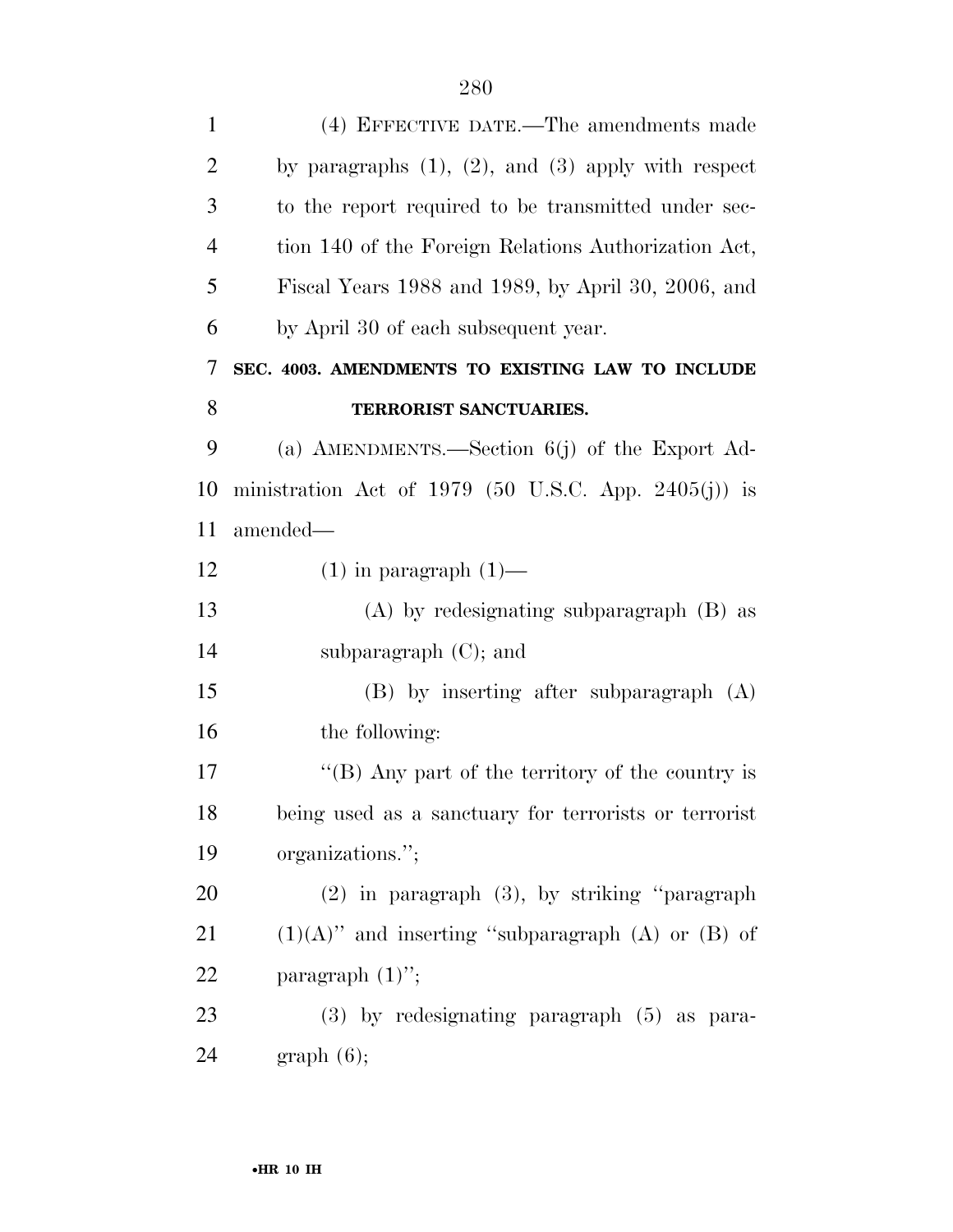| $\mathbf{1}$   | (4) EFFECTIVE DATE.—The amendments made                    |
|----------------|------------------------------------------------------------|
| $\overline{2}$ | by paragraphs $(1)$ , $(2)$ , and $(3)$ apply with respect |
| 3              | to the report required to be transmitted under sec-        |
| $\overline{4}$ | tion 140 of the Foreign Relations Authorization Act,       |
| 5              | Fiscal Years 1988 and 1989, by April 30, 2006, and         |
| 6              | by April 30 of each subsequent year.                       |
| 7              | SEC. 4003. AMENDMENTS TO EXISTING LAW TO INCLUDE           |
| 8              | TERRORIST SANCTUARIES.                                     |
| 9              | (a) AMENDMENTS.—Section $6(j)$ of the Export Ad-           |
| 10             | ministration Act of 1979 (50 U.S.C. App. 2405(j)) is       |
| 11             | amended—                                                   |
| 12             | $(1)$ in paragraph $(1)$ —                                 |
| 13             | $(A)$ by redesignating subparagraph $(B)$ as               |
| 14             | subparagraph $(C)$ ; and                                   |
| 15             | $(B)$ by inserting after subparagraph $(A)$                |
| 16             | the following:                                             |
| 17             | "(B) Any part of the territory of the country is           |
| 18             | being used as a sanctuary for terrorists or terrorist      |
| 19             | organizations.";                                           |
| 20             | $(2)$ in paragraph $(3)$ , by striking "paragraph          |
| 21             | $(1)(A)$ " and inserting "subparagraph $(A)$ or $(B)$ of   |
| 22             | paragraph $(1)$ ";                                         |
| 23             | $(3)$ by redesignating paragraph $(5)$ as para-            |
| 24             | graph(6);                                                  |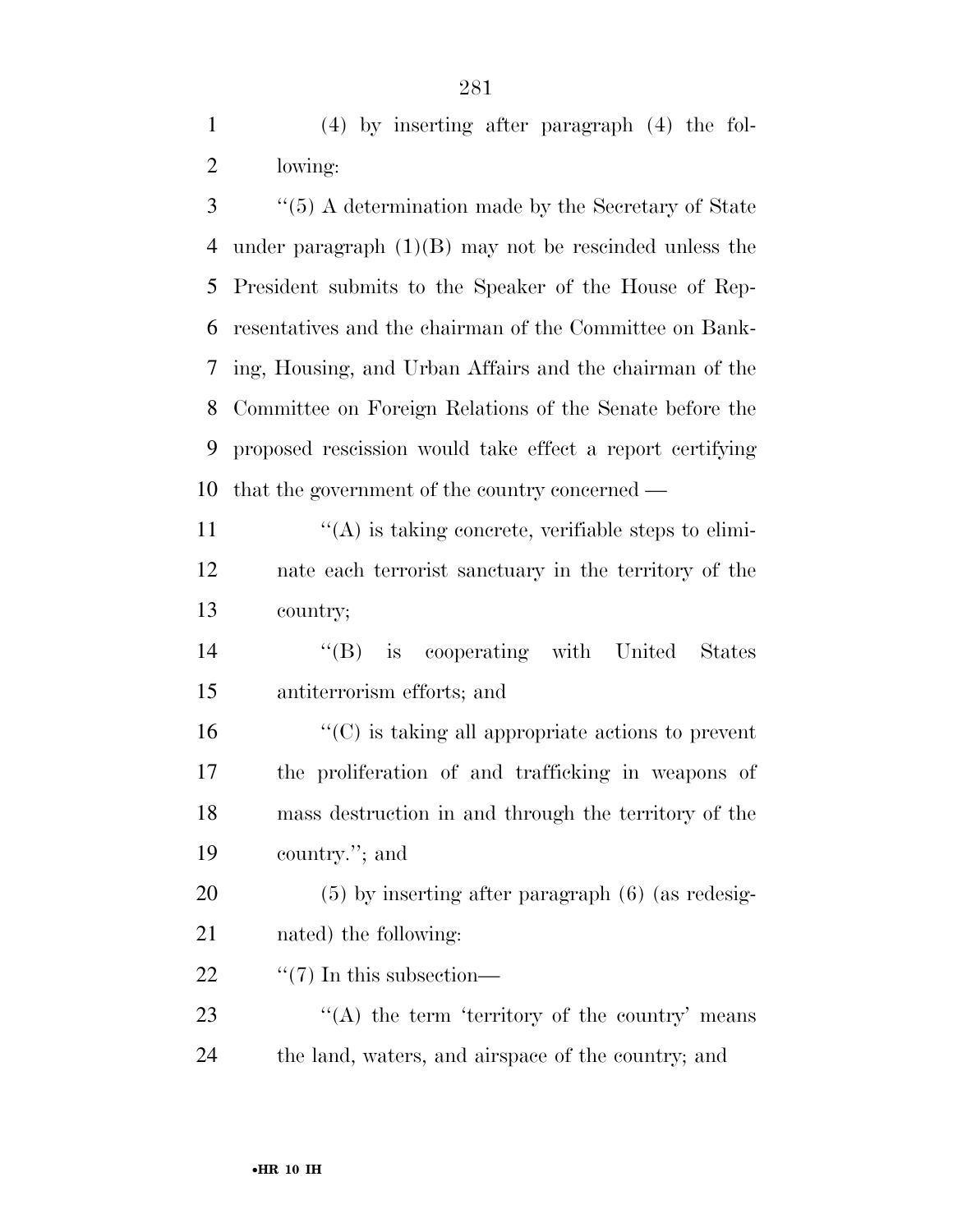(4) by inserting after paragraph (4) the fol-lowing:

 ''(5) A determination made by the Secretary of State under paragraph (1)(B) may not be rescinded unless the President submits to the Speaker of the House of Rep- resentatives and the chairman of the Committee on Bank- ing, Housing, and Urban Affairs and the chairman of the Committee on Foreign Relations of the Senate before the proposed rescission would take effect a report certifying that the government of the country concerned —

11  $\langle \hat{A} \rangle$  is taking concrete, verifiable steps to elimi- nate each terrorist sanctuary in the territory of the country;

 ''(B) is cooperating with United States antiterrorism efforts; and

 $\mathcal{L}^{\prime\prime}(C)$  is taking all appropriate actions to prevent the proliferation of and trafficking in weapons of mass destruction in and through the territory of the country.''; and

 (5) by inserting after paragraph (6) (as redesig-nated) the following:

22  $\frac{1}{2}$   $\frac{1}{2}$   $\frac{1}{2}$  In this subsection—

23 ''(A) the term 'territory of the country' means the land, waters, and airspace of the country; and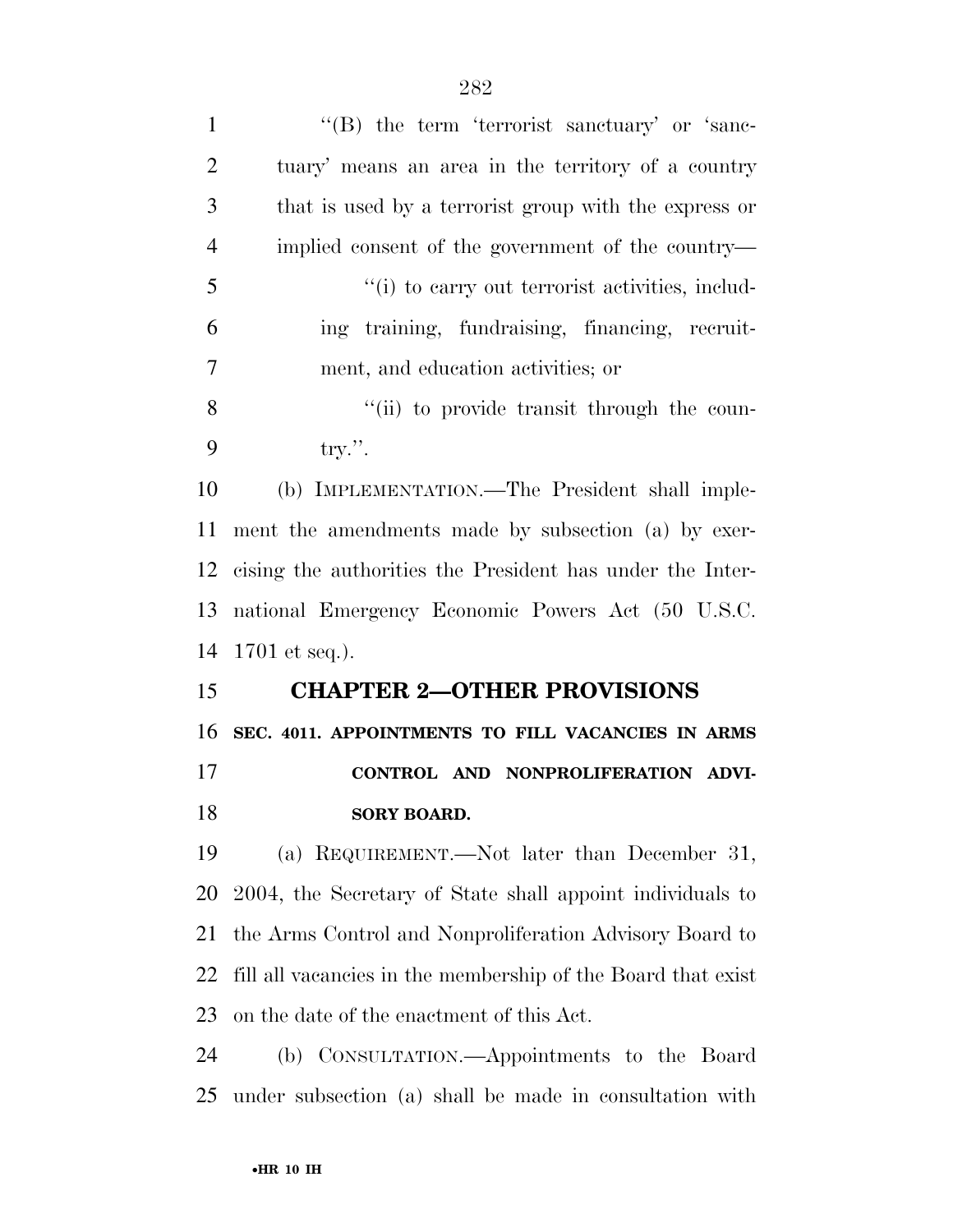| $\mathbf{1}$   | "(B) the term 'terrorist sanctuary' or 'sanc-                |
|----------------|--------------------------------------------------------------|
| $\overline{2}$ | tuary' means an area in the territory of a country           |
| 3              | that is used by a terrorist group with the express or        |
| $\overline{4}$ | implied consent of the government of the country—            |
| 5              | "(i) to carry out terrorist activities, includ-              |
| 6              | ing training, fundraising, financing, recruit-               |
| 7              | ment, and education activities; or                           |
| 8              | "(ii) to provide transit through the coun-                   |
| 9              | try.''.                                                      |
| 10             | (b) IMPLEMENTATION.—The President shall imple-               |
| 11             | ment the amendments made by subsection (a) by exer-          |
| 12             | cising the authorities the President has under the Inter-    |
| 13             | national Emergency Economic Powers Act (50 U.S.C.            |
| 14             | $1701$ et seq.).                                             |
| 15             | <b>CHAPTER 2-OTHER PROVISIONS</b>                            |
| 16             | SEC. 4011. APPOINTMENTS TO FILL VACANCIES IN ARMS            |
| 17             | CONTROL AND NONPROLIFERATION ADVI-                           |
| 18             | <b>SORY BOARD.</b>                                           |
| 19             | (a) REQUIREMENT.—Not later than December 31,                 |
|                |                                                              |
| 20             | 2004, the Secretary of State shall appoint individuals to    |
| 21             | the Arms Control and Nonproliferation Advisory Board to      |
| 22             | fill all vacancies in the membership of the Board that exist |
| 23             | on the date of the enactment of this Act.                    |
| 24             | (b) CONSULTATION.—Appointments to the Board                  |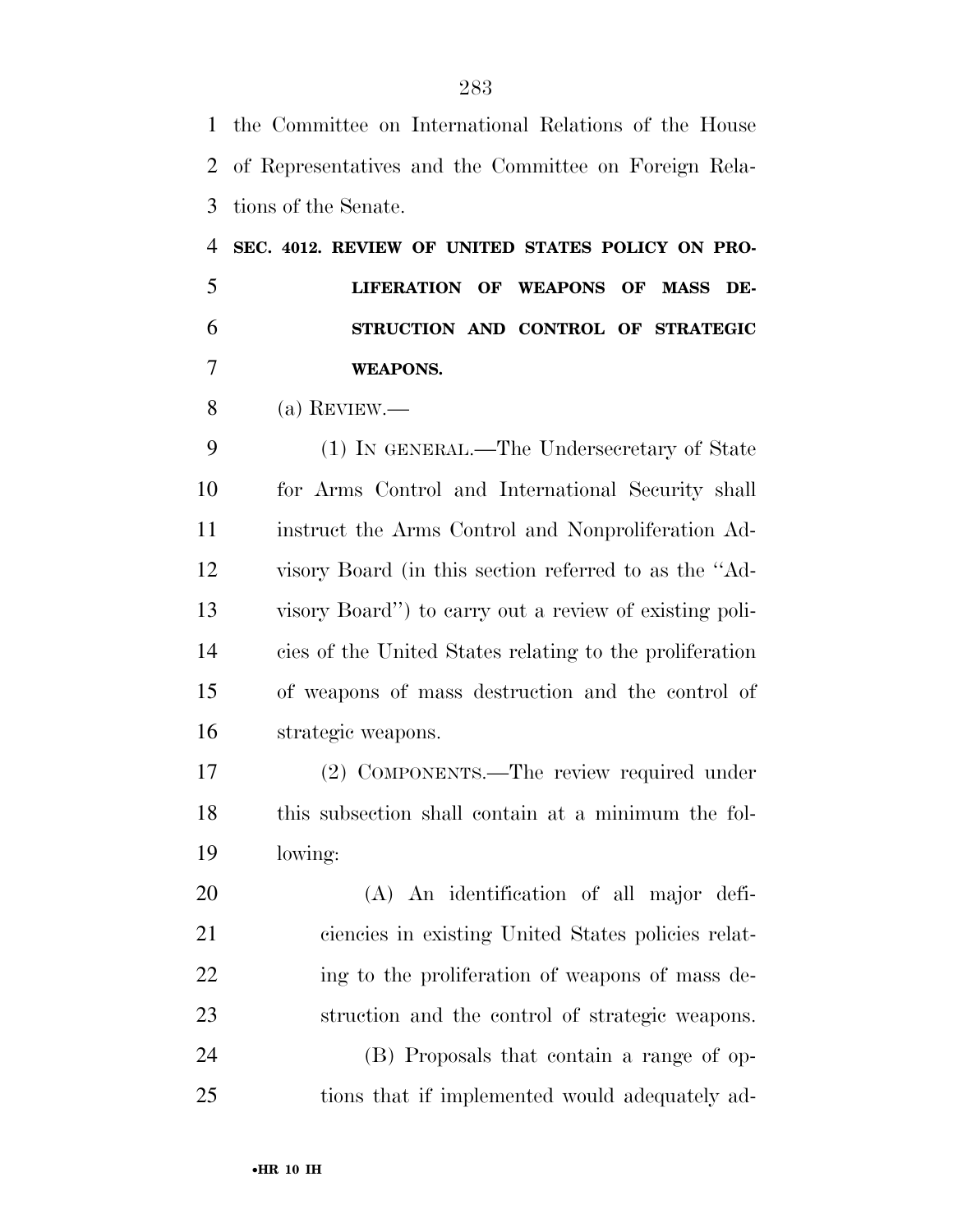the Committee on International Relations of the House of Representatives and the Committee on Foreign Rela- tions of the Senate. **SEC. 4012. REVIEW OF UNITED STATES POLICY ON PRO- LIFERATION OF WEAPONS OF MASS DE- STRUCTION AND CONTROL OF STRATEGIC WEAPONS.**  (a) REVIEW.— (1) IN GENERAL.—The Undersecretary of State for Arms Control and International Security shall instruct the Arms Control and Nonproliferation Ad- visory Board (in this section referred to as the ''Ad- visory Board'') to carry out a review of existing poli- cies of the United States relating to the proliferation of weapons of mass destruction and the control of strategic weapons. (2) COMPONENTS.—The review required under this subsection shall contain at a minimum the fol- lowing: (A) An identification of all major defi- ciencies in existing United States policies relat-22 ing to the proliferation of weapons of mass de- struction and the control of strategic weapons. (B) Proposals that contain a range of op-tions that if implemented would adequately ad-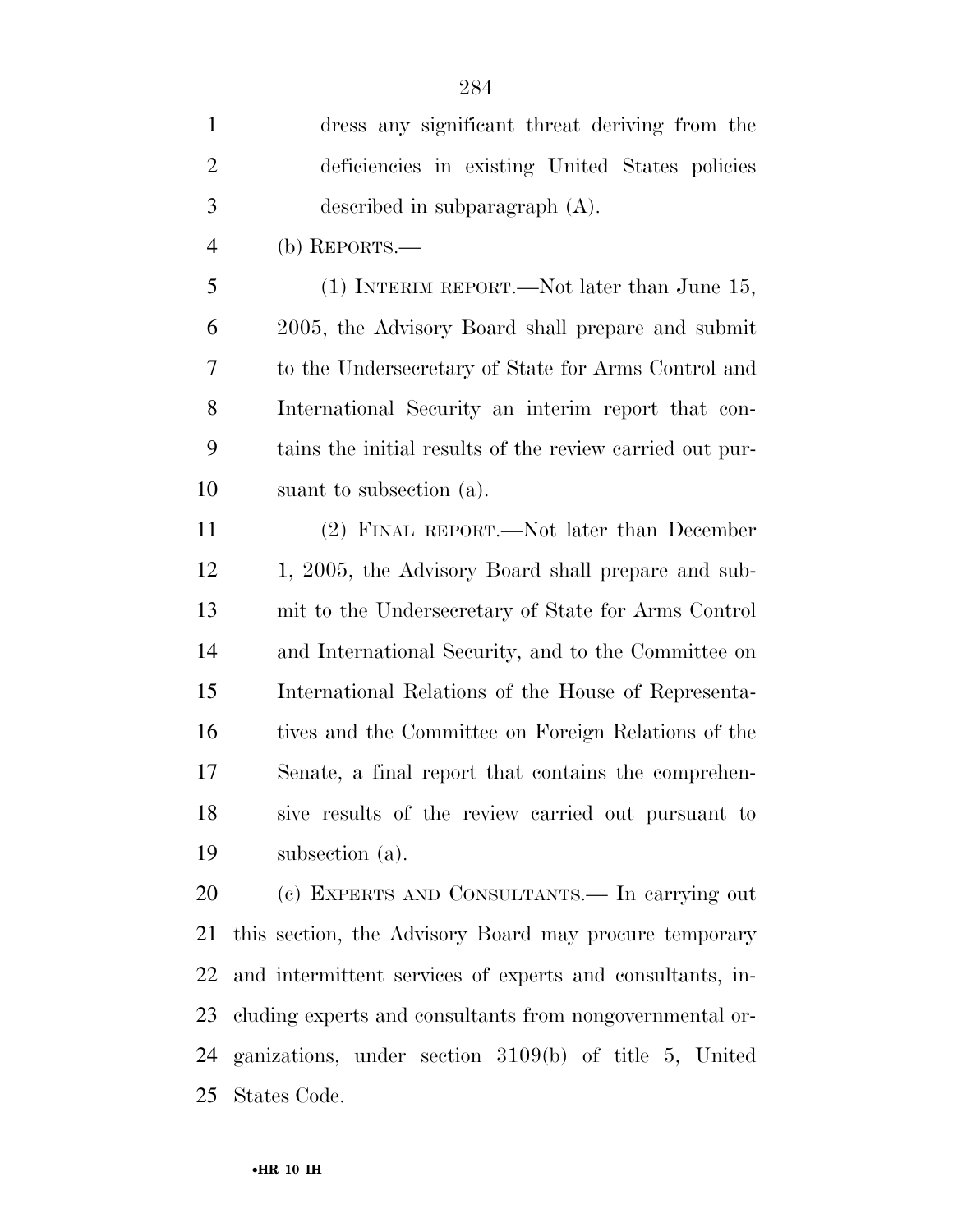| $\mathbf{1}$   | dress any significant threat deriving from the            |
|----------------|-----------------------------------------------------------|
| $\overline{2}$ | deficiencies in existing United States policies           |
| $\mathfrak{Z}$ | described in subparagraph $(A)$ .                         |
| $\overline{4}$ | (b) REPORTS.—                                             |
| 5              | $(1)$ INTERIM REPORT.—Not later than June 15,             |
| 6              | 2005, the Advisory Board shall prepare and submit         |
| 7              | to the Undersecretary of State for Arms Control and       |
| 8              | International Security an interim report that con-        |
| 9              | tains the initial results of the review carried out pur-  |
| 10             | suant to subsection (a).                                  |
| 11             | (2) FINAL REPORT.—Not later than December                 |
| 12             | 1, 2005, the Advisory Board shall prepare and sub-        |
| 13             | mit to the Undersecretary of State for Arms Control       |
| 14             | and International Security, and to the Committee on       |
| 15             | International Relations of the House of Representa-       |
| 16             | tives and the Committee on Foreign Relations of the       |
| 17             | Senate, a final report that contains the comprehen-       |
| 18             | sive results of the review carried out pursuant to        |
| 19             | subsection (a).                                           |
| 20             | (c) EXPERTS AND CONSULTANTS. In carrying out              |
| 21             | this section, the Advisory Board may procure temporary    |
| 22             | and intermittent services of experts and consultants, in- |
| 23             | cluding experts and consultants from nongovernmental or-  |
| 24             | ganizations, under section 3109(b) of title 5, United     |

States Code.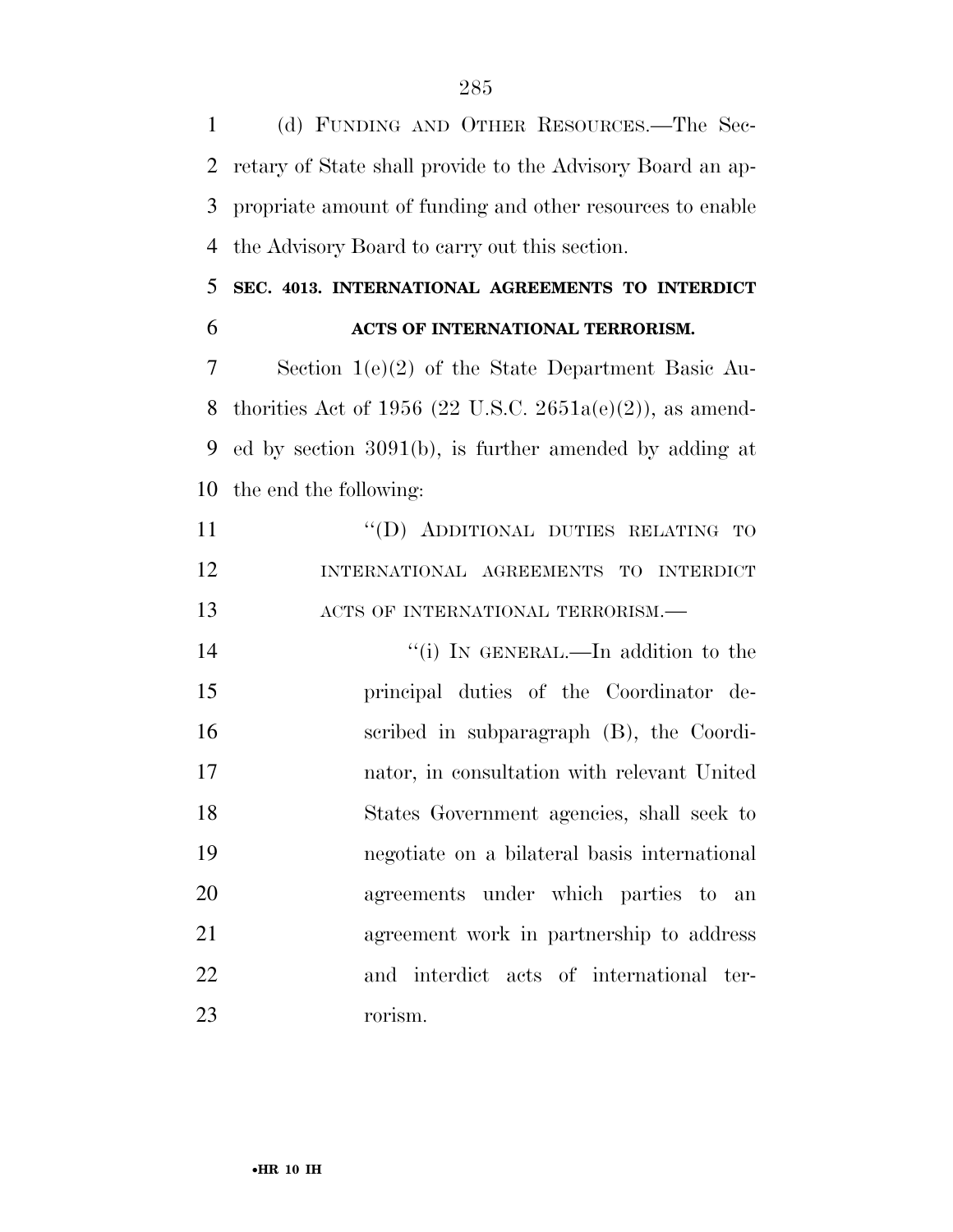(d) FUNDING AND OTHER RESOURCES.—The Sec- retary of State shall provide to the Advisory Board an ap- propriate amount of funding and other resources to enable the Advisory Board to carry out this section.

#### **SEC. 4013. INTERNATIONAL AGREEMENTS TO INTERDICT ACTS OF INTERNATIONAL TERRORISM.**

 Section 1(e)(2) of the State Department Basic Au-8 thorities Act of 1956 (22 U.S.C. 2651a(e)(2)), as amend- ed by section 3091(b), is further amended by adding at the end the following:

11 "(D) ADDITIONAL DUTIES RELATING TO INTERNATIONAL AGREEMENTS TO INTERDICT 13 ACTS OF INTERNATIONAL TERRORISM.—

14 ''(i) IN GENERAL.—In addition to the principal duties of the Coordinator de- scribed in subparagraph (B), the Coordi- nator, in consultation with relevant United States Government agencies, shall seek to negotiate on a bilateral basis international agreements under which parties to an agreement work in partnership to address and interdict acts of international ter-rorism.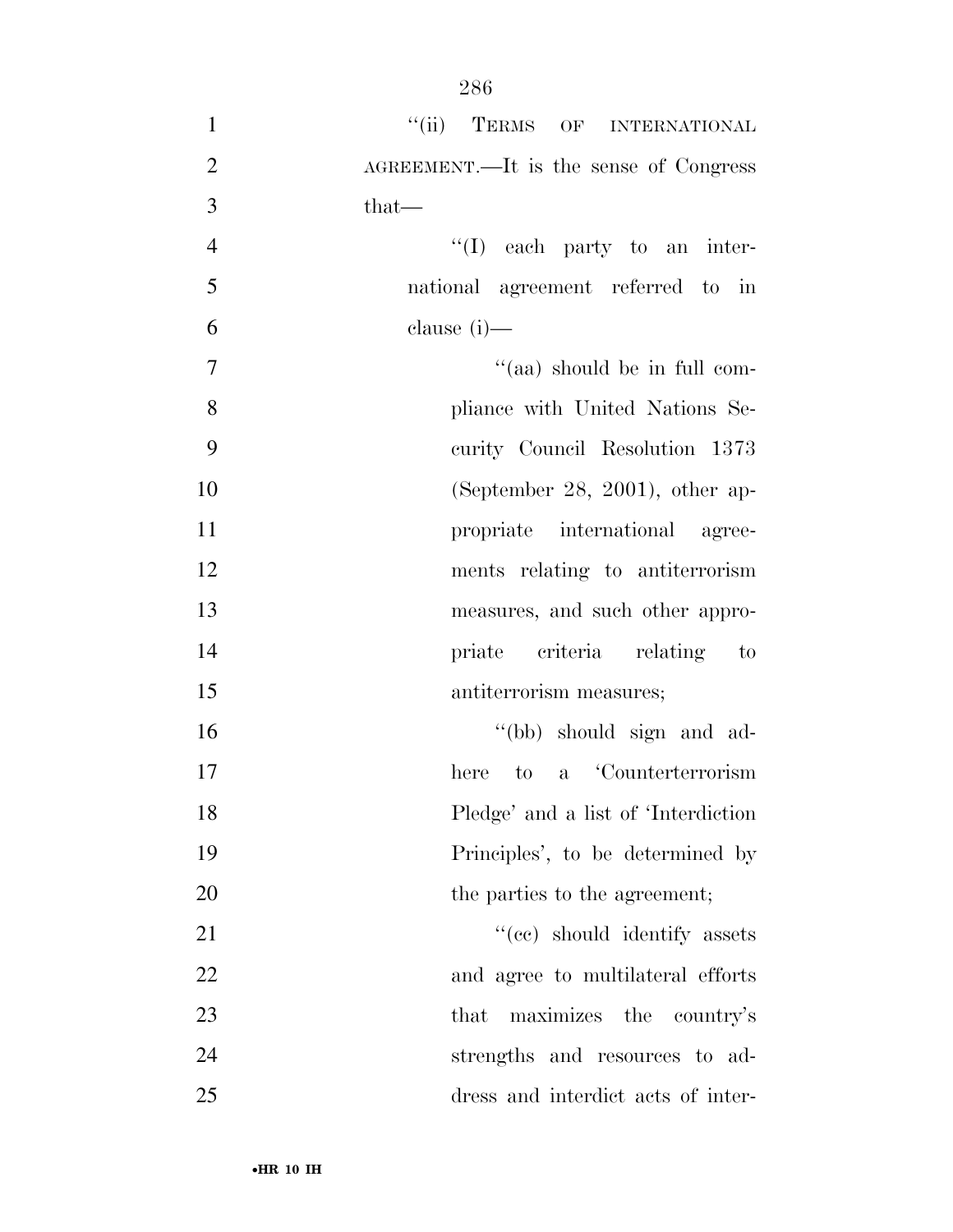| $\mathbf{1}$   | "(ii) TERMS OF INTERNATIONAL           |
|----------------|----------------------------------------|
| $\overline{2}$ | AGREEMENT.—It is the sense of Congress |
| 3              | $that-$                                |
| $\overline{4}$ | $\lq\lq$ (I) each party to an inter-   |
| 5              | national agreement referred to in      |
| 6              | clause $(i)$ —                         |
| 7              | "(aa) should be in full com-           |
| 8              | pliance with United Nations Se-        |
| 9              | curity Council Resolution 1373         |
| 10             | (September 28, 2001), other ap-        |
| 11             | propriate international agree-         |
| 12             | ments relating to antiterrorism        |
| 13             | measures, and such other appro-        |
| 14             | priate criteria relating to            |
| 15             | antiterrorism measures;                |
| 16             | "(bb) should sign and ad-              |
| 17             | a Counterterrorism<br>here<br>to       |
| 18             | Pledge' and a list of 'Interdiction    |
| 19             | Principles', to be determined by       |
| 20             | the parties to the agreement;          |
| 21             | "(cc) should identify assets           |
| 22             | and agree to multilateral efforts      |
| 23             | maximizes the country's<br>that        |
| 24             | strengths and resources to ad-         |
| 25             | dress and interdict acts of inter-     |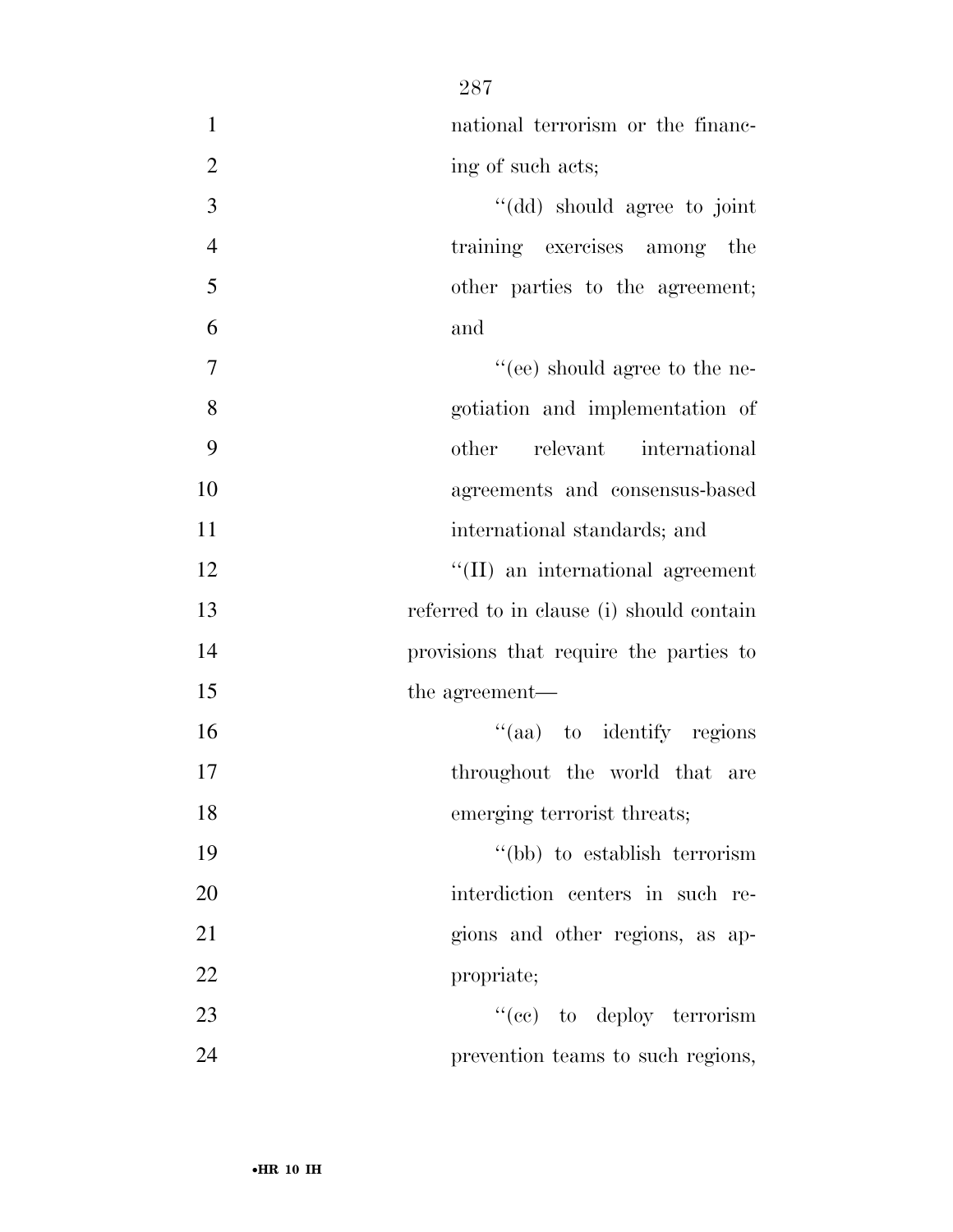| $\mathbf{1}$   | national terrorism or the financ-        |
|----------------|------------------------------------------|
| $\overline{2}$ | ing of such acts;                        |
| 3              | "(dd) should agree to joint              |
| $\overline{4}$ | training exercises among the             |
| 5              | other parties to the agreement;          |
| 6              | and                                      |
| $\tau$         | "(ee) should agree to the ne-            |
| 8              | gotiation and implementation of          |
| 9              | relevant international<br>other          |
| 10             | agreements and consensus-based           |
| 11             | international standards; and             |
| 12             | "(II) an international agreement         |
| 13             | referred to in clause (i) should contain |
| 14             | provisions that require the parties to   |
| 15             | the agreement—                           |
| 16             | "(aa) to identify regions                |
| 17             | throughout the world that are            |
| 18             | emerging terrorist threats;              |
| 19             | "(bb) to establish terrorism             |
| 20             | interdiction centers in such re-         |
| 21             | gions and other regions, as ap-          |
| 22             | propriate;                               |
| 23             | "(ce) to deploy terrorism                |
| 24             | prevention teams to such regions,        |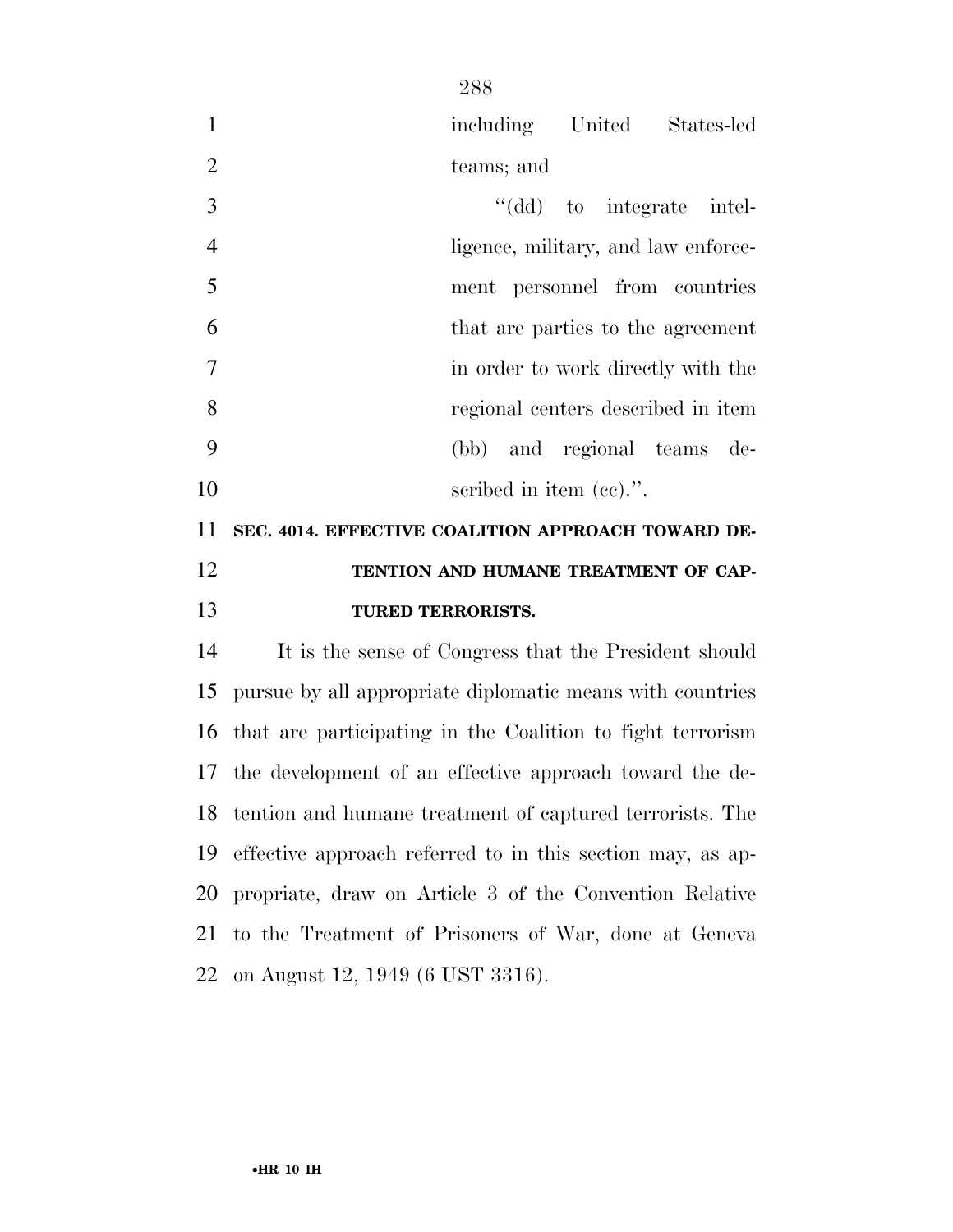|                |                                                    | including United States-led         |  |  |  |  |  |  |  |
|----------------|----------------------------------------------------|-------------------------------------|--|--|--|--|--|--|--|
| 2              |                                                    | teams; and                          |  |  |  |  |  |  |  |
| 3              |                                                    | "(dd) to integrate intel-           |  |  |  |  |  |  |  |
| $\overline{4}$ |                                                    | ligence, military, and law enforce- |  |  |  |  |  |  |  |
| 5              |                                                    | ment personnel from countries       |  |  |  |  |  |  |  |
| 6              |                                                    | that are parties to the agreement   |  |  |  |  |  |  |  |
| 7              |                                                    | in order to work directly with the  |  |  |  |  |  |  |  |
| 8              |                                                    | regional centers described in item  |  |  |  |  |  |  |  |
| 9              |                                                    | (bb) and regional teams de-         |  |  |  |  |  |  |  |
| 10             |                                                    | scribed in item $(ec)$ .".          |  |  |  |  |  |  |  |
| 11             | SEC. 4014. EFFECTIVE COALITION APPROACH TOWARD DE- |                                     |  |  |  |  |  |  |  |

# **TENTION AND HUMANE TREATMENT OF CAP-TURED TERRORISTS.**

 It is the sense of Congress that the President should pursue by all appropriate diplomatic means with countries that are participating in the Coalition to fight terrorism the development of an effective approach toward the de- tention and humane treatment of captured terrorists. The effective approach referred to in this section may, as ap- propriate, draw on Article 3 of the Convention Relative to the Treatment of Prisoners of War, done at Geneva on August 12, 1949 (6 UST 3316).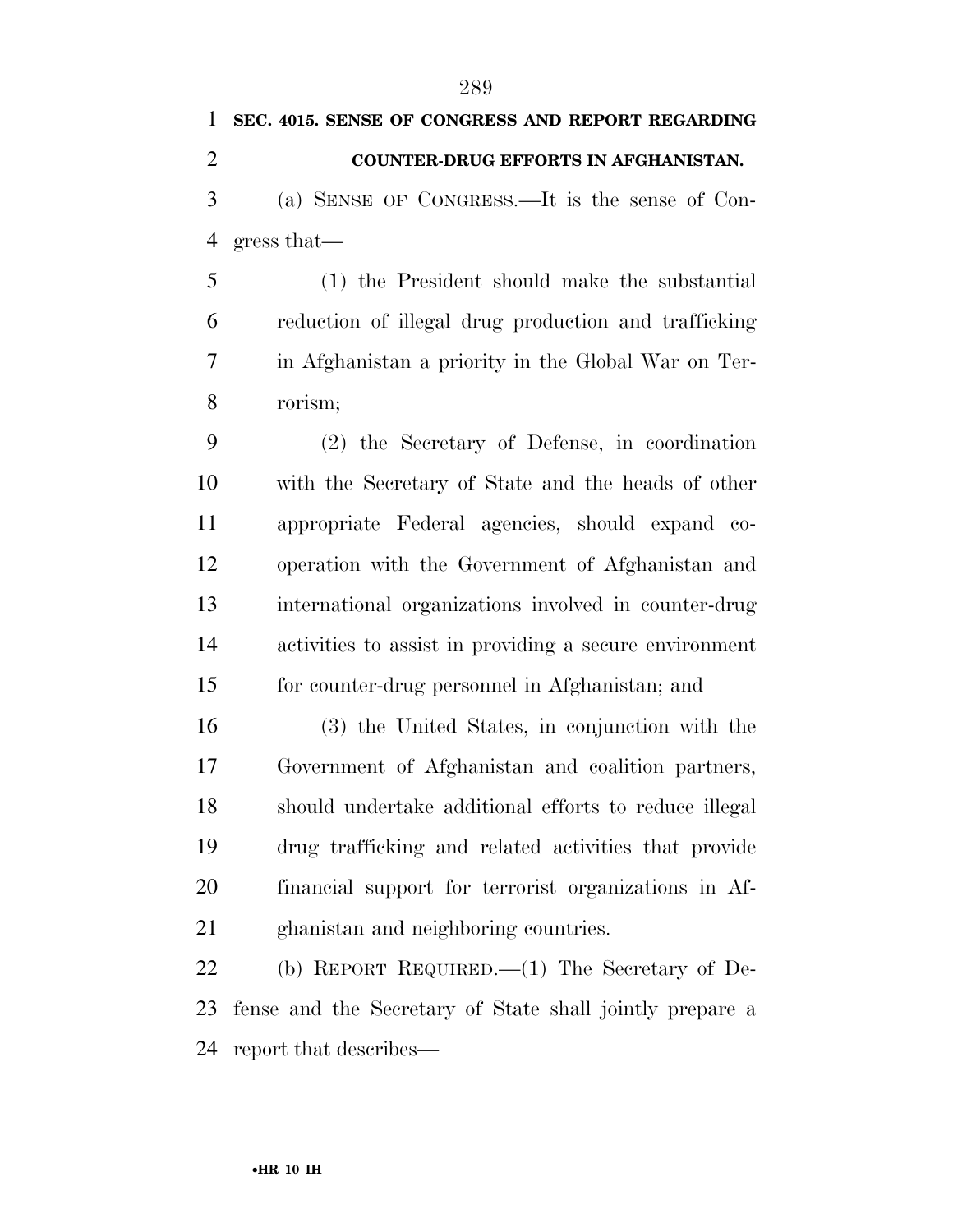# **SEC. 4015. SENSE OF CONGRESS AND REPORT REGARDING COUNTER-DRUG EFFORTS IN AFGHANISTAN.**  (a) SENSE OF CONGRESS.—It is the sense of Con-gress that—

 (1) the President should make the substantial reduction of illegal drug production and trafficking in Afghanistan a priority in the Global War on Ter-rorism;

 (2) the Secretary of Defense, in coordination with the Secretary of State and the heads of other appropriate Federal agencies, should expand co- operation with the Government of Afghanistan and international organizations involved in counter-drug activities to assist in providing a secure environment for counter-drug personnel in Afghanistan; and

 (3) the United States, in conjunction with the Government of Afghanistan and coalition partners, should undertake additional efforts to reduce illegal drug trafficking and related activities that provide financial support for terrorist organizations in Af-ghanistan and neighboring countries.

 (b) REPORT REQUIRED.—(1) The Secretary of De- fense and the Secretary of State shall jointly prepare a report that describes—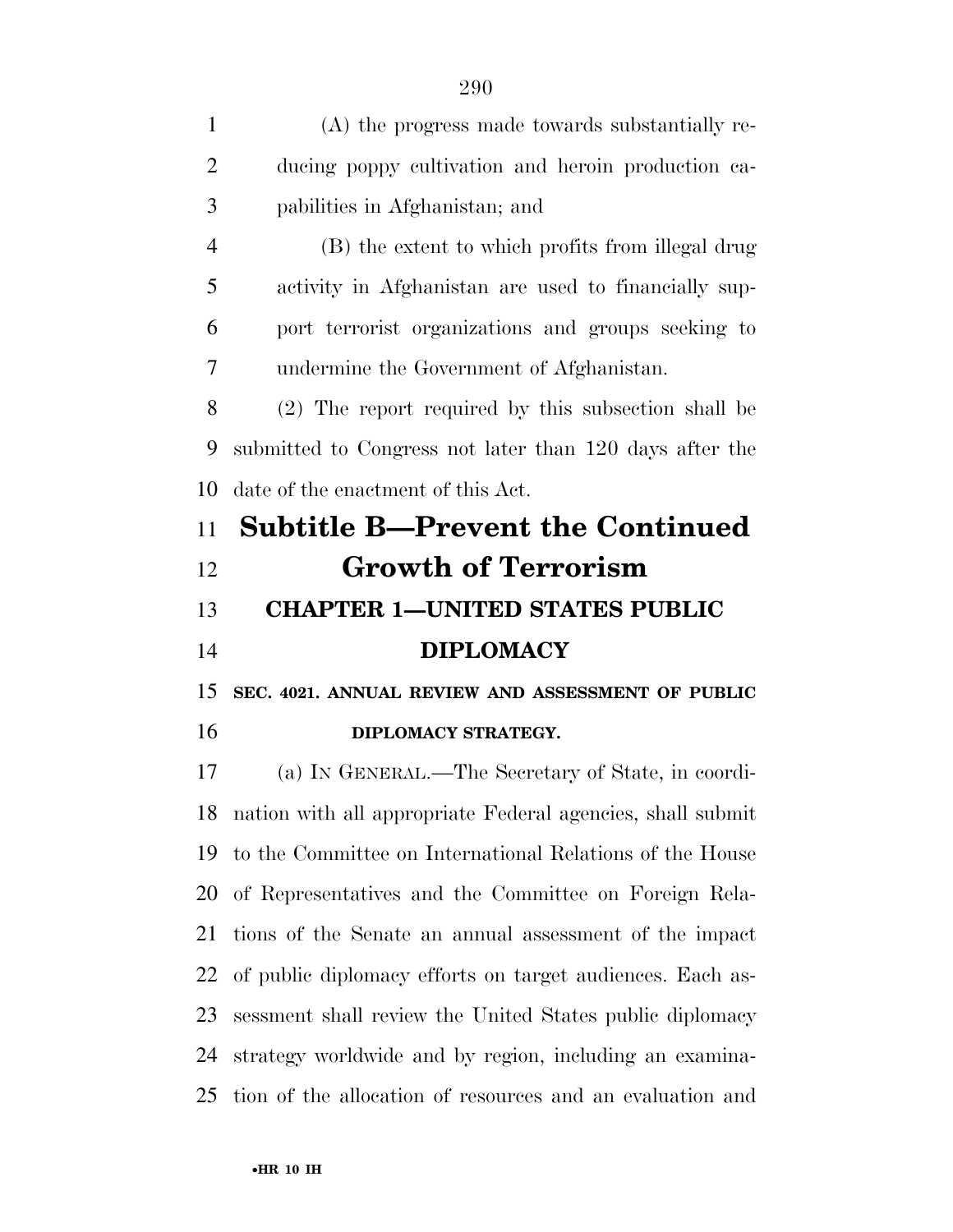(A) the progress made towards substantially re- ducing poppy cultivation and heroin production ca- pabilities in Afghanistan; and (B) the extent to which profits from illegal drug activity in Afghanistan are used to financially sup- port terrorist organizations and groups seeking to undermine the Government of Afghanistan. (2) The report required by this subsection shall be submitted to Congress not later than 120 days after the date of the enactment of this Act. **Subtitle B—Prevent the Continued Growth of Terrorism CHAPTER 1—UNITED STATES PUBLIC DIPLOMACY SEC. 4021. ANNUAL REVIEW AND ASSESSMENT OF PUBLIC DIPLOMACY STRATEGY.**  (a) IN GENERAL.—The Secretary of State, in coordi- nation with all appropriate Federal agencies, shall submit to the Committee on International Relations of the House of Representatives and the Committee on Foreign Rela- tions of the Senate an annual assessment of the impact of public diplomacy efforts on target audiences. Each as-

 sessment shall review the United States public diplomacy strategy worldwide and by region, including an examina-tion of the allocation of resources and an evaluation and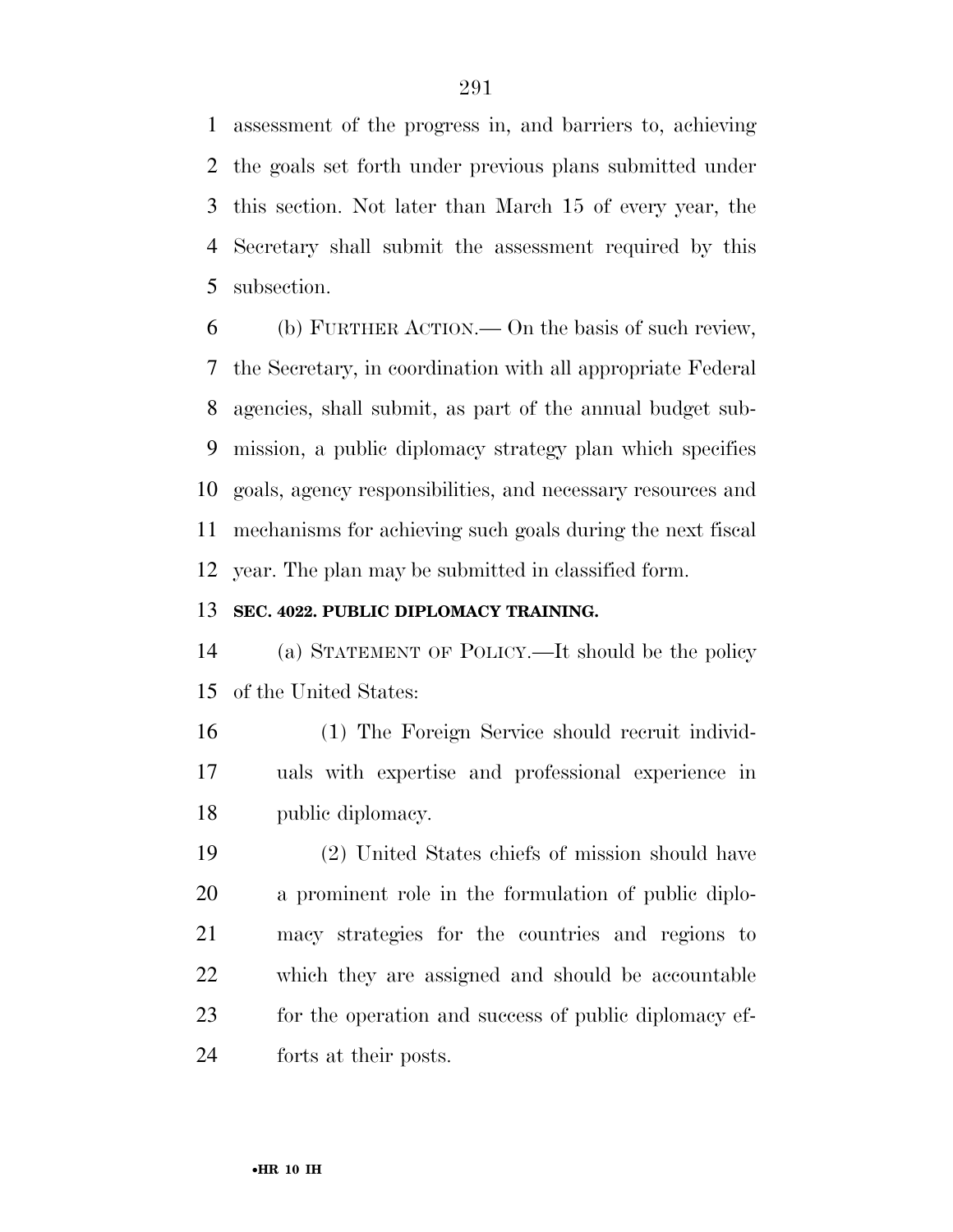assessment of the progress in, and barriers to, achieving the goals set forth under previous plans submitted under this section. Not later than March 15 of every year, the Secretary shall submit the assessment required by this subsection.

 (b) FURTHER ACTION.— On the basis of such review, the Secretary, in coordination with all appropriate Federal agencies, shall submit, as part of the annual budget sub- mission, a public diplomacy strategy plan which specifies goals, agency responsibilities, and necessary resources and mechanisms for achieving such goals during the next fiscal year. The plan may be submitted in classified form.

#### **SEC. 4022. PUBLIC DIPLOMACY TRAINING.**

 (a) STATEMENT OF POLICY.—It should be the policy of the United States:

 (1) The Foreign Service should recruit individ- uals with expertise and professional experience in public diplomacy.

 (2) United States chiefs of mission should have a prominent role in the formulation of public diplo- macy strategies for the countries and regions to which they are assigned and should be accountable for the operation and success of public diplomacy ef-forts at their posts.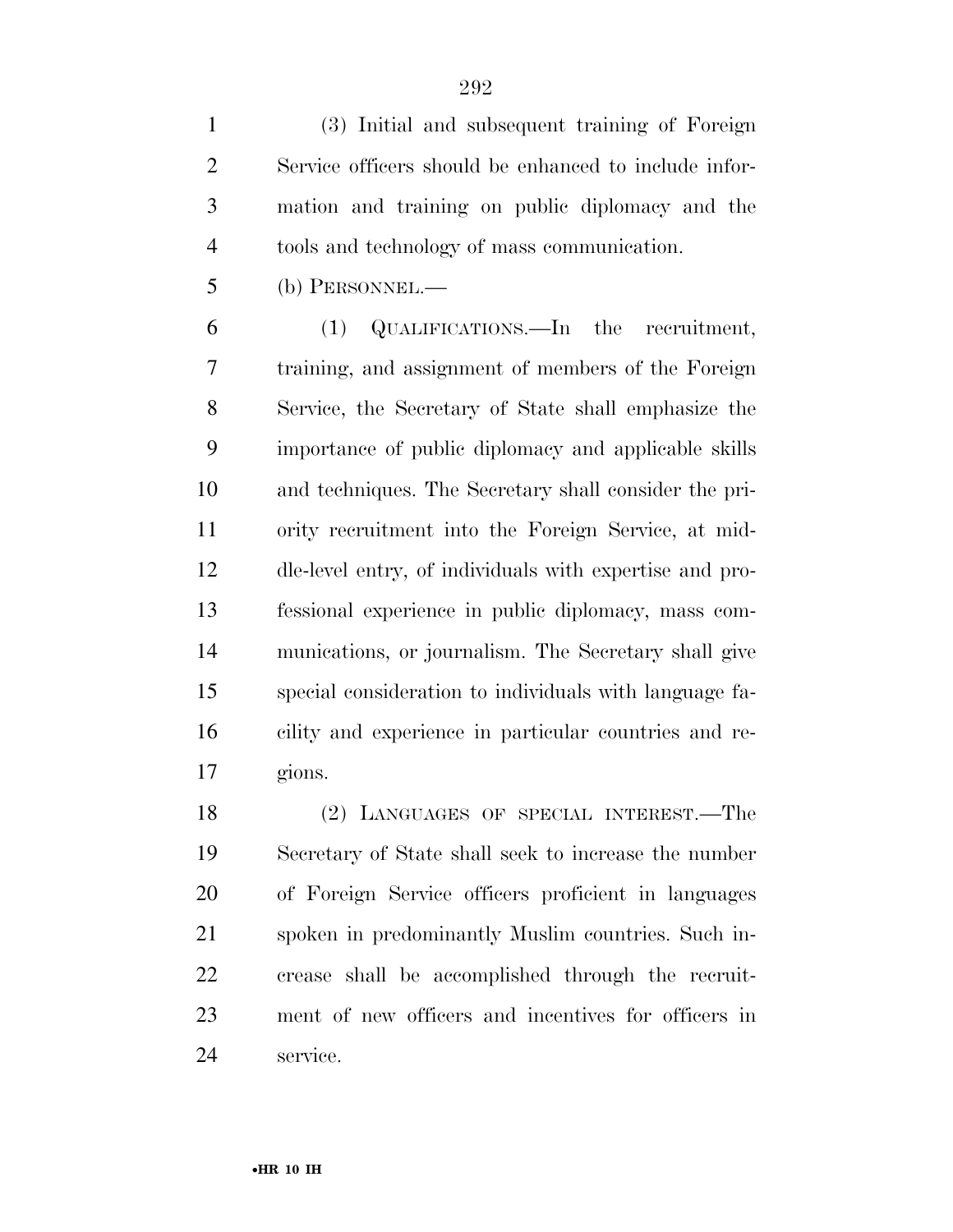(3) Initial and subsequent training of Foreign Service officers should be enhanced to include infor- mation and training on public diplomacy and the tools and technology of mass communication.

(b) PERSONNEL.—

 (1) QUALIFICATIONS.—In the recruitment, training, and assignment of members of the Foreign Service, the Secretary of State shall emphasize the importance of public diplomacy and applicable skills and techniques. The Secretary shall consider the pri- ority recruitment into the Foreign Service, at mid- dle-level entry, of individuals with expertise and pro- fessional experience in public diplomacy, mass com- munications, or journalism. The Secretary shall give special consideration to individuals with language fa- cility and experience in particular countries and re-gions.

 (2) LANGUAGES OF SPECIAL INTEREST.—The Secretary of State shall seek to increase the number of Foreign Service officers proficient in languages spoken in predominantly Muslim countries. Such in- crease shall be accomplished through the recruit- ment of new officers and incentives for officers in service.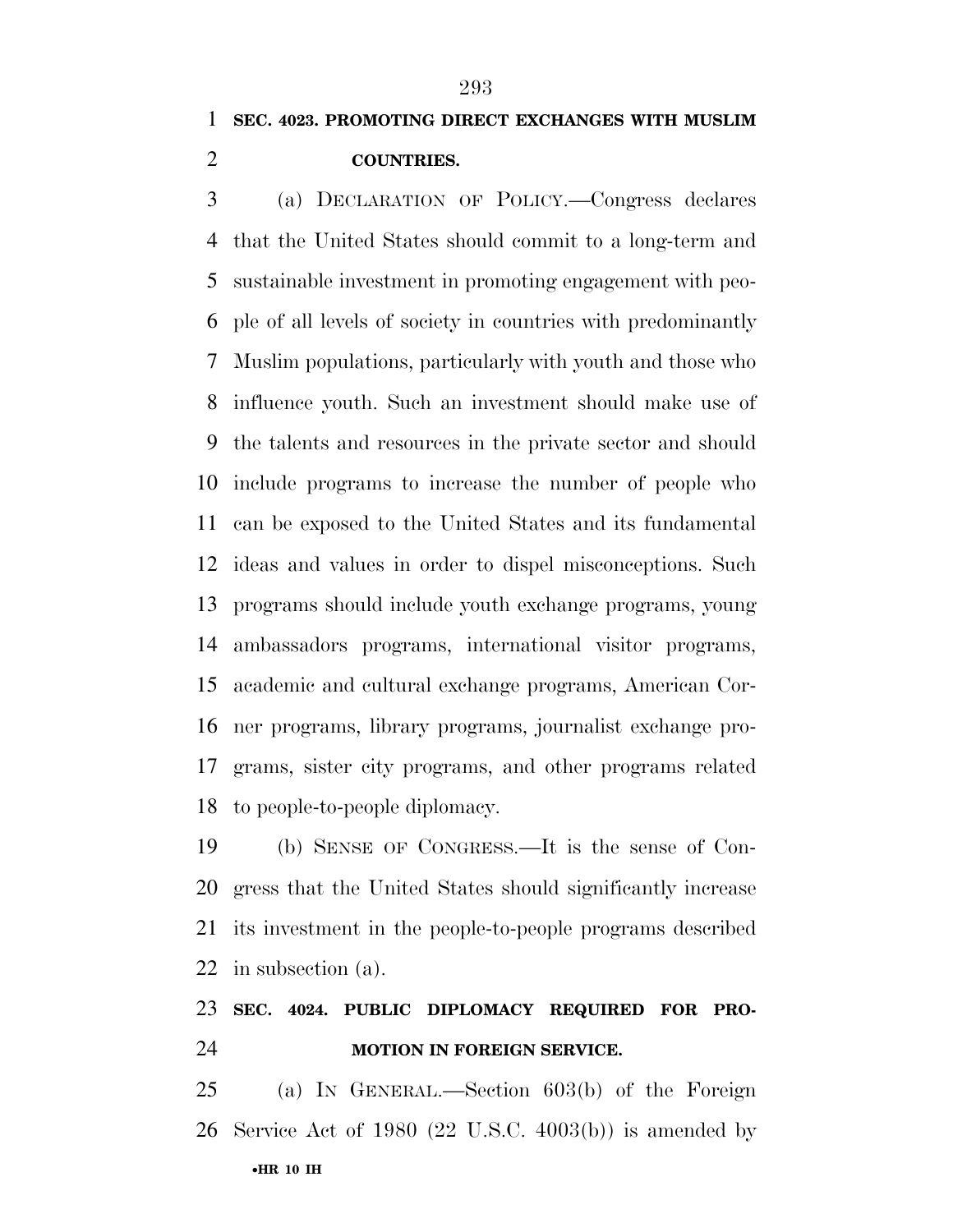**COUNTRIES.** 

 (a) DECLARATION OF POLICY.—Congress declares that the United States should commit to a long-term and sustainable investment in promoting engagement with peo- ple of all levels of society in countries with predominantly Muslim populations, particularly with youth and those who influence youth. Such an investment should make use of the talents and resources in the private sector and should include programs to increase the number of people who can be exposed to the United States and its fundamental ideas and values in order to dispel misconceptions. Such programs should include youth exchange programs, young ambassadors programs, international visitor programs, academic and cultural exchange programs, American Cor- ner programs, library programs, journalist exchange pro- grams, sister city programs, and other programs related to people-to-people diplomacy.

 (b) SENSE OF CONGRESS.—It is the sense of Con- gress that the United States should significantly increase its investment in the people-to-people programs described in subsection (a).

### **SEC. 4024. PUBLIC DIPLOMACY REQUIRED FOR PRO-MOTION IN FOREIGN SERVICE.**

•**HR 10 IH**  (a) IN GENERAL.—Section 603(b) of the Foreign Service Act of 1980 (22 U.S.C. 4003(b)) is amended by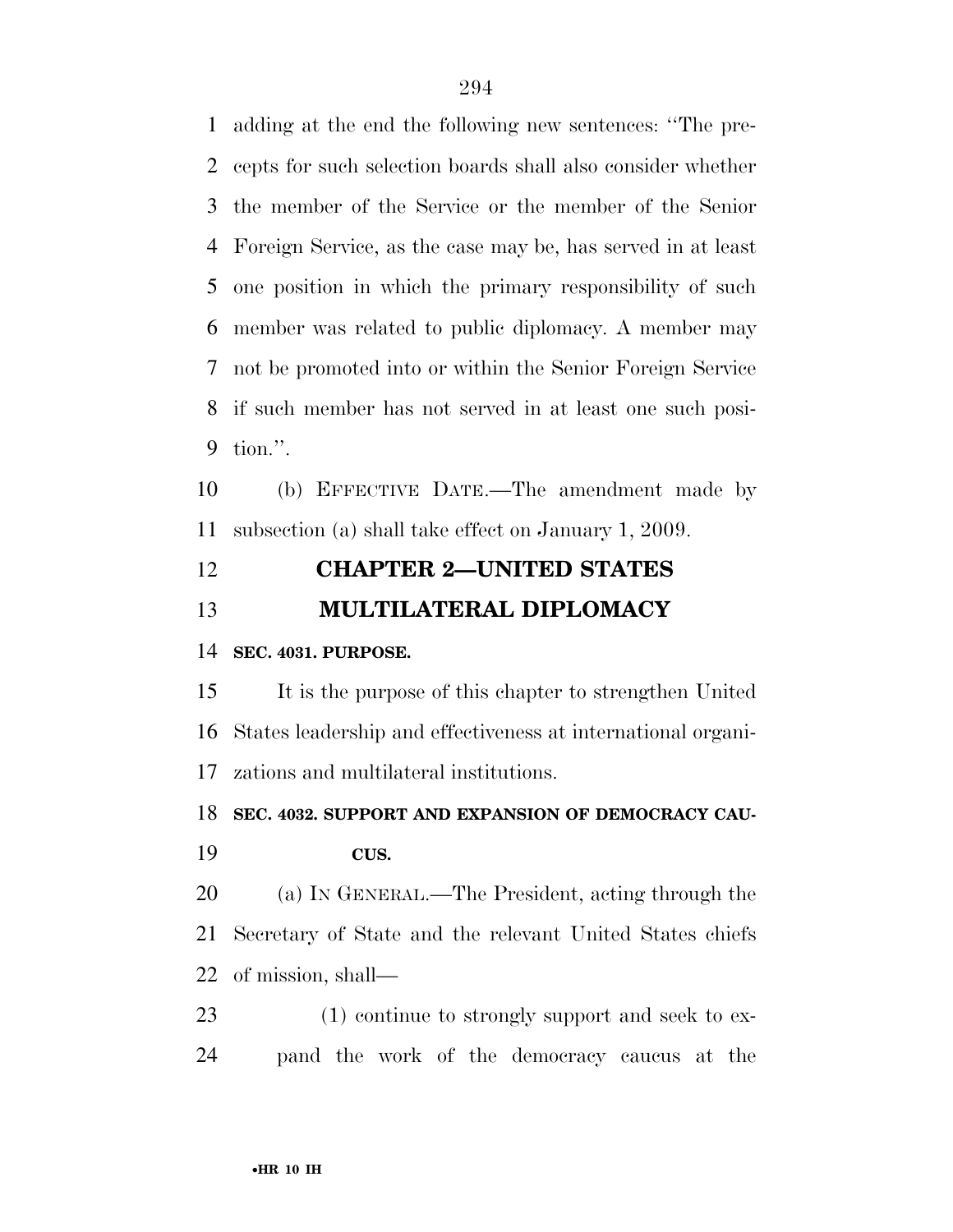adding at the end the following new sentences: ''The pre- cepts for such selection boards shall also consider whether the member of the Service or the member of the Senior Foreign Service, as the case may be, has served in at least one position in which the primary responsibility of such member was related to public diplomacy. A member may not be promoted into or within the Senior Foreign Service if such member has not served in at least one such posi-tion.''.

 (b) EFFECTIVE DATE.—The amendment made by subsection (a) shall take effect on January 1, 2009.

## **CHAPTER 2—UNITED STATES MULTILATERAL DIPLOMACY**

#### **SEC. 4031. PURPOSE.**

 It is the purpose of this chapter to strengthen United States leadership and effectiveness at international organi-zations and multilateral institutions.

**SEC. 4032. SUPPORT AND EXPANSION OF DEMOCRACY CAU-**

**CUS.** 

 (a) IN GENERAL.—The President, acting through the Secretary of State and the relevant United States chiefs of mission, shall—

23 (1) continue to strongly support and seek to ex-pand the work of the democracy caucus at the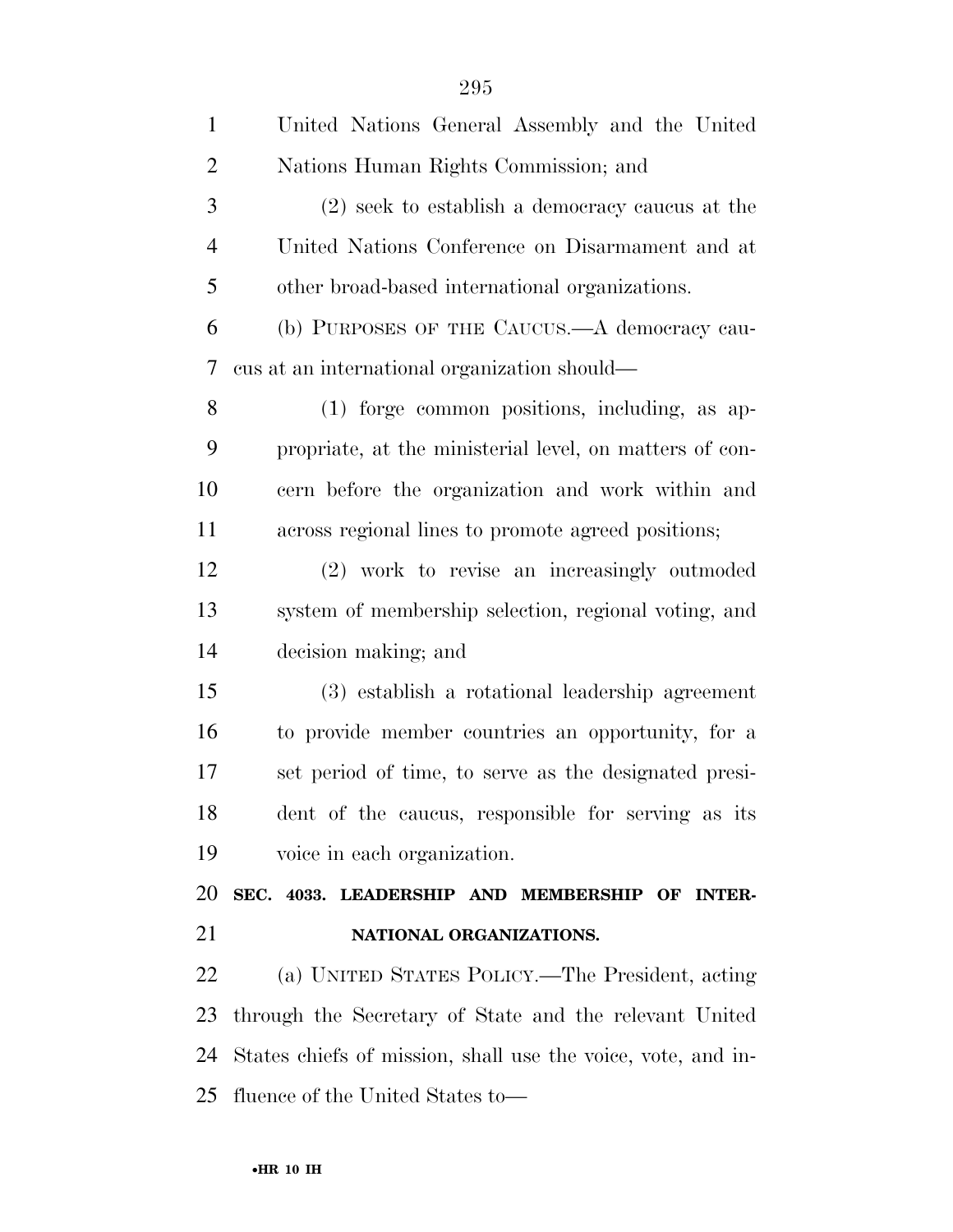| $\mathbf{1}$   | United Nations General Assembly and the United               |
|----------------|--------------------------------------------------------------|
| $\overline{2}$ | Nations Human Rights Commission; and                         |
| 3              | (2) seek to establish a democracy caucus at the              |
| $\overline{4}$ | United Nations Conference on Disarmament and at              |
| 5              | other broad-based international organizations.               |
| 6              | (b) PURPOSES OF THE CAUCUS.—A democracy cau-                 |
| 7              | cus at an international organization should—                 |
| 8              | (1) forge common positions, including, as ap-                |
| 9              | propriate, at the ministerial level, on matters of con-      |
| 10             | cern before the organization and work within and             |
| 11             | across regional lines to promote agreed positions;           |
| 12             | (2) work to revise an increasingly outmoded                  |
| 13             | system of membership selection, regional voting, and         |
| 14             | decision making; and                                         |
| 15             | (3) establish a rotational leadership agreement              |
| 16             | to provide member countries an opportunity, for a            |
| 17             | set period of time, to serve as the designated presi-        |
| 18             | dent of the caucus, responsible for serving as its           |
| 19             | voice in each organization.                                  |
| 20             | SEC. 4033. LEADERSHIP AND MEMBERSHIP OF INTER-               |
| 21             | NATIONAL ORGANIZATIONS.                                      |
| 22             | (a) UNITED STATES POLICY.—The President, acting              |
| 23             | through the Secretary of State and the relevant United       |
| 24             | States chiefs of mission, shall use the voice, vote, and in- |
| 25             | fluence of the United States to—                             |
|                |                                                              |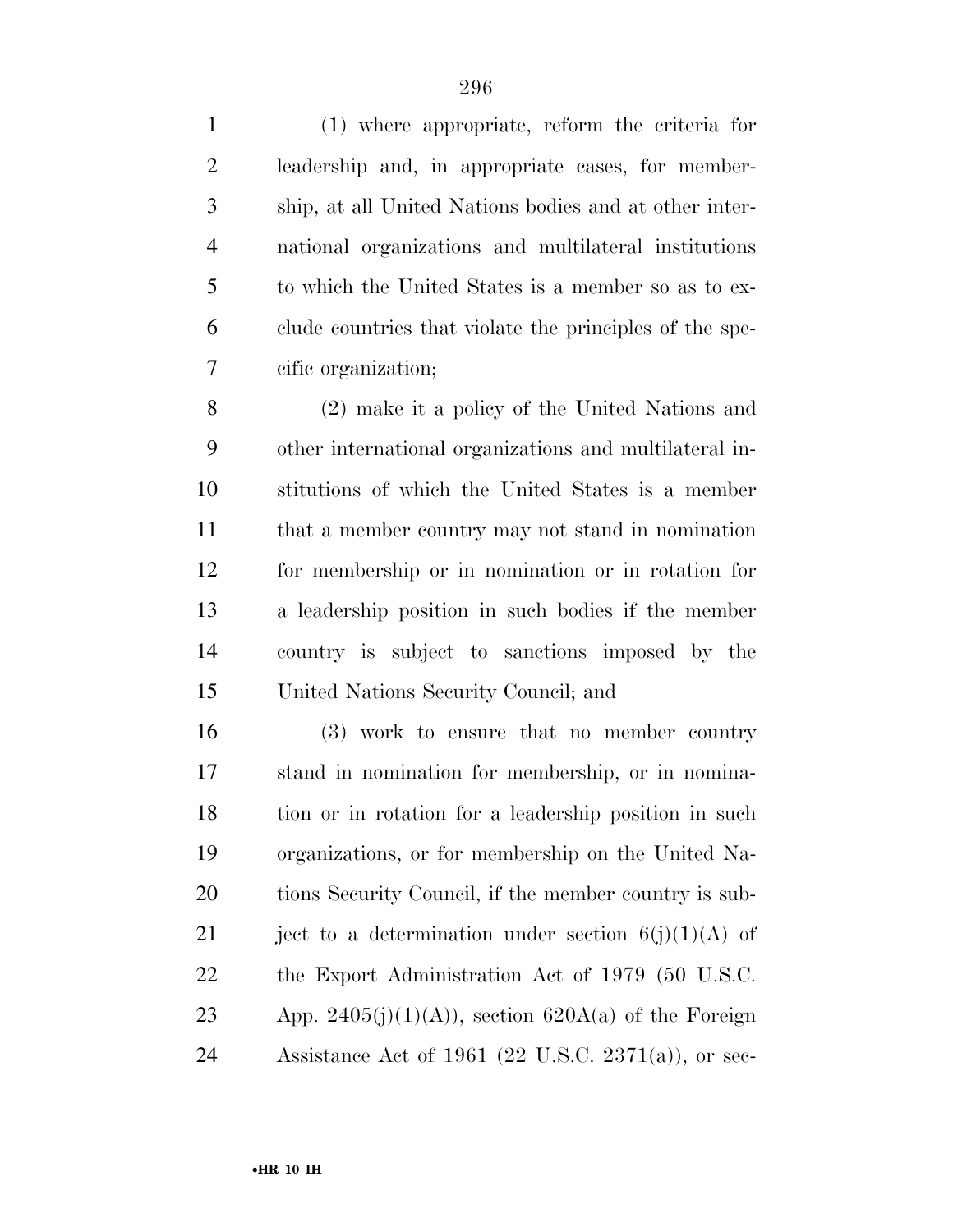(1) where appropriate, reform the criteria for leadership and, in appropriate cases, for member- ship, at all United Nations bodies and at other inter- national organizations and multilateral institutions to which the United States is a member so as to ex-

clude countries that violate the principles of the spe-

cific organization;

 (2) make it a policy of the United Nations and other international organizations and multilateral in- stitutions of which the United States is a member that a member country may not stand in nomination for membership or in nomination or in rotation for a leadership position in such bodies if the member country is subject to sanctions imposed by the United Nations Security Council; and

 (3) work to ensure that no member country stand in nomination for membership, or in nomina- tion or in rotation for a leadership position in such organizations, or for membership on the United Na-20 tions Security Council, if the member country is sub-21 ject to a determination under section  $6(j)(1)(A)$  of the Export Administration Act of 1979 (50 U.S.C. 23 App. 2405(j)(1)(A)), section 620A(a) of the Foreign Assistance Act of 1961 (22 U.S.C. 2371(a)), or sec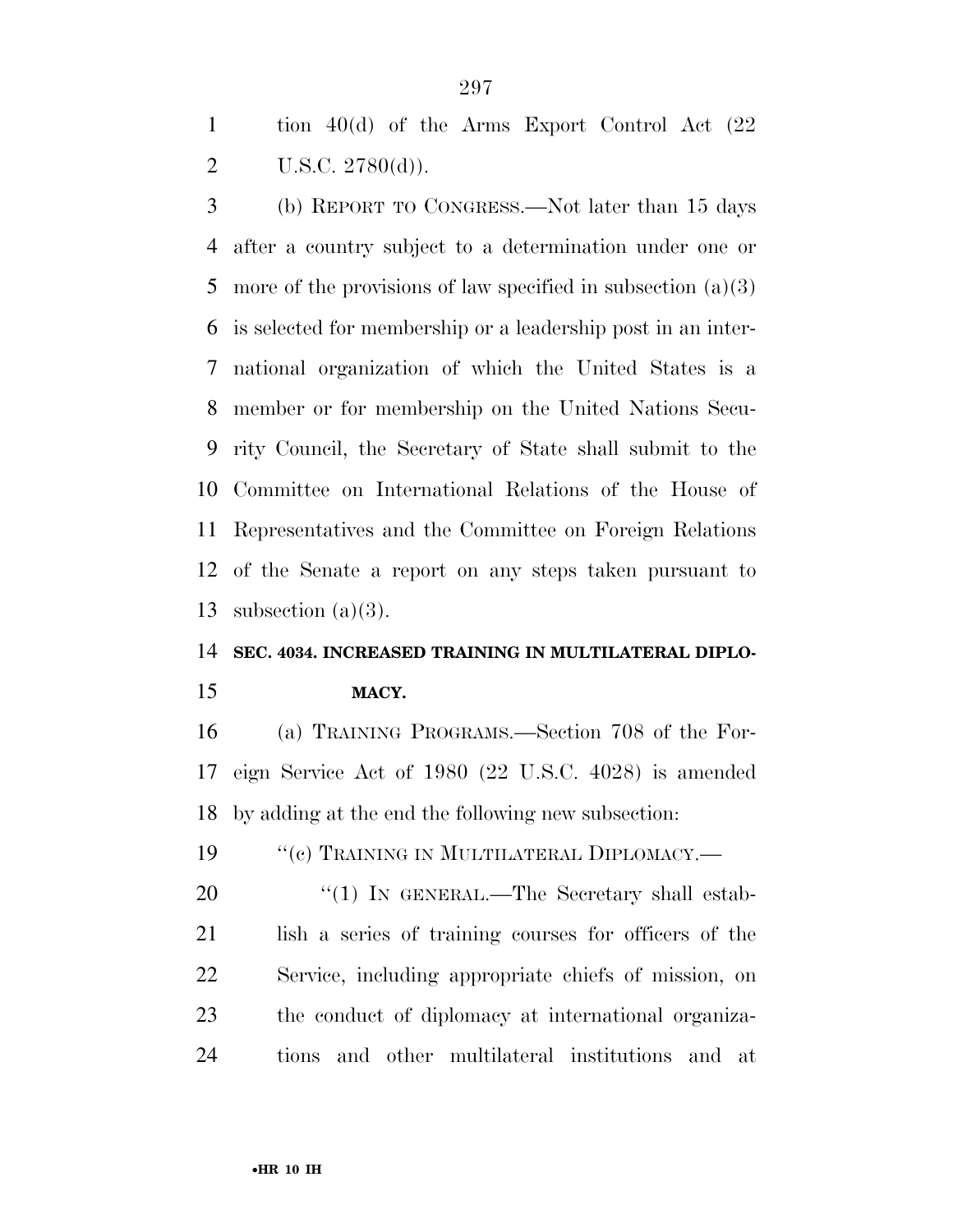tion 40(d) of the Arms Export Control Act (22 2 U.S.C.  $2780(d)$ ).

 (b) REPORT TO CONGRESS.—Not later than 15 days after a country subject to a determination under one or 5 more of the provisions of law specified in subsection  $(a)(3)$  is selected for membership or a leadership post in an inter- national organization of which the United States is a member or for membership on the United Nations Secu- rity Council, the Secretary of State shall submit to the Committee on International Relations of the House of Representatives and the Committee on Foreign Relations of the Senate a report on any steps taken pursuant to subsection (a)(3).

#### **SEC. 4034. INCREASED TRAINING IN MULTILATERAL DIPLO-**

#### **MACY.**

 (a) TRAINING PROGRAMS.—Section 708 of the For- eign Service Act of 1980 (22 U.S.C. 4028) is amended by adding at the end the following new subsection:

19 "(c) TRAINING IN MULTILATERAL DIPLOMACY.—

20 "(1) IN GENERAL.—The Secretary shall estab- lish a series of training courses for officers of the Service, including appropriate chiefs of mission, on the conduct of diplomacy at international organiza-tions and other multilateral institutions and at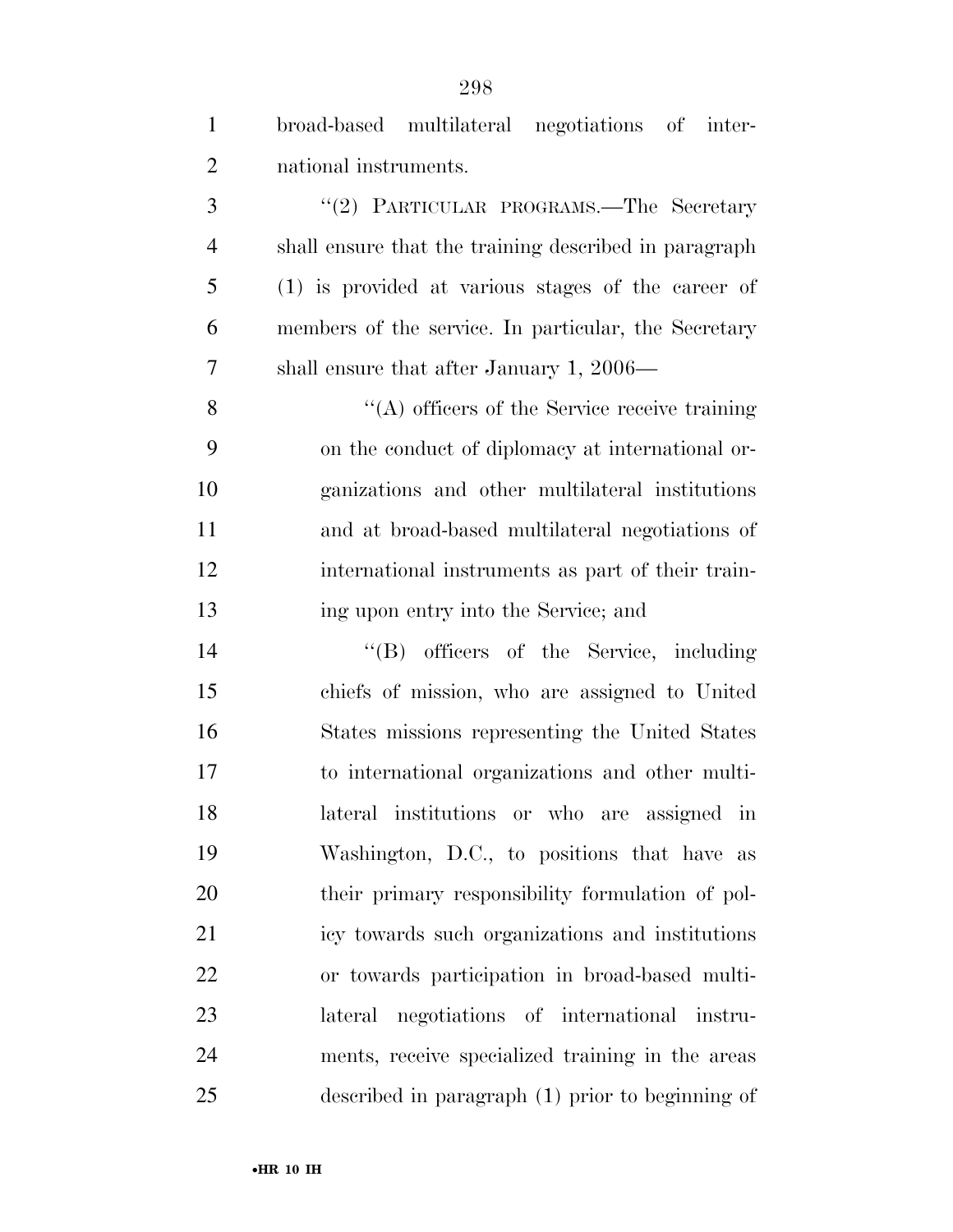| $\mathbf{1}$   | broad-based multilateral negotiations of inter-       |
|----------------|-------------------------------------------------------|
| $\overline{2}$ | national instruments.                                 |
| 3              | "(2) PARTICULAR PROGRAMS.—The Secretary               |
| $\overline{4}$ | shall ensure that the training described in paragraph |
| 5              | (1) is provided at various stages of the career of    |
| 6              | members of the service. In particular, the Secretary  |
| 7              | shall ensure that after January 1, $2006$ —           |
| 8              | $\lq\lq$ officers of the Service receive training     |
| 9              | on the conduct of diplomacy at international or-      |
| 10             | ganizations and other multilateral institutions       |
| 11             | and at broad-based multilateral negotiations of       |
| 12             | international instruments as part of their train-     |
| 13             | ing upon entry into the Service; and                  |
| 14             | "(B) officers of the Service, including               |
| 15             | chiefs of mission, who are assigned to United         |
| 16             | States missions representing the United States        |
| 17             | to international organizations and other multi-       |
| 18             | lateral institutions or who are assigned in           |
| 19             | Washington, D.C., to positions that have as           |
| 20             | their primary responsibility formulation of pol-      |
| 21             | icy towards such organizations and institutions       |
| 22             | or towards participation in broad-based multi-        |
| 23             | lateral negotiations of international instru-         |
| 24             | ments, receive specialized training in the areas      |
| 25             | described in paragraph (1) prior to beginning of      |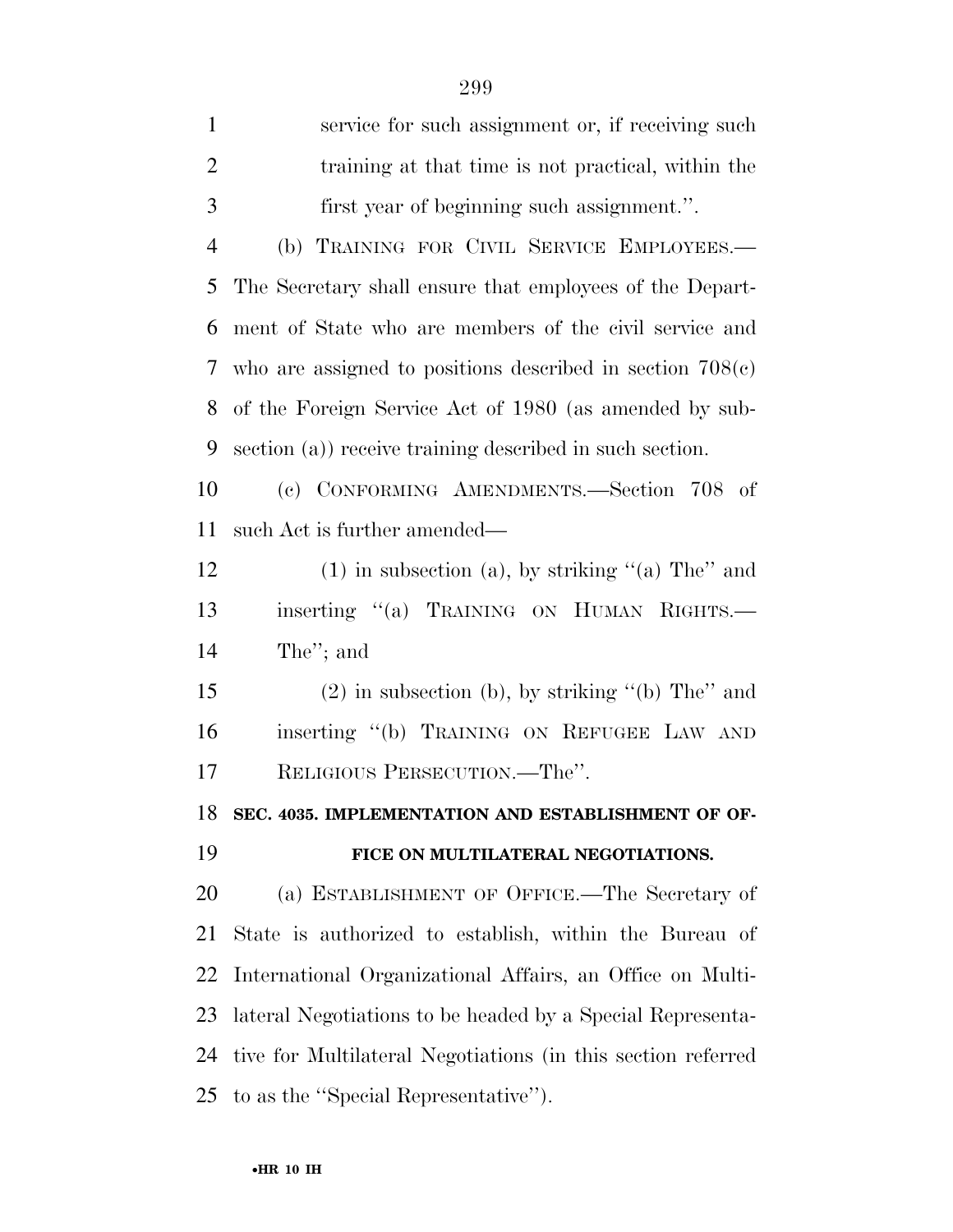| $\mathbf{1}$   | service for such assignment or, if receiving such            |
|----------------|--------------------------------------------------------------|
| $\overline{2}$ | training at that time is not practical, within the           |
| 3              | first year of beginning such assignment.".                   |
| $\overline{4}$ | (b) TRAINING FOR CIVIL SERVICE EMPLOYEES.-                   |
| 5              | The Secretary shall ensure that employees of the Depart-     |
| 6              | ment of State who are members of the civil service and       |
| 7              | who are assigned to positions described in section $708(c)$  |
| 8              | of the Foreign Service Act of 1980 (as amended by sub-       |
| 9              | section (a)) receive training described in such section.     |
| 10             | (c) CONFORMING AMENDMENTS.-Section 708 of                    |
| 11             | such Act is further amended—                                 |
| 12             | $(1)$ in subsection (a), by striking "(a) The" and           |
| 13             | inserting "(a) TRAINING ON HUMAN RIGHTS.                     |
| 14             | The"; and                                                    |
| 15             | $(2)$ in subsection (b), by striking "(b) The" and           |
| 16             | inserting "(b) TRAINING ON REFUGEE LAW AND                   |
| 17             | RELIGIOUS PERSECUTION.—The".                                 |
| 18             | SEC. 4035. IMPLEMENTATION AND ESTABLISHMENT OF OF-           |
| 19             | FICE ON MULTILATERAL NEGOTIATIONS.                           |
| 20             | (a) ESTABLISHMENT OF OFFICE.—The Secretary of                |
| 21             | State is authorized to establish, within the Bureau of       |
| 22             | International Organizational Affairs, an Office on Multi-    |
| 23             | lateral Negotiations to be headed by a Special Representa-   |
| 24             | tive for Multilateral Negotiations (in this section referred |
| 25             | to as the "Special Representative").                         |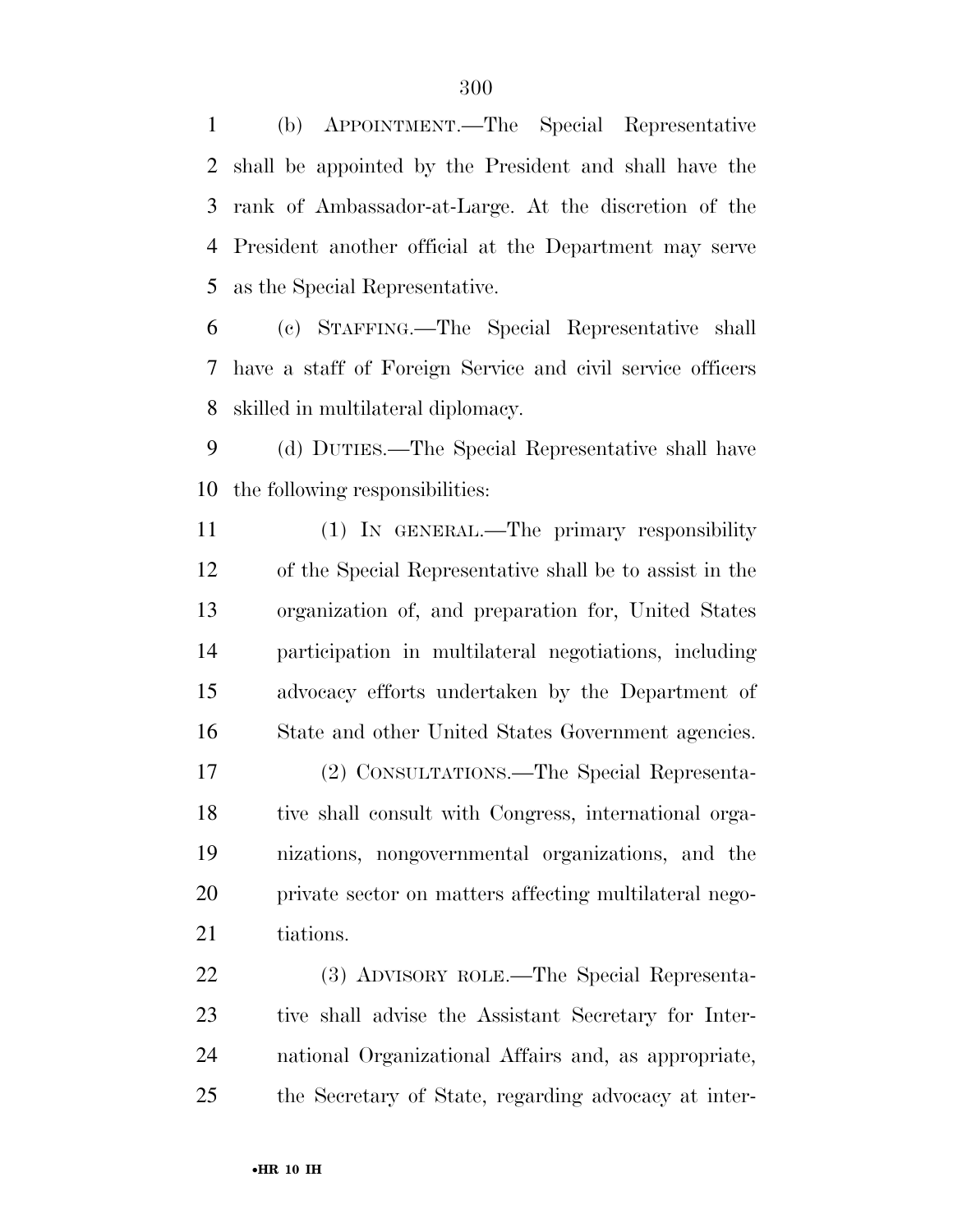(b) APPOINTMENT.—The Special Representative shall be appointed by the President and shall have the rank of Ambassador-at-Large. At the discretion of the President another official at the Department may serve as the Special Representative.

 (c) STAFFING.—The Special Representative shall have a staff of Foreign Service and civil service officers skilled in multilateral diplomacy.

 (d) DUTIES.—The Special Representative shall have the following responsibilities:

 (1) IN GENERAL.—The primary responsibility of the Special Representative shall be to assist in the organization of, and preparation for, United States participation in multilateral negotiations, including advocacy efforts undertaken by the Department of State and other United States Government agencies.

 (2) CONSULTATIONS.—The Special Representa- tive shall consult with Congress, international orga- nizations, nongovernmental organizations, and the private sector on matters affecting multilateral nego-21 tiations.

 (3) ADVISORY ROLE.—The Special Representa- tive shall advise the Assistant Secretary for Inter- national Organizational Affairs and, as appropriate, the Secretary of State, regarding advocacy at inter-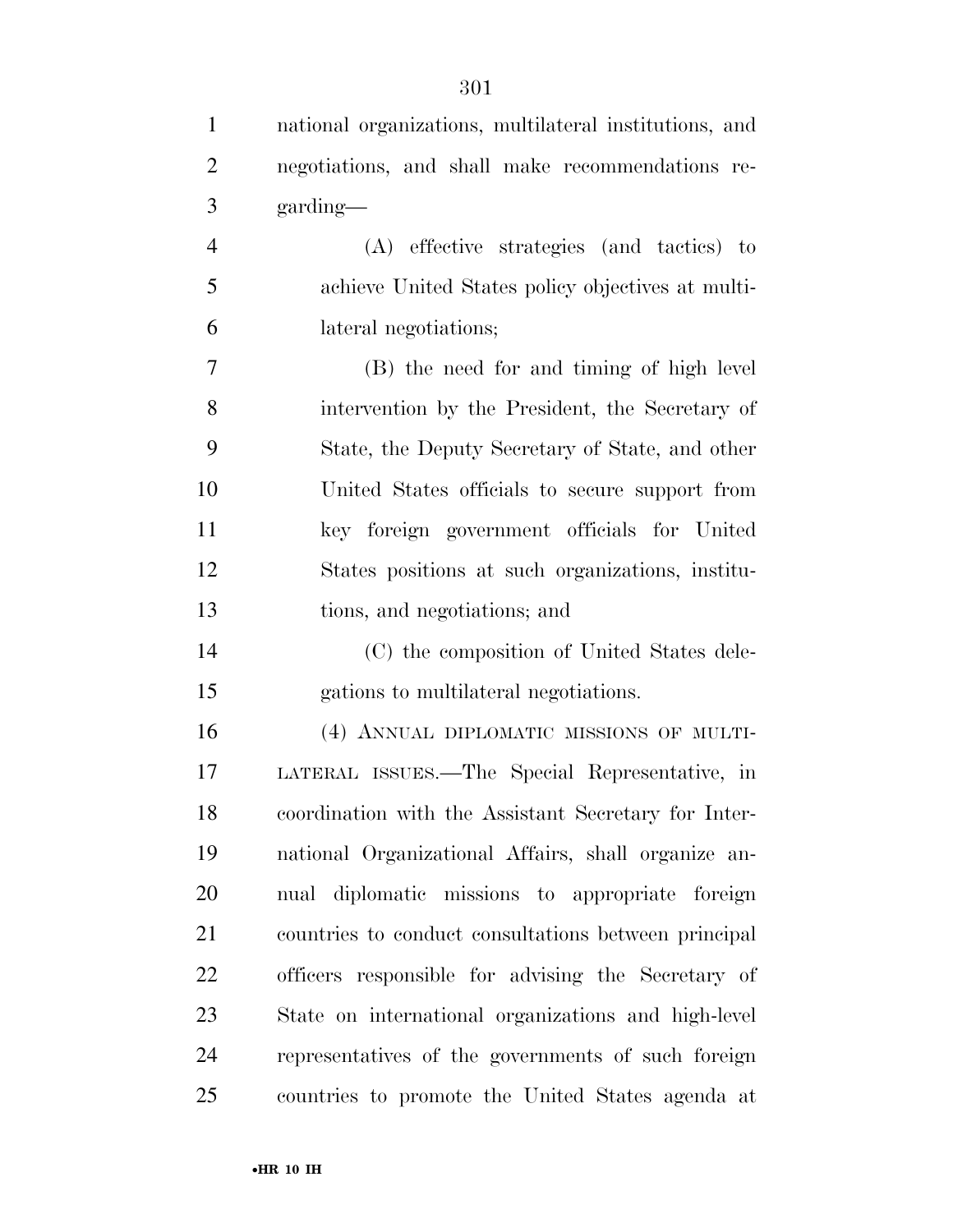| $\mathbf{1}$   | national organizations, multilateral institutions, and |
|----------------|--------------------------------------------------------|
| $\overline{2}$ | negotiations, and shall make recommendations re-       |
| 3              | garding—                                               |
| $\overline{4}$ | (A) effective strategies (and tactics) to              |
| 5              | achieve United States policy objectives at multi-      |
| 6              | lateral negotiations;                                  |
| 7              | (B) the need for and timing of high level              |
| 8              | intervention by the President, the Secretary of        |
| 9              | State, the Deputy Secretary of State, and other        |
| 10             | United States officials to secure support from         |
| 11             | key foreign government officials for United            |
| 12             | States positions at such organizations, institu-       |
| 13             | tions, and negotiations; and                           |
| 14             | (C) the composition of United States dele-             |
| 15             | gations to multilateral negotiations.                  |
| 16             | (4) ANNUAL DIPLOMATIC MISSIONS OF MULTI-               |
| 17             | LATERAL ISSUES.—The Special Representative, in         |
| 18             | coordination with the Assistant Secretary for Inter-   |
| 19             | national Organizational Affairs, shall organize an-    |
| 20             | nual diplomatic missions to appropriate foreign        |
| 21             | countries to conduct consultations between principal   |
| 22             | officers responsible for advising the Secretary of     |
| 23             | State on international organizations and high-level    |
| 24             | representatives of the governments of such foreign     |
| 25             | countries to promote the United States agenda at       |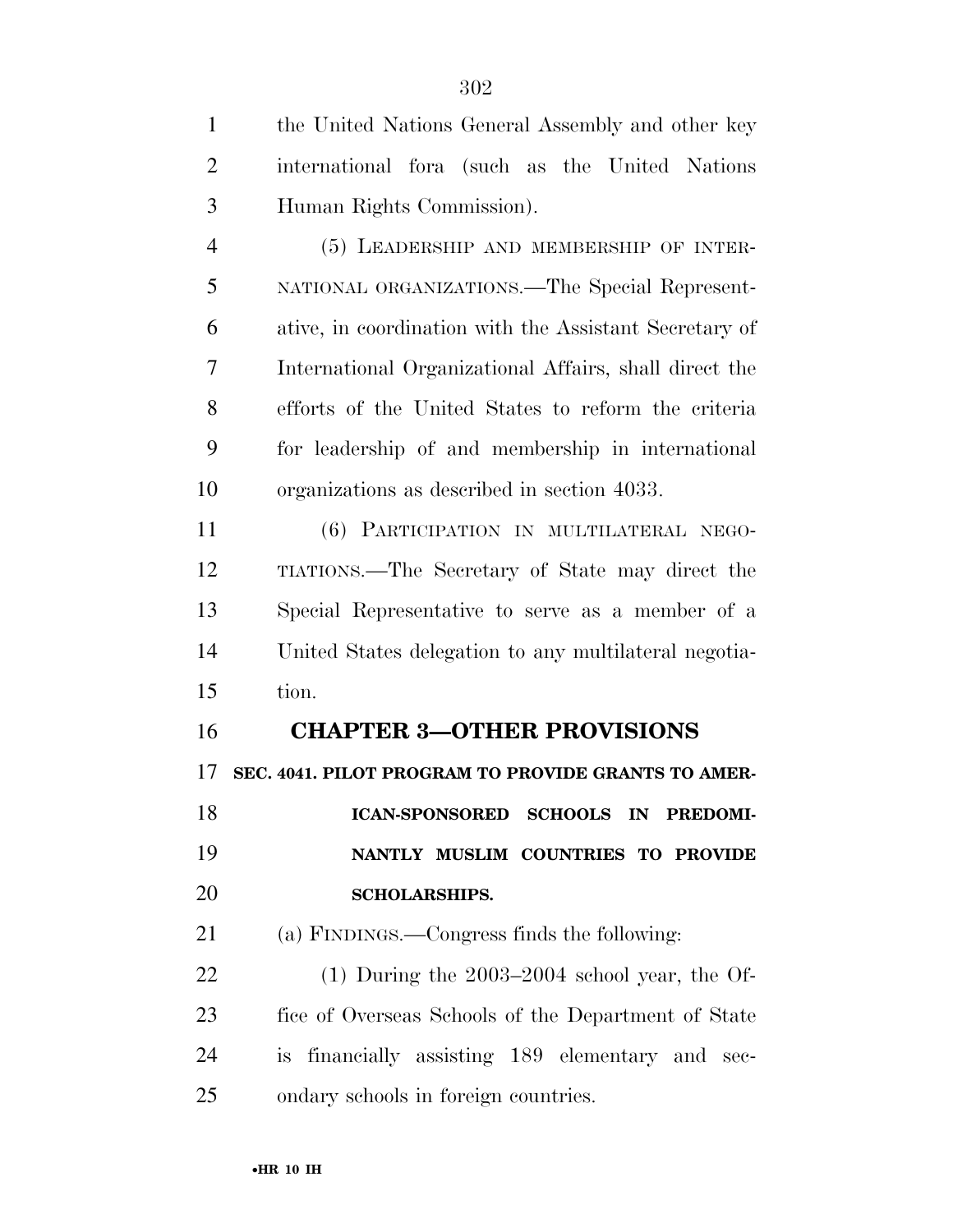(5) LEADERSHIP AND MEMBERSHIP OF INTER- NATIONAL ORGANIZATIONS.—The Special Represent- ative, in coordination with the Assistant Secretary of International Organizational Affairs, shall direct the efforts of the United States to reform the criteria for leadership of and membership in international organizations as described in section 4033.

 (6) PARTICIPATION IN MULTILATERAL NEGO- TIATIONS.—The Secretary of State may direct the Special Representative to serve as a member of a United States delegation to any multilateral negotia-tion.

### **CHAPTER 3—OTHER PROVISIONS**

**SEC. 4041. PILOT PROGRAM TO PROVIDE GRANTS TO AMER-**

 **ICAN-SPONSORED SCHOOLS IN PREDOMI- NANTLY MUSLIM COUNTRIES TO PROVIDE SCHOLARSHIPS.** 

(a) FINDINGS.—Congress finds the following:

 (1) During the 2003–2004 school year, the Of- fice of Overseas Schools of the Department of State is financially assisting 189 elementary and sec-ondary schools in foreign countries.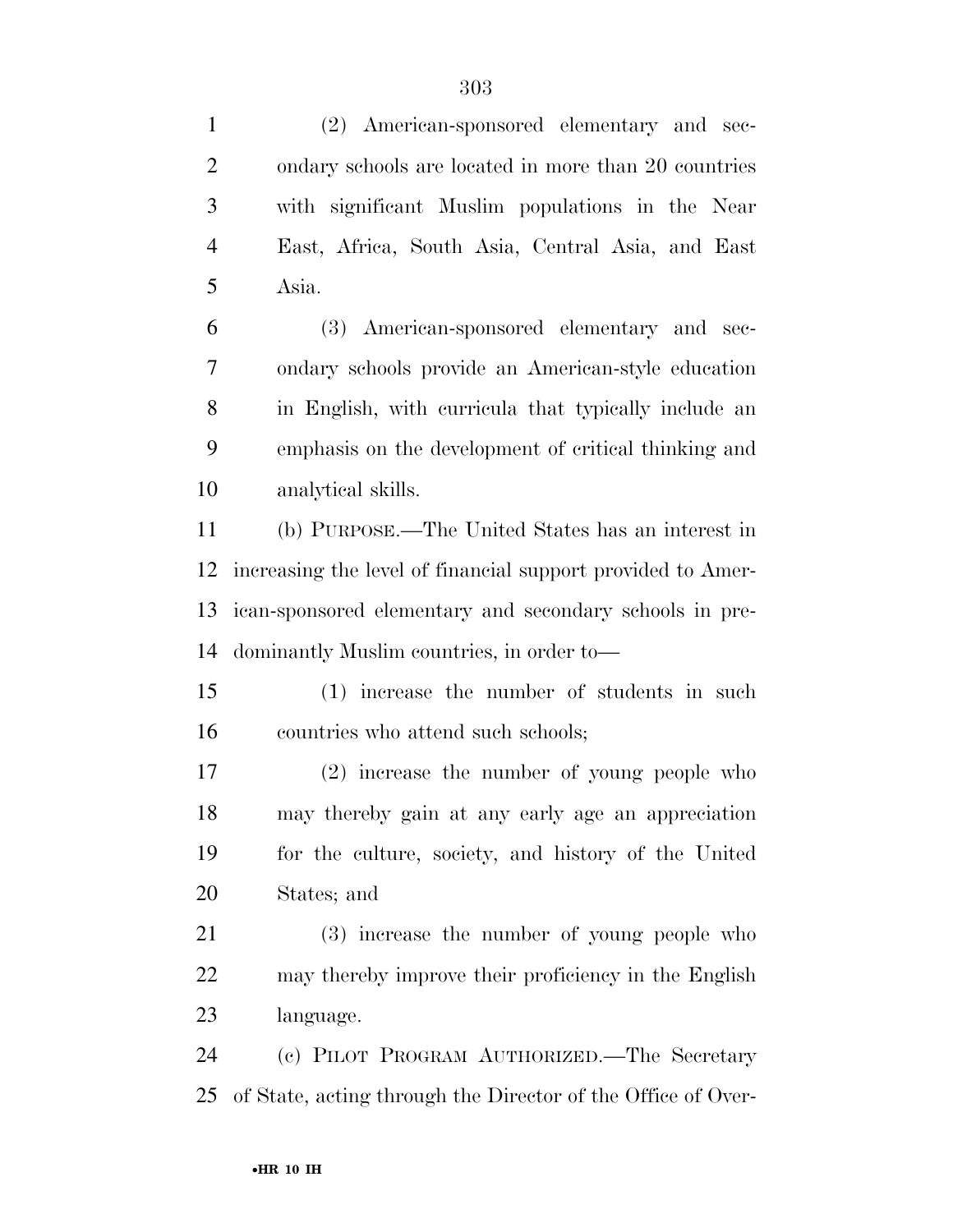(2) American-sponsored elementary and sec-2 ondary schools are located in more than 20 countries with significant Muslim populations in the Near East, Africa, South Asia, Central Asia, and East Asia. (3) American-sponsored elementary and sec- ondary schools provide an American-style education in English, with curricula that typically include an emphasis on the development of critical thinking and analytical skills. (b) PURPOSE.—The United States has an interest in increasing the level of financial support provided to Amer- ican-sponsored elementary and secondary schools in pre- dominantly Muslim countries, in order to— (1) increase the number of students in such countries who attend such schools; (2) increase the number of young people who may thereby gain at any early age an appreciation for the culture, society, and history of the United States; and (3) increase the number of young people who may thereby improve their proficiency in the English language. (c) PILOT PROGRAM AUTHORIZED.—The Secretary of State, acting through the Director of the Office of Over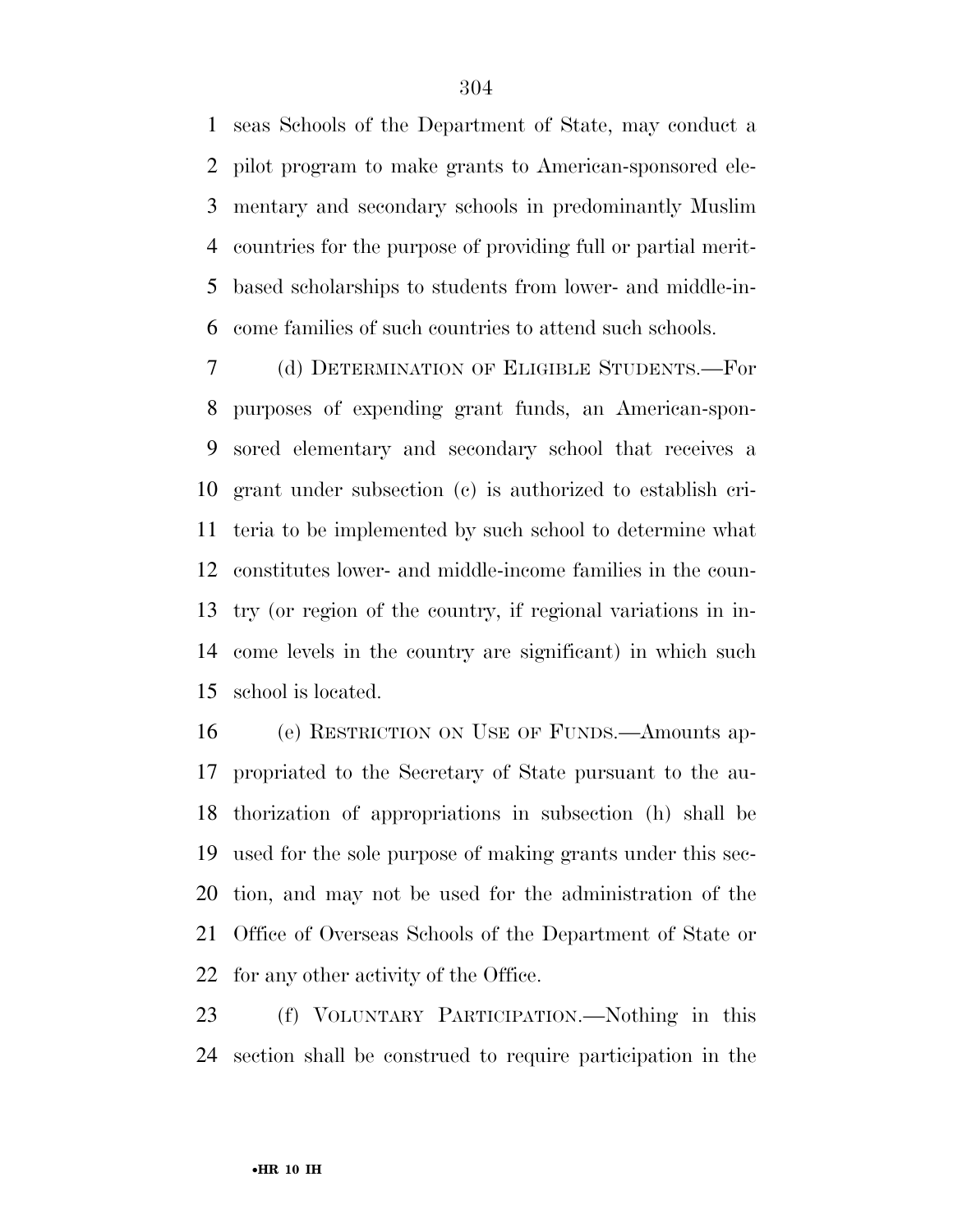seas Schools of the Department of State, may conduct a pilot program to make grants to American-sponsored ele- mentary and secondary schools in predominantly Muslim countries for the purpose of providing full or partial merit- based scholarships to students from lower- and middle-in-come families of such countries to attend such schools.

 (d) DETERMINATION OF ELIGIBLE STUDENTS.—For purposes of expending grant funds, an American-spon- sored elementary and secondary school that receives a grant under subsection (c) is authorized to establish cri- teria to be implemented by such school to determine what constitutes lower- and middle-income families in the coun- try (or region of the country, if regional variations in in- come levels in the country are significant) in which such school is located.

 (e) RESTRICTION ON USE OF FUNDS.—Amounts ap- propriated to the Secretary of State pursuant to the au- thorization of appropriations in subsection (h) shall be used for the sole purpose of making grants under this sec- tion, and may not be used for the administration of the Office of Overseas Schools of the Department of State or for any other activity of the Office.

 (f) VOLUNTARY PARTICIPATION.—Nothing in this section shall be construed to require participation in the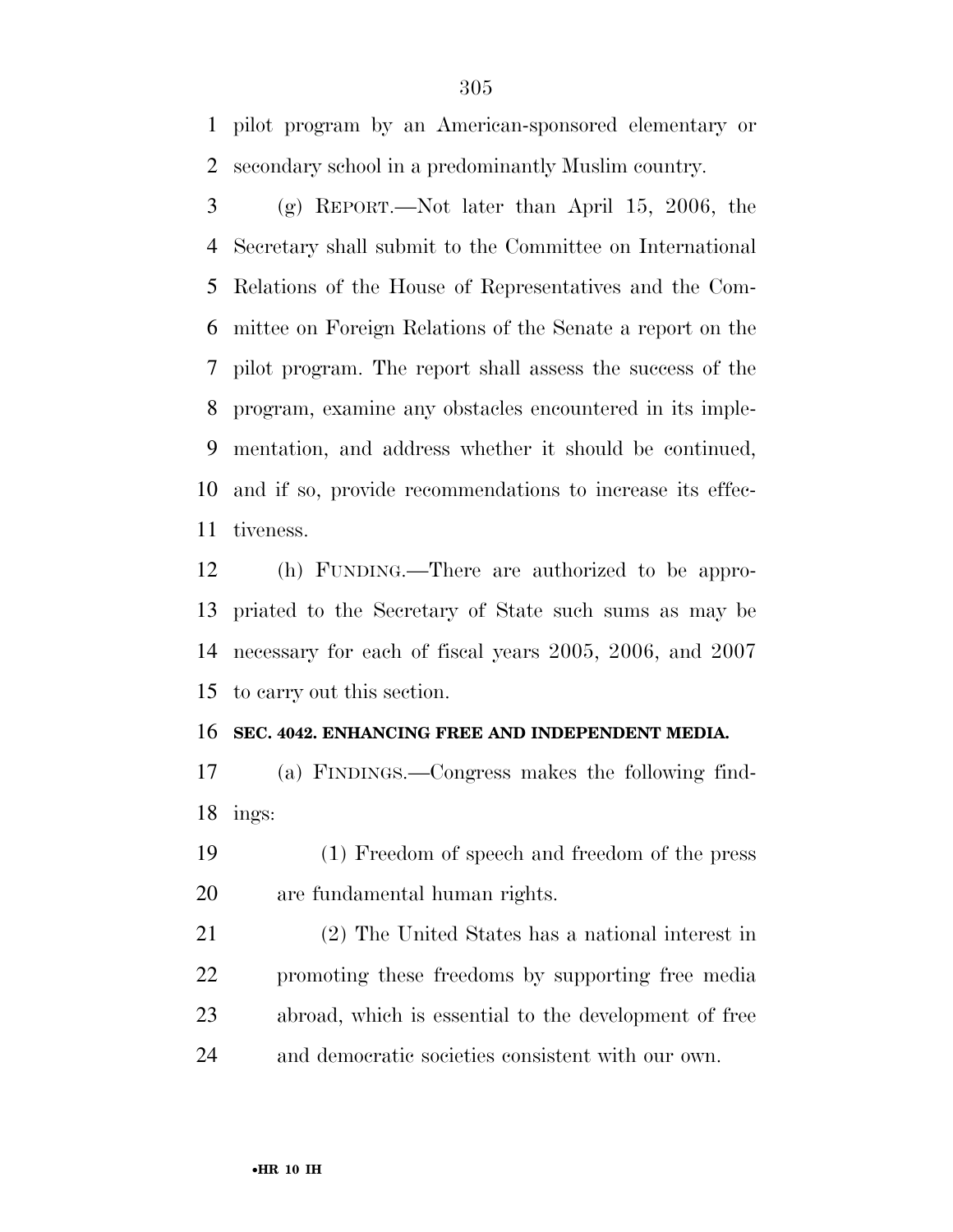pilot program by an American-sponsored elementary or secondary school in a predominantly Muslim country.

 (g) REPORT.—Not later than April 15, 2006, the Secretary shall submit to the Committee on International Relations of the House of Representatives and the Com- mittee on Foreign Relations of the Senate a report on the pilot program. The report shall assess the success of the program, examine any obstacles encountered in its imple- mentation, and address whether it should be continued, and if so, provide recommendations to increase its effec-tiveness.

 (h) FUNDING.—There are authorized to be appro- priated to the Secretary of State such sums as may be necessary for each of fiscal years 2005, 2006, and 2007 to carry out this section.

#### **SEC. 4042. ENHANCING FREE AND INDEPENDENT MEDIA.**

 (a) FINDINGS.—Congress makes the following find-ings:

 (1) Freedom of speech and freedom of the press are fundamental human rights.

 (2) The United States has a national interest in promoting these freedoms by supporting free media abroad, which is essential to the development of free and democratic societies consistent with our own.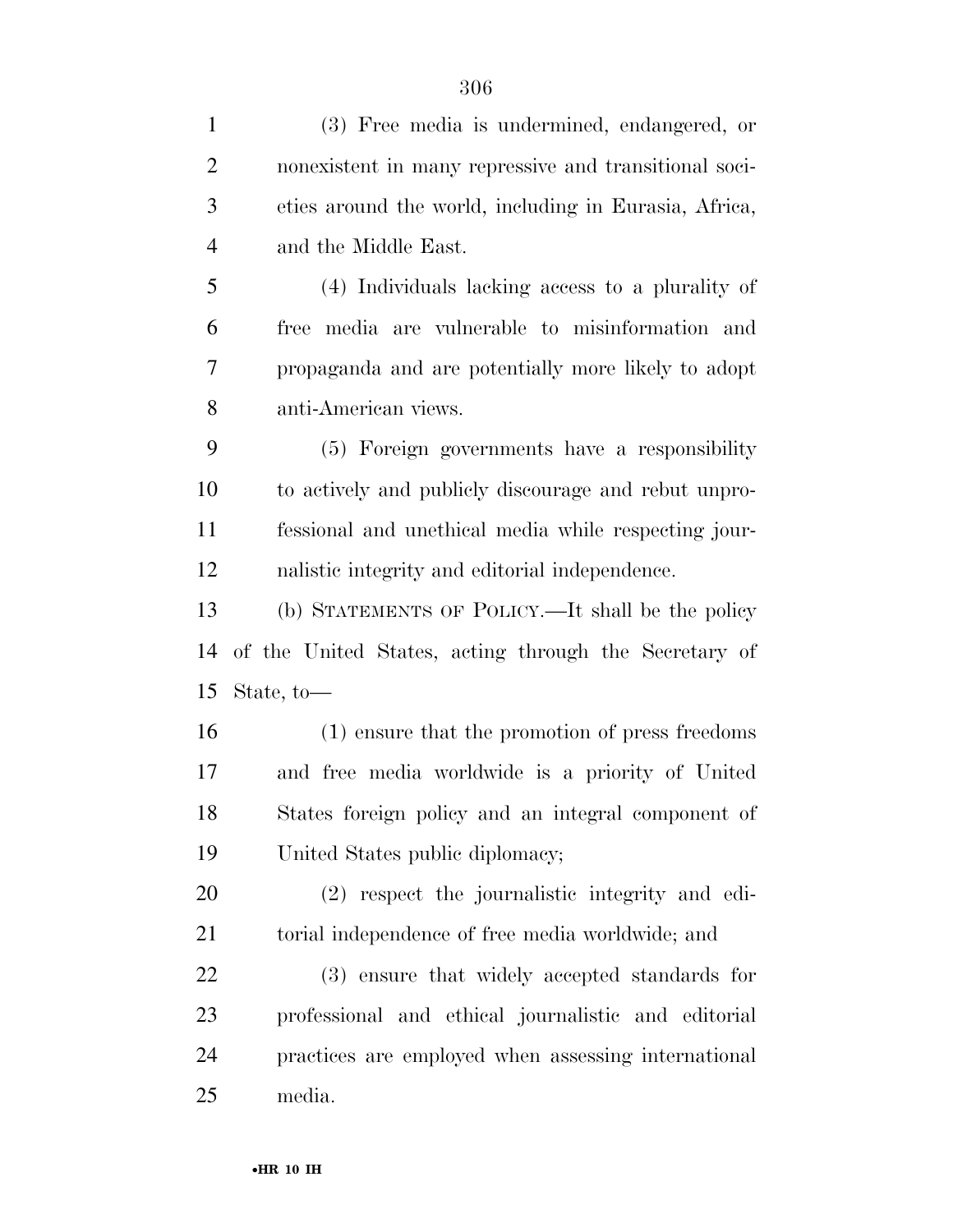| $\mathbf{1}$   | (3) Free media is undermined, endangered, or          |
|----------------|-------------------------------------------------------|
| $\overline{2}$ | nonexistent in many repressive and transitional soci- |
| 3              | eties around the world, including in Eurasia, Africa, |
| $\overline{4}$ | and the Middle East.                                  |
| 5              | (4) Individuals lacking access to a plurality of      |
| 6              | free media are vulnerable to misinformation and       |
| 7              | propaganda and are potentially more likely to adopt   |
| 8              | anti-American views.                                  |
| 9              | (5) Foreign governments have a responsibility         |
| 10             | to actively and publicly discourage and rebut unpro-  |
| 11             | fessional and unethical media while respecting jour-  |
| 12             | nalistic integrity and editorial independence.        |
| 13             | (b) STATEMENTS OF POLICY.—It shall be the policy      |
| 14             | of the United States, acting through the Secretary of |
| 15             | State, to-                                            |
| 16             | (1) ensure that the promotion of press freedoms       |
| 17             | and free media worldwide is a priority of United      |
| 18             | States foreign policy and an integral component of    |
| 19             | United States public diplomacy;                       |
| 20             | (2) respect the journalistic integrity and edi-       |
| 21             | torial independence of free media worldwide; and      |
| 22             | (3) ensure that widely accepted standards for         |
| 23             | professional and ethical journalistic and editorial   |
| 24             | practices are employed when assessing international   |
| 25             | media.                                                |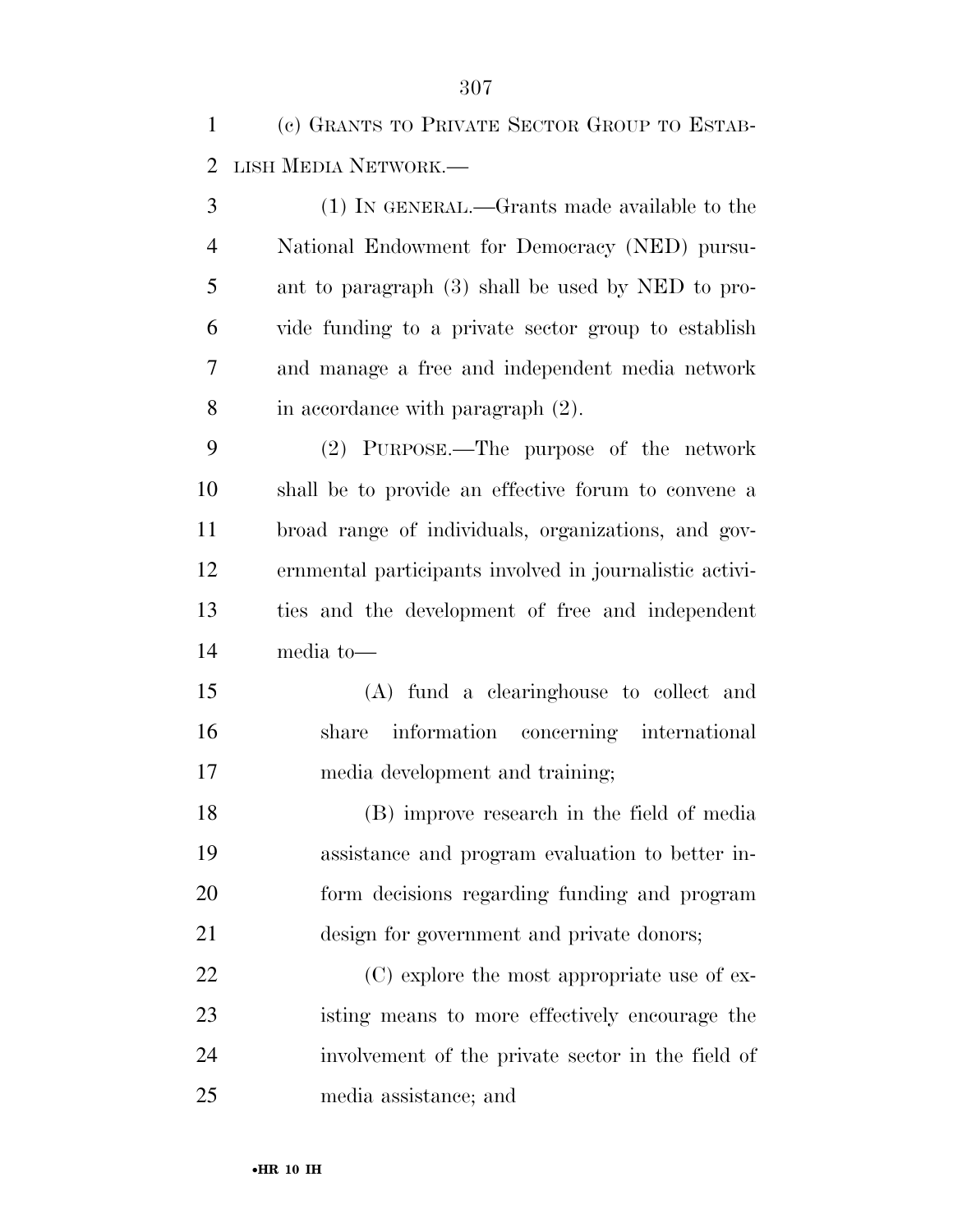(c) GRANTS TO PRIVATE SECTOR GROUP TO ESTAB-LISH MEDIA NETWORK.—

 (1) IN GENERAL.—Grants made available to the National Endowment for Democracy (NED) pursu- ant to paragraph (3) shall be used by NED to pro- vide funding to a private sector group to establish and manage a free and independent media network in accordance with paragraph (2).

 (2) PURPOSE.—The purpose of the network shall be to provide an effective forum to convene a broad range of individuals, organizations, and gov- ernmental participants involved in journalistic activi- ties and the development of free and independent media to—

 (A) fund a clearinghouse to collect and share information concerning international media development and training;

 (B) improve research in the field of media assistance and program evaluation to better in- form decisions regarding funding and program design for government and private donors;

22 (C) explore the most appropriate use of ex- isting means to more effectively encourage the involvement of the private sector in the field of media assistance; and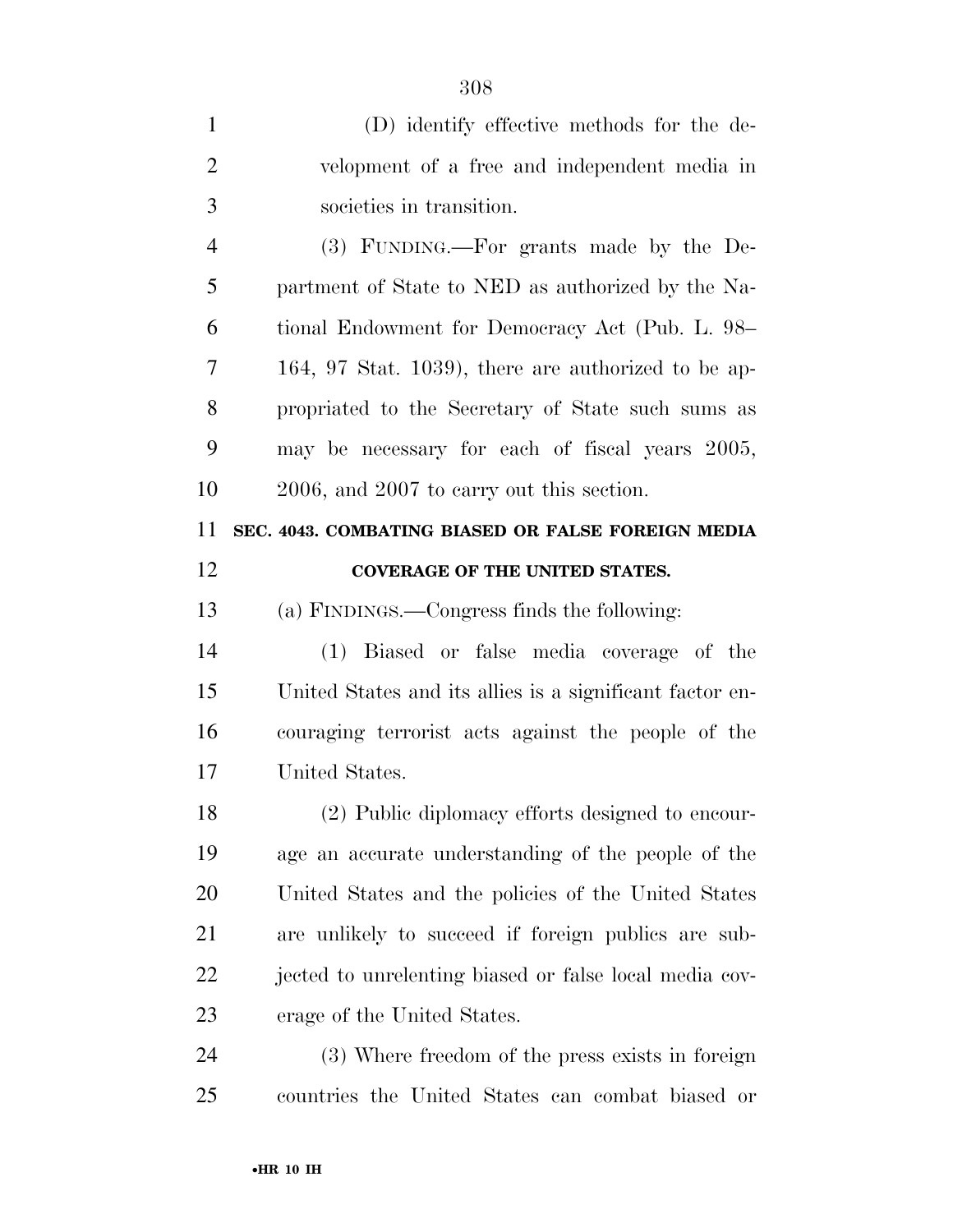| 1              | (D) identify effective methods for the de-               |
|----------------|----------------------------------------------------------|
| $\overline{2}$ | velopment of a free and independent media in             |
| 3              | societies in transition.                                 |
| $\overline{4}$ | (3) FUNDING.—For grants made by the De-                  |
| 5              | partment of State to NED as authorized by the Na-        |
| 6              | tional Endowment for Democracy Act (Pub. L. 98–          |
| 7              | $164, 97$ Stat. $1039$ ), there are authorized to be ap- |
| 8              | propriated to the Secretary of State such sums as        |
| 9              | may be necessary for each of fiscal years 2005,          |
| 10             | 2006, and 2007 to carry out this section.                |
| 11             | SEC. 4043. COMBATING BIASED OR FALSE FOREIGN MEDIA       |
| 12             | <b>COVERAGE OF THE UNITED STATES.</b>                    |
| 13             | (a) FINDINGS.—Congress finds the following:              |
| 14             | (1) Biased or false media coverage of the                |
| 15             | United States and its allies is a significant factor en- |
| 16             | couraging terrorist acts against the people of the       |
| 17             | United States.                                           |
| 18             | (2) Public diplomacy efforts designed to encour-         |
| 19             | age an accurate understanding of the people of the       |
| 20             | United States and the policies of the United States      |
| 21             | are unlikely to succeed if foreign publics are sub-      |
| 22             | jected to unrelenting biased or false local media cov-   |
| 23             | erage of the United States.                              |
| 24             | (3) Where freedom of the press exists in foreign         |
| 25             | countries the United States can combat biased or         |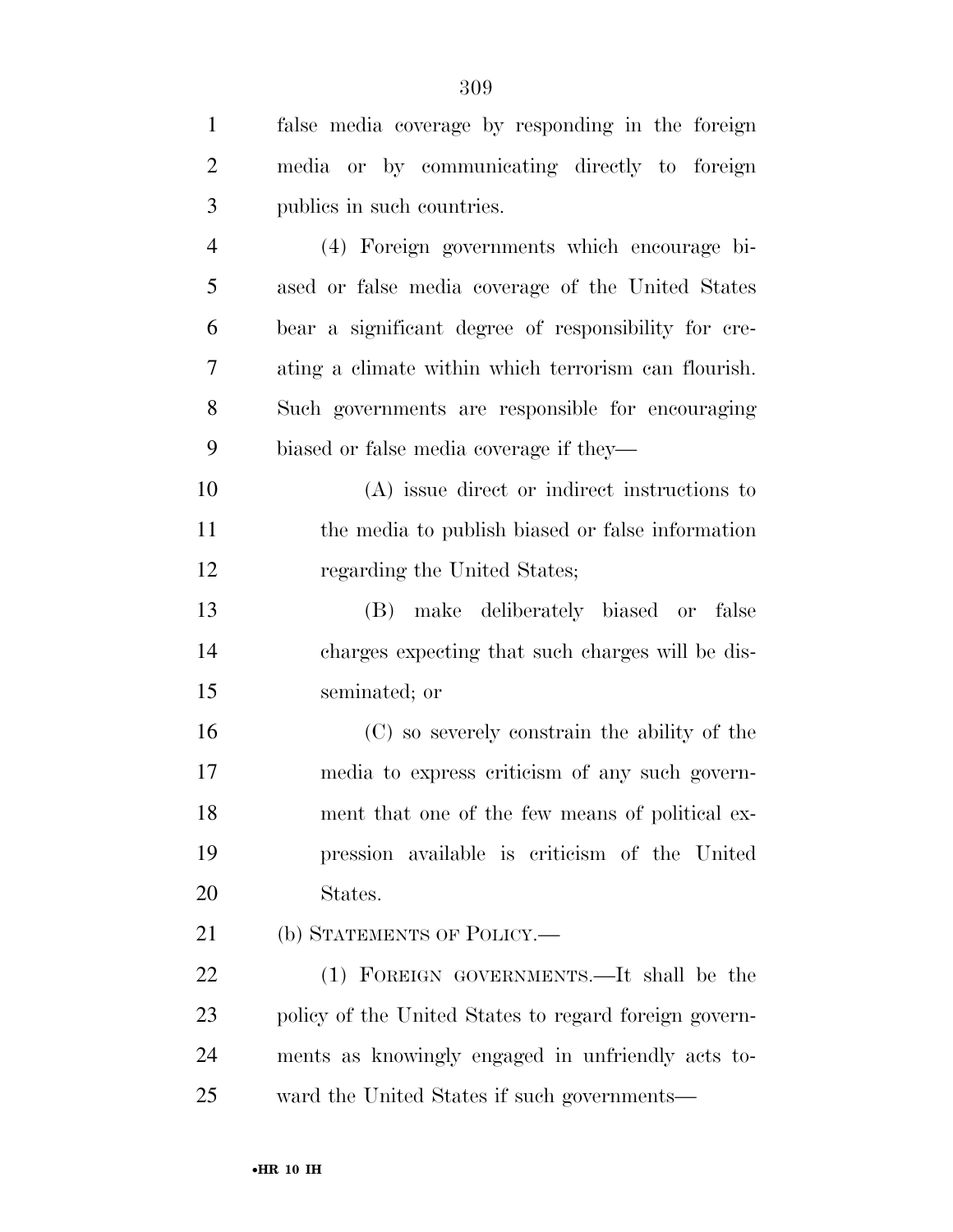| $\mathbf{1}$   | false media coverage by responding in the foreign     |
|----------------|-------------------------------------------------------|
| $\overline{2}$ | media or by communicating directly to foreign         |
| 3              | publics in such countries.                            |
| $\overline{4}$ | (4) Foreign governments which encourage bi-           |
| 5              | ased or false media coverage of the United States     |
| 6              | bear a significant degree of responsibility for cre-  |
| $\overline{7}$ | ating a climate within which terrorism can flourish.  |
| 8              | Such governments are responsible for encouraging      |
| 9              | biased or false media coverage if they—               |
| 10             | (A) issue direct or indirect instructions to          |
| 11             | the media to publish biased or false information      |
| 12             | regarding the United States;                          |
| 13             | (B) make deliberately biased or false                 |
| 14             | charges expecting that such charges will be dis-      |
| 15             | seminated; or                                         |
| 16             | (C) so severely constrain the ability of the          |
| 17             | media to express criticism of any such govern-        |
| 18             | ment that one of the few means of political ex-       |
| 19             | pression available is criticism of the United         |
| 20             | States.                                               |
| 21             | (b) STATEMENTS OF POLICY.—                            |
| 22             | (1) FOREIGN GOVERNMENTS.—It shall be the              |
| 23             | policy of the United States to regard foreign govern- |
| 24             | ments as knowingly engaged in unfriendly acts to-     |
| 25             | ward the United States if such governments—           |
|                |                                                       |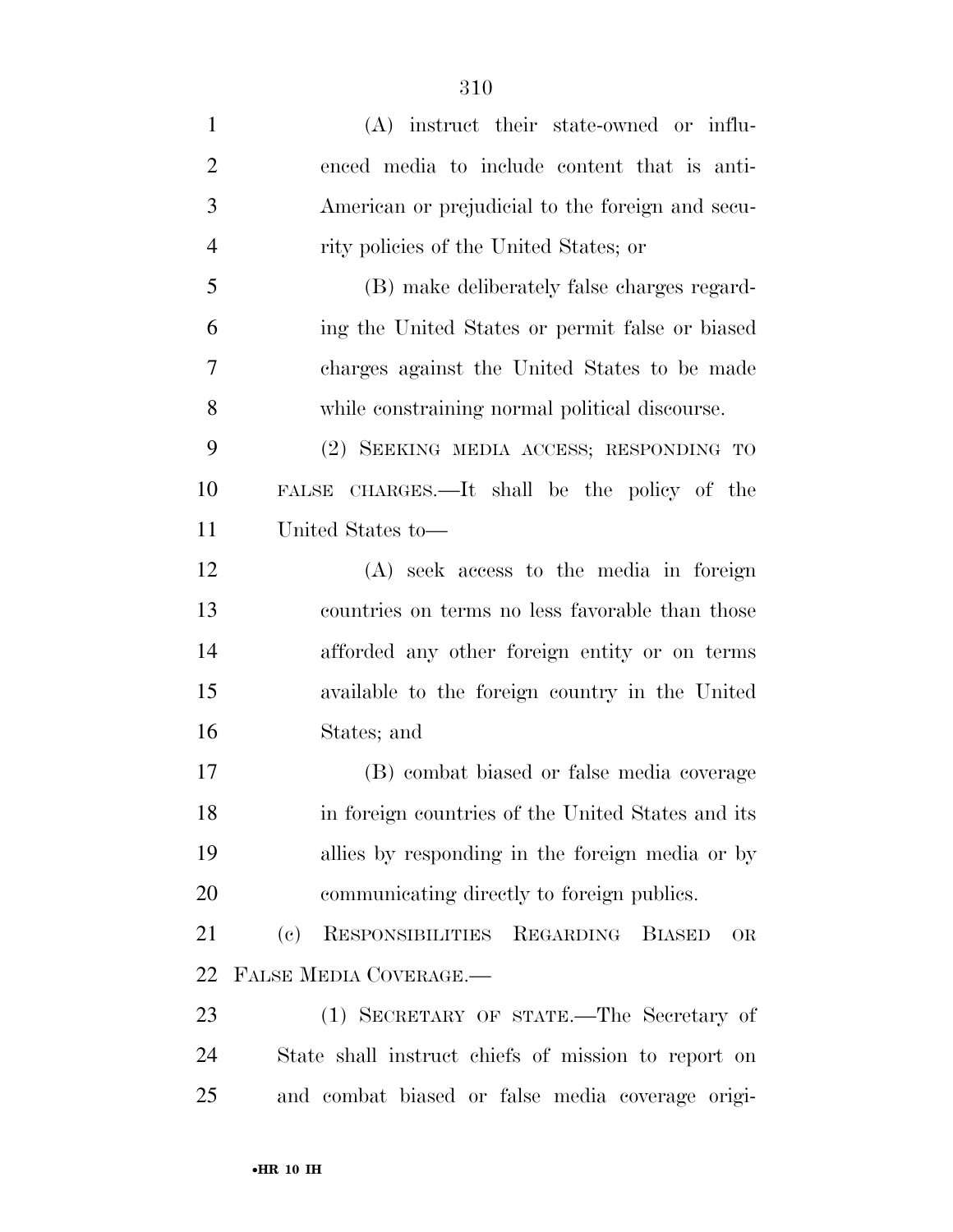| $\mathbf{1}$   | (A) instruct their state-owned or influ-            |
|----------------|-----------------------------------------------------|
| $\overline{2}$ | enced media to include content that is anti-        |
| 3              | American or prejudicial to the foreign and secu-    |
| $\overline{4}$ | rity policies of the United States; or              |
| 5              | (B) make deliberately false charges regard-         |
| 6              | ing the United States or permit false or biased     |
| 7              | charges against the United States to be made        |
| 8              | while constraining normal political discourse.      |
| 9              | (2) SEEKING MEDIA ACCESS; RESPONDING TO             |
| 10             | FALSE CHARGES.—It shall be the policy of the        |
| 11             | United States to-                                   |
| 12             | (A) seek access to the media in foreign             |
| 13             | countries on terms no less favorable than those     |
| 14             | afforded any other foreign entity or on terms       |
| 15             | available to the foreign country in the United      |
| 16             | States; and                                         |
| 17             | (B) combat biased or false media coverage           |
| 18             | in foreign countries of the United States and its   |
| 19             | allies by responding in the foreign media or by     |
| 20             | communicating directly to foreign publics.          |
| 21             | RESPONSIBILITIES REGARDING BIASED<br>(e)<br>OR      |
| 22             | FALSE MEDIA COVERAGE.                               |
| 23             | (1) SECRETARY OF STATE.—The Secretary of            |
| 24             | State shall instruct chiefs of mission to report on |
| 25             | and combat biased or false media coverage origi-    |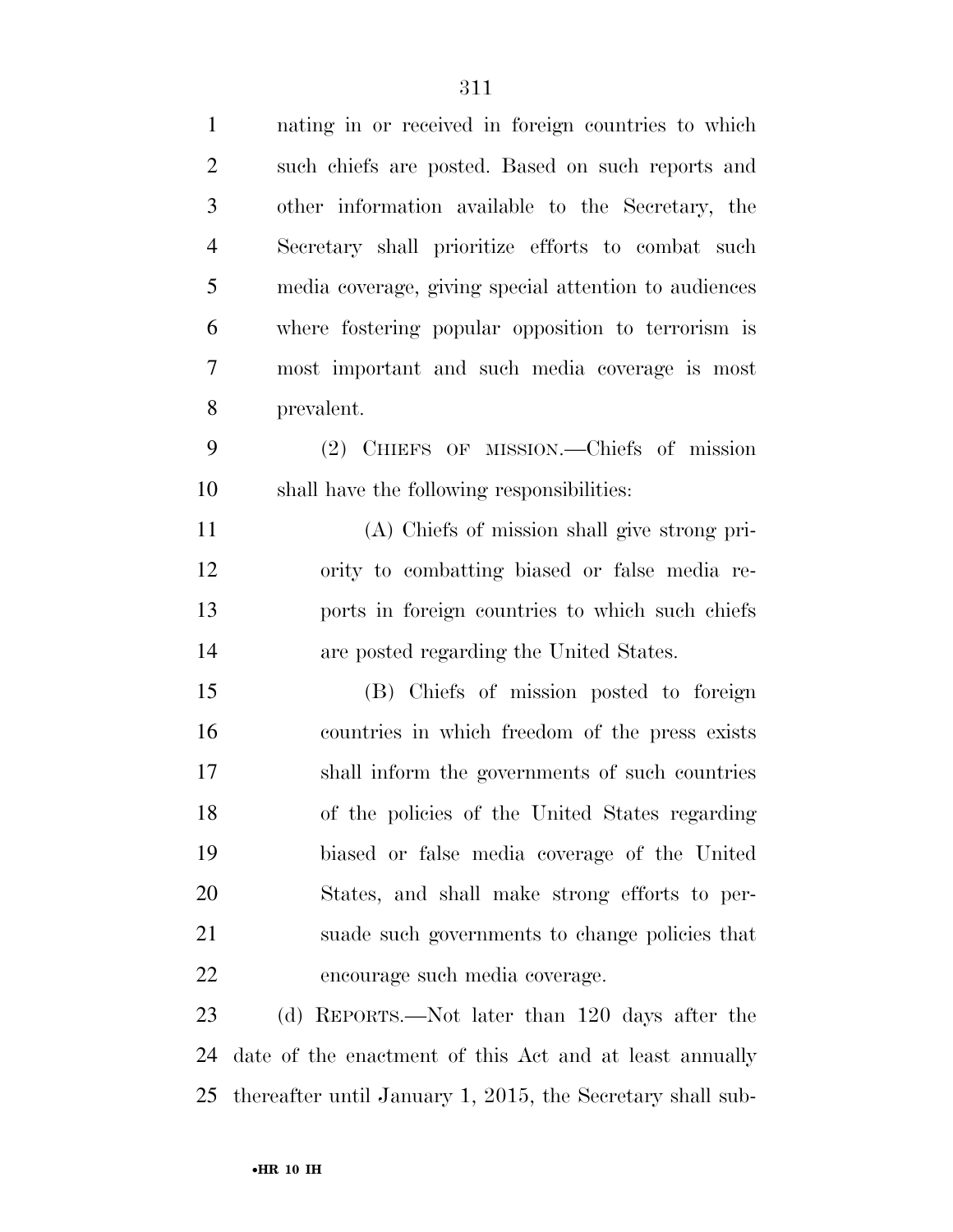| $\mathbf{1}$   | nating in or received in foreign countries to which     |
|----------------|---------------------------------------------------------|
| $\overline{2}$ | such chiefs are posted. Based on such reports and       |
| 3              | other information available to the Secretary, the       |
| $\overline{4}$ | Secretary shall prioritize efforts to combat such       |
| 5              | media coverage, giving special attention to audiences   |
| 6              | where fostering popular opposition to terrorism is      |
| $\tau$         | most important and such media coverage is most          |
| 8              | prevalent.                                              |
| 9              | (2) CHIEFS OF MISSION.—Chiefs of mission                |
| 10             | shall have the following responsibilities:              |
| 11             | (A) Chiefs of mission shall give strong pri-            |
| 12             | ority to combatting biased or false media re-           |
| 13             | ports in foreign countries to which such chiefs         |
| 14             | are posted regarding the United States.                 |
| 15             | (B) Chiefs of mission posted to foreign                 |
| 16             | countries in which freedom of the press exists          |
| 17             | shall inform the governments of such countries          |
| 18             | of the policies of the United States regarding          |
| 19             | biased or false media coverage of the United            |
| 20             | States, and shall make strong efforts to per-           |
| 21             | suade such governments to change policies that          |
| 22             | encourage such media coverage.                          |
| 23             | (d) REPORTS.—Not later than 120 days after the          |
| 24             | date of the enactment of this Act and at least annually |
|                |                                                         |

thereafter until January 1, 2015, the Secretary shall sub-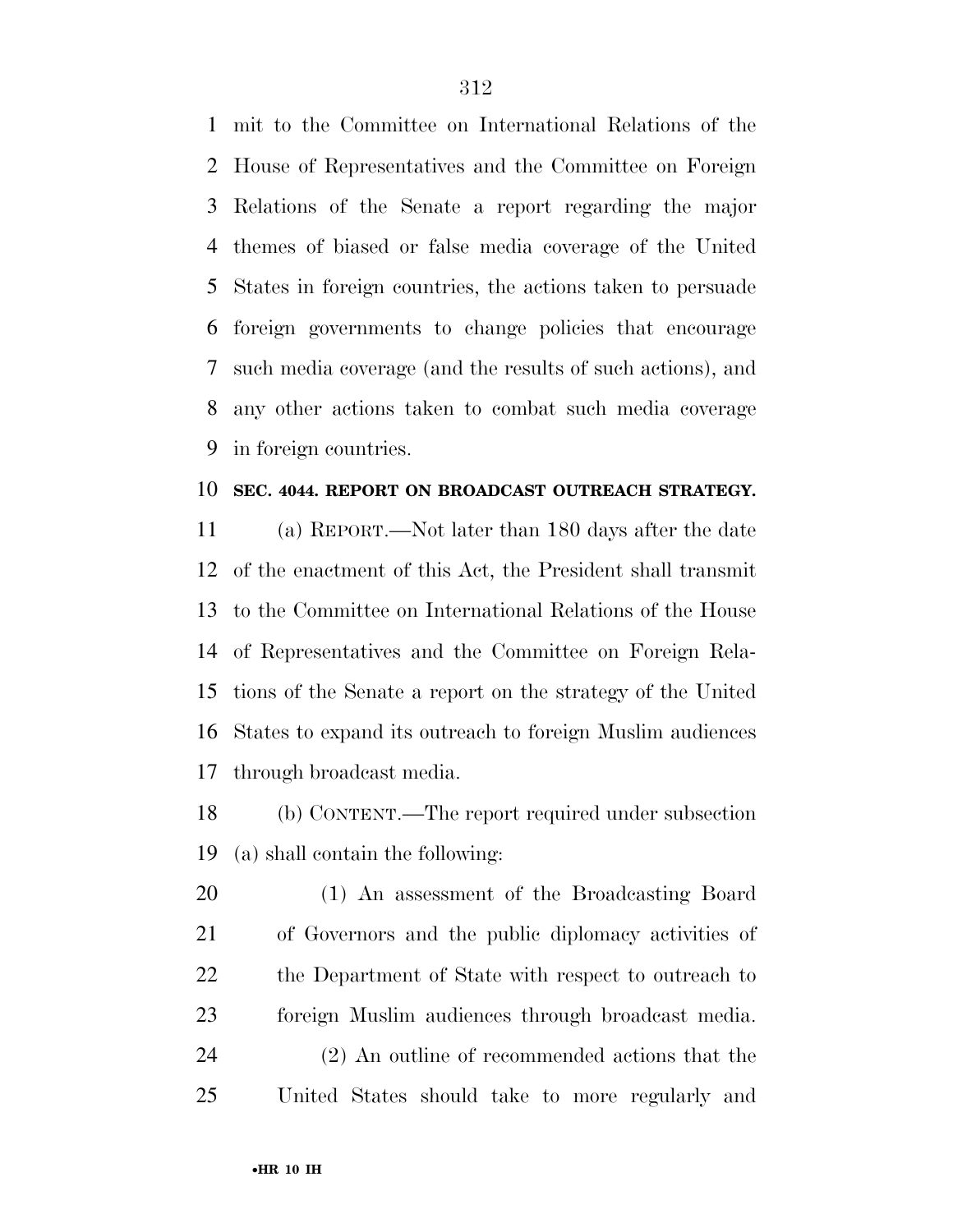mit to the Committee on International Relations of the House of Representatives and the Committee on Foreign Relations of the Senate a report regarding the major themes of biased or false media coverage of the United States in foreign countries, the actions taken to persuade foreign governments to change policies that encourage such media coverage (and the results of such actions), and any other actions taken to combat such media coverage in foreign countries.

#### **SEC. 4044. REPORT ON BROADCAST OUTREACH STRATEGY.**

 (a) REPORT.—Not later than 180 days after the date of the enactment of this Act, the President shall transmit to the Committee on International Relations of the House of Representatives and the Committee on Foreign Rela- tions of the Senate a report on the strategy of the United States to expand its outreach to foreign Muslim audiences through broadcast media.

 (b) CONTENT.—The report required under subsection (a) shall contain the following:

 (1) An assessment of the Broadcasting Board of Governors and the public diplomacy activities of the Department of State with respect to outreach to foreign Muslim audiences through broadcast media. (2) An outline of recommended actions that the United States should take to more regularly and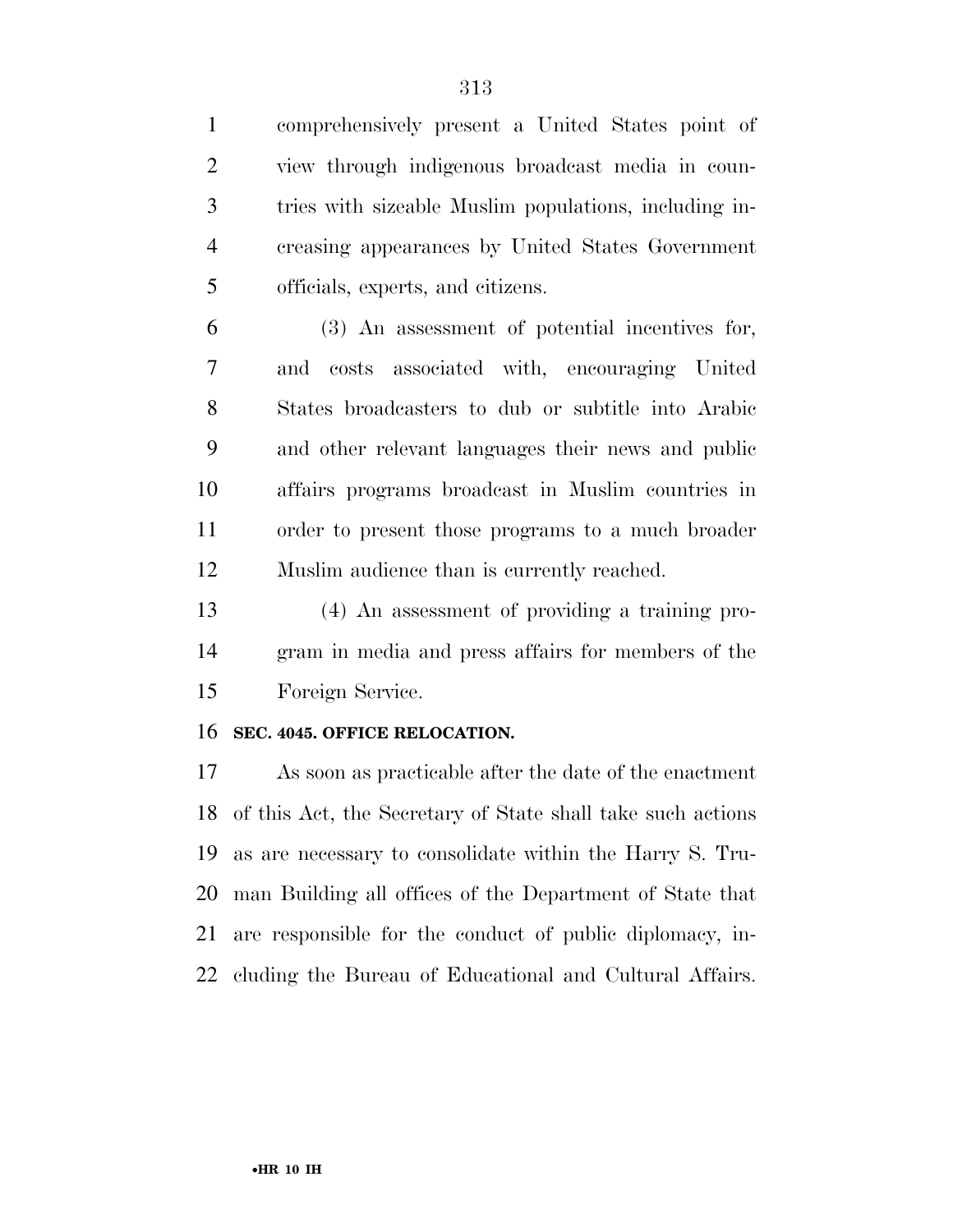comprehensively present a United States point of view through indigenous broadcast media in coun- tries with sizeable Muslim populations, including in- creasing appearances by United States Government officials, experts, and citizens. (3) An assessment of potential incentives for, and costs associated with, encouraging United States broadcasters to dub or subtitle into Arabic and other relevant languages their news and public affairs programs broadcast in Muslim countries in order to present those programs to a much broader Muslim audience than is currently reached. (4) An assessment of providing a training pro- gram in media and press affairs for members of the Foreign Service. **SEC. 4045. OFFICE RELOCATION.**  As soon as practicable after the date of the enactment

 of this Act, the Secretary of State shall take such actions as are necessary to consolidate within the Harry S. Tru- man Building all offices of the Department of State that are responsible for the conduct of public diplomacy, in-cluding the Bureau of Educational and Cultural Affairs.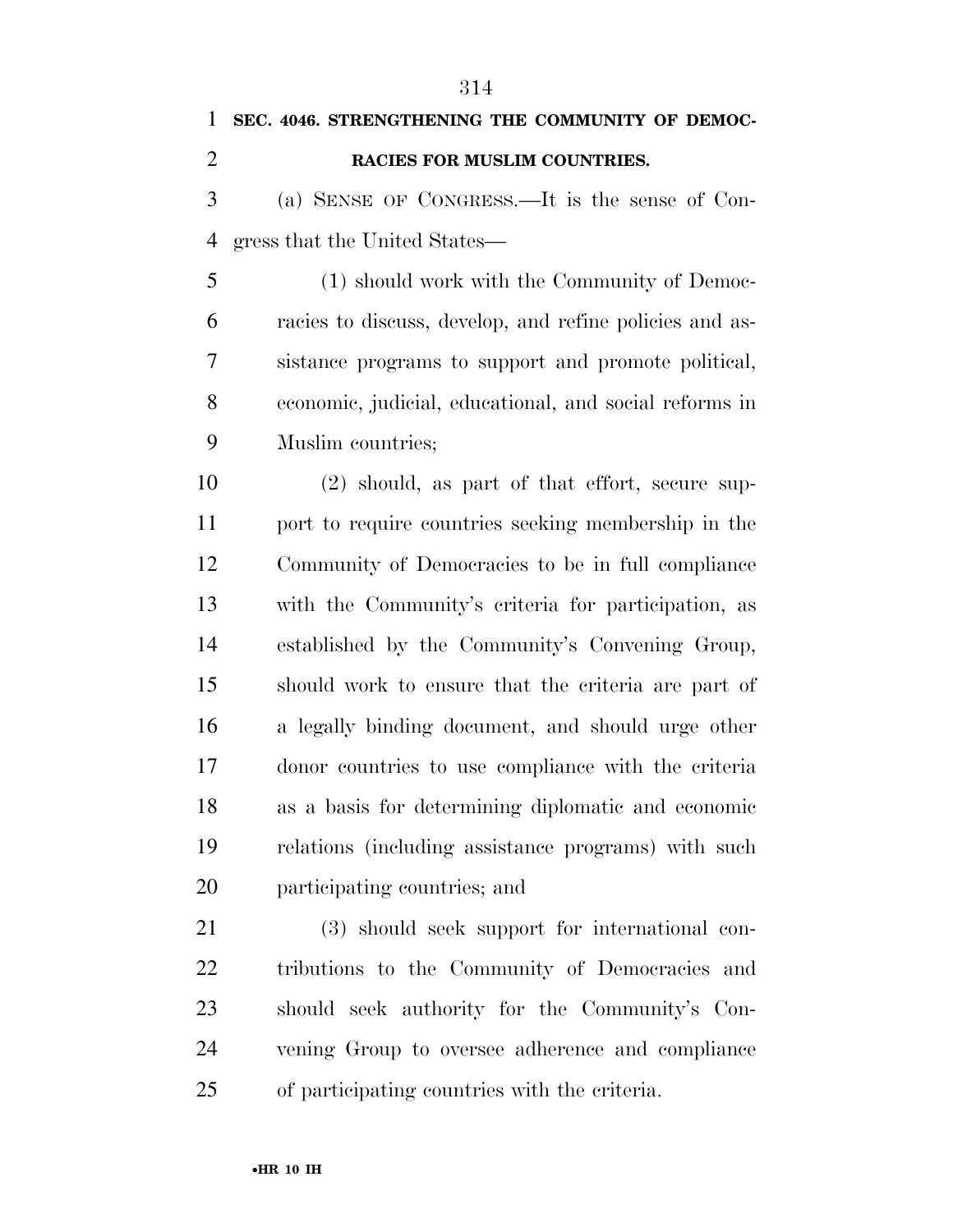| 1              | SEC. 4046. STRENGTHENING THE COMMUNITY OF DEMOC-        |
|----------------|---------------------------------------------------------|
| $\overline{2}$ | RACIES FOR MUSLIM COUNTRIES.                            |
| 3              | (a) SENSE OF CONGRESS.—It is the sense of Con-          |
| 4              | gress that the United States—                           |
| 5              | (1) should work with the Community of Democ-            |
| 6              | racies to discuss, develop, and refine policies and as- |
| 7              | sistance programs to support and promote political,     |
| 8              | economic, judicial, educational, and social reforms in  |
| 9              | Muslim countries;                                       |
| 10             | $(2)$ should, as part of that effort, secure sup-       |
| 11             | port to require countries seeking membership in the     |
| 12             | Community of Democracies to be in full compliance       |
| 13             | with the Community's criteria for participation, as     |
| 14             | established by the Community's Convening Group,         |
| 15             | should work to ensure that the criteria are part of     |
| 16             | a legally binding document, and should urge other       |
| 17             | donor countries to use compliance with the criteria     |
| 18             | as a basis for determining diplomatic and economic      |
| 19             | relations (including assistance programs) with such     |
| 20             | participating countries; and                            |
| 21             | (3) should seek support for international con-          |
| 22             | tributions to the Community of Democracies and          |
| 23             | should seek authority for the Community's Con-          |
| 24             | vening Group to oversee adherence and compliance        |

of participating countries with the criteria.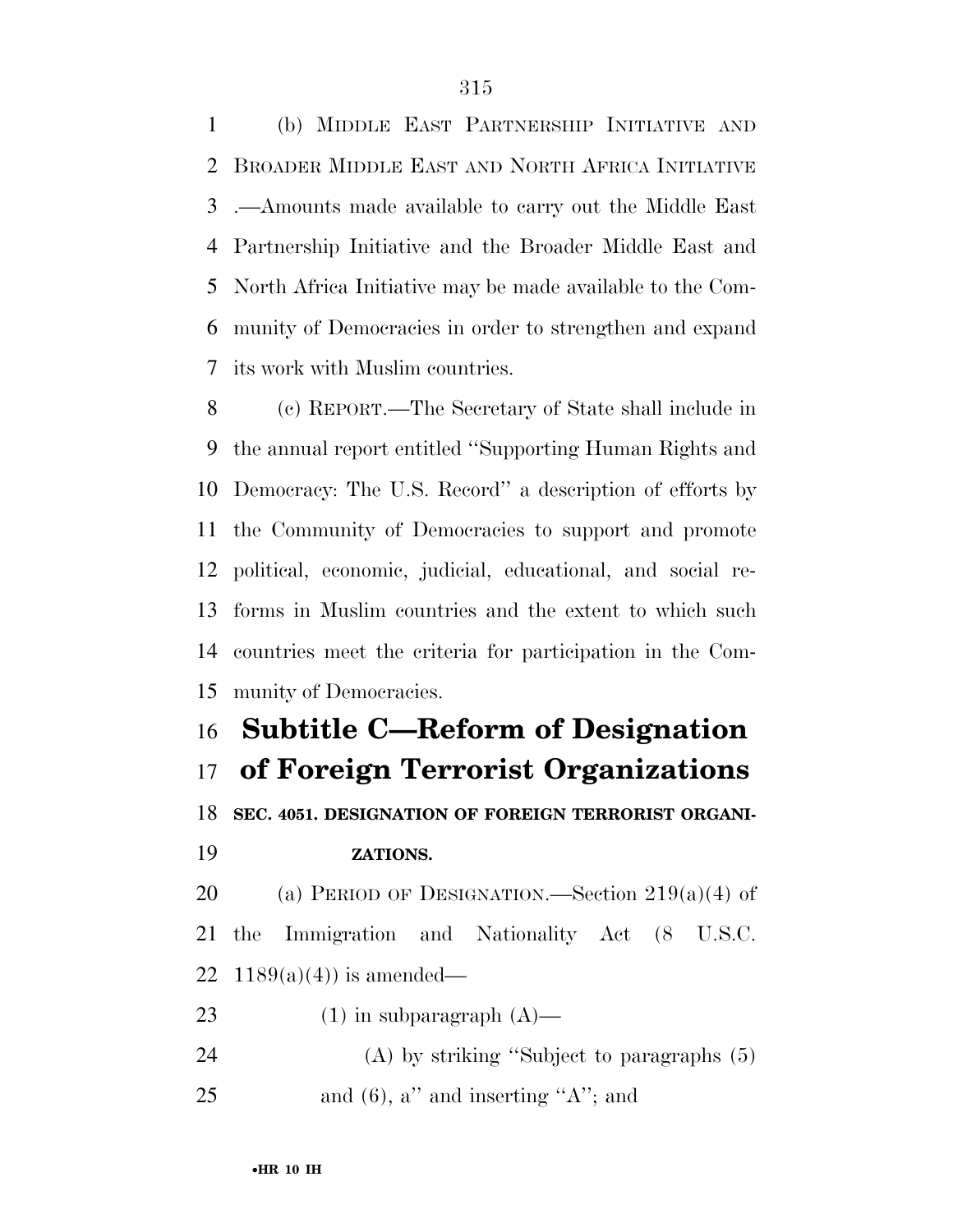(b) MIDDLE EAST PARTNERSHIP INITIATIVE AND BROADER MIDDLE EAST AND NORTH AFRICA INITIATIVE .—Amounts made available to carry out the Middle East Partnership Initiative and the Broader Middle East and North Africa Initiative may be made available to the Com- munity of Democracies in order to strengthen and expand its work with Muslim countries.

 (c) REPORT.—The Secretary of State shall include in the annual report entitled ''Supporting Human Rights and Democracy: The U.S. Record'' a description of efforts by the Community of Democracies to support and promote political, economic, judicial, educational, and social re- forms in Muslim countries and the extent to which such countries meet the criteria for participation in the Com-munity of Democracies.

# **Subtitle C—Reform of Designation of Foreign Terrorist Organizations**

**SEC. 4051. DESIGNATION OF FOREIGN TERRORIST ORGANI-**

#### **ZATIONS.**

20 (a) PERIOD OF DESIGNATION.—Section  $219(a)(4)$  of the Immigration and Nationality Act (8 U.S.C. 22 1189(a)(4)) is amended—

23  $(1)$  in subparagraph  $(A)$ —

 (A) by striking ''Subject to paragraphs (5) 25 and (6), a" and inserting "A"; and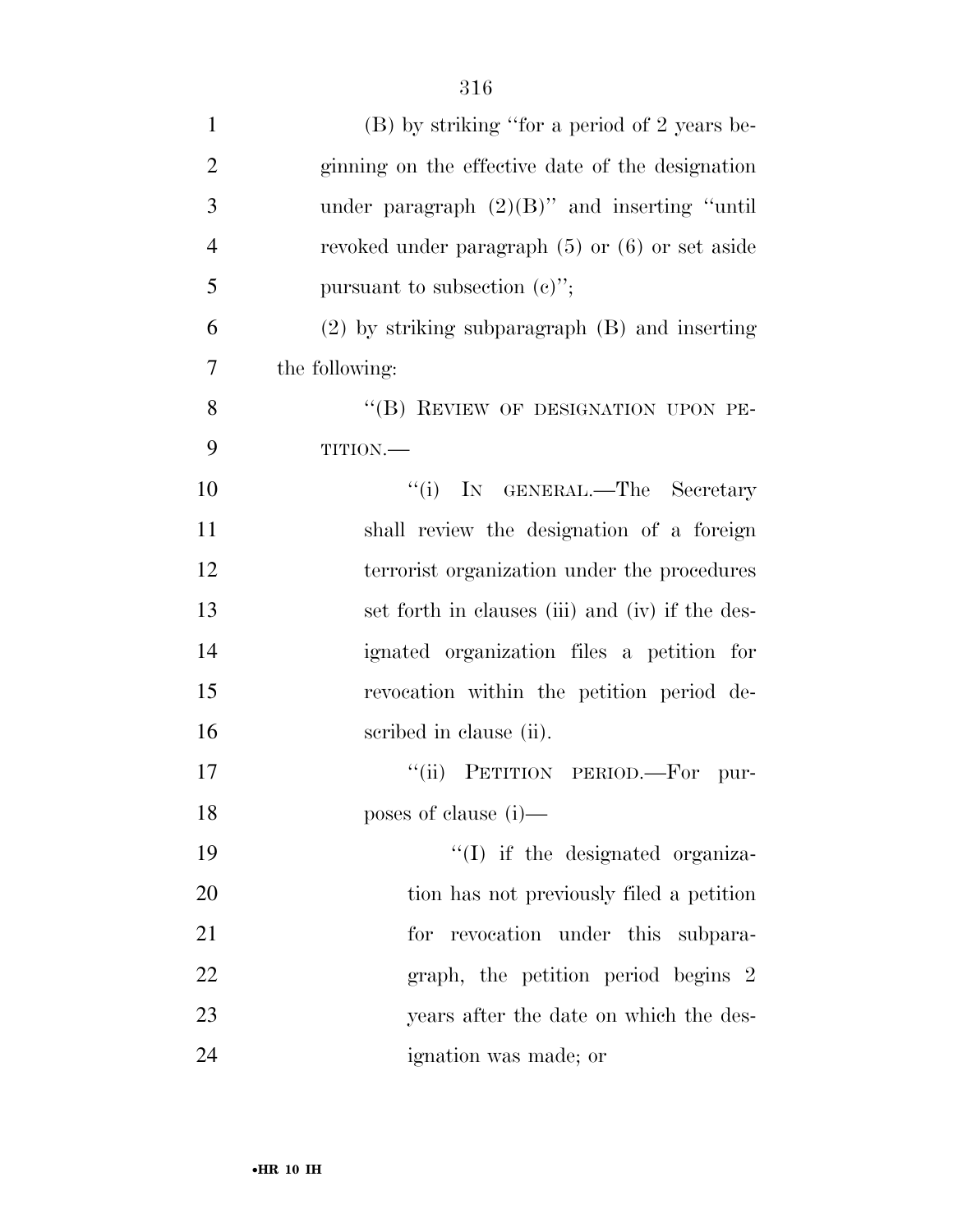| $\mathbf{1}$   | (B) by striking "for a period of 2 years be-        |
|----------------|-----------------------------------------------------|
| $\overline{2}$ | ginning on the effective date of the designation    |
| 3              | under paragraph $(2)(B)$ " and inserting "until     |
| $\overline{4}$ | revoked under paragraph $(5)$ or $(6)$ or set aside |
| 5              | pursuant to subsection $(e)$ ";                     |
| 6              | $(2)$ by striking subparagraph $(B)$ and inserting  |
| 7              | the following:                                      |
| 8              | "(B) REVIEW OF DESIGNATION UPON PE-                 |
| 9              | TITION.                                             |
| 10             | "(i) IN GENERAL.—The Secretary                      |
| 11             | shall review the designation of a foreign           |
| 12             | terrorist organization under the procedures         |
| 13             | set forth in clauses (iii) and (iv) if the des-     |
| 14             | ignated organization files a petition for           |
| 15             | revocation within the petition period de-           |
| 16             | scribed in clause (ii).                             |
| 17             | "(ii) PETITION PERIOD.-For pur-                     |
| 18             | poses of clause (i)-                                |
| 19             | $\lq\lq$ if the designated organiza-                |
| 20             | tion has not previously filed a petition            |
| 21             | revocation under this subpara-<br>for               |
| 22             | graph, the petition period begins 2                 |
| 23             | years after the date on which the des-              |
| 24             | ignation was made; or                               |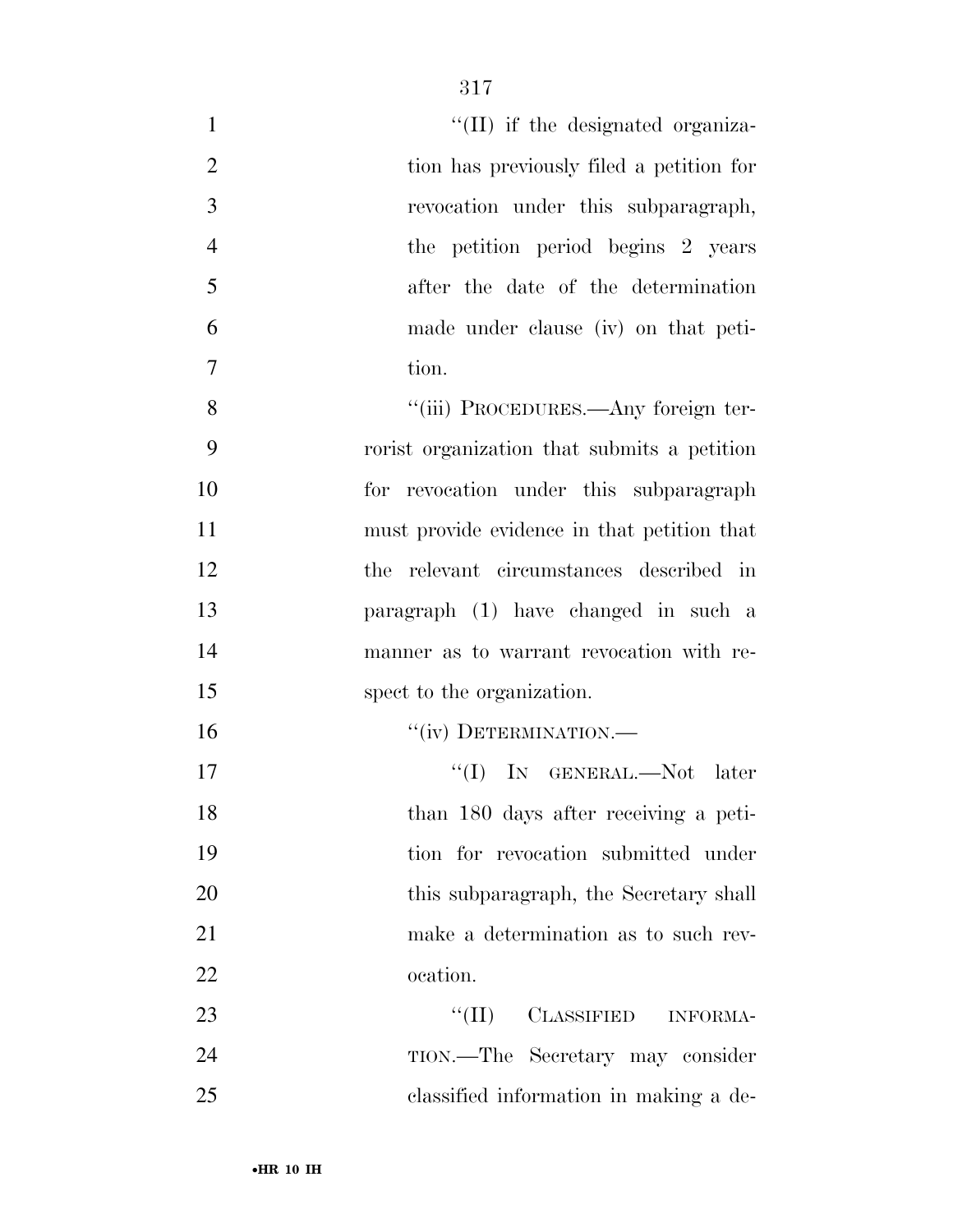| $\mathbf{1}$   | "(II) if the designated organiza-           |
|----------------|---------------------------------------------|
| $\overline{2}$ | tion has previously filed a petition for    |
| 3              | revocation under this subparagraph,         |
| $\overline{4}$ | the petition period begins 2 years          |
| 5              | after the date of the determination         |
| 6              | made under clause (iv) on that peti-        |
| 7              | tion.                                       |
| 8              | "(iii) PROCEDURES.—Any foreign ter-         |
| 9              | rorist organization that submits a petition |
| 10             | for revocation under this subparagraph      |
| 11             | must provide evidence in that petition that |
| 12             | the relevant circumstances described in     |
| 13             | paragraph (1) have changed in such a        |
| 14             | manner as to warrant revocation with re-    |
| 15             | spect to the organization.                  |
| 16             | "(iv) DETERMINATION.-                       |
| 17             | "(I) IN GENERAL.—Not later                  |
| 18             | than 180 days after receiving a peti-       |
| 19             | tion for revocation submitted under         |
| 20             | this subparagraph, the Secretary shall      |
| 21             | make a determination as to such rev-        |
| 22             | ocation.                                    |
| 23             | $``(\Pi)$<br>CLASSIFIED<br>INFORMA-         |
| 24             | TION.—The Secretary may consider            |
| 25             | classified information in making a de-      |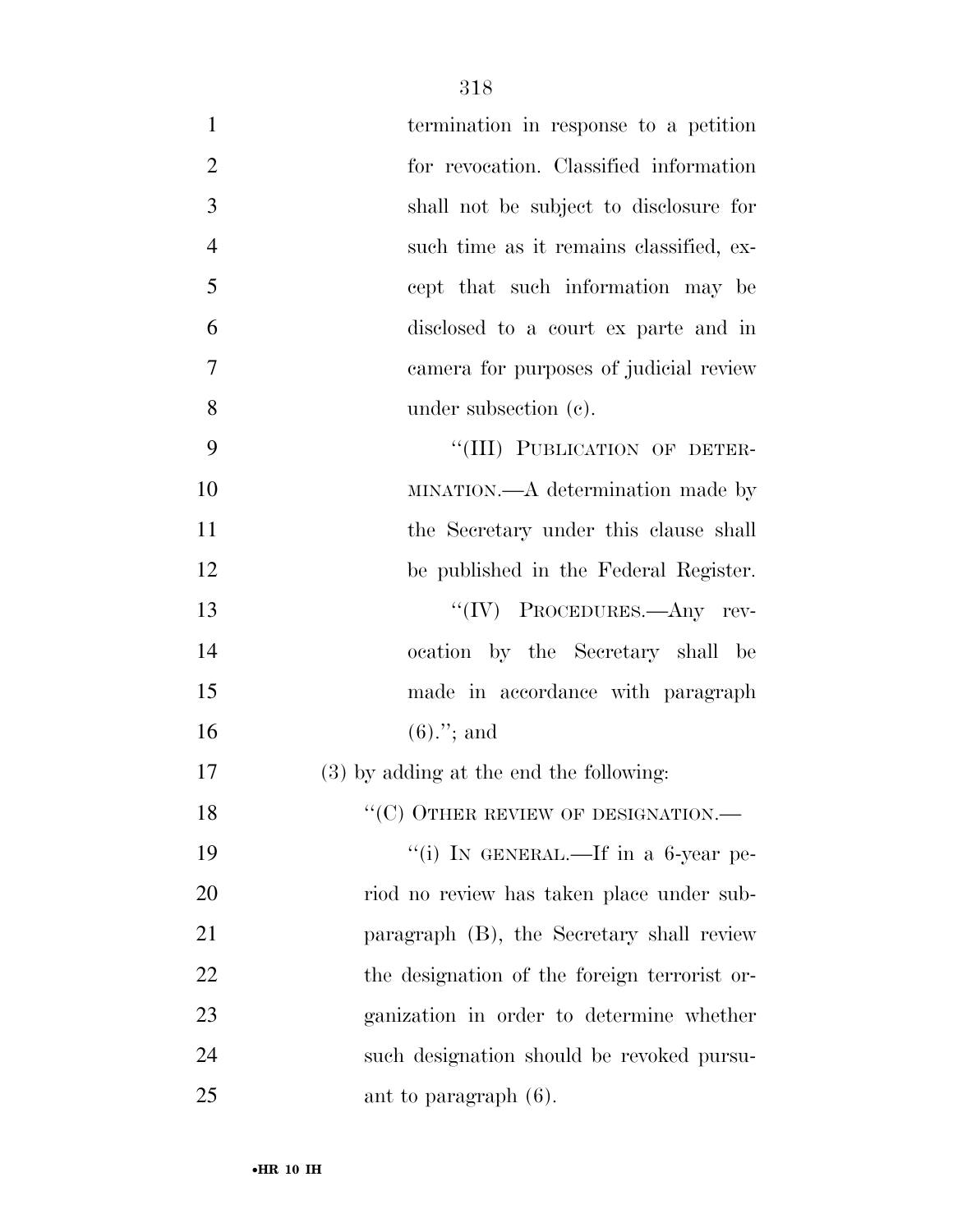| $\mathbf{1}$   | termination in response to a petition        |
|----------------|----------------------------------------------|
| $\overline{2}$ | for revocation. Classified information       |
| 3              | shall not be subject to disclosure for       |
| $\overline{4}$ | such time as it remains classified, ex-      |
| 5              | cept that such information may be            |
| 6              | disclosed to a court ex parte and in         |
| 7              | camera for purposes of judicial review       |
| 8              | under subsection $(e)$ .                     |
| 9              | "(III) PUBLICATION OF DETER-                 |
| 10             | MINATION.—A determination made by            |
| 11             | the Secretary under this clause shall        |
| 12             | be published in the Federal Register.        |
| 13             | "(IV) PROCEDURES.—Any rev-                   |
| 14             | ocation by the Secretary shall be            |
| 15             | made in accordance with paragraph            |
| 16             | $(6).$ "; and                                |
| 17             | (3) by adding at the end the following:      |
| 18             | $\lq\lq(C)$ OTHER REVIEW OF DESIGNATION.—    |
| 19             | "(i) IN GENERAL.—If in a 6-year pe-          |
| 20             | riod no review has taken place under sub-    |
| 21             | paragraph (B), the Secretary shall review    |
| 22             | the designation of the foreign terrorist or- |
| 23             | ganization in order to determine whether     |
| 24             | such designation should be revoked pursu-    |
| 25             | ant to paragraph $(6)$ .                     |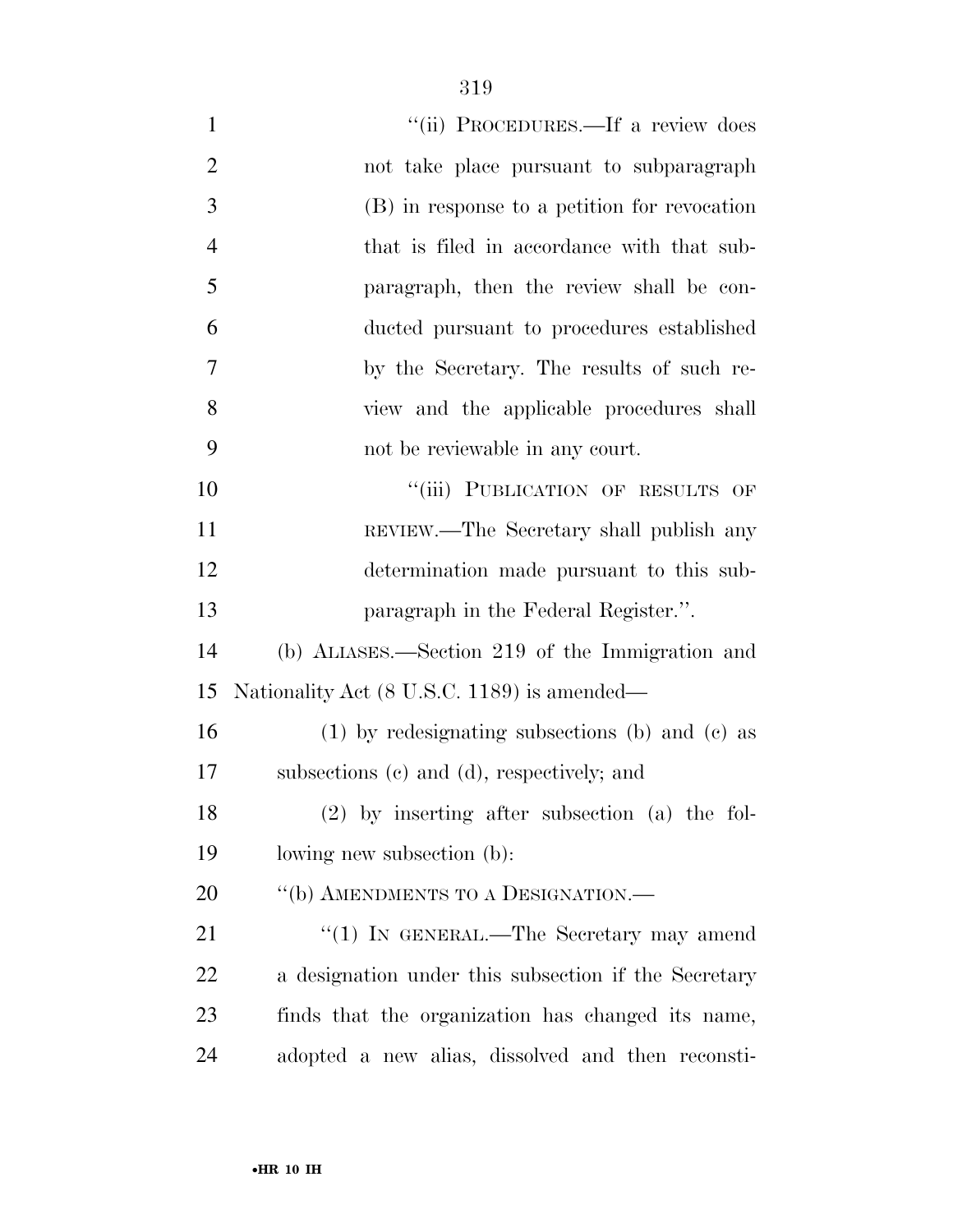| $\mathbf{1}$   | "(ii) PROCEDURES.—If a review does                   |
|----------------|------------------------------------------------------|
| $\overline{2}$ | not take place pursuant to subparagraph              |
| 3              | (B) in response to a petition for revocation         |
| $\overline{4}$ | that is filed in accordance with that sub-           |
| 5              | paragraph, then the review shall be con-             |
| 6              | ducted pursuant to procedures established            |
| 7              | by the Secretary. The results of such re-            |
| 8              | view and the applicable procedures shall             |
| 9              | not be reviewable in any court.                      |
| 10             | "(iii) PUBLICATION OF RESULTS OF                     |
| 11             | REVIEW.—The Secretary shall publish any              |
| 12             | determination made pursuant to this sub-             |
| 13             | paragraph in the Federal Register.".                 |
| 14             | (b) ALIASES.—Section 219 of the Immigration and      |
| 15             | Nationality Act (8 U.S.C. 1189) is amended—          |
| 16             | $(1)$ by redesignating subsections (b) and (c) as    |
| 17             | subsections (c) and (d), respectively; and           |
| 18             | $(2)$ by inserting after subsection (a) the fol-     |
| 19             | lowing new subsection (b):                           |
| 20             | "(b) AMENDMENTS TO A DESIGNATION.-                   |
| 21             | " $(1)$ In GENERAL.—The Secretary may amend          |
| 22             | a designation under this subsection if the Secretary |
| 23             | finds that the organization has changed its name,    |
| 24             | adopted a new alias, dissolved and then reconsti-    |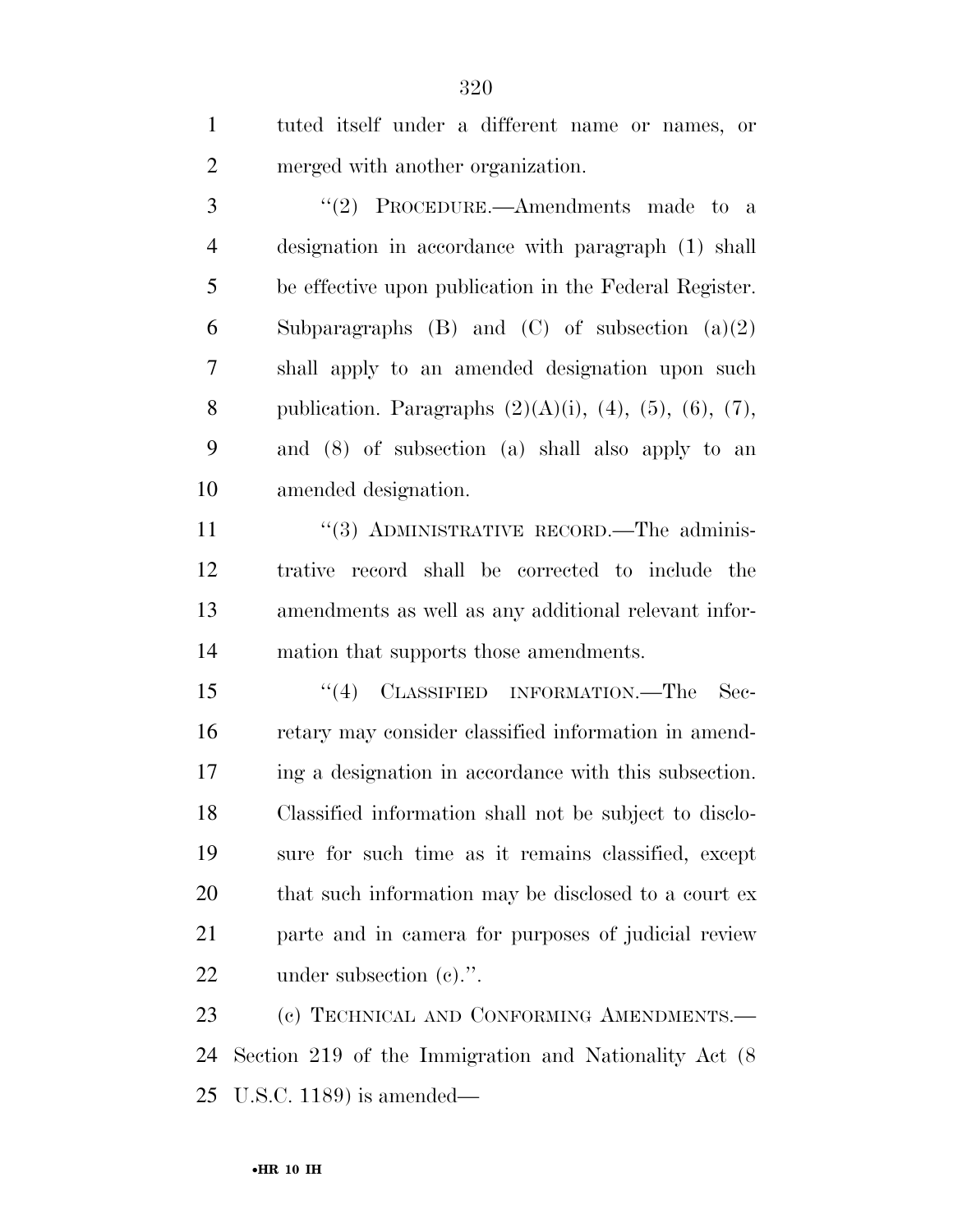| $\mathbf{1}$   | tuted itself under a different name or names, or                      |
|----------------|-----------------------------------------------------------------------|
| $\overline{2}$ | merged with another organization.                                     |
| 3              | "(2) PROCEDURE.—Amendments made to a                                  |
| $\overline{4}$ | designation in accordance with paragraph (1) shall                    |
| 5              | be effective upon publication in the Federal Register.                |
| 6              | Subparagraphs $(B)$ and $(C)$ of subsection $(a)(2)$                  |
| 7              | shall apply to an amended designation upon such                       |
| 8              | publication. Paragraphs $(2)(A)(i)$ , $(4)$ , $(5)$ , $(6)$ , $(7)$ , |
| 9              | and (8) of subsection (a) shall also apply to an                      |
| 10             | amended designation.                                                  |
| 11             | "(3) ADMINISTRATIVE RECORD.—The adminis-                              |
| 12             | trative record shall be corrected to include the                      |
| 13             | amendments as well as any additional relevant infor-                  |
| 14             | mation that supports those amendments.                                |
| 15             | "(4) CLASSIFIED INFORMATION.—The<br>$\rm Sec-$                        |
| 16             | retary may consider classified information in amend-                  |
| 17             | ing a designation in accordance with this subsection.                 |
| 18             | Classified information shall not be subject to disclo-                |
| 19             | sure for such time as it remains classified, except                   |
| 20             | that such information may be disclosed to a court ex                  |
| 21             | parte and in camera for purposes of judicial review                   |
| 22             | under subsection $(e)$ .".                                            |
| 23             | (c) TECHNICAL AND CONFORMING AMENDMENTS.—                             |
| 24             | Section 219 of the Immigration and Nationality Act (8)                |

U.S.C. 1189) is amended—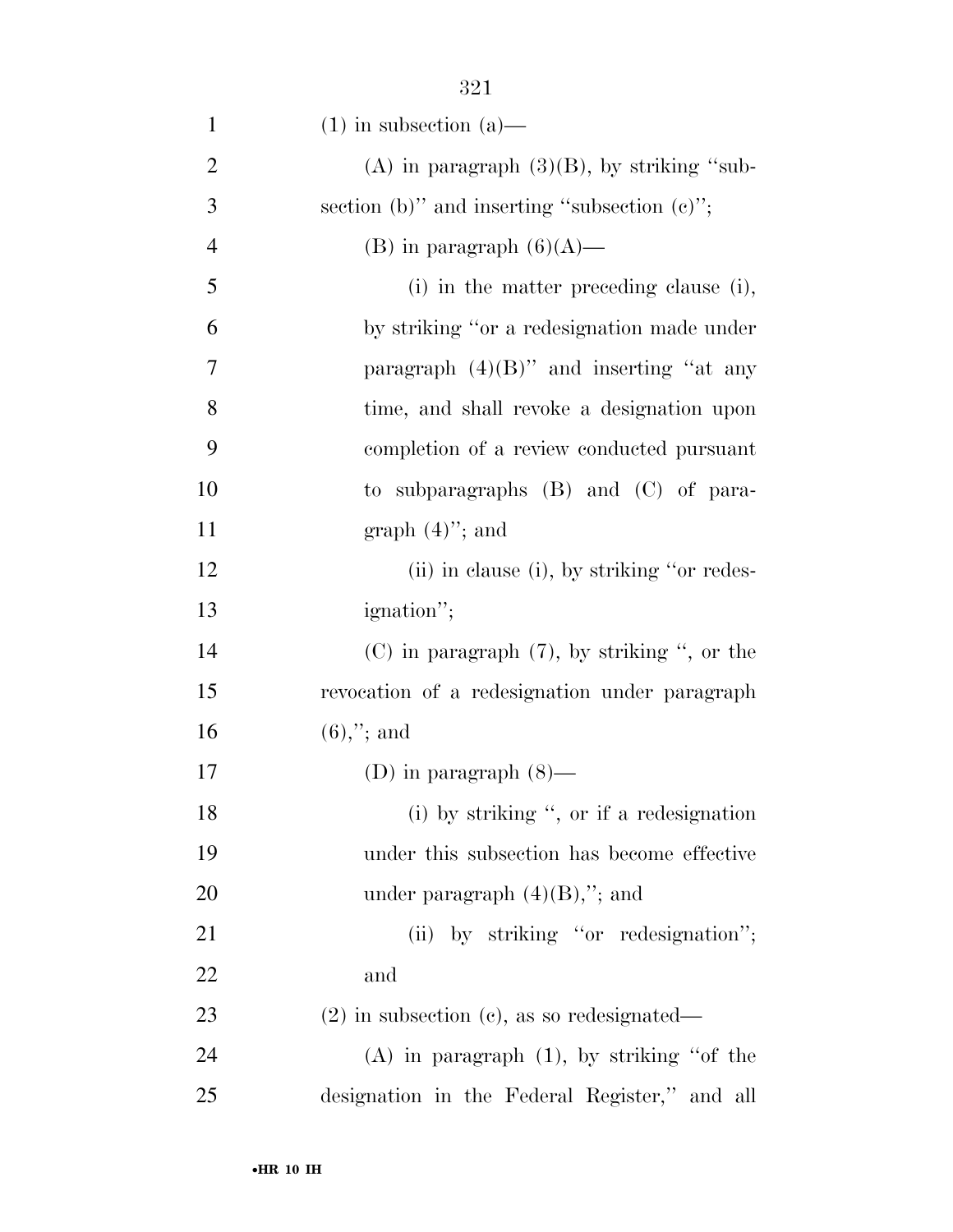| $\mathbf{1}$   | $(1)$ in subsection $(a)$ —                      |
|----------------|--------------------------------------------------|
| $\overline{2}$ | (A) in paragraph $(3)(B)$ , by striking "sub-    |
| 3              | section (b)" and inserting "subsection $(c)$ ";  |
| $\overline{4}$ | (B) in paragraph $(6)(A)$ —                      |
| 5              | (i) in the matter preceding clause (i),          |
| 6              | by striking "or a redesignation made under       |
| 7              | paragraph $(4)(B)$ " and inserting "at any       |
| 8              | time, and shall revoke a designation upon        |
| 9              | completion of a review conducted pursuant        |
| 10             | to subparagraphs $(B)$ and $(C)$ of para-        |
| 11             | graph $(4)$ "; and                               |
| 12             | (ii) in clause (i), by striking "or redes-       |
| 13             | ignation";                                       |
| 14             | $(C)$ in paragraph $(7)$ , by striking ", or the |
| 15             | revocation of a redesignation under paragraph    |
| 16             | $(6),$ "; and                                    |
| 17             | (D) in paragraph $(8)$ —                         |
| 18             | (i) by striking ", or if a redesignation         |
| 19             | under this subsection has become effective       |
| <b>20</b>      | under paragraph $(4)(B)$ ,"; and                 |
| 21             | (ii) by striking "or redesignation";             |
| 22             | and                                              |
| 23             | $(2)$ in subsection $(c)$ , as so redesignated—  |
| 24             | $(A)$ in paragraph $(1)$ , by striking "of the   |
| 25             | designation in the Federal Register," and all    |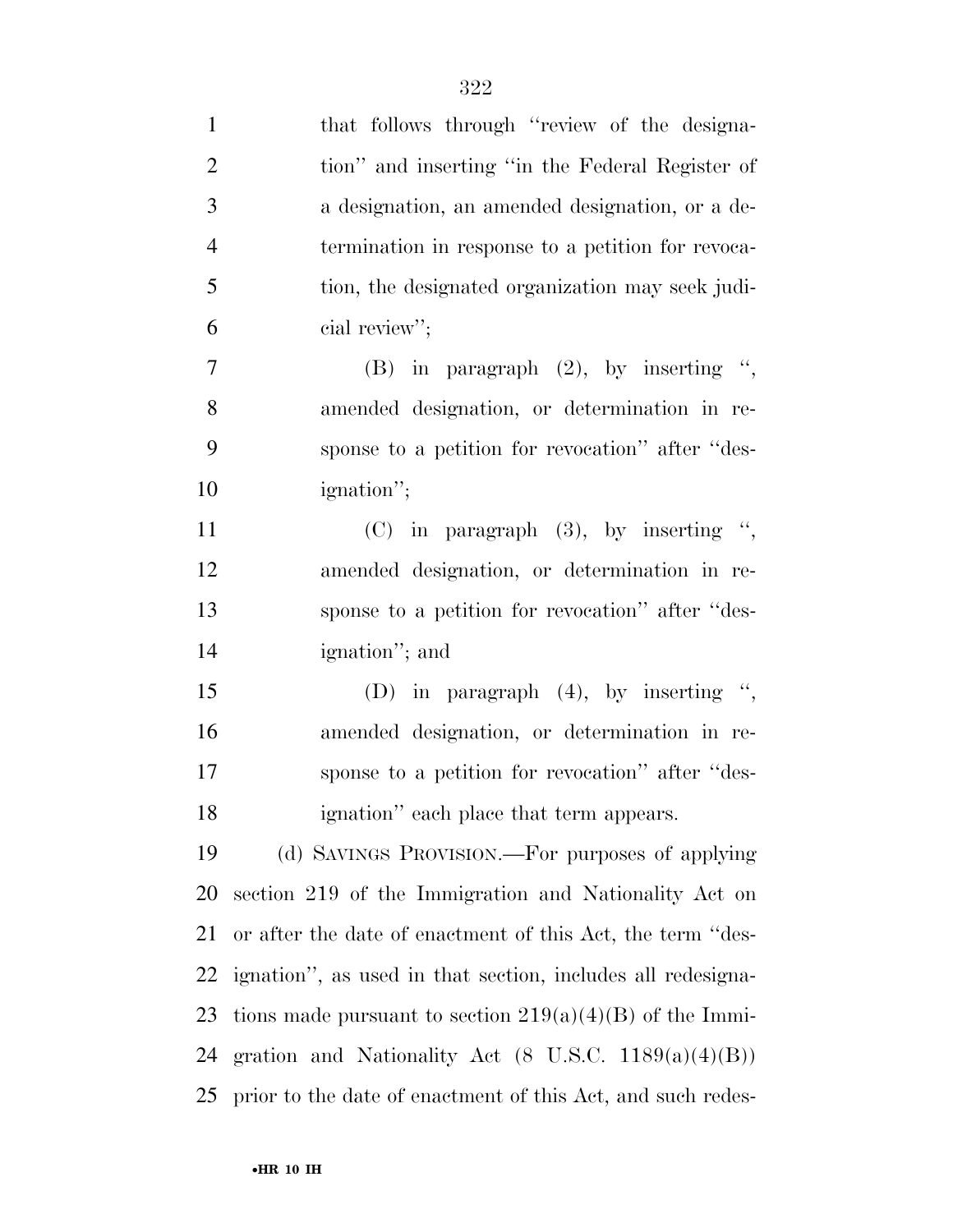| $\mathbf{1}$   | that follows through "review of the designa-                    |
|----------------|-----------------------------------------------------------------|
| $\overline{2}$ | tion" and inserting "in the Federal Register of                 |
| 3              | a designation, an amended designation, or a de-                 |
| $\overline{4}$ | termination in response to a petition for revoca-               |
| 5              | tion, the designated organization may seek judi-                |
| 6              | cial review";                                                   |
| 7              | (B) in paragraph $(2)$ , by inserting ",                        |
| 8              | amended designation, or determination in re-                    |
| 9              | sponse to a petition for revocation" after "des-                |
| 10             | ignation";                                                      |
| 11             | $(C)$ in paragraph $(3)$ , by inserting ",                      |
| 12             | amended designation, or determination in re-                    |
| 13             | sponse to a petition for revocation" after "des-                |
| 14             | ignation"; and                                                  |
| 15             | (D) in paragraph $(4)$ , by inserting ",                        |
| 16             | amended designation, or determination in re-                    |
| 17             | sponse to a petition for revocation" after "des-                |
| 18             | ignation" each place that term appears.                         |
| 19             | (d) SAVINGS PROVISION.—For purposes of applying                 |
| 20             | section 219 of the Immigration and Nationality Act on           |
| 21             | or after the date of enactment of this Act, the term "des-      |
| 22             | ignation", as used in that section, includes all redesigna-     |
| 23             | tions made pursuant to section $219(a)(4)(B)$ of the Immi-      |
| 24             | gration and Nationality Act $(8 \text{ U.S.C. } 1189(a)(4)(B))$ |
| 25             | prior to the date of enactment of this Act, and such redes-     |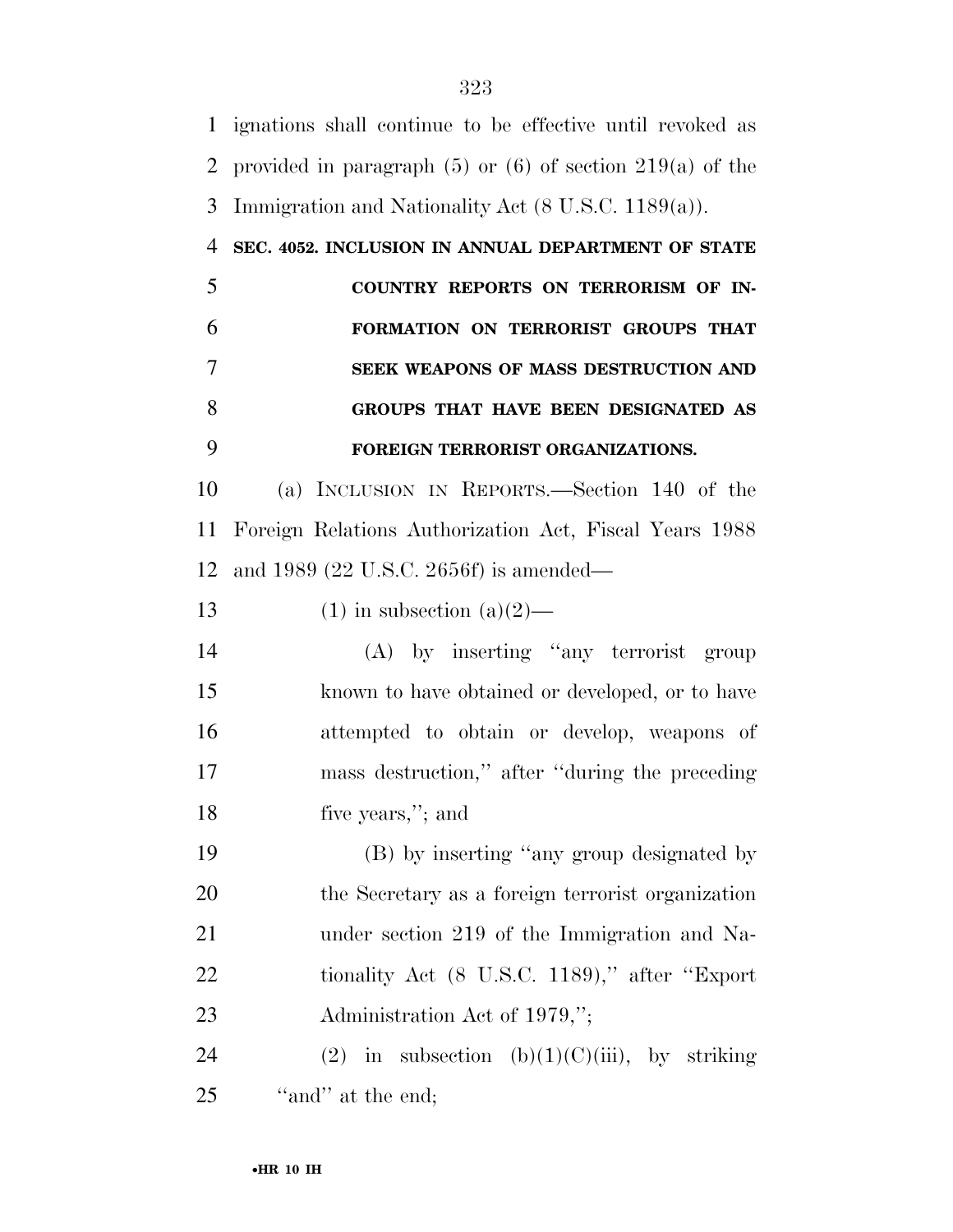ignations shall continue to be effective until revoked as provided in paragraph (5) or (6) of section 219(a) of the Immigration and Nationality Act (8 U.S.C. 1189(a)). **SEC. 4052. INCLUSION IN ANNUAL DEPARTMENT OF STATE COUNTRY REPORTS ON TERRORISM OF IN- FORMATION ON TERRORIST GROUPS THAT SEEK WEAPONS OF MASS DESTRUCTION AND GROUPS THAT HAVE BEEN DESIGNATED AS FOREIGN TERRORIST ORGANIZATIONS.**  (a) INCLUSION IN REPORTS.—Section 140 of the Foreign Relations Authorization Act, Fiscal Years 1988 and 1989 (22 U.S.C. 2656f) is amended— 13 (1) in subsection  $(a)(2)$ — (A) by inserting ''any terrorist group known to have obtained or developed, or to have attempted to obtain or develop, weapons of mass destruction,'' after ''during the preceding five years,''; and (B) by inserting ''any group designated by the Secretary as a foreign terrorist organization under section 219 of the Immigration and Na-22 tionality Act (8 U.S.C. 1189)," after "Export" 23 Administration Act of 1979,"; 24 (2) in subsection  $(b)(1)(C)(iii)$ , by striking 25 "and" at the end;

•**HR 10 IH**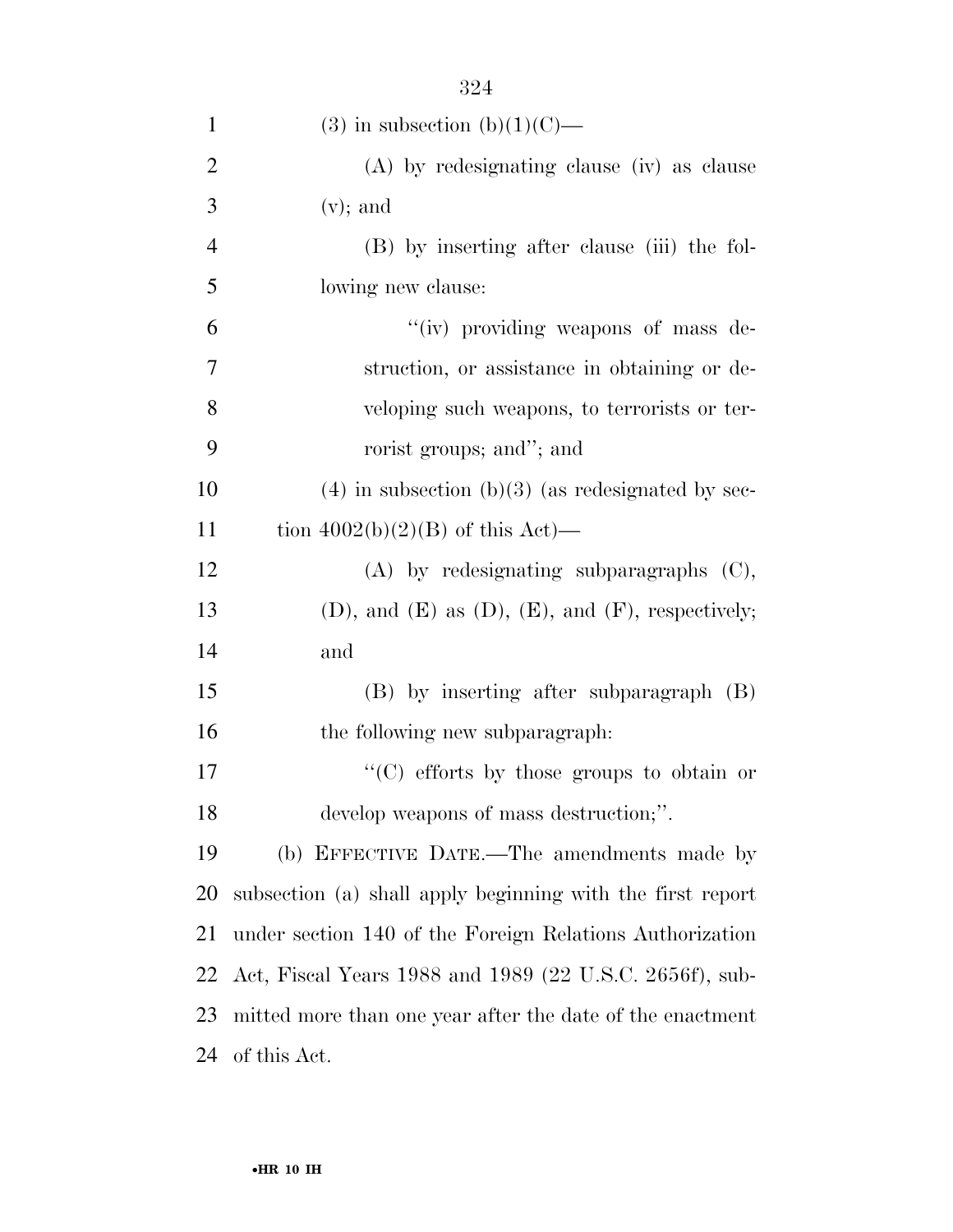| $\mathbf{1}$   | $(3)$ in subsection $(b)(1)(C)$ —                              |
|----------------|----------------------------------------------------------------|
| $\overline{2}$ | (A) by redesignating clause (iv) as clause                     |
| 3              | $(v)$ ; and                                                    |
| $\overline{4}$ | (B) by inserting after clause (iii) the fol-                   |
| 5              | lowing new clause:                                             |
| 6              | "(iv) providing weapons of mass de-                            |
| 7              | struction, or assistance in obtaining or de-                   |
| 8              | veloping such weapons, to terrorists or ter-                   |
| 9              | rorist groups; and"; and                                       |
| 10             | $(4)$ in subsection (b)(3) (as redesignated by sec-            |
| 11             | tion $4002(b)(2)(B)$ of this Act)—                             |
| 12             | $(A)$ by redesignating subparagraphs $(C)$ ,                   |
| 13             | $(D)$ , and $(E)$ as $(D)$ , $(E)$ , and $(F)$ , respectively; |
| 14             | and                                                            |
| 15             | $(B)$ by inserting after subparagraph $(B)$                    |
| 16             | the following new subparagraph:                                |
| 17             | "(C) efforts by those groups to obtain or                      |
| 18             | develop weapons of mass destruction;".                         |
| 19             | (b) EFFECTIVE DATE.—The amendments made by                     |
| 20             | subsection (a) shall apply beginning with the first report     |
| 21             | under section 140 of the Foreign Relations Authorization       |
| 22             | Act, Fiscal Years 1988 and 1989 (22 U.S.C. 2656f), sub-        |
| 23             | mitted more than one year after the date of the enactment      |
| 24             | of this Act.                                                   |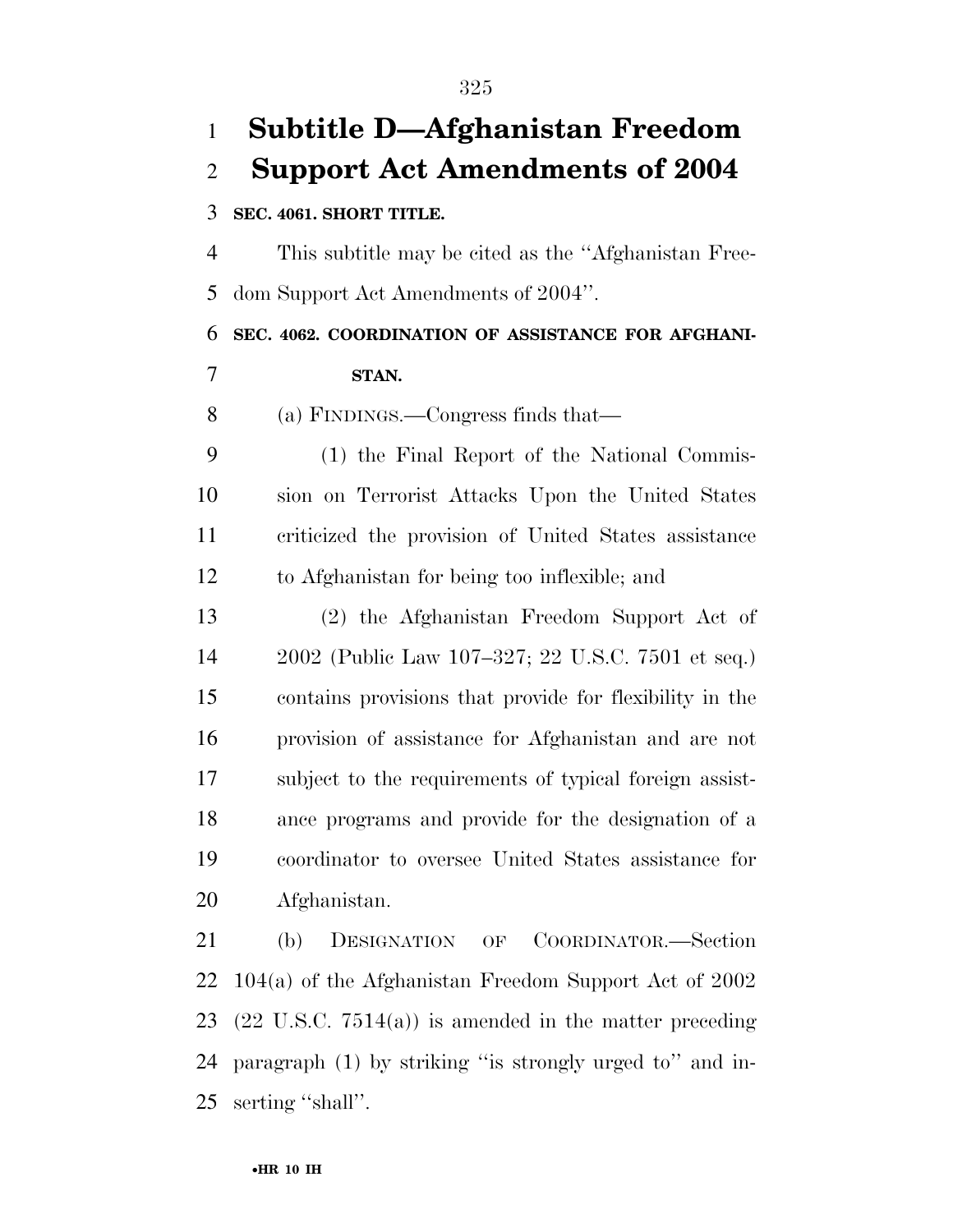# **Subtitle D—Afghanistan Freedom Support Act Amendments of 2004 SEC. 4061. SHORT TITLE.**  This subtitle may be cited as the ''Afghanistan Free- dom Support Act Amendments of 2004''. **SEC. 4062. COORDINATION OF ASSISTANCE FOR AFGHANI- STAN.**  (a) FINDINGS.—Congress finds that— (1) the Final Report of the National Commis- sion on Terrorist Attacks Upon the United States criticized the provision of United States assistance to Afghanistan for being too inflexible; and (2) the Afghanistan Freedom Support Act of 2002 (Public Law 107–327; 22 U.S.C. 7501 et seq.) contains provisions that provide for flexibility in the provision of assistance for Afghanistan and are not subject to the requirements of typical foreign assist- ance programs and provide for the designation of a coordinator to oversee United States assistance for Afghanistan. (b) DESIGNATION OF COORDINATOR.—Section 104(a) of the Afghanistan Freedom Support Act of 2002 (22 U.S.C. 7514(a)) is amended in the matter preceding paragraph (1) by striking ''is strongly urged to'' and in-

serting ''shall''.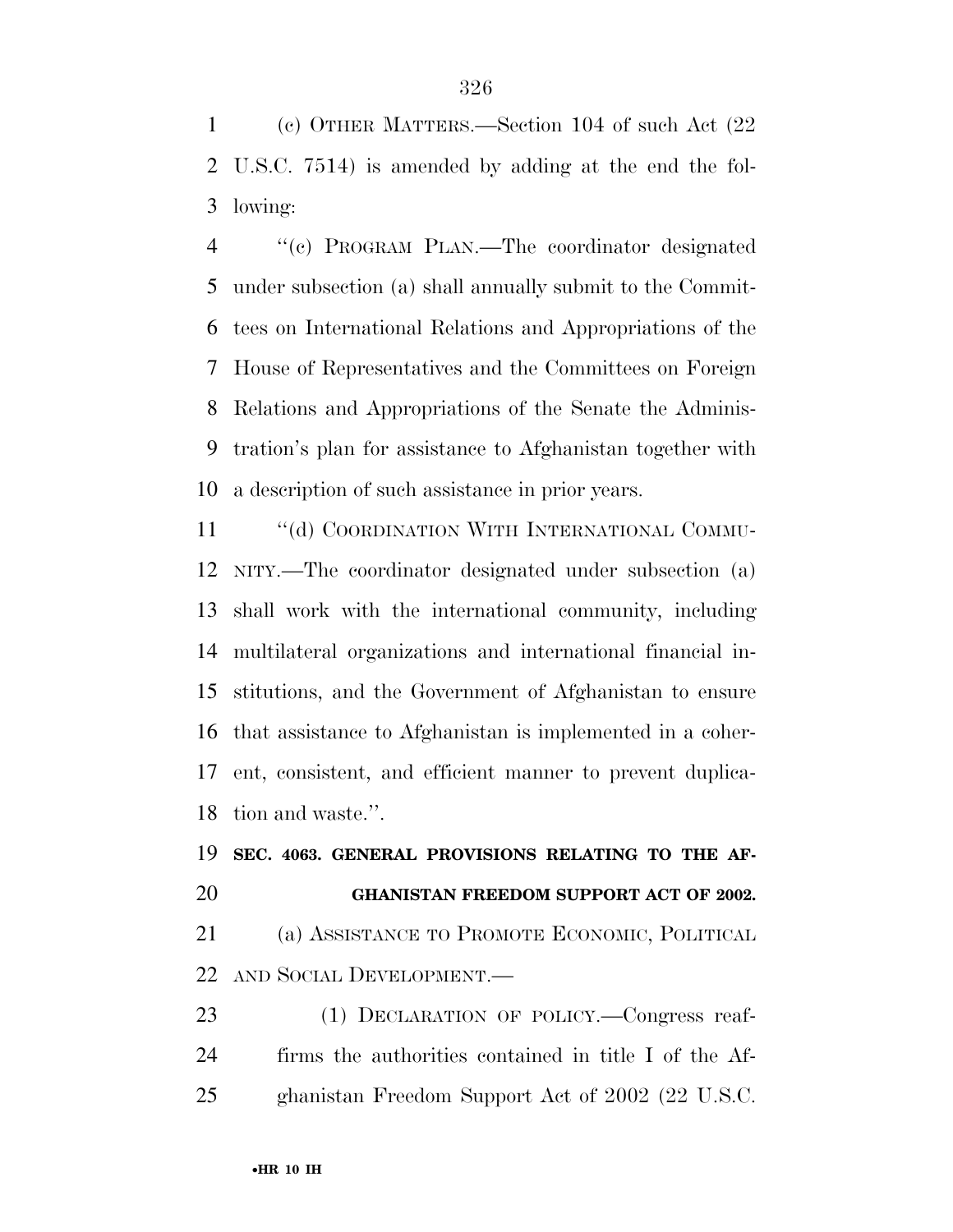(c) OTHER MATTERS.—Section 104 of such Act (22 U.S.C. 7514) is amended by adding at the end the fol-lowing:

 ''(c) PROGRAM PLAN.—The coordinator designated under subsection (a) shall annually submit to the Commit- tees on International Relations and Appropriations of the House of Representatives and the Committees on Foreign Relations and Appropriations of the Senate the Adminis- tration's plan for assistance to Afghanistan together with a description of such assistance in prior years.

11 "(d) COORDINATION WITH INTERNATIONAL COMMU- NITY.—The coordinator designated under subsection (a) shall work with the international community, including multilateral organizations and international financial in- stitutions, and the Government of Afghanistan to ensure that assistance to Afghanistan is implemented in a coher- ent, consistent, and efficient manner to prevent duplica-tion and waste.''.

# **SEC. 4063. GENERAL PROVISIONS RELATING TO THE AF- GHANISTAN FREEDOM SUPPORT ACT OF 2002.**  (a) ASSISTANCE TO PROMOTE ECONOMIC, POLITICAL AND SOCIAL DEVELOPMENT.—

23 (1) DECLARATION OF POLICY.—Congress reaf- firms the authorities contained in title I of the Af-ghanistan Freedom Support Act of 2002 (22 U.S.C.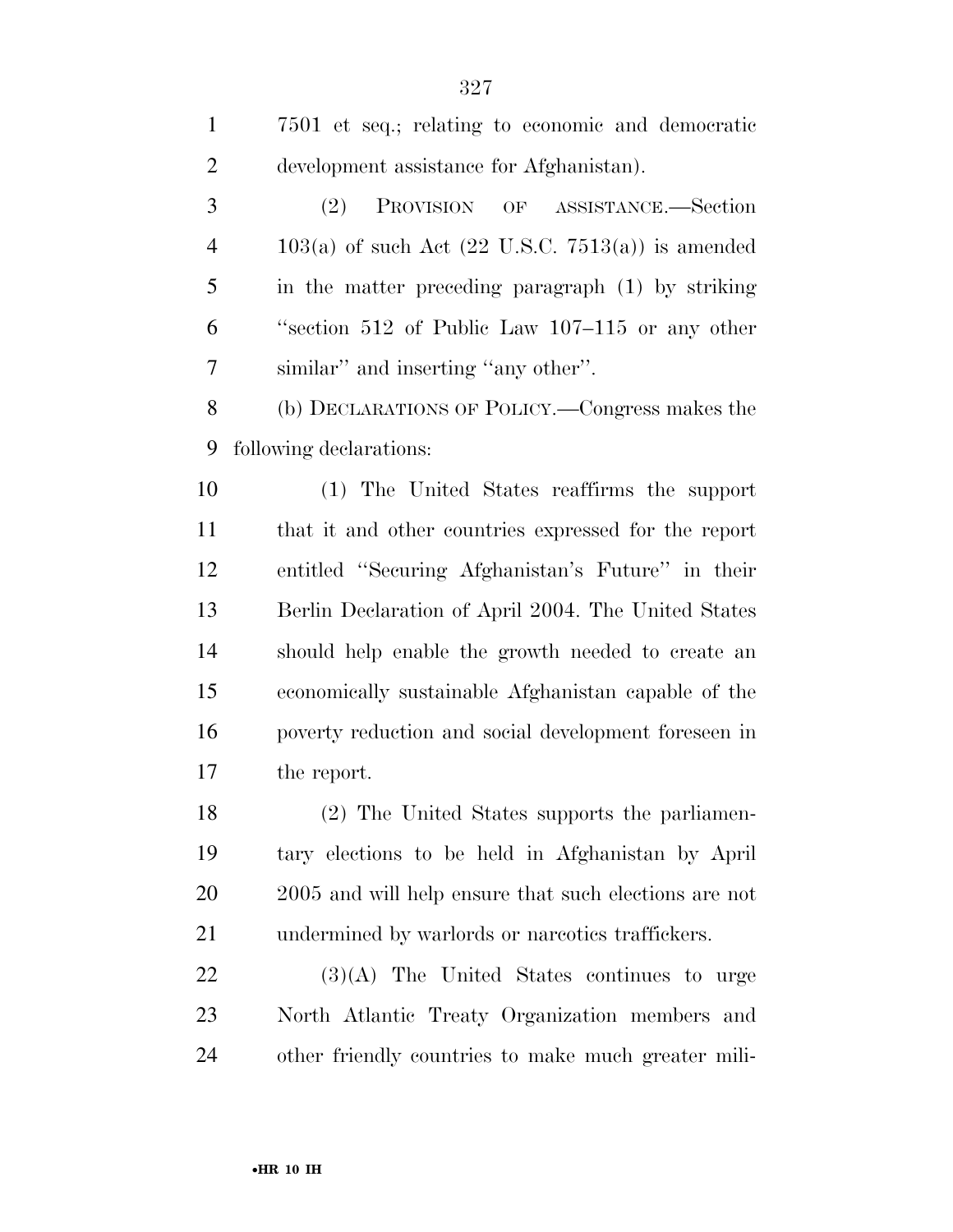| $\mathbf{1}$   | 7501 et seq.; relating to economic and democratic     |
|----------------|-------------------------------------------------------|
| $\overline{c}$ | development assistance for Afghanistan).              |
| 3              | (2)<br>PROVISION OF ASSISTANCE.-Section               |
| $\overline{4}$ | $103(a)$ of such Act (22 U.S.C. 7513(a)) is amended   |
| 5              | in the matter preceding paragraph (1) by striking     |
| 6              | "section $512$ of Public Law $107-115$ or any other   |
| 7              | similar" and inserting "any other".                   |
| 8              | (b) DECLARATIONS OF POLICY.—Congress makes the        |
| 9              | following declarations:                               |
| 10             | (1) The United States reaffirms the support           |
| 11             | that it and other countries expressed for the report  |
| 12             | entitled "Securing Afghanistan's Future" in their     |
| 13             | Berlin Declaration of April 2004. The United States   |
| 14             | should help enable the growth needed to create an     |
| 15             | economically sustainable Afghanistan capable of the   |
| 16             | poverty reduction and social development foreseen in  |
| 17             | the report.                                           |
| 18             | (2) The United States supports the parliamen-         |
| 19             | tary elections to be held in Afghanistan by April     |
| 20             | 2005 and will help ensure that such elections are not |
| 21             | undermined by warlords or narcotics traffickers.      |
| <u>22</u>      | $(3)(A)$ The United States continues to urge          |
| 23             | North Atlantic Treaty Organization members and        |
| 24             | other friendly countries to make much greater mili-   |
|                |                                                       |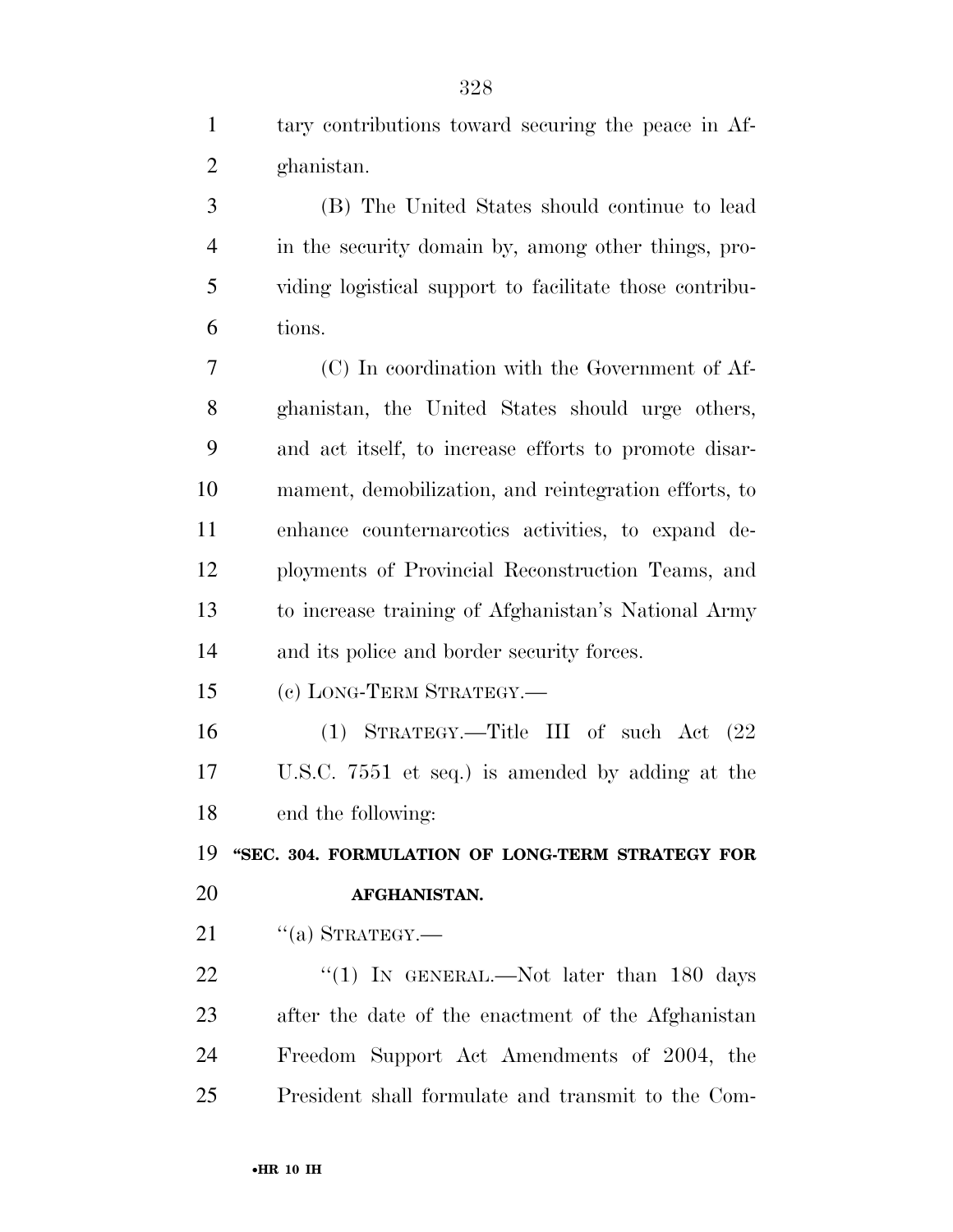|   | tary contributions toward securing the peace in Af-     |
|---|---------------------------------------------------------|
| 2 | ghanistan.                                              |
|   | (B) The United States should continue to lead           |
|   | in the security domain by, among other things, pro-     |
| 5 | viding logistical support to facilitate those contribu- |
|   |                                                         |

 (C) In coordination with the Government of Af- ghanistan, the United States should urge others, and act itself, to increase efforts to promote disar- mament, demobilization, and reintegration efforts, to enhance counternarcotics activities, to expand de- ployments of Provincial Reconstruction Teams, and to increase training of Afghanistan's National Army and its police and border security forces.

(c) LONG-TERM STRATEGY.—

 (1) STRATEGY.—Title III of such Act (22 U.S.C. 7551 et seq.) is amended by adding at the end the following:

 **''SEC. 304. FORMULATION OF LONG-TERM STRATEGY FOR AFGHANISTAN.** 

21  $\frac{1}{(a)}$  STRATEGY.

tions.

22 "(1) In GENERAL.—Not later than 180 days after the date of the enactment of the Afghanistan Freedom Support Act Amendments of 2004, the President shall formulate and transmit to the Com-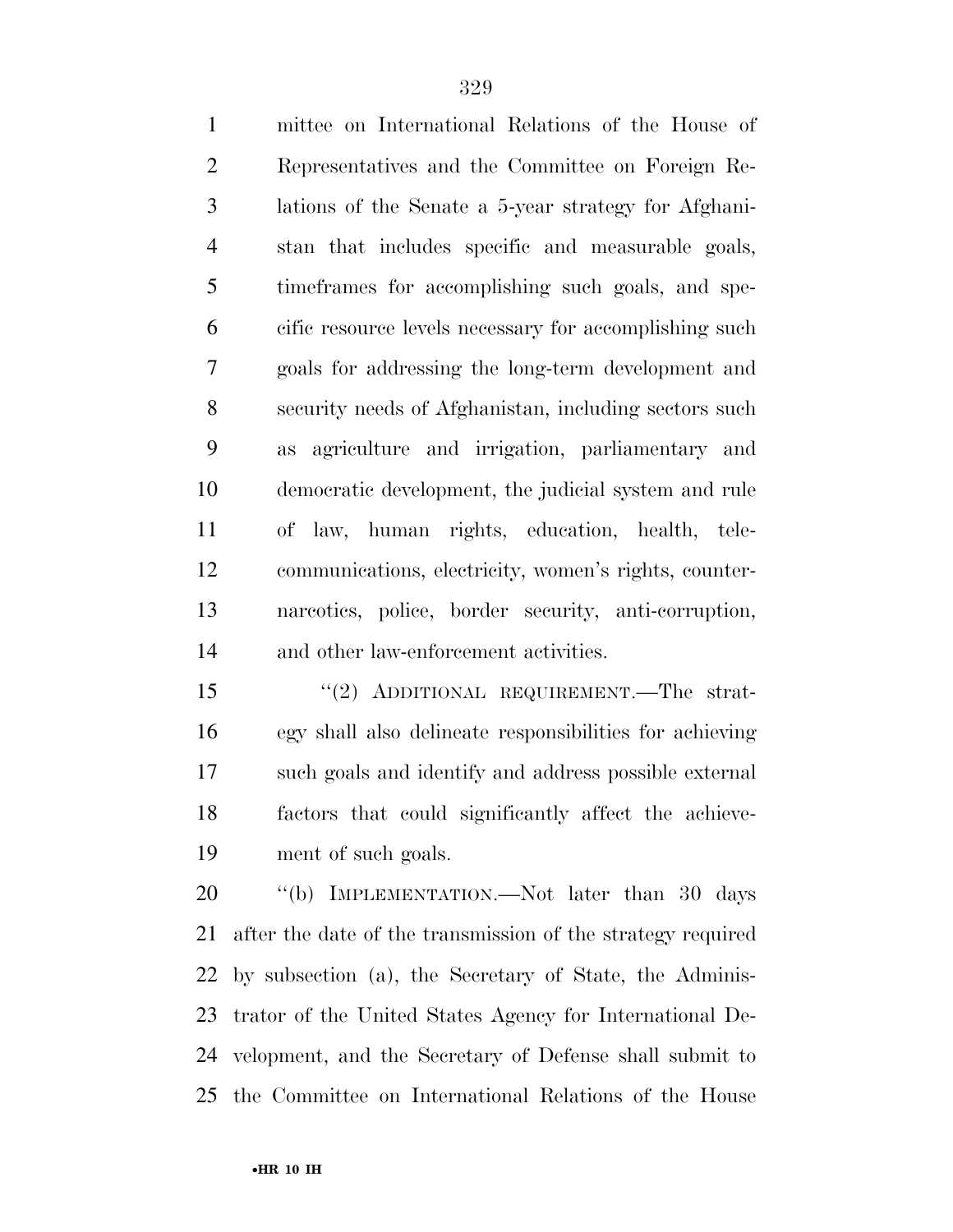mittee on International Relations of the House of Representatives and the Committee on Foreign Re- lations of the Senate a 5-year strategy for Afghani- stan that includes specific and measurable goals, timeframes for accomplishing such goals, and spe- cific resource levels necessary for accomplishing such goals for addressing the long-term development and security needs of Afghanistan, including sectors such as agriculture and irrigation, parliamentary and democratic development, the judicial system and rule of law, human rights, education, health, tele- communications, electricity, women's rights, counter- narcotics, police, border security, anti-corruption, and other law-enforcement activities.

 ''(2) ADDITIONAL REQUIREMENT.—The strat- egy shall also delineate responsibilities for achieving such goals and identify and address possible external factors that could significantly affect the achieve-ment of such goals.

20 "(b) IMPLEMENTATION.—Not later than 30 days after the date of the transmission of the strategy required by subsection (a), the Secretary of State, the Adminis- trator of the United States Agency for International De- velopment, and the Secretary of Defense shall submit to the Committee on International Relations of the House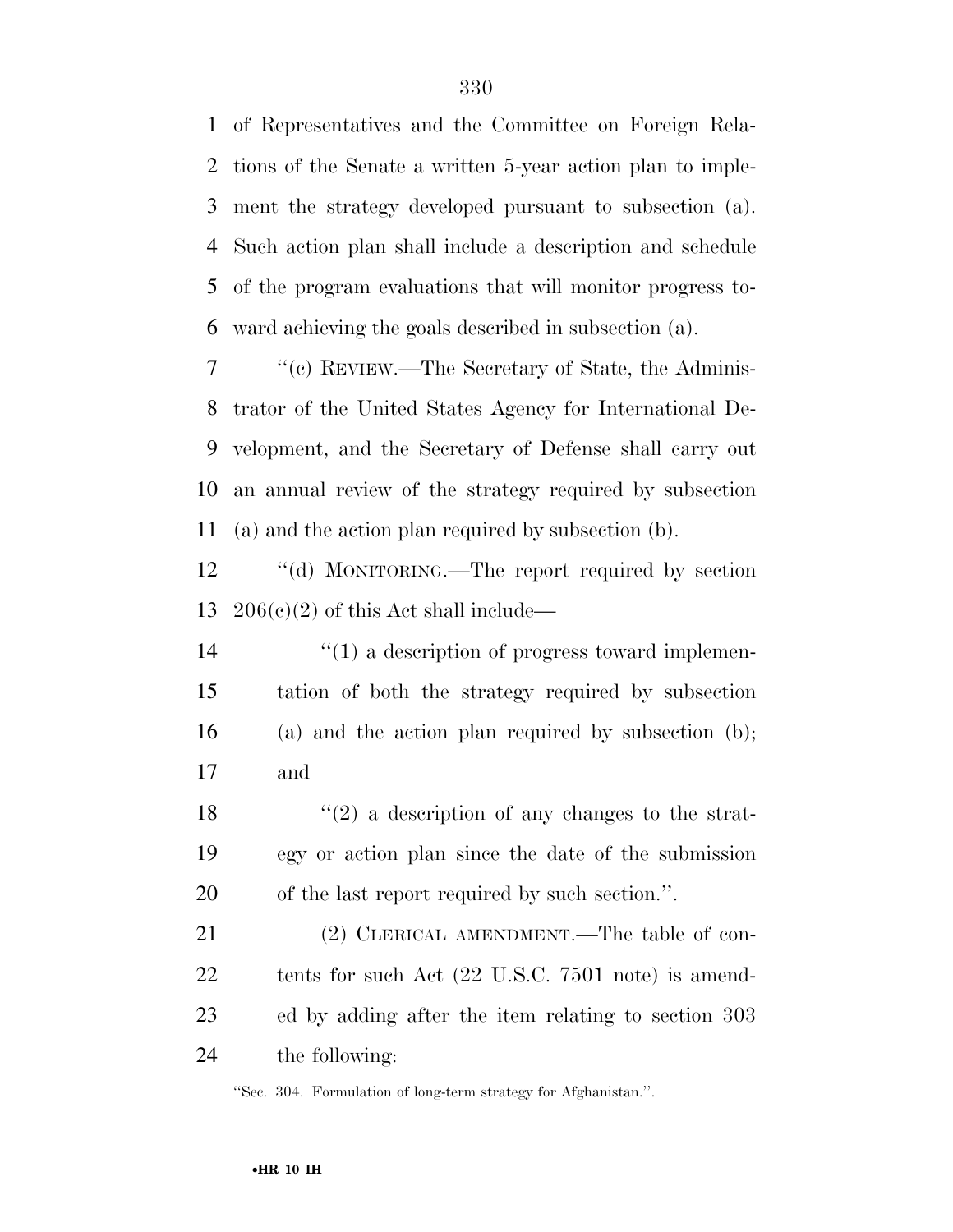of Representatives and the Committee on Foreign Rela- tions of the Senate a written 5-year action plan to imple- ment the strategy developed pursuant to subsection (a). Such action plan shall include a description and schedule of the program evaluations that will monitor progress to-ward achieving the goals described in subsection (a).

 ''(c) REVIEW.—The Secretary of State, the Adminis- trator of the United States Agency for International De- velopment, and the Secretary of Defense shall carry out an annual review of the strategy required by subsection (a) and the action plan required by subsection (b).

12 "(d) MONITORING.—The report required by section 13  $206(c)(2)$  of this Act shall include—

 $\frac{1}{2}$  (1) a description of progress toward implemen- tation of both the strategy required by subsection (a) and the action plan required by subsection (b); and

18  $\frac{1}{2}$  a description of any changes to the strat- egy or action plan since the date of the submission of the last report required by such section.''.

21 (2) CLERICAL AMENDMENT.—The table of con- tents for such Act (22 U.S.C. 7501 note) is amend- ed by adding after the item relating to section 303 the following:

''Sec. 304. Formulation of long-term strategy for Afghanistan.''.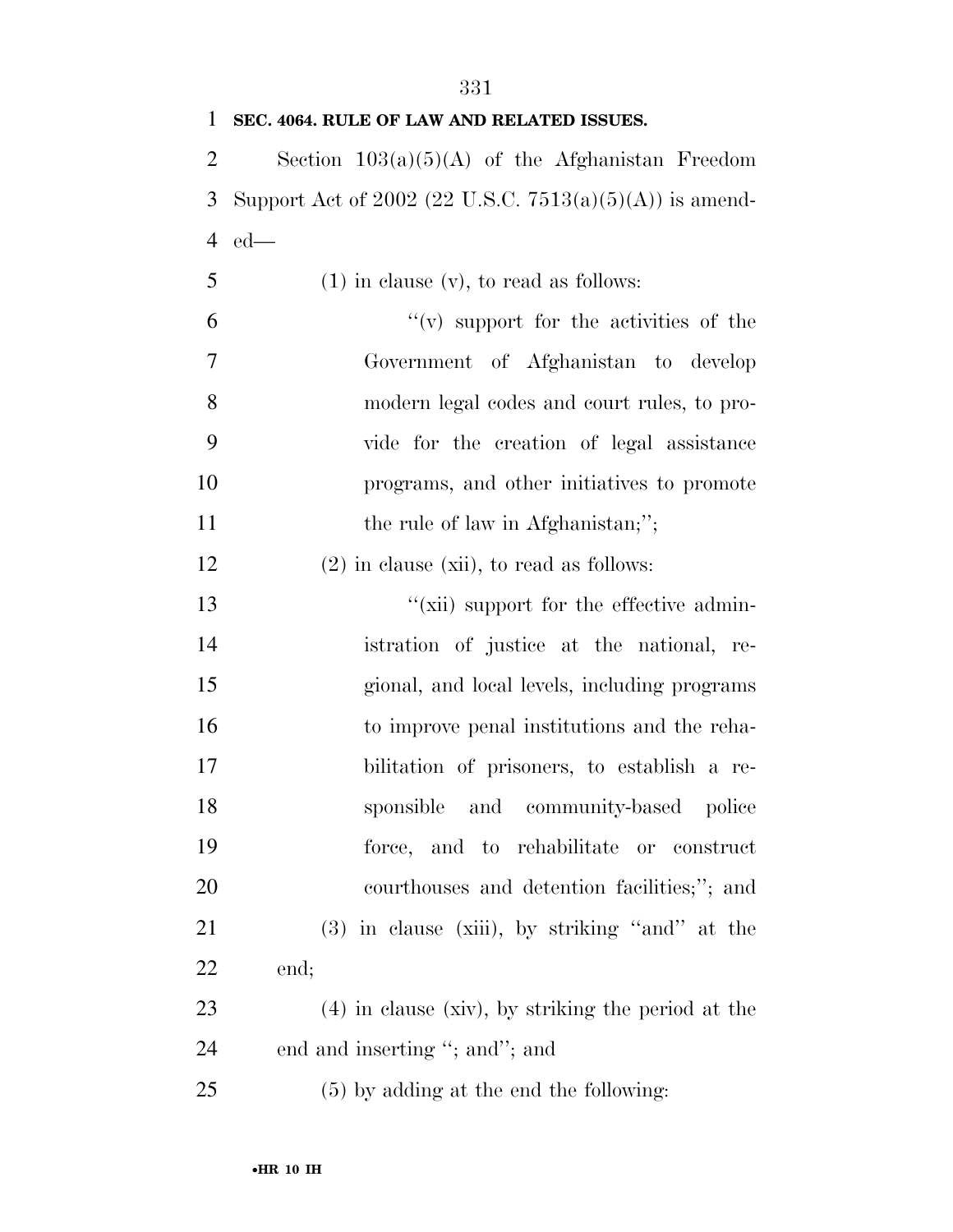| 1              | SEC. 4064. RULE OF LAW AND RELATED ISSUES.                 |
|----------------|------------------------------------------------------------|
| $\overline{2}$ | Section $103(a)(5)(A)$ of the Afghanistan Freedom          |
| 3              | Support Act of 2002 (22 U.S.C. $7513(a)(5)(A)$ ) is amend- |
| $\overline{4}$ | $ed$ —                                                     |
| 5              | $(1)$ in clause $(v)$ , to read as follows:                |
| 6              | $f'(v)$ support for the activities of the                  |
| 7              | Government of Afghanistan to develop                       |
| 8              | modern legal codes and court rules, to pro-                |
| 9              | vide for the creation of legal assistance                  |
| 10             | programs, and other initiatives to promote                 |
| 11             | the rule of law in Afghanistan;";                          |
| 12             | $(2)$ in clause (xii), to read as follows:                 |
| 13             | "(xii) support for the effective admin-                    |
| 14             | istration of justice at the national, re-                  |
| 15             | gional, and local levels, including programs               |
| 16             | to improve penal institutions and the reha-                |
| 17             | bilitation of prisoners, to establish a re-                |
| 18             | sponsible and community-based police                       |
| 19             | force, and to rehabilitate or construct                    |
| 20             | courthouses and detention facilities;"; and                |
| 21             | $(3)$ in clause (xiii), by striking "and" at the           |
| 22             | end;                                                       |
| 23             | $(4)$ in clause (xiv), by striking the period at the       |
| 24             | end and inserting "; and"; and                             |
| 25             | $(5)$ by adding at the end the following:                  |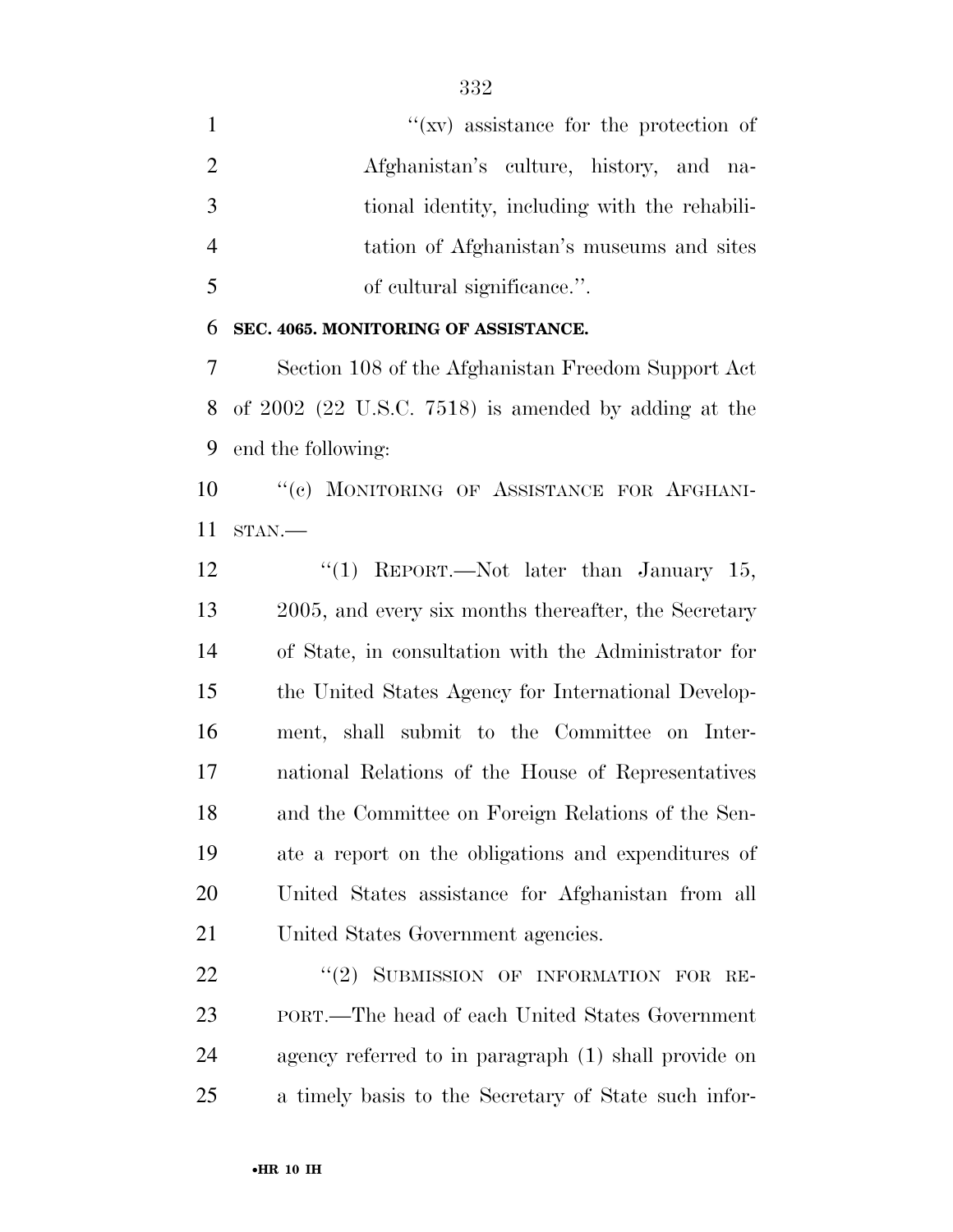$''(xy)$  assistance for the protection of Afghanistan's culture, history, and na- tional identity, including with the rehabili- tation of Afghanistan's museums and sites of cultural significance.''.

#### **SEC. 4065. MONITORING OF ASSISTANCE.**

 Section 108 of the Afghanistan Freedom Support Act of 2002 (22 U.S.C. 7518) is amended by adding at the end the following:

10 "(c) MONITORING OF ASSISTANCE FOR AFGHANI-STAN.—

12 "(1) REPORT.—Not later than January 15, 2005, and every six months thereafter, the Secretary of State, in consultation with the Administrator for the United States Agency for International Develop- ment, shall submit to the Committee on Inter- national Relations of the House of Representatives and the Committee on Foreign Relations of the Sen- ate a report on the obligations and expenditures of United States assistance for Afghanistan from all United States Government agencies.

22 "(2) SUBMISSION OF INFORMATION FOR RE- PORT.—The head of each United States Government agency referred to in paragraph (1) shall provide on a timely basis to the Secretary of State such infor-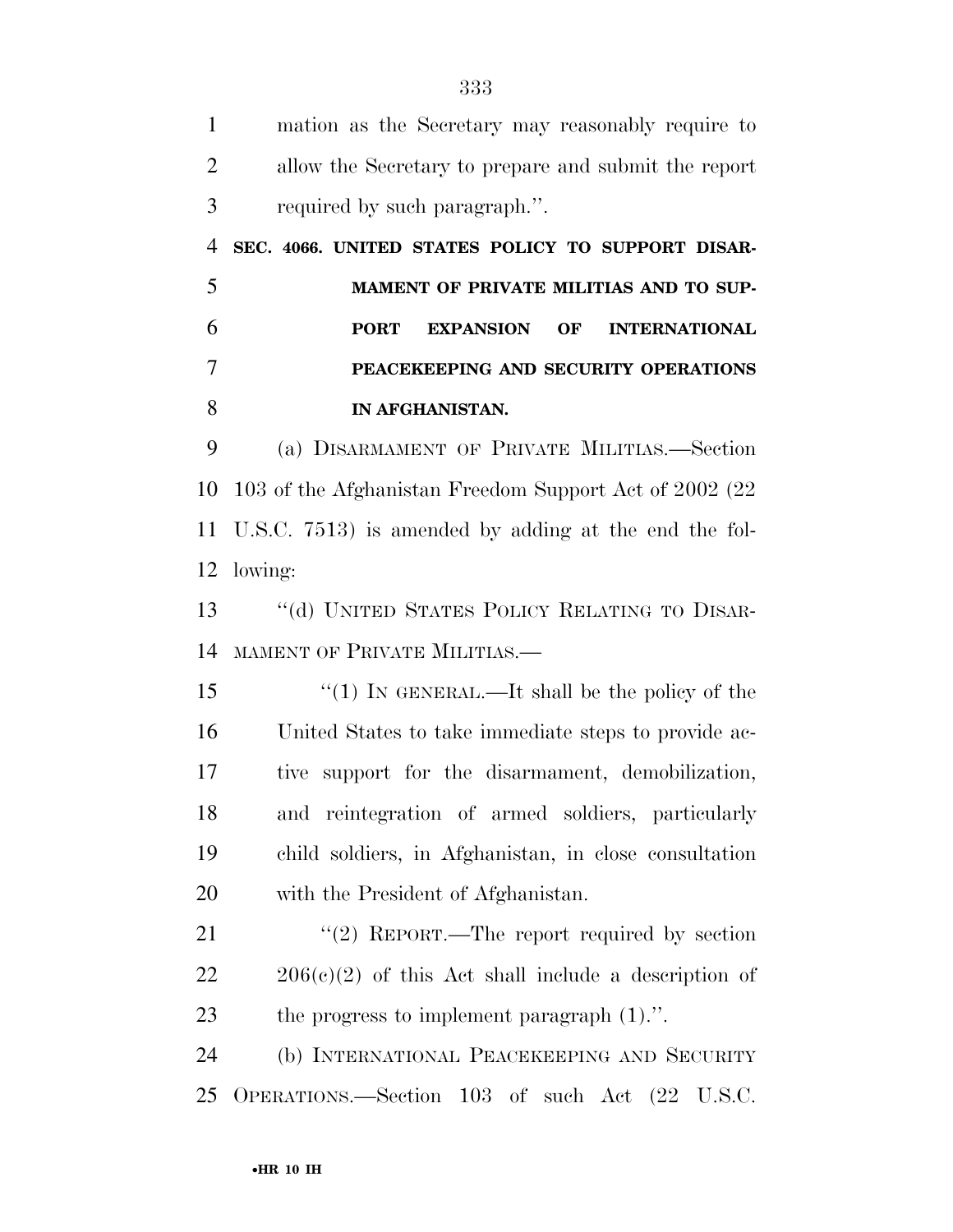| $\mathbf{1}$   | mation as the Secretary may reasonably require to          |
|----------------|------------------------------------------------------------|
| $\overline{2}$ | allow the Secretary to prepare and submit the report       |
| 3              | required by such paragraph.".                              |
| $\overline{4}$ | SEC. 4066. UNITED STATES POLICY TO SUPPORT DISAR-          |
| 5              | MAMENT OF PRIVATE MILITIAS AND TO SUP-                     |
| 6              | <b>PORT</b><br><b>EXPANSION OF</b><br><b>INTERNATIONAL</b> |
| $\overline{7}$ | PEACEKEEPING AND SECURITY OPERATIONS                       |
| 8              | IN AFGHANISTAN.                                            |
| 9              | (a) DISARMAMENT OF PRIVATE MILITIAS.—Section               |
| 10             | 103 of the Afghanistan Freedom Support Act of 2002 (22)    |
| 11             | U.S.C. 7513) is amended by adding at the end the fol-      |
| 12             | lowing:                                                    |
| 13             | "(d) UNITED STATES POLICY RELATING TO DISAR-               |
| 14             | MAMENT OF PRIVATE MILITIAS.                                |
| 15             | "(1) IN GENERAL.—It shall be the policy of the             |
| 16             | United States to take immediate steps to provide ac-       |
| 17             | tive support for the disarmament, demobilization,          |
| 18             | and reintegration of armed soldiers, particularly          |
| 19             | child soldiers, in Afghanistan, in close consultation      |
| 20             | with the President of Afghanistan.                         |
| 21             | "(2) REPORT.—The report required by section                |
| 22             | $206(c)(2)$ of this Act shall include a description of     |
| 23             | the progress to implement paragraph $(1)$ .".              |
| 24             | (b) INTERNATIONAL PEACEKEEPING AND SECURITY                |
| 25             | OPERATIONS.—Section 103 of such Act (22 U.S.C.             |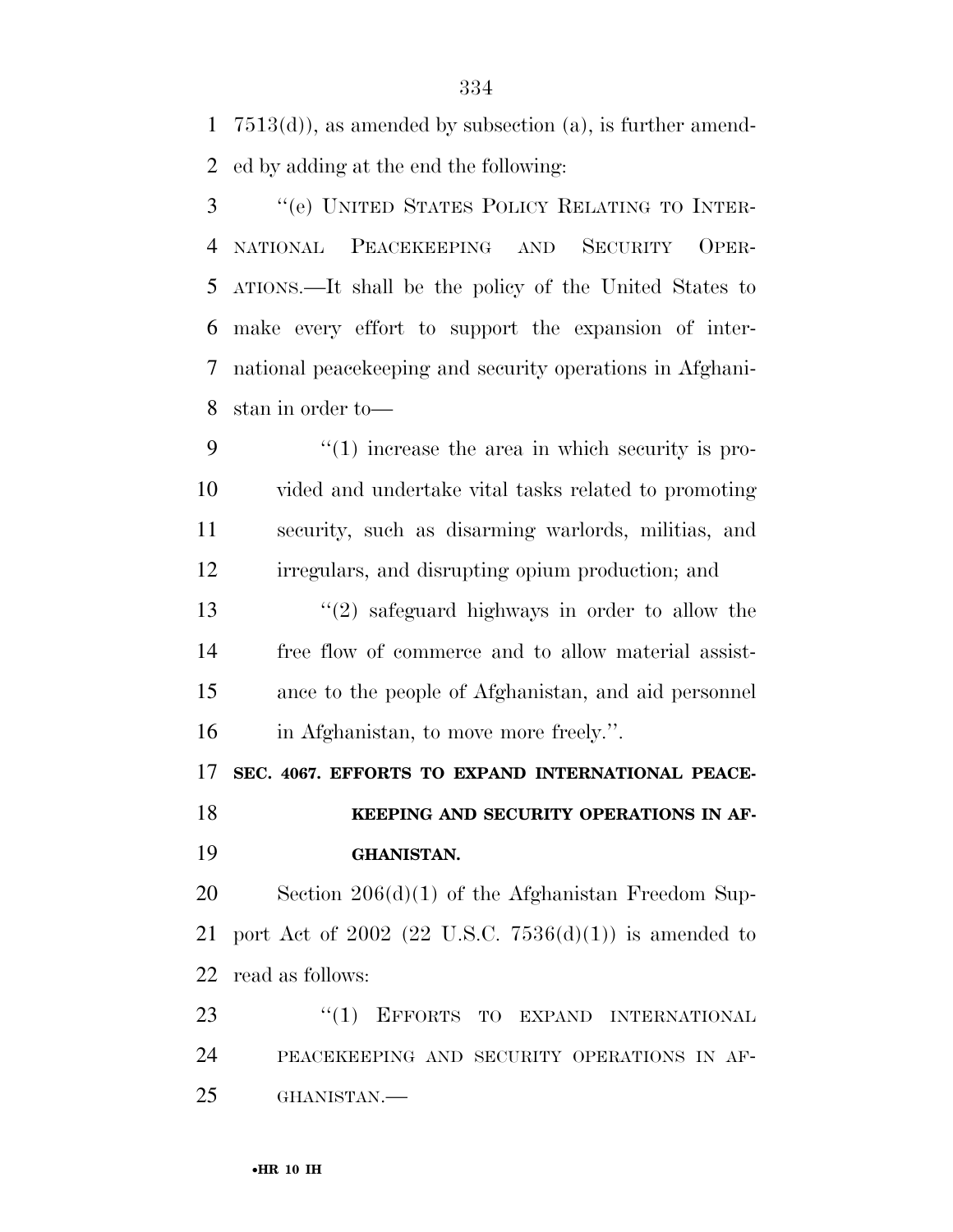7513(d)), as amended by subsection (a), is further amend-ed by adding at the end the following:

 ''(e) UNITED STATES POLICY RELATING TO INTER- NATIONAL PEACEKEEPING AND SECURITY OPER- ATIONS.—It shall be the policy of the United States to make every effort to support the expansion of inter- national peacekeeping and security operations in Afghani-stan in order to—

 $\frac{4}{1}$  increase the area in which security is pro- vided and undertake vital tasks related to promoting security, such as disarming warlords, militias, and irregulars, and disrupting opium production; and ''(2) safeguard highways in order to allow the free flow of commerce and to allow material assist-ance to the people of Afghanistan, and aid personnel

in Afghanistan, to move more freely.''.

**SEC. 4067. EFFORTS TO EXPAND INTERNATIONAL PEACE-**

## **KEEPING AND SECURITY OPERATIONS IN AF-GHANISTAN.**

 Section 206(d)(1) of the Afghanistan Freedom Sup-21 port Act of (22 U.S.C.  $7536(d)(1)$ ) is amended to read as follows:

23 "(1) EFFORTS TO EXPAND INTERNATIONAL PEACEKEEPING AND SECURITY OPERATIONS IN AF-GHANISTAN.—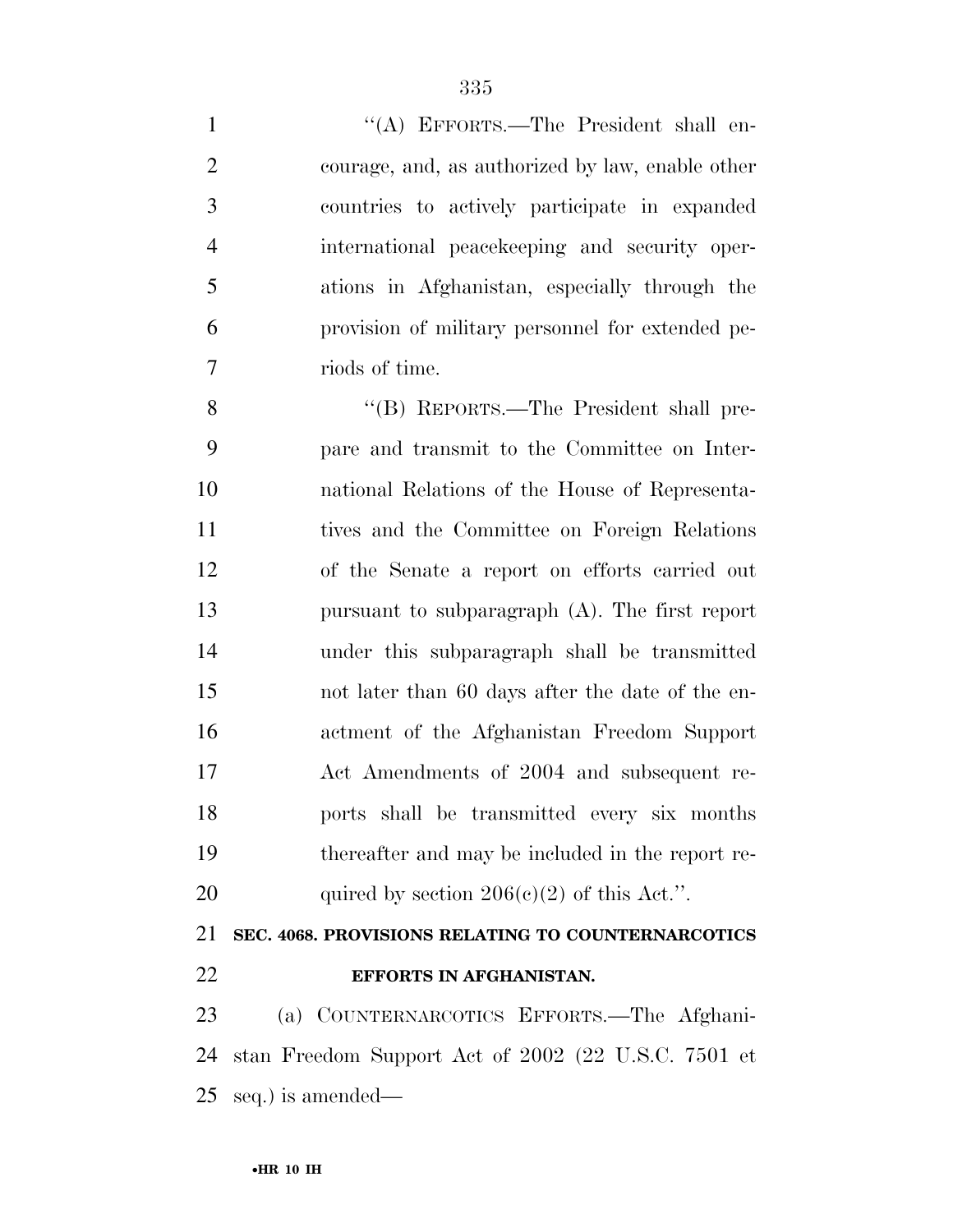1 "(A) EFFORTS.—The President shall en- courage, and, as authorized by law, enable other countries to actively participate in expanded international peacekeeping and security oper- ations in Afghanistan, especially through the provision of military personnel for extended pe- riods of time. ''(B) REPORTS.—The President shall pre-

 pare and transmit to the Committee on Inter- national Relations of the House of Representa- tives and the Committee on Foreign Relations of the Senate a report on efforts carried out pursuant to subparagraph (A). The first report under this subparagraph shall be transmitted not later than 60 days after the date of the en- actment of the Afghanistan Freedom Support Act Amendments of 2004 and subsequent re- ports shall be transmitted every six months thereafter and may be included in the report re-20 quired by section  $206(e)(2)$  of this Act.".

# **SEC. 4068. PROVISIONS RELATING TO COUNTERNARCOTICS**

**EFFORTS IN AFGHANISTAN.** 

 (a) COUNTERNARCOTICS EFFORTS.—The Afghani- stan Freedom Support Act of 2002 (22 U.S.C. 7501 et seq.) is amended—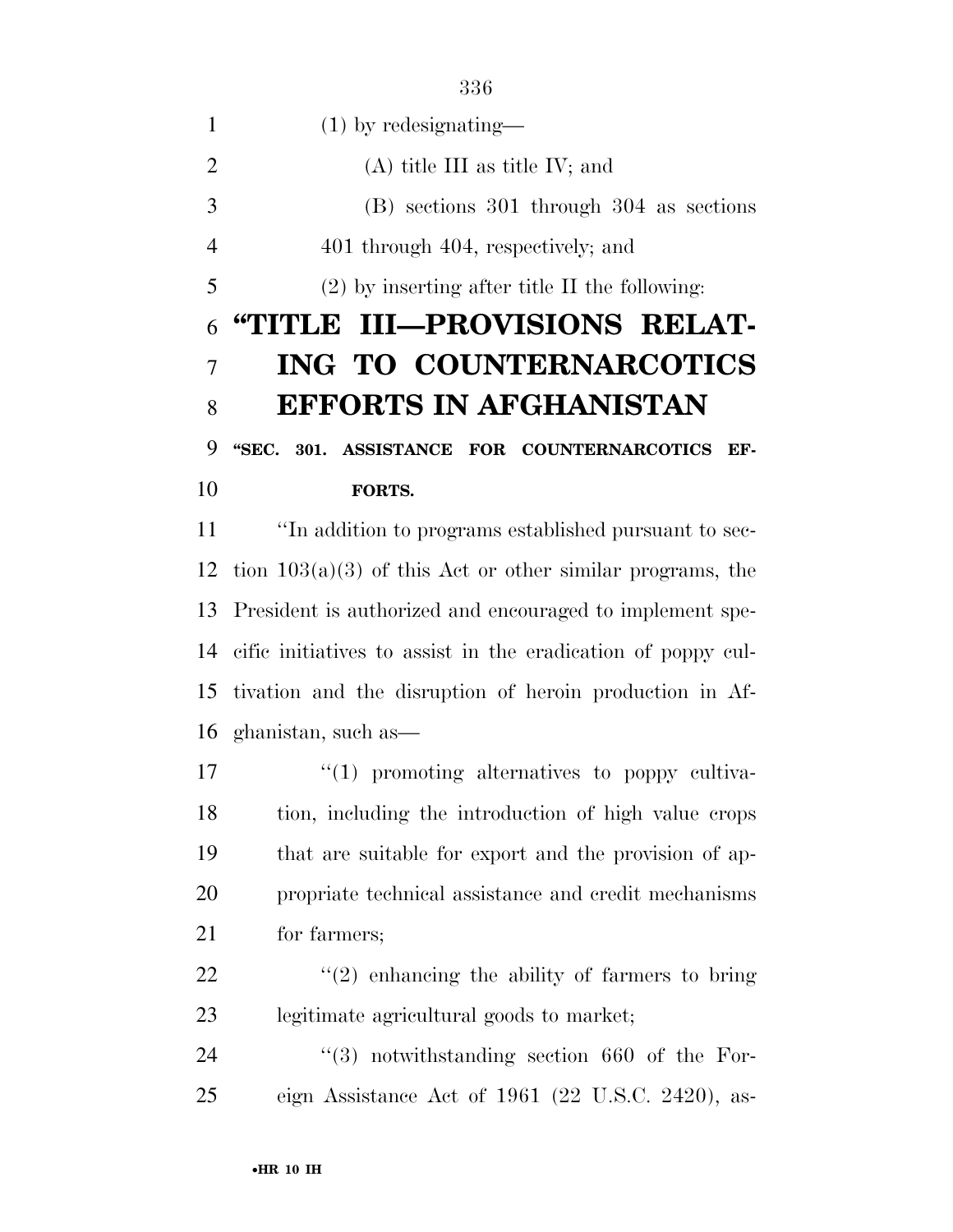(1) by redesignating— 2 (A) title III as title IV; and (B) sections 301 through 304 as sections 4 401 through 404, respectively; and (2) by inserting after title II the following: **''TITLE III—PROVISIONS RELAT- ING TO COUNTERNARCOTICS EFFORTS IN AFGHANISTAN ''SEC. 301. ASSISTANCE FOR COUNTERNARCOTICS EF- FORTS.**  ''In addition to programs established pursuant to sec-

12 tion  $103(a)(3)$  of this Act or other similar programs, the President is authorized and encouraged to implement spe- cific initiatives to assist in the eradication of poppy cul- tivation and the disruption of heroin production in Af-ghanistan, such as—

 $\frac{1}{2}$  (1) promoting alternatives to poppy cultiva- tion, including the introduction of high value crops that are suitable for export and the provision of ap- propriate technical assistance and credit mechanisms for farmers;

22  $\frac{1}{2}$   $\frac{1}{2}$  enhancing the ability of farmers to bring legitimate agricultural goods to market;

24  $(3)$  notwithstanding section 660 of the For-eign Assistance Act of 1961 (22 U.S.C. 2420), as-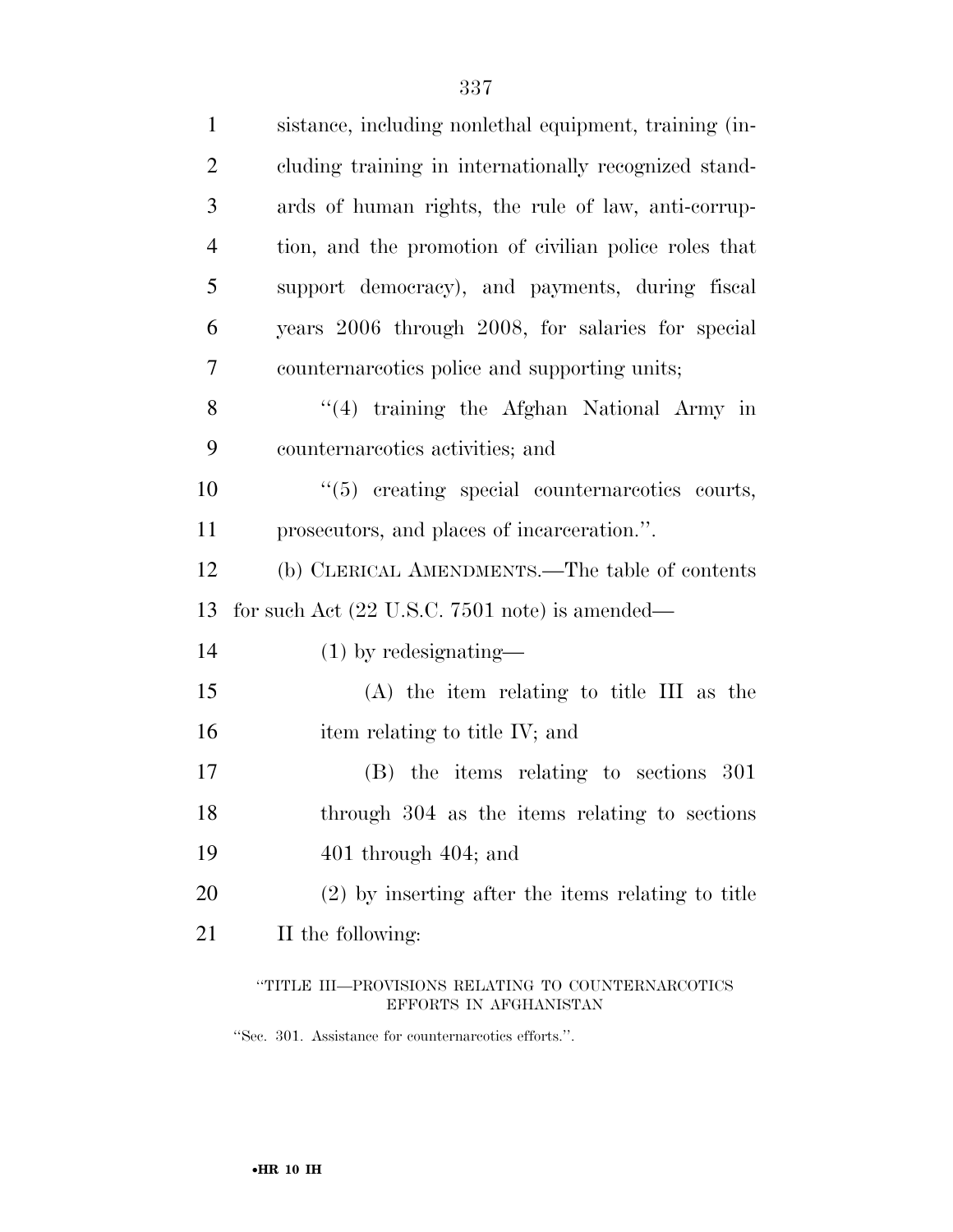| $\mathbf{1}$   | sistance, including nonlethal equipment, training (in-                       |
|----------------|------------------------------------------------------------------------------|
| $\overline{2}$ | cluding training in internationally recognized stand-                        |
| 3              | ards of human rights, the rule of law, anti-corrup-                          |
| $\overline{4}$ | tion, and the promotion of civilian police roles that                        |
| 5              | support democracy), and payments, during fiscal                              |
| 6              | years 2006 through 2008, for salaries for special                            |
| 7              | counternareotics police and supporting units;                                |
| 8              | "(4) training the Afghan National Army in                                    |
| 9              | counternareotics activities; and                                             |
| 10             | "(5) creating special counternareotics courts,                               |
| 11             | prosecutors, and places of incarceration.".                                  |
| 12             | (b) CLERICAL AMENDMENTS.—The table of contents                               |
| 13             | for such Act $(22 \text{ U.S.C. } 7501 \text{ note})$ is amended—            |
| 14             | $(1)$ by redesignating—                                                      |
| 15             | $(A)$ the item relating to title III as the                                  |
| 16             | item relating to title IV; and                                               |
| 17             | $(B)$ the items relating to sections 301                                     |
| 18             | through 304 as the items relating to sections                                |
| 19             | $401$ through $404$ ; and                                                    |
| 20             | $(2)$ by inserting after the items relating to title                         |
| 21             | II the following:                                                            |
|                | "TITLE III—PROVISIONS RELATING TO COUNTERNARCOTICS<br>EFFORTS IN AFGHANISTAN |

''Sec. 301. Assistance for counternarcotics efforts.''.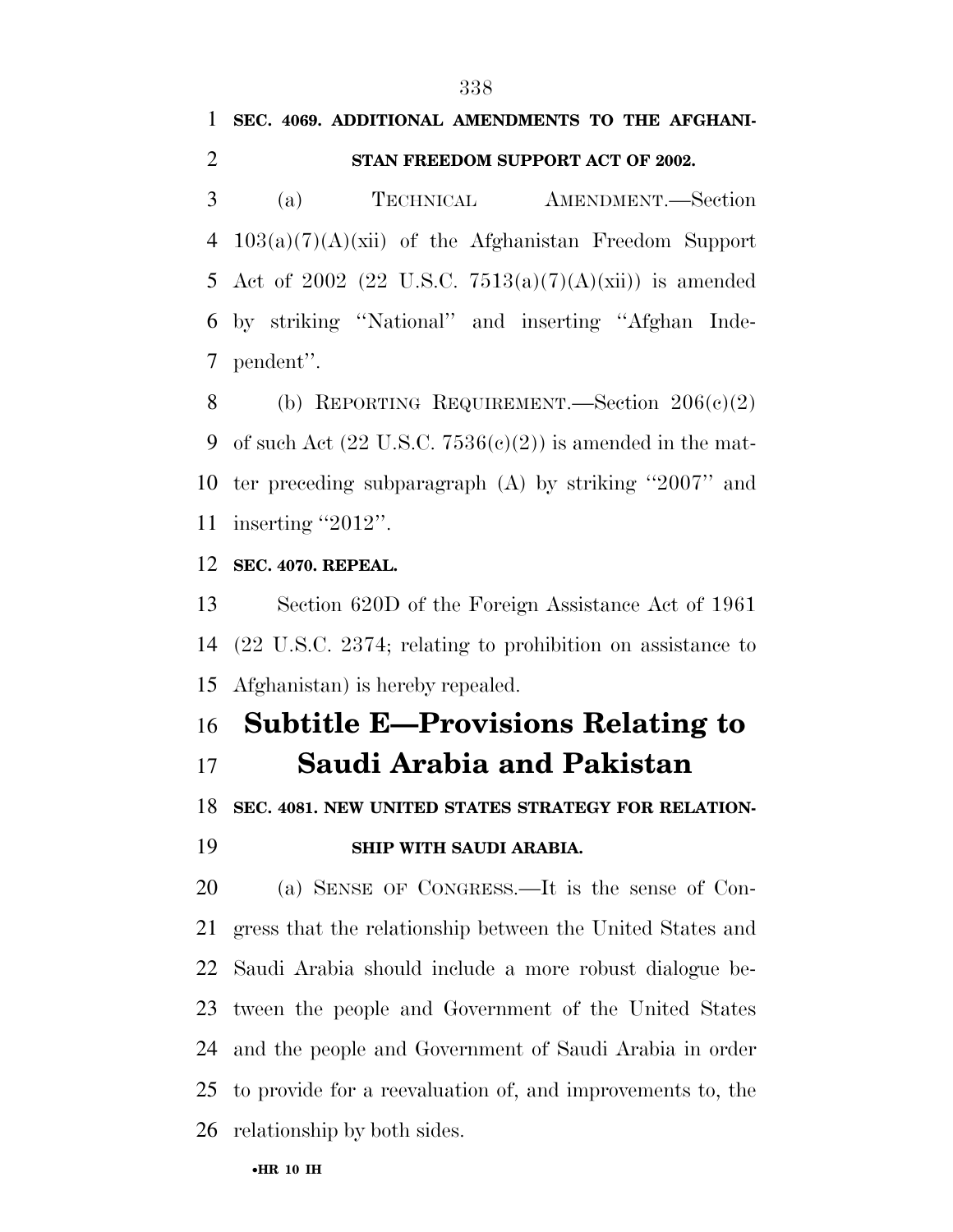## **SEC. 4069. ADDITIONAL AMENDMENTS TO THE AFGHANI-STAN FREEDOM SUPPORT ACT OF 2002.**

 (a) TECHNICAL AMENDMENT.—Section 103(a)(7)(A)(xii) of the Afghanistan Freedom Support 5 Act of 2002 (22 U.S.C.  $7513(a)(7)(A)(xii)$ ) is amended by striking ''National'' and inserting ''Afghan Inde-pendent''.

8 (b) REPORTING REQUIREMENT.—Section  $206(c)(2)$ 9 of such Act  $(22 \text{ U.S.C. } 7536(c)(2))$  is amended in the mat- ter preceding subparagraph (A) by striking ''2007'' and 11 inserting "2012".

#### **SEC. 4070. REPEAL.**

 Section 620D of the Foreign Assistance Act of 1961 (22 U.S.C. 2374; relating to prohibition on assistance to Afghanistan) is hereby repealed.

## **Subtitle E—Provisions Relating to Saudi Arabia and Pakistan**

**SEC. 4081. NEW UNITED STATES STRATEGY FOR RELATION-**

#### **SHIP WITH SAUDI ARABIA.**

 (a) SENSE OF CONGRESS.—It is the sense of Con- gress that the relationship between the United States and Saudi Arabia should include a more robust dialogue be- tween the people and Government of the United States and the people and Government of Saudi Arabia in order to provide for a reevaluation of, and improvements to, the relationship by both sides.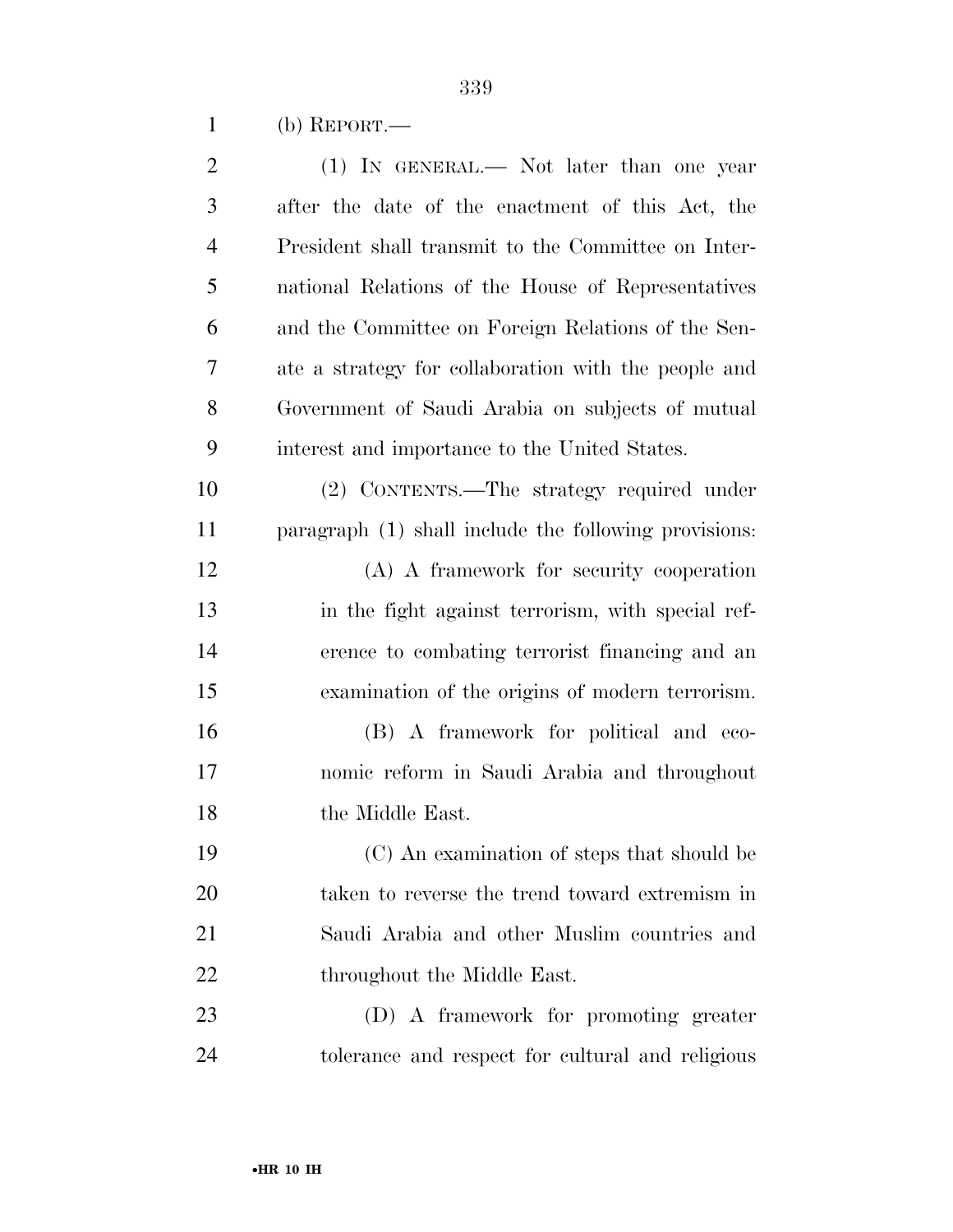(b) REPORT.—

| $\mathbf{2}$   | (1) IN GENERAL.— Not later than one year              |
|----------------|-------------------------------------------------------|
| 3              | after the date of the enactment of this Act, the      |
| $\overline{4}$ | President shall transmit to the Committee on Inter-   |
| 5              | national Relations of the House of Representatives    |
| 6              | and the Committee on Foreign Relations of the Sen-    |
| 7              | ate a strategy for collaboration with the people and  |
| 8              | Government of Saudi Arabia on subjects of mutual      |
| 9              | interest and importance to the United States.         |
| 10             | (2) CONTENTS.—The strategy required under             |
| 11             | paragraph (1) shall include the following provisions: |
| 12             | (A) A framework for security cooperation              |
| 13             | in the fight against terrorism, with special ref-     |
| 14             | erence to combating terrorist financing and an        |
| 15             | examination of the origins of modern terrorism.       |
| 16             | (B) A framework for political and eco-                |
| 17             | nomic reform in Saudi Arabia and throughout           |
| 18             | the Middle East.                                      |
| 19             | (C) An examination of steps that should be            |
| 20             | taken to reverse the trend toward extremism in        |
| 21             | Saudi Arabia and other Muslim countries and           |
| 22             | throughout the Middle East.                           |
| 23             | (D) A framework for promoting greater                 |
| 24             | tolerance and respect for cultural and religious      |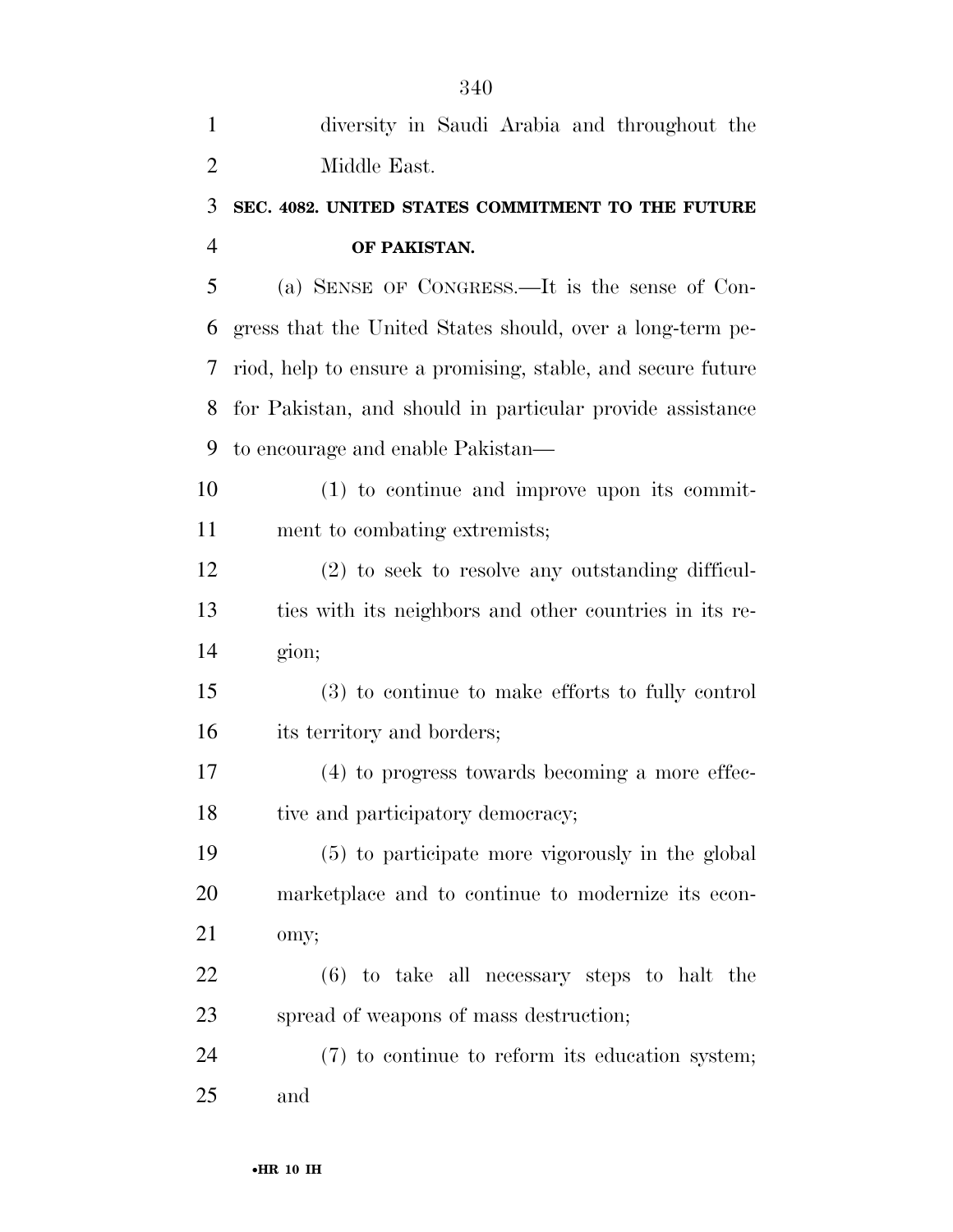| $\mathbf{1}$   | diversity in Saudi Arabia and throughout the                |
|----------------|-------------------------------------------------------------|
| $\overline{2}$ | Middle East.                                                |
| 3              | SEC. 4082. UNITED STATES COMMITMENT TO THE FUTURE           |
| 4              | OF PAKISTAN.                                                |
| 5              | (a) SENSE OF CONGRESS.—It is the sense of Con-              |
| 6              | gress that the United States should, over a long-term pe-   |
| 7              | riod, help to ensure a promising, stable, and secure future |
| 8              | for Pakistan, and should in particular provide assistance   |
| 9              | to encourage and enable Pakistan—                           |
| 10             | $(1)$ to continue and improve upon its commit-              |
| 11             | ment to combating extremists;                               |
| 12             | (2) to seek to resolve any outstanding difficul-            |
| 13             | ties with its neighbors and other countries in its re-      |
| 14             | gion;                                                       |
| 15             | (3) to continue to make efforts to fully control            |
| 16             | its territory and borders;                                  |
| 17             | (4) to progress towards becoming a more effec-              |
| 18             | tive and participatory democracy;                           |
| 19             | (5) to participate more vigorously in the global            |
| 20             | marketplace and to continue to modernize its econ-          |
| 21             | omy;                                                        |
| 22             | $(6)$ to take all necessary steps to halt the               |
| 23             | spread of weapons of mass destruction;                      |
| 24             | (7) to continue to reform its education system;             |
| 25             | and                                                         |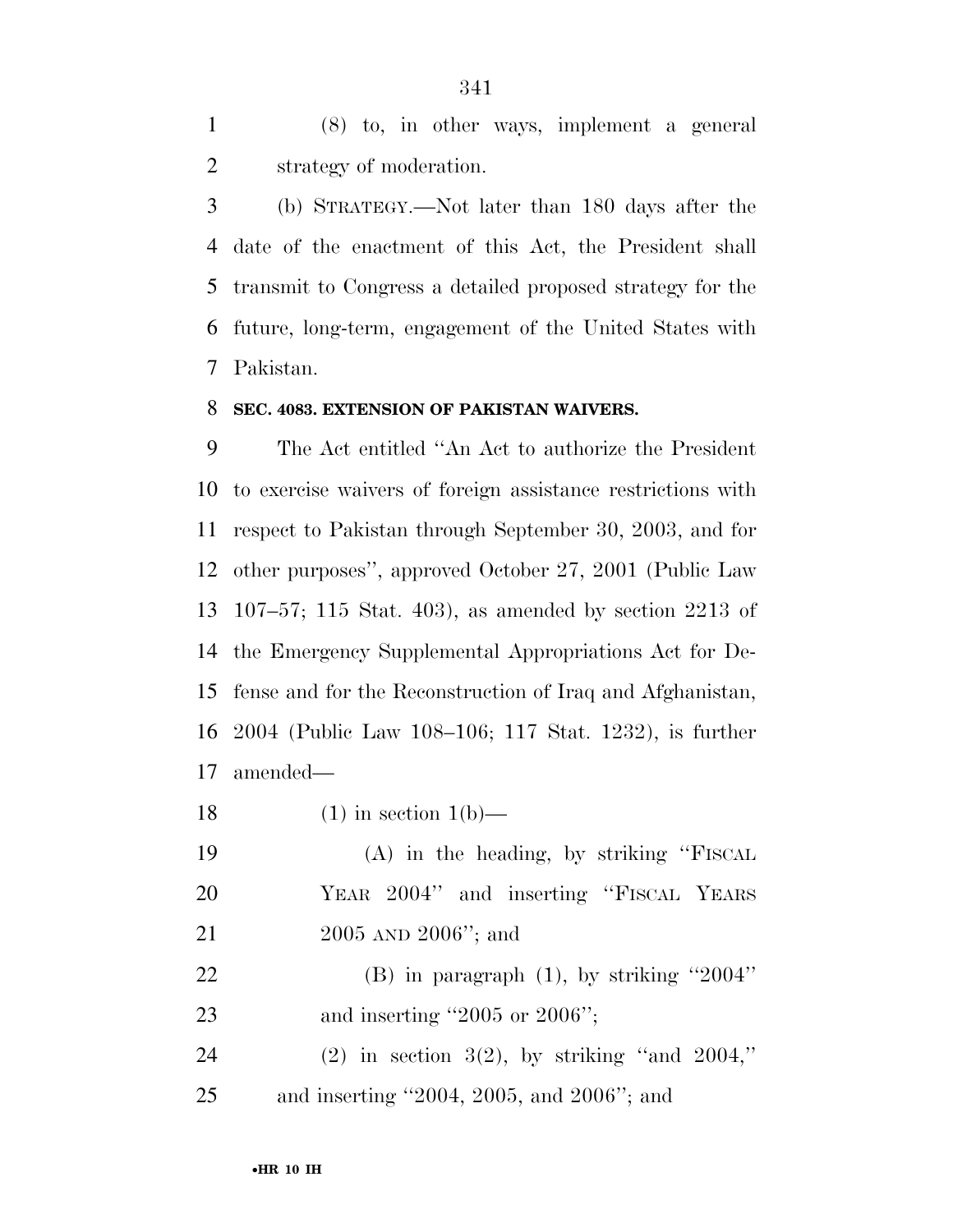(8) to, in other ways, implement a general strategy of moderation.

 (b) STRATEGY.—Not later than 180 days after the date of the enactment of this Act, the President shall transmit to Congress a detailed proposed strategy for the future, long-term, engagement of the United States with Pakistan.

#### **SEC. 4083. EXTENSION OF PAKISTAN WAIVERS.**

 The Act entitled ''An Act to authorize the President to exercise waivers of foreign assistance restrictions with respect to Pakistan through September 30, 2003, and for other purposes'', approved October 27, 2001 (Public Law 107–57; 115 Stat. 403), as amended by section 2213 of the Emergency Supplemental Appropriations Act for De- fense and for the Reconstruction of Iraq and Afghanistan, 2004 (Public Law 108–106; 117 Stat. 1232), is further amended—

18 (1) in section  $1(b)$ —

 (A) in the heading, by striking ''FISCAL YEAR 2004'' and inserting ''FISCAL YEARS 2005 AND 2006''; and

 (B) in paragraph (1), by striking ''2004'' 23 and inserting "2005 or 2006";

 (2) in section 3(2), by striking ''and 2004,'' and inserting ''2004, 2005, and 2006''; and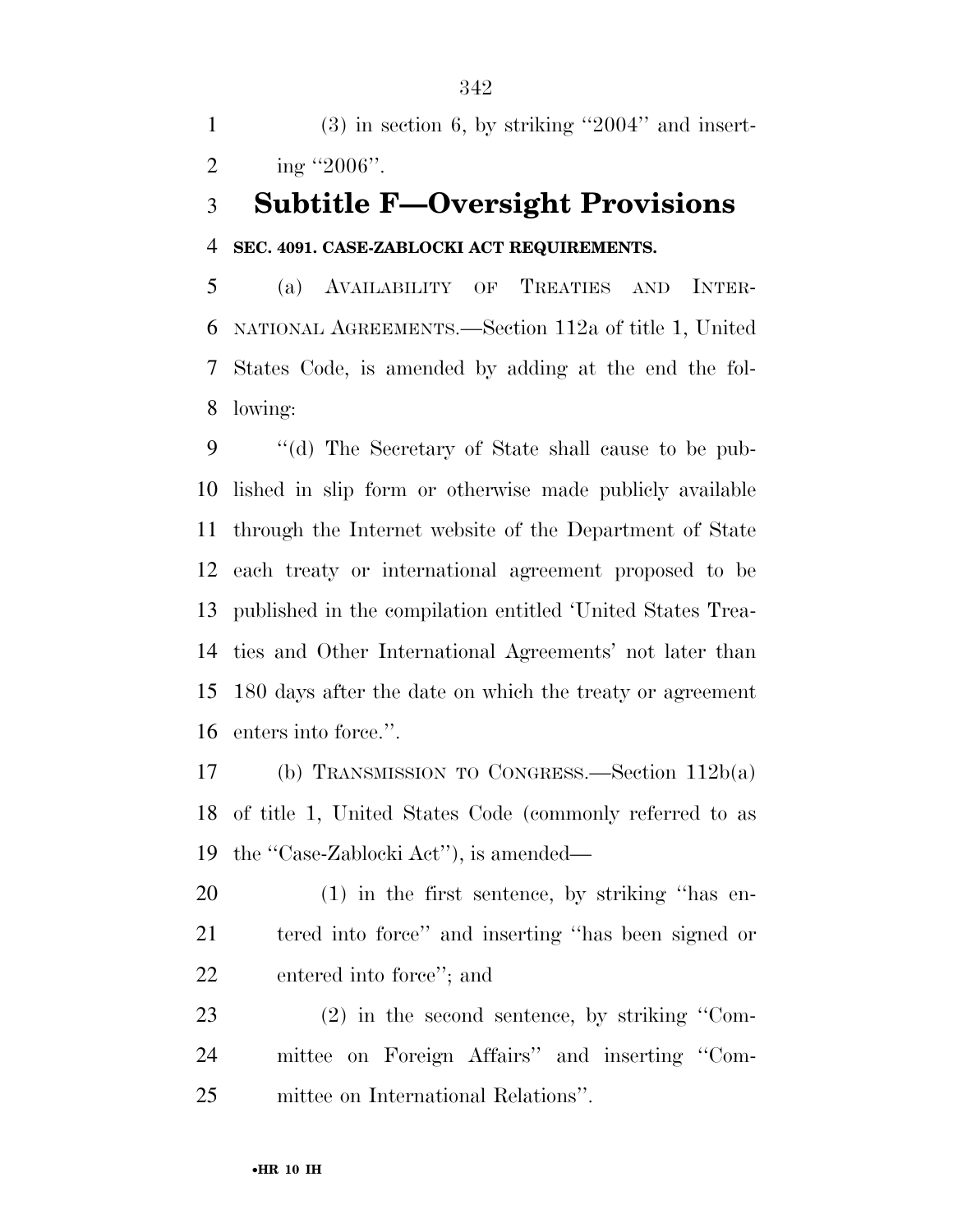(3) in section 6, by striking ''2004'' and insert-2 ing  $"2006"$ .

### **Subtitle F—Oversight Provisions**

#### **SEC. 4091. CASE-ZABLOCKI ACT REQUIREMENTS.**

 (a) AVAILABILITY OF TREATIES AND INTER- NATIONAL AGREEMENTS.—Section 112a of title 1, United States Code, is amended by adding at the end the fol-lowing:

 ''(d) The Secretary of State shall cause to be pub- lished in slip form or otherwise made publicly available through the Internet website of the Department of State each treaty or international agreement proposed to be published in the compilation entitled 'United States Trea- ties and Other International Agreements' not later than 180 days after the date on which the treaty or agreement enters into force.''.

 (b) TRANSMISSION TO CONGRESS.—Section 112b(a) of title 1, United States Code (commonly referred to as the ''Case-Zablocki Act''), is amended—

 (1) in the first sentence, by striking ''has en- tered into force'' and inserting ''has been signed or entered into force''; and

 (2) in the second sentence, by striking ''Com- mittee on Foreign Affairs'' and inserting ''Com-mittee on International Relations''.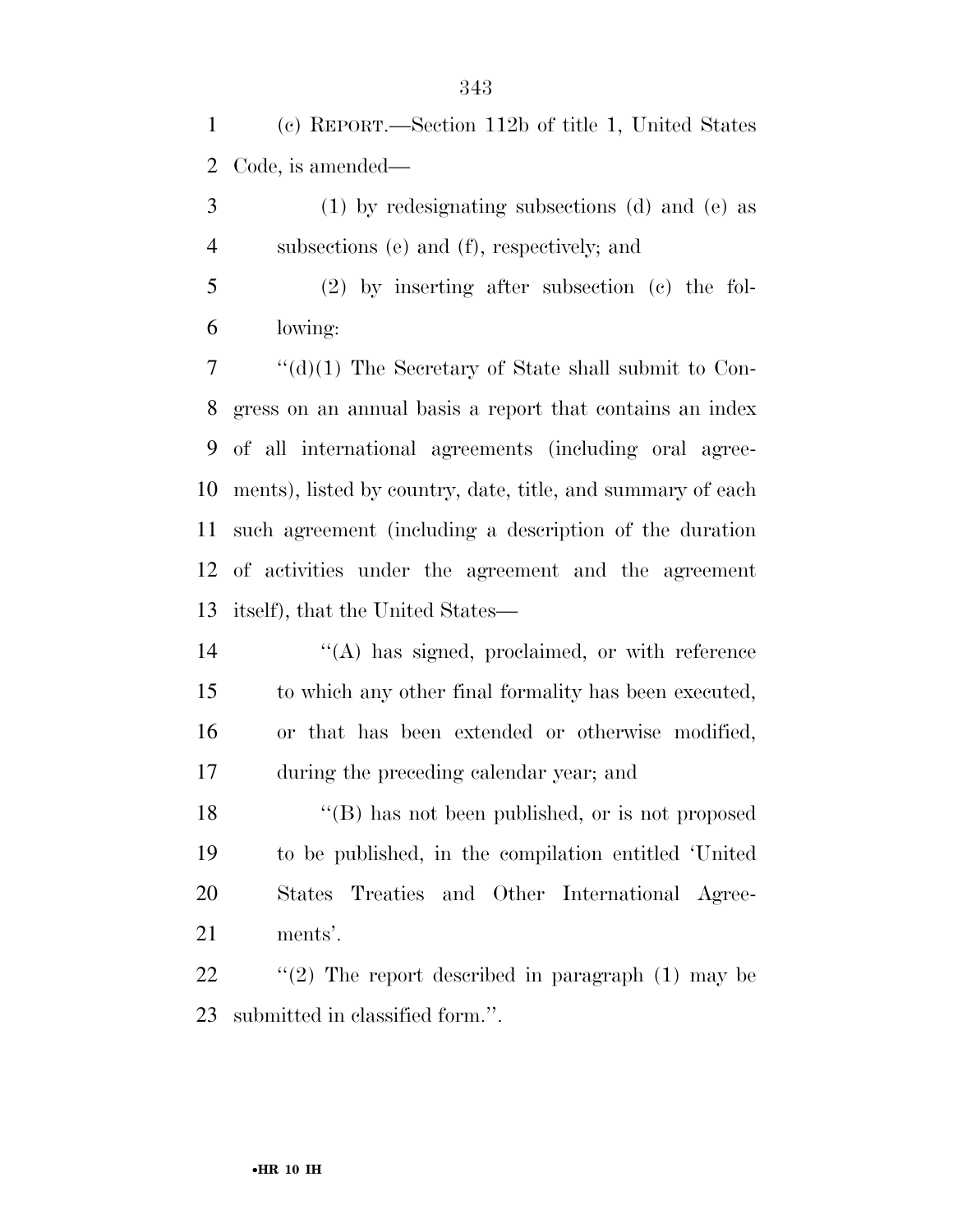(c) REPORT.—Section 112b of title 1, United States Code, is amended—

 (1) by redesignating subsections (d) and (e) as subsections (e) and (f), respectively; and

 (2) by inserting after subsection (c) the fol-lowing:

 ''(d)(1) The Secretary of State shall submit to Con- gress on an annual basis a report that contains an index of all international agreements (including oral agree- ments), listed by country, date, title, and summary of each such agreement (including a description of the duration of activities under the agreement and the agreement itself), that the United States—

 ''(A) has signed, proclaimed, or with reference to which any other final formality has been executed, or that has been extended or otherwise modified, during the preceding calendar year; and

18 ''(B) has not been published, or is not proposed to be published, in the compilation entitled 'United States Treaties and Other International Agree-ments'.

22 "(2) The report described in paragraph (1) may be submitted in classified form.''.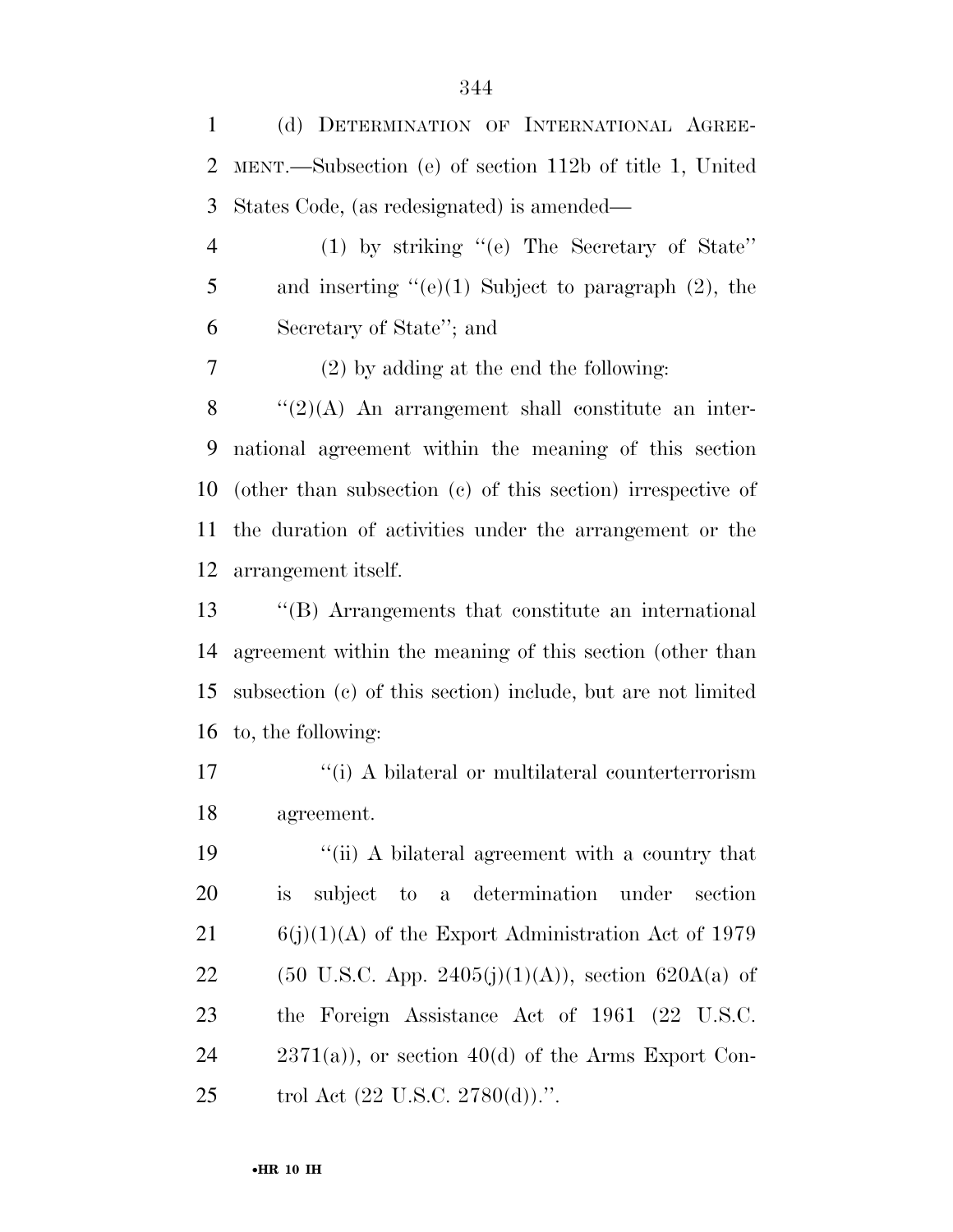(d) DETERMINATION OF INTERNATIONAL AGREE- MENT.—Subsection (e) of section 112b of title 1, United States Code, (as redesignated) is amended—

 (1) by striking ''(e) The Secretary of State'' 5 and inserting  $(e)(1)$  Subject to paragraph  $(2)$ , the Secretary of State''; and

(2) by adding at the end the following:

 "(2)(A) An arrangement shall constitute an inter- national agreement within the meaning of this section (other than subsection (c) of this section) irrespective of the duration of activities under the arrangement or the arrangement itself.

 ''(B) Arrangements that constitute an international agreement within the meaning of this section (other than subsection (c) of this section) include, but are not limited to, the following:

17 <sup>"</sup>(i) A bilateral or multilateral counterterrorism agreement.

19 ''(ii) A bilateral agreement with a country that is subject to a determination under section 21 6(j)(1)(A) of the Export Administration Act of 1979 22 (50 U.S.C. App. 2405(j)(1)(A)), section 620A(a) of the Foreign Assistance Act of 1961 (22 U.S.C. 24  $2371(a)$ , or section 40(d) of the Arms Export Con-25 trol Act (22 U.S.C. 2780(d)).".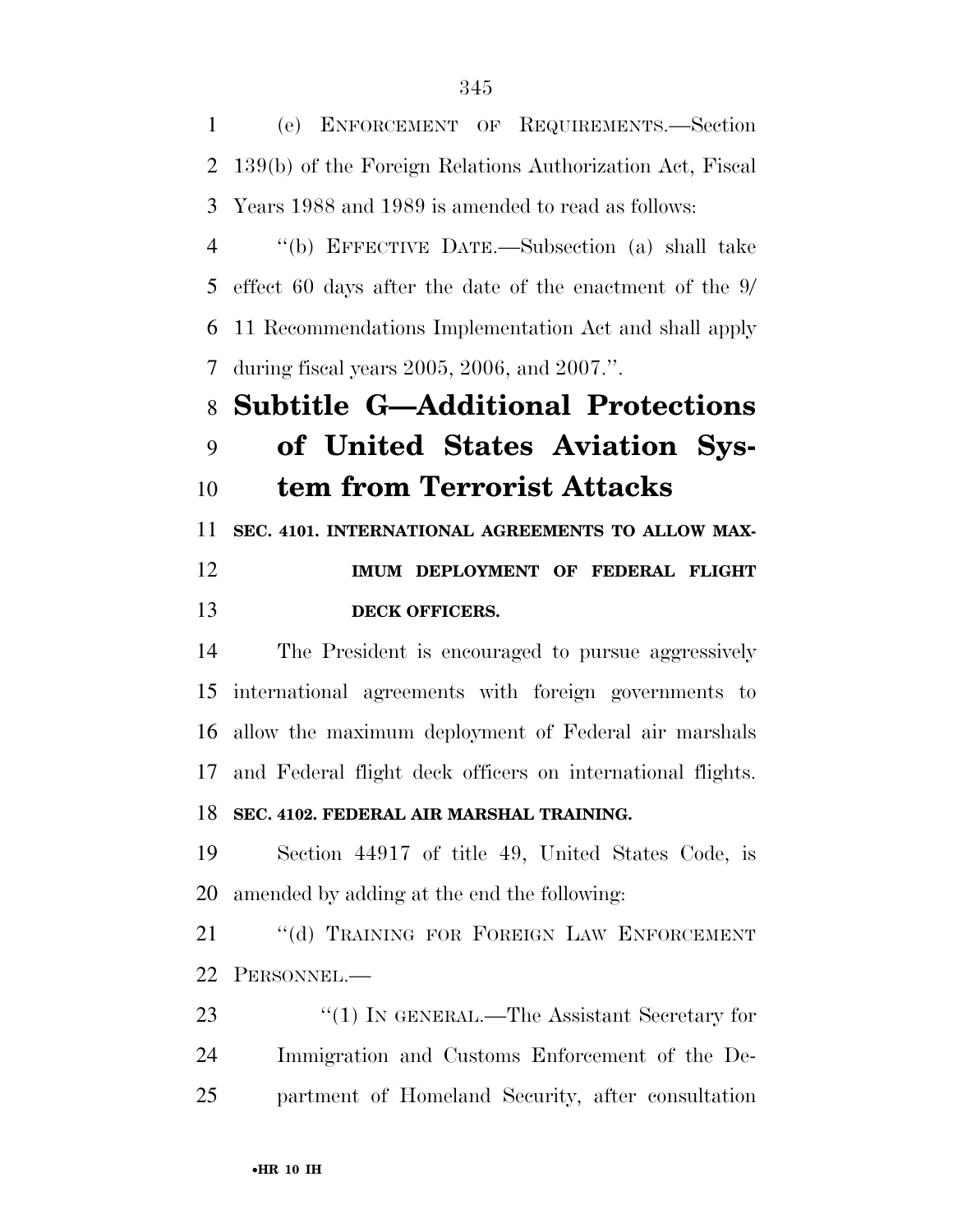(e) ENFORCEMENT OF REQUIREMENTS.—Section 139(b) of the Foreign Relations Authorization Act, Fiscal Years 1988 and 1989 is amended to read as follows: ''(b) EFFECTIVE DATE.—Subsection (a) shall take effect 60 days after the date of the enactment of the 9/ 11 Recommendations Implementation Act and shall apply during fiscal years 2005, 2006, and 2007.''. **Subtitle G—Additional Protections of United States Aviation Sys- tem from Terrorist Attacks SEC. 4101. INTERNATIONAL AGREEMENTS TO ALLOW MAX- IMUM DEPLOYMENT OF FEDERAL FLIGHT DECK OFFICERS.** 

 The President is encouraged to pursue aggressively international agreements with foreign governments to allow the maximum deployment of Federal air marshals and Federal flight deck officers on international flights. **SEC. 4102. FEDERAL AIR MARSHAL TRAINING.** 

 Section 44917 of title 49, United States Code, is amended by adding at the end the following:

21 "(d) TRAINING FOR FOREIGN LAW ENFORCEMENT PERSONNEL.—

23 "(1) IN GENERAL.—The Assistant Secretary for Immigration and Customs Enforcement of the De-partment of Homeland Security, after consultation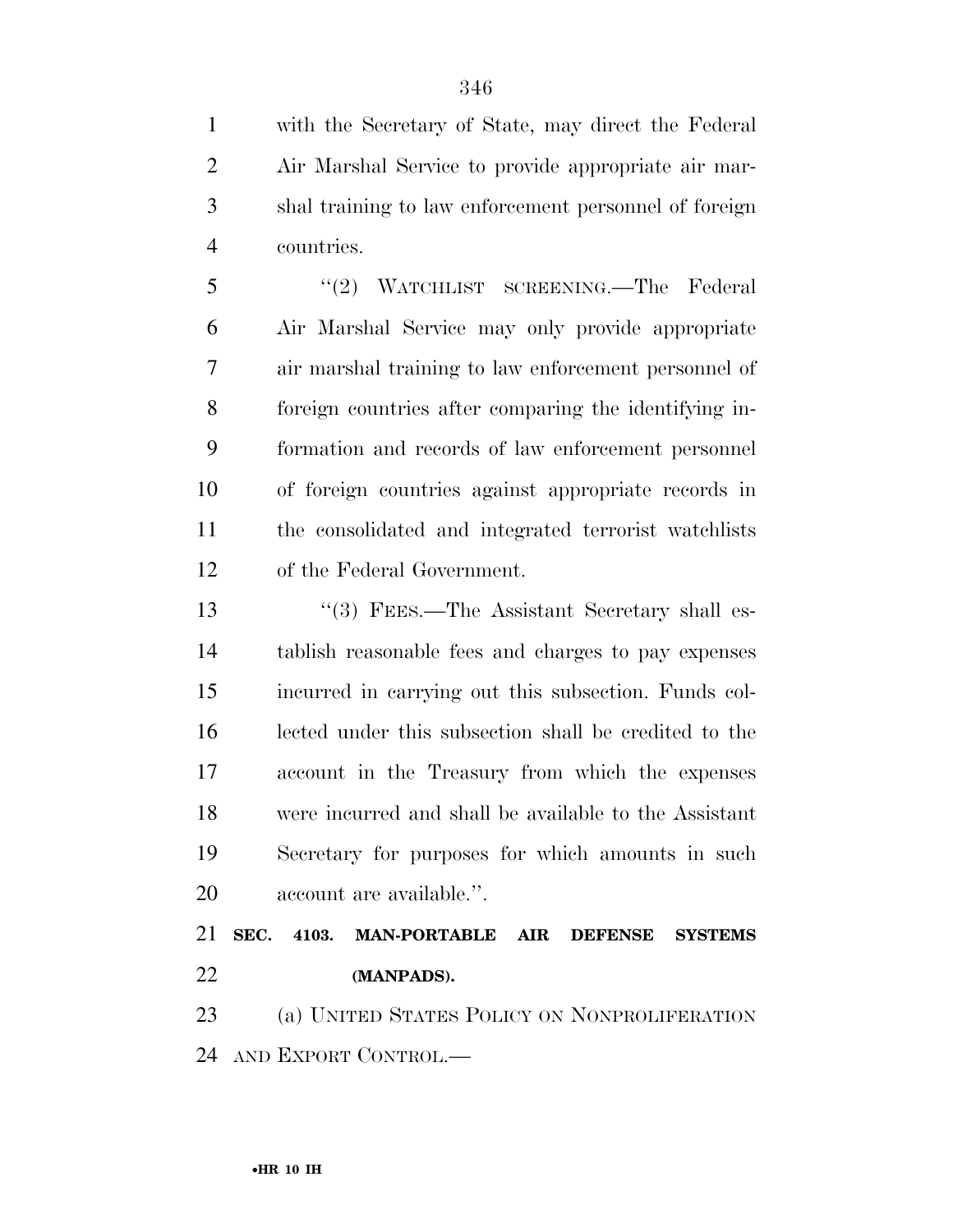with the Secretary of State, may direct the Federal Air Marshal Service to provide appropriate air mar- shal training to law enforcement personnel of foreign countries.

 ''(2) WATCHLIST SCREENING.—The Federal Air Marshal Service may only provide appropriate air marshal training to law enforcement personnel of foreign countries after comparing the identifying in- formation and records of law enforcement personnel of foreign countries against appropriate records in the consolidated and integrated terrorist watchlists of the Federal Government.

13 ''(3) FEES.—The Assistant Secretary shall es- tablish reasonable fees and charges to pay expenses incurred in carrying out this subsection. Funds col- lected under this subsection shall be credited to the account in the Treasury from which the expenses were incurred and shall be available to the Assistant Secretary for purposes for which amounts in such account are available.''.

 **SEC. 4103. MAN-PORTABLE AIR DEFENSE SYSTEMS (MANPADS).** 

 (a) UNITED STATES POLICY ON NONPROLIFERATION AND EXPORT CONTROL.—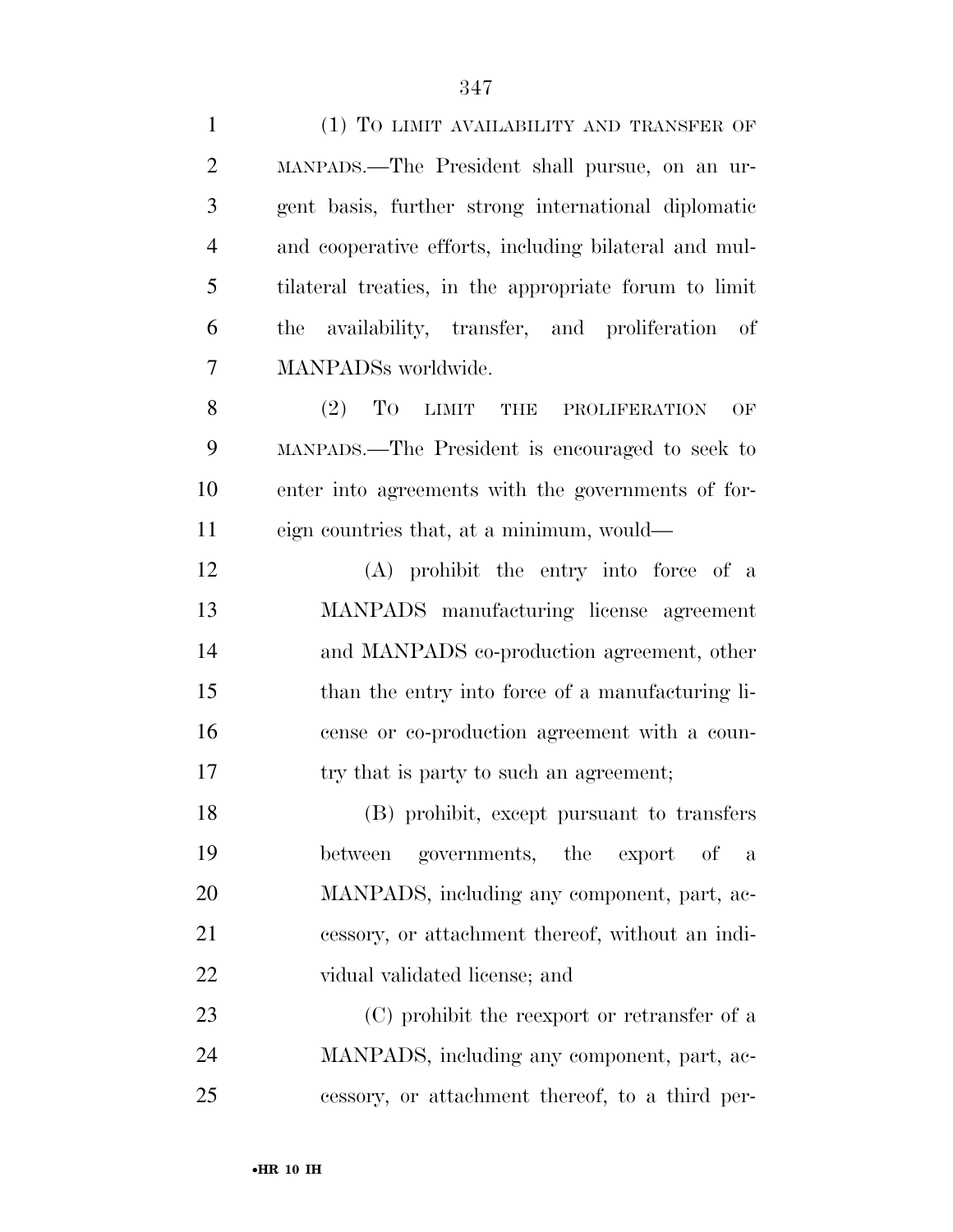| $\mathbf{1}$   | (1) TO LIMIT AVAILABILITY AND TRANSFER OF             |
|----------------|-------------------------------------------------------|
| $\overline{2}$ | MANPADS.—The President shall pursue, on an ur-        |
| 3              | gent basis, further strong international diplomatic   |
| $\overline{4}$ | and cooperative efforts, including bilateral and mul- |
| 5              | tilateral treaties, in the appropriate forum to limit |
| 6              | availability, transfer, and proliferation of<br>the   |
| 7              | MANPADSs worldwide.                                   |
| 8              | To<br>(2)<br>LIMIT THE PROLIFERATION<br>OF            |
| 9              | MANPADS.—The President is encouraged to seek to       |
| 10             | enter into agreements with the governments of for-    |
| 11             | eign countries that, at a minimum, would—             |
| 12             | (A) prohibit the entry into force of a                |
| 13             | MANPADS manufacturing license agreement               |
| 14             | and MANPADS co-production agreement, other            |
| 15             | than the entry into force of a manufacturing li-      |
| 16             | cense or co-production agreement with a coun-         |
| 17             | try that is party to such an agreement;               |
| 18             | (B) prohibit, except pursuant to transfers            |
| 19             | governments, the export of<br>between<br>a            |
| 20             | MANPADS, including any component, part, ac-           |
| 21             | cessory, or attachment thereof, without an indi-      |
| 22             | vidual validated license; and                         |
| 23             | (C) prohibit the reexport or retransfer of a          |
| 24             | MANPADS, including any component, part, ac-           |
| 25             | cessory, or attachment thereof, to a third per-       |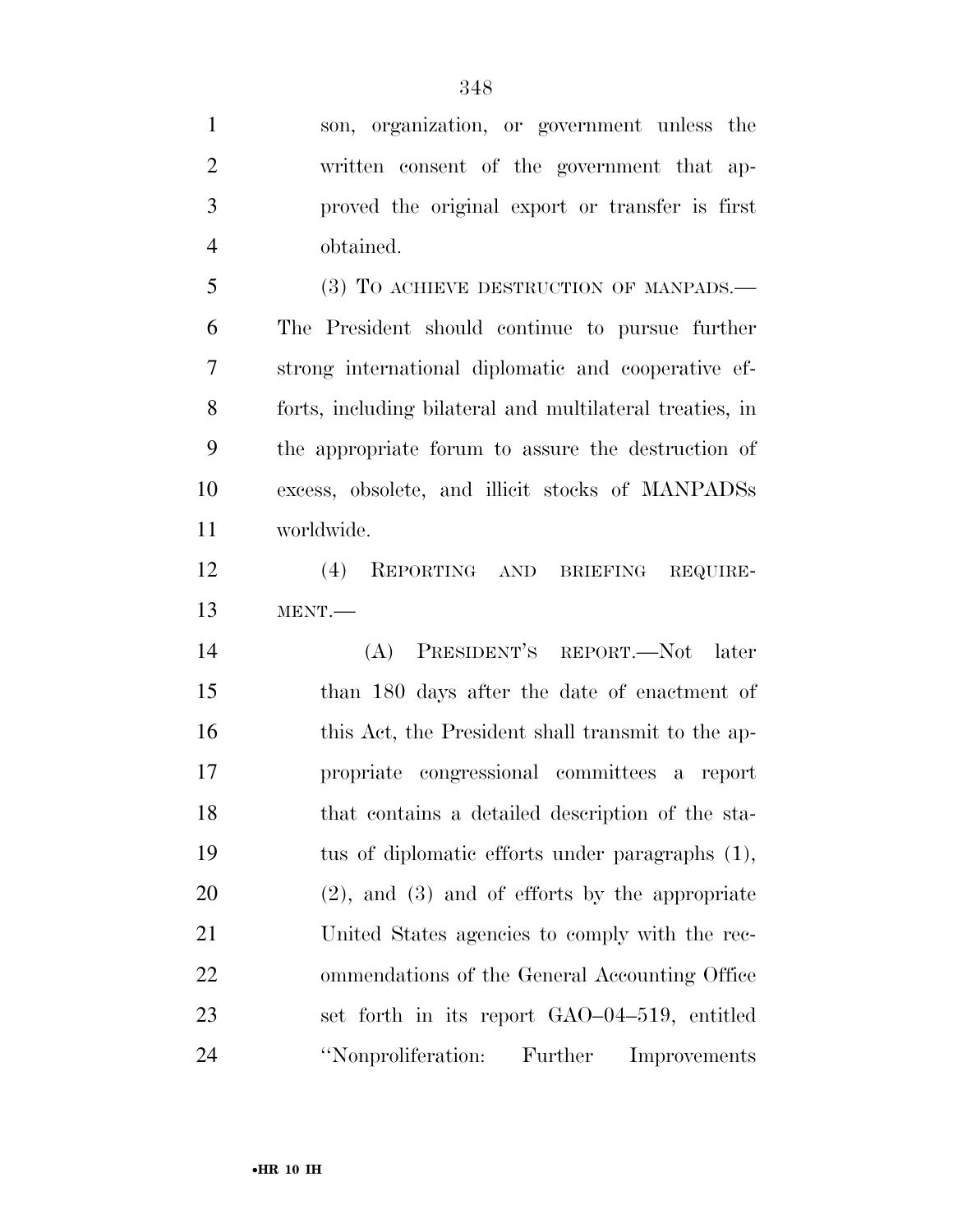son, organization, or government unless the written consent of the government that ap- proved the original export or transfer is first obtained. (3) TO ACHIEVE DESTRUCTION OF MANPADS.— The President should continue to pursue further strong international diplomatic and cooperative ef-

 forts, including bilateral and multilateral treaties, in the appropriate forum to assure the destruction of excess, obsolete, and illicit stocks of MANPADSs worldwide.

 (4) REPORTING AND BRIEFING REQUIRE-MENT.—

 (A) PRESIDENT'S REPORT.—Not later than 180 days after the date of enactment of 16 this Act, the President shall transmit to the ap- propriate congressional committees a report that contains a detailed description of the sta- tus of diplomatic efforts under paragraphs (1), (2), and (3) and of efforts by the appropriate United States agencies to comply with the rec- ommendations of the General Accounting Office set forth in its report GAO–04–519, entitled ''Nonproliferation: Further Improvements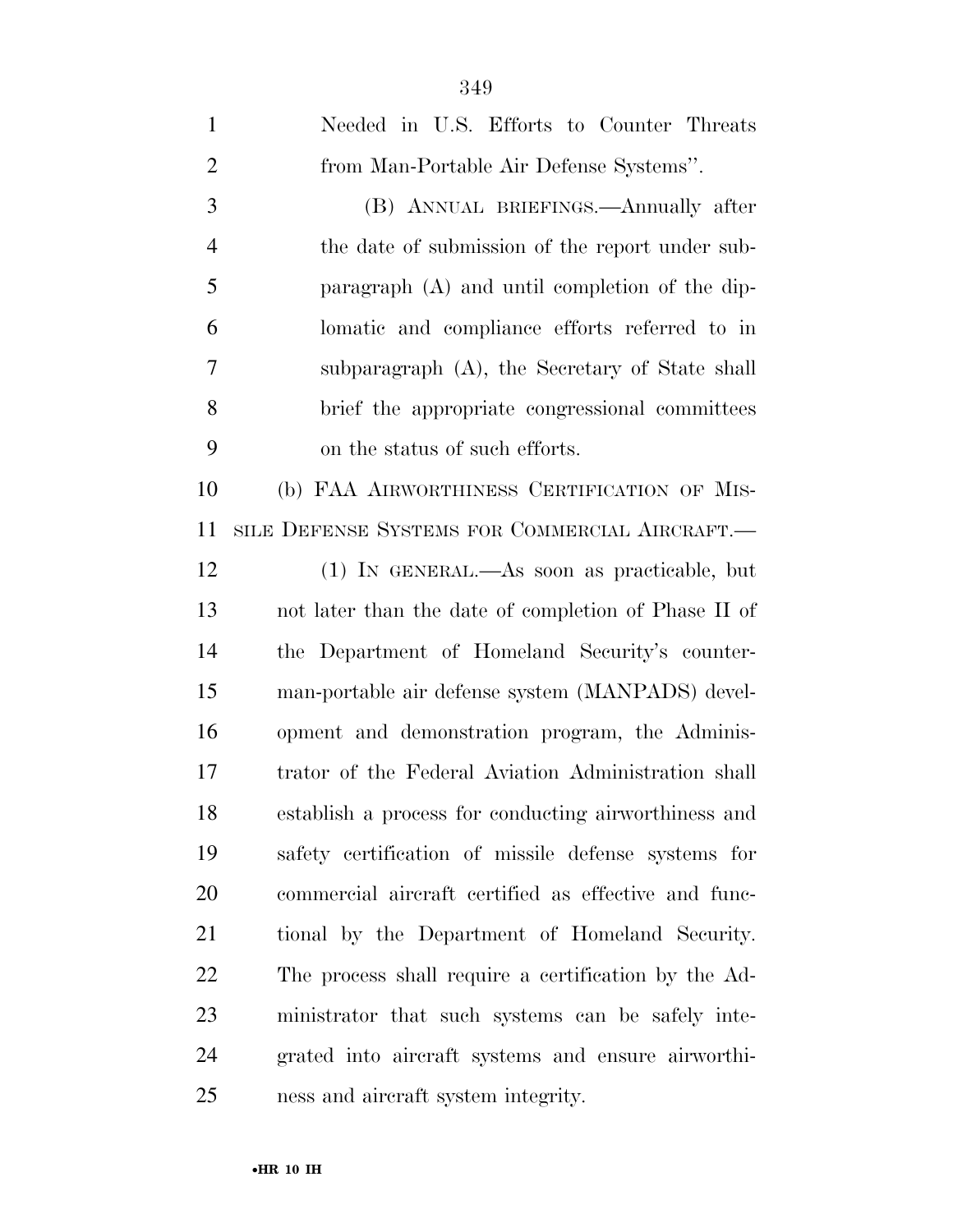| $\mathbf{1}$   | Needed in U.S. Efforts to Counter Threats            |
|----------------|------------------------------------------------------|
| $\overline{2}$ | from Man-Portable Air Defense Systems".              |
| 3              | (B) ANNUAL BRIEFINGS.—Annually after                 |
| $\overline{4}$ | the date of submission of the report under sub-      |
| 5              | paragraph (A) and until completion of the dip-       |
| 6              | lomatic and compliance efforts referred to in        |
| 7              | subparagraph $(A)$ , the Secretary of State shall    |
| 8              | brief the appropriate congressional committees       |
| 9              | on the status of such efforts.                       |
| 10             | (b) FAA AIRWORTHINESS CERTIFICATION OF MIS-          |
| 11             | SILE DEFENSE SYSTEMS FOR COMMERCIAL AIRCRAFT.—       |
| 12             | (1) IN GENERAL.—As soon as practicable, but          |
| 13             | not later than the date of completion of Phase II of |
| 14             | the Department of Homeland Security's counter-       |
| 15             | man-portable air defense system (MANPADS) devel-     |
| 16             | opment and demonstration program, the Adminis-       |
| 17             | trator of the Federal Aviation Administration shall  |
| 18             | establish a process for conducting airworthiness and |
| 19             | safety certification of missile defense systems for  |
| 20             | commercial aircraft certified as effective and func- |
| 21             | tional by the Department of Homeland Security.       |
| 22             | The process shall require a certification by the Ad- |
| 23             | ministrator that such systems can be safely inte-    |
| 24             | grated into aircraft systems and ensure airworthi-   |
| 25             | ness and aircraft system integrity.                  |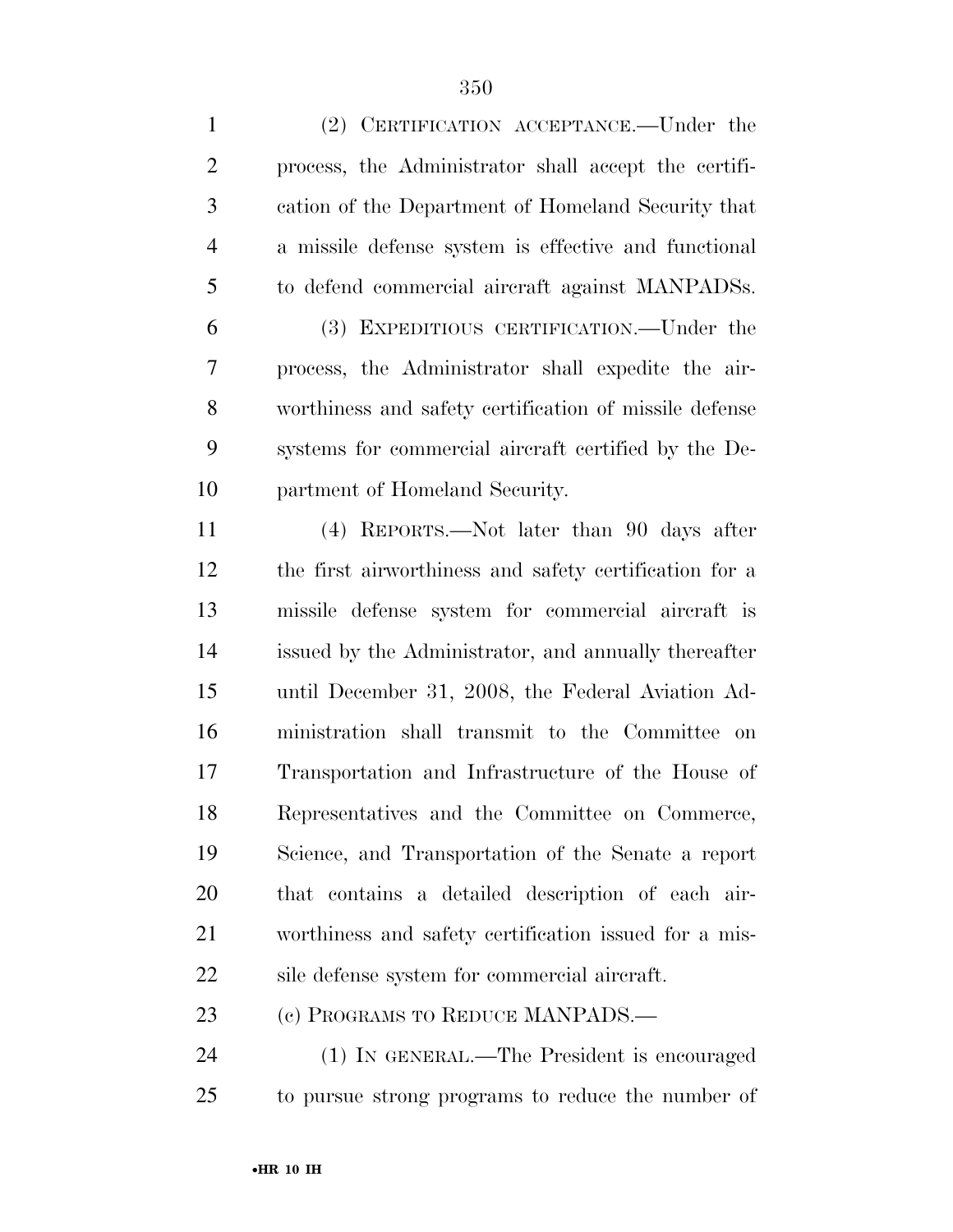| $\mathbf{1}$   | (2) CERTIFICATION ACCEPTANCE.—Under the                |
|----------------|--------------------------------------------------------|
| $\overline{2}$ | process, the Administrator shall accept the certifi-   |
| 3              | cation of the Department of Homeland Security that     |
| $\overline{4}$ | a missile defense system is effective and functional   |
| 5              | to defend commercial aircraft against MANPADSs.        |
| 6              | (3) EXPEDITIOUS CERTIFICATION.—Under the               |
| 7              | process, the Administrator shall expedite the air-     |
| 8              | worthiness and safety certification of missile defense |
| 9              | systems for commercial aircraft certified by the De-   |
| 10             | partment of Homeland Security.                         |
| 11             | (4) REPORTS.—Not later than 90 days after              |
| 12             | the first airworthiness and safety certification for a |
| 13             | missile defense system for commercial aircraft is      |
| 14             | issued by the Administrator, and annually thereafter   |
| 15             | until December 31, 2008, the Federal Aviation Ad-      |
| 16             | ministration shall transmit to the Committee on        |
| 17             | Transportation and Infrastructure of the House of      |
| 18             | Representatives and the Committee on Commerce,         |
| 19             | Science, and Transportation of the Senate a report     |
| 20             | that contains a detailed description of each air-      |
| 21             | worthiness and safety certification issued for a mis-  |
| 22             | sile defense system for commercial aircraft.           |
| 23             | (c) PROGRAMS TO REDUCE MANPADS.—                       |
| 24             | (1) IN GENERAL.—The President is encouraged            |
| 25             | to pursue strong programs to reduce the number of      |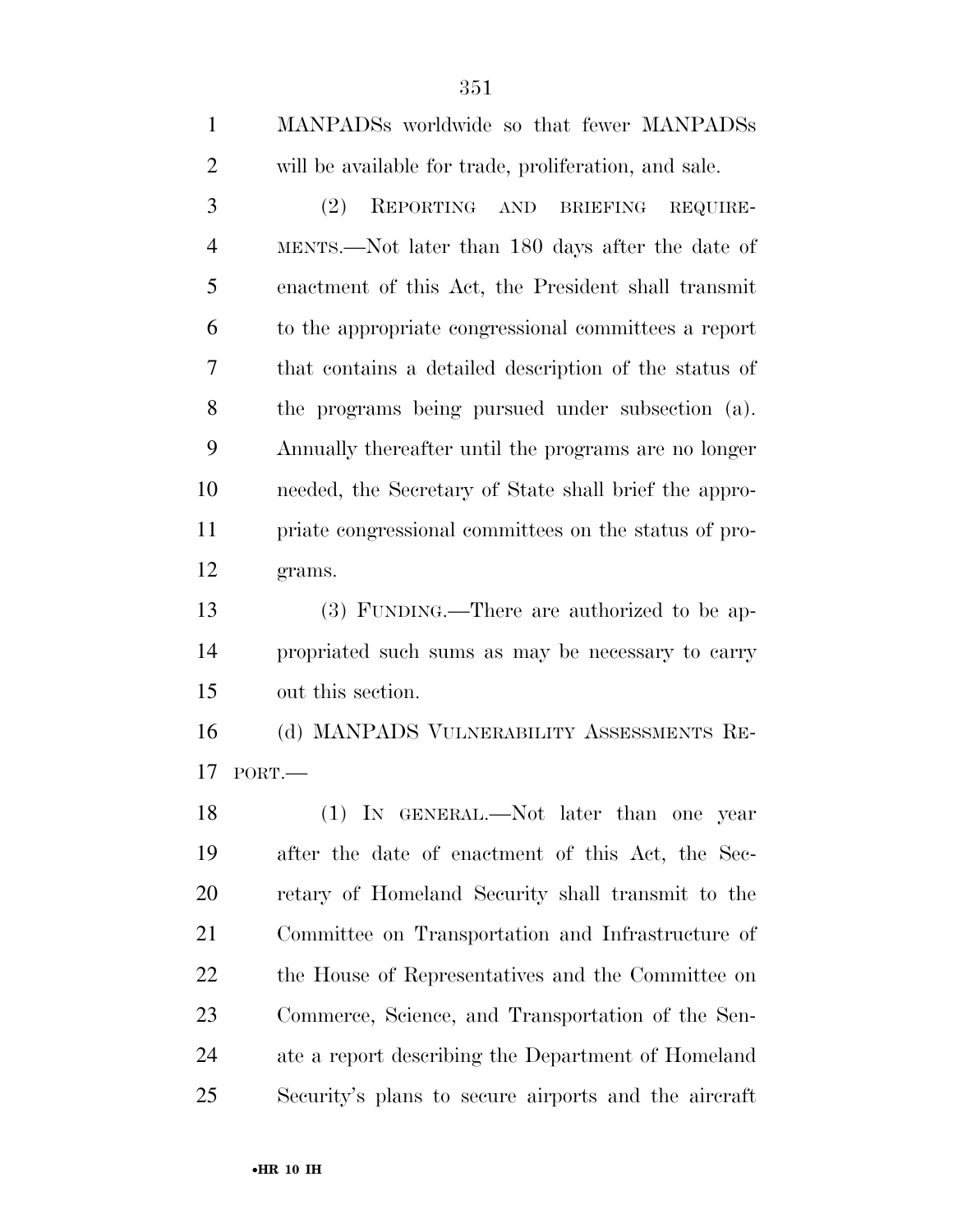| $\mathbf{1}$   | MANPADSs worldwide so that fewer MANPADSs                     |
|----------------|---------------------------------------------------------------|
| $\overline{2}$ | will be available for trade, proliferation, and sale.         |
| 3              | (2)<br>REPORTING AND<br>$\operatorname{BRIEFING}$<br>REQUIRE- |
| $\overline{4}$ | MENTS.—Not later than 180 days after the date of              |
| 5              | enactment of this Act, the President shall transmit           |
| 6              | to the appropriate congressional committees a report          |
| 7              | that contains a detailed description of the status of         |
| 8              | the programs being pursued under subsection (a).              |
| 9              | Annually thereafter until the programs are no longer          |
| 10             | needed, the Secretary of State shall brief the appro-         |
| 11             | priate congressional committees on the status of pro-         |
| 12             | grams.                                                        |
| 13             | (3) FUNDING.—There are authorized to be ap-                   |
| 14             | propriated such sums as may be necessary to carry             |
| 15             | out this section.                                             |
| 16             | (d) MANPADS VULNERABILITY ASSESSMENTS RE-                     |
| 17             | PORT.                                                         |
| 18             | (1) IN GENERAL.—Not later than one year                       |
| 19             | after the date of enactment of this Act, the Sec-             |
| 20             | retary of Homeland Security shall transmit to the             |
| 21             | Committee on Transportation and Infrastructure of             |
| 22             | the House of Representatives and the Committee on             |
| 23             | Commerce, Science, and Transportation of the Sen-             |
| 24             | ate a report describing the Department of Homeland            |
| 25             | Security's plans to secure airports and the aircraft          |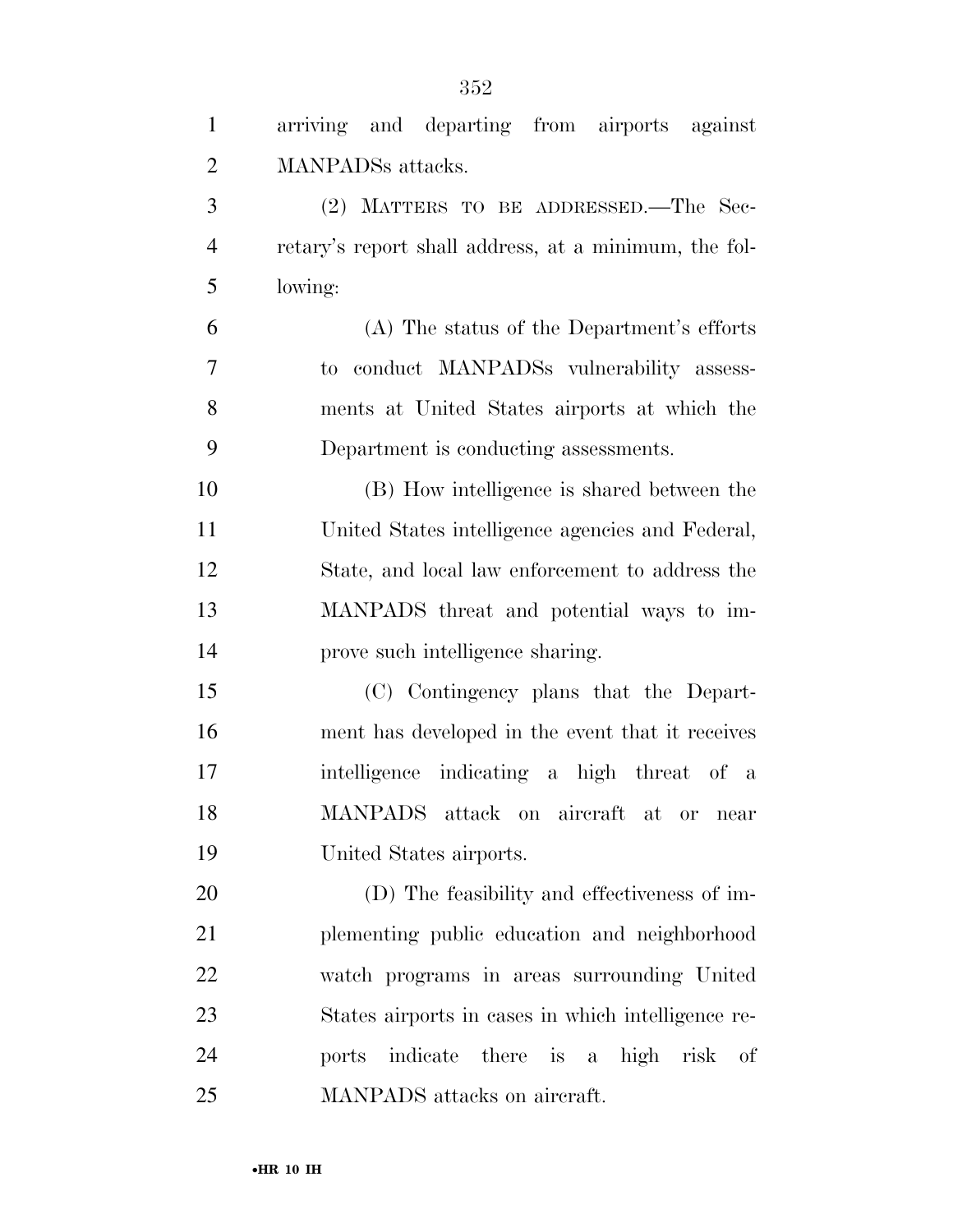| $\mathbf{1}$   | arriving and departing from airports against          |
|----------------|-------------------------------------------------------|
| $\overline{2}$ | <b>MANPADS</b> attacks.                               |
| 3              | (2) MATTERS TO BE ADDRESSED.—The Sec-                 |
| $\overline{4}$ | retary's report shall address, at a minimum, the fol- |
| 5              | lowing:                                               |
| 6              | (A) The status of the Department's efforts            |
| 7              | to conduct MANPADSs vulnerability assess-             |
| 8              | ments at United States airports at which the          |
| 9              | Department is conducting assessments.                 |
| 10             | (B) How intelligence is shared between the            |
| 11             | United States intelligence agencies and Federal,      |
| 12             | State, and local law enforcement to address the       |
| 13             | MANPADS threat and potential ways to im-              |
| 14             | prove such intelligence sharing.                      |
| 15             | (C) Contingency plans that the Depart-                |
| 16             | ment has developed in the event that it receives      |
| 17             | intelligence indicating a high threat of a            |
| 18             | MANPADS attack on aircraft at or<br>near              |
| 19             | United States airports.                               |
| 20             | (D) The feasibility and effectiveness of im-          |
| 21             | plementing public education and neighborhood          |
| 22             | watch programs in areas surrounding United            |
| 23             | States airports in cases in which intelligence re-    |
| 24             | ports indicate there is a high risk of                |
| 25             | MANPADS attacks on aircraft.                          |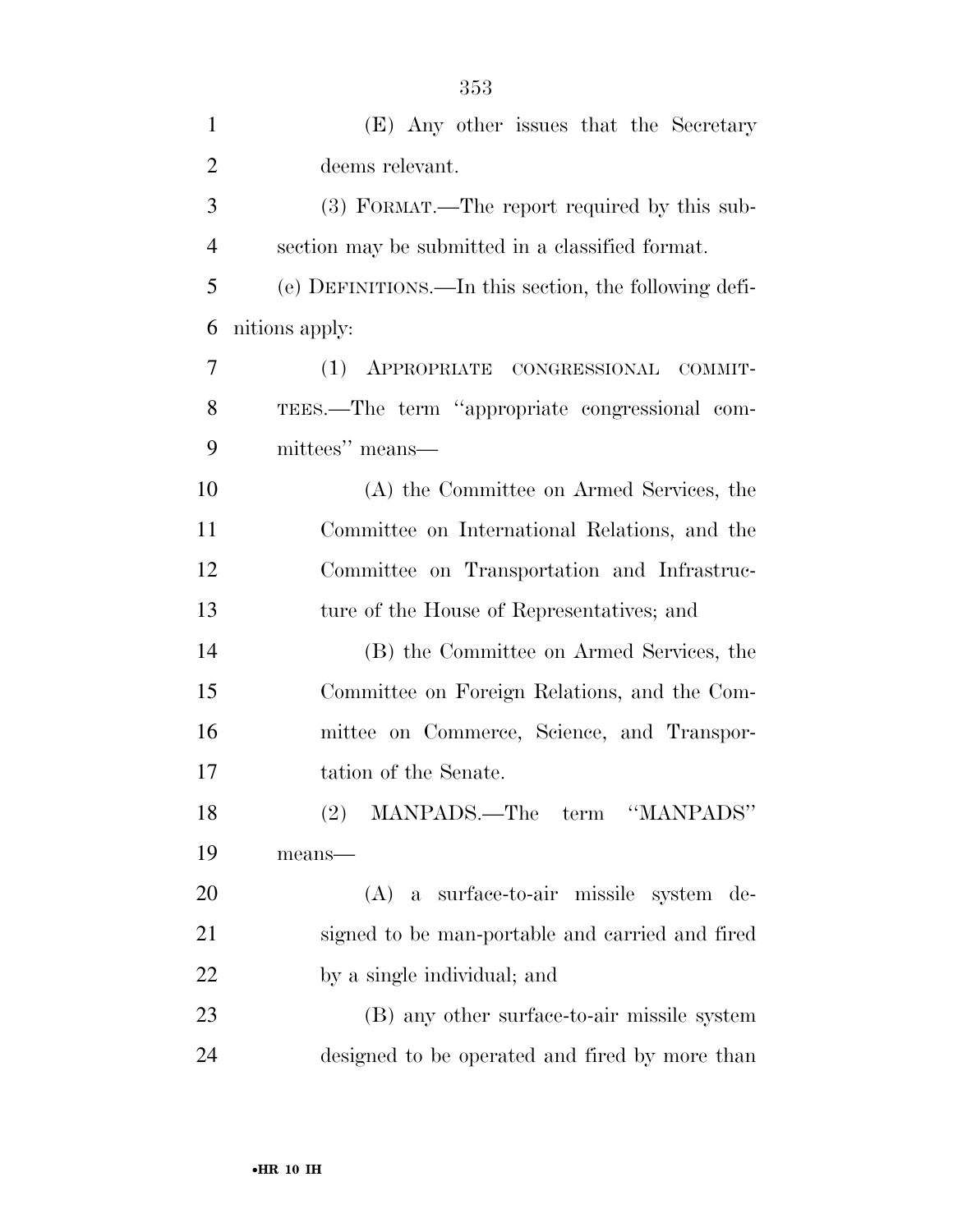| $\mathbf{1}$   | (E) Any other issues that the Secretary               |
|----------------|-------------------------------------------------------|
| $\overline{2}$ | deems relevant.                                       |
| 3              | (3) FORMAT.—The report required by this sub-          |
| $\overline{4}$ | section may be submitted in a classified format.      |
| 5              | (e) DEFINITIONS.—In this section, the following defi- |
| 6              | nitions apply:                                        |
| 7              | APPROPRIATE CONGRESSIONAL COMMIT-<br>(1)              |
| 8              | TEES.—The term "appropriate congressional com-        |
| 9              | mittees" means—                                       |
| 10             | (A) the Committee on Armed Services, the              |
| 11             | Committee on International Relations, and the         |
| 12             | Committee on Transportation and Infrastruc-           |
| 13             | ture of the House of Representatives; and             |
| 14             | (B) the Committee on Armed Services, the              |
| 15             | Committee on Foreign Relations, and the Com-          |
| 16             | mittee on Commerce, Science, and Transpor-            |
| 17             | tation of the Senate.                                 |
| 18             | (2) MANPADS.—The term "MANPADS"                       |
| 19             | means-                                                |
| 20             | (A) a surface-to-air missile system de-               |
| 21             | signed to be man-portable and carried and fired       |
| 22             | by a single individual; and                           |
| 23             | (B) any other surface-to-air missile system           |
| 24             | designed to be operated and fired by more than        |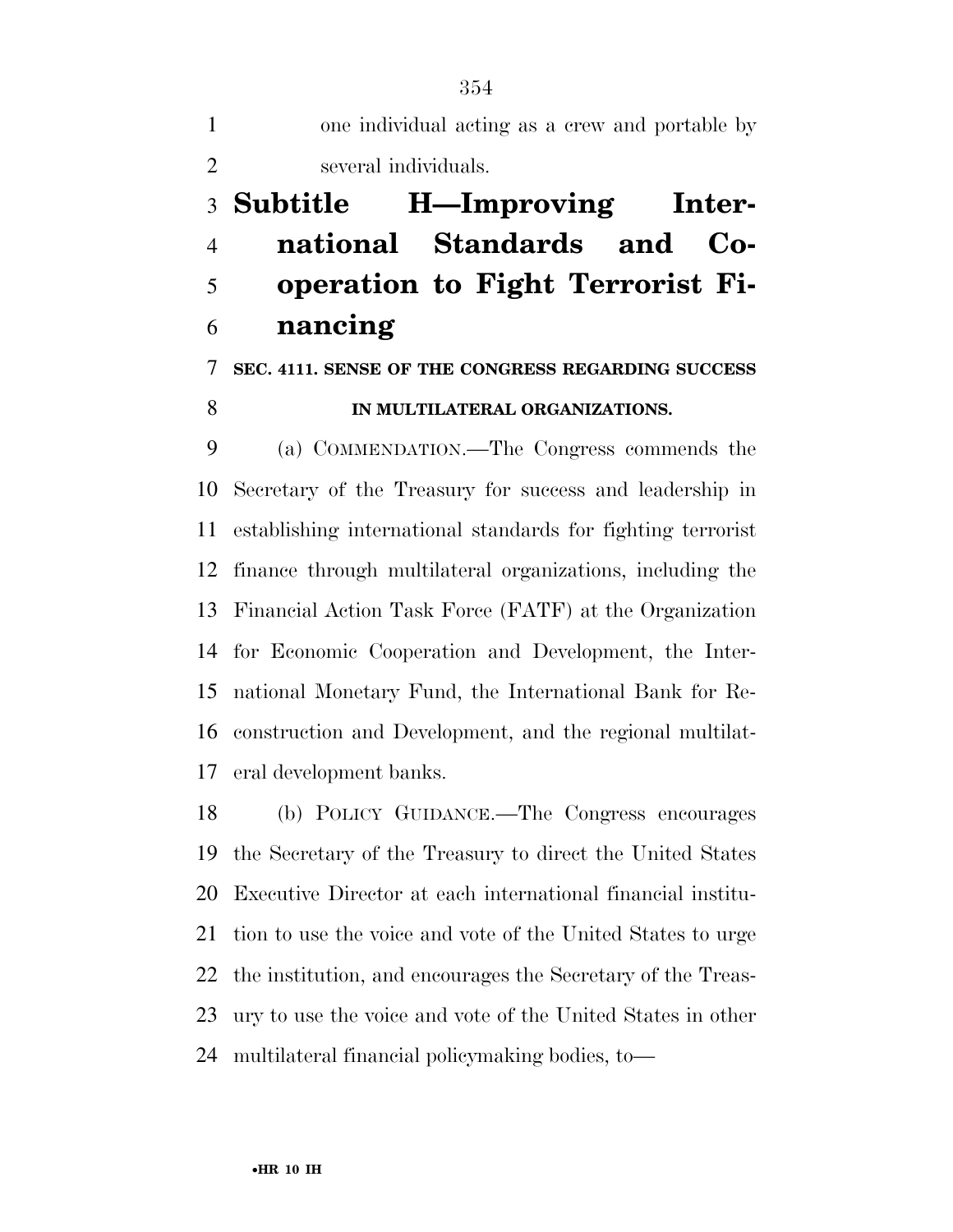one individual acting as a crew and portable by several individuals.

## **Subtitle H—Improving Inter- national Standards and Co- operation to Fight Terrorist Fi-nancing**

#### **SEC. 4111. SENSE OF THE CONGRESS REGARDING SUCCESS**

#### **IN MULTILATERAL ORGANIZATIONS.**

 (a) COMMENDATION.—The Congress commends the Secretary of the Treasury for success and leadership in establishing international standards for fighting terrorist finance through multilateral organizations, including the Financial Action Task Force (FATF) at the Organization for Economic Cooperation and Development, the Inter- national Monetary Fund, the International Bank for Re- construction and Development, and the regional multilat-eral development banks.

 (b) POLICY GUIDANCE.—The Congress encourages the Secretary of the Treasury to direct the United States Executive Director at each international financial institu- tion to use the voice and vote of the United States to urge the institution, and encourages the Secretary of the Treas- ury to use the voice and vote of the United States in other multilateral financial policymaking bodies, to—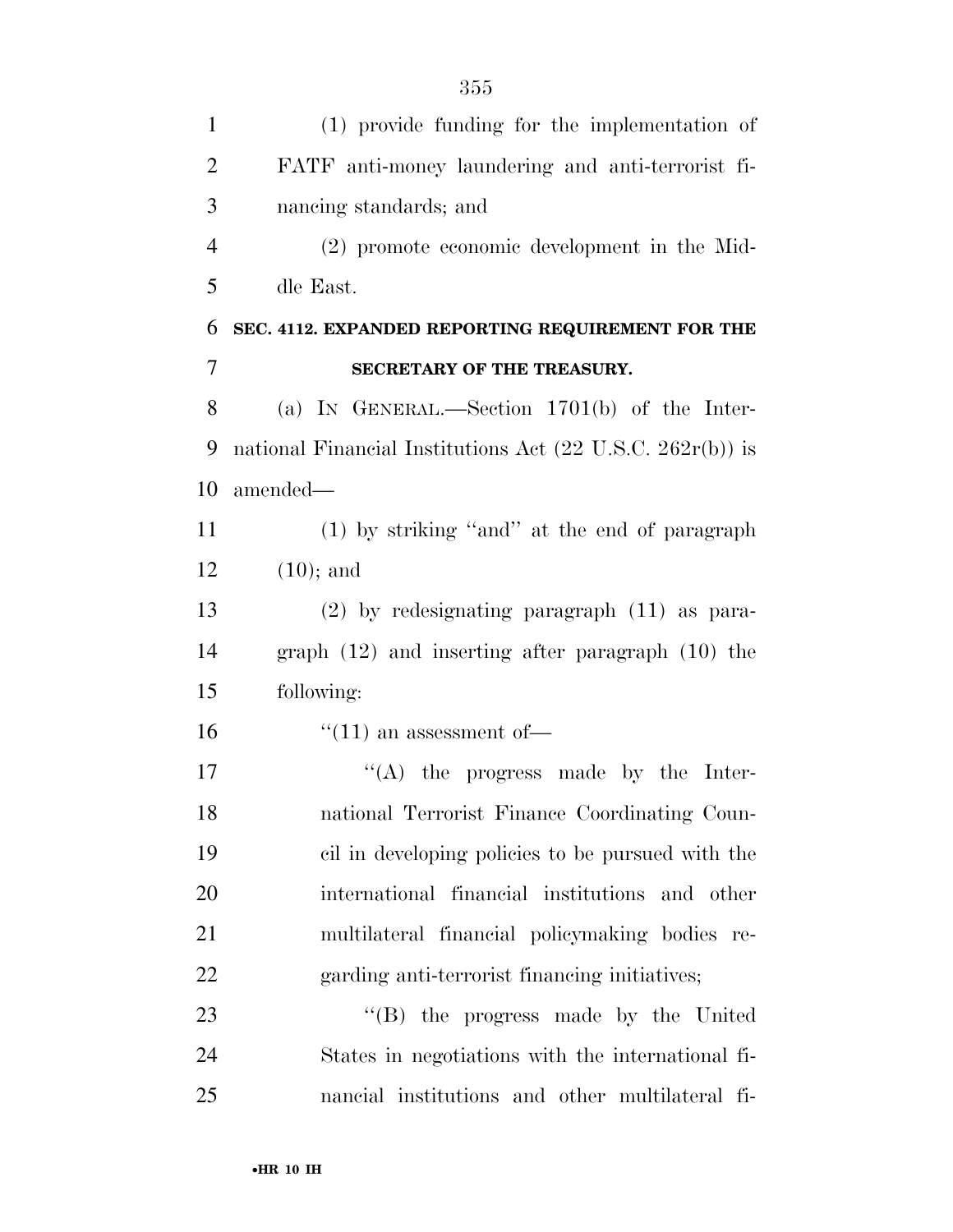| $(1)$ provide funding for the implementation of                       |
|-----------------------------------------------------------------------|
| FATF anti-money laundering and anti-terrorist fi-                     |
| nancing standards; and                                                |
| (2) promote economic development in the Mid-                          |
| dle East.                                                             |
| SEC. 4112. EXPANDED REPORTING REQUIREMENT FOR THE                     |
| SECRETARY OF THE TREASURY.                                            |
| (a) IN GENERAL.—Section $1701(b)$ of the Inter-                       |
| national Financial Institutions Act $(22 \text{ U.S.C. } 262r(b))$ is |
| amended—                                                              |
| (1) by striking "and" at the end of paragraph                         |
| $(10);$ and                                                           |
| $(2)$ by redesignating paragraph $(11)$ as para-                      |
| graph $(12)$ and inserting after paragraph $(10)$ the                 |
| following:                                                            |
| $\lq(11)$ an assessment of —                                          |
| $\lq\lq$ the progress made by the Inter-                              |
| national Terrorist Finance Coordinating Coun-                         |
| cil in developing policies to be pursued with the                     |
| international financial institutions and other                        |
| multilateral financial policymaking bodies re-                        |
| garding anti-terrorist financing initiatives;                         |
| "(B) the progress made by the United                                  |
| States in negotiations with the international fi-                     |
|                                                                       |

nancial institutions and other multilateral fi-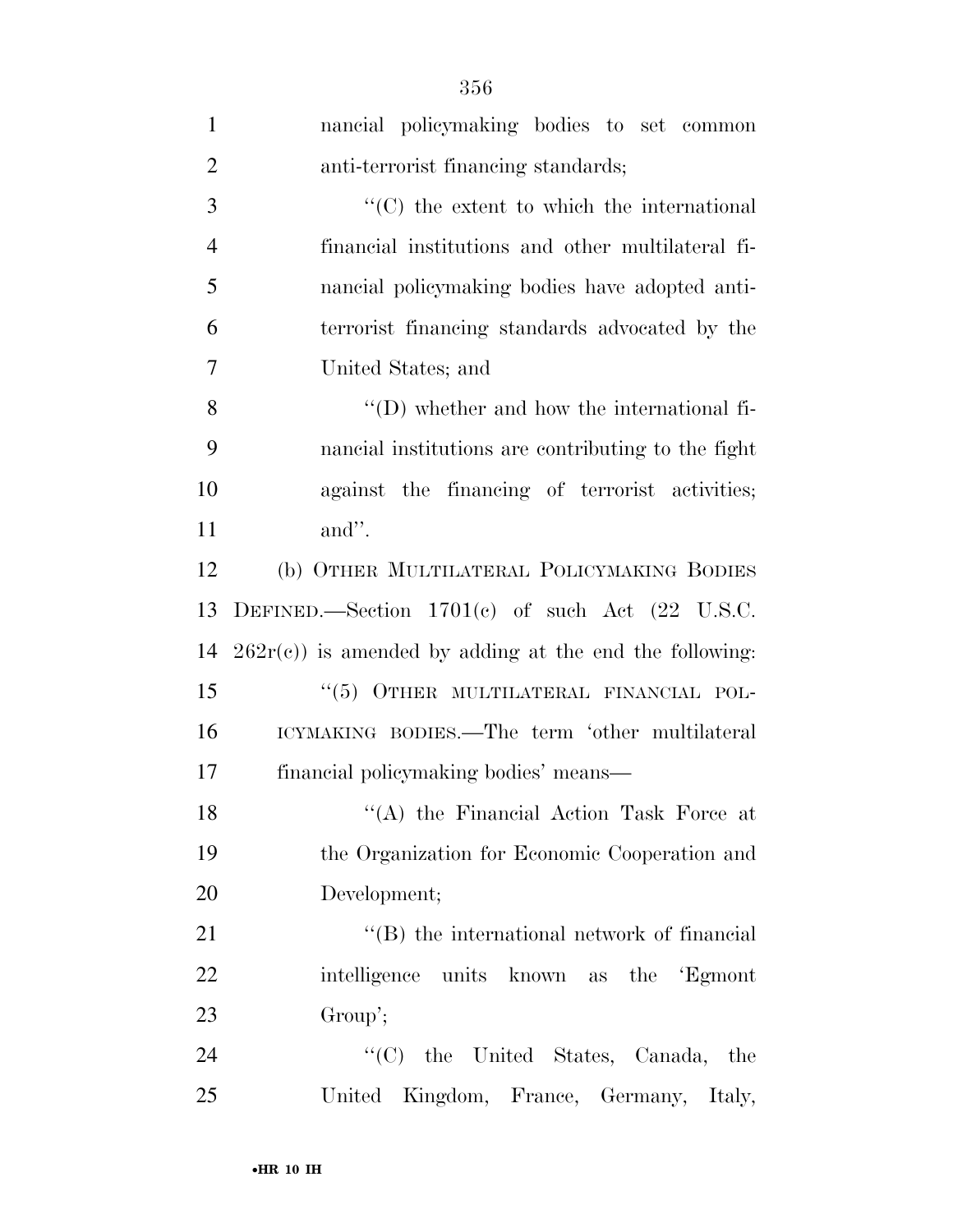| $\mathbf{1}$   | nancial policymaking bodies to set common                    |
|----------------|--------------------------------------------------------------|
| $\overline{2}$ | anti-terrorist financing standards;                          |
| 3              | $\cdot$ (C) the extent to which the international            |
| $\overline{4}$ | financial institutions and other multilateral fi-            |
| 5              | nancial policymaking bodies have adopted anti-               |
| 6              | terrorist financing standards advocated by the               |
| $\overline{7}$ | United States; and                                           |
| 8              | $\lq\lq$ (D) whether and how the international fi-           |
| 9              | nancial institutions are contributing to the fight           |
| 10             | against the financing of terrorist activities;               |
| 11             | and".                                                        |
| 12             | (b) OTHER MULTILATERAL POLICYMAKING BODIES                   |
| 13             | DEFINED.—Section $1701(e)$ of such Act $(22 \text{ U.S.C.})$ |
| 14             | $262r(c)$ ) is amended by adding at the end the following:   |
| 15             | "(5) OTHER MULTILATERAL FINANCIAL POL-                       |
| 16             | ICYMAKING BODIES.—The term 'other multilateral               |
| 17             | financial policymaking bodies' means-                        |
| 18             | "(A) the Financial Action Task Force at                      |
| 19             | the Organization for Economic Cooperation and                |
| 20             | Development;                                                 |
| 21             | $\lq\lq$ the international network of financial              |
| 22             | intelligence units known as the Egmont                       |
| 23             | Group';                                                      |
| 24             | "(C) the United States, Canada, the                          |
| 25             | United Kingdom, France, Germany, Italy,                      |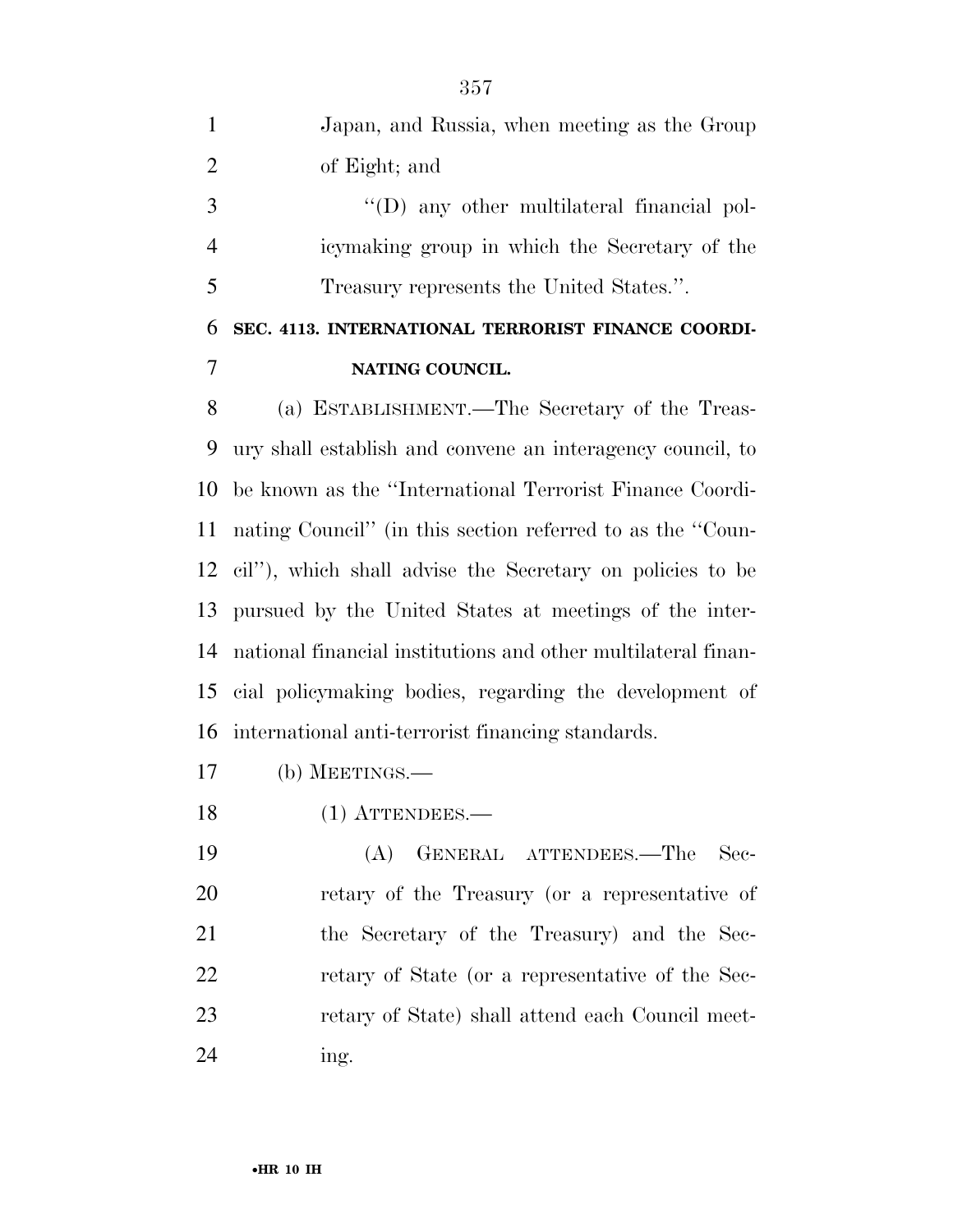Japan, and Russia, when meeting as the Group of Eight; and  $\qquad$  "(D) any other multilateral financial pol-icymaking group in which the Secretary of the

Treasury represents the United States.''.

## **SEC. 4113. INTERNATIONAL TERRORIST FINANCE COORDI-NATING COUNCIL.**

 (a) ESTABLISHMENT.—The Secretary of the Treas- ury shall establish and convene an interagency council, to be known as the ''International Terrorist Finance Coordi- nating Council'' (in this section referred to as the ''Coun- cil''), which shall advise the Secretary on policies to be pursued by the United States at meetings of the inter- national financial institutions and other multilateral finan- cial policymaking bodies, regarding the development of international anti-terrorist financing standards.

- (b) MEETINGS.—
- 18 (1) ATTENDEES.—

 (A) GENERAL ATTENDEES.—The Sec- retary of the Treasury (or a representative of the Secretary of the Treasury) and the Sec- retary of State (or a representative of the Sec- retary of State) shall attend each Council meet-ing.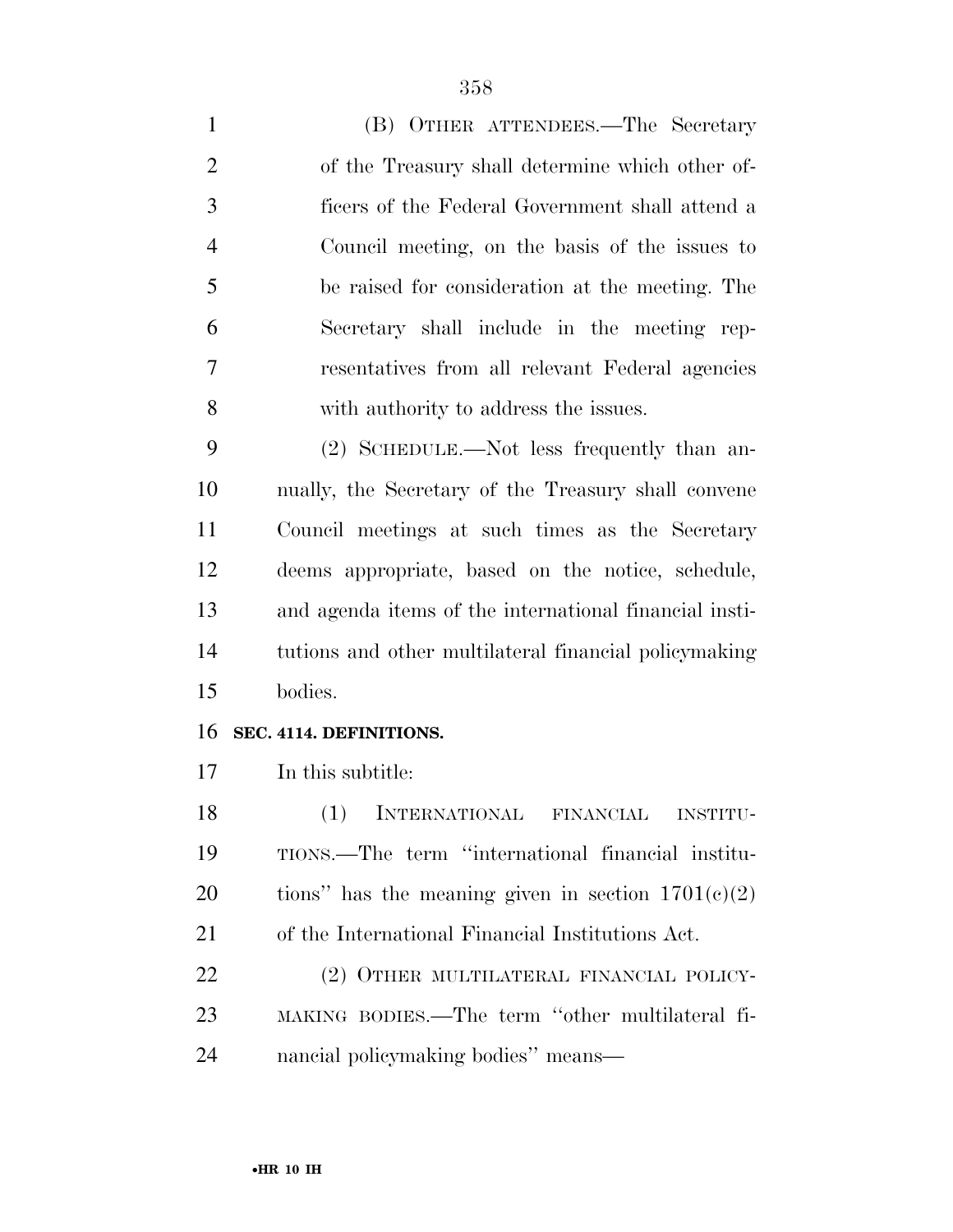(B) OTHER ATTENDEES.—The Secretary of the Treasury shall determine which other of- ficers of the Federal Government shall attend a Council meeting, on the basis of the issues to be raised for consideration at the meeting. The Secretary shall include in the meeting rep- resentatives from all relevant Federal agencies with authority to address the issues.

 (2) SCHEDULE.—Not less frequently than an- nually, the Secretary of the Treasury shall convene Council meetings at such times as the Secretary deems appropriate, based on the notice, schedule, and agenda items of the international financial insti- tutions and other multilateral financial policymaking bodies.

#### **SEC. 4114. DEFINITIONS.**

In this subtitle:

 (1) INTERNATIONAL FINANCIAL INSTITU- TIONS.—The term ''international financial institu-20 tions" has the meaning given in section  $1701(c)(2)$ of the International Financial Institutions Act.

22 (2) OTHER MULTILATERAL FINANCIAL POLICY- MAKING BODIES.—The term ''other multilateral fi-nancial policymaking bodies'' means—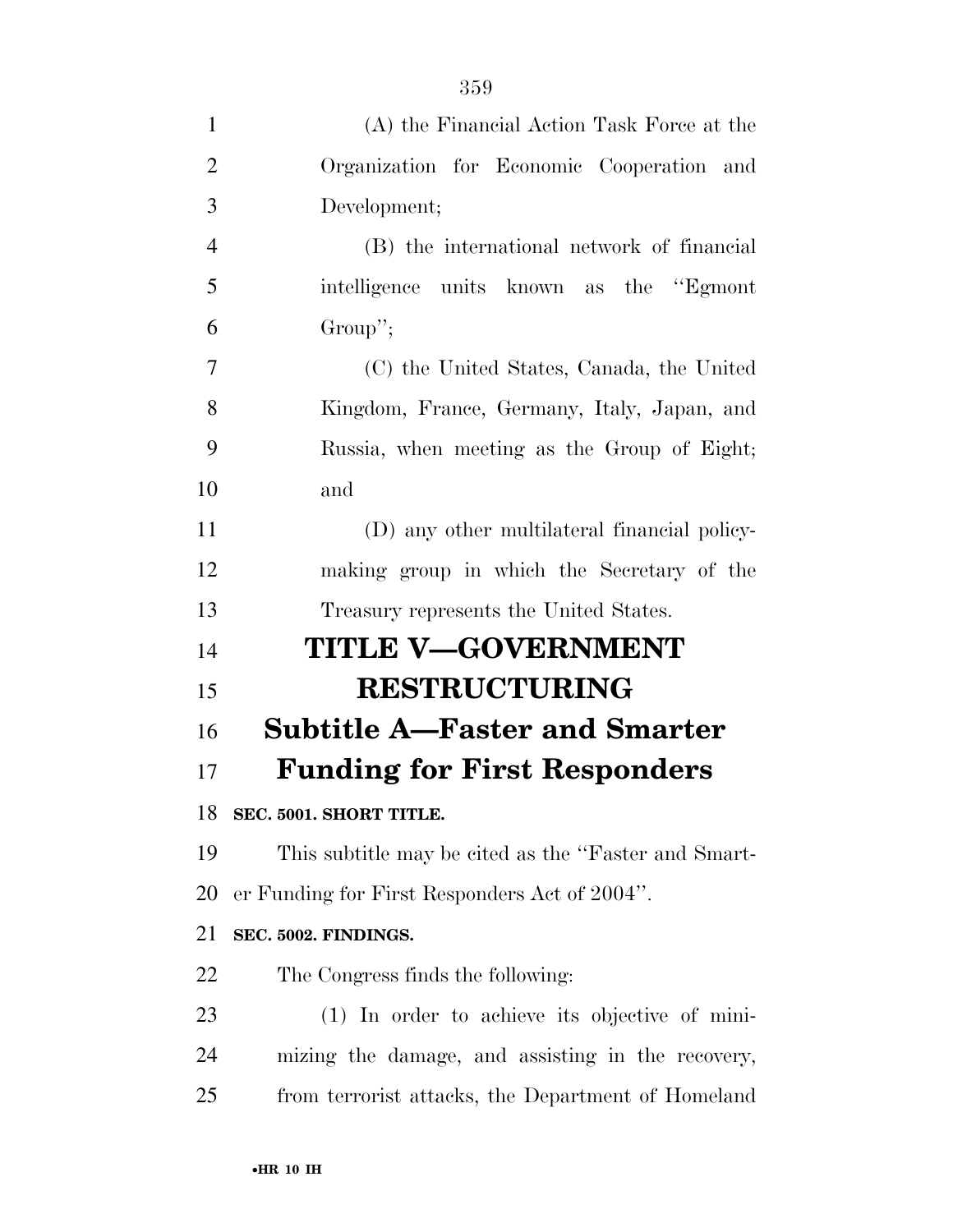| $\mathbf{1}$   | (A) the Financial Action Task Force at the           |
|----------------|------------------------------------------------------|
| $\overline{2}$ | Organization for Economic Cooperation and            |
| 3              | Development;                                         |
| $\overline{4}$ | (B) the international network of financial           |
| 5              | intelligence units known as the "Egmont"             |
| 6              | Group";                                              |
| 7              | (C) the United States, Canada, the United            |
| 8              | Kingdom, France, Germany, Italy, Japan, and          |
| 9              | Russia, when meeting as the Group of Eight;          |
| 10             | and                                                  |
| 11             | (D) any other multilateral financial policy-         |
| 12             | making group in which the Secretary of the           |
| 13             | Treasury represents the United States.               |
| 14             | <b>TITLE V-GOVERNMENT</b>                            |
| 15             | <b>RESTRUCTURING</b>                                 |
| 16             | <b>Subtitle A–Faster and Smarter</b>                 |
| 17             | <b>Funding for First Responders</b>                  |
| 18             | SEC. 5001. SHORT TITLE.                              |
| 19             | This subtitle may be cited as the "Faster and Smart- |
| 20             | er Funding for First Responders Act of 2004".        |
| 21             | SEC. 5002. FINDINGS.                                 |
| 22             | The Congress finds the following:                    |
| 23             | (1) In order to achieve its objective of mini-       |
| 24             | mizing the damage, and assisting in the recovery,    |
| 25             | from terrorist attacks, the Department of Homeland   |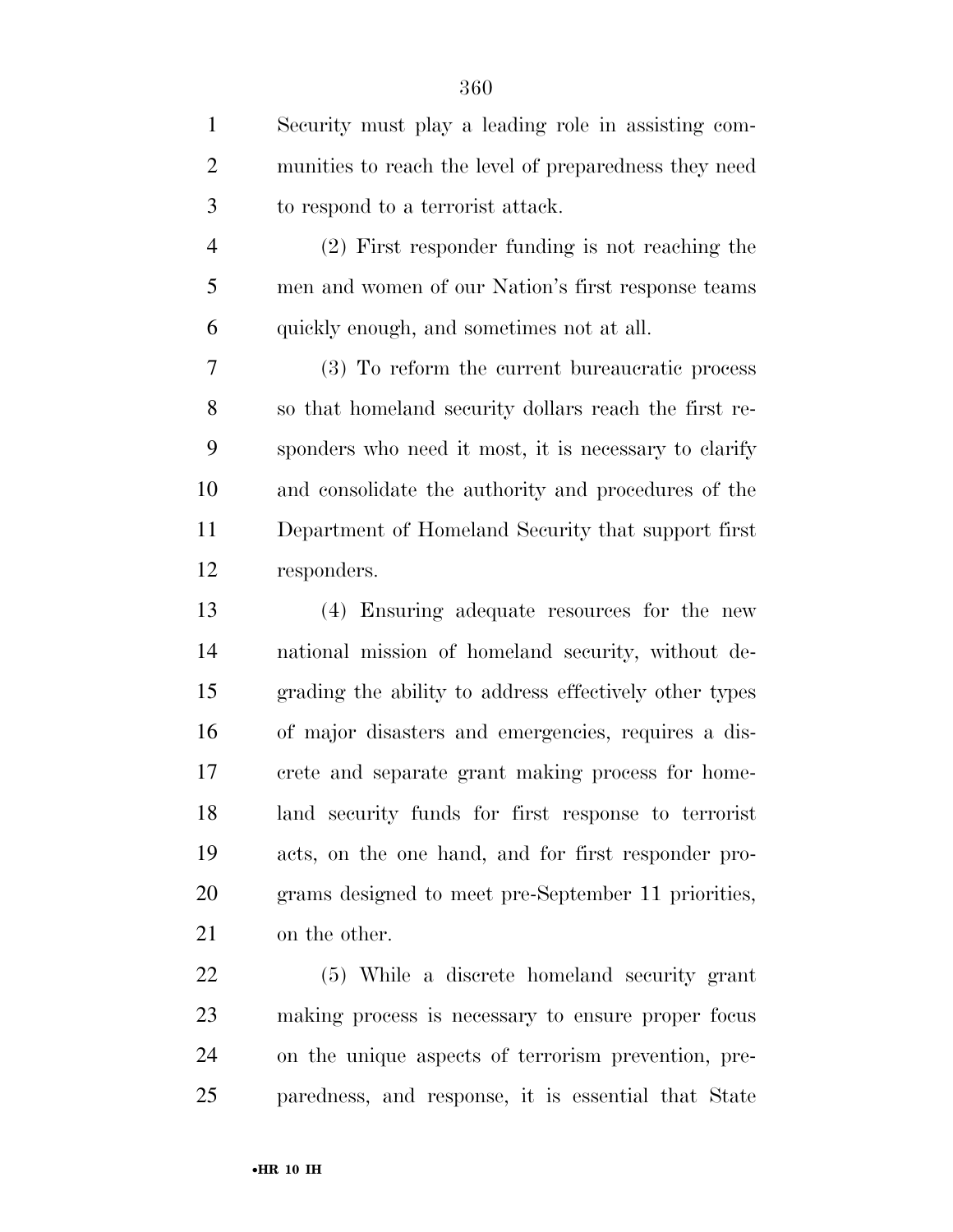| $\mathbf{1}$   | Security must play a leading role in assisting com-    |
|----------------|--------------------------------------------------------|
| $\overline{2}$ | munities to reach the level of preparedness they need  |
| 3              | to respond to a terrorist attack.                      |
| $\overline{4}$ | (2) First responder funding is not reaching the        |
| 5              | men and women of our Nation's first response teams     |
| 6              | quickly enough, and sometimes not at all.              |
| 7              | (3) To reform the current bureaucratic process         |
| 8              | so that homeland security dollars reach the first re-  |
| 9              | sponders who need it most, it is necessary to clarify  |
| 10             | and consolidate the authority and procedures of the    |
| 11             | Department of Homeland Security that support first     |
| 12             | responders.                                            |
| 13             | (4) Ensuring adequate resources for the new            |
| 14             | national mission of homeland security, without de-     |
| 15             | grading the ability to address effectively other types |
| 16             | of major disasters and emergencies, requires a dis-    |
| 17             | crete and separate grant making process for home-      |
| 18             | land security funds for first response to terrorist    |
| 19             | acts, on the one hand, and for first responder pro-    |
| 20             | grams designed to meet pre-September 11 priorities,    |
| 21             | on the other.                                          |
| 22             | (5) While a discrete homeland security grant           |
| 23             | making process is necessary to ensure proper focus     |

 on the unique aspects of terrorism prevention, pre-paredness, and response, it is essential that State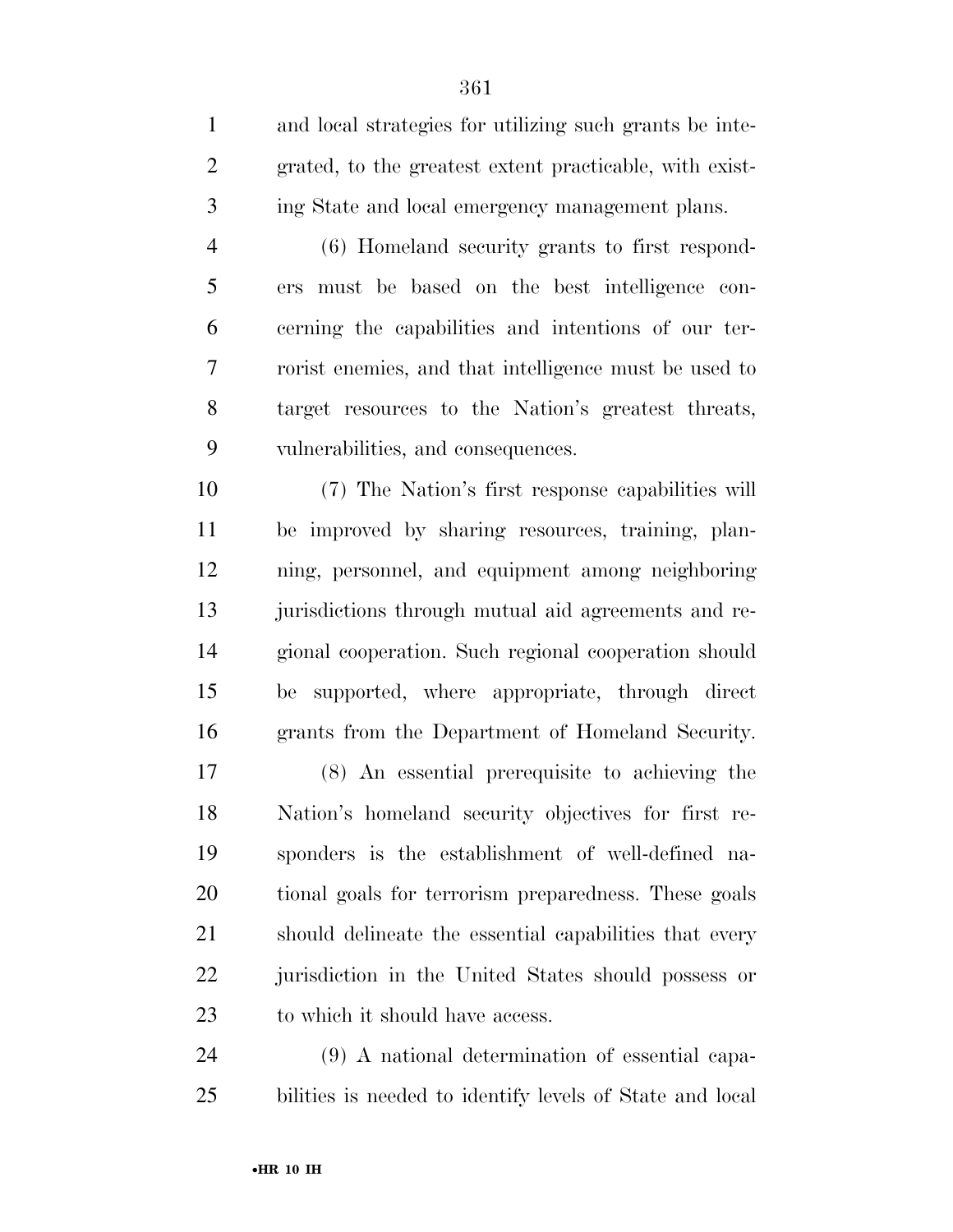and local strategies for utilizing such grants be inte- grated, to the greatest extent practicable, with exist-ing State and local emergency management plans.

 (6) Homeland security grants to first respond- ers must be based on the best intelligence con- cerning the capabilities and intentions of our ter- rorist enemies, and that intelligence must be used to target resources to the Nation's greatest threats, vulnerabilities, and consequences.

 (7) The Nation's first response capabilities will be improved by sharing resources, training, plan- ning, personnel, and equipment among neighboring jurisdictions through mutual aid agreements and re- gional cooperation. Such regional cooperation should be supported, where appropriate, through direct grants from the Department of Homeland Security.

 (8) An essential prerequisite to achieving the Nation's homeland security objectives for first re- sponders is the establishment of well-defined na- tional goals for terrorism preparedness. These goals should delineate the essential capabilities that every jurisdiction in the United States should possess or to which it should have access.

 (9) A national determination of essential capa-bilities is needed to identify levels of State and local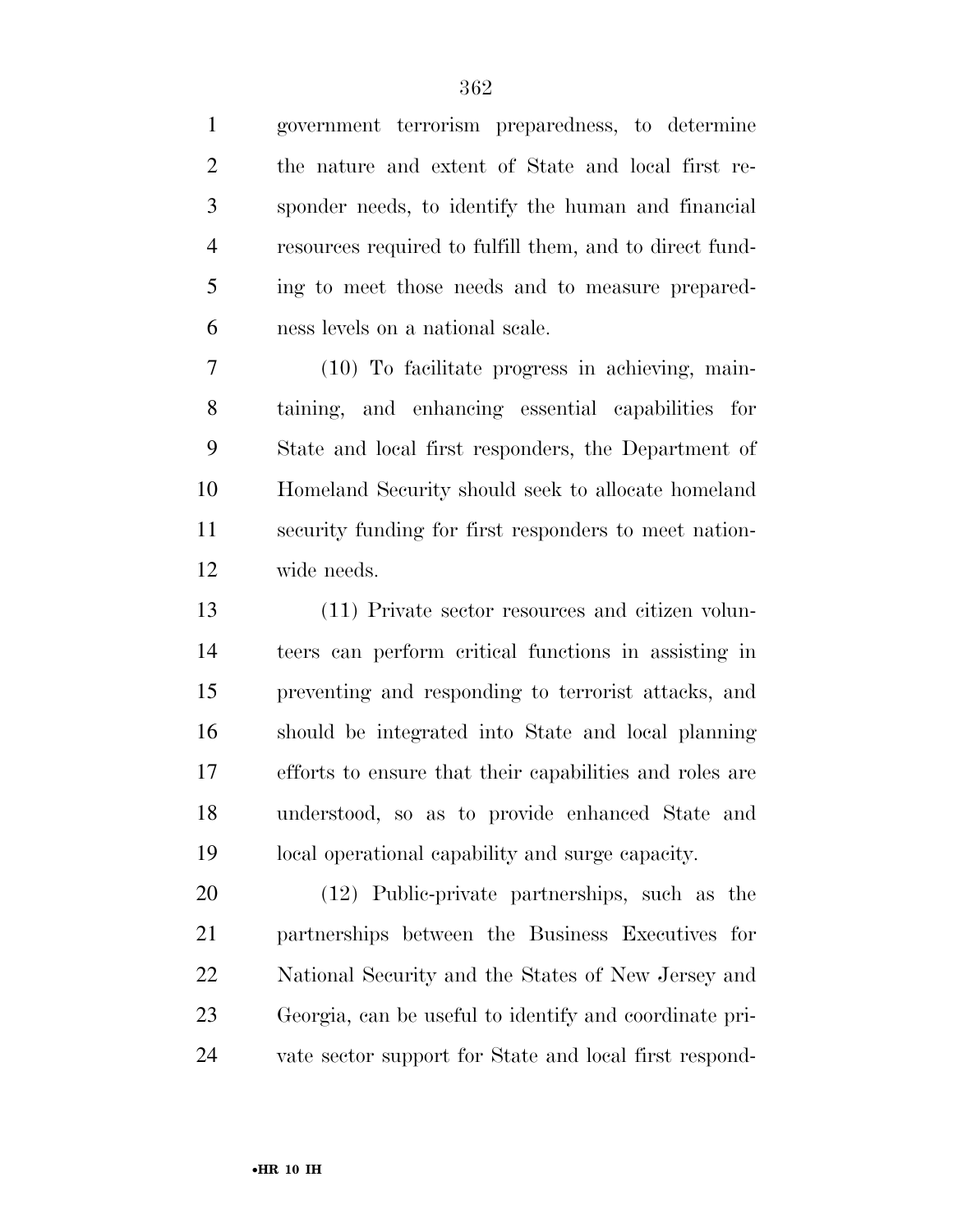government terrorism preparedness, to determine the nature and extent of State and local first re- sponder needs, to identify the human and financial resources required to fulfill them, and to direct fund- ing to meet those needs and to measure prepared-ness levels on a national scale.

 (10) To facilitate progress in achieving, main- taining, and enhancing essential capabilities for State and local first responders, the Department of Homeland Security should seek to allocate homeland security funding for first responders to meet nation-wide needs.

 (11) Private sector resources and citizen volun- teers can perform critical functions in assisting in preventing and responding to terrorist attacks, and should be integrated into State and local planning efforts to ensure that their capabilities and roles are understood, so as to provide enhanced State and local operational capability and surge capacity.

 (12) Public-private partnerships, such as the partnerships between the Business Executives for National Security and the States of New Jersey and Georgia, can be useful to identify and coordinate pri-vate sector support for State and local first respond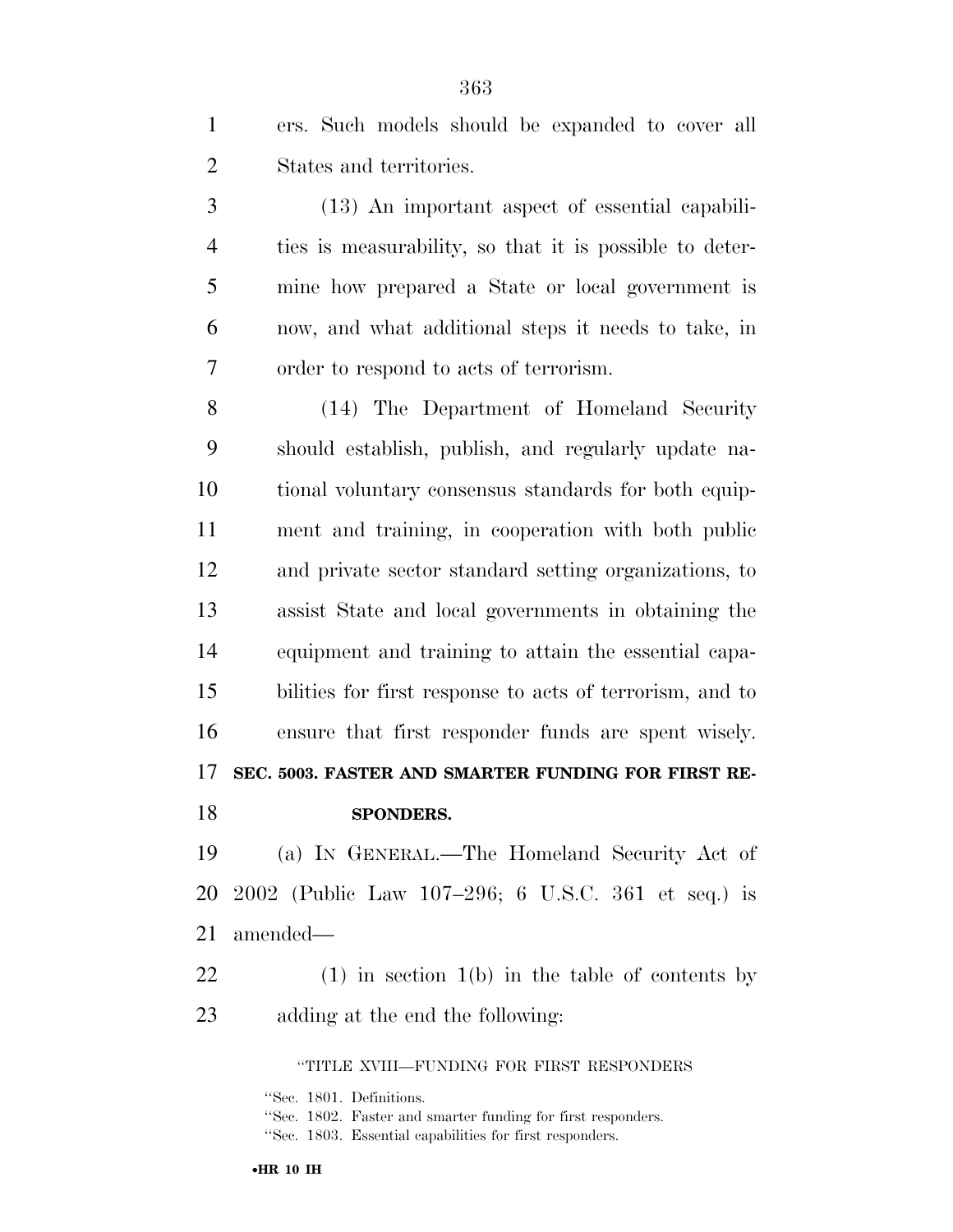ers. Such models should be expanded to cover all States and territories.

 (13) An important aspect of essential capabili- ties is measurability, so that it is possible to deter- mine how prepared a State or local government is now, and what additional steps it needs to take, in order to respond to acts of terrorism.

 (14) The Department of Homeland Security should establish, publish, and regularly update na- tional voluntary consensus standards for both equip- ment and training, in cooperation with both public and private sector standard setting organizations, to assist State and local governments in obtaining the equipment and training to attain the essential capa- bilities for first response to acts of terrorism, and to ensure that first responder funds are spent wisely. **SEC. 5003. FASTER AND SMARTER FUNDING FOR FIRST RE-SPONDERS.** 

 (a) IN GENERAL.—The Homeland Security Act of 2002 (Public Law 107–296; 6 U.S.C. 361 et seq.) is amended—

 (1) in section 1(b) in the table of contents by adding at the end the following:

''TITLE XVIII—FUNDING FOR FIRST RESPONDERS

''Sec. 1801. Definitions.

•**HR 10 IH** 

<sup>&#</sup>x27;'Sec. 1802. Faster and smarter funding for first responders.

<sup>&#</sup>x27;'Sec. 1803. Essential capabilities for first responders.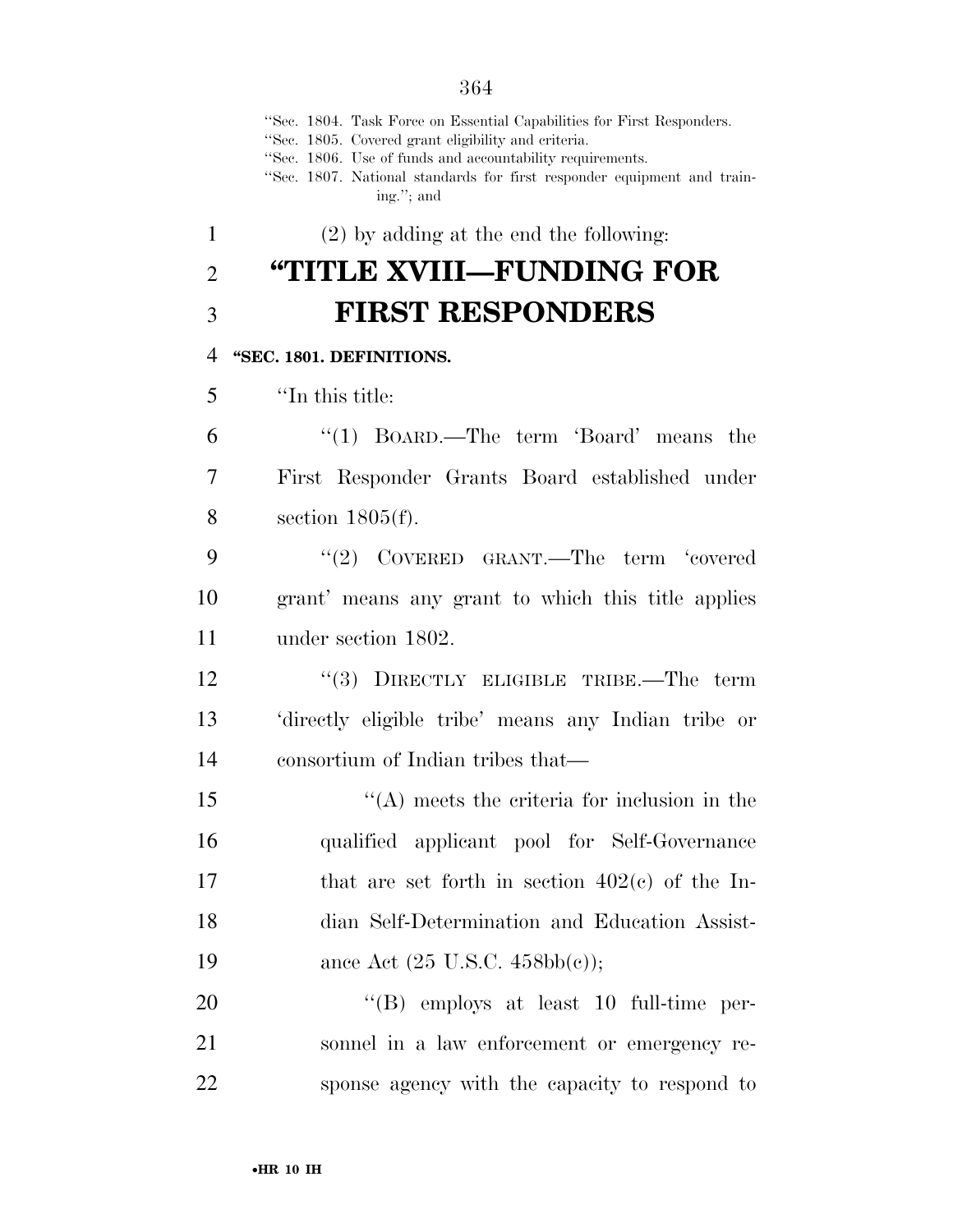''Sec. 1804. Task Force on Essential Capabilities for First Responders. ''Sec. 1805. Covered grant eligibility and criteria. ''Sec. 1806. Use of funds and accountability requirements. ''Sec. 1807. National standards for first responder equipment and training.''; and (2) by adding at the end the following: **''TITLE XVIII—FUNDING FOR FIRST RESPONDERS ''SEC. 1801. DEFINITIONS.**  ''In this title: ''(1) BOARD.—The term 'Board' means the First Responder Grants Board established under section 1805(f). 9 "(2) COVERED GRANT.—The term 'covered grant' means any grant to which this title applies under section 1802. 12 "(3) DIRECTLY ELIGIBLE TRIBE.—The term 'directly eligible tribe' means any Indian tribe or consortium of Indian tribes that— ''(A) meets the criteria for inclusion in the qualified applicant pool for Self-Governance that are set forth in section 402(c) of the In- dian Self-Determination and Education Assist-19 ance Act  $(25 \text{ U.S.C. } 458 \text{bb}(c))$ ;  $((B)$  employs at least 10 full-time per-sonnel in a law enforcement or emergency re-

sponse agency with the capacity to respond to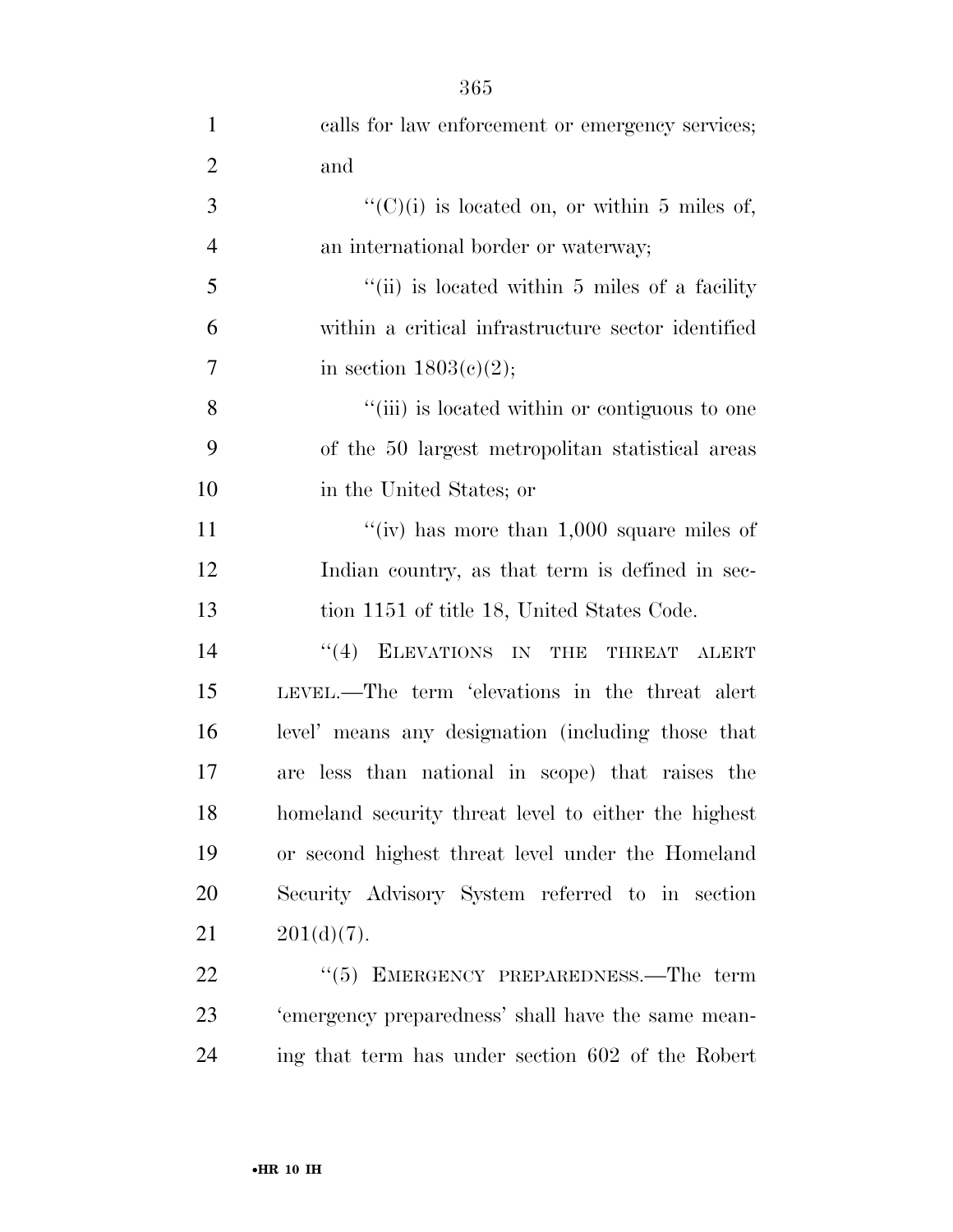| $\mathbf{1}$   | calls for law enforcement or emergency services;     |
|----------------|------------------------------------------------------|
| $\overline{2}$ | and                                                  |
| 3              | $``(C)(i)$ is located on, or within 5 miles of,      |
| $\overline{4}$ | an international border or waterway;                 |
| 5              | "(ii) is located within 5 miles of a facility        |
| 6              | within a critical infrastructure sector identified   |
| $\overline{7}$ | in section $1803(c)(2)$ ;                            |
| 8              | "(iii) is located within or contiguous to one        |
| 9              | of the 50 largest metropolitan statistical areas     |
| 10             | in the United States; or                             |
| 11             | "(iv) has more than $1,000$ square miles of          |
| 12             | Indian country, as that term is defined in sec-      |
| 13             | tion 1151 of title 18, United States Code.           |
| 14             | "(4) ELEVATIONS IN THE THREAT ALERT                  |
| 15             | LEVEL.—The term 'elevations in the threat alert      |
| 16             | level' means any designation (including those that   |
| 17             | are less than national in scope) that raises the     |
| 18             | homeland security threat level to either the highest |
| 19             | or second highest threat level under the Homeland    |
| 20             | Security Advisory System referred to in section      |
| 21             | $201(d)(7)$ .                                        |
| 22             | $\cdot\cdot$ (5) EMERGENCY PREPAREDNESS.—The term    |
| 23             | 'emergency preparedness' shall have the same mean-   |
| 24             | ing that term has under section 602 of the Robert    |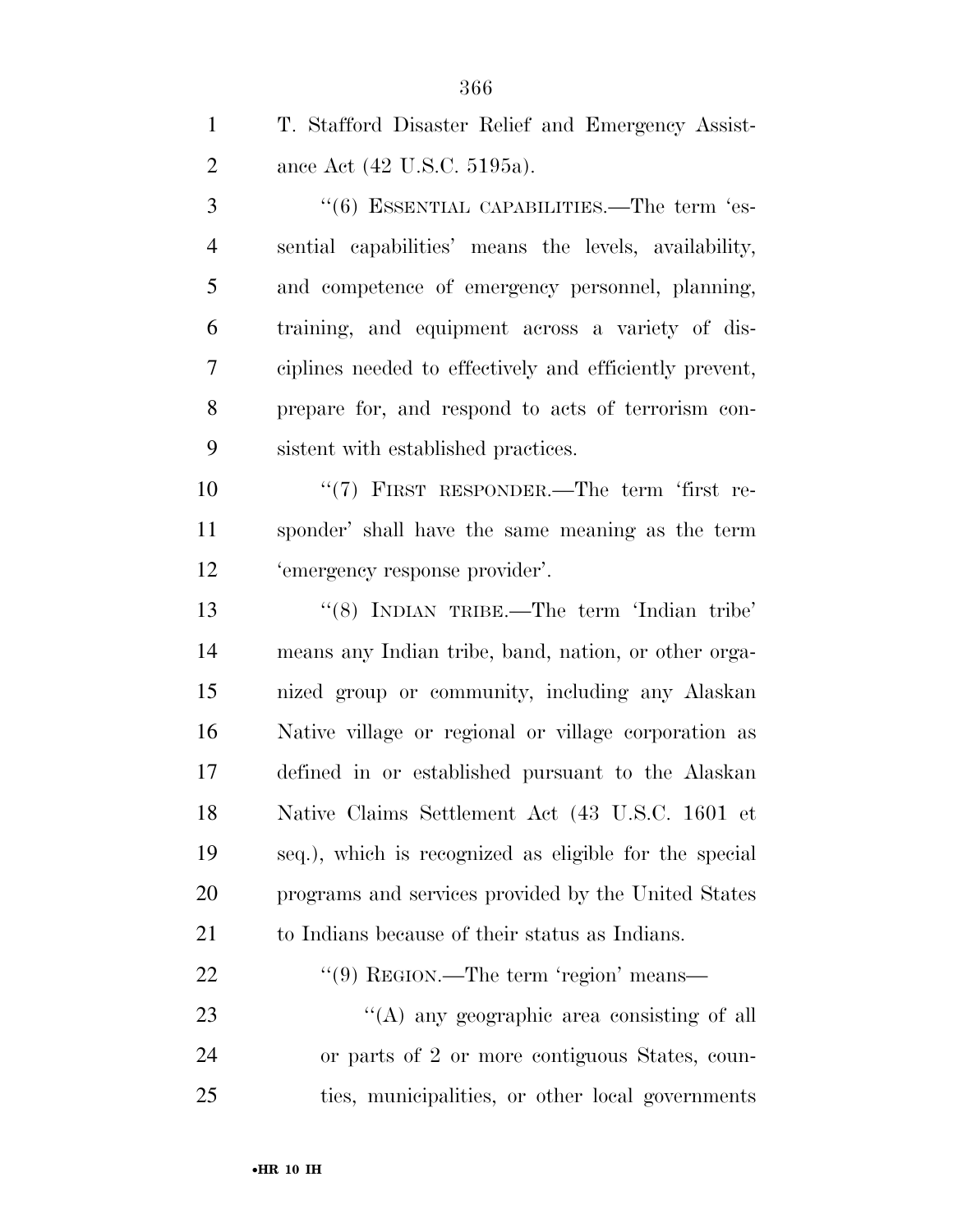| $\mathbf{1}$   | T. Stafford Disaster Relief and Emergency Assist-             |
|----------------|---------------------------------------------------------------|
| $\overline{2}$ | ance Act (42 U.S.C. 5195a).                                   |
| 3              | $\cdot\cdot$ (6) ESSENTIAL CAPABILITIES.—The term $\cdot$ es- |
| $\overline{4}$ | sential capabilities' means the levels, availability,         |
| 5              | and competence of emergency personnel, planning,              |
| 6              | training, and equipment across a variety of dis-              |
| 7              | ciplines needed to effectively and efficiently prevent,       |
| 8              | prepare for, and respond to acts of terrorism con-            |
| 9              | sistent with established practices.                           |
| 10             | " $(7)$ FIRST RESPONDER.—The term 'first re-                  |
| 11             | sponder' shall have the same meaning as the term              |
| 12             | 'emergency response provider'.                                |
| 13             | "(8) INDIAN TRIBE.—The term 'Indian tribe'                    |
| 14             | means any Indian tribe, band, nation, or other orga-          |
| 15             | nized group or community, including any Alaskan               |
| 16             | Native village or regional or village corporation as          |
| 17             | defined in or established pursuant to the Alaskan             |
| 18             | Native Claims Settlement Act (43 U.S.C. 1601 et               |
| 19             | seq.), which is recognized as eligible for the special        |
| 20             | programs and services provided by the United States           |
| 21             | to Indians because of their status as Indians.                |
| 22             | $\lq(9)$ REGION.—The term 'region' means—                     |
| 23             | "(A) any geographic area consisting of all                    |
| 24             | or parts of 2 or more contiguous States, coun-                |
| 25             | ties, municipalities, or other local governments              |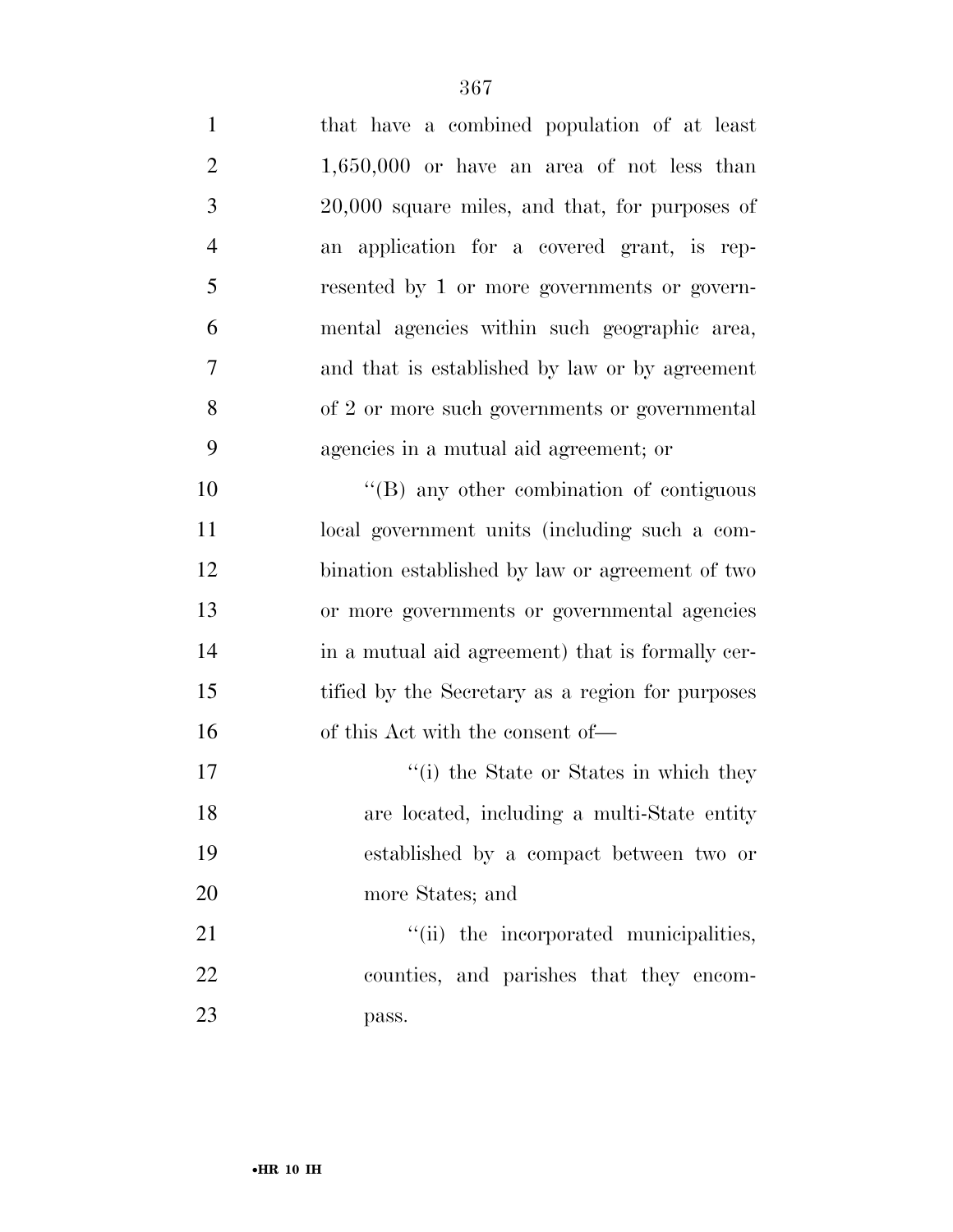| $\mathbf{1}$   | that have a combined population of at least      |
|----------------|--------------------------------------------------|
| $\overline{2}$ | $1,650,000$ or have an area of not less than     |
| 3              | $20,000$ square miles, and that, for purposes of |
| $\overline{4}$ | an application for a covered grant, is rep-      |
| 5              | resented by 1 or more governments or govern-     |
| 6              | mental agencies within such geographic area,     |
| 7              | and that is established by law or by agreement   |
| 8              | of 2 or more such governments or governmental    |
| 9              | agencies in a mutual aid agreement; or           |
| 10             | $\lq\lq (B)$ any other combination of contiguous |
| 11             | local government units (including such a com-    |
| 12             | bination established by law or agreement of two  |
| 13             | or more governments or governmental agencies     |
| 14             | in a mutual aid agreement) that is formally cer- |
| 15             | tified by the Secretary as a region for purposes |
| 16             | of this Act with the consent of—                 |
| 17             | "(i) the State or States in which they           |
| 18             | are located, including a multi-State entity      |
| 19             | established by a compact between two or          |
| 20             | more States; and                                 |
| 21             | "(ii) the incorporated municipalities,           |
| 22             | counties, and parishes that they encom-          |
| 23             | pass.                                            |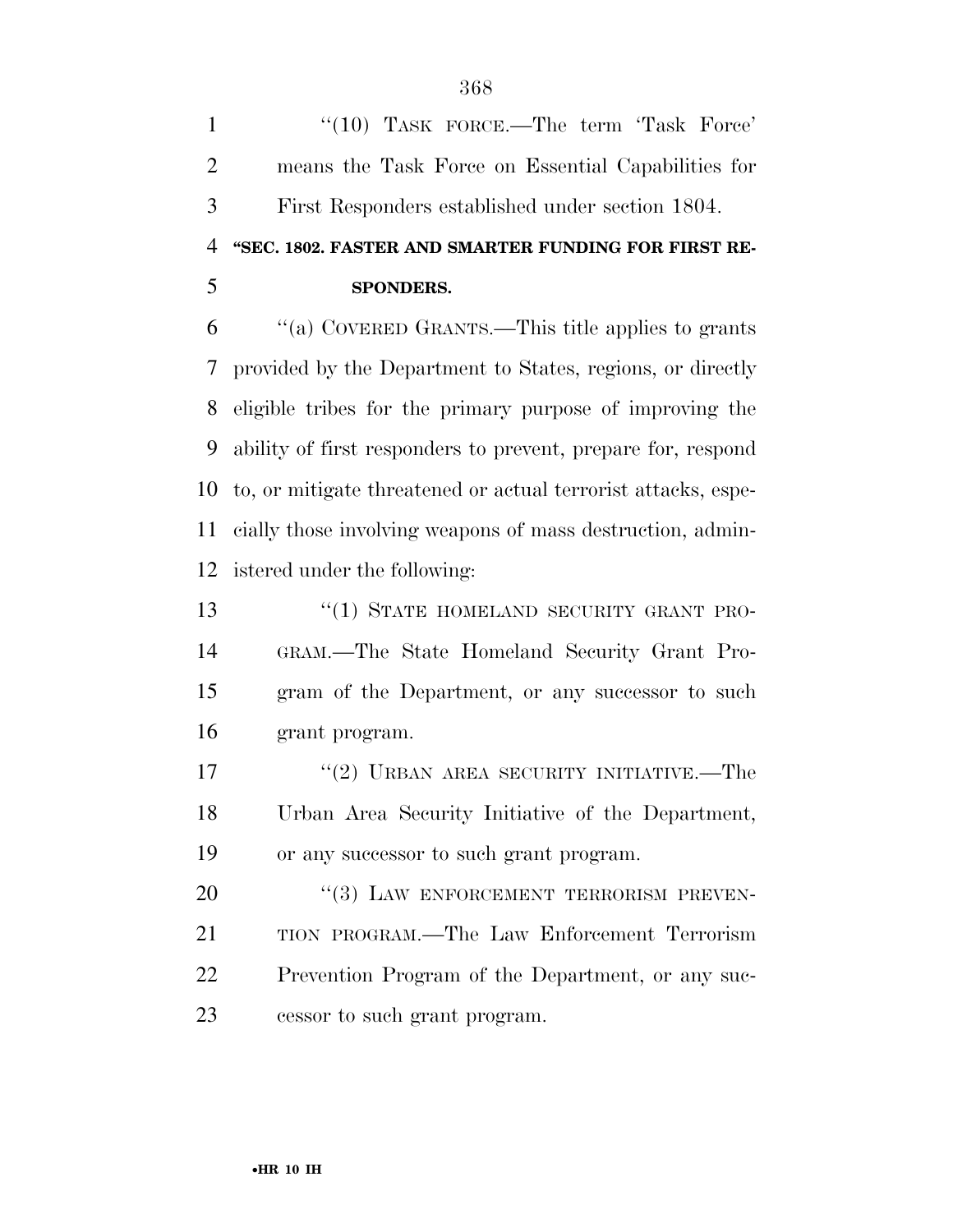1 "(10) TASK FORCE.—The term 'Task Force' means the Task Force on Essential Capabilities for First Responders established under section 1804. **''SEC. 1802. FASTER AND SMARTER FUNDING FOR FIRST RE- SPONDERS.**  ''(a) COVERED GRANTS.—This title applies to grants provided by the Department to States, regions, or directly eligible tribes for the primary purpose of improving the ability of first responders to prevent, prepare for, respond to, or mitigate threatened or actual terrorist attacks, espe- cially those involving weapons of mass destruction, admin-istered under the following:

13 "(1) STATE HOMELAND SECURITY GRANT PRO- GRAM.—The State Homeland Security Grant Pro- gram of the Department, or any successor to such grant program.

17 "(2) URBAN AREA SECURITY INITIATIVE.—The Urban Area Security Initiative of the Department, or any successor to such grant program.

20 "(3) LAW ENFORCEMENT TERRORISM PREVEN- TION PROGRAM.—The Law Enforcement Terrorism Prevention Program of the Department, or any suc-cessor to such grant program.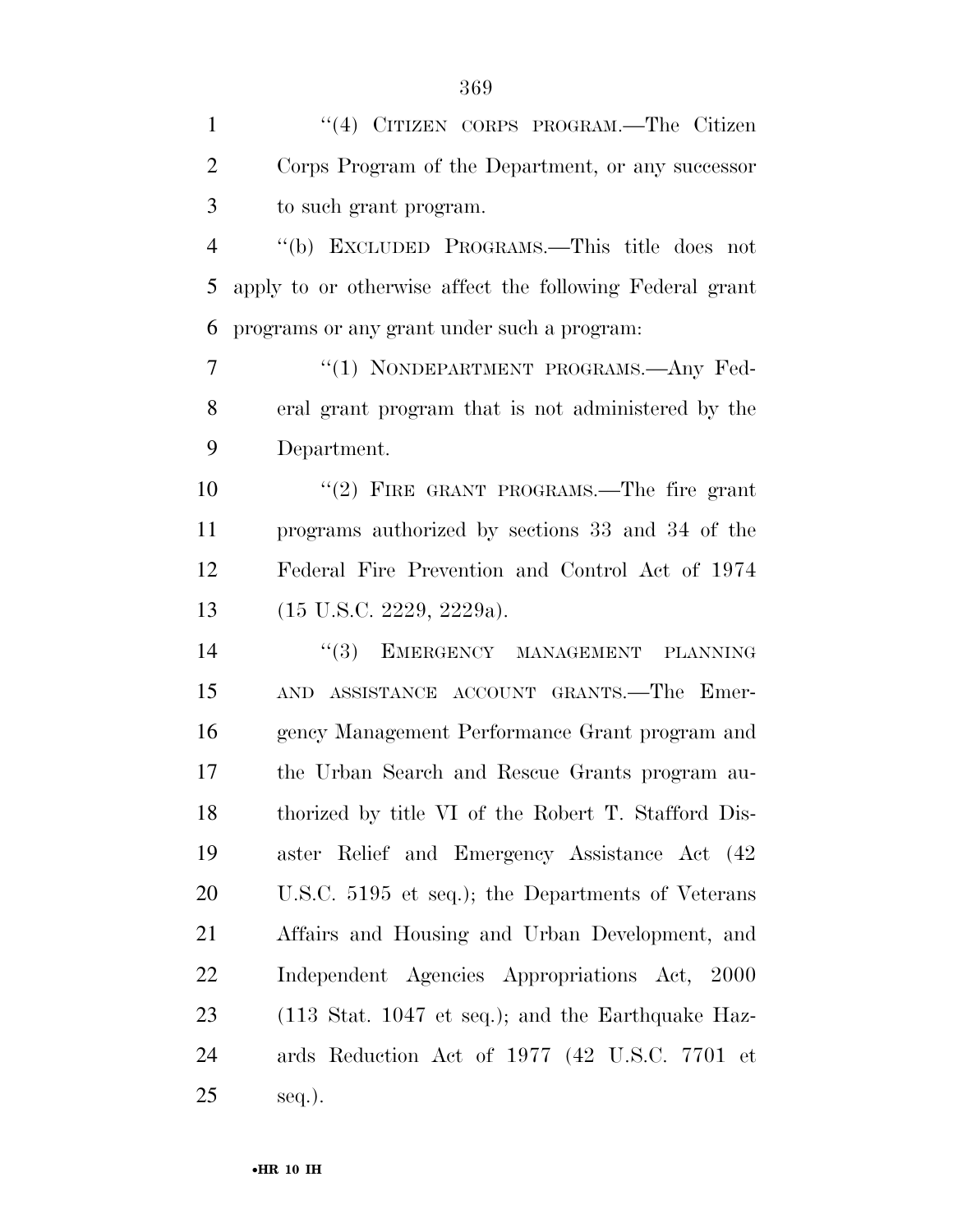| $\mathbf{1}$   | "(4) CITIZEN CORPS PROGRAM.—The Citizen                              |
|----------------|----------------------------------------------------------------------|
| $\overline{2}$ | Corps Program of the Department, or any successor                    |
| 3              | to such grant program.                                               |
| $\overline{4}$ | "(b) EXCLUDED PROGRAMS.—This title does not                          |
| 5              | apply to or otherwise affect the following Federal grant             |
| 6              | programs or any grant under such a program:                          |
| 7              | "(1) NONDEPARTMENT PROGRAMS.—Any Fed-                                |
| 8              | eral grant program that is not administered by the                   |
| 9              | Department.                                                          |
| 10             | "(2) FIRE GRANT PROGRAMS.—The fire grant                             |
| 11             | programs authorized by sections 33 and 34 of the                     |
| 12             | Federal Fire Prevention and Control Act of 1974                      |
| 13             | $(15 \text{ U.S.C. } 2229, 2229a).$                                  |
| 14             | (3)<br>EMERGENCY MANAGEMENT PLANNING                                 |
| 15             | AND ASSISTANCE ACCOUNT GRANTS.—The Emer-                             |
| 16             | gency Management Performance Grant program and                       |
| 17             | the Urban Search and Rescue Grants program au-                       |
| 18             | thorized by title VI of the Robert T. Stafford Dis-                  |
| 19             | aster Relief and Emergency Assistance Act (42)                       |
| 20             | U.S.C. 5195 et seq.); the Departments of Veterans                    |
| 21             | Affairs and Housing and Urban Development, and                       |
| 22             | Independent Agencies Appropriations Act, 2000                        |
| 23             | $(113 \text{ Stat. } 1047 \text{ et seq.});$ and the Earthquake Haz- |
| 24             | ards Reduction Act of 1977 (42 U.S.C. 7701 et                        |
| 25             | seq.).                                                               |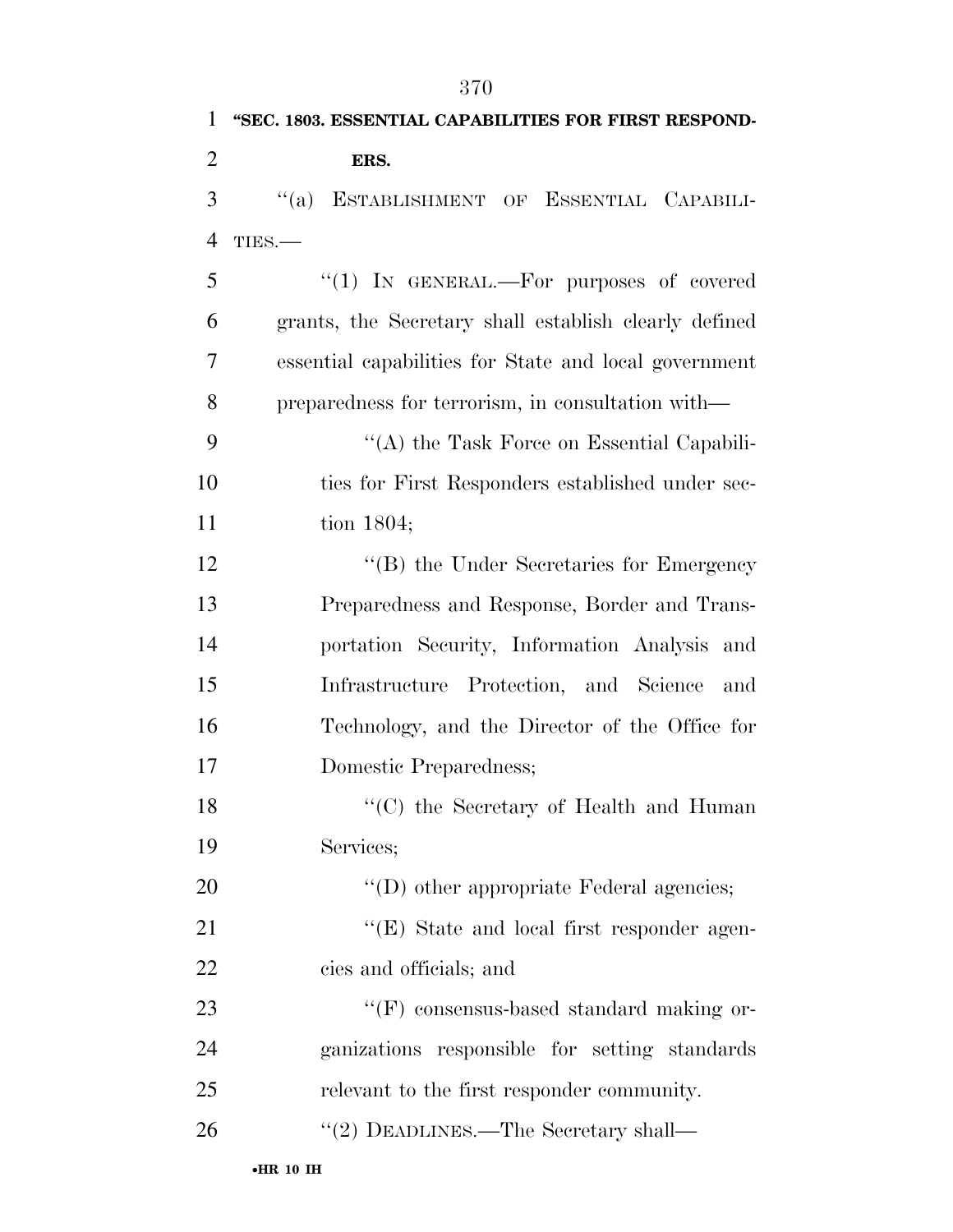|                | 370                                                   |
|----------------|-------------------------------------------------------|
| 1              | "SEC. 1803. ESSENTIAL CAPABILITIES FOR FIRST RESPOND- |
| $\overline{2}$ | ERS.                                                  |
| 3              | ESTABLISHMENT OF ESSENTIAL CAPABILI-<br>$\lq(3)$      |
| $\overline{4}$ | TIES.                                                 |
| 5              | "(1) IN GENERAL.—For purposes of covered              |
| 6              | grants, the Secretary shall establish clearly defined |
| 7              | essential capabilities for State and local government |
| 8              | preparedness for terrorism, in consultation with—     |
| 9              | "(A) the Task Force on Essential Capabili-            |
| 10             | ties for First Responders established under sec-      |
| 11             | tion $1804;$                                          |
| 12             | "(B) the Under Secretaries for Emergency              |
| 13             | Preparedness and Response, Border and Trans-          |
| 14             | portation Security, Information Analysis and          |
| 15             | Infrastructure Protection, and Science<br>and         |
| 16             | Technology, and the Director of the Office for        |
| 17             | Domestic Preparedness;                                |
| 18             | "(C) the Secretary of Health and Human                |
| 19             | Services;                                             |
| 20             | $\lq\lq$ other appropriate Federal agencies;          |

21 ''(E) State and local first responder agen-cies and officials; and

23 "'(F) consensus-based standard making or- ganizations responsible for setting standards relevant to the first responder community.

26 "(2) DEADLINES.—The Secretary shall—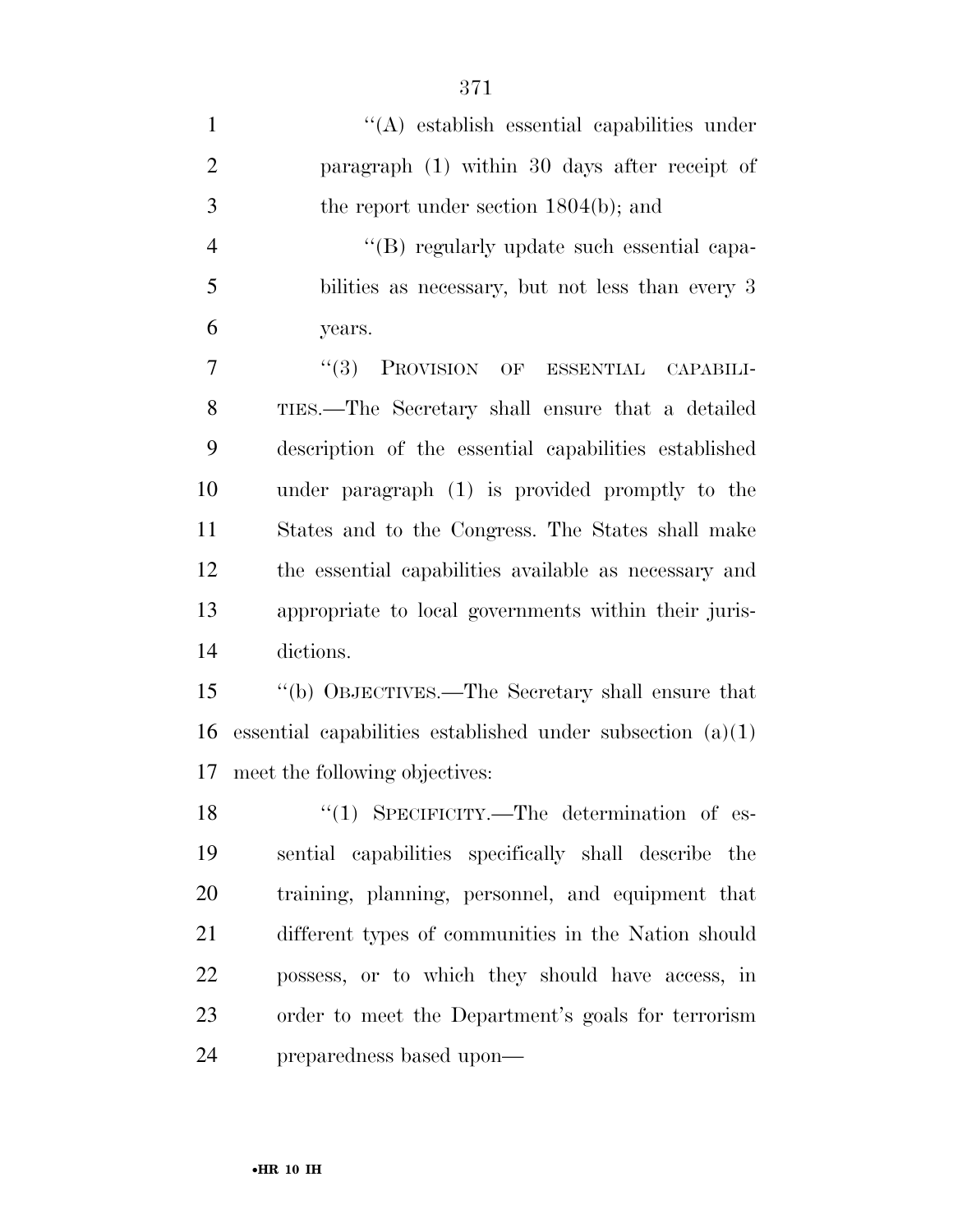| $\mathbf{1}$   | $\lq\lq$ establish essential capabilities under              |
|----------------|--------------------------------------------------------------|
| $\overline{2}$ | paragraph (1) within 30 days after receipt of                |
| 3              | the report under section $1804(b)$ ; and                     |
| $\overline{4}$ | "(B) regularly update such essential capa-                   |
| 5              | bilities as necessary, but not less than every 3             |
| 6              | years.                                                       |
| 7              | (3)<br>PROVISION OF ESSENTIAL CAPABILI-                      |
| 8              | TIES.—The Secretary shall ensure that a detailed             |
| 9              | description of the essential capabilities established        |
| 10             | under paragraph (1) is provided promptly to the              |
| 11             | States and to the Congress. The States shall make            |
| 12             | the essential capabilities available as necessary and        |
| 13             | appropriate to local governments within their juris-         |
| 14             | dictions.                                                    |
| 15             | "(b) OBJECTIVES.—The Secretary shall ensure that             |
| 16             | essential capabilities established under subsection $(a)(1)$ |
| 17             | meet the following objectives:                               |
| 18             | $\lq(1)$ SPECIFICITY.—The determination of es-               |
| 19             | sential capabilities specifically shall describe the         |
| 20             | training, planning, personnel, and equipment that            |
| 21             | different types of communities in the Nation should          |
| 22             | possess, or to which they should have access, in             |
| 23             | order to meet the Department's goals for terrorism           |
| 24             | preparedness based upon—                                     |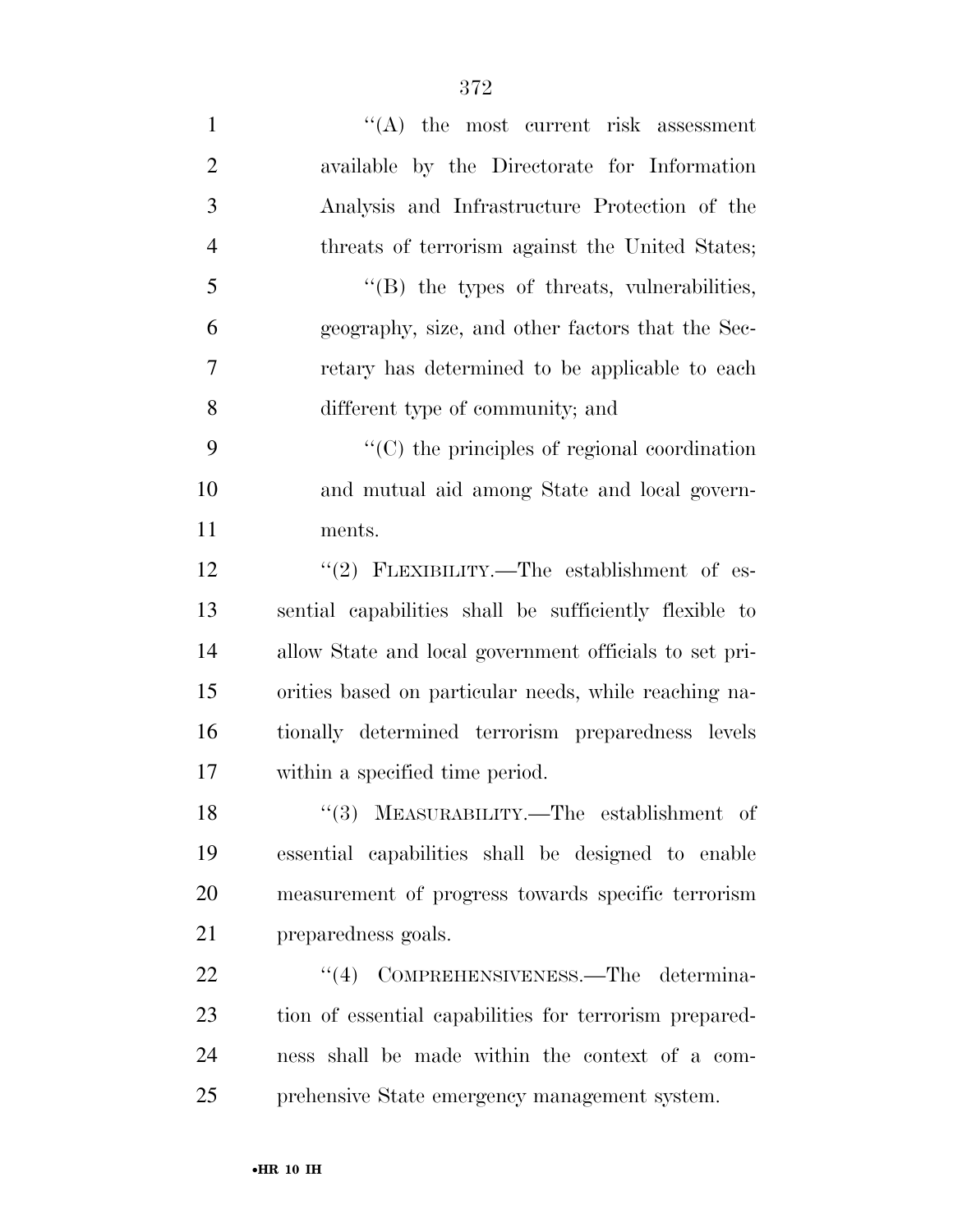1 ''(A) the most current risk assessment available by the Directorate for Information Analysis and Infrastructure Protection of the threats of terrorism against the United States; ''(B) the types of threats, vulnerabilities, geography, size, and other factors that the Sec- retary has determined to be applicable to each different type of community; and  $\cdot$  (C) the principles of regional coordination and mutual aid among State and local govern- ments. 12 "(2) FLEXIBILITY.—The establishment of es- sential capabilities shall be sufficiently flexible to allow State and local government officials to set pri- orities based on particular needs, while reaching na- tionally determined terrorism preparedness levels within a specified time period. ''(3) MEASURABILITY.—The establishment of

 essential capabilities shall be designed to enable measurement of progress towards specific terrorism preparedness goals.

22 "(4) COMPREHENSIVENESS.—The determina- tion of essential capabilities for terrorism prepared- ness shall be made within the context of a com-prehensive State emergency management system.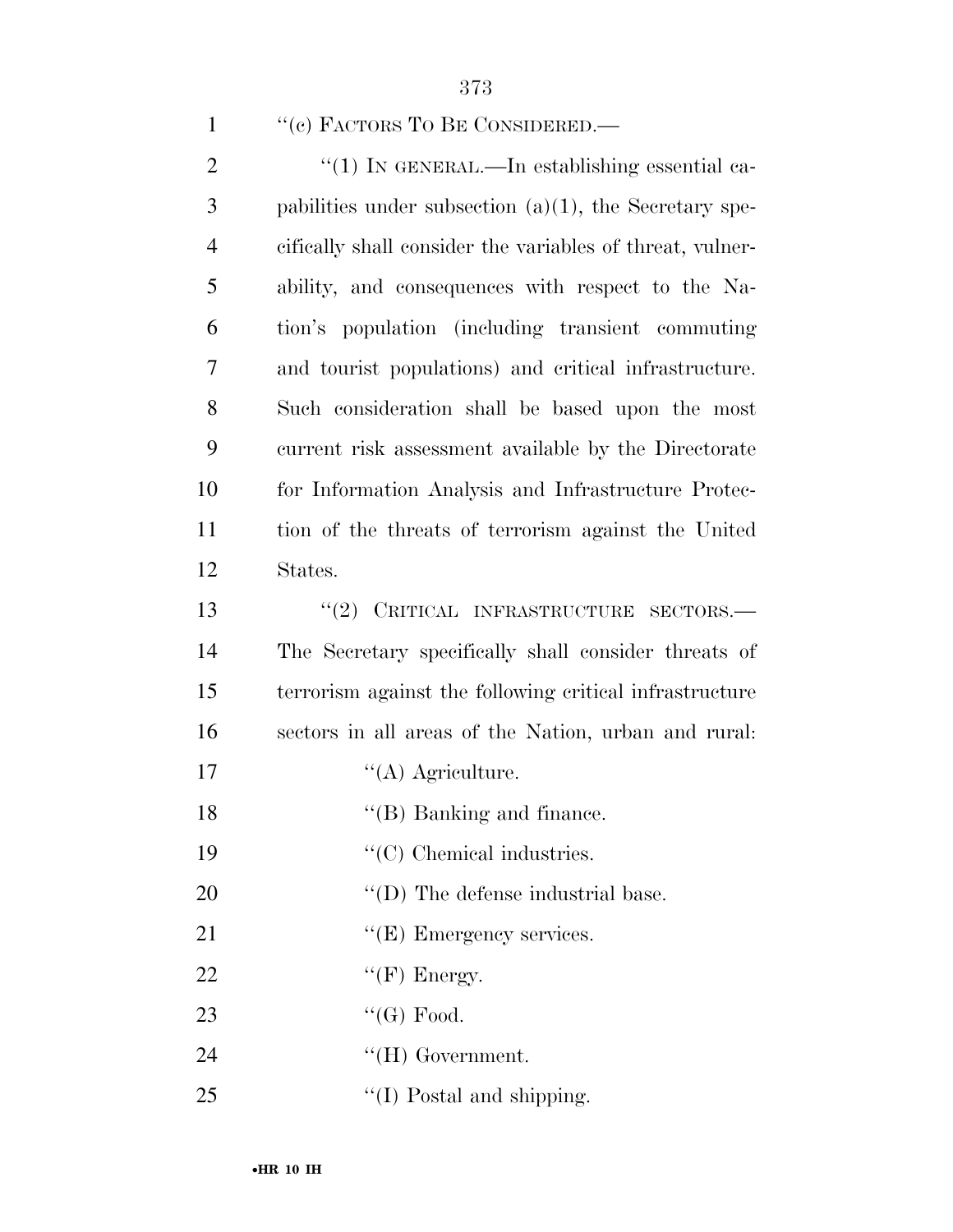373

 $\frac{1}{2}$  (1) In GENERAL.—In establishing essential ca- pabilities under subsection (a)(1), the Secretary spe- cifically shall consider the variables of threat, vulner- ability, and consequences with respect to the Na- tion's population (including transient commuting and tourist populations) and critical infrastructure. Such consideration shall be based upon the most current risk assessment available by the Directorate for Information Analysis and Infrastructure Protec- tion of the threats of terrorism against the United 12 States. 13 "(2) CRITICAL INFRASTRUCTURE SECTORS.— The Secretary specifically shall consider threats of terrorism against the following critical infrastructure sectors in all areas of the Nation, urban and rural: 17 ''(A) Agriculture. 18 ''(B) Banking and finance.  $\cdot$  (C) Chemical industries.  $\text{``(D) The defense industrial base.}$ 

21 "(E) Emergency services.

- 22  $"({\rm F})$  Energy.
- 23  $\text{``(G) Food.}$
- 24 ''(H) Government.
- 25  $\frac{1}{2}$  The Newsletter Contract of the Shipping.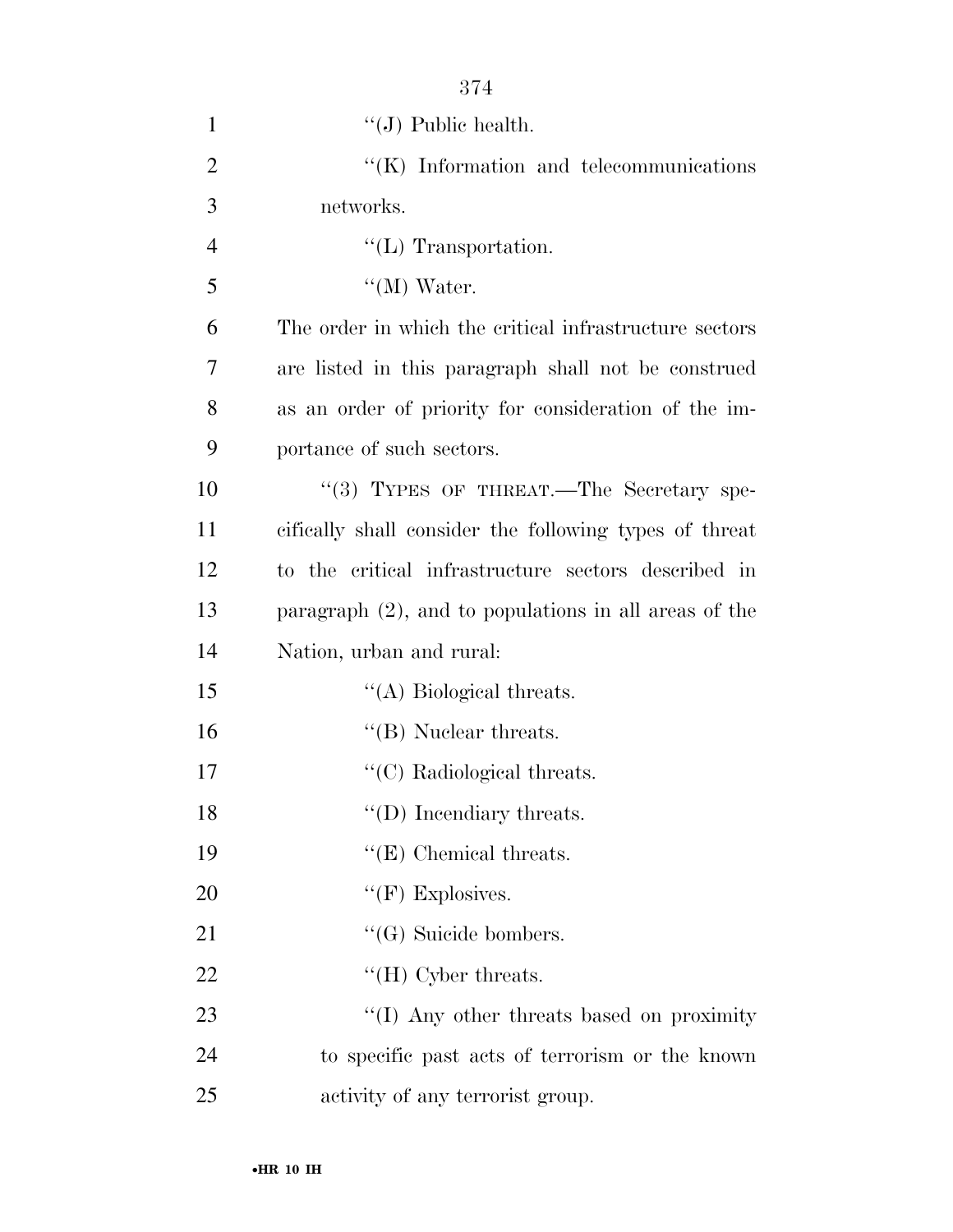| $\mathbf{1}$   | $\lq\lq$ (J) Public health.                              |
|----------------|----------------------------------------------------------|
| $\overline{2}$ | $\lq\lq$ (K) Information and telecommunications          |
| 3              | networks.                                                |
| $\overline{4}$ | $\lq\lq$ (L) Transportation.                             |
| 5              | $\lq\lq (M)$ Water.                                      |
| 6              | The order in which the critical infrastructure sectors   |
| 7              | are listed in this paragraph shall not be construed      |
| 8              | as an order of priority for consideration of the im-     |
| 9              | portance of such sectors.                                |
| 10             | "(3) TYPES OF THREAT.—The Secretary spe-                 |
| 11             | cifically shall consider the following types of threat   |
| 12             | to the critical infrastructure sectors described in      |
| 13             | paragraph $(2)$ , and to populations in all areas of the |
| 14             | Nation, urban and rural:                                 |
| 15             | $\lq\lq$ Biological threats.                             |
| 16             | $\lq\lq$ (B) Nuclear threats.                            |
| 17             | $\lq\lq$ <sup>(C)</sup> Radiological threats.            |
| 18             | $\lq\lq$ (D) Incendiary threats.                         |
| 19             | $\lq\lq (E)$ Chemical threats.                           |
| 20             | " $(F)$ Explosives.                                      |
| 21             | $\lq\lq (G)$ Suicide bombers.                            |
| 22             | $\lq\lq$ (H) Cyber threats.                              |
| 23             | "(I) Any other threats based on proximity                |
| 24             | to specific past acts of terrorism or the known          |
| 25             | activity of any terrorist group.                         |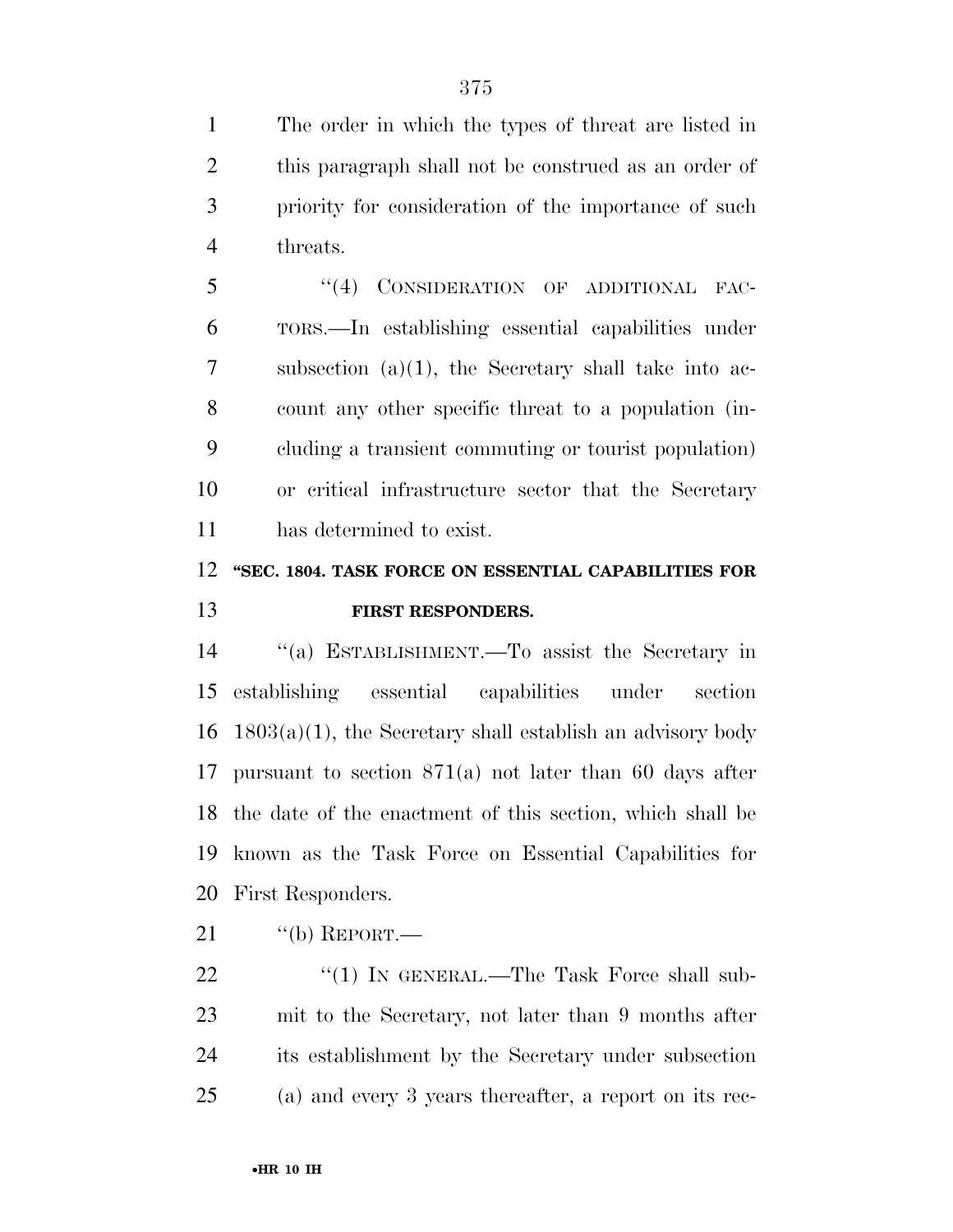The order in which the types of threat are listed in this paragraph shall not be construed as an order of priority for consideration of the importance of such threats.

5 "(4) CONSIDERATION OF ADDITIONAL FAC- TORS.—In establishing essential capabilities under subsection (a)(1), the Secretary shall take into ac- count any other specific threat to a population (in- cluding a transient commuting or tourist population) or critical infrastructure sector that the Secretary has determined to exist.

## **''SEC. 1804. TASK FORCE ON ESSENTIAL CAPABILITIES FOR FIRST RESPONDERS.**

 ''(a) ESTABLISHMENT.—To assist the Secretary in establishing essential capabilities under section  $16 \quad 1803(a)(1)$ , the Secretary shall establish an advisory body pursuant to section 871(a) not later than 60 days after the date of the enactment of this section, which shall be known as the Task Force on Essential Capabilities for First Responders.

"(b) REPORT.—

22 "(1) IN GENERAL.—The Task Force shall sub- mit to the Secretary, not later than 9 months after its establishment by the Secretary under subsection (a) and every 3 years thereafter, a report on its rec-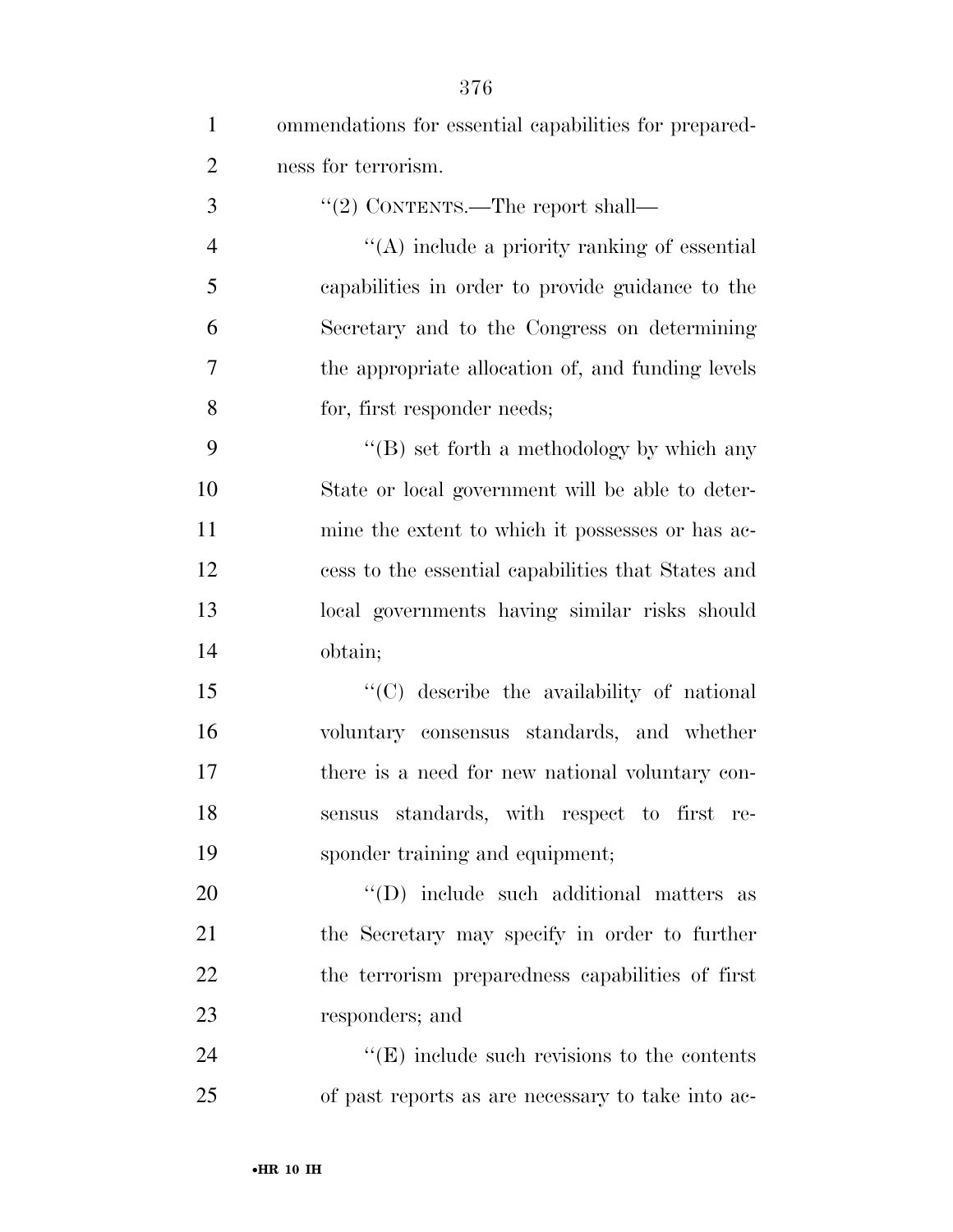| $\mathbf{1}$   | ommendations for essential capabilities for prepared- |
|----------------|-------------------------------------------------------|
| $\overline{2}$ | ness for terrorism.                                   |
| 3              | "(2) CONTENTS.—The report shall—                      |
| $\overline{4}$ | $\lq\lq$ include a priority ranking of essential      |
| 5              | capabilities in order to provide guidance to the      |
| 6              | Secretary and to the Congress on determining          |
| 7              | the appropriate allocation of, and funding levels     |
| 8              | for, first responder needs;                           |
| 9              | "(B) set forth a methodology by which any             |
| 10             | State or local government will be able to deter-      |
| 11             | mine the extent to which it possesses or has ac-      |
| 12             | cess to the essential capabilities that States and    |
| 13             | local governments having similar risks should         |
| 14             | obtain;                                               |
| 15             | "(C) describe the availability of national            |
| 16             | voluntary consensus standards, and whether            |
| 17             | there is a need for new national voluntary con-       |
| 18             | sensus standards, with respect to first re-           |
| 19             | sponder training and equipment;                       |
| 20             | "(D) include such additional matters as               |
| 21             | the Secretary may specify in order to further         |
| 22             | the terrorism preparedness capabilities of first      |
| 23             | responders; and                                       |
| 24             | $\lq\lq(E)$ include such revisions to the contents    |
| 25             | of past reports as are necessary to take into ac-     |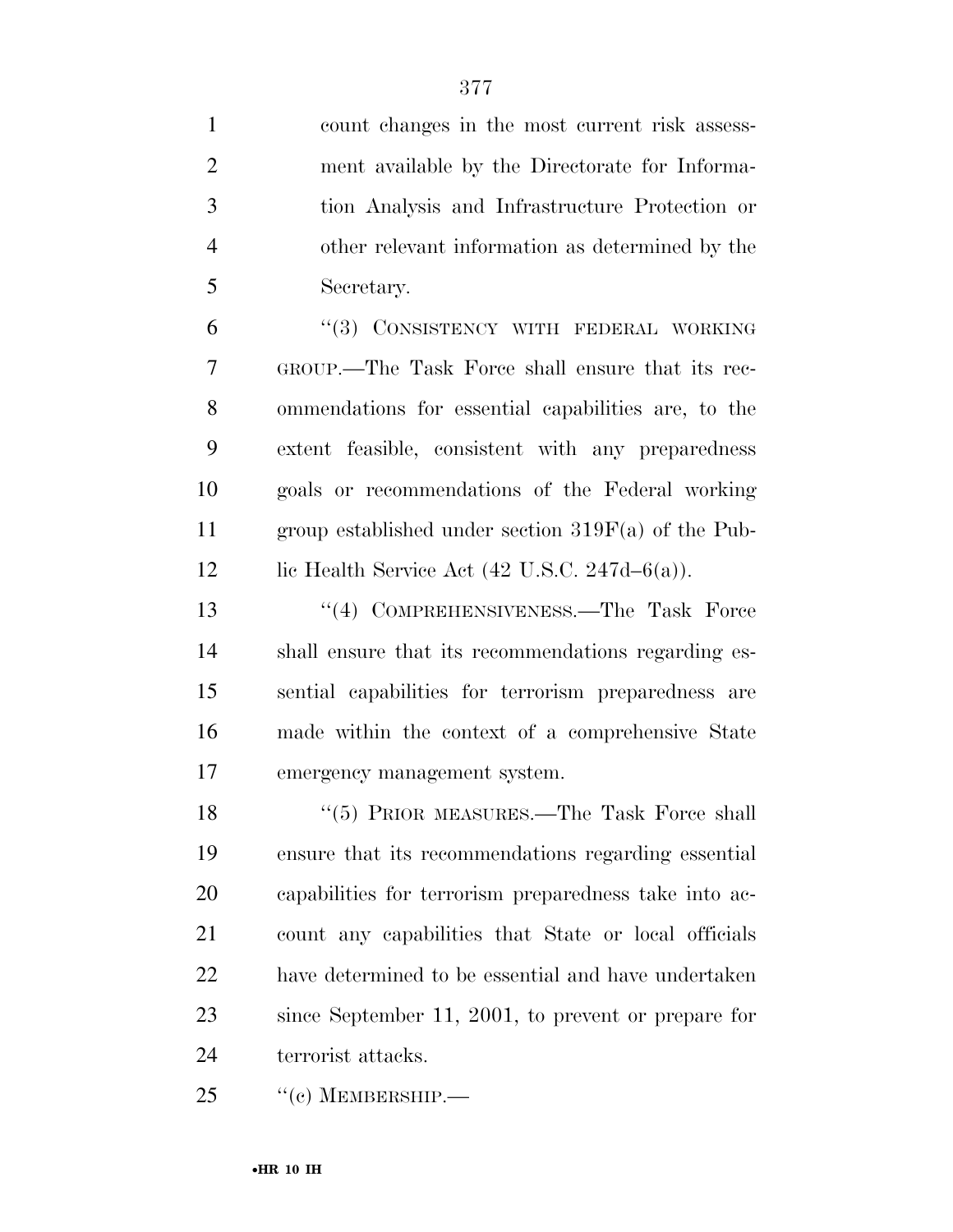| $\mathbf{1}$   | count changes in the most current risk assess-           |
|----------------|----------------------------------------------------------|
| $\overline{2}$ | ment available by the Directorate for Informa-           |
| 3              | tion Analysis and Infrastructure Protection or           |
| $\overline{4}$ | other relevant information as determined by the          |
| 5              | Secretary.                                               |
| 6              | "(3) CONSISTENCY WITH FEDERAL WORKING                    |
| 7              | GROUP.—The Task Force shall ensure that its rec-         |
| 8              | ommendations for essential capabilities are, to the      |
| 9              | extent feasible, consistent with any preparedness        |
| 10             | goals or recommendations of the Federal working          |
| 11             | group established under section $319F(a)$ of the Pub-    |
| 12             | lic Health Service Act $(42 \text{ U.S.C. } 247d-6(a)).$ |
| 13             | "(4) COMPREHENSIVENESS.—The Task Force                   |
| 14             | shall ensure that its recommendations regarding es-      |
| 15             | sential capabilities for terrorism preparedness are      |
| 16             | made within the context of a comprehensive State         |
| 17             | emergency management system.                             |
| 18             | "(5) PRIOR MEASURES.—The Task Force shall                |
| 19             | ensure that its recommendations regarding essential      |
| 20             | capabilities for terrorism preparedness take into ac-    |
| 21             | count any capabilities that State or local officials     |
| 22             | have determined to be essential and have undertaken      |
| 23             | since September 11, 2001, to prevent or prepare for      |
| 24             | terrorist attacks.                                       |
| 25             | $``(c)$ MEMBERSHIP.—                                     |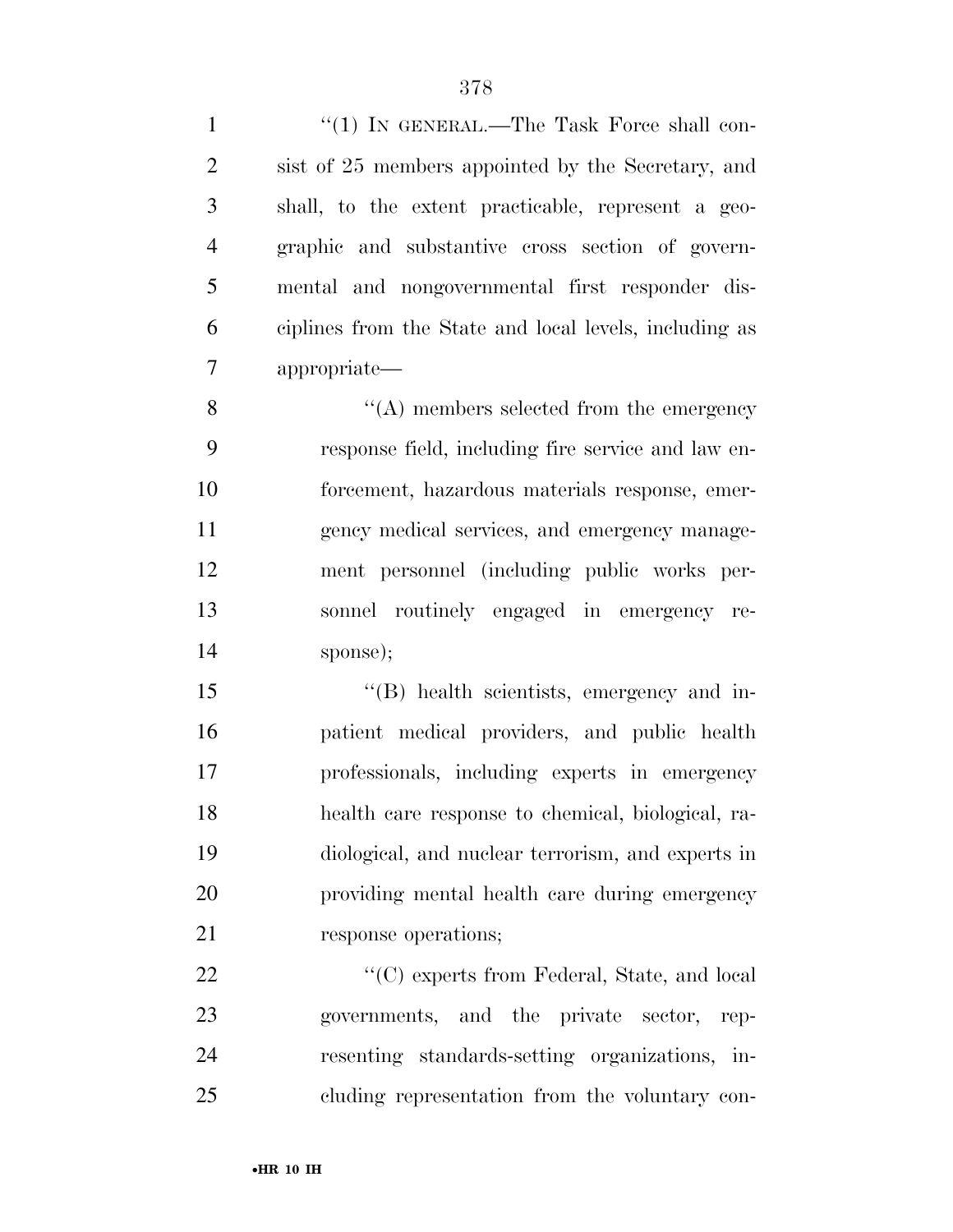| $\mathbf{1}$   | "(1) IN GENERAL.—The Task Force shall con-             |
|----------------|--------------------------------------------------------|
| $\overline{2}$ | sist of 25 members appointed by the Secretary, and     |
| 3              | shall, to the extent practicable, represent a geo-     |
| $\overline{4}$ | graphic and substantive cross section of govern-       |
| 5              | mental and nongovernmental first responder dis-        |
| 6              | ciplines from the State and local levels, including as |
| 7              | appropriate—                                           |
| 8              | $\lq\lq$ members selected from the emergency           |
| 9              | response field, including fire service and law en-     |
| 10             | forcement, hazardous materials response, emer-         |
| 11             | gency medical services, and emergency manage-          |
| 12             | ment personnel (including public works per-            |
| 13             | sonnel routinely engaged in emergency re-              |
| 14             | sponse);                                               |
| 15             | "(B) health scientists, emergency and in-              |
| 16             | patient medical providers, and public health           |
| 17             | professionals, including experts in emergency          |
| 18             | health care response to chemical, biological, ra-      |
| 19             | diological, and nuclear terrorism, and experts in      |
| 20             | providing mental health care during emergency          |
| 21             | response operations;                                   |
| 22             | "(C) experts from Federal, State, and local            |
| 23             | governments, and the private sector, rep-              |
| 24             | resenting standards-setting organizations, in-         |
| 25             | cluding representation from the voluntary con-         |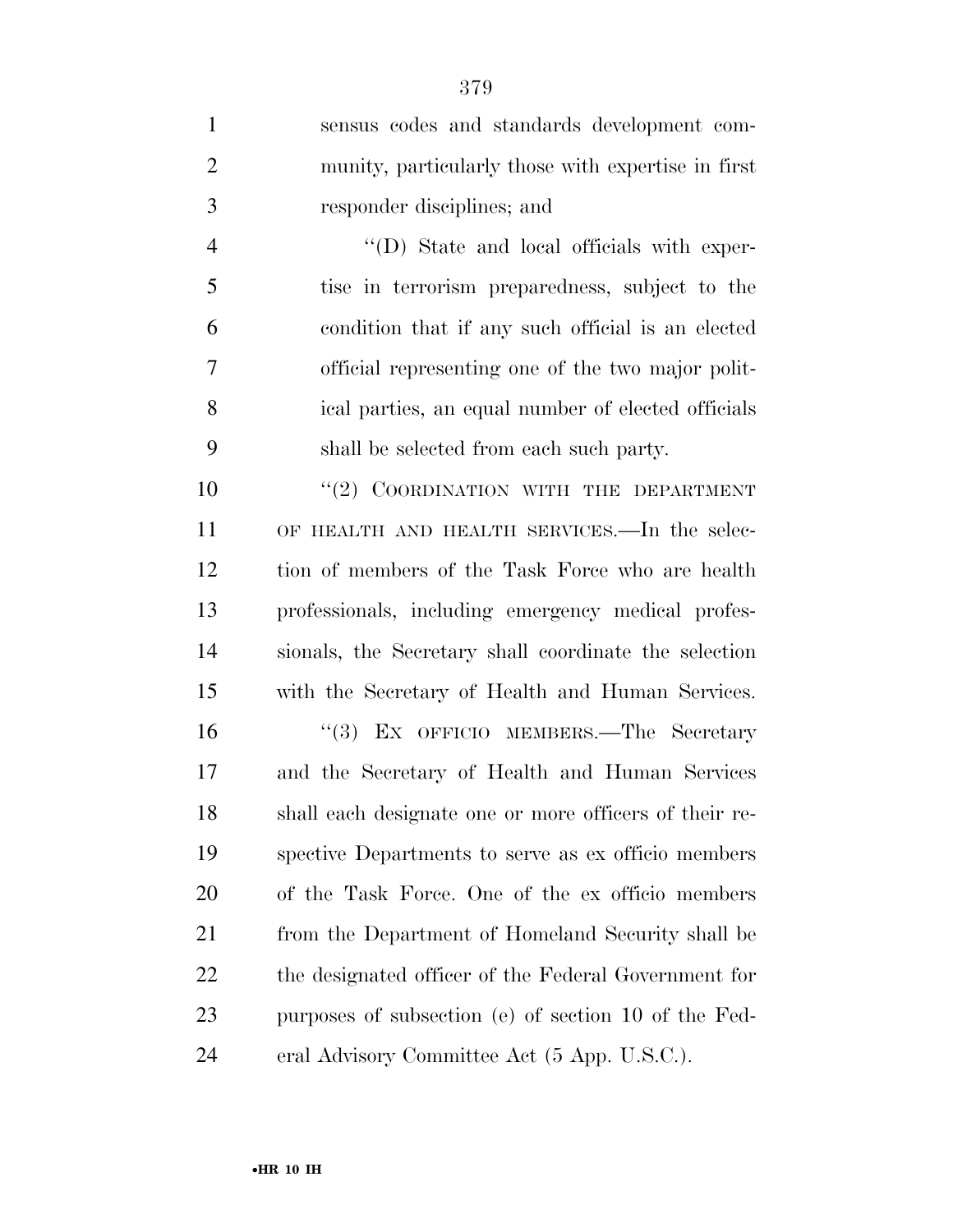| $\mathbf{1}$   | sensus codes and standards development com-            |
|----------------|--------------------------------------------------------|
| $\overline{2}$ | munity, particularly those with expertise in first     |
| 3              | responder disciplines; and                             |
| $\overline{4}$ | "(D) State and local officials with exper-             |
| 5              | tise in terrorism preparedness, subject to the         |
| 6              | condition that if any such official is an elected      |
| 7              | official representing one of the two major polit-      |
| 8              | ical parties, an equal number of elected officials     |
| 9              | shall be selected from each such party.                |
| 10             | "(2) COORDINATION WITH THE DEPARTMENT                  |
| 11             | OF HEALTH AND HEALTH SERVICES.—In the selec-           |
| 12             | tion of members of the Task Force who are health       |
| 13             | professionals, including emergency medical profes-     |
| 14             | sionals, the Secretary shall coordinate the selection  |
| 15             | with the Secretary of Health and Human Services.       |
| 16             | "(3) EX OFFICIO MEMBERS.—The Secretary                 |
| 17             | and the Secretary of Health and Human Services         |
| 18             | shall each designate one or more officers of their re- |
| 19             | spective Departments to serve as ex officio members    |
| 20             | of the Task Force. One of the ex officio members       |
| 21             | from the Department of Homeland Security shall be      |
| 22             | the designated officer of the Federal Government for   |
| 23             | purposes of subsection (e) of section 10 of the Fed-   |
| 24             | eral Advisory Committee Act (5 App. U.S.C.).           |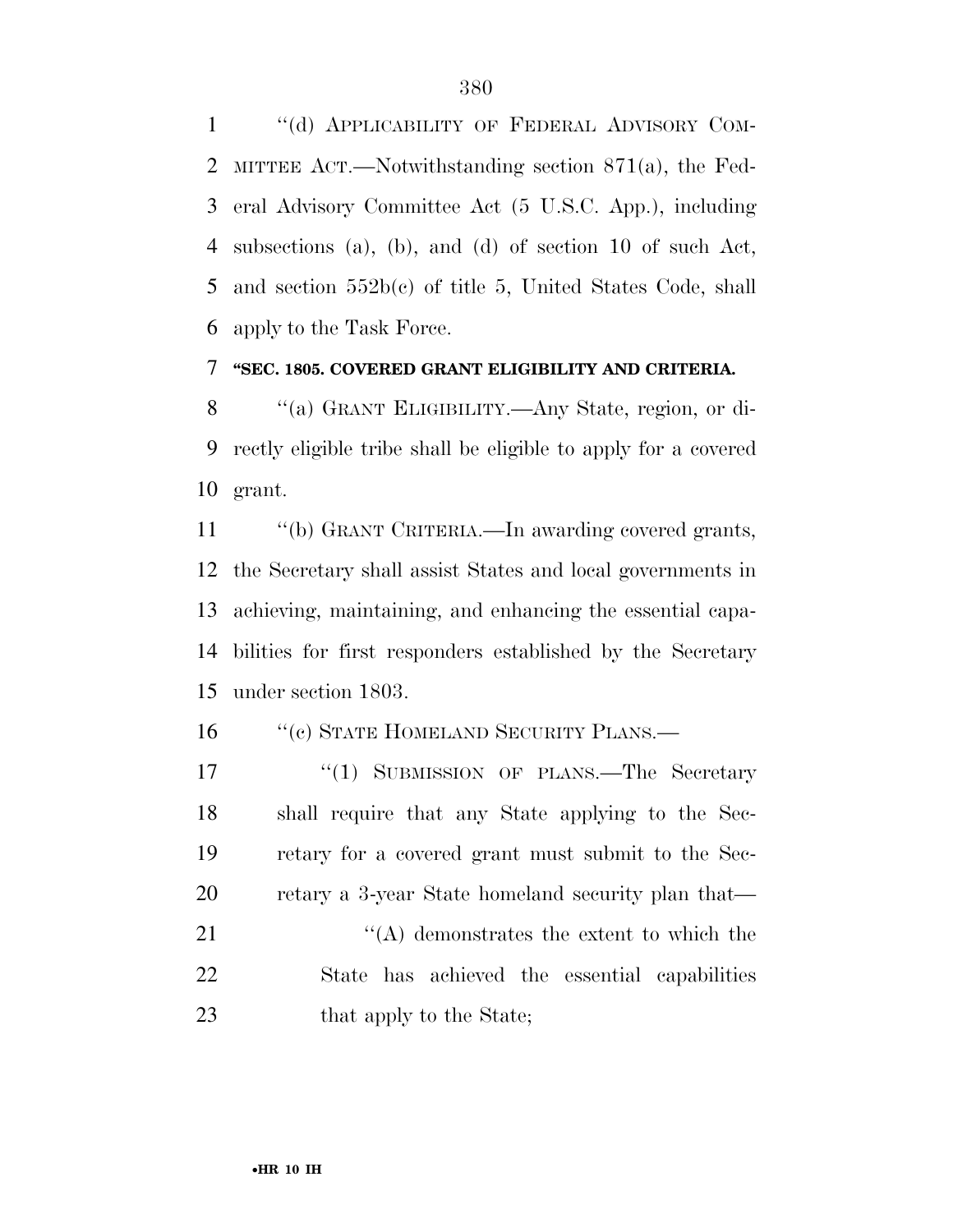1 "(d) APPLICABILITY OF FEDERAL ADVISORY COM- MITTEE ACT.—Notwithstanding section 871(a), the Fed- eral Advisory Committee Act (5 U.S.C. App.), including subsections (a), (b), and (d) of section 10 of such Act, and section 552b(c) of title 5, United States Code, shall apply to the Task Force.

## **''SEC. 1805. COVERED GRANT ELIGIBILITY AND CRITERIA.**

 ''(a) GRANT ELIGIBILITY.—Any State, region, or di- rectly eligible tribe shall be eligible to apply for a covered grant.

 ''(b) GRANT CRITERIA.—In awarding covered grants, the Secretary shall assist States and local governments in achieving, maintaining, and enhancing the essential capa- bilities for first responders established by the Secretary under section 1803.

16 "(c) STATE HOMELAND SECURITY PLANS.—

17 "(1) SUBMISSION OF PLANS.—The Secretary shall require that any State applying to the Sec- retary for a covered grant must submit to the Sec-20 retary a 3-year State homeland security plan that— 21 ''(A) demonstrates the extent to which the

 State has achieved the essential capabilities 23 that apply to the State;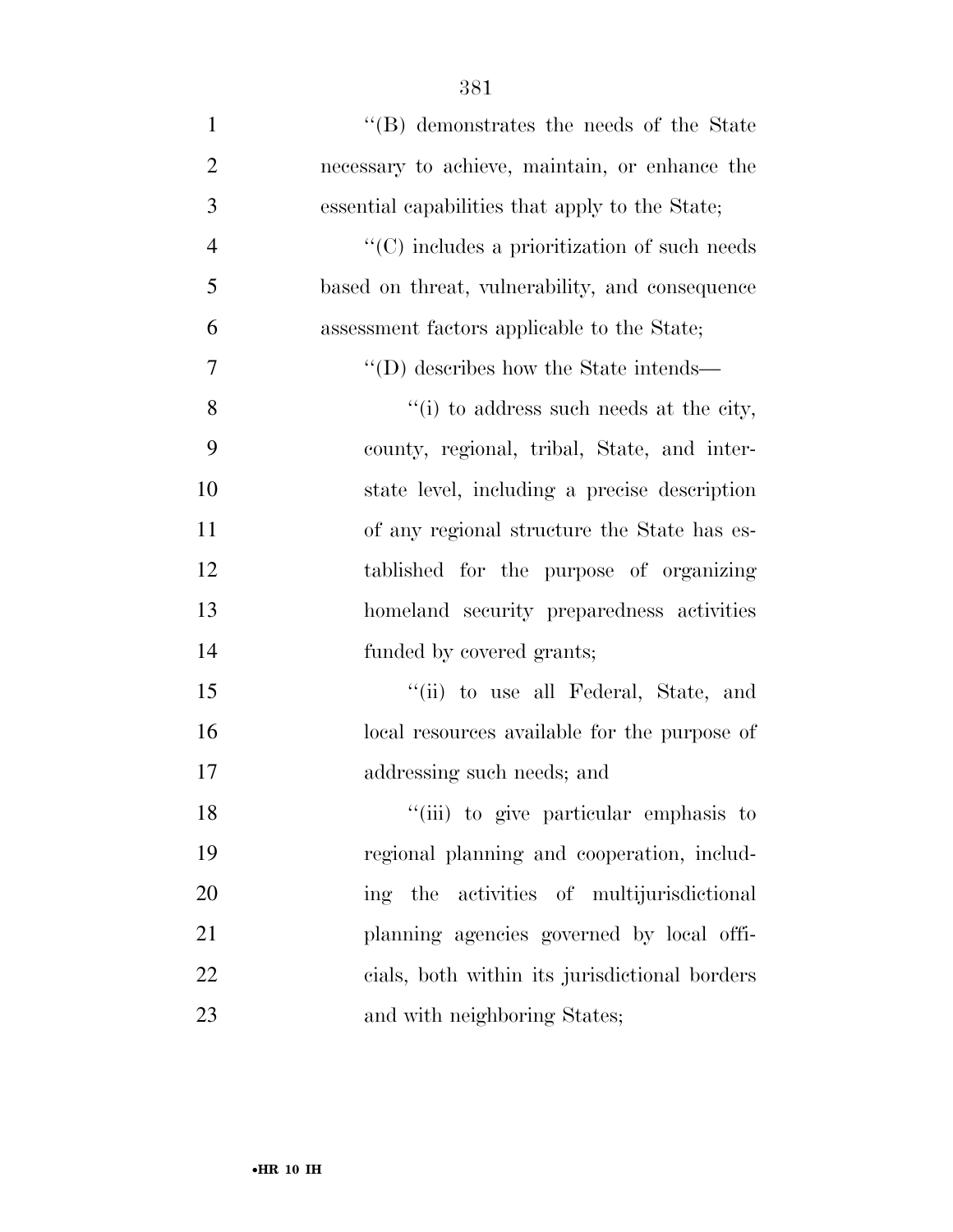| $\mathbf{1}$   | "(B) demonstrates the needs of the State                     |
|----------------|--------------------------------------------------------------|
| $\overline{2}$ | necessary to achieve, maintain, or enhance the               |
| 3              | essential capabilities that apply to the State;              |
| $\overline{4}$ | $\lq\lq$ (C) includes a prioritization of such needs         |
| 5              | based on threat, vulnerability, and consequence              |
| 6              | assessment factors applicable to the State;                  |
| 7              | $\lq\lq$ (D) describes how the State intends—                |
| 8              | $\lq\lq$ <sup>"</sup> (i) to address such needs at the city, |
| 9              | county, regional, tribal, State, and inter-                  |
| 10             | state level, including a precise description                 |
| 11             | of any regional structure the State has es-                  |
| 12             | tablished for the purpose of organizing                      |
| 13             | homeland security preparedness activities                    |
| 14             | funded by covered grants;                                    |
| 15             | "(ii) to use all Federal, State, and                         |
| 16             | local resources available for the purpose of                 |
| 17             | addressing such needs; and                                   |
| 18             | "(iii) to give particular emphasis to                        |
| 19             | regional planning and cooperation, includ-                   |
| 20             | the activities of multijurisdictional<br>ing                 |
| 21             | planning agencies governed by local offi-                    |
| 22             | cials, both within its jurisdictional borders                |
| 23             | and with neighboring States;                                 |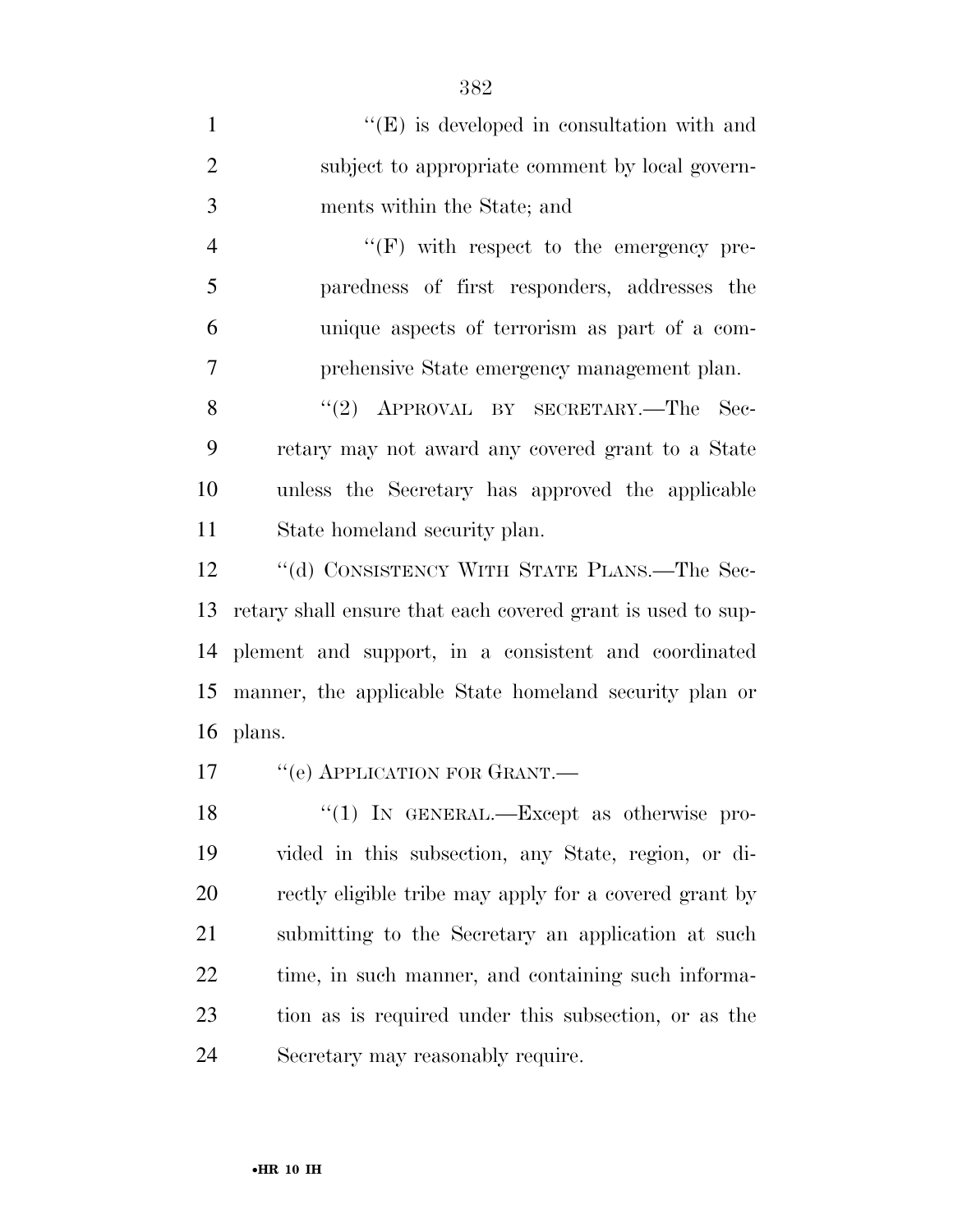1 ''(E) is developed in consultation with and subject to appropriate comment by local govern- ments within the State; and  $"$ (F) with respect to the emergency pre-paredness of first responders, addresses the

 unique aspects of terrorism as part of a com-prehensive State emergency management plan.

8 "(2) APPROVAL BY SECRETARY.—The Sec- retary may not award any covered grant to a State unless the Secretary has approved the applicable State homeland security plan.

12 "(d) CONSISTENCY WITH STATE PLANS.—The Sec- retary shall ensure that each covered grant is used to sup- plement and support, in a consistent and coordinated manner, the applicable State homeland security plan or plans.

17 <sup>"</sup>(e) APPLICATION FOR GRANT.—

18 "(1) In GENERAL.—Except as otherwise pro- vided in this subsection, any State, region, or di-20 rectly eligible tribe may apply for a covered grant by submitting to the Secretary an application at such time, in such manner, and containing such informa- tion as is required under this subsection, or as the Secretary may reasonably require.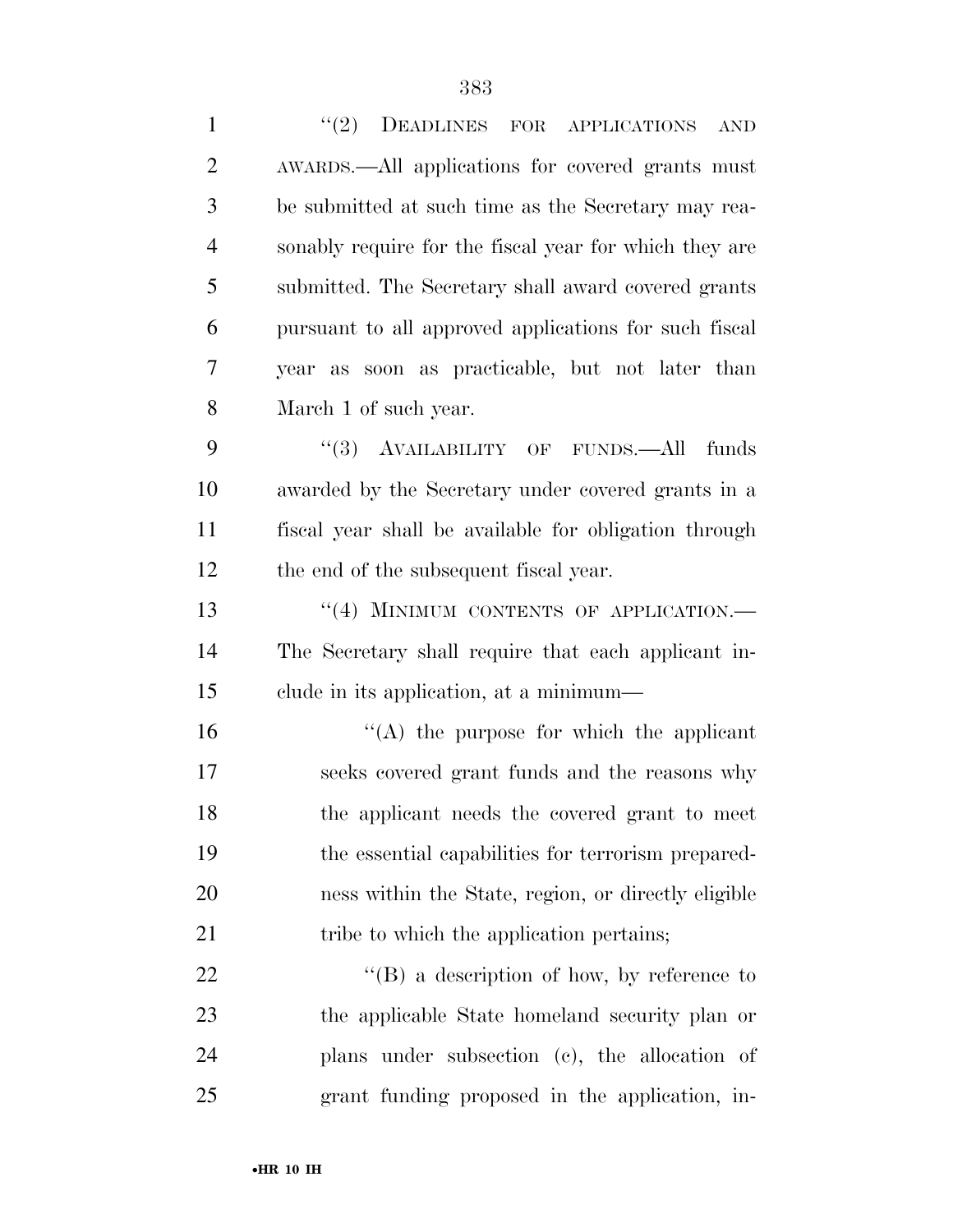| $\mathbf{1}$   | "(2) DEADLINES FOR APPLICATIONS<br><b>AND</b>          |
|----------------|--------------------------------------------------------|
| $\overline{2}$ | AWARDS.—All applications for covered grants must       |
| 3              | be submitted at such time as the Secretary may rea-    |
| $\overline{4}$ | sonably require for the fiscal year for which they are |
| 5              | submitted. The Secretary shall award covered grants    |
| 6              | pursuant to all approved applications for such fiscal  |
| 7              | year as soon as practicable, but not later than        |
| 8              | March 1 of such year.                                  |
| 9              | "(3) AVAILABILITY OF FUNDS.—All<br>funds               |
| 10             | awarded by the Secretary under covered grants in a     |
| 11             | fiscal year shall be available for obligation through  |
| 12             | the end of the subsequent fiscal year.                 |
| 13             | "(4) MINIMUM CONTENTS OF APPLICATION.-                 |
| 14             | The Secretary shall require that each applicant in-    |
| 15             | elude in its application, at a minimum—                |
| 16             | $\lq\lq$ the purpose for which the applicant           |
| 17             | seeks covered grant funds and the reasons why          |
| 18             | the applicant needs the covered grant to meet          |
| 19             | the essential capabilities for terrorism prepared-     |
| 20             | ness within the State, region, or directly eligible    |
| 21             | tribe to which the application pertains;               |
| 22             | $\lq\lq (B)$ a description of how, by reference to     |
| 23             | the applicable State homeland security plan or         |
| 24             | plans under subsection (c), the allocation of          |
| 25             | grant funding proposed in the application, in-         |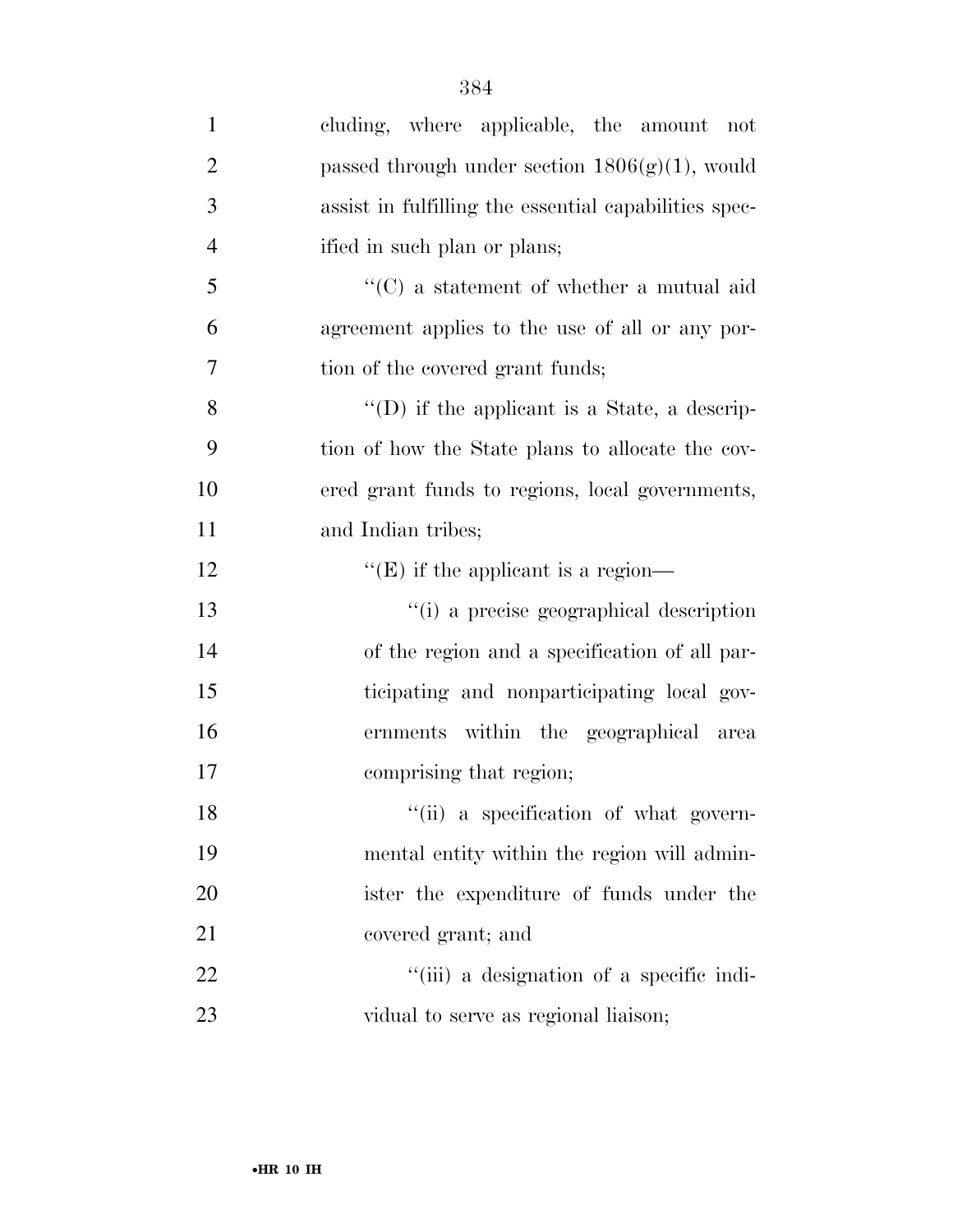| $\mathbf{1}$   | cluding, where applicable, the amount not             |
|----------------|-------------------------------------------------------|
| $\overline{2}$ | passed through under section $1806(g)(1)$ , would     |
| 3              | assist in fulfilling the essential capabilities spec- |
| $\overline{4}$ | ified in such plan or plans;                          |
| 5              | $\lq\lq$ a statement of whether a mutual aid          |
| 6              | agreement applies to the use of all or any por-       |
| 7              | tion of the covered grant funds;                      |
| 8              | "(D) if the applicant is a State, a descrip-          |
| 9              | tion of how the State plans to allocate the cov-      |
| 10             | ered grant funds to regions, local governments,       |
| 11             | and Indian tribes;                                    |
| 12             | $\lq\lq$ (E) if the applicant is a region—            |
| 13             | "(i) a precise geographical description               |
| 14             | of the region and a specification of all par-         |
| 15             | ticipating and nonparticipating local gov-            |
| 16             | ernments within the geographical area                 |
| 17             | comprising that region;                               |
| 18             | "(ii) a specification of what govern-                 |
| 19             | mental entity within the region will admin-           |
| 20             | ister the expenditure of funds under the              |
| 21             | covered grant; and                                    |
| 22             | "(iii) a designation of a specific indi-              |
| 23             | vidual to serve as regional liaison;                  |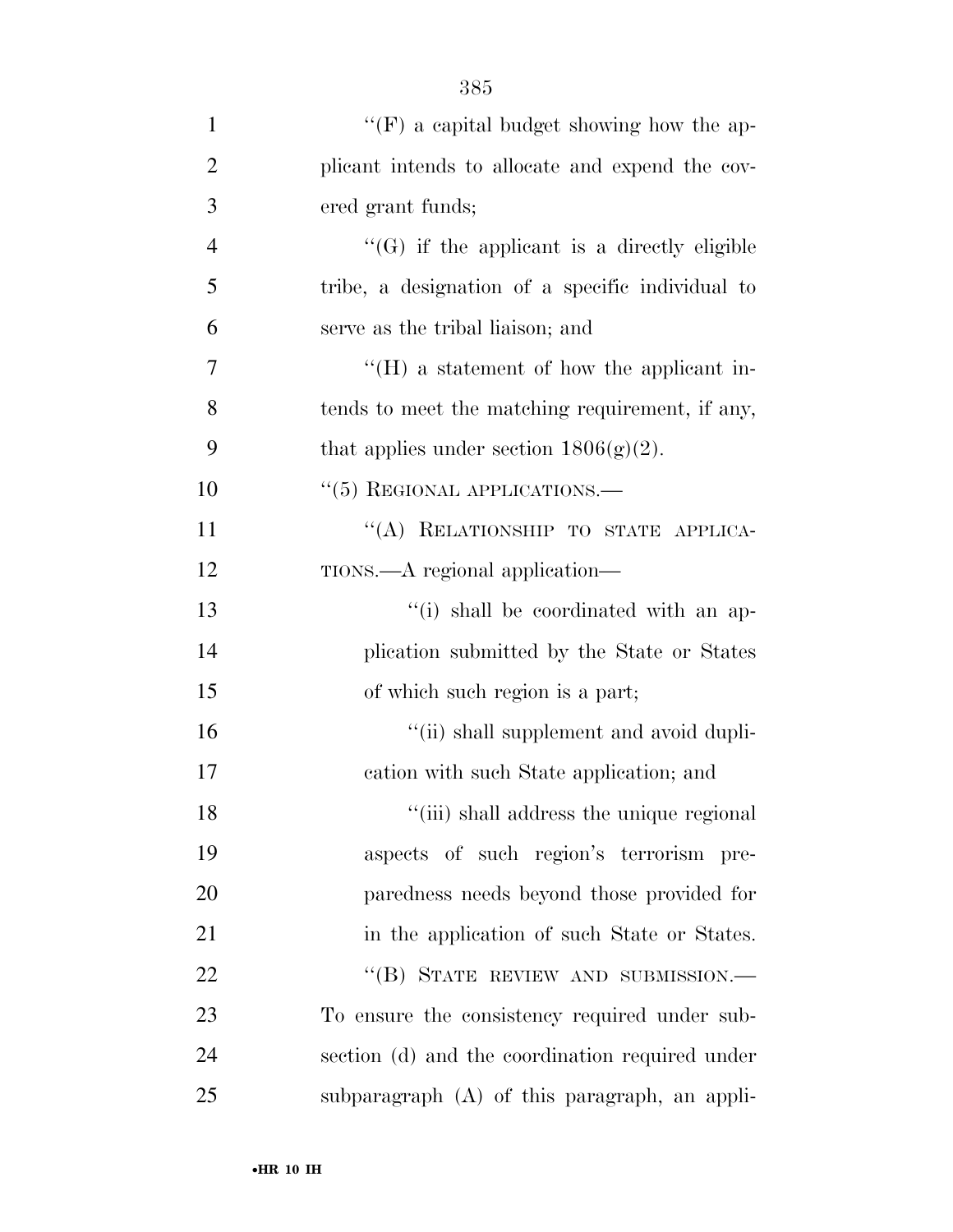| $\mathbf{1}$   | " $(F)$ a capital budget showing how the ap-        |
|----------------|-----------------------------------------------------|
| $\overline{2}$ | plicant intends to allocate and expend the cov-     |
| 3              | ered grant funds;                                   |
| $\overline{4}$ | $\lq\lq(G)$ if the applicant is a directly eligible |
| 5              | tribe, a designation of a specific individual to    |
| 6              | serve as the tribal liaison; and                    |
| 7              | $\lq\lq (H)$ a statement of how the applicant in-   |
| 8              | tends to meet the matching requirement, if any,     |
| 9              | that applies under section $1806(g)(2)$ .           |
| 10             | $\cdot\cdot$ (5) REGIONAL APPLICATIONS.—            |
| 11             | "(A) RELATIONSHIP TO STATE APPLICA-                 |
| 12             | TIONS.—A regional application—                      |
| 13             | "(i) shall be coordinated with an ap-               |
| 14             | plication submitted by the State or States          |
| 15             | of which such region is a part;                     |
| 16             | "(ii) shall supplement and avoid dupli-             |
| 17             | cation with such State application; and             |
| 18             | "(iii) shall address the unique regional            |
| 19             | aspects of such region's terrorism pre-             |
| 20             | paredness needs beyond those provided for           |
| 21             | in the application of such State or States.         |
| 22             | "(B) STATE REVIEW AND SUBMISSION.-                  |
| 23             | To ensure the consistency required under sub-       |
| 24             | section (d) and the coordination required under     |
| 25             | subparagraph (A) of this paragraph, an appli-       |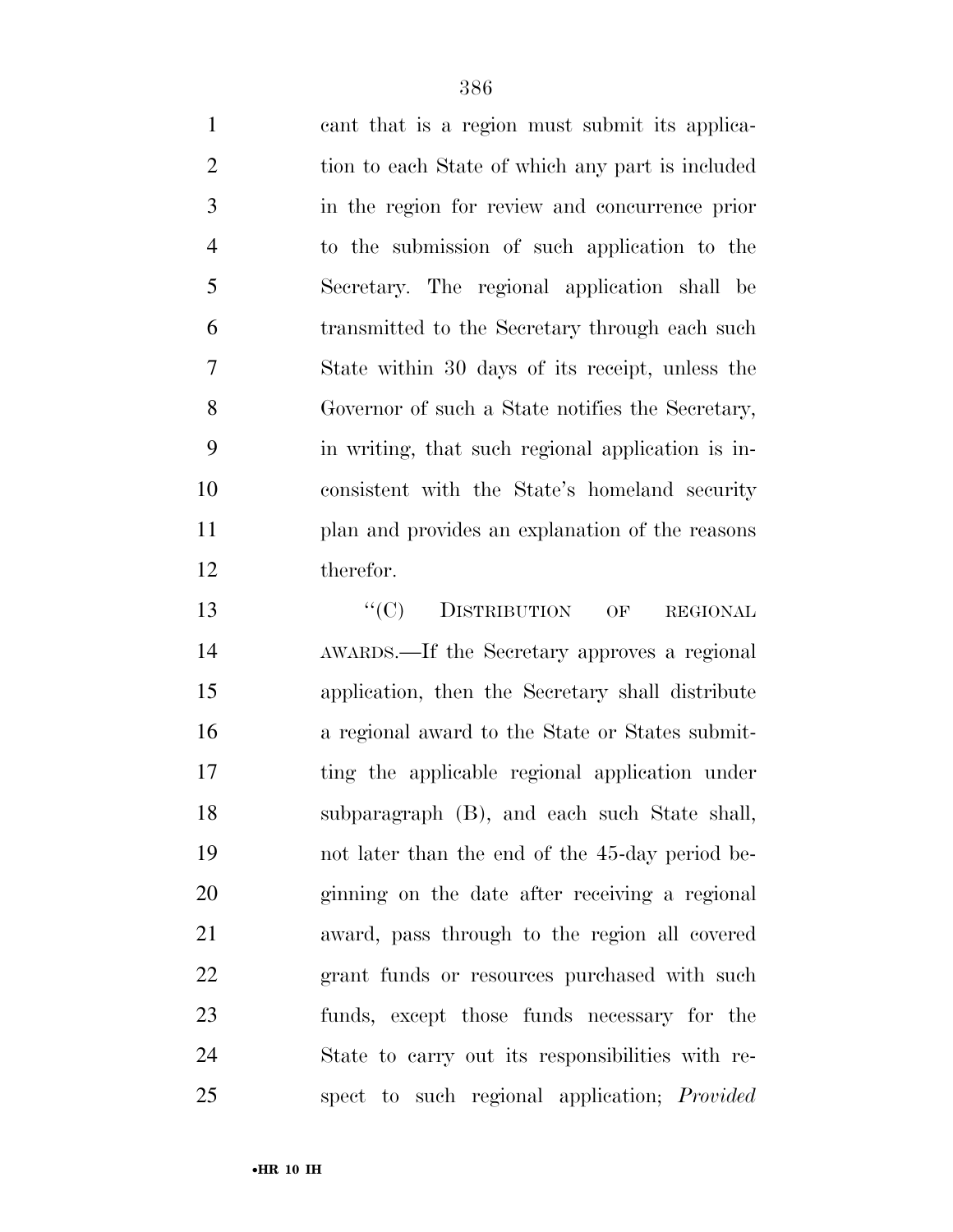cant that is a region must submit its applica- tion to each State of which any part is included in the region for review and concurrence prior to the submission of such application to the Secretary. The regional application shall be transmitted to the Secretary through each such State within 30 days of its receipt, unless the Governor of such a State notifies the Secretary, in writing, that such regional application is in- consistent with the State's homeland security plan and provides an explanation of the reasons therefor.

13 "<sup>(C)</sup> DISTRIBUTION OF REGIONAL AWARDS.—If the Secretary approves a regional application, then the Secretary shall distribute a regional award to the State or States submit- ting the applicable regional application under subparagraph (B), and each such State shall, not later than the end of the 45-day period be- ginning on the date after receiving a regional award, pass through to the region all covered 22 grant funds or resources purchased with such funds, except those funds necessary for the State to carry out its responsibilities with re-spect to such regional application; *Provided*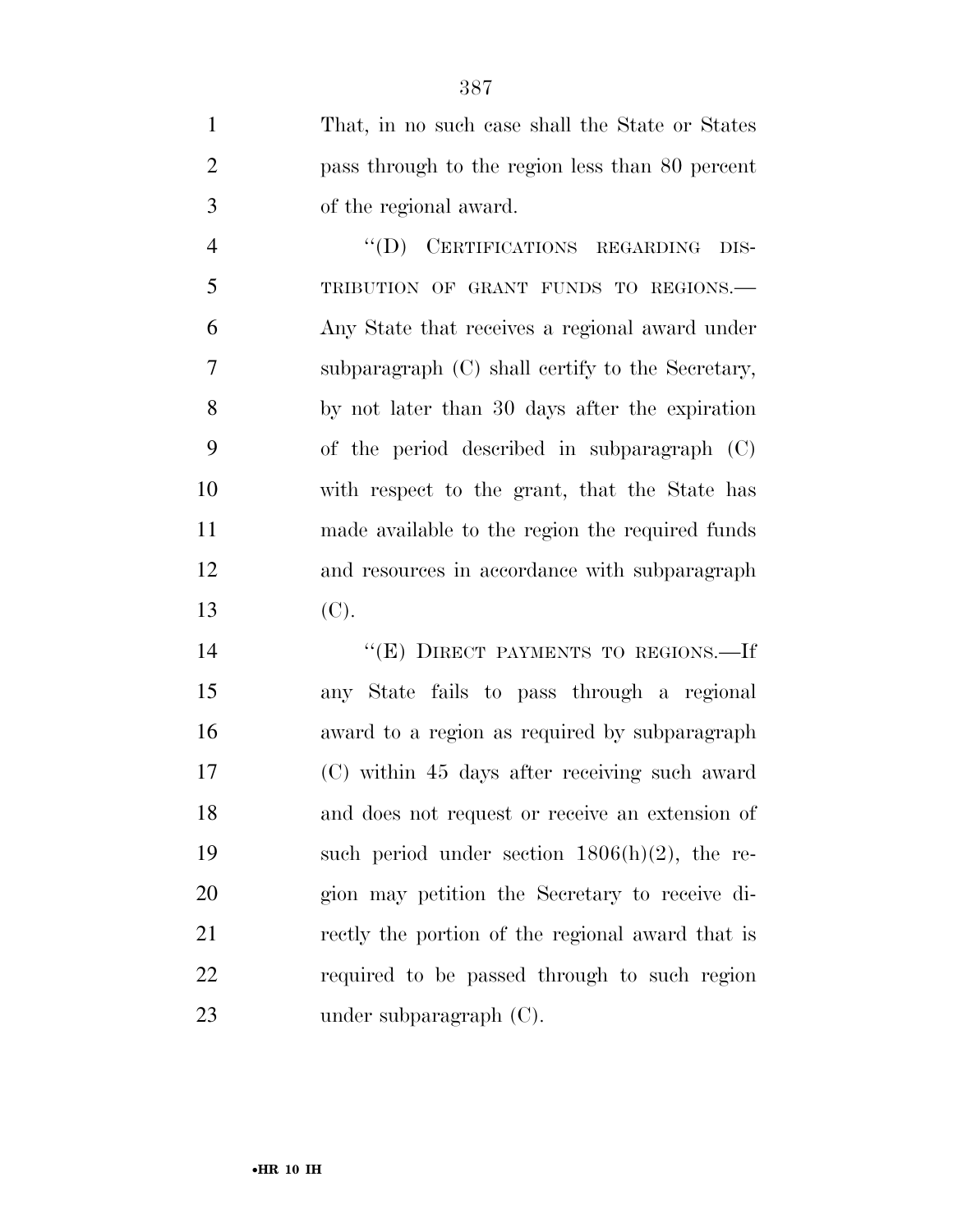That, in no such case shall the State or States pass through to the region less than 80 percent of the regional award.

 ''(D) CERTIFICATIONS REGARDING DIS- TRIBUTION OF GRANT FUNDS TO REGIONS.— Any State that receives a regional award under subparagraph (C) shall certify to the Secretary, by not later than 30 days after the expiration of the period described in subparagraph (C) with respect to the grant, that the State has made available to the region the required funds and resources in accordance with subparagraph (C).

14 "(E) DIRECT PAYMENTS TO REGIONS.—If any State fails to pass through a regional award to a region as required by subparagraph (C) within 45 days after receiving such award and does not request or receive an extension of such period under section 1806(h)(2), the re- gion may petition the Secretary to receive di- rectly the portion of the regional award that is required to be passed through to such region under subparagraph (C).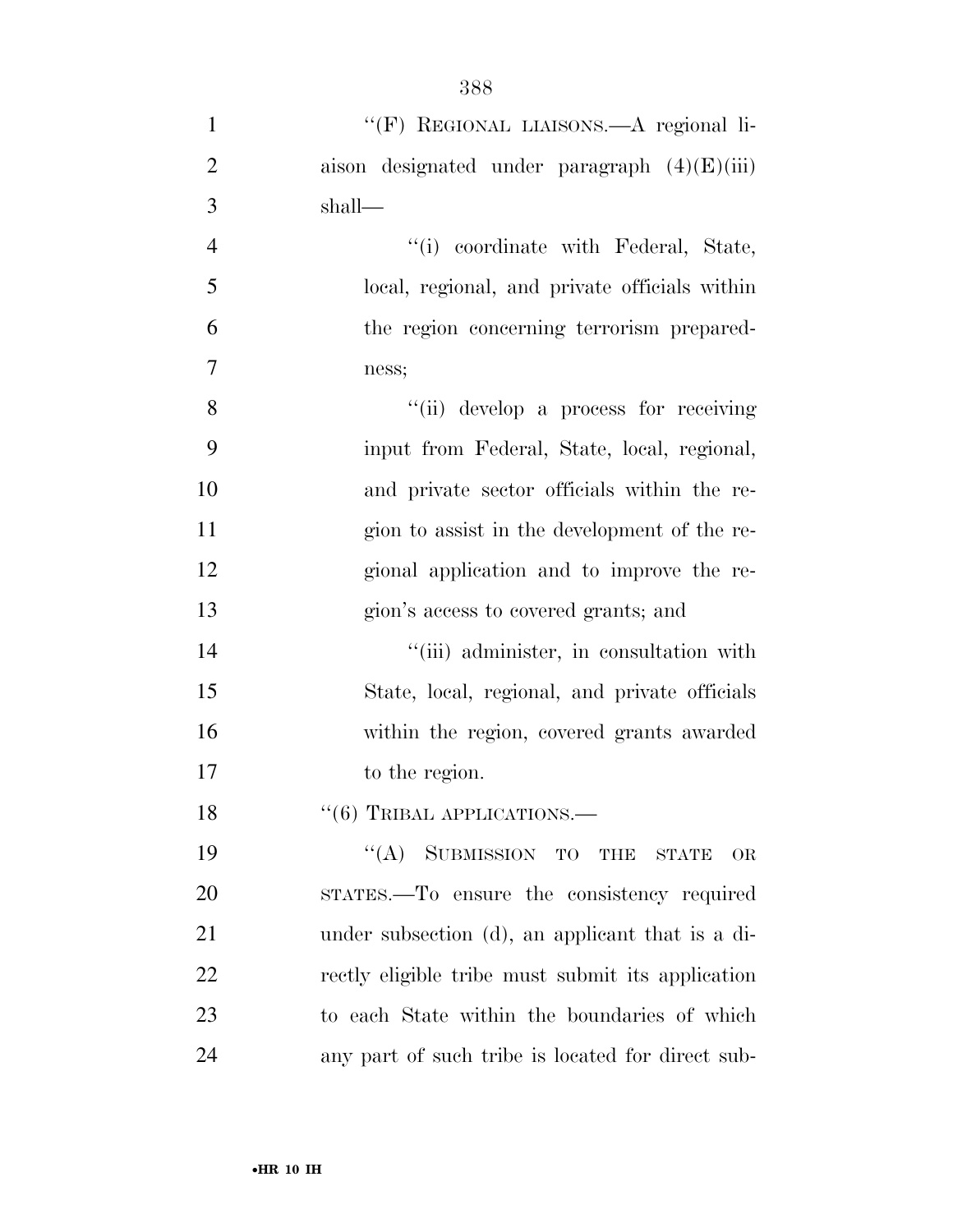| $\mathbf{1}$   | "(F) REGIONAL LIAISONS.—A regional li-            |
|----------------|---------------------------------------------------|
| $\overline{2}$ | aison designated under paragraph $(4)(E)(iii)$    |
| 3              | shall—                                            |
| $\overline{4}$ | "(i) coordinate with Federal, State,              |
| 5              | local, regional, and private officials within     |
| 6              | the region concerning terrorism prepared-         |
| 7              | ness;                                             |
| 8              | "(ii) develop a process for receiving             |
| 9              | input from Federal, State, local, regional,       |
| 10             | and private sector officials within the re-       |
| 11             | gion to assist in the development of the re-      |
| 12             | gional application and to improve the re-         |
| 13             | gion's access to covered grants; and              |
| 14             | "(iii) administer, in consultation with           |
| 15             | State, local, regional, and private officials     |
| 16             | within the region, covered grants awarded         |
| 17             | to the region.                                    |
| 18             | $``(6)$ TRIBAL APPLICATIONS.—                     |
| 19             | "(A) SUBMISSION TO THE STATE<br>OR                |
| 20             | STATES.—To ensure the consistency required        |
| 21             | under subsection (d), an applicant that is a di-  |
| 22             | rectly eligible tribe must submit its application |
| 23             | to each State within the boundaries of which      |
|                |                                                   |

any part of such tribe is located for direct sub-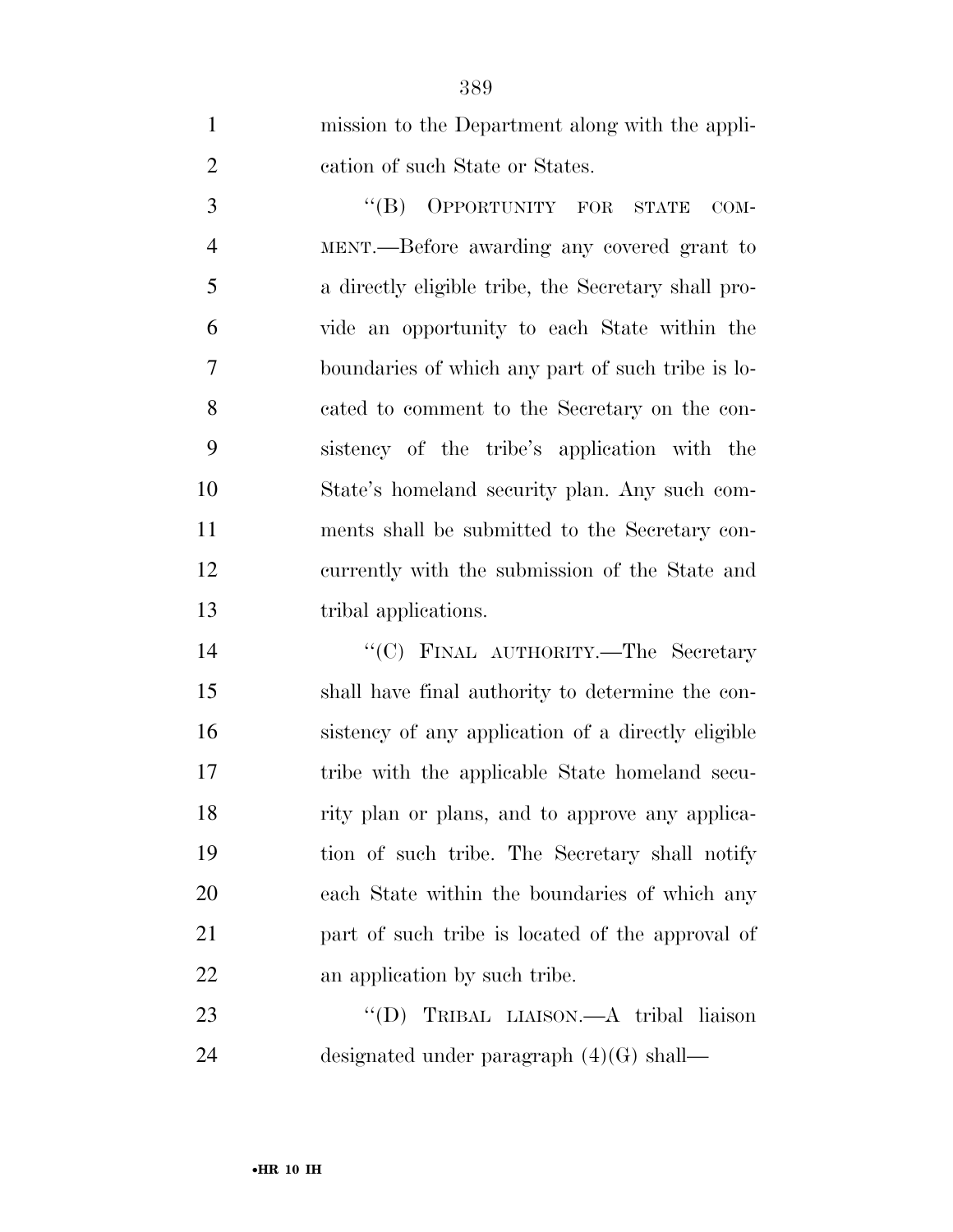| $\mathbf{1}$   | mission to the Department along with the appli-     |
|----------------|-----------------------------------------------------|
| $\overline{2}$ | cation of such State or States.                     |
| 3              | "(B) OPPORTUNITY FOR STATE<br>$COM-$                |
| $\overline{4}$ | MENT.—Before awarding any covered grant to          |
| 5              | a directly eligible tribe, the Secretary shall pro- |
| 6              | vide an opportunity to each State within the        |
| 7              | boundaries of which any part of such tribe is lo-   |
| 8              | cated to comment to the Secretary on the con-       |
| 9              | sistency of the tribe's application with the        |
| 10             | State's homeland security plan. Any such com-       |
| 11             | ments shall be submitted to the Secretary con-      |
| 12             | currently with the submission of the State and      |
| 13             | tribal applications.                                |
|                |                                                     |
| 14             | "(C) FINAL AUTHORITY.—The Secretary                 |
| 15             | shall have final authority to determine the con-    |
| 16             | sistency of any application of a directly eligible  |
| 17             | tribe with the applicable State homeland secu-      |
| 18             | rity plan or plans, and to approve any applica-     |
| 19             | tion of such tribe. The Secretary shall notify      |
| 20             | each State within the boundaries of which any       |
| 21             | part of such tribe is located of the approval of    |
| 22             | an application by such tribe.                       |
| 23             | "(D) TRIBAL LIAISON.—A tribal liaison               |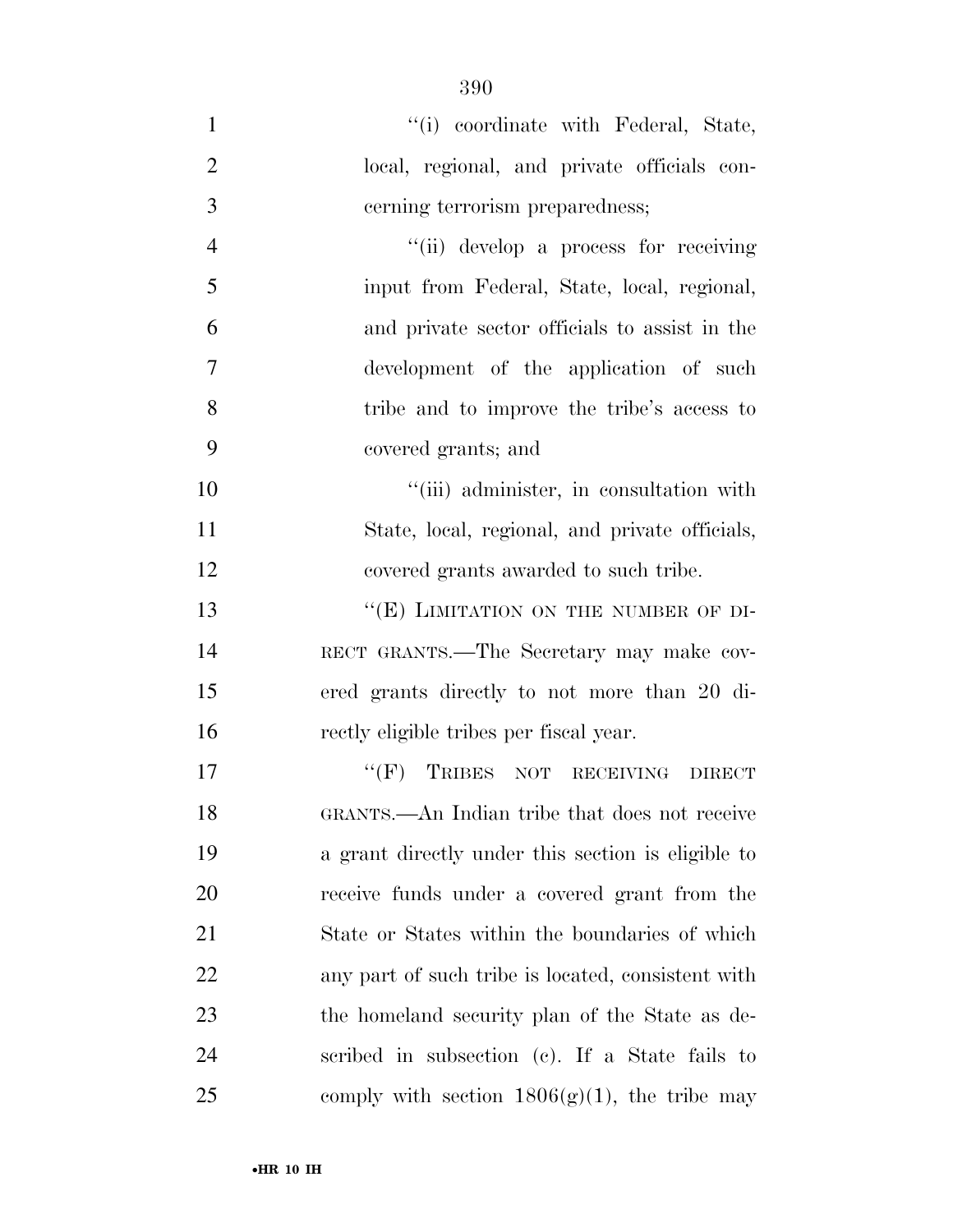- 1  $\frac{1}{10}$  coordinate with Federal, State, local, regional, and private officials con- cerning terrorism preparedness; ''(ii) develop a process for receiving input from Federal, State, local, regional, and private sector officials to assist in the development of the application of such tribe and to improve the tribe's access to covered grants; and 10  $"$ (iii) administer, in consultation with State, local, regional, and private officials, covered grants awarded to such tribe. 13 "(E) LIMITATION ON THE NUMBER OF DI- RECT GRANTS.—The Secretary may make cov- ered grants directly to not more than 20 di- rectly eligible tribes per fiscal year. 17 ""(F) TRIBES NOT RECEIVING DIRECT GRANTS.—An Indian tribe that does not receive a grant directly under this section is eligible to receive funds under a covered grant from the State or States within the boundaries of which
- any part of such tribe is located, consistent with the homeland security plan of the State as de- scribed in subsection (c). If a State fails to 25 comply with section  $1806(g)(1)$ , the tribe may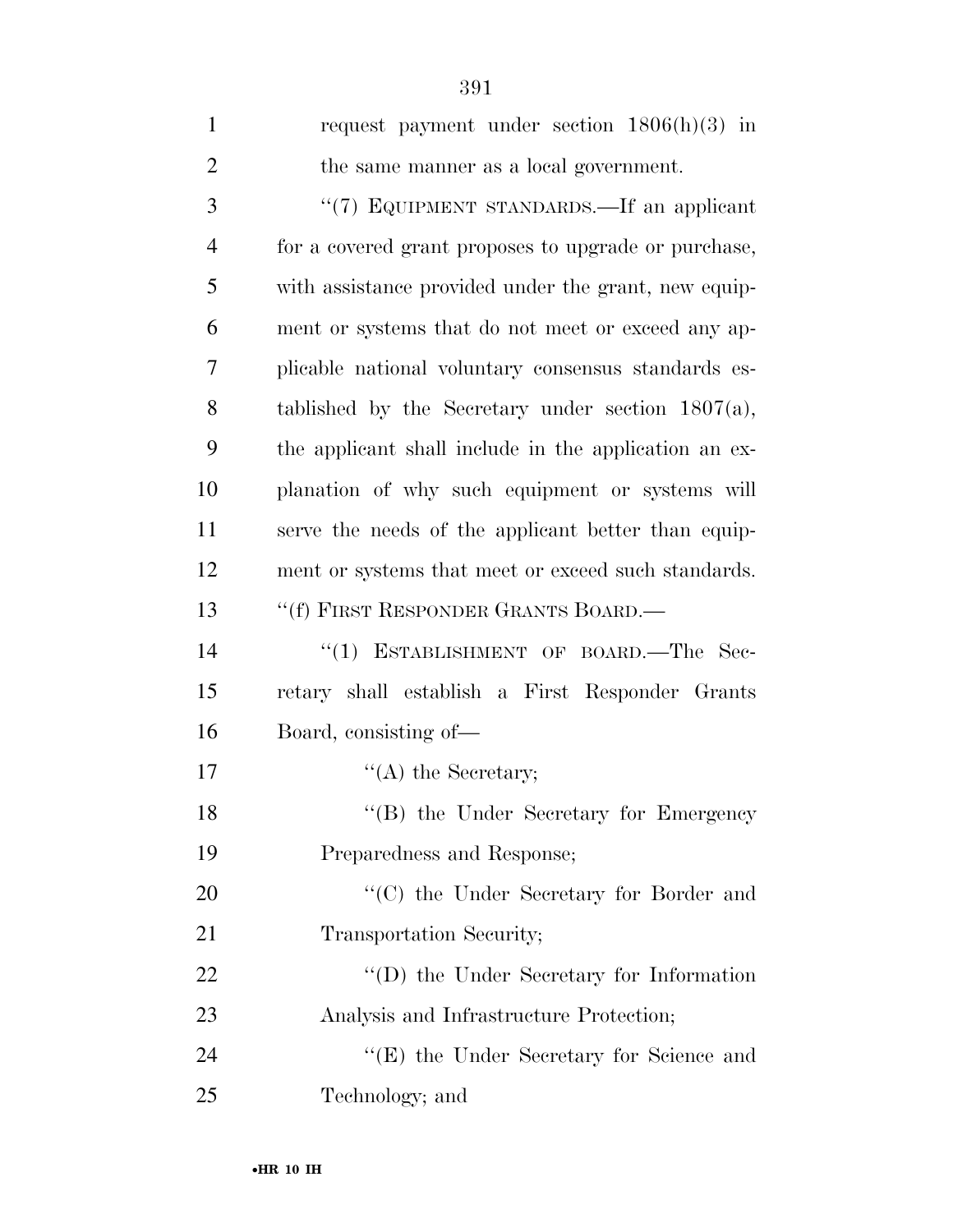| $\mathbf{1}$   | request payment under section $1806(h)(3)$ in         |
|----------------|-------------------------------------------------------|
| $\overline{2}$ | the same manner as a local government.                |
| 3              | "(7) EQUIPMENT STANDARDS.—If an applicant             |
| $\overline{4}$ | for a covered grant proposes to upgrade or purchase,  |
| 5              | with assistance provided under the grant, new equip-  |
| 6              | ment or systems that do not meet or exceed any ap-    |
| 7              | plicable national voluntary consensus standards es-   |
| 8              | tablished by the Secretary under section $1807(a)$ ,  |
| 9              | the applicant shall include in the application an ex- |
| 10             | planation of why such equipment or systems will       |
| 11             | serve the needs of the applicant better than equip-   |
| 12             | ment or systems that meet or exceed such standards.   |
| 13             | "(f) FIRST RESPONDER GRANTS BOARD.—                   |
| 14             | ESTABLISHMENT OF BOARD.-The Sec-<br>``(1)             |
| 15             | retary shall establish a First Responder Grants       |
| 16             | Board, consisting of-                                 |
| 17             | $\lq\lq$ the Secretary;                               |
| 18             | "(B) the Under Secretary for Emergency                |
| 19             | Preparedness and Response;                            |
| 20             | "(C) the Under Secretary for Border and               |
| 21             | Transportation Security;                              |
| 22             | $\lq\lq$ the Under Secretary for Information          |
| 23             | Analysis and Infrastructure Protection;               |
| 24             | "(E) the Under Secretary for Science and              |
| 25             | Technology; and                                       |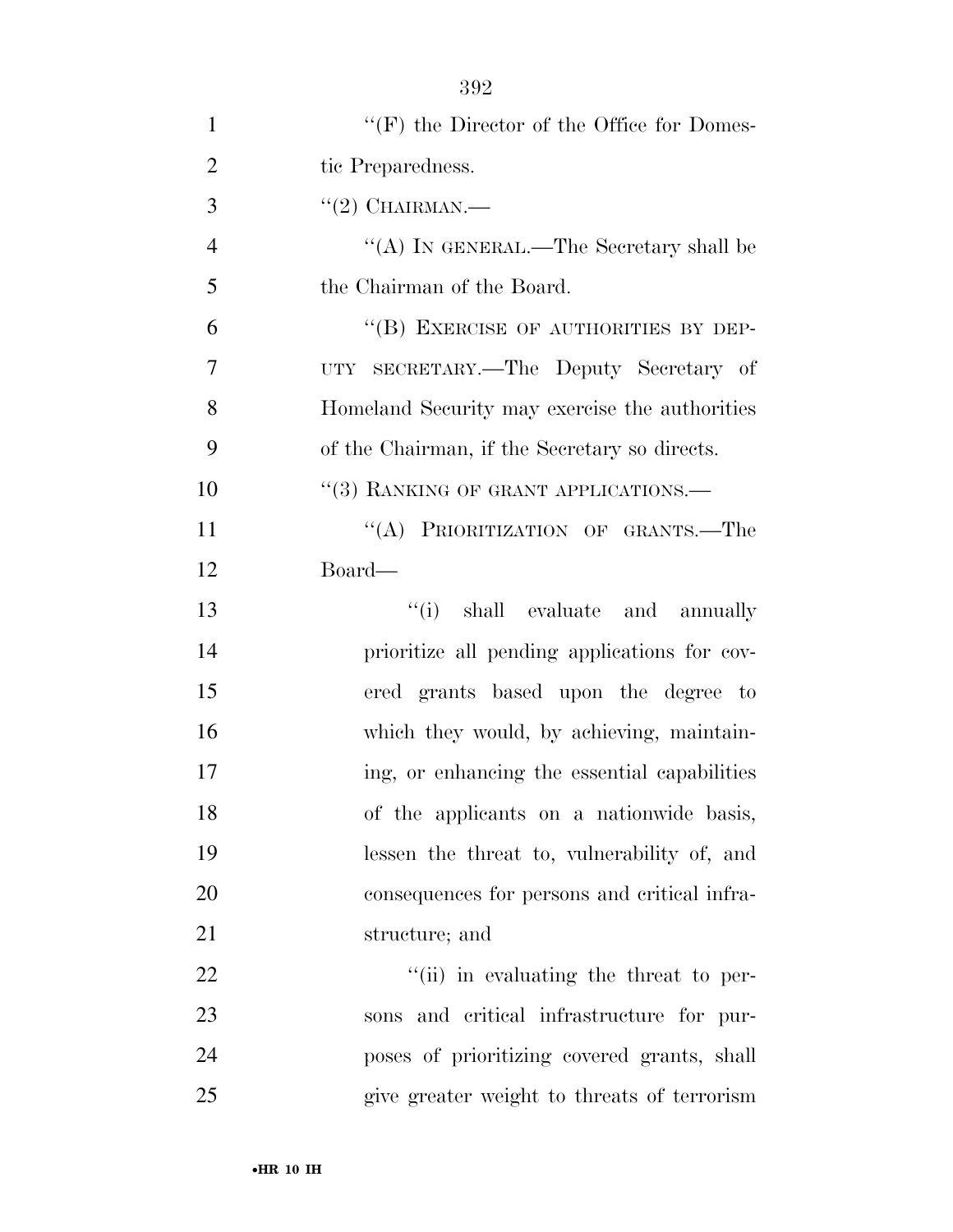| $\mathbf{1}$   | $``(F)$ the Director of the Office for Domes-  |
|----------------|------------------------------------------------|
| $\overline{2}$ | tic Preparedness.                              |
| 3              | $(2)$ CHAIRMAN.—                               |
| $\overline{4}$ | "(A) IN GENERAL.—The Secretary shall be        |
| 5              | the Chairman of the Board.                     |
| 6              | "(B) EXERCISE OF AUTHORITIES BY DEP-           |
| 7              | UTY SECRETARY.—The Deputy Secretary of         |
| 8              | Homeland Security may exercise the authorities |
| 9              | of the Chairman, if the Secretary so directs.  |
| 10             | "(3) RANKING OF GRANT APPLICATIONS.-           |
| 11             | "(A) PRIORITIZATION OF GRANTS.-The             |
| 12             | Board—                                         |
| 13             | "(i) shall evaluate and annually               |
| 14             | prioritize all pending applications for cov-   |
| 15             | ered grants based upon the degree to           |
| 16             | which they would, by achieving, maintain-      |
| 17             | ing, or enhancing the essential capabilities   |
| 18             | of the applicants on a nationwide basis,       |
| 19             | lessen the threat to, vulnerability of, and    |
| 20             | consequences for persons and critical infra-   |
| 21             | structure; and                                 |
| 22             | "(ii) in evaluating the threat to per-         |
| 23             | sons and critical infrastructure for pur-      |
| 24             | poses of prioritizing covered grants, shall    |
| 25             | give greater weight to threats of terrorism    |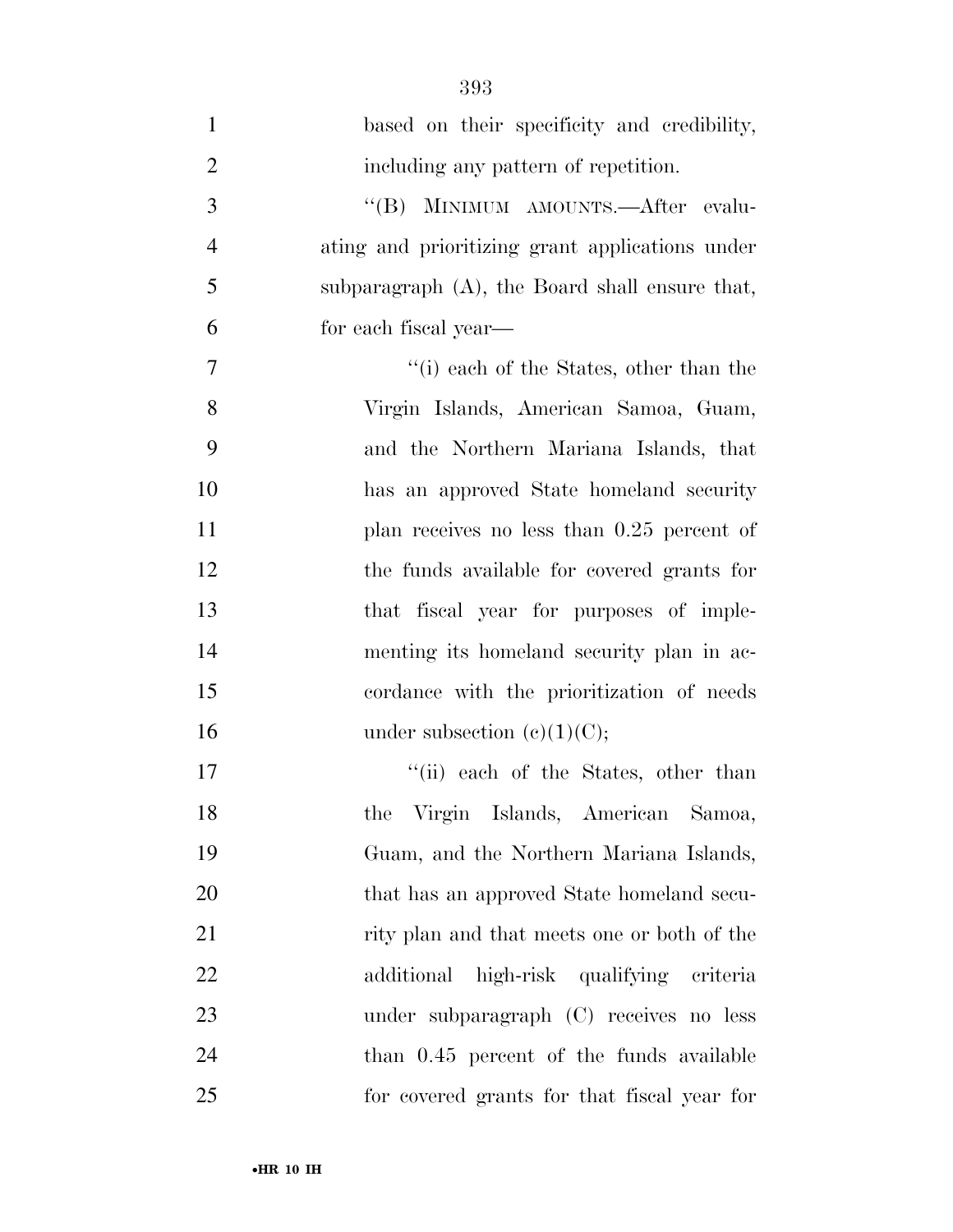| $\mathbf{1}$     | based on their specificity and credibility,     |
|------------------|-------------------------------------------------|
| $\overline{2}$   | including any pattern of repetition.            |
| 3                | "(B) MINIMUM AMOUNTS.—After evalu-              |
| $\overline{4}$   | ating and prioritizing grant applications under |
| 5                | subparagraph (A), the Board shall ensure that,  |
| 6                | for each fiscal year—                           |
| $\boldsymbol{7}$ | "(i) each of the States, other than the         |
| 8                | Virgin Islands, American Samoa, Guam,           |
| 9                | and the Northern Mariana Islands, that          |
| 10               | has an approved State homeland security         |
| 11               | plan receives no less than $0.25$ percent of    |
| 12               | the funds available for covered grants for      |
| 13               | that fiscal year for purposes of imple-         |
| 14               | menting its homeland security plan in ac-       |
| 15               | cordance with the prioritization of needs       |
| 16               | under subsection $(e)(1)(C)$ ;                  |
| 17               | "(ii) each of the States, other than            |
| 18               | Virgin Islands, American<br>Samoa,<br>the       |
| 19               | Guam, and the Northern Mariana Islands,         |
| 20               | that has an approved State homeland secu-       |
| 21               | rity plan and that meets one or both of the     |
| 22               | additional high-risk qualifying criteria        |
| 23               | under subparagraph (C) receives no less         |
| 24               | than 0.45 percent of the funds available        |
| 25               | for covered grants for that fiscal year for     |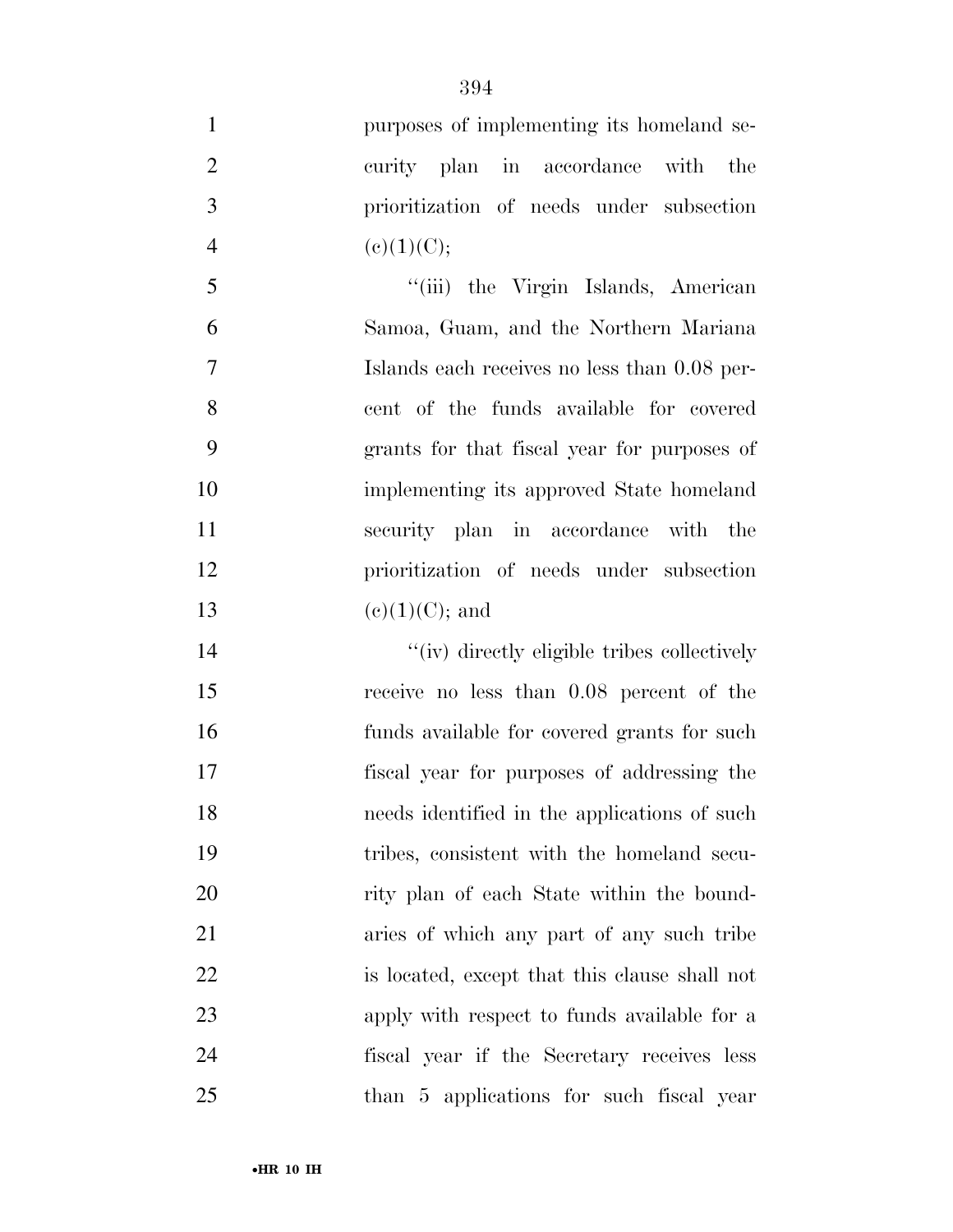| $\mathbf{1}$   | purposes of implementing its homeland se-     |
|----------------|-----------------------------------------------|
| $\overline{2}$ | curity plan in accordance with<br>the         |
| 3              | prioritization of needs under subsection      |
| $\overline{4}$ | (c)(1)(C);                                    |
| 5              | "(iii) the Virgin Islands, American           |
| 6              | Samoa, Guam, and the Northern Mariana         |
| 7              | Islands each receives no less than 0.08 per-  |
| 8              | cent of the funds available for covered       |
| 9              | grants for that fiscal year for purposes of   |
| 10             | implementing its approved State homeland      |
| 11             | security plan in accordance with the          |
| 12             | prioritization of needs under subsection      |
| 13             | $(e)(1)(C)$ ; and                             |
| 14             | "(iv) directly eligible tribes collectively   |
| 15             | receive no less than 0.08 percent of the      |
| 16             | funds available for covered grants for such   |
| 17             | fiscal year for purposes of addressing the    |
| 18             | needs identified in the applications of such  |
| 19             | tribes, consistent with the homeland secu-    |
| 20             | rity plan of each State within the bound-     |
| 21             | aries of which any part of any such tribe     |
| 22             | is located, except that this clause shall not |
| 23             | apply with respect to funds available for a   |
| 24             | fiscal year if the Secretary receives less    |
| 25             | than 5 applications for such fiscal year      |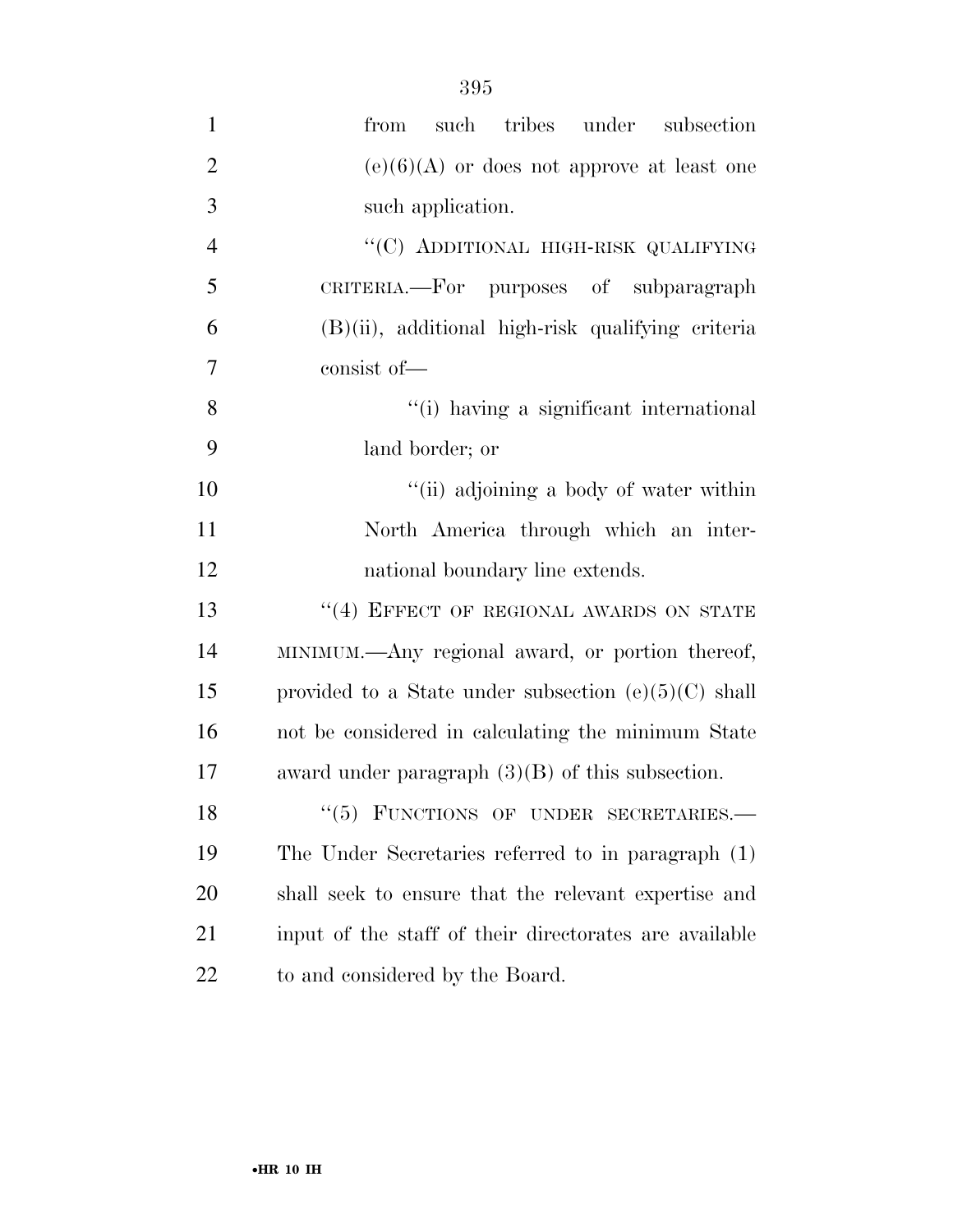| $\mathbf{1}$   | tribes under<br>such<br>from<br>subsection             |
|----------------|--------------------------------------------------------|
| $\overline{2}$ | $(e)(6)(A)$ or does not approve at least one           |
| $\overline{3}$ | such application.                                      |
| $\overline{4}$ | "(C) ADDITIONAL HIGH-RISK QUALIFYING                   |
| 5              | CRITERIA.—For purposes of subparagraph                 |
| 6              | $(B)(ii)$ , additional high-risk qualifying criteria   |
| $\overline{7}$ | consist of-                                            |
| 8              | "(i) having a significant international                |
| 9              | land border; or                                        |
| 10             | "(ii) adjoining a body of water within                 |
| 11             | North America through which an inter-                  |
| 12             | national boundary line extends.                        |
| 13             | "(4) EFFECT OF REGIONAL AWARDS ON STATE                |
| 14             | MINIMUM.—Any regional award, or portion thereof,       |
| 15             | provided to a State under subsection $(e)(5)(C)$ shall |
| 16             | not be considered in calculating the minimum State     |
| 17             | award under paragraph $(3)(B)$ of this subsection.     |
| 18             | $``(5)$ FUNCTIONS OF UNDER SECRETARIES.—               |
| 19             | The Under Secretaries referred to in paragraph (1)     |
| 20             | shall seek to ensure that the relevant expertise and   |
| 21             | input of the staff of their directorates are available |
| 22             | to and considered by the Board.                        |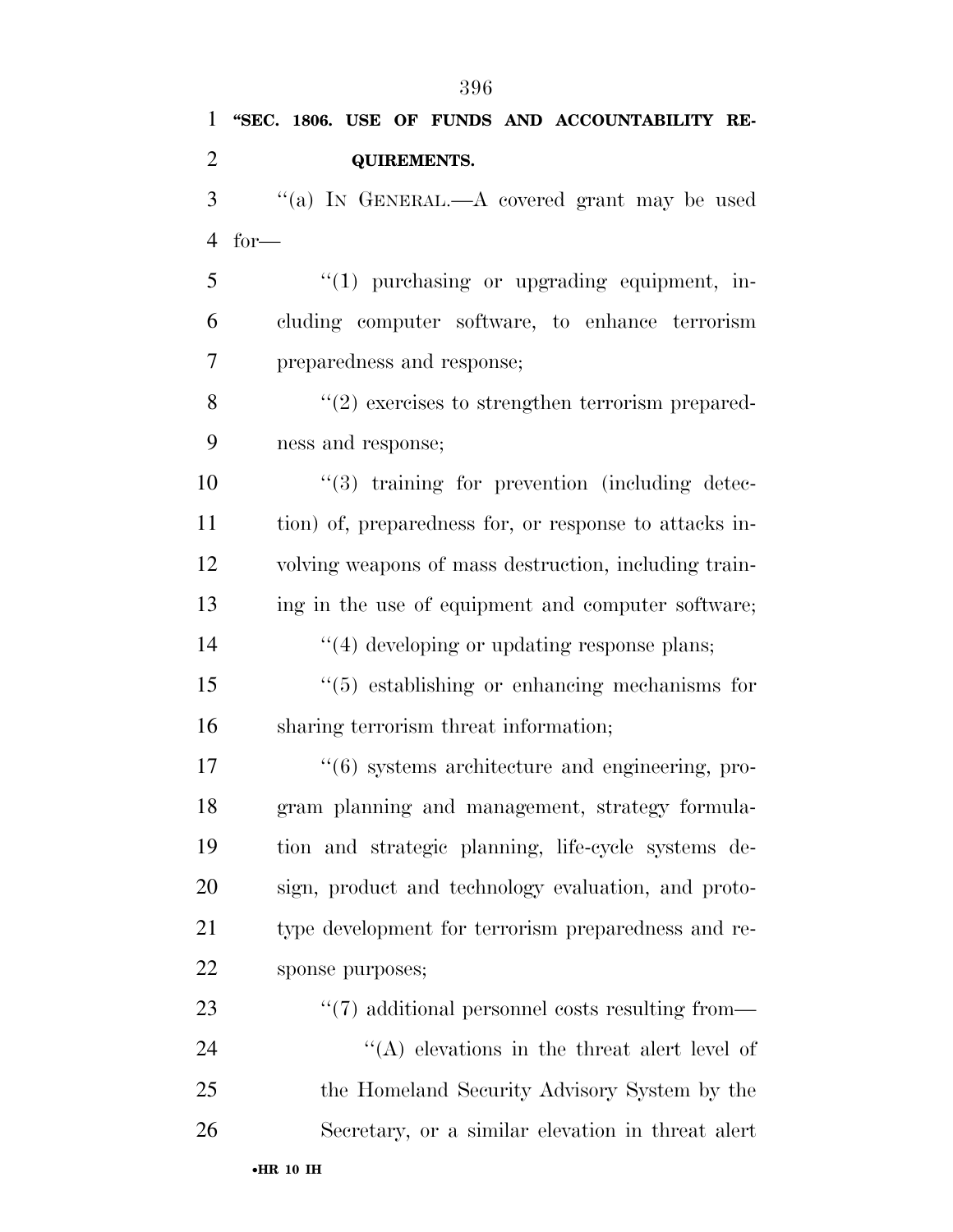**''SEC. 1806. USE OF FUNDS AND ACCOUNTABILITY RE- QUIREMENTS.**  ''(a) IN GENERAL.—A covered grant may be used for— 5 "(1) purchasing or upgrading equipment, in- cluding computer software, to enhance terrorism preparedness and response; 8 ''(2) exercises to strengthen terrorism prepared- ness and response;  $\frac{10}{3}$  training for prevention (including detec- tion) of, preparedness for, or response to attacks in- volving weapons of mass destruction, including train- ing in the use of equipment and computer software;  $\frac{1}{2}$   $\frac{1}{4}$  developing or updating response plans; ''(5) establishing or enhancing mechanisms for sharing terrorism threat information;  $\frac{17}{6}$  systems architecture and engineering, pro- gram planning and management, strategy formula- tion and strategic planning, life-cycle systems de- sign, product and technology evaluation, and proto- type development for terrorism preparedness and re- sponse purposes;  $\frac{4}{7}$  additional personnel costs resulting from— 24 ''(A) elevations in the threat alert level of the Homeland Security Advisory System by the Secretary, or a similar elevation in threat alert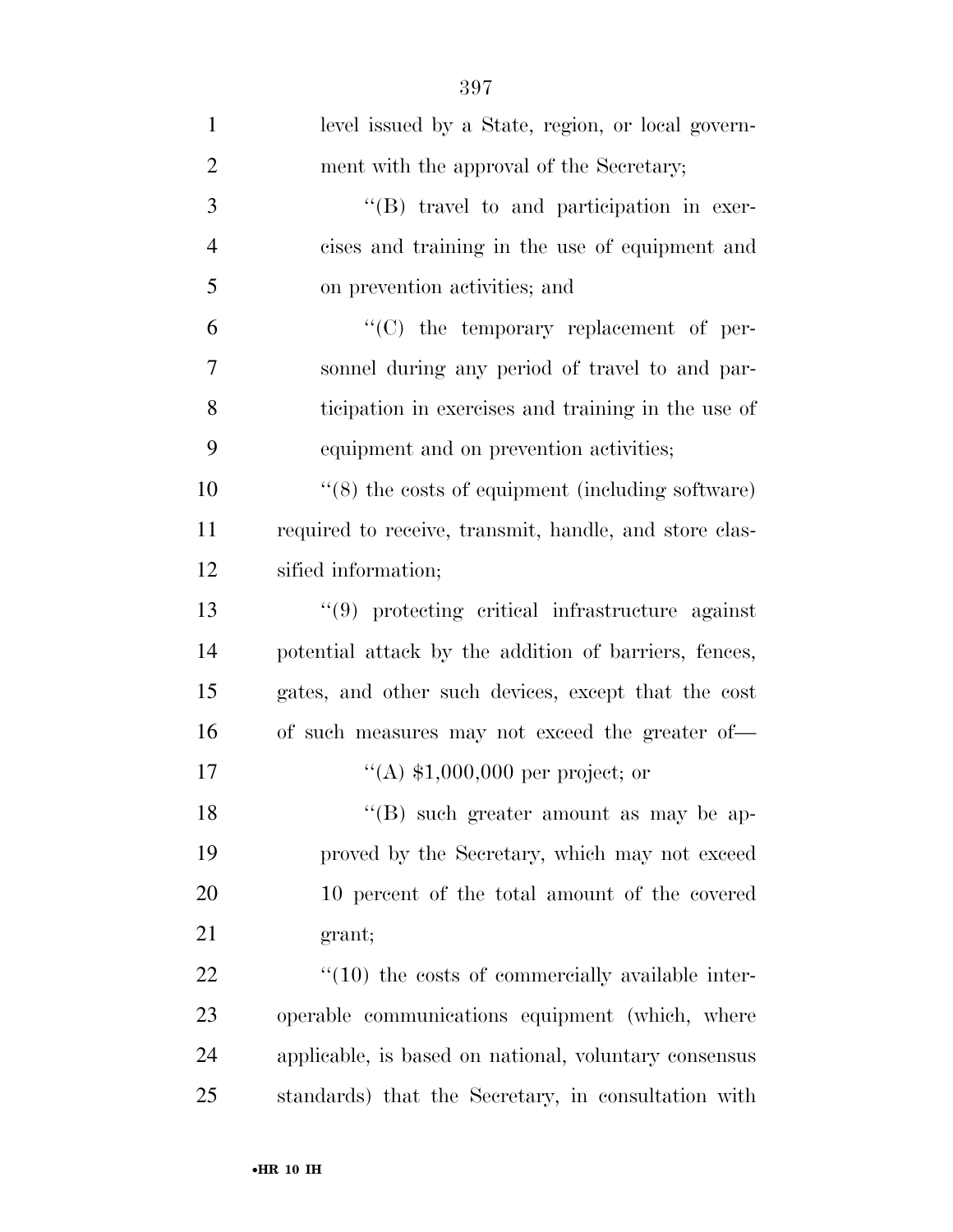| $\mathbf{1}$   | level issued by a State, region, or local govern-           |
|----------------|-------------------------------------------------------------|
| $\overline{2}$ | ment with the approval of the Secretary;                    |
| 3              | $\lq\lq (B)$ travel to and participation in exer-           |
| $\overline{4}$ | cises and training in the use of equipment and              |
| 5              | on prevention activities; and                               |
| 6              | $\lq\lq$ the temporary replacement of per-                  |
| 7              | sonnel during any period of travel to and par-              |
| 8              | ticipation in exercises and training in the use of          |
| 9              | equipment and on prevention activities;                     |
| 10             | $\cdot$ (8) the costs of equipment (including software)     |
| 11             | required to receive, transmit, handle, and store clas-      |
| 12             | sified information;                                         |
| 13             | "(9) protecting critical infrastructure against             |
| 14             | potential attack by the addition of barriers, fences,       |
| 15             | gates, and other such devices, except that the cost         |
| 16             | of such measures may not exceed the greater of—             |
| 17             | "(A) $$1,000,000$ per project; or                           |
| 18             | $\lq\lq (B)$ such greater amount as may be ap-              |
| 19             | proved by the Secretary, which may not exceed               |
| 20             | 10 percent of the total amount of the covered               |
| 21             | grant;                                                      |
| 22             | $\cdot\cdot(10)$ the costs of commercially available inter- |
| 23             | operable communications equipment (which, where             |
| 24             | applicable, is based on national, voluntary consensus       |
| 25             | standards) that the Secretary, in consultation with         |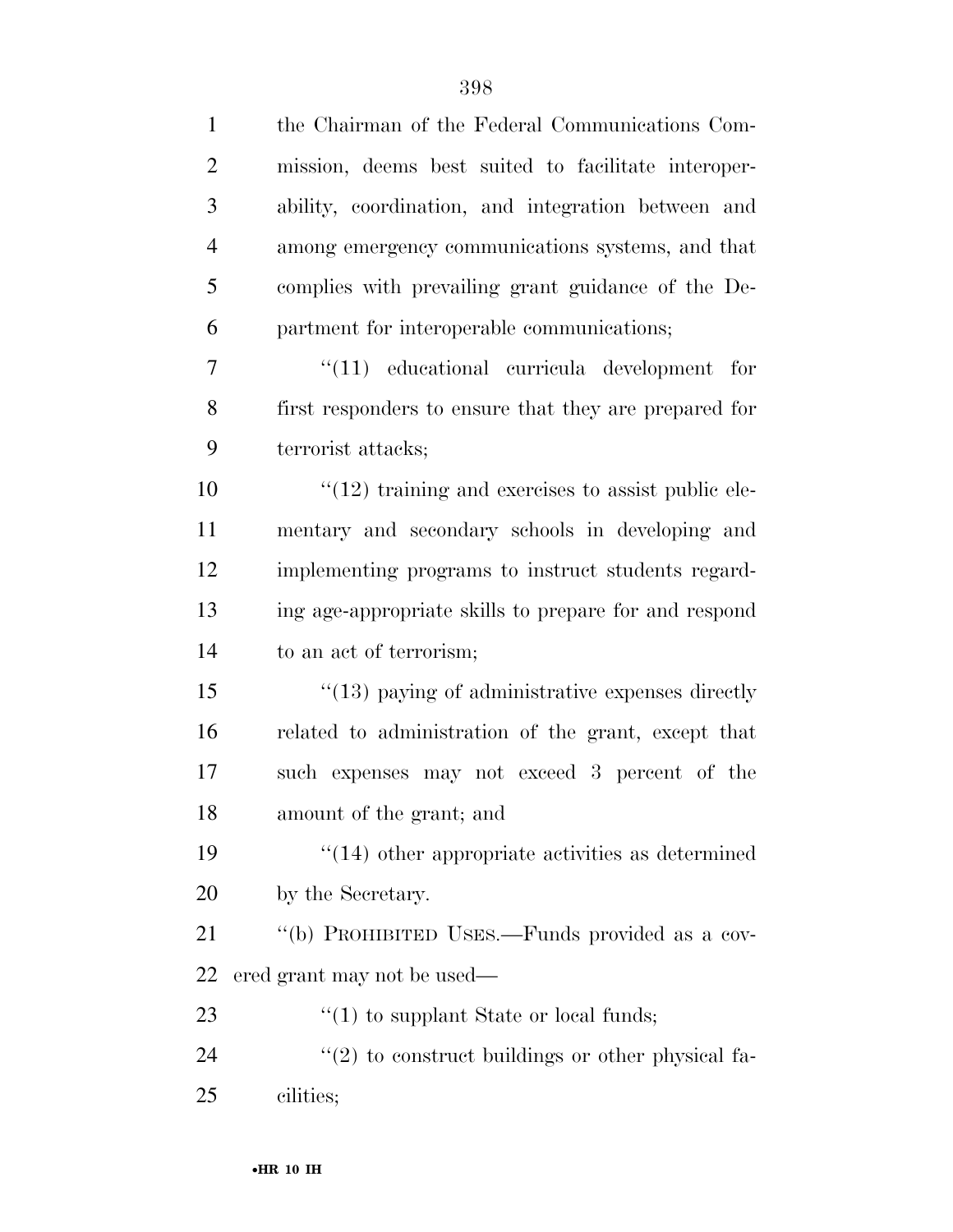| $\mathbf{1}$   | the Chairman of the Federal Communications Com-                   |
|----------------|-------------------------------------------------------------------|
| $\overline{2}$ | mission, deems best suited to facilitate interoper-               |
| 3              | ability, coordination, and integration between and                |
| $\overline{4}$ | among emergency communications systems, and that                  |
| 5              | complies with prevailing grant guidance of the De-                |
| 6              | partment for interoperable communications;                        |
| $\tau$         | $\lq(11)$ educational curricula development for                   |
| 8              | first responders to ensure that they are prepared for             |
| 9              | terrorist attacks;                                                |
| 10             | $"(12)$ training and exercises to assist public ele-              |
| 11             | mentary and secondary schools in developing and                   |
| 12             | implementing programs to instruct students regard-                |
| 13             | ing age-appropriate skills to prepare for and respond             |
| 14             | to an act of terrorism;                                           |
| 15             | $\cdot\cdot(13)$ paying of administrative expenses directly       |
| 16             | related to administration of the grant, except that               |
| 17             | such expenses may not exceed 3 percent of the                     |
| 18             | amount of the grant; and                                          |
| 19             | $\cdot$ (14) other appropriate activities as determined           |
| 20             | by the Secretary.                                                 |
| 21             | "(b) PROHIBITED USES.—Funds provided as a cov-                    |
| 22             | ered grant may not be used—                                       |
| 23             | $\lq(1)$ to supplant State or local funds;                        |
| 24             | $\cdot\cdot\cdot(2)$ to construct buildings or other physical fa- |
| 25             | cilities;                                                         |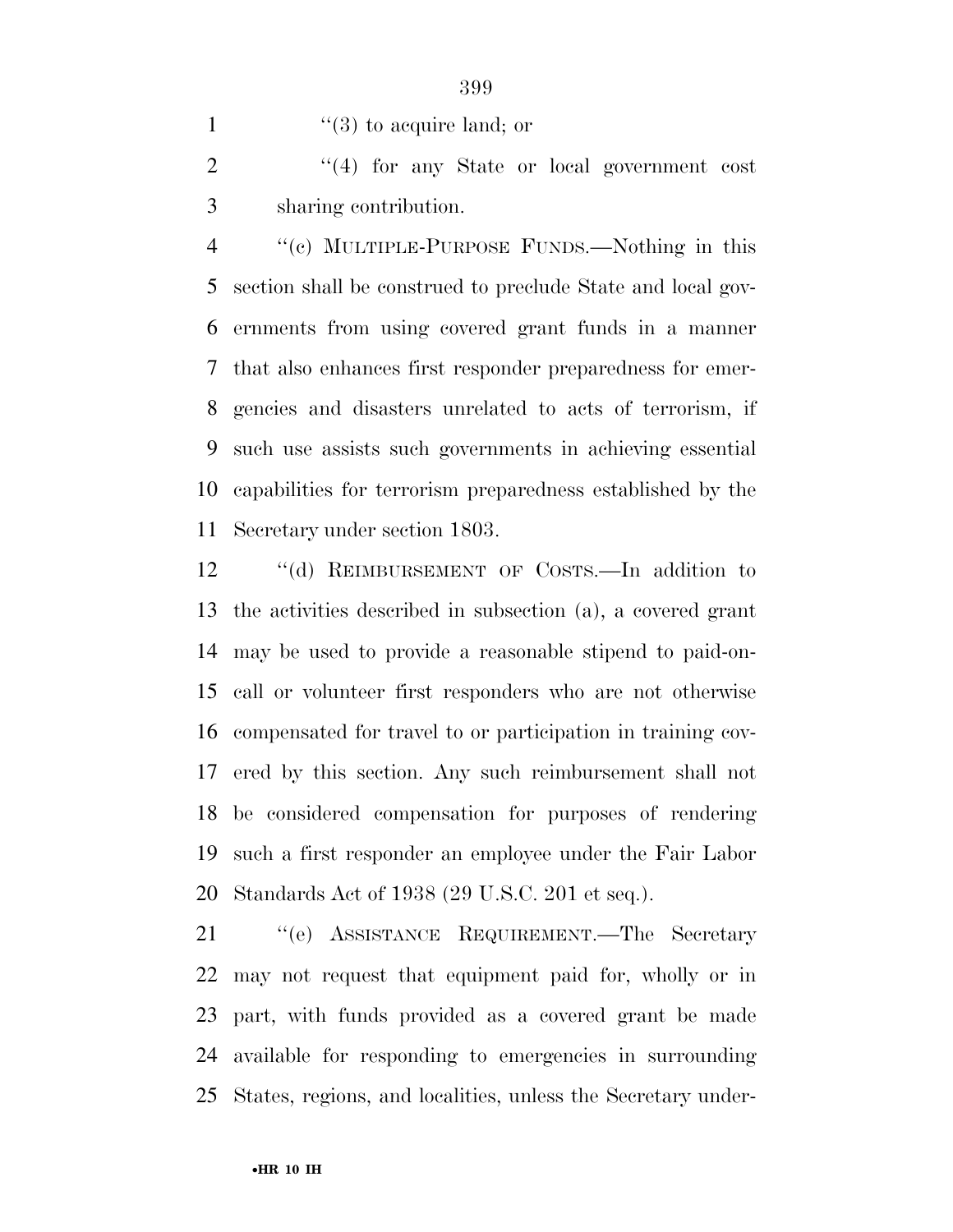1  $\frac{1}{2}$   $\frac{1}{3}$  to acquire land; or

2 "(4) for any State or local government cost sharing contribution.

 ''(c) MULTIPLE-PURPOSE FUNDS.—Nothing in this section shall be construed to preclude State and local gov- ernments from using covered grant funds in a manner that also enhances first responder preparedness for emer- gencies and disasters unrelated to acts of terrorism, if such use assists such governments in achieving essential capabilities for terrorism preparedness established by the Secretary under section 1803.

 ''(d) REIMBURSEMENT OF COSTS.—In addition to the activities described in subsection (a), a covered grant may be used to provide a reasonable stipend to paid-on- call or volunteer first responders who are not otherwise compensated for travel to or participation in training cov- ered by this section. Any such reimbursement shall not be considered compensation for purposes of rendering such a first responder an employee under the Fair Labor Standards Act of 1938 (29 U.S.C. 201 et seq.).

 ''(e) ASSISTANCE REQUIREMENT.—The Secretary may not request that equipment paid for, wholly or in part, with funds provided as a covered grant be made available for responding to emergencies in surrounding States, regions, and localities, unless the Secretary under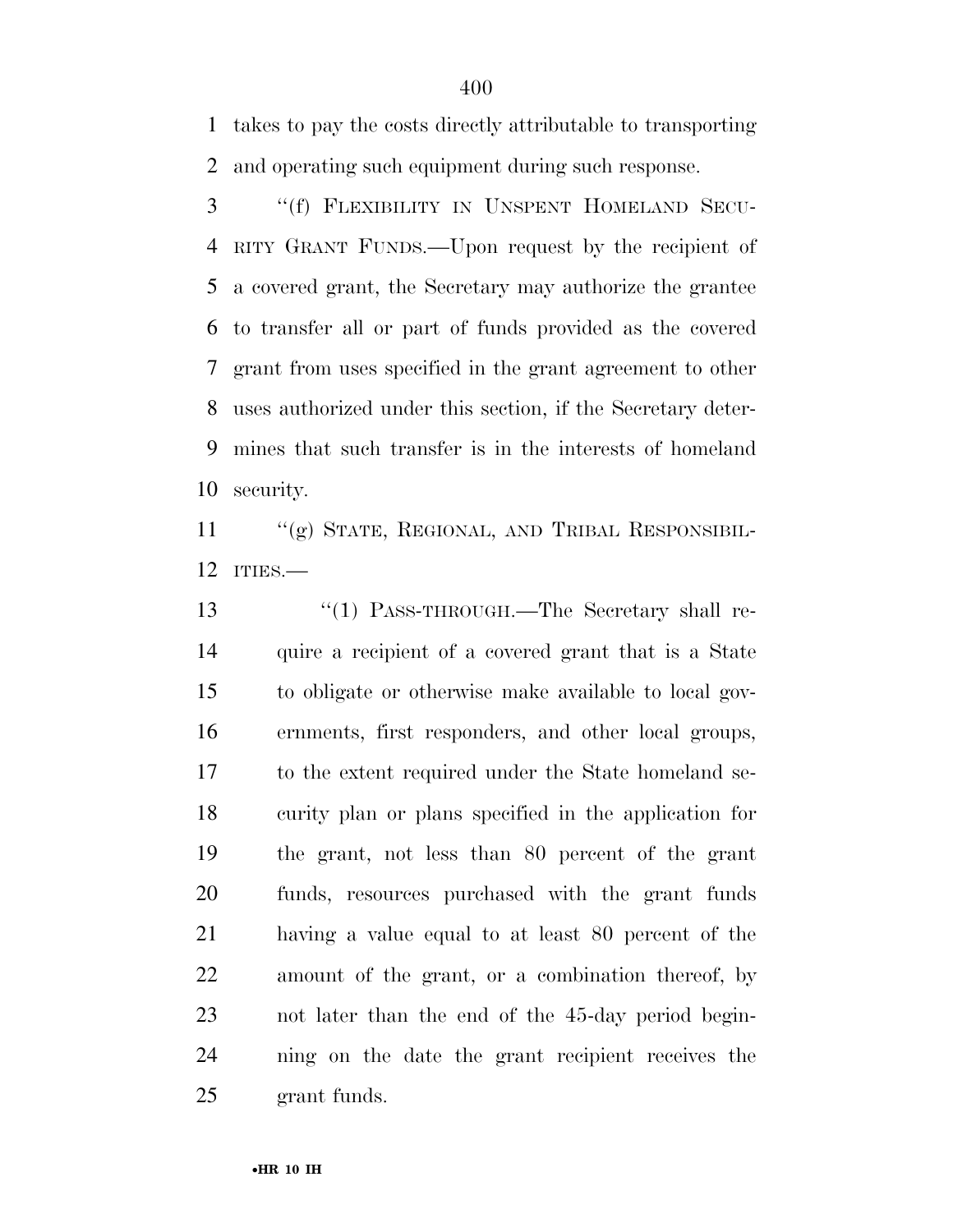takes to pay the costs directly attributable to transporting and operating such equipment during such response.

 ''(f) FLEXIBILITY IN UNSPENT HOMELAND SECU- RITY GRANT FUNDS.—Upon request by the recipient of a covered grant, the Secretary may authorize the grantee to transfer all or part of funds provided as the covered grant from uses specified in the grant agreement to other uses authorized under this section, if the Secretary deter- mines that such transfer is in the interests of homeland security.

 ''(g) STATE, REGIONAL, AND TRIBAL RESPONSIBIL-ITIES.—

13 "(1) PASS-THROUGH.—The Secretary shall re- quire a recipient of a covered grant that is a State to obligate or otherwise make available to local gov- ernments, first responders, and other local groups, to the extent required under the State homeland se- curity plan or plans specified in the application for the grant, not less than 80 percent of the grant funds, resources purchased with the grant funds having a value equal to at least 80 percent of the amount of the grant, or a combination thereof, by not later than the end of the 45-day period begin- ning on the date the grant recipient receives the grant funds.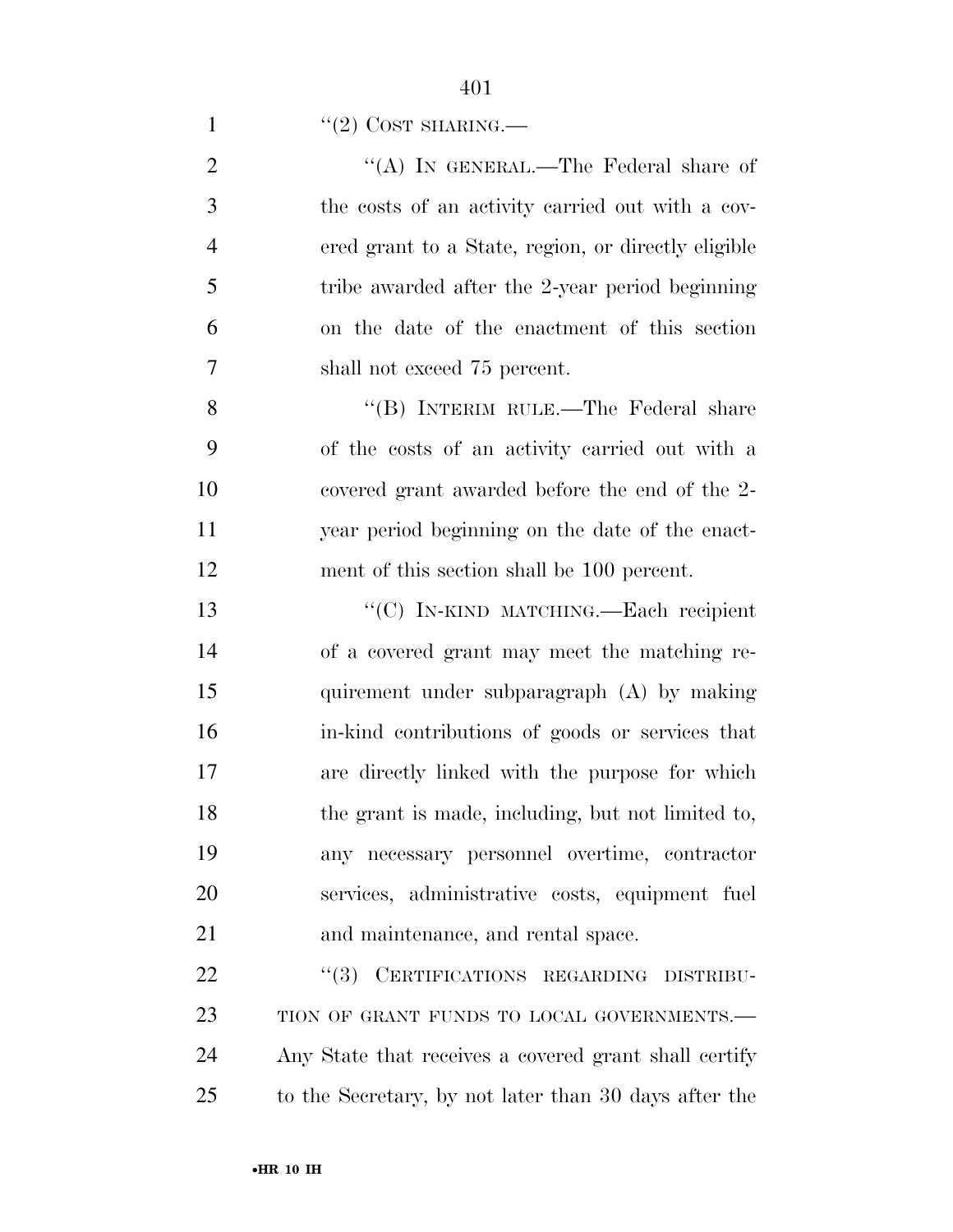1  $"(2)$  COST SHARING.—

| $\overline{2}$ | "(A) IN GENERAL.—The Federal share of               |
|----------------|-----------------------------------------------------|
| 3              | the costs of an activity carried out with a cov-    |
| $\overline{4}$ | ered grant to a State, region, or directly eligible |
| 5              | tribe awarded after the 2-year period beginning     |
| 6              | on the date of the enactment of this section        |
| 7              | shall not exceed 75 percent.                        |
| 8              | "(B) INTERIM RULE.—The Federal share                |
| 9              | of the costs of an activity carried out with a      |
| 10             | covered grant awarded before the end of the 2-      |
| 11             | year period beginning on the date of the enact-     |
| 12             | ment of this section shall be 100 percent.          |
| 13             | "(C) IN-KIND MATCHING.—Each recipient               |
| 14             | of a covered grant may meet the matching re-        |
| 15             | quirement under subparagraph (A) by making          |
| 16             | in-kind contributions of goods or services that     |
| 17             | are directly linked with the purpose for which      |
| 18             | the grant is made, including, but not limited to,   |
| 19             | any necessary personnel overtime, contractor        |
| 20             | services, administrative costs, equipment fuel      |
| 21             | and maintenance, and rental space.                  |
| 22             | "(3) CERTIFICATIONS REGARDING DISTRIBU-             |
| 23             | TION OF GRANT FUNDS TO LOCAL GOVERNMENTS.-          |

 Any State that receives a covered grant shall certify to the Secretary, by not later than 30 days after the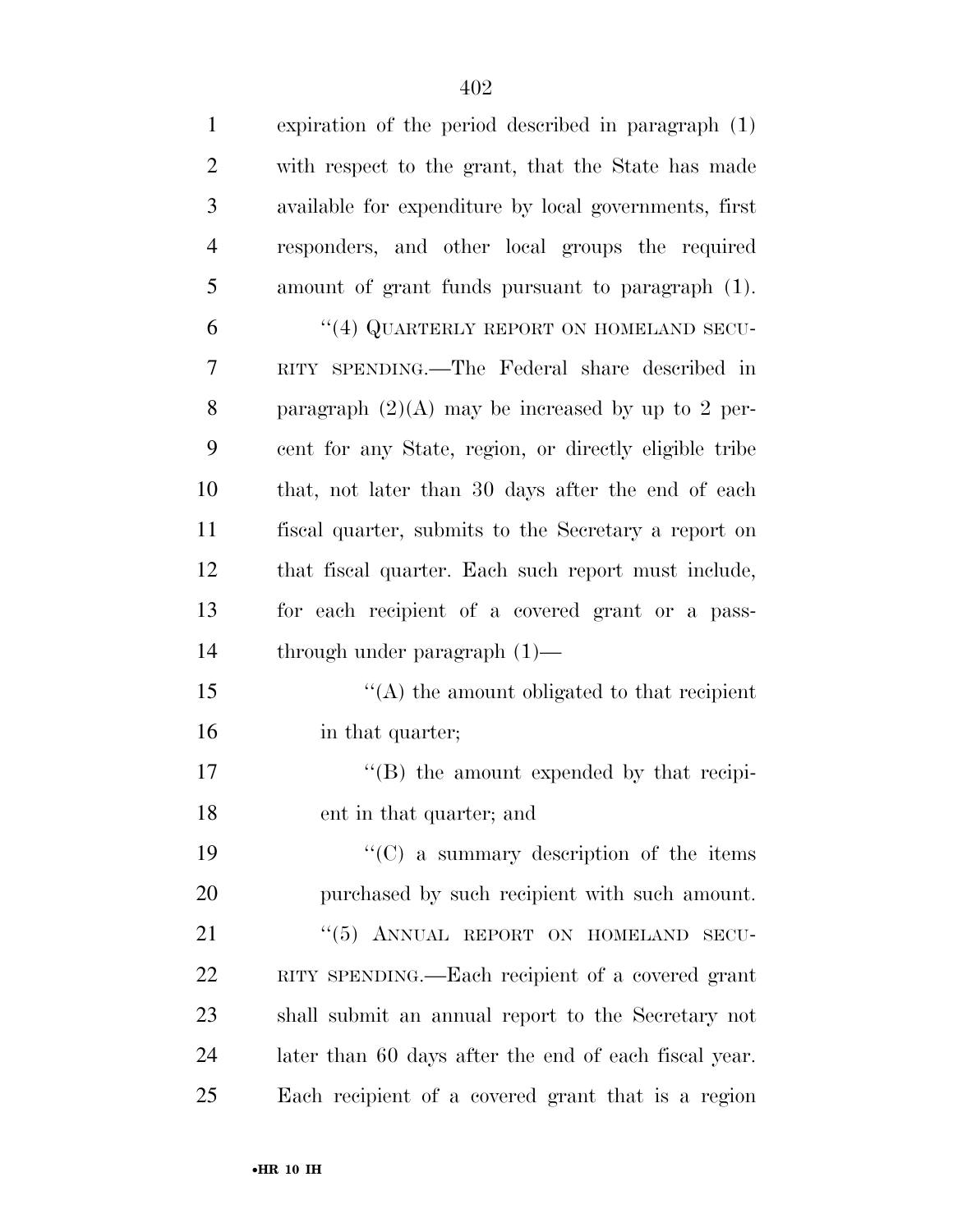| $\mathbf{1}$   | expiration of the period described in paragraph (1)    |
|----------------|--------------------------------------------------------|
| $\overline{2}$ | with respect to the grant, that the State has made     |
| 3              | available for expenditure by local governments, first  |
| $\overline{4}$ | responders, and other local groups the required        |
| 5              | amount of grant funds pursuant to paragraph (1).       |
| 6              | "(4) QUARTERLY REPORT ON HOMELAND SECU-                |
| 7              | RITY SPENDING.—The Federal share described in          |
| 8              | paragraph $(2)(A)$ may be increased by up to 2 per-    |
| 9              | cent for any State, region, or directly eligible tribe |
| 10             | that, not later than 30 days after the end of each     |
| 11             | fiscal quarter, submits to the Secretary a report on   |
| 12             | that fiscal quarter. Each such report must include,    |
| 13             | for each recipient of a covered grant or a pass-       |
| 14             | through under paragraph $(1)$ —                        |
| 15             | $\lq\lq$ the amount obligated to that recipient        |
| 16             | in that quarter;                                       |
| 17             | $\lq\lq (B)$ the amount expended by that recipi-       |
| 18             | ent in that quarter; and                               |
| 19             | $\lq\lq$ (C) a summary description of the items        |
| 20             | purchased by such recipient with such amount.          |
| 21             | "(5) ANNUAL REPORT ON HOMELAND SECU-                   |
| 22             | RITY SPENDING.—Each recipient of a covered grant       |
| 23             | shall submit an annual report to the Secretary not     |
| 24             | later than 60 days after the end of each fiscal year.  |
| 25             | Each recipient of a covered grant that is a region     |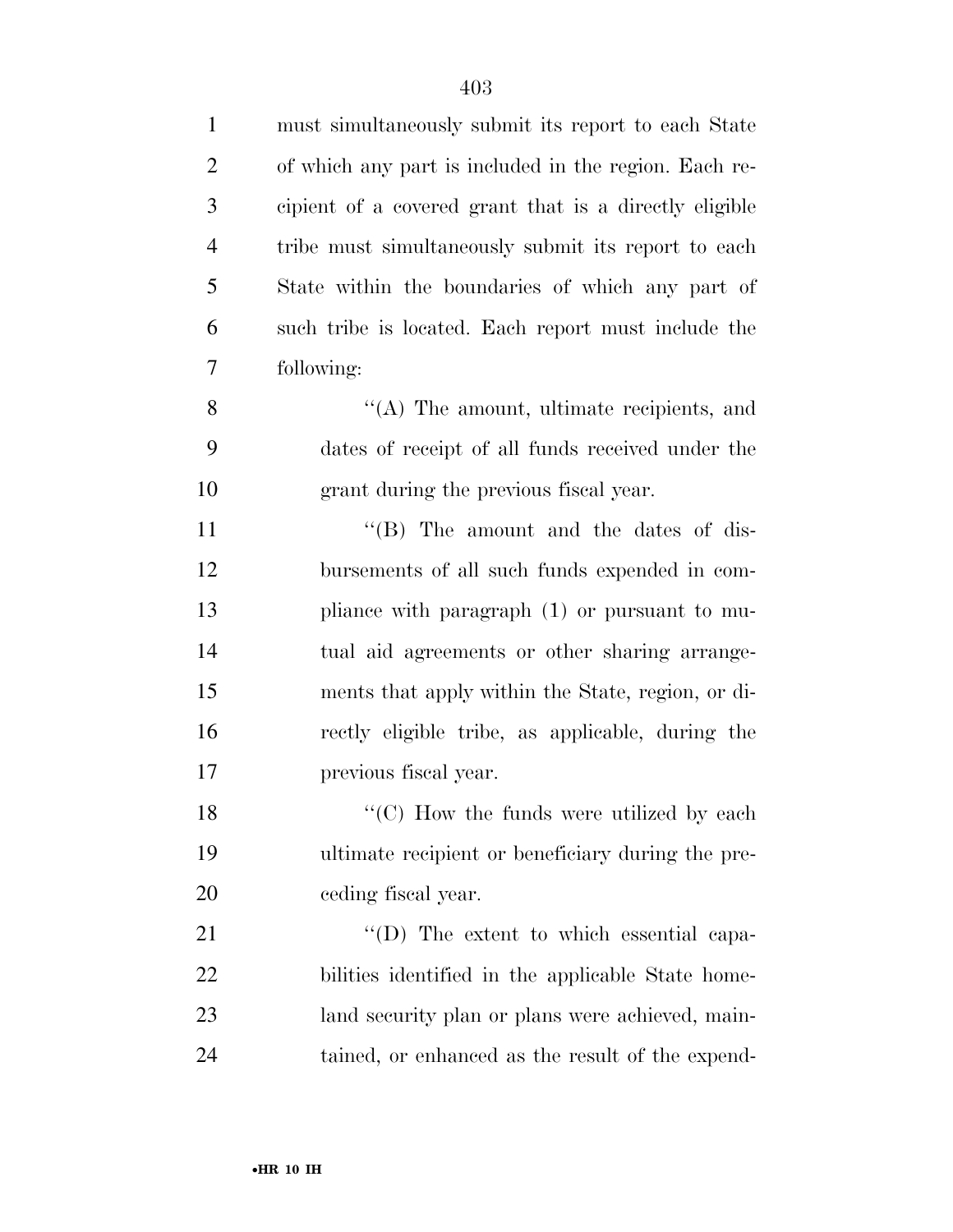| $\mathbf{1}$   | must simultaneously submit its report to each State    |
|----------------|--------------------------------------------------------|
| $\overline{2}$ | of which any part is included in the region. Each re-  |
| 3              | cipient of a covered grant that is a directly eligible |
| $\overline{4}$ | tribe must simultaneously submit its report to each    |
| 5              | State within the boundaries of which any part of       |
| 6              | such tribe is located. Each report must include the    |
| $\overline{7}$ | following:                                             |
| 8              | $\lq\lq$ . The amount, ultimate recipients, and        |
| 9              | dates of receipt of all funds received under the       |
| 10             | grant during the previous fiscal year.                 |
| 11             | $\lq\lq$ (B) The amount and the dates of dis-          |
| 12             | bursements of all such funds expended in com-          |
| 13             | pliance with paragraph (1) or pursuant to mu-          |
| 14             | tual aid agreements or other sharing arrange-          |
| 15             | ments that apply within the State, region, or di-      |
| 16             | rectly eligible tribe, as applicable, during the       |
| 17             | previous fiscal year.                                  |
| 18             | "(C) How the funds were utilized by each               |
| 19             | ultimate recipient or beneficiary during the pre-      |
| <b>20</b>      | ceding fiscal year.                                    |
| 21             | "(D) The extent to which essential capa-               |
| 22             | bilities identified in the applicable State home-      |
| 23             | land security plan or plans were achieved, main-       |
| 24             | tained, or enhanced as the result of the expend-       |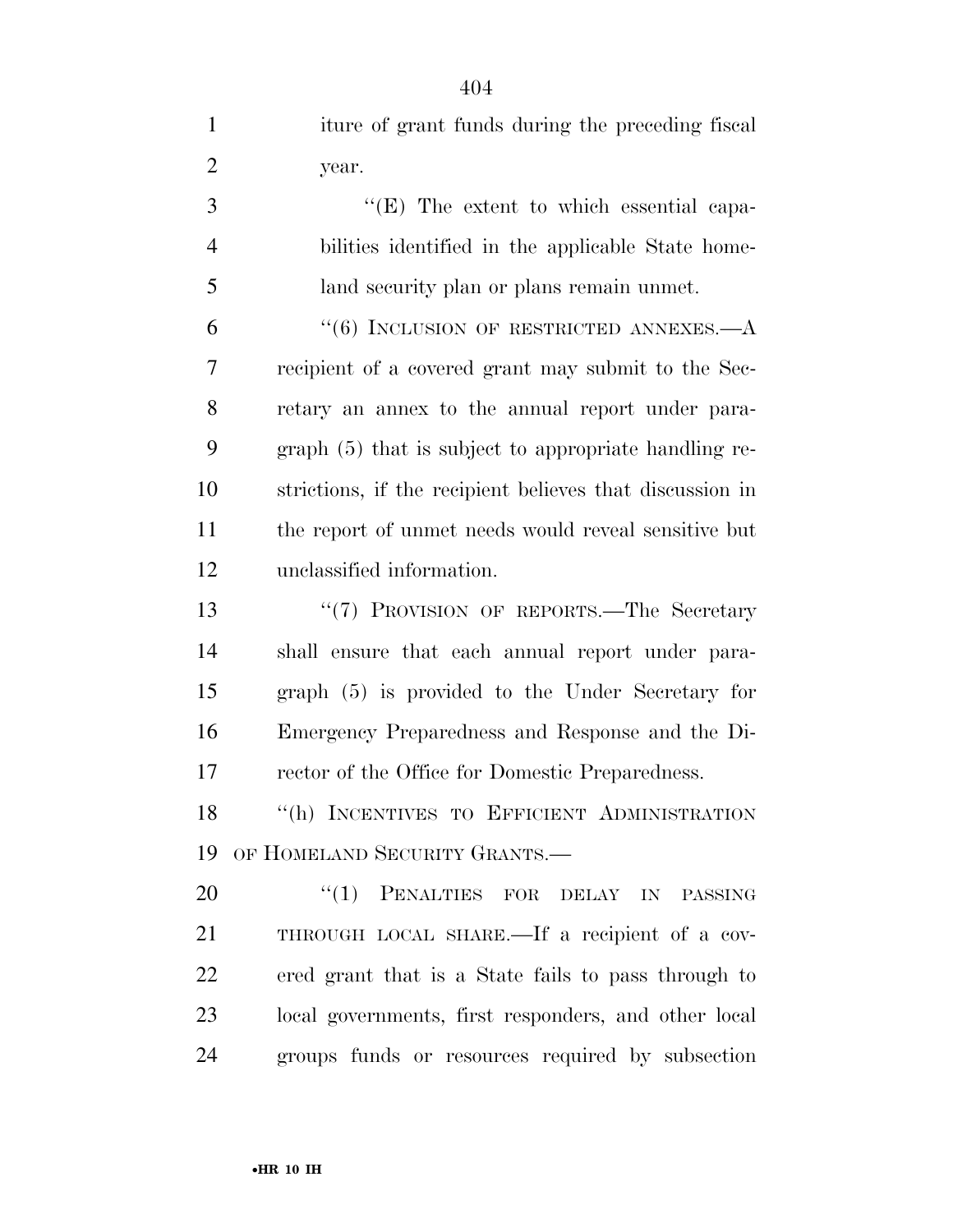| $\mathbf{1}$   | iture of grant funds during the preceding fiscal         |
|----------------|----------------------------------------------------------|
| $\overline{2}$ | year.                                                    |
| 3              | $\lq\lq$ (E) The extent to which essential capa-         |
| $\overline{4}$ | bilities identified in the applicable State home-        |
| 5              | land security plan or plans remain unmet.                |
| 6              | $``(6)$ INCLUSION OF RESTRICTED ANNEXES.—A               |
| 7              | recipient of a covered grant may submit to the Sec-      |
| 8              | retary an annex to the annual report under para-         |
| 9              | graph (5) that is subject to appropriate handling re-    |
| 10             | strictions, if the recipient believes that discussion in |
| 11             | the report of unmet needs would reveal sensitive but     |
| 12             | unclassified information.                                |
| 13             | "(7) PROVISION OF REPORTS.—The Secretary                 |
| 14             | shall ensure that each annual report under para-         |
| 15             | graph (5) is provided to the Under Secretary for         |
| 16             | Emergency Preparedness and Response and the Di-          |
| 17             | rector of the Office for Domestic Preparedness.          |
| 18             | $\lq\lq(h)$ INCENTIVES TO EFFICIENT ADMINISTRATION       |
| 19             | OF HOMELAND SECURITY GRANTS.-                            |
| 20             | "(1) PENALTIES FOR DELAY IN PASSING                      |
| 21             | THROUGH LOCAL SHARE.—If a recipient of a cov-            |
| 22             | ered grant that is a State fails to pass through to      |
| 23             | local governments, first responders, and other local     |
| 24             | groups funds or resources required by subsection         |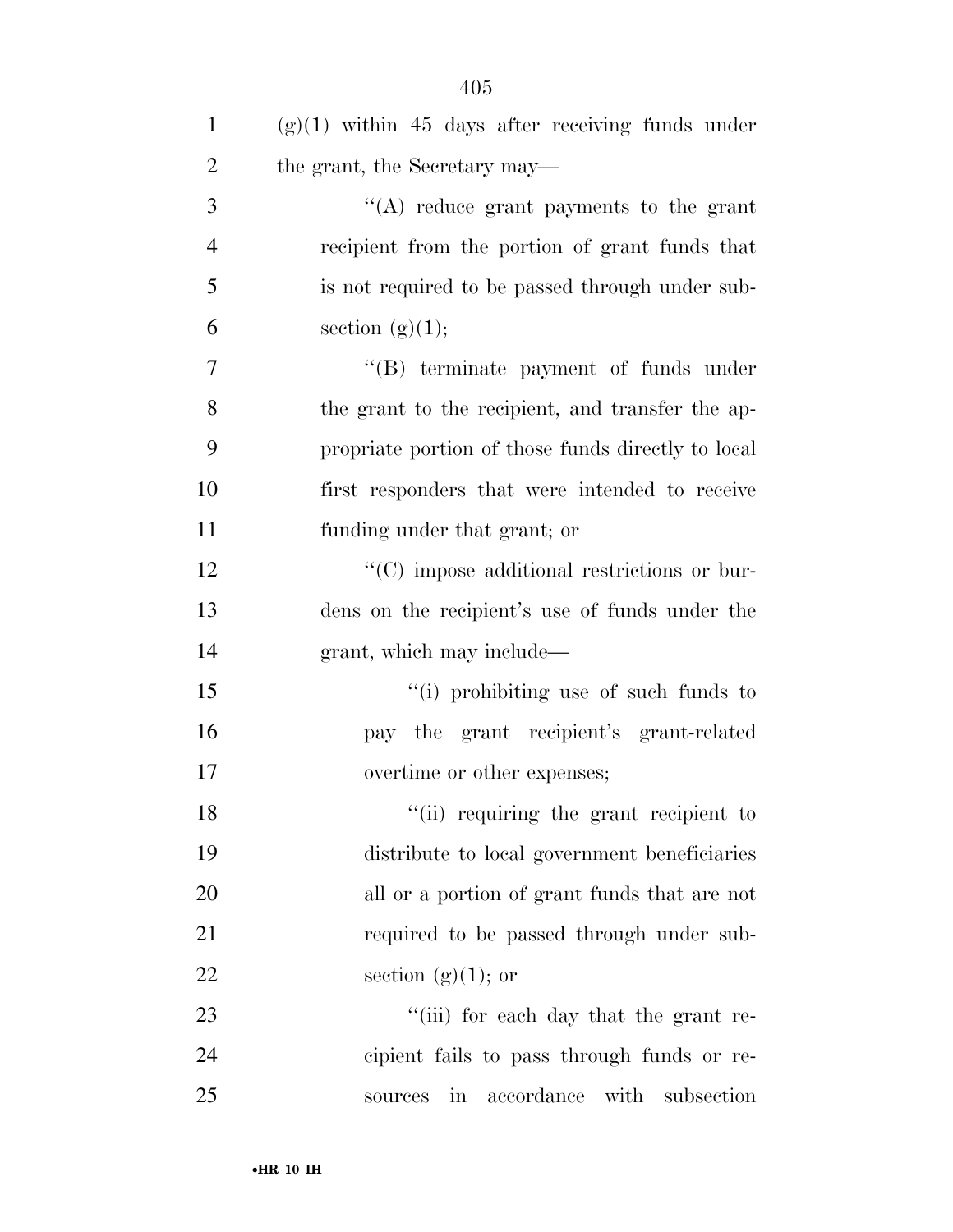| $\mathbf{1}$   | $(g)(1)$ within 45 days after receiving funds under             |
|----------------|-----------------------------------------------------------------|
| $\overline{2}$ | the grant, the Secretary may—                                   |
| 3              | "(A) reduce grant payments to the grant                         |
| $\overline{4}$ | recipient from the portion of grant funds that                  |
| 5              | is not required to be passed through under sub-                 |
| 6              | section $(g)(1);$                                               |
| 7              | "(B) terminate payment of funds under                           |
| 8              | the grant to the recipient, and transfer the ap-                |
| 9              | propriate portion of those funds directly to local              |
| 10             | first responders that were intended to receive                  |
| 11             | funding under that grant; or                                    |
| 12             | "(C) impose additional restrictions or bur-                     |
| 13             | dens on the recipient's use of funds under the                  |
| 14             | grant, which may include—                                       |
| 15             | "(i) prohibiting use of such funds to                           |
| 16             | pay the grant recipient's grant-related                         |
| 17             | overtime or other expenses;                                     |
| 18             | "(ii) requiring the grant recipient to                          |
| 19             | distribute to local government beneficiaries                    |
| 20             | all or a portion of grant funds that are not                    |
| 21             | required to be passed through under sub-                        |
| 22             | section $(g)(1)$ ; or                                           |
| 23             | "(iii) for each day that the grant re-                          |
| 24             | cipient fails to pass through funds or re-                      |
| 25             | accordance with<br>subsection<br>$\operatorname{in}$<br>sources |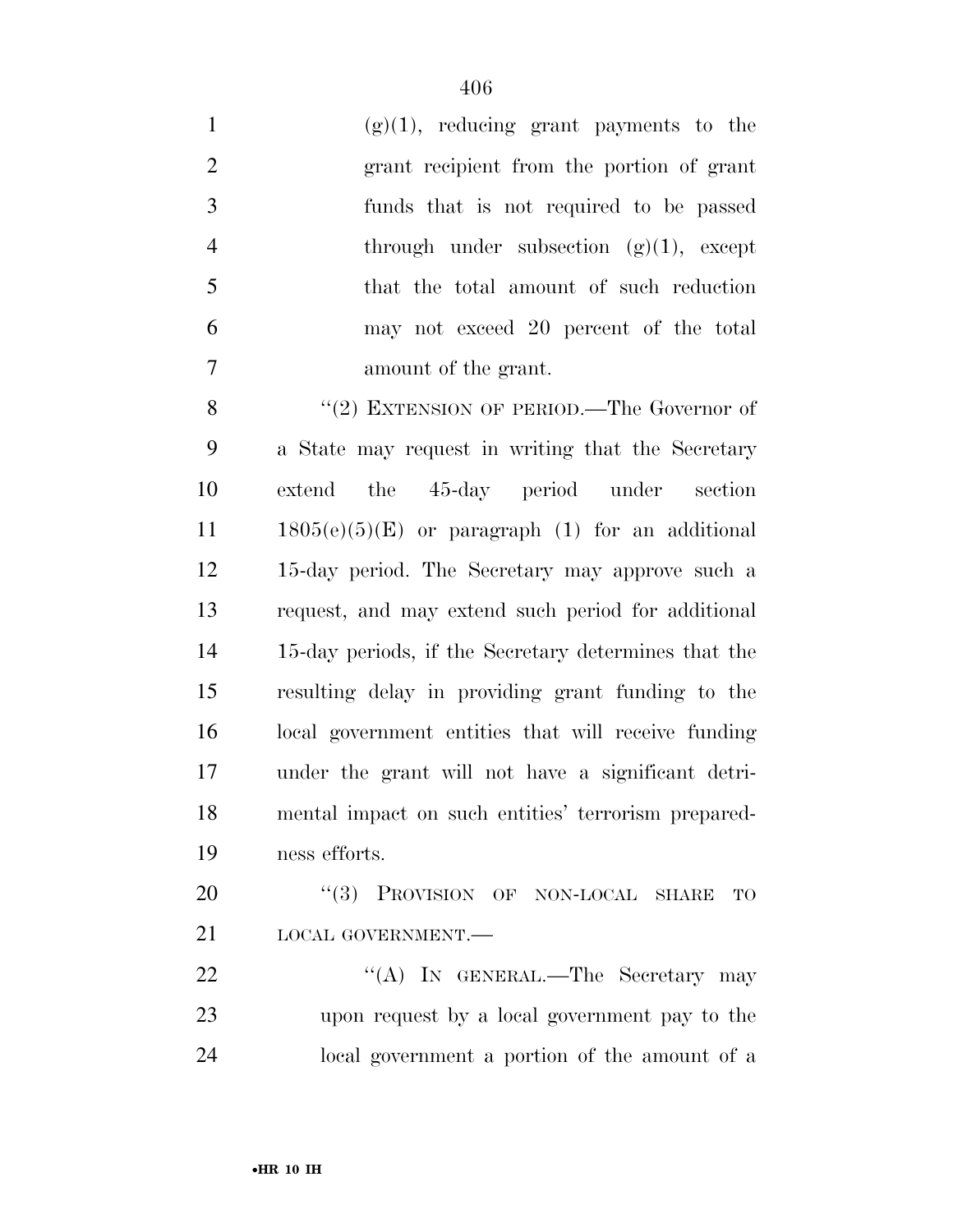| $\mathbf{1}$   | $(g)(1)$ , reducing grant payments to the  |
|----------------|--------------------------------------------|
| 2              | grant recipient from the portion of grant  |
| 3              | funds that is not required to be passed    |
| $\overline{4}$ | through under subsection $(g)(1)$ , except |
| 5              | that the total amount of such reduction    |
| 6              | may not exceed 20 percent of the total     |
|                | amount of the grant.                       |
|                |                                            |

8 "(2) EXTENSION OF PERIOD.—The Governor of a State may request in writing that the Secretary extend the 45-day period under section 1805(e)(5)(E) or paragraph (1) for an additional 15-day period. The Secretary may approve such a request, and may extend such period for additional 15-day periods, if the Secretary determines that the resulting delay in providing grant funding to the local government entities that will receive funding under the grant will not have a significant detri- mental impact on such entities' terrorism prepared-ness efforts.

20 "(3) PROVISION OF NON-LOCAL SHARE TO LOCAL GOVERNMENT.—

22 "'(A) In GENERAL.—The Secretary may upon request by a local government pay to the local government a portion of the amount of a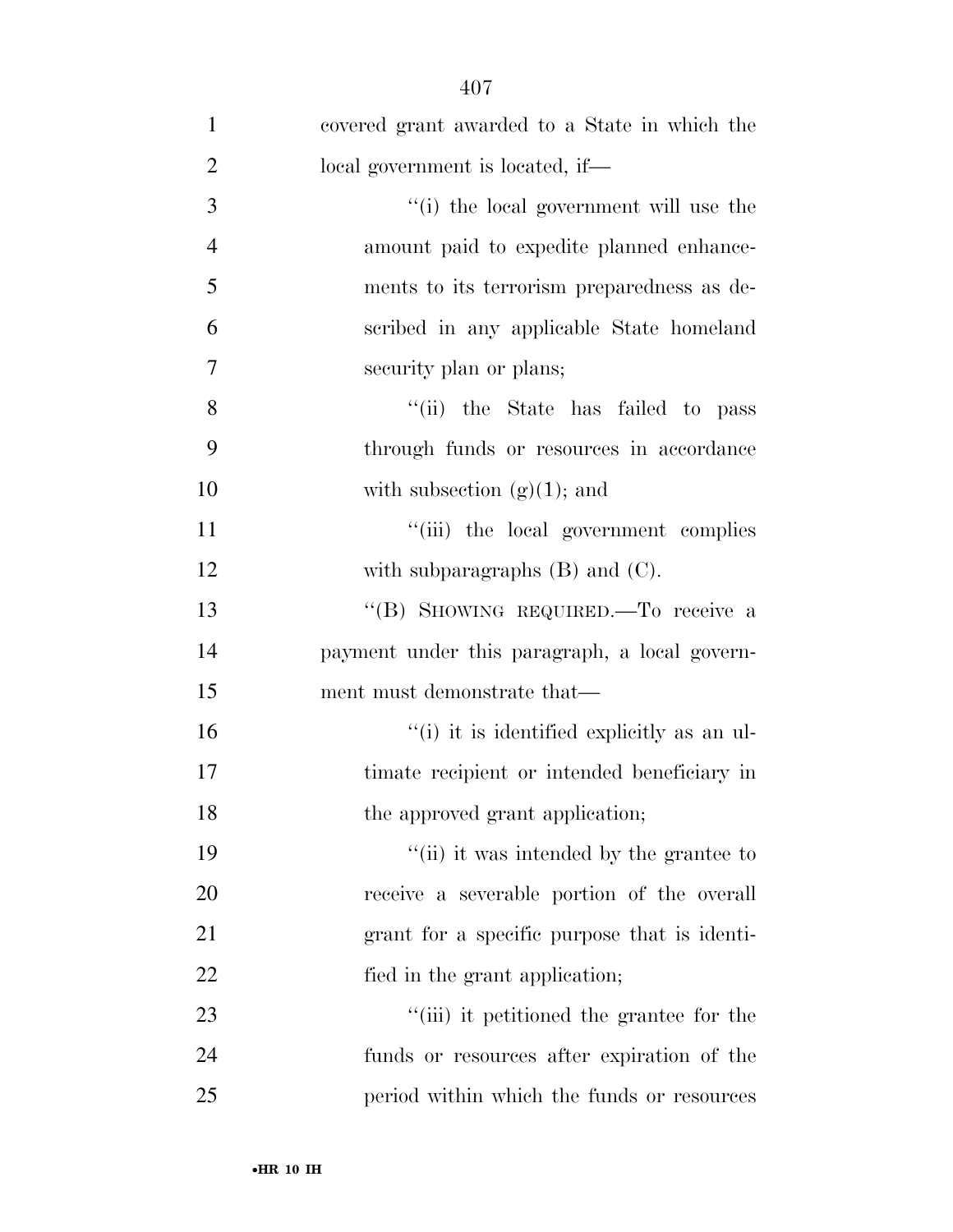| $\mathbf{1}$   | covered grant awarded to a State in which the |
|----------------|-----------------------------------------------|
| $\overline{2}$ | local government is located, if—              |
| 3              | "(i) the local government will use the        |
| $\overline{4}$ | amount paid to expedite planned enhance-      |
| 5              | ments to its terrorism preparedness as de-    |
| 6              | scribed in any applicable State homeland      |
| 7              | security plan or plans;                       |
| 8              | "(ii) the State has failed to pass            |
| 9              | through funds or resources in accordance      |
| 10             | with subsection $(g)(1)$ ; and                |
| 11             | "(iii) the local government complies          |
| 12             | with subparagraphs $(B)$ and $(C)$ .          |
| 13             | "(B) SHOWING REQUIRED. To receive a           |
| 14             | payment under this paragraph, a local govern- |
| 15             | ment must demonstrate that—                   |
| 16             | "(i) it is identified explicitly as an ul-    |
| 17             | timate recipient or intended beneficiary in   |
| 18             | the approved grant application;               |
| 19             | "(ii) it was intended by the grantee to       |
| 20             | receive a severable portion of the overall    |
| 21             | grant for a specific purpose that is identi-  |
| 22             | fied in the grant application;                |
| 23             | "(iii) it petitioned the grantee for the      |
| 24             | funds or resources after expiration of the    |
| 25             | period within which the funds or resources    |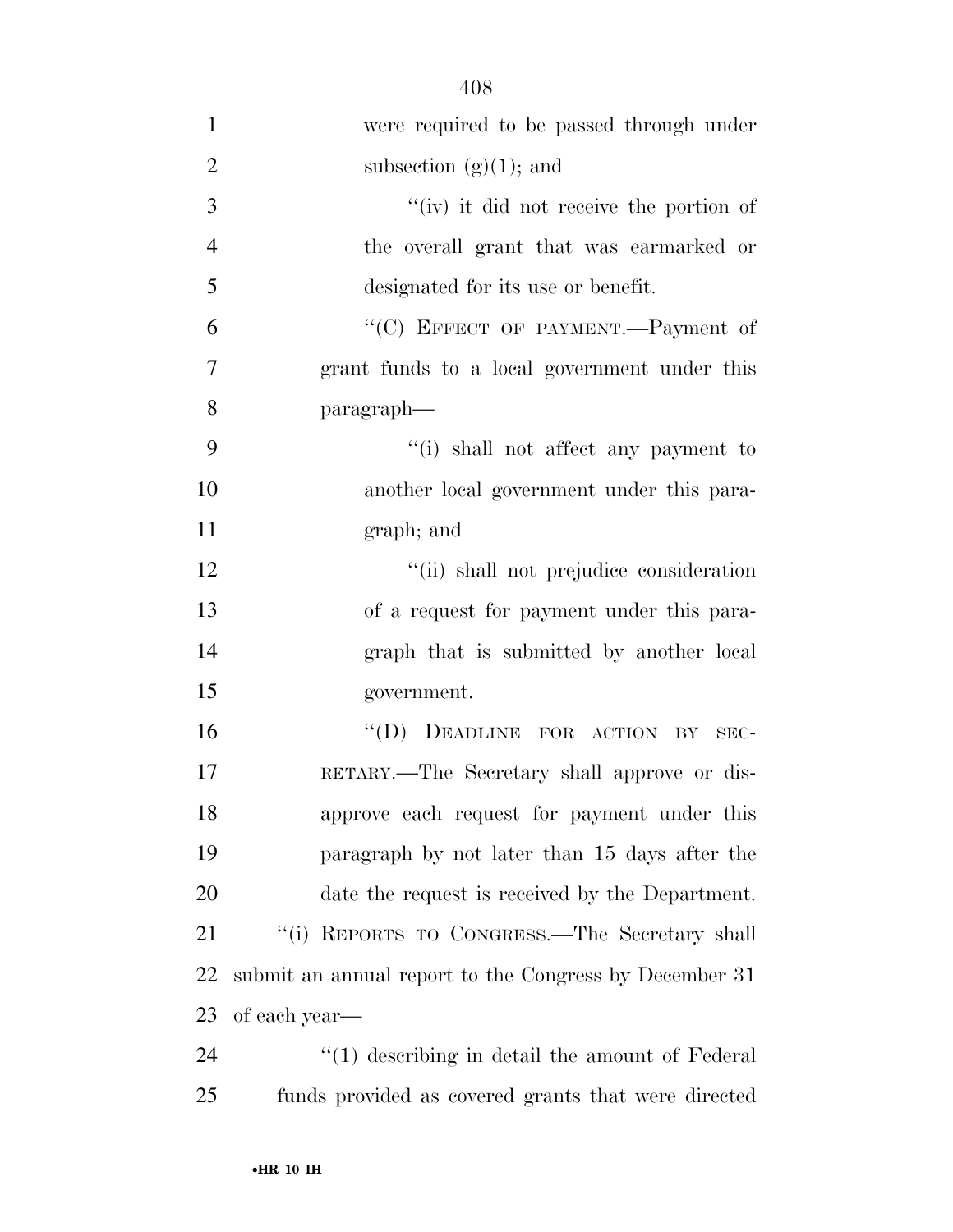| $\overline{2}$ | subsection $(g)(1)$ ; and                              |
|----------------|--------------------------------------------------------|
| 3              | $f'(iv)$ it did not receive the portion of             |
| $\overline{4}$ | the overall grant that was earmarked or                |
| 5              | designated for its use or benefit.                     |
| 6              | "(C) EFFECT OF PAYMENT.--Payment of                    |
| 7              | grant funds to a local government under this           |
| 8              | paragraph—                                             |
| 9              | "(i) shall not affect any payment to                   |
| 10             | another local government under this para-              |
| 11             | graph; and                                             |
| 12             | "(ii) shall not prejudice consideration                |
| 13             | of a request for payment under this para-              |
| 14             | graph that is submitted by another local               |
| 15             | government.                                            |
| 16             | "(D) DEADLINE FOR ACTION BY<br>SEC-                    |
| 17             | RETARY.—The Secretary shall approve or dis-            |
| 18             | approve each request for payment under this            |
| 19             | paragraph by not later than 15 days after the          |
| 20             | date the request is received by the Department.        |
| 21             | "(i) REPORTS TO CONGRESS.—The Secretary shall          |
| 22             | submit an annual report to the Congress by December 31 |
| 23             | of each year—                                          |
| 24             | $\lq(1)$ describing in detail the amount of Federal    |

funds provided as covered grants that were directed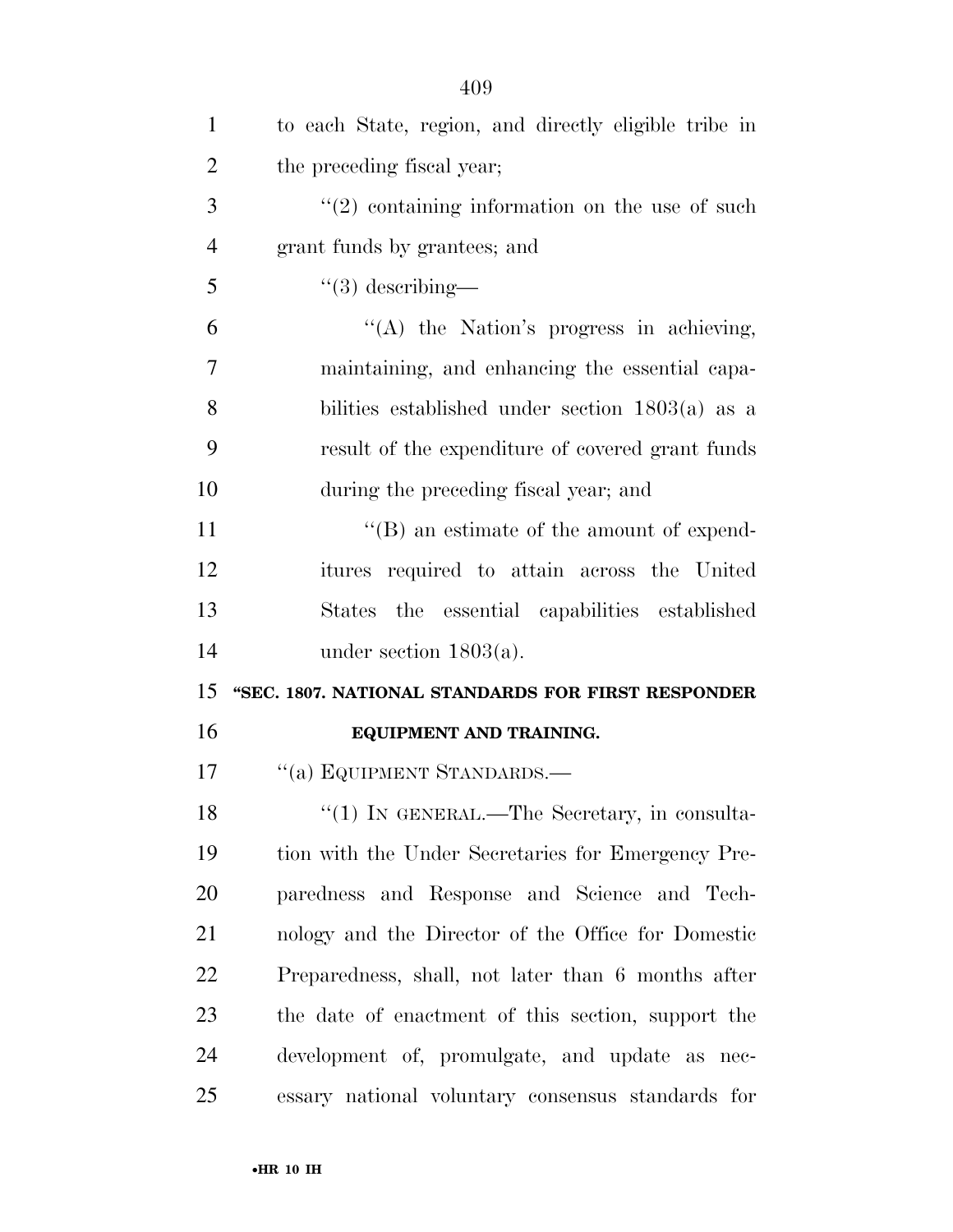| $\mathbf{1}$   | to each State, region, and directly eligible tribe in |
|----------------|-------------------------------------------------------|
| $\overline{2}$ | the preceding fiscal year;                            |
| 3              | $\lq(2)$ containing information on the use of such    |
| $\overline{4}$ | grant funds by grantees; and                          |
| 5              | $\lq(3)$ describing—                                  |
| 6              | "(A) the Nation's progress in achieving,              |
| 7              | maintaining, and enhancing the essential capa-        |
| 8              | bilities established under section $1803(a)$ as a     |
| 9              | result of the expenditure of covered grant funds      |
| 10             | during the preceding fiscal year; and                 |
| 11             | $\lq\lq (B)$ an estimate of the amount of expend-     |
| 12             | itures required to attain across the United           |
| 13             | States the essential capabilities established         |
| 14             | under section $1803(a)$ .                             |
| 15             | "SEC. 1807. NATIONAL STANDARDS FOR FIRST RESPONDER    |
| 16             | EQUIPMENT AND TRAINING.                               |
| 17             | "(a) EQUIPMENT STANDARDS.—                            |
| 18             | "(1) IN GENERAL.—The Secretary, in consulta-          |
| 19             | tion with the Under Secretaries for Emergency Pre-    |
| 20             | paredness and Response and Science and Tech-          |
| 21             | nology and the Director of the Office for Domestic    |
| 22             | Preparedness, shall, not later than 6 months after    |
| 23             | the date of enactment of this section, support the    |
| 24             | development of, promulgate, and update as nec-        |
| 25             | essary national voluntary consensus standards for     |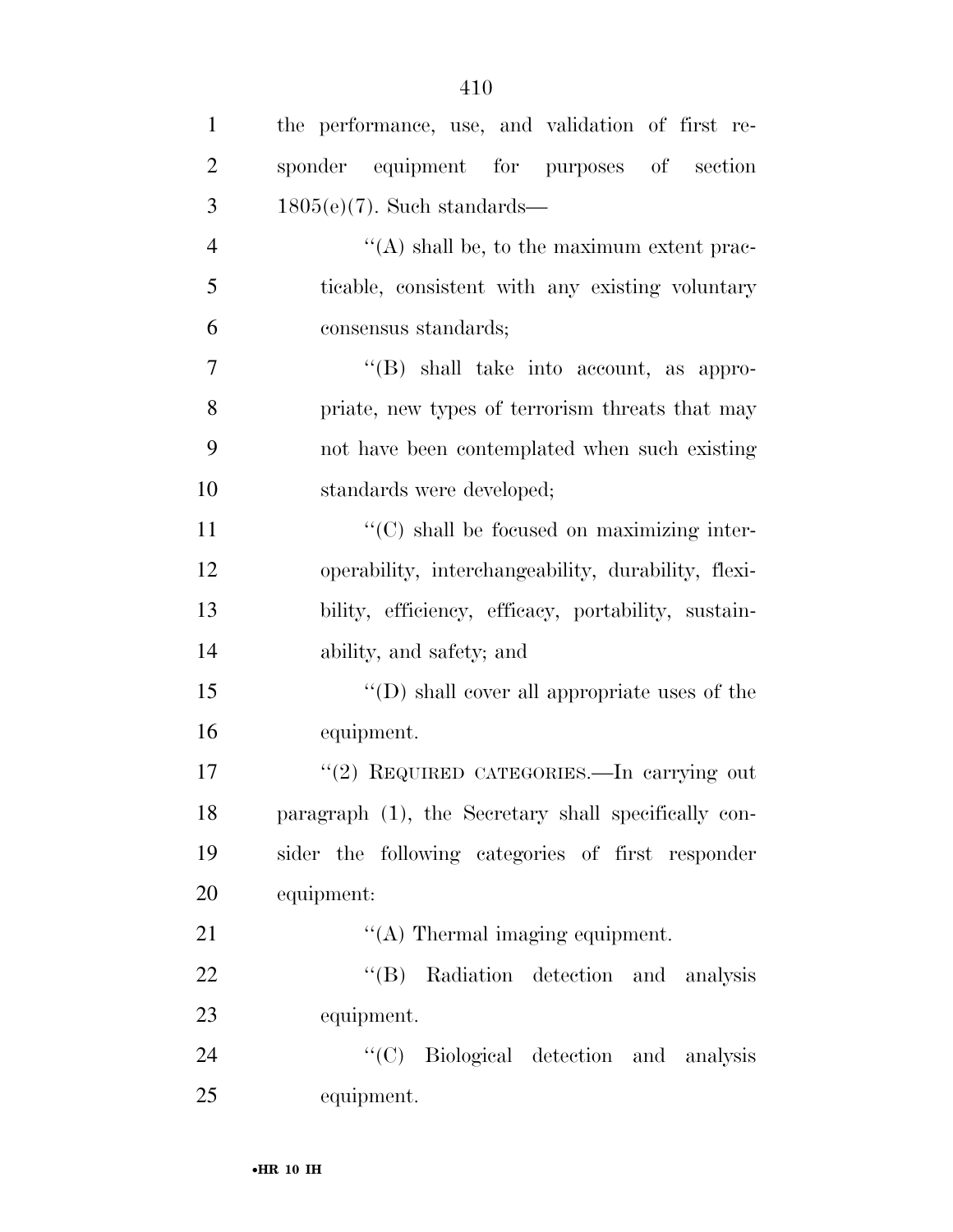| $\mathbf{1}$   | the performance, use, and validation of first re-    |
|----------------|------------------------------------------------------|
| $\overline{2}$ | sponder equipment for purposes of section            |
| 3              | $1805(e)(7)$ . Such standards—                       |
| $\overline{4}$ | $\lq\lq$ shall be, to the maximum extent prac-       |
| 5              | ticable, consistent with any existing voluntary      |
| 6              | consensus standards;                                 |
| $\overline{7}$ | $\lq\lq$ shall take into account, as appro-          |
| 8              | priate, new types of terrorism threats that may      |
| 9              | not have been contemplated when such existing        |
| 10             | standards were developed;                            |
| 11             | "(C) shall be focused on maximizing inter-           |
| 12             | operability, interchangeability, durability, flexi-  |
| 13             | bility, efficiency, efficacy, portability, sustain-  |
| 14             | ability, and safety; and                             |
| 15             | "(D) shall cover all appropriate uses of the         |
| 16             | equipment.                                           |
| 17             | "(2) REQUIRED CATEGORIES.—In carrying out            |
| 18             | paragraph (1), the Secretary shall specifically con- |
| 19             | sider the following categories of first responder    |
| 20             | equipment:                                           |
| 21             | $\lq\lq$ Thermal imaging equipment.                  |
| 22             | "(B) Radiation detection and analysis                |
| 23             | equipment.                                           |
| 24             | "(C) Biological detection and analysis               |
| 25             | equipment.                                           |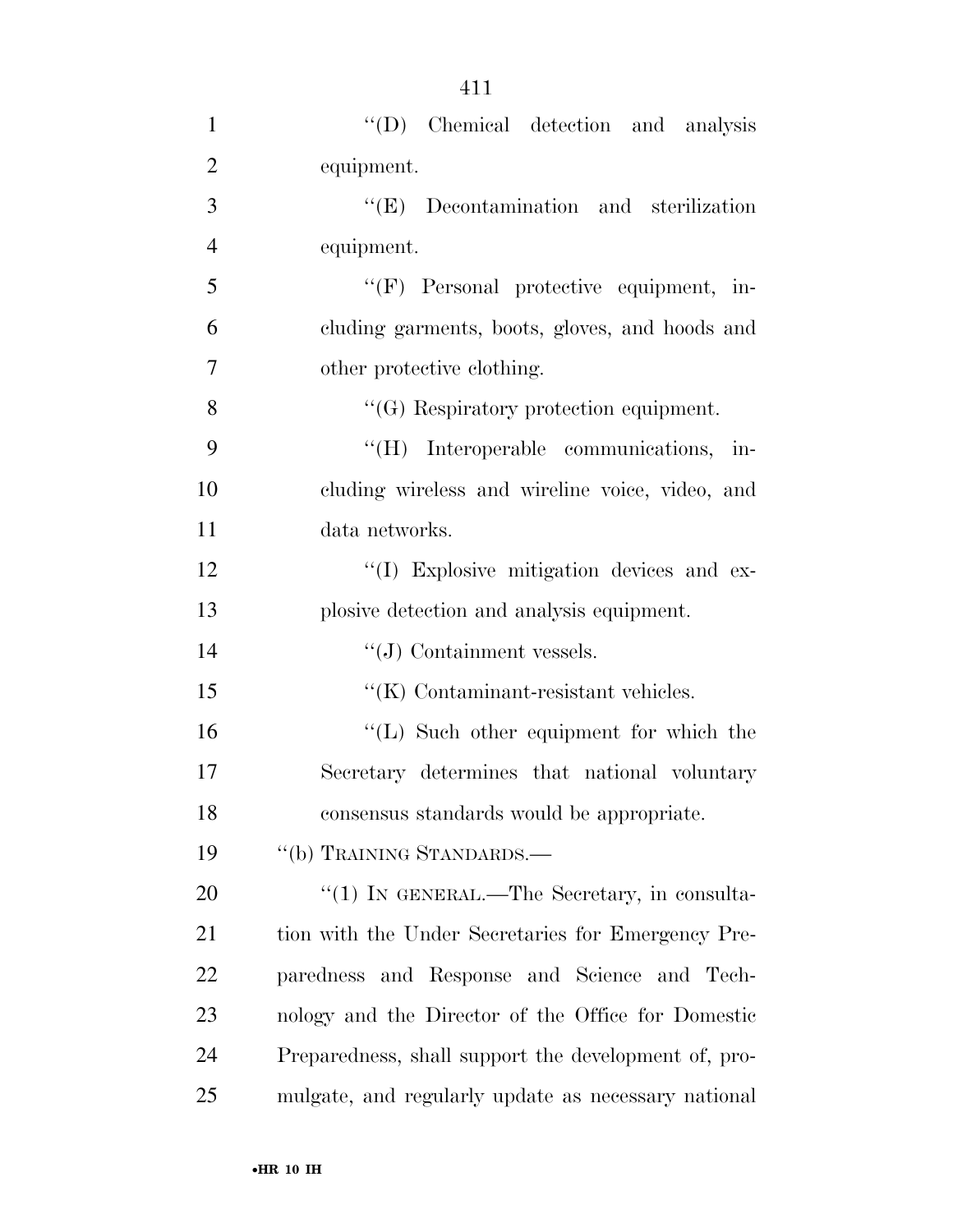| $\mathbf{1}$   | "(D) Chemical detection and analysis                 |
|----------------|------------------------------------------------------|
| $\overline{2}$ | equipment.                                           |
| 3              | $\lq\lq$ (E) Decontamination and sterilization       |
| $\overline{4}$ | equipment.                                           |
| 5              | "(F) Personal protective equipment, in-              |
| 6              | cluding garments, boots, gloves, and hoods and       |
| $\overline{7}$ | other protective clothing.                           |
| 8              | $\lq\lq (G)$ Respiratory protection equipment.       |
| 9              | "(H) Interoperable communications, in-               |
| 10             | cluding wireless and wireline voice, video, and      |
| 11             | data networks.                                       |
| 12             | "(I) Explosive mitigation devices and ex-            |
| 13             | plosive detection and analysis equipment.            |
| 14             | $\lq\lq(J)$ Containment vessels.                     |
| 15             | $\lq\lq$ (K) Contaminant-resistant vehicles.         |
| 16             | $\lq\lq$ . Such other equipment for which the        |
| 17             | Secretary determines that national voluntary         |
| 18             | consensus standards would be appropriate.            |
| 19             | "(b) TRAINING STANDARDS.—                            |
| 20             | " $(1)$ In GENERAL.—The Secretary, in consulta-      |
| 21             | tion with the Under Secretaries for Emergency Pre-   |
| <u>22</u>      | paredness and Response and Science and Tech-         |
| 23             | nology and the Director of the Office for Domestic   |
| 24             | Preparedness, shall support the development of, pro- |
| 25             | mulgate, and regularly update as necessary national  |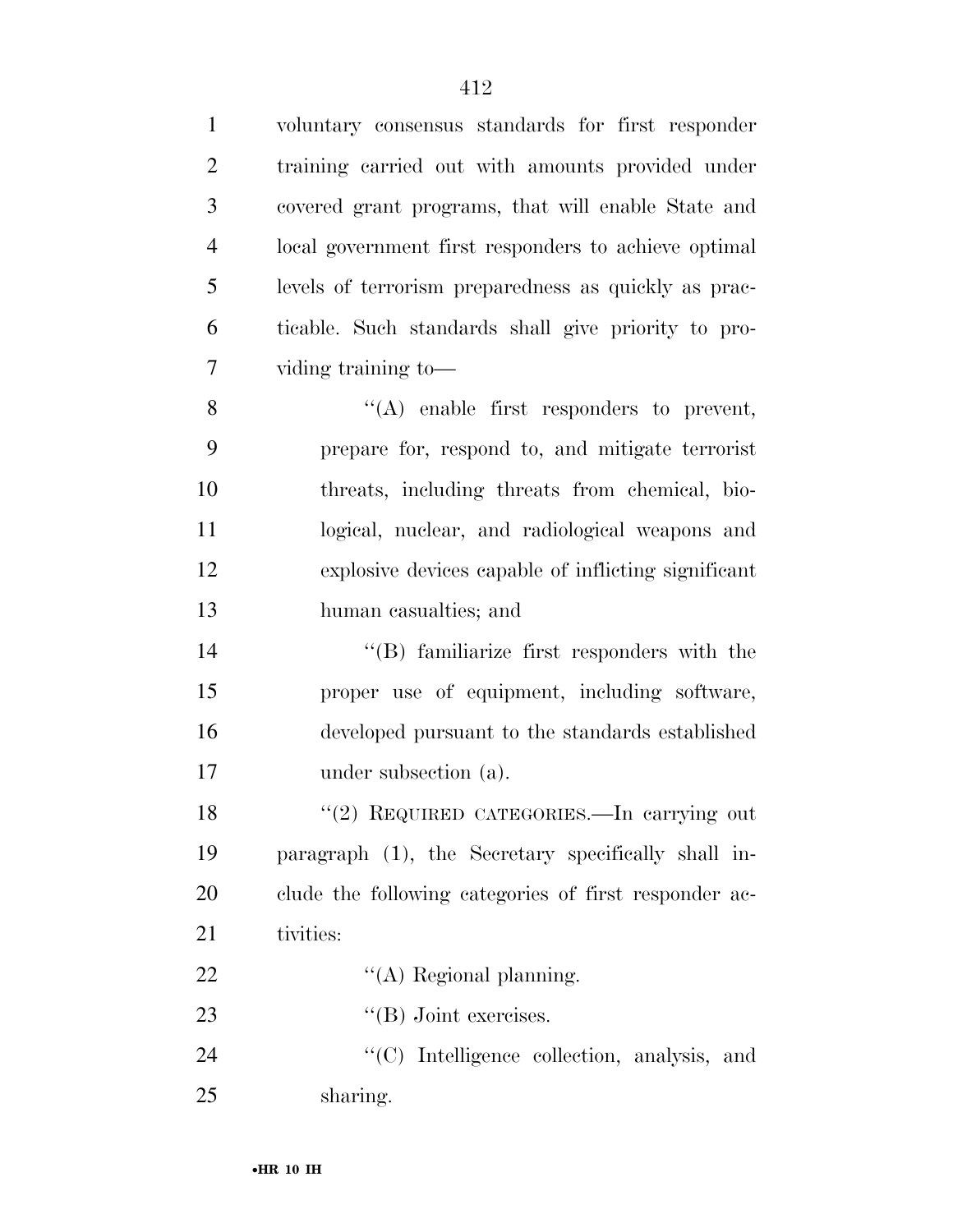| $\mathbf{1}$   | voluntary consensus standards for first responder     |
|----------------|-------------------------------------------------------|
| $\overline{2}$ | training carried out with amounts provided under      |
| 3              | covered grant programs, that will enable State and    |
| $\overline{4}$ | local government first responders to achieve optimal  |
| 5              | levels of terrorism preparedness as quickly as prac-  |
| 6              | ticable. Such standards shall give priority to pro-   |
| 7              | viding training to-                                   |
| 8              | $\lq\lq$ enable first responders to prevent,          |
| 9              | prepare for, respond to, and mitigate terrorist       |
| 10             | threats, including threats from chemical, bio-        |
| 11             | logical, nuclear, and radiological weapons and        |
| 12             | explosive devices capable of inflicting significant   |
| 13             | human casualties; and                                 |
| 14             | "(B) familiarize first responders with the            |
| 15             | proper use of equipment, including software,          |
| 16             | developed pursuant to the standards established       |
| 17             | under subsection (a).                                 |
| 18             | "(2) REQUIRED CATEGORIES.—In carrying out             |
| 19             | paragraph (1), the Secretary specifically shall in-   |
| 20             | clude the following categories of first responder ac- |
| 21             | tivities:                                             |
| 22             | $\lq\lq$ Regional planning.                           |
| 23             | $\lq\lq(B)$ Joint exercises.                          |
| 24             | "(C) Intelligence collection, analysis, and           |
| 25             | sharing.                                              |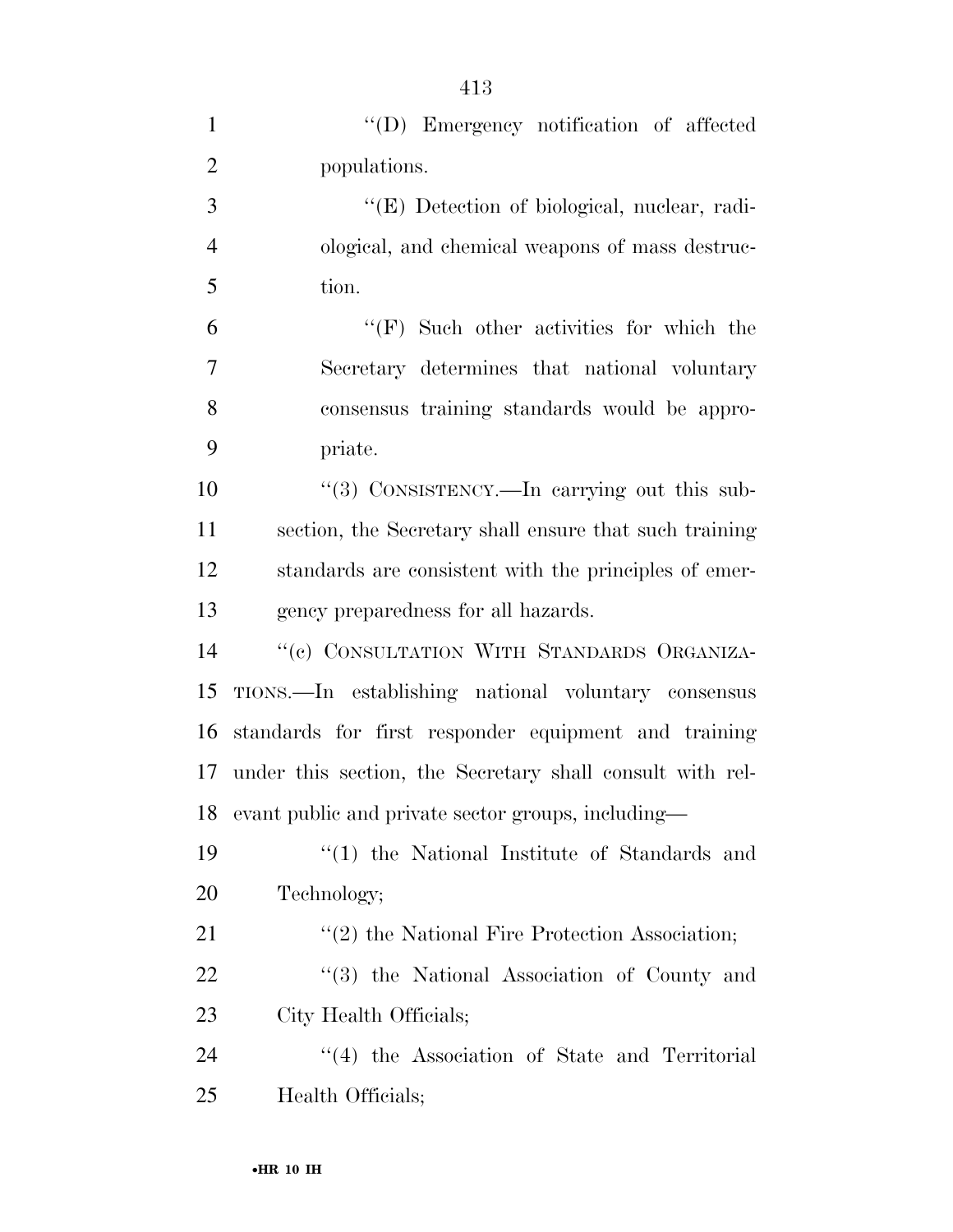| $\mathbf{1}$   | "(D) Emergency notification of affected                        |
|----------------|----------------------------------------------------------------|
| $\overline{2}$ | populations.                                                   |
| 3              | "(E) Detection of biological, nuclear, radi-                   |
| $\overline{4}$ | ological, and chemical weapons of mass destruc-                |
| 5              | tion.                                                          |
| 6              | $\lq\lq(F)$ Such other activities for which the                |
| $\overline{7}$ | Secretary determines that national voluntary                   |
| 8              | consensus training standards would be appro-                   |
| 9              | priate.                                                        |
| 10             | "(3) CONSISTENCY.—In carrying out this sub-                    |
| 11             | section, the Secretary shall ensure that such training         |
| 12             | standards are consistent with the principles of emer-          |
| 13             | gency preparedness for all hazards.                            |
| 14             | "(c) CONSULTATION WITH STANDARDS ORGANIZA-                     |
| 15             | TIONS.—In establishing national voluntary consensus            |
| 16             | standards for first responder equipment and training           |
| 17             | under this section, the Secretary shall consult with rel-      |
| 18             | evant public and private sector groups, including—             |
| 19             | $\lq(1)$ the National Institute of Standards and               |
| 20             | Technology;                                                    |
| 21             | $\cdot\cdot\cdot(2)$ the National Fire Protection Association; |
| 22             | "(3) the National Association of County and                    |
| 23             | City Health Officials;                                         |
| 24             | "(4) the Association of State and Territorial                  |
| 25             | Health Officials;                                              |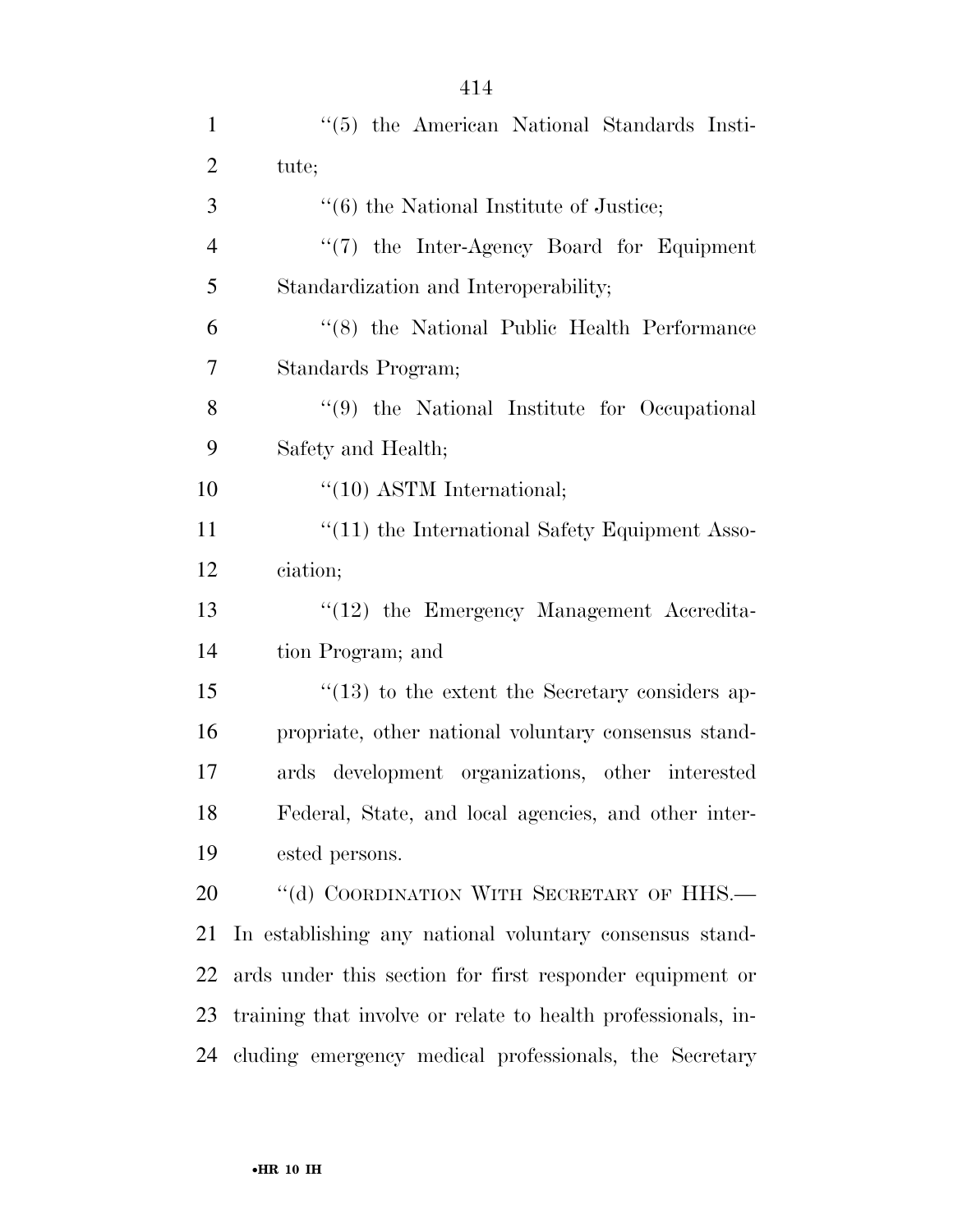| $\mathbf{1}$   | $\lq(5)$ the American National Standards Insti-              |
|----------------|--------------------------------------------------------------|
| $\overline{2}$ | tute;                                                        |
| 3              | $\cdot\cdot\cdot(6)$ the National Institute of Justice;      |
| $\overline{4}$ | $\lq(7)$ the Inter-Agency Board for Equipment                |
| 5              | Standardization and Interoperability;                        |
| 6              | "(8) the National Public Health Performance                  |
| 7              | Standards Program;                                           |
| 8              | $\lq(9)$ the National Institute for Occupational             |
| 9              | Safety and Health;                                           |
| 10             | "(10) ASTM International;                                    |
| 11             | $\cdot\cdot(11)$ the International Safety Equipment Asso-    |
| 12             | ciation;                                                     |
| 13             | $"(12)$ the Emergency Management Accredita-                  |
| 14             | tion Program; and                                            |
| 15             | $\cdot$ (13) to the extent the Secretary considers ap-       |
| 16             | propriate, other national voluntary consensus stand-         |
| 17             | ards development organizations, other interested             |
| 18             | Federal, State, and local agencies, and other inter-         |
| 19             | ested persons.                                               |
| 20             | "(d) COORDINATION WITH SECRETARY OF HHS.-                    |
| 21             | In establishing any national voluntary consensus stand-      |
| 22             | ards under this section for first responder equipment or     |
| 23             | training that involve or relate to health professionals, in- |
| 24             | cluding emergency medical professionals, the Secretary       |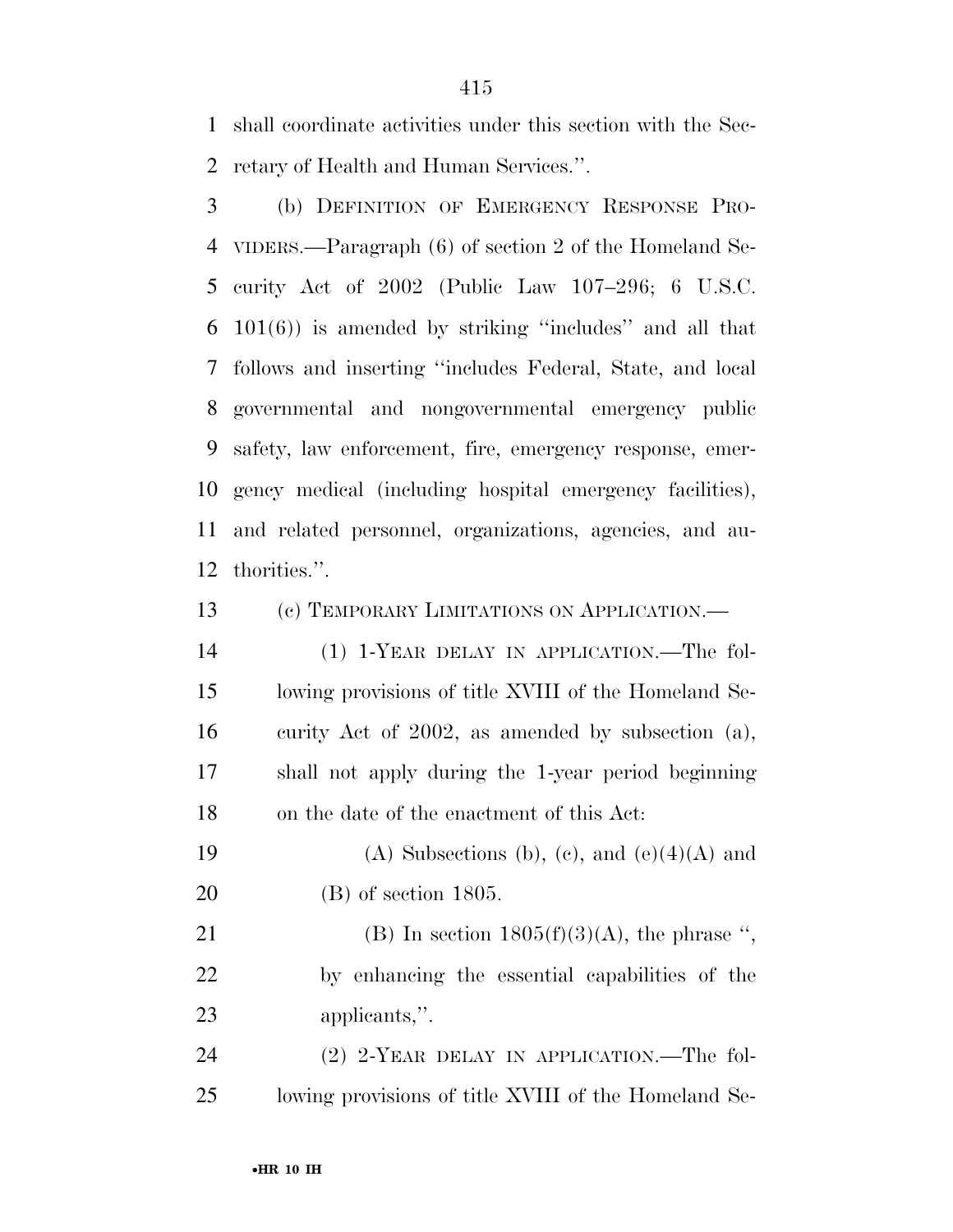shall coordinate activities under this section with the Sec-retary of Health and Human Services.''.

 (b) DEFINITION OF EMERGENCY RESPONSE PRO- VIDERS.—Paragraph (6) of section 2 of the Homeland Se- curity Act of 2002 (Public Law 107–296; 6 U.S.C. 101(6)) is amended by striking ''includes'' and all that follows and inserting ''includes Federal, State, and local governmental and nongovernmental emergency public safety, law enforcement, fire, emergency response, emer- gency medical (including hospital emergency facilities), and related personnel, organizations, agencies, and au-thorities.''.

(c) TEMPORARY LIMITATIONS ON APPLICATION.—

 (1) 1-YEAR DELAY IN APPLICATION.—The fol- lowing provisions of title XVIII of the Homeland Se- curity Act of 2002, as amended by subsection (a), shall not apply during the 1-year period beginning on the date of the enactment of this Act:

19 (A) Subsections (b), (c), and  $(e)(4)(A)$  and (B) of section 1805.

21 (B) In section  $1805(f)(3)(A)$ , the phrase ", by enhancing the essential capabilities of the applicants,''.

24 (2) 2-YEAR DELAY IN APPLICATION.—The fol-lowing provisions of title XVIII of the Homeland Se-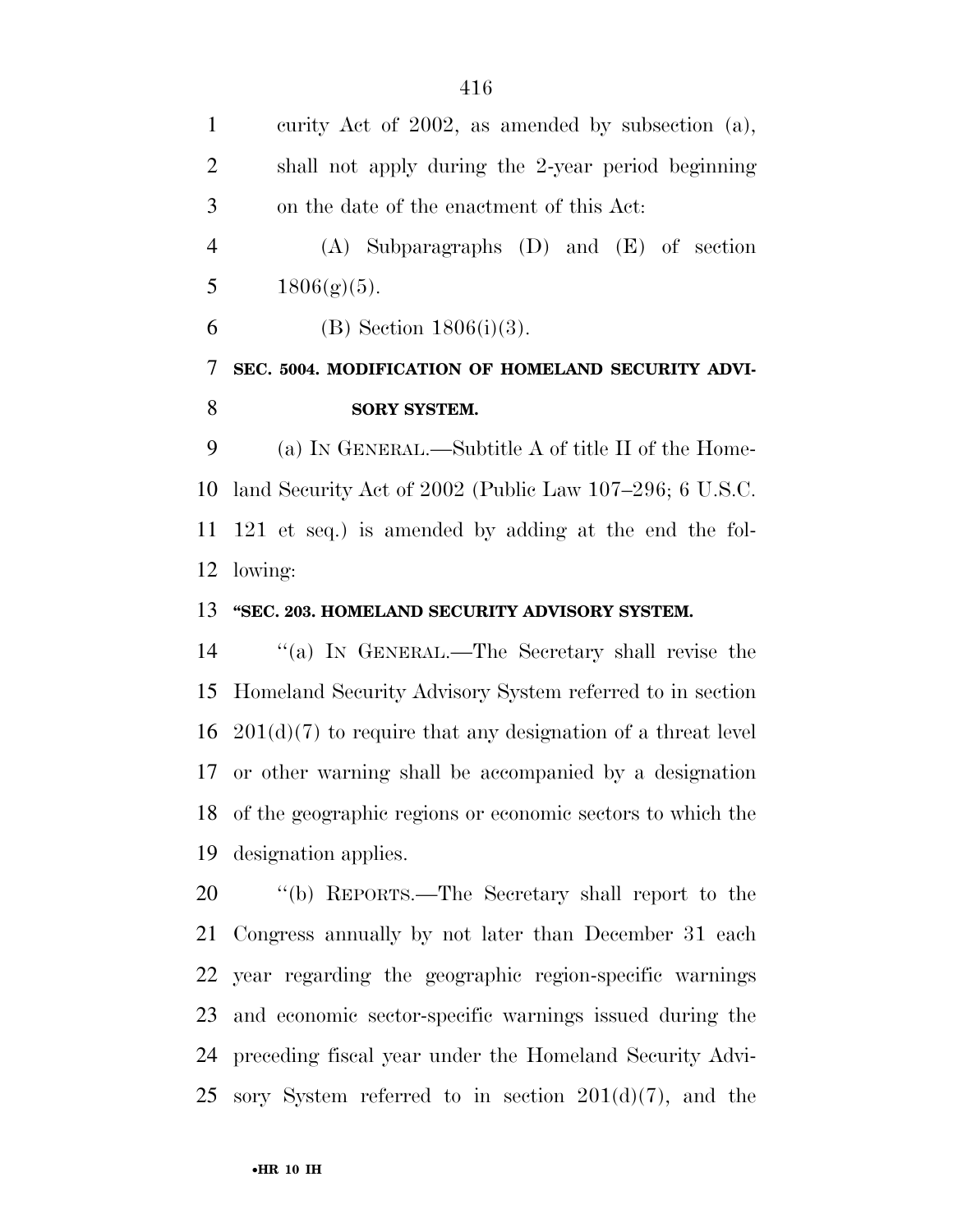curity Act of 2002, as amended by subsection (a), shall not apply during the 2-year period beginning on the date of the enactment of this Act: (A) Subparagraphs (D) and (E) of section  $1806(g)(5)$ . 6 (B) Section  $1806(i)(3)$ . **SEC. 5004. MODIFICATION OF HOMELAND SECURITY ADVI-SORY SYSTEM.**  (a) IN GENERAL.—Subtitle A of title II of the Home- land Security Act of 2002 (Public Law 107–296; 6 U.S.C. 121 et seq.) is amended by adding at the end the fol- lowing: **''SEC. 203. HOMELAND SECURITY ADVISORY SYSTEM.** 

 ''(a) IN GENERAL.—The Secretary shall revise the Homeland Security Advisory System referred to in section  $201(d)(7)$  to require that any designation of a threat level or other warning shall be accompanied by a designation of the geographic regions or economic sectors to which the designation applies.

 ''(b) REPORTS.—The Secretary shall report to the Congress annually by not later than December 31 each year regarding the geographic region-specific warnings and economic sector-specific warnings issued during the preceding fiscal year under the Homeland Security Advi-25 sory System referred to in section  $201(d)(7)$ , and the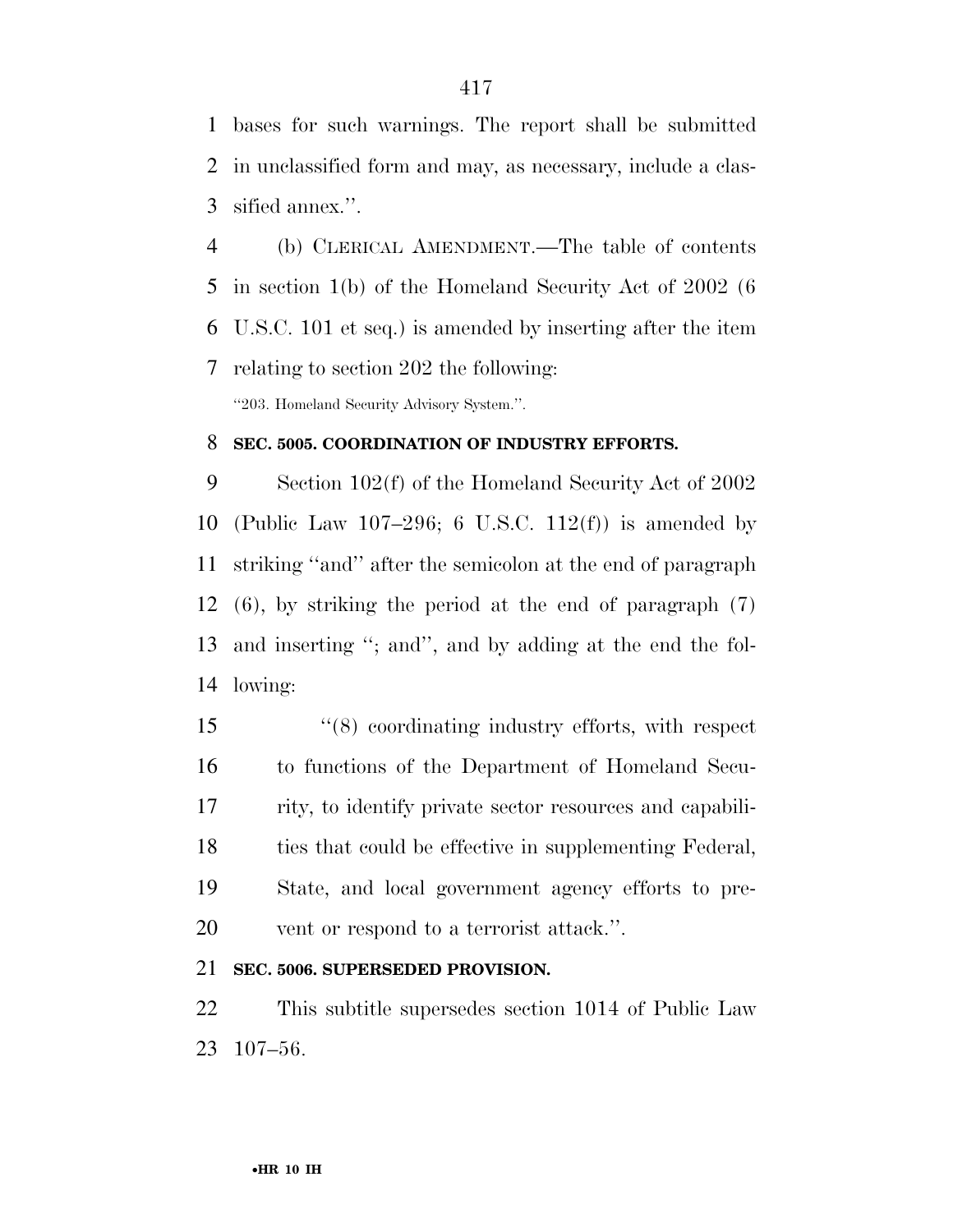bases for such warnings. The report shall be submitted in unclassified form and may, as necessary, include a clas-sified annex.''.

 (b) CLERICAL AMENDMENT.—The table of contents in section 1(b) of the Homeland Security Act of 2002 (6 U.S.C. 101 et seq.) is amended by inserting after the item relating to section 202 the following: ''203. Homeland Security Advisory System.''.

#### **SEC. 5005. COORDINATION OF INDUSTRY EFFORTS.**

 Section 102(f) of the Homeland Security Act of 2002 (Public Law 107–296; 6 U.S.C. 112(f)) is amended by striking ''and'' after the semicolon at the end of paragraph (6), by striking the period at the end of paragraph (7) and inserting ''; and'', and by adding at the end the fol-lowing:

 ''(8) coordinating industry efforts, with respect to functions of the Department of Homeland Secu- rity, to identify private sector resources and capabili- ties that could be effective in supplementing Federal, State, and local government agency efforts to pre-vent or respond to a terrorist attack.''.

### **SEC. 5006. SUPERSEDED PROVISION.**

 This subtitle supersedes section 1014 of Public Law 107–56.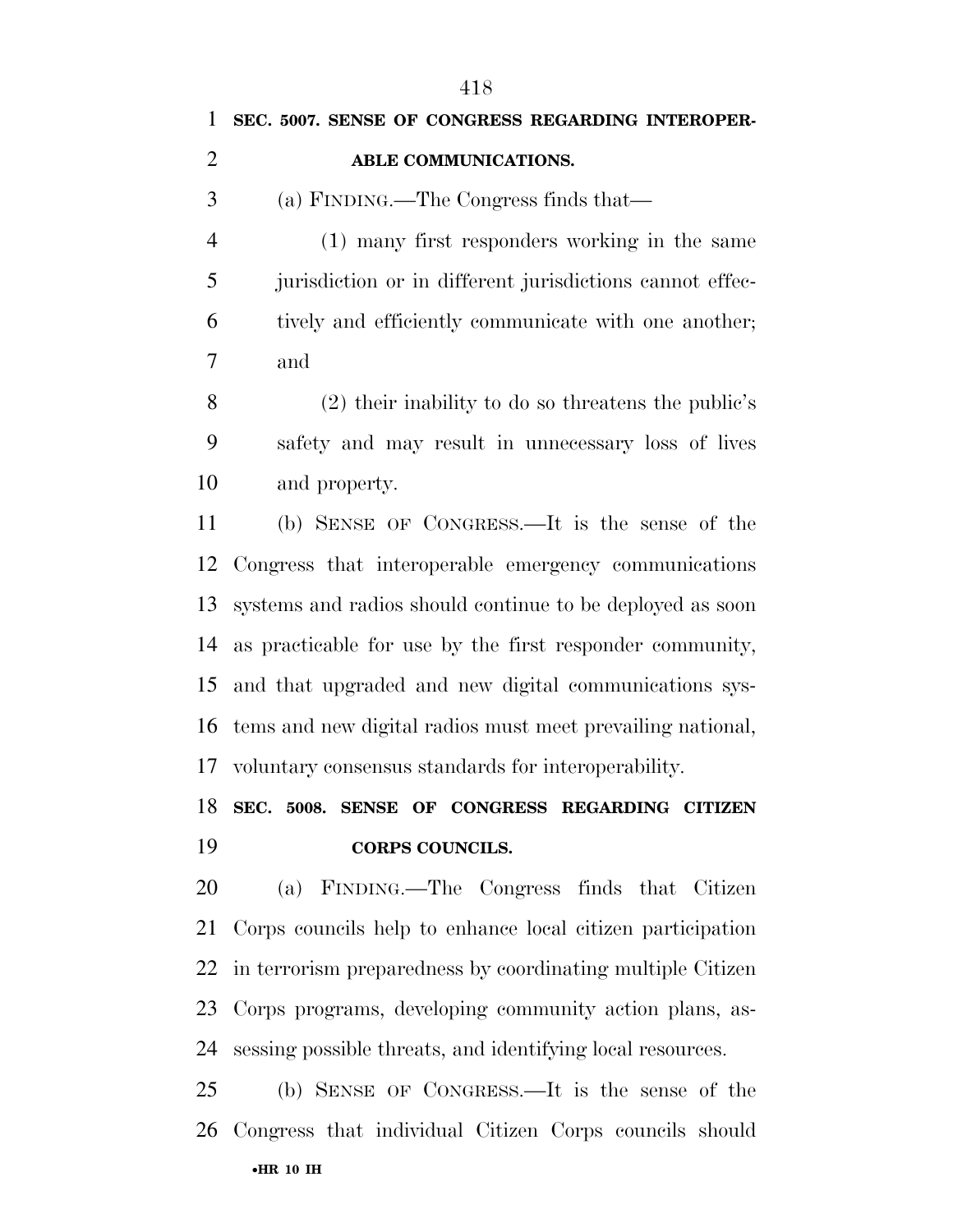**SEC. 5007. SENSE OF CONGRESS REGARDING INTEROPER-**

#### **ABLE COMMUNICATIONS.**

(a) FINDING.—The Congress finds that—

 (1) many first responders working in the same jurisdiction or in different jurisdictions cannot effec- tively and efficiently communicate with one another; and

 (2) their inability to do so threatens the public's safety and may result in unnecessary loss of lives and property.

 (b) SENSE OF CONGRESS.—It is the sense of the Congress that interoperable emergency communications systems and radios should continue to be deployed as soon as practicable for use by the first responder community, and that upgraded and new digital communications sys- tems and new digital radios must meet prevailing national, voluntary consensus standards for interoperability.

# **SEC. 5008. SENSE OF CONGRESS REGARDING CITIZEN CORPS COUNCILS.**

 (a) FINDING.—The Congress finds that Citizen Corps councils help to enhance local citizen participation in terrorism preparedness by coordinating multiple Citizen Corps programs, developing community action plans, as-sessing possible threats, and identifying local resources.

•**HR 10 IH**  (b) SENSE OF CONGRESS.—It is the sense of the Congress that individual Citizen Corps councils should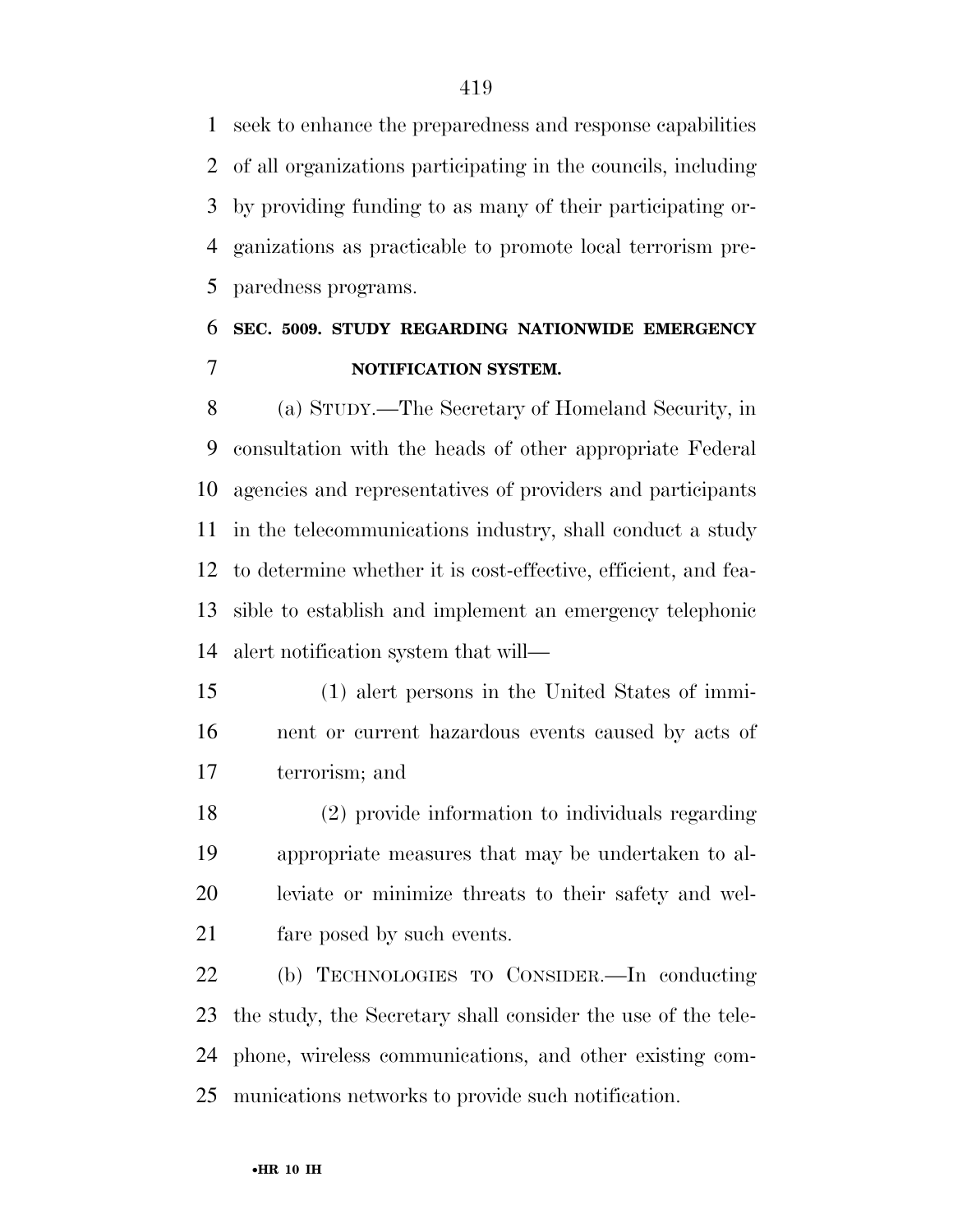seek to enhance the preparedness and response capabilities of all organizations participating in the councils, including by providing funding to as many of their participating or- ganizations as practicable to promote local terrorism pre-paredness programs.

## **SEC. 5009. STUDY REGARDING NATIONWIDE EMERGENCY NOTIFICATION SYSTEM.**

 (a) STUDY.—The Secretary of Homeland Security, in consultation with the heads of other appropriate Federal agencies and representatives of providers and participants in the telecommunications industry, shall conduct a study to determine whether it is cost-effective, efficient, and fea- sible to establish and implement an emergency telephonic alert notification system that will—

 (1) alert persons in the United States of immi- nent or current hazardous events caused by acts of terrorism; and

 (2) provide information to individuals regarding appropriate measures that may be undertaken to al- leviate or minimize threats to their safety and wel-fare posed by such events.

 (b) TECHNOLOGIES TO CONSIDER.—In conducting the study, the Secretary shall consider the use of the tele- phone, wireless communications, and other existing com-munications networks to provide such notification.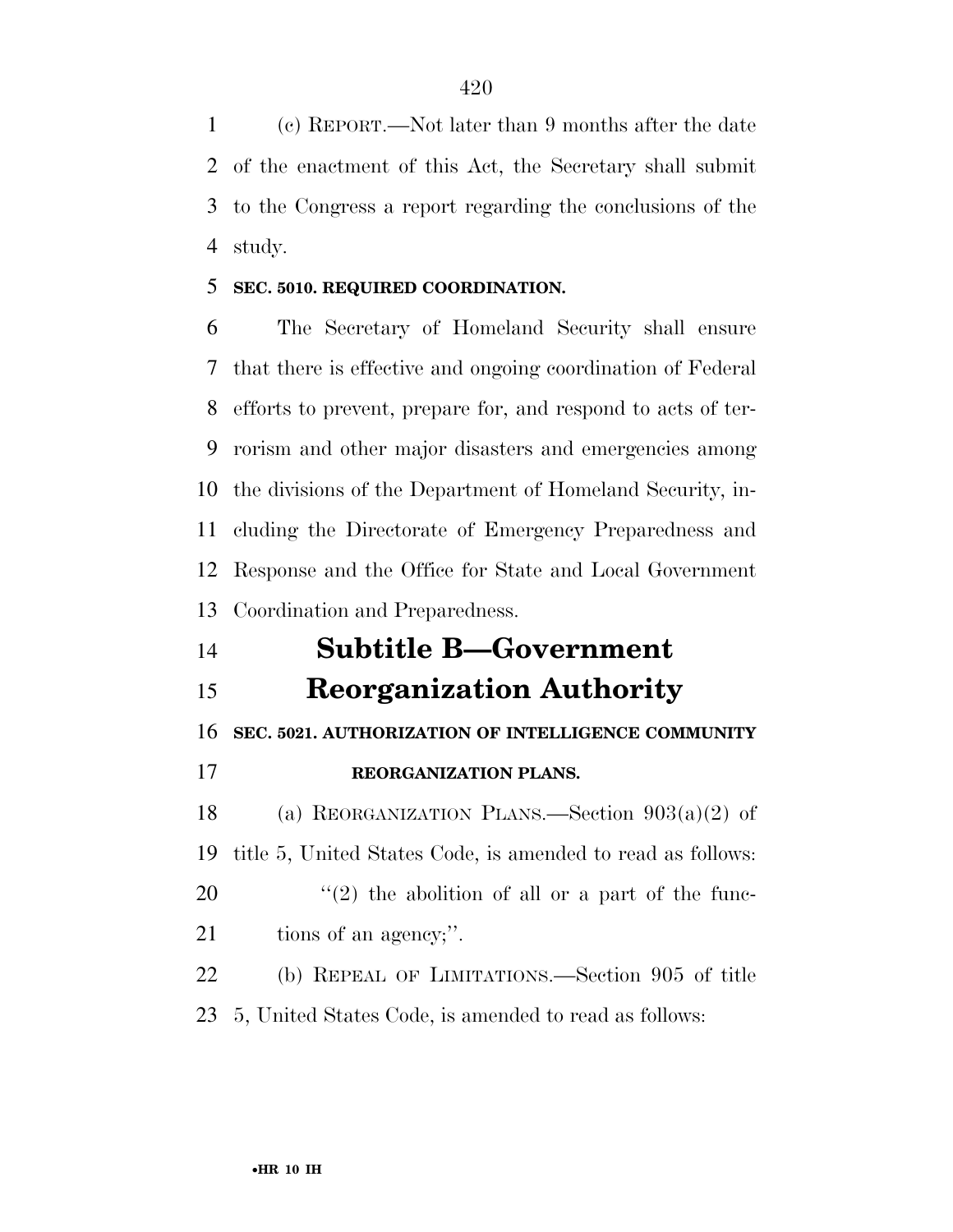(c) REPORT.—Not later than 9 months after the date of the enactment of this Act, the Secretary shall submit to the Congress a report regarding the conclusions of the study.

#### **SEC. 5010. REQUIRED COORDINATION.**

 The Secretary of Homeland Security shall ensure that there is effective and ongoing coordination of Federal efforts to prevent, prepare for, and respond to acts of ter- rorism and other major disasters and emergencies among the divisions of the Department of Homeland Security, in- cluding the Directorate of Emergency Preparedness and Response and the Office for State and Local Government Coordination and Preparedness.

### **Subtitle B—Government**

**Reorganization Authority** 

**SEC. 5021. AUTHORIZATION OF INTELLIGENCE COMMUNITY** 

**REORGANIZATION PLANS.** 

 (a) REORGANIZATION PLANS.—Section 903(a)(2) of title 5, United States Code, is amended to read as follows: ''(2) the abolition of all or a part of the func-21 tions of an agency;".

 (b) REPEAL OF LIMITATIONS.—Section 905 of title 5, United States Code, is amended to read as follows: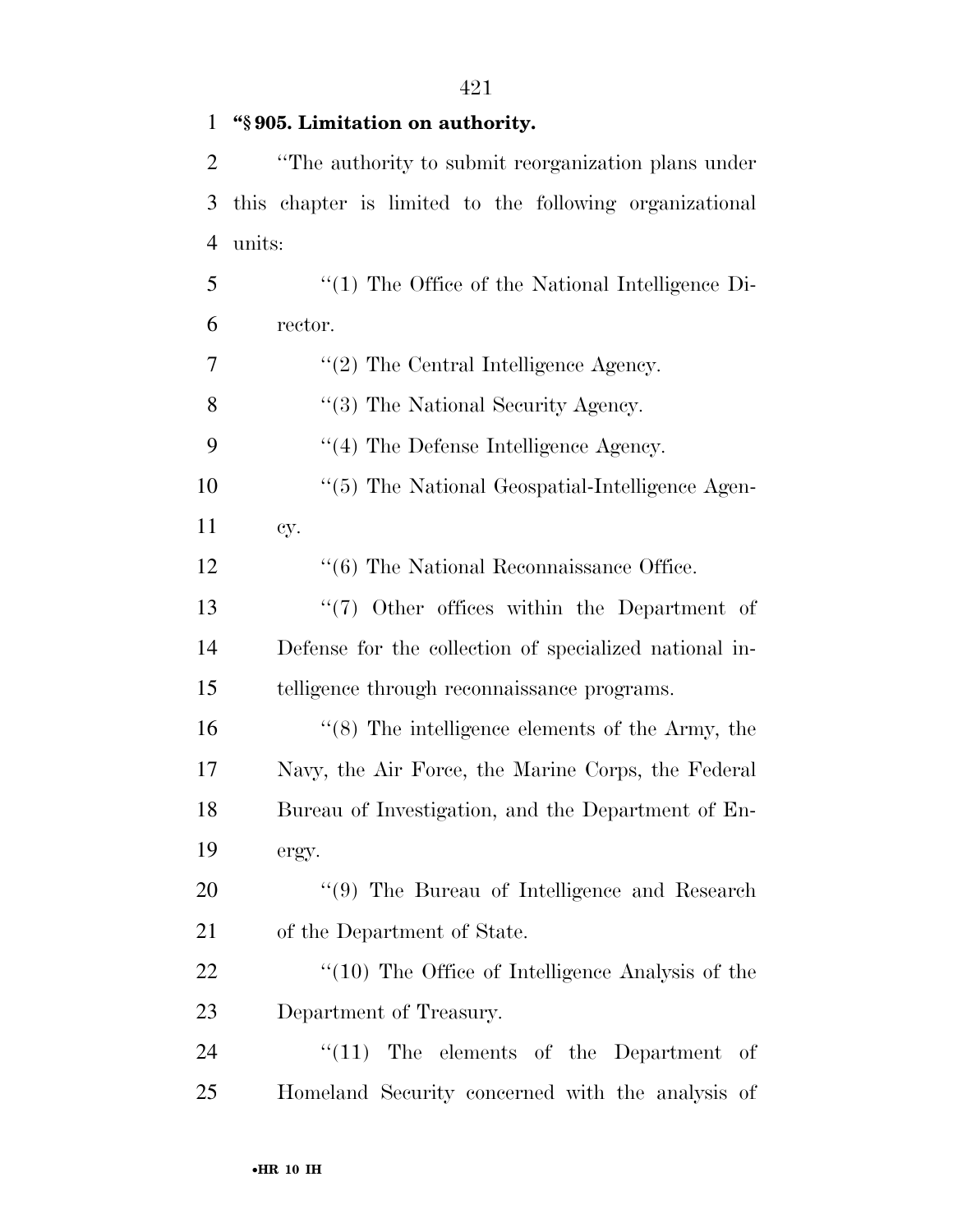| $\mathbf{1}$   | "§905. Limitation on authority.                         |
|----------------|---------------------------------------------------------|
| $\overline{2}$ | "The authority to submit reorganization plans under     |
| 3              | this chapter is limited to the following organizational |
| $\overline{4}$ | units:                                                  |
| 5              | $\lq(1)$ The Office of the National Intelligence Di-    |
| 6              | rector.                                                 |
| 7              | $"(2)$ The Central Intelligence Agency.                 |
| 8              | $\lq(3)$ The National Security Agency.                  |
| 9              | $\lq(4)$ The Defense Intelligence Agency.               |
| 10             | "(5) The National Geospatial-Intelligence Agen-         |
| 11             | cy.                                                     |
| 12             | $\cdot\cdot$ (6) The National Reconnaissance Office.    |
| 13             | $\lq(7)$ Other offices within the Department of         |
| 14             | Defense for the collection of specialized national in-  |
| 15             | telligence through reconnaissance programs.             |
| 16             | $\lq(8)$ The intelligence elements of the Army, the     |
| 17             | Navy, the Air Force, the Marine Corps, the Federal      |
| 18             | Bureau of Investigation, and the Department of En-      |
| 19             | ergy.                                                   |
| 20             | "(9) The Bureau of Intelligence and Research            |
| 21             | of the Department of State.                             |
| 22             | "(10) The Office of Intelligence Analysis of the        |
| 23             | Department of Treasury.                                 |
| 24             | $\lq(11)$ The elements of the Department of             |
| 25             | Homeland Security concerned with the analysis of        |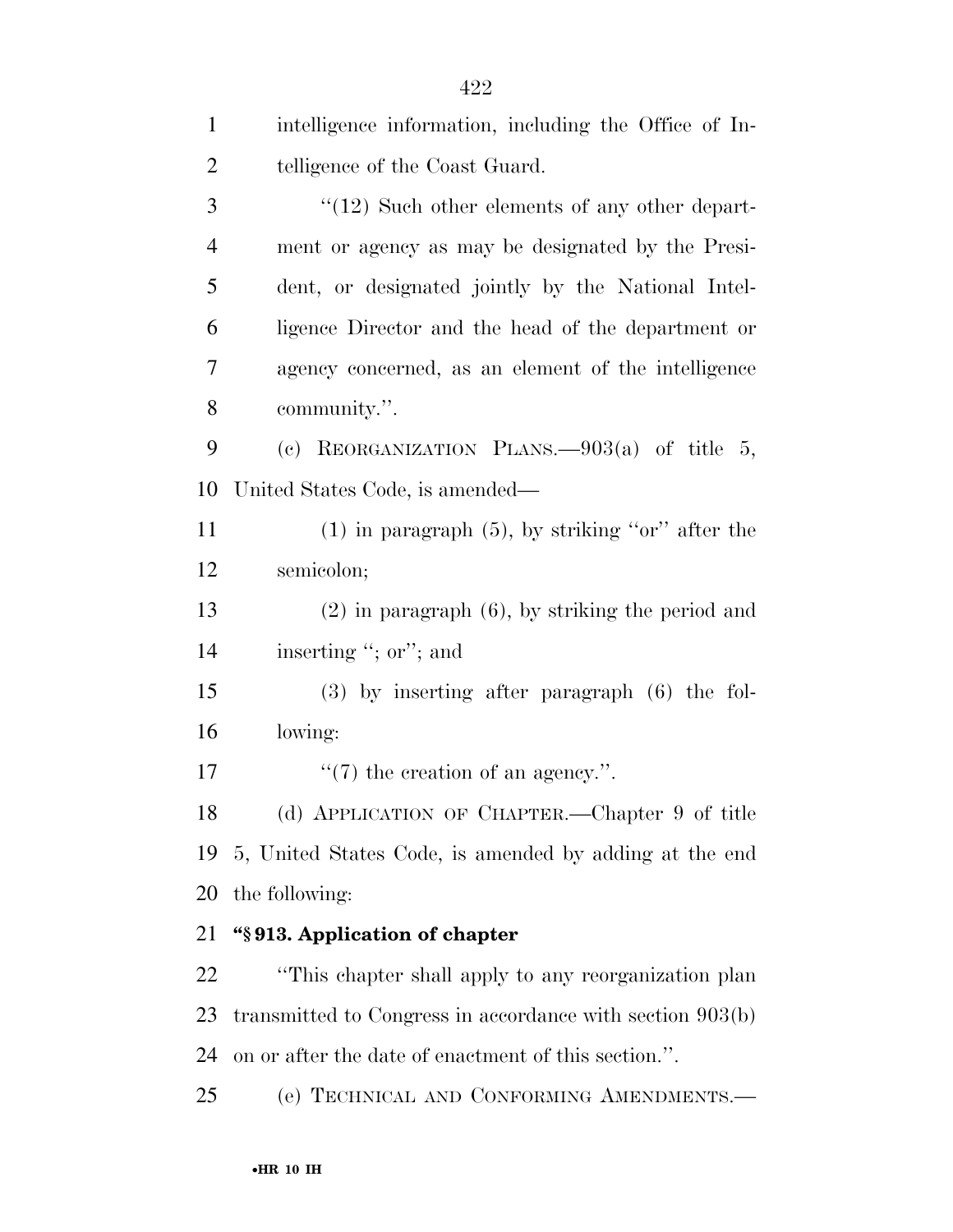| $\mathbf{1}$   | intelligence information, including the Office of In-     |
|----------------|-----------------------------------------------------------|
| $\overline{2}$ | telligence of the Coast Guard.                            |
| 3              | $\lq(12)$ Such other elements of any other depart-        |
| $\overline{4}$ | ment or agency as may be designated by the Presi-         |
| 5              | dent, or designated jointly by the National Intel-        |
| 6              | ligence Director and the head of the department or        |
| $\overline{7}$ | agency concerned, as an element of the intelligence       |
| 8              | community.".                                              |
| 9              | (c) REORGANIZATION PLANS. $-903(a)$ of title 5,           |
| 10             | United States Code, is amended—                           |
| 11             | $(1)$ in paragraph $(5)$ , by striking "or" after the     |
| 12             | semicolon;                                                |
| 13             | $(2)$ in paragraph $(6)$ , by striking the period and     |
| 14             | inserting "; or"; and                                     |
| 15             | $(3)$ by inserting after paragraph $(6)$ the fol-         |
| 16             | lowing:                                                   |
| 17             | $\lq(7)$ the creation of an agency.".                     |
| 18             | (d) APPLICATION OF CHAPTER.—Chapter 9 of title            |
| 19             | 5, United States Code, is amended by adding at the end    |
| 20             | the following:                                            |
| 21             | "\\$913. Application of chapter                           |
| 22             | "This chapter shall apply to any reorganization plan      |
| 23             | transmitted to Congress in accordance with section 903(b) |
| 24             | on or after the date of enactment of this section.".      |
| 25             | (e) TECHNICAL AND CONFORMING AMENDMENTS.-                 |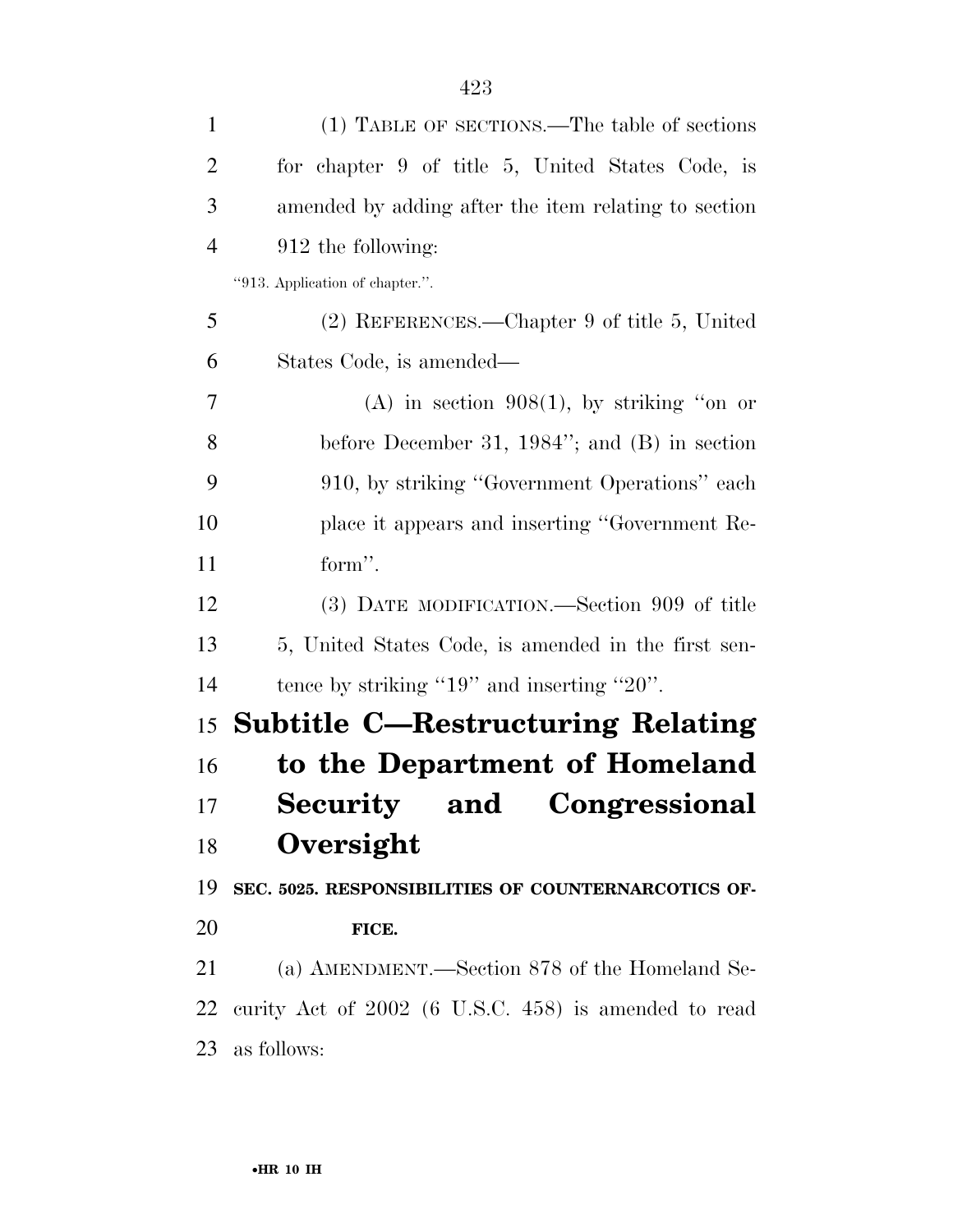| $\mathbf{1}$   | (1) TABLE OF SECTIONS.—The table of sections         |
|----------------|------------------------------------------------------|
| $\overline{2}$ | for chapter 9 of title 5, United States Code, is     |
| 3              | amended by adding after the item relating to section |
| $\overline{4}$ | 912 the following:                                   |
|                | "913. Application of chapter.".                      |
| 5              | (2) REFERENCES.—Chapter 9 of title 5, United         |
| 6              | States Code, is amended—                             |
| 7              | $(A)$ in section 908(1), by striking "on or          |
| 8              | before December 31, 1984"; and $(B)$ in section      |
| 9              | 910, by striking "Government Operations" each        |
| 10             | place it appears and inserting "Government Re-       |
| 11             | form".                                               |
| 12             | (3) DATE MODIFICATION.—Section 909 of title          |
| 13             | 5, United States Code, is amended in the first sen-  |
| 14             | tence by striking " $19$ " and inserting " $20$ ".   |
| 15             | <b>Subtitle C-Restructuring Relating</b>             |
| 16             | to the Department of Homeland                        |
| 17             | Security and Congressional                           |
| 18             | Oversight                                            |
| 19             | SEC. 5025. RESPONSIBILITIES OF COUNTERNARCOTICS OF-  |
| 20             | FICE.                                                |
| 21             | (a) AMENDMENT.—Section 878 of the Homeland Se-       |
| 22             | curity Act of 2002 (6 U.S.C. 458) is amended to read |
| 23             | as follows:                                          |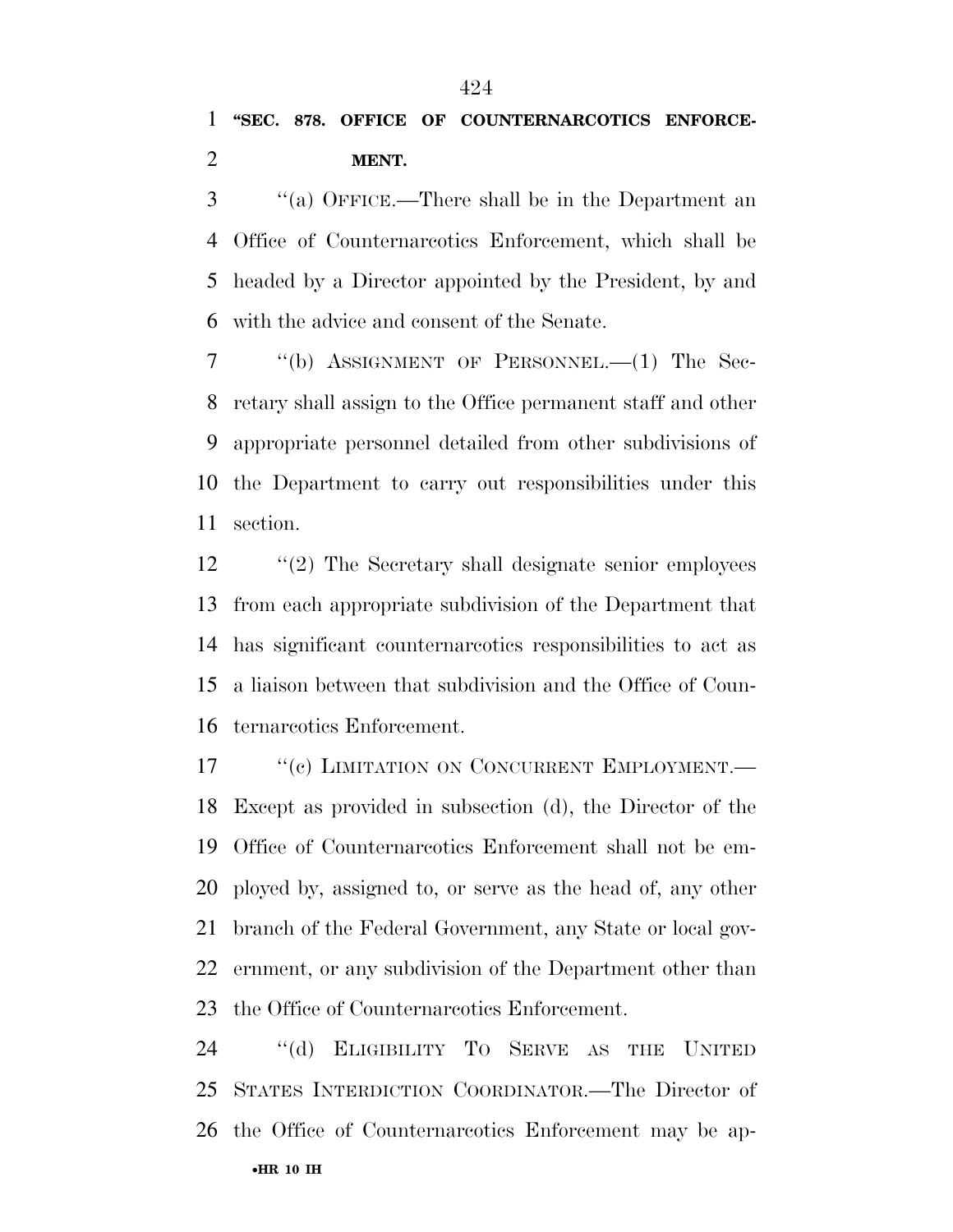''(a) OFFICE.—There shall be in the Department an Office of Counternarcotics Enforcement, which shall be headed by a Director appointed by the President, by and with the advice and consent of the Senate.

 ''(b) ASSIGNMENT OF PERSONNEL.—(1) The Sec- retary shall assign to the Office permanent staff and other appropriate personnel detailed from other subdivisions of the Department to carry out responsibilities under this section.

 ''(2) The Secretary shall designate senior employees from each appropriate subdivision of the Department that has significant counternarcotics responsibilities to act as a liaison between that subdivision and the Office of Coun-ternarcotics Enforcement.

17 <sup>"</sup>(c) LIMITATION ON CONCURRENT EMPLOYMENT. Except as provided in subsection (d), the Director of the Office of Counternarcotics Enforcement shall not be em- ployed by, assigned to, or serve as the head of, any other branch of the Federal Government, any State or local gov- ernment, or any subdivision of the Department other than the Office of Counternarcotics Enforcement.

•**HR 10 IH**  ''(d) ELIGIBILITY TO SERVE AS THE UNITED STATES INTERDICTION COORDINATOR.—The Director of the Office of Counternarcotics Enforcement may be ap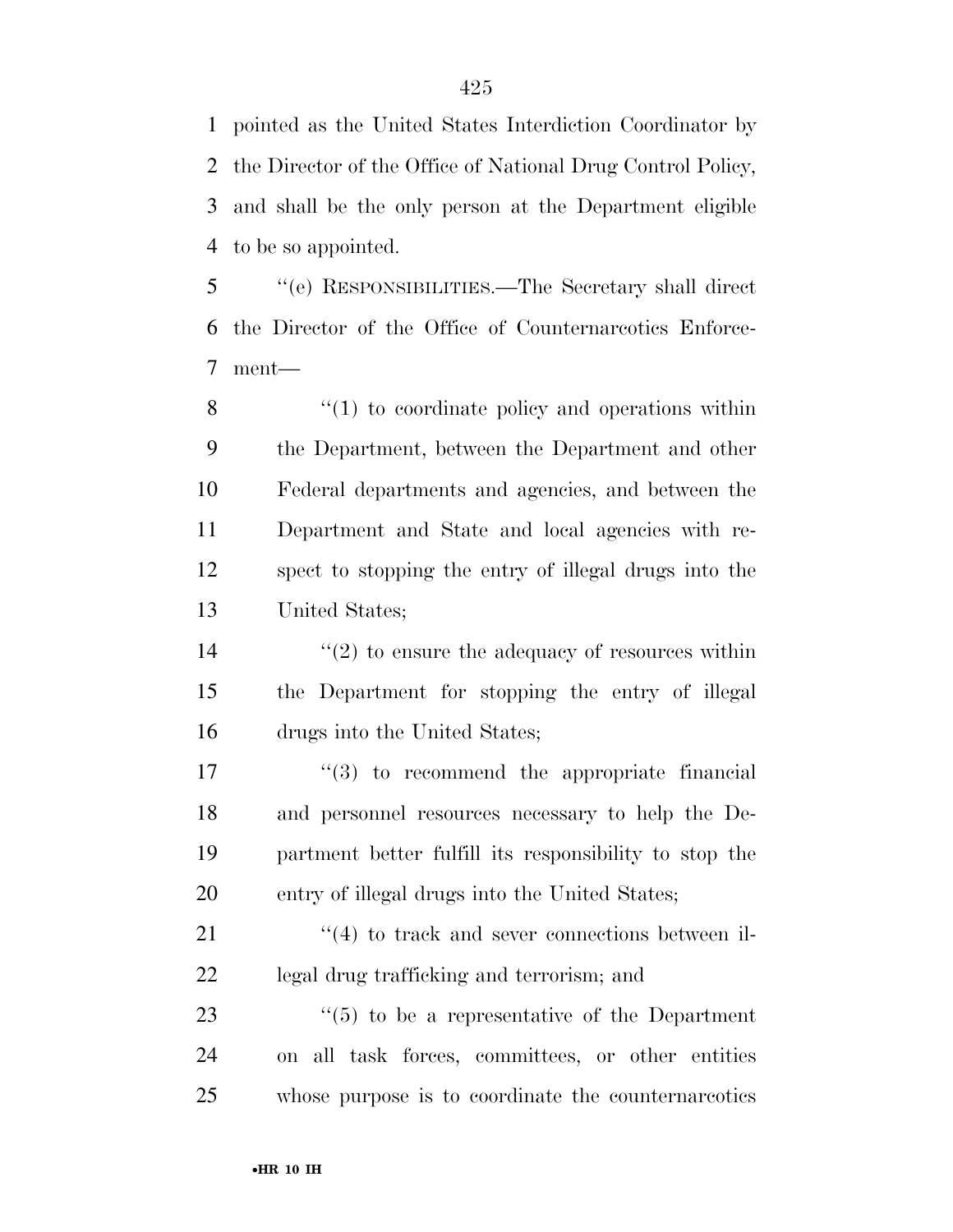pointed as the United States Interdiction Coordinator by the Director of the Office of National Drug Control Policy, and shall be the only person at the Department eligible to be so appointed.

 ''(e) RESPONSIBILITIES.—The Secretary shall direct the Director of the Office of Counternarcotics Enforce-ment—

8 ''(1) to coordinate policy and operations within the Department, between the Department and other Federal departments and agencies, and between the Department and State and local agencies with re- spect to stopping the entry of illegal drugs into the United States;

14  $(2)$  to ensure the adequacy of resources within the Department for stopping the entry of illegal drugs into the United States;

 $\frac{17}{2}$  (3) to recommend the appropriate financial and personnel resources necessary to help the De- partment better fulfill its responsibility to stop the entry of illegal drugs into the United States;

21 ''(4) to track and sever connections between il-legal drug trafficking and terrorism; and

23  $\frac{1}{2}$  (5) to be a representative of the Department on all task forces, committees, or other entities whose purpose is to coordinate the counternarcotics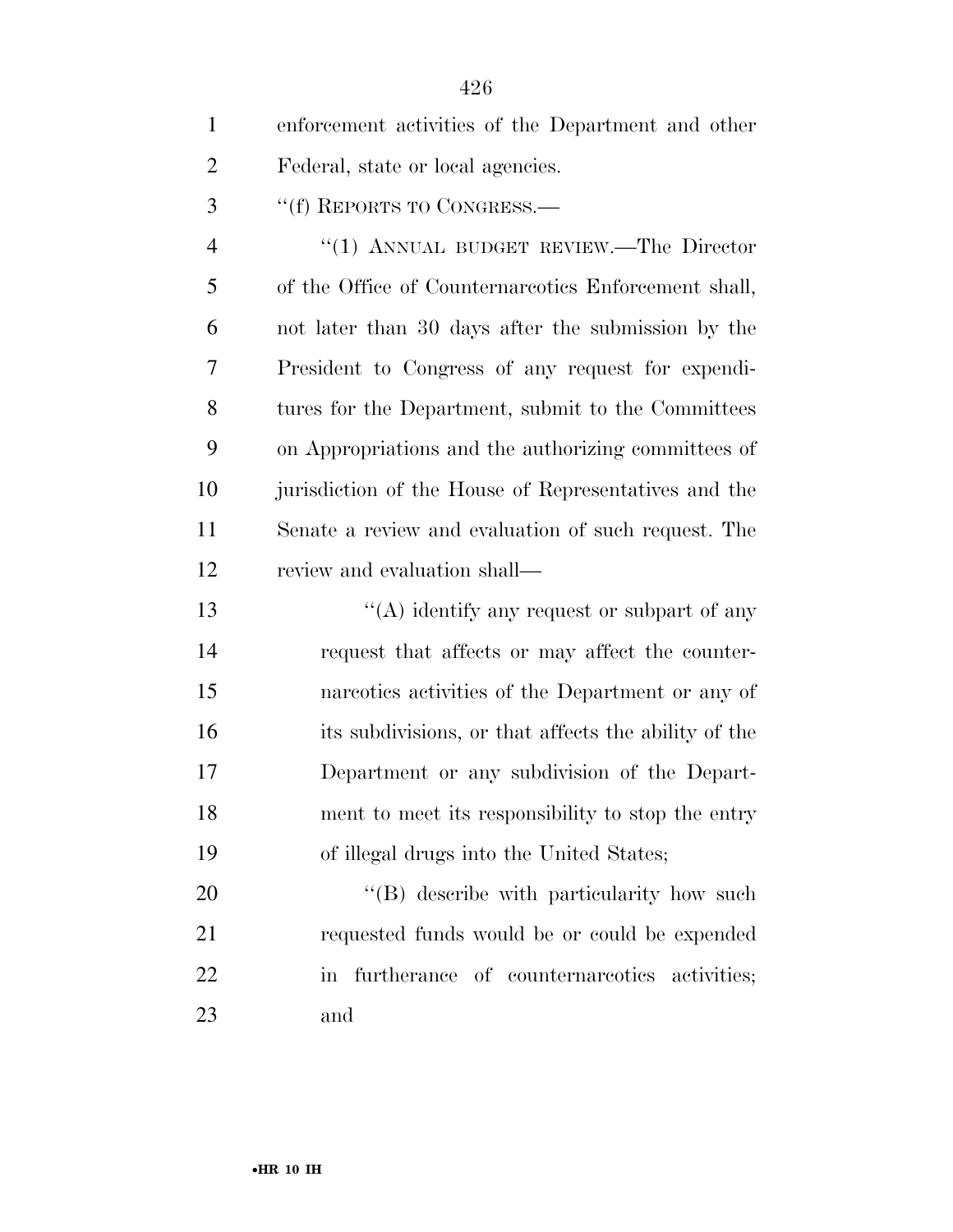| $\mathbf{1}$   | enforcement activities of the Department and other   |
|----------------|------------------------------------------------------|
| 2              | Federal, state or local agencies.                    |
| 3              | "(f) REPORTS TO CONGRESS.—                           |
| $\overline{4}$ | "(1) ANNUAL BUDGET REVIEW.—The Director              |
| 5              | of the Office of Counternareotics Enforcement shall, |
| 6              | not later than 30 days after the submission by the   |
| 7              | President to Congress of any request for expendi-    |
| 8              | tures for the Department, submit to the Committees   |
| 9              | on Appropriations and the authorizing committees of  |
| 10             | jurisdiction of the House of Representatives and the |
| 11             | Senate a review and evaluation of such request. The  |
| 12             | review and evaluation shall—                         |
| 13             | "(A) identify any request or subpart of any          |
| 14             | request that affects or may affect the counter-      |
| 15             | narcotics activities of the Department or any of     |
| 16             | its subdivisions, or that affects the ability of the |
| 17             | Department or any subdivision of the Depart-         |
| 18             | ment to meet its responsibility to stop the entry    |
| 19             | of illegal drugs into the United States;             |
| 20             | "(B) describe with particularity how such            |
| 21             | requested funds would be or could be expended        |

in furtherance of counternarcotics activities;

and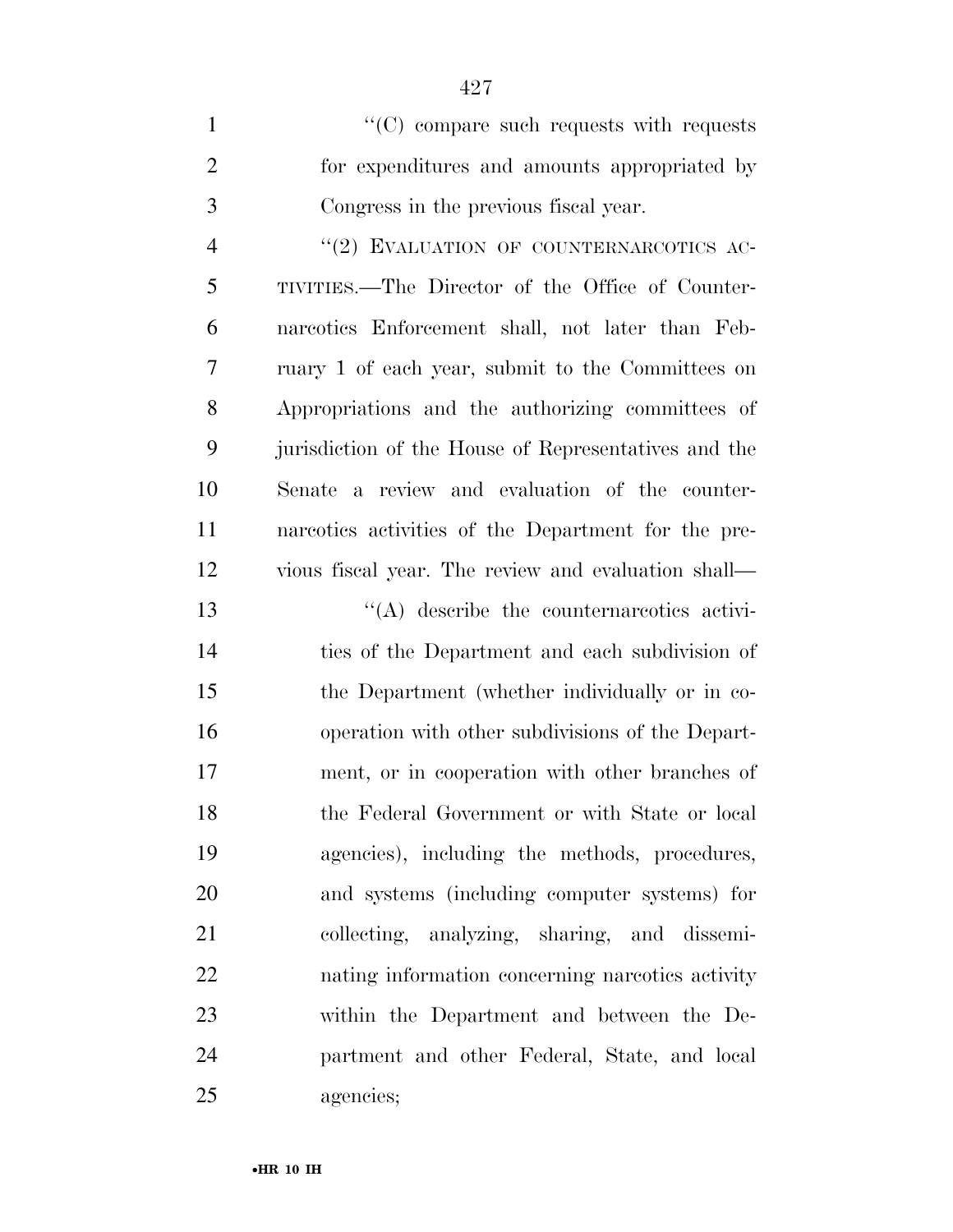| $\mathbf{1}$   | "(C) compare such requests with requests             |
|----------------|------------------------------------------------------|
| $\overline{2}$ | for expenditures and amounts appropriated by         |
| 3              | Congress in the previous fiscal year.                |
| $\overline{4}$ | "(2) EVALUATION OF COUNTERNARCOTICS AC-              |
| 5              | TIVITIES.—The Director of the Office of Counter-     |
| 6              | narcotics Enforcement shall, not later than Feb-     |
| 7              | ruary 1 of each year, submit to the Committees on    |
| 8              | Appropriations and the authorizing committees of     |
| 9              | jurisdiction of the House of Representatives and the |
| 10             | Senate a review and evaluation of the counter-       |
| 11             | narcotics activities of the Department for the pre-  |
| 12             | vious fiscal year. The review and evaluation shall—  |
| 13             | $\lq\lq$ describe the counternareotics activi-       |
| 14             | ties of the Department and each subdivision of       |
| 15             | the Department (whether individually or in co-       |
| 16             | operation with other subdivisions of the Depart-     |
| 17             | ment, or in cooperation with other branches of       |
| 18             | the Federal Government or with State or local        |
| 19             | agencies), including the methods, procedures,        |
| 20             | and systems (including computer systems) for         |

collecting, analyzing, sharing, and dissemi-

nating information concerning narcotics activity

within the Department and between the De-

partment and other Federal, State, and local

•**HR 10 IH** 

agencies;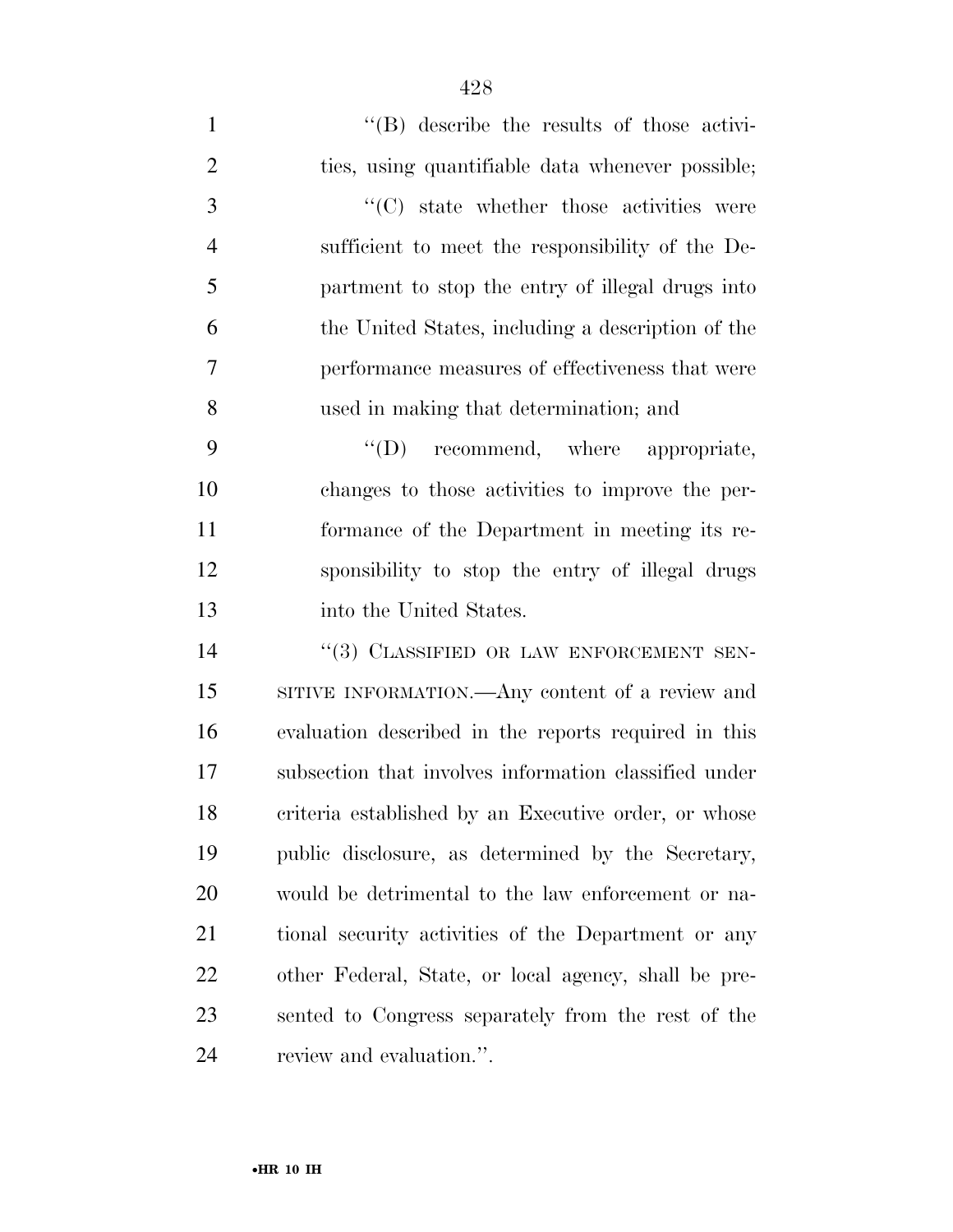| $\mathbf{1}$   | $\lq\lq$ describe the results of those activi-        |
|----------------|-------------------------------------------------------|
| $\overline{2}$ | ties, using quantifiable data whenever possible;      |
| 3              | "(C) state whether those activities were              |
| $\overline{4}$ | sufficient to meet the responsibility of the De-      |
| 5              | partment to stop the entry of illegal drugs into      |
| 6              | the United States, including a description of the     |
| 7              | performance measures of effectiveness that were       |
| 8              | used in making that determination; and                |
| 9              | "(D) recommend, where appropriate,                    |
| 10             | changes to those activities to improve the per-       |
| 11             | formance of the Department in meeting its re-         |
| 12             | sponsibility to stop the entry of illegal drugs       |
| 13             | into the United States.                               |
| 14             | "(3) CLASSIFIED OR LAW ENFORCEMENT SEN-               |
| 15             | SITIVE INFORMATION.—Any content of a review and       |
| 16             | evaluation described in the reports required in this  |
| 17             | subsection that involves information classified under |
| 18             | criteria established by an Executive order, or whose  |
| 19             | public disclosure, as determined by the Secretary,    |
| 20             | would be detrimental to the law enforcement or na-    |
| 21             | tional security activities of the Department or any   |
| 22             | other Federal, State, or local agency, shall be pre-  |
| 23             | sented to Congress separately from the rest of the    |
| 24             | review and evaluation.".                              |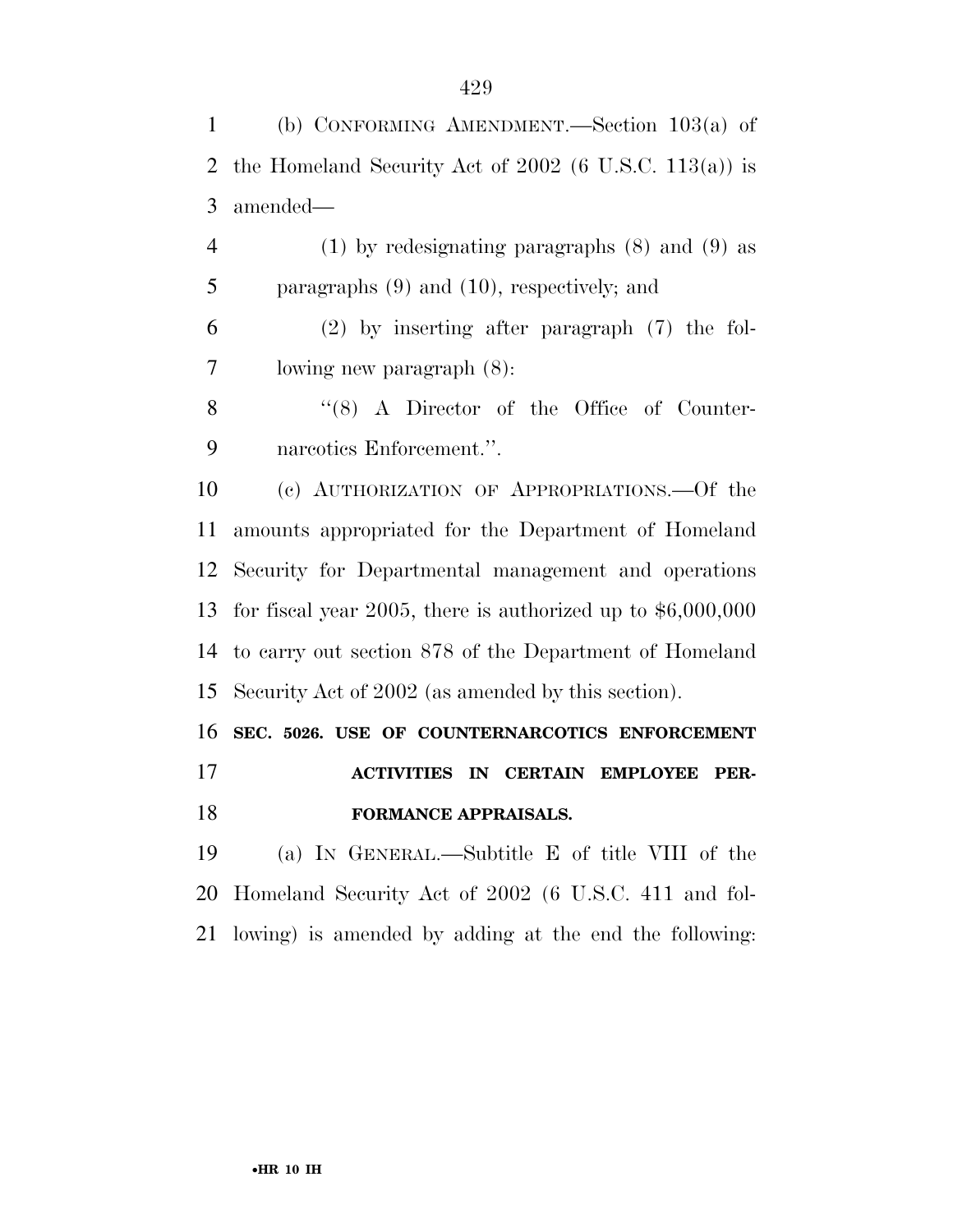(b) CONFORMING AMENDMENT.—Section 103(a) of the Homeland Security Act of 2002 (6 U.S.C. 113(a)) is amended—

 (1) by redesignating paragraphs (8) and (9) as paragraphs (9) and (10), respectively; and

 (2) by inserting after paragraph (7) the fol-lowing new paragraph (8):

8 "(8) A Director of the Office of Counter-narcotics Enforcement.''.

 (c) AUTHORIZATION OF APPROPRIATIONS.—Of the amounts appropriated for the Department of Homeland Security for Departmental management and operations for fiscal year 2005, there is authorized up to \$6,000,000 to carry out section 878 of the Department of Homeland Security Act of 2002 (as amended by this section).

 **SEC. 5026. USE OF COUNTERNARCOTICS ENFORCEMENT ACTIVITIES IN CERTAIN EMPLOYEE PER-**

**FORMANCE APPRAISALS.** 

 (a) IN GENERAL.—Subtitle E of title VIII of the Homeland Security Act of 2002 (6 U.S.C. 411 and fol-lowing) is amended by adding at the end the following: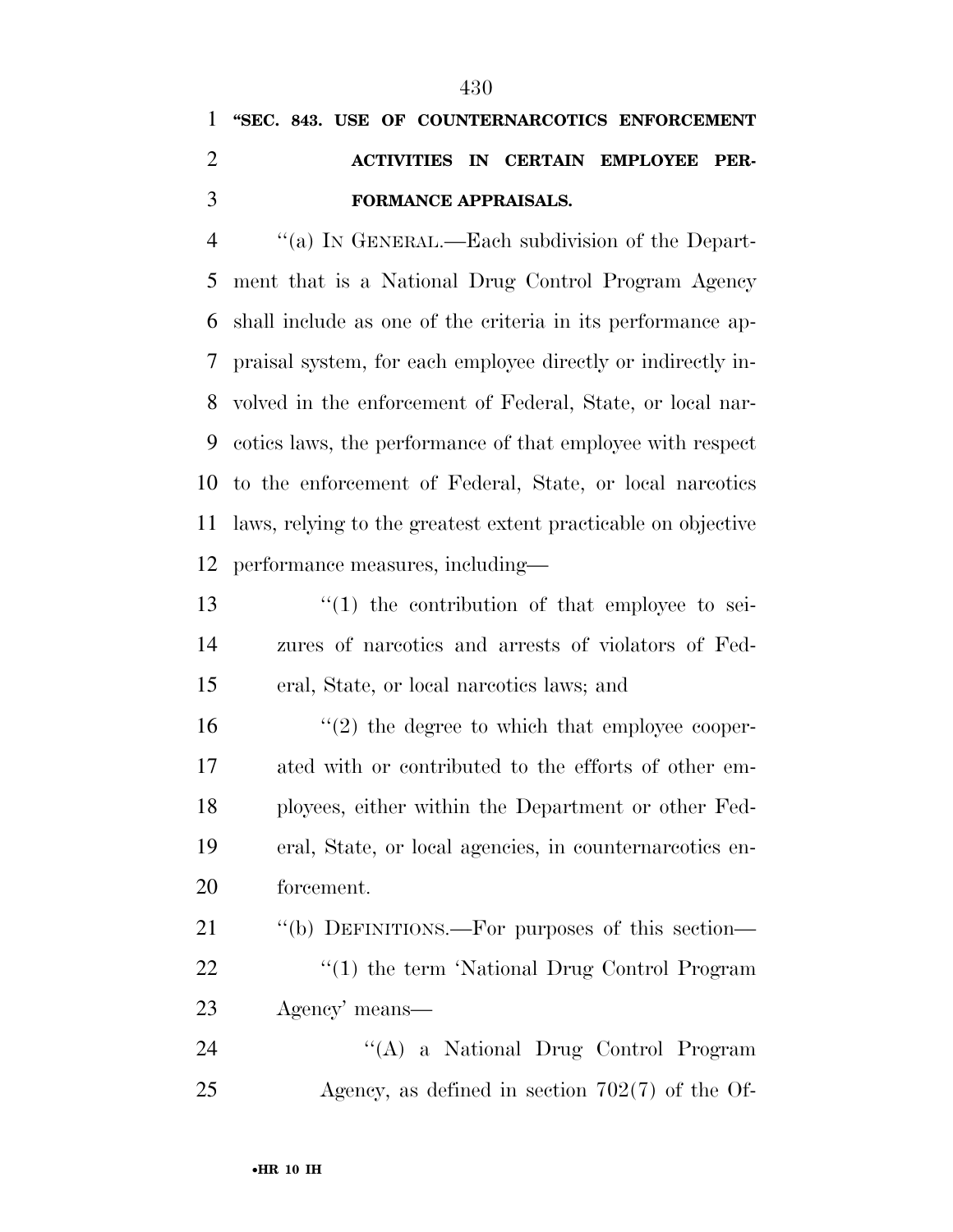# **''SEC. 843. USE OF COUNTERNARCOTICS ENFORCEMENT ACTIVITIES IN CERTAIN EMPLOYEE PER-FORMANCE APPRAISALS.**

 ''(a) IN GENERAL.—Each subdivision of the Depart- ment that is a National Drug Control Program Agency shall include as one of the criteria in its performance ap- praisal system, for each employee directly or indirectly in- volved in the enforcement of Federal, State, or local nar- cotics laws, the performance of that employee with respect to the enforcement of Federal, State, or local narcotics laws, relying to the greatest extent practicable on objective performance measures, including—

13  $\frac{13}{2}$   $\frac{13}{2}$  the contribution of that employee to sei- zures of narcotics and arrests of violators of Fed-eral, State, or local narcotics laws; and

 $\frac{16}{2}$  the degree to which that employee cooper- ated with or contributed to the efforts of other em- ployees, either within the Department or other Fed- eral, State, or local agencies, in counternarcotics en-forcement.

 ''(b) DEFINITIONS.—For purposes of this section— 22 "(1) the term 'National Drug Control Program Agency' means—

 ''(A) a National Drug Control Program Agency, as defined in section 702(7) of the Of-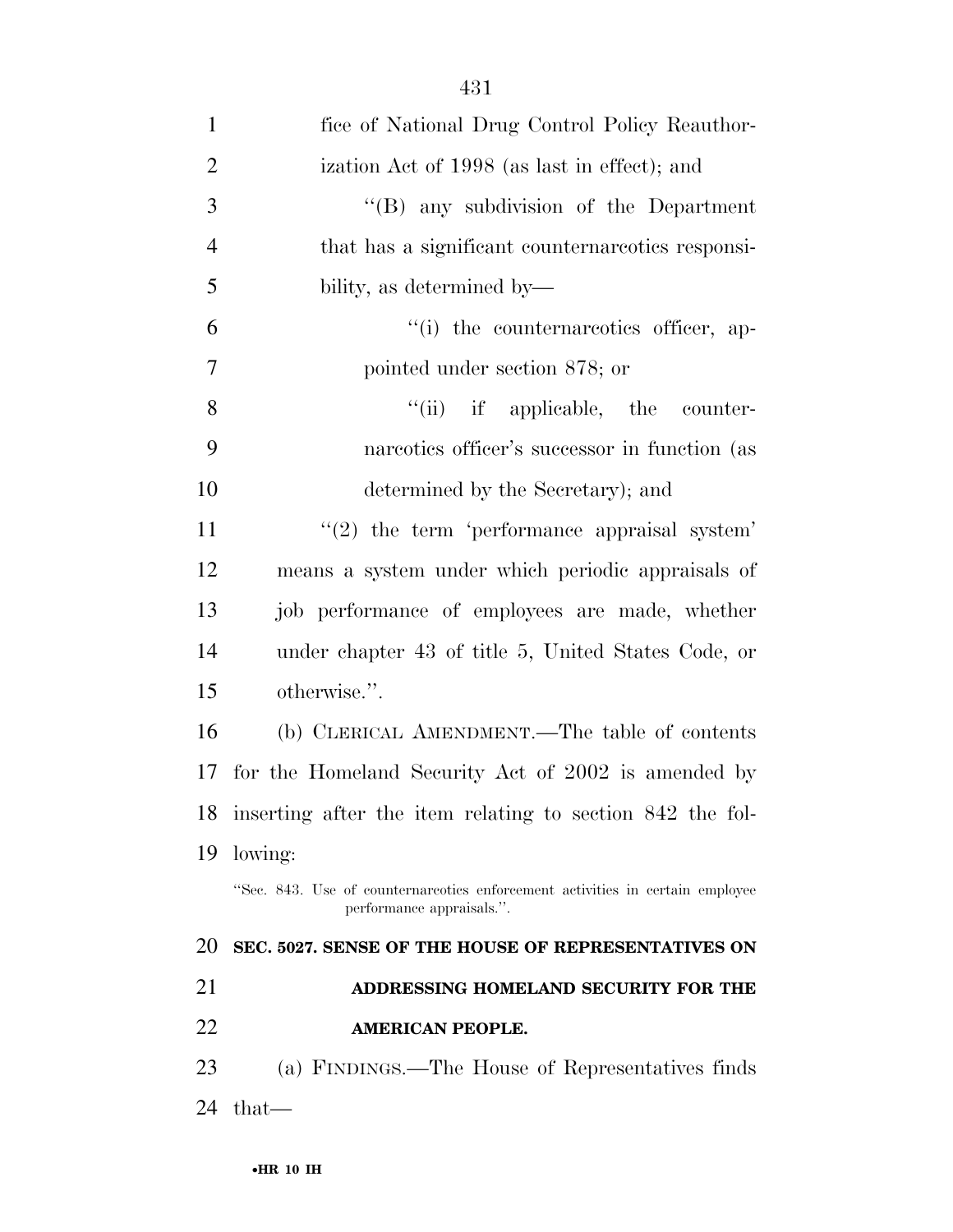| $\mathbf{1}$   | fice of National Drug Control Policy Reauthor-                                                             |
|----------------|------------------------------------------------------------------------------------------------------------|
| $\overline{2}$ | ization Act of 1998 (as last in effect); and                                                               |
| 3              | "(B) any subdivision of the Department                                                                     |
| $\overline{4}$ | that has a significant counternareotics responsi-                                                          |
| 5              | bility, as determined by—                                                                                  |
| 6              | "(i) the counternareotics officer, ap-                                                                     |
| 7              | pointed under section 878; or                                                                              |
| 8              | "(ii) if applicable, the counter-                                                                          |
| 9              | nareotics officer's successor in function (as                                                              |
| 10             | determined by the Secretary); and                                                                          |
| 11             | $\lq(2)$ the term 'performance appraisal system'                                                           |
| 12             | means a system under which periodic appraisals of                                                          |
| 13             | job performance of employees are made, whether                                                             |
| 14             | under chapter 43 of title 5, United States Code, or                                                        |
| 15             | otherwise.".                                                                                               |
| 16             | (b) CLERICAL AMENDMENT.—The table of contents                                                              |
| 17             | for the Homeland Security Act of 2002 is amended by                                                        |
| 18             | inserting after the item relating to section 842 the fol-                                                  |
| 19             | lowing:                                                                                                    |
|                | "Sec. 843. Use of counternareotics enforcement activities in certain employee<br>performance appraisals.". |
| 20             | SEC. 5027. SENSE OF THE HOUSE OF REPRESENTATIVES ON                                                        |
| 21             | ADDRESSING HOMELAND SECURITY FOR THE                                                                       |
| 22             | <b>AMERICAN PEOPLE.</b>                                                                                    |
| 23             | (a) FINDINGS.—The House of Representatives finds                                                           |
| 24             | that—                                                                                                      |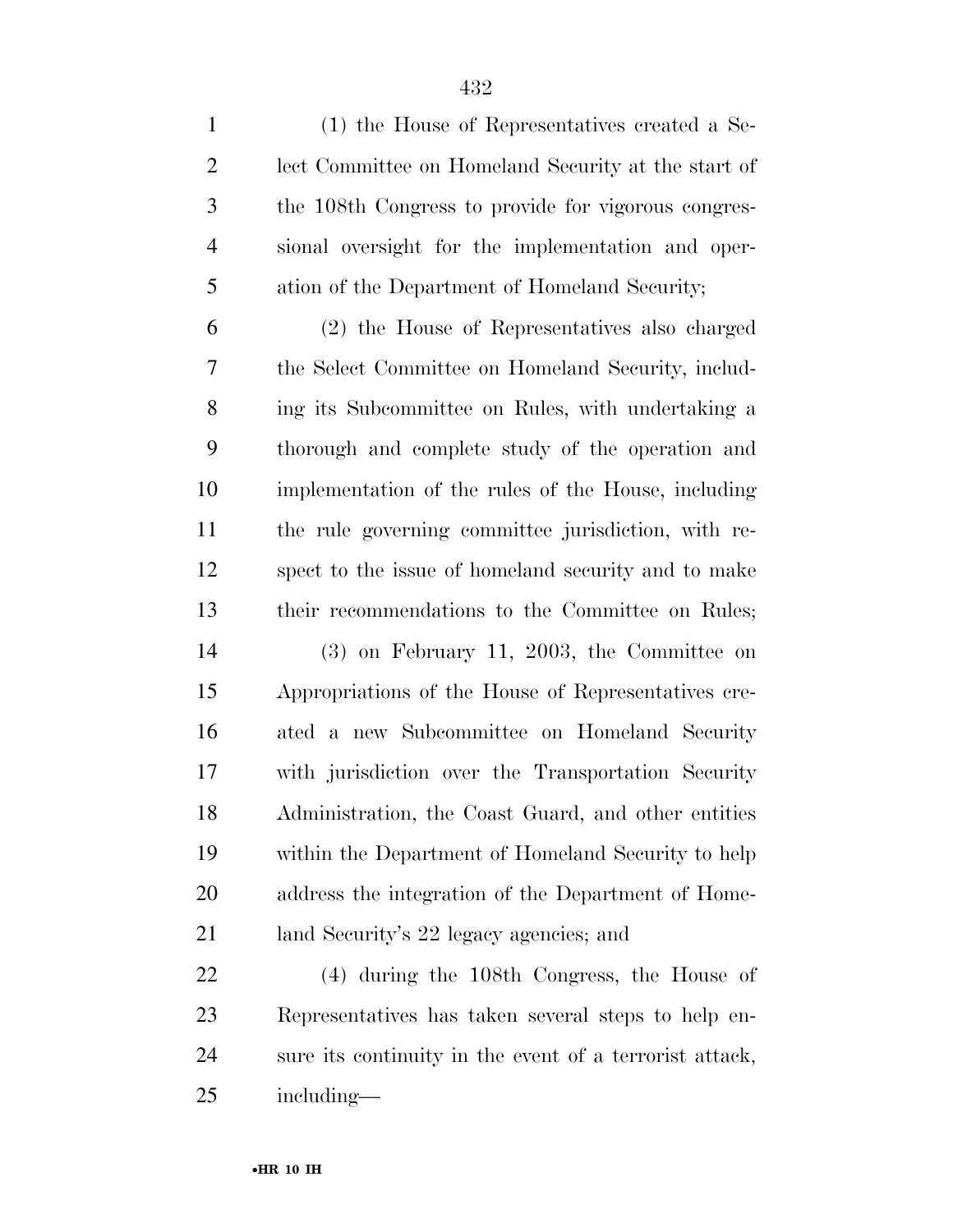(1) the House of Representatives created a Se- lect Committee on Homeland Security at the start of the 108th Congress to provide for vigorous congres- sional oversight for the implementation and oper- ation of the Department of Homeland Security; (2) the House of Representatives also charged the Select Committee on Homeland Security, includ- ing its Subcommittee on Rules, with undertaking a thorough and complete study of the operation and implementation of the rules of the House, including the rule governing committee jurisdiction, with re- spect to the issue of homeland security and to make their recommendations to the Committee on Rules; (3) on February 11, 2003, the Committee on Appropriations of the House of Representatives cre- ated a new Subcommittee on Homeland Security with jurisdiction over the Transportation Security Administration, the Coast Guard, and other entities within the Department of Homeland Security to help address the integration of the Department of Home-land Security's 22 legacy agencies; and

 (4) during the 108th Congress, the House of Representatives has taken several steps to help en- sure its continuity in the event of a terrorist attack, including—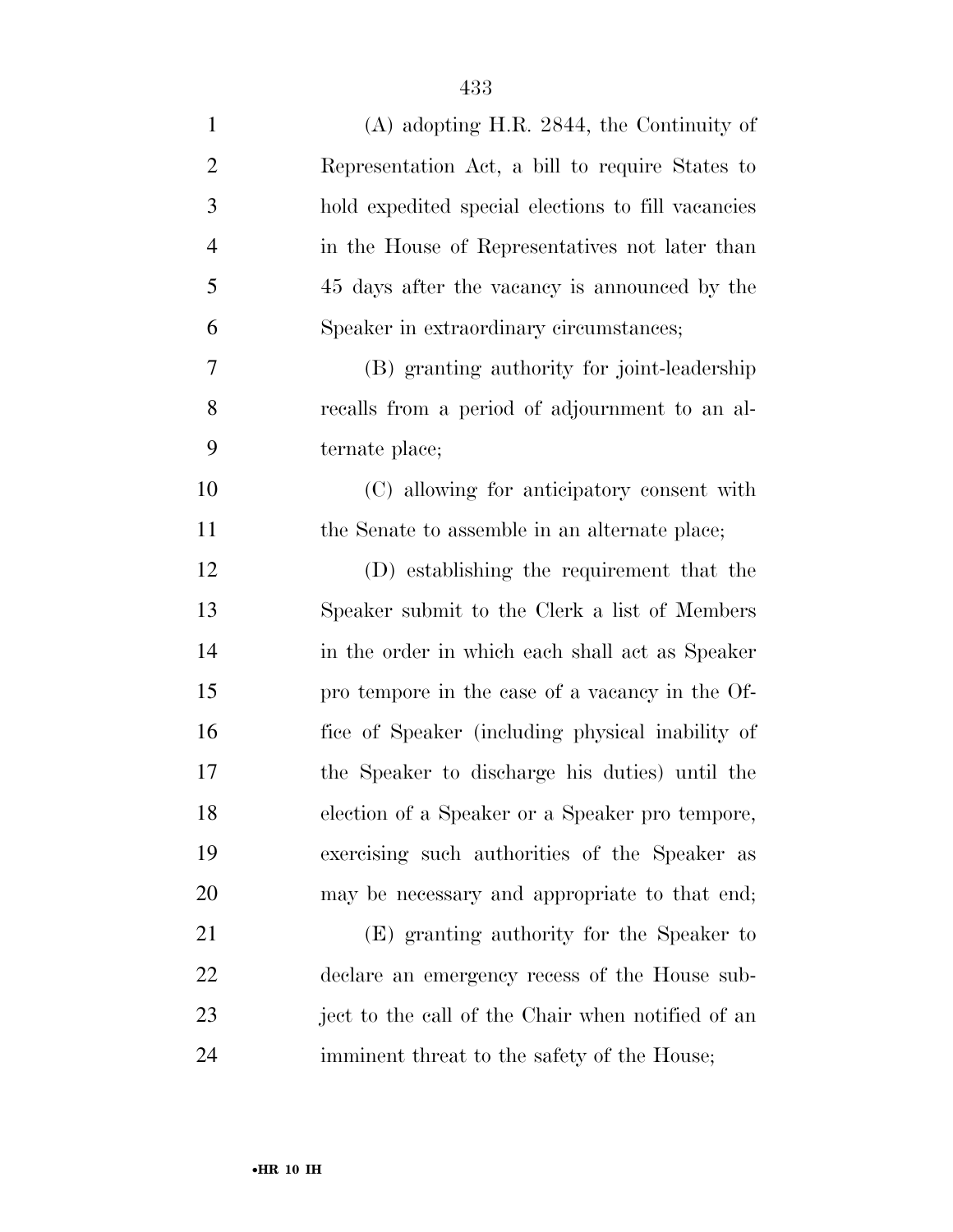| $\mathbf{1}$   | $(A)$ adopting H.R. 2844, the Continuity of        |
|----------------|----------------------------------------------------|
| $\overline{c}$ | Representation Act, a bill to require States to    |
| 3              | hold expedited special elections to fill vacancies |
| $\overline{4}$ | in the House of Representatives not later than     |
| 5              | 45 days after the vacancy is announced by the      |
| 6              | Speaker in extraordinary circumstances;            |
| $\overline{7}$ | (B) granting authority for joint-leadership        |
| 8              | recalls from a period of adjournment to an al-     |
| 9              | ternate place;                                     |
| 10             | (C) allowing for anticipatory consent with         |
| 11             | the Senate to assemble in an alternate place;      |
| 12             | (D) establishing the requirement that the          |
| 13             | Speaker submit to the Clerk a list of Members      |
| 14             | in the order in which each shall act as Speaker    |
| 15             | pro tempore in the case of a vacancy in the Of-    |
| 16             | fice of Speaker (including physical inability of   |
| 17             | the Speaker to discharge his duties) until the     |
| 18             | election of a Speaker or a Speaker pro tempore,    |
| 19             | exercising such authorities of the Speaker as      |
| 20             | may be necessary and appropriate to that end;      |
| 21             | (E) granting authority for the Speaker to          |
| 22             | declare an emergency recess of the House sub-      |
| 23             | ject to the call of the Chair when notified of an  |
| 24             | imminent threat to the safety of the House;        |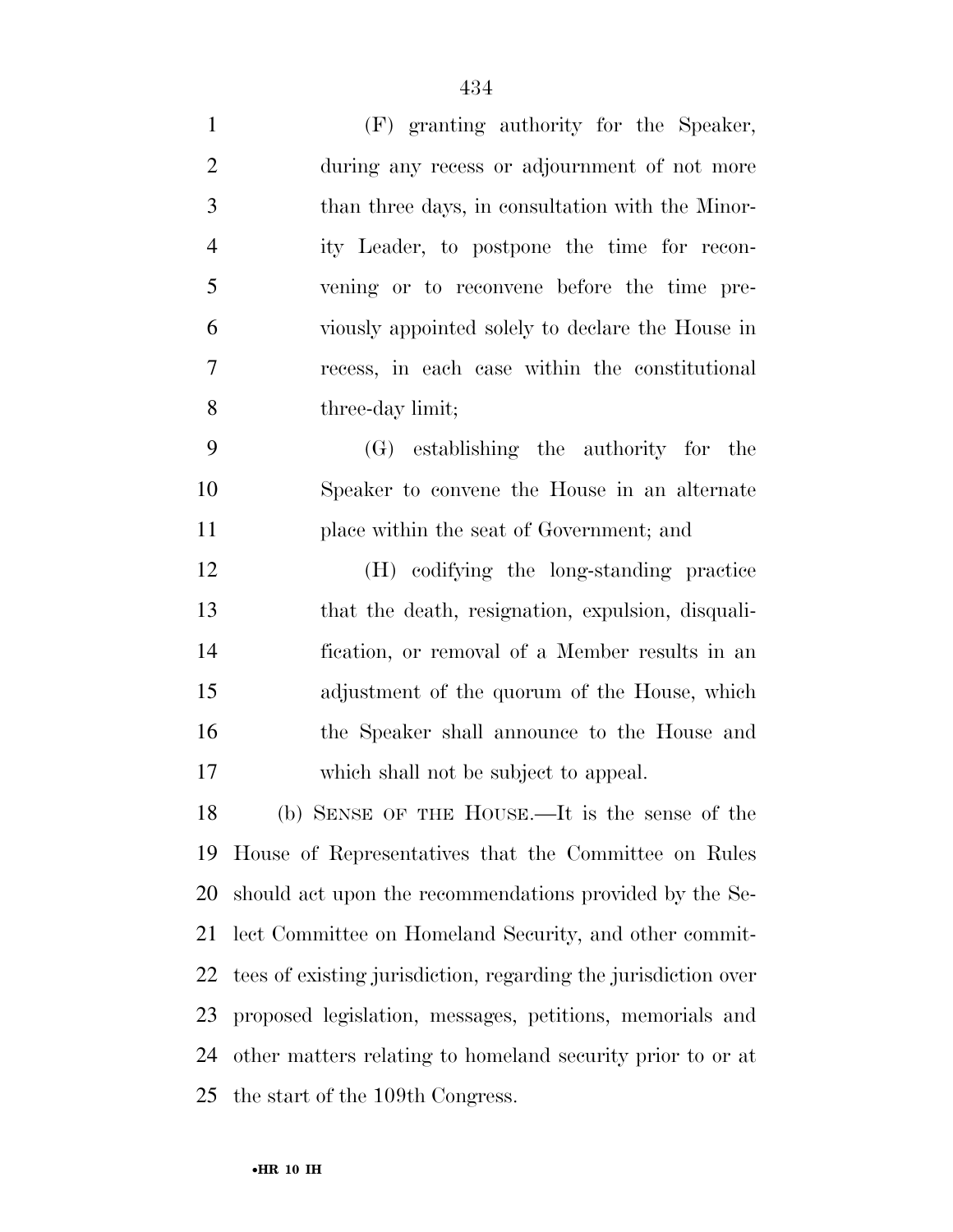| $\mathbf{1}$   | (F) granting authority for the Speaker,                        |
|----------------|----------------------------------------------------------------|
| $\overline{2}$ | during any recess or adjournment of not more                   |
| 3              | than three days, in consultation with the Minor-               |
| $\overline{4}$ | ity Leader, to postpone the time for recon-                    |
| 5              | vening or to reconvene before the time pre-                    |
| 6              | viously appointed solely to declare the House in               |
| 7              | recess, in each case within the constitutional                 |
| 8              | three-day limit;                                               |
| 9              | (G) establishing the authority for the                         |
| 10             | Speaker to convene the House in an alternate                   |
| 11             | place within the seat of Government; and                       |
| 12             | (H) codifying the long-standing practice                       |
| 13             | that the death, resignation, expulsion, disquali-              |
| 14             | fication, or removal of a Member results in an                 |
| 15             | adjustment of the quorum of the House, which                   |
| 16             | the Speaker shall announce to the House and                    |
| 17             | which shall not be subject to appeal.                          |
| 18             | (b) SENSE OF THE HOUSE.—It is the sense of the                 |
| 19             | House of Representatives that the Committee on Rules           |
| 20             | should act upon the recommendations provided by the Se-        |
| 21             | lect Committee on Homeland Security, and other commit-         |
| 22             | tees of existing jurisdiction, regarding the jurisdiction over |
| 23             | proposed legislation, messages, petitions, memorials and       |
| 24             | other matters relating to homeland security prior to or at     |
| 25             | the start of the 109th Congress.                               |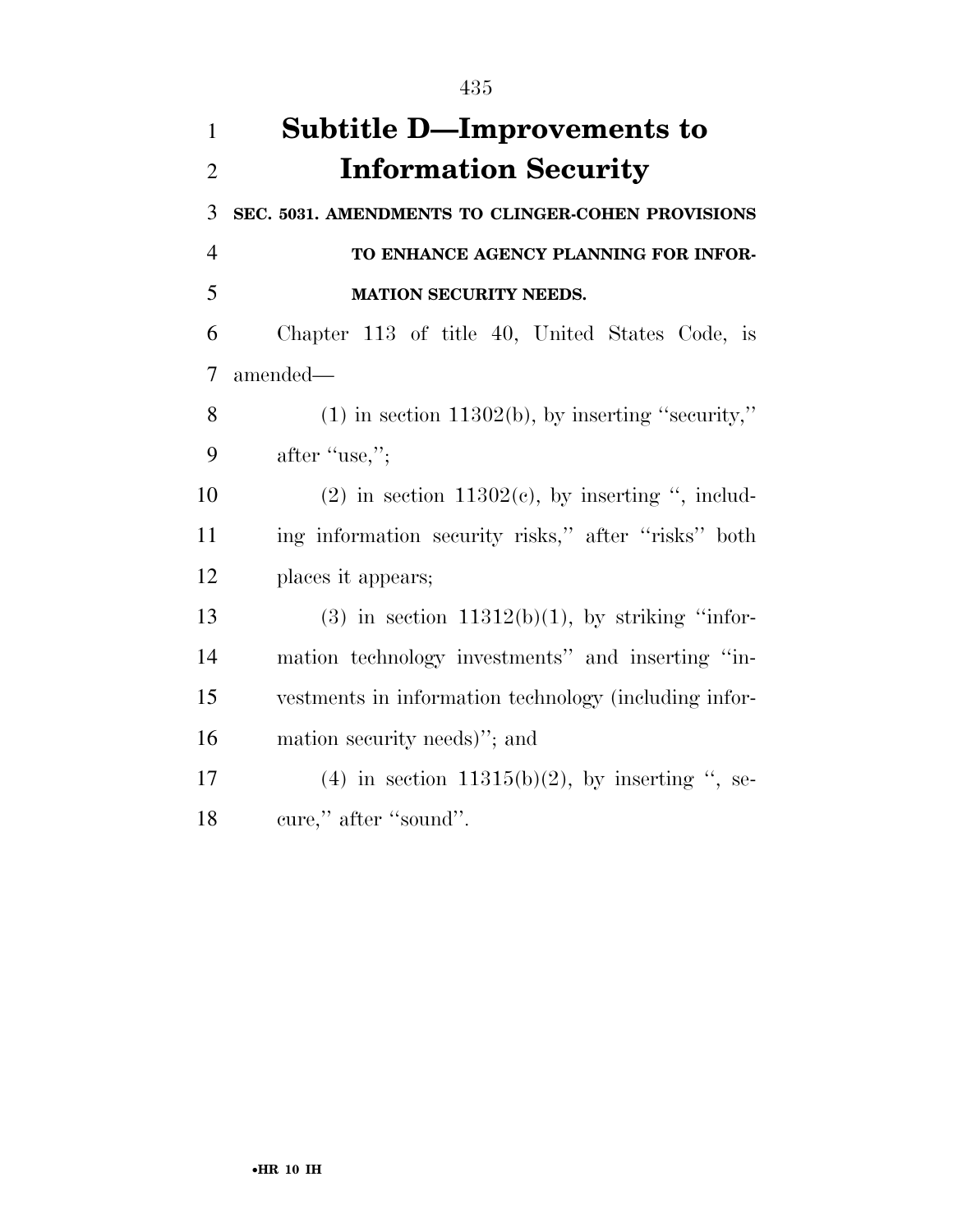| $\mathbf{1}$   | <b>Subtitle D—Improvements to</b>                      |
|----------------|--------------------------------------------------------|
| $\overline{2}$ | <b>Information Security</b>                            |
| 3              | SEC. 5031. AMENDMENTS TO CLINGER-COHEN PROVISIONS      |
| $\overline{4}$ | TO ENHANCE AGENCY PLANNING FOR INFOR-                  |
| 5              | MATION SECURITY NEEDS.                                 |
| 6              | Chapter 113 of title 40, United States Code, is        |
| $\overline{7}$ | amended—                                               |
| 8              | $(1)$ in section 11302(b), by inserting "security,"    |
| 9              | after "use,";                                          |
| 10             | $(2)$ in section 11302 $(e)$ , by inserting ", includ- |
| 11             | ing information security risks," after "risks" both    |
| 12             | places it appears;                                     |
| 13             | $(3)$ in section 11312(b)(1), by striking "infor-      |
| 14             | mation technology investments" and inserting "in-      |
| 15             | vestments in information technology (including infor-  |
| 16             | mation security needs)"; and                           |
| 17             | $(4)$ in section 11315(b)(2), by inserting ", se-      |
| 18             | cure," after "sound".                                  |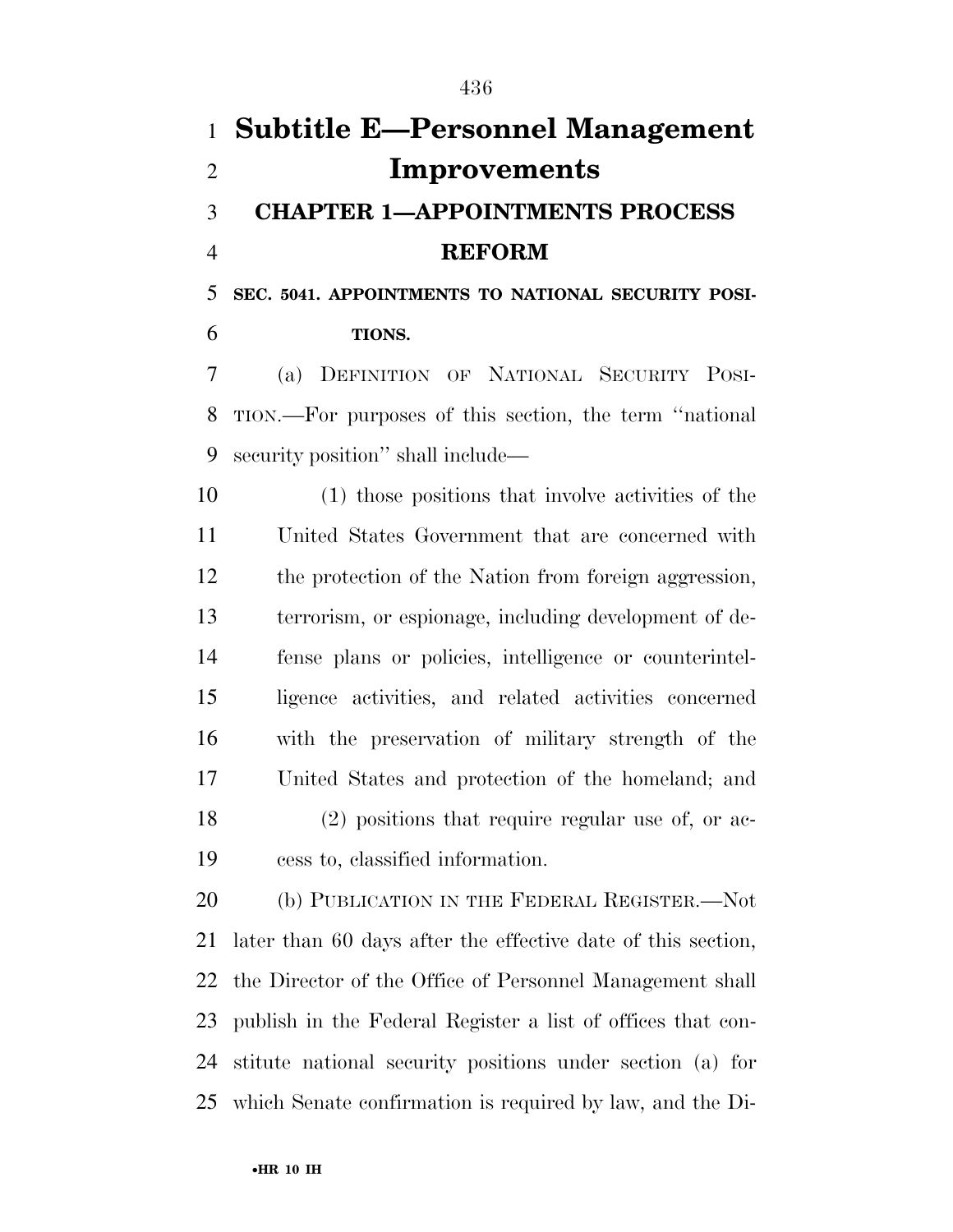# **Subtitle E—Personnel Management Improvements CHAPTER 1—APPOINTMENTS PROCESS REFORM**

**SEC. 5041. APPOINTMENTS TO NATIONAL SECURITY POSI-**

**TIONS.** 

 (a) DEFINITION OF NATIONAL SECURITY POSI- TION.—For purposes of this section, the term ''national security position'' shall include—

 (1) those positions that involve activities of the United States Government that are concerned with the protection of the Nation from foreign aggression, terrorism, or espionage, including development of de- fense plans or policies, intelligence or counterintel- ligence activities, and related activities concerned with the preservation of military strength of the United States and protection of the homeland; and (2) positions that require regular use of, or ac-cess to, classified information.

20 (b) PUBLICATION IN THE FEDERAL REGISTER. Not later than 60 days after the effective date of this section, the Director of the Office of Personnel Management shall publish in the Federal Register a list of offices that con- stitute national security positions under section (a) for which Senate confirmation is required by law, and the Di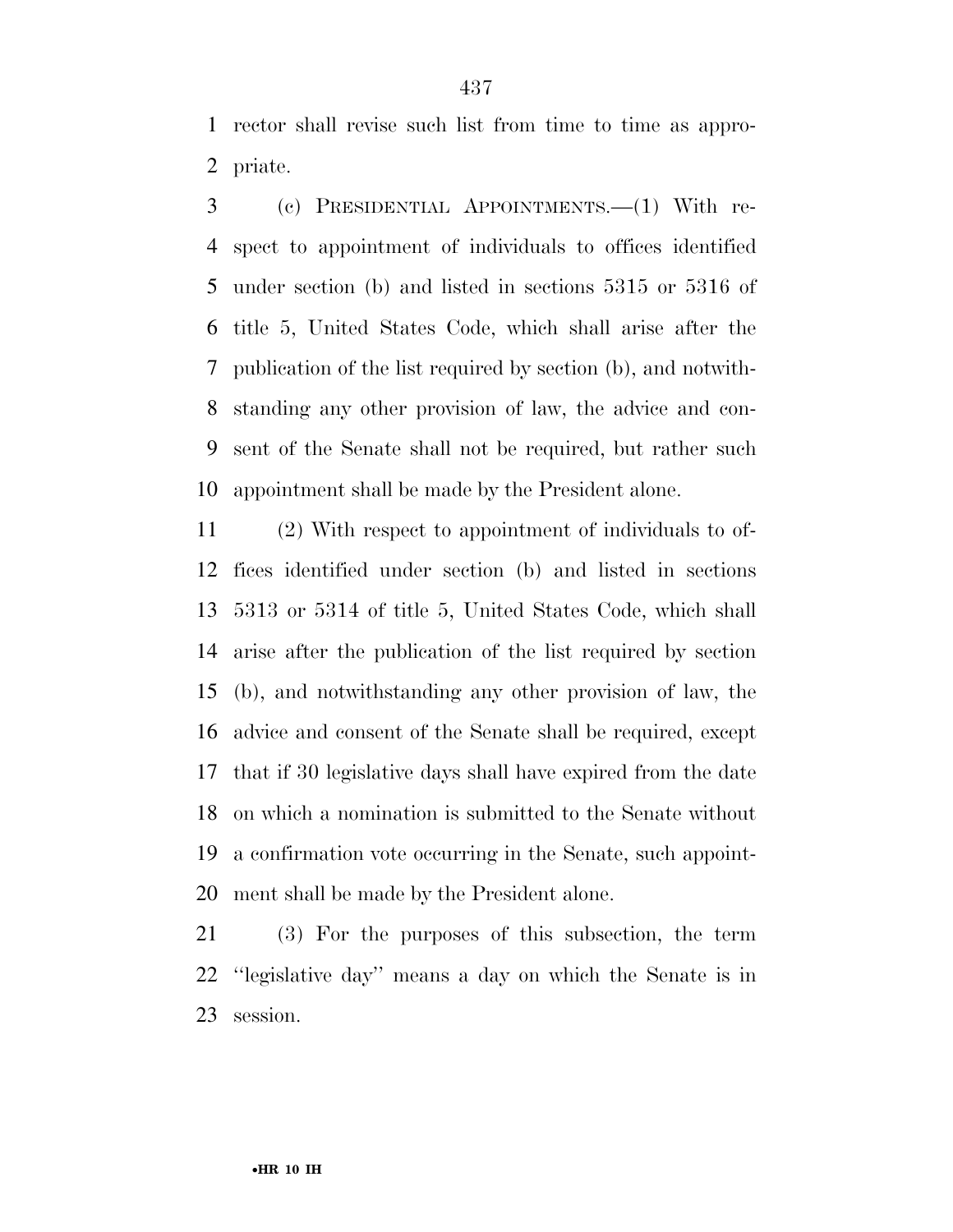rector shall revise such list from time to time as appro-priate.

 (c) PRESIDENTIAL APPOINTMENTS.—(1) With re- spect to appointment of individuals to offices identified under section (b) and listed in sections 5315 or 5316 of title 5, United States Code, which shall arise after the publication of the list required by section (b), and notwith- standing any other provision of law, the advice and con- sent of the Senate shall not be required, but rather such appointment shall be made by the President alone.

 (2) With respect to appointment of individuals to of- fices identified under section (b) and listed in sections 5313 or 5314 of title 5, United States Code, which shall arise after the publication of the list required by section (b), and notwithstanding any other provision of law, the advice and consent of the Senate shall be required, except that if 30 legislative days shall have expired from the date on which a nomination is submitted to the Senate without a confirmation vote occurring in the Senate, such appoint-ment shall be made by the President alone.

 (3) For the purposes of this subsection, the term ''legislative day'' means a day on which the Senate is in session.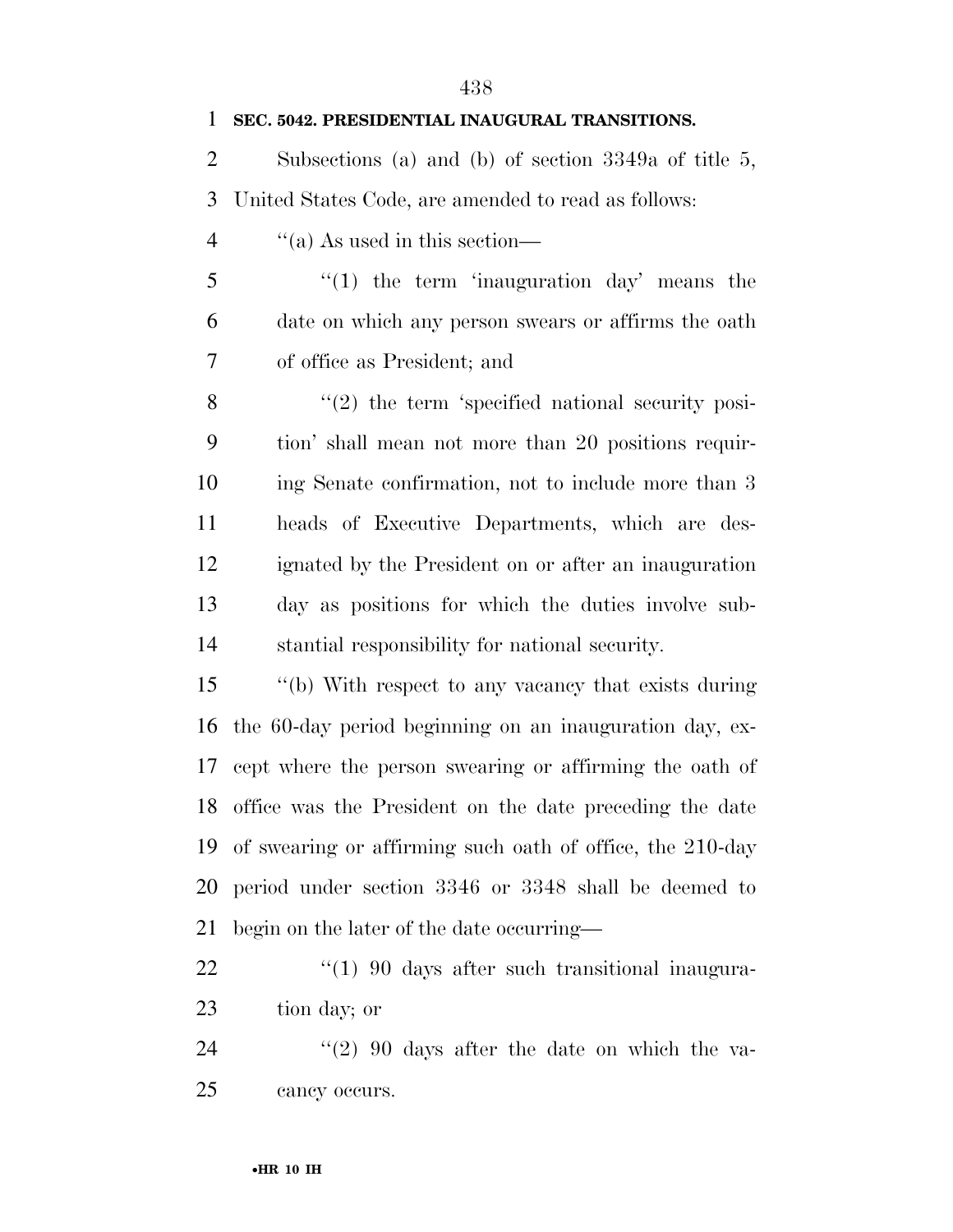| $\mathbf{1}$   | SEC. 5042. PRESIDENTIAL INAUGURAL TRANSITIONS.             |
|----------------|------------------------------------------------------------|
| 2              | Subsections (a) and (b) of section $3349a$ of title 5,     |
| 3              | United States Code, are amended to read as follows:        |
| $\overline{4}$ | $\cdot$ (a) As used in this section—                       |
| 5              | $f(1)$ the term 'inauguration day' means the               |
| 6              | date on which any person swears or affirms the oath        |
| 7              | of office as President; and                                |
| 8              | $\lq(2)$ the term 'specified national security posi-       |
| 9              | tion' shall mean not more than 20 positions requir-        |
| 10             | ing Senate confirmation, not to include more than 3        |
| 11             | heads of Executive Departments, which are des-             |
| 12             | ignated by the President on or after an inauguration       |
| 13             | day as positions for which the duties involve sub-         |
| 14             | stantial responsibility for national security.             |
| 15             | "(b) With respect to any vacancy that exists during        |
| 16             | the 60-day period beginning on an inauguration day, ex-    |
| 17             | cept where the person swearing or affirming the oath of    |
|                | 18 office was the President on the date preceding the date |
| 19             | of swearing or affirming such oath of office, the 210-day  |
| 20             | period under section 3346 or 3348 shall be deemed to       |
| 21             | begin on the later of the date occurring—                  |
| 22             | $\lq(1)$ 90 days after such transitional inaugura-         |
| 23             | tion day; or                                               |
| 24             | $\cdot\cdot(2)$ 90 days after the date on which the va-    |

cancy occurs.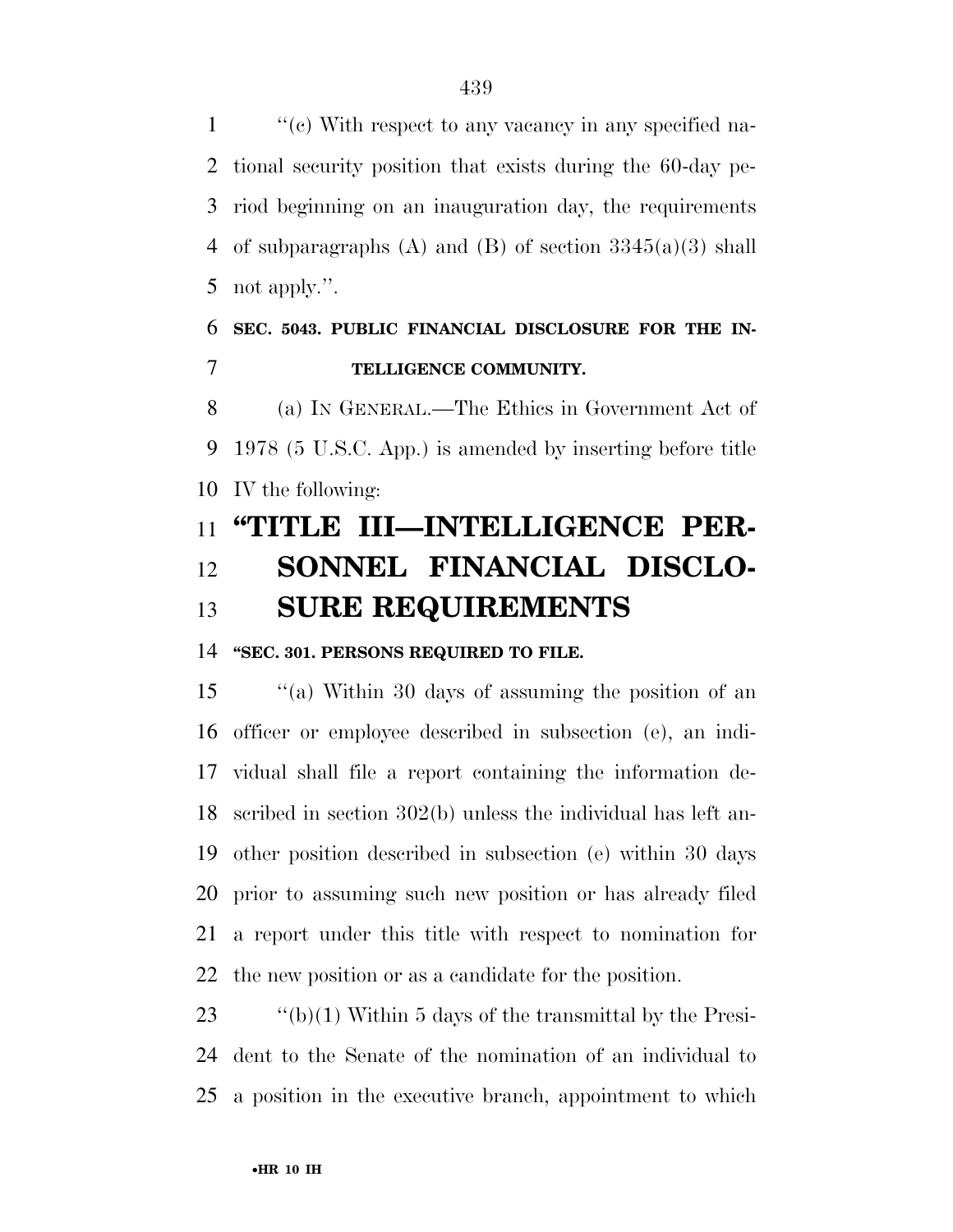''(c) With respect to any vacancy in any specified na- tional security position that exists during the 60-day pe- riod beginning on an inauguration day, the requirements 4 of subparagraphs (A) and (B) of section  $3345(a)(3)$  shall not apply.''.

### **SEC. 5043. PUBLIC FINANCIAL DISCLOSURE FOR THE IN-TELLIGENCE COMMUNITY.**

 (a) IN GENERAL.—The Ethics in Government Act of 1978 (5 U.S.C. App.) is amended by inserting before title IV the following:

## **''TITLE III—INTELLIGENCE PER- SONNEL FINANCIAL DISCLO-SURE REQUIREMENTS**

### **''SEC. 301. PERSONS REQUIRED TO FILE.**

 ''(a) Within 30 days of assuming the position of an officer or employee described in subsection (e), an indi- vidual shall file a report containing the information de- scribed in section 302(b) unless the individual has left an- other position described in subsection (e) within 30 days prior to assuming such new position or has already filed a report under this title with respect to nomination for the new position or as a candidate for the position.

23  $\qquad$  "(b)(1) Within 5 days of the transmittal by the Presi- dent to the Senate of the nomination of an individual to a position in the executive branch, appointment to which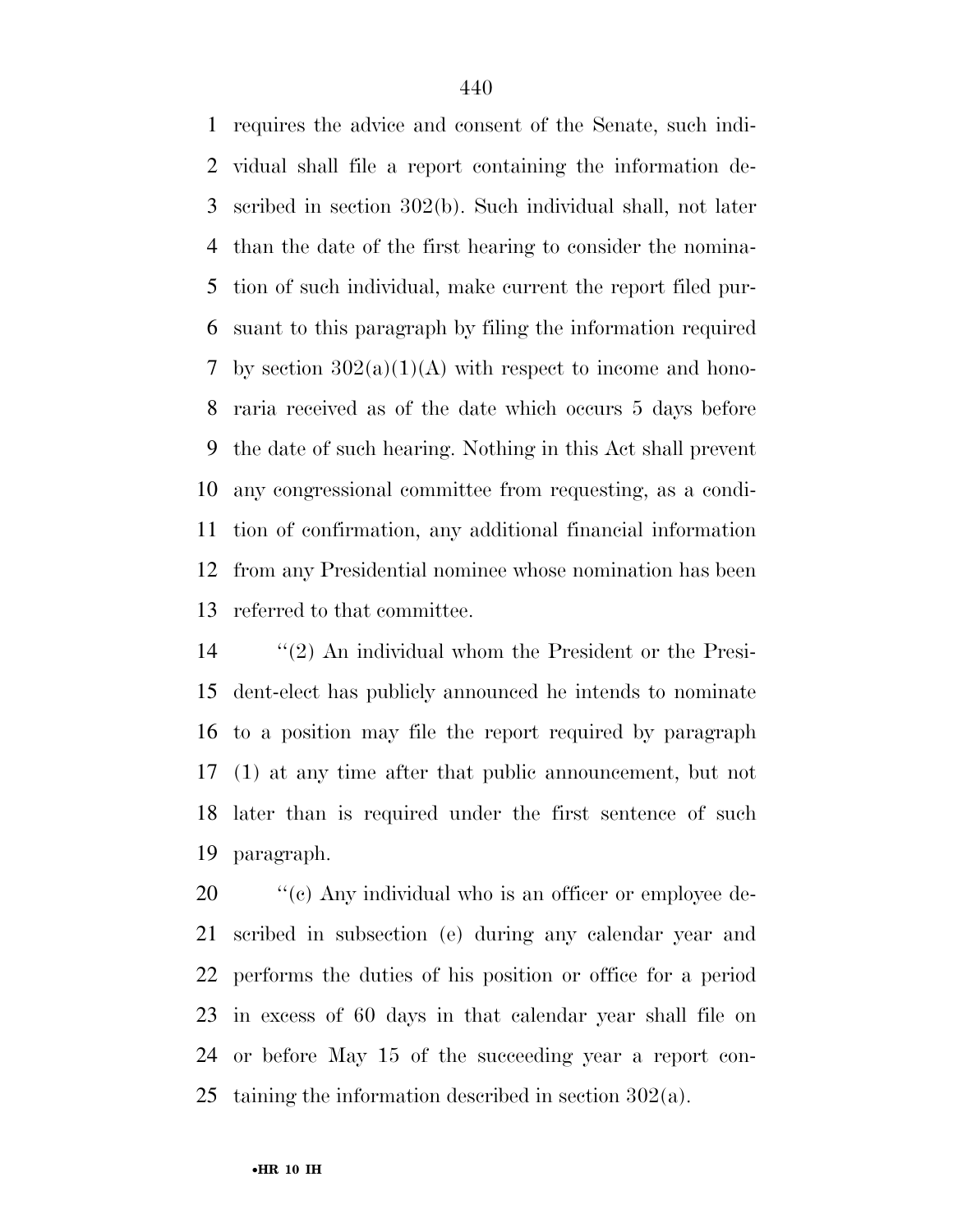requires the advice and consent of the Senate, such indi- vidual shall file a report containing the information de- scribed in section 302(b). Such individual shall, not later than the date of the first hearing to consider the nomina- tion of such individual, make current the report filed pur- suant to this paragraph by filing the information required 7 by section  $302(a)(1)(A)$  with respect to income and hono- raria received as of the date which occurs 5 days before the date of such hearing. Nothing in this Act shall prevent any congressional committee from requesting, as a condi- tion of confirmation, any additional financial information from any Presidential nominee whose nomination has been referred to that committee.

 ''(2) An individual whom the President or the Presi- dent-elect has publicly announced he intends to nominate to a position may file the report required by paragraph (1) at any time after that public announcement, but not later than is required under the first sentence of such paragraph.

 $\frac{1}{20}$  (c) Any individual who is an officer or employee de- scribed in subsection (e) during any calendar year and performs the duties of his position or office for a period in excess of 60 days in that calendar year shall file on or before May 15 of the succeeding year a report con-taining the information described in section 302(a).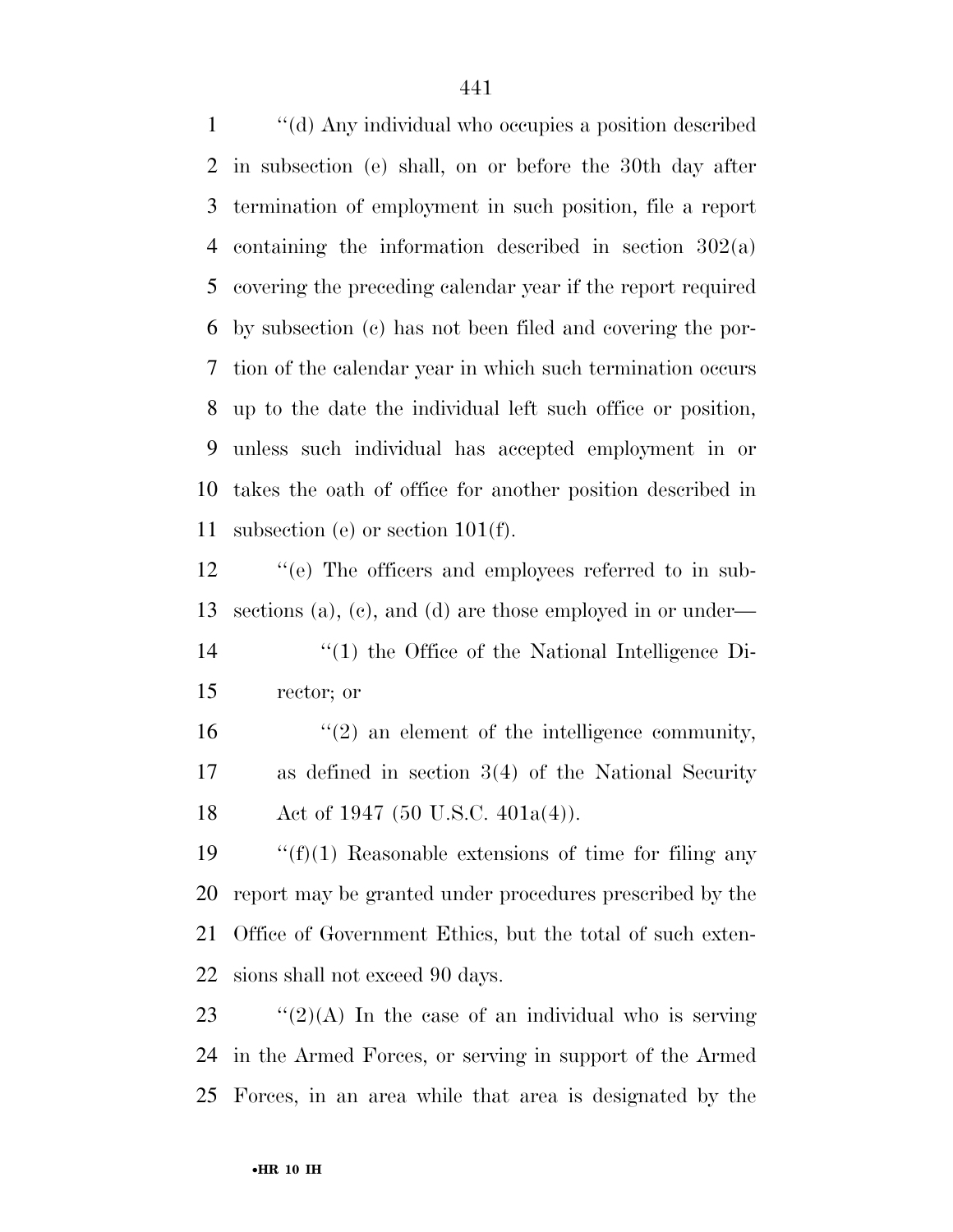''(d) Any individual who occupies a position described in subsection (e) shall, on or before the 30th day after termination of employment in such position, file a report containing the information described in section 302(a) covering the preceding calendar year if the report required by subsection (c) has not been filed and covering the por- tion of the calendar year in which such termination occurs up to the date the individual left such office or position, unless such individual has accepted employment in or takes the oath of office for another position described in subsection (e) or section 101(f).

 ''(e) The officers and employees referred to in sub-sections (a), (c), and (d) are those employed in or under—

- ''(1) the Office of the National Intelligence Di-rector; or
- 16  $\frac{u(2)}{2}$  an element of the intelligence community, as defined in section 3(4) of the National Security 18 Act of 1947 (50 U.S.C. 401a(4)).

 $\frac{f'(f)}{1}$  Reasonable extensions of time for filing any report may be granted under procedures prescribed by the Office of Government Ethics, but the total of such exten-sions shall not exceed 90 days.

23  $\frac{1}{2}(2)(A)$  In the case of an individual who is serving in the Armed Forces, or serving in support of the Armed Forces, in an area while that area is designated by the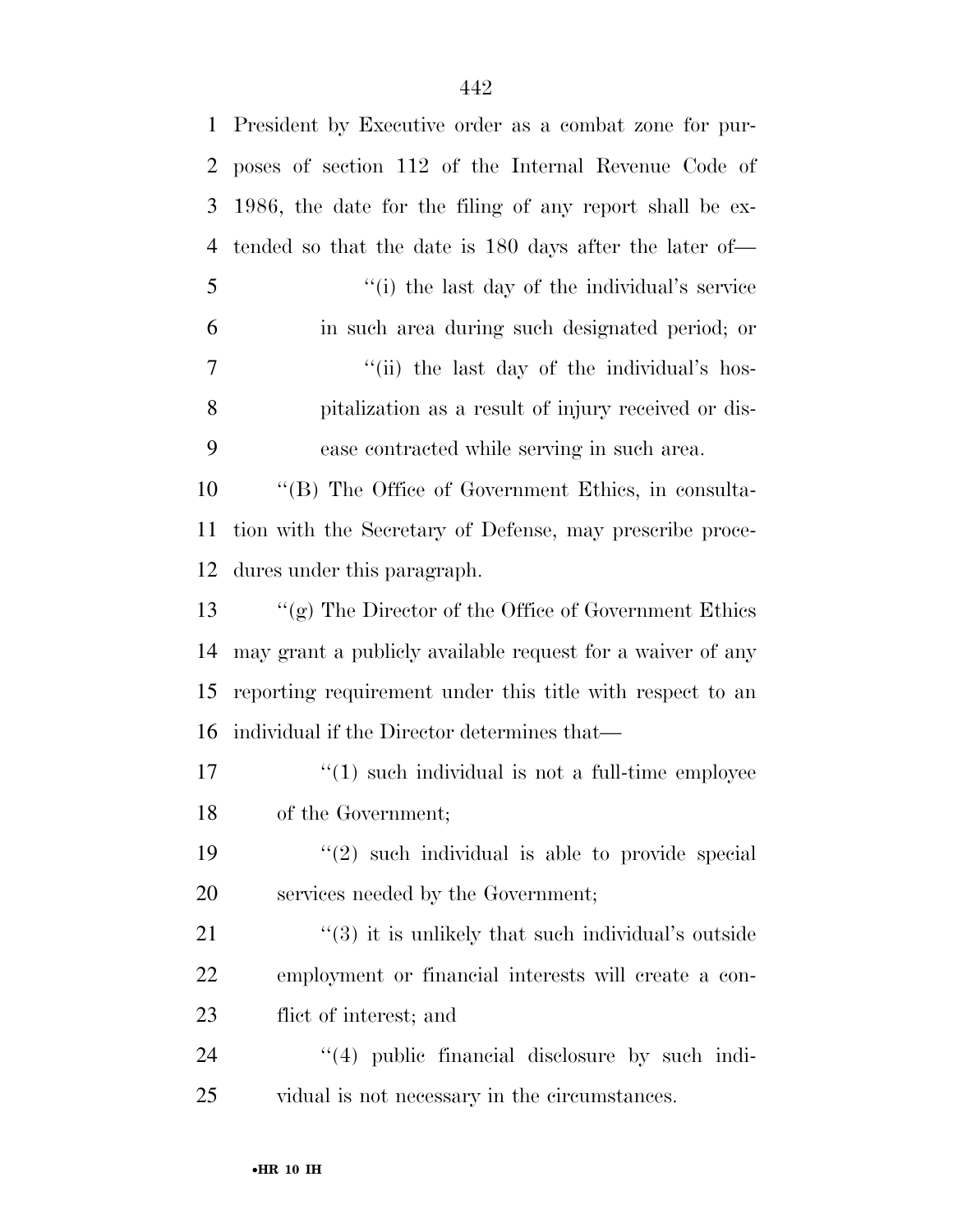| $\mathbf{1}$ | President by Executive order as a combat zone for pur-         |  |
|--------------|----------------------------------------------------------------|--|
| 2            | poses of section 112 of the Internal Revenue Code of           |  |
| 3            | 1986, the date for the filing of any report shall be ex-       |  |
| 4            | tended so that the date is 180 days after the later of—        |  |
| 5            | "(i) the last day of the individual's service"                 |  |
| 6            | in such area during such designated period; or                 |  |
| 7            | "(ii) the last day of the individual's hos-                    |  |
| 8            | pitalization as a result of injury received or dis-            |  |
| 9            | ease contracted while serving in such area.                    |  |
| 10           | "(B) The Office of Government Ethics, in consulta-             |  |
| 11           | tion with the Secretary of Defense, may prescribe proce-       |  |
| 12           | dures under this paragraph.                                    |  |
| 13           | "(g) The Director of the Office of Government Ethics           |  |
| 14           | may grant a publicly available request for a waiver of any     |  |
| 15           | reporting requirement under this title with respect to an      |  |
| 16           | individual if the Director determines that—                    |  |
| 17           | $\cdot$ (1) such individual is not a full-time employee        |  |
| 18           | of the Government;                                             |  |
| 19           | $(2)$ such individual is able to provide special               |  |
| <b>20</b>    | services needed by the Government;                             |  |
| 21           | $\cdot\cdot$ (3) it is unlikely that such individual's outside |  |
| 22           | employment or financial interests will create a con-           |  |
| 23           | flict of interest; and                                         |  |
| 24           | $\lq(4)$ public financial disclosure by such indi-             |  |
| 25           | vidual is not necessary in the circumstances.                  |  |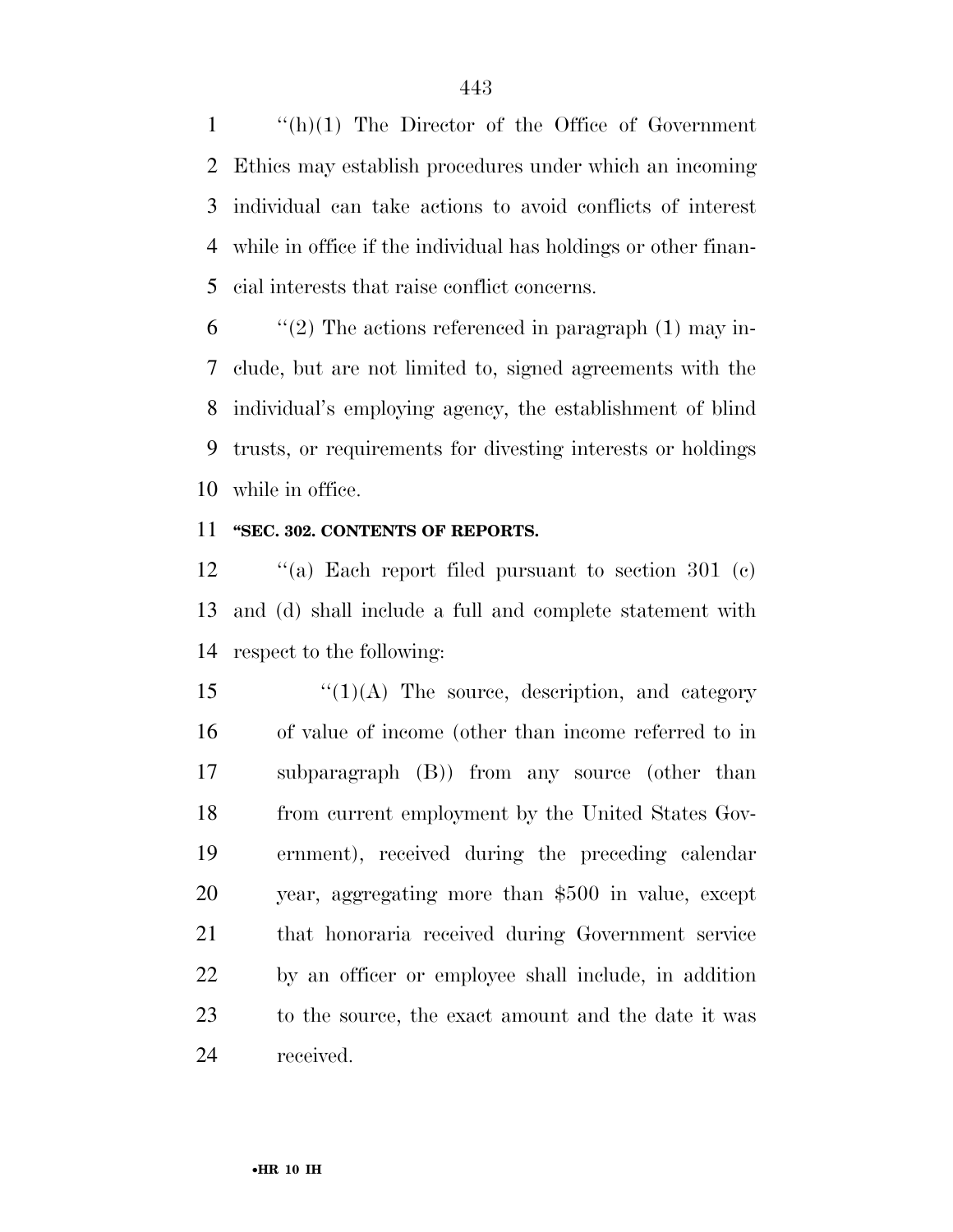''(h)(1) The Director of the Office of Government Ethics may establish procedures under which an incoming individual can take actions to avoid conflicts of interest while in office if the individual has holdings or other finan-cial interests that raise conflict concerns.

 "(2) The actions referenced in paragraph (1) may in- clude, but are not limited to, signed agreements with the individual's employing agency, the establishment of blind trusts, or requirements for divesting interests or holdings while in office.

### **''SEC. 302. CONTENTS OF REPORTS.**

 ''(a) Each report filed pursuant to section 301 (c) and (d) shall include a full and complete statement with respect to the following:

 " $(1)(A)$  The source, description, and category of value of income (other than income referred to in subparagraph (B)) from any source (other than from current employment by the United States Gov- ernment), received during the preceding calendar year, aggregating more than \$500 in value, except that honoraria received during Government service by an officer or employee shall include, in addition to the source, the exact amount and the date it was received.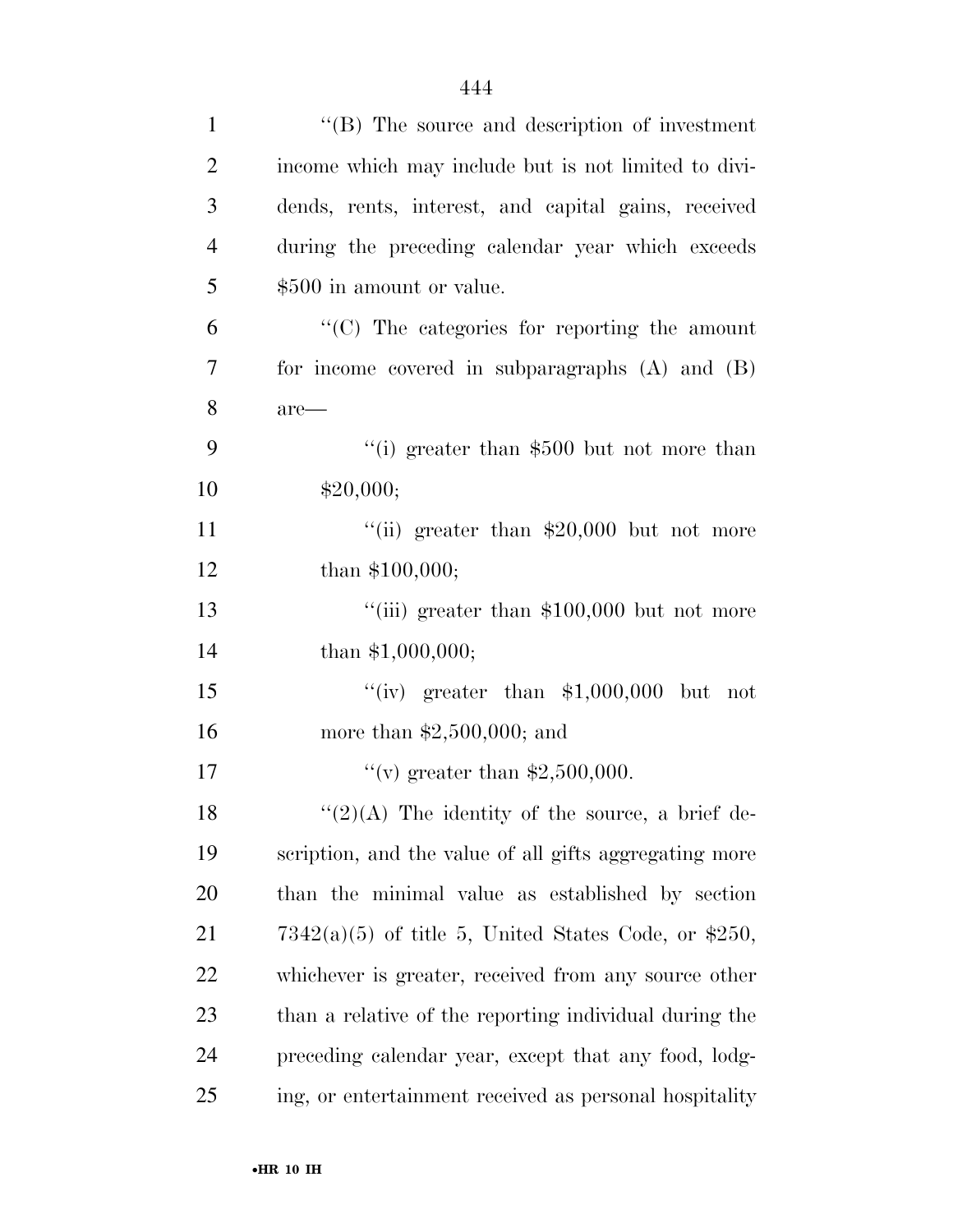| $\mathbf{1}$   | $\lq\lq$ (B) The source and description of investment  |
|----------------|--------------------------------------------------------|
| $\overline{2}$ | income which may include but is not limited to divi-   |
| 3              | dends, rents, interest, and capital gains, received    |
| $\overline{4}$ | during the preceding calendar year which exceeds       |
| 5              | \$500 in amount or value.                              |
| 6              | "(C) The categories for reporting the amount           |
| 7              | for income covered in subparagraphs $(A)$ and $(B)$    |
| 8              | are—                                                   |
| 9              | "(i) greater than $$500$ but not more than             |
| 10             | \$20,000;                                              |
| 11             | "(ii) greater than $$20,000$ but not more              |
| 12             | than \$100,000;                                        |
| 13             | "(iii) greater than $$100,000$ but not more            |
| 14             | than \$1,000,000;                                      |
| 15             | "(iv) greater than $$1,000,000$ but not                |
| 16             | more than $$2,500,000$ ; and                           |
| 17             | "(v) greater than $$2,500,000$ .                       |
| 18             | " $(2)(A)$ The identity of the source, a brief de-     |
| 19             | scription, and the value of all gifts aggregating more |
| 20             | than the minimal value as established by section       |
| 21             | $7342(a)(5)$ of title 5, United States Code, or \$250, |
| 22             | whichever is greater, received from any source other   |
| 23             | than a relative of the reporting individual during the |
| 24             | preceding calendar year, except that any food, lodg-   |
| 25             | ing, or entertainment received as personal hospitality |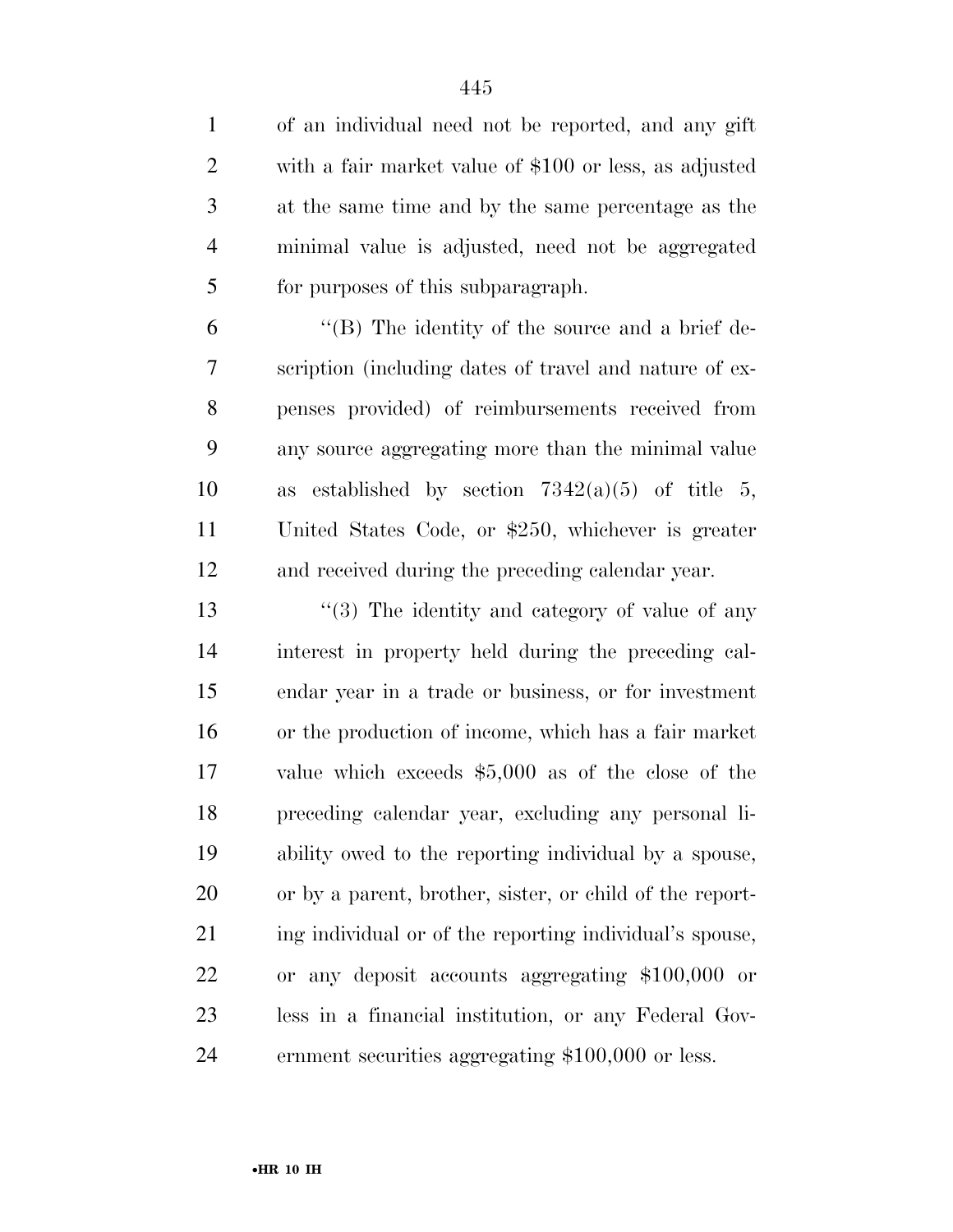of an individual need not be reported, and any gift with a fair market value of \$100 or less, as adjusted at the same time and by the same percentage as the minimal value is adjusted, need not be aggregated for purposes of this subparagraph.

 ''(B) The identity of the source and a brief de- scription (including dates of travel and nature of ex- penses provided) of reimbursements received from any source aggregating more than the minimal value 10 as established by section  $7342(a)(5)$  of title 5, United States Code, or \$250, whichever is greater and received during the preceding calendar year.

13 ''(3) The identity and category of value of any interest in property held during the preceding cal- endar year in a trade or business, or for investment or the production of income, which has a fair market value which exceeds \$5,000 as of the close of the preceding calendar year, excluding any personal li- ability owed to the reporting individual by a spouse, or by a parent, brother, sister, or child of the report-21 ing individual or of the reporting individual's spouse, or any deposit accounts aggregating \$100,000 or less in a financial institution, or any Federal Gov-ernment securities aggregating \$100,000 or less.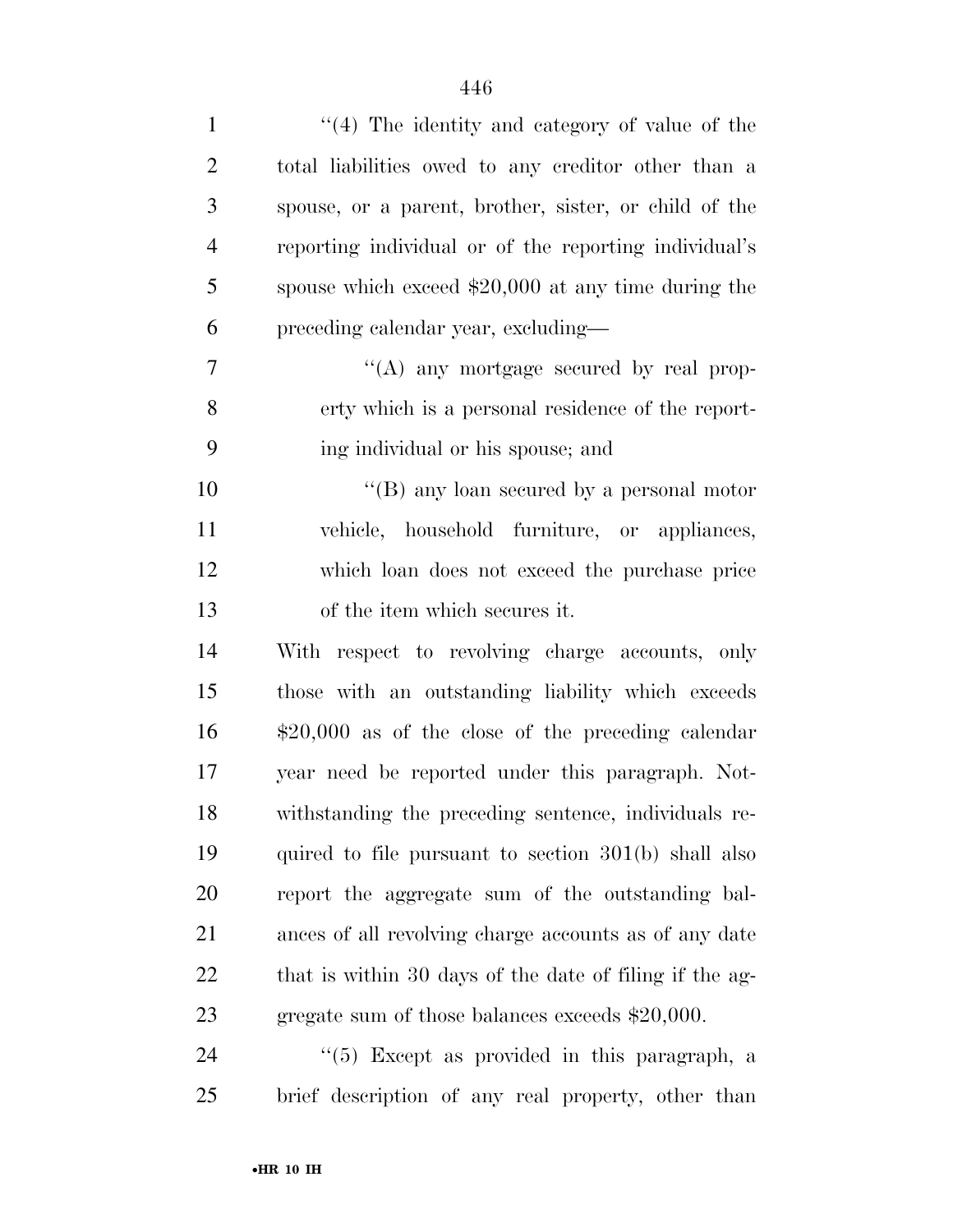| $\mathbf{1}$   | $(4)$ The identity and category of value of the         |
|----------------|---------------------------------------------------------|
| $\overline{2}$ | total liabilities owed to any creditor other than a     |
| 3              | spouse, or a parent, brother, sister, or child of the   |
| $\overline{4}$ | reporting individual or of the reporting individual's   |
| 5              | spouse which exceed $$20,000$ at any time during the    |
| 6              | preceding calendar year, excluding—                     |
| 7              | "(A) any mortgage secured by real prop-                 |
| 8              | erty which is a personal residence of the report-       |
| 9              | ing individual or his spouse; and                       |
| 10             | "(B) any loan secured by a personal motor               |
| 11             | vehicle, household furniture, or appliances,            |
| 12             | which loan does not exceed the purchase price           |
| 13             | of the item which secures it.                           |
| 14             | With respect to revolving charge accounts, only         |
| 15             | those with an outstanding liability which exceeds       |
| 16             | $$20,000$ as of the close of the preceding calendar     |
| 17             | year need be reported under this paragraph. Not-        |
| 18             | withstanding the preceding sentence, individuals re-    |
| 19             | quired to file pursuant to section $301(b)$ shall also  |
| 20             | report the aggregate sum of the outstanding bal-        |
| 21             | ances of all revolving charge accounts as of any date   |
| 22             | that is within 30 days of the date of filing if the ag- |
| 23             | gregate sum of those balances exceeds $$20,000$ .       |
| 24             | $\lq(5)$ Except as provided in this paragraph, a        |
| 25             | brief description of any real property, other than      |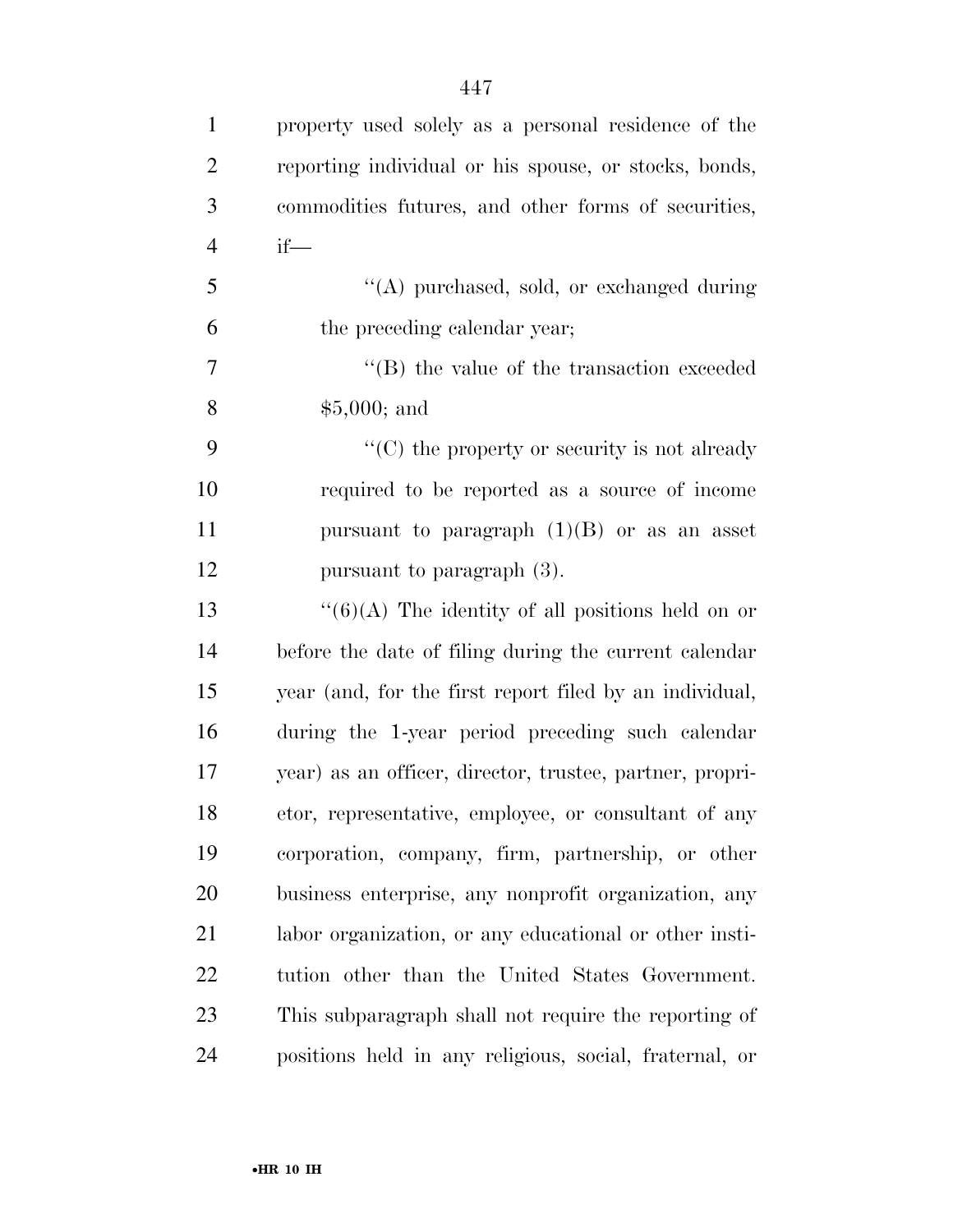| $\mathbf{1}$   | property used solely as a personal residence of the      |
|----------------|----------------------------------------------------------|
| $\overline{2}$ | reporting individual or his spouse, or stocks, bonds,    |
| 3              | commodities futures, and other forms of securities,      |
| $\overline{4}$ | $if$ —                                                   |
| 5              | "(A) purchased, sold, or exchanged during                |
| 6              | the preceding calendar year;                             |
| 7              | $\lq$ (B) the value of the transaction exceeded          |
| $8\,$          | $$5,000;$ and                                            |
| 9              | $\lq\lq$ (C) the property or security is not already     |
| 10             | required to be reported as a source of income            |
| 11             | pursuant to paragraph $(1)(B)$ or as an asset            |
| 12             | pursuant to paragraph (3).                               |
| 13             | " $(6)(A)$ The identity of all positions held on or      |
| 14             | before the date of filing during the current calendar    |
| 15             | year (and, for the first report filed by an individual,  |
| 16             | during the 1-year period preceding such calendar         |
| 17             | year) as an officer, director, trustee, partner, propri- |
| 18             | etor, representative, employee, or consultant of any     |
| 19             | corporation, company, firm, partnership, or other        |
| 20             | business enterprise, any nonprofit organization, any     |
| 21             | labor organization, or any educational or other insti-   |
| 22             | tution other than the United States Government.          |
| 23             | This subparagraph shall not require the reporting of     |
| 24             | positions held in any religious, social, fraternal, or   |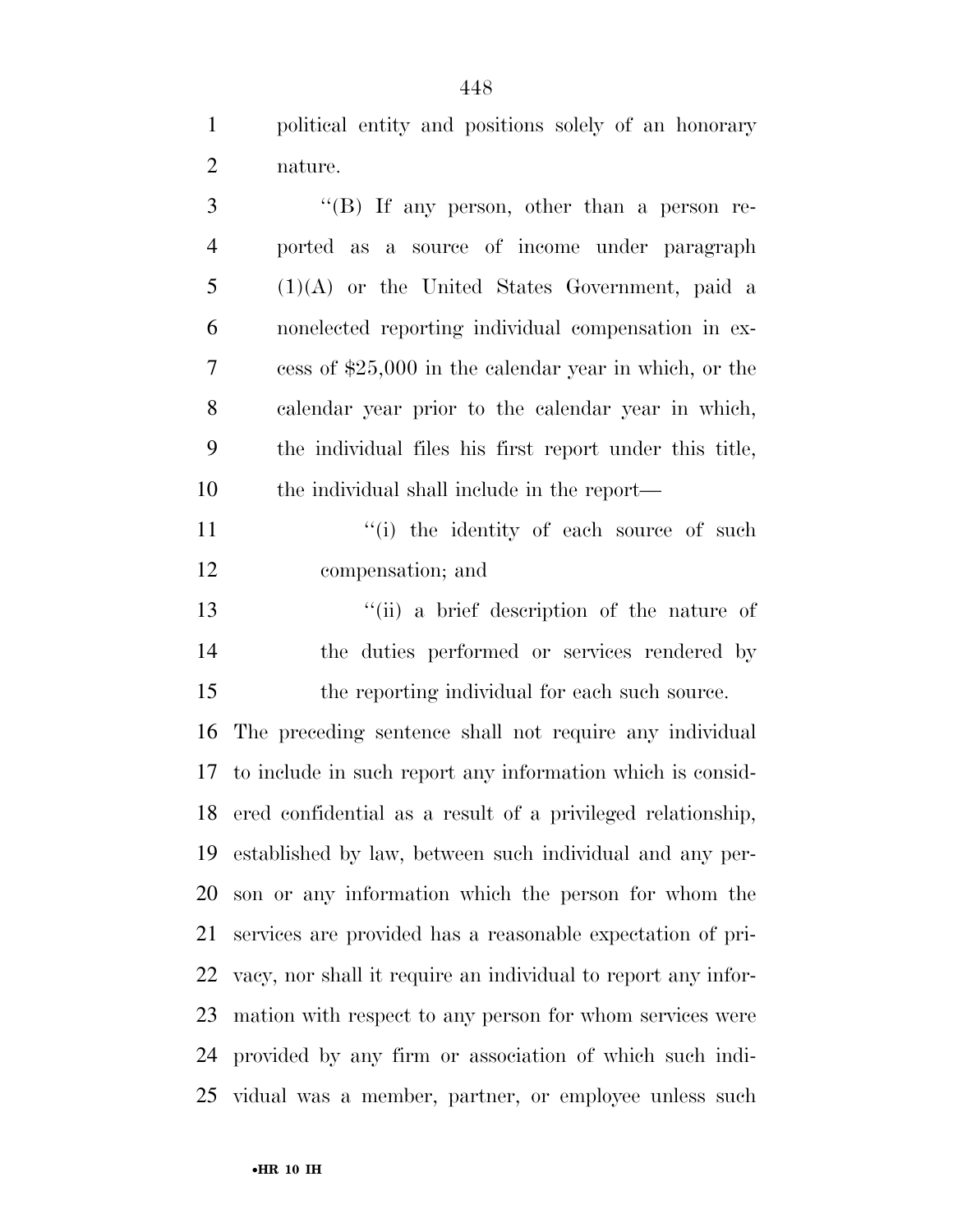political entity and positions solely of an honorary nature.

| 3              | "(B) If any person, other than a person re-                   |
|----------------|---------------------------------------------------------------|
| $\overline{4}$ | ported as a source of income under paragraph                  |
| 5              | $(1)(A)$ or the United States Government, paid a              |
| 6              | nonelected reporting individual compensation in ex-           |
| 7              | cess of $$25,000$ in the calendar year in which, or the       |
| 8              | calendar year prior to the calendar year in which,            |
| 9              | the individual files his first report under this title,       |
| 10             | the individual shall include in the report—                   |
| 11             | "(i) the identity of each source of such                      |
| 12             | compensation; and                                             |
| 13             | "(ii) a brief description of the nature of                    |
| 14             | the duties performed or services rendered by                  |
| 15             | the reporting individual for each such source.                |
| 16             | The preceding sentence shall not require any individual       |
| 17             | to include in such report any information which is consid-    |
| 18             | ered confidential as a result of a privileged relationship,   |
| 19             | established by law, between such individual and any per-      |
|                | 20 son or any information which the person for whom the       |
| 21             | services are provided has a reasonable expectation of pri-    |
| 22             | vacy, nor shall it require an individual to report any infor- |
| 23             | mation with respect to any person for whom services were      |
| 24             | provided by any firm or association of which such indi-       |
|                | 25 vidual was a member, partner, or employee unless such      |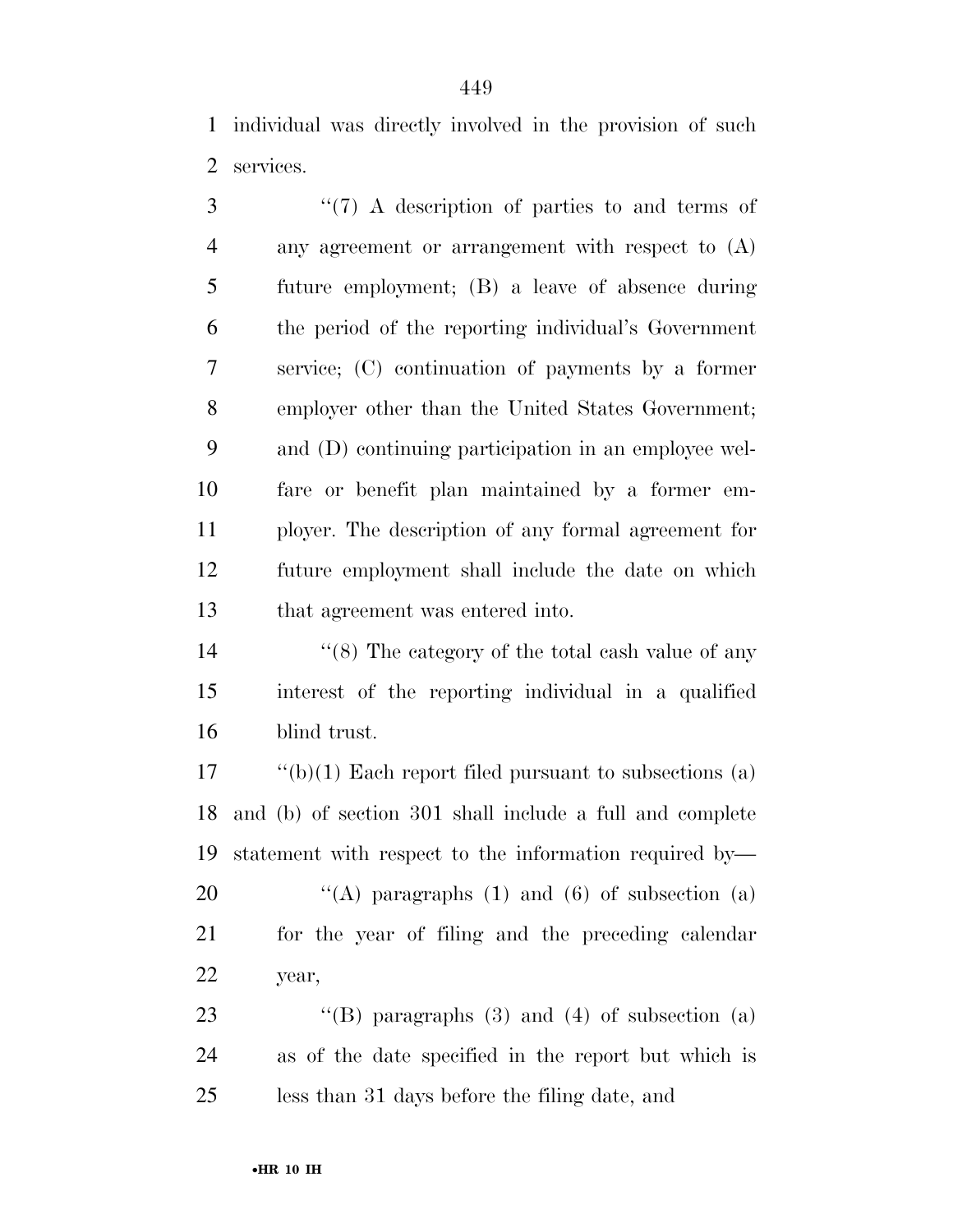individual was directly involved in the provision of such services.

3 "(7) A description of parties to and terms of any agreement or arrangement with respect to (A) future employment; (B) a leave of absence during the period of the reporting individual's Government service; (C) continuation of payments by a former employer other than the United States Government; and (D) continuing participation in an employee wel- fare or benefit plan maintained by a former em- ployer. The description of any formal agreement for future employment shall include the date on which that agreement was entered into.

14 ''(8) The category of the total cash value of any interest of the reporting individual in a qualified blind trust.

 ''(b)(1) Each report filed pursuant to subsections (a) and (b) of section 301 shall include a full and complete statement with respect to the information required by—  $\qquad$  "(A) paragraphs (1) and (6) of subsection (a) for the year of filing and the preceding calendar year,

23 "(B) paragraphs (3) and (4) of subsection (a) as of the date specified in the report but which is less than 31 days before the filing date, and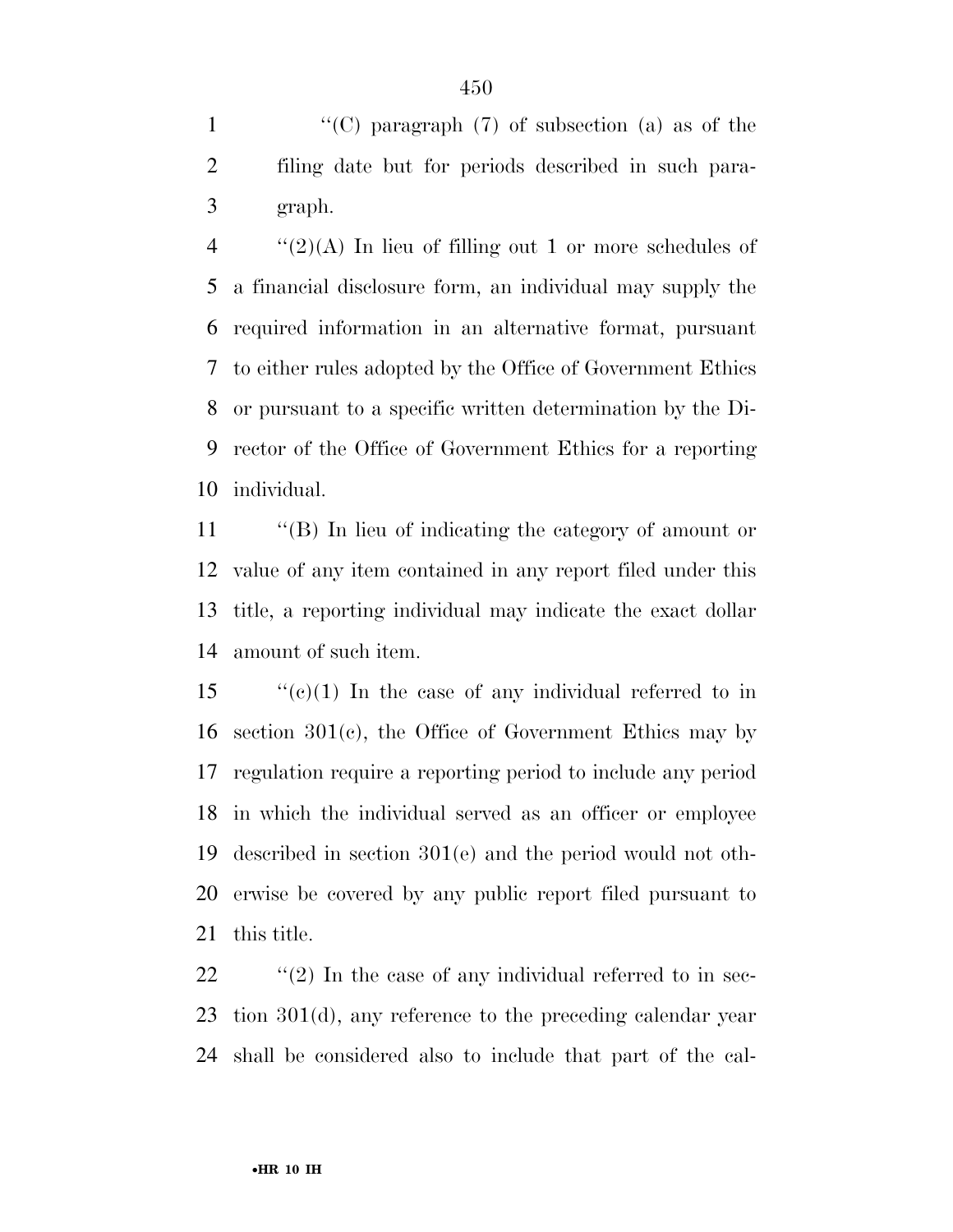1  $\langle (C)$  paragraph (7) of subsection (a) as of the filing date but for periods described in such para-graph.

 $\frac{4}{2}(2)$ (A) In lieu of filling out 1 or more schedules of a financial disclosure form, an individual may supply the required information in an alternative format, pursuant to either rules adopted by the Office of Government Ethics or pursuant to a specific written determination by the Di- rector of the Office of Government Ethics for a reporting individual.

 ''(B) In lieu of indicating the category of amount or value of any item contained in any report filed under this title, a reporting individual may indicate the exact dollar amount of such item.

 $\frac{1}{2}$  (c)(1) In the case of any individual referred to in section 301(c), the Office of Government Ethics may by regulation require a reporting period to include any period in which the individual served as an officer or employee described in section 301(e) and the period would not oth- erwise be covered by any public report filed pursuant to this title.

22  $\frac{1}{2}$  (2) In the case of any individual referred to in sec- tion 301(d), any reference to the preceding calendar year shall be considered also to include that part of the cal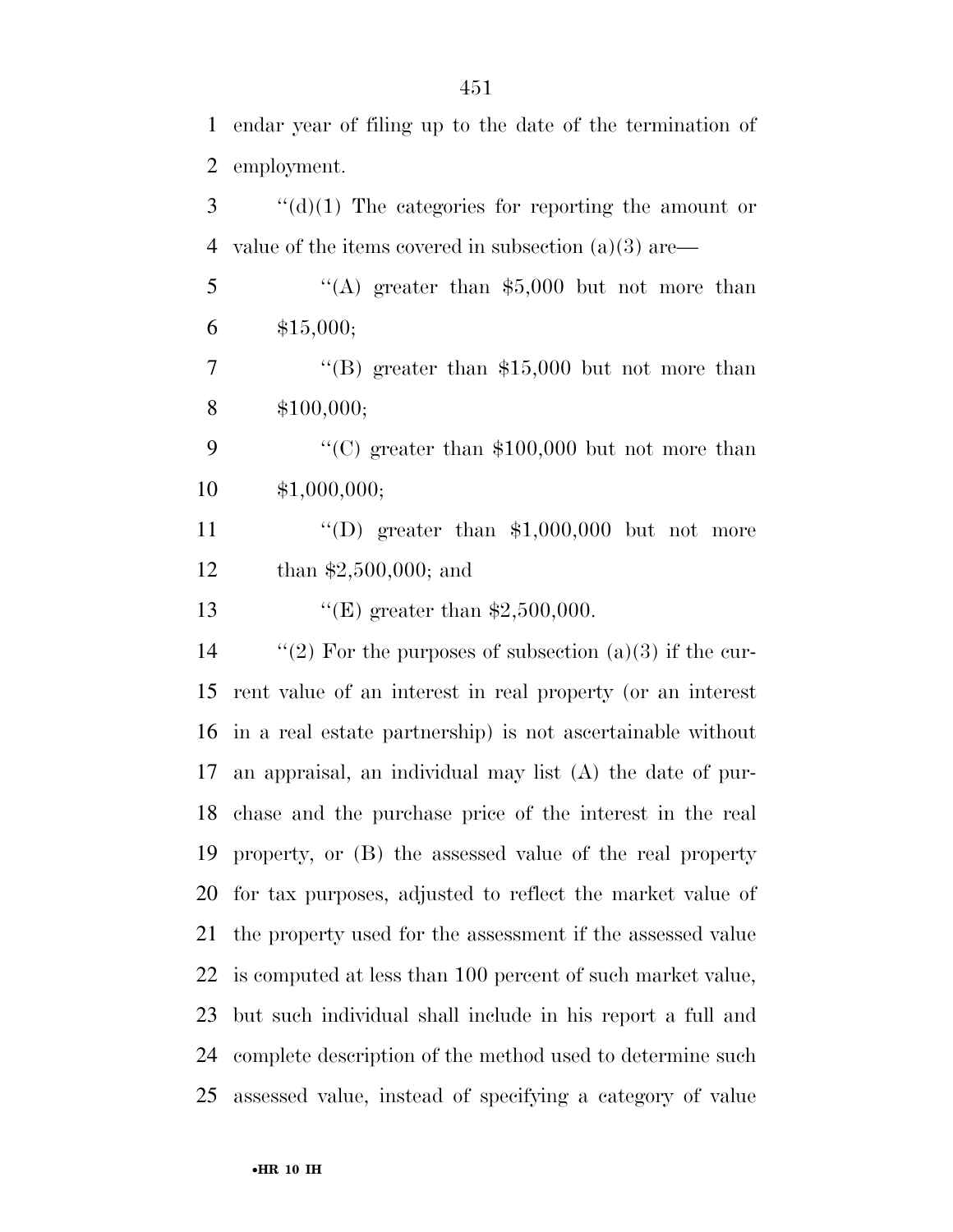endar year of filing up to the date of the termination of employment.

 ''(d)(1) The categories for reporting the amount or value of the items covered in subsection (a)(3) are—

 ''(A) greater than \$5,000 but not more than \$15,000;

 ''(B) greater than \$15,000 but not more than \$100,000;

9  $\cdot$  (C) greater than \$100,000 but not more than \$1,000,000;

11  $\langle \text{`(D)} \rangle$  greater than \$1,000,000 but not more than \$2,500,000; and

''(E) greater than \$2,500,000.

 $\qquad$  "(2) For the purposes of subsection (a)(3) if the cur- rent value of an interest in real property (or an interest in a real estate partnership) is not ascertainable without an appraisal, an individual may list (A) the date of pur- chase and the purchase price of the interest in the real property, or (B) the assessed value of the real property for tax purposes, adjusted to reflect the market value of the property used for the assessment if the assessed value is computed at less than 100 percent of such market value, but such individual shall include in his report a full and complete description of the method used to determine such assessed value, instead of specifying a category of value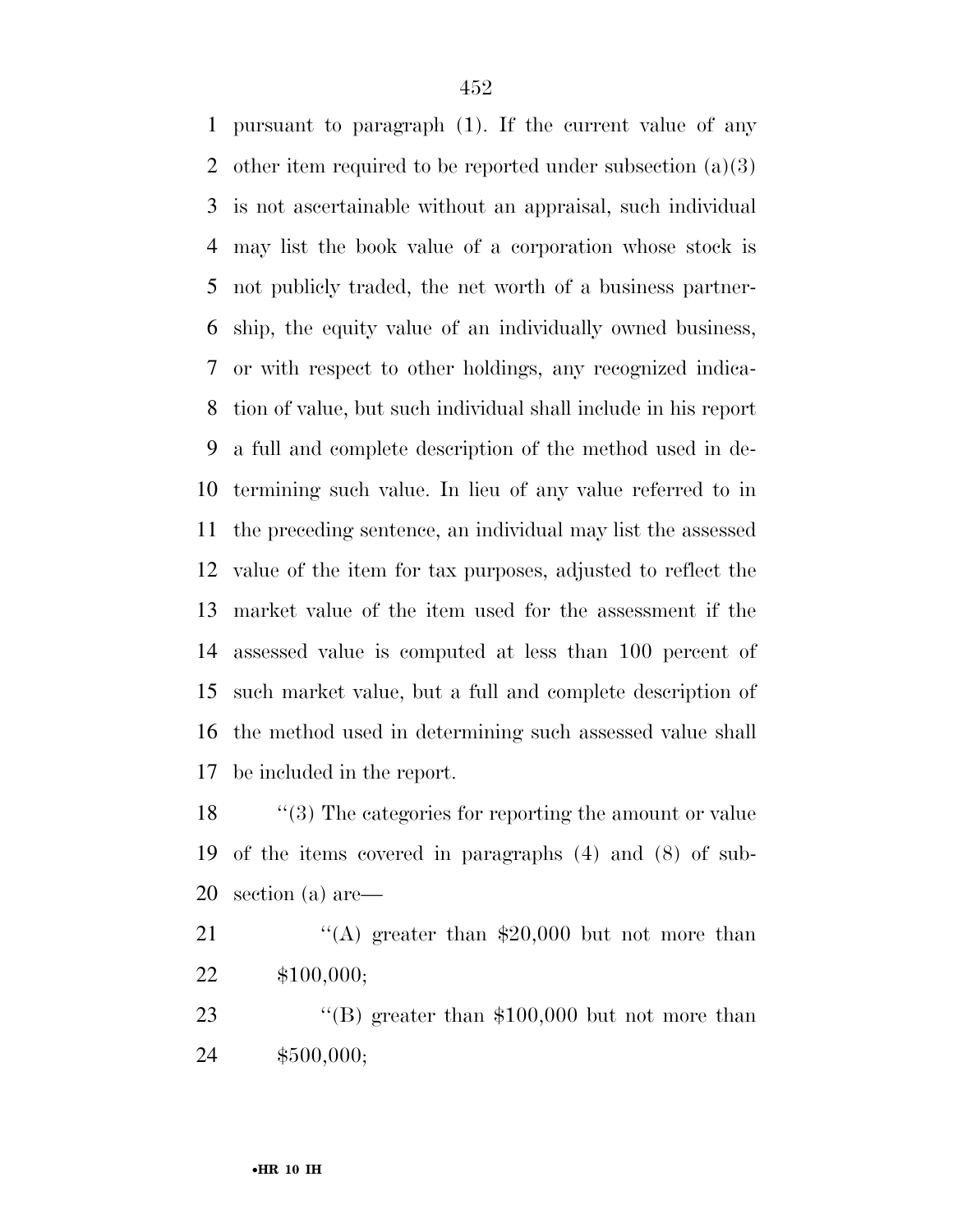pursuant to paragraph (1). If the current value of any 2 other item required to be reported under subsection  $(a)(3)$  is not ascertainable without an appraisal, such individual may list the book value of a corporation whose stock is not publicly traded, the net worth of a business partner- ship, the equity value of an individually owned business, or with respect to other holdings, any recognized indica- tion of value, but such individual shall include in his report a full and complete description of the method used in de- termining such value. In lieu of any value referred to in the preceding sentence, an individual may list the assessed value of the item for tax purposes, adjusted to reflect the market value of the item used for the assessment if the assessed value is computed at less than 100 percent of such market value, but a full and complete description of the method used in determining such assessed value shall be included in the report.

18 ''(3) The categories for reporting the amount or value of the items covered in paragraphs (4) and (8) of sub-section (a) are—

21  $\frac{1}{(A)}$  greater than \$20,000 but not more than \$100,000;

23 "(B) greater than \$100,000 but not more than \$500,000;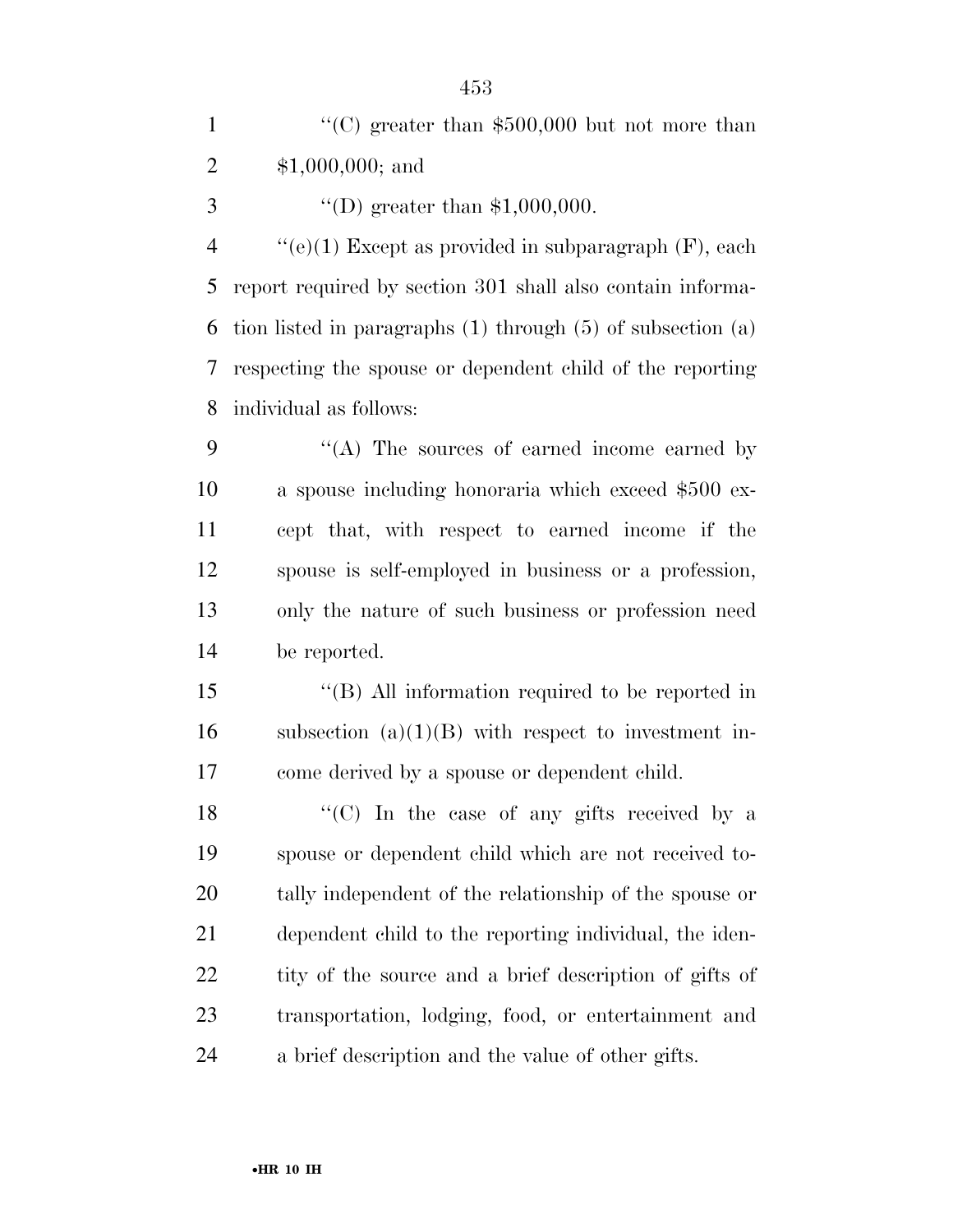|               | "(C) greater than $$500,000$ but not more than |
|---------------|------------------------------------------------|
| 2             | $$1,000,000;$ and                              |
| $\mathcal{R}$ | "(D) greater than $$1,000,000$ .               |

 $\frac{4}{(e)}$  (e)(1) Except as provided in subparagraph (F), each report required by section 301 shall also contain informa- tion listed in paragraphs (1) through (5) of subsection (a) respecting the spouse or dependent child of the reporting individual as follows:

9 "(A) The sources of earned income earned by a spouse including honoraria which exceed \$500 ex- cept that, with respect to earned income if the spouse is self-employed in business or a profession, only the nature of such business or profession need be reported.

 ''(B) All information required to be reported in 16 subsection  $(a)(1)(B)$  with respect to investment in-come derived by a spouse or dependent child.

 $\langle ^{\prime}(C) \rangle$  In the case of any gifts received by a spouse or dependent child which are not received to- tally independent of the relationship of the spouse or dependent child to the reporting individual, the iden-22 tity of the source and a brief description of gifts of transportation, lodging, food, or entertainment and a brief description and the value of other gifts.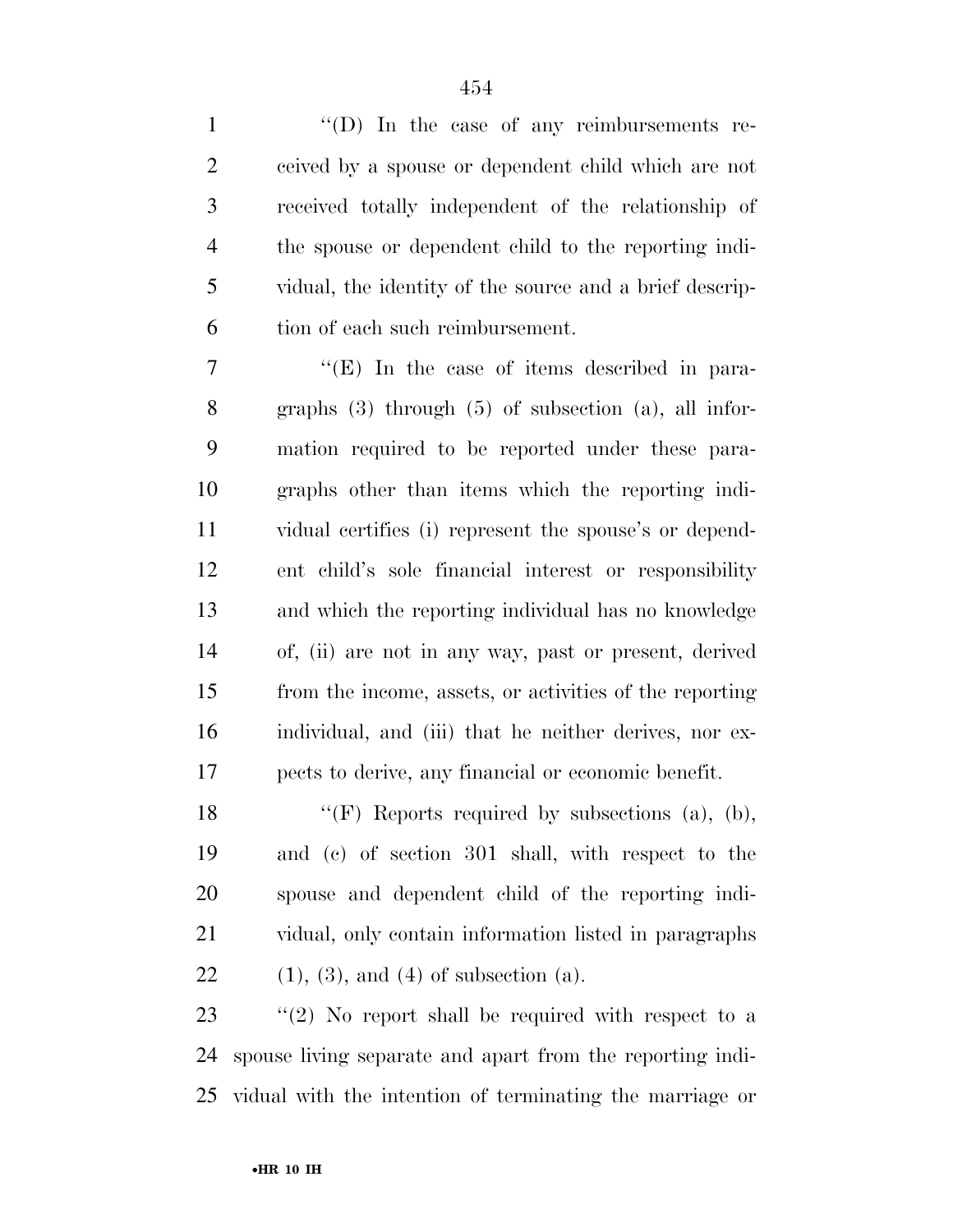1 ''(D) In the case of any reimbursements re- ceived by a spouse or dependent child which are not received totally independent of the relationship of the spouse or dependent child to the reporting indi- vidual, the identity of the source and a brief descrip-tion of each such reimbursement.

7 "'(E) In the case of items described in para- graphs (3) through (5) of subsection (a), all infor- mation required to be reported under these para- graphs other than items which the reporting indi- vidual certifies (i) represent the spouse's or depend- ent child's sole financial interest or responsibility and which the reporting individual has no knowledge of, (ii) are not in any way, past or present, derived from the income, assets, or activities of the reporting individual, and (iii) that he neither derives, nor ex-pects to derive, any financial or economic benefit.

18 "(F) Reports required by subsections (a), (b), and (c) of section 301 shall, with respect to the spouse and dependent child of the reporting indi- vidual, only contain information listed in paragraphs 22 (1), (3), and (4) of subsection (a).

23 "(2) No report shall be required with respect to a spouse living separate and apart from the reporting indi-vidual with the intention of terminating the marriage or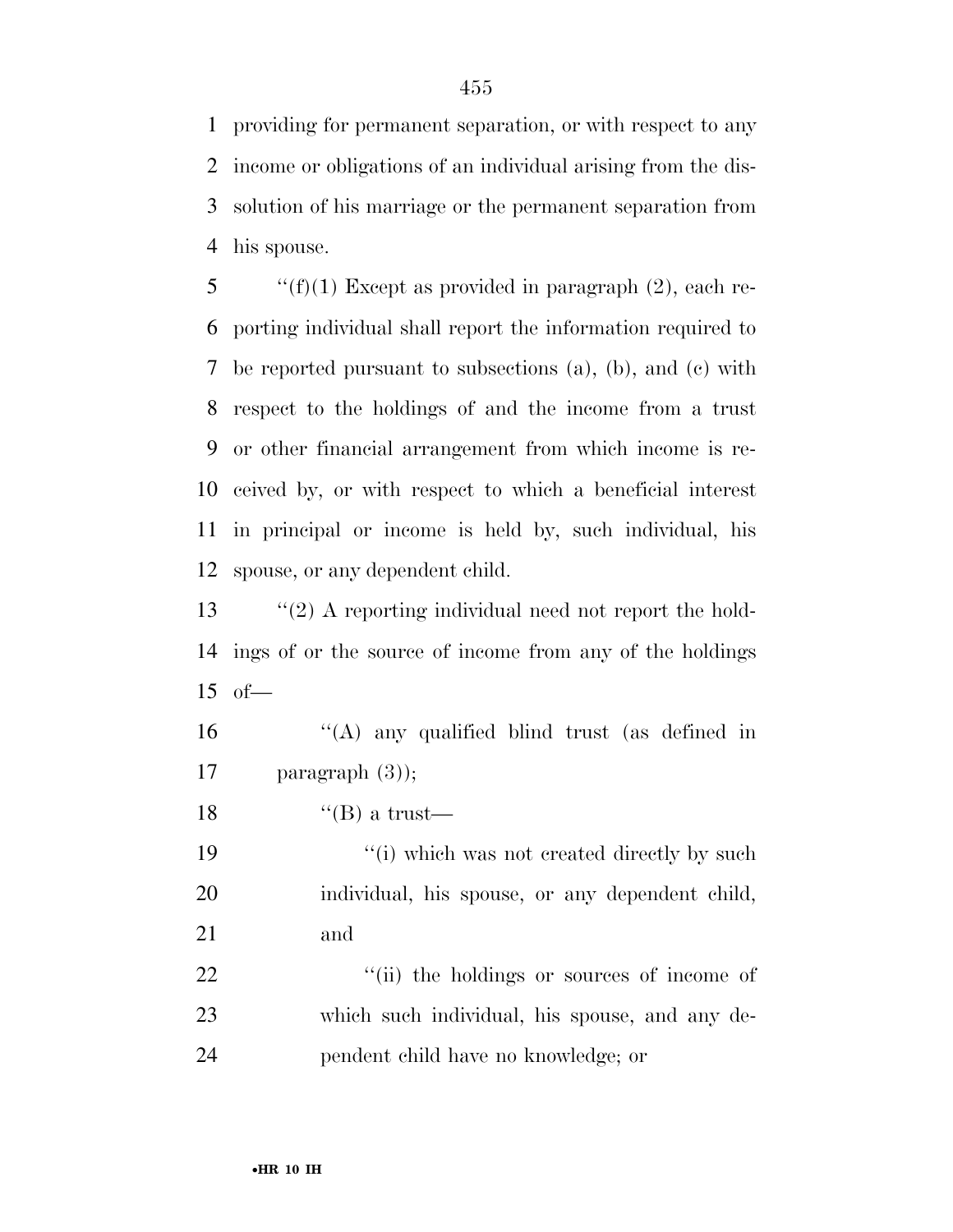providing for permanent separation, or with respect to any income or obligations of an individual arising from the dis- solution of his marriage or the permanent separation from his spouse.

 $\qquad$  "(f)(1) Except as provided in paragraph (2), each re- porting individual shall report the information required to be reported pursuant to subsections (a), (b), and (c) with respect to the holdings of and the income from a trust or other financial arrangement from which income is re- ceived by, or with respect to which a beneficial interest in principal or income is held by, such individual, his spouse, or any dependent child.

 ''(2) A reporting individual need not report the hold- ings of or the source of income from any of the holdings of—

16  $\frac{16}{16}$   $\frac{16}{16}$  any qualified blind trust (as defined in paragraph (3));

18  $"$ (B) a trust—

19  $\frac{1}{2}$  (i) which was not created directly by such individual, his spouse, or any dependent child, and

22  $\frac{1}{2}$   $\frac{1}{2}$   $\frac{1}{2}$  the holdings or sources of income of which such individual, his spouse, and any de-pendent child have no knowledge; or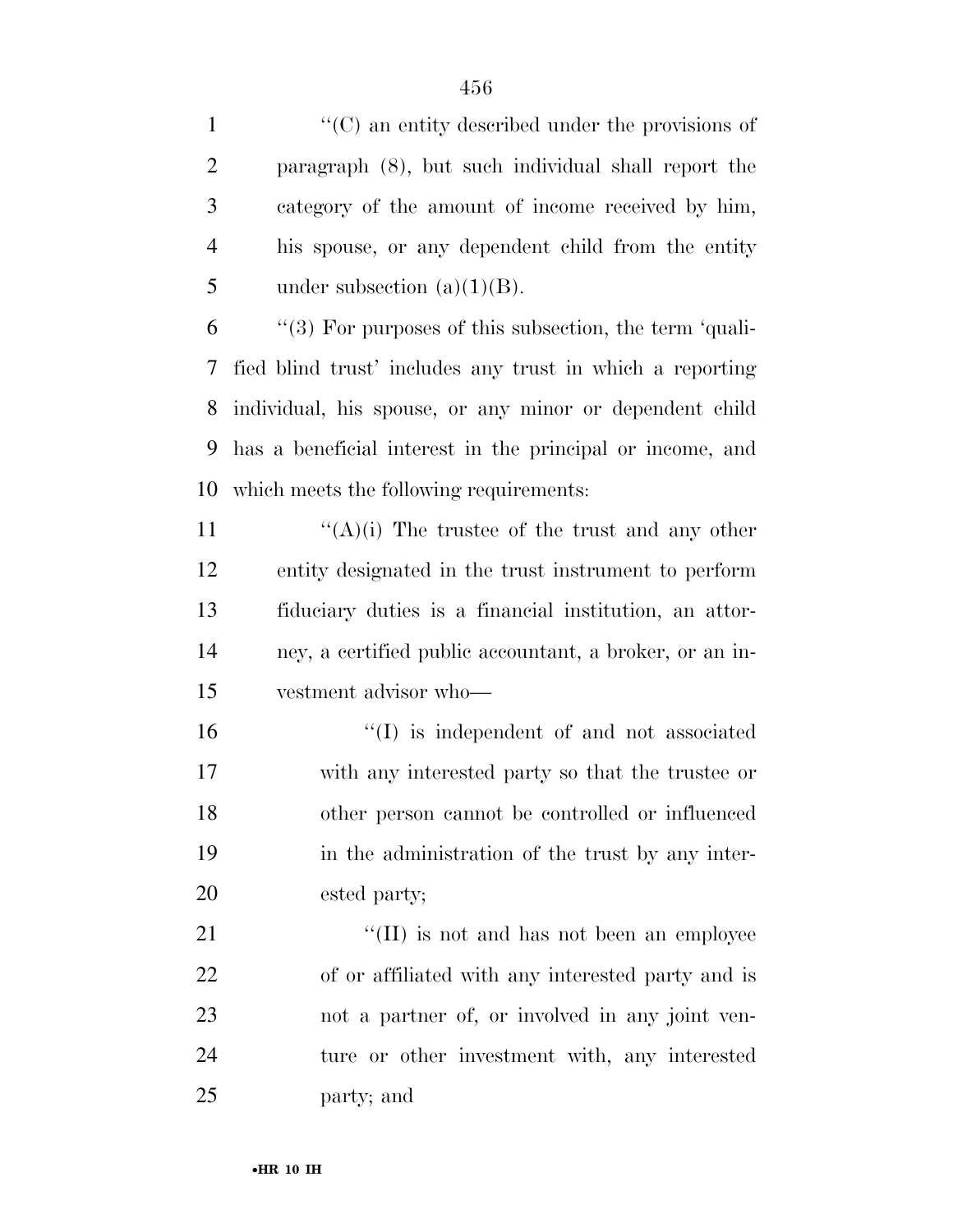$\langle ^{\prime}(C) \rangle$  an entity described under the provisions of paragraph (8), but such individual shall report the category of the amount of income received by him, his spouse, or any dependent child from the entity 5 under subsection  $(a)(1)(B)$ .

 "(3) For purposes of this subsection, the term 'quali- fied blind trust' includes any trust in which a reporting individual, his spouse, or any minor or dependent child has a beneficial interest in the principal or income, and which meets the following requirements:

 $\langle (A)(i) \rangle$  The trustee of the trust and any other entity designated in the trust instrument to perform fiduciary duties is a financial institution, an attor- ney, a certified public accountant, a broker, or an in-vestment advisor who—

 ''(I) is independent of and not associated with any interested party so that the trustee or other person cannot be controlled or influenced in the administration of the trust by any inter-ested party;

21 ''(II) is not and has not been an employee of or affiliated with any interested party and is not a partner of, or involved in any joint ven- ture or other investment with, any interested party; and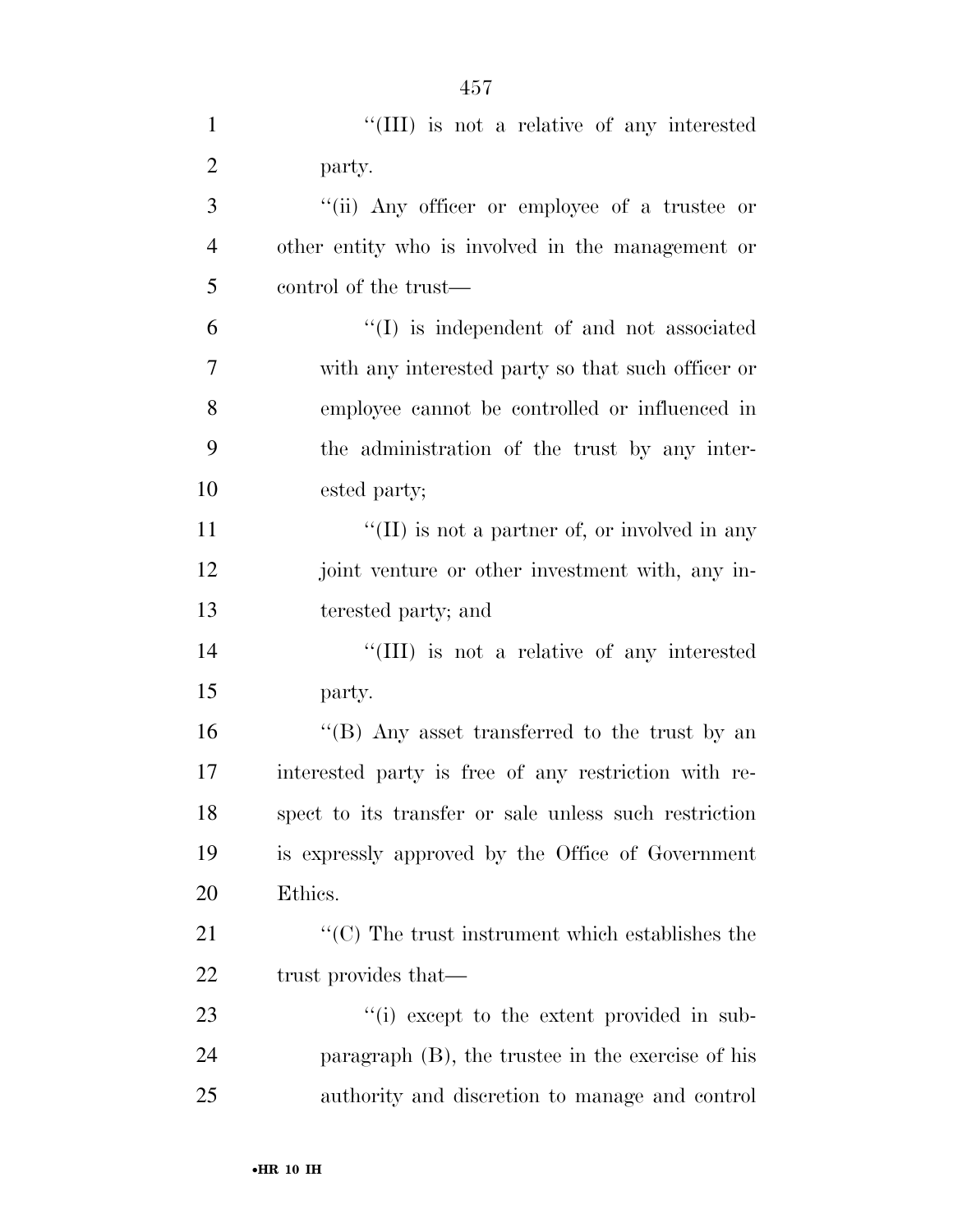| $\mathbf{1}$   | "(III) is not a relative of any interested                           |
|----------------|----------------------------------------------------------------------|
| $\overline{2}$ | party.                                                               |
| 3              | "(ii) Any officer or employee of a trustee or                        |
| $\overline{4}$ | other entity who is involved in the management or                    |
| 5              | control of the trust—                                                |
| 6              | $\lq\lq$ is independent of and not associated                        |
| 7              | with any interested party so that such officer or                    |
| 8              | employee cannot be controlled or influenced in                       |
| 9              | the administration of the trust by any inter-                        |
| 10             | ested party;                                                         |
| 11             | "(II) is not a partner of, or involved in any                        |
| 12             | joint venture or other investment with, any in-                      |
| 13             | terested party; and                                                  |
| 14             | "(III) is not a relative of any interested                           |
| 15             | party.                                                               |
| 16             | "(B) Any asset transferred to the trust by an                        |
| 17             | interested party is free of any restriction with re-                 |
| 18             | spect to its transfer or sale unless such restriction                |
| 19             | is expressly approved by the Office of Government                    |
| 20             | Ethics.                                                              |
| 21             | $\lq\lq$ <sup>c</sup> (C) The trust instrument which establishes the |
| 22             | trust provides that—                                                 |
| 23             | "(i) except to the extent provided in sub-                           |
| 24             | paragraph $(B)$ , the trustee in the exercise of his                 |
| 25             | authority and discretion to manage and control                       |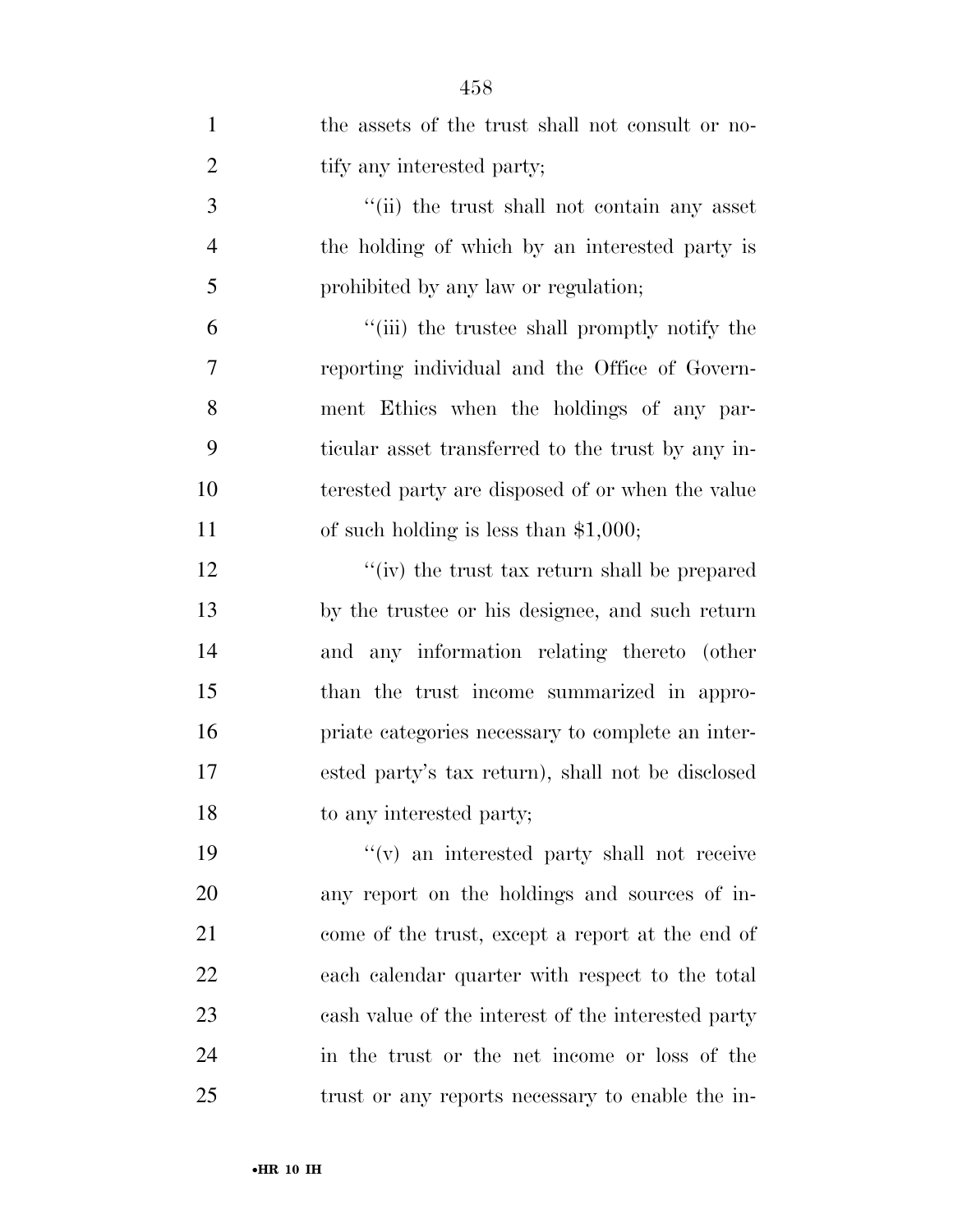| $\mathbf{1}$   | the assets of the trust shall not consult or no-   |
|----------------|----------------------------------------------------|
| $\overline{2}$ | tify any interested party;                         |
| 3              | "(ii) the trust shall not contain any asset        |
| $\overline{4}$ | the holding of which by an interested party is     |
| 5              | prohibited by any law or regulation;               |
| 6              | "(iii) the trustee shall promptly notify the       |
| 7              | reporting individual and the Office of Govern-     |
| 8              | ment Ethics when the holdings of any par-          |
| 9              | ticular asset transferred to the trust by any in-  |
| 10             | terested party are disposed of or when the value   |
| 11             | of such holding is less than $$1,000;$             |
| 12             | "(iv) the trust tax return shall be prepared       |
| 13             | by the trustee or his designee, and such return    |
| 14             | and any information relating thereto (other        |
| 15             | than the trust income summarized in appro-         |
| 16             | priate categories necessary to complete an inter-  |
| 17             | ested party's tax return), shall not be disclosed  |
| 18             | to any interested party;                           |
| 19             | $f'(v)$ an interested party shall not receive      |
| 20             | any report on the holdings and sources of in-      |
| 21             | come of the trust, except a report at the end of   |
| 22             | each calendar quarter with respect to the total    |
| 23             | cash value of the interest of the interested party |
| 24             | in the trust or the net income or loss of the      |
| 25             | trust or any reports necessary to enable the in-   |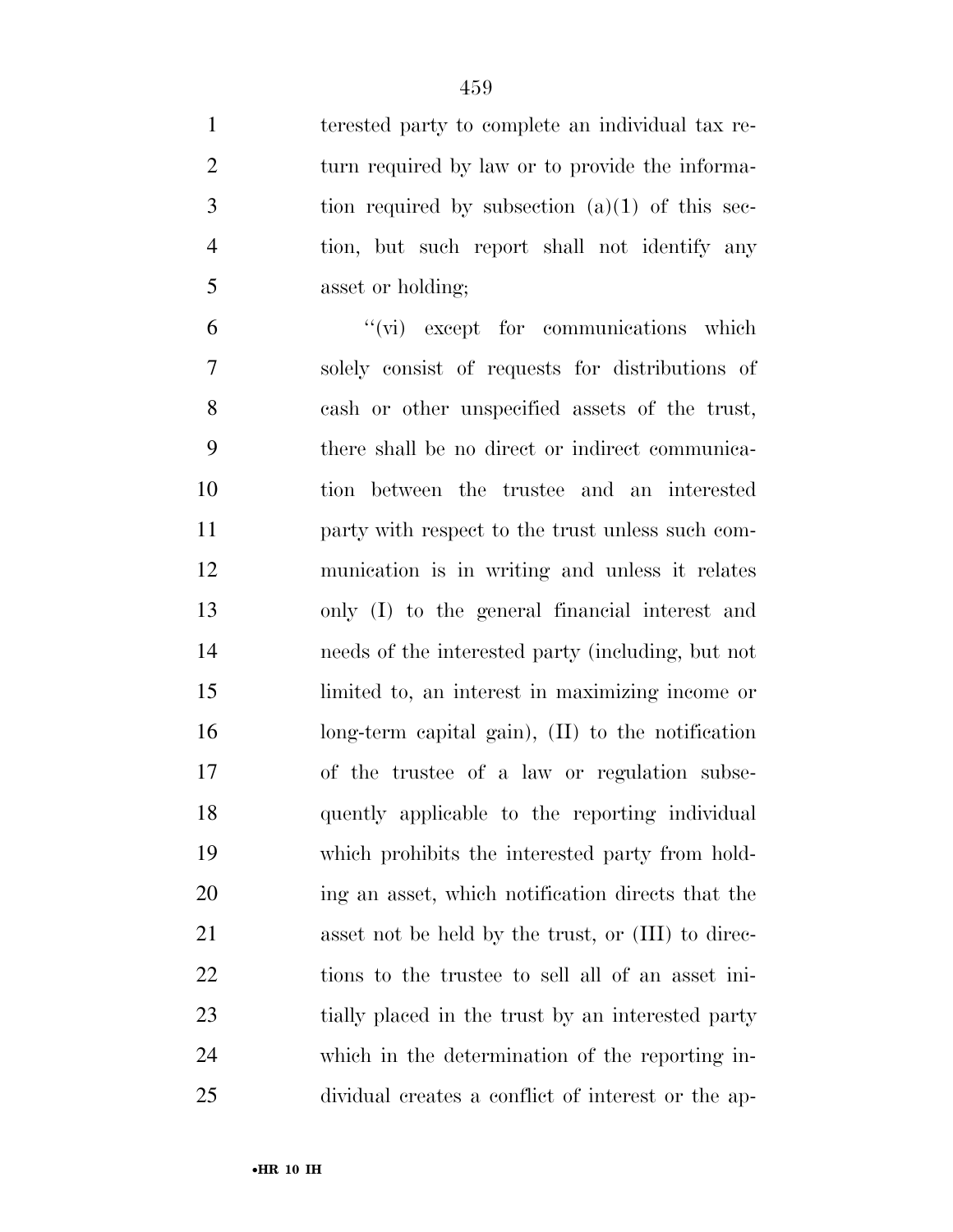terested party to complete an individual tax re-2 turn required by law or to provide the informa- tion required by subsection  $(a)(1)$  of this sec- tion, but such report shall not identify any asset or holding;

 ''(vi) except for communications which solely consist of requests for distributions of cash or other unspecified assets of the trust, there shall be no direct or indirect communica- tion between the trustee and an interested party with respect to the trust unless such com- munication is in writing and unless it relates only (I) to the general financial interest and needs of the interested party (including, but not limited to, an interest in maximizing income or long-term capital gain), (II) to the notification of the trustee of a law or regulation subse- quently applicable to the reporting individual which prohibits the interested party from hold- ing an asset, which notification directs that the asset not be held by the trust, or (III) to direc- tions to the trustee to sell all of an asset ini- tially placed in the trust by an interested party which in the determination of the reporting in-dividual creates a conflict of interest or the ap-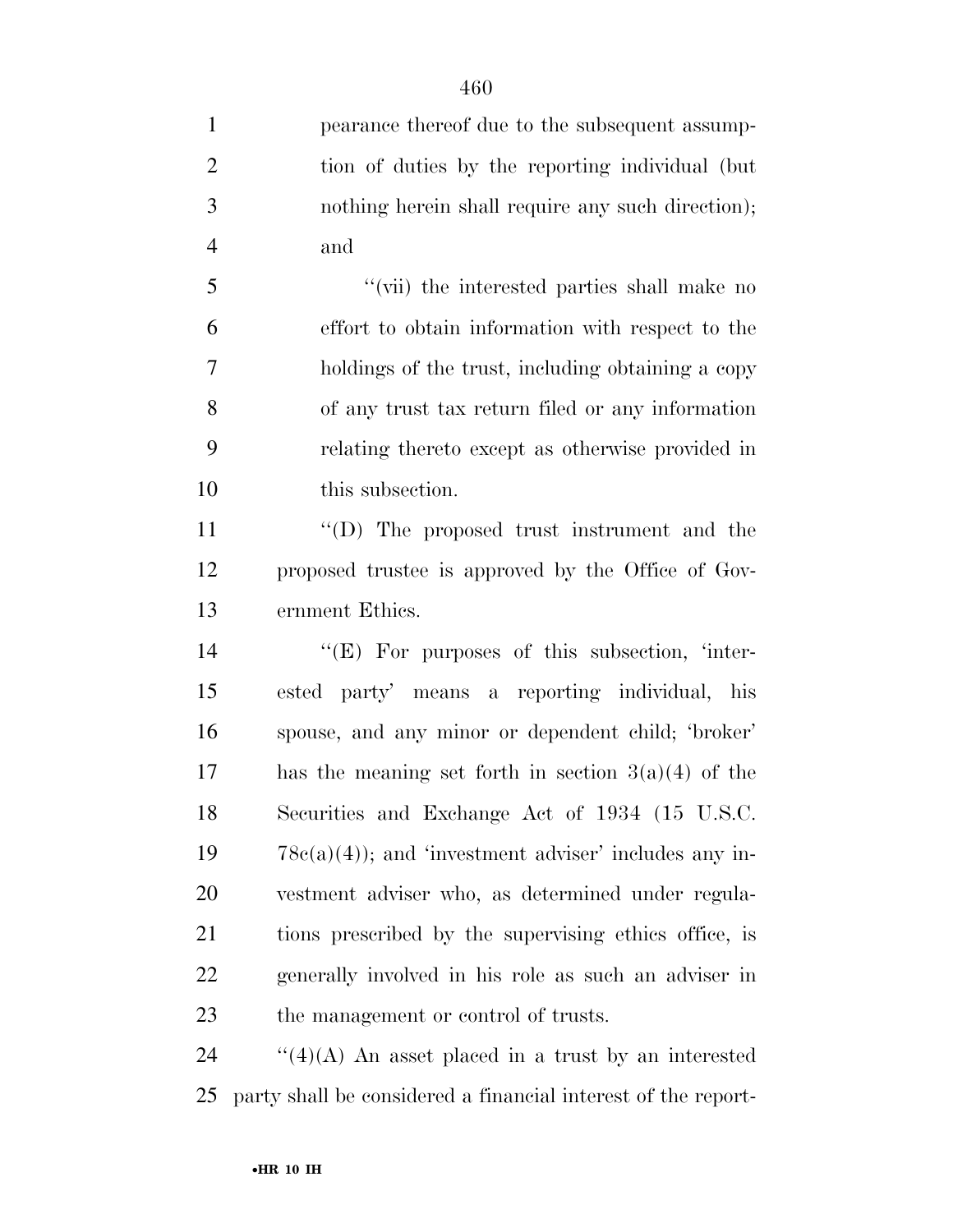pearance thereof due to the subsequent assump- tion of duties by the reporting individual (but nothing herein shall require any such direction); and ''(vii) the interested parties shall make no effort to obtain information with respect to the holdings of the trust, including obtaining a copy of any trust tax return filed or any information relating thereto except as otherwise provided in this subsection. 11 ''(D) The proposed trust instrument and the proposed trustee is approved by the Office of Gov- ernment Ethics. 14 "(E) For purposes of this subsection, 'inter- ested party' means a reporting individual, his spouse, and any minor or dependent child; 'broker' 17 has the meaning set forth in section  $3(a)(4)$  of the Securities and Exchange Act of 1934 (15 U.S.C.  $78c(a)(4)$ ; and 'investment adviser' includes any in- vestment adviser who, as determined under regula- tions prescribed by the supervising ethics office, is generally involved in his role as such an adviser in the management or control of trusts.

24  $\frac{1}{2}$  (4)(A) An asset placed in a trust by an interested party shall be considered a financial interest of the report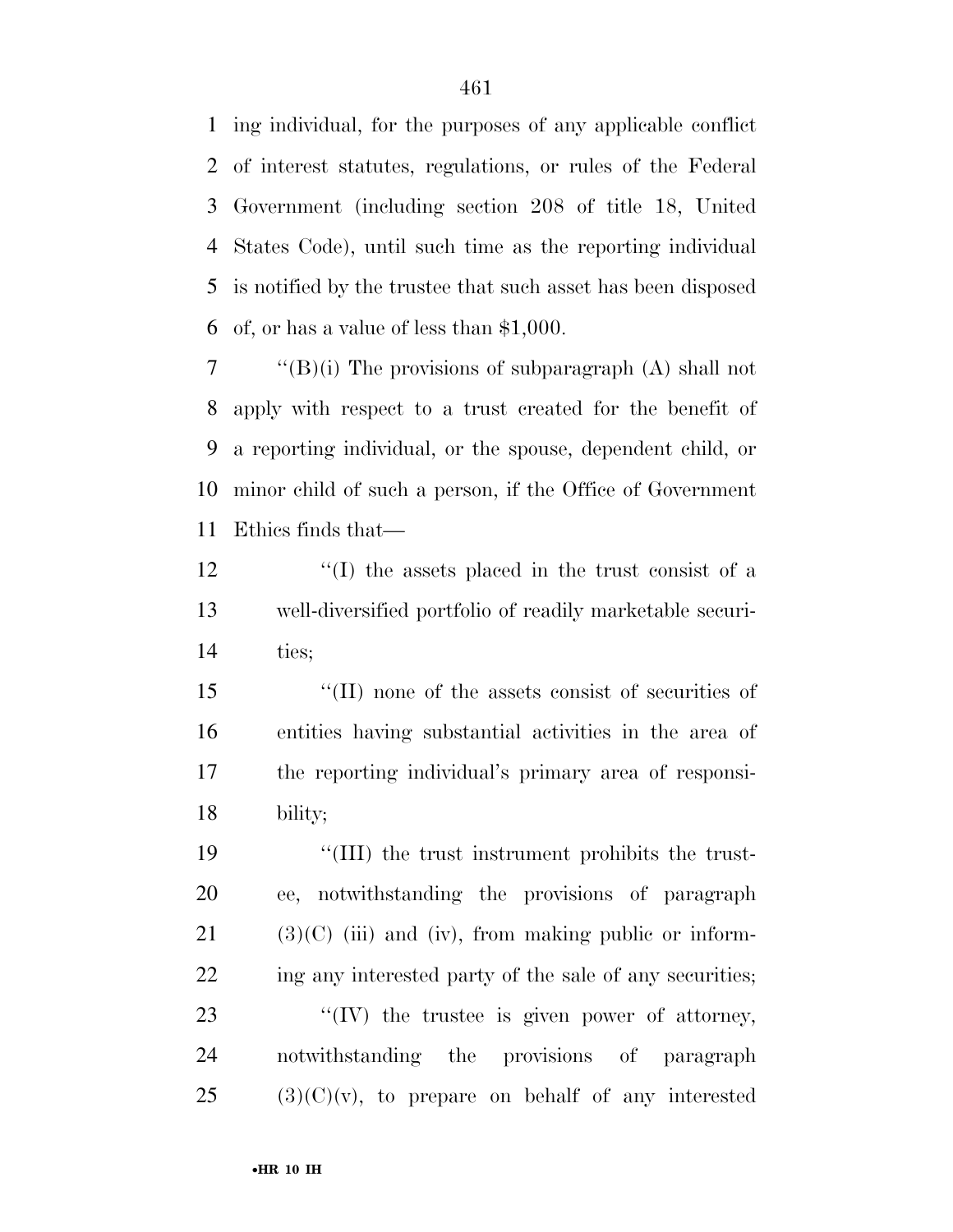ing individual, for the purposes of any applicable conflict of interest statutes, regulations, or rules of the Federal Government (including section 208 of title 18, United States Code), until such time as the reporting individual is notified by the trustee that such asset has been disposed of, or has a value of less than \$1,000.

 $\langle$  "(B)(i) The provisions of subparagraph (A) shall not apply with respect to a trust created for the benefit of a reporting individual, or the spouse, dependent child, or minor child of such a person, if the Office of Government Ethics finds that—

 ''(I) the assets placed in the trust consist of a well-diversified portfolio of readily marketable securi-ties;

 ''(II) none of the assets consist of securities of entities having substantial activities in the area of the reporting individual's primary area of responsi-bility;

19 ''(III) the trust instrument prohibits the trust- ee, notwithstanding the provisions of paragraph (3)(C) (iii) and (iv), from making public or inform-22 ing any interested party of the sale of any securities;  $\frac{1}{2}$  (IV) the trustee is given power of attorney, notwithstanding the provisions of paragraph (3)(C)(v), to prepare on behalf of any interested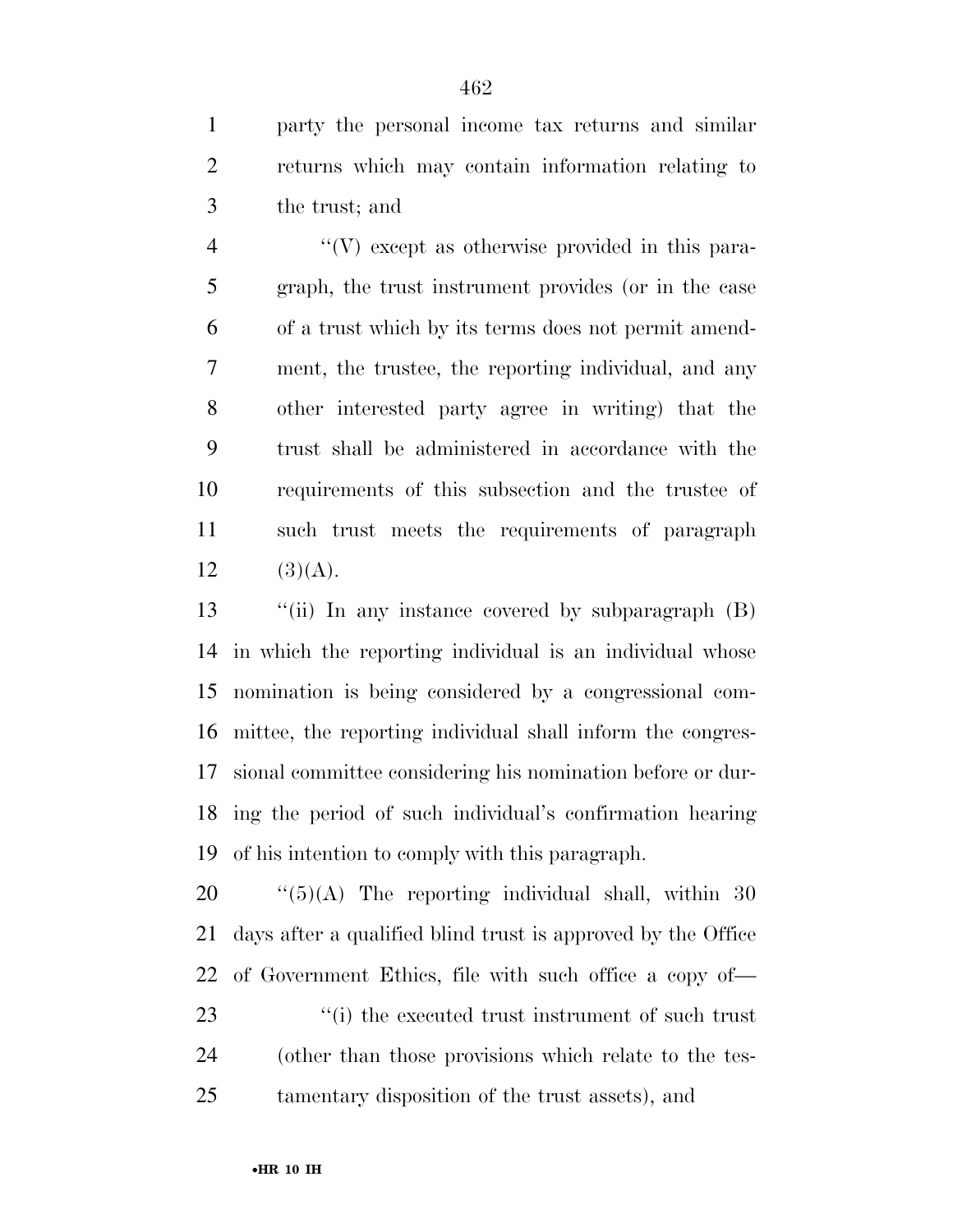party the personal income tax returns and similar returns which may contain information relating to the trust; and

 $\langle V \rangle$  except as otherwise provided in this para- graph, the trust instrument provides (or in the case of a trust which by its terms does not permit amend- ment, the trustee, the reporting individual, and any other interested party agree in writing) that the trust shall be administered in accordance with the requirements of this subsection and the trustee of such trust meets the requirements of paragraph 12  $(3)(A)$ .

 ''(ii) In any instance covered by subparagraph (B) in which the reporting individual is an individual whose nomination is being considered by a congressional com- mittee, the reporting individual shall inform the congres- sional committee considering his nomination before or dur- ing the period of such individual's confirmation hearing of his intention to comply with this paragraph.

 ''(5)(A) The reporting individual shall, within 30 days after a qualified blind trust is approved by the Office of Government Ethics, file with such office a copy of—  $\frac{1}{2}$  (i) the executed trust instrument of such trust (other than those provisions which relate to the tes-tamentary disposition of the trust assets), and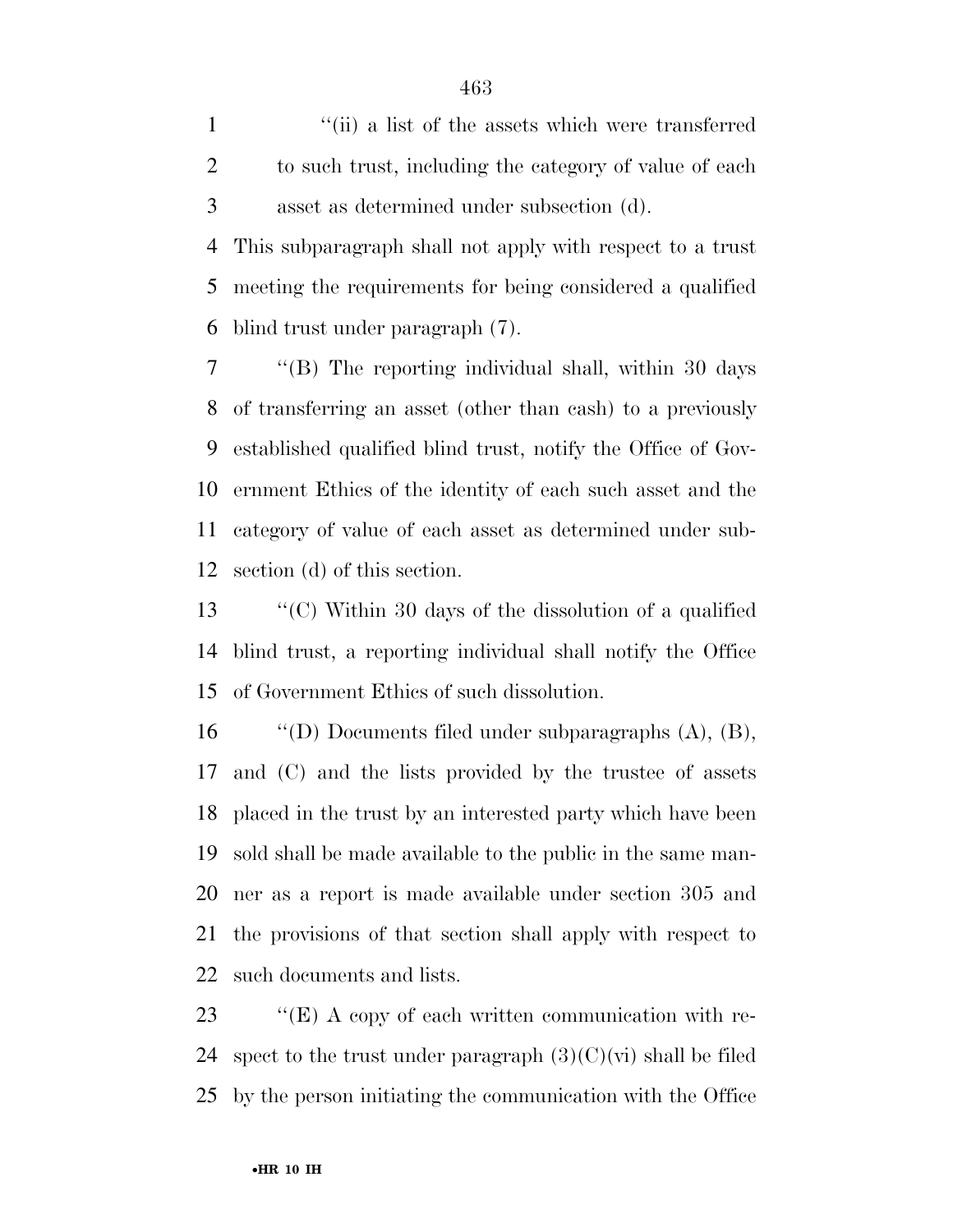1 ''(ii) a list of the assets which were transferred to such trust, including the category of value of each asset as determined under subsection (d).

 This subparagraph shall not apply with respect to a trust meeting the requirements for being considered a qualified blind trust under paragraph (7).

 ''(B) The reporting individual shall, within 30 days of transferring an asset (other than cash) to a previously established qualified blind trust, notify the Office of Gov- ernment Ethics of the identity of each such asset and the category of value of each asset as determined under sub-section (d) of this section.

 ''(C) Within 30 days of the dissolution of a qualified blind trust, a reporting individual shall notify the Office of Government Ethics of such dissolution.

 ''(D) Documents filed under subparagraphs (A), (B), and (C) and the lists provided by the trustee of assets placed in the trust by an interested party which have been sold shall be made available to the public in the same man- ner as a report is made available under section 305 and the provisions of that section shall apply with respect to such documents and lists.

23 ""(E) A copy of each written communication with re-24 spect to the trust under paragraph  $(3)(C)(vi)$  shall be filed by the person initiating the communication with the Office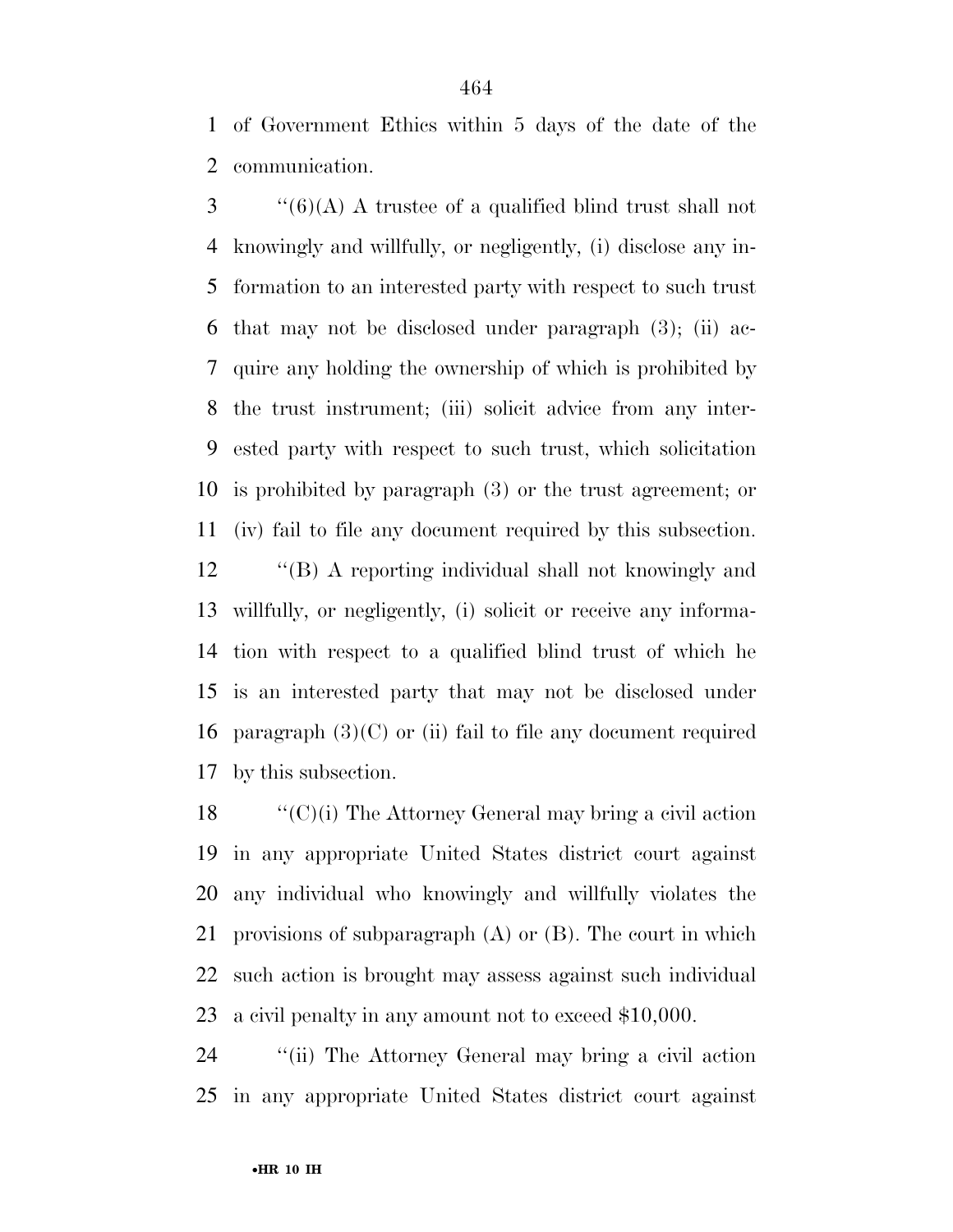of Government Ethics within 5 days of the date of the communication.

 ''(6)(A) A trustee of a qualified blind trust shall not knowingly and willfully, or negligently, (i) disclose any in- formation to an interested party with respect to such trust that may not be disclosed under paragraph (3); (ii) ac- quire any holding the ownership of which is prohibited by the trust instrument; (iii) solicit advice from any inter- ested party with respect to such trust, which solicitation is prohibited by paragraph (3) or the trust agreement; or (iv) fail to file any document required by this subsection.

 ''(B) A reporting individual shall not knowingly and willfully, or negligently, (i) solicit or receive any informa- tion with respect to a qualified blind trust of which he is an interested party that may not be disclosed under 16 paragraph  $(3)(C)$  or (ii) fail to file any document required by this subsection.

 ''(C)(i) The Attorney General may bring a civil action in any appropriate United States district court against any individual who knowingly and willfully violates the provisions of subparagraph (A) or (B). The court in which such action is brought may assess against such individual a civil penalty in any amount not to exceed \$10,000.

 ''(ii) The Attorney General may bring a civil action in any appropriate United States district court against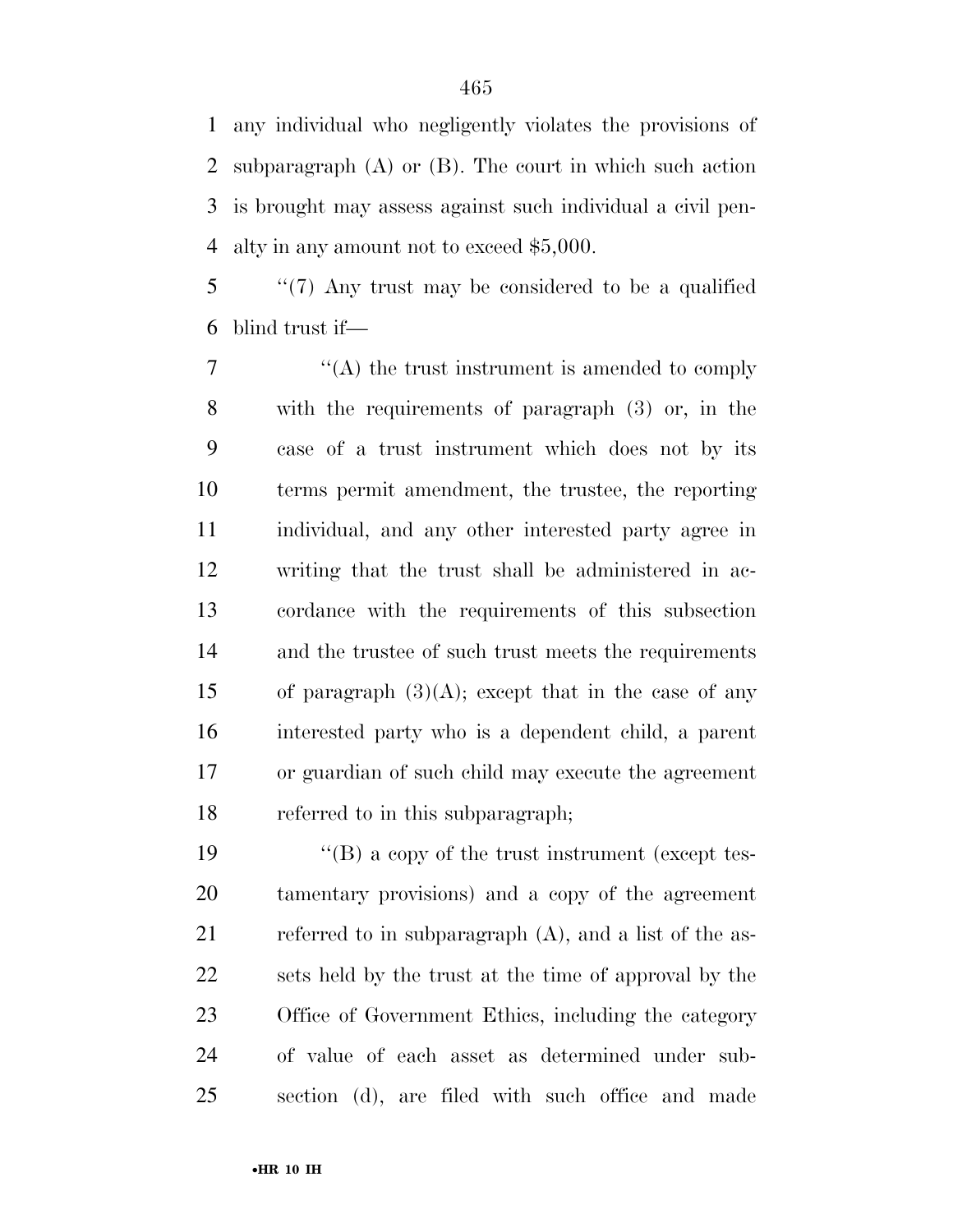any individual who negligently violates the provisions of subparagraph (A) or (B). The court in which such action is brought may assess against such individual a civil pen-alty in any amount not to exceed \$5,000.

 ''(7) Any trust may be considered to be a qualified blind trust if—

 $\langle (A)$  the trust instrument is amended to comply with the requirements of paragraph (3) or, in the case of a trust instrument which does not by its terms permit amendment, the trustee, the reporting individual, and any other interested party agree in writing that the trust shall be administered in ac- cordance with the requirements of this subsection and the trustee of such trust meets the requirements 15 of paragraph  $(3)(A)$ ; except that in the case of any interested party who is a dependent child, a parent or guardian of such child may execute the agreement referred to in this subparagraph;

 ''(B) a copy of the trust instrument (except tes- tamentary provisions) and a copy of the agreement referred to in subparagraph (A), and a list of the as- sets held by the trust at the time of approval by the Office of Government Ethics, including the category of value of each asset as determined under sub-section (d), are filed with such office and made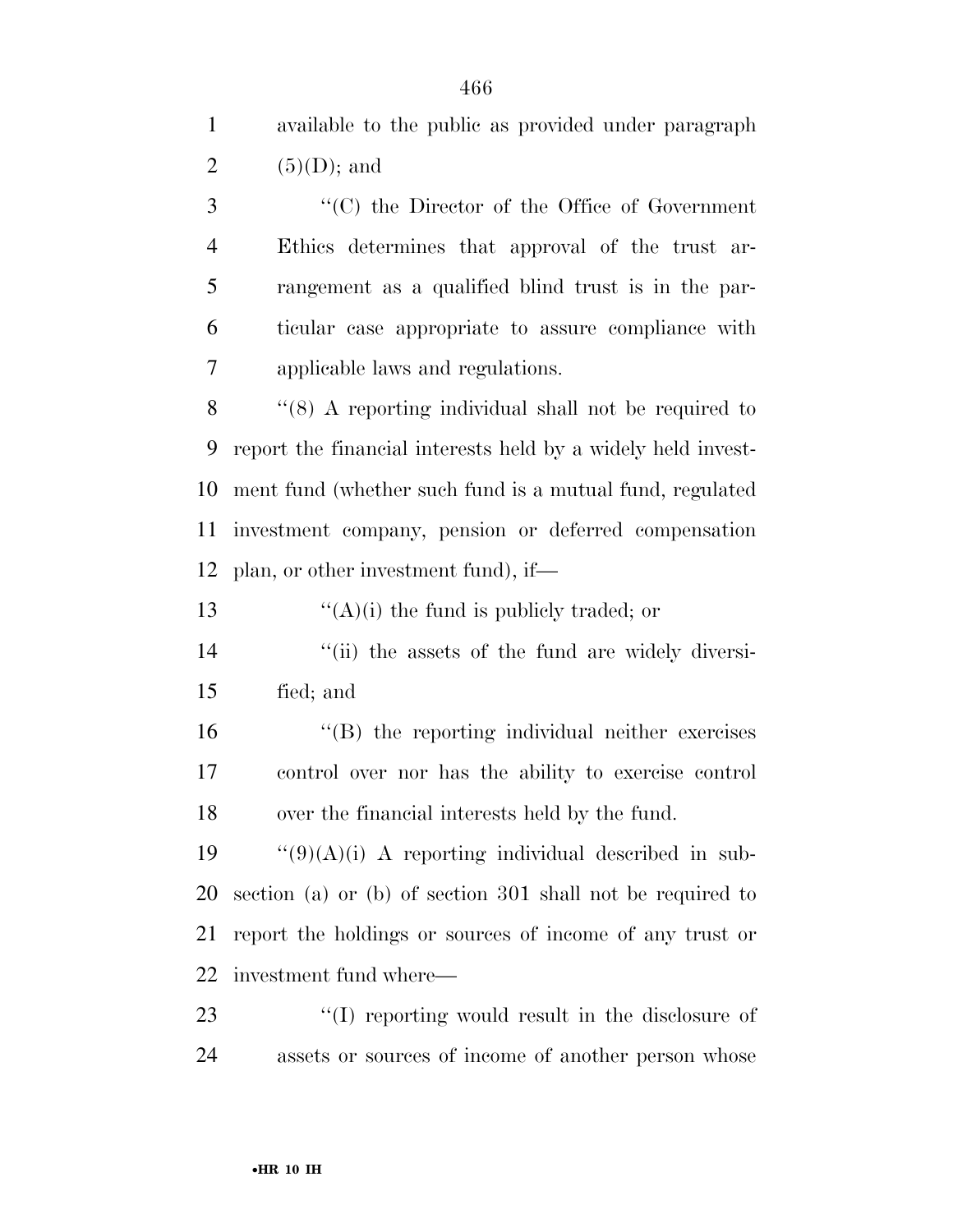available to the public as provided under paragraph  $(5)(D)$ ; and ''(C) the Director of the Office of Government Ethics determines that approval of the trust ar- rangement as a qualified blind trust is in the par- ticular case appropriate to assure compliance with applicable laws and regulations. ''(8) A reporting individual shall not be required to report the financial interests held by a widely held invest- ment fund (whether such fund is a mutual fund, regulated investment company, pension or deferred compensation plan, or other investment fund), if—  $\frac{1}{2}$   $\frac{1}{2}$   $\frac{1}{2}$   $\frac{1}{2}$  the fund is publicly traded; or 14 ''(ii) the assets of the fund are widely diversi- fied; and ''(B) the reporting individual neither exercises control over nor has the ability to exercise control over the financial interests held by the fund.  $\frac{1}{9}$  (9)(A)(i) A reporting individual described in sub- section (a) or (b) of section 301 shall not be required to report the holdings or sources of income of any trust or investment fund where—

23  $\frac{1}{2}$  (I) reporting would result in the disclosure of assets or sources of income of another person whose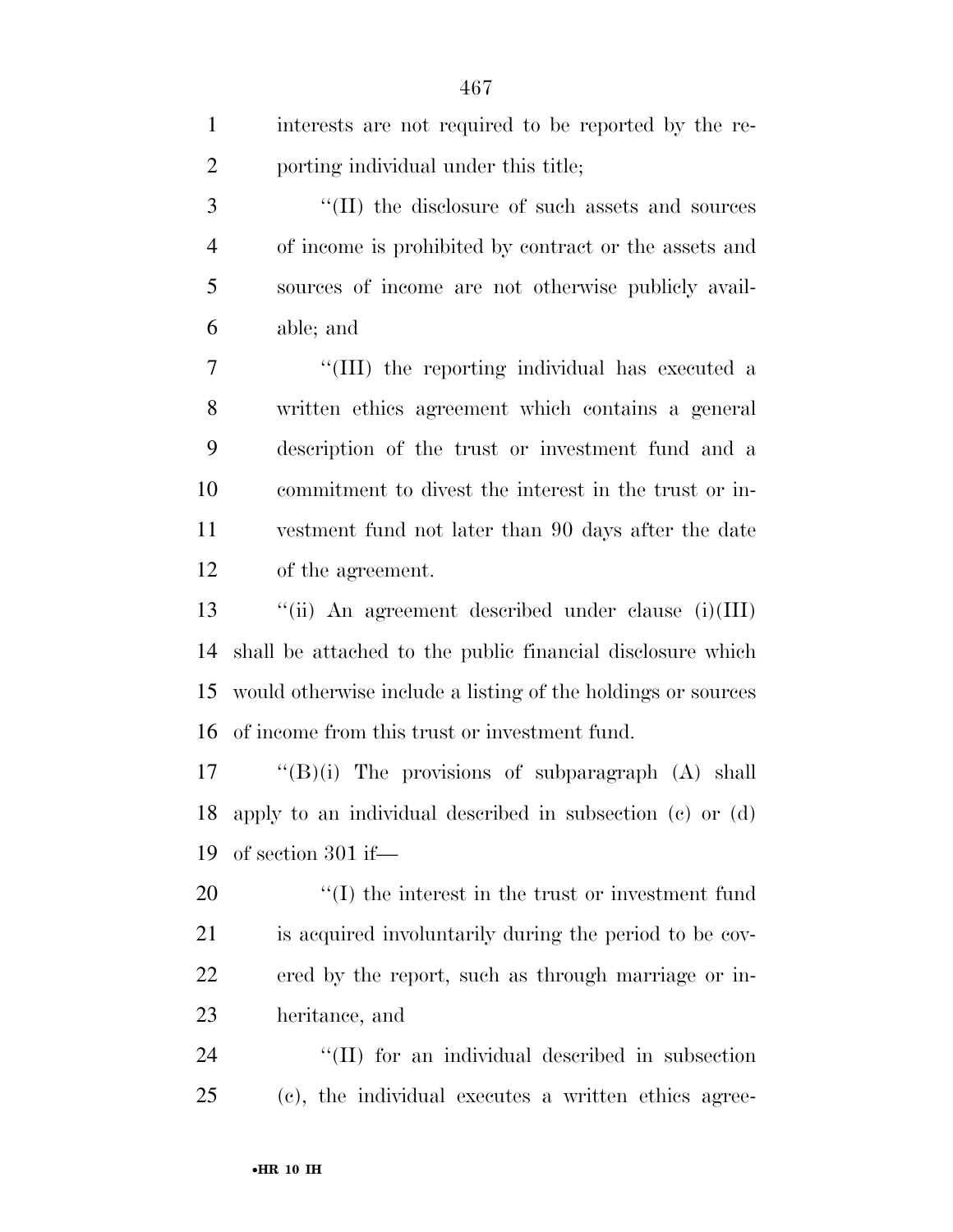| $\mathbf{1}$   | interests are not required to be reported by the re-         |
|----------------|--------------------------------------------------------------|
| $\overline{2}$ | porting individual under this title;                         |
| 3              | "(II) the disclosure of such assets and sources              |
| $\overline{4}$ | of income is prohibited by contract or the assets and        |
| 5              | sources of income are not otherwise publicly avail-          |
| 6              | able; and                                                    |
| 7              | "(III) the reporting individual has executed a               |
| 8              | written ethics agreement which contains a general            |
| 9              | description of the trust or investment fund and a            |
| 10             | commitment to divest the interest in the trust or in-        |
| 11             | vestment fund not later than 90 days after the date          |
| 12             | of the agreement.                                            |
| 13             | "(ii) An agreement described under clause $(i)(III)$         |
| 14             | shall be attached to the public financial disclosure which   |
| 15             | would otherwise include a listing of the holdings or sources |
| 16             | of income from this trust or investment fund.                |
| 17             | " $(B)(i)$ The provisions of subparagraph $(A)$ shall        |
| 18             | apply to an individual described in subsection (c) or (d)    |
| 19             | of section $301$ if—                                         |
| 20             | $\lq\lq$ (I) the interest in the trust or investment fund    |
| 21             | is acquired involuntarily during the period to be cov-       |
| 22             | ered by the report, such as through marriage or in-          |
| 23             | heritance, and                                               |
| 24             | "(II) for an individual described in subsection              |
| 25             | (c), the individual executes a written ethics agree-         |
|                |                                                              |

•**HR 10 IH**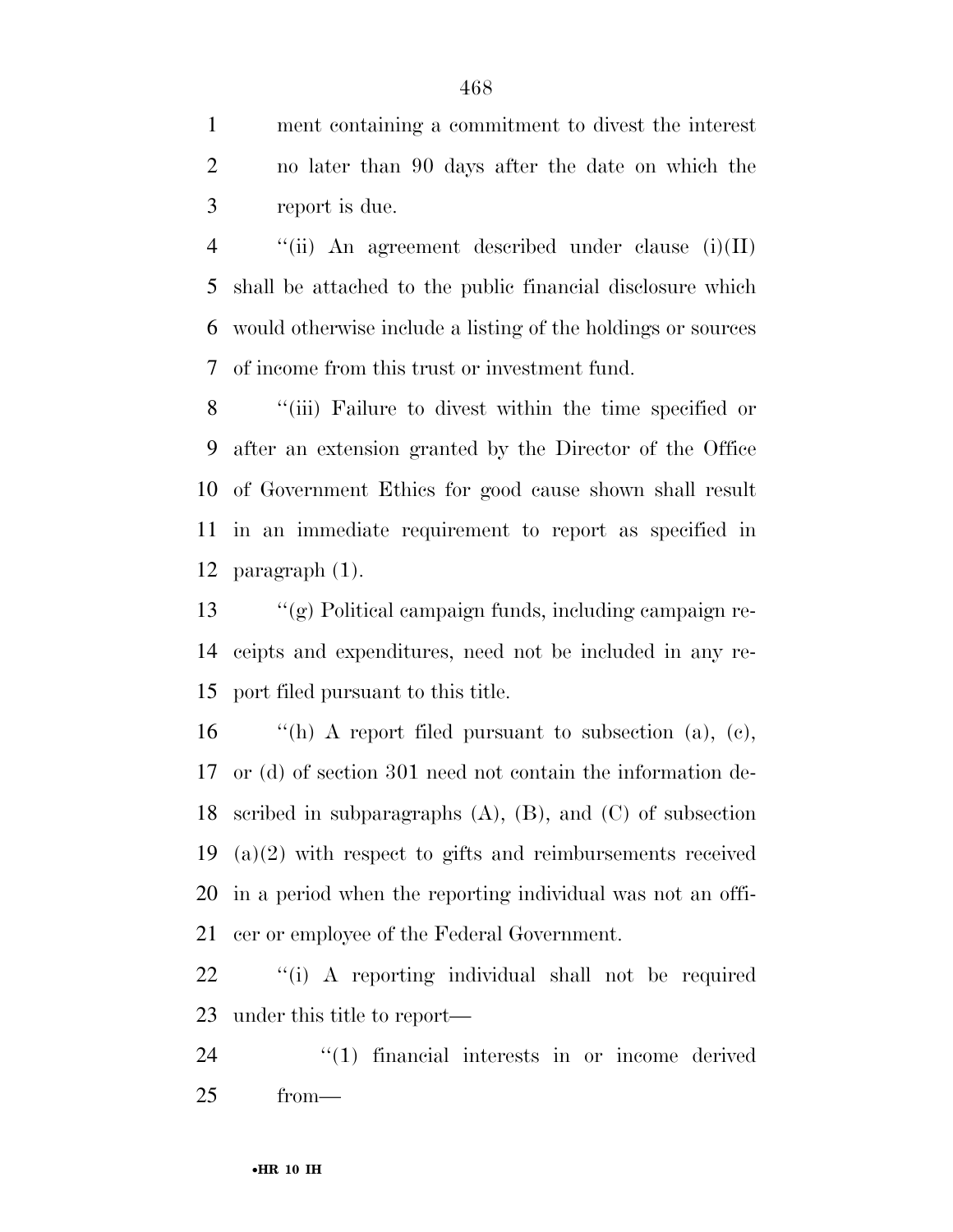ment containing a commitment to divest the interest no later than 90 days after the date on which the report is due.

 ''(ii) An agreement described under clause (i)(II) shall be attached to the public financial disclosure which would otherwise include a listing of the holdings or sources of income from this trust or investment fund.

 ''(iii) Failure to divest within the time specified or after an extension granted by the Director of the Office of Government Ethics for good cause shown shall result in an immediate requirement to report as specified in paragraph (1).

 ''(g) Political campaign funds, including campaign re- ceipts and expenditures, need not be included in any re-port filed pursuant to this title.

 $\qquad$  "(h) A report filed pursuant to subsection (a), (c), or (d) of section 301 need not contain the information de- scribed in subparagraphs (A), (B), and (C) of subsection (a)(2) with respect to gifts and reimbursements received in a period when the reporting individual was not an offi-cer or employee of the Federal Government.

 ''(i) A reporting individual shall not be required under this title to report—

24  $\frac{1}{2}$  (1) financial interests in or income derived from—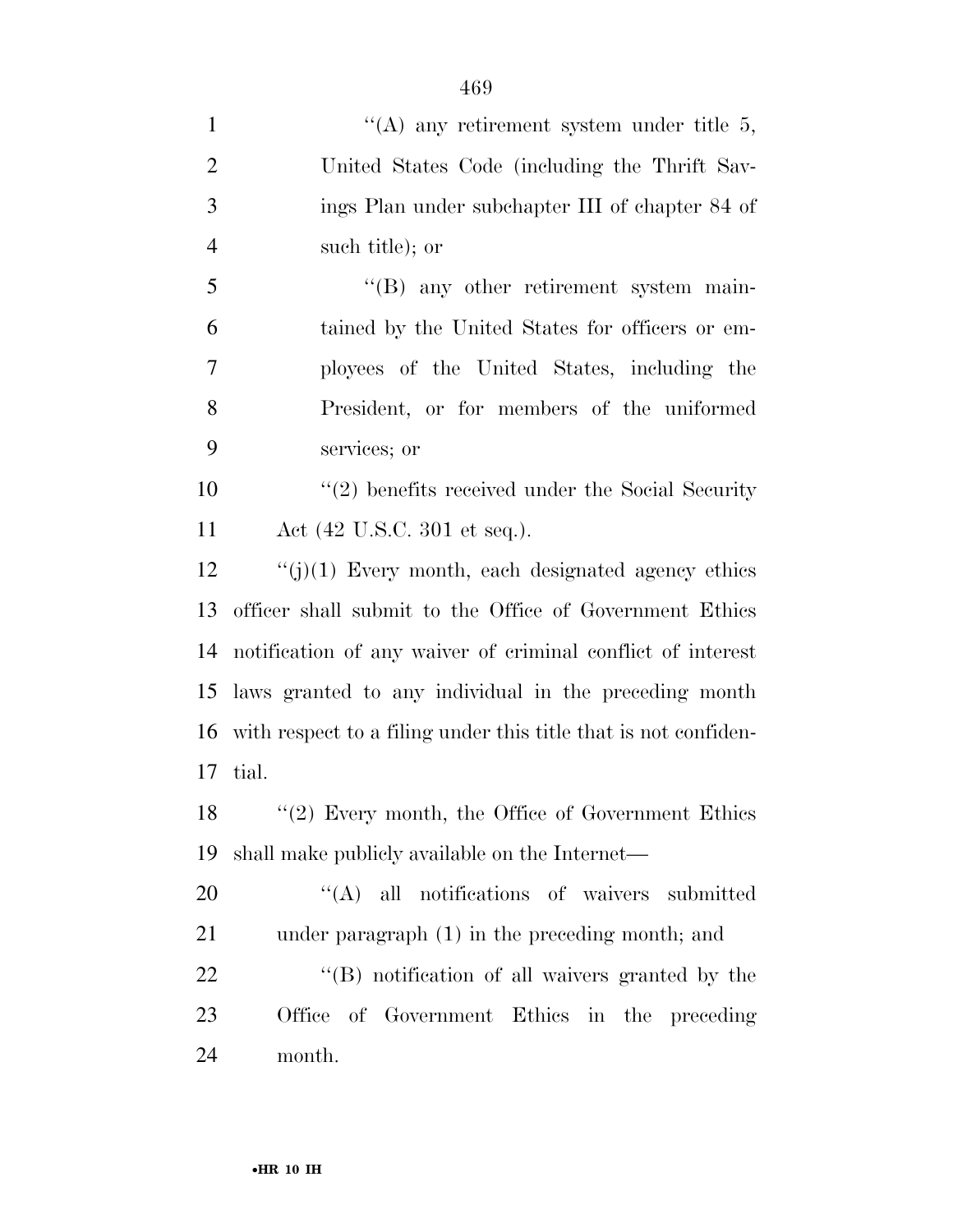| $\mathbf{1}$   | "(A) any retirement system under title $5$ ,                    |
|----------------|-----------------------------------------------------------------|
| $\overline{2}$ | United States Code (including the Thrift Sav-                   |
| 3              | ings Plan under subchapter III of chapter 84 of                 |
| $\overline{4}$ | such title); or                                                 |
| 5              | "(B) any other retirement system main-                          |
| 6              | tained by the United States for officers or em-                 |
| 7              | ployees of the United States, including the                     |
| 8              | President, or for members of the uniformed                      |
| 9              | services; or                                                    |
| 10             | $\lq(2)$ benefits received under the Social Security            |
| 11             | Act $(42 \text{ U.S.C. } 301 \text{ et seq.}).$                 |
| 12             | $\lq\lq(j)(1)$ Every month, each designated agency ethics       |
| 13             | officer shall submit to the Office of Government Ethics         |
| 14             | notification of any waiver of criminal conflict of interest     |
| 15             | laws granted to any individual in the preceding month           |
| 16             | with respect to a filing under this title that is not confiden- |
| 17             | tial.                                                           |
| 18             | $\lq(2)$ Every month, the Office of Government Ethics           |
| 19             | shall make publicly available on the Internet—                  |
| 20             | "(A) all notifications of waivers submitted                     |
| 21             | under paragraph (1) in the preceding month; and                 |
| 22             | "(B) notification of all waivers granted by the                 |
| 23             | Office of Government Ethics in the preceding                    |
| 24             | month.                                                          |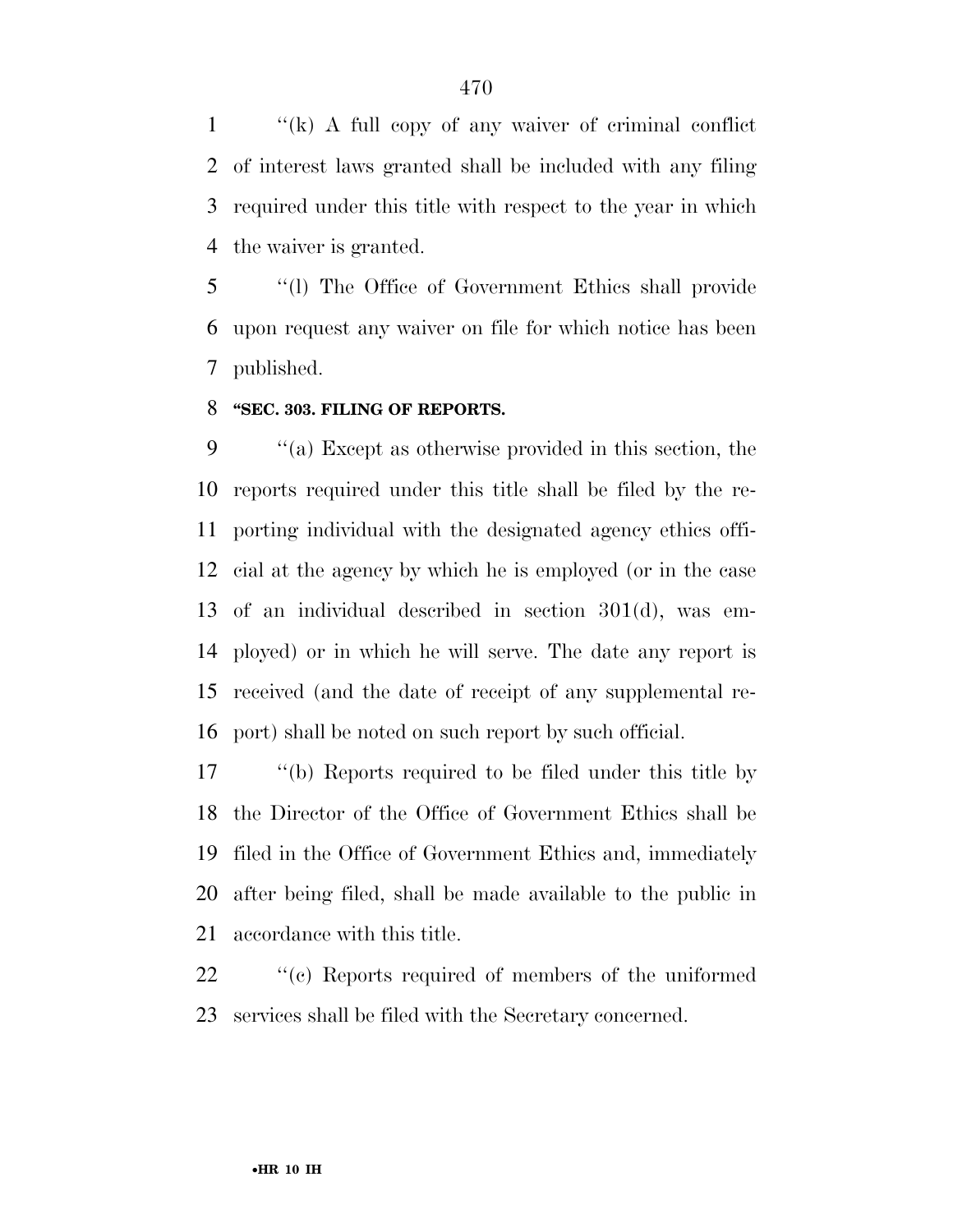''(k) A full copy of any waiver of criminal conflict of interest laws granted shall be included with any filing required under this title with respect to the year in which the waiver is granted.

 ''(l) The Office of Government Ethics shall provide upon request any waiver on file for which notice has been published.

#### **''SEC. 303. FILING OF REPORTS.**

 ''(a) Except as otherwise provided in this section, the reports required under this title shall be filed by the re- porting individual with the designated agency ethics offi- cial at the agency by which he is employed (or in the case of an individual described in section 301(d), was em- ployed) or in which he will serve. The date any report is received (and the date of receipt of any supplemental re-port) shall be noted on such report by such official.

 ''(b) Reports required to be filed under this title by the Director of the Office of Government Ethics shall be filed in the Office of Government Ethics and, immediately after being filed, shall be made available to the public in accordance with this title.

22  $\cdot$  "(c) Reports required of members of the uniformed services shall be filed with the Secretary concerned.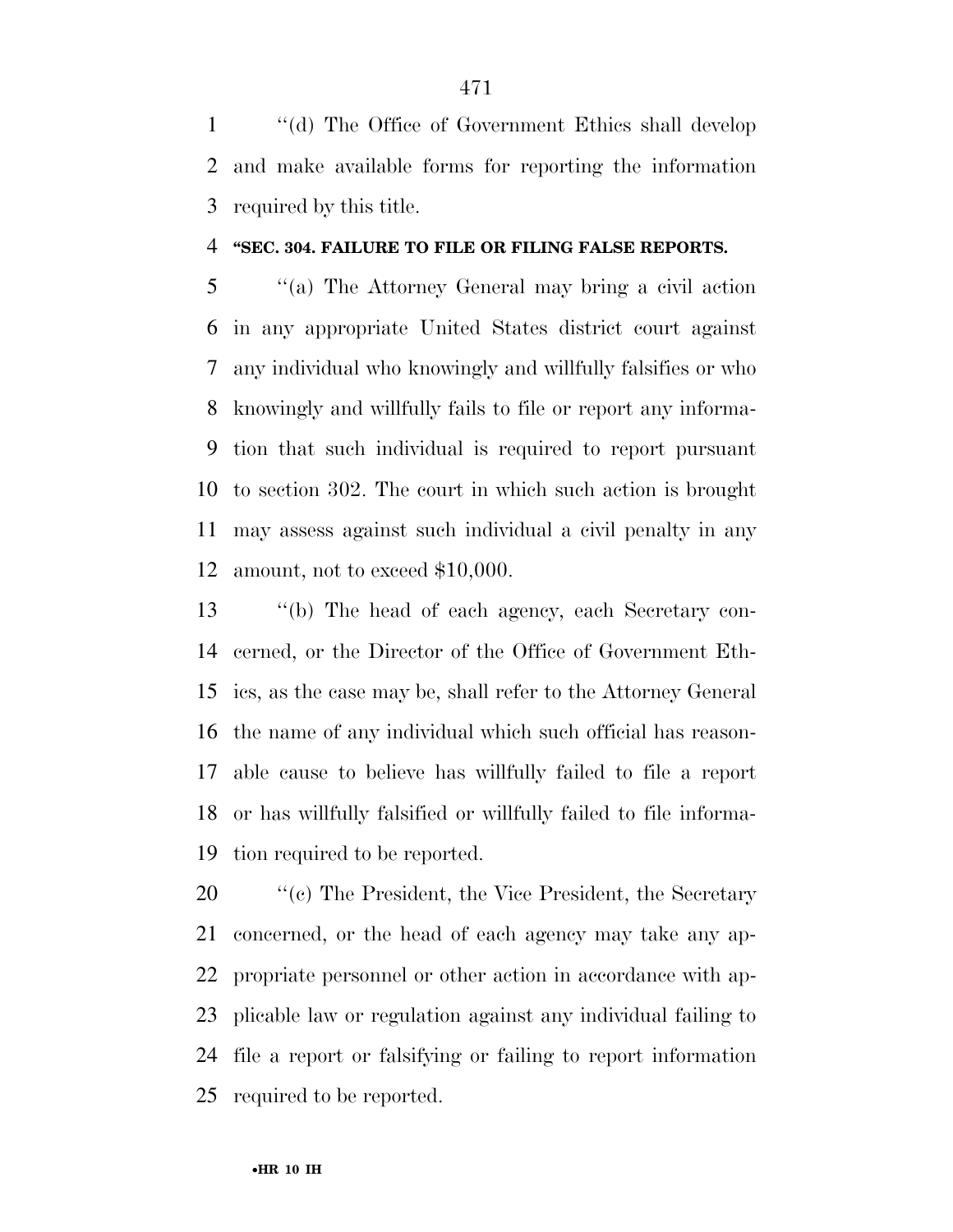''(d) The Office of Government Ethics shall develop and make available forms for reporting the information required by this title.

#### **''SEC. 304. FAILURE TO FILE OR FILING FALSE REPORTS.**

 ''(a) The Attorney General may bring a civil action in any appropriate United States district court against any individual who knowingly and willfully falsifies or who knowingly and willfully fails to file or report any informa- tion that such individual is required to report pursuant to section 302. The court in which such action is brought may assess against such individual a civil penalty in any amount, not to exceed \$10,000.

 ''(b) The head of each agency, each Secretary con- cerned, or the Director of the Office of Government Eth- ics, as the case may be, shall refer to the Attorney General the name of any individual which such official has reason- able cause to believe has willfully failed to file a report or has willfully falsified or willfully failed to file informa-tion required to be reported.

 $\cdot$  "(c) The President, the Vice President, the Secretary concerned, or the head of each agency may take any ap- propriate personnel or other action in accordance with ap- plicable law or regulation against any individual failing to file a report or falsifying or failing to report information required to be reported.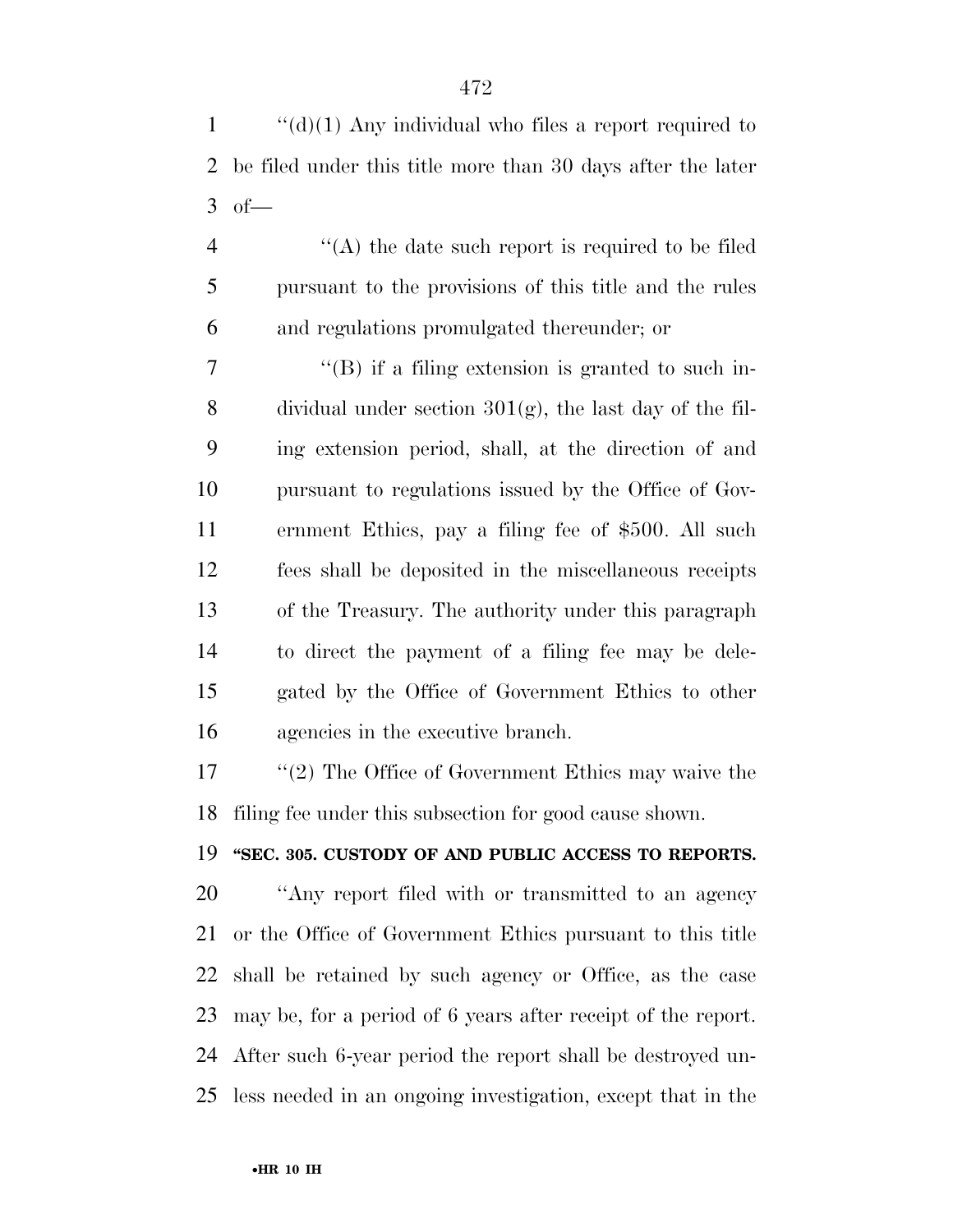1  $\langle d \rangle$ (1) Any individual who files a report required to be filed under this title more than 30 days after the later of—

 ''(A) the date such report is required to be filed pursuant to the provisions of this title and the rules and regulations promulgated thereunder; or

 ''(B) if a filing extension is granted to such in-8 dividual under section  $301(g)$ , the last day of the fil- ing extension period, shall, at the direction of and pursuant to regulations issued by the Office of Gov- ernment Ethics, pay a filing fee of \$500. All such fees shall be deposited in the miscellaneous receipts of the Treasury. The authority under this paragraph to direct the payment of a filing fee may be dele- gated by the Office of Government Ethics to other agencies in the executive branch.

 ''(2) The Office of Government Ethics may waive the filing fee under this subsection for good cause shown.

**''SEC. 305. CUSTODY OF AND PUBLIC ACCESS TO REPORTS.** 

 ''Any report filed with or transmitted to an agency or the Office of Government Ethics pursuant to this title shall be retained by such agency or Office, as the case may be, for a period of 6 years after receipt of the report. After such 6-year period the report shall be destroyed un-less needed in an ongoing investigation, except that in the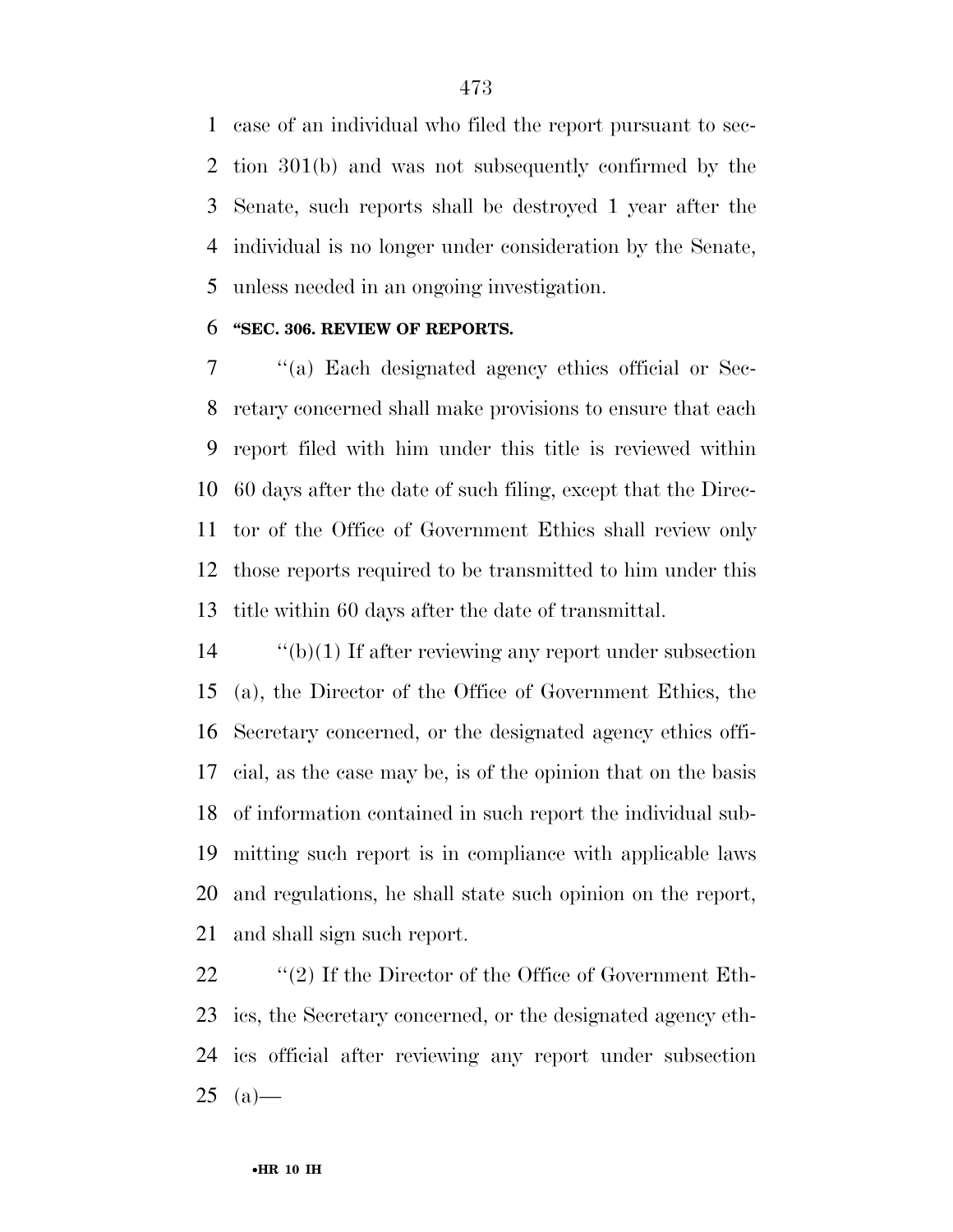case of an individual who filed the report pursuant to sec- tion 301(b) and was not subsequently confirmed by the Senate, such reports shall be destroyed 1 year after the individual is no longer under consideration by the Senate, unless needed in an ongoing investigation.

#### **''SEC. 306. REVIEW OF REPORTS.**

 ''(a) Each designated agency ethics official or Sec- retary concerned shall make provisions to ensure that each report filed with him under this title is reviewed within 60 days after the date of such filing, except that the Direc- tor of the Office of Government Ethics shall review only those reports required to be transmitted to him under this title within 60 days after the date of transmittal.

 ''(b)(1) If after reviewing any report under subsection (a), the Director of the Office of Government Ethics, the Secretary concerned, or the designated agency ethics offi- cial, as the case may be, is of the opinion that on the basis of information contained in such report the individual sub- mitting such report is in compliance with applicable laws and regulations, he shall state such opinion on the report, and shall sign such report.

 $\qquad$  "(2) If the Director of the Office of Government Eth- ics, the Secretary concerned, or the designated agency eth- ics official after reviewing any report under subsection (a) —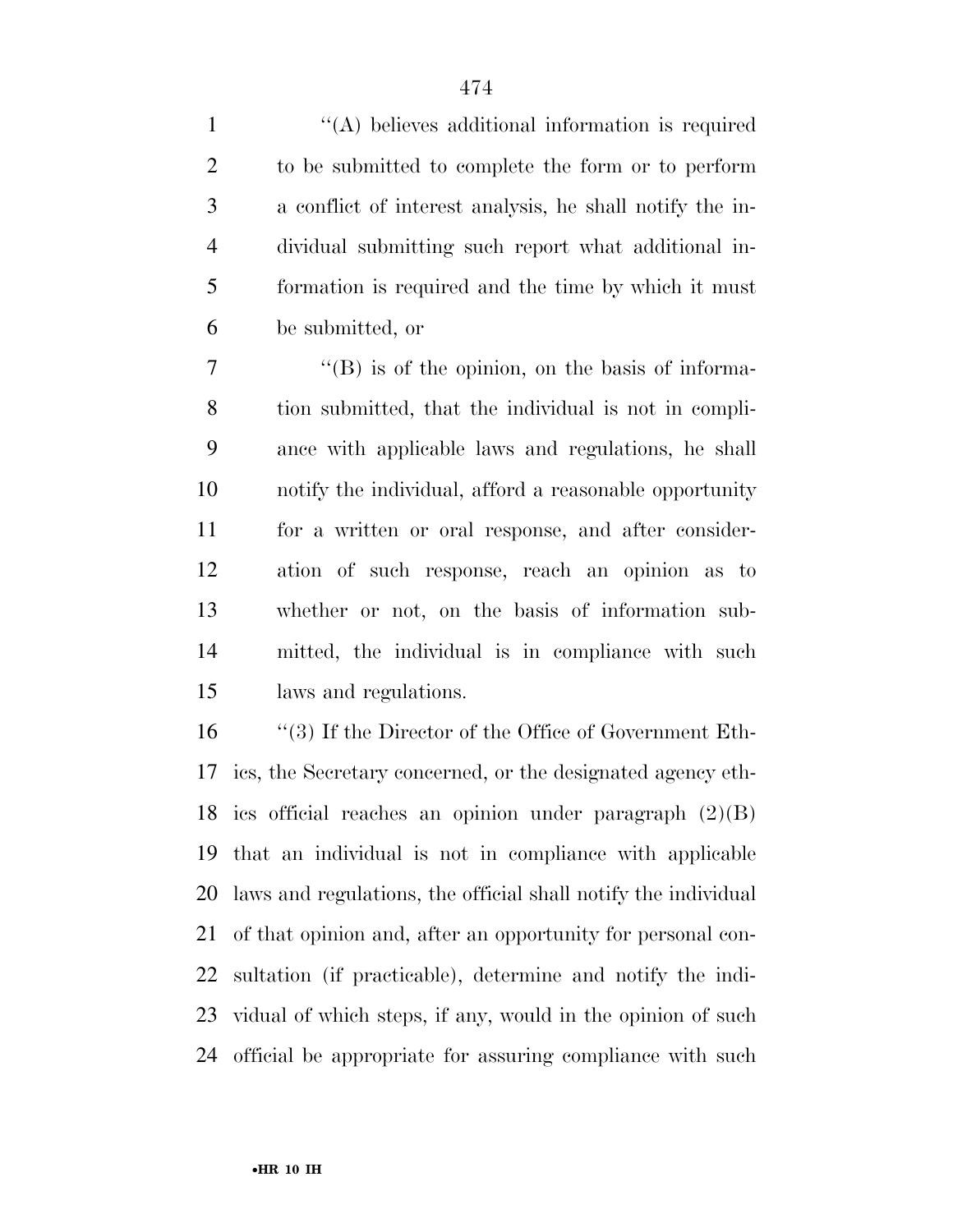1 ''(A) believes additional information is required to be submitted to complete the form or to perform a conflict of interest analysis, he shall notify the in- dividual submitting such report what additional in- formation is required and the time by which it must be submitted, or

 $\langle$  (B) is of the opinion, on the basis of informa- tion submitted, that the individual is not in compli- ance with applicable laws and regulations, he shall notify the individual, afford a reasonable opportunity for a written or oral response, and after consider- ation of such response, reach an opinion as to whether or not, on the basis of information sub- mitted, the individual is in compliance with such laws and regulations.

 ''(3) If the Director of the Office of Government Eth- ics, the Secretary concerned, or the designated agency eth- ics official reaches an opinion under paragraph (2)(B) that an individual is not in compliance with applicable laws and regulations, the official shall notify the individual of that opinion and, after an opportunity for personal con- sultation (if practicable), determine and notify the indi- vidual of which steps, if any, would in the opinion of such official be appropriate for assuring compliance with such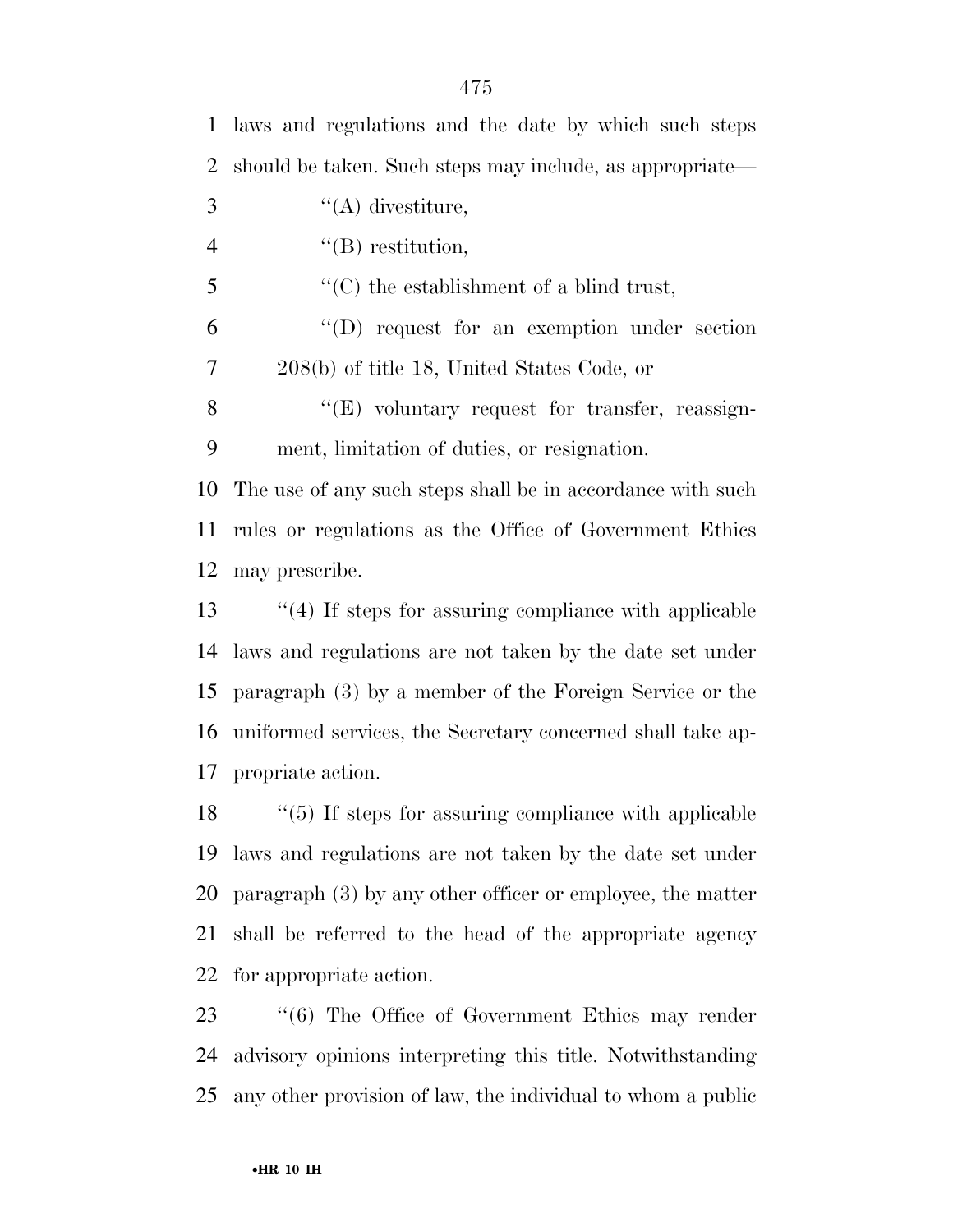| $\mathbf{1}$   | laws and regulations and the date by which such steps        |
|----------------|--------------------------------------------------------------|
| $\overline{2}$ | should be taken. Such steps may include, as appropriate—     |
| 3              | $\lq\lq$ divestiture,                                        |
| $\overline{4}$ | $\lq\lq(B)$ restitution,                                     |
| 5              | $\lq\lq$ (C) the establishment of a blind trust,             |
| 6              | "(D) request for an exemption under section                  |
| $\overline{7}$ | 208(b) of title 18, United States Code, or                   |
| 8              | $\lq\lq(E)$ voluntary request for transfer, reassign-        |
| 9              | ment, limitation of duties, or resignation.                  |
| 10             | The use of any such steps shall be in accordance with such   |
| 11             | rules or regulations as the Office of Government Ethics      |
| 12             | may prescribe.                                               |
| 13             | $\lq(4)$ If steps for assuring compliance with applicable    |
| 14             | laws and regulations are not taken by the date set under     |
| 15             | paragraph (3) by a member of the Foreign Service or the      |
| 16             | uniformed services, the Secretary concerned shall take ap-   |
| 17             | propriate action.                                            |
| 18             | $\lq(5)$ If steps for assuring compliance with applicable    |
| 19             | laws and regulations are not taken by the date set under     |
| 20             | paragraph $(3)$ by any other officer or employee, the matter |

for appropriate action.

 ''(6) The Office of Government Ethics may render advisory opinions interpreting this title. Notwithstanding any other provision of law, the individual to whom a public

shall be referred to the head of the appropriate agency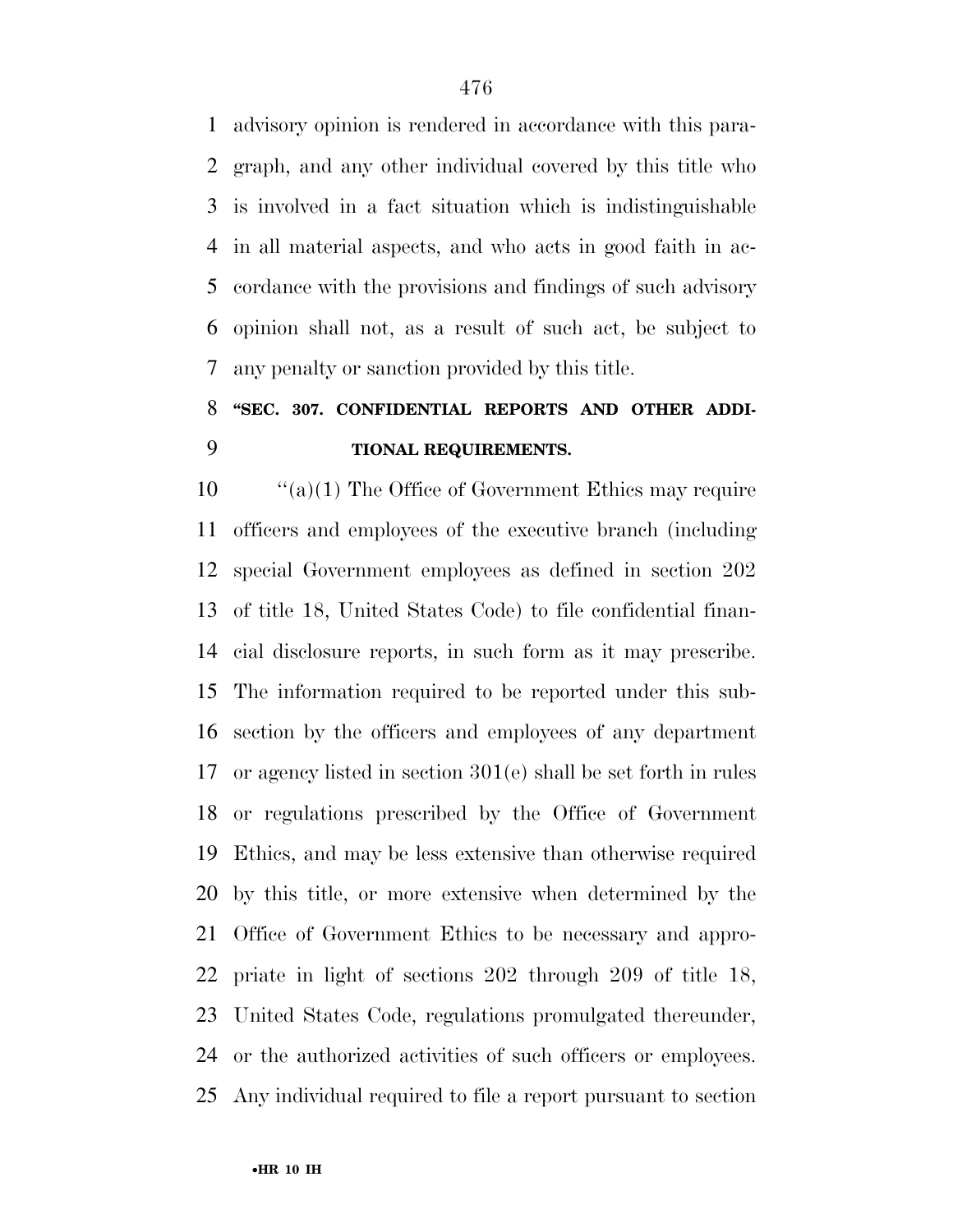advisory opinion is rendered in accordance with this para- graph, and any other individual covered by this title who is involved in a fact situation which is indistinguishable in all material aspects, and who acts in good faith in ac- cordance with the provisions and findings of such advisory opinion shall not, as a result of such act, be subject to any penalty or sanction provided by this title.

## **''SEC. 307. CONFIDENTIAL REPORTS AND OTHER ADDI-TIONAL REQUIREMENTS.**

 ''(a)(1) The Office of Government Ethics may require officers and employees of the executive branch (including special Government employees as defined in section 202 of title 18, United States Code) to file confidential finan- cial disclosure reports, in such form as it may prescribe. The information required to be reported under this sub- section by the officers and employees of any department or agency listed in section 301(e) shall be set forth in rules or regulations prescribed by the Office of Government Ethics, and may be less extensive than otherwise required by this title, or more extensive when determined by the Office of Government Ethics to be necessary and appro- priate in light of sections 202 through 209 of title 18, United States Code, regulations promulgated thereunder, or the authorized activities of such officers or employees. Any individual required to file a report pursuant to section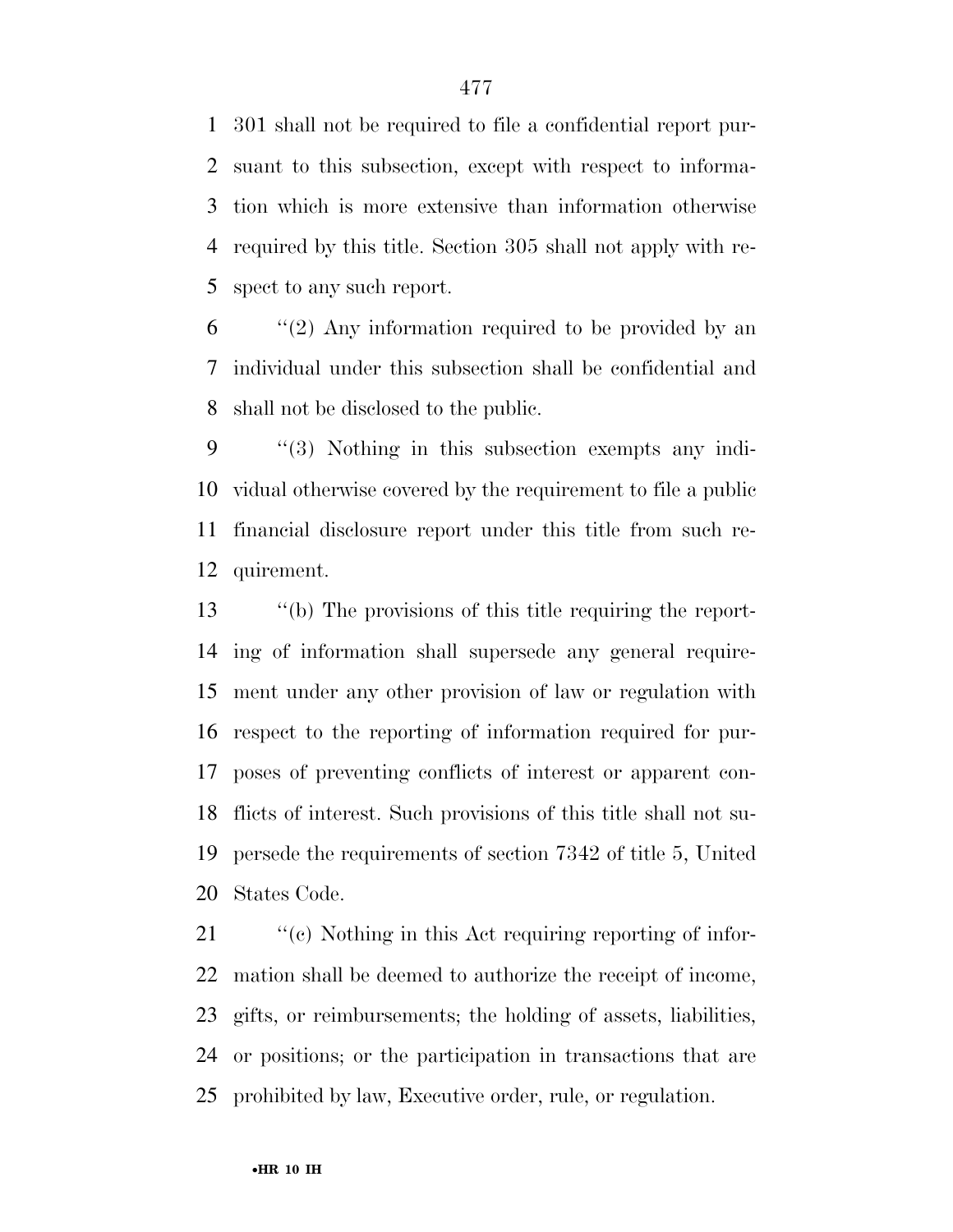301 shall not be required to file a confidential report pur- suant to this subsection, except with respect to informa- tion which is more extensive than information otherwise required by this title. Section 305 shall not apply with re-spect to any such report.

 "(2) Any information required to be provided by an individual under this subsection shall be confidential and shall not be disclosed to the public.

 ''(3) Nothing in this subsection exempts any indi- vidual otherwise covered by the requirement to file a public financial disclosure report under this title from such re-quirement.

 ''(b) The provisions of this title requiring the report- ing of information shall supersede any general require- ment under any other provision of law or regulation with respect to the reporting of information required for pur- poses of preventing conflicts of interest or apparent con- flicts of interest. Such provisions of this title shall not su- persede the requirements of section 7342 of title 5, United States Code.

 $\frac{1}{2}$  (c) Nothing in this Act requiring reporting of infor- mation shall be deemed to authorize the receipt of income, gifts, or reimbursements; the holding of assets, liabilities, or positions; or the participation in transactions that are prohibited by law, Executive order, rule, or regulation.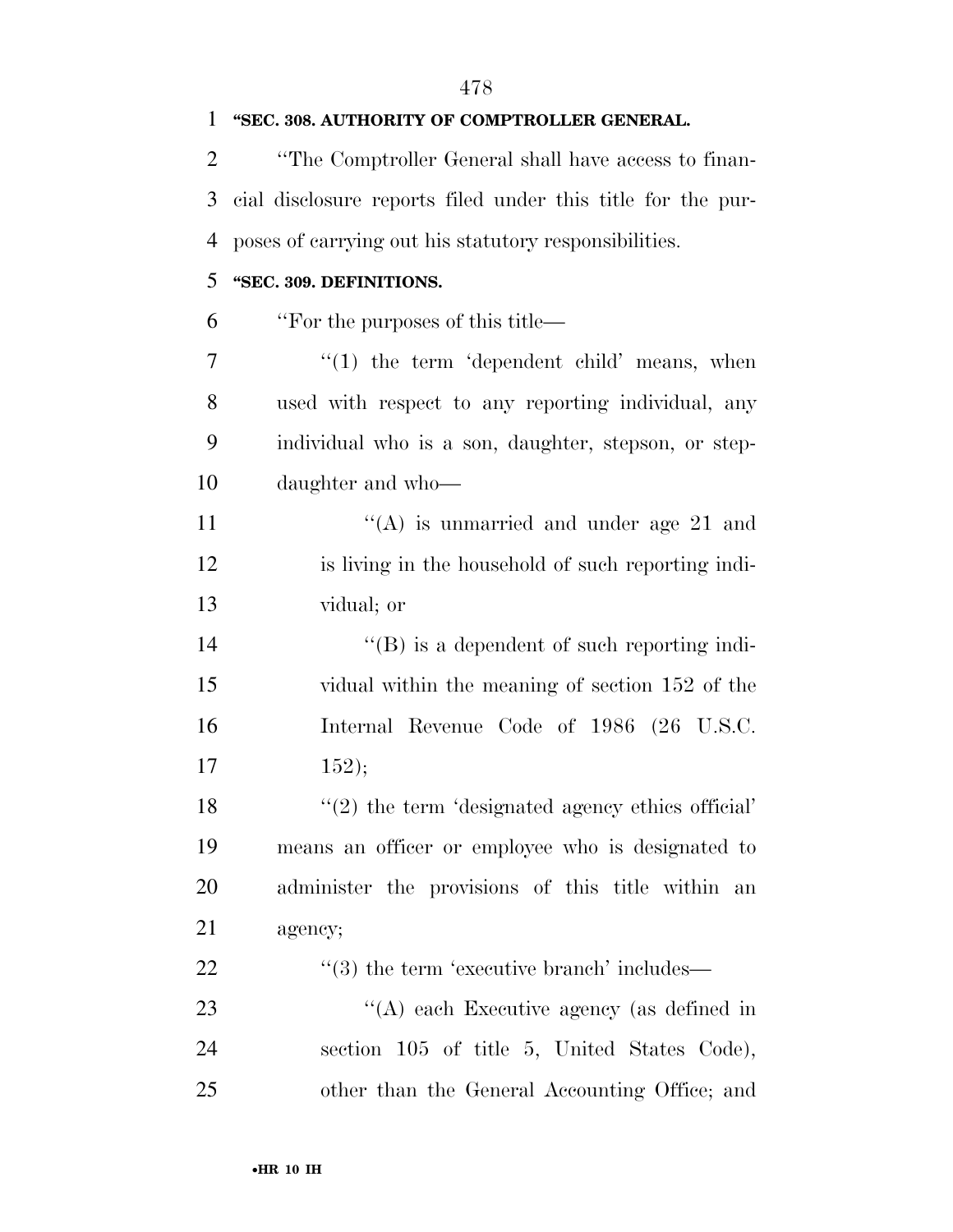| 1              | "SEC. 308. AUTHORITY OF COMPTROLLER GENERAL.                |
|----------------|-------------------------------------------------------------|
| $\overline{2}$ | "The Comptroller General shall have access to finan-        |
| 3              | cial disclosure reports filed under this title for the pur- |
| $\overline{4}$ | poses of carrying out his statutory responsibilities.       |
| 5              | "SEC. 309. DEFINITIONS.                                     |
| 6              | "For the purposes of this title—                            |
| 7              | $\lq(1)$ the term 'dependent child' means, when             |
| 8              | used with respect to any reporting individual, any          |
| 9              | individual who is a son, daughter, stepson, or step-        |
| 10             | daughter and who-                                           |
| 11             | "(A) is unmarried and under age 21 and                      |
| 12             | is living in the household of such reporting indi-          |
| 13             | vidual; or                                                  |
| 14             | $\lq\lq (B)$ is a dependent of such reporting indi-         |
| 15             | vidual within the meaning of section 152 of the             |
| 16             | Internal Revenue Code of 1986 (26 U.S.C.                    |
| 17             | 152);                                                       |
| 18             | $\lq(2)$ the term 'designated agency ethics official'       |
| 19             | means an officer or employee who is designated to           |
| 20             | administer the provisions of this title within<br>an        |
| 21             | agency;                                                     |
| 22             | $\cdot\cdot\cdot(3)$ the term 'executive branch' includes—  |
| 23             | "(A) each Executive agency (as defined in                   |
| 24             | section 105 of title 5, United States Code),                |
| 25             | other than the General Accounting Office; and               |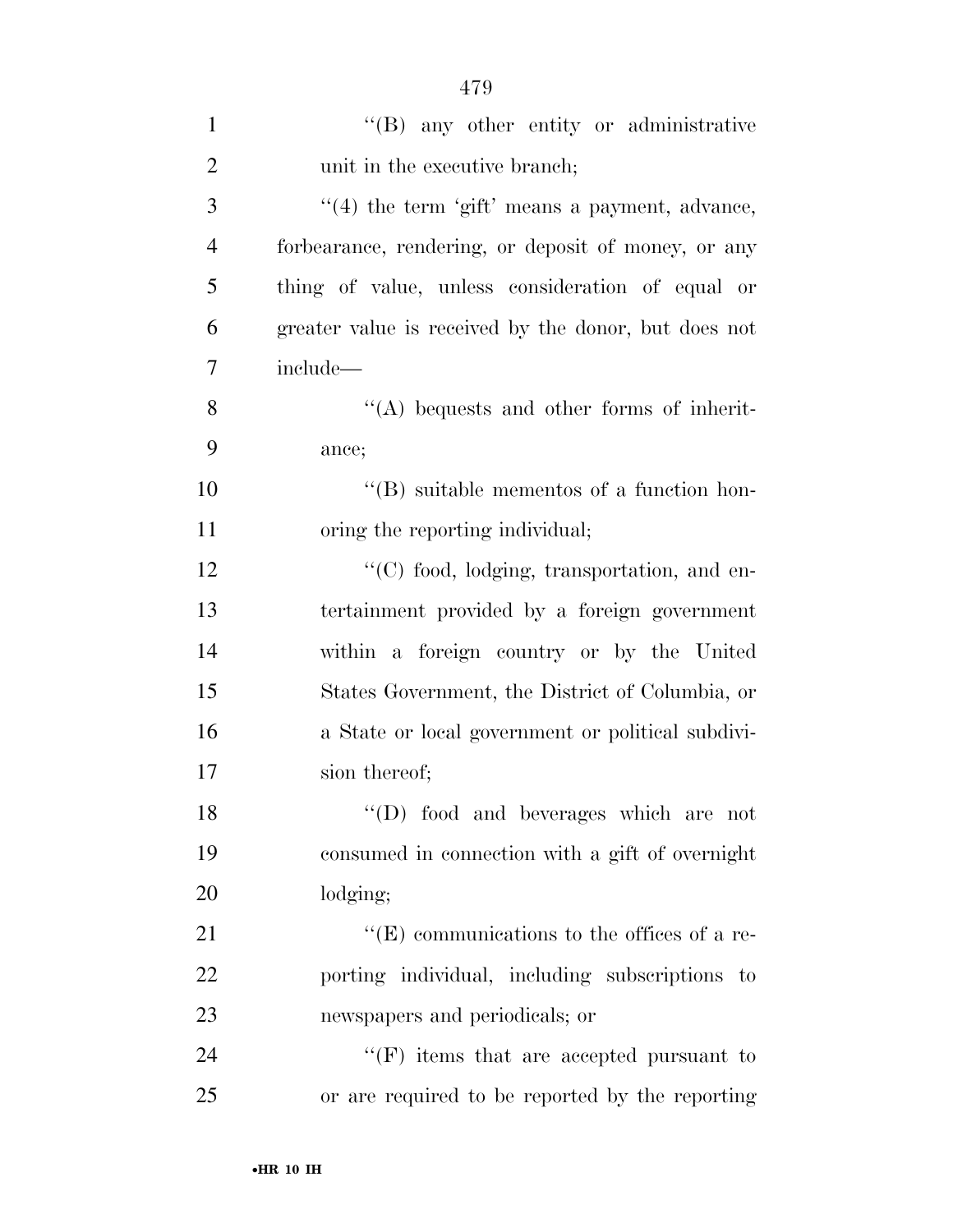| $\mathbf{1}$   | "(B) any other entity or administrative              |
|----------------|------------------------------------------------------|
| $\overline{2}$ | unit in the executive branch;                        |
| 3              | $\lq(4)$ the term 'gift' means a payment, advance,   |
| $\overline{4}$ | forbearance, rendering, or deposit of money, or any  |
| 5              | thing of value, unless consideration of equal or     |
| 6              | greater value is received by the donor, but does not |
| 7              | include-                                             |
| 8              | $\lq\lq$ bequests and other forms of inherit-        |
| 9              | ance;                                                |
| 10             | $\lq\lq (B)$ suitable mementos of a function hon-    |
| 11             | oring the reporting individual;                      |
| 12             | "(C) food, lodging, transportation, and en-          |
| 13             | tertainment provided by a foreign government         |
| 14             | within a foreign country or by the United            |
| 15             | States Government, the District of Columbia, or      |
| 16             | a State or local government or political subdivi-    |
| 17             | sion thereof;                                        |
| 18             | "(D) food and beverages which are not                |
| 19             | consumed in connection with a gift of overnight      |
| 20             | lodging;                                             |
| 21             | "(E) communications to the offices of a re-          |
| 22             | porting individual, including subscriptions to       |
| 23             | newspapers and periodicals; or                       |
| 24             | $\lq\lq(F)$ items that are accepted pursuant to      |
| 25             | or are required to be reported by the reporting      |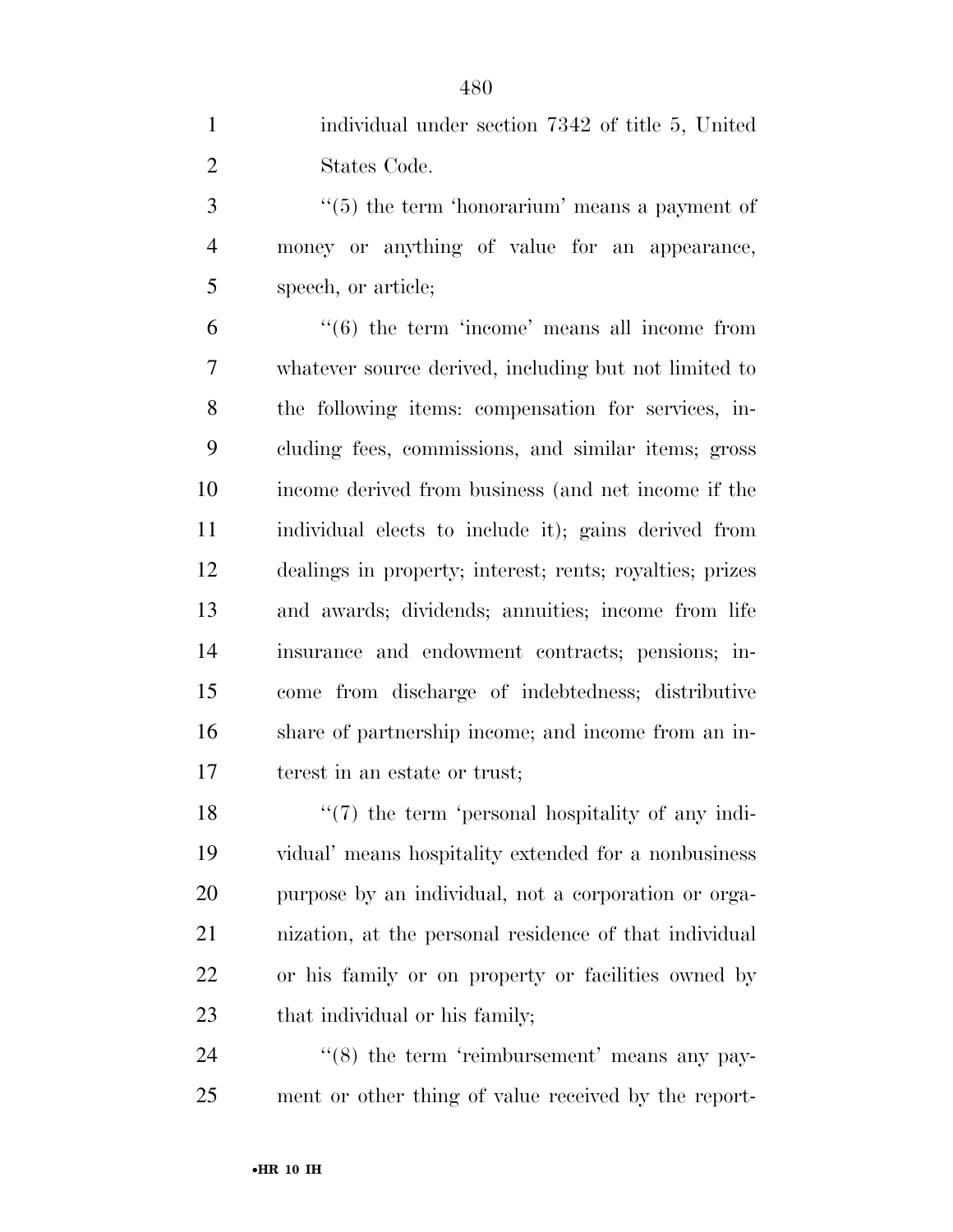individual under section 7342 of title 5, United States Code.

3 ''(5) the term 'honorarium' means a payment of money or anything of value for an appearance, speech, or article;

 "'(6) the term 'income' means all income from whatever source derived, including but not limited to the following items: compensation for services, in- cluding fees, commissions, and similar items; gross income derived from business (and net income if the individual elects to include it); gains derived from dealings in property; interest; rents; royalties; prizes and awards; dividends; annuities; income from life insurance and endowment contracts; pensions; in- come from discharge of indebtedness; distributive share of partnership income; and income from an in-terest in an estate or trust;

 $\frac{1}{2}$  (7) the term 'personal hospitality of any indi- vidual' means hospitality extended for a nonbusiness purpose by an individual, not a corporation or orga- nization, at the personal residence of that individual or his family or on property or facilities owned by that individual or his family;

24 "(8) the term 'reimbursement' means any pay-ment or other thing of value received by the report-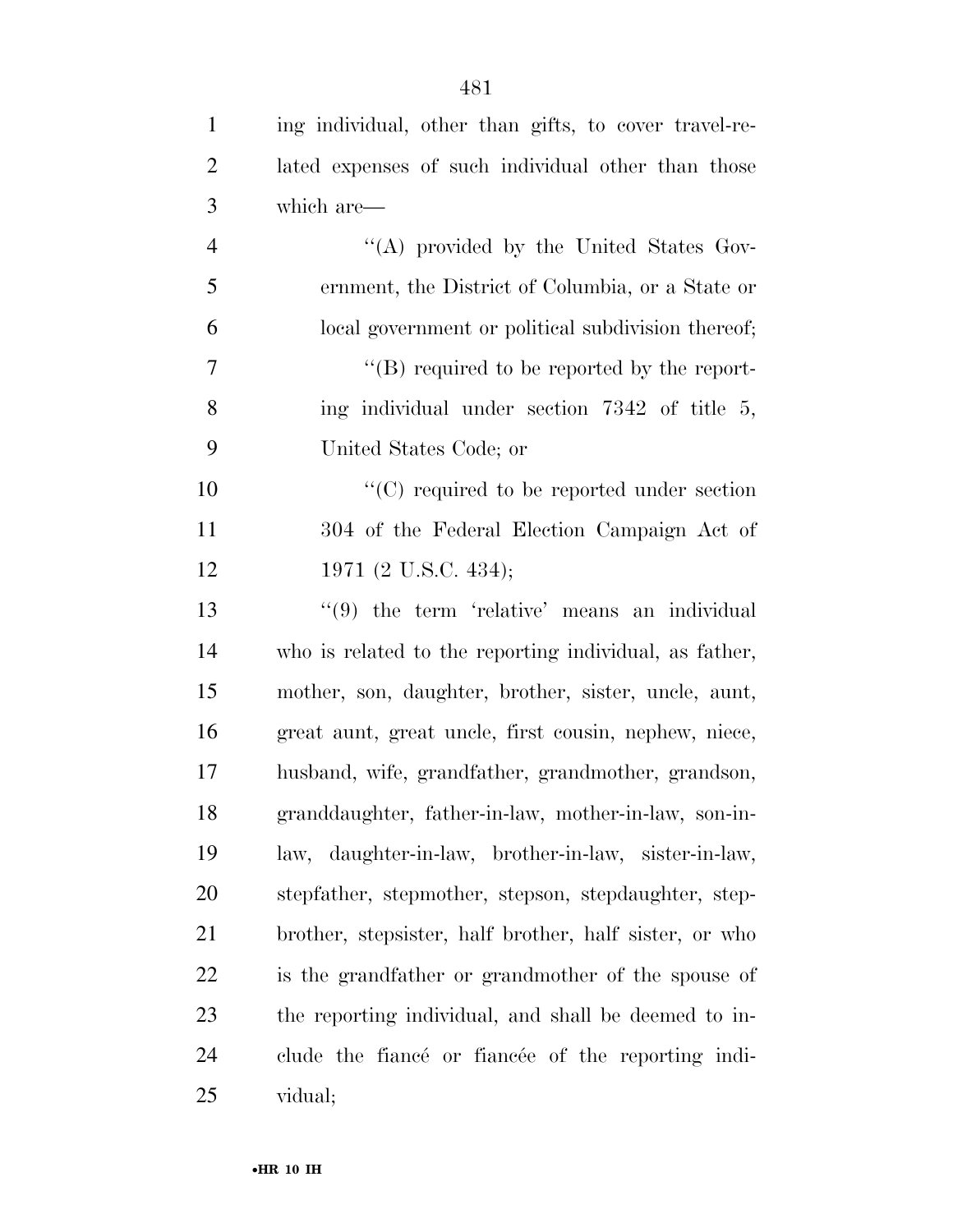| $\mathbf{1}$   | ing individual, other than gifts, to cover travel-re-        |
|----------------|--------------------------------------------------------------|
| $\overline{2}$ | lated expenses of such individual other than those           |
| 3              | which are—                                                   |
| $\overline{4}$ | "(A) provided by the United States Gov-                      |
| 5              | ernment, the District of Columbia, or a State or             |
| 6              | local government or political subdivision thereof;           |
| 7              | $\lq\lq (B)$ required to be reported by the report-          |
| 8              | ing individual under section 7342 of title 5,                |
| 9              | United States Code; or                                       |
| 10             | $\lq\lq$ required to be reported under section               |
| 11             | 304 of the Federal Election Campaign Act of                  |
| 12             | 1971 (2 U.S.C. 434);                                         |
| 13             | $\cdot\cdot\cdot(9)$ the term 'relative' means an individual |
| 14             | who is related to the reporting individual, as father,       |
| 15             | mother, son, daughter, brother, sister, uncle, aunt,         |
| 16             | great aunt, great uncle, first cousin, nephew, niece,        |
| 17             | husband, wife, grandfather, grandmother, grandson,           |
| 18             | granddaughter, father-in-law, mother-in-law, son-in-         |
| 19             | law, daughter-in-law, brother-in-law, sister-in-law,         |
| <b>20</b>      | stepfather, stepmother, stepson, stepdaughter, step-         |
| 21             | brother, stepsister, half brother, half sister, or who       |
| 22             | is the grandfather or grandmother of the spouse of           |
| 23             | the reporting individual, and shall be deemed to in-         |
| 24             | clude the fiance or fiance of the reporting indi-            |
| 25             | vidual;                                                      |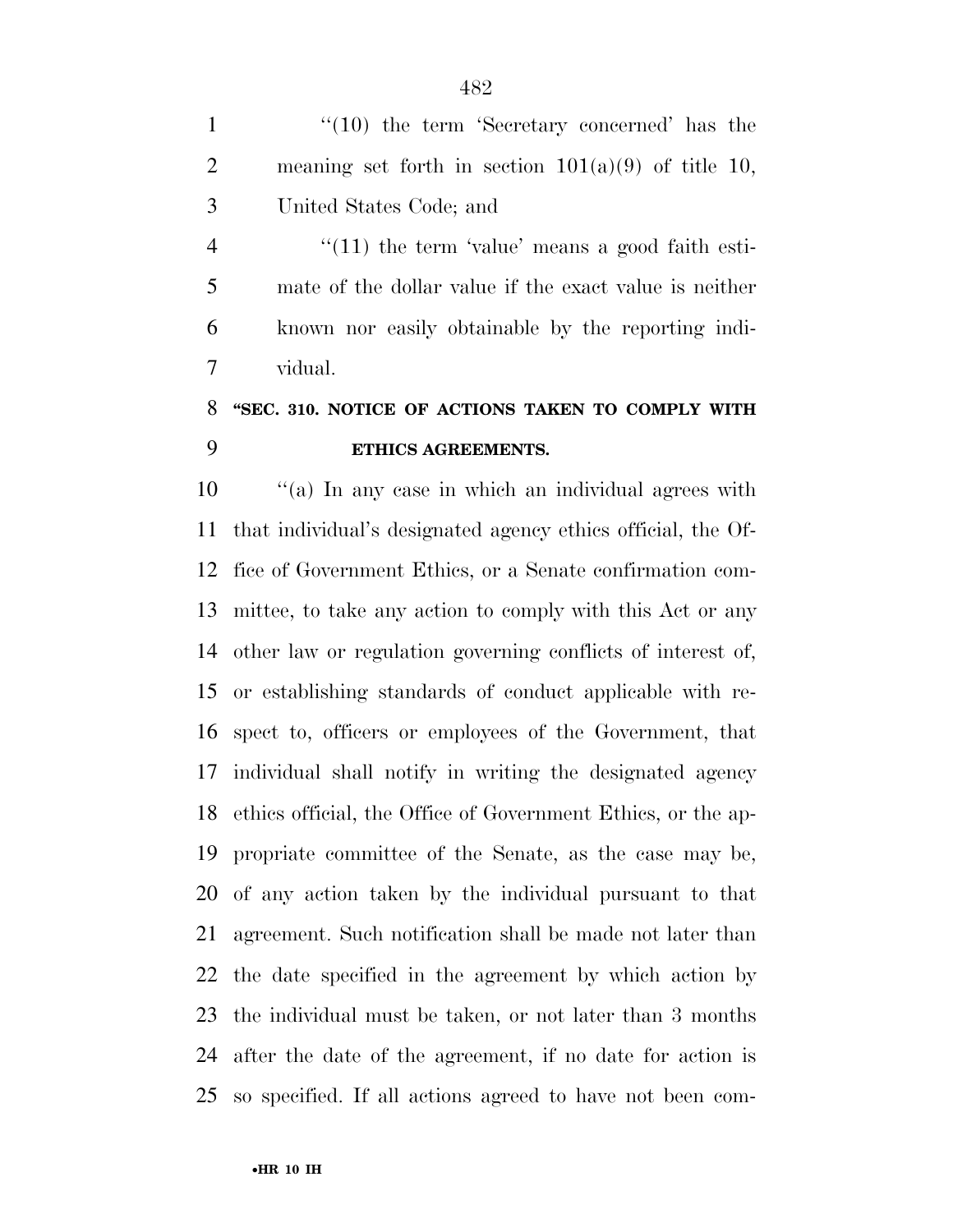1 ''(10) the term 'Secretary concerned' has the 2 meaning set forth in section  $101(a)(9)$  of title 10, United States Code; and

4 "(11) the term 'value' means a good faith esti- mate of the dollar value if the exact value is neither known nor easily obtainable by the reporting indi-vidual.

## **''SEC. 310. NOTICE OF ACTIONS TAKEN TO COMPLY WITH ETHICS AGREEMENTS.**

 ''(a) In any case in which an individual agrees with that individual's designated agency ethics official, the Of- fice of Government Ethics, or a Senate confirmation com- mittee, to take any action to comply with this Act or any other law or regulation governing conflicts of interest of, or establishing standards of conduct applicable with re- spect to, officers or employees of the Government, that individual shall notify in writing the designated agency ethics official, the Office of Government Ethics, or the ap- propriate committee of the Senate, as the case may be, of any action taken by the individual pursuant to that agreement. Such notification shall be made not later than the date specified in the agreement by which action by the individual must be taken, or not later than 3 months after the date of the agreement, if no date for action is so specified. If all actions agreed to have not been com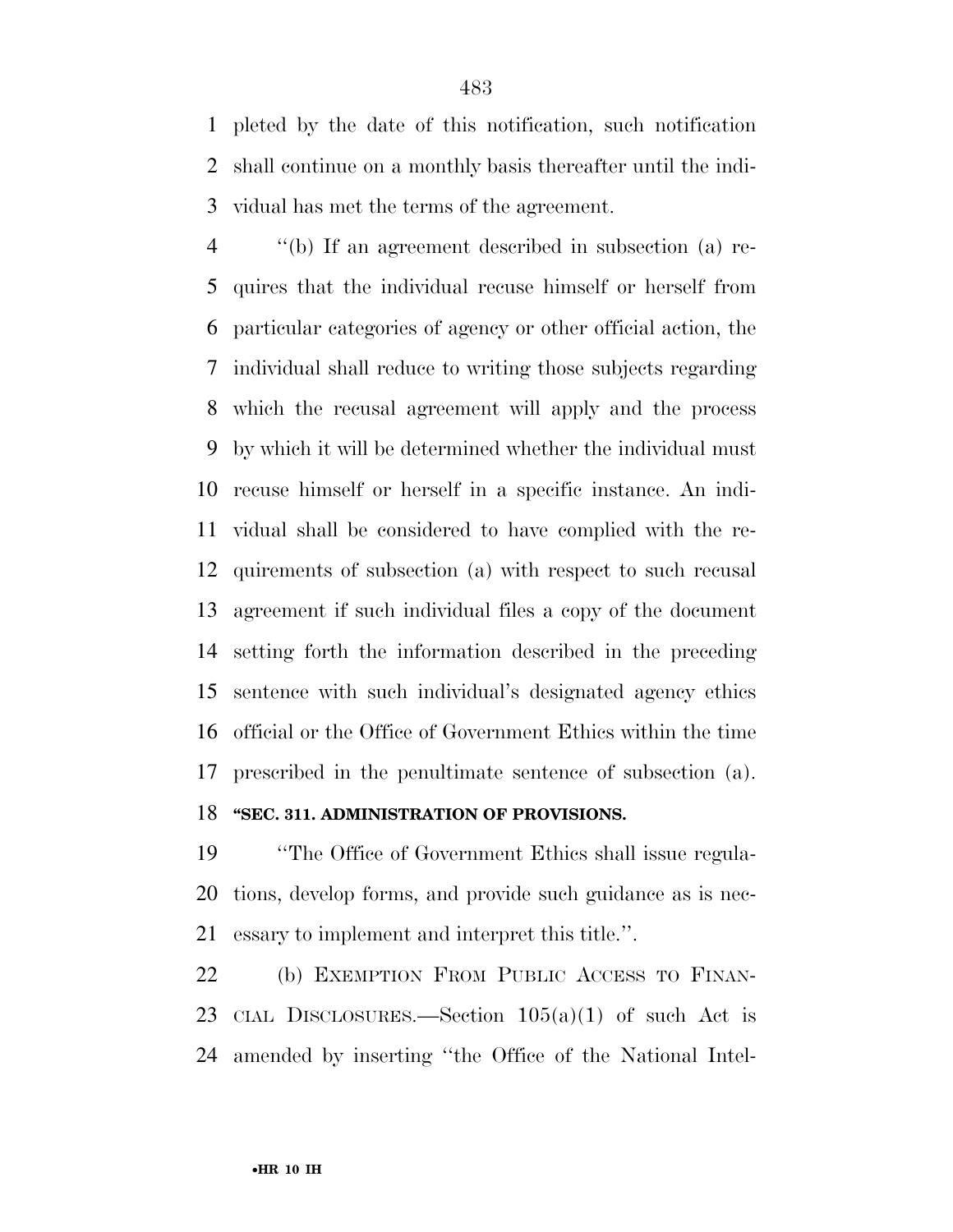pleted by the date of this notification, such notification shall continue on a monthly basis thereafter until the indi-vidual has met the terms of the agreement.

 ''(b) If an agreement described in subsection (a) re- quires that the individual recuse himself or herself from particular categories of agency or other official action, the individual shall reduce to writing those subjects regarding which the recusal agreement will apply and the process by which it will be determined whether the individual must recuse himself or herself in a specific instance. An indi- vidual shall be considered to have complied with the re- quirements of subsection (a) with respect to such recusal agreement if such individual files a copy of the document setting forth the information described in the preceding sentence with such individual's designated agency ethics official or the Office of Government Ethics within the time prescribed in the penultimate sentence of subsection (a). **''SEC. 311. ADMINISTRATION OF PROVISIONS.** 

 ''The Office of Government Ethics shall issue regula- tions, develop forms, and provide such guidance as is nec-essary to implement and interpret this title.''.

 (b) EXEMPTION FROM PUBLIC ACCESS TO FINAN- CIAL DISCLOSURES.—Section 105(a)(1) of such Act is amended by inserting ''the Office of the National Intel-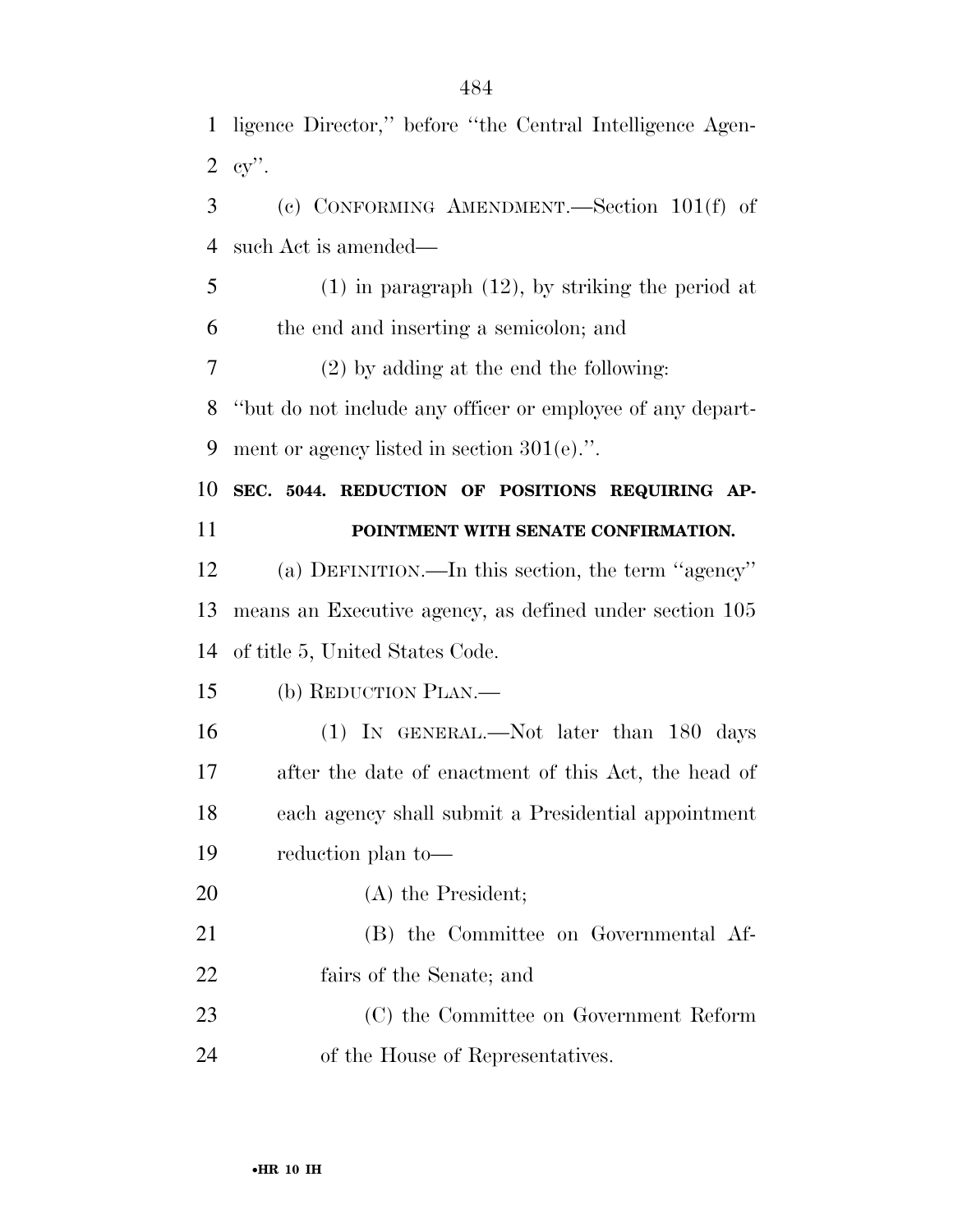| $\mathbf{1}$   | ligence Director," before "the Central Intelligence Agen-  |
|----------------|------------------------------------------------------------|
| $\overline{2}$ | $cy$ .                                                     |
| 3              | (c) CONFORMING AMENDMENT. Section $101(f)$ of              |
| $\overline{4}$ | such Act is amended—                                       |
| 5              | $(1)$ in paragraph $(12)$ , by striking the period at      |
| 6              | the end and inserting a semicolon; and                     |
| $\tau$         | $(2)$ by adding at the end the following:                  |
| 8              | "but do not include any officer or employee of any depart- |
| 9              | ment or agency listed in section $301(e)$ .".              |
| 10             | SEC. 5044. REDUCTION OF POSITIONS REQUIRING AP-            |
| 11             | POINTMENT WITH SENATE CONFIRMATION.                        |
| 12             | (a) DEFINITION.—In this section, the term "agency"         |
| 13             | means an Executive agency, as defined under section 105    |
| 14             | of title 5, United States Code.                            |
| 15             | (b) REDUCTION PLAN.—                                       |
| 16             | (1) IN GENERAL.—Not later than 180 days                    |
| 17             |                                                            |
|                | after the date of enactment of this Act, the head of       |
| 18             | each agency shall submit a Presidential appointment        |
| 19             | reduction plan to-                                         |
| 20             | (A) the President;                                         |
| 21             | (B) the Committee on Governmental Af-                      |
| 22             | fairs of the Senate; and                                   |
| 23             | (C) the Committee on Government Reform                     |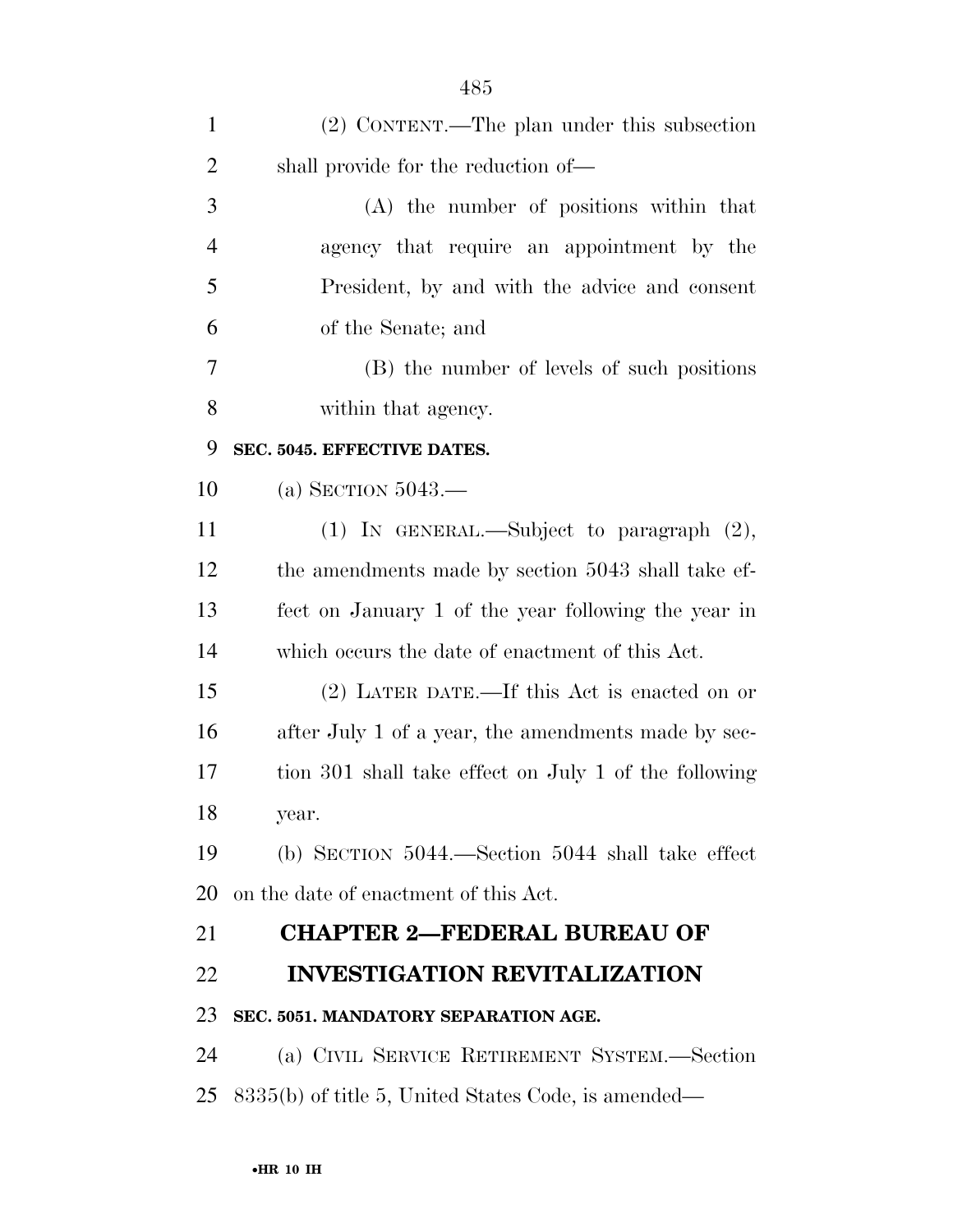| $\mathbf{1}$   | (2) CONTENT.—The plan under this subsection           |
|----------------|-------------------------------------------------------|
| $\overline{2}$ | shall provide for the reduction of—                   |
| 3              | (A) the number of positions within that               |
| $\overline{4}$ | agency that require an appointment by the             |
| 5              | President, by and with the advice and consent         |
| 6              | of the Senate; and                                    |
| 7              | (B) the number of levels of such positions            |
| 8              | within that agency.                                   |
| 9              | SEC. 5045. EFFECTIVE DATES.                           |
| 10             | (a) SECTION $5043$ .                                  |
| 11             | (1) IN GENERAL.—Subject to paragraph (2),             |
| 12             | the amendments made by section 5043 shall take ef-    |
| 13             | fect on January 1 of the year following the year in   |
| 14             | which occurs the date of enactment of this Act.       |
| 15             | (2) LATER DATE.—If this Act is enacted on or          |
| 16             | after July 1 of a year, the amendments made by sec-   |
| 17             | tion 301 shall take effect on July 1 of the following |
| 18             | year.                                                 |
| 19             | (b) SECTION $5044$ .—Section $5044$ shall take effect |
| 20             | on the date of enactment of this Act.                 |
| 21             | <b>CHAPTER 2-FEDERAL BUREAU OF</b>                    |
| 22             | <b>INVESTIGATION REVITALIZATION</b>                   |
| 23             | SEC. 5051. MANDATORY SEPARATION AGE.                  |
| 24             | (a) CIVIL SERVICE RETIREMENT SYSTEM.-Section          |
| 25             | 8335(b) of title 5, United States Code, is amended—   |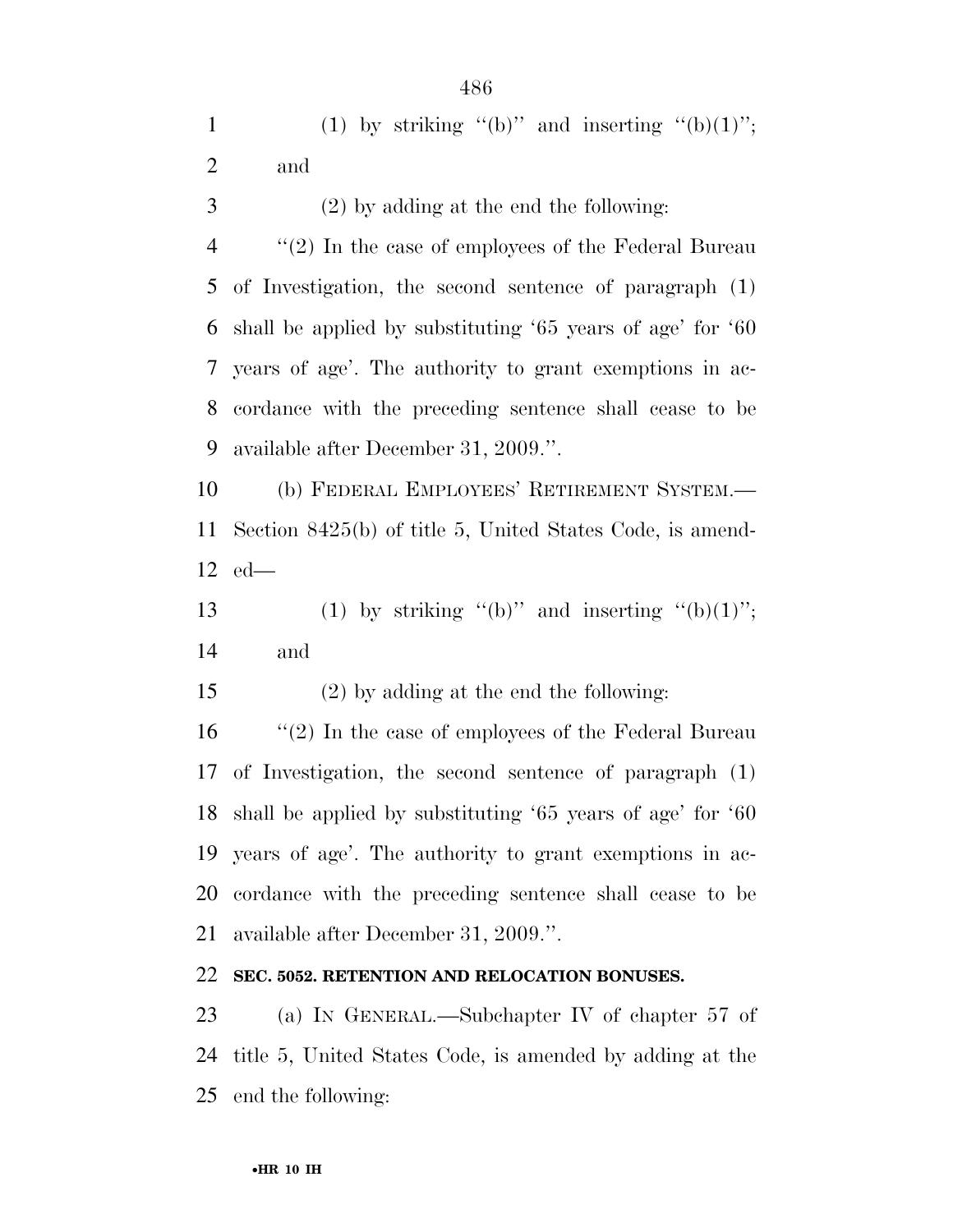- 
- (2) by adding at the end the following:

 ''(2) In the case of employees of the Federal Bureau of Investigation, the second sentence of paragraph (1) shall be applied by substituting '65 years of age' for '60 years of age'. The authority to grant exemptions in ac- cordance with the preceding sentence shall cease to be available after December 31, 2009.''.

 (b) FEDERAL EMPLOYEES' RETIREMENT SYSTEM.— Section 8425(b) of title 5, United States Code, is amend-ed—

13 (1) by striking "(b)" and inserting "(b)(1)"; and

(2) by adding at the end the following:

 ''(2) In the case of employees of the Federal Bureau of Investigation, the second sentence of paragraph (1) shall be applied by substituting '65 years of age' for '60 years of age'. The authority to grant exemptions in ac- cordance with the preceding sentence shall cease to be available after December 31, 2009.''.

## **SEC. 5052. RETENTION AND RELOCATION BONUSES.**

 (a) IN GENERAL.—Subchapter IV of chapter 57 of title 5, United States Code, is amended by adding at the end the following: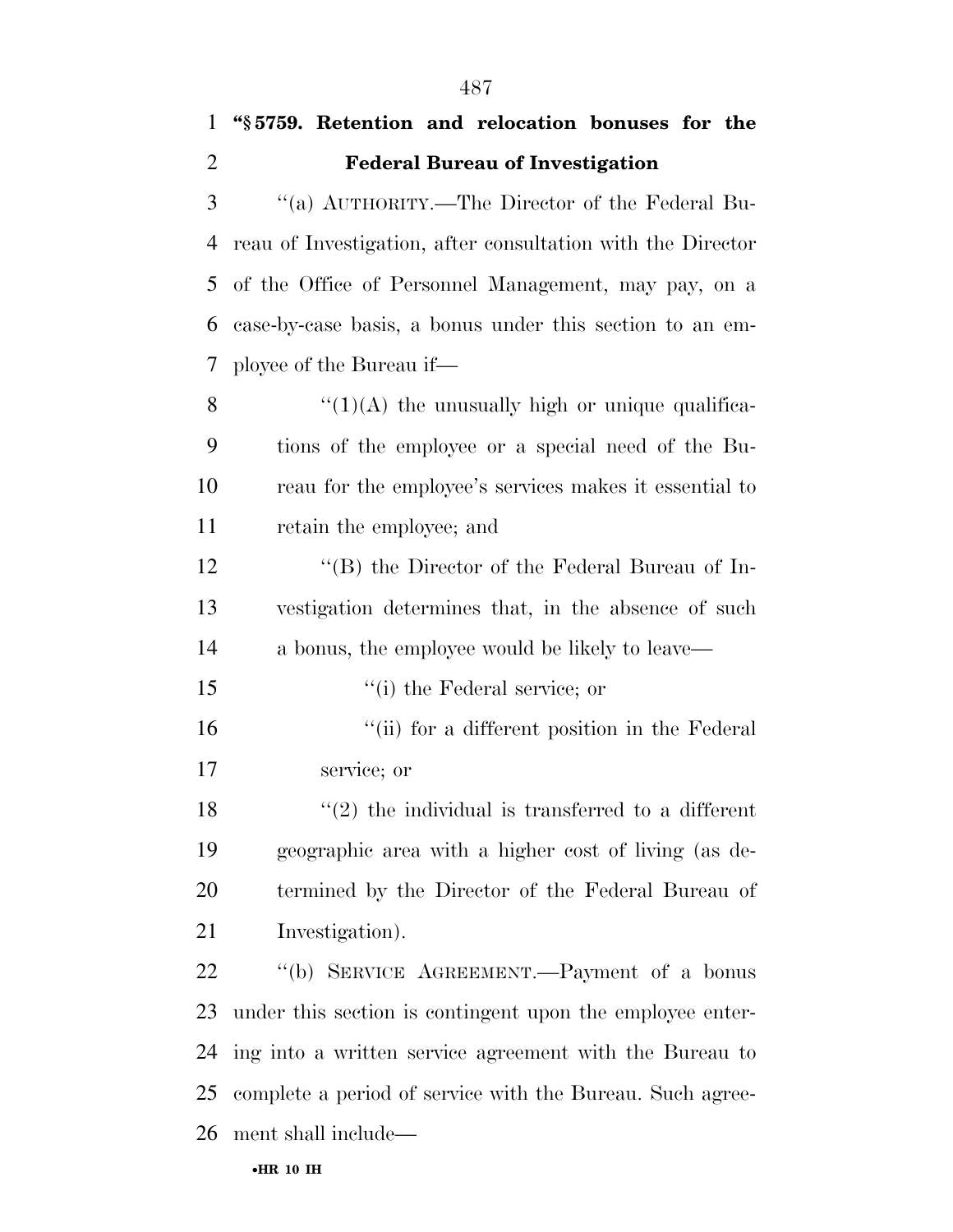## **''§ 5759. Retention and relocation bonuses for the Federal Bureau of Investigation**

 ''(a) AUTHORITY.—The Director of the Federal Bu- reau of Investigation, after consultation with the Director of the Office of Personnel Management, may pay, on a case-by-case basis, a bonus under this section to an em-ployee of the Bureau if—

 $\frac{u'(1)(A)}{A}$  the unusually high or unique qualifica- tions of the employee or a special need of the Bu- reau for the employee's services makes it essential to retain the employee; and

 ''(B) the Director of the Federal Bureau of In- vestigation determines that, in the absence of such a bonus, the employee would be likely to leave—

''(i) the Federal service; or

 ''(ii) for a different position in the Federal service; or

 $\frac{1}{2}$  the individual is transferred to a different geographic area with a higher cost of living (as de- termined by the Director of the Federal Bureau of Investigation).

 ''(b) SERVICE AGREEMENT.—Payment of a bonus under this section is contingent upon the employee enter- ing into a written service agreement with the Bureau to complete a period of service with the Bureau. Such agree-ment shall include—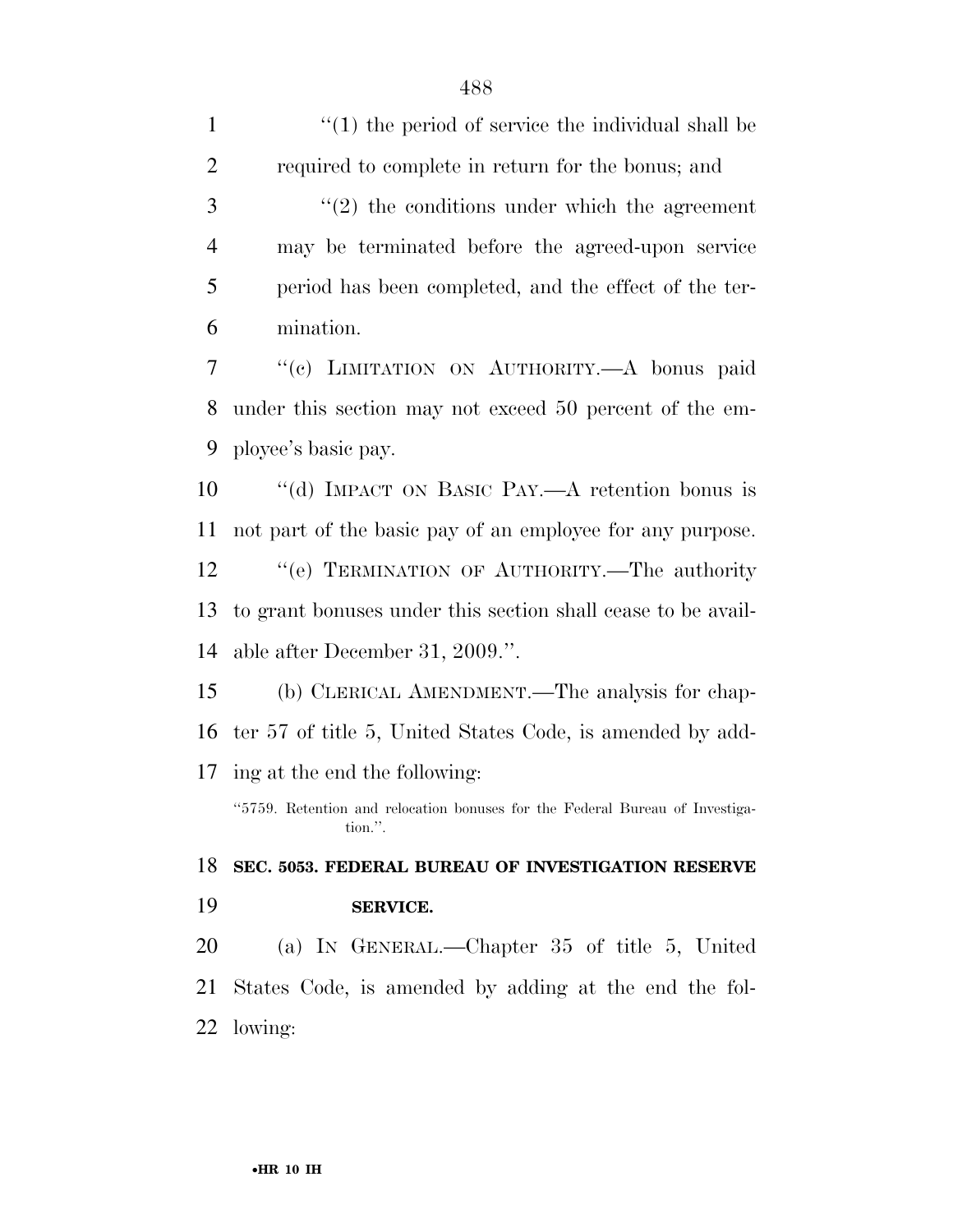$\frac{1}{1}$   $\frac{1}{1}$  the period of service the individual shall be required to complete in return for the bonus; and ''(2) the conditions under which the agreement may be terminated before the agreed-upon service period has been completed, and the effect of the ter- mination. ''(c) LIMITATION ON AUTHORITY.—A bonus paid under this section may not exceed 50 percent of the em- ployee's basic pay. ''(d) IMPACT ON BASIC PAY.—A retention bonus is not part of the basic pay of an employee for any purpose. 12 "'(e) TERMINATION OF AUTHORITY.—The authority to grant bonuses under this section shall cease to be avail- able after December 31, 2009.''. (b) CLERICAL AMENDMENT.—The analysis for chap- ter 57 of title 5, United States Code, is amended by add- ing at the end the following: ''5759. Retention and relocation bonuses for the Federal Bureau of Investigation.''. **SEC. 5053. FEDERAL BUREAU OF INVESTIGATION RESERVE SERVICE.**  (a) IN GENERAL.—Chapter 35 of title 5, United States Code, is amended by adding at the end the fol-lowing: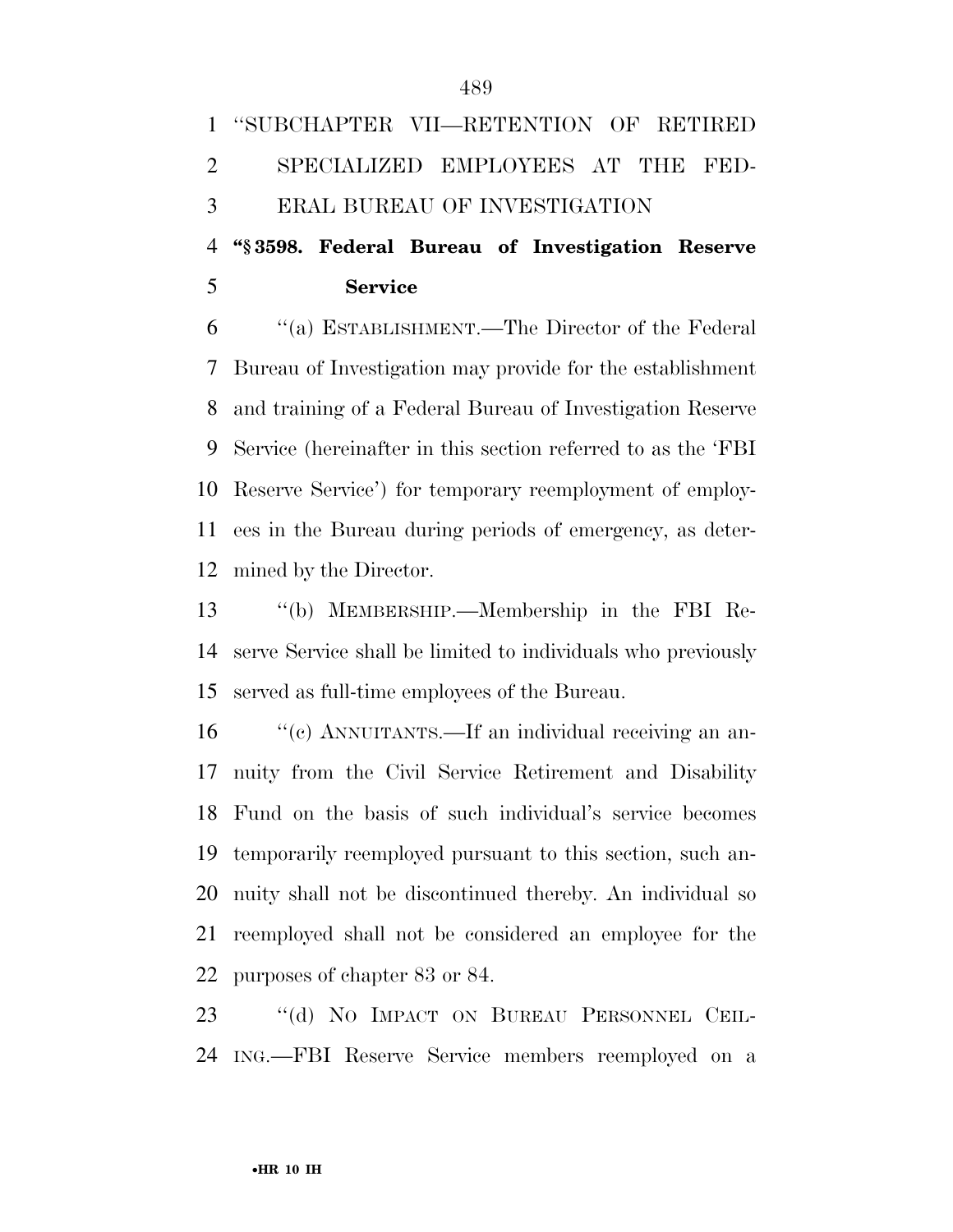**Service** 

 ''(a) ESTABLISHMENT.—The Director of the Federal Bureau of Investigation may provide for the establishment and training of a Federal Bureau of Investigation Reserve Service (hereinafter in this section referred to as the 'FBI Reserve Service') for temporary reemployment of employ- ees in the Bureau during periods of emergency, as deter-mined by the Director.

 ''(b) MEMBERSHIP.—Membership in the FBI Re- serve Service shall be limited to individuals who previously served as full-time employees of the Bureau.

 ''(c) ANNUITANTS.—If an individual receiving an an- nuity from the Civil Service Retirement and Disability Fund on the basis of such individual's service becomes temporarily reemployed pursuant to this section, such an- nuity shall not be discontinued thereby. An individual so reemployed shall not be considered an employee for the purposes of chapter 83 or 84.

 ''(d) NO IMPACT ON BUREAU PERSONNEL CEIL-ING.—FBI Reserve Service members reemployed on a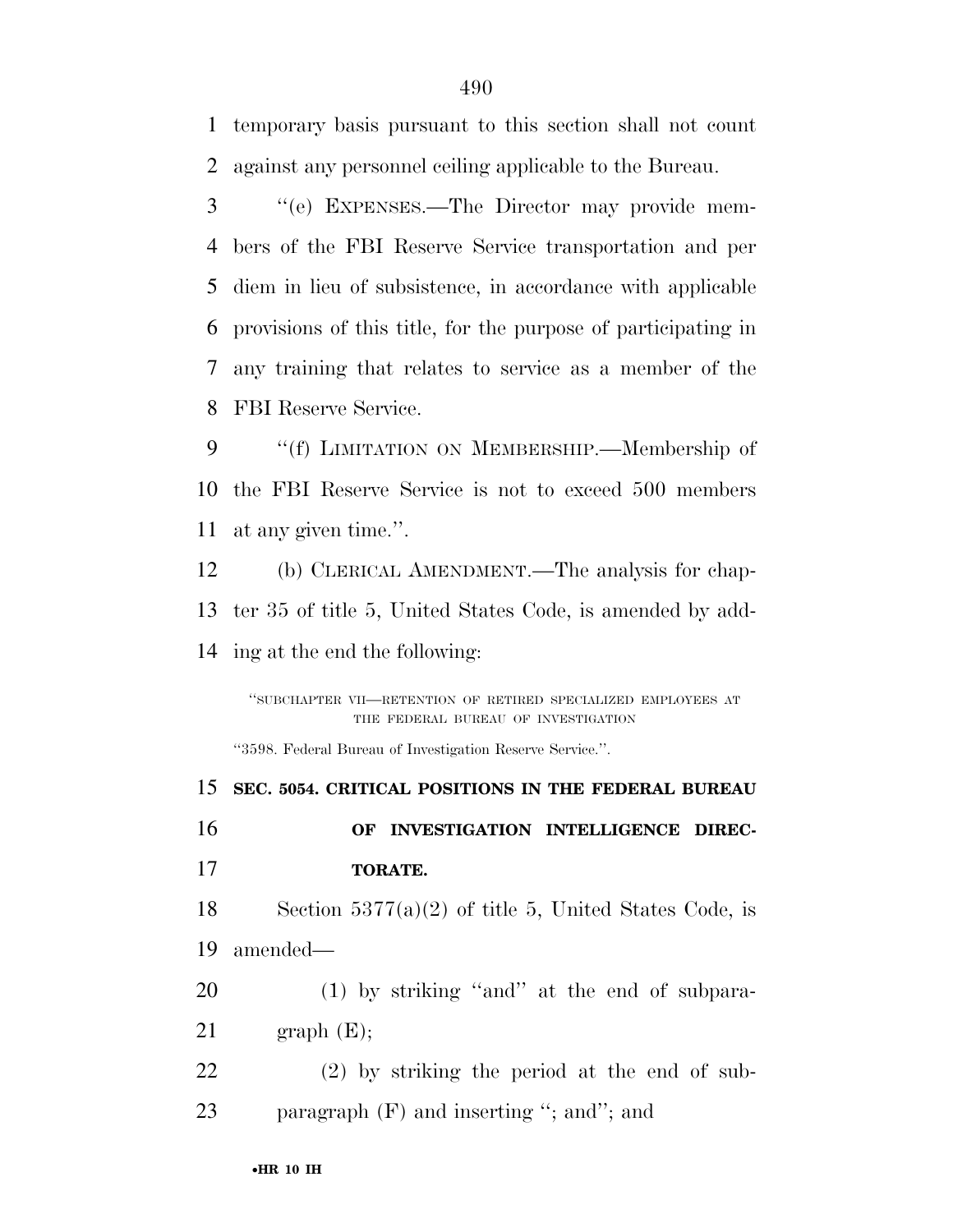temporary basis pursuant to this section shall not count against any personnel ceiling applicable to the Bureau.

 ''(e) EXPENSES.—The Director may provide mem- bers of the FBI Reserve Service transportation and per diem in lieu of subsistence, in accordance with applicable provisions of this title, for the purpose of participating in any training that relates to service as a member of the FBI Reserve Service.

9 ""(f) LIMITATION ON MEMBERSHIP.—Membership of the FBI Reserve Service is not to exceed 500 members at any given time.''.

 (b) CLERICAL AMENDMENT.—The analysis for chap- ter 35 of title 5, United States Code, is amended by add-ing at the end the following:

''SUBCHAPTER VII—RETENTION OF RETIRED SPECIALIZED EMPLOYEES AT THE FEDERAL BUREAU OF INVESTIGATION

''3598. Federal Bureau of Investigation Reserve Service.''.

 **SEC. 5054. CRITICAL POSITIONS IN THE FEDERAL BUREAU OF INVESTIGATION INTELLIGENCE DIREC- TORATE.**  18 Section  $5377(a)(2)$  of title 5, United States Code, is amended— (1) by striking ''and'' at the end of subpara- graph  $(E)$ ; (2) by striking the period at the end of sub-23 paragraph (F) and inserting "; and"; and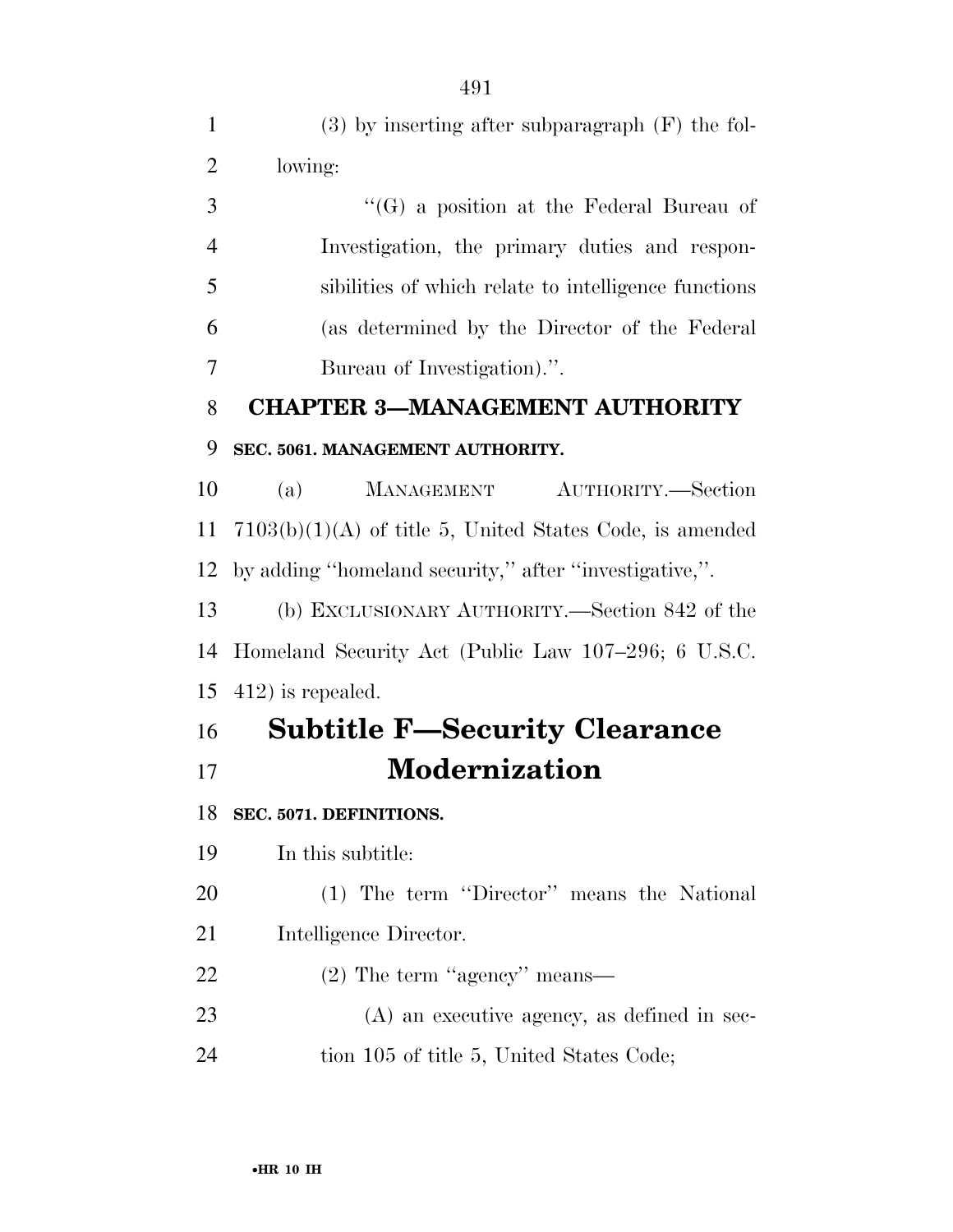| $\mathbf{1}$   | $(3)$ by inserting after subparagraph $(F)$ the fol-       |
|----------------|------------------------------------------------------------|
| $\overline{2}$ | lowing:                                                    |
| 3              | $\lq\lq(G)$ a position at the Federal Bureau of            |
| $\overline{4}$ | Investigation, the primary duties and respon-              |
| 5              | sibilities of which relate to intelligence functions       |
| 6              | (as determined by the Director of the Federal              |
| 7              | Bureau of Investigation).".                                |
| 8              | <b>CHAPTER 3-MANAGEMENT AUTHORITY</b>                      |
| 9              | SEC. 5061. MANAGEMENT AUTHORITY.                           |
| 10             | <b>MANAGEMENT</b><br>AUTHORITY.—Section<br>(a)             |
| 11             | $7103(b)(1)(A)$ of title 5, United States Code, is amended |
| 12             | by adding "homeland security," after "investigative,".     |
| 13             | (b) EXCLUSIONARY AUTHORITY.—Section 842 of the             |
| 14             | Homeland Security Act (Public Law 107–296; 6 U.S.C.        |
| 15             | $412$ ) is repealed.                                       |
| 16             | <b>Subtitle F-Security Clearance</b>                       |
| 17             | <b>Modernization</b>                                       |
| 18             | SEC. 5071. DEFINITIONS.                                    |
| 19             | In this subtitle:                                          |
| 20             | (1) The term "Director" means the National                 |
| 21             | Intelligence Director.                                     |
| 22             | $(2)$ The term "agency" means—                             |
| 23             | $(A)$ an executive agency, as defined in sec-              |
| 24             | tion 105 of title 5, United States Code;                   |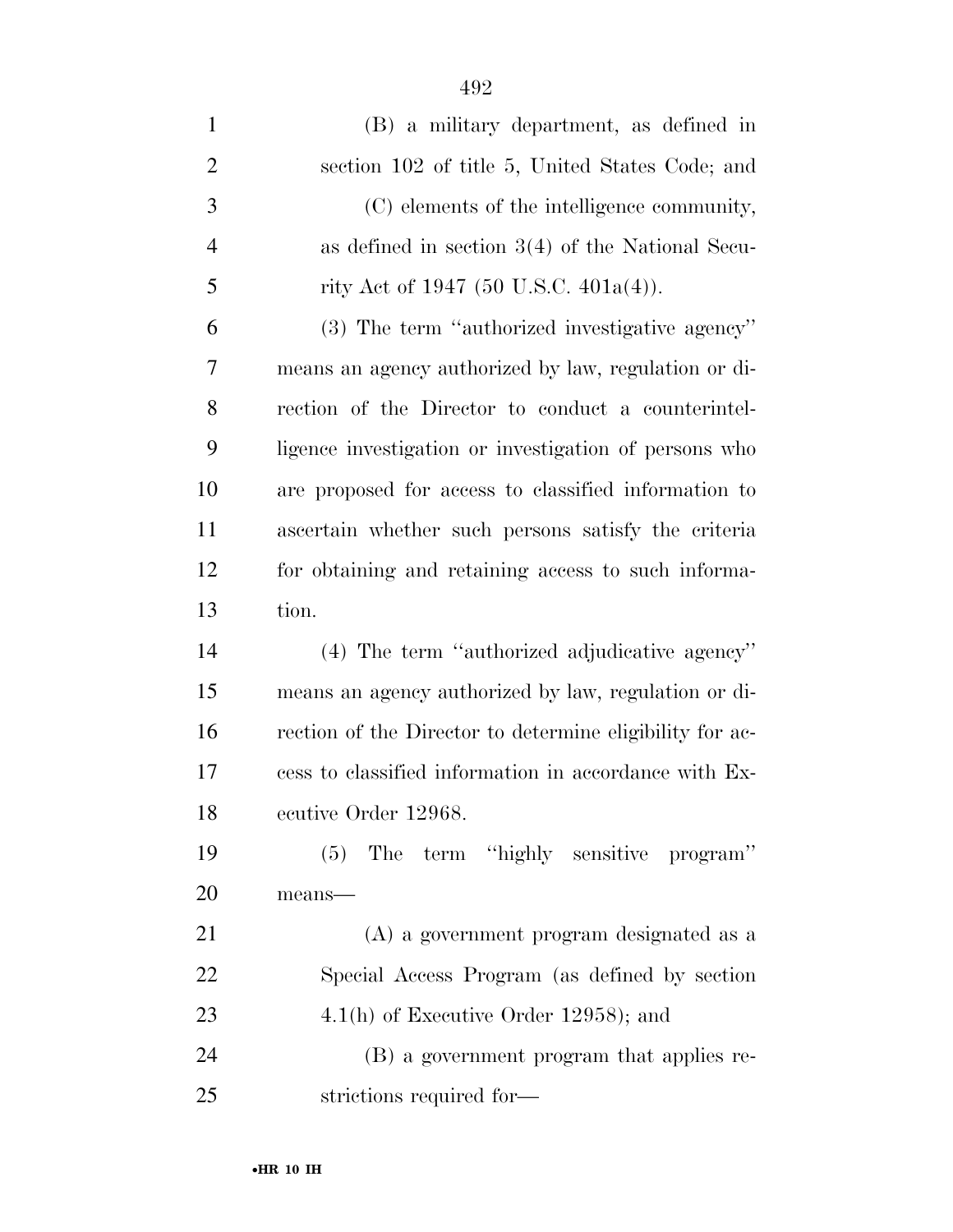| $\mathbf{1}$   | (B) a military department, as defined in                 |
|----------------|----------------------------------------------------------|
| $\overline{2}$ | section 102 of title 5, United States Code; and          |
| 3              | (C) elements of the intelligence community,              |
| $\overline{4}$ | as defined in section $3(4)$ of the National Secu-       |
| 5              | rity Act of 1947 (50 U.S.C. $401a(4)$ ).                 |
| 6              | (3) The term "authorized investigative agency"           |
| 7              | means an agency authorized by law, regulation or di-     |
| 8              | rection of the Director to conduct a counterintel-       |
| 9              | ligence investigation or investigation of persons who    |
| 10             | are proposed for access to classified information to     |
| 11             | ascertain whether such persons satisfy the criteria      |
| 12             | for obtaining and retaining access to such informa-      |
| 13             | tion.                                                    |
|                |                                                          |
| 14             | (4) The term "authorized adjudicative agency"            |
| 15             | means an agency authorized by law, regulation or di-     |
| 16             | rection of the Director to determine eligibility for ac- |
| 17             | cess to classified information in accordance with Ex-    |
| 18             | ecutive Order 12968.                                     |
| 19             | (5) The term "highly sensitive program"                  |
| 20             | means-                                                   |
| 21             | (A) a government program designated as a                 |
| 22             | Special Access Program (as defined by section            |
| 23             | $4.1(h)$ of Executive Order 12958); and                  |
| 24             | (B) a government program that applies re-                |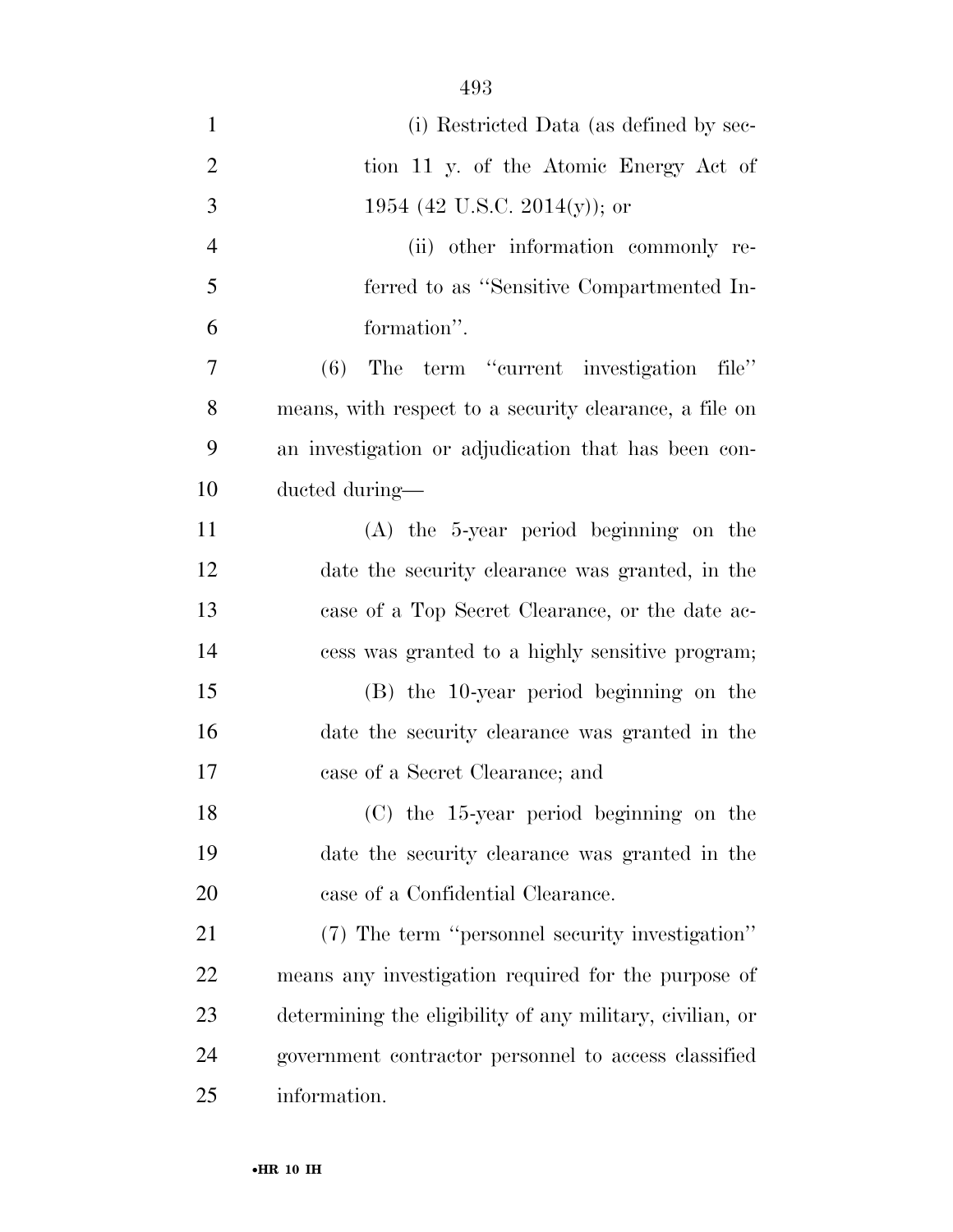| $\mathbf{1}$   | (i) Restricted Data (as defined by sec-                   |
|----------------|-----------------------------------------------------------|
| $\overline{2}$ | tion 11 y. of the Atomic Energy Act of                    |
| 3              | 1954 (42 U.S.C. 2014(y)); or                              |
| $\overline{4}$ | (ii) other information commonly re-                       |
| 5              | ferred to as "Sensitive Compartmented In-                 |
| 6              | formation".                                               |
| $\tau$         | The term "current investigation"<br>(6)<br>file"          |
| 8              | means, with respect to a security clearance, a file on    |
| 9              | an investigation or adjudication that has been con-       |
| 10             | ducted during—                                            |
| 11             | $(A)$ the 5-year period beginning on the                  |
| 12             | date the security clearance was granted, in the           |
| 13             | case of a Top Secret Clearance, or the date ac-           |
| 14             | cess was granted to a highly sensitive program;           |
| 15             | (B) the 10-year period beginning on the                   |
| 16             | date the security clearance was granted in the            |
| 17             | case of a Secret Clearance; and                           |
| 18             | $(C)$ the 15-year period beginning on the                 |
| 19             | date the security clearance was granted in the            |
| 20             | case of a Confidential Clearance.                         |
| 21             | (7) The term "personnel security investigation"           |
| 22             | means any investigation required for the purpose of       |
| 23             | determining the eligibility of any military, civilian, or |
| 24             | government contractor personnel to access classified      |
| 25             | information.                                              |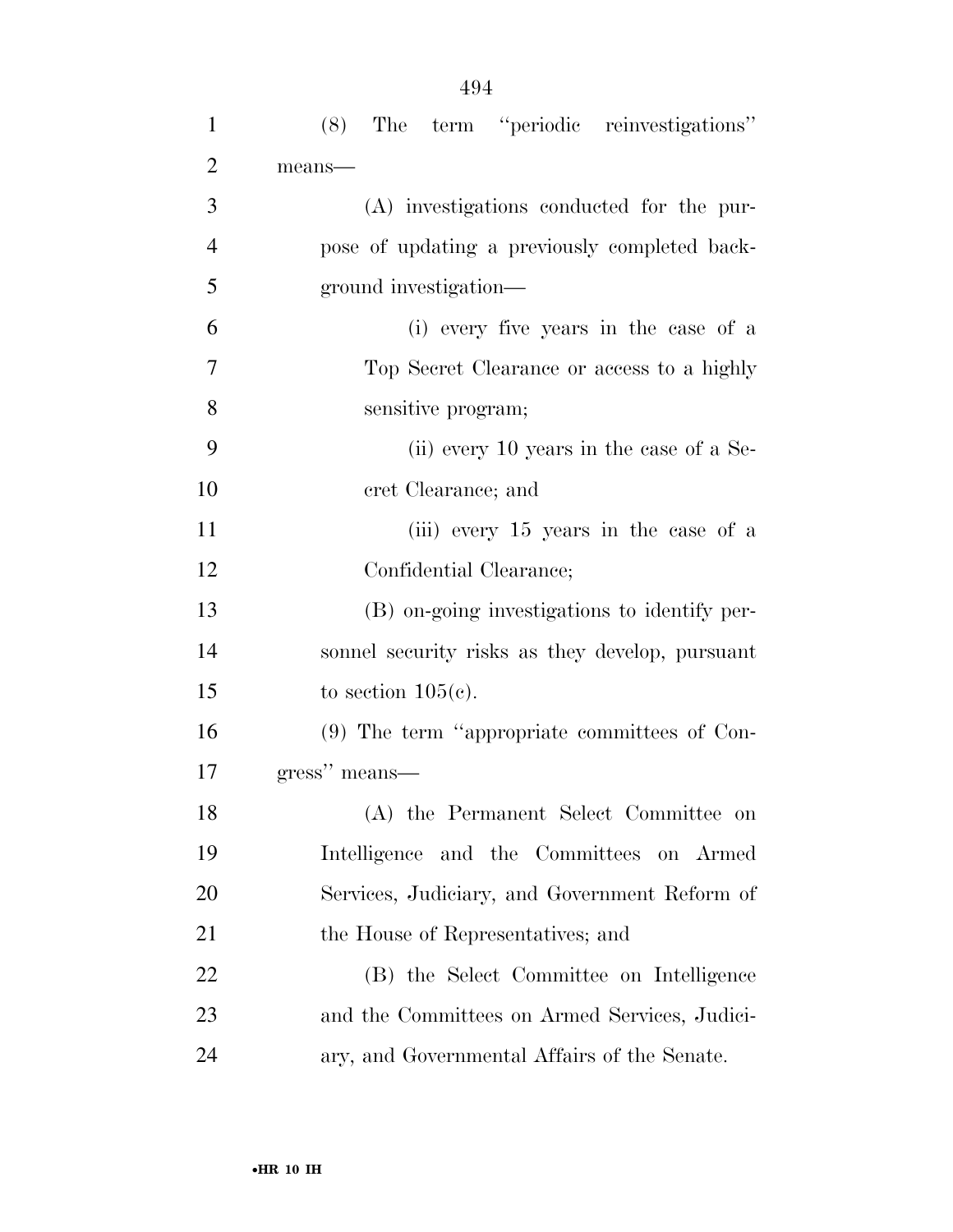| $\mathbf{1}$   | The term "periodic reinvestigations"<br>(8)     |
|----------------|-------------------------------------------------|
| $\overline{2}$ | means-                                          |
| 3              | (A) investigations conducted for the pur-       |
| $\overline{4}$ | pose of updating a previously completed back-   |
| 5              | ground investigation—                           |
| 6              | (i) every five years in the case of a           |
| $\overline{7}$ | Top Secret Clearance or access to a highly      |
| 8              | sensitive program;                              |
| 9              | (ii) every 10 years in the case of a Se-        |
| 10             | cret Clearance; and                             |
| 11             | (iii) every 15 years in the case of a           |
| 12             | Confidential Clearance;                         |
| 13             | (B) on-going investigations to identify per-    |
| 14             | sonnel security risks as they develop, pursuant |
| 15             | to section $105(c)$ .                           |
| 16             | $(9)$ The term "appropriate committees of Con-  |
| 17             | gress" means—                                   |
| 18             | (A) the Permanent Select Committee on           |
| 19             | Intelligence and the Committees on Armed        |
| <b>20</b>      | Services, Judiciary, and Government Reform of   |
| 21             | the House of Representatives; and               |
| 22             | (B) the Select Committee on Intelligence        |
| 23             | and the Committees on Armed Services, Judici-   |
| 24             | ary, and Governmental Affairs of the Senate.    |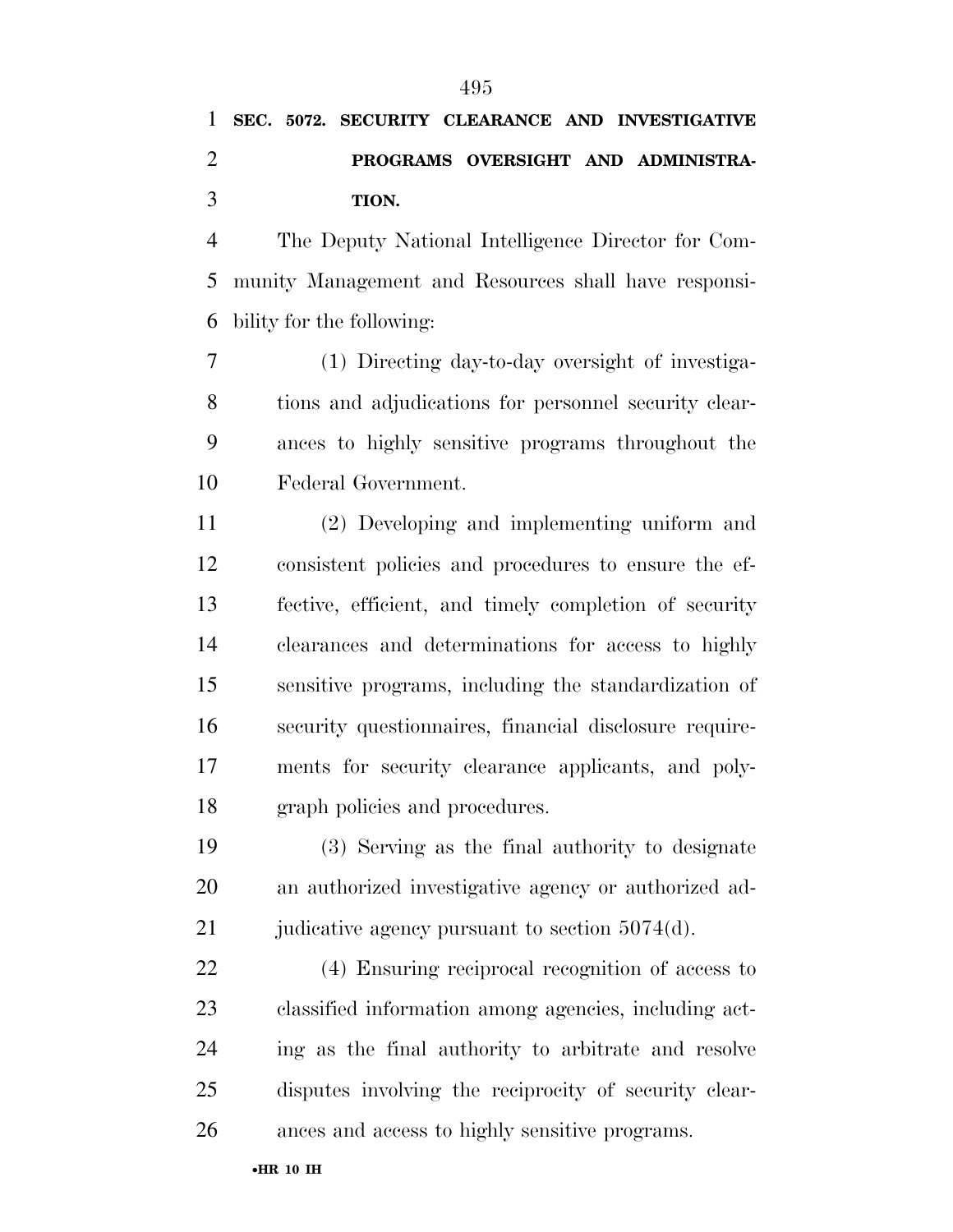# **PROGRAMS OVERSIGHT AND ADMINISTRA-TION.**

 The Deputy National Intelligence Director for Com- munity Management and Resources shall have responsi-bility for the following:

 (1) Directing day-to-day oversight of investiga- tions and adjudications for personnel security clear- ances to highly sensitive programs throughout the Federal Government.

 (2) Developing and implementing uniform and consistent policies and procedures to ensure the ef- fective, efficient, and timely completion of security clearances and determinations for access to highly sensitive programs, including the standardization of security questionnaires, financial disclosure require- ments for security clearance applicants, and poly-graph policies and procedures.

 (3) Serving as the final authority to designate an authorized investigative agency or authorized ad-21 judicative agency pursuant to section 5074(d).

 (4) Ensuring reciprocal recognition of access to classified information among agencies, including act- ing as the final authority to arbitrate and resolve disputes involving the reciprocity of security clear-ances and access to highly sensitive programs.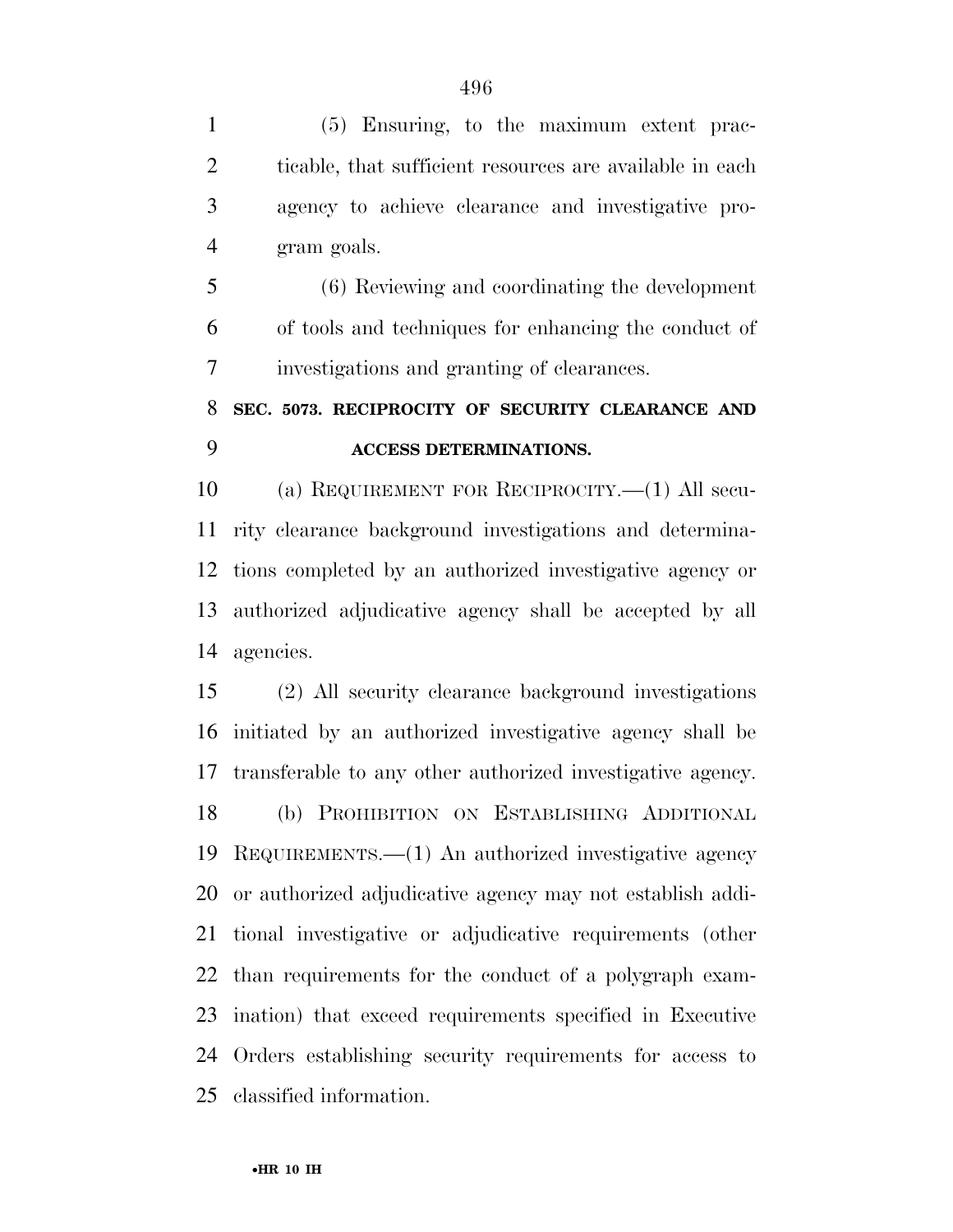(5) Ensuring, to the maximum extent prac-2 ticable, that sufficient resources are available in each agency to achieve clearance and investigative pro-gram goals.

 (6) Reviewing and coordinating the development of tools and techniques for enhancing the conduct of investigations and granting of clearances.

## **SEC. 5073. RECIPROCITY OF SECURITY CLEARANCE AND ACCESS DETERMINATIONS.**

 (a) REQUIREMENT FOR RECIPROCITY.—(1) All secu- rity clearance background investigations and determina- tions completed by an authorized investigative agency or authorized adjudicative agency shall be accepted by all agencies.

 (2) All security clearance background investigations initiated by an authorized investigative agency shall be transferable to any other authorized investigative agency. (b) PROHIBITION ON ESTABLISHING ADDITIONAL REQUIREMENTS.—(1) An authorized investigative agency or authorized adjudicative agency may not establish addi- tional investigative or adjudicative requirements (other than requirements for the conduct of a polygraph exam- ination) that exceed requirements specified in Executive Orders establishing security requirements for access to classified information.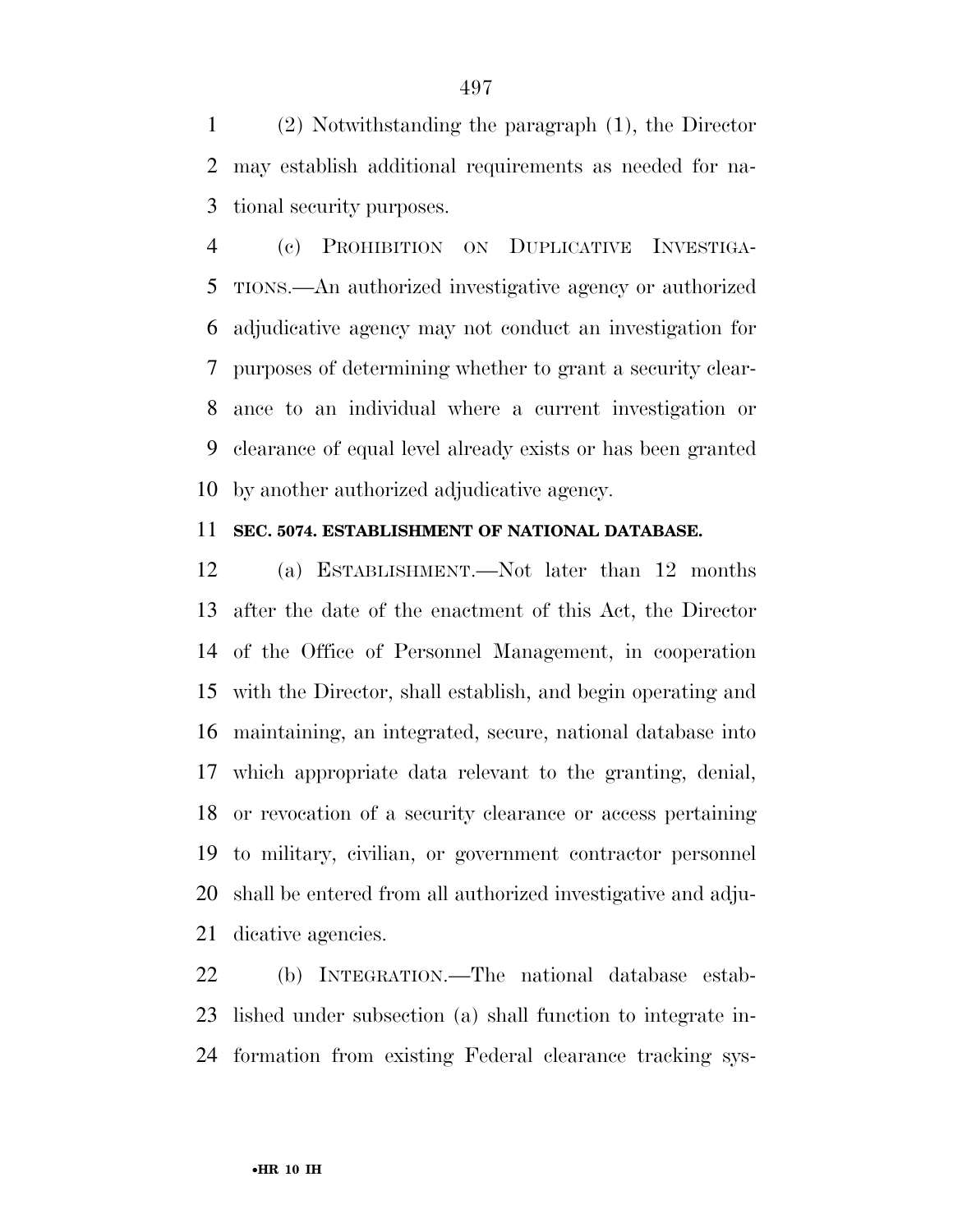(2) Notwithstanding the paragraph (1), the Director may establish additional requirements as needed for na-tional security purposes.

 (c) PROHIBITION ON DUPLICATIVE INVESTIGA- TIONS.—An authorized investigative agency or authorized adjudicative agency may not conduct an investigation for purposes of determining whether to grant a security clear- ance to an individual where a current investigation or clearance of equal level already exists or has been granted by another authorized adjudicative agency.

### **SEC. 5074. ESTABLISHMENT OF NATIONAL DATABASE.**

 (a) ESTABLISHMENT.—Not later than 12 months after the date of the enactment of this Act, the Director of the Office of Personnel Management, in cooperation with the Director, shall establish, and begin operating and maintaining, an integrated, secure, national database into which appropriate data relevant to the granting, denial, or revocation of a security clearance or access pertaining to military, civilian, or government contractor personnel shall be entered from all authorized investigative and adju-dicative agencies.

 (b) INTEGRATION.—The national database estab- lished under subsection (a) shall function to integrate in-formation from existing Federal clearance tracking sys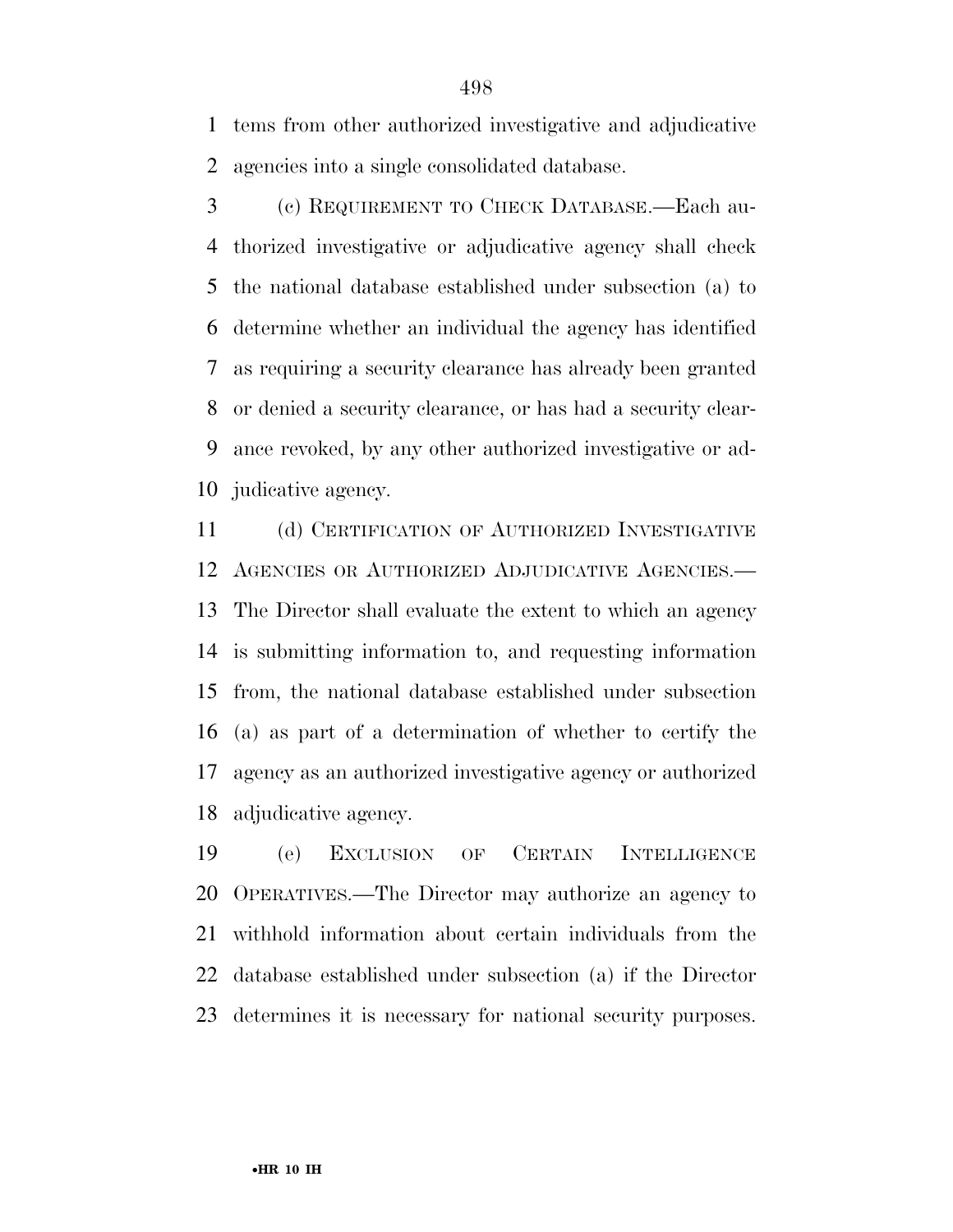tems from other authorized investigative and adjudicative agencies into a single consolidated database.

 (c) REQUIREMENT TO CHECK DATABASE.—Each au- thorized investigative or adjudicative agency shall check the national database established under subsection (a) to determine whether an individual the agency has identified as requiring a security clearance has already been granted or denied a security clearance, or has had a security clear- ance revoked, by any other authorized investigative or ad-judicative agency.

 (d) CERTIFICATION OF AUTHORIZED INVESTIGATIVE AGENCIES OR AUTHORIZED ADJUDICATIVE AGENCIES.— The Director shall evaluate the extent to which an agency is submitting information to, and requesting information from, the national database established under subsection (a) as part of a determination of whether to certify the agency as an authorized investigative agency or authorized adjudicative agency.

 (e) EXCLUSION OF CERTAIN INTELLIGENCE OPERATIVES.—The Director may authorize an agency to withhold information about certain individuals from the database established under subsection (a) if the Director determines it is necessary for national security purposes.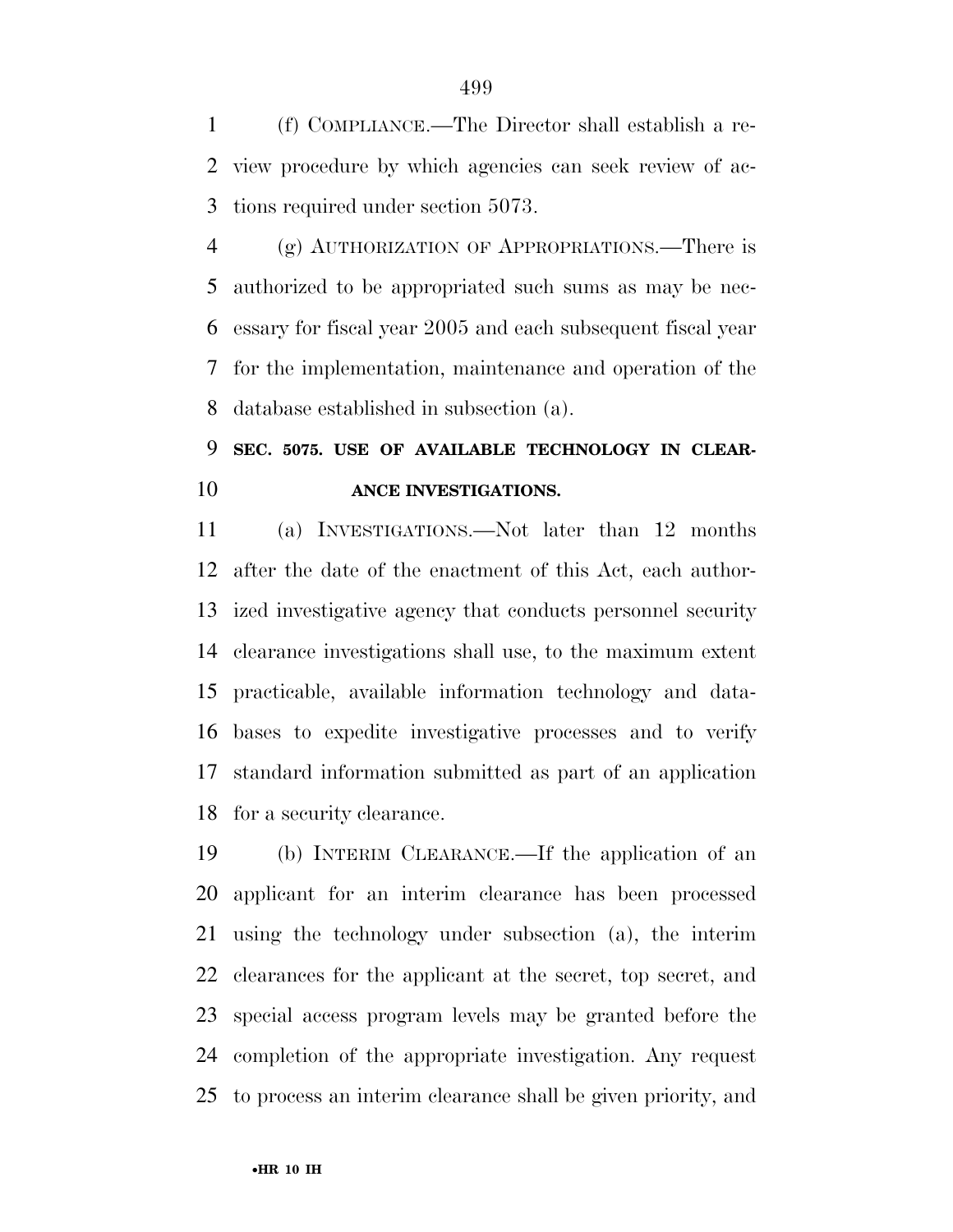(f) COMPLIANCE.—The Director shall establish a re- view procedure by which agencies can seek review of ac-tions required under section 5073.

 (g) AUTHORIZATION OF APPROPRIATIONS.—There is authorized to be appropriated such sums as may be nec- essary for fiscal year 2005 and each subsequent fiscal year for the implementation, maintenance and operation of the database established in subsection (a).

## **SEC. 5075. USE OF AVAILABLE TECHNOLOGY IN CLEAR-ANCE INVESTIGATIONS.**

 (a) INVESTIGATIONS.—Not later than 12 months after the date of the enactment of this Act, each author- ized investigative agency that conducts personnel security clearance investigations shall use, to the maximum extent practicable, available information technology and data- bases to expedite investigative processes and to verify standard information submitted as part of an application for a security clearance.

 (b) INTERIM CLEARANCE.—If the application of an applicant for an interim clearance has been processed using the technology under subsection (a), the interim clearances for the applicant at the secret, top secret, and special access program levels may be granted before the completion of the appropriate investigation. Any request to process an interim clearance shall be given priority, and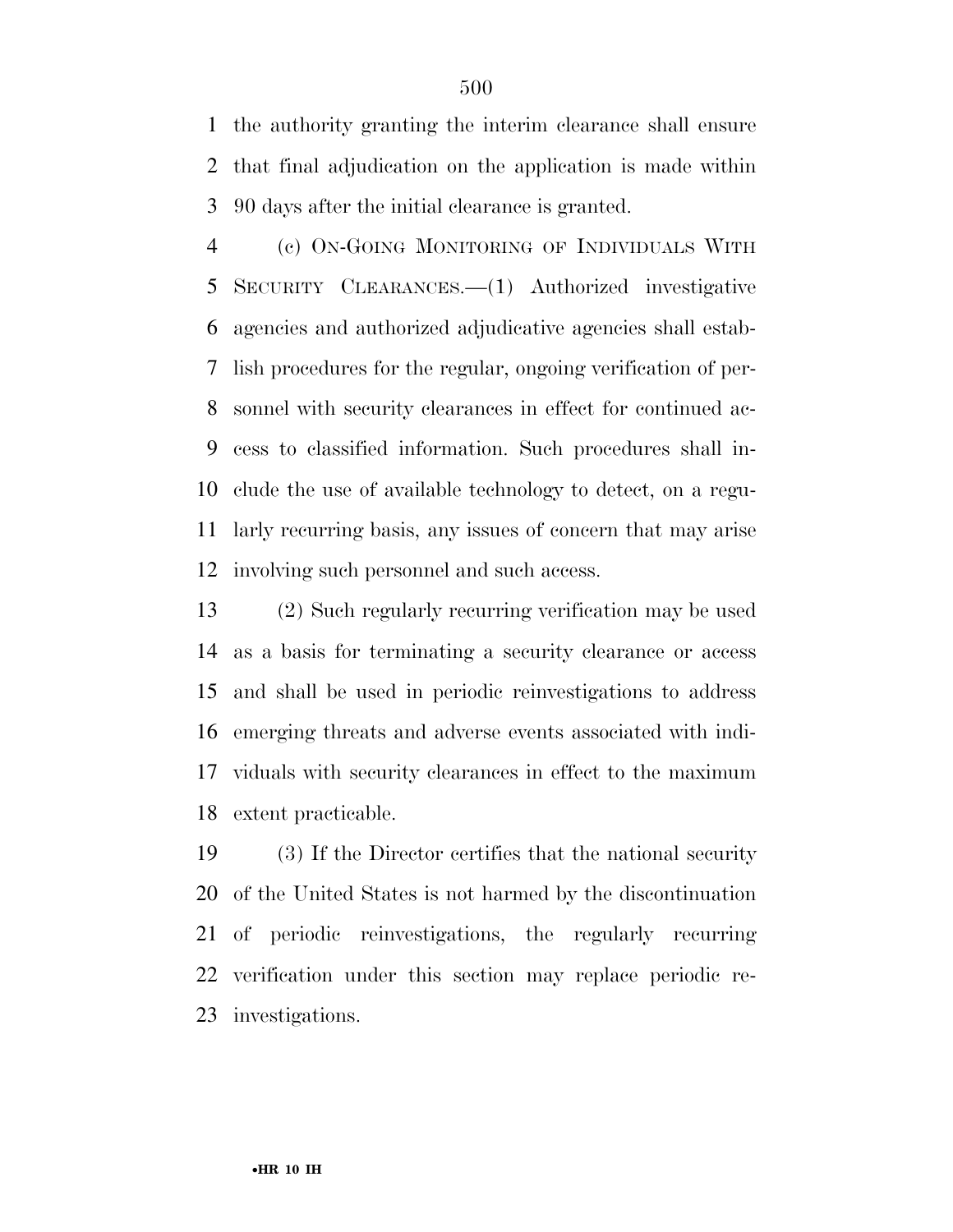the authority granting the interim clearance shall ensure that final adjudication on the application is made within 90 days after the initial clearance is granted.

 (c) ON-GOING MONITORING OF INDIVIDUALS WITH SECURITY CLEARANCES.—(1) Authorized investigative agencies and authorized adjudicative agencies shall estab- lish procedures for the regular, ongoing verification of per- sonnel with security clearances in effect for continued ac- cess to classified information. Such procedures shall in- clude the use of available technology to detect, on a regu- larly recurring basis, any issues of concern that may arise involving such personnel and such access.

 (2) Such regularly recurring verification may be used as a basis for terminating a security clearance or access and shall be used in periodic reinvestigations to address emerging threats and adverse events associated with indi- viduals with security clearances in effect to the maximum extent practicable.

 (3) If the Director certifies that the national security of the United States is not harmed by the discontinuation of periodic reinvestigations, the regularly recurring verification under this section may replace periodic re-investigations.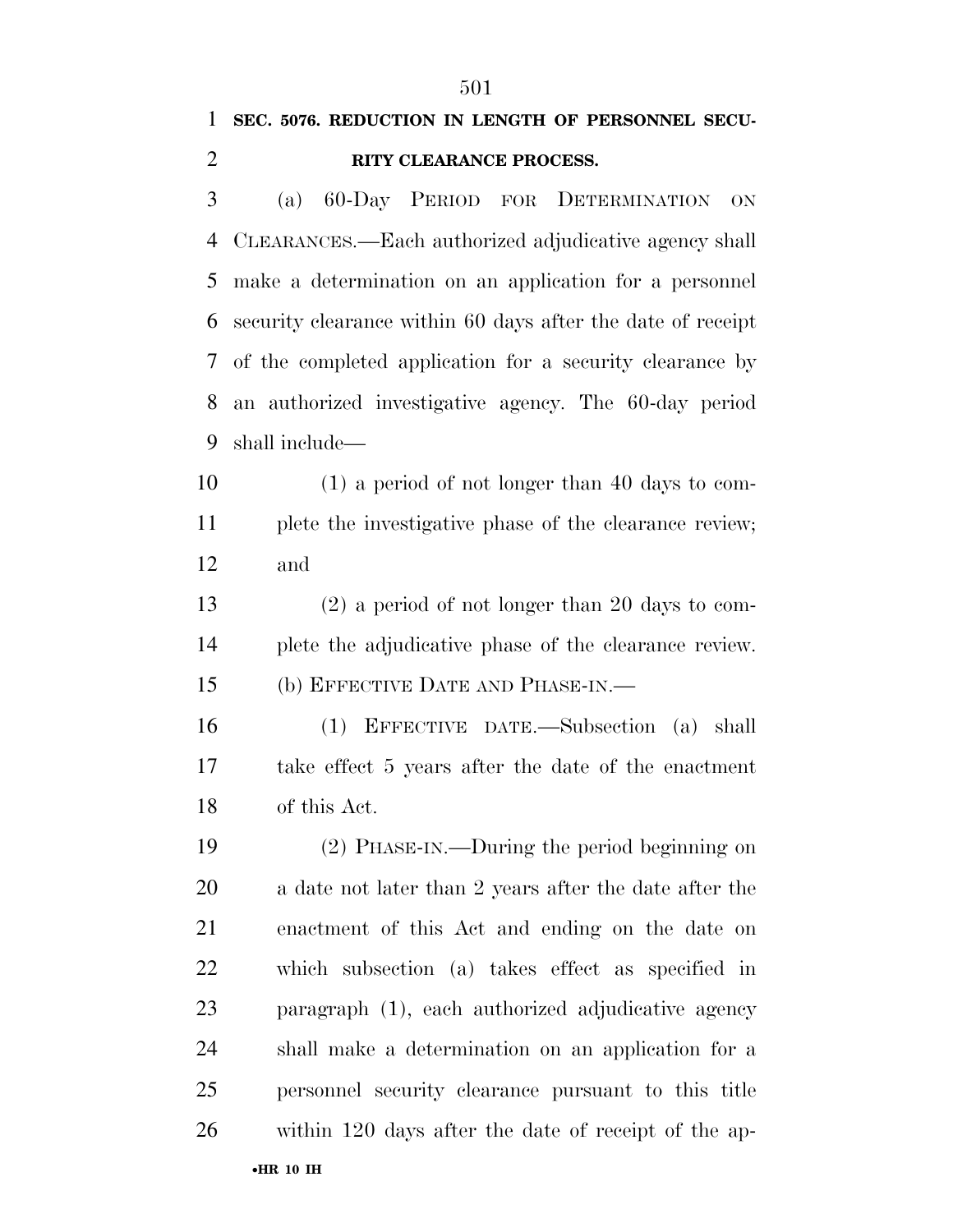| 1              | ЭUІ<br>SEC. 5076. REDUCTION IN LENGTH OF PERSONNEL SECU-    |
|----------------|-------------------------------------------------------------|
| $\overline{2}$ | RITY CLEARANCE PROCESS.                                     |
|                |                                                             |
| 3              | 60-Day PERIOD FOR DETERMINATION<br>(a)<br><b>ON</b>         |
| 4              | CLEARANCES.—Each authorized adjudicative agency shall       |
| 5              | make a determination on an application for a personnel      |
| 6              | security clearance within 60 days after the date of receipt |
| 7              | of the completed application for a security clearance by    |
| 8              | an authorized investigative agency. The 60-day period       |
| 9              | shall include—                                              |
| 10             | $(1)$ a period of not longer than 40 days to com-           |
| 11             | plete the investigative phase of the clearance review;      |
| 12             | and                                                         |
| 13             | $(2)$ a period of not longer than 20 days to com-           |
| 14             | plete the adjudicative phase of the clearance review.       |
| 15             | (b) EFFECTIVE DATE AND PHASE-IN.—                           |
| 16             | EFFECTIVE DATE.—Subsection (a) shall<br>(1)                 |
| 17             | take effect 5 years after the date of the enactment         |
| 18             | of this Act.                                                |
| 19             | (2) PHASE-IN.—During the period beginning on                |
| 20             | a date not later than 2 years after the date after the      |
| 21             | enactment of this Act and ending on the date on             |
| 22             | which subsection (a) takes effect as specified in           |
| 23             | paragraph (1), each authorized adjudicative agency          |
| 24             | shall make a determination on an application for a          |
| 25             | personnel security clearance pursuant to this title         |
| 26             | within 120 days after the date of receipt of the ap-        |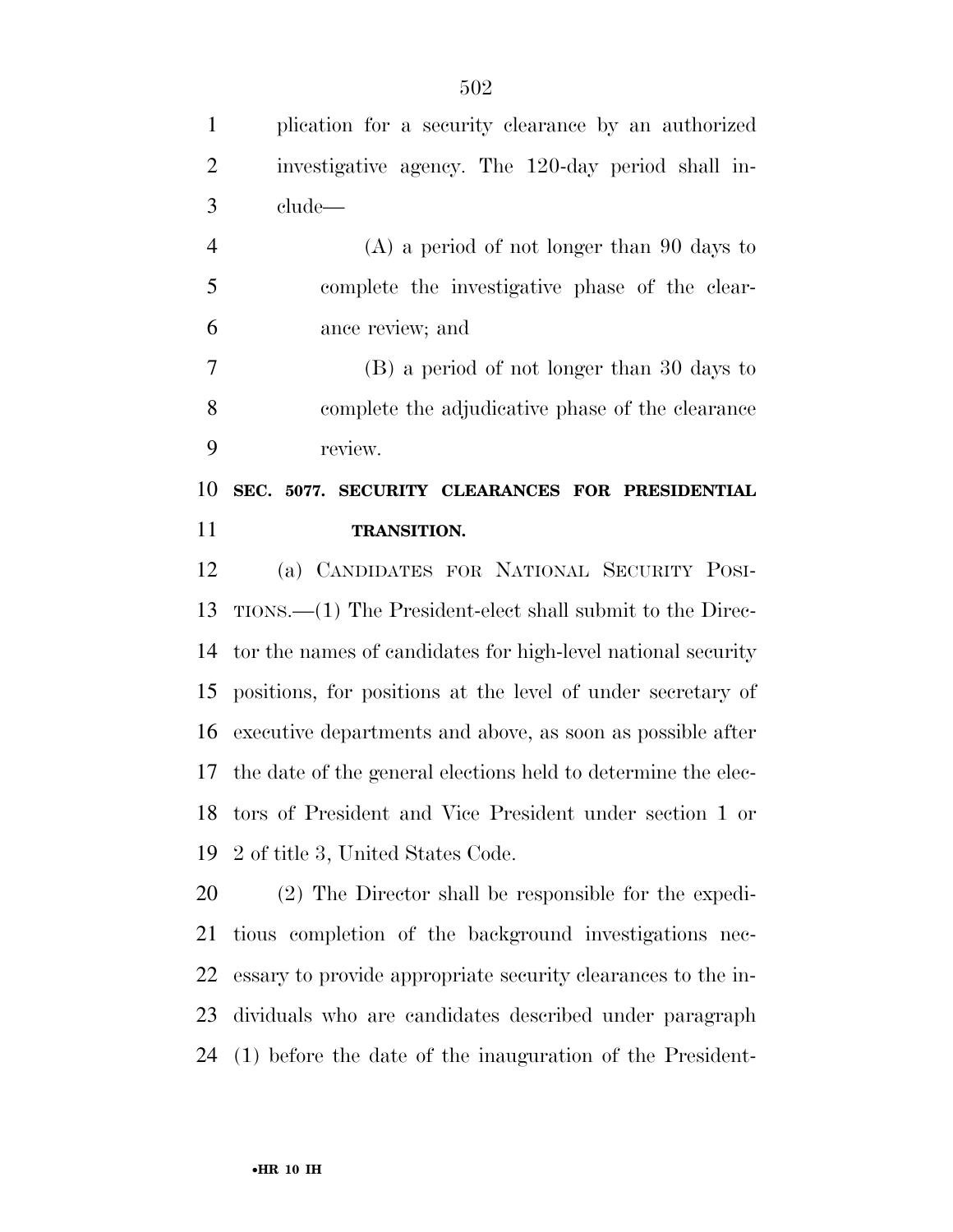| $\mathbf{1}$   | plication for a security clearance by an authorized           |
|----------------|---------------------------------------------------------------|
| $\overline{2}$ | investigative agency. The 120-day period shall in-            |
| 3              | clude—                                                        |
| $\overline{4}$ | $(A)$ a period of not longer than 90 days to                  |
| 5              | complete the investigative phase of the clear-                |
| 6              | ance review; and                                              |
| 7              | (B) a period of not longer than 30 days to                    |
| 8              | complete the adjudicative phase of the clearance              |
| 9              | review.                                                       |
| 10             | SEC. 5077. SECURITY CLEARANCES FOR PRESIDENTIAL               |
|                | <b>TRANSITION.</b>                                            |
| 11             |                                                               |
| 12             | (a) CANDIDATES FOR NATIONAL SECURITY POSI-                    |
| 13             | $TIONS.$ The President-elect shall submit to the Direc-       |
| 14             | tor the names of candidates for high-level national security  |
| 15             | positions, for positions at the level of under secretary of   |
| 16             | executive departments and above, as soon as possible after    |
| 17             | the date of the general elections held to determine the elec- |
|                | 18 tors of President and Vice President under section 1 or    |
| 19             | 2 of title 3, United States Code.                             |
| 20             | (2) The Director shall be responsible for the expedi-         |
| 21             | tious completion of the background investigations nec-        |

(1) before the date of the inauguration of the President-

dividuals who are candidates described under paragraph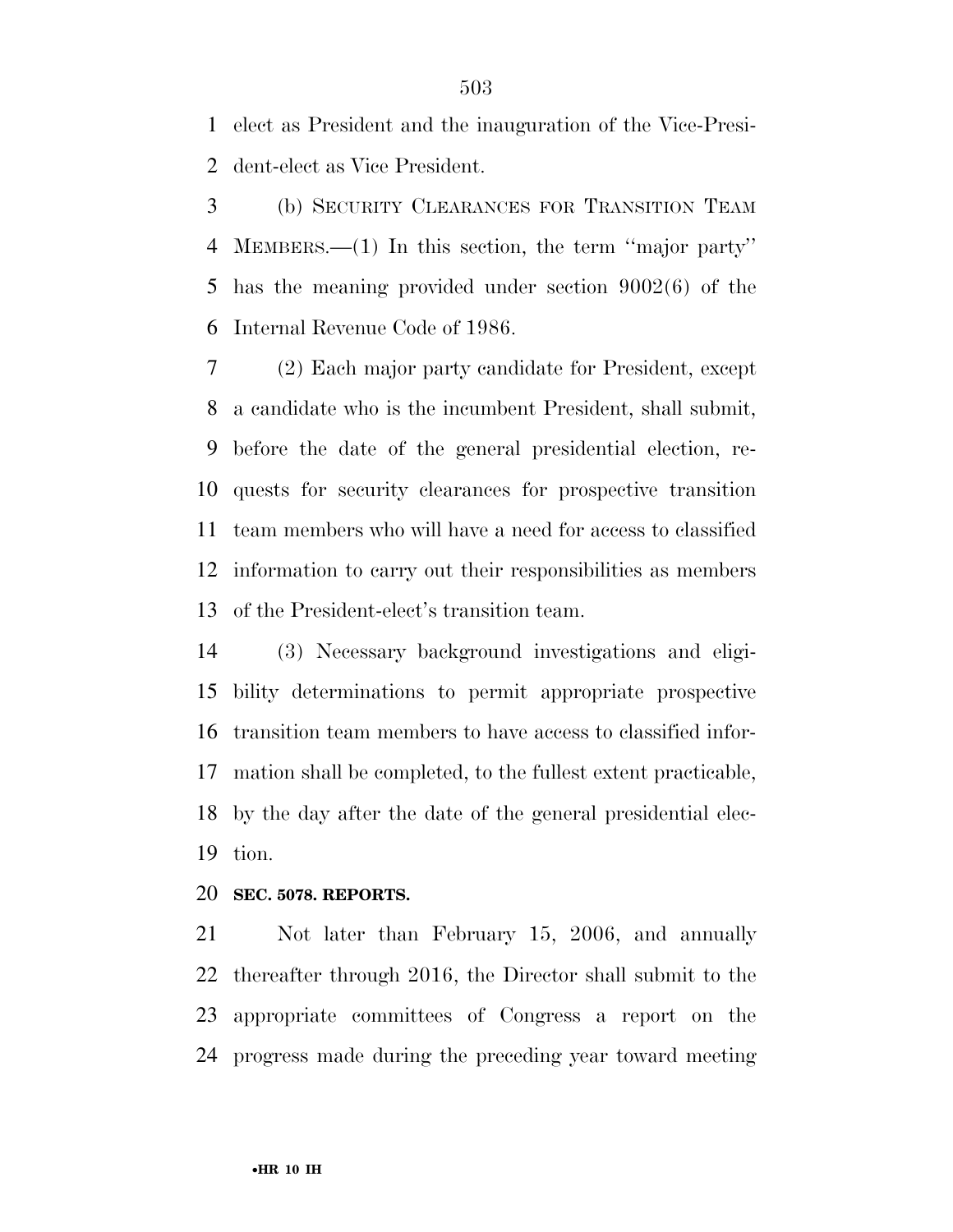elect as President and the inauguration of the Vice-Presi-dent-elect as Vice President.

 (b) SECURITY CLEARANCES FOR TRANSITION TEAM MEMBERS.—(1) In this section, the term ''major party'' has the meaning provided under section 9002(6) of the Internal Revenue Code of 1986.

 (2) Each major party candidate for President, except a candidate who is the incumbent President, shall submit, before the date of the general presidential election, re- quests for security clearances for prospective transition team members who will have a need for access to classified information to carry out their responsibilities as members of the President-elect's transition team.

 (3) Necessary background investigations and eligi- bility determinations to permit appropriate prospective transition team members to have access to classified infor- mation shall be completed, to the fullest extent practicable, by the day after the date of the general presidential elec-tion.

#### **SEC. 5078. REPORTS.**

 Not later than February 15, 2006, and annually thereafter through 2016, the Director shall submit to the appropriate committees of Congress a report on the progress made during the preceding year toward meeting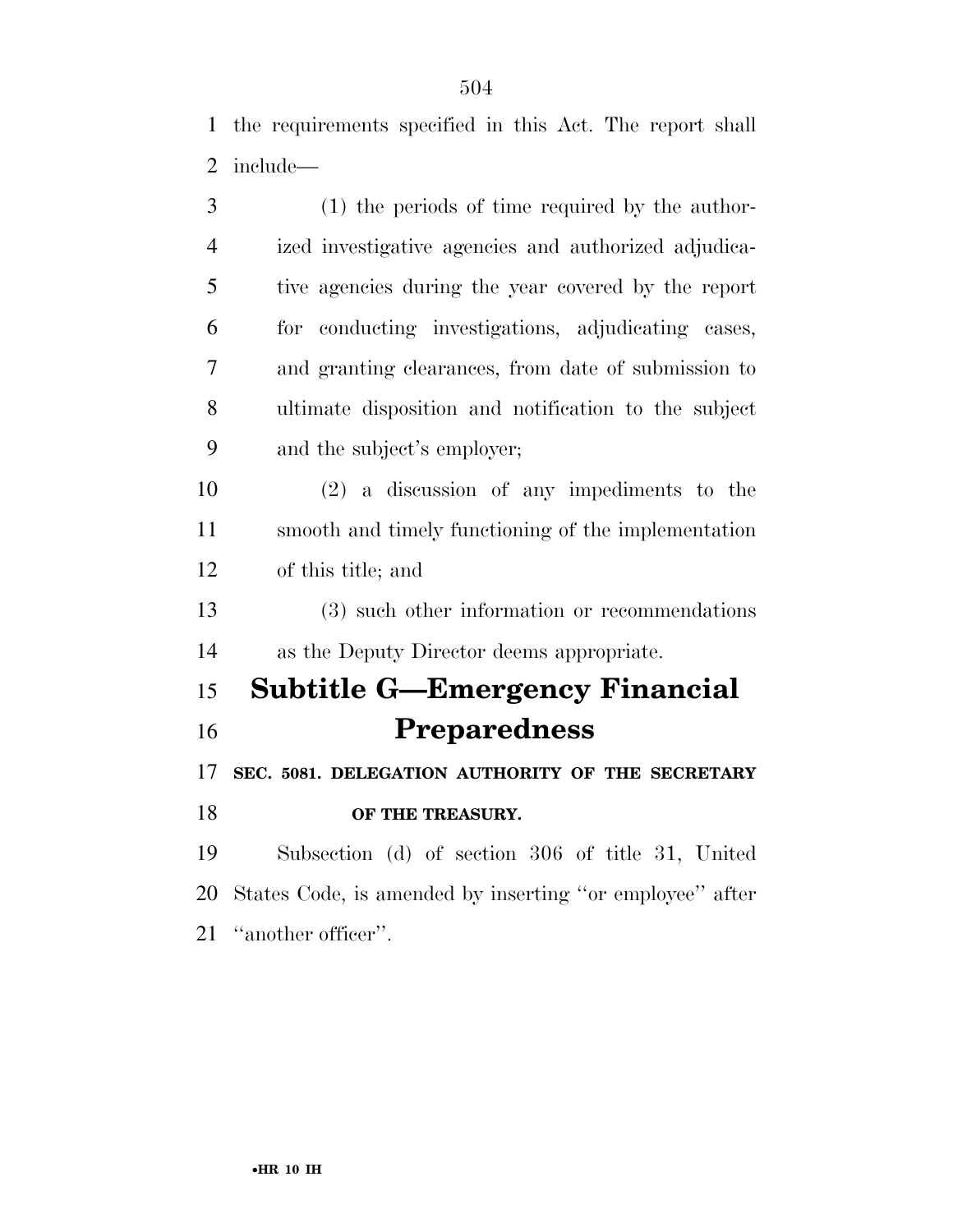the requirements specified in this Act. The report shall include—

| 3              | (1) the periods of time required by the author-          |
|----------------|----------------------------------------------------------|
| $\overline{4}$ | ized investigative agencies and authorized adjudica-     |
| 5              | tive agencies during the year covered by the report      |
| 6              | for conducting investigations, adjudicating cases,       |
| 7              | and granting elearances, from date of submission to      |
| 8              | ultimate disposition and notification to the subject     |
| 9              | and the subject's employer;                              |
| 10             | $(2)$ a discussion of any impediments to the             |
| 11             | smooth and timely functioning of the implementation      |
| 12             | of this title; and                                       |
| 13             | (3) such other information or recommendations            |
| 14             | as the Deputy Director deems appropriate.                |
| 15             | <b>Subtitle G-Emergency Financial</b>                    |
| 16             | <b>Preparedness</b>                                      |
| 17             | SEC. 5081. DELEGATION AUTHORITY OF THE SECRETARY         |
| 18             | OF THE TREASURY.                                         |
| 19             | Subsection (d) of section 306 of title 31, United        |
| 20             | States Code, is amended by inserting "or employee" after |
| 21             | "another officer".                                       |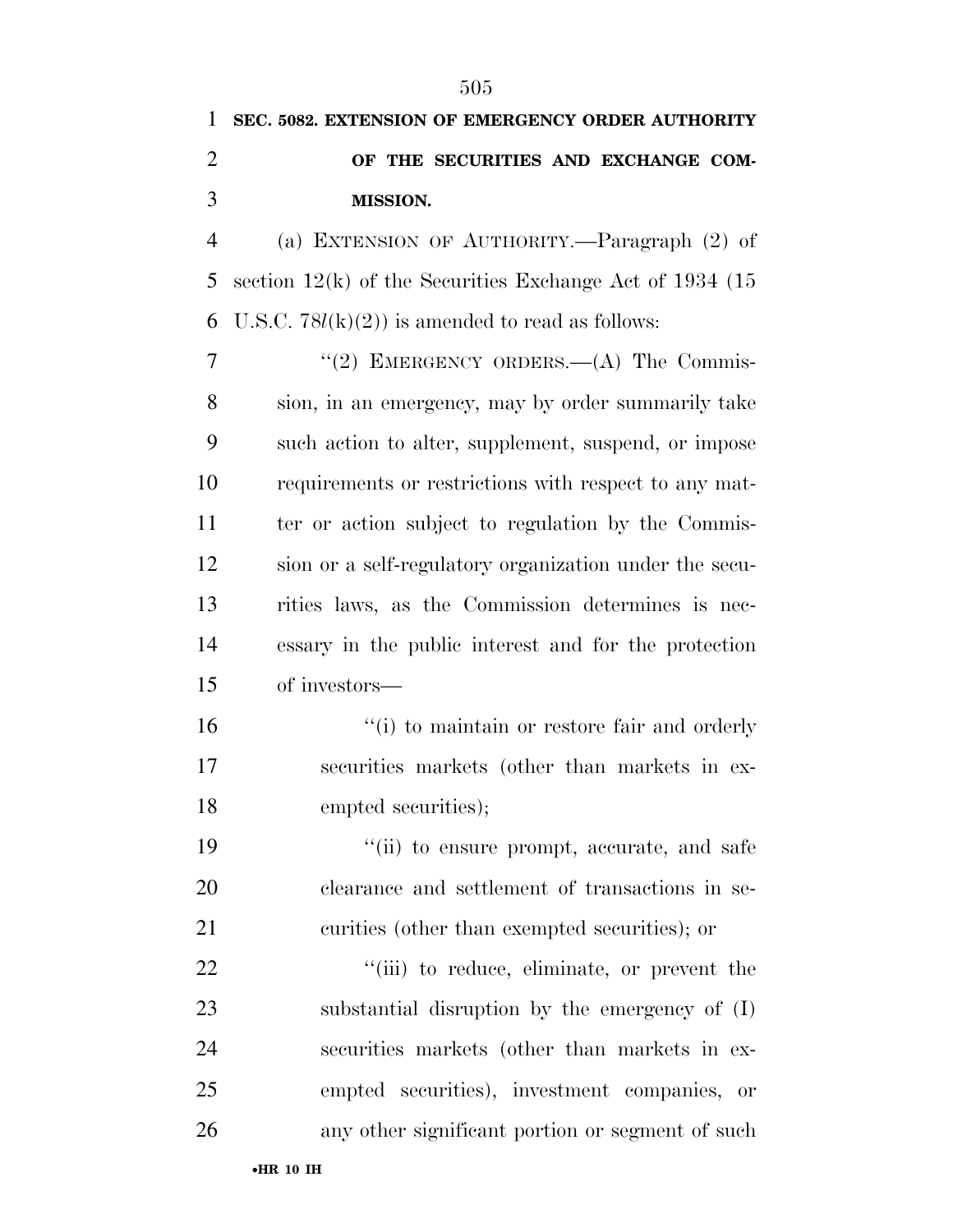# **SEC. 5082. EXTENSION OF EMERGENCY ORDER AUTHORITY OF THE SECURITIES AND EXCHANGE COM-MISSION.**

 (a) EXTENSION OF AUTHORITY.—Paragraph (2) of section 12(k) of the Securities Exchange Act of 1934 (15 6 U.S.C.  $78l(k)(2)$  is amended to read as follows:

7 "(2) EMERGENCY ORDERS.—(A) The Commis- sion, in an emergency, may by order summarily take such action to alter, supplement, suspend, or impose requirements or restrictions with respect to any mat-11 ter or action subject to regulation by the Commis- sion or a self-regulatory organization under the secu- rities laws, as the Commission determines is nec- essary in the public interest and for the protection of investors—

16  $\frac{1}{10}$  to maintain or restore fair and orderly securities markets (other than markets in ex-18 empted securities);

19  $\frac{1}{10}$  to ensure prompt, accurate, and safe clearance and settlement of transactions in se-curities (other than exempted securities); or

 $\frac{1}{2}$   $\frac{1}{2}$   $\frac{1}{2}$  to reduce, eliminate, or prevent the substantial disruption by the emergency of (I) securities markets (other than markets in ex- empted securities), investment companies, or any other significant portion or segment of such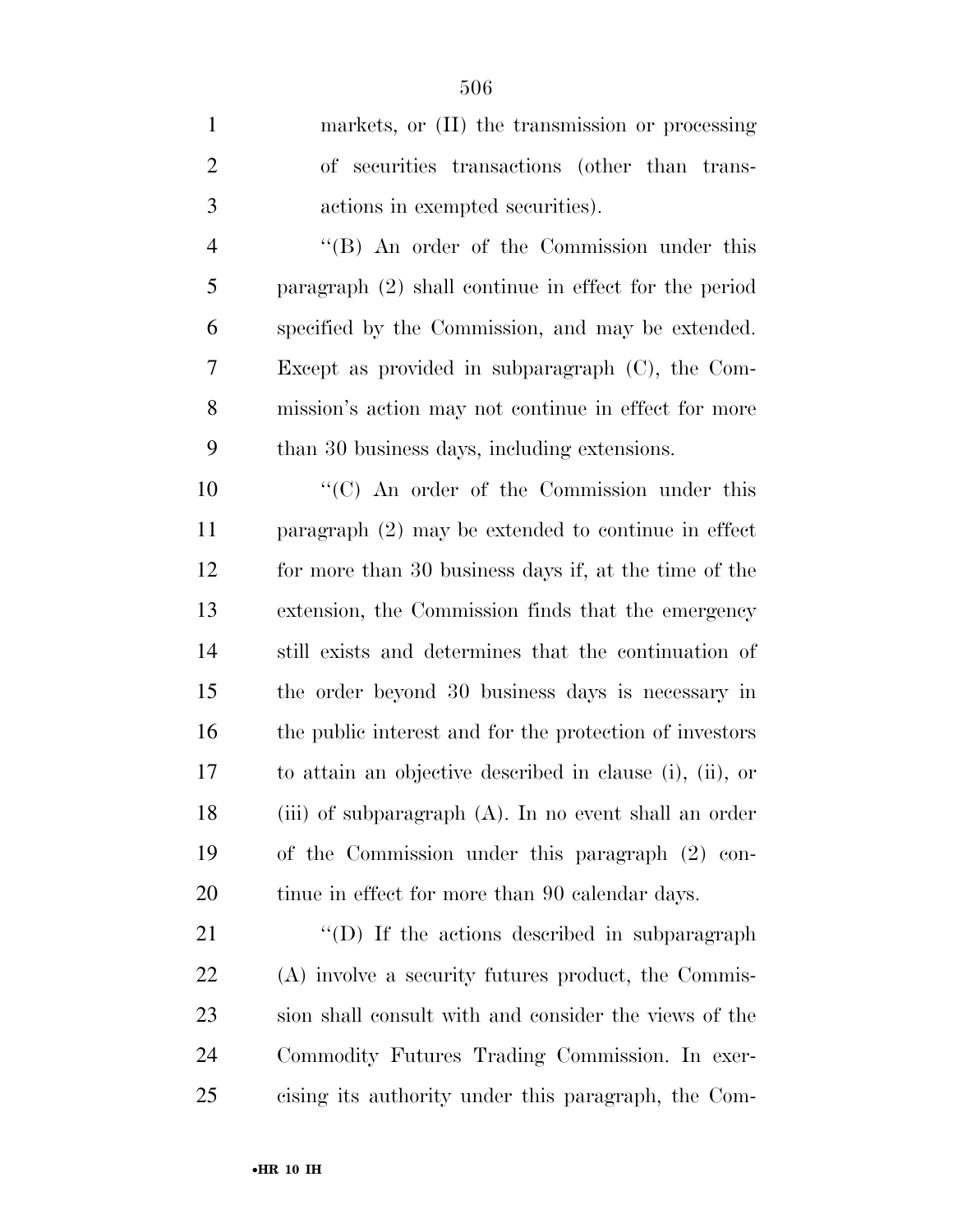| $\mathbf{1}$   | markets, or (II) the transmission or processing          |
|----------------|----------------------------------------------------------|
| $\overline{2}$ | of securities transactions (other than trans-            |
| 3              | actions in exempted securities).                         |
| $\overline{4}$ | "(B) An order of the Commission under this               |
| 5              | paragraph $(2)$ shall continue in effect for the period  |
| 6              | specified by the Commission, and may be extended.        |
| $\overline{7}$ | Except as provided in subparagraph $(C)$ , the Com-      |
| 8              | mission's action may not continue in effect for more     |
| 9              | than 30 business days, including extensions.             |
| 10             | "(C) An order of the Commission under this               |
| 11             | paragraph $(2)$ may be extended to continue in effect    |
| 12             | for more than 30 business days if, at the time of the    |
| 13             | extension, the Commission finds that the emergency       |
| 14             | still exists and determines that the continuation of     |
| 15             | the order beyond 30 business days is necessary in        |
| 16             | the public interest and for the protection of investors  |
| 17             | to attain an objective described in clause (i), (ii), or |
| 18             | (iii) of subparagraph (A). In no event shall an order    |
| 19             | of the Commission under this paragraph (2) con-          |
| 20             | tinue in effect for more than 90 calendar days.          |
| 21             | $\lq\lq$ (D) If the actions described in subparagraph    |

 $\text{``(D)}$  If the actions described in subparagraph (A) involve a security futures product, the Commis- sion shall consult with and consider the views of the Commodity Futures Trading Commission. In exer-cising its authority under this paragraph, the Com-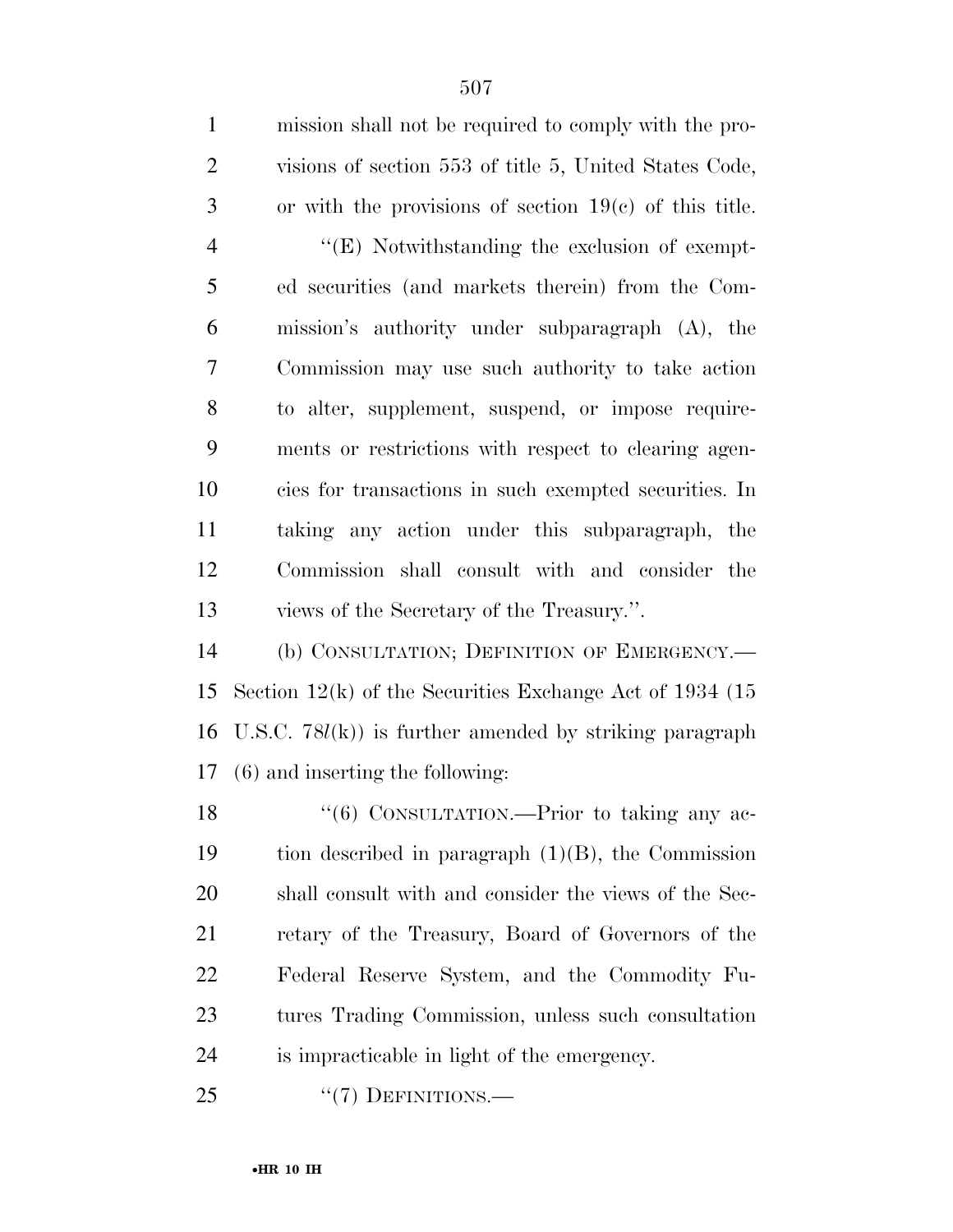| $\mathbf{1}$   | mission shall not be required to comply with the pro-       |
|----------------|-------------------------------------------------------------|
| $\overline{2}$ | visions of section 553 of title 5, United States Code,      |
| 3              | or with the provisions of section $19(c)$ of this title.    |
| $\overline{4}$ | $\lq\lq$ (E) Notwithstanding the exclusion of exempt-       |
| 5              | ed securities (and markets therein) from the Com-           |
| 6              | mission's authority under subparagraph (A), the             |
| 7              | Commission may use such authority to take action            |
| 8              | to alter, supplement, suspend, or impose require-           |
| 9              | ments or restrictions with respect to clearing agen-        |
| 10             | cies for transactions in such exempted securities. In       |
| 11             | taking any action under this subparagraph, the              |
| 12             | Commission shall consult with and consider the              |
| 13             | views of the Secretary of the Treasury.".                   |
| 14             | (b) CONSULTATION; DEFINITION OF EMERGENCY.-                 |
| 15             | Section $12(k)$ of the Securities Exchange Act of 1934 (15) |
| 16             | U.S.C. $78l(k)$ is further amended by striking paragraph    |
| 17             | $(6)$ and inserting the following:                          |
| 18             | "(6) CONSULTATION.—Prior to taking any ac-                  |
| 19             | tion described in paragraph $(1)(B)$ , the Commission       |
| 20             | shall consult with and consider the views of the Sec-       |
| 21             | retary of the Treasury, Board of Governors of the           |
| 22             | Federal Reserve System, and the Commodity Fu-               |
| 23             | tures Trading Commission, unless such consultation          |

is impracticable in light of the emergency.

25 "(7) DEFINITIONS.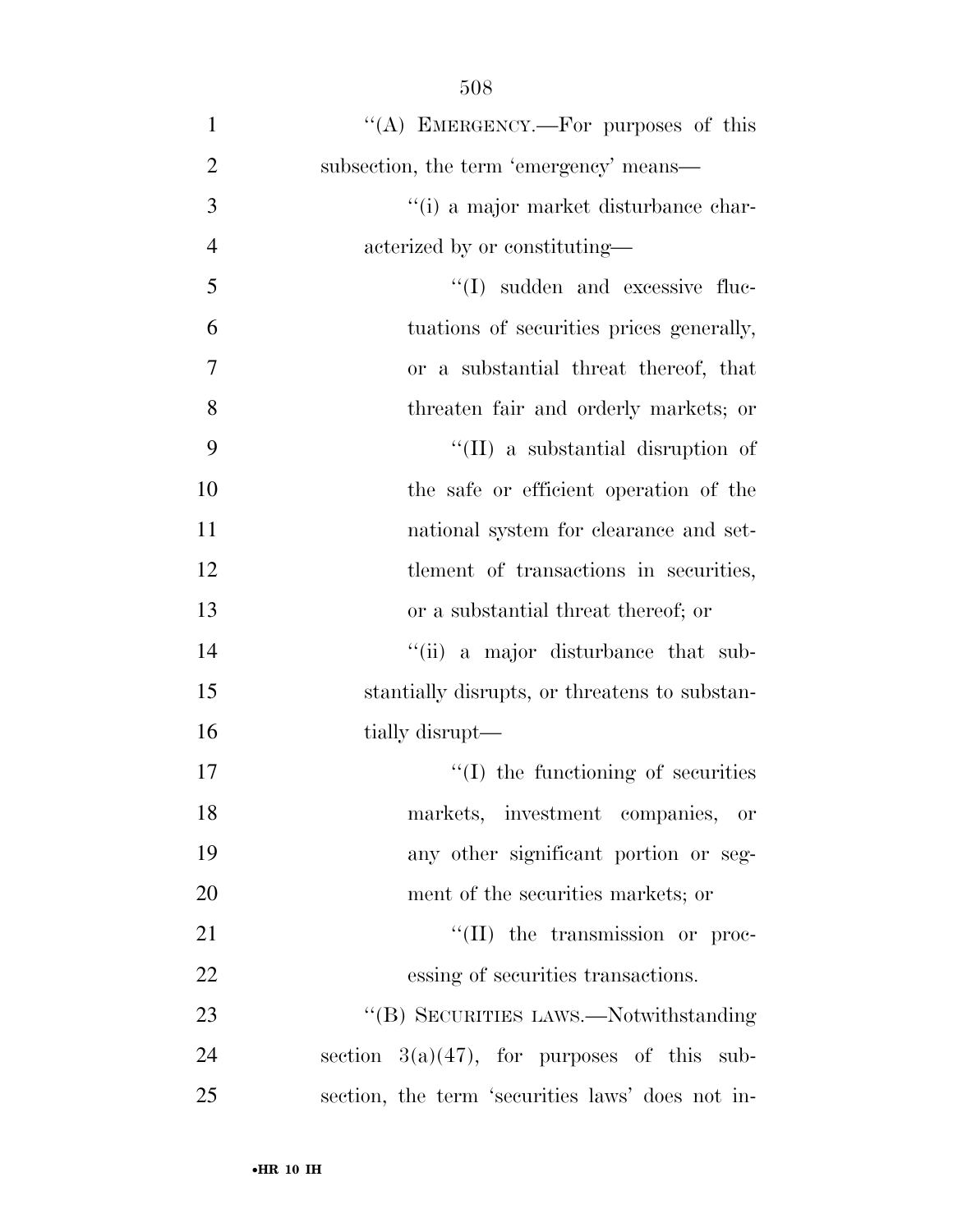| $\mathbf{1}$   | "(A) EMERGENCY.—For purposes of this             |
|----------------|--------------------------------------------------|
| $\overline{2}$ | subsection, the term 'emergency' means—          |
| 3              | "(i) a major market disturbance char-            |
| $\overline{4}$ | acterized by or constituting—                    |
| 5              | $\lq\lq$ sudden and excessive fluc-              |
| 6              | tuations of securities prices generally,         |
| 7              | or a substantial threat thereof, that            |
| 8              | threaten fair and orderly markets; or            |
| 9              | "(II) a substantial disruption of                |
| 10             | the safe or efficient operation of the           |
| 11             | national system for clearance and set-           |
| 12             | tlement of transactions in securities,           |
| 13             | or a substantial threat thereof; or              |
| 14             | "(ii) a major disturbance that sub-              |
| 15             | stantially disrupts, or threatens to substan-    |
| 16             | tially disrupt—                                  |
| 17             | $\lq\lq$ (I) the functioning of securities       |
| 18             | markets, investment companies, or                |
| 19             | any other significant portion or seg-            |
| 20             | ment of the securities markets; or               |
| 21             | $\lq\lq$ (II) the transmission or proc-          |
| 22             | essing of securities transactions.               |
| 23             | "(B) SECURITIES LAWS.—Notwithstanding            |
| 24             | section $3(a)(47)$ , for purposes of this sub-   |
| 25             | section, the term 'securities laws' does not in- |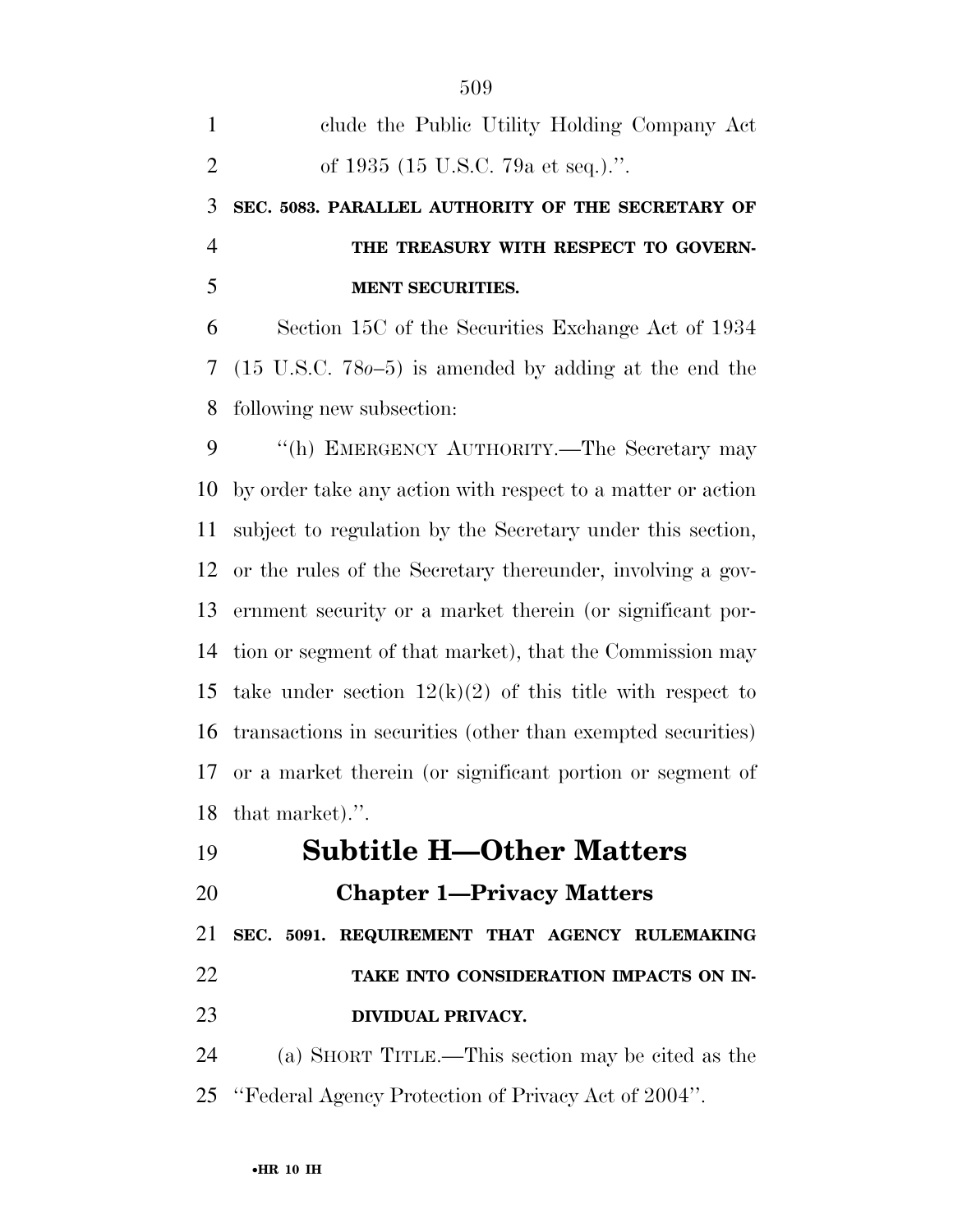| 1              | clude the Public Utility Holding Company Act                     |
|----------------|------------------------------------------------------------------|
| $\overline{2}$ | of 1935 (15 U.S.C. 79a et seq.).".                               |
| 3              | SEC. 5083. PARALLEL AUTHORITY OF THE SECRETARY OF                |
| $\overline{4}$ | THE TREASURY WITH RESPECT TO GOVERN-                             |
| 5              | <b>MENT SECURITIES.</b>                                          |
| 6              | Section 15C of the Securities Exchange Act of 1934               |
| $\tau$         | $(15 \text{ U.S.C. } 780-5)$ is amended by adding at the end the |
| 8              | following new subsection:                                        |
| 9              | "(h) EMERGENCY AUTHORITY.—The Secretary may                      |
| 10             | by order take any action with respect to a matter or action      |
| 11             | subject to regulation by the Secretary under this section,       |
| 12             | or the rules of the Secretary thereunder, involving a gov-       |
| 13             | ernment security or a market therein (or significant por-        |
| 14             | tion or segment of that market), that the Commission may         |
| 15             | take under section $12(k)(2)$ of this title with respect to      |
| 16             | transactions in securities (other than exempted securities)      |
| 17             | or a market therein (or significant portion or segment of        |
| 18             | that market).".                                                  |
| 19             | <b>Subtitle H-Other Matters</b>                                  |

- **Subtitle H—Other Matters**
- 

# **Chapter 1—Privacy Matters**

 **SEC. 5091. REQUIREMENT THAT AGENCY RULEMAKING TAKE INTO CONSIDERATION IMPACTS ON IN-DIVIDUAL PRIVACY.** 

 (a) SHORT TITLE.—This section may be cited as the ''Federal Agency Protection of Privacy Act of 2004''.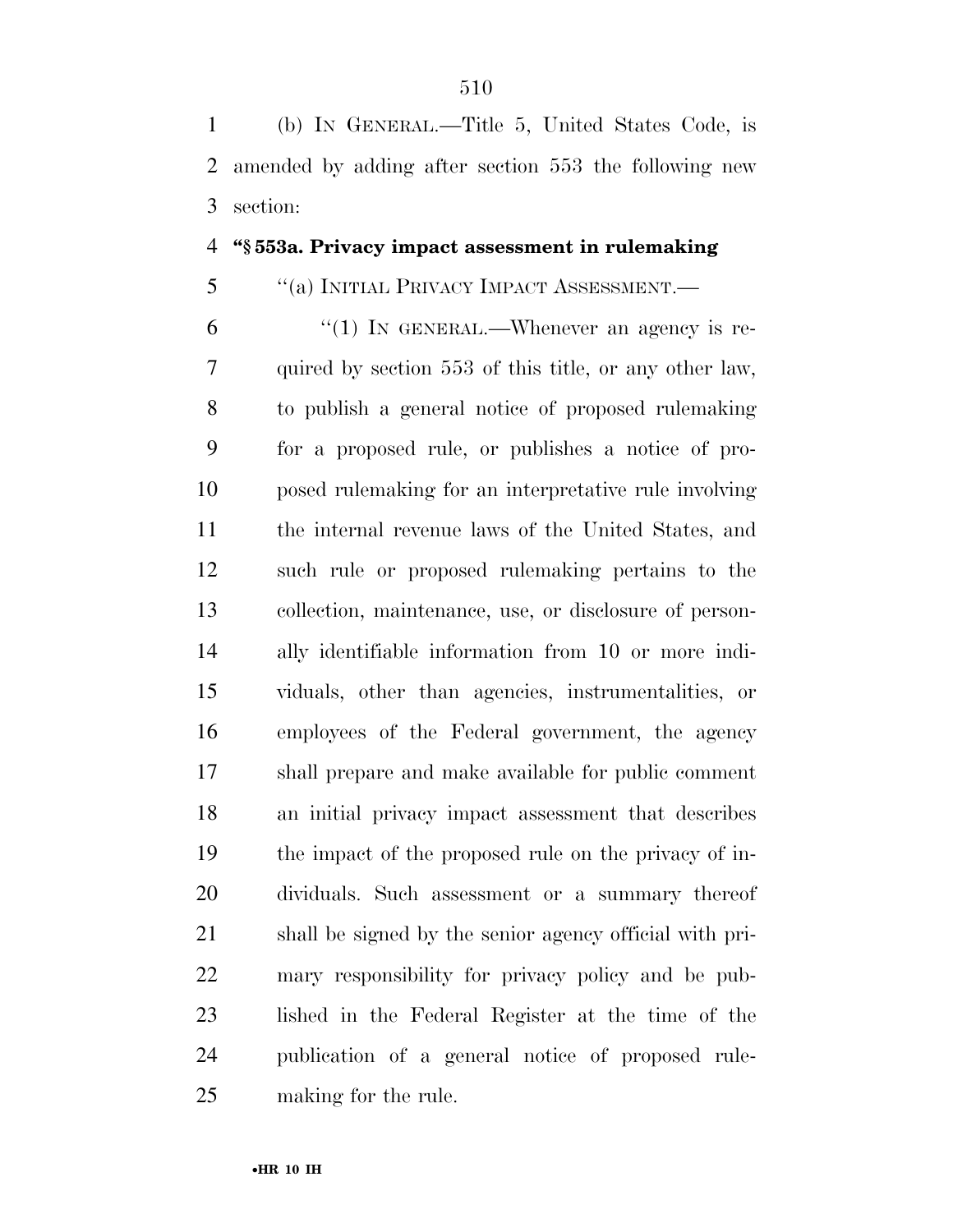(b) IN GENERAL.—Title 5, United States Code, is amended by adding after section 553 the following new section:

#### **''§ 553a. Privacy impact assessment in rulemaking**

## ''(a) INITIAL PRIVACY IMPACT ASSESSMENT.—

 $^{\prime\prime}(1)$  In GENERAL.—Whenever an agency is re- quired by section 553 of this title, or any other law, to publish a general notice of proposed rulemaking for a proposed rule, or publishes a notice of pro- posed rulemaking for an interpretative rule involving the internal revenue laws of the United States, and such rule or proposed rulemaking pertains to the collection, maintenance, use, or disclosure of person- ally identifiable information from 10 or more indi- viduals, other than agencies, instrumentalities, or employees of the Federal government, the agency shall prepare and make available for public comment an initial privacy impact assessment that describes the impact of the proposed rule on the privacy of in- dividuals. Such assessment or a summary thereof shall be signed by the senior agency official with pri- mary responsibility for privacy policy and be pub- lished in the Federal Register at the time of the publication of a general notice of proposed rule-making for the rule.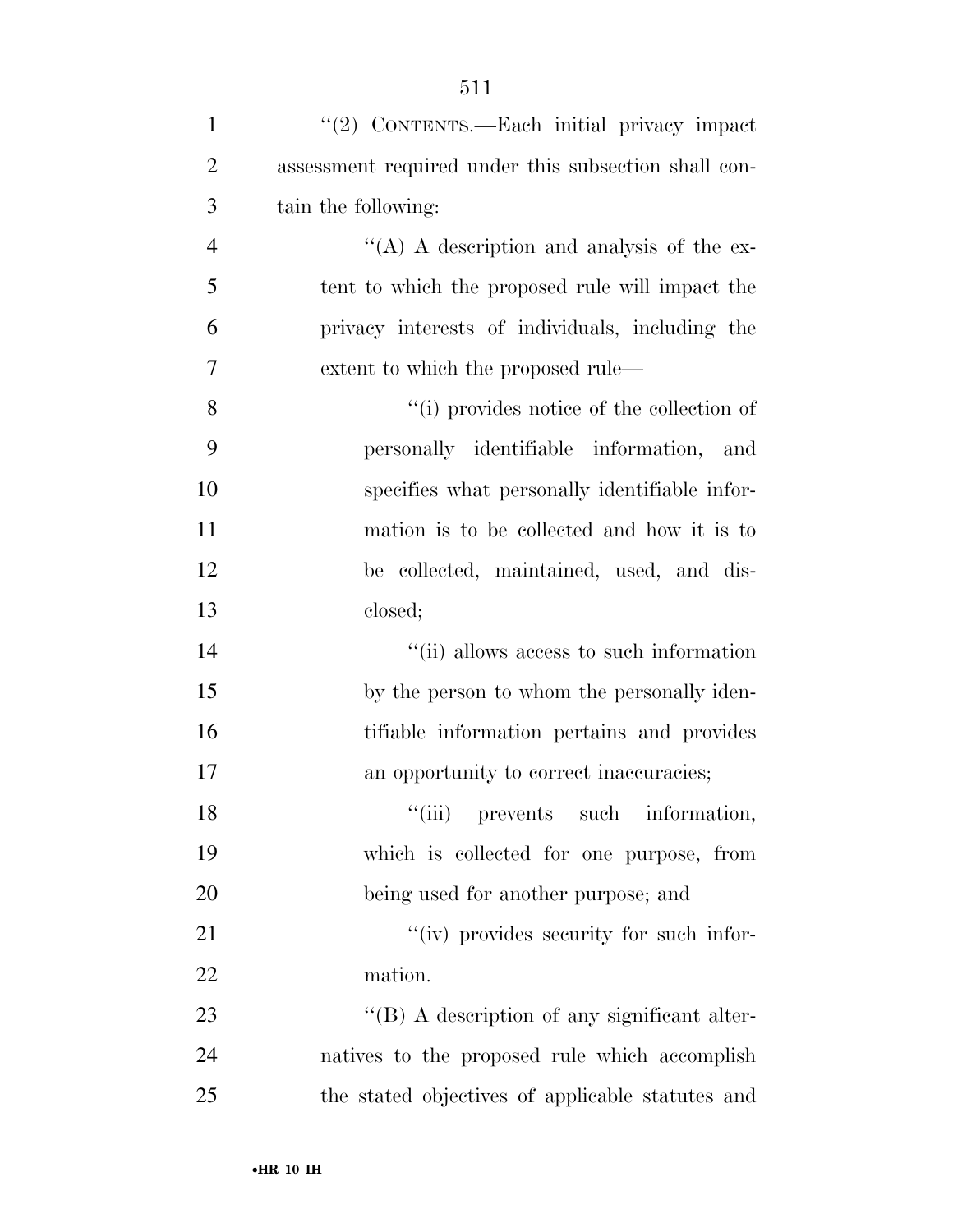| $\mathbf{1}$   | "(2) CONTENTS.—Each initial privacy impact           |
|----------------|------------------------------------------------------|
| $\overline{2}$ | assessment required under this subsection shall con- |
| 3              | tain the following:                                  |
| $\overline{4}$ | "(A) A description and analysis of the ex-           |
| 5              | tent to which the proposed rule will impact the      |
| 6              | privacy interests of individuals, including the      |
| 7              | extent to which the proposed rule—                   |
| 8              | "(i) provides notice of the collection of            |
| 9              | personally identifiable information, and             |
| 10             | specifies what personally identifiable infor-        |
| 11             | mation is to be collected and how it is to           |
| 12             | be collected, maintained, used, and dis-             |
| 13             | closed;                                              |
| 14             | "(ii) allows access to such information              |
| 15             | by the person to whom the personally iden-           |
| 16             | tifiable information pertains and provides           |
| 17             | an opportunity to correct inaccuracies;              |
| 18             | "(iii) prevents such information,                    |
| 19             | which is collected for one purpose, from             |
| 20             | being used for another purpose; and                  |
| 21             | "(iv) provides security for such infor-              |
| 22             | mation.                                              |
| 23             | $\lq\lq (B)$ A description of any significant alter- |
| 24             | natives to the proposed rule which accomplish        |
| 25             | the stated objectives of applicable statutes and     |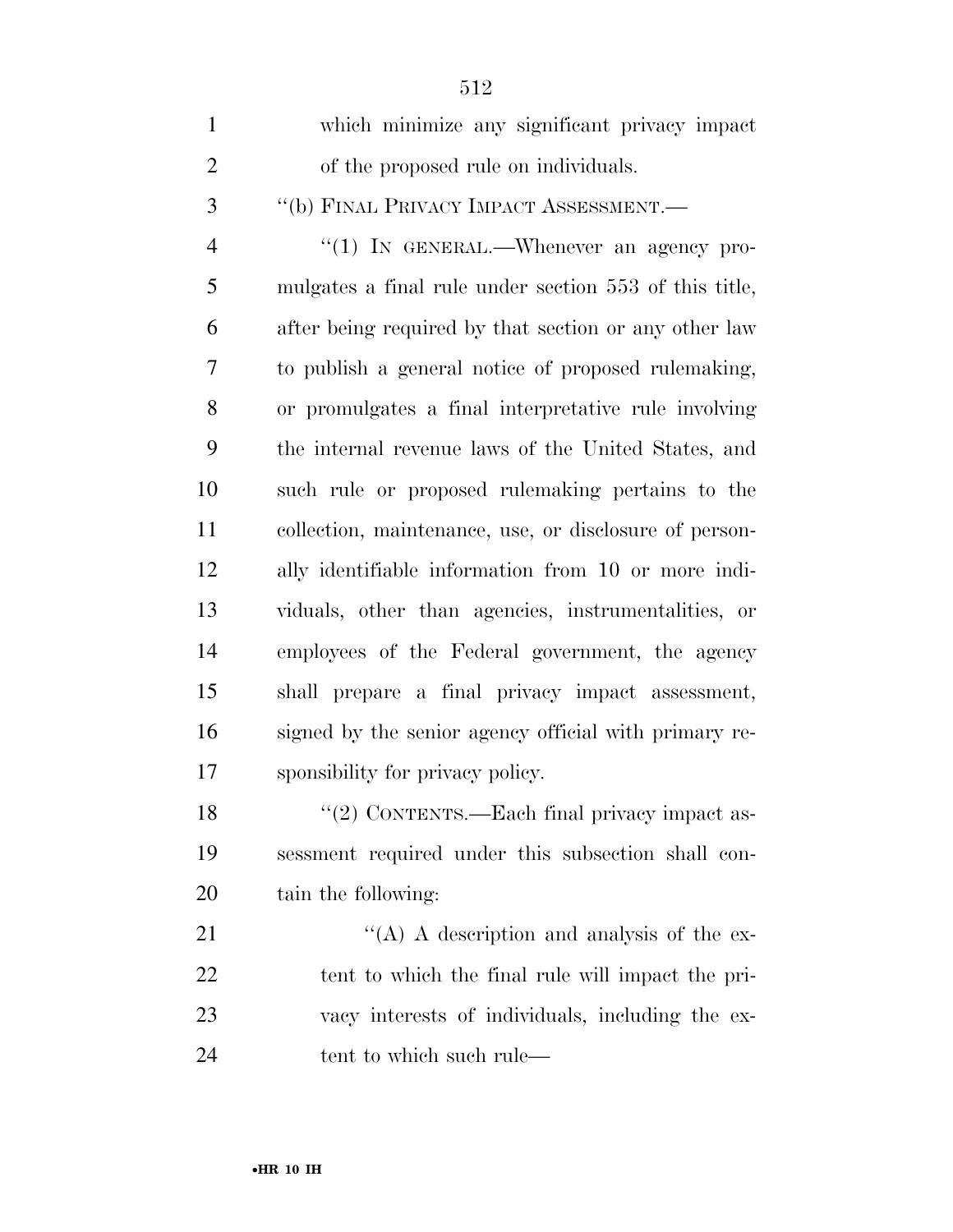| $\mathbf{1}$   | which minimize any significant privacy impact          |
|----------------|--------------------------------------------------------|
| $\overline{2}$ | of the proposed rule on individuals.                   |
| 3              | "(b) FINAL PRIVACY IMPACT ASSESSMENT.-                 |
| $\overline{4}$ | "(1) IN GENERAL.—Whenever an agency pro-               |
| 5              | mulgates a final rule under section 553 of this title, |
| 6              | after being required by that section or any other law  |
| 7              | to publish a general notice of proposed rulemaking,    |
| 8              | or promulgates a final interpretative rule involving   |
| 9              | the internal revenue laws of the United States, and    |
| 10             | such rule or proposed rulemaking pertains to the       |
| 11             | collection, maintenance, use, or disclosure of person- |
| 12             | ally identifiable information from 10 or more indi-    |
| 13             | viduals, other than agencies, instrumentalities, or    |
| 14             | employees of the Federal government, the agency        |
| 15             | shall prepare a final privacy impact assessment,       |
| 16             | signed by the senior agency official with primary re-  |
| 17             | sponsibility for privacy policy.                       |
| 18             | "(2) CONTENTS.—Each final privacy impact as-           |
| 19             | sessment required under this subsection shall con-     |
| 20             | tain the following:                                    |
| 21             | $\lq\lq$ (A) A description and analysis of the ex-     |
| 22             | tent to which the final rule will impact the pri-      |
| 23             | vacy interests of individuals, including the ex-       |
| 24             | tent to which such rule—                               |
|                |                                                        |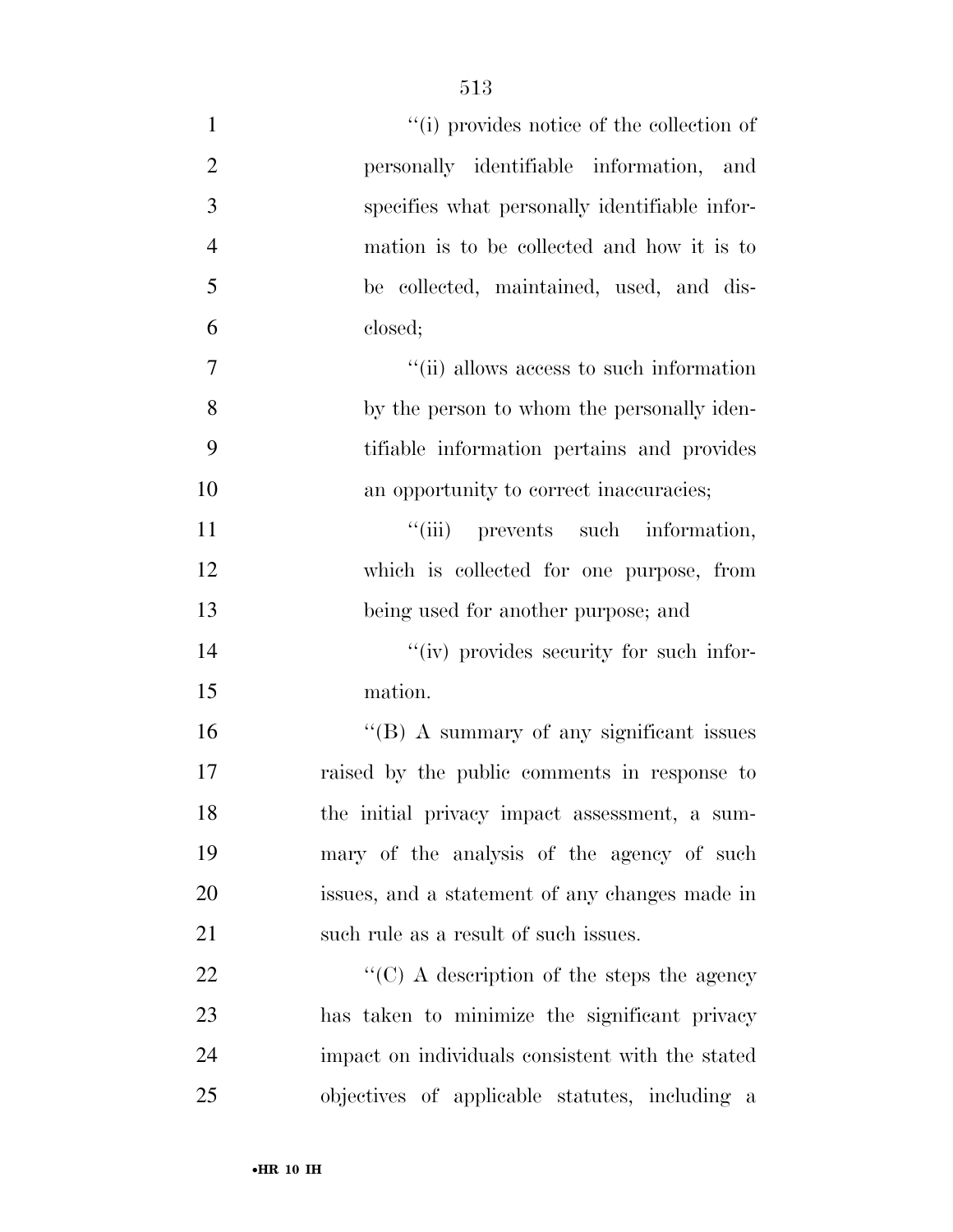| $\mathbf{1}$     | "(i) provides notice of the collection of          |
|------------------|----------------------------------------------------|
| $\overline{2}$   | personally identifiable information, and           |
| $\mathfrak{Z}$   | specifies what personally identifiable infor-      |
| $\overline{4}$   | mation is to be collected and how it is to         |
| 5                | be collected, maintained, used, and dis-           |
| 6                | closed;                                            |
| $\boldsymbol{7}$ | "(ii) allows access to such information            |
| 8                | by the person to whom the personally iden-         |
| 9                | tifiable information pertains and provides         |
| 10               | an opportunity to correct inaccuracies;            |
| 11               | "(iii) prevents such information,                  |
| 12               | which is collected for one purpose, from           |
| 13               | being used for another purpose; and                |
| 14               | "(iv) provides security for such infor-            |
| 15               | mation.                                            |
| 16               | $\lq\lq(B)$ A summary of any significant issues    |
| 17               | raised by the public comments in response to       |
| 18               | the initial privacy impact assessment, a sum-      |
| 19               | mary of the analysis of the agency of such         |
| 20               | issues, and a statement of any changes made in     |
| 21               | such rule as a result of such issues.              |
| 22               | $\lq\lq$ (C) A description of the steps the agency |
| 23               | has taken to minimize the significant privacy      |
| 24               | impact on individuals consistent with the stated   |
| 25               | objectives of applicable statutes, including a     |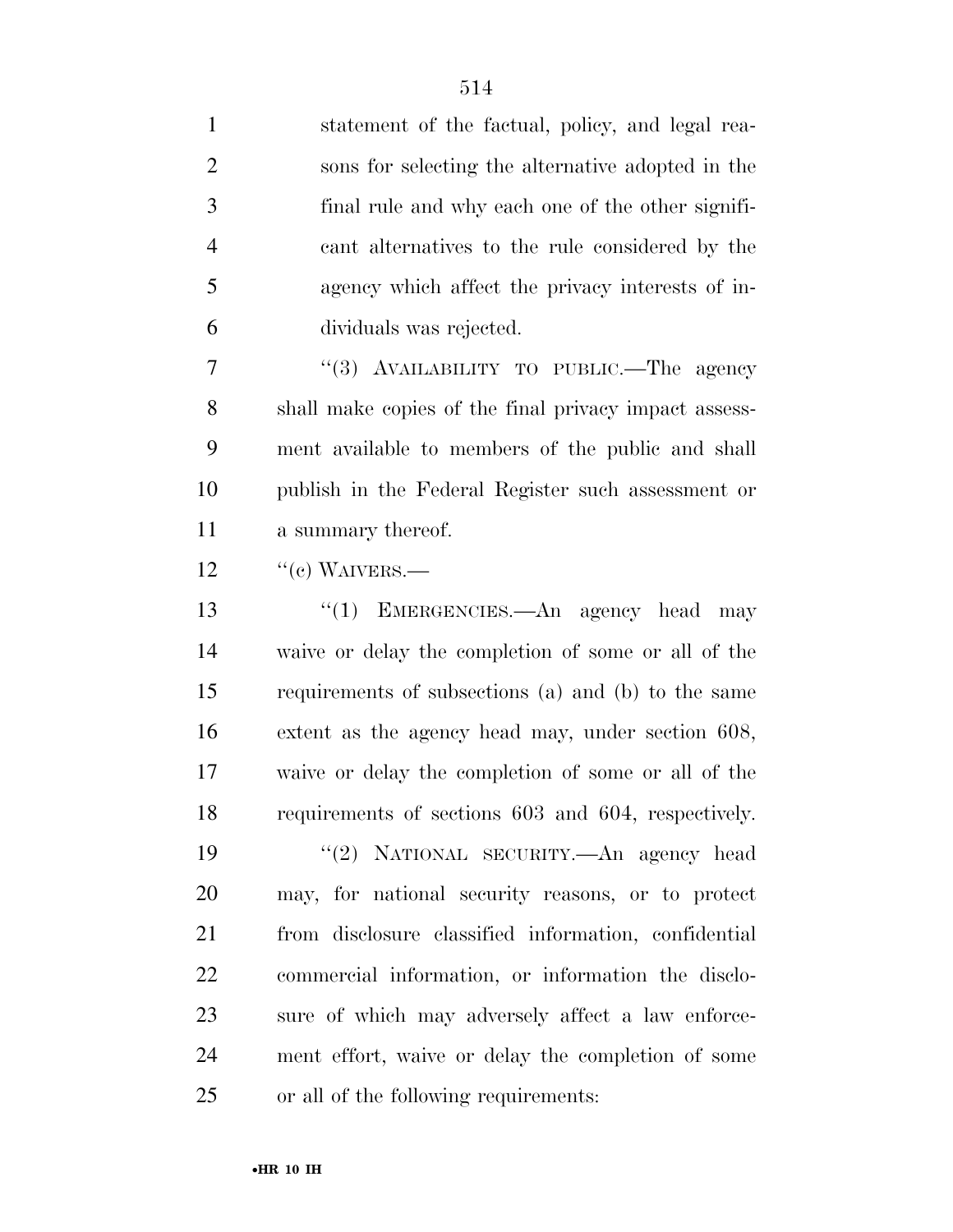statement of the factual, policy, and legal rea- sons for selecting the alternative adopted in the final rule and why each one of the other signifi- cant alternatives to the rule considered by the agency which affect the privacy interests of in- dividuals was rejected. 7 "(3) AVAILABILITY TO PUBLIC.—The agency shall make copies of the final privacy impact assess- ment available to members of the public and shall publish in the Federal Register such assessment or a summary thereof. "(e) WAIVERS.— 13 ''(1) EMERGENCIES.—An agency head may waive or delay the completion of some or all of the requirements of subsections (a) and (b) to the same extent as the agency head may, under section 608, waive or delay the completion of some or all of the requirements of sections 603 and 604, respectively. ''(2) NATIONAL SECURITY.—An agency head may, for national security reasons, or to protect from disclosure classified information, confidential commercial information, or information the disclo- sure of which may adversely affect a law enforce- ment effort, waive or delay the completion of some or all of the following requirements: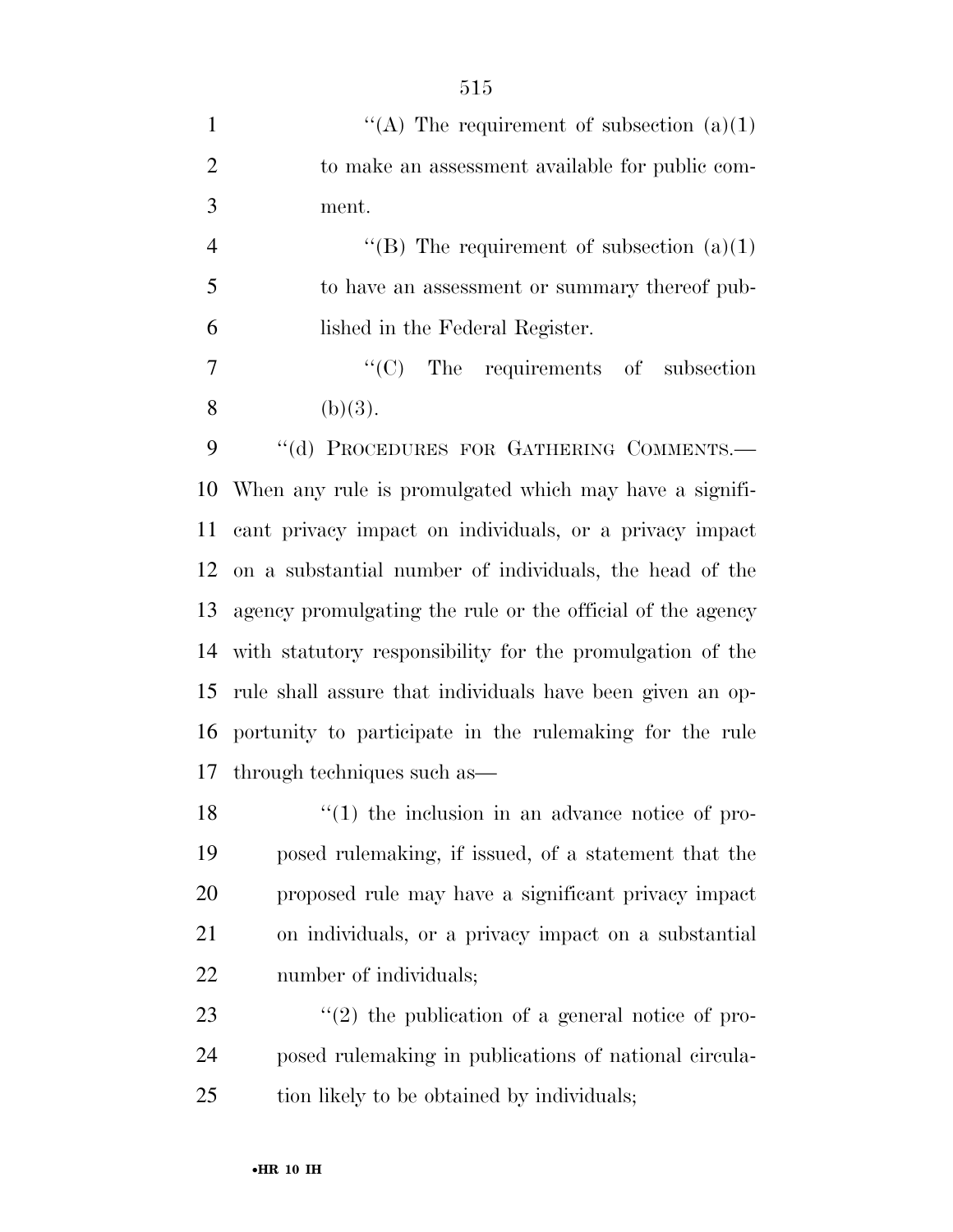|               | "(A) The requirement of subsection $(a)(1)$     |
|---------------|-------------------------------------------------|
| $\mathcal{D}$ | to make an assessment available for public com- |
| $\mathcal{R}$ | ment.                                           |

4  $\text{``(B)}$  The requirement of subsection (a)(1) to have an assessment or summary thereof pub-lished in the Federal Register.

7  $\text{``(C)}$  The requirements of subsection 8 (b)(3).

9 "(d) PROCEDURES FOR GATHERING COMMENTS.— When any rule is promulgated which may have a signifi- cant privacy impact on individuals, or a privacy impact on a substantial number of individuals, the head of the agency promulgating the rule or the official of the agency with statutory responsibility for the promulgation of the rule shall assure that individuals have been given an op- portunity to participate in the rulemaking for the rule through techniques such as—

18 ''(1) the inclusion in an advance notice of pro- posed rulemaking, if issued, of a statement that the proposed rule may have a significant privacy impact on individuals, or a privacy impact on a substantial number of individuals;

23  $\frac{1}{2}$  (2) the publication of a general notice of pro- posed rulemaking in publications of national circula-tion likely to be obtained by individuals;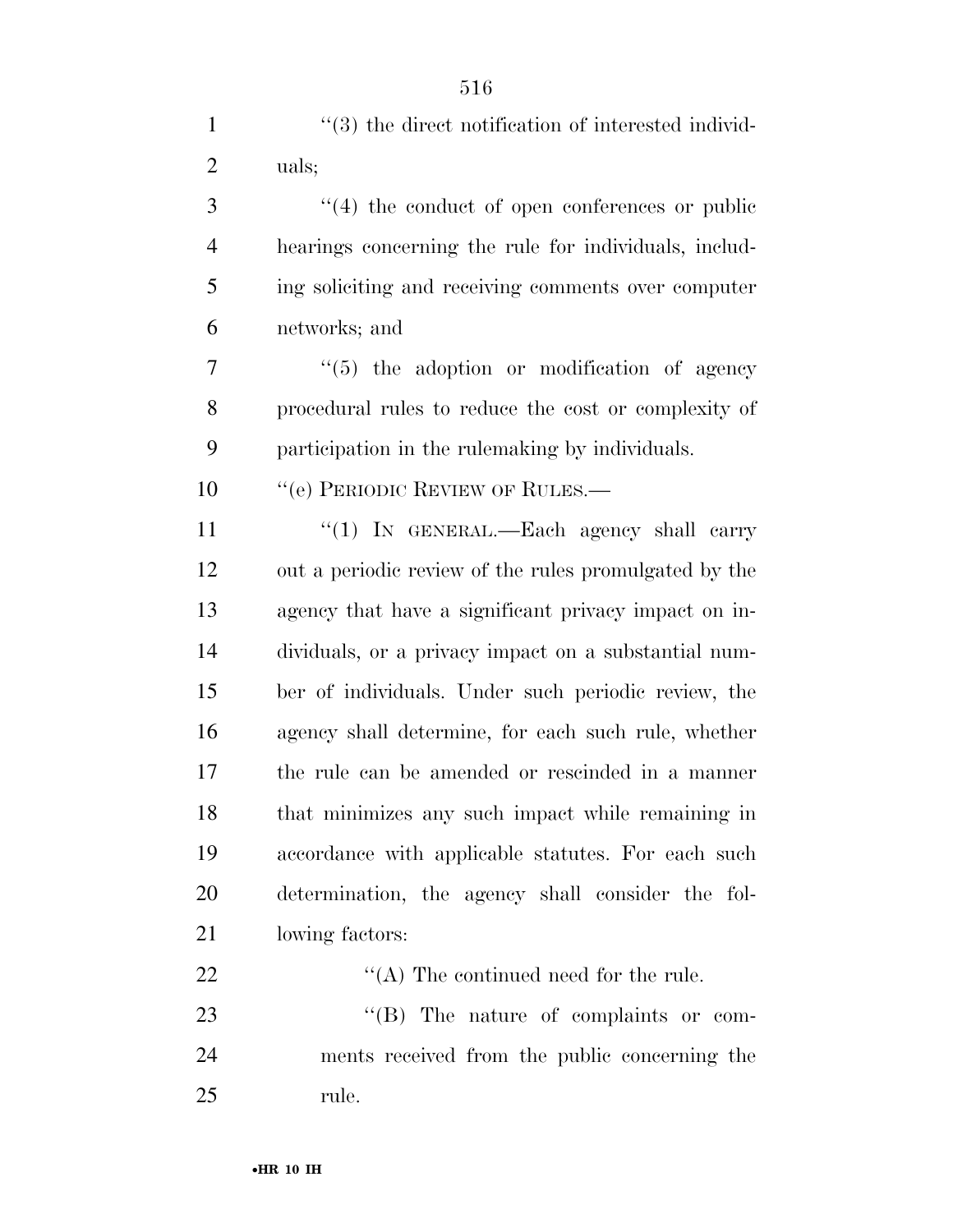1 ''(3) the direct notification of interested individ-

| uals;                                                 |
|-------------------------------------------------------|
| $\cdot$ (4) the conduct of open conferences or public |
| hearings concerning the rule for individuals, includ- |
| ing soliciting and receiving comments over computer   |
| networks; and                                         |
| $\lq(5)$ the adoption or modification of agency       |
| procedural rules to reduce the cost or complexity of  |
| participation in the rule making by individuals.      |
| $``$ (e) PERIODIC REVIEW OF RULES.—                   |
| "(1) IN GENERAL.—Each agency shall carry              |
| out a periodic review of the rules promulgated by the |
| agency that have a significant privacy impact on in-  |
| dividuals, or a privacy impact on a substantial num-  |
| ber of individuals. Under such periodic review, the   |
| agency shall determine, for each such rule, whether   |
| the rule can be amended or rescinded in a manner      |
| that minimizes any such impact while remaining in     |
| accordance with applicable statutes. For each such    |
| determination, the agency shall consider the fol-     |
| lowing factors:                                       |
| $\lq\lq$ (A) The continued need for the rule.         |
| "(B) The nature of complaints or com-                 |
| ments received from the public concerning the         |
| rule.                                                 |
| $\bullet$ HR 10 IH                                    |
|                                                       |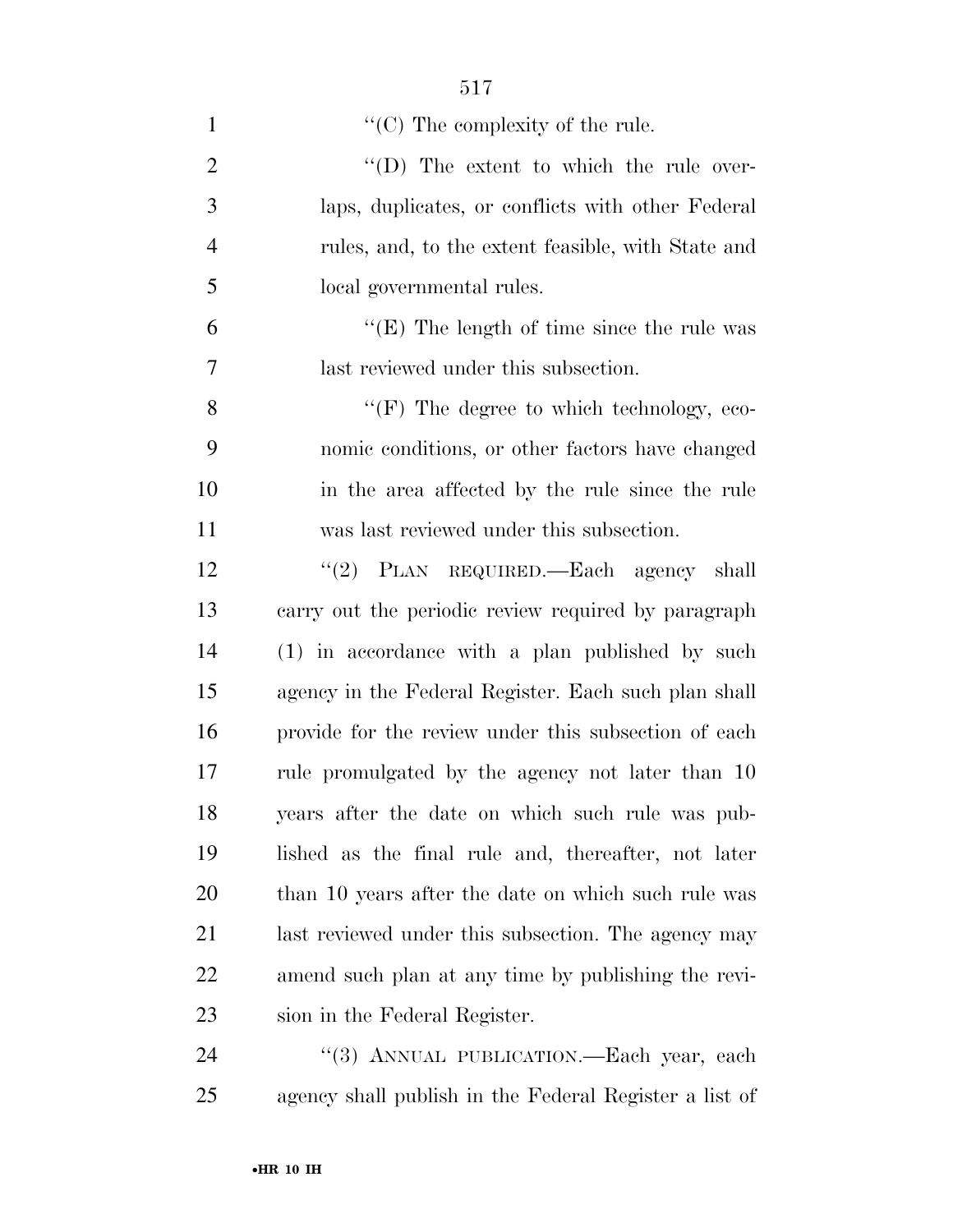| $\mathbf{1}$   | $\lq\lq$ (C) The complexity of the rule.             |
|----------------|------------------------------------------------------|
| $\overline{2}$ | $\lq\lq$ (D) The extent to which the rule over-      |
| 3              | laps, duplicates, or conflicts with other Federal    |
| $\overline{4}$ | rules, and, to the extent feasible, with State and   |
| 5              | local governmental rules.                            |
| 6              | " $(E)$ The length of time since the rule was        |
| 7              | last reviewed under this subsection.                 |
| 8              | $\lq\lq(F)$ The degree to which technology, eco-     |
| 9              | nomic conditions, or other factors have changed      |
| 10             | in the area affected by the rule since the rule      |
| 11             | was last reviewed under this subsection.             |
| 12             | "(2) PLAN REQUIRED.—Each agency shall                |
| 13             | carry out the periodic review required by paragraph  |
| 14             | (1) in accordance with a plan published by such      |
| 15             | agency in the Federal Register. Each such plan shall |
| 16             | provide for the review under this subsection of each |
| 17             | rule promulgated by the agency not later than 10     |
| 18             | years after the date on which such rule was pub-     |
| 19             | lished as the final rule and, thereafter, not later  |
| 20             | than 10 years after the date on which such rule was  |
| 21             | last reviewed under this subsection. The agency may  |
| 22             | amend such plan at any time by publishing the revi-  |
| 23             | sion in the Federal Register.                        |
| 24             | "(3) ANNUAL PUBLICATION.—Each year, each             |

agency shall publish in the Federal Register a list of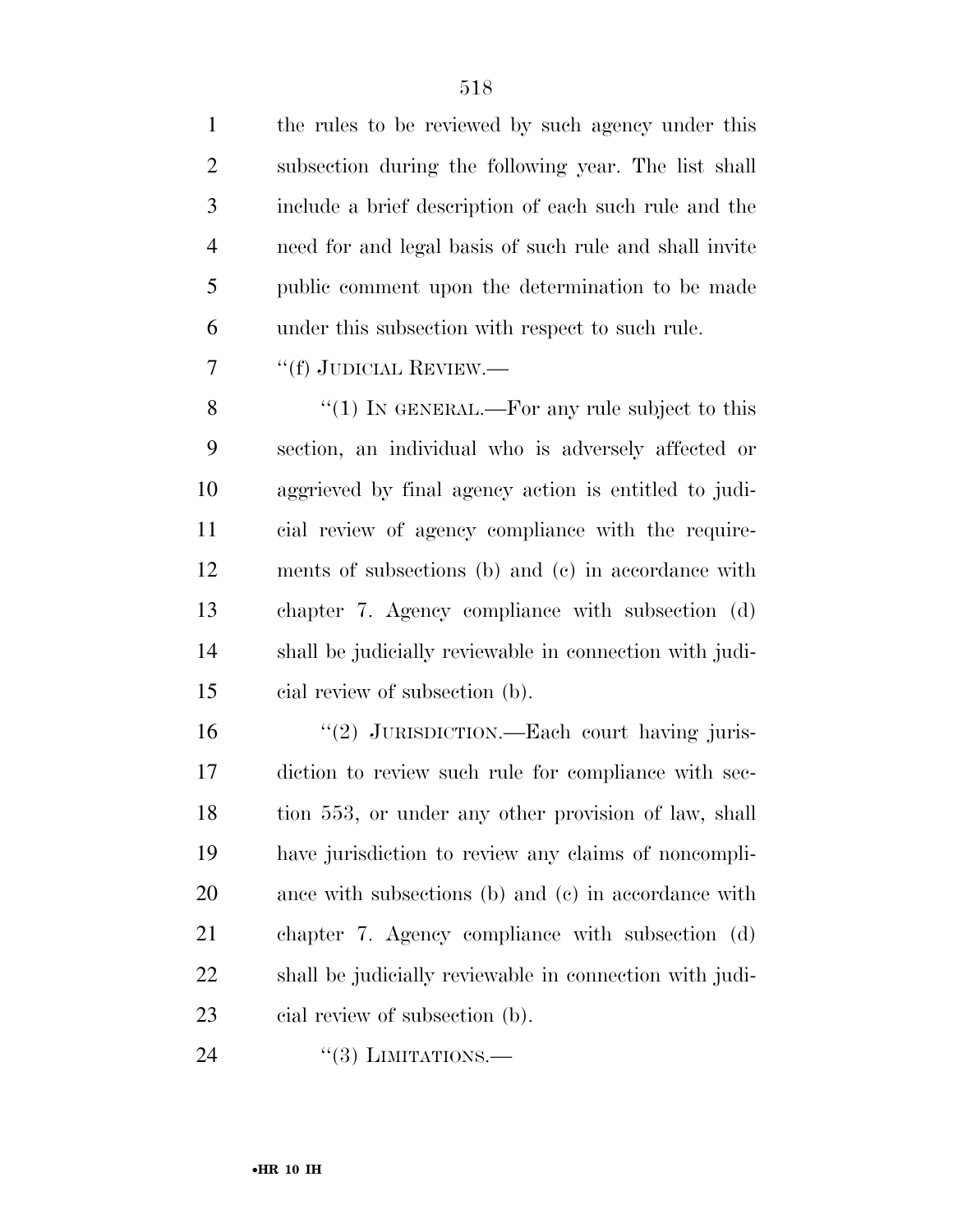the rules to be reviewed by such agency under this subsection during the following year. The list shall include a brief description of each such rule and the need for and legal basis of such rule and shall invite public comment upon the determination to be made under this subsection with respect to such rule.

''(f) JUDICIAL REVIEW.—

8 "(1) IN GENERAL.—For any rule subject to this section, an individual who is adversely affected or aggrieved by final agency action is entitled to judi- cial review of agency compliance with the require- ments of subsections (b) and (c) in accordance with chapter 7. Agency compliance with subsection (d) shall be judicially reviewable in connection with judi-cial review of subsection (b).

16 "(2) JURISDICTION.—Each court having juris- diction to review such rule for compliance with sec- tion 553, or under any other provision of law, shall have jurisdiction to review any claims of noncompli- ance with subsections (b) and (c) in accordance with chapter 7. Agency compliance with subsection (d) shall be judicially reviewable in connection with judi-cial review of subsection (b).

24 "(3) LIMITATIONS.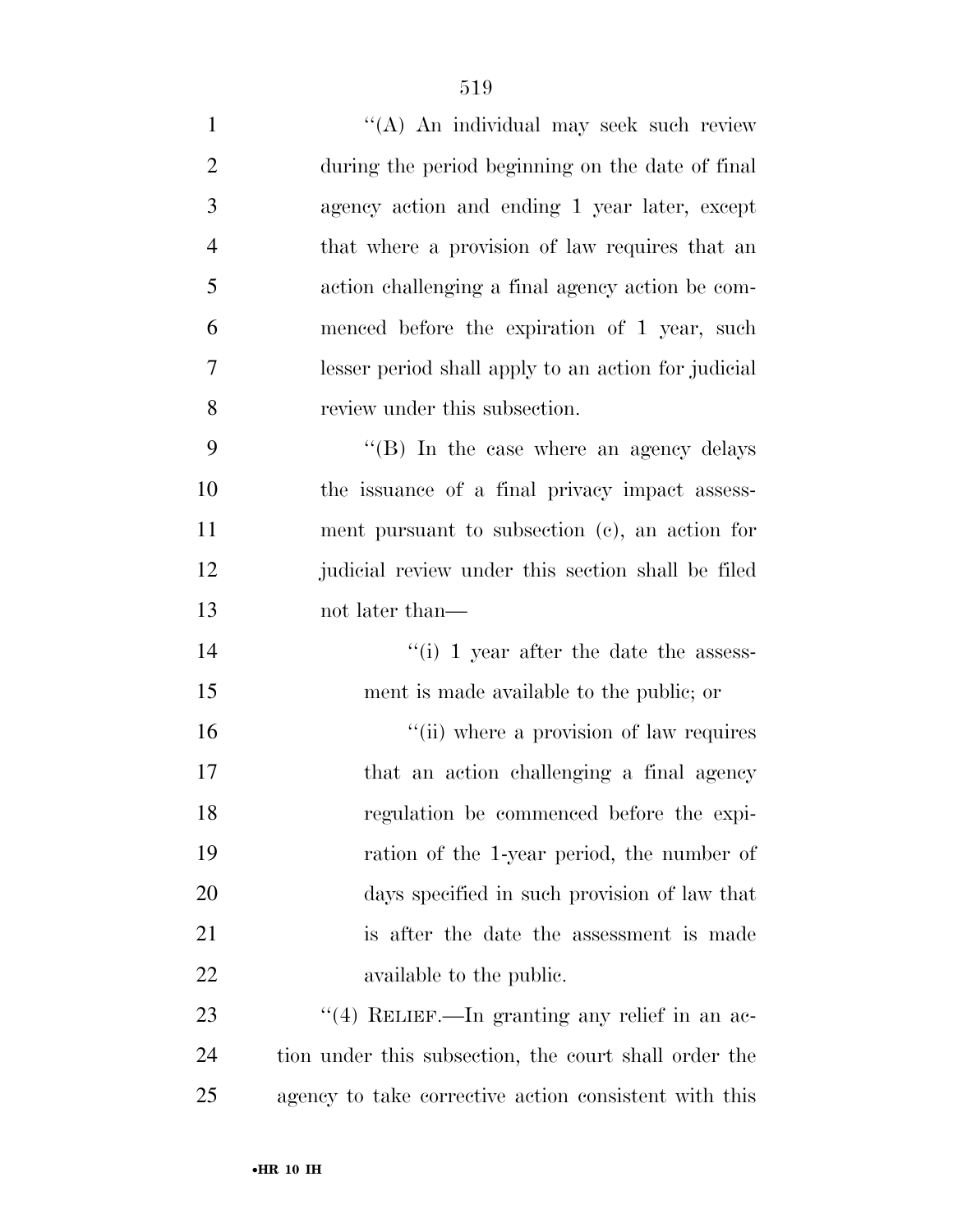| $\mathbf{1}$   | "(A) An individual may seek such review                  |
|----------------|----------------------------------------------------------|
| $\overline{2}$ | during the period beginning on the date of final         |
| 3              | agency action and ending 1 year later, except            |
| $\overline{4}$ | that where a provision of law requires that an           |
| 5              | action challenging a final agency action be com-         |
| 6              | menced before the expiration of 1 year, such             |
| $\overline{7}$ | lesser period shall apply to an action for judicial      |
| 8              | review under this subsection.                            |
| 9              | "(B) In the case where an agency delays                  |
| 10             | the issuance of a final privacy impact assess-           |
| 11             | ment pursuant to subsection $(c)$ , an action for        |
| 12             | judicial review under this section shall be filed        |
| 13             | not later than—                                          |
| 14             | $\lq$ <sup>"</sup> (i) 1 year after the date the assess- |
| 15             | ment is made available to the public; or                 |
| 16             | "(ii) where a provision of law requires                  |
| 17             | that an action challenging a final agency                |
| 18             | regulation be commenced before the expi-                 |
| 19             | ration of the 1-year period, the number of               |
| 20             | days specified in such provision of law that             |
| 21             | is after the date the assessment is made                 |
| 22             | available to the public.                                 |
| 23             | "(4) RELIEF.—In granting any relief in an ac-            |
| 24             | tion under this subsection, the court shall order the    |
| 25             | agency to take corrective action consistent with this    |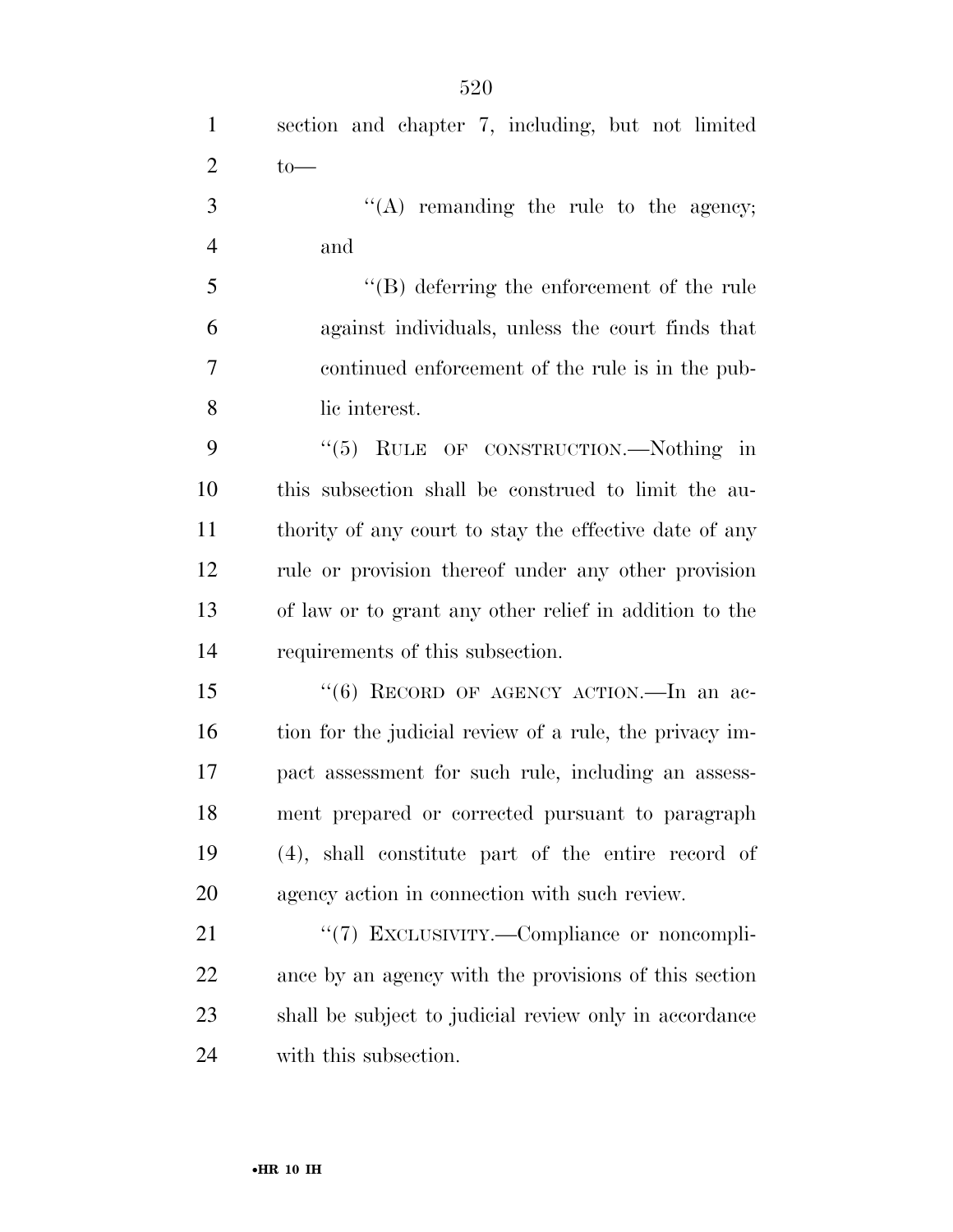''(A) remanding the rule to the agency; and

 ''(B) deferring the enforcement of the rule against individuals, unless the court finds that continued enforcement of the rule is in the pub-lic interest.

9 "(5) RULE OF CONSTRUCTION.—Nothing in this subsection shall be construed to limit the au- thority of any court to stay the effective date of any rule or provision thereof under any other provision of law or to grant any other relief in addition to the requirements of this subsection.

15 "(6) RECORD OF AGENCY ACTION.—In an ac-16 tion for the judicial review of a rule, the privacy im- pact assessment for such rule, including an assess- ment prepared or corrected pursuant to paragraph (4), shall constitute part of the entire record of agency action in connection with such review.

21 "(7) EXCLUSIVITY.—Compliance or noncompli- ance by an agency with the provisions of this section shall be subject to judicial review only in accordance with this subsection.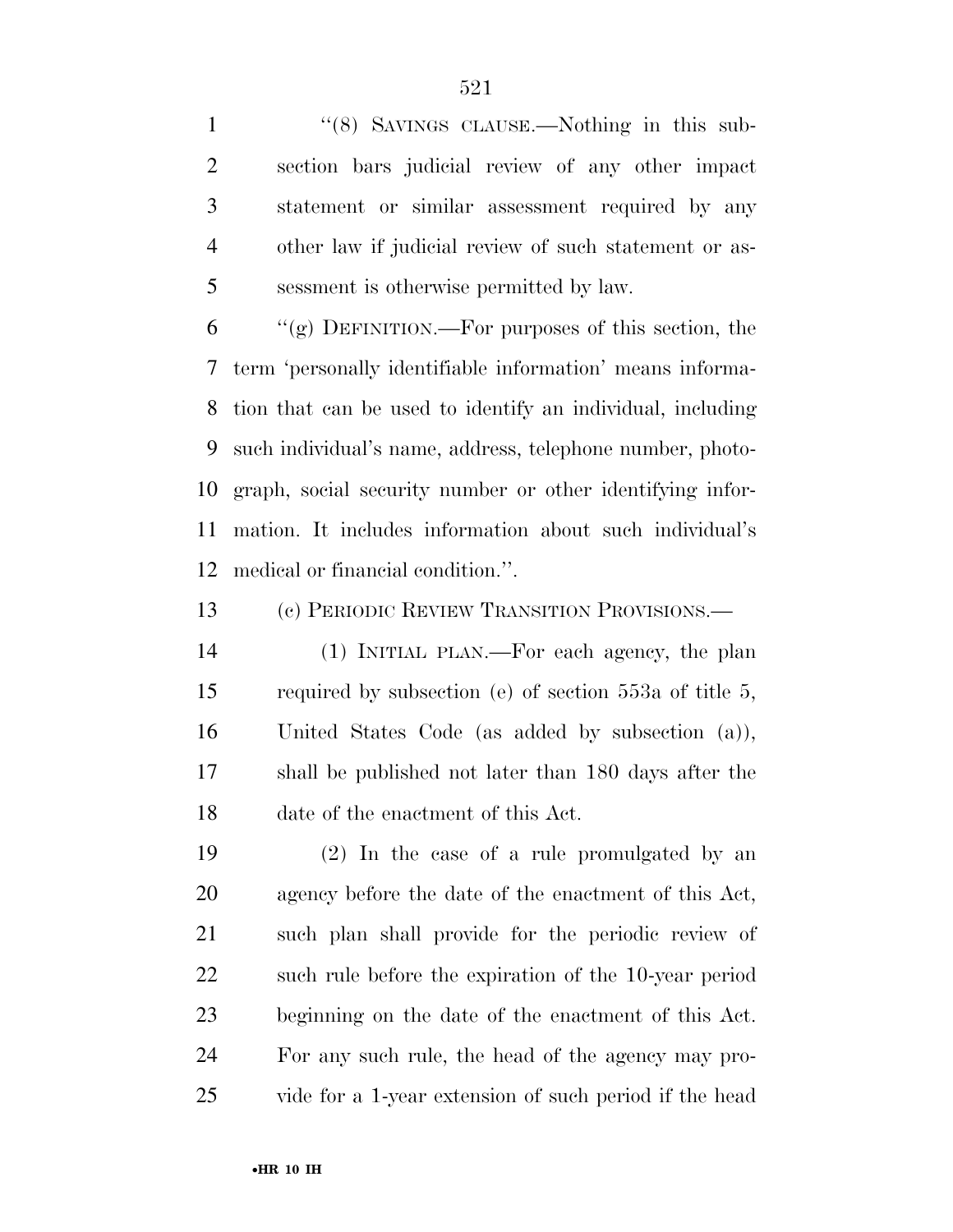1 "(8) SAVINGS CLAUSE.—Nothing in this sub- section bars judicial review of any other impact statement or similar assessment required by any other law if judicial review of such statement or as-sessment is otherwise permitted by law.

 "(g) DEFINITION.—For purposes of this section, the term 'personally identifiable information' means informa- tion that can be used to identify an individual, including such individual's name, address, telephone number, photo- graph, social security number or other identifying infor- mation. It includes information about such individual's medical or financial condition.''.

(c) PERIODIC REVIEW TRANSITION PROVISIONS.—

 (1) INITIAL PLAN.—For each agency, the plan required by subsection (e) of section 553a of title 5, United States Code (as added by subsection (a)), shall be published not later than 180 days after the date of the enactment of this Act.

 (2) In the case of a rule promulgated by an agency before the date of the enactment of this Act, such plan shall provide for the periodic review of such rule before the expiration of the 10-year period beginning on the date of the enactment of this Act. For any such rule, the head of the agency may pro-vide for a 1-year extension of such period if the head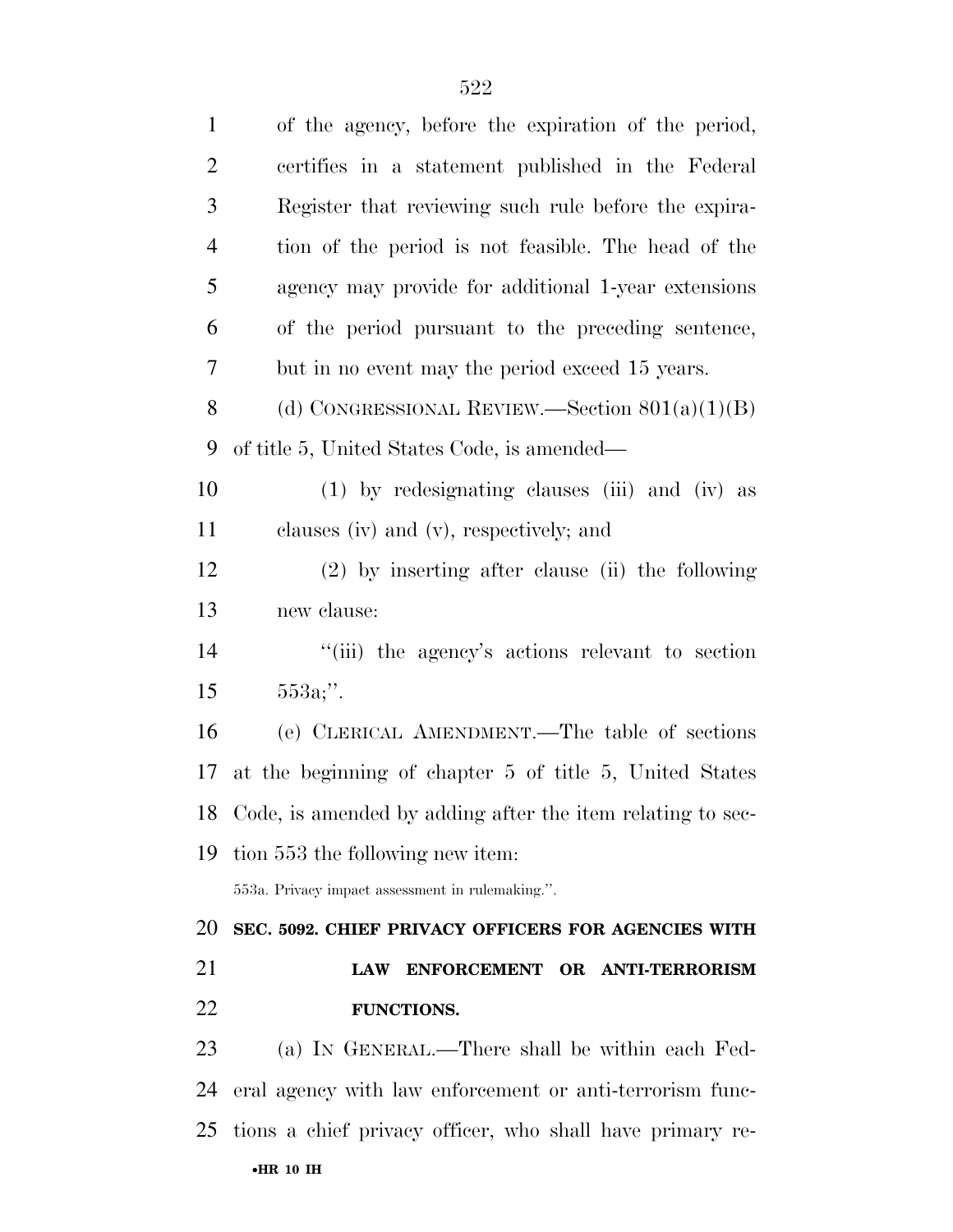| $\mathbf{1}$   | of the agency, before the expiration of the period,           |
|----------------|---------------------------------------------------------------|
| $\mathbf{2}$   | certifies in a statement published in the Federal             |
| 3              | Register that reviewing such rule before the expira-          |
| $\overline{4}$ | tion of the period is not feasible. The head of the           |
| 5              | agency may provide for additional 1-year extensions           |
| 6              | of the period pursuant to the preceding sentence,             |
| 7              | but in no event may the period exceed 15 years.               |
| 8              | (d) CONGRESSIONAL REVIEW.—Section $801(a)(1)(B)$              |
| 9              | of title 5, United States Code, is amended—                   |
| 10             | (1) by redesignating clauses (iii) and (iv) as                |
| 11             | clauses (iv) and (v), respectively; and                       |
| 12             | $(2)$ by inserting after clause (ii) the following            |
| 13             | new clause:                                                   |
| 14             | "(iii) the agency's actions relevant to section               |
| 15             | $553a$ ;".                                                    |
| 16             | (e) CLERICAL AMENDMENT.—The table of sections                 |
| 17             | at the beginning of chapter 5 of title 5, United States       |
|                | 18 Code, is amended by adding after the item relating to sec- |
| 19             | tion 553 the following new item:                              |
|                | 553a. Privacy impact assessment in rulemaking.".              |
| 20             | SEC. 5092. CHIEF PRIVACY OFFICERS FOR AGENCIES WITH           |
| 21             | ENFORCEMENT OR ANTI-TERRORISM<br><b>LAW</b>                   |
| 22             | <b>FUNCTIONS.</b>                                             |
| 23             | (a) IN GENERAL.—There shall be within each Fed-               |
| 24             | eral agency with law enforcement or anti-terrorism func-      |
| 25             | tions a chief privacy officer, who shall have primary re-     |
|                | $\bullet$ HR 10 IH                                            |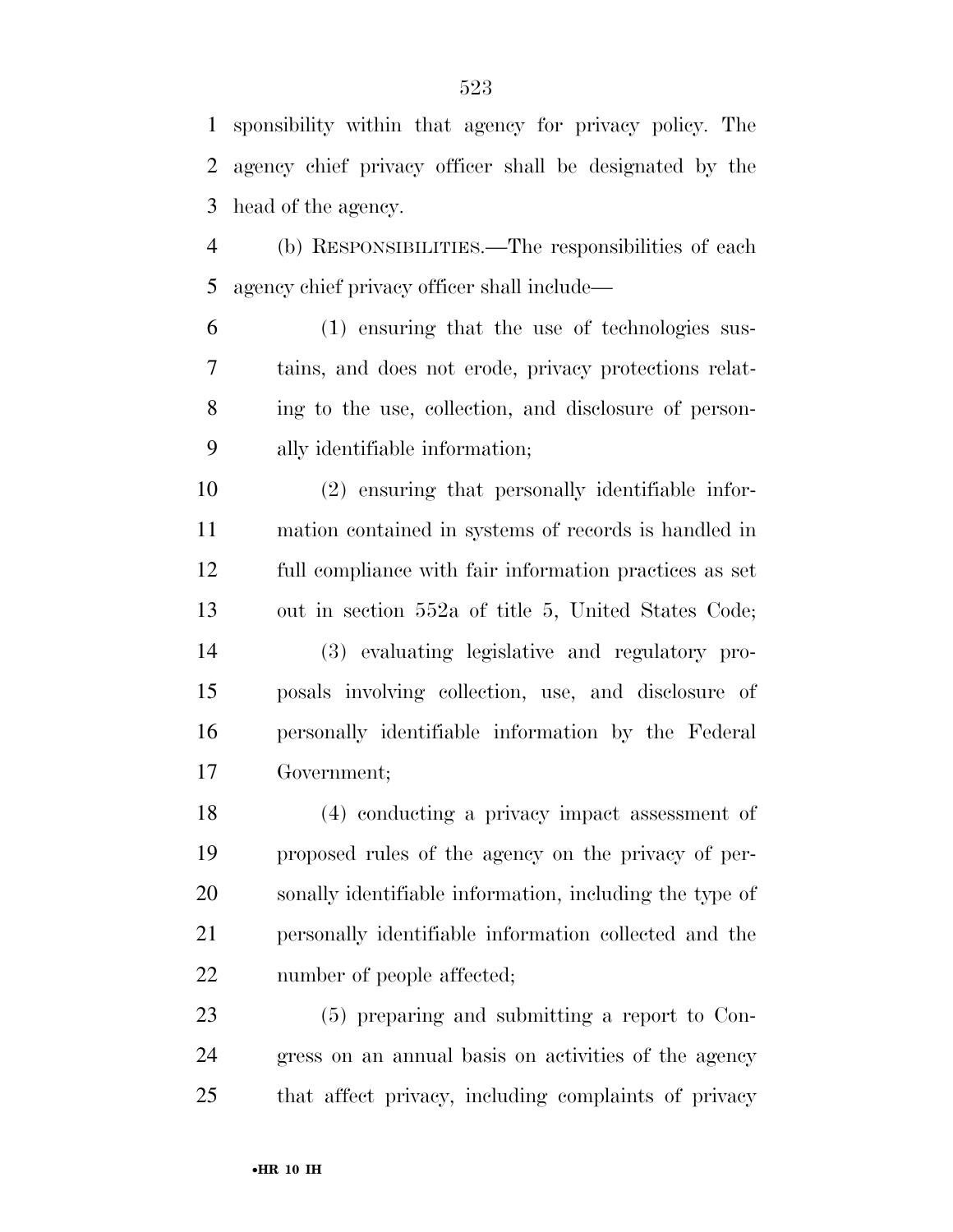sponsibility within that agency for privacy policy. The agency chief privacy officer shall be designated by the head of the agency.

 (b) RESPONSIBILITIES.—The responsibilities of each agency chief privacy officer shall include—

 (1) ensuring that the use of technologies sus- tains, and does not erode, privacy protections relat- ing to the use, collection, and disclosure of person-ally identifiable information;

 (2) ensuring that personally identifiable infor- mation contained in systems of records is handled in full compliance with fair information practices as set out in section 552a of title 5, United States Code; (3) evaluating legislative and regulatory pro- posals involving collection, use, and disclosure of personally identifiable information by the Federal

Government;

 (4) conducting a privacy impact assessment of proposed rules of the agency on the privacy of per- sonally identifiable information, including the type of personally identifiable information collected and the number of people affected;

 (5) preparing and submitting a report to Con- gress on an annual basis on activities of the agency that affect privacy, including complaints of privacy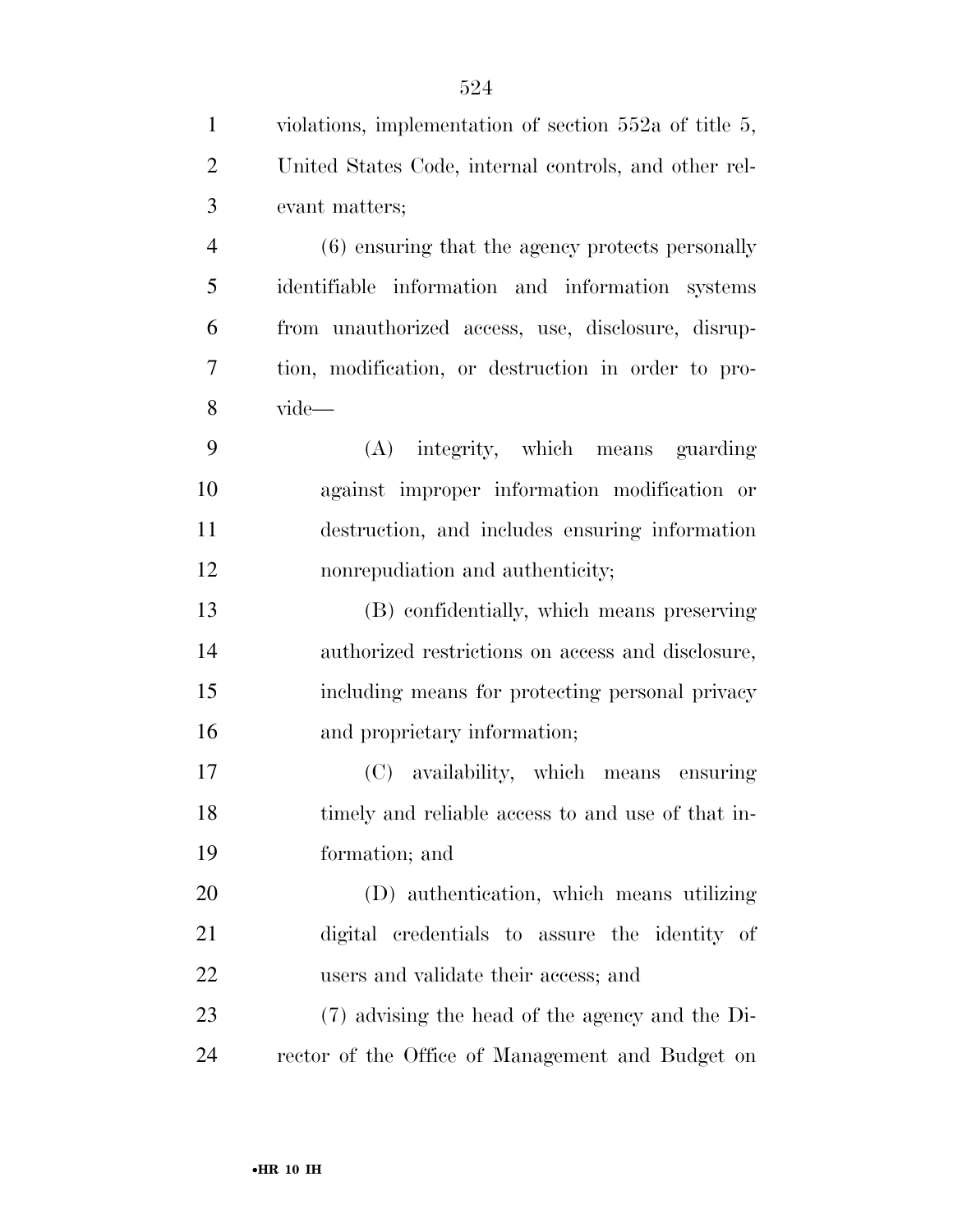| $\mathbf{1}$   | violations, implementation of section $552a$ of title 5, |
|----------------|----------------------------------------------------------|
| $\overline{2}$ | United States Code, internal controls, and other rel-    |
| 3              | evant matters;                                           |
| $\overline{4}$ | (6) ensuring that the agency protects personally         |
| 5              | identifiable information and information systems         |
| 6              | from unauthorized access, use, disclosure, disrup-       |
| 7              | tion, modification, or destruction in order to pro-      |
| 8              | vide-                                                    |
| 9              | integrity, which means guarding<br>(A)                   |
| 10             | against improper information modification or             |
| 11             | destruction, and includes ensuring information           |
| 12             | nonrepudiation and authenticity;                         |
| 13             | (B) confidentially, which means preserving               |
| 14             | authorized restrictions on access and disclosure,        |
| 15             | including means for protecting personal privacy          |
| 16             | and proprietary information;                             |
| 17             | (C) availability, which means ensuring                   |
| 18             | timely and reliable access to and use of that in-        |
| 19             | formation; and                                           |
| 20             | (D) authentication, which means utilizing                |
| 21             | digital credentials to assure the identity of            |
| 22             | users and validate their access; and                     |
| 23             | (7) advising the head of the agency and the Di-          |
| 24             | rector of the Office of Management and Budget on         |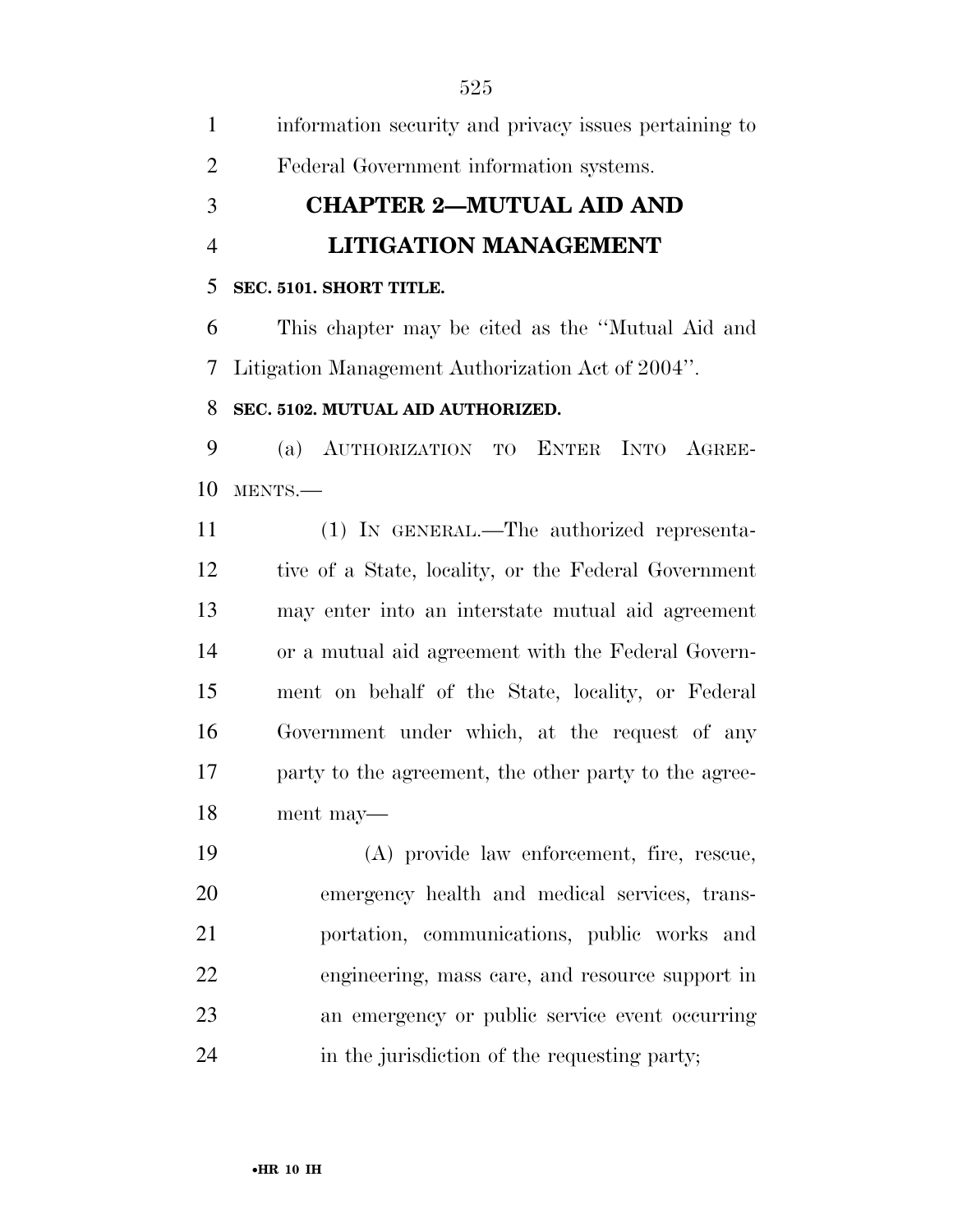information security and privacy issues pertaining to Federal Government information systems. **CHAPTER 2—MUTUAL AID AND LITIGATION MANAGEMENT SEC. 5101. SHORT TITLE.**  This chapter may be cited as the ''Mutual Aid and Litigation Management Authorization Act of 2004''. **SEC. 5102. MUTUAL AID AUTHORIZED.**  (a) AUTHORIZATION TO ENTER INTO AGREE- MENTS.— (1) IN GENERAL.—The authorized representa- tive of a State, locality, or the Federal Government may enter into an interstate mutual aid agreement or a mutual aid agreement with the Federal Govern- ment on behalf of the State, locality, or Federal Government under which, at the request of any party to the agreement, the other party to the agree- ment may— (A) provide law enforcement, fire, rescue, emergency health and medical services, trans-portation, communications, public works and

 engineering, mass care, and resource support in an emergency or public service event occurring in the jurisdiction of the requesting party;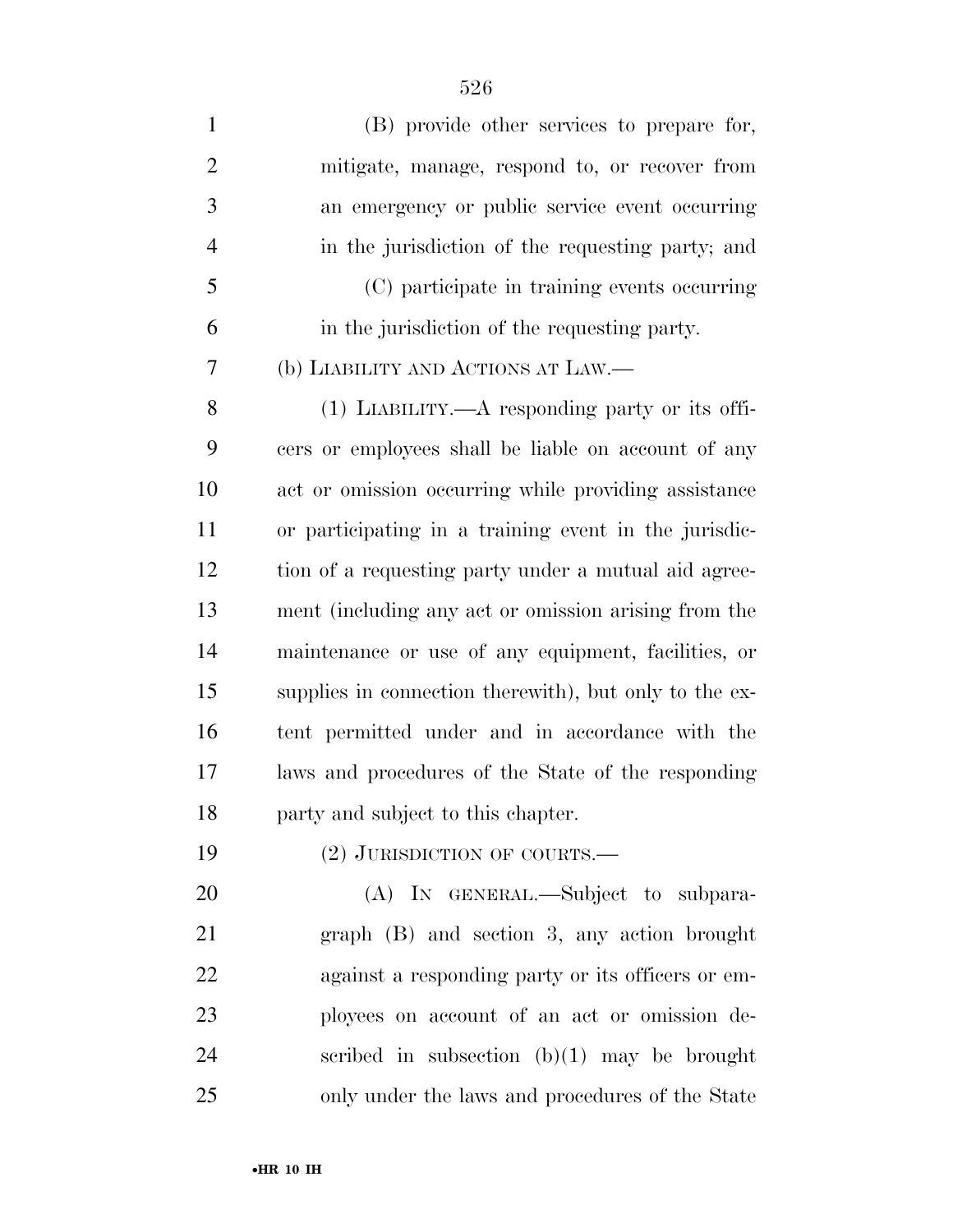(B) provide other services to prepare for, mitigate, manage, respond to, or recover from an emergency or public service event occurring in the jurisdiction of the requesting party; and (C) participate in training events occurring in the jurisdiction of the requesting party. (b) LIABILITY AND ACTIONS AT LAW.— (1) LIABILITY.—A responding party or its offi- cers or employees shall be liable on account of any act or omission occurring while providing assistance or participating in a training event in the jurisdic- tion of a requesting party under a mutual aid agree- ment (including any act or omission arising from the maintenance or use of any equipment, facilities, or supplies in connection therewith), but only to the ex- tent permitted under and in accordance with the laws and procedures of the State of the responding party and subject to this chapter. 19 (2) JURISDICTION OF COURTS.— 20 (A) In GENERAL.—Subject to subpara- graph (B) and section 3, any action brought against a responding party or its officers or em- ployees on account of an act or omission de-scribed in subsection (b)(1) may be brought

only under the laws and procedures of the State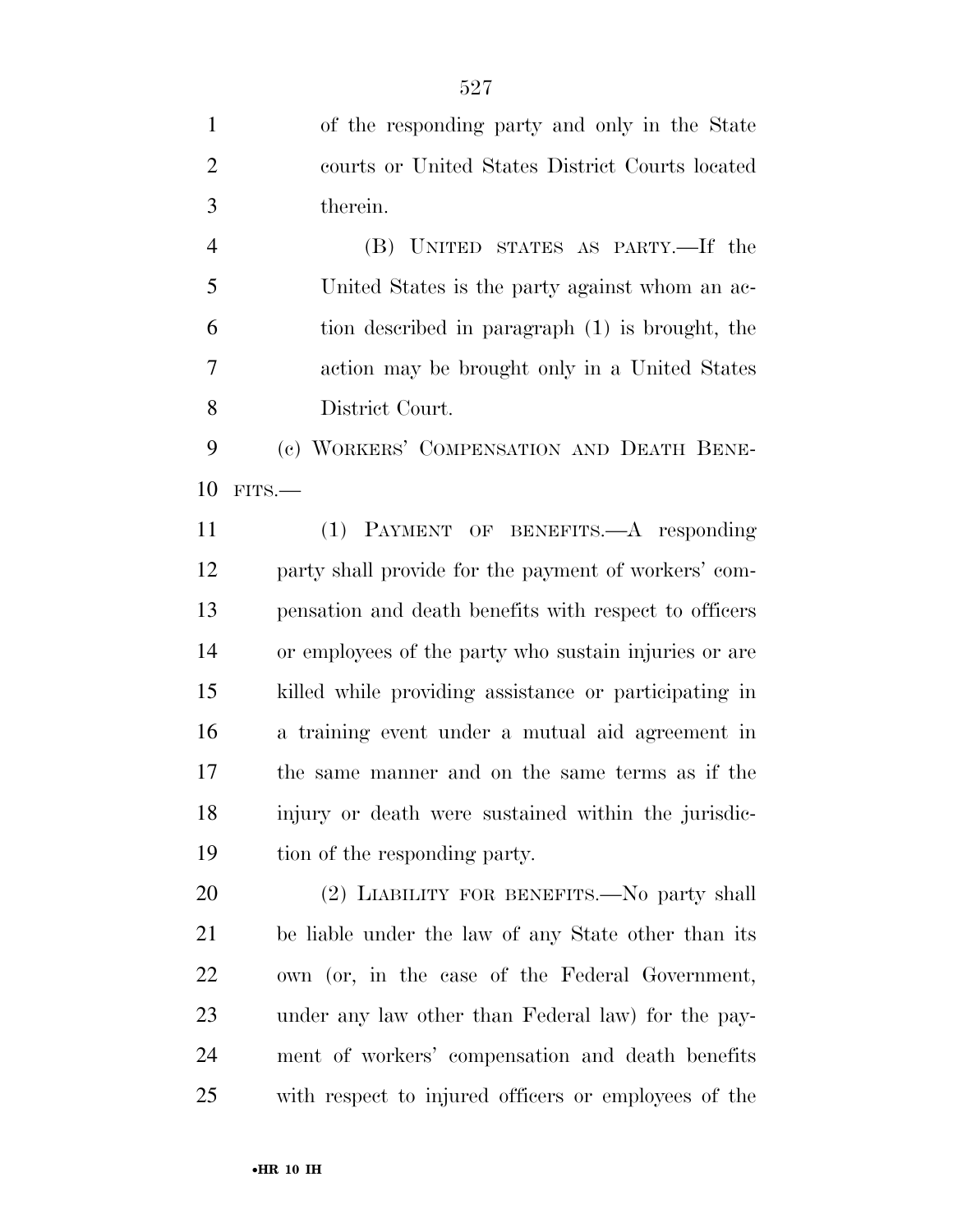of the responding party and only in the State courts or United States District Courts located therein.

 (B) UNITED STATES AS PARTY.—If the United States is the party against whom an ac- tion described in paragraph (1) is brought, the action may be brought only in a United States District Court.

 (c) WORKERS' COMPENSATION AND DEATH BENE-FITS.—

 (1) PAYMENT OF BENEFITS.—A responding party shall provide for the payment of workers' com- pensation and death benefits with respect to officers or employees of the party who sustain injuries or are killed while providing assistance or participating in a training event under a mutual aid agreement in the same manner and on the same terms as if the injury or death were sustained within the jurisdic-tion of the responding party.

 (2) LIABILITY FOR BENEFITS.—No party shall be liable under the law of any State other than its own (or, in the case of the Federal Government, under any law other than Federal law) for the pay- ment of workers' compensation and death benefits with respect to injured officers or employees of the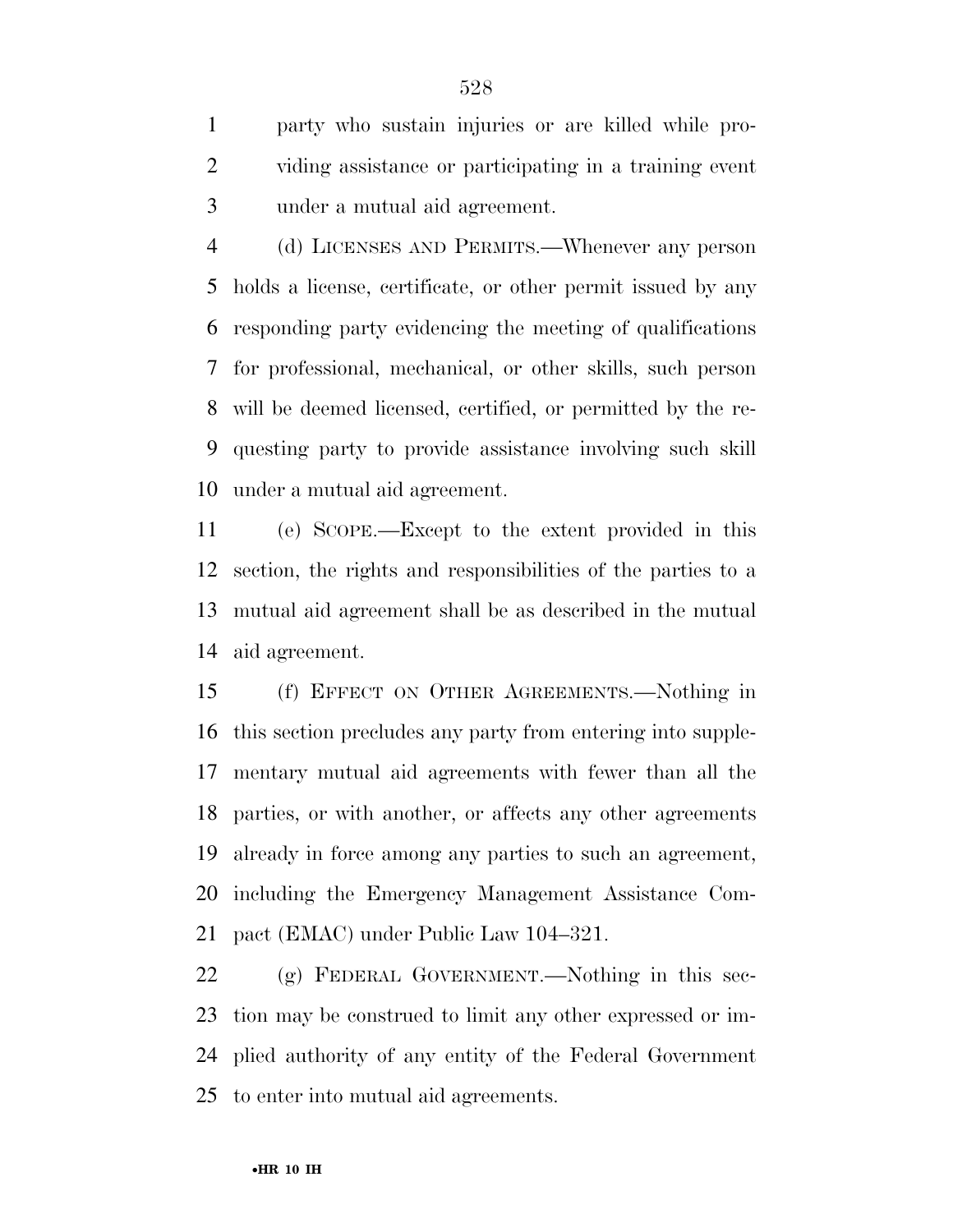party who sustain injuries or are killed while pro- viding assistance or participating in a training event under a mutual aid agreement.

 (d) LICENSES AND PERMITS.—Whenever any person holds a license, certificate, or other permit issued by any responding party evidencing the meeting of qualifications for professional, mechanical, or other skills, such person will be deemed licensed, certified, or permitted by the re- questing party to provide assistance involving such skill under a mutual aid agreement.

 (e) SCOPE.—Except to the extent provided in this section, the rights and responsibilities of the parties to a mutual aid agreement shall be as described in the mutual aid agreement.

 (f) EFFECT ON OTHER AGREEMENTS.—Nothing in this section precludes any party from entering into supple- mentary mutual aid agreements with fewer than all the parties, or with another, or affects any other agreements already in force among any parties to such an agreement, including the Emergency Management Assistance Com-pact (EMAC) under Public Law 104–321.

 (g) FEDERAL GOVERNMENT.—Nothing in this sec- tion may be construed to limit any other expressed or im- plied authority of any entity of the Federal Government to enter into mutual aid agreements.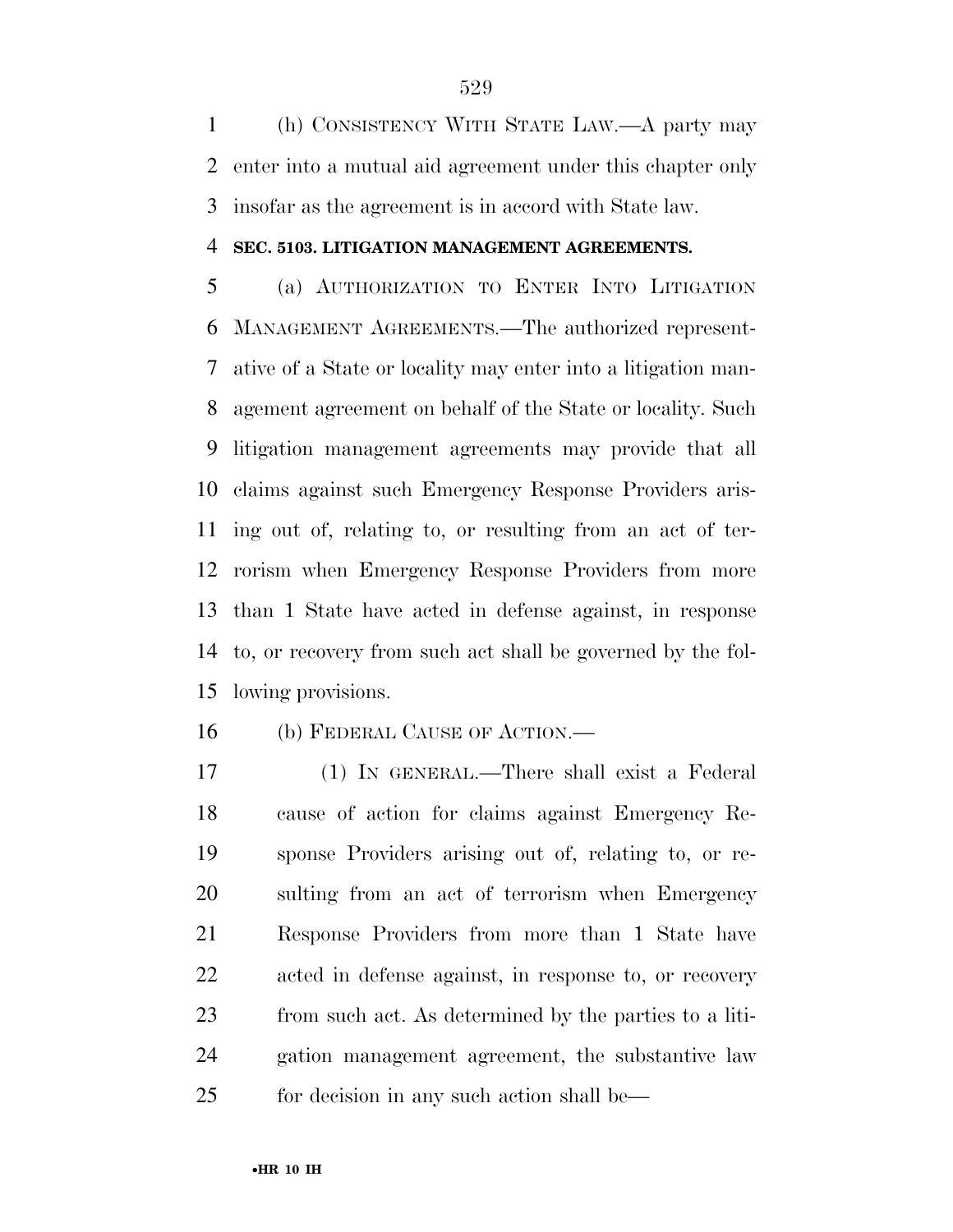(h) CONSISTENCY WITH STATE LAW.—A party may enter into a mutual aid agreement under this chapter only insofar as the agreement is in accord with State law.

#### **SEC. 5103. LITIGATION MANAGEMENT AGREEMENTS.**

 (a) AUTHORIZATION TO ENTER INTO LITIGATION MANAGEMENT AGREEMENTS.—The authorized represent- ative of a State or locality may enter into a litigation man- agement agreement on behalf of the State or locality. Such litigation management agreements may provide that all claims against such Emergency Response Providers aris- ing out of, relating to, or resulting from an act of ter- rorism when Emergency Response Providers from more than 1 State have acted in defense against, in response to, or recovery from such act shall be governed by the fol-lowing provisions.

(b) FEDERAL CAUSE OF ACTION.—

 (1) IN GENERAL.—There shall exist a Federal cause of action for claims against Emergency Re- sponse Providers arising out of, relating to, or re- sulting from an act of terrorism when Emergency Response Providers from more than 1 State have acted in defense against, in response to, or recovery from such act. As determined by the parties to a liti- gation management agreement, the substantive law for decision in any such action shall be—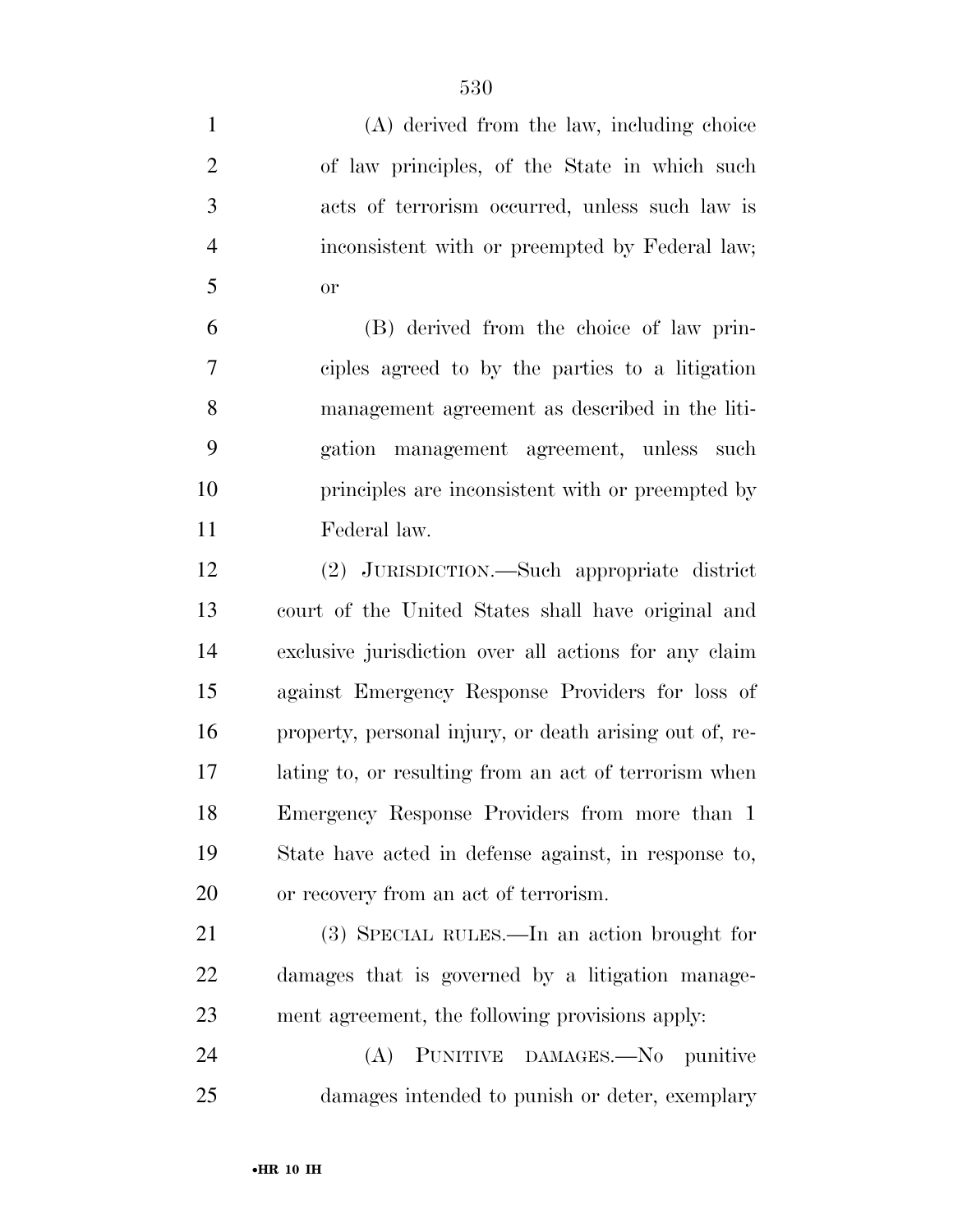| $\mathbf{1}$   | (A) derived from the law, including choice              |
|----------------|---------------------------------------------------------|
| $\overline{2}$ | of law principles, of the State in which such           |
| 3              | acts of terrorism occurred, unless such law is          |
| $\overline{4}$ | inconsistent with or preempted by Federal law;          |
| 5              | <b>or</b>                                               |
| 6              | (B) derived from the choice of law prin-                |
| 7              | ciples agreed to by the parties to a litigation         |
| 8              | management agreement as described in the liti-          |
| 9              | gation management agreement, unless such                |
| 10             | principles are inconsistent with or preempted by        |
| 11             | Federal law.                                            |
| 12             | (2) JURISDICTION.—Such appropriate district             |
| 13             | court of the United States shall have original and      |
| 14             | exclusive jurisdiction over all actions for any claim   |
| 15             | against Emergency Response Providers for loss of        |
| 16             | property, personal injury, or death arising out of, re- |
| 17             | lating to, or resulting from an act of terrorism when   |
| 18             | Emergency Response Providers from more than 1           |
| 19             | State have acted in defense against, in response to,    |
| 20             | or recovery from an act of terrorism.                   |
| 21             | (3) SPECIAL RULES.—In an action brought for             |
| 22             | damages that is governed by a litigation manage-        |
| 23             | ment agreement, the following provisions apply:         |
| 24             | PUNITIVE DAMAGES.-No punitive<br>(A)                    |
| 25             | damages intended to punish or deter, exemplary          |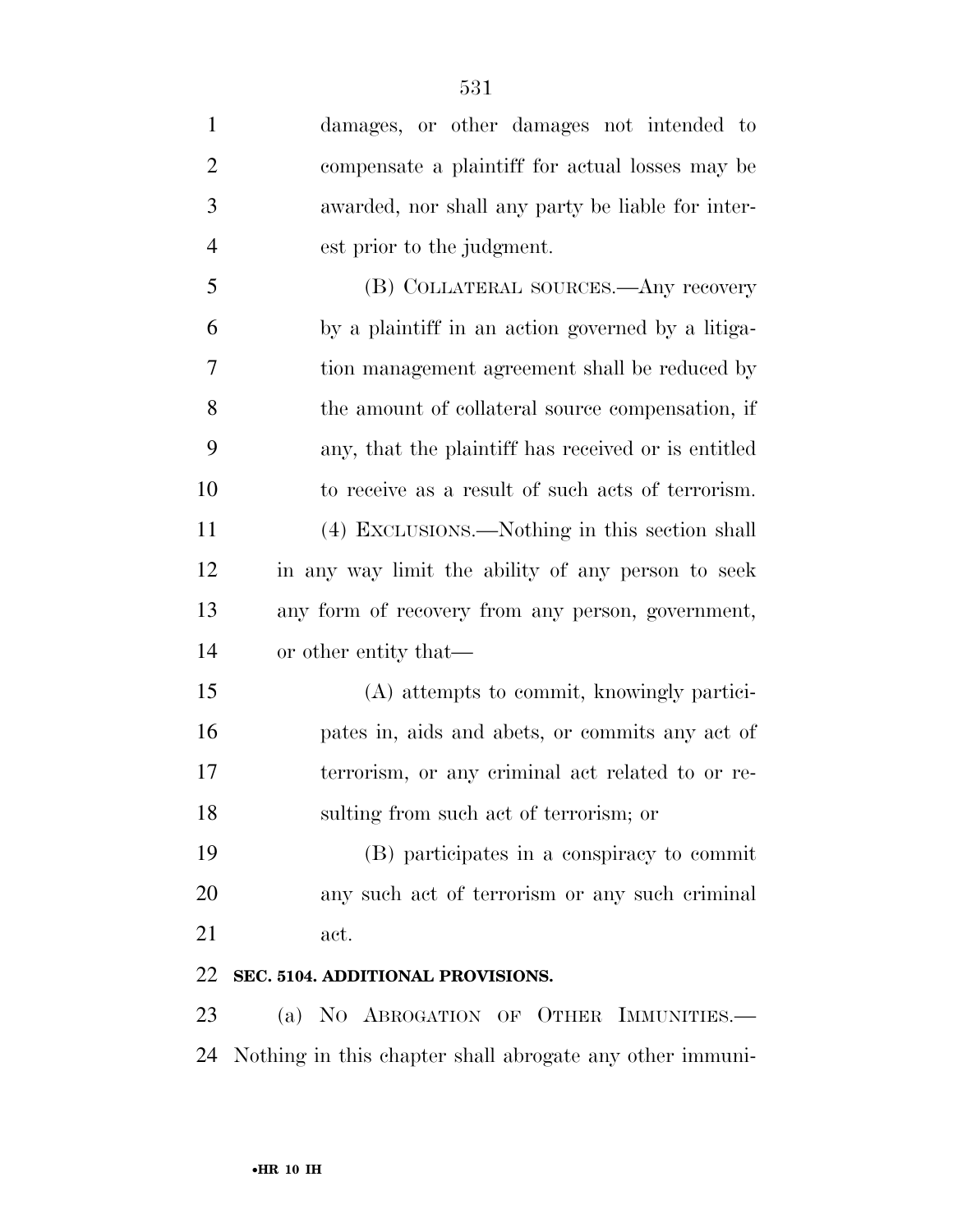| $\mathbf{1}$   | damages, or other damages not intended to                |
|----------------|----------------------------------------------------------|
| $\overline{2}$ | compensate a plaintiff for actual losses may be          |
| 3              | awarded, nor shall any party be liable for inter-        |
| $\overline{4}$ | est prior to the judgment.                               |
| 5              | (B) COLLATERAL SOURCES.—Any recovery                     |
| 6              | by a plaintiff in an action governed by a litiga-        |
| 7              | tion management agreement shall be reduced by            |
| 8              | the amount of collateral source compensation, if         |
| 9              | any, that the plaintiff has received or is entitled      |
| 10             | to receive as a result of such acts of terrorism.        |
| 11             | (4) EXCLUSIONS.—Nothing in this section shall            |
| 12             | in any way limit the ability of any person to seek       |
| 13             | any form of recovery from any person, government,        |
| 14             | or other entity that—                                    |
| 15             | (A) attempts to commit, knowingly partici-               |
| 16             | pates in, aids and abets, or commits any act of          |
| 17             | terrorism, or any criminal act related to or re-         |
| 18             | sulting from such act of terrorism; or                   |
| 19             | (B) participates in a conspiracy to commit               |
| 20             | any such act of terrorism or any such criminal           |
| 21             | act.                                                     |
| 22             | SEC. 5104. ADDITIONAL PROVISIONS.                        |
| 23             | (a) NO ABROGATION OF OTHER IMMUNITIES.                   |
| 24             | Nothing in this chapter shall abrogate any other immuni- |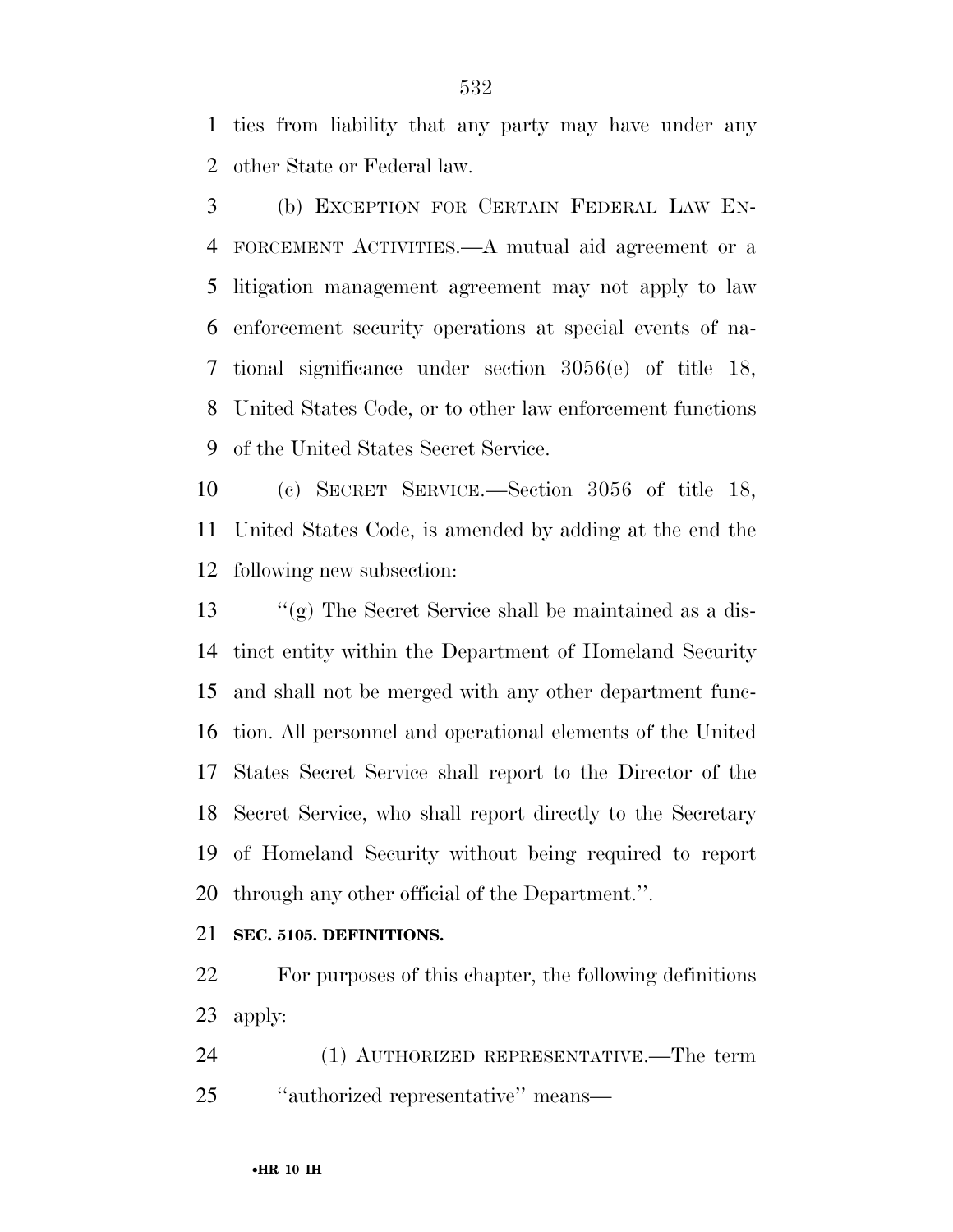ties from liability that any party may have under any other State or Federal law.

 (b) EXCEPTION FOR CERTAIN FEDERAL LAW EN- FORCEMENT ACTIVITIES.—A mutual aid agreement or a litigation management agreement may not apply to law enforcement security operations at special events of na- tional significance under section 3056(e) of title 18, United States Code, or to other law enforcement functions of the United States Secret Service.

 (c) SECRET SERVICE.—Section 3056 of title 18, United States Code, is amended by adding at the end the following new subsection:

 ''(g) The Secret Service shall be maintained as a dis- tinct entity within the Department of Homeland Security and shall not be merged with any other department func- tion. All personnel and operational elements of the United States Secret Service shall report to the Director of the Secret Service, who shall report directly to the Secretary of Homeland Security without being required to report through any other official of the Department.''.

## **SEC. 5105. DEFINITIONS.**

 For purposes of this chapter, the following definitions apply:

 (1) AUTHORIZED REPRESENTATIVE.—The term ''authorized representative'' means—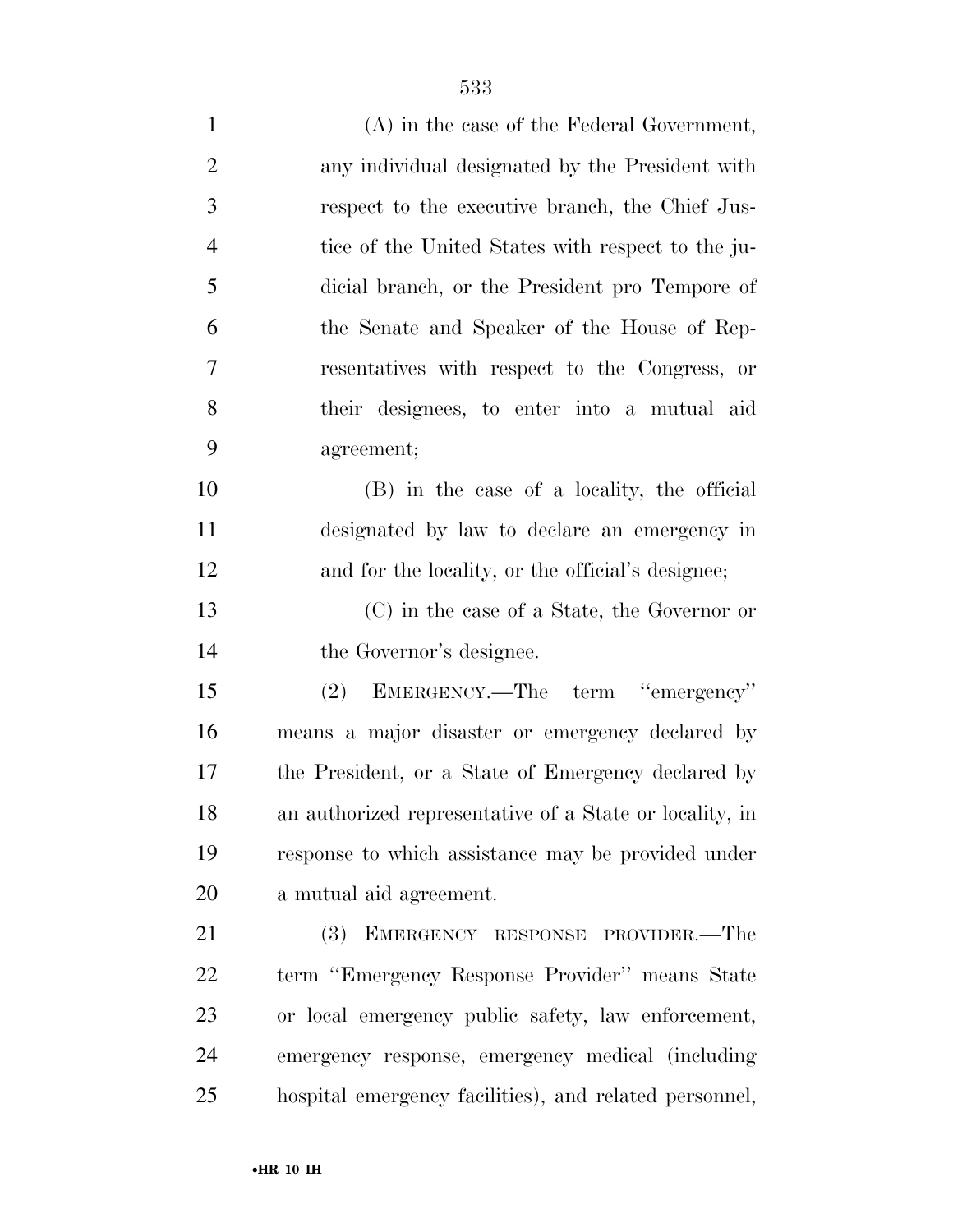| $\mathbf{1}$   | $(A)$ in the case of the Federal Government,            |
|----------------|---------------------------------------------------------|
| $\overline{2}$ | any individual designated by the President with         |
| 3              | respect to the executive branch, the Chief Jus-         |
| $\overline{4}$ | tice of the United States with respect to the ju-       |
| 5              | dicial branch, or the President pro Tempore of          |
| 6              | the Senate and Speaker of the House of Rep-             |
| 7              | resentatives with respect to the Congress, or           |
| 8              | their designees, to enter into a mutual aid             |
| 9              | agreement;                                              |
| 10             | (B) in the case of a locality, the official             |
| 11             | designated by law to declare an emergency in            |
| 12             | and for the locality, or the official's designee;       |
| 13             | (C) in the case of a State, the Governor or             |
| 14             | the Governor's designee.                                |
| 15             | EMERGENCY.—The term "emergency"<br>(2)                  |
| 16             | means a major disaster or emergency declared by         |
| 17             | the President, or a State of Emergency declared by      |
| 18             | an authorized representative of a State or locality, in |
| 19             | response to which assistance may be provided under      |
| 20             | a mutual aid agreement.                                 |
| 21             | (3) EMERGENCY RESPONSE PROVIDER.—The                    |
| 22             | term "Emergency Response Provider" means State          |
| 23             | or local emergency public safety, law enforcement,      |
| 24             | emergency response, emergency medical (including        |
| 25             | hospital emergency facilities), and related personnel,  |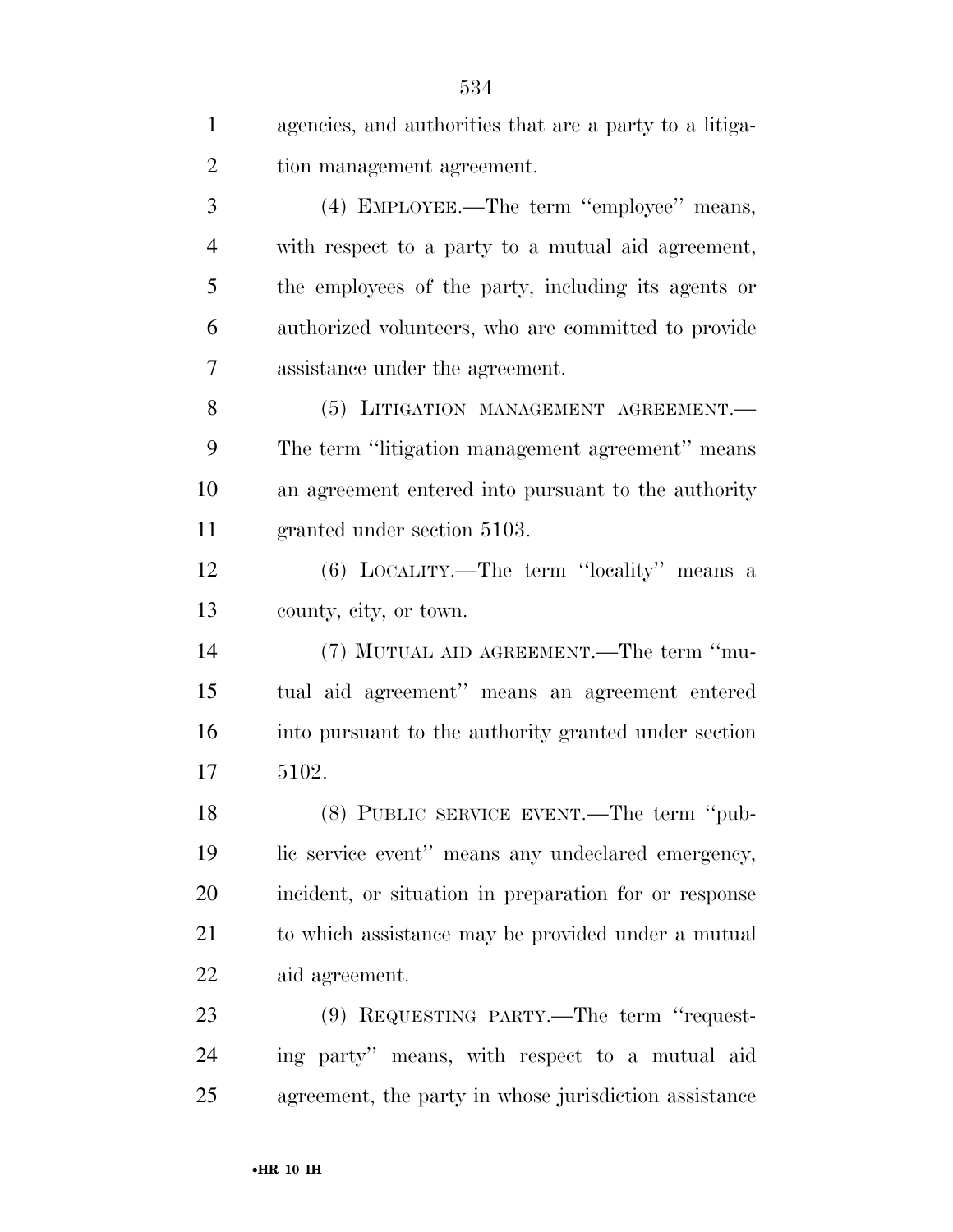| $\mathbf{1}$   | agencies, and authorities that are a party to a litiga- |
|----------------|---------------------------------------------------------|
| $\overline{2}$ | tion management agreement.                              |
| 3              | (4) EMPLOYEE.—The term "employee" means,                |
| $\overline{4}$ | with respect to a party to a mutual aid agreement,      |
| 5              | the employees of the party, including its agents or     |
| 6              | authorized volunteers, who are committed to provide     |
| 7              | assistance under the agreement.                         |
| 8              | (5) LITIGATION MANAGEMENT AGREEMENT.                    |
| 9              | The term "litigation management agreement" means        |
| 10             | an agreement entered into pursuant to the authority     |
| 11             | granted under section 5103.                             |
| 12             | (6) LOCALITY.—The term "locality" means a               |
| 13             | county, city, or town.                                  |
| 14             | (7) MUTUAL AID AGREEMENT.—The term "mu-                 |
| 15             | tual aid agreement" means an agreement entered          |
| 16             | into pursuant to the authority granted under section    |
| 17             | 5102.                                                   |
| 18             | (8) PUBLIC SERVICE EVENT.—The term "pub-                |
| 19             | lic service event" means any undeclared emergency,      |
| 20             | incident, or situation in preparation for or response   |
| 21             | to which assistance may be provided under a mutual      |
| 22             | aid agreement.                                          |
| 23             | (9) REQUESTING PARTY.—The term "request-                |
| 24             | ing party" means, with respect to a mutual aid          |
| 25             | agreement, the party in whose jurisdiction assistance   |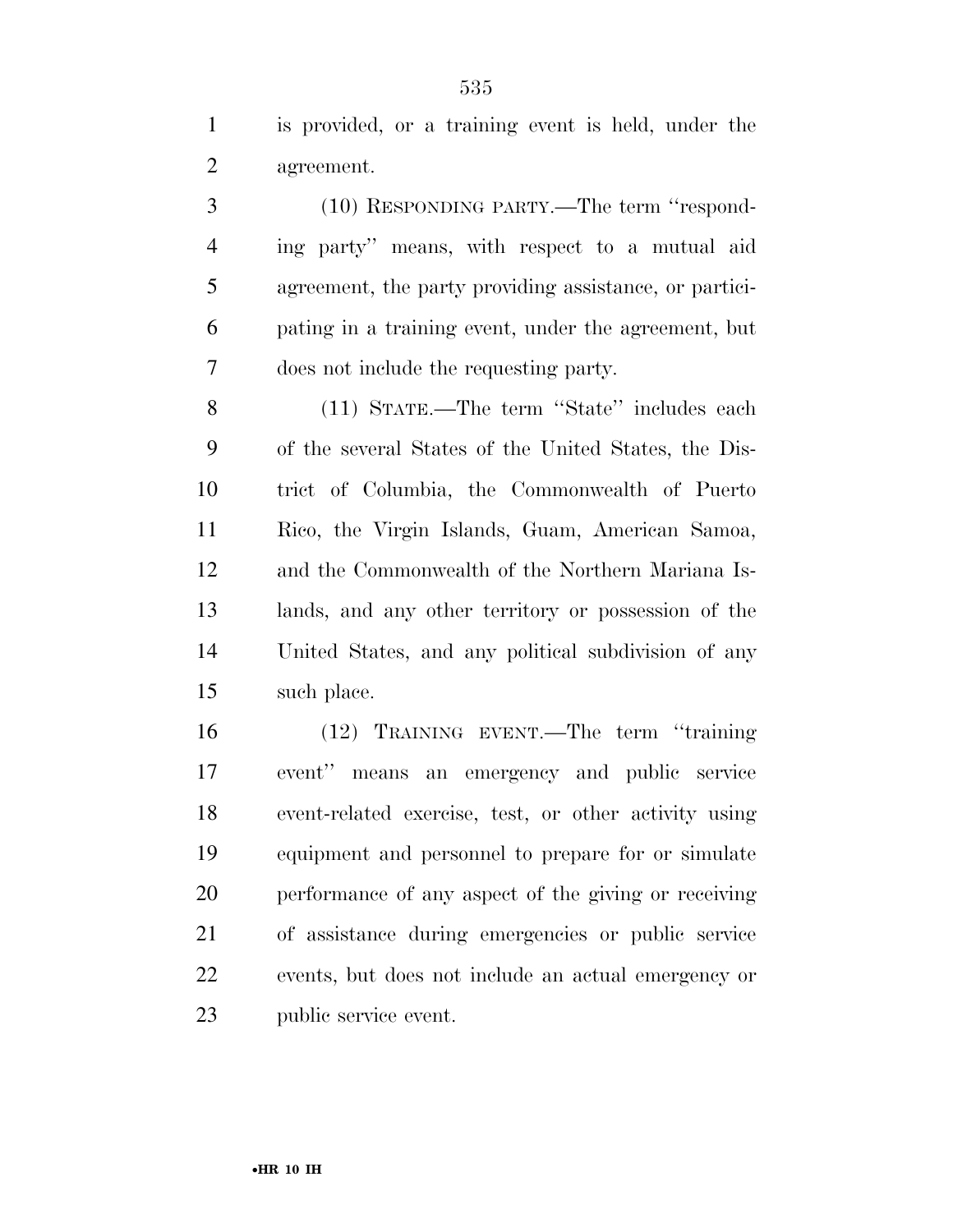is provided, or a training event is held, under the agreement.

 (10) RESPONDING PARTY.—The term ''respond- ing party'' means, with respect to a mutual aid agreement, the party providing assistance, or partici- pating in a training event, under the agreement, but does not include the requesting party.

 (11) STATE.—The term ''State'' includes each of the several States of the United States, the Dis- trict of Columbia, the Commonwealth of Puerto Rico, the Virgin Islands, Guam, American Samoa, and the Commonwealth of the Northern Mariana Is- lands, and any other territory or possession of the United States, and any political subdivision of any such place.

 (12) TRAINING EVENT.—The term ''training event'' means an emergency and public service event-related exercise, test, or other activity using equipment and personnel to prepare for or simulate performance of any aspect of the giving or receiving of assistance during emergencies or public service events, but does not include an actual emergency or public service event.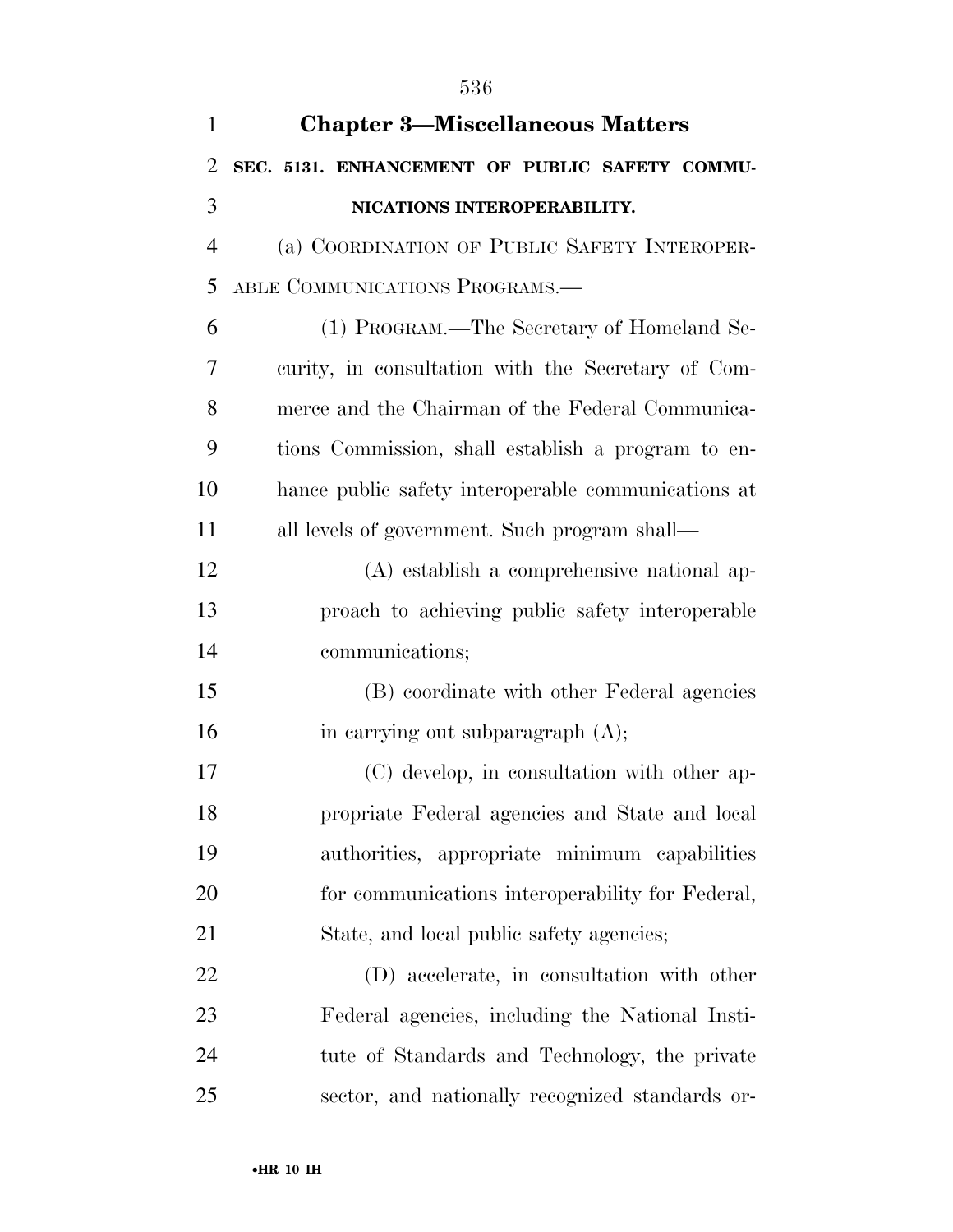| $\mathbf{1}$   | <b>Chapter 3-Miscellaneous Matters</b>              |
|----------------|-----------------------------------------------------|
| $\overline{2}$ | SEC. 5131. ENHANCEMENT OF PUBLIC SAFETY COMMU-      |
| 3              | NICATIONS INTEROPERABILITY.                         |
| $\overline{4}$ | (a) COORDINATION OF PUBLIC SAFETY INTEROPER-        |
| 5              | ABLE COMMUNICATIONS PROGRAMS.-                      |
| 6              | (1) PROGRAM.—The Secretary of Homeland Se-          |
| 7              | curity, in consultation with the Secretary of Com-  |
| 8              | merce and the Chairman of the Federal Communica-    |
| 9              | tions Commission, shall establish a program to en-  |
| 10             | hance public safety interoperable communications at |
| 11             | all levels of government. Such program shall—       |
| 12             | (A) establish a comprehensive national ap-          |
| 13             | proach to achieving public safety interoperable     |
| 14             | communications;                                     |
| 15             | (B) coordinate with other Federal agencies          |
| 16             | in carrying out subparagraph (A);                   |
| 17             | (C) develop, in consultation with other ap-         |
| 18             | propriate Federal agencies and State and local      |
| 19             | authorities, appropriate minimum capabilities       |
| 20             | for communications interoperability for Federal,    |
| 21             | State, and local public safety agencies;            |
| 22             | (D) accelerate, in consultation with other          |
| 23             | Federal agencies, including the National Insti-     |
| 24             | tute of Standards and Technology, the private       |
| 25             | sector, and nationally recognized standards or-     |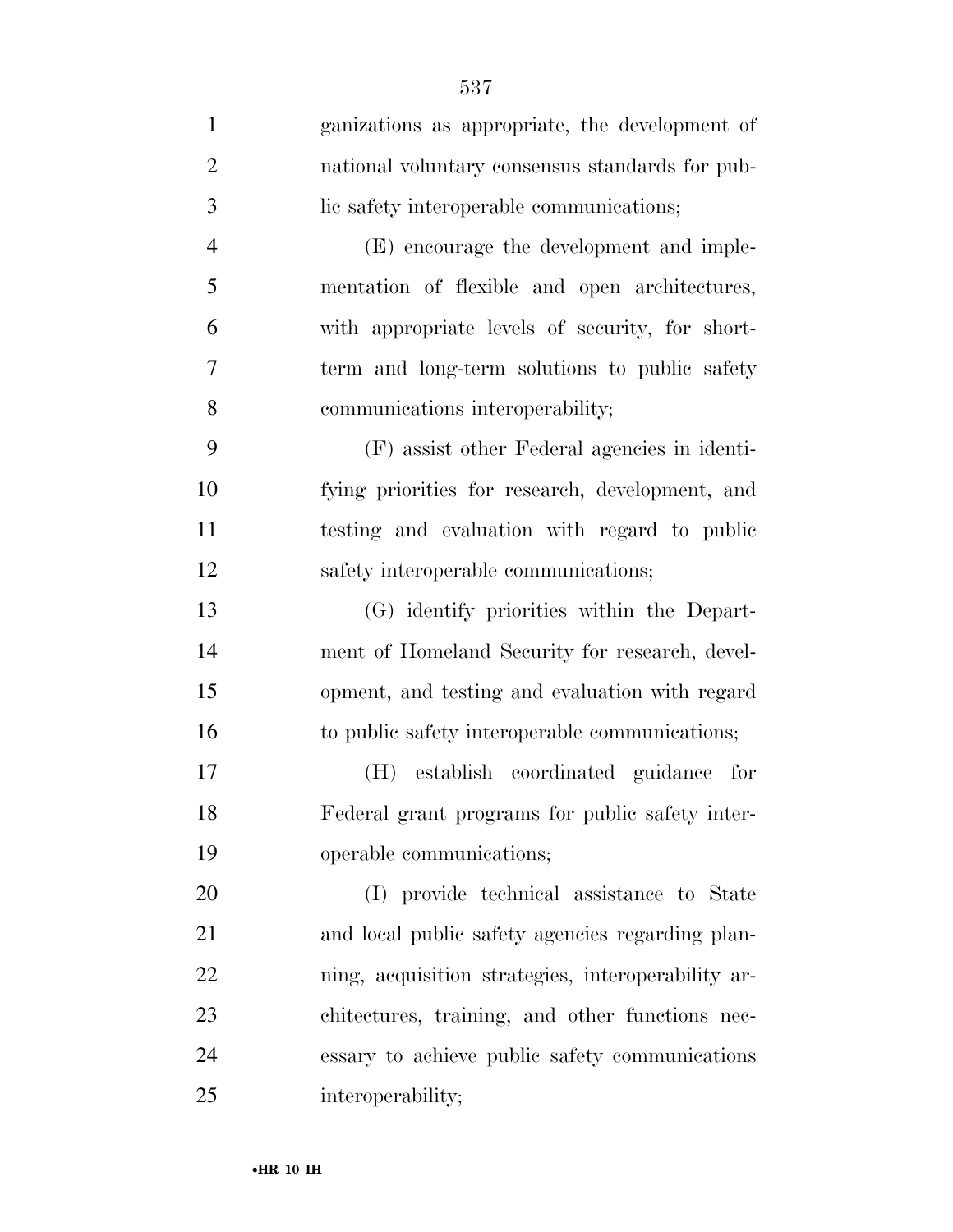| $\mathbf{1}$   | ganizations as appropriate, the development of     |
|----------------|----------------------------------------------------|
| $\overline{2}$ | national voluntary consensus standards for pub-    |
| 3              | lic safety interoperable communications;           |
| $\overline{4}$ | (E) encourage the development and imple-           |
| 5              | mentation of flexible and open architectures,      |
| 6              | with appropriate levels of security, for short-    |
| 7              | term and long-term solutions to public safety      |
| 8              | communications interoperability;                   |
| 9              | (F) assist other Federal agencies in identi-       |
| 10             | fying priorities for research, development, and    |
| 11             | testing and evaluation with regard to public       |
| 12             | safety interoperable communications;               |
| 13             | (G) identify priorities within the Depart-         |
| 14             | ment of Homeland Security for research, devel-     |
| 15             | opment, and testing and evaluation with regard     |
| 16             | to public safety interoperable communications;     |
| 17             | establish coordinated guidance for<br>(H)          |
| 18             | Federal grant programs for public safety inter-    |
| 19             | operable communications;                           |
| 20             | (I) provide technical assistance to State          |
| 21             | and local public safety agencies regarding plan-   |
| 22             | ning, acquisition strategies, interoperability ar- |
| 23             | chitectures, training, and other functions nec-    |
| 24             | essary to achieve public safety communications     |
| 25             | interoperability;                                  |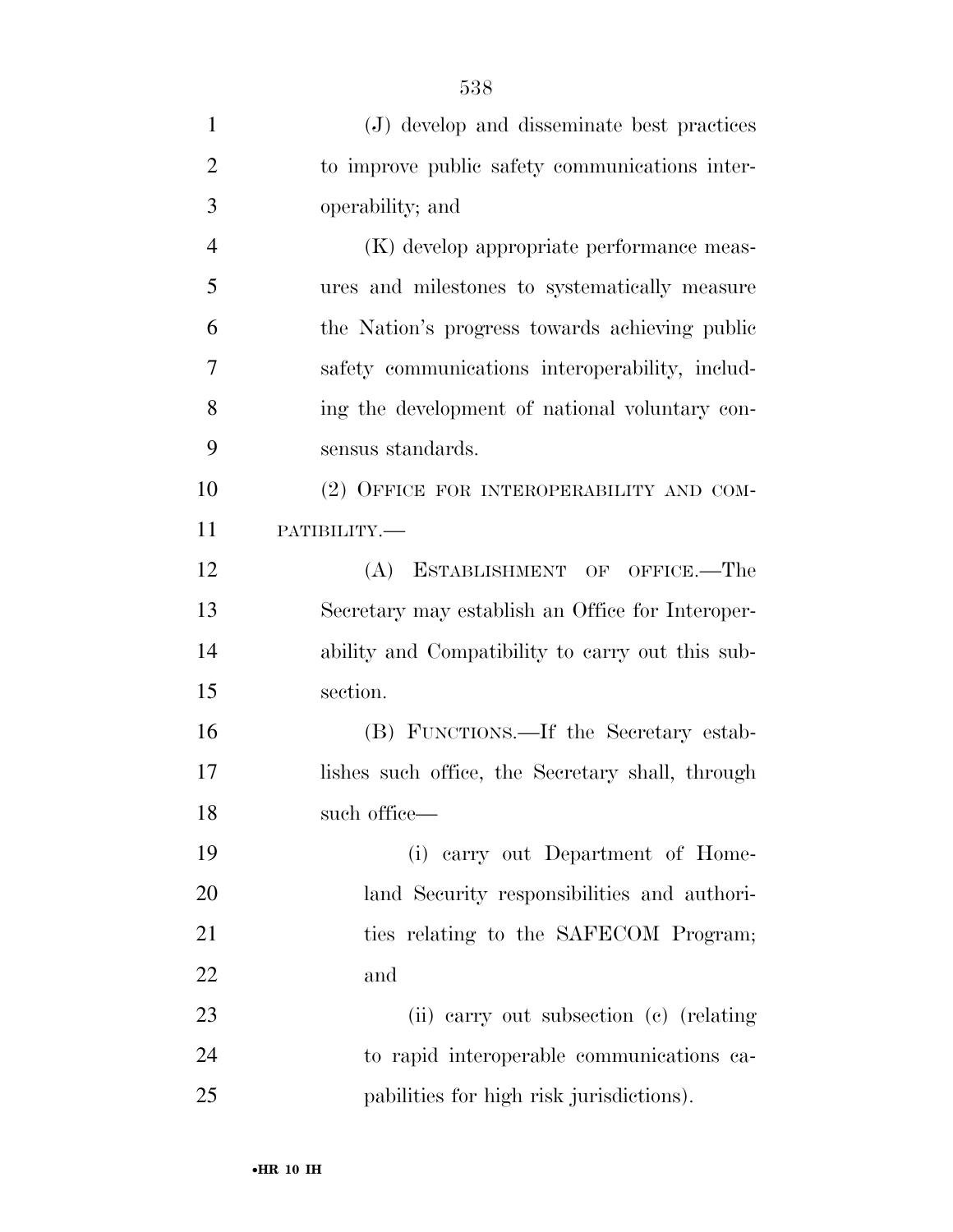| $\mathbf{1}$   | (J) develop and disseminate best practices       |
|----------------|--------------------------------------------------|
| $\overline{2}$ | to improve public safety communications inter-   |
| 3              | operability; and                                 |
| $\overline{4}$ | (K) develop appropriate performance meas-        |
| 5              | ures and milestones to systematically measure    |
| 6              | the Nation's progress towards achieving public   |
| 7              | safety communications interoperability, includ-  |
| 8              | ing the development of national voluntary con-   |
| 9              | sensus standards.                                |
| 10             | (2) OFFICE FOR INTEROPERABILITY AND COM-         |
| 11             | РАТІВШІТҮ.-                                      |
| 12             | (A) ESTABLISHMENT OF OFFICE.—The                 |
| 13             | Secretary may establish an Office for Interoper- |
| 14             | ability and Compatibility to carry out this sub- |
| 15             | section.                                         |
| 16             | (B) FUNCTIONS.—If the Secretary estab-           |
| 17             | lishes such office, the Secretary shall, through |
| 18             | such office—                                     |
| 19             | (i) carry out Department of Home-                |
| 20             | land Security responsibilities and authori-      |
| 21             | ties relating to the SAFECOM Program;            |
| 22             | and                                              |
| 23             | (ii) carry out subsection (c) (relating          |
| 24             | to rapid interoperable communications ca-        |
| 25             | pabilities for high risk jurisdictions).         |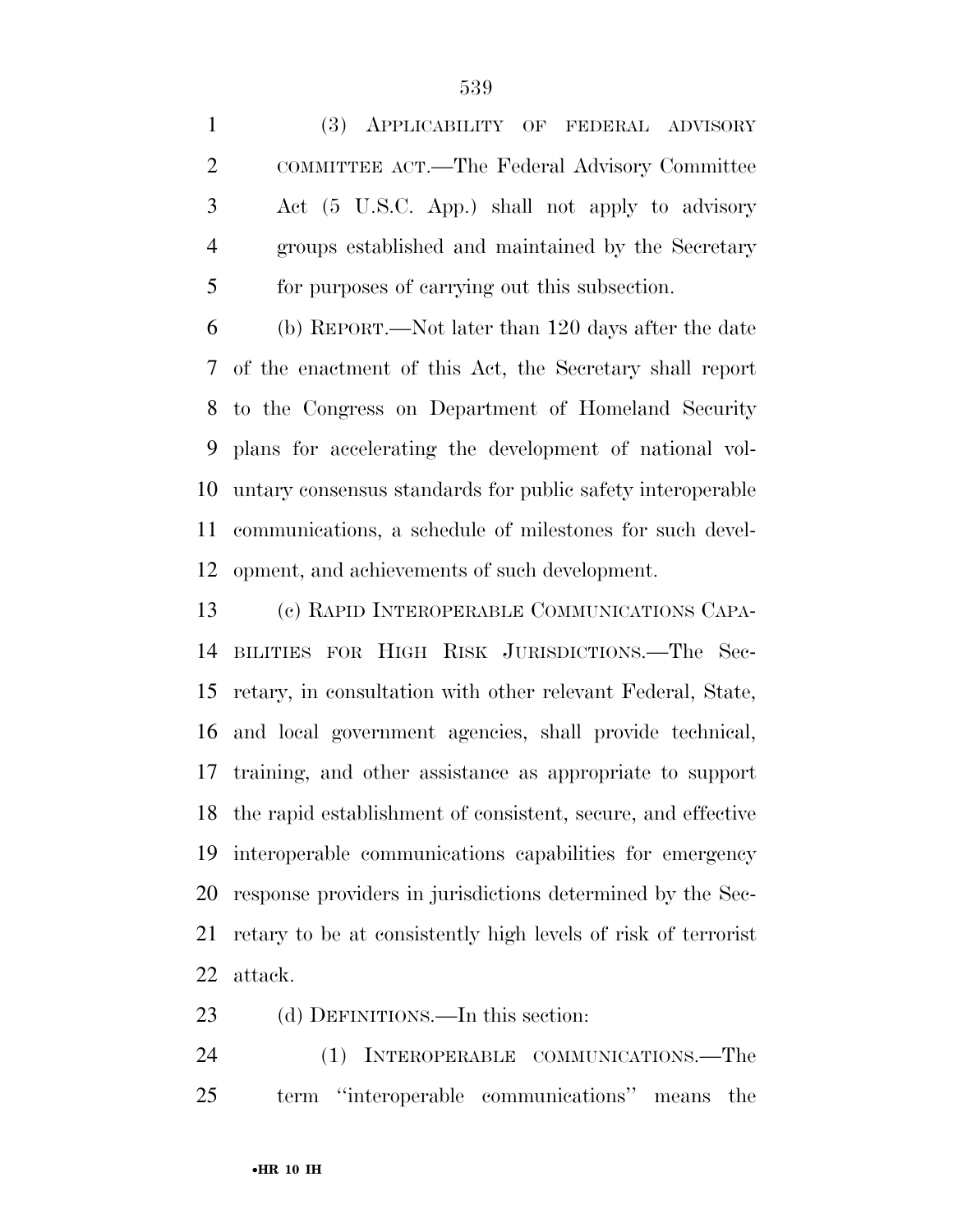(3) APPLICABILITY OF FEDERAL ADVISORY COMMITTEE ACT.—The Federal Advisory Committee Act (5 U.S.C. App.) shall not apply to advisory groups established and maintained by the Secretary for purposes of carrying out this subsection.

 (b) REPORT.—Not later than 120 days after the date of the enactment of this Act, the Secretary shall report to the Congress on Department of Homeland Security plans for accelerating the development of national vol- untary consensus standards for public safety interoperable communications, a schedule of milestones for such devel-opment, and achievements of such development.

 (c) RAPID INTEROPERABLE COMMUNICATIONS CAPA- BILITIES FOR HIGH RISK JURISDICTIONS.—The Sec- retary, in consultation with other relevant Federal, State, and local government agencies, shall provide technical, training, and other assistance as appropriate to support the rapid establishment of consistent, secure, and effective interoperable communications capabilities for emergency response providers in jurisdictions determined by the Sec- retary to be at consistently high levels of risk of terrorist attack.

(d) DEFINITIONS.—In this section:

 (1) INTEROPERABLE COMMUNICATIONS.—The term ''interoperable communications'' means the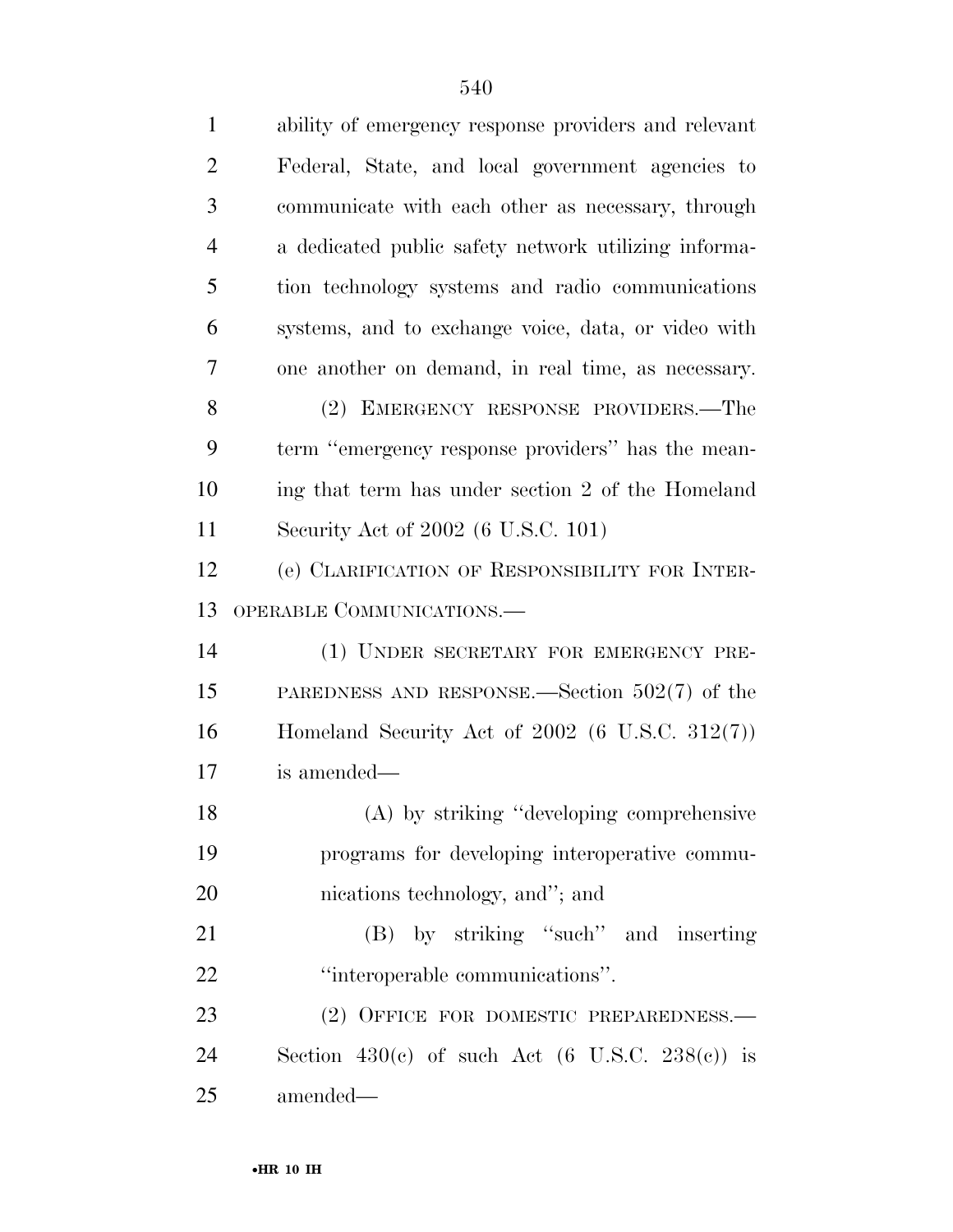| $\mathbf{1}$   | ability of emergency response providers and relevant              |
|----------------|-------------------------------------------------------------------|
| $\overline{2}$ | Federal, State, and local government agencies to                  |
| 3              | communicate with each other as necessary, through                 |
| $\overline{4}$ | a dedicated public safety network utilizing informa-              |
| 5              | tion technology systems and radio communications                  |
| 6              | systems, and to exchange voice, data, or video with               |
| 7              | one another on demand, in real time, as necessary.                |
| 8              | (2) EMERGENCY RESPONSE PROVIDERS.—The                             |
| 9              | term "emergency response providers" has the mean-                 |
| 10             | ing that term has under section 2 of the Homeland                 |
| 11             | Security Act of 2002 (6 U.S.C. 101)                               |
| 12             | (e) CLARIFICATION OF RESPONSIBILITY FOR INTER-                    |
| 13             | OPERABLE COMMUNICATIONS.—                                         |
| 14             | (1) UNDER SECRETARY FOR EMERGENCY PRE-                            |
| 15             | PAREDNESS AND RESPONSE.—Section $502(7)$ of the                   |
| 16             | Homeland Security Act of $2002$ (6 U.S.C. 312(7))                 |
| 17             | is amended—                                                       |
| 18             | (A) by striking "developing comprehensive                         |
| 19             | programs for developing interoperative commu-                     |
| 20             | nications technology, and"; and                                   |
| 21             | (B) by striking "such" and inserting                              |
| 22             | "interoperable communications".                                   |
| 23             | (2) OFFICE FOR DOMESTIC PREPAREDNESS.-                            |
| 24             | Section 430(c) of such Act $(6 \text{ U.S.C. } 238(\text{c}))$ is |
| 25             | amended—                                                          |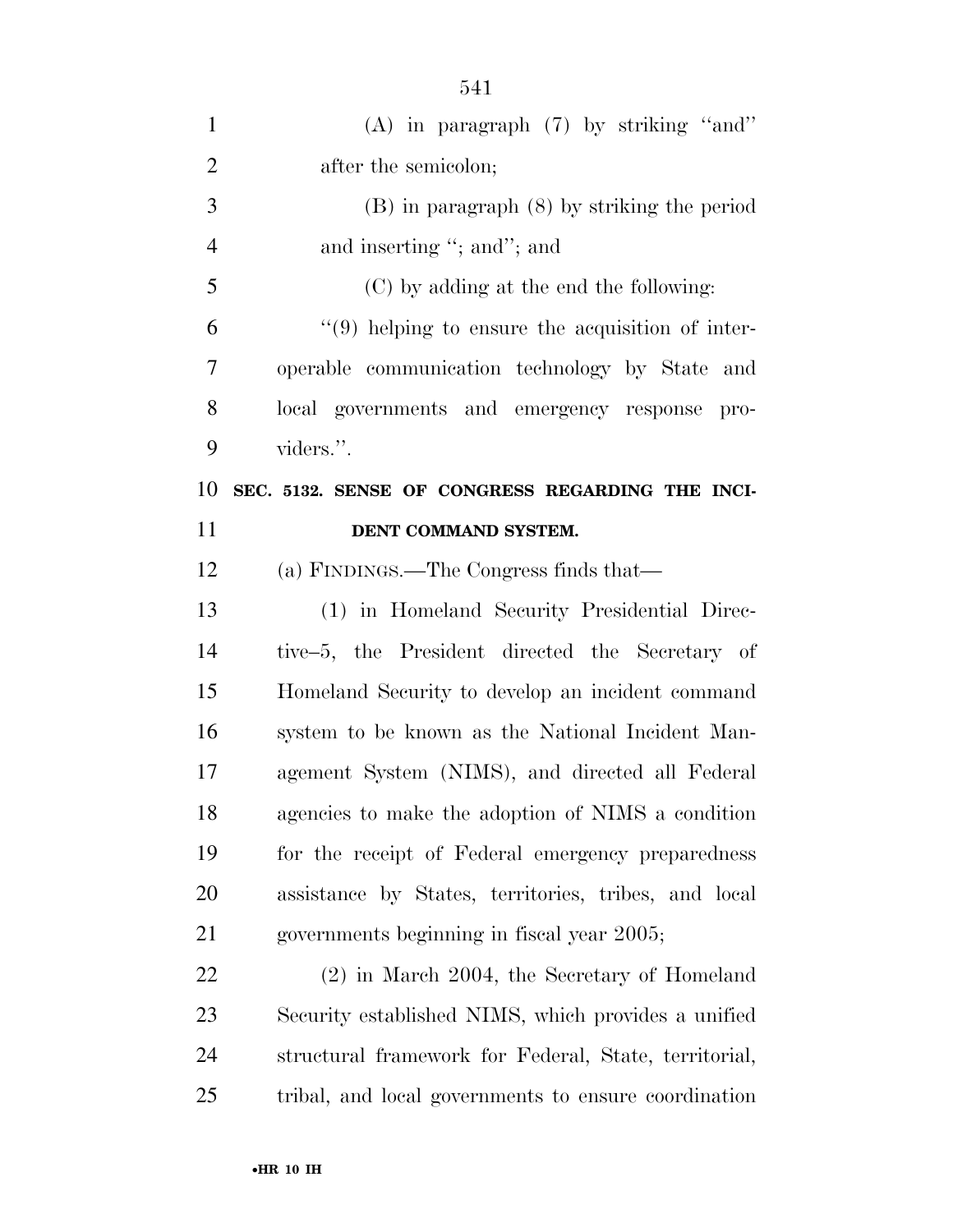| $\mathbf{1}$   | $(A)$ in paragraph $(7)$ by striking "and"            |
|----------------|-------------------------------------------------------|
| $\overline{2}$ | after the semicolon;                                  |
| 3              | $(B)$ in paragraph $(8)$ by striking the period       |
| $\overline{4}$ | and inserting "; and"; and                            |
| 5              | (C) by adding at the end the following:               |
| 6              | $\lq(9)$ helping to ensure the acquisition of inter-  |
| 7              | operable communication technology by State and        |
| 8              | local governments and emergency response pro-         |
| 9              | viders.".                                             |
| 10             | SEC. 5132. SENSE OF CONGRESS REGARDING THE INCI-      |
| 11             | DENT COMMAND SYSTEM.                                  |
| 12             | (a) FINDINGS.—The Congress finds that—                |
| 13             | (1) in Homeland Security Presidential Direc-          |
| 14             | tive–5, the President directed the Secretary of       |
| 15             | Homeland Security to develop an incident command      |
| 16             | system to be known as the National Incident Man-      |
| 17             | agement System (NIMS), and directed all Federal       |
| 18             | agencies to make the adoption of NIMS a condition     |
| 19             | for the receipt of Federal emergency preparedness     |
| 20             | assistance by States, territories, tribes, and local  |
| 21             | governments beginning in fiscal year 2005;            |
| 22             | $(2)$ in March 2004, the Secretary of Homeland        |
| 23             | Security established NIMS, which provides a unified   |
| 24             | structural framework for Federal, State, territorial, |
| 25             | tribal, and local governments to ensure coordination  |